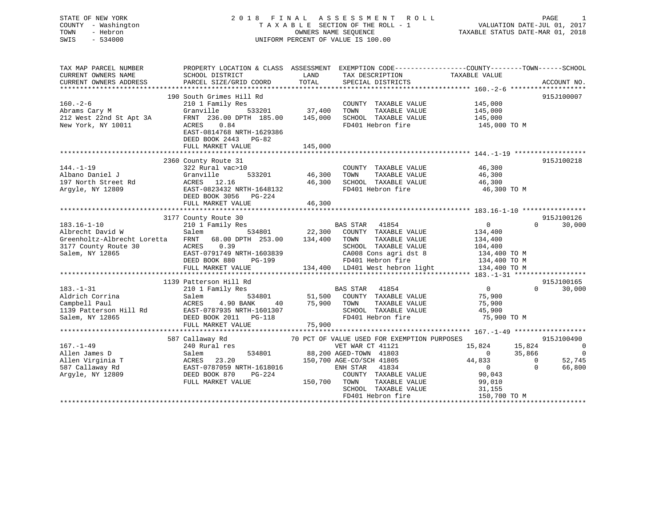## STATE OF NEW YORK 2 0 1 8 F I N A L A S S E S S M E N T R O L L PAGE 1 COUNTY - Washington T A X A B L E SECTION OF THE ROLL - 1 VALUATION DATE-JUL 01, 2017 TOWN - Hebron OWNERS NAME SEQUENCE TAXABLE STATUS DATE-MAR 01, 2018 SWIS - 534000 UNIFORM PERCENT OF VALUE IS 100.00

| TAX MAP PARCEL NUMBER                                                         | PROPERTY LOCATION & CLASS ASSESSMENT EXEMPTION CODE--------------COUNTY-------TOWN-----SCHOOL |                |                                                                      |                       |                    |
|-------------------------------------------------------------------------------|-----------------------------------------------------------------------------------------------|----------------|----------------------------------------------------------------------|-----------------------|--------------------|
| CURRENT OWNERS NAME                                                           | SCHOOL DISTRICT                                                                               | LAND           | TAX DESCRIPTION                                                      | TAXABLE VALUE         |                    |
| CURRENT OWNERS ADDRESS                                                        | PARCEL SIZE/GRID COORD                                                                        | TOTAL          | SPECIAL DISTRICTS                                                    |                       | ACCOUNT NO.        |
|                                                                               |                                                                                               |                |                                                                      |                       |                    |
|                                                                               | 190 South Grimes Hill Rd                                                                      |                |                                                                      |                       | 915J100007         |
|                                                                               | 210 1 Family Res                                                                              |                | COUNTY TAXABLE VALUE                                                 | 145,000               |                    |
|                                                                               | Granville                                                                                     |                | TOWN<br>TAXABLE VALUE                                                | 145,000               |                    |
|                                                                               | FRNT 236.00 DPTH 185.00 145,000                                                               |                |                                                                      |                       |                    |
| 160.-2-6<br>Abrams Cary M<br>212 West 22nd St Apt 3A                          |                                                                                               |                | SCHOOL TAXABLE VALUE 145,000                                         |                       |                    |
| New York, NY 10011                                                            | 0.84<br>ACRES                                                                                 |                | FD401 Hebron fire                                                    | 145,000 TO M          |                    |
|                                                                               | EAST-0814768 NRTH-1629386                                                                     |                |                                                                      |                       |                    |
|                                                                               | DEED BOOK 2443 PG-82                                                                          |                |                                                                      |                       |                    |
|                                                                               | FULL MARKET VALUE                                                                             | 145,000        |                                                                      |                       |                    |
|                                                                               |                                                                                               |                |                                                                      |                       |                    |
|                                                                               | 2360 County Route 31                                                                          |                |                                                                      |                       | 915J100218         |
| $144. - 1 - 19$                                                               | 322 Rural vac>10                                                                              |                | COUNTY TAXABLE VALUE 46,300                                          |                       |                    |
| Albano Daniel J                                                               | Granville                                                                                     | 533201 46,300  | TOWN<br>TAXABLE VALUE                                                | 46,300                |                    |
| 197 North Street Rd                                                           | ACRES 12.16                                                                                   | 46,300         | SCHOOL TAXABLE VALUE 46,300                                          |                       |                    |
| Argyle, NY 12809                                                              | EAST-0823432 NRTH-1648132                                                                     |                | FD401 Hebron fire                                                    | 46,300 TO M           |                    |
|                                                                               | DEED BOOK 3056 PG-224                                                                         |                |                                                                      |                       |                    |
|                                                                               |                                                                                               |                |                                                                      |                       |                    |
|                                                                               | FULL MARKET VALUE                                                                             | 46,300         |                                                                      |                       |                    |
|                                                                               |                                                                                               |                |                                                                      |                       |                    |
|                                                                               | 3177 County Route 30<br>County Route 30<br>210 1 Family Res                                   |                |                                                                      |                       | 915J100126         |
| $183.16 - 1 - 10$                                                             |                                                                                               |                | BAS STAR 41854                                                       | $\overline{0}$        | $\Omega$<br>30,000 |
| Albrecht David W                                                              | Salem                                                                                         |                | 534801 22,300 COUNTY TAXABLE VALUE                                   | 134,400               |                    |
| Greenholtz-Albrecht Loretta FRNT 68.00 DPTH 253.00 134,400 TOWN TAXABLE VALUE |                                                                                               |                |                                                                      | 134,400<br>104,400    |                    |
| 3177 County Route 30                                                          | ACRES 0.39                                                                                    |                | SCHOOL TAXABLE VALUE                                                 |                       |                    |
| Salem, NY 12865                                                               | EAST-0791749 NRTH-1603839<br>DEED BOOK 880 PG-199                                             |                | CA008 Cons agri dst 8 134,400 TO M<br>FD401 Hebron fire 134,400 TO M |                       |                    |
|                                                                               |                                                                                               |                |                                                                      |                       |                    |
|                                                                               | FULL MARKET VALUE                                                                             |                | 134,400 LD401 West hebron light 134,400 TO M                         |                       |                    |
|                                                                               |                                                                                               |                |                                                                      |                       |                    |
|                                                                               |                                                                                               |                |                                                                      |                       |                    |
|                                                                               | 1139 Patterson Hill Rd                                                                        |                |                                                                      | $\overline{0}$        | 915J100165         |
| $183. - 1 - 31$                                                               | 210 1 Family Res                                                                              |                | BAS STAR 41854                                                       |                       | $\Omega$<br>30,000 |
| Aldrich Corrina                                                               | 534801<br>Salem                                                                               |                | 51,500 COUNTY TAXABLE VALUE                                          | 75,900                |                    |
| Campbell Paul                                                                 | 4.90 BANK<br>ACRES                                                                            | 40 75,900 TOWN | TAXABLE VALUE                                                        |                       |                    |
| 1139 Patterson Hill Rd                                                        | EAST-0787935 NRTH-1601307<br>DEED BOOK 2011 PG-118                                            |                | SCHOOL TAXABLE VALUE                                                 | 75,900<br>45,900      |                    |
| Salem, NY 12865                                                               |                                                                                               |                | FD401 Hebron fire 75,900 TO M                                        |                       |                    |
|                                                                               |                                                                                               |                |                                                                      |                       |                    |
|                                                                               |                                                                                               |                |                                                                      |                       |                    |
|                                                                               | 587 Callaway Rd                                                                               |                | 70 PCT OF VALUE USED FOR EXEMPTION PURPOSES                          |                       | 915J100490         |
| $167. - 1 - 49$                                                               | 240 Rural res                                                                                 |                | VET WAR CT 41121                                                     | 15,824 15,824 0       |                    |
| Allen James D                                                                 | Salem                                                                                         |                | 534801 88,200 AGED-TOWN 41803                                        | $\overline{0}$        | $\overline{0}$     |
| Allen Virginia T                                                              | 23.20                                                                                         |                | 150,700 AGE-CO/SCH 41805                                             | 35,866<br>0<br>44,833 | 52,745             |
|                                                                               | ACRES                                                                                         |                |                                                                      |                       | $\Omega$           |
| 587 Callaway Rd                                                               | EAST-0787059 NRTH-1618016                                                                     |                | ENH STAR<br>41834                                                    | $\overline{0}$        | 66,800             |
| Argyle, NY 12809                                                              | DEED BOOK 870<br>PG-224                                                                       |                | COUNTY TAXABLE VALUE                                                 | 90,043                |                    |
|                                                                               | FULL MARKET VALUE                                                                             | 150,700 TOWN   |                                                                      | TAXABLE VALUE 99,010  |                    |
|                                                                               |                                                                                               |                |                                                                      |                       |                    |
|                                                                               |                                                                                               |                |                                                                      |                       |                    |
|                                                                               |                                                                                               |                |                                                                      |                       |                    |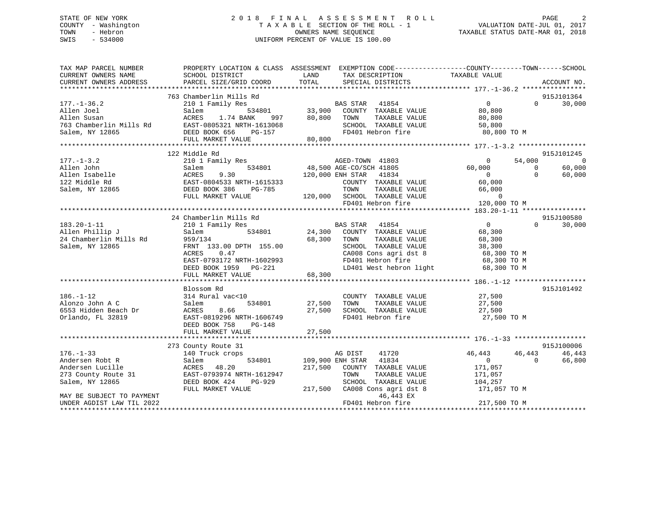## STATE OF NEW YORK 2 0 1 8 F I N A L A S S E S S M E N T R O L L PAGE 2 COUNTY - Washington T A X A B L E SECTION OF THE ROLL - 1 VALUATION DATE-JUL 01, 2017 TOWN - Hebron OWNERS NAME SEQUENCE TAXABLE STATUS DATE-MAR 01, 2018 SWIS - 534000 UNIFORM PERCENT OF VALUE IS 100.00

| TAX MAP PARCEL NUMBER                                          | PROPERTY LOCATION & CLASS ASSESSMENT EXEMPTION CODE----------------COUNTY-------TOWN------SCHOOL |               |                                                                                                                                                                                 |                                  |                          |            |
|----------------------------------------------------------------|--------------------------------------------------------------------------------------------------|---------------|---------------------------------------------------------------------------------------------------------------------------------------------------------------------------------|----------------------------------|--------------------------|------------|
| CURRENT OWNERS NAME                                            | SCHOOL DISTRICT                                                                                  | LAND          | TAX DESCRIPTION                                                                                                                                                                 | TAXABLE VALUE                    |                          |            |
|                                                                |                                                                                                  |               |                                                                                                                                                                                 |                                  |                          |            |
|                                                                |                                                                                                  |               |                                                                                                                                                                                 |                                  |                          |            |
|                                                                | 763 Chamberlin Mills Rd                                                                          |               |                                                                                                                                                                                 |                                  |                          | 915J101364 |
| $177. - 1 - 36.2$                                              | 210 1 Family Res                                                                                 |               | $\begin{tabular}{lllllllll} \texttt{534801} & \texttt{BAS STAR} & \texttt{41854} \\ \texttt{534801} & \texttt{33,900} & \texttt{COUNTY} & \texttt{TAXABLE VALUE} \end{tabular}$ | 0                                | $\Omega$                 | 30,000     |
| Allen Joel                                                     | Salem                                                                                            |               |                                                                                                                                                                                 | 80,800                           |                          |            |
| Allen Susan                                                    | ACRES<br>1.74 BANK                                                                               | 997 80,800    | TOWN<br>TAXABLE VALUE                                                                                                                                                           | 80,800                           |                          |            |
| 763 Chamberlin Mills Rd                                        | 11s Rd $\overline{EAST-0805321}$ N<br>DEED BOOK 656<br>EAST-0805321 NRTH-1613068                 |               | SCHOOL TAXABLE VALUE                                                                                                                                                            | 50,800                           |                          |            |
| Salem, NY 12865                                                | PG-157                                                                                           |               | FD401 Hebron fire                                                                                                                                                               | 50,000<br>80,800 TO M            |                          |            |
|                                                                | FULL MARKET VALUE                                                                                | 80,800        |                                                                                                                                                                                 |                                  |                          |            |
|                                                                |                                                                                                  |               |                                                                                                                                                                                 |                                  |                          |            |
|                                                                | 122 Middle Rd                                                                                    |               |                                                                                                                                                                                 |                                  |                          | 915J101245 |
| $177. - 1 - 3.2$                                               | 210 1 Family Res                                                                                 |               | AGED-TOWN 41803                                                                                                                                                                 | $\overline{6}$<br>$\overline{0}$ | 54,000                   | $\sim$ 0   |
|                                                                |                                                                                                  |               | 534801 48,500 AGE-CO/SCH 41805                                                                                                                                                  | 60,000                           | $\overline{\phantom{0}}$ | 60,000     |
|                                                                |                                                                                                  |               | 120,000 ENH STAR 41834                                                                                                                                                          | $\overline{0}$                   | $\Omega$                 | 60,000     |
|                                                                |                                                                                                  |               | COUNTY TAXABLE VALUE                                                                                                                                                            | 60,000                           |                          |            |
|                                                                |                                                                                                  |               | TOWN<br>TAXABLE VALUE                                                                                                                                                           | 66,000                           |                          |            |
|                                                                |                                                                                                  |               |                                                                                                                                                                                 | $\overline{0}$                   |                          |            |
|                                                                |                                                                                                  |               | 120,000 SCHOOL TAXABLE VALUE<br>FD401 Hebron fire 120,                                                                                                                          | 120,000 TO M                     |                          |            |
|                                                                |                                                                                                  |               |                                                                                                                                                                                 |                                  |                          |            |
|                                                                | 24 Chamberlin Mills Rd                                                                           |               |                                                                                                                                                                                 |                                  |                          | 915J100580 |
| $183.20 - 1 - 11$                                              | 210 1 Family Res                                                                                 |               | <b>BAS STAR</b> 41854                                                                                                                                                           | $\overline{0}$                   | $\Omega$                 | 30,000     |
|                                                                | Salem                                                                                            |               | 534801 24,300 COUNTY TAXABLE VALUE                                                                                                                                              | 68,300                           |                          |            |
| Allen Phillip J<br>24 Chamberlin Mills Rd                      | 959/134                                                                                          | 68,300        | TOWN<br>TAXABLE VALUE                                                                                                                                                           | 68,300                           |                          |            |
| Salem, NY 12865                                                | FRNT 133.00 DPTH 155.00                                                                          |               | TOWN TAXABLE VALUE<br>SCHOOL TAXABLE VALUE 38,300<br>68,300 TO M                                                                                                                |                                  |                          |            |
|                                                                | 0.47<br>ACRES                                                                                    |               |                                                                                                                                                                                 |                                  |                          |            |
|                                                                | EAST-0793172 NRTH-1602993                                                                        |               | CA008 Cons agri dst 8<br>FD401 Hebron fire                                                                                                                                      | 68,300 TO M                      |                          |            |
|                                                                | DEED BOOK 1959 PG-221                                                                            |               | LD401 West hebron light                                                                                                                                                         | 68,300 TO M                      |                          |            |
|                                                                | FULL MARKET VALUE                                                                                | 68,300        |                                                                                                                                                                                 |                                  |                          |            |
|                                                                |                                                                                                  |               |                                                                                                                                                                                 |                                  |                          |            |
|                                                                | Blossom Rd                                                                                       |               |                                                                                                                                                                                 |                                  |                          | 915J101492 |
| $186. - 1 - 12$                                                | 314 Rural vac<10                                                                                 |               | COUNTY TAXABLE VALUE                                                                                                                                                            | 27,500                           |                          |            |
| Alonzo John A C                                                | Salem                                                                                            | 534801 27,500 | TAXABLE VALUE<br>TOWN                                                                                                                                                           | 27,500                           |                          |            |
|                                                                | ACRES<br>8.66                                                                                    | 27,500        |                                                                                                                                                                                 | 27,500                           |                          |            |
| 6553 Hidden Beach Dr<br>Orlando, FL 32819<br>Orlando, FL 32819 | EAST-0819296 NRTH-1606749                                                                        |               | SCHOOL TAXABLE VALUE<br>FD401 Hebron fire                                                                                                                                       | 27,500 TO M                      |                          |            |
|                                                                | DEED BOOK 758<br>PG-148                                                                          |               |                                                                                                                                                                                 |                                  |                          |            |
|                                                                | FULL MARKET VALUE                                                                                | 27,500        |                                                                                                                                                                                 |                                  |                          |            |
|                                                                |                                                                                                  |               |                                                                                                                                                                                 |                                  |                          |            |
|                                                                | 273 County Route 31                                                                              |               |                                                                                                                                                                                 |                                  |                          | 915J100006 |
| $176. - 1 - 33$                                                | 140 Truck crops                                                                                  |               | AG DIST<br>41720                                                                                                                                                                | 46,443                           | 46,443                   | 46,443     |
| Andersen Robt R                                                | 534801<br>Salem                                                                                  |               | 109,900 ENH STAR 41834                                                                                                                                                          | 0                                | $\Omega$                 | 66,800     |
| Andersen Lucille                                               | ACRES 48.20                                                                                      | 217,500       | COUNTY TAXABLE VALUE                                                                                                                                                            | 171,057                          |                          |            |
| 273 County Route 31                                            | EAST-0793974 NRTH-1612947                                                                        |               | TAXABLE VALUE<br>TOWN                                                                                                                                                           | 171,057                          |                          |            |
| Salem, NY 12865                                                | DEED BOOK 424<br>PG-929                                                                          |               | SCHOOL TAXABLE VALUE                                                                                                                                                            | 171,057<br>104,257               |                          |            |
|                                                                | FULL MARKET VALUE                                                                                | 217,500       | CA008 Cons agri dst 8                                                                                                                                                           | 171,057 TO M                     |                          |            |
| MAY BE SUBJECT TO PAYMENT                                      |                                                                                                  |               | 46,443 EX                                                                                                                                                                       |                                  |                          |            |
| UNDER AGDIST LAW TIL 2022                                      |                                                                                                  |               | FD401 Hebron fire                                                                                                                                                               | 217,500 TO M                     |                          |            |
|                                                                |                                                                                                  |               |                                                                                                                                                                                 |                                  |                          |            |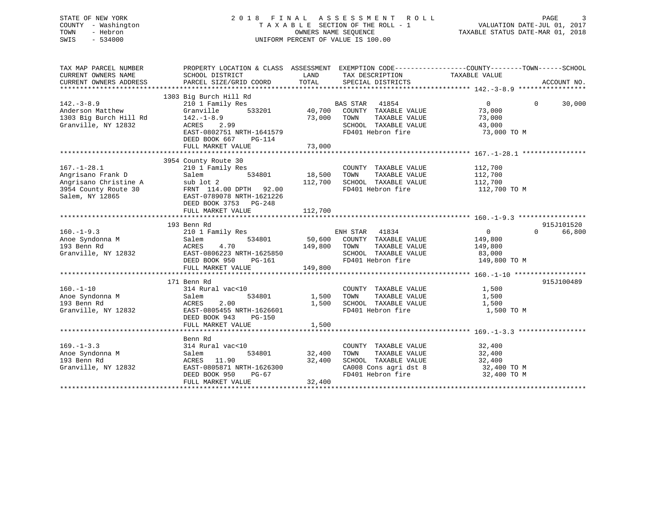## STATE OF NEW YORK 2 0 1 8 F I N A L A S S E S S M E N T R O L L PAGE 3 COUNTY - Washington T A X A B L E SECTION OF THE ROLL - 1 VALUATION DATE-JUL 01, 2017 TOWN - Hebron **CONNERS NAME SEQUENCE** TAXABLE STATUS DATE-MAR 01, 2018 SWIS - 534000 UNIFORM PERCENT OF VALUE IS 100.00

| TAX MAP PARCEL NUMBER<br>CURRENT OWNERS NAME<br>CURRENT OWNERS ADDRESS                                     | PROPERTY LOCATION & CLASS ASSESSMENT<br>SCHOOL DISTRICT<br>PARCEL SIZE/GRID COORD                                                                                             | LAND<br>TOTAL                | EXEMPTION CODE-----------------COUNTY-------TOWN------SCHOOL<br>TAX DESCRIPTION<br>SPECIAL DISTRICTS                | TAXABLE VALUE                                                  | ACCOUNT NO.        |
|------------------------------------------------------------------------------------------------------------|-------------------------------------------------------------------------------------------------------------------------------------------------------------------------------|------------------------------|---------------------------------------------------------------------------------------------------------------------|----------------------------------------------------------------|--------------------|
|                                                                                                            |                                                                                                                                                                               |                              |                                                                                                                     |                                                                |                    |
| $142. - 3 - 8.9$<br>Anderson Matthew<br>1303 Big Burch Hill Rd<br>Granville, NY 12832                      | 1303 Big Burch Hill Rd<br>210 1 Family Res<br>Granville<br>533201<br>$142. - 1 - 8.9$<br>2.99<br>ACRES                                                                        | 40,700<br>73,000             | <b>BAS STAR</b><br>41854<br>COUNTY TAXABLE VALUE<br>TOWN<br>TAXABLE VALUE<br>SCHOOL TAXABLE VALUE                   | $\overline{0}$<br>73,000<br>73,000<br>43,000                   | 30,000<br>$\Omega$ |
|                                                                                                            | EAST-0802751 NRTH-1641579<br>DEED BOOK 667<br>PG-114<br>FULL MARKET VALUE                                                                                                     | 73,000                       | FD401 Hebron fire                                                                                                   | 73,000 TO M                                                    |                    |
|                                                                                                            |                                                                                                                                                                               |                              |                                                                                                                     |                                                                |                    |
| $167. - 1 - 28.1$<br>Angrisano Frank D<br>Angrisano Christine A<br>3954 County Route 30<br>Salem, NY 12865 | 3954 County Route 30<br>210 1 Family Res<br>534801<br>Salem<br>sub lot 2<br>FRNT 114.00 DPTH 92.00<br>EAST-0789078 NRTH-1621226<br>DEED BOOK 3753 PG-248<br>FULL MARKET VALUE | 18,500<br>112,700<br>112,700 | COUNTY TAXABLE VALUE<br>TOWN<br>TAXABLE VALUE<br>SCHOOL TAXABLE VALUE<br>FD401 Hebron fire                          | 112,700<br>112,700<br>112,700<br>112,700 TO M                  |                    |
|                                                                                                            | 193 Benn Rd                                                                                                                                                                   |                              |                                                                                                                     |                                                                | 915J101520         |
| $160. -1 - 9.3$<br>Anoe Syndonna M<br>193 Benn Rd<br>Granville, NY 12832                                   | 210 1 Family Res<br>534801<br>Salem<br>ACRES<br>4.70<br>EAST-0806223 NRTH-1625850<br>DEED BOOK 950<br>PG-161<br>FULL MARKET VALUE                                             | 50,600<br>149,800<br>149,800 | ENH STAR 41834<br>COUNTY TAXABLE VALUE<br>TOWN<br>TAXABLE VALUE<br>SCHOOL TAXABLE VALUE<br>FD401 Hebron fire        | $\overline{0}$<br>149,800<br>149,800<br>83,000<br>149,800 TO M | 66,800<br>$\Omega$ |
|                                                                                                            |                                                                                                                                                                               |                              |                                                                                                                     |                                                                |                    |
| $160. - 1 - 10$<br>Anoe Syndonna M<br>193 Benn Rd<br>Granville, NY 12832                                   | 171 Benn Rd<br>314 Rural vac<10<br>534801<br>Salem<br>2.00<br>ACRES<br>EAST-0805455 NRTH-1626601<br>DEED BOOK 943<br><b>PG-150</b><br>FULL MARKET VALUE                       | 1,500<br>1,500<br>1,500      | COUNTY TAXABLE VALUE<br>TOWN<br>TAXABLE VALUE<br>SCHOOL TAXABLE VALUE<br>FD401 Hebron fire                          | 1,500<br>1,500<br>1,500<br>1,500 TO M                          | 915J100489         |
|                                                                                                            |                                                                                                                                                                               |                              |                                                                                                                     |                                                                |                    |
| $169. - 1 - 3.3$<br>Anoe Syndonna M<br>193 Benn Rd<br>Granville, NY 12832                                  | Benn Rd<br>314 Rural vac<10<br>534801<br>Salem<br>ACRES 11.90<br>EAST-0805871 NRTH-1626300<br>DEED BOOK 950<br>PG-67<br>FULL MARKET VALUE                                     | 32,400<br>32,400<br>32,400   | COUNTY TAXABLE VALUE<br>TOWN<br>TAXABLE VALUE<br>SCHOOL TAXABLE VALUE<br>CA008 Cons agri dst 8<br>FD401 Hebron fire | 32,400<br>32,400<br>32,400<br>32,400 TO M<br>32,400 TO M       |                    |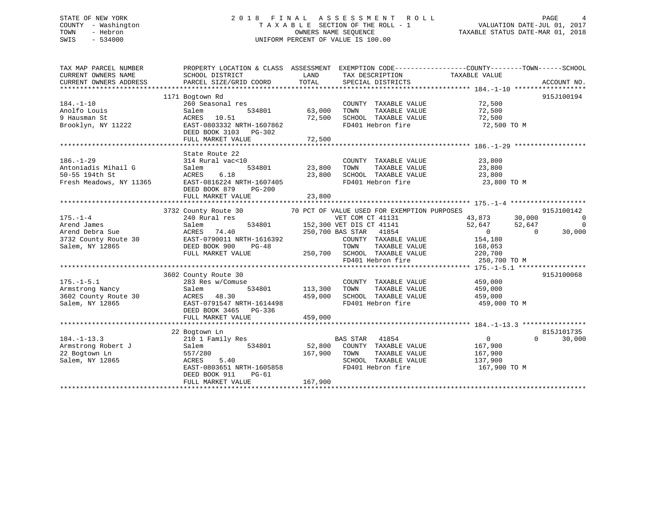## STATE OF NEW YORK 2 0 1 8 F I N A L A S S E S S M E N T R O L L PAGE 4 COUNTY - Washington T A X A B L E SECTION OF THE ROLL - 1 VALUATION DATE-JUL 01, 2017 TOWN - Hebron OWNERS NAME SEQUENCE TAXABLE STATUS DATE-MAR 01, 2018 SWIS - 534000 UNIFORM PERCENT OF VALUE IS 100.00

| TAX MAP PARCEL NUMBER           |                                                                                                                                                                                                  | PROPERTY LOCATION & CLASS ASSESSMENT EXEMPTION CODE----------------COUNTY-------TOWN------SCHOOL |                                      |
|---------------------------------|--------------------------------------------------------------------------------------------------------------------------------------------------------------------------------------------------|--------------------------------------------------------------------------------------------------|--------------------------------------|
| CURRENT OWNERS NAME             | SCHOOL DISTRICT                                                                                                                                                                                  | LAND<br>TAX DESCRIPTION                                                                          | TAXABLE VALUE                        |
|                                 |                                                                                                                                                                                                  |                                                                                                  |                                      |
|                                 |                                                                                                                                                                                                  |                                                                                                  |                                      |
|                                 | 1171 Bogtown Rd                                                                                                                                                                                  |                                                                                                  | 915J100194                           |
| $184. - 1 - 10$                 | 260 Seasonal res                                                                                                                                                                                 | COUNTY TAXABLE VALUE 72,500                                                                      |                                      |
| Anolfo Louis                    | Salem                                                                                                                                                                                            | 534801 63,000<br>TOWN<br>TAXABLE VALUE                                                           | 72,500                               |
| 9 Hausman St                    | ACRES 10.51                                                                                                                                                                                      | 72,500<br>SCHOOL TAXABLE VALUE                                                                   | 72,500                               |
| Brooklyn, NY 11222              | EAST-0803332 NRTH-1607862                                                                                                                                                                        | FD401 Hebron fire                                                                                | 72,500 TO M                          |
|                                 | DEED BOOK 3103 PG-302                                                                                                                                                                            |                                                                                                  |                                      |
|                                 |                                                                                                                                                                                                  |                                                                                                  |                                      |
|                                 |                                                                                                                                                                                                  |                                                                                                  |                                      |
|                                 | State Route 22                                                                                                                                                                                   |                                                                                                  |                                      |
| $186. - 1 - 29$                 | 314 Rural vac<10                                                                                                                                                                                 | COUNTY TAXABLE VALUE                                                                             | 23,800                               |
| Antoniadis Mihail G             | Salem                                                                                                                                                                                            | TAXABLE VALUE 23,800<br>534801 23,800<br>TOWN                                                    |                                      |
| 50-55 194th St                  | 6.18<br>ACRES                                                                                                                                                                                    | SCHOOL TAXABLE VALUE<br>23,800                                                                   | 23,800                               |
|                                 | Fresh Meadows, NY 11365 EAST-0816224 NRTH-1607405                                                                                                                                                | שטא <sub>ר</sub> TAXABLE VALUE<br>FD401 Hebron fire                                              | 23,800 TO M                          |
|                                 | DEED BOOK 879<br>$PG-200$                                                                                                                                                                        |                                                                                                  |                                      |
|                                 | FULL MARKET VALUE                                                                                                                                                                                | 23,800                                                                                           |                                      |
|                                 |                                                                                                                                                                                                  |                                                                                                  |                                      |
|                                 | 3732 County Route 30                                                                                                                                                                             | 70 PCT OF VALUE USED FOR EXEMPTION PURPOSES                                                      | 915J100142                           |
| $175. - 1 - 4$                  | 240 Rural res                                                                                                                                                                                    | VET COM CT 41131                                                                                 | 43,873 30,000<br>$\overline{0}$      |
| Arend James                     | Salem                                                                                                                                                                                            | 534801 152,300 VET DIS CT 41141                                                                  | 52,647<br>52,647<br>$\overline{0}$   |
|                                 | Arend Debra Sue                           ACRES     74.40<br>3732 County Route 30                 EAST-0790011 NRTH-1616392<br>Salem, NY 12865                         DEED BOOK 900       PG-48 | 250,700 BAS STAR 41854                                                                           | 30,000<br>$\overline{0}$<br>$\Omega$ |
|                                 |                                                                                                                                                                                                  | COUNTY TAXABLE VALUE                                                                             | 154,180                              |
|                                 |                                                                                                                                                                                                  | TOWN<br>TAXABLE VALUE 168,053                                                                    |                                      |
|                                 | FULL MARKET VALUE                                                                                                                                                                                | 250,700 SCHOOL TAXABLE VALUE                                                                     | ALUE 220,700                         |
|                                 |                                                                                                                                                                                                  | FD401 Hebron fire                                                                                | 250,700 TO M                         |
|                                 |                                                                                                                                                                                                  |                                                                                                  |                                      |
|                                 | 3602 County Route 30                                                                                                                                                                             |                                                                                                  | 915J100068                           |
| $175. - 1 - 5.1$                | 283 Res w/Comuse                                                                                                                                                                                 | COUNTY TAXABLE VALUE 459,000                                                                     |                                      |
| Armstrong Nancy                 | Salem                                                                                                                                                                                            | 534801 113,300<br>TAXABLE VALUE 459,000<br>TOWN                                                  |                                      |
|                                 |                                                                                                                                                                                                  | 459,000<br>SCHOOL TAXABLE VALUE                                                                  | 459,000                              |
|                                 | 3602 County Route 30 MCRES 48.30<br>Salem. NY 12865 EAST-0791547 NRTH-1614498                                                                                                                    | FD401 Hebron fire                                                                                | 459,000 TO M                         |
|                                 | DEED BOOK 3465 PG-336                                                                                                                                                                            |                                                                                                  |                                      |
|                                 | FULL MARKET VALUE                                                                                                                                                                                | 459,000                                                                                          |                                      |
|                                 |                                                                                                                                                                                                  |                                                                                                  |                                      |
|                                 | 22 Bogtown Ln                                                                                                                                                                                    |                                                                                                  | 815J101735                           |
| $184. - 1 - 13.3$               | 210 1 Family Res                                                                                                                                                                                 | BAS STAR 41854                                                                                   | $\overline{0}$<br>$\Omega$<br>30,000 |
| Armstrong Robert J              | 534801<br>Salem                                                                                                                                                                                  | 52,800 COUNTY TAXABLE VALUE 167,900                                                              |                                      |
| 22 Bogtown Ln<br>Salem NY 12865 | 557/280                                                                                                                                                                                          | 167,900 TOWN<br>TAXABLE VALUE                                                                    | 167,900                              |
| Salem, NY 12865                 | 5.40<br>ACRES                                                                                                                                                                                    | SCHOOL TAXABLE VALUE                                                                             | 137,900                              |
|                                 | EAST-0803651 NRTH-1605858                                                                                                                                                                        | FD401 Hebron fire                                                                                | 167,900 TO M                         |
|                                 | DEED BOOK 911<br>PG-61                                                                                                                                                                           |                                                                                                  |                                      |
|                                 | FULL MARKET VALUE                                                                                                                                                                                | 167,900                                                                                          |                                      |
|                                 |                                                                                                                                                                                                  |                                                                                                  |                                      |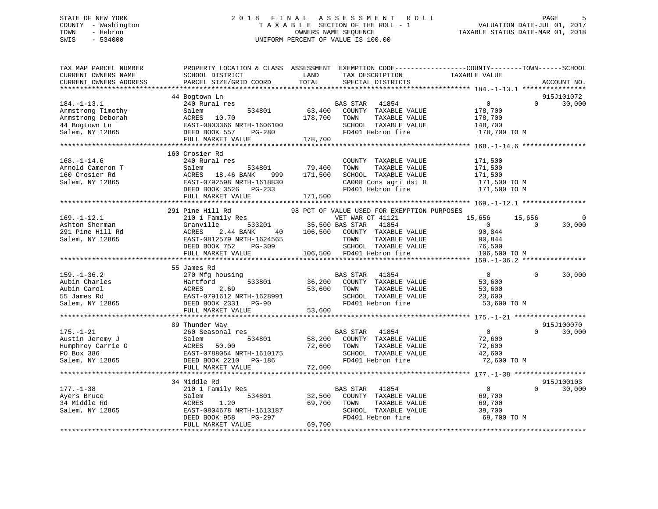## STATE OF NEW YORK 2 0 1 8 F I N A L A S S E S S M E N T R O L L PAGE 5 COUNTY - Washington T A X A B L E SECTION OF THE ROLL - 1 VALUATION DATE-JUL 01, 2017 TOWN - Hebron OWNERS NAME SEQUENCE TAXABLE STATUS DATE-MAR 01, 2018 SWIS - 534000 UNIFORM PERCENT OF VALUE IS 100.00UNIFORM PERCENT OF VALUE IS 100.00

| TAX MAP PARCEL NUMBER<br>CURRENT OWNERS NAME   | PROPERTY LOCATION & CLASS ASSESSMENT EXEMPTION CODE----------------COUNTY-------TOWN------SCHOOL<br>SCHOOL DISTRICT                                                                                                                                                                    | LAND                             | TAX DESCRIPTION                                | TAXABLE VALUE                    |                |             |
|------------------------------------------------|----------------------------------------------------------------------------------------------------------------------------------------------------------------------------------------------------------------------------------------------------------------------------------------|----------------------------------|------------------------------------------------|----------------------------------|----------------|-------------|
| CURRENT OWNERS ADDRESS                         | PARCEL SIZE/GRID COORD                                                                                                                                                                                                                                                                 | TOTAL                            | SPECIAL DISTRICTS                              |                                  |                | ACCOUNT NO. |
|                                                | 44 Bogtown Ln                                                                                                                                                                                                                                                                          |                                  |                                                |                                  |                | 915J101072  |
| $184. - 1 - 13.1$                              | 240 Rural res                                                                                                                                                                                                                                                                          |                                  | BAS STAR<br>41854                              | 0                                | $\Omega$       | 30,000      |
|                                                | 534801                                                                                                                                                                                                                                                                                 | 63,400                           | COUNTY TAXABLE VALUE                           | 178,700                          |                |             |
|                                                |                                                                                                                                                                                                                                                                                        | 178,700                          | TOWN<br>TAXABLE VALUE                          | 178,700                          |                |             |
|                                                |                                                                                                                                                                                                                                                                                        |                                  | SCHOOL TAXABLE VALUE                           | 148,700                          |                |             |
|                                                |                                                                                                                                                                                                                                                                                        |                                  | FD401 Hebron fire                              | 178,700 TO M                     |                |             |
|                                                | 534801<br>44 Bogtown Ln<br>Salem, NY 12865<br>534801<br>534801<br>534801<br>534801<br>534801<br>534801<br>534801<br>534801<br>534801<br>534801<br>534801<br>534801<br>534801<br>5355<br>5365<br>557<br>5657<br>5657<br>5657<br>566100<br>557<br>566100<br>557<br>566100<br>557<br>5661 | 178,700                          |                                                |                                  |                |             |
|                                                |                                                                                                                                                                                                                                                                                        |                                  |                                                |                                  |                |             |
|                                                | 160 Crosier Rd                                                                                                                                                                                                                                                                         |                                  |                                                |                                  |                |             |
| $168. - 1 - 14.6$                              | Arrive Kural Pes Salem 534<br>Salem 534<br>ACRES 18.46 BANK EAST-0792599 NET                                                                                                                                                                                                           |                                  | COUNTY TAXABLE VALUE                           | 171,500                          |                |             |
| Arnold Cameron T<br>160 Crosier Rd             |                                                                                                                                                                                                                                                                                        | 534801 79,400<br>ANK 999 171,500 | TAXABLE VALUE<br>TOWN                          |                                  |                |             |
|                                                |                                                                                                                                                                                                                                                                                        |                                  | SCHOOL TAXABLE VALUE                           | 171,500<br>171,500               |                |             |
| Salem, NY 12865                                |                                                                                                                                                                                                                                                                                        |                                  |                                                | 171,500 TO M<br>171,500 TO M     |                |             |
|                                                | EAST-0792598 NRTH-1618830<br>DEED BOOK 3526 PG-233                                                                                                                                                                                                                                     |                                  | CA008 Cons agri dst 8<br>FD401 Hebron fire     |                                  |                |             |
|                                                | FULL MARKET VALUE                                                                                                                                                                                                                                                                      | 171,500                          |                                                |                                  |                |             |
|                                                |                                                                                                                                                                                                                                                                                        |                                  |                                                |                                  |                |             |
|                                                | 291 Pine Hill Rd                                                                                                                                                                                                                                                                       |                                  | 98 PCT OF VALUE USED FOR EXEMPTION PURPOSES    |                                  |                |             |
| $169. - 1 - 12.1$                              | 210 1 Family Res                                                                                                                                                                                                                                                                       |                                  | VET WAR CT 41121                               | 15,656                           | 15,656         | $\mathbf 0$ |
| Ashton Sherman                                 | Granville                                                                                                                                                                                                                                                                              |                                  | 1121 1121 1122<br>533201 35,500 BAS STAR 41854 | $\overline{0}$                   | $\overline{0}$ | 30,000      |
| 291 Pine Hill Rd                               | ACRES<br>2.44 BANK                                                                                                                                                                                                                                                                     |                                  | 40 106,500 COUNTY TAXABLE VALUE                | 90,844                           |                |             |
| Salem, NY 12865                                |                                                                                                                                                                                                                                                                                        |                                  | TAXABLE VALUE                                  | 90,844                           |                |             |
|                                                | ${\small \begin{tabular}{lcccc} EAST-0812579 & NRTH-1624565 & & & & & & & & \texttt{TONN} & \texttt{TAXABLE VA} \\ DEED BOOK 752 & PG-309 & & & & & \texttt{SCHOOL} & \texttt{TAXABLE VA} \\ FULL MARKET VALUE & & & & 106,500 & FD401 Hebron fire \\ \end{tabular}}$                  |                                  | SCHOOL TAXABLE VALUE                           | ALUE 76,500<br>76,500<br>106.500 |                |             |
|                                                |                                                                                                                                                                                                                                                                                        |                                  |                                                | 106,500 TO M                     |                |             |
|                                                |                                                                                                                                                                                                                                                                                        |                                  |                                                |                                  |                |             |
|                                                | 55 James Rd                                                                                                                                                                                                                                                                            |                                  |                                                |                                  |                |             |
| $159. - 1 - 36.2$                              | 270 Mfg housing                                                                                                                                                                                                                                                                        |                                  | BAS STAR 41854                                 | $\overline{0}$                   | $\Omega$       | 30,000      |
|                                                |                                                                                                                                                                                                                                                                                        |                                  | 533801 36,200 COUNTY TAXABLE VALUE             | 53,600                           |                |             |
|                                                |                                                                                                                                                                                                                                                                                        | 53,600 TOWN                      | TAXABLE VALUE                                  | 53,600                           |                |             |
|                                                |                                                                                                                                                                                                                                                                                        |                                  | SCHOOL TAXABLE VALUE<br>FD401 Hebron fire      | 23,600                           |                |             |
|                                                |                                                                                                                                                                                                                                                                                        | 53,600                           |                                                | 53,600 TO M                      |                |             |
|                                                | FULL MARKET VALUE                                                                                                                                                                                                                                                                      |                                  |                                                |                                  |                |             |
|                                                | 89 Thunder Way                                                                                                                                                                                                                                                                         |                                  |                                                |                                  |                | 915J100070  |
| $175. - 1 - 21$                                | 260 Seasonal res                                                                                                                                                                                                                                                                       |                                  | BAS STAR 41854                                 | $\overline{0}$                   | $\Omega$       | 30,000      |
|                                                |                                                                                                                                                                                                                                                                                        |                                  | 58,200 COUNTY TAXABLE VALUE                    | 72,600                           |                |             |
|                                                |                                                                                                                                                                                                                                                                                        | 72,600 TOWN                      | TAXABLE VALUE                                  | 72,600                           |                |             |
|                                                |                                                                                                                                                                                                                                                                                        |                                  | SCHOOL TAXABLE VALUE                           | 42,600                           |                |             |
| Salem, NY 12865                                | EAST-0788054 NRTH-1610175<br>DEED BOOK 2210 PG-186                                                                                                                                                                                                                                     |                                  | FD401 Hebron fire                              | 72,600 TO M                      |                |             |
|                                                | FULL MARKET VALUE                                                                                                                                                                                                                                                                      | 72,600                           |                                                |                                  |                |             |
|                                                |                                                                                                                                                                                                                                                                                        |                                  |                                                |                                  |                |             |
|                                                | 34 Middle Rd                                                                                                                                                                                                                                                                           |                                  |                                                |                                  |                | 915J100103  |
| $177. - 1 - 38$                                | 210 1 Family Res                                                                                                                                                                                                                                                                       |                                  | <b>BAS STAR</b><br>41854                       | $\overline{0}$                   | $\Omega$       | 30,000      |
| Ayers Bruce                                    | 534801<br>Salem                                                                                                                                                                                                                                                                        | BA<br>32,500                     | COUNTY TAXABLE VALUE                           | 69,700                           |                |             |
|                                                | 1.20<br>ACRES                                                                                                                                                                                                                                                                          | 69,700                           | TAXABLE VALUE<br>TOWN                          | 69,700                           |                |             |
| Ayers Bruce<br>34 Middle Rd<br>Salem, NY 12865 | EAST-0804678 NRTH-1613187                                                                                                                                                                                                                                                              |                                  | SCHOOL TAXABLE VALUE                           | 39,700                           |                |             |
|                                                | PG-297<br>DEED BOOK 958                                                                                                                                                                                                                                                                |                                  | FD401 Hebron fire                              | 69,700 TO M                      |                |             |
|                                                | FULL MARKET VALUE                                                                                                                                                                                                                                                                      | 69,700                           |                                                |                                  |                |             |
|                                                |                                                                                                                                                                                                                                                                                        |                                  |                                                |                                  |                |             |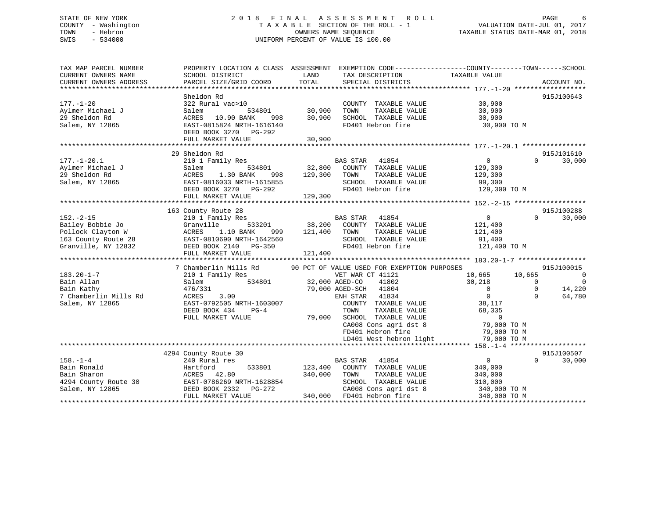## STATE OF NEW YORK 2 0 1 8 F I N A L A S S E S S M E N T R O L L PAGE 6 COUNTY - Washington T A X A B L E SECTION OF THE ROLL - 1 VALUATION DATE-JUL 01, 2017 TOWN - Hebron OWNERS NAME SEQUENCE TAXABLE STATUS DATE-MAR 01, 2018 SWIS - 534000 UNIFORM PERCENT OF VALUE IS 100.00

| TAX MAP PARCEL NUMBER<br>CURRENT OWNERS NAME | SCHOOL DISTRICT                                    | PROPERTY LOCATION & CLASS ASSESSMENT EXEMPTION CODE---------------COUNTY-------TOWN-----SCHOOL<br>LAND<br>TAX DESCRIPTION | TAXABLE VALUE                                        |
|----------------------------------------------|----------------------------------------------------|---------------------------------------------------------------------------------------------------------------------------|------------------------------------------------------|
| CURRENT OWNERS ADDRESS                       | PARCEL SIZE/GRID COORD                             | TOTAL<br>SPECIAL DISTRICTS                                                                                                | ACCOUNT NO.                                          |
|                                              |                                                    |                                                                                                                           |                                                      |
| $177. - 1 - 20$                              | Sheldon Rd                                         |                                                                                                                           | 915J100643<br>30,900                                 |
|                                              | 322 Rural vac>10                                   | COUNTY TAXABLE VALUE<br>30,900                                                                                            | 30,900                                               |
| Aylmer Michael J<br>29 Sheldon Rd            | Salem<br>534801<br>ACRES<br>10.90 BANK<br>998      | TOWN<br>TAXABLE VALUE<br>30,900<br>SCHOOL TAXABLE VALUE                                                                   | 30,900                                               |
|                                              |                                                    |                                                                                                                           |                                                      |
| Salem, NY 12865                              | EAST-0815824 NRTH-1616140<br>DEED BOOK 3270 PG-292 | FD401 Hebron fire                                                                                                         | 30,900 TO M                                          |
|                                              | FULL MARKET VALUE                                  | 30,900                                                                                                                    |                                                      |
|                                              |                                                    |                                                                                                                           |                                                      |
|                                              | 29 Sheldon Rd                                      |                                                                                                                           | 915J101610                                           |
| $177. - 1 - 20.1$                            | 210 1 Family Res                                   | <b>BAS STAR</b><br>41854                                                                                                  | $\overline{0}$<br>$\Omega$<br>30,000                 |
| Aylmer Michael J                             | Salem<br>534801                                    | 32,800<br>COUNTY TAXABLE VALUE                                                                                            | 129,300                                              |
| 29 Sheldon Rd                                | 1.30 BANK<br>ACRES<br>998                          | 129,300<br>TAXABLE VALUE<br>TOWN                                                                                          | 129,300                                              |
| Salem, NY 12865                              | EAST-0816033 NRTH-1615855                          | SCHOOL TAXABLE VALUE                                                                                                      | 99,300                                               |
|                                              | DEED BOOK 3270 PG-292                              | FD401 Hebron fire                                                                                                         | 129,300 TO M                                         |
|                                              | FULL MARKET VALUE                                  | 129,300                                                                                                                   |                                                      |
|                                              |                                                    |                                                                                                                           |                                                      |
|                                              | 163 County Route 28                                |                                                                                                                           | 915J100288                                           |
| $152. - 2 - 15$                              | 210 1 Family Res                                   | BAS STAR<br>41854                                                                                                         | $\overline{0}$<br>$\Omega$<br>30,000                 |
| Bailey Bobbie Jo                             | Granville<br>533201                                | 38,200<br>COUNTY TAXABLE VALUE                                                                                            | 121,400                                              |
| Pollock Clayton W                            | ACRES<br>1.10 BANK<br>999                          | TOWN<br>TAXABLE VALUE<br>121,400                                                                                          | 121,400                                              |
| 163 County Route 28                          | EAST-0810690 NRTH-1642560                          | SCHOOL TAXABLE VALUE                                                                                                      | 91,400                                               |
| Granville, NY 12832                          | DEED BOOK 2140 PG-350                              | FD401 Hebron fire                                                                                                         | 121,400 TO M                                         |
|                                              | FULL MARKET VALUE                                  | 121,400                                                                                                                   |                                                      |
|                                              |                                                    |                                                                                                                           |                                                      |
|                                              | 7 Chamberlin Mills Rd                              | 90 PCT OF VALUE USED FOR EXEMPTION PURPOSES                                                                               | 915J100015                                           |
| $183.20 - 1 - 7$                             | 210 1 Family Res                                   | VET WAR CT 41121                                                                                                          | 10,665<br>10,665<br>$\overline{0}$                   |
| Bain Allan                                   | 534801<br>Salem                                    | 32,000 AGED-CO<br>41802                                                                                                   | $\overline{\phantom{0}}$<br>30,218<br>$\overline{0}$ |
| Bain Kathy                                   | 476/331                                            | 79,000 AGED-SCH 41804                                                                                                     | $\overline{0}$<br>$\Omega$<br>14,220                 |
| 7 Chamberlin Mills Rd                        | 3.00<br>ACRES                                      | ENH STAR<br>41834                                                                                                         | $\overline{0}$<br>64,780<br>$\cap$                   |
| Salem, NY 12865                              | EAST-0792505 NRTH-1603007                          | COUNTY TAXABLE VALUE                                                                                                      | 38,117                                               |
|                                              | DEED BOOK 434<br>$PG-4$                            | TOWN<br>TAXABLE VALUE                                                                                                     | 68,335                                               |
|                                              | FULL MARKET VALUE                                  | 79,000 SCHOOL TAXABLE VALUE                                                                                               | $\mathbf{0}$                                         |
|                                              |                                                    | CA008 Cons agri dst 8                                                                                                     | 79,000 TO M                                          |
|                                              |                                                    | FD401 Hebron fire                                                                                                         | 79,000 TO M                                          |
|                                              |                                                    | LD401 West hebron light                                                                                                   | 79,000 TO M                                          |
|                                              |                                                    |                                                                                                                           |                                                      |
| $158. - 1 - 4$                               | 4294 County Route 30<br>240 Rural res              | <b>BAS STAR</b><br>41854                                                                                                  | 915J100507<br>$\circ$<br>$\Omega$<br>30,000          |
| Bain Ronald                                  |                                                    |                                                                                                                           |                                                      |
|                                              | Hartford<br>533801                                 | 123,400<br>COUNTY TAXABLE VALUE                                                                                           | 340,000                                              |
| Bain Sharon                                  | ACRES 42.80                                        | 340,000<br>TOWN<br>TAXABLE VALUE                                                                                          | 340,000                                              |
| 4294 County Route 30                         | EAST-0786269 NRTH-1628854                          | SCHOOL TAXABLE VALUE                                                                                                      | 310,000                                              |
| Salem, NY 12865                              | DEED BOOK 2332<br>PG-272                           | CA008 Cons agri dst 8                                                                                                     | 340,000 TO M                                         |
|                                              | FULL MARKET VALUE                                  | 340,000<br>FD401 Hebron fire                                                                                              | 340,000 TO M                                         |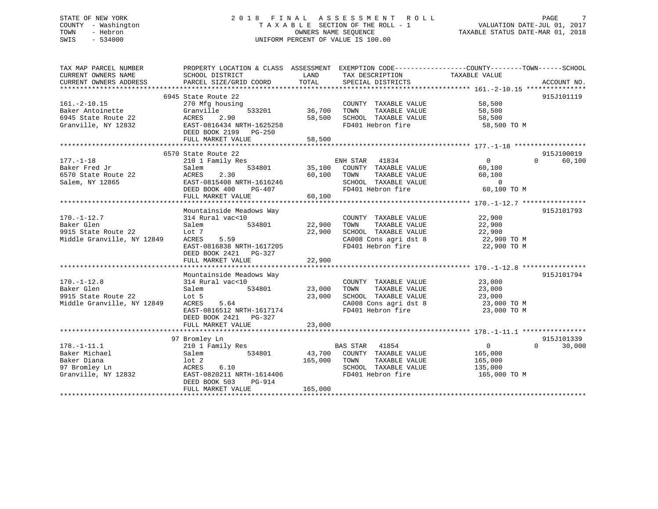#### STATE OF NEW YORK 2 0 1 8 F I N A L A S S E S S M E N T R O L L PAGE 7COUNTY - Washington  $\begin{array}{ccc}\n\text{T A X A B L E} & \text{SECTION OF THE ROLL - 1} \\
\text{T} & \text{N} & \text{N} & \text{N} \\
\end{array}$ OWNERS NAME SEQUENCE TAXABLE STATUS DATE-MAR 01, 2018 SWIS - 534000 UNIFORM PERCENT OF VALUE IS 100.00

| TAX MAP PARCEL NUMBER                   |                                                                   |               |                                                  | PROPERTY LOCATION & CLASS ASSESSMENT EXEMPTION CODE---------------COUNTY-------TOWN------SCHOOL |             |
|-----------------------------------------|-------------------------------------------------------------------|---------------|--------------------------------------------------|-------------------------------------------------------------------------------------------------|-------------|
| CURRENT OWNERS NAME                     | SCHOOL DISTRICT                                                   | LAND          | TAX DESCRIPTION                                  | TAXABLE VALUE                                                                                   |             |
| CURRENT OWNERS ADDRESS                  | PARCEL SIZE/GRID COORD                                            | TOTAL         | SPECIAL DISTRICTS                                |                                                                                                 | ACCOUNT NO. |
|                                         |                                                                   |               |                                                  |                                                                                                 |             |
|                                         | 6945 State Route 22                                               |               |                                                  |                                                                                                 | 915J101119  |
| $161.-2-10.15$                          | 270 Mfg housing                                                   |               | COUNTY TAXABLE VALUE 58,500                      |                                                                                                 |             |
| Baker Antoinette<br>6945 State Route 22 | Granville                                                         | 533201 36,700 | TOWN                                             | TAXABLE VALUE 58,500                                                                            |             |
| 6945 State Route 22                     | ACRES 2.90<br>ACRES 2.90 58,50<br>EAST-0816434 NRTH-1625258 58,50 |               | 58,500 SCHOOL TAXABLE VALUE<br>FD401 Hebron fire | 58,500                                                                                          |             |
| Granville, NY 12832                     | DEED BOOK 2199 PG-250                                             |               |                                                  | 58,500 TO M                                                                                     |             |
|                                         |                                                                   |               |                                                  |                                                                                                 |             |
|                                         |                                                                   |               |                                                  |                                                                                                 |             |
|                                         | 6570 State Route 22                                               |               |                                                  |                                                                                                 | 915J100019  |
| $177. - 1 - 18$                         | 210 1 Family Res                                                  |               | ENH STAR 41834                                   | $\Omega$<br>$\overline{0}$                                                                      | 60,100      |
| Baker Fred Jr                           | Salem                                                             |               | 534801 35,100 COUNTY TAXABLE VALUE               | 60,100                                                                                          |             |
| 6570 State Route 22                     | ACRES<br>2.30                                                     |               | 60,100 TOWN<br>TAXABLE VALUE                     | 60,100                                                                                          |             |
| Salem, NY 12865                         | EAST-0815408 NRTH-1616246                                         |               | SCHOOL TAXABLE VALUE                             | $\overline{0}$                                                                                  |             |
|                                         | DEED BOOK 400<br>PG-407                                           |               | FD401 Hebron fire                                | 60,100 TO M                                                                                     |             |
|                                         | FULL MARKET VALUE                                                 | 60,100        |                                                  |                                                                                                 |             |
|                                         |                                                                   |               |                                                  |                                                                                                 |             |
|                                         | Mountainside Meadows Way                                          |               |                                                  |                                                                                                 | 915J101793  |
| $170. - 1 - 12.7$                       | 314 Rural vac<10                                                  |               | COUNTY TAXABLE VALUE 22,900                      |                                                                                                 |             |
| Baker Glen                              | 534801<br>Salem                                                   |               | 22,900 TOWN TAXABLE VALUE                        | 22,900                                                                                          |             |
| 9915 State Route 22                     | Lot 7                                                             | 22,900        | SCHOOL TAXABLE VALUE                             | 22,900                                                                                          |             |
| Middle Granville, NY 12849              | 5.59<br>ACRES                                                     |               |                                                  | 22,900 TO M                                                                                     |             |
|                                         | EAST-0816838 NRTH-1617205                                         |               | CA008 Cons agri dst 8<br>FD401 Hebron fire       | 22,900 TO M                                                                                     |             |
|                                         | DEED BOOK 2421 PG-327                                             |               |                                                  |                                                                                                 |             |
|                                         | FULL MARKET VALUE                                                 | 22,900        |                                                  |                                                                                                 |             |
|                                         |                                                                   |               |                                                  |                                                                                                 |             |
|                                         | Mountainside Meadows Way                                          |               |                                                  |                                                                                                 | 915J101794  |
| $170. - 1 - 12.8$                       |                                                                   |               | COUNTY TAXABLE VALUE 23,000                      |                                                                                                 |             |
| Baker Glen                              | 534801 23,000<br>Salem                                            |               | TOWN<br>TAXABLE VALUE                            | 23,000                                                                                          |             |
| 9915 State Route 22                     | Lot 5                                                             | 23,000        |                                                  |                                                                                                 |             |
| Middle Granville, NY 12849              | 5.64<br>ACRES                                                     |               |                                                  | SCHOOL TAXABLE VALUE 23,000<br>CA008 Cons agri dst 8 23,000 TO M                                |             |
|                                         | EAST-0816512 NRTH-1617174                                         |               | FD401 Hebron fire                                | 23,000 TO M                                                                                     |             |
|                                         | DEED BOOK 2421 PG-327                                             |               |                                                  |                                                                                                 |             |
|                                         |                                                                   |               |                                                  |                                                                                                 |             |
|                                         |                                                                   |               |                                                  |                                                                                                 |             |
|                                         | 97 Bromley Ln                                                     |               |                                                  |                                                                                                 | 915J101339  |
| $178. - 1 - 11.1$                       | 210 1 Family Res                                                  |               | BAS STAR 41854                                   | $\overline{0}$<br>$\Omega$                                                                      | 30,000      |
| Baker Michael                           | Salem                                                             |               | 534801 43,700 COUNTY TAXABLE VALUE               | 165,000                                                                                         |             |
| Baker Diana                             | lot 2                                                             | 165,000 TOWN  |                                                  | TAXABLE VALUE 165,000                                                                           |             |
| 97 Bromley Ln                           | ACRES<br>6.10                                                     |               | SCHOOL TAXABLE VALUE                             | 135,000                                                                                         |             |
| Granville, NY 12832                     | EAST-0820211 NRTH-1614406                                         |               | FD401 Hebron fire                                | 165,000 TO M                                                                                    |             |
|                                         | DEED BOOK 503<br>PG-914                                           |               |                                                  |                                                                                                 |             |
|                                         | FULL MARKET VALUE                                                 | 165,000       |                                                  |                                                                                                 |             |
|                                         |                                                                   |               |                                                  |                                                                                                 |             |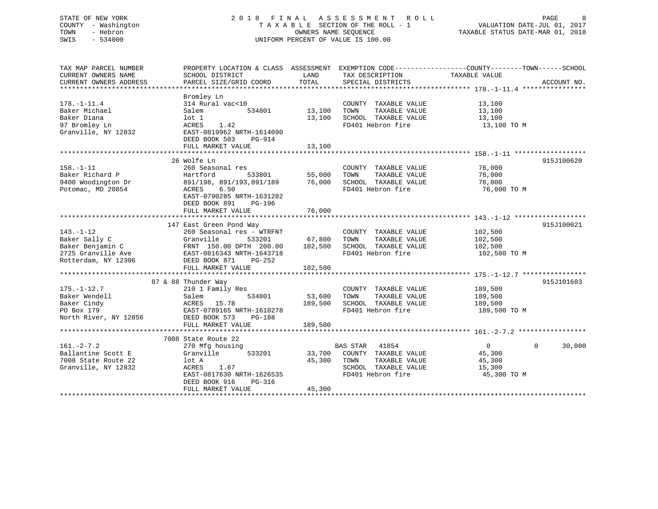## STATE OF NEW YORK 2 0 1 8 F I N A L A S S E S S M E N T R O L L PAGE 8 COUNTY - Washington T A X A B L E SECTION OF THE ROLL - 1 VALUATION DATE-JUL 01, 2017 TOWN - Hebron **CONNERS NAME SEQUENCE** TAXABLE STATUS DATE-MAR 01, 2018 SWIS - 534000 UNIFORM PERCENT OF VALUE IS 100.00

| TAX MAP PARCEL NUMBER  | PROPERTY LOCATION & CLASS ASSESSMENT |         | EXEMPTION CODE-----------------COUNTY-------TOWN------SCHOOL |                            |             |
|------------------------|--------------------------------------|---------|--------------------------------------------------------------|----------------------------|-------------|
| CURRENT OWNERS NAME    | SCHOOL DISTRICT                      | LAND    | TAX DESCRIPTION                                              | TAXABLE VALUE              |             |
| CURRENT OWNERS ADDRESS | PARCEL SIZE/GRID COORD               | TOTAL   | SPECIAL DISTRICTS                                            |                            | ACCOUNT NO. |
|                        |                                      |         |                                                              |                            |             |
|                        | Bromley Ln                           |         |                                                              |                            |             |
| $178. - 1 - 11.4$      | 314 Rural vac<10                     |         | COUNTY TAXABLE VALUE                                         | 13,100                     |             |
| Baker Michael          | 534801<br>Salem                      | 13,100  | TOWN<br>TAXABLE VALUE                                        | 13,100                     |             |
| Baker Diana            | lot 1                                | 13,100  | SCHOOL TAXABLE VALUE                                         | 13,100                     |             |
| 97 Bromley Ln          | 1.42<br>ACRES                        |         | FD401 Hebron fire                                            | 13,100 TO M                |             |
| Granville, NY 12832    | EAST-0819962 NRTH-1614090            |         |                                                              |                            |             |
|                        | DEED BOOK 503<br>PG-914              |         |                                                              |                            |             |
|                        | FULL MARKET VALUE                    | 13,100  |                                                              |                            |             |
|                        |                                      |         |                                                              |                            |             |
|                        | 26 Wolfe Ln                          |         |                                                              |                            | 915J100620  |
| $158. - 1 - 11$        | 260 Seasonal res                     |         | COUNTY TAXABLE VALUE                                         | 76,000                     |             |
| Baker Richard P        | Hartford<br>533801                   | 55,000  | TOWN<br>TAXABLE VALUE                                        | 76,000                     |             |
| 9400 Woodington Dr     | 891/198, 891/193,891/189 76,000      |         | SCHOOL TAXABLE VALUE                                         | 76,000                     |             |
| Potomac, MD 20854      | ACRES<br>6.50                        |         | FD401 Hebron fire                                            | 76,000 TO M                |             |
|                        | EAST-0790285 NRTH-1631282            |         |                                                              |                            |             |
|                        | DEED BOOK 891<br>PG-196              |         |                                                              |                            |             |
|                        |                                      |         |                                                              |                            |             |
|                        |                                      |         |                                                              |                            |             |
|                        | 147 East Green Pond Way              |         |                                                              |                            | 915J100021  |
| $143. - 1 - 12$        | 260 Seasonal res - WTRFNT            |         | COUNTY TAXABLE VALUE                                         | 102,500                    |             |
| Baker Sally C          | Granville<br>533201                  | 67,800  | TAXABLE VALUE<br>TOWN                                        | 102,500                    |             |
| Baker Benjamin C       | FRNT 150.00 DPTH 200.00              | 102,500 | SCHOOL TAXABLE VALUE                                         | 102,500                    |             |
| 2725 Granville Ave     | EAST-0816343 NRTH-1643718            |         | FD401 Hebron fire                                            | 102,500 TO M               |             |
| Rotterdam, NY 12306    | DEED BOOK 871<br>PG-252              |         |                                                              |                            |             |
|                        | FULL MARKET VALUE                    | 102,500 |                                                              |                            |             |
|                        |                                      |         |                                                              |                            |             |
|                        | 87 & 88 Thunder Way                  |         |                                                              |                            | 915J101603  |
| $175. - 1 - 12.7$      | 210 1 Family Res                     |         | COUNTY TAXABLE VALUE 189,500                                 |                            |             |
| Baker Wendell          | 534801<br>Salem                      | 53,600  | TOWN<br>TAXABLE VALUE                                        |                            |             |
| Baker Cindy            | ACRES 15.78                          | 189,500 | SCHOOL TAXABLE VALUE                                         | 189,500<br>189,500         |             |
| PO Box 179             | EAST-0789165 NRTH-1610278            |         | FD401 Hebron fire                                            | 189,500 TO M               |             |
|                        |                                      |         |                                                              |                            |             |
| North River, NY 12856  | DEED BOOK 573<br><b>PG-188</b>       |         |                                                              |                            |             |
|                        | FULL MARKET VALUE                    | 189,500 |                                                              |                            |             |
|                        | 7008 State Route 22                  |         |                                                              |                            |             |
| $161. - 2 - 7.2$       | 270 Mfg housing                      |         | <b>BAS STAR</b><br>41854                                     | $\overline{0}$<br>$\Omega$ | 30,000      |
| Ballantine Scott E     | 533201<br>Granville                  |         | 33,700 COUNTY TAXABLE VALUE                                  | 45,300                     |             |
| 7008 State Route 22    | lot A                                | 45,300  | TOWN<br>TAXABLE VALUE                                        | 45,300                     |             |
| Granville, NY 12832    | 1.67<br>ACRES                        |         | SCHOOL TAXABLE VALUE                                         | 15,300                     |             |
|                        |                                      |         |                                                              |                            |             |
|                        | EAST-0817630 NRTH-1626535            |         | FD401 Hebron fire                                            | 45,300 TO M                |             |
|                        | DEED BOOK 916<br>PG-316              |         |                                                              |                            |             |
|                        | FULL MARKET VALUE                    | 45,300  |                                                              |                            |             |
|                        |                                      |         |                                                              |                            |             |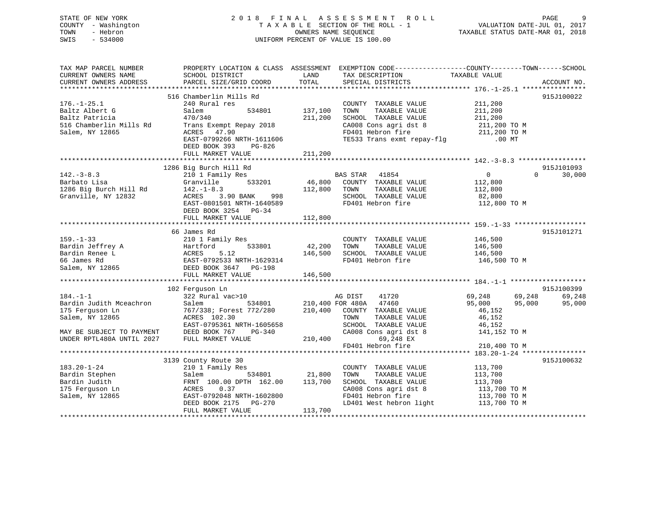## STATE OF NEW YORK 2 0 1 8 F I N A L A S S E S S M E N T R O L L PAGE 9 COUNTY - Washington T A X A B L E SECTION OF THE ROLL - 1 VALUATION DATE-JUL 01, 2017 TOWN - Hebron OWNERS NAME SEQUENCE TAXABLE STATUS DATE-MAR 01, 2018 SWIS - 534000 UNIFORM PERCENT OF VALUE IS 100.00

| LAND                                                                                                                                                                                                                                 |                         |                    |
|--------------------------------------------------------------------------------------------------------------------------------------------------------------------------------------------------------------------------------------|-------------------------|--------------------|
| CURRENT OWNERS NAME<br>SCHOOL DISTRICT<br>TAX DESCRIPTION                                                                                                                                                                            | TAXABLE VALUE           |                    |
| CURRENT OWNERS ADDRESS<br>TOTAL<br>SPECIAL DISTRICTS<br>PARCEL SIZE/GRID COORD                                                                                                                                                       |                         | ACCOUNT NO.        |
|                                                                                                                                                                                                                                      |                         |                    |
| 516 Chamberlin Mills Rd                                                                                                                                                                                                              |                         | 915J100022         |
| $176. - 1 - 25.1$<br>COUNTY TAXABLE VALUE<br>240 Rural res                                                                                                                                                                           | 211,200                 |                    |
| 534801 137,100<br>TAXABLE VALUE<br>Baltz Albert G<br>Salem<br>TOWN                                                                                                                                                                   | 211,200                 |                    |
| 211,200<br>Baltz Patricia<br>470/340<br>SCHOOL TAXABLE VALUE                                                                                                                                                                         | 211,200                 |                    |
| CA008 Cons agri dst 8 211,200 TO M                                                                                                                                                                                                   |                         |                    |
| 516 Chamberlin Mills Rd<br>Trans Exempt Repay 2018                                                                                                                                                                                   |                         |                    |
| FD401 Hebron fire 211,200 TO M<br>TE533 Trans exmt repay-flg .00 MT<br>Salem, NY 12865<br>ACRES 47.90                                                                                                                                |                         |                    |
| EAST-0799266 NRTH-1611606                                                                                                                                                                                                            |                         |                    |
| DEED BOOK 393<br>PG-826                                                                                                                                                                                                              |                         |                    |
| 211,200<br>FULL MARKET VALUE                                                                                                                                                                                                         |                         |                    |
|                                                                                                                                                                                                                                      |                         |                    |
| 1286 Big Burch Hill Rd                                                                                                                                                                                                               |                         | 915J101093         |
| $142 - 3 - 8.3$<br>210 1 Family Res<br>BAS STAR 41854                                                                                                                                                                                | $\overline{0}$          | 30,000<br>$\Omega$ |
| 533201 46,800<br>COUNTY TAXABLE VALUE<br>Barbato Lisa<br>Granville                                                                                                                                                                   | 112,800                 |                    |
| 112,800 TOWN<br>TAXABLE VALUE                                                                                                                                                                                                        | 112,800                 |                    |
| 1286 Big Burch Hill Rd $142.-1-8.3$<br>998<br>SCHOOL TAXABLE VALUE                                                                                                                                                                   |                         |                    |
| Granville, NY 12832<br>3.90 BANK<br>ACRES                                                                                                                                                                                            | 82,800                  |                    |
| EAST-0801501 NRTH-1640589<br>FD401 Hebron fire                                                                                                                                                                                       | 112,800 TO M            |                    |
| DEED BOOK 3254 PG-34                                                                                                                                                                                                                 |                         |                    |
| 112,800<br>FULL MARKET VALUE                                                                                                                                                                                                         |                         |                    |
|                                                                                                                                                                                                                                      |                         |                    |
| 66 James Rd                                                                                                                                                                                                                          |                         | 915J101271         |
| $159. - 1 - 33$<br>COUNTY TAXABLE VALUE 146,500<br>210 1 Family Res                                                                                                                                                                  |                         |                    |
| 42,200<br>TOWN<br>TAXABLE VALUE                                                                                                                                                                                                      |                         |                    |
| Bardin Jeffrey A Martford 533801<br>Bardin Renee L ACRES 5.12<br>66 James Rd EAST-0792533 NRTH-1629314<br>Salem, NY 12865 DEED BOOK 3647 PG-198<br>146,500<br>SCHOOL TAXABLE VALUE                                                   | 146,500<br>146,500      |                    |
| FD401 Hebron fire 146,500 TO M                                                                                                                                                                                                       |                         |                    |
|                                                                                                                                                                                                                                      |                         |                    |
|                                                                                                                                                                                                                                      |                         |                    |
| 146,500<br>FULL MARKET VALUE                                                                                                                                                                                                         |                         |                    |
|                                                                                                                                                                                                                                      |                         |                    |
| 102 Ferguson Ln                                                                                                                                                                                                                      |                         | 915J100399         |
| $184. - 1 - 1$<br>41720<br>322 Rural vac>10<br>AG DIST                                                                                                                                                                               | 69,248<br>69,248        | 69,248             |
| 534801 210,400 FOR 480A 47460<br>Bardin Judith Mceachron<br>Salem                                                                                                                                                                    | 95,000<br>95,000        | 95,000             |
| 767/338; Forest 772/280 210,400 COUNTY TAXABLE VALUE<br>175 Ferguson Ln                                                                                                                                                              | 46,152                  |                    |
| Salem, NY 12865<br>ACRES 102.30<br>TOWN<br>TAXABLE VALUE                                                                                                                                                                             | 46,152                  |                    |
| EAST-0795361 NRTH-1605658<br>SCHOOL TAXABLE VALUE                                                                                                                                                                                    | 46,152                  |                    |
| CA008 Cons agri dst 8<br>MAY BE SUBJECT TO PAYMENT<br>DEED BOOK 767<br>PG-340                                                                                                                                                        | 141,152 TO M            |                    |
| UNDER RPTL480A UNTIL 2027<br>210,400<br>FULL MARKET VALUE<br>69,248 EX                                                                                                                                                               |                         |                    |
| FD401 Hebron fire                                                                                                                                                                                                                    | 210,400 TO M            |                    |
|                                                                                                                                                                                                                                      |                         |                    |
|                                                                                                                                                                                                                                      |                         |                    |
| 3139 County Route 30                                                                                                                                                                                                                 |                         | 915J100632         |
| $183.20 - 1 - 24$<br>210 1 Family Res<br>COUNTY TAXABLE VALUE                                                                                                                                                                        | 113,700                 |                    |
| 534801 21,800<br>Bardin Stephen<br>TOWN<br>TAXABLE VALUE<br>Salem                                                                                                                                                                    | 113,700                 |                    |
| Bardin Judith<br>FRNT 100.00 DPTH 162.00 113,700<br>SCHOOL TAXABLE VALUE                                                                                                                                                             | 113,700<br>113,700 TO M |                    |
|                                                                                                                                                                                                                                      |                         |                    |
| 0.37<br>175 Ferguson Ln<br>ACRES                                                                                                                                                                                                     |                         |                    |
| Salem, NY 12865<br>EAST-0792048 NRTH-1602800                                                                                                                                                                                         |                         |                    |
|                                                                                                                                                                                                                                      |                         |                    |
| CA008 Cons agri dst 8 $\begin{array}{cc} 113,700 \text{ TO M} \\ \text{FD401} \text{ Hebron fire} \\ \text{LD401} \text{ West hebron light} \\ \end{array}$ 113,700 TO M<br>DEED BOOK 2175<br>PG-270<br>113,700<br>FULL MARKET VALUE |                         |                    |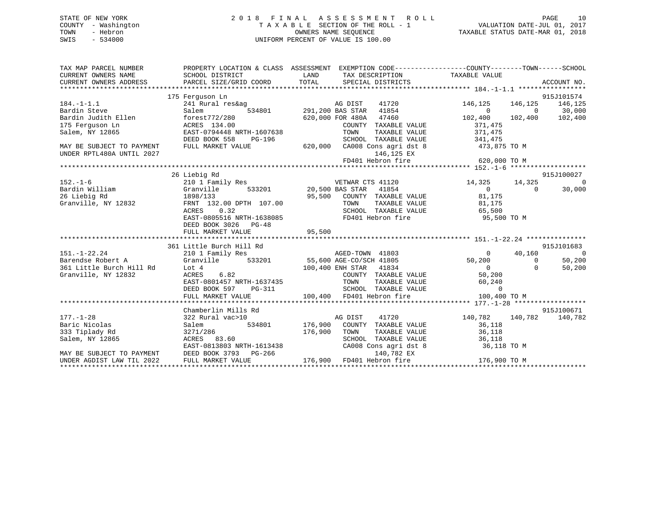## STATE OF NEW YORK 2 0 1 8 F I N A L A S S E S S M E N T R O L L PAGE 10 COUNTY - Washington T A X A B L E SECTION OF THE ROLL - 1 VALUATION DATE-JUL 01, 2017 TOWN - Hebron OWNERS NAME SEQUENCE TAXABLE STATUS DATE-MAR 01, 2018 SWIS - 534000 UNIFORM PERCENT OF VALUE IS 100.00

| TAX MAP PARCEL NUMBER<br>CURRENT OWNERS NAME<br>CURRENT OWNERS ADDRESS                                                                                  | SCHOOL DISTRICT<br>PARCEL SIZE/GRID COORD TOTAL                                                                                                                                              | LAND<br>TAX DESCRIPTION TAXABLE VALUE<br>SPECIAL DISTRICTS                                                                                                                                                                                                                                    | PROPERTY LOCATION & CLASS ASSESSMENT EXEMPTION CODE---------------COUNTY-------TOWN-----SCHOOL<br>ACCOUNT NO.                                                                          |
|---------------------------------------------------------------------------------------------------------------------------------------------------------|----------------------------------------------------------------------------------------------------------------------------------------------------------------------------------------------|-----------------------------------------------------------------------------------------------------------------------------------------------------------------------------------------------------------------------------------------------------------------------------------------------|----------------------------------------------------------------------------------------------------------------------------------------------------------------------------------------|
| $184. - 1 - 1.1$<br>Bardin Steve<br>Bardin Judith Ellen<br>175 Ferquson Ln<br>Salem, NY 12865<br>MAY BE SUBJECT TO PAYMENT<br>UNDER RPTL480A UNTIL 2027 | 175 Ferguson Ln<br>241 Rural res&ag<br>Salem<br>forest772/280<br>ACRES 134.00<br>EAST-0794448 NRTH-1607638<br>DEED BOOK 558<br>PG-196<br>FULL MARKET VALUE                                   | Mag bist the 11720<br>1854 534801 1854, 291, 200 BAS STAR 41854<br>620,000 FOR 480A 47460<br>COUNTY TAXABLE VALUE<br>TOWN<br>TAXABLE VALUE<br>SCHOOL TAXABLE VALUE<br>620,000 CA008 Cons agri dst 8<br>146,125 EX<br>FD401 Hebron fire                                                        | 915J101574<br>146,125<br>146,125<br>146,125<br>$\Omega$<br>$0$ 30,000<br>102,400 102,400<br>102,400<br>371,475<br>371,475<br>341,475<br>473,875 TO M<br>620,000 TO M                   |
| $152. - 1 - 6$<br>152.-1-o<br>Bardin William<br>Contributor Pd<br>Granville, NY 12832                                                                   | 26 Liebig Rd<br>210 1 Family Res<br>Granville<br>Granville<br>1898/133<br>FRNT 132.00 DPTH 107.00<br>ACRES<br>0.32<br>EAST-0805516 NRTH-1638085<br>DEED BOOK 3026 PG-48<br>FULL MARKET VALUE | VETWAR CTS 41120<br>533201 20,500 BAS STAR 41854<br>95,500 COUNTY TAXABLE VALUE<br>TOWN<br>SCHOOL TAXABLE VALUE 65,500<br>FD401 Hebron fire<br>95,500                                                                                                                                         | 915J100027<br>14,325 14,325<br>$\overline{0}$<br>$\Omega$<br>$\Omega$<br>30,000<br>81,175<br>TAXABLE VALUE 81,175<br>95,500 TO M                                                       |
| $151. - 1 - 22.24$<br>361 Little Burch Hill Rd Lot 4<br>Granville, NY 12832                                                                             | 361 Little Burch Hill Rd<br>210 1 Family Res<br>ACRES 6.82<br>EAST-0801457 NRTH-1637435<br>PG-311<br>DEED BOOK 597<br>FULL MARKET VALUE                                                      | AGED-TOWN 41803<br>Barendse Robert A                   Granville          533201           55,600 AGE-CO/SCH 41805<br>100,400 ENH STAR 41834<br>COUNTY TAXABLE VALUE<br>TOWN TAXABLE VALUE<br>SCHOOL TAXABLE VALUE<br>FD401 Hebron fire 10<br>100,400 FD401 Hebron fire                       | 915J101683<br>40,160<br>$\sim$ 0<br>$\overline{0}$<br>50,200<br>50,200<br>$\Omega$<br>$\begin{matrix} 0 \\ 0 \end{matrix}$<br>50,200<br>$\Omega$<br>60,240<br>$\Omega$<br>100,400 TO M |
| $177. - 1 - 28$<br>Baric Nicolas<br>333 Tiplady Rd<br>Salem, NY 12865<br>MAY BE SUBJECT TO PAYMENT<br>UNDER AGDIST LAW TIL 2022 FULL MARKET VALUE       | Chamberlin Mills Rd<br>322 Rural vac>10<br>534801<br>Salem<br>3271/286<br>ACRES 83.60<br>EAST-0813803 NRTH-1613438<br>EAST-0813803 NRTH-1613438                                              | 41720<br>AG DIST<br>176,900 COUNTY TAXABLE VALUE<br>176,900<br>TOWN<br>TAXABLE VALUE<br>SCHOOL TAXABLE VALUE<br>CA008 Cons agri dst 8<br>EASI-0013003 AKAM -2012<br>DEED BOOK 3793 PG-266 176,900 FD401 Hebron fire 176,900 TO M<br>πππ.π ΜΑRΚΕΤ VALUE 176,900 FD401 Hebron fire 176,900 TO M | 915J100671<br>140,782<br>140,782<br>140,782<br>36,118<br>36,118<br>36,118<br>36,118 TO M                                                                                               |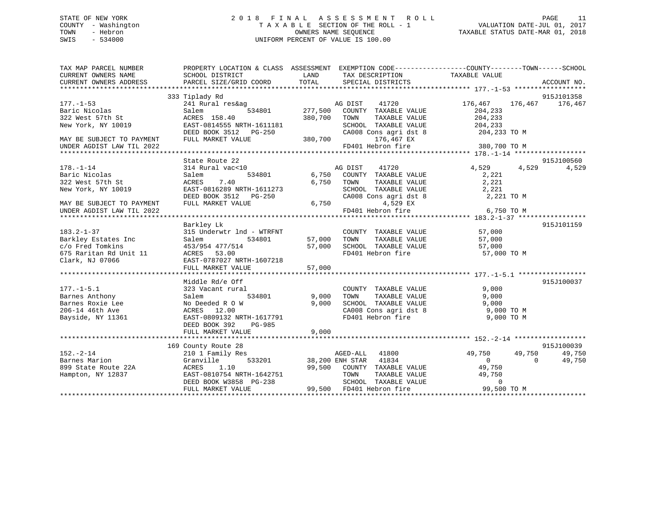## STATE OF NEW YORK 2 0 1 8 F I N A L A S S E S S M E N T R O L L PAGE 11 COUNTY - Washington T A X A B L E SECTION OF THE ROLL - 1 VALUATION DATE-JUL 01, 2017 TOWN - Hebron OWNERS NAME SEQUENCE TAXABLE STATUS DATE-MAR 01, 2018 SWIS - 534000 UNIFORM PERCENT OF VALUE IS 100.00

| TAX MAP PARCEL NUMBER<br>CURRENT OWNERS NAME                                                             | PROPERTY LOCATION & CLASS ASSESSMENT EXEMPTION CODE----------------COUNTY-------TOWN-----SCHOOL<br>SCHOOL DISTRICT                                | LAND                  | TAX DESCRIPTION TAXABLE VALUE                                                                                                                                 |                                                                                         |                                |
|----------------------------------------------------------------------------------------------------------|---------------------------------------------------------------------------------------------------------------------------------------------------|-----------------------|---------------------------------------------------------------------------------------------------------------------------------------------------------------|-----------------------------------------------------------------------------------------|--------------------------------|
| CURRENT OWNERS ADDRESS                                                                                   | PARCEL SIZE/GRID COORD                                                                                                                            | TOTAL                 | SPECIAL DISTRICTS                                                                                                                                             |                                                                                         | ACCOUNT NO.                    |
|                                                                                                          | 333 Tiplady Rd                                                                                                                                    |                       |                                                                                                                                                               |                                                                                         | 915J101358                     |
| $177. - 1 - 53$<br>Baric Nicolas<br>322 West 57th St                                                     | 241 Rural res&ag<br>534801<br>Salem<br>ACRES 158.40                                                                                               | 277,500<br>380,700    | AG DIST<br>41720<br>COUNTY TAXABLE VALUE<br>TOWN<br>TAXABLE VALUE                                                                                             | 176,467<br>176,467<br>204,233<br>204,233                                                | 176,467                        |
| New York, NY 10019<br>MAY BE SUBJECT TO PAYMENT                                                          | EAST-0814555 NRTH-1611181<br>DEED BOOK 3512 PG-250<br>FULL MARKET VALUE                                                                           | 380,700               | SCHOOL TAXABLE VALUE<br>SUNUUL TAXABLE VALUE<br>CA008 Cons agri dst 8<br>176,467 EX                                                                           | 204,233<br>204,233 TO M                                                                 |                                |
| UNDER AGDIST LAW TIL 2022                                                                                |                                                                                                                                                   |                       | FD401 Hebron fire                                                                                                                                             | 380,700 TO M                                                                            |                                |
|                                                                                                          |                                                                                                                                                   |                       |                                                                                                                                                               |                                                                                         |                                |
| $178. - 1 - 14$<br>Baric Nicolas<br>322 West 57th St                                                     | State Route 22<br>314 Rural vac<10<br>Salem<br>ACRES<br>7.40                                                                                      | 534801 6,750<br>6,750 | AG DIST<br>41720<br>COUNTY TAXABLE VALUE<br>TAXABLE VALUE<br>TOWN                                                                                             | 4,529<br>4,529<br>2,221<br>2,221                                                        | 915J100560<br>4,529            |
| New York, NY 10019<br>MAY BE SUBJECT TO PAYMENT                                                          | EAST-0816289 NRTH-1611273<br>DEED BOOK 3512 PG-250<br>FULL MARKET VALUE                                                                           | 6,750                 | SCHOOL TAXABLE VALUE<br>CA008 Cons agri dst 8<br>4,529 EX                                                                                                     | 2,221<br>2,221 TO M                                                                     |                                |
| UNDER AGDIST LAW TIL 2022                                                                                |                                                                                                                                                   |                       | FD401 Hebron fire                                                                                                                                             | 6,750 TO M                                                                              |                                |
|                                                                                                          |                                                                                                                                                   |                       |                                                                                                                                                               |                                                                                         | 915J101159                     |
| $183.2 - 1 - 37$<br>Barkley Estates Inc<br>c/o Fred Tomkins<br>675 Raritan Rd Unit 11<br>Clark, NJ 07066 | Barkley Lk<br>315 Underwtr lnd - WTRFNT<br>534801<br>Salem<br>453/954 477/514<br>ACRES 53.00<br>EAST-0787027 NRTH-1607218                         | 57,000<br>57,000      | COUNTY TAXABLE VALUE<br>TAXABLE VALUE<br>TOWN<br>SCHOOL TAXABLE VALUE<br>FD401 Hebron fire                                                                    | 57,000<br>57,000<br>57,000<br>57,000 TO M                                               |                                |
|                                                                                                          | FULL MARKET VALUE                                                                                                                                 | 57,000                |                                                                                                                                                               |                                                                                         |                                |
| $177. - 1 - 5.1$<br>Barnes Anthony<br>Barnes Roxie Lee                                                   | Middle Rd/e Off<br>323 Vacant rural<br>534801<br>Salem<br>No Deeded R O W                                                                         | 9,000<br>9,000        | COUNTY TAXABLE VALUE<br>TOWN<br>TAXABLE VALUE<br>SCHOOL TAXABLE VALUE<br>SCHOOL TAXABLE VALUE<br>CA008 Cons agri dst 8                                        | 9,000<br>9,000<br>9,000                                                                 | 915J100037                     |
| 206-14 46th Ave<br>Bayside, NY 11361                                                                     | ACRES 12.00<br>EAST-0809132 NRTH-1617791<br>DEED BOOK 392<br>PG-985<br>FULL MARKET VALUE                                                          | 9,000                 | FD401 Hebron fire                                                                                                                                             | 9,000 TO M<br>9,000 TO M                                                                |                                |
|                                                                                                          |                                                                                                                                                   |                       |                                                                                                                                                               |                                                                                         |                                |
| $152. - 2 - 14$<br>Barnes Marion<br>899 State Route 22A<br>Hampton, NY 12837                             | 169 County Route 28<br>210 1 Family Res<br>Granville<br>ACRES<br>1.10<br>EAST-0810754 NRTH-1642751<br>DEED BOOK W3858 PG-238<br>FULL MARKET VALUE |                       | AGED-ALL<br>41800<br>533201 38,200 ENH STAR 41834<br>99,500 COUNTY TAXABLE VALUE<br>TOWN<br>TAXABLE VALUE<br>SCHOOL TAXABLE VALUE<br>99,500 FD401 Hebron fire | 49,750<br>49,750<br>$\Omega$<br>$\Omega$<br>49,750<br>49,750<br>$\Omega$<br>99,500 TO M | 915J100039<br>49,750<br>49,750 |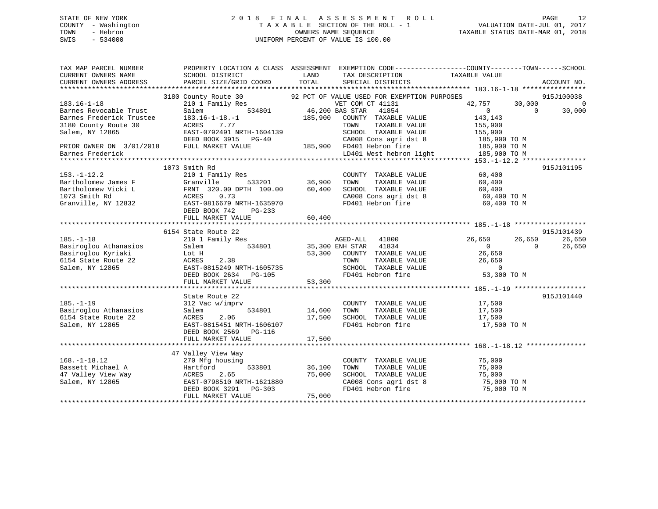## STATE OF NEW YORK 2 0 1 8 F I N A L A S S E S S M E N T R O L L PAGE 12 COUNTY - Washington T A X A B L E SECTION OF THE ROLL - 1 VALUATION DATE-JUL 01, 2017 TOWN - Hebron OWNERS NAME SEQUENCE TAXABLE STATUS DATE-MAR 01, 2018 SWIS - 534000 UNIFORM PERCENT OF VALUE IS 100.00

| TAX MAP PARCEL NUMBER<br>CURRENT OWNERS NAME        | PROPERTY LOCATION & CLASS ASSESSMENT EXEMPTION CODE---------------COUNTY-------TOWN------SCHOOL<br>SCHOOL DISTRICT | LAND                   | TAX DESCRIPTION TAXABLE VALUE     |                      |             |
|-----------------------------------------------------|--------------------------------------------------------------------------------------------------------------------|------------------------|-----------------------------------|----------------------|-------------|
| CURRENT OWNERS ADDRESS                              | PARCEL SIZE/GRID COORD                                                                                             | TOTAL                  | SPECIAL DISTRICTS                 |                      | ACCOUNT NO. |
|                                                     |                                                                                                                    |                        |                                   |                      | 915J100038  |
| $183.16 - 1 - 18$                                   | 3180 County Route 30 92 PCT OF VALUE USED FOR EXEMPTION PURPOSES<br>210 1 Family Res                               |                        | VET COM CT 41131                  | 42,757<br>30,000     | $\bigcirc$  |
| Barnes Revocable Trust                              | Salem                                                                                                              | 534801 46,200 BAS STAR | 41854                             | $\Omega$<br>$\Omega$ | 30,000      |
| Barnes Revocation 11.1.<br>Barnes Frederick Trustee | $183.16 - 1 - 18. - 1$                                                                                             | 185,900                | COUNTY TAXABLE VALUE              | 143,143              |             |
| 3180 County Route 30                                | ACRES<br>7.77                                                                                                      |                        | TOWN<br>TAXABLE VALUE             | 155,900              |             |
| Salem, NY 12865                                     | EAST-0792491 NRTH-1604139                                                                                          |                        | SCHOOL TAXABLE VALUE              | 155,900              |             |
|                                                     | DEED BOOK 3915<br>$PG-40$                                                                                          |                        | CA008 Cons agri dst 8             | 185,900 TO M         |             |
| PRIOR OWNER ON 3/01/2018 FULL MARKET VALUE          |                                                                                                                    |                        | 185,900 FD401 Hebron fire         | 185,900 TO M         |             |
|                                                     |                                                                                                                    |                        | LD401 West hebron light           |                      |             |
| Barnes Frederick                                    |                                                                                                                    |                        |                                   | 185,900 TO M         |             |
|                                                     |                                                                                                                    |                        |                                   |                      |             |
|                                                     | 1073 Smith Rd                                                                                                      |                        |                                   |                      | 915J101195  |
| $153. - 1 - 12.2$                                   | 210 1 Family Res                                                                                                   |                        | COUNTY TAXABLE VALUE              | 60,400               |             |
| Bartholomew James F                                 | Granville                                                                                                          | 533201 36,900          | TOWN<br>TAXABLE VALUE             | 60,400               |             |
| Bartholomew Vicki L                                 | FRNT 320.00 DPTH 100.00                                                                                            | 60,400                 | SCHOOL TAXABLE VALUE              | 60,400               |             |
| 1073 Smith Rd                                       | ACRES<br>0.73                                                                                                      |                        | CA008 Cons agri dst 8 60,400 TO M |                      |             |
| Granville, NY 12832                                 | EAST-0816679 NRTH-1635970                                                                                          |                        | FD401 Hebron fire                 | 60,400 TO M          |             |
|                                                     | DEED BOOK 742<br>$PG-233$                                                                                          |                        |                                   |                      |             |
|                                                     | FULL MARKET VALUE                                                                                                  | 60,400                 |                                   |                      |             |
|                                                     |                                                                                                                    |                        |                                   |                      |             |
|                                                     | 6154 State Route 22                                                                                                |                        |                                   |                      | 915J101439  |
| $185. - 1 - 18$                                     | 210 1 Family Res                                                                                                   |                        | AGED-ALL 41800                    | 26,650<br>26,650     | 26,650      |
| Basiroglou Athanasios                               | 534801<br>Salem                                                                                                    | 35,300 ENH STAR        | 41834                             | $\Omega$<br>$\Omega$ | 26,650      |
| Basiroglou Kyriaki                                  | Lot H                                                                                                              |                        | 53,300 COUNTY TAXABLE VALUE       | 26,650               |             |
| 6154 State Route 22                                 | 2.38<br>ACRES                                                                                                      |                        | TAXABLE VALUE<br>TOWN             | 26,650               |             |
| Salem, NY 12865                                     | EAST-0815249 NRTH-1605735                                                                                          |                        | SCHOOL TAXABLE VALUE              | $\mathbf 0$          |             |
|                                                     | DEED BOOK 2634<br>$PG-105$                                                                                         |                        | FD401 Hebron fire                 | 53,300 TO M          |             |
|                                                     | FULL MARKET VALUE                                                                                                  | 53,300                 |                                   |                      |             |
|                                                     |                                                                                                                    |                        |                                   |                      |             |
|                                                     | State Route 22                                                                                                     |                        |                                   |                      | 915J101440  |
| $185. - 1 - 19$                                     | 312 Vac w/imprv                                                                                                    |                        | COUNTY TAXABLE VALUE 17,500       |                      |             |
| Basiroglou Athanasios                               | 534801<br>Salem                                                                                                    | 14,600                 | TAXABLE VALUE<br>TOWN             | 17,500               |             |
| 6154 State Route 22                                 | 2.06<br>ACRES                                                                                                      | 17,500                 | SCHOOL TAXABLE VALUE              | 17,500               |             |
| Salem, NY 12865                                     | EAST-0815451 NRTH-1606107                                                                                          |                        | FD401 Hebron fire                 | 17,500 TO M          |             |
|                                                     | DEED BOOK 2569 PG-116                                                                                              |                        |                                   |                      |             |
|                                                     | FULL MARKET VALUE                                                                                                  | 17,500                 |                                   |                      |             |
|                                                     |                                                                                                                    |                        |                                   |                      |             |
|                                                     | 47 Valley View Way                                                                                                 |                        |                                   |                      |             |
| $168. - 1 - 18.12$                                  | 270 Mfg housing                                                                                                    |                        | COUNTY TAXABLE VALUE              | 75,000               |             |
| Bassett Michael A                                   | 533801<br>Hartford                                                                                                 | 36,100                 | TOWN<br>TAXABLE VALUE             | 75,000               |             |
| 47 Valley View Way                                  | 2.65<br>ACRES                                                                                                      | 75,000                 | SCHOOL TAXABLE VALUE              | 75,000               |             |
| Salem, NY 12865                                     | EAST-0798510 NRTH-1621880                                                                                          |                        | CA008 Cons agri dst 8             | 75,000 TO M          |             |
|                                                     | DEED BOOK 3291<br>PG-303                                                                                           |                        | FD401 Hebron fire                 | 75,000 TO M          |             |
|                                                     | FULL MARKET VALUE                                                                                                  | 75,000                 |                                   |                      |             |
|                                                     |                                                                                                                    |                        |                                   |                      |             |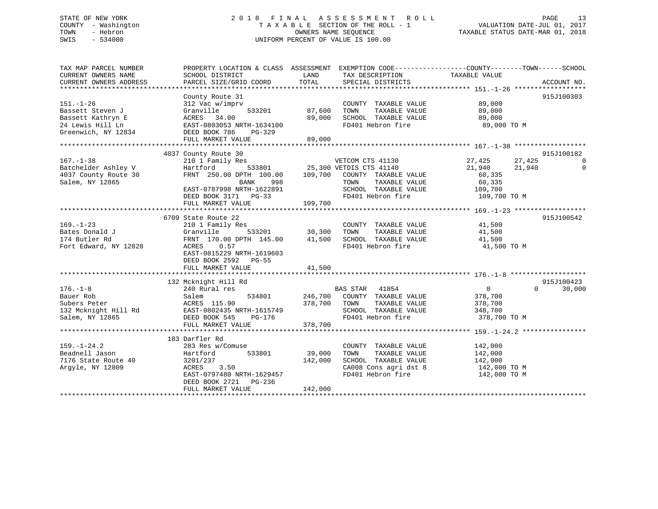## STATE OF NEW YORK 2 0 1 8 F I N A L A S S E S S M E N T R O L L PAGE 13 COUNTY - Washington T A X A B L E SECTION OF THE ROLL - 1 VALUATION DATE-JUL 01, 2017 TOWN - Hebron OWNERS NAME SEQUENCE TAXABLE STATUS DATE-MAR 01, 2018 SWIS - 534000 UNIFORM PERCENT OF VALUE IS 100.00

| TAXABLE VALUE<br>TOTAL<br>CURRENT OWNERS ADDRESS<br>PARCEL SIZE/GRID COORD<br>SPECIAL DISTRICTS<br>ACCOUNT NO.<br>County Route 31<br>915J100303<br>89,000<br>$151. - 1 - 26$<br>312 Vac w/imprv<br>COUNTY TAXABLE VALUE<br>TAXABLE VALUE 89,000<br>533201<br>87,600<br>Bassett Steven J<br>Granville<br>TOWN<br>89,000<br>SCHOOL TAXABLE VALUE 69,000<br>FD401 Hebron fire<br>89,000 TO M<br>FULL MARKET VALUE<br>89,000<br>4037 County Route 30<br>915J100182<br>210 1 Family Res<br>VETCOM CTS 41130<br>27,425<br>27,425<br>$\overline{\phantom{0}}$<br>Hartford 533801 25,300 VETDIS CTS 41140<br>FRNT 250.00 DPTH 100.00 109,700 COUNTY TAXABLE VALUE<br>21,940 21,940<br>$\overline{0}$<br>60,335<br>60,335<br>BANK<br>998<br>TOWN<br>TAXABLE VALUE<br>EAST-0787998 NRTH-1622891<br>SCHOOL TAXABLE VALUE 109,700<br>FD401 Hebron fire 109,700<br>DEED BOOK 3171 PG-33<br>109,700 TO M<br>109,700<br>FULL MARKET VALUE<br>915J100542<br>6709 State Route 22<br>$169. - 1 - 23$<br>210 1 Family Res<br>41,500<br>41,500<br>COUNTY TAXABLE VALUE<br>TOWN      TAXABLE VALUE<br>Bates Donald J<br>SCHOOL TAXABLE VALUE 41,500<br>Fort Edward, NY 12828<br>FD401 Hebron fire<br>41,500 TO M<br>EAST-0815229 NRTH-1619603<br>DEED BOOK 2592 PG-55<br>41,500<br>FULL MARKET VALUE<br>915J100423<br>132 Mcknight Hill Rd<br>$176. - 1 - 8$<br>BAS STAR 41854<br>$\overline{0}$<br>$\Omega$<br>240 Rural res<br>30,000<br>534801 246,700 COUNTY TAXABLE VALUE<br>378,700<br>Bauer Rob<br>Salem<br>ACRES 115.90<br>TAXABLE VALUE 378,700<br>Subers Peter<br>378,700 TOWN<br>SCHOOL TAXABLE VALUE 348,700<br>FD401 Hebron fire<br>378,700 TO M<br>378,700<br>FULL MARKET VALUE<br>183 Darfler Rd<br>$159. - 1 - 24.2$<br>283 Res w/Comuse<br>COUNTY TAXABLE VALUE<br>142,000<br>142,000<br>39,000<br>Beadnell Jason<br>Hartford<br>533801<br>TAXABLE VALUE<br>TOWN<br>7176 State Route 40 3201/237<br>SCHOOL TAXABLE VALUE 142,000<br>142,000<br>CA008 Cons agri dst 8<br>-- 101 Tebron fire<br>Arqyle, NY 12809<br>ACRES 3.50<br>142,000 TO M<br>EAST-0797480 NRTH-1629457<br>FD401 Hebron fire<br>142,000 TO M | TAX MAP PARCEL NUMBER | PROPERTY LOCATION & CLASS ASSESSMENT EXEMPTION CODE----------------COUNTY-------TOWN-----SCHOOL |      |                 |  |
|------------------------------------------------------------------------------------------------------------------------------------------------------------------------------------------------------------------------------------------------------------------------------------------------------------------------------------------------------------------------------------------------------------------------------------------------------------------------------------------------------------------------------------------------------------------------------------------------------------------------------------------------------------------------------------------------------------------------------------------------------------------------------------------------------------------------------------------------------------------------------------------------------------------------------------------------------------------------------------------------------------------------------------------------------------------------------------------------------------------------------------------------------------------------------------------------------------------------------------------------------------------------------------------------------------------------------------------------------------------------------------------------------------------------------------------------------------------------------------------------------------------------------------------------------------------------------------------------------------------------------------------------------------------------------------------------------------------------------------------------------------------------------------------------------------------------------------------------------------------------------------------------------------------------------------------------------------------------------------------------------------------------------------------------------------------------------------------------------------|-----------------------|-------------------------------------------------------------------------------------------------|------|-----------------|--|
|                                                                                                                                                                                                                                                                                                                                                                                                                                                                                                                                                                                                                                                                                                                                                                                                                                                                                                                                                                                                                                                                                                                                                                                                                                                                                                                                                                                                                                                                                                                                                                                                                                                                                                                                                                                                                                                                                                                                                                                                                                                                                                            | CURRENT OWNERS NAME   | SCHOOL DISTRICT                                                                                 | LAND | TAX DESCRIPTION |  |
|                                                                                                                                                                                                                                                                                                                                                                                                                                                                                                                                                                                                                                                                                                                                                                                                                                                                                                                                                                                                                                                                                                                                                                                                                                                                                                                                                                                                                                                                                                                                                                                                                                                                                                                                                                                                                                                                                                                                                                                                                                                                                                            |                       |                                                                                                 |      |                 |  |
|                                                                                                                                                                                                                                                                                                                                                                                                                                                                                                                                                                                                                                                                                                                                                                                                                                                                                                                                                                                                                                                                                                                                                                                                                                                                                                                                                                                                                                                                                                                                                                                                                                                                                                                                                                                                                                                                                                                                                                                                                                                                                                            |                       |                                                                                                 |      |                 |  |
|                                                                                                                                                                                                                                                                                                                                                                                                                                                                                                                                                                                                                                                                                                                                                                                                                                                                                                                                                                                                                                                                                                                                                                                                                                                                                                                                                                                                                                                                                                                                                                                                                                                                                                                                                                                                                                                                                                                                                                                                                                                                                                            |                       |                                                                                                 |      |                 |  |
|                                                                                                                                                                                                                                                                                                                                                                                                                                                                                                                                                                                                                                                                                                                                                                                                                                                                                                                                                                                                                                                                                                                                                                                                                                                                                                                                                                                                                                                                                                                                                                                                                                                                                                                                                                                                                                                                                                                                                                                                                                                                                                            |                       |                                                                                                 |      |                 |  |
|                                                                                                                                                                                                                                                                                                                                                                                                                                                                                                                                                                                                                                                                                                                                                                                                                                                                                                                                                                                                                                                                                                                                                                                                                                                                                                                                                                                                                                                                                                                                                                                                                                                                                                                                                                                                                                                                                                                                                                                                                                                                                                            |                       |                                                                                                 |      |                 |  |
|                                                                                                                                                                                                                                                                                                                                                                                                                                                                                                                                                                                                                                                                                                                                                                                                                                                                                                                                                                                                                                                                                                                                                                                                                                                                                                                                                                                                                                                                                                                                                                                                                                                                                                                                                                                                                                                                                                                                                                                                                                                                                                            |                       |                                                                                                 |      |                 |  |
|                                                                                                                                                                                                                                                                                                                                                                                                                                                                                                                                                                                                                                                                                                                                                                                                                                                                                                                                                                                                                                                                                                                                                                                                                                                                                                                                                                                                                                                                                                                                                                                                                                                                                                                                                                                                                                                                                                                                                                                                                                                                                                            |                       |                                                                                                 |      |                 |  |
|                                                                                                                                                                                                                                                                                                                                                                                                                                                                                                                                                                                                                                                                                                                                                                                                                                                                                                                                                                                                                                                                                                                                                                                                                                                                                                                                                                                                                                                                                                                                                                                                                                                                                                                                                                                                                                                                                                                                                                                                                                                                                                            |                       |                                                                                                 |      |                 |  |
|                                                                                                                                                                                                                                                                                                                                                                                                                                                                                                                                                                                                                                                                                                                                                                                                                                                                                                                                                                                                                                                                                                                                                                                                                                                                                                                                                                                                                                                                                                                                                                                                                                                                                                                                                                                                                                                                                                                                                                                                                                                                                                            |                       |                                                                                                 |      |                 |  |
|                                                                                                                                                                                                                                                                                                                                                                                                                                                                                                                                                                                                                                                                                                                                                                                                                                                                                                                                                                                                                                                                                                                                                                                                                                                                                                                                                                                                                                                                                                                                                                                                                                                                                                                                                                                                                                                                                                                                                                                                                                                                                                            |                       |                                                                                                 |      |                 |  |
|                                                                                                                                                                                                                                                                                                                                                                                                                                                                                                                                                                                                                                                                                                                                                                                                                                                                                                                                                                                                                                                                                                                                                                                                                                                                                                                                                                                                                                                                                                                                                                                                                                                                                                                                                                                                                                                                                                                                                                                                                                                                                                            | $167. - 1 - 38$       |                                                                                                 |      |                 |  |
|                                                                                                                                                                                                                                                                                                                                                                                                                                                                                                                                                                                                                                                                                                                                                                                                                                                                                                                                                                                                                                                                                                                                                                                                                                                                                                                                                                                                                                                                                                                                                                                                                                                                                                                                                                                                                                                                                                                                                                                                                                                                                                            | Batchelder Ashley V   |                                                                                                 |      |                 |  |
|                                                                                                                                                                                                                                                                                                                                                                                                                                                                                                                                                                                                                                                                                                                                                                                                                                                                                                                                                                                                                                                                                                                                                                                                                                                                                                                                                                                                                                                                                                                                                                                                                                                                                                                                                                                                                                                                                                                                                                                                                                                                                                            | 4037 County Route 30  |                                                                                                 |      |                 |  |
|                                                                                                                                                                                                                                                                                                                                                                                                                                                                                                                                                                                                                                                                                                                                                                                                                                                                                                                                                                                                                                                                                                                                                                                                                                                                                                                                                                                                                                                                                                                                                                                                                                                                                                                                                                                                                                                                                                                                                                                                                                                                                                            | Salem, NY 12865       |                                                                                                 |      |                 |  |
|                                                                                                                                                                                                                                                                                                                                                                                                                                                                                                                                                                                                                                                                                                                                                                                                                                                                                                                                                                                                                                                                                                                                                                                                                                                                                                                                                                                                                                                                                                                                                                                                                                                                                                                                                                                                                                                                                                                                                                                                                                                                                                            |                       |                                                                                                 |      |                 |  |
|                                                                                                                                                                                                                                                                                                                                                                                                                                                                                                                                                                                                                                                                                                                                                                                                                                                                                                                                                                                                                                                                                                                                                                                                                                                                                                                                                                                                                                                                                                                                                                                                                                                                                                                                                                                                                                                                                                                                                                                                                                                                                                            |                       |                                                                                                 |      |                 |  |
|                                                                                                                                                                                                                                                                                                                                                                                                                                                                                                                                                                                                                                                                                                                                                                                                                                                                                                                                                                                                                                                                                                                                                                                                                                                                                                                                                                                                                                                                                                                                                                                                                                                                                                                                                                                                                                                                                                                                                                                                                                                                                                            |                       |                                                                                                 |      |                 |  |
|                                                                                                                                                                                                                                                                                                                                                                                                                                                                                                                                                                                                                                                                                                                                                                                                                                                                                                                                                                                                                                                                                                                                                                                                                                                                                                                                                                                                                                                                                                                                                                                                                                                                                                                                                                                                                                                                                                                                                                                                                                                                                                            |                       |                                                                                                 |      |                 |  |
|                                                                                                                                                                                                                                                                                                                                                                                                                                                                                                                                                                                                                                                                                                                                                                                                                                                                                                                                                                                                                                                                                                                                                                                                                                                                                                                                                                                                                                                                                                                                                                                                                                                                                                                                                                                                                                                                                                                                                                                                                                                                                                            |                       |                                                                                                 |      |                 |  |
|                                                                                                                                                                                                                                                                                                                                                                                                                                                                                                                                                                                                                                                                                                                                                                                                                                                                                                                                                                                                                                                                                                                                                                                                                                                                                                                                                                                                                                                                                                                                                                                                                                                                                                                                                                                                                                                                                                                                                                                                                                                                                                            |                       |                                                                                                 |      |                 |  |
|                                                                                                                                                                                                                                                                                                                                                                                                                                                                                                                                                                                                                                                                                                                                                                                                                                                                                                                                                                                                                                                                                                                                                                                                                                                                                                                                                                                                                                                                                                                                                                                                                                                                                                                                                                                                                                                                                                                                                                                                                                                                                                            |                       |                                                                                                 |      |                 |  |
|                                                                                                                                                                                                                                                                                                                                                                                                                                                                                                                                                                                                                                                                                                                                                                                                                                                                                                                                                                                                                                                                                                                                                                                                                                                                                                                                                                                                                                                                                                                                                                                                                                                                                                                                                                                                                                                                                                                                                                                                                                                                                                            | 174 Butler Rd         |                                                                                                 |      |                 |  |
|                                                                                                                                                                                                                                                                                                                                                                                                                                                                                                                                                                                                                                                                                                                                                                                                                                                                                                                                                                                                                                                                                                                                                                                                                                                                                                                                                                                                                                                                                                                                                                                                                                                                                                                                                                                                                                                                                                                                                                                                                                                                                                            |                       |                                                                                                 |      |                 |  |
|                                                                                                                                                                                                                                                                                                                                                                                                                                                                                                                                                                                                                                                                                                                                                                                                                                                                                                                                                                                                                                                                                                                                                                                                                                                                                                                                                                                                                                                                                                                                                                                                                                                                                                                                                                                                                                                                                                                                                                                                                                                                                                            |                       |                                                                                                 |      |                 |  |
|                                                                                                                                                                                                                                                                                                                                                                                                                                                                                                                                                                                                                                                                                                                                                                                                                                                                                                                                                                                                                                                                                                                                                                                                                                                                                                                                                                                                                                                                                                                                                                                                                                                                                                                                                                                                                                                                                                                                                                                                                                                                                                            |                       |                                                                                                 |      |                 |  |
|                                                                                                                                                                                                                                                                                                                                                                                                                                                                                                                                                                                                                                                                                                                                                                                                                                                                                                                                                                                                                                                                                                                                                                                                                                                                                                                                                                                                                                                                                                                                                                                                                                                                                                                                                                                                                                                                                                                                                                                                                                                                                                            |                       |                                                                                                 |      |                 |  |
|                                                                                                                                                                                                                                                                                                                                                                                                                                                                                                                                                                                                                                                                                                                                                                                                                                                                                                                                                                                                                                                                                                                                                                                                                                                                                                                                                                                                                                                                                                                                                                                                                                                                                                                                                                                                                                                                                                                                                                                                                                                                                                            |                       |                                                                                                 |      |                 |  |
|                                                                                                                                                                                                                                                                                                                                                                                                                                                                                                                                                                                                                                                                                                                                                                                                                                                                                                                                                                                                                                                                                                                                                                                                                                                                                                                                                                                                                                                                                                                                                                                                                                                                                                                                                                                                                                                                                                                                                                                                                                                                                                            |                       |                                                                                                 |      |                 |  |
|                                                                                                                                                                                                                                                                                                                                                                                                                                                                                                                                                                                                                                                                                                                                                                                                                                                                                                                                                                                                                                                                                                                                                                                                                                                                                                                                                                                                                                                                                                                                                                                                                                                                                                                                                                                                                                                                                                                                                                                                                                                                                                            |                       |                                                                                                 |      |                 |  |
|                                                                                                                                                                                                                                                                                                                                                                                                                                                                                                                                                                                                                                                                                                                                                                                                                                                                                                                                                                                                                                                                                                                                                                                                                                                                                                                                                                                                                                                                                                                                                                                                                                                                                                                                                                                                                                                                                                                                                                                                                                                                                                            |                       |                                                                                                 |      |                 |  |
|                                                                                                                                                                                                                                                                                                                                                                                                                                                                                                                                                                                                                                                                                                                                                                                                                                                                                                                                                                                                                                                                                                                                                                                                                                                                                                                                                                                                                                                                                                                                                                                                                                                                                                                                                                                                                                                                                                                                                                                                                                                                                                            |                       |                                                                                                 |      |                 |  |
|                                                                                                                                                                                                                                                                                                                                                                                                                                                                                                                                                                                                                                                                                                                                                                                                                                                                                                                                                                                                                                                                                                                                                                                                                                                                                                                                                                                                                                                                                                                                                                                                                                                                                                                                                                                                                                                                                                                                                                                                                                                                                                            |                       |                                                                                                 |      |                 |  |
|                                                                                                                                                                                                                                                                                                                                                                                                                                                                                                                                                                                                                                                                                                                                                                                                                                                                                                                                                                                                                                                                                                                                                                                                                                                                                                                                                                                                                                                                                                                                                                                                                                                                                                                                                                                                                                                                                                                                                                                                                                                                                                            |                       |                                                                                                 |      |                 |  |
|                                                                                                                                                                                                                                                                                                                                                                                                                                                                                                                                                                                                                                                                                                                                                                                                                                                                                                                                                                                                                                                                                                                                                                                                                                                                                                                                                                                                                                                                                                                                                                                                                                                                                                                                                                                                                                                                                                                                                                                                                                                                                                            |                       |                                                                                                 |      |                 |  |
|                                                                                                                                                                                                                                                                                                                                                                                                                                                                                                                                                                                                                                                                                                                                                                                                                                                                                                                                                                                                                                                                                                                                                                                                                                                                                                                                                                                                                                                                                                                                                                                                                                                                                                                                                                                                                                                                                                                                                                                                                                                                                                            |                       |                                                                                                 |      |                 |  |
|                                                                                                                                                                                                                                                                                                                                                                                                                                                                                                                                                                                                                                                                                                                                                                                                                                                                                                                                                                                                                                                                                                                                                                                                                                                                                                                                                                                                                                                                                                                                                                                                                                                                                                                                                                                                                                                                                                                                                                                                                                                                                                            |                       |                                                                                                 |      |                 |  |
|                                                                                                                                                                                                                                                                                                                                                                                                                                                                                                                                                                                                                                                                                                                                                                                                                                                                                                                                                                                                                                                                                                                                                                                                                                                                                                                                                                                                                                                                                                                                                                                                                                                                                                                                                                                                                                                                                                                                                                                                                                                                                                            |                       |                                                                                                 |      |                 |  |
|                                                                                                                                                                                                                                                                                                                                                                                                                                                                                                                                                                                                                                                                                                                                                                                                                                                                                                                                                                                                                                                                                                                                                                                                                                                                                                                                                                                                                                                                                                                                                                                                                                                                                                                                                                                                                                                                                                                                                                                                                                                                                                            |                       |                                                                                                 |      |                 |  |
|                                                                                                                                                                                                                                                                                                                                                                                                                                                                                                                                                                                                                                                                                                                                                                                                                                                                                                                                                                                                                                                                                                                                                                                                                                                                                                                                                                                                                                                                                                                                                                                                                                                                                                                                                                                                                                                                                                                                                                                                                                                                                                            |                       |                                                                                                 |      |                 |  |
|                                                                                                                                                                                                                                                                                                                                                                                                                                                                                                                                                                                                                                                                                                                                                                                                                                                                                                                                                                                                                                                                                                                                                                                                                                                                                                                                                                                                                                                                                                                                                                                                                                                                                                                                                                                                                                                                                                                                                                                                                                                                                                            |                       |                                                                                                 |      |                 |  |
|                                                                                                                                                                                                                                                                                                                                                                                                                                                                                                                                                                                                                                                                                                                                                                                                                                                                                                                                                                                                                                                                                                                                                                                                                                                                                                                                                                                                                                                                                                                                                                                                                                                                                                                                                                                                                                                                                                                                                                                                                                                                                                            |                       | DEED BOOK 2721 PG-236                                                                           |      |                 |  |
| 142,000<br>FULL MARKET VALUE                                                                                                                                                                                                                                                                                                                                                                                                                                                                                                                                                                                                                                                                                                                                                                                                                                                                                                                                                                                                                                                                                                                                                                                                                                                                                                                                                                                                                                                                                                                                                                                                                                                                                                                                                                                                                                                                                                                                                                                                                                                                               |                       |                                                                                                 |      |                 |  |
|                                                                                                                                                                                                                                                                                                                                                                                                                                                                                                                                                                                                                                                                                                                                                                                                                                                                                                                                                                                                                                                                                                                                                                                                                                                                                                                                                                                                                                                                                                                                                                                                                                                                                                                                                                                                                                                                                                                                                                                                                                                                                                            |                       |                                                                                                 |      |                 |  |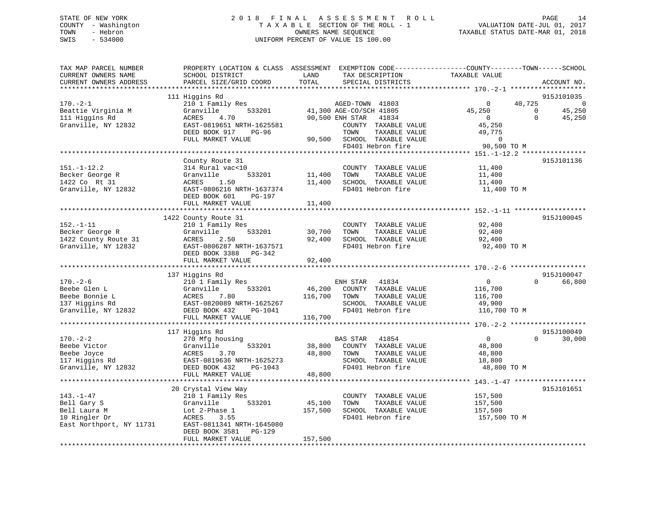## STATE OF NEW YORK 2 0 1 8 F I N A L A S S E S S M E N T R O L L PAGE 14 COUNTY - Washington T A X A B L E SECTION OF THE ROLL - 1 VALUATION DATE-JUL 01, 2017 TOWN - Hebron OWNERS NAME SEQUENCE TAXABLE STATUS DATE-MAR 01, 2018 SWIS - 534000 UNIFORM PERCENT OF VALUE IS 100.00

| TAX MAP PARCEL NUMBER<br>CURRENT OWNERS NAME | PROPERTY LOCATION & CLASS ASSESSMENT EXEMPTION CODE----------------COUNTY-------TOWN-----SCHOOL<br>SCHOOL DISTRICT | LAND    | TAX DESCRIPTION                           | TAXABLE VALUE           |                                  |
|----------------------------------------------|--------------------------------------------------------------------------------------------------------------------|---------|-------------------------------------------|-------------------------|----------------------------------|
| CURRENT OWNERS ADDRESS                       | PARCEL SIZE/GRID COORD                                                                                             | TOTAL   | SPECIAL DISTRICTS                         |                         | ACCOUNT NO.                      |
|                                              | 111 Higgins Rd                                                                                                     |         |                                           |                         | 915J101035                       |
| $170. - 2 - 1$                               | 210 1 Family Res                                                                                                   |         | AGED-TOWN 41803                           | 40,725<br>$\mathbf 0$   | 0                                |
| Beattie Virginia M                           | Granville<br>533201                                                                                                |         | 41,300 AGE-CO/SCH 41805                   | 45,250                  | $\mathbf 0$<br>45,250            |
| 111 Higgins Rd                               | ACRES<br>4.70                                                                                                      |         | 90,500 ENH STAR<br>41834                  | $\overline{0}$          | $\Omega$<br>45,250               |
| Granville, NY 12832                          | EAST-0819651 NRTH-1625581                                                                                          |         | COUNTY TAXABLE VALUE                      | 45,250                  |                                  |
|                                              | DEED BOOK 917<br>PG-96                                                                                             |         | TOWN<br>TAXABLE VALUE                     | 49,775                  |                                  |
|                                              | FULL MARKET VALUE                                                                                                  | 90,500  | SCHOOL TAXABLE VALUE                      | $\overline{0}$          |                                  |
|                                              |                                                                                                                    |         | FD401 Hebron fire                         | 90,500 TO M             |                                  |
|                                              | County Route 31                                                                                                    |         |                                           |                         | 915J101136                       |
| $151. - 1 - 12.2$                            | 314 Rural vac<10                                                                                                   |         | COUNTY TAXABLE VALUE                      | 11,400                  |                                  |
| Becker George R                              | 533201<br>Granville                                                                                                | 11,400  | TOWN<br>TAXABLE VALUE                     | 11,400                  |                                  |
| 1422 Co Rt 31                                | ACRES<br>1.50                                                                                                      | 11,400  | SCHOOL TAXABLE VALUE                      | 11,400                  |                                  |
| Granville, NY 12832                          | EAST-0806216 NRTH-1637374                                                                                          |         | FD401 Hebron fire                         | 11,400 TO M             |                                  |
|                                              | DEED BOOK 601<br>PG-197                                                                                            |         |                                           |                         |                                  |
|                                              | FULL MARKET VALUE                                                                                                  | 11,400  |                                           |                         |                                  |
|                                              | 1422 County Route 31                                                                                               |         |                                           |                         | 915J100045                       |
| $152. - 1 - 11$                              | 210 1 Family Res                                                                                                   |         | COUNTY TAXABLE VALUE                      | 92,400                  |                                  |
| Becker George R                              | Granville<br>533201                                                                                                | 30,700  | TAXABLE VALUE<br>TOWN                     | 92,400                  |                                  |
| 1422 County Route 31                         | 2.50<br>ACRES                                                                                                      | 92,400  | SCHOOL TAXABLE VALUE                      | 92,400                  |                                  |
| Granville, NY 12832                          | EAST-0806287 NRTH-1637571                                                                                          |         | FD401 Hebron fire                         | 92,400 TO M             |                                  |
|                                              | DEED BOOK 3388<br>PG-342                                                                                           |         |                                           |                         |                                  |
|                                              | FULL MARKET VALUE                                                                                                  | 92,400  |                                           |                         |                                  |
|                                              | 137 Higgins Rd                                                                                                     |         |                                           |                         | 915J100047                       |
| $170. - 2 - 6$                               | 210 1 Family Res                                                                                                   |         | ENH STAR<br>41834                         | $\overline{0}$          | 66,800<br>$\Omega$               |
| Beebe Glen L                                 | 533201<br>Granville                                                                                                | 46,200  | COUNTY TAXABLE VALUE                      | 116,700                 |                                  |
| Beebe Bonnie L                               | 7.80<br>ACRES                                                                                                      | 116,700 | TAXABLE VALUE<br>TOWN                     | 116,700                 |                                  |
| 137 Higgins Rd                               | EAST-0820089 NRTH-1625267                                                                                          |         | SCHOOL TAXABLE VALUE                      | 49,900                  |                                  |
| Granville, NY 12832                          | DEED BOOK 432<br>PG-1041                                                                                           |         | FD401 Hebron fire                         | 116,700 TO M            |                                  |
|                                              | FULL MARKET VALUE                                                                                                  | 116,700 |                                           |                         |                                  |
|                                              | *************************                                                                                          |         |                                           |                         |                                  |
| $170. - 2 - 2$                               | 117 Higgins Rd<br>270 Mfg housing                                                                                  |         | BAS STAR<br>41854                         | $\mathbf 0$             | 915J100049<br>$\Omega$<br>30,000 |
| Beebe Victor                                 | 533201<br>Granville                                                                                                | 38,800  | COUNTY TAXABLE VALUE                      | 48,800                  |                                  |
| Beebe Joyce                                  | ACRES<br>3.70                                                                                                      | 48,800  | TOWN<br>TAXABLE VALUE                     | 48,800                  |                                  |
| 117 Higgins Rd                               | EAST-0819636 NRTH-1625273                                                                                          |         | SCHOOL TAXABLE VALUE                      | 18,800                  |                                  |
| Granville, NY 12832                          | DEED BOOK 432<br>PG-1043                                                                                           |         | FD401 Hebron fire                         | 48,800 TO M             |                                  |
|                                              | FULL MARKET VALUE                                                                                                  | 48,800  |                                           |                         |                                  |
|                                              | *************************                                                                                          |         |                                           |                         |                                  |
|                                              | 20 Crystal View Way                                                                                                |         |                                           |                         | 915J101651                       |
| $143. - 1 - 47$                              | 210 1 Family Res                                                                                                   |         | COUNTY TAXABLE VALUE                      | 157,500                 |                                  |
| Bell Gary S                                  | Granville<br>533201                                                                                                | 45,100  | TOWN<br>TAXABLE VALUE                     | 157,500                 |                                  |
| Bell Laura M<br>10 Ringler Dr                | Lot 2-Phase 1<br>ACRES<br>3.55                                                                                     | 157,500 | SCHOOL TAXABLE VALUE<br>FD401 Hebron fire | 157,500<br>157,500 TO M |                                  |
| East Northport, NY 11731                     | EAST-0811341 NRTH-1645080                                                                                          |         |                                           |                         |                                  |
|                                              | DEED BOOK 3581<br>PG-129                                                                                           |         |                                           |                         |                                  |
|                                              | FULL MARKET VALUE                                                                                                  | 157,500 |                                           |                         |                                  |
|                                              |                                                                                                                    |         |                                           |                         |                                  |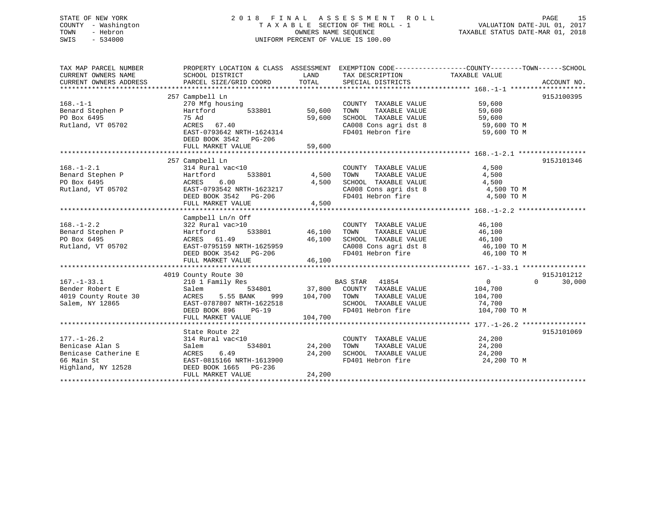## STATE OF NEW YORK 2 0 1 8 F I N A L A S S E S S M E N T R O L L PAGE 15 COUNTY - Washington T A X A B L E SECTION OF THE ROLL - 1 VALUATION DATE-JUL 01, 2017 TOWN - Hebron OWNERS NAME SEQUENCE TAXABLE STATUS DATE-MAR 01, 2018 SWIS - 534000 UNIFORM PERCENT OF VALUE IS 100.00

| SCHOOL DISTRICT                                                                                                                 | LAND<br>TOTAL                                                                                                          | SPECIAL DISTRICTS                                                                                                                                        |                                                                 | ACCOUNT NO.                                                                                                                                                                                                                                                                                                                                                                                                                                                                                                                                                                                                  |
|---------------------------------------------------------------------------------------------------------------------------------|------------------------------------------------------------------------------------------------------------------------|----------------------------------------------------------------------------------------------------------------------------------------------------------|-----------------------------------------------------------------|--------------------------------------------------------------------------------------------------------------------------------------------------------------------------------------------------------------------------------------------------------------------------------------------------------------------------------------------------------------------------------------------------------------------------------------------------------------------------------------------------------------------------------------------------------------------------------------------------------------|
| 270 Mfg housing                                                                                                                 |                                                                                                                        | COUNTY TAXABLE VALUE                                                                                                                                     | 59,600                                                          | 915J100395                                                                                                                                                                                                                                                                                                                                                                                                                                                                                                                                                                                                   |
| Hartford<br>533801<br>75 Ad<br>ACRES 67.40                                                                                      | 50,600<br>59,600                                                                                                       | TOWN<br>TAXABLE VALUE                                                                                                                                    | 59,600                                                          |                                                                                                                                                                                                                                                                                                                                                                                                                                                                                                                                                                                                              |
| DEED BOOK 3542 PG-206<br>FULL MARKET VALUE                                                                                      | 59,600                                                                                                                 |                                                                                                                                                          |                                                                 |                                                                                                                                                                                                                                                                                                                                                                                                                                                                                                                                                                                                              |
|                                                                                                                                 |                                                                                                                        |                                                                                                                                                          |                                                                 |                                                                                                                                                                                                                                                                                                                                                                                                                                                                                                                                                                                                              |
| 314 Rural vac<10<br>Hartford<br>ACRES 6.00<br>EAST-0793542 NRTH-1623217<br>DEED BOOK 3542 PG-206                                | 4,500                                                                                                                  | TOWN<br>TAXABLE VALUE                                                                                                                                    | 4,500<br>4,500                                                  | 915J101346                                                                                                                                                                                                                                                                                                                                                                                                                                                                                                                                                                                                   |
|                                                                                                                                 |                                                                                                                        |                                                                                                                                                          |                                                                 |                                                                                                                                                                                                                                                                                                                                                                                                                                                                                                                                                                                                              |
|                                                                                                                                 |                                                                                                                        |                                                                                                                                                          |                                                                 |                                                                                                                                                                                                                                                                                                                                                                                                                                                                                                                                                                                                              |
| 322 Rural vac>10<br>Hartford<br>ACRES 61.49                                                                                     | 46,100                                                                                                                 | COUNTY TAXABLE VALUE<br>TOWN                                                                                                                             | 46,100<br>46,100<br>46,100<br>46,100 TO M                       |                                                                                                                                                                                                                                                                                                                                                                                                                                                                                                                                                                                                              |
| FULL MARKET VALUE                                                                                                               | 46,100                                                                                                                 |                                                                                                                                                          |                                                                 |                                                                                                                                                                                                                                                                                                                                                                                                                                                                                                                                                                                                              |
|                                                                                                                                 |                                                                                                                        |                                                                                                                                                          |                                                                 |                                                                                                                                                                                                                                                                                                                                                                                                                                                                                                                                                                                                              |
| 210 1 Family Res<br>Salem<br>5.55 BANK<br>ACRES<br>999<br>EAST-0787807 NRTH-1622518<br>DEED BOOK 896<br>$PG-19$                 |                                                                                                                        | TAXABLE VALUE<br>SCHOOL TAXABLE VALUE                                                                                                                    | $\overline{0}$<br>104,700<br>104,700<br>74,700<br>104,700 TO M  | 915J101212<br>$\Omega$<br>30,000                                                                                                                                                                                                                                                                                                                                                                                                                                                                                                                                                                             |
| FULL MARKET VALUE                                                                                                               |                                                                                                                        |                                                                                                                                                          |                                                                 |                                                                                                                                                                                                                                                                                                                                                                                                                                                                                                                                                                                                              |
|                                                                                                                                 |                                                                                                                        |                                                                                                                                                          |                                                                 | 915J101069                                                                                                                                                                                                                                                                                                                                                                                                                                                                                                                                                                                                   |
| 314 Rural vac<10<br>534801<br>Salem<br>6.49<br>ACRES<br>EAST-0815166 NRTH-1613900<br>DEED BOOK 1665 PG-236<br>FULL MARKET VALUE | 24,200<br>24,200<br>24,200                                                                                             | TAXABLE VALUE<br>TOWN                                                                                                                                    | 24,200<br>24,200<br>24,200 TO M                                 |                                                                                                                                                                                                                                                                                                                                                                                                                                                                                                                                                                                                              |
|                                                                                                                                 | 257 Campbell Ln<br>257 Campbell Ln<br>FULL MARKET VALUE<br>Campbell Ln/n Off<br>4019 County Route 30<br>State Route 22 | PARCEL SIZE/GRID COORD<br>EAST-0793642 NRTH-1624314<br>533801 4,500<br>4,500<br>EAST-0795159 NRTH-1625959<br>DEED BOOK 3542 PG-206<br>104,700<br>104,700 | )<br>533801                    46,100<br>BAS STAR 41854<br>TOWN | PROPERTY LOCATION & CLASS ASSESSMENT EXEMPTION CODE---------------COUNTY-------TOWN------SCHOOL<br>TAX DESCRIPTION TAXABLE VALUE<br>SCHOOL TAXABLE VALUE 59,600<br>CA008 Cons agri dst 8 59,600 TO M<br>FD401 Hebron fire 59,600 TO M<br>COUNTY TAXABLE VALUE<br>SCHOOL TAXABLE VALUE 4,500<br>CA008 Cons agri dst 8 4,500 TO M<br>FD401 Hebron fire 4,500 TO M<br>TAXABLE VALUE<br>SCHOOL TAXABLE VALUE<br>CA008 Cons agri dst 8<br>FD401 Hebron fire<br>46,100 TO M<br>534801 37,800 COUNTY TAXABLE VALUE<br>FD401 Hebron fire<br>COUNTY TAXABLE VALUE 24,200<br>SCHOOL TAXABLE VALUE<br>FD401 Hebron fire |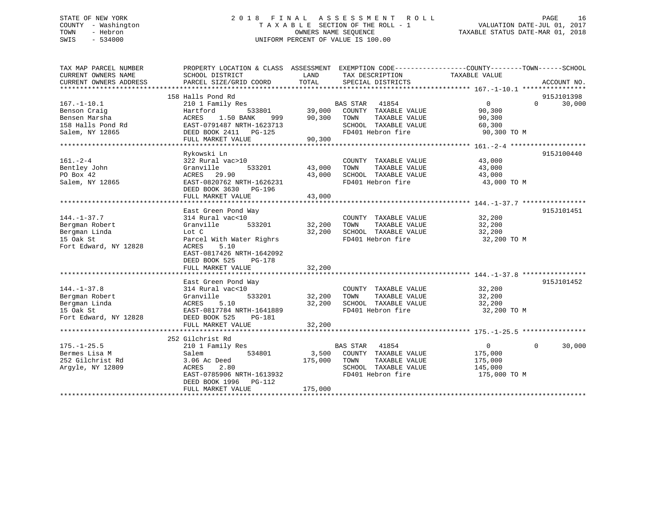## STATE OF NEW YORK 2 0 1 8 F I N A L A S S E S S M E N T R O L L PAGE 16 COUNTY - Washington T A X A B L E SECTION OF THE ROLL - 1 VALUATION DATE-JUL 01, 2017 TOWN - Hebron OWNERS NAME SEQUENCE TAXABLE STATUS DATE-MAR 01, 2018 SWIS - 534000 UNIFORM PERCENT OF VALUE IS 100.00

| TAX MAP PARCEL NUMBER                         |                                           |               |                                           | PROPERTY LOCATION & CLASS ASSESSMENT EXEMPTION CODE---------------COUNTY-------TOWN-----SCHOOL |             |
|-----------------------------------------------|-------------------------------------------|---------------|-------------------------------------------|------------------------------------------------------------------------------------------------|-------------|
| CURRENT OWNERS NAME<br>CURRENT OWNERS ADDRESS | SCHOOL DISTRICT<br>PARCEL SIZE/GRID COORD | LAND<br>TOTAL | TAX DESCRIPTION<br>SPECIAL DISTRICTS      | TAXABLE VALUE                                                                                  | ACCOUNT NO. |
|                                               |                                           |               |                                           |                                                                                                |             |
|                                               | 158 Halls Pond Rd                         |               |                                           |                                                                                                | 915J101398  |
| $167. - 1 - 10.1$                             | 210 1 Family Res                          |               | BAS STAR 41854                            | $0 \qquad \qquad$<br>$\Omega$                                                                  | 30,000      |
| Benson Craig                                  | Hartford<br>533801                        | 39,000        | COUNTY TAXABLE VALUE                      | 90,300                                                                                         |             |
| Bensen Marsha                                 | 1.50 BANK<br>ACRES<br>999                 | 90,300        | TAXABLE VALUE<br>TOWN                     | 90,300                                                                                         |             |
| 158 Halls Pond Rd                             | EAST-0791487 NRTH-1623713                 |               | SCHOOL TAXABLE VALUE                      | 60,300                                                                                         |             |
| Salem, NY 12865                               | DEED BOOK 2411 PG-125                     |               | FD401 Hebron fire                         | 90,300 TO M                                                                                    |             |
|                                               | FULL MARKET VALUE                         | 90,300        |                                           |                                                                                                |             |
|                                               |                                           |               |                                           |                                                                                                |             |
|                                               | Rykowski Ln                               |               |                                           |                                                                                                | 915J100440  |
| $161. - 2 - 4$                                | 322 Rural vac>10                          |               | COUNTY TAXABLE VALUE                      | 43,000                                                                                         |             |
| Bentley John                                  | 533201<br>Granville                       | 43,000        | TAXABLE VALUE<br>TOWN                     | 43,000                                                                                         |             |
| PO Box 42                                     | ACRES 29.90                               | 43,000        | SCHOOL TAXABLE VALUE                      | 43,000                                                                                         |             |
| Salem, NY 12865                               | EAST-0820762 NRTH-1626231                 |               | FD401 Hebron fire                         | 43,000 TO M                                                                                    |             |
|                                               | DEED BOOK 3630 PG-196                     |               |                                           |                                                                                                |             |
|                                               | FULL MARKET VALUE                         | 43,000        |                                           |                                                                                                |             |
|                                               |                                           |               |                                           |                                                                                                |             |
|                                               | East Green Pond Way                       |               |                                           |                                                                                                | 915J101451  |
| $144. - 1 - 37.7$                             | 314 Rural vac<10                          |               | COUNTY TAXABLE VALUE                      | 32,200                                                                                         |             |
| Bergman Robert                                | 533201<br>Granville                       | 32,200        | TOWN<br>TAXABLE VALUE                     | 32,200                                                                                         |             |
|                                               |                                           |               |                                           |                                                                                                |             |
| Bergman Linda<br>15 Oak St                    | Lot C                                     | 32,200        | SCHOOL TAXABLE VALUE<br>FD401 Hebron fire | 32,200                                                                                         |             |
|                                               | Parcel With Water Righrs<br>5.10          |               |                                           | 32,200 TO M                                                                                    |             |
| Fort Edward, NY 12828                         | ACRES                                     |               |                                           |                                                                                                |             |
|                                               | EAST-0817426 NRTH-1642092                 |               |                                           |                                                                                                |             |
|                                               | DEED BOOK 525<br>PG-178                   |               |                                           |                                                                                                |             |
|                                               | FULL MARKET VALUE                         | 32,200        |                                           |                                                                                                |             |
|                                               |                                           |               |                                           |                                                                                                | 915J101452  |
|                                               | East Green Pond Way                       |               |                                           |                                                                                                |             |
| $144. - 1 - 37.8$                             | 314 Rural vac<10                          |               | COUNTY TAXABLE VALUE                      | 32,200                                                                                         |             |
| Bergman Robert                                | 533201<br>Granville                       | 32,200        | TOWN<br>TAXABLE VALUE                     | 32,200                                                                                         |             |
| Bergman Linda                                 | ACRES<br>5.10                             | 32,200        | SCHOOL TAXABLE VALUE                      | 32,200                                                                                         |             |
| 15 Oak St                                     | EAST-0817784 NRTH-1641889                 |               | FD401 Hebron fire                         | 32,200 TO M                                                                                    |             |
| Fort Edward, NY 12828                         | DEED BOOK 525<br>PG-181                   |               |                                           |                                                                                                |             |
|                                               | FULL MARKET VALUE                         | 32,200        |                                           |                                                                                                |             |
|                                               |                                           |               |                                           |                                                                                                |             |
|                                               | 252 Gilchrist Rd                          |               |                                           |                                                                                                |             |
| $175. - 1 - 25.5$                             | 210 1 Family Res                          |               | BAS STAR 41854                            | $\Omega$<br>$\overline{0}$                                                                     | 30,000      |
| Bermes Lisa M                                 | Salem<br>534801                           | 3,500         | COUNTY TAXABLE VALUE                      | 175,000                                                                                        |             |
| 252 Gilchrist Rd                              | 3.06 Ac Deed                              | 175,000       | TOWN<br>TAXABLE VALUE                     | 175,000                                                                                        |             |
| Argyle, NY 12809                              | ACRES<br>2.80                             |               | SCHOOL TAXABLE VALUE                      | 145,000                                                                                        |             |
|                                               | EAST-0785906 NRTH-1613932                 |               | FD401 Hebron fire                         | 175,000 TO M                                                                                   |             |
|                                               | DEED BOOK 1996 PG-112                     |               |                                           |                                                                                                |             |
|                                               | FULL MARKET VALUE                         | 175,000       |                                           |                                                                                                |             |
|                                               |                                           |               |                                           |                                                                                                |             |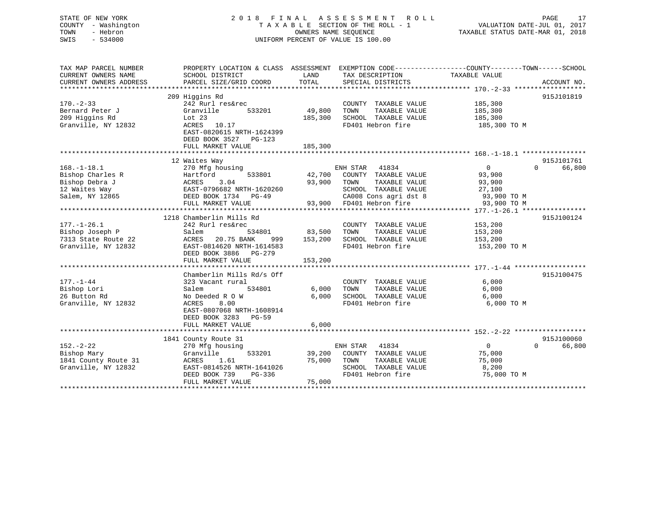| STATE OF NEW YORK<br>COUNTY - Washington<br>TOWN<br>- Hebron<br>SWIS<br>$-534000$                 |                                                                         |                   | 2018 FINAL ASSESSMENT ROLL<br>TAXABLE SECTION OF THE ROLL - 1<br>OWNERS NAME SEQUENCE<br>UNIFORM PERCENT OF VALUE IS 100.00 | PAGE<br>VALUATION DATE-JUL 01, 2017<br>TAXABLE STATUS DATE-MAR 01, 2018                                                          | 17 |
|---------------------------------------------------------------------------------------------------|-------------------------------------------------------------------------|-------------------|-----------------------------------------------------------------------------------------------------------------------------|----------------------------------------------------------------------------------------------------------------------------------|----|
| TAX MAP PARCEL NUMBER<br>CURRENT OWNERS NAME<br>CURRENT OWNERS ADDRESS<br>*********************** | SCHOOL DISTRICT<br>PARCEL SIZE/GRID COORD                               | LAND<br>TOTAL     | TAX DESCRIPTION<br>SPECIAL DISTRICTS                                                                                        | PROPERTY LOCATION & CLASS ASSESSMENT EXEMPTION CODE----------------COUNTY-------TOWN------SCHOOL<br>TAXABLE VALUE<br>ACCOUNT NO. |    |
|                                                                                                   | 209 Higgins Rd                                                          |                   |                                                                                                                             | 915J101819                                                                                                                       |    |
| $170. - 2 - 33$                                                                                   | 242 Rurl res&rec                                                        |                   | COUNTY TAXABLE VALUE                                                                                                        | 185,300                                                                                                                          |    |
| Bernard Peter J<br>209 Higgins Rd<br>Granville, NY 12832                                          | Granville<br>533201<br>Lot $23$<br>ACRES 10.17                          | 49,800<br>185,300 | TOWN<br>TAXABLE VALUE<br>SCHOOL TAXABLE VALUE<br>FD401 Hebron fire                                                          | 185,300<br>185,300<br>185,300 TO M                                                                                               |    |
|                                                                                                   | EAST-0820615 NRTH-1624399<br>DEED BOOK 3527 PG-123<br>FULL MARKET VALUE | 185,300           |                                                                                                                             |                                                                                                                                  |    |
|                                                                                                   |                                                                         |                   |                                                                                                                             |                                                                                                                                  |    |
|                                                                                                   | 12 Waites Way                                                           |                   |                                                                                                                             | 915J101761                                                                                                                       |    |
| $168. - 1 - 18.1$                                                                                 | 270 Mfg housing                                                         |                   | ENH STAR 41834                                                                                                              | $\Omega$<br>66,800<br>0                                                                                                          |    |
| Bishop Charles R<br>Bishop Debra J                                                                | Hartford<br>533801<br>3.04<br>ACRES                                     | 42,700<br>93,900  | COUNTY TAXABLE VALUE<br>TAXABLE VALUE<br>TOWN                                                                               | 93,900<br>93,900                                                                                                                 |    |
| 12 Waites Way                                                                                     | EAST-0796682 NRTH-1620260                                               |                   | SCHOOL TAXABLE VALUE                                                                                                        | 27,100                                                                                                                           |    |
| Salem, NY 12865                                                                                   | DEED BOOK 1734 PG-49                                                    |                   | CA008 Cons agri dst 8                                                                                                       | 93,900 TO M                                                                                                                      |    |
|                                                                                                   | FULL MARKET VALUE                                                       | 93,900            | FD401 Hebron fire                                                                                                           | 93,900 TO M                                                                                                                      |    |
|                                                                                                   |                                                                         |                   |                                                                                                                             |                                                                                                                                  |    |
|                                                                                                   | 1218 Chamberlin Mills Rd                                                |                   |                                                                                                                             | 915J100124                                                                                                                       |    |
| $177. - 1 - 26.1$                                                                                 | 242 Rurl res&rec                                                        |                   | COUNTY TAXABLE VALUE                                                                                                        | 153,200                                                                                                                          |    |
| Bishop Joseph P                                                                                   | Salem<br>534801                                                         | 83,500            | TOWN<br>TAXABLE VALUE                                                                                                       | 153,200                                                                                                                          |    |
| 7313 State Route 22                                                                               | ACRES<br>20.75 BANK<br>999                                              | 153,200           | SCHOOL TAXABLE VALUE                                                                                                        | 153,200                                                                                                                          |    |
| Granville, NY 12832                                                                               | EAST-0814620 NRTH-1614583                                               |                   | FD401 Hebron fire                                                                                                           | 153,200 TO M                                                                                                                     |    |
|                                                                                                   | DEED BOOK 3886 PG-279<br>FULL MARKET VALUE                              | 153,200           |                                                                                                                             |                                                                                                                                  |    |
|                                                                                                   | ************************                                                |                   |                                                                                                                             |                                                                                                                                  |    |
|                                                                                                   | Chamberlin Mills Rd/s Off                                               |                   |                                                                                                                             | 915J100475                                                                                                                       |    |
| $177. - 1 - 44$                                                                                   | 323 Vacant rural                                                        |                   | COUNTY TAXABLE VALUE                                                                                                        | 6,000                                                                                                                            |    |
| Bishop Lori                                                                                       | Salem<br>534801                                                         | 6,000             | TOWN<br>TAXABLE VALUE                                                                                                       | 6,000                                                                                                                            |    |
| 26 Button Rd                                                                                      | No Deeded R O W                                                         | 6,000             | SCHOOL TAXABLE VALUE                                                                                                        | 6,000                                                                                                                            |    |
| Granville, NY 12832                                                                               | ACRES<br>8.00<br>EAST-0807068 NRTH-1608914<br>DEED BOOK 3283 PG-59      |                   | FD401 Hebron fire                                                                                                           | 6,000 TO M                                                                                                                       |    |
|                                                                                                   | FULL MARKET VALUE                                                       | 6,000             |                                                                                                                             |                                                                                                                                  |    |
|                                                                                                   |                                                                         |                   |                                                                                                                             | 915J100060                                                                                                                       |    |
| $152. - 2 - 22$                                                                                   | 1841 County Route 31                                                    |                   | ENH STAR 41834                                                                                                              | 66,800<br>$\overline{0}$<br>$\Omega$                                                                                             |    |
| Bishop Mary                                                                                       | 270 Mfg housing<br>Granville<br>533201                                  | 39,200            | COUNTY TAXABLE VALUE                                                                                                        | 75,000                                                                                                                           |    |
| 1841 County Route 31                                                                              | ACRES<br>1.61                                                           | 75,000            | TOWN<br>TAXABLE VALUE                                                                                                       | 75,000                                                                                                                           |    |
| Granville, NY 12832                                                                               | EAST-0814526 NRTH-1641026                                               |                   | SCHOOL TAXABLE VALUE                                                                                                        | 8,200                                                                                                                            |    |
|                                                                                                   | DEED BOOK 739<br>PG-336                                                 |                   | FD401 Hebron fire                                                                                                           | 75,000 TO M                                                                                                                      |    |
|                                                                                                   | FULL MARKET VALUE                                                       | 75,000            |                                                                                                                             |                                                                                                                                  |    |

\*\*\*\*\*\*\*\*\*\*\*\*\*\*\*\*\*\*\*\*\*\*\*\*\*\*\*\*\*\*\*\*\*\*\*\*\*\*\*\*\*\*\*\*\*\*\*\*\*\*\*\*\*\*\*\*\*\*\*\*\*\*\*\*\*\*\*\*\*\*\*\*\*\*\*\*\*\*\*\*\*\*\*\*\*\*\*\*\*\*\*\*\*\*\*\*\*\*\*\*\*\*\*\*\*\*\*\*\*\*\*\*\*\*\*\*\*\*\*\*\*\*\*\*\*\*\*\*\*\*\*\*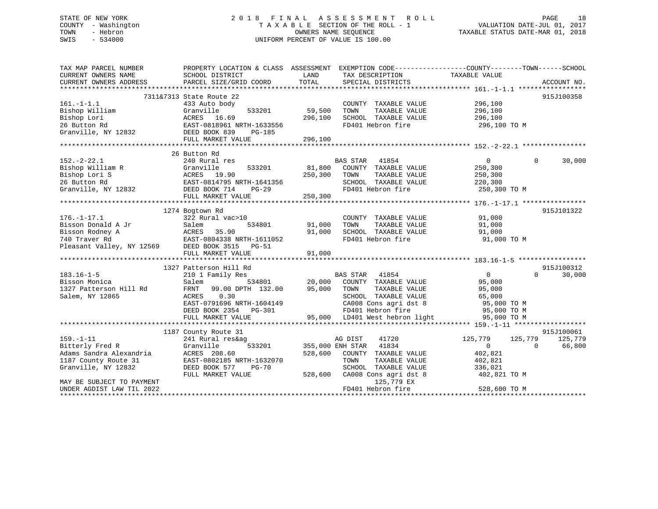## STATE OF NEW YORK 2 0 1 8 F I N A L A S S E S S M E N T R O L L PAGE 18 COUNTY - Washington T A X A B L E SECTION OF THE ROLL - 1 VALUATION DATE-JUL 01, 2017 TOWN - Hebron OWNERS NAME SEQUENCE TAXABLE STATUS DATE-MAR 01, 2018 SWIS - 534000 UNIFORM PERCENT OF VALUE IS 100.00

| TAX MAP PARCEL NUMBER     | PROPERTY LOCATION & CLASS ASSESSMENT |         |                                | EXEMPTION CODE-----------------COUNTY-------TOWN------SCHOOL |             |
|---------------------------|--------------------------------------|---------|--------------------------------|--------------------------------------------------------------|-------------|
| CURRENT OWNERS NAME       | SCHOOL DISTRICT                      | LAND    | TAX DESCRIPTION                | TAXABLE VALUE                                                |             |
| CURRENT OWNERS ADDRESS    | PARCEL SIZE/GRID COORD               | TOTAL   | SPECIAL DISTRICTS              |                                                              | ACCOUNT NO. |
|                           |                                      |         |                                |                                                              |             |
|                           | 7311&7313 State Route 22             |         |                                |                                                              | 915J100358  |
| $161. - 1 - 1.1$          | 433 Auto body                        |         | COUNTY TAXABLE VALUE           | 296,100                                                      |             |
| Bishop William            | Granville<br>533201                  | 59,500  | TAXABLE VALUE<br>TOWN          | 296,100                                                      |             |
| Bishop Lori               | ACRES 16.69                          | 296,100 | SCHOOL TAXABLE VALUE           | 296,100                                                      |             |
| 26 Button Rd              | EAST-0818961 NRTH-1633556            |         | FD401 Hebron fire              | 296,100 ТО М                                                 |             |
| Granville, NY 12832       | DEED BOOK 839<br>PG-185              |         |                                |                                                              |             |
|                           | FULL MARKET VALUE                    | 296,100 |                                |                                                              |             |
|                           |                                      |         |                                |                                                              |             |
|                           | 26 Button Rd                         |         |                                |                                                              |             |
| $152. - 2 - 22.1$         | 240 Rural res                        |         | <b>BAS STAR</b><br>41854       | $\overline{0}$<br>$\Omega$                                   | 30,000      |
| Bishop William R          | Granville<br>533201                  | 81,800  | COUNTY TAXABLE VALUE           | 250,300                                                      |             |
| Bishop Lori S             | ACRES 19.90                          | 250,300 | TAXABLE VALUE<br>TOWN          | 250,300                                                      |             |
| 26 Button Rd              | EAST-0814795 NRTH-1641356            |         | SCHOOL TAXABLE VALUE           | 220,300                                                      |             |
| Granville, NY 12832       | DEED BOOK 714<br>$PG-29$             |         | FD401 Hebron fire              | 250,300 TO M                                                 |             |
|                           | FULL MARKET VALUE                    | 250,300 |                                |                                                              |             |
|                           |                                      |         |                                |                                                              |             |
|                           | 1274 Bogtown Rd                      |         |                                |                                                              | 915J101322  |
| $176. - 1 - 17.1$         | 322 Rural vac>10                     |         | COUNTY TAXABLE VALUE           | 91,000                                                       |             |
| Bisson Donald A Jr        | Salem<br>534801                      | 91,000  | TOWN<br>TAXABLE VALUE          | 91,000                                                       |             |
| Bisson Rodney A           | ACRES<br>35.90                       | 91,000  | SCHOOL TAXABLE VALUE           | 91,000                                                       |             |
| 740 Traver Rd             | EAST-0804338 NRTH-1611052            |         | FD401 Hebron fire              | 91,000 TO M                                                  |             |
| Pleasant Valley, NY 12569 | DEED BOOK 3515 PG-51                 |         |                                |                                                              |             |
|                           | FULL MARKET VALUE                    | 91,000  |                                |                                                              |             |
|                           |                                      |         |                                |                                                              |             |
|                           | 1327 Patterson Hill Rd               |         |                                |                                                              | 915J100312  |
| $183.16 - 1 - 5$          | 210 1 Family Res                     |         | BAS STAR<br>41854              | $\mathbf{0}$<br>$\Omega$                                     | 30,000      |
| Bisson Monica             | Salem<br>534801                      | 20,000  | COUNTY TAXABLE VALUE           | 95,000                                                       |             |
| 1327 Patterson Hill Rd    | FRNT<br>99.00 DPTH 132.00            | 95,000  | TOWN<br>TAXABLE VALUE          | 95,000                                                       |             |
| Salem, NY 12865           | ACRES<br>0.30                        |         | SCHOOL TAXABLE VALUE           | 65,000                                                       |             |
|                           | EAST-0791696 NRTH-1604149            |         | CA008 Cons agri dst 8          | 95,000 TO M                                                  |             |
|                           | DEED BOOK 2354 PG-301                |         | FD401 Hebron fire              | 95,000 TO M                                                  |             |
|                           | FULL MARKET VALUE                    |         | 95,000 LD401 West hebron light | 95,000 TO M                                                  |             |
|                           |                                      |         |                                |                                                              |             |
|                           | 1187 County Route 31                 |         |                                |                                                              | 915J100061  |
| $159. - 1 - 11$           | 241 Rural res&ag                     |         | 41720<br>AG DIST               | 125,779<br>125,779                                           | 125,779     |
| Bitterly Fred R           | 533201<br>Granville                  |         | 355,000 ENH STAR<br>41834      | $\overline{0}$<br>$\Omega$                                   | 66,800      |
| Adams Sandra Alexandria   | ACRES 208.60                         | 528,600 | COUNTY TAXABLE VALUE           | 402,821                                                      |             |
| 1187 County Route 31      | EAST-0802185 NRTH-1632070            |         | TOWN<br>TAXABLE VALUE          | 402,821                                                      |             |
| Granville, NY 12832       | DEED BOOK 577<br>PG-70               |         | SCHOOL TAXABLE VALUE           | 336,021                                                      |             |
|                           | FULL MARKET VALUE                    | 528,600 | CA008 Cons agri dst 8          | 402,821 TO M                                                 |             |
| MAY BE SUBJECT TO PAYMENT |                                      |         | 125,779 EX                     |                                                              |             |
| UNDER AGDIST LAW TIL 2022 |                                      |         | FD401 Hebron fire              | 528,600 TO M                                                 |             |
|                           |                                      |         |                                |                                                              |             |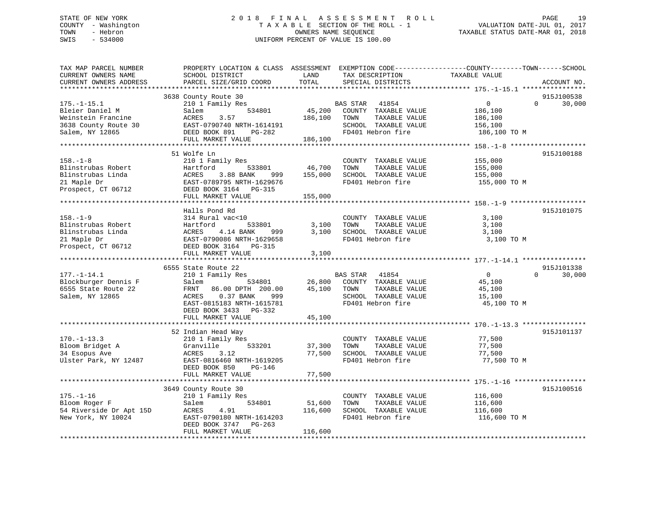## STATE OF NEW YORK 2 0 1 8 F I N A L A S S E S S M E N T R O L L PAGE 19 COUNTY - Washington T A X A B L E SECTION OF THE ROLL - 1 VALUATION DATE-JUL 01, 2017 TOWN - Hebron OWNERS NAME SEQUENCE TAXABLE STATUS DATE-MAR 01, 2018 SWIS - 534000 UNIFORM PERCENT OF VALUE IS 100.00

| TAX MAP PARCEL NUMBER<br>CURRENT OWNERS NAME<br>CURRENT OWNERS ADDRESS | PROPERTY LOCATION & CLASS ASSESSMENT<br>SCHOOL DISTRICT<br>PARCEL SIZE/GRID COORD | LAND<br>TOTAL    | EXEMPTION CODE-----------------COUNTY-------TOWN------SCHOOL<br>TAX DESCRIPTION<br>SPECIAL DISTRICTS | TAXABLE VALUE    | ACCOUNT NO.        |
|------------------------------------------------------------------------|-----------------------------------------------------------------------------------|------------------|------------------------------------------------------------------------------------------------------|------------------|--------------------|
| ***********************                                                |                                                                                   |                  |                                                                                                      |                  |                    |
|                                                                        | 3638 County Route 30                                                              |                  |                                                                                                      |                  | 915J100538         |
| $175. - 1 - 15.1$                                                      | 210 1 Family Res                                                                  |                  | BAS STAR 41854                                                                                       | $\mathbf{0}$     | $\Omega$<br>30,000 |
| Bleier Daniel M                                                        | 534801<br>Salem                                                                   | 45,200           | COUNTY TAXABLE VALUE                                                                                 | 186,100          |                    |
| Weinstein Francine                                                     | 3.57<br>ACRES                                                                     | 186,100          | TOWN<br>TAXABLE VALUE                                                                                | 186,100          |                    |
| 3638 County Route 30                                                   | EAST-0790740 NRTH-1614191                                                         |                  | SCHOOL TAXABLE VALUE                                                                                 | 156,100          |                    |
| Salem, NY 12865                                                        | DEED BOOK 891<br>PG-282                                                           |                  | FD401 Hebron fire                                                                                    | 186,100 TO M     |                    |
|                                                                        | FULL MARKET VALUE                                                                 | 186,100          |                                                                                                      |                  |                    |
|                                                                        |                                                                                   |                  |                                                                                                      |                  |                    |
| $158. - 1 - 8$                                                         | 51 Wolfe Ln<br>210 1 Family Res                                                   |                  | COUNTY TAXABLE VALUE                                                                                 | 155,000          | 915J100188         |
| Blinstrubas Robert                                                     | Hartford<br>533801                                                                | 46,700           | TOWN<br>TAXABLE VALUE                                                                                | 155,000          |                    |
| Blinstrubas Linda                                                      | 3.88 BANK<br>ACRES<br>999 — 1                                                     | 155,000          | SCHOOL TAXABLE VALUE                                                                                 | 155,000          |                    |
| 21 Maple Dr                                                            | EAST-0789795 NRTH-1629676                                                         |                  | FD401 Hebron fire                                                                                    | 155,000 TO M     |                    |
| Prospect, CT 06712                                                     | DEED BOOK 3164 PG-315                                                             |                  |                                                                                                      |                  |                    |
|                                                                        | FULL MARKET VALUE                                                                 | 155,000          |                                                                                                      |                  |                    |
|                                                                        |                                                                                   |                  |                                                                                                      |                  |                    |
|                                                                        | Halls Pond Rd                                                                     |                  |                                                                                                      |                  | 915J101075         |
| $158. - 1 - 9$                                                         | 314 Rural vac<10                                                                  |                  | COUNTY TAXABLE VALUE                                                                                 | 3,100            |                    |
| Blinstrubas Robert                                                     | 533801                                                                            | 3,100            | TOWN<br>TAXABLE VALUE                                                                                | 3,100            |                    |
| Blinstrubas Linda                                                      | Hartford<br>ACRES<br>EAST-0790<br>4.14 BANK<br>999                                | 3,100            | SCHOOL TAXABLE VALUE                                                                                 | 3,100            |                    |
| 21 Maple Dr                                                            | EAST-0790086 NRTH-1629658                                                         |                  | FD401 Hebron fire                                                                                    | 3,100 TO M       |                    |
| Prospect, CT 06712 DEED BOOK 3164 PG-315                               |                                                                                   |                  |                                                                                                      |                  |                    |
|                                                                        | FULL MARKET VALUE                                                                 | 3,100            |                                                                                                      |                  |                    |
|                                                                        |                                                                                   |                  |                                                                                                      |                  |                    |
|                                                                        | 6555 State Route 22                                                               |                  |                                                                                                      |                  | 915J101338         |
| $177. - 1 - 14.1$                                                      | 210 1 Family Res                                                                  |                  | BAS STAR 41854                                                                                       | $\overline{0}$   | $\Omega$<br>30,000 |
| Blockburger Dennis F                                                   | Salem<br>534801                                                                   | 26,800           | COUNTY TAXABLE VALUE                                                                                 | 45,100           |                    |
| 6555 State Route 22                                                    | FRNT<br>86.00 DPTH 200.00                                                         | 45,100           | TOWN<br>TAXABLE VALUE                                                                                | 45,100           |                    |
| Salem, NY 12865                                                        | 0.37 BANK<br>ACRES<br>999                                                         |                  | SCHOOL TAXABLE VALUE                                                                                 | 15,100           |                    |
|                                                                        | EAST-0815183 NRTH-1615781                                                         |                  | FD401 Hebron fire                                                                                    | 45,100 TO M      |                    |
|                                                                        | DEED BOOK 3433 PG-332                                                             |                  |                                                                                                      |                  |                    |
|                                                                        | FULL MARKET VALUE                                                                 | 45,100           |                                                                                                      |                  |                    |
|                                                                        |                                                                                   |                  |                                                                                                      |                  |                    |
|                                                                        | 52 Indian Head Way                                                                |                  |                                                                                                      |                  | 915J101137         |
| $170. - 1 - 13.3$                                                      | 210 1 Family Res                                                                  |                  | COUNTY TAXABLE VALUE<br>TOWN                                                                         | 77,500           |                    |
| Bloom Bridget A<br>34 Esopus Ave                                       | 533201<br>Granville                                                               | 37,300<br>77,500 | TAXABLE VALUE<br>SCHOOL TAXABLE VALUE                                                                | 77,500<br>77,500 |                    |
| Ulster Park, NY 12487                                                  | ACRES<br>3.12<br>EAST-0816460 NRTH-1619205                                        |                  | FD401 Hebron fire                                                                                    | 77,500 TO M      |                    |
|                                                                        | DEED BOOK 850<br>PG-146                                                           |                  |                                                                                                      |                  |                    |
|                                                                        | FULL MARKET VALUE                                                                 | 77,500           |                                                                                                      |                  |                    |
|                                                                        |                                                                                   |                  |                                                                                                      |                  |                    |
|                                                                        | 3649 County Route 30                                                              |                  |                                                                                                      |                  | 915J100516         |
| $175. - 1 - 16$                                                        | 210 1 Family Res                                                                  |                  | COUNTY TAXABLE VALUE                                                                                 | 116,600          |                    |
| Bloom Roger F                                                          | 534801<br>Salem                                                                   | 51,600           | TOWN<br>TAXABLE VALUE                                                                                | 116,600          |                    |
| 54 Riverside Dr Apt 15D                                                | ACRES<br>4.91                                                                     | 116,600          | SCHOOL TAXABLE VALUE                                                                                 | 116,600          |                    |
| New York, NY 10024                                                     | EAST-0790180 NRTH-1614203                                                         |                  | FD401 Hebron fire                                                                                    | 116,600 TO M     |                    |
|                                                                        | DEED BOOK 3747<br>PG-263                                                          |                  |                                                                                                      |                  |                    |
|                                                                        | FULL MARKET VALUE                                                                 | 116,600          |                                                                                                      |                  |                    |
|                                                                        |                                                                                   |                  |                                                                                                      |                  |                    |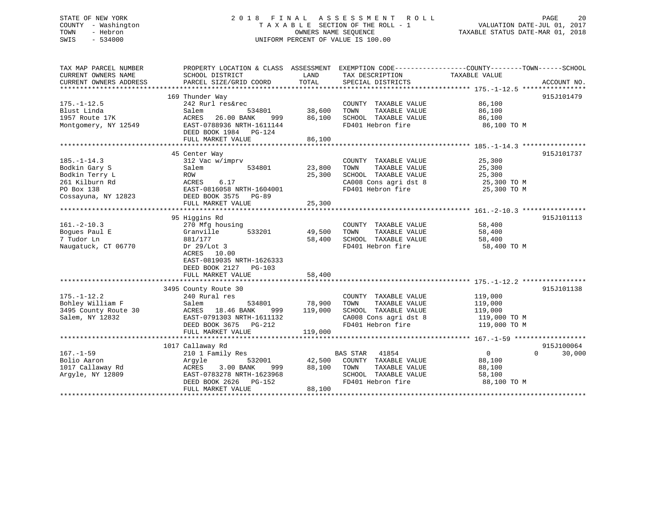#### STATE OF NEW YORK 20 18 FINAL ASSESSMENT ROLL 20 20 COUNTY - Washington  $\begin{array}{ccc} 1 & 0 & 0 \\ 0 & 0 & 0 \end{array}$  T A X A B L E SECTION OF THE ROLL - 1 TOWN - Hebron OWNERS NAME SEQUENCE TAXABLE STATUS DATE-MAR 01, 2018 SWIS - 534000 UNIFORM PERCENT OF VALUE IS 100.00

| TAX MAP PARCEL NUMBER<br>CURRENT OWNERS NAME | PROPERTY LOCATION & CLASS ASSESSMENT<br>SCHOOL DISTRICT | LAND    | TAX DESCRIPTION       | EXEMPTION CODE-----------------COUNTY-------TOWN------SCHOOL<br>TAXABLE VALUE |             |
|----------------------------------------------|---------------------------------------------------------|---------|-----------------------|-------------------------------------------------------------------------------|-------------|
| CURRENT OWNERS ADDRESS                       | PARCEL SIZE/GRID COORD                                  | TOTAL   | SPECIAL DISTRICTS     |                                                                               | ACCOUNT NO. |
|                                              |                                                         |         |                       |                                                                               |             |
|                                              | 169 Thunder Way                                         |         |                       |                                                                               | 915J101479  |
| $175. - 1 - 12.5$                            | 242 Rurl res&rec                                        |         | COUNTY TAXABLE VALUE  | 86,100                                                                        |             |
| Blust Linda                                  | Salem<br>534801                                         | 38,600  | TAXABLE VALUE<br>TOWN | 86,100                                                                        |             |
| 1957 Route 17K                               | 26.00 BANK<br>ACRES<br>999                              | 86,100  | SCHOOL TAXABLE VALUE  | 86,100                                                                        |             |
| Montgomery, NY 12549                         | EAST-0788936 NRTH-1611144<br>DEED BOOK 1984 PG-124      |         | FD401 Hebron fire     | 86,100 TO M                                                                   |             |
|                                              | FULL MARKET VALUE                                       | 86,100  |                       |                                                                               |             |
|                                              |                                                         |         |                       |                                                                               |             |
|                                              | 45 Center Way                                           |         |                       |                                                                               | 915J101737  |
| $185. - 1 - 14.3$                            | 312 Vac w/imprv                                         |         | COUNTY TAXABLE VALUE  | 25,300                                                                        |             |
| Bodkin Gary S                                | 534801<br>Salem                                         | 23,800  | TOWN<br>TAXABLE VALUE | 25,300                                                                        |             |
| Bodkin Terry L                               | ROW                                                     | 25,300  | SCHOOL TAXABLE VALUE  | 25,300                                                                        |             |
| 261 Kilburn Rd                               | ACRES<br>6.17                                           |         | CA008 Cons agri dst 8 | 25,300 TO M                                                                   |             |
| PO Box 138                                   | EAST-0816058 NRTH-1604001                               |         | FD401 Hebron fire     | 25,300 TO M                                                                   |             |
| Cossayuna, NY 12823                          | DEED BOOK 3575 PG-89                                    | 25,300  |                       |                                                                               |             |
|                                              | FULL MARKET VALUE                                       |         |                       |                                                                               |             |
|                                              | 95 Higgins Rd                                           |         |                       |                                                                               | 915J101113  |
| $161. - 2 - 10.3$                            | 270 Mfg housing                                         |         | COUNTY TAXABLE VALUE  | 58,400                                                                        |             |
| Boques Paul E                                | Granville<br>533201                                     | 49,500  | TOWN<br>TAXABLE VALUE | 58,400                                                                        |             |
| 7 Tudor Ln                                   | 881/177                                                 | 58,400  | SCHOOL TAXABLE VALUE  | 58,400                                                                        |             |
| Naugatuck, CT 06770                          | Dr $29/Lot$ 3                                           |         | FD401 Hebron fire     | 58,400 TO M                                                                   |             |
|                                              | ACRES 10.00                                             |         |                       |                                                                               |             |
|                                              |                                                         |         |                       |                                                                               |             |
|                                              | EAST-0819035 NRTH-1626333                               |         |                       |                                                                               |             |
|                                              | DEED BOOK 2127 PG-103                                   |         |                       |                                                                               |             |
|                                              | FULL MARKET VALUE                                       | 58,400  |                       |                                                                               |             |
|                                              |                                                         |         |                       |                                                                               |             |
|                                              | 3495 County Route 30                                    |         |                       |                                                                               | 915J101138  |
| $175. - 1 - 12.2$                            | 240 Rural res                                           |         | COUNTY TAXABLE VALUE  | 119,000                                                                       |             |
| Bohley William F                             | Salem<br>534801                                         | 78,900  | TOWN<br>TAXABLE VALUE | 119,000                                                                       |             |
| 3495 County Route 30                         | ACRES 18.46 BANK<br>999                                 | 119,000 | SCHOOL TAXABLE VALUE  | 119,000                                                                       |             |
| Salem, NY 12832                              | EAST-0791303 NRTH-1611132                               |         | CA008 Cons agri dst 8 | 119,000 TO M                                                                  |             |
|                                              | DEED BOOK 3675 PG-212                                   |         | FD401 Hebron fire     | 119,000 TO M                                                                  |             |
|                                              | FULL MARKET VALUE                                       | 119,000 |                       |                                                                               |             |
|                                              |                                                         |         |                       |                                                                               |             |
|                                              | 1017 Callaway Rd                                        |         |                       |                                                                               | 915J100064  |
| $167. - 1 - 59$                              | 210 1 Family Res                                        |         | 41854<br>BAS STAR     | $\overline{0}$<br>$\Omega$                                                    | 30,000      |
| Bolio Aaron                                  | Argyle<br>532001                                        | 42,500  | COUNTY TAXABLE VALUE  | 88,100                                                                        |             |
| 1017 Callaway Rd                             | ACRES<br>3.00 BANK<br>999                               | 88,100  | TOWN<br>TAXABLE VALUE | 88,100                                                                        |             |
| Arqyle, NY 12809                             | EAST-0783278 NRTH-1623968                               |         | SCHOOL TAXABLE VALUE  | 58,100                                                                        |             |
|                                              | DEED BOOK 2626 PG-152                                   |         | FD401 Hebron fire     | 88,100 TO M                                                                   |             |
|                                              | FULL MARKET VALUE                                       | 88,100  |                       |                                                                               |             |
|                                              |                                                         |         |                       |                                                                               |             |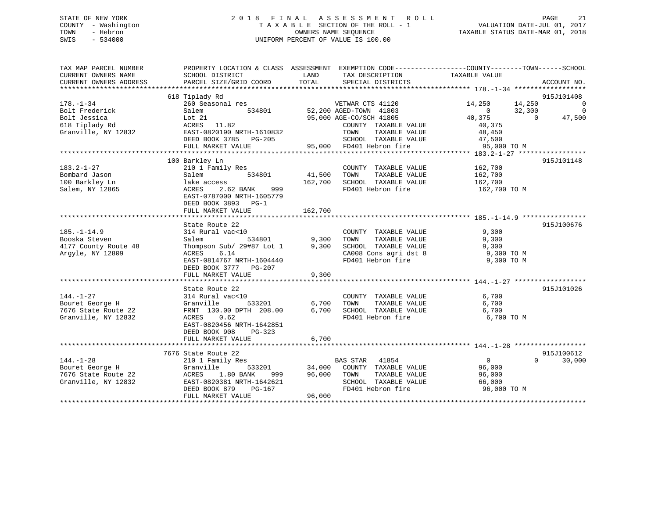## STATE OF NEW YORK 2 0 1 8 F I N A L A S S E S S M E N T R O L L PAGE 21 COUNTY - Washington T A X A B L E SECTION OF THE ROLL - 1 VALUATION DATE-JUL 01, 2017 TOWN - Hebron OWNERS NAME SEQUENCE TAXABLE STATUS DATE-MAR 01, 2018 SWIS - 534000 UNIFORM PERCENT OF VALUE IS 100.00

| TAX MAP PARCEL NUMBER<br>CURRENT OWNERS NAME<br>CURRENT OWNERS ADDRESS                     | SCHOOL DISTRICT<br>PARCEL SIZE/GRID COORD                                                                                                                                            | LAND<br>TAX DESCRIPTION<br>TOTAL<br>SPECIAL DISTRICTS                                                                                    | PROPERTY LOCATION & CLASS ASSESSMENT EXEMPTION CODE----------------COUNTY-------TOWN------SCHOOL<br>TAXABLE VALUE                             | ACCOUNT NO.                                                                             |
|--------------------------------------------------------------------------------------------|--------------------------------------------------------------------------------------------------------------------------------------------------------------------------------------|------------------------------------------------------------------------------------------------------------------------------------------|-----------------------------------------------------------------------------------------------------------------------------------------------|-----------------------------------------------------------------------------------------|
| $178. - 1 - 34$<br>Bolt Frederick<br>Bolt Jessica<br>618 Tiplady Rd<br>Granville, NY 12832 | 618 Tiplady Rd<br>260 Seasonal res<br>Salem<br>Lot 21<br>$ACRES$ 11.82<br>EAST-0820190 NRTH-1610832<br>DEED BOOK 3785 PG-205<br>FULL MARKET VALUE                                    | VETWAR CTS 41120<br>534801 52,200 AGED-TOWN 41803<br>95,000 AGE-CO/SCH 41805<br>TOWN<br>SCHOOL TAXABLE VALUE<br>95,000 FD401 Hebron fire | 14,250 14,250<br>40,375<br>COUNTY TAXABLE VALUE<br>40,375<br>TAXABLE VALUE<br>48,450<br>47,500<br>95,000 TO M                                 | 915J101408<br>$\overline{0}$<br>$0 \t32,300$<br>$\mathbf 0$<br>$\overline{0}$<br>47,500 |
| $183.2 - 1 - 27$<br>Bombard Jason<br>100 Barkley Ln<br>Salem, NY 12865                     | 100 Barkley Ln<br>210 1 Family Res<br>Salem<br>lake access<br>ACRES<br>2.62 BANK<br>999<br>EAST-0787000 NRTH-1605779<br>DEED BOOK 3893 PG-1<br>FULL MARKET VALUE                     | 534801 41,500<br>TOWN<br>162,700 SCHOOL TAXABLE VALUE<br>162,700                                                                         | COUNTY TAXABLE VALUE 162,700<br>162,700<br>TAXABLE VALUE<br>162,700<br>FD401 Hebron fire<br>162,700 TO M                                      | 915J101148                                                                              |
| $185. - 1 - 14.9$<br>Booska Steven<br>4177 County Route 48<br>Argyle, NY 12809             | State Route 22<br>314 Rural vac<10<br>534801<br>Salem<br>Thompson Sub/ 29#87 Lot 1 9,300<br>ACRES<br>6.14<br>EAST-0814767 NRTH-1604440<br>DEED BOOK 3777 PG-207<br>FULL MARKET VALUE | COUNTY TAXABLE VALUE<br>9,300<br>TOWN<br>SCHOOL TAXABLE VALUE<br>9,300                                                                   | 9,300<br>TAXABLE VALUE<br>9,300<br>9,300<br>SCHOOL TAXABLE VALUE 9,300<br>CA008 Cons agri dst 8 9,300 TO M<br>FD401 Hebron fire<br>9,300 TO M | 915J100676                                                                              |
| $144. - 1 - 27$<br>Bouret George H<br>7676 State Route 22<br>Granville, NY 12832           | State Route 22<br>314 Rural vac<10<br>533201<br>Granville<br>FRNT 130.00 DPTH 208.00<br>ACRES<br>0.62<br>EAST-0820456 NRTH-1642851<br>DEED BOOK 908<br>PG-323<br>FULL MARKET VALUE   | 6,700<br>TOWN<br>FD401 Hebron fire<br>6,700                                                                                              | 6,700<br>COUNTY TAXABLE VALUE<br>TAXABLE VALUE<br>6,700<br>$6,700$ SCHOOL TAXABLE VALUE $6,700$<br>6,700 TO M                                 | 915J101026                                                                              |
| $144. - 1 - 28$<br>Bouret George H<br>7676 State Route 22<br>Granville, NY 12832           | 7676 State Route 22<br>210 1 Family Res<br>Granville<br>1.80 BANK<br>ACRES<br>999<br>EAST-0820381 NRTH-1642621<br>DEED BOOK 879<br>PG-167<br>FULL MARKET VALUE                       | BAS STAR 41854<br>533201 34,000 COUNTY TAXABLE VALUE<br>96,000 TOWN<br>96,000                                                            | $\overline{0}$<br>96,000<br>TAXABLE VALUE<br>96,000<br>SCHOOL TAXABLE VALUE<br>66,000<br>FD401 Hebron fire<br>96,000 TO M                     | 915J100612<br>$\Omega$<br>30,000                                                        |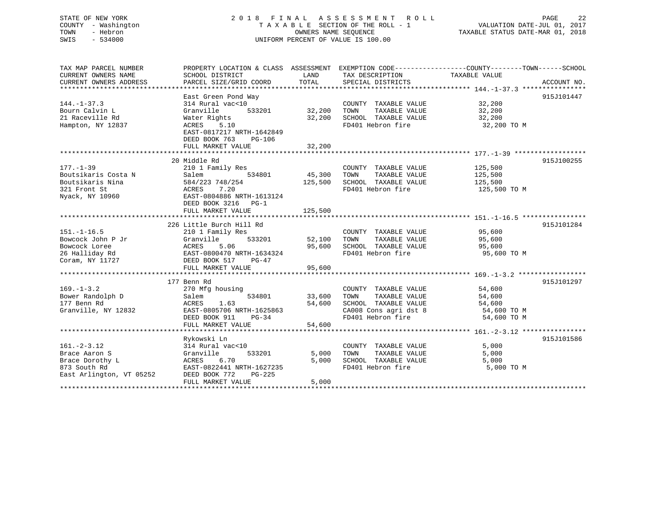## STATE OF NEW YORK 2 0 1 8 F I N A L A S S E S S M E N T R O L L PAGE 22 COUNTY - Washington T A X A B L E SECTION OF THE ROLL - 1 VALUATION DATE-JUL 01, 2017 TOWN - Hebron OWNERS NAME SEQUENCE TAXABLE STATUS DATE-MAR 01, 2018 SWIS - 534000 UNIFORM PERCENT OF VALUE IS 100.00

| TAX MAP PARCEL NUMBER<br>CURRENT OWNERS NAME<br>CURRENT OWNERS ADDRESS                       | PROPERTY LOCATION & CLASS ASSESSMENT<br>SCHOOL DISTRICT<br>PARCEL SIZE/GRID COORD                                                 | LAND<br>TOTAL              | TAX DESCRIPTION<br>SPECIAL DISTRICTS                                                                                | EXEMPTION CODE-----------------COUNTY-------TOWN------SCHOOL<br>TAXABLE VALUE | ACCOUNT NO. |
|----------------------------------------------------------------------------------------------|-----------------------------------------------------------------------------------------------------------------------------------|----------------------------|---------------------------------------------------------------------------------------------------------------------|-------------------------------------------------------------------------------|-------------|
|                                                                                              |                                                                                                                                   |                            |                                                                                                                     |                                                                               |             |
| $144. - 1 - 37.3$<br>Bourn Calvin L                                                          | East Green Pond Way<br>314 Rural vac<10<br>Granville<br>533201                                                                    | 32,200                     | COUNTY TAXABLE VALUE<br>TAXABLE VALUE<br>TOWN                                                                       | 32,200<br>32,200                                                              | 915J101447  |
| 21 Raceville Rd<br>Hampton, NY 12837                                                         | Water Rights<br><b>ACRES</b><br>5.10<br>EAST-0817217 NRTH-1642849<br>DEED BOOK 763<br>PG-106                                      | 32,200                     | SCHOOL TAXABLE VALUE<br>FD401 Hebron fire                                                                           | 32,200<br>32,200 TO M                                                         |             |
|                                                                                              | FULL MARKET VALUE                                                                                                                 | 32,200                     |                                                                                                                     |                                                                               |             |
|                                                                                              |                                                                                                                                   |                            |                                                                                                                     |                                                                               |             |
| $177. - 1 - 39$<br>Boutsikaris Costa N<br>Boutsikaris Nina                                   | 20 Middle Rd<br>210 1 Family Res<br>534801<br>Salem<br>584/223 748/254                                                            | 45,300<br>125,500          | COUNTY TAXABLE VALUE<br>TOWN<br>TAXABLE VALUE<br>SCHOOL TAXABLE VALUE                                               | 125,500<br>125,500<br>125,500                                                 | 915J100255  |
| 321 Front St<br>Nyack, NY 10960                                                              | 7.20<br>ACRES<br>EAST-0804886 NRTH-1613124<br>DEED BOOK 3216<br>$PG-1$                                                            |                            | FD401 Hebron fire                                                                                                   | 125,500 TO M                                                                  |             |
|                                                                                              | FULL MARKET VALUE                                                                                                                 | 125,500                    |                                                                                                                     |                                                                               |             |
|                                                                                              | 226 Little Burch Hill Rd                                                                                                          |                            |                                                                                                                     |                                                                               | 915J101284  |
| $151. - 1 - 16.5$<br>Bowcock John P Jr<br>Bowcock Loree<br>26 Halliday Rd<br>Coram, NY 11727 | 210 1 Family Res<br>533201<br>Granville<br>5.06<br>ACRES<br>EAST-0800470 NRTH-1634324<br>DEED BOOK 517<br>PG-47                   | 52,100<br>95,600           | COUNTY TAXABLE VALUE<br>TAXABLE VALUE<br>TOWN<br>SCHOOL TAXABLE VALUE<br>FD401 Hebron fire                          | 95,600<br>95,600<br>95,600<br>95,600 TO M                                     |             |
|                                                                                              | FULL MARKET VALUE                                                                                                                 | 95,600                     |                                                                                                                     |                                                                               |             |
|                                                                                              |                                                                                                                                   |                            |                                                                                                                     |                                                                               |             |
|                                                                                              | 177 Benn Rd                                                                                                                       |                            |                                                                                                                     |                                                                               | 915J101297  |
| $169. - 1 - 3.2$<br>Bower Randolph D<br>177 Benn Rd<br>Granville, NY 12832                   | 270 Mfg housing<br>534801<br>Salem<br>1.63<br>ACRES<br>EAST-0805706 NRTH-1625863<br>DEED BOOK 911<br>$PG-34$<br>FULL MARKET VALUE | 33,600<br>54,600<br>54,600 | COUNTY TAXABLE VALUE<br>TOWN<br>TAXABLE VALUE<br>SCHOOL TAXABLE VALUE<br>CA008 Cons agri dst 8<br>FD401 Hebron fire | 54,600<br>54,600<br>54,600<br>54,600 TO M<br>54,600 TO M                      |             |
|                                                                                              |                                                                                                                                   |                            |                                                                                                                     |                                                                               |             |
| $161. - 2 - 3.12$<br>Brace Aaron S<br>Brace Dorothy L                                        | Rykowski Ln<br>314 Rural vac<10<br>533201<br>Granville<br>ACRES<br>6.70                                                           | 5,000<br>5,000             | COUNTY TAXABLE VALUE<br>TOWN<br>TAXABLE VALUE<br>SCHOOL TAXABLE VALUE                                               | 5,000<br>5,000<br>5,000                                                       | 915J101586  |
| 873 South Rd<br>East Arlington, VT 05252<br>******************                               | EAST-0822441 NRTH-1627235<br>DEED BOOK 772<br>$PG-225$<br>FULL MARKET VALUE<br>**************************************             | 5,000                      | FD401 Hebron fire                                                                                                   | 5,000 TO M                                                                    |             |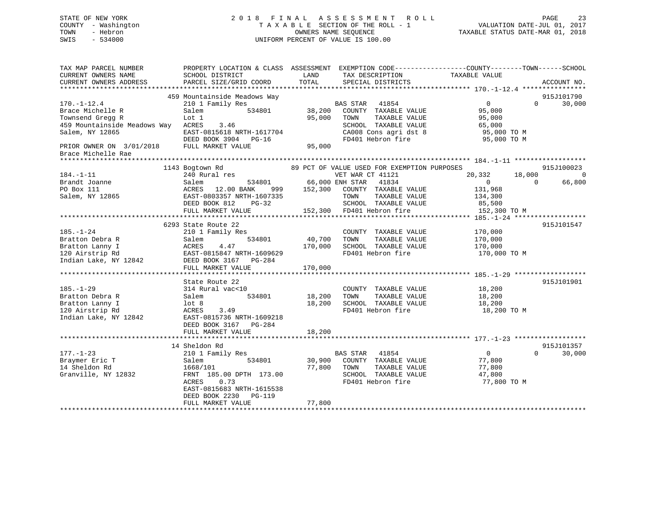## STATE OF NEW YORK 2 0 1 8 F I N A L A S S E S S M E N T R O L L PAGE 23 COUNTY - Washington T A X A B L E SECTION OF THE ROLL - 1 VALUATION DATE-JUL 01, 2017 TOWN - Hebron OWNERS NAME SEQUENCE TAXABLE STATUS DATE-MAR 01, 2018 SWIS - 534000 UNIFORM PERCENT OF VALUE IS 100.00

TAX MAP PARCEL NUMBER PROPERTY LOCATION & CLASS ASSESSMENT EXEMPTION CODE------------------COUNTY--------TOWN------SCHOOL

CURRENT OWNERS NAME SCHOOL DISTRICT THE LAND TAX DESCRIPTION TAXABLE VALUE CURRENT OWNERS ADDRESS PARCEL SIZE/GRID COORD TOTAL SPECIAL DISTRICTS ACCOUNT NO. \*\*\*\*\*\*\*\*\*\*\*\*\*\*\*\*\*\*\*\*\*\*\*\*\*\*\*\*\*\*\*\*\*\*\*\*\*\*\*\*\*\*\*\*\*\*\*\*\*\*\*\*\*\*\*\*\*\*\*\*\*\*\*\*\*\*\*\*\*\*\*\*\*\*\*\*\*\*\*\*\*\*\*\*\*\*\*\*\*\*\*\*\*\*\*\*\*\*\*\*\*\*\* 170.-1-12.4 \*\*\*\*\*\*\*\*\*\*\*\*\*\*\*\* 459 Mountainside Meadows Way 915J101790 170.-1-12.4 210 1 Family Res BAS STAR 41854 0 30,000 Brace Michelle R Salem 534801 38,200 COUNTY TAXABLE VALUE 95,000 Townsend Gregg R Lot 1 95,000 TOWN TAXABLE VALUE 95,000 459 Mountainside Meadows Way ACRES 3.46 SCHOOL TAXABLE VALUE 65,000 Salem, NY 12865 EAST-0815618 NRTH-1617704 CA008 Cons agri dst 8 95,000 TO M DEED BOOK 3904 PG-16 FD401 Hebron fire 95,000 TO M PRIOR OWNER ON 3/01/2018 FULL MARKET VALUE 95,000 Brace Michelle Rae \*\*\*\*\*\*\*\*\*\*\*\*\*\*\*\*\*\*\*\*\*\*\*\*\*\*\*\*\*\*\*\*\*\*\*\*\*\*\*\*\*\*\*\*\*\*\*\*\*\*\*\*\*\*\*\*\*\*\*\*\*\*\*\*\*\*\*\*\*\*\*\*\*\*\*\*\*\*\*\*\*\*\*\*\*\*\*\*\*\*\*\*\*\*\*\*\*\*\*\*\*\*\* 184.-1-11 \*\*\*\*\*\*\*\*\*\*\*\*\*\*\*\*\*\* 1143 Bogtown Rd 89 PCT OF VALUE USED FOR EXEMPTION PURPOSES 915J100023 184.-1-11 240 Rural res VET WAR CT 41121 20,332 18,000 0 184.-1-11 129.000 240 Eural res 534801 66,000 ENH STAR CT 41121 20,332 18,000 0 0 0 0 0 66,800 PO Box 111 ACRES 12.00 BANK 999 152,300 COUNTY TAXABLE VALUE 131,968 Salem, NY 12865 EAST-0803357 NRTH-1607335 TOWN TAXABLE VALUE 134,300 DEED BOOK 812 PG-32 SCHOOL TAXABLE VALUE 85,500 FULL MARKET VALUE 152,300 FD401 Hebron fire 152,300 TO M \*\*\*\*\*\*\*\*\*\*\*\*\*\*\*\*\*\*\*\*\*\*\*\*\*\*\*\*\*\*\*\*\*\*\*\*\*\*\*\*\*\*\*\*\*\*\*\*\*\*\*\*\*\*\*\*\*\*\*\*\*\*\*\*\*\*\*\*\*\*\*\*\*\*\*\*\*\*\*\*\*\*\*\*\*\*\*\*\*\*\*\*\*\*\*\*\*\*\*\*\*\*\* 185.-1-24 \*\*\*\*\*\*\*\*\*\*\*\*\*\*\*\*\*\* 6293 State Route 22 915J101547185.-1-24 210 1 Family Res COUNTY TAXABLE VALUE 170,000 Bratton Debra R Salem 534801 40,700 TOWN TAXABLE VALUE 170,000 Bratton Lanny I ACRES 4.47 170,000 SCHOOL TAXABLE VALUE 170,000 120 Airstrip Rd EAST-0815847 NRTH-1609629 FD401 Hebron fire 170,000 TO M Indian Lake, NY 12842 DEED BOOK 3167 PG-284 FULL MARKET VALUE 170,000 \*\*\*\*\*\*\*\*\*\*\*\*\*\*\*\*\*\*\*\*\*\*\*\*\*\*\*\*\*\*\*\*\*\*\*\*\*\*\*\*\*\*\*\*\*\*\*\*\*\*\*\*\*\*\*\*\*\*\*\*\*\*\*\*\*\*\*\*\*\*\*\*\*\*\*\*\*\*\*\*\*\*\*\*\*\*\*\*\*\*\*\*\*\*\*\*\*\*\*\*\*\*\* 185.-1-29 \*\*\*\*\*\*\*\*\*\*\*\*\*\*\*\*\*\*State Route 22 915J101901 185.-1-29 314 Rural vac<10 COUNTY TAXABLE VALUE 18,200 Bratton Debra R Salem 534801 18,200 TOWN TAXABLE VALUE 18,200 Bratton Lanny I lot 8 18,200 SCHOOL TAXABLE VALUE 18,200 120 Airstrip Rd ACRES 3.49 FD401 Hebron fire 18,200 TO M Indian Lake, NY 12842 EAST-0815736 NRTH-1609218 DEED BOOK 3167 PG-284FULL MARKET VALUE 18,200 \*\*\*\*\*\*\*\*\*\*\*\*\*\*\*\*\*\*\*\*\*\*\*\*\*\*\*\*\*\*\*\*\*\*\*\*\*\*\*\*\*\*\*\*\*\*\*\*\*\*\*\*\*\*\*\*\*\*\*\*\*\*\*\*\*\*\*\*\*\*\*\*\*\*\*\*\*\*\*\*\*\*\*\*\*\*\*\*\*\*\*\*\*\*\*\*\*\*\*\*\*\*\* 177.-1-23 \*\*\*\*\*\*\*\*\*\*\*\*\*\*\*\*\*\*14 Sheldon Rd 915J101357  $0 \t 30.000$ 177.-1-23 210 1 Family Res BAS STAR 41854 0 0 30,000 Braymer Eric T Salem 534801 30,900 COUNTY TAXABLE VALUE 77,800 14 Sheldon Rd 1668/101 77,800 TOWN TAXABLE VALUE 77,800 The Charles Charles Charles Charles Charles Charles Charles Charles Charles Charles Charles (17,800<br>Granville, NY 12832 FRNT 185.00 DPTH 173.00 SCHOOL TAXABLE VALUE 47,800 ACRES 0.73 FD401 Hebron fire 77,800 TO M EAST-0815683 NRTH-1615538 DEED BOOK 2230 PG-119 FULL MARKET VALUE 77,800 \*\*\*\*\*\*\*\*\*\*\*\*\*\*\*\*\*\*\*\*\*\*\*\*\*\*\*\*\*\*\*\*\*\*\*\*\*\*\*\*\*\*\*\*\*\*\*\*\*\*\*\*\*\*\*\*\*\*\*\*\*\*\*\*\*\*\*\*\*\*\*\*\*\*\*\*\*\*\*\*\*\*\*\*\*\*\*\*\*\*\*\*\*\*\*\*\*\*\*\*\*\*\*\*\*\*\*\*\*\*\*\*\*\*\*\*\*\*\*\*\*\*\*\*\*\*\*\*\*\*\*\*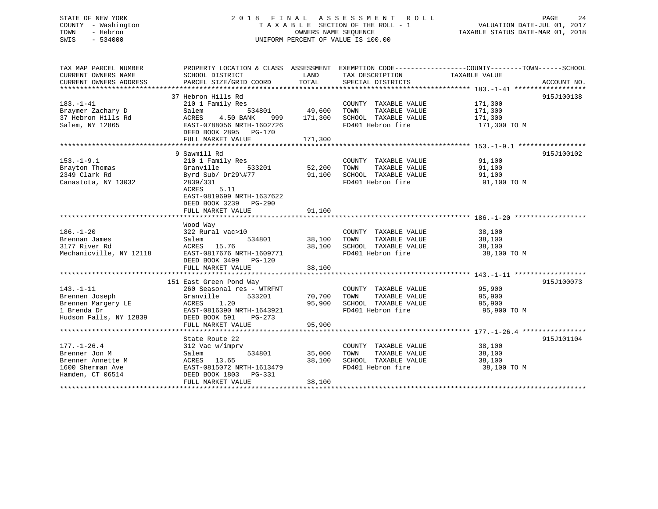## STATE OF NEW YORK 2 0 1 8 F I N A L A S S E S S M E N T R O L L PAGE 24 COUNTY - Washington T A X A B L E SECTION OF THE ROLL - 1 VALUATION DATE-JUL 01, 2017 TOWN - Hebron OWNERS NAME SEQUENCE TAXABLE STATUS DATE-MAR 01, 2018 SWIS - 534000 UNIFORM PERCENT OF VALUE IS 100.00

| TAX MAP PARCEL NUMBER<br>CURRENT OWNERS NAME | PROPERTY LOCATION & CLASS ASSESSMENT EXEMPTION CODE---------------COUNTY-------TOWN-----SCHOOL<br>SCHOOL DISTRICT | LAND    | TAX DESCRIPTION       | TAXABLE VALUE |             |
|----------------------------------------------|-------------------------------------------------------------------------------------------------------------------|---------|-----------------------|---------------|-------------|
| CURRENT OWNERS ADDRESS                       | PARCEL SIZE/GRID COORD                                                                                            | TOTAL   | SPECIAL DISTRICTS     |               | ACCOUNT NO. |
|                                              |                                                                                                                   |         |                       |               |             |
|                                              | 37 Hebron Hills Rd                                                                                                |         |                       |               | 915J100138  |
| $183. - 1 - 41$                              | 210 1 Family Res                                                                                                  |         | COUNTY TAXABLE VALUE  | 171,300       |             |
| Braymer Zachary D                            | 534801<br>Salem                                                                                                   | 49,600  | TAXABLE VALUE<br>TOWN | 171,300       |             |
| 37 Hebron Hills Rd                           | ACRES<br>4.50 BANK<br>999                                                                                         | 171,300 | SCHOOL TAXABLE VALUE  | 171,300       |             |
| Salem, NY 12865                              | EAST-0788056 NRTH-1602726                                                                                         |         | FD401 Hebron fire     | 171,300 TO M  |             |
|                                              | DEED BOOK 2895 PG-170                                                                                             |         |                       |               |             |
|                                              | FULL MARKET VALUE                                                                                                 | 171,300 |                       |               |             |
|                                              |                                                                                                                   |         |                       |               |             |
|                                              | 9 Sawmill Rd                                                                                                      |         |                       |               | 915J100102  |
| $153. - 1 - 9.1$                             | 210 1 Family Res                                                                                                  |         | COUNTY TAXABLE VALUE  | 91,100        |             |
| Brayton Thomas                               | 533201<br>Granville                                                                                               | 52,200  | TOWN<br>TAXABLE VALUE | 91,100        |             |
| 2349 Clark Rd                                | Byrd Sub/ Dr29\#77                                                                                                | 91,100  | SCHOOL TAXABLE VALUE  | 91,100        |             |
| Canastota, NY 13032                          | 2839/331                                                                                                          |         | FD401 Hebron fire     | 91,100 TO M   |             |
|                                              | ACRES<br>5.11                                                                                                     |         |                       |               |             |
|                                              | EAST-0819699 NRTH-1637622                                                                                         |         |                       |               |             |
|                                              | DEED BOOK 3239 PG-290                                                                                             |         |                       |               |             |
|                                              | FULL MARKET VALUE                                                                                                 | 91,100  |                       |               |             |
|                                              |                                                                                                                   |         |                       |               |             |
|                                              | Wood Way                                                                                                          |         |                       |               |             |
| $186. - 1 - 20$                              | 322 Rural vac>10                                                                                                  |         | COUNTY TAXABLE VALUE  | 38,100        |             |
| Brennan James                                | 534801<br>Salem                                                                                                   | 38,100  | TAXABLE VALUE<br>TOWN | 38,100        |             |
| 3177 River Rd                                | ACRES 15.76                                                                                                       | 38,100  | SCHOOL TAXABLE VALUE  | 38,100        |             |
| Mechanicville, NY 12118                      | EAST-0817676 NRTH-1609771                                                                                         |         | FD401 Hebron fire     | 38,100 TO M   |             |
|                                              | DEED BOOK 3499 PG-120                                                                                             |         |                       |               |             |
|                                              | FULL MARKET VALUE                                                                                                 | 38,100  |                       |               |             |
|                                              |                                                                                                                   |         |                       |               |             |
|                                              | 151 East Green Pond Way                                                                                           |         |                       |               | 915J100073  |
| $143. - 1 - 11$                              | 260 Seasonal res - WTRFNT                                                                                         |         | COUNTY TAXABLE VALUE  | 95,900        |             |
| Brennen Joseph                               | Granville<br>533201                                                                                               | 70,700  | TOWN<br>TAXABLE VALUE | 95,900        |             |
| Brennen Margery LE                           | 1.20<br>ACRES                                                                                                     | 95,900  | SCHOOL TAXABLE VALUE  | 95,900        |             |
| 1 Brenda Dr                                  | EAST-0816390 NRTH-1643921                                                                                         |         | FD401 Hebron fire     | 95,900 TO M   |             |
| Hudson Falls, NY 12839                       | DEED BOOK 591                                                                                                     |         |                       |               |             |
|                                              | PG-273<br>FULL MARKET VALUE                                                                                       |         |                       |               |             |
|                                              |                                                                                                                   | 95,900  |                       |               |             |
|                                              |                                                                                                                   |         |                       |               |             |
|                                              | State Route 22                                                                                                    |         |                       |               | 915J101104  |
| $177. - 1 - 26.4$                            | 312 Vac w/imprv                                                                                                   |         | COUNTY TAXABLE VALUE  | 38,100        |             |
| Brenner Jon M                                | 534801<br>Salem                                                                                                   | 35,000  | TOWN<br>TAXABLE VALUE | 38,100        |             |
| Brenner Annette M                            | ACRES 13.65                                                                                                       | 38,100  | SCHOOL TAXABLE VALUE  | 38,100        |             |
| 1600 Sherman Ave                             | EAST-0815072 NRTH-1613479                                                                                         |         | FD401 Hebron fire     | 38,100 TO M   |             |
| Hamden, CT 06514                             | DEED BOOK 1803 PG-331                                                                                             |         |                       |               |             |
|                                              | FULL MARKET VALUE                                                                                                 | 38,100  |                       |               |             |
|                                              |                                                                                                                   |         |                       |               |             |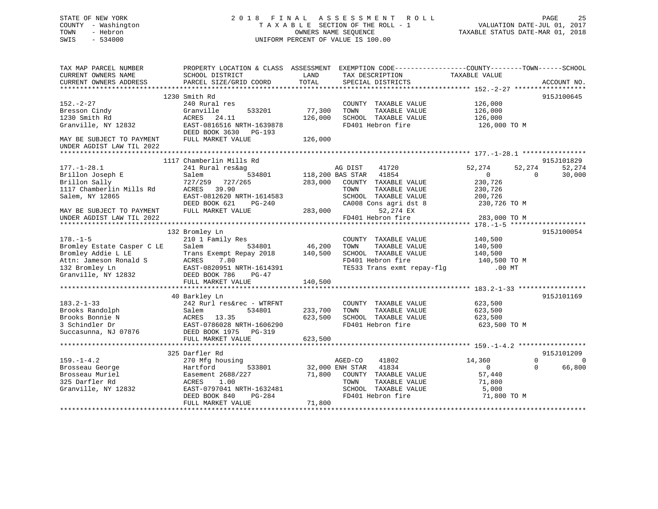# STATE OF NEW YORK 2 0 1 8 F I N A L A S S E S S M E N T R O L L PAGE 25COUNTY - Washington  $T A X A B L E$  SECTION OF THE ROLL - 1 TOWN - Hebron SWIS - 534000 UNIFORM PERCENT OF VALUE IS 100.00

TAXABLE STATUS DATE-MAR 01, 2018

| TAX MAP PARCEL NUMBER<br>CURRENT OWNERS NAME           | PROPERTY LOCATION & CLASS ASSESSMENT<br>SCHOOL DISTRICT | LAND            | EXEMPTION CODE-----------------COUNTY-------TOWN------SCHOOL<br>TAX DESCRIPTION | TAXABLE VALUE    |                      |
|--------------------------------------------------------|---------------------------------------------------------|-----------------|---------------------------------------------------------------------------------|------------------|----------------------|
| CURRENT OWNERS ADDRESS                                 | PARCEL SIZE/GRID COORD                                  | TOTAL           | SPECIAL DISTRICTS                                                               |                  | ACCOUNT NO.          |
|                                                        |                                                         |                 |                                                                                 |                  |                      |
|                                                        | 1230 Smith Rd                                           |                 |                                                                                 |                  | 915J100645           |
| $152 - 2 - 27$                                         | 240 Rural res                                           |                 | COUNTY TAXABLE VALUE                                                            | 126,000          |                      |
| Bresson Cindy                                          | Granville<br>533201                                     | 77,300          | TOWN<br>TAXABLE VALUE                                                           | 126,000          |                      |
| 1230 Smith Rd                                          | ACRES<br>24.11                                          | 126,000         | SCHOOL TAXABLE VALUE                                                            | 126,000          |                      |
| Granville, NY 12832                                    | EAST-0816516 NRTH-1639878<br>DEED BOOK 3630 PG-193      |                 | FD401 Hebron fire                                                               | 126,000 TO M     |                      |
| MAY BE SUBJECT TO PAYMENT<br>UNDER AGDIST LAW TIL 2022 | FULL MARKET VALUE                                       | 126,000         |                                                                                 |                  |                      |
|                                                        |                                                         |                 |                                                                                 |                  |                      |
|                                                        | 1117 Chamberlin Mills Rd                                |                 |                                                                                 |                  | 915J101829           |
| $177. - 1 - 28.1$                                      | 241 Rural res&ag                                        |                 | AG DIST<br>41720                                                                | 52,274<br>52,274 | 52,274               |
| Brillon Joseph E                                       | 534801<br>Salem                                         |                 | 118,200 BAS STAR 41854                                                          | $\overline{0}$   | 30,000<br>$\Omega$   |
| Brillon Sally                                          | 727/259 727/265                                         | 283,000         | COUNTY TAXABLE VALUE                                                            | 230,726          |                      |
| 1117 Chamberlin Mills Rd                               | ACRES 39.90                                             |                 | TOWN<br>TAXABLE VALUE                                                           | 230,726          |                      |
| Salem, NY 12865                                        | EAST-0812620 NRTH-1614583                               |                 | SCHOOL TAXABLE VALUE                                                            | 200,726          |                      |
|                                                        | DEED BOOK 621<br>PG-240                                 |                 | CA008 Cons agri dst 8                                                           | 230,726 TO M     |                      |
| MAY BE SUBJECT TO PAYMENT                              | FULL MARKET VALUE                                       | 283,000         | 52,274 EX                                                                       |                  |                      |
| UNDER AGDIST LAW TIL 2022                              |                                                         |                 | FD401 Hebron fire                                                               | 283,000 TO M     |                      |
|                                                        |                                                         |                 |                                                                                 |                  | *************        |
|                                                        | 132 Bromley Ln                                          |                 |                                                                                 |                  | 915J100054           |
| $178. - 1 - 5$                                         | 210 1 Family Res                                        |                 | COUNTY TAXABLE VALUE                                                            | 140,500          |                      |
| Bromley Estate Casper C LE                             | Salem<br>534801                                         | 46,200          | TOWN<br>TAXABLE VALUE                                                           | 140,500          |                      |
| Bromley Addie L LE                                     | Trans Exempt Repay 2018                                 | 140,500         | SCHOOL TAXABLE VALUE                                                            | 140,500          |                      |
| Attn: Jameson Ronald S                                 | 7.80<br>ACRES                                           |                 | FD401 Hebron fire                                                               | 140,500 TO M     |                      |
| 132 Bromley Ln                                         | EAST-0820951 NRTH-1614391                               |                 | TE533 Trans exmt repay-flq                                                      | $.00$ MT         |                      |
| Granville, NY 12832                                    | DEED BOOK 786<br>PG-47                                  |                 |                                                                                 |                  |                      |
|                                                        | FULL MARKET VALUE                                       | 140,500         |                                                                                 |                  |                      |
|                                                        |                                                         |                 |                                                                                 |                  |                      |
|                                                        | 40 Barkley Ln                                           |                 |                                                                                 |                  | 915J101169           |
| $183.2 - 1 - 33$                                       | 242 Rurl res&rec - WTRFNT                               |                 | COUNTY TAXABLE VALUE                                                            | 623,500          |                      |
| Brooks Randolph                                        | 534801<br>Salem                                         | 233,700         | TAXABLE VALUE<br>TOWN                                                           | 623,500          |                      |
| Brooks Bonnie N                                        | 13.35<br>ACRES                                          | 623,500         | SCHOOL TAXABLE VALUE                                                            | 623,500          |                      |
| 3 Schindler Dr                                         | EAST-0786028 NRTH-1606290                               |                 | FD401 Hebron fire                                                               | 623,500 TO M     |                      |
| Succasunna, NJ 07876                                   | DEED BOOK 1975 PG-319                                   |                 |                                                                                 |                  |                      |
|                                                        | FULL MARKET VALUE                                       | 623,500         |                                                                                 |                  |                      |
|                                                        |                                                         |                 |                                                                                 |                  |                      |
|                                                        | 325 Darfler Rd                                          |                 |                                                                                 |                  | 915J101209           |
| $159. - 1 - 4.2$                                       | 270 Mfg housing                                         |                 | AGED-CO<br>41802                                                                | 14,360           | $\Omega$<br>$\Omega$ |
| Brosseau George                                        | 533801<br>Hartford                                      | 32,000 ENH STAR | 41834                                                                           | $\overline{0}$   | $\Omega$<br>66,800   |
| Brosseau Muriel                                        | Easement 2688/227                                       | 71,800          | COUNTY TAXABLE VALUE                                                            | 57,440           |                      |
| 325 Darfler Rd                                         | 1.00<br>ACRES                                           |                 | TOWN<br>TAXABLE VALUE                                                           | 71,800           |                      |
| Granville, NY 12832                                    | EAST-0797041 NRTH-1632481                               |                 | SCHOOL TAXABLE VALUE                                                            | 5,000            |                      |
|                                                        | DEED BOOK 840<br>PG-284                                 |                 | FD401 Hebron fire                                                               | 71,800 TO M      |                      |
|                                                        | FULL MARKET VALUE                                       | 71,800          |                                                                                 |                  |                      |
|                                                        |                                                         |                 |                                                                                 |                  |                      |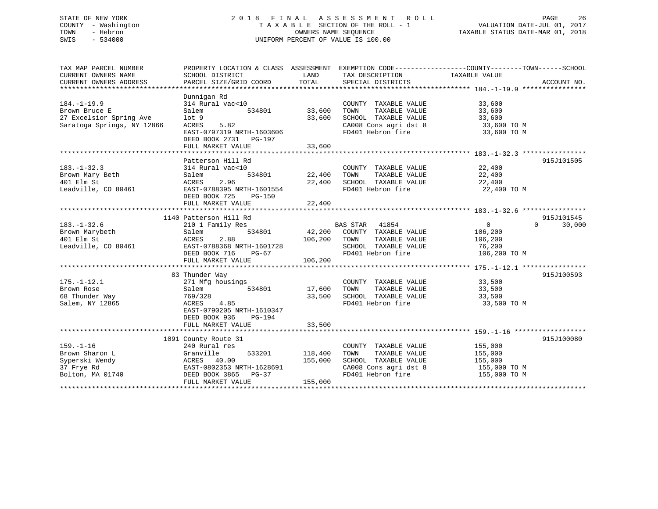## STATE OF NEW YORK 2 0 1 8 F I N A L A S S E S S M E N T R O L L PAGE 26 COUNTY - Washington T A X A B L E SECTION OF THE ROLL - 1 VALUATION DATE-JUL 01, 2017 TOWN - Hebron OWNERS NAME SEQUENCE TAXABLE STATUS DATE-MAR 01, 2018 SWIS - 534000 UNIFORM PERCENT OF VALUE IS 100.00

| TAX MAP PARCEL NUMBER<br>CURRENT OWNERS NAME<br>CURRENT OWNERS ADDRESS | SCHOOL DISTRICT<br>PARCEL SIZE/GRID COORD          | LAND<br>TOTAL  | TAX DESCRIPTION<br>SPECIAL DISTRICTS                | PROPERTY LOCATION & CLASS ASSESSMENT EXEMPTION CODE---------------COUNTY-------TOWN------SCHOOL<br>TAXABLE VALUE<br>ACCOUNT NO. |
|------------------------------------------------------------------------|----------------------------------------------------|----------------|-----------------------------------------------------|---------------------------------------------------------------------------------------------------------------------------------|
|                                                                        |                                                    |                |                                                     |                                                                                                                                 |
|                                                                        | Dunnigan Rd                                        |                |                                                     |                                                                                                                                 |
| $184. - 1 - 19.9$                                                      | 314 Rural vac<10                                   |                | COUNTY TAXABLE VALUE                                | 33,600                                                                                                                          |
| Brown Bruce E                                                          | Salem<br>534801                                    | 33,600         |                                                     | 33,600                                                                                                                          |
| 27 Excelsior Spring Ave                                                | $1$ ot $9$                                         | 33,600         |                                                     | 33,600                                                                                                                          |
| Saratoga Springs, NY 12866                                             | 5.82<br>ACRES                                      |                |                                                     | CA008 Cons agri dst 8 33,600 TO M                                                                                               |
|                                                                        | EAST-0797319 NRTH-1603606<br>DEED BOOK 2731 PG-197 |                | FD401 Hebron fire                                   | 33,600 TO M                                                                                                                     |
|                                                                        |                                                    |                |                                                     |                                                                                                                                 |
|                                                                        | Patterson Hill Rd                                  |                |                                                     | 915J101505                                                                                                                      |
| $183. - 1 - 32.3$                                                      | 314 Rural vac<10                                   |                |                                                     | 22,400                                                                                                                          |
| Brown Mary Beth                                                        | Salem                                              |                | COUNTY TAXABLE VALUE<br>TOWN      TAXABLE VALUE     | 22,400                                                                                                                          |
| 401 Elm St                                                             | ACRES<br>2.96                                      | 22,400         | SCHOOL TAXABLE VALUE                                | 22,400                                                                                                                          |
| Leadville, CO 80461                                                    | EAST-0788395 NRTH-1601554                          |                | FD401 Hebron fire                                   | 22,400 TO M                                                                                                                     |
|                                                                        | DEED BOOK 725<br>PG-150                            |                |                                                     |                                                                                                                                 |
|                                                                        | FULL MARKET VALUE                                  | 22,400         |                                                     |                                                                                                                                 |
|                                                                        |                                                    |                |                                                     |                                                                                                                                 |
|                                                                        | 1140 Patterson Hill Rd                             |                |                                                     | 915J101545                                                                                                                      |
| $183. - 1 - 32.6$                                                      | 210 1 Family Res                                   |                | BAS STAR 41854                                      | $\Omega$<br>$\overline{0}$<br>30,000                                                                                            |
| Brown Marybeth                                                         | 534801<br>Salem                                    |                | 42,200 COUNTY TAXABLE VALUE                         | 106,200                                                                                                                         |
| 401 Elm St                                                             | 2.88<br>ACRES                                      | 106,200        | TAXABLE VALUE<br>TOWN                               | 106,200                                                                                                                         |
| Leadville, CO 80461                                                    | EAST-0788368 NRTH-1601728                          |                | SCHOOL TAXABLE VALUE                                | 76,200                                                                                                                          |
|                                                                        | DEED BOOK 716<br>$PG-67$                           |                | FD401 Hebron fire                                   | 106,200 TO M                                                                                                                    |
|                                                                        | FULL MARKET VALUE                                  | 106,200        |                                                     |                                                                                                                                 |
|                                                                        |                                                    |                |                                                     |                                                                                                                                 |
|                                                                        | 83 Thunder Way                                     |                |                                                     | 915J100593                                                                                                                      |
| $175. - 1 - 12.1$                                                      | 271 Mfg housings                                   |                | COUNTY TAXABLE VALUE 33,500                         |                                                                                                                                 |
| Brown Rose                                                             | 534801<br>Salem                                    | 17,600         |                                                     | 33,500                                                                                                                          |
| 68 Thunder Way                                                         | 769/328                                            | 33,500         | TOWN      TAXABLE  VALUE<br>SCHOOL   TAXABLE  VALUE | 33,500                                                                                                                          |
| Salem, NY 12865                                                        | 4.85<br>ACRES                                      |                | FD401 Hebron fire                                   | 33,500 TO M                                                                                                                     |
|                                                                        | EAST-0790205 NRTH-1610347                          |                |                                                     |                                                                                                                                 |
|                                                                        | DEED BOOK 936<br>PG-194                            |                |                                                     |                                                                                                                                 |
|                                                                        | FULL MARKET VALUE                                  | 33,500         |                                                     |                                                                                                                                 |
|                                                                        |                                                    |                |                                                     |                                                                                                                                 |
|                                                                        | 1091 County Route 31                               |                |                                                     | 915J100080                                                                                                                      |
| $159. - 1 - 16$                                                        | 240 Rural res                                      |                | COUNTY TAXABLE VALUE                                | 155,000<br>155,000                                                                                                              |
| Brown Sharon L                                                         | Granville                                          | 533201 118,400 | TAXABLE VALUE<br>TOWN                               |                                                                                                                                 |
| Syperski Wendy<br>37 Frye Rd<br>Bolton, MA 01740                       | ACRES 40.00                                        | 155,000        | SCHOOL TAXABLE VALUE                                | 155,000                                                                                                                         |
|                                                                        | EAST-0802353 NRTH-1628691                          |                | CA008 Cons agri dst 8                               | 155,000 TO M                                                                                                                    |
|                                                                        | DEED BOOK 3865 PG-37                               |                | FD401 Hebron fire                                   | 155,000 TO M                                                                                                                    |
|                                                                        | FULL MARKET VALUE                                  | 155,000        |                                                     |                                                                                                                                 |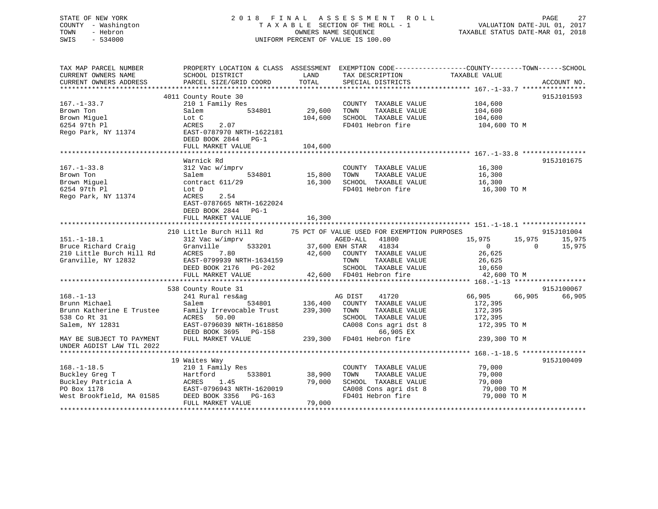# STATE OF NEW YORK 2 0 1 8 F I N A L A S S E S S M E N T R O L L PAGE 27COUNTY - Washington  $T A X A B L E$  SECTION OF THE ROLL - 1<br>TOWN - Hebron DATE-JUL 000NERS NAME SEQUENCE SWIS - 534000 UNIFORM PERCENT OF VALUE IS 100.00

TAXABLE STATUS DATE-MAR 01, 2018

| TAX MAP PARCEL NUMBER<br>CURRENT OWNERS NAME<br>CURRENT OWNERS ADDRESS | PROPERTY LOCATION & CLASS ASSESSMENT EXEMPTION CODE----------------COUNTY-------TOWN------SCHOOL<br>SCHOOL DISTRICT<br>PARCEL SIZE/GRID COORD | LAND<br>TOTAL      | TAX DESCRIPTION<br>SPECIAL DISTRICTS                       | TAXABLE VALUE                                  | ACCOUNT NO.      |
|------------------------------------------------------------------------|-----------------------------------------------------------------------------------------------------------------------------------------------|--------------------|------------------------------------------------------------|------------------------------------------------|------------------|
|                                                                        |                                                                                                                                               |                    |                                                            |                                                |                  |
| $167. - 1 - 33.7$<br>Brown Ton                                         | 4011 County Route 30<br>210 1 Family Res<br>534801<br>Salem                                                                                   | 29,600             | COUNTY TAXABLE VALUE<br>TOWN<br>TAXABLE VALUE              | 104,600<br>104,600                             | 915J101593       |
| Brown Miguel<br>6254 97th Pl<br>Rego Park, NY 11374                    | Lot C<br>ACRES<br>2.07<br>EAST-0787970 NRTH-1622181<br>DEED BOOK 2844 PG-1                                                                    | 104,600            | SCHOOL TAXABLE VALUE<br>FD401 Hebron fire                  | 104,600<br>104,600 TO M                        |                  |
|                                                                        | FULL MARKET VALUE                                                                                                                             | 104,600            |                                                            |                                                |                  |
|                                                                        | Warnick Rd                                                                                                                                    |                    |                                                            |                                                | 915J101675       |
| $167. - 1 - 33.8$<br>Brown Ton                                         | 312 Vac w/imprv<br>534801<br>Salem                                                                                                            | 15,800             | COUNTY TAXABLE VALUE<br>TOWN<br>TAXABLE VALUE              | 16,300<br>16,300                               |                  |
| Brown Miquel<br>6254 97th Pl<br>Rego Park, NY 11374                    | contract 611/29<br>Lot D<br>2.54<br>ACRES<br>EAST-0787665 NRTH-1622024                                                                        | 16,300             | SCHOOL TAXABLE VALUE<br>FD401 Hebron fire                  | 16,300<br>16,300 TO M                          |                  |
|                                                                        | DEED BOOK 2844 PG-1<br>FULL MARKET VALUE                                                                                                      | 16,300             |                                                            |                                                |                  |
|                                                                        | 210 Little Burch Hill Rd                                                                                                                      |                    | 75 PCT OF VALUE USED FOR EXEMPTION PURPOSES                |                                                | 915J101004       |
| $151.-1-18.1$<br>Bruce Richard Craig                                   | 312 Vac w/imprv<br>Granville                                                                                                                  |                    | AGED-ALL 41800<br>533201 37,600 ENH STAR 41834             | 15,975<br>15,975<br>$\overline{0}$<br>$\Omega$ | 15,975<br>15,975 |
| 210 Little Burch Hill Rd<br>Granville, NY 12832                        | ACRES<br>7.80<br>EAST-0799939 NRTH-1634159                                                                                                    |                    | 42,600 COUNTY TAXABLE VALUE<br>TOWN<br>TAXABLE VALUE       | 26,625<br>26,625                               |                  |
|                                                                        | DEED BOOK 2176 PG-202<br>FULL MARKET VALUE                                                                                                    |                    | SCHOOL TAXABLE VALUE<br>42,600 FD401 Hebron fire           | 10,650<br>42,600 TO M                          |                  |
|                                                                        |                                                                                                                                               |                    |                                                            |                                                |                  |
|                                                                        | 538 County Route 31                                                                                                                           |                    |                                                            |                                                | 915J100067       |
| $168. - 1 - 13$                                                        | 241 Rural res&ag                                                                                                                              |                    | AG DIST<br>41720                                           | 66,905<br>66,905                               | 66,905           |
| Brunn Michael<br>Brunn Katherine E Trustee<br>538 Co Rt 31             | 534801<br>Salem<br>Family Irrevocable Trust                                                                                                   | 136,400<br>239,300 | COUNTY TAXABLE VALUE<br>TOWN<br>TAXABLE VALUE              | 172,395<br>172,395                             |                  |
| Salem, NY 12831                                                        | ACRES 50.00<br>EAST-0796039 NRTH-1618850<br>DEED BOOK 3695 PG-158                                                                             |                    | SCHOOL TAXABLE VALUE<br>CA008 Cons agri dst 8<br>66,905 EX | 172,395<br>172,395 TO M                        |                  |
| MAY BE SUBJECT TO PAYMENT<br>UNDER AGDIST LAW TIL 2022                 | FULL MARKET VALUE                                                                                                                             |                    | 239,300 FD401 Hebron fire                                  | 239,300 TO M                                   |                  |
|                                                                        |                                                                                                                                               |                    |                                                            |                                                |                  |
|                                                                        | 19 Waites Way                                                                                                                                 |                    |                                                            |                                                | 915J100409       |
| $168. - 1 - 18.5$                                                      | 210 1 Family Res                                                                                                                              |                    | COUNTY TAXABLE VALUE                                       | 79,000                                         |                  |
| Buckley Greg T<br>Buckley Patricia A                                   | 533801<br>Hartford<br>ACRES<br>1.45                                                                                                           | 38,900<br>79,000   | TOWN<br>TAXABLE VALUE<br>SCHOOL TAXABLE VALUE              | 79,000<br>79,000                               |                  |
| PO Box 1178                                                            | EAST-0796943 NRTH-1620019                                                                                                                     |                    | CA008 Cons agri dst 8                                      | 79,000 TO M                                    |                  |
| West Brookfield, MA 01585                                              | DEED BOOK 3356<br>PG-163<br>FULL MARKET VALUE                                                                                                 | 79,000             | FD401 Hebron fire                                          | 79,000 TO M                                    |                  |
|                                                                        |                                                                                                                                               |                    |                                                            |                                                |                  |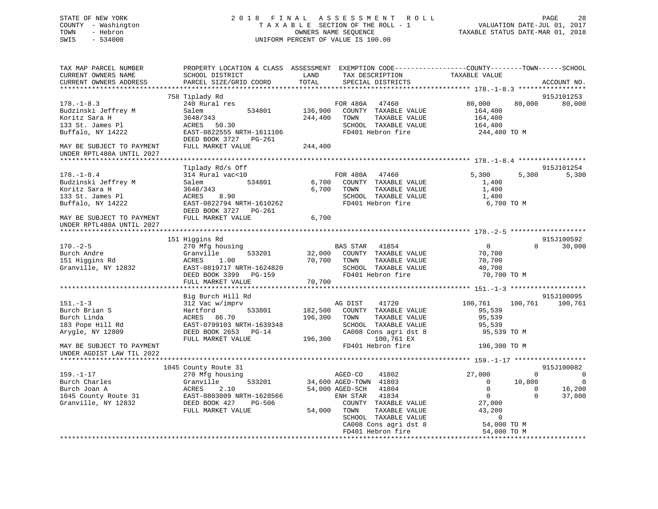## STATE OF NEW YORK 2 0 1 8 F I N A L A S S E S S M E N T R O L L PAGE 28 COUNTY - Washington T A X A B L E SECTION OF THE ROLL - 1 VALUATION DATE-JUL 01, 2017 TOWN - Hebron OWNERS NAME SEQUENCE TAXABLE STATUS DATE-MAR 01, 2018 SWIS - 534000 UNIFORM PERCENT OF VALUE IS 100.00

| TAX MAP PARCEL NUMBER<br>CURRENT OWNERS NAME<br>CURRENT OWNERS ADDRESS                                                                                      | PROPERTY LOCATION & CLASS ASSESSMENT EXEMPTION CODE----------------COUNTY-------TOWN------SCHOOL<br>SCHOOL DISTRICT<br>PARCEL SIZE/GRID COORD               | LAND<br>TOTAL                 | TAX DESCRIPTION<br>SPECIAL DISTRICTS                                                                                                                                                                               | TAXABLE VALUE                                                                                                         |                                               | ACCOUNT NO.                       |
|-------------------------------------------------------------------------------------------------------------------------------------------------------------|-------------------------------------------------------------------------------------------------------------------------------------------------------------|-------------------------------|--------------------------------------------------------------------------------------------------------------------------------------------------------------------------------------------------------------------|-----------------------------------------------------------------------------------------------------------------------|-----------------------------------------------|-----------------------------------|
| **********************                                                                                                                                      |                                                                                                                                                             |                               |                                                                                                                                                                                                                    |                                                                                                                       |                                               |                                   |
| $178. - 1 - 8.3$<br>Budzinski Jeffrey M<br>Koritz Sara H<br>133 St. James Pl<br>Buffalo, NY 14222<br>MAY BE SUBJECT TO PAYMENT<br>UNDER RPTL480A UNTIL 2027 | 758 Tiplady Rd<br>240 Rural res<br>Salem<br>534801<br>3648/343<br>50.30<br>ACRES<br>EAST-0822555 NRTH-1611106<br>DEED BOOK 3727 PG-261<br>FULL MARKET VALUE | 136,900<br>244,400<br>244,400 | FOR 480A<br>47460<br>COUNTY TAXABLE VALUE<br>TAXABLE VALUE<br>TOWN<br>SCHOOL TAXABLE VALUE<br>FD401 Hebron fire                                                                                                    | 80,000<br>164,400<br>164,400<br>164,400<br>244,400 TO M                                                               | 80,000                                        | 915J101253<br>80,000              |
|                                                                                                                                                             |                                                                                                                                                             |                               |                                                                                                                                                                                                                    |                                                                                                                       |                                               |                                   |
| $178. - 1 - 8.4$<br>Budzinski Jeffrey M<br>Koritz Sara H<br>133 St. James Pl<br>Buffalo, NY 14222                                                           | Tiplady Rd/s Off<br>314 Rural vac<10<br>534801<br>Salem<br>3648/343<br>ACRES<br>8.90<br>EAST-0822794 NRTH-1610262<br>DEED BOOK 3727 PG-261                  | 6,700<br>6,700                | FOR 480A<br>47460<br>COUNTY TAXABLE VALUE<br>TOWN<br>TAXABLE VALUE<br>SCHOOL TAXABLE VALUE<br>FD401 Hebron fire                                                                                                    | 5,300<br>1,400<br>1,400<br>1,400<br>6,700 TO M                                                                        | 5,300                                         | 915J101254<br>5,300               |
| MAY BE SUBJECT TO PAYMENT<br>UNDER RPTL480A UNTIL 2027                                                                                                      | FULL MARKET VALUE                                                                                                                                           | 6,700                         |                                                                                                                                                                                                                    |                                                                                                                       |                                               |                                   |
|                                                                                                                                                             |                                                                                                                                                             |                               |                                                                                                                                                                                                                    |                                                                                                                       |                                               |                                   |
|                                                                                                                                                             | 151 Higgins Rd                                                                                                                                              |                               |                                                                                                                                                                                                                    |                                                                                                                       |                                               | 915J100592                        |
| $170. - 2 - 5$<br>Burch Andre<br>151 Higgins Rd<br>Granville, NY 12832                                                                                      | 270 Mfg housing<br>Granville<br>533201<br>ACRES<br>1.00<br>EAST-0819717 NRTH-1624820<br>DEED BOOK 3399<br>PG-159                                            | 32,000<br>70,700              | BAS STAR<br>41854<br>COUNTY TAXABLE VALUE<br>TOWN<br>TAXABLE VALUE<br>SCHOOL TAXABLE VALUE<br>FD401 Hebron fire                                                                                                    | $\overline{0}$<br>70,700<br>70,700<br>40,700<br>70,700 TO M                                                           | $\Omega$                                      | 30,000                            |
|                                                                                                                                                             | FULL MARKET VALUE                                                                                                                                           | 70,700                        |                                                                                                                                                                                                                    |                                                                                                                       |                                               |                                   |
|                                                                                                                                                             | Big Burch Hill Rd                                                                                                                                           |                               |                                                                                                                                                                                                                    |                                                                                                                       |                                               | 915J100095                        |
| $151. - 1 - 3$<br>Burch Brian S<br>Burch Linda<br>183 Pope Hill Rd<br>Arygle, NY 12809<br>MAY BE SUBJECT TO PAYMENT                                         | 312 Vac w/imprv<br>533801<br>Hartford<br>ACRES<br>86.70<br>EAST-0799103 NRTH-1639348<br>DEED BOOK 2653 PG-14<br>FULL MARKET VALUE                           | 182,500<br>196,300<br>196,300 | AG DIST<br>41720<br>COUNTY TAXABLE VALUE<br>TOWN<br>TAXABLE VALUE<br>SCHOOL TAXABLE VALUE<br>CA008 Cons agri dst 8<br>100,761 EX<br>FD401 Hebron fire                                                              | 100,761<br>95,539<br>95,539<br>95,539<br>95,539 TO M<br>196,300 TO M                                                  | 100,761                                       | 100,761                           |
| UNDER AGDIST LAW TIL 2022                                                                                                                                   |                                                                                                                                                             |                               |                                                                                                                                                                                                                    |                                                                                                                       |                                               |                                   |
|                                                                                                                                                             | 1045 County Route 31                                                                                                                                        |                               |                                                                                                                                                                                                                    |                                                                                                                       |                                               | 915J100082                        |
| $159. - 1 - 17$<br>Burch Charles<br>Burch Joan A<br>1045 County Route 31<br>Granville, NY 12832                                                             | 270 Mfg housing<br>533201<br>Granville<br>ACRES<br>2.10<br>EAST-0803009 NRTH-1628566<br>DEED BOOK 427<br>PG-506<br>FULL MARKET VALUE                        | 54,000                        | AGED-CO<br>41802<br>34,600 AGED-TOWN 41803<br>54,000 AGED-SCH<br>41804<br>ENH STAR<br>41834<br>COUNTY TAXABLE VALUE<br>TOWN<br>TAXABLE VALUE<br>SCHOOL TAXABLE VALUE<br>CA008 Cons agri dst 8<br>FD401 Hebron fire | 27,000<br>$\mathbf{0}$<br>$\mathbf 0$<br>$\overline{0}$<br>27,000<br>43,200<br>$\Omega$<br>54,000 TO M<br>54,000 TO M | $\Omega$<br>10,800<br>$\mathbf 0$<br>$\Omega$ | 0<br>$\Omega$<br>16,200<br>37,800 |
|                                                                                                                                                             |                                                                                                                                                             |                               |                                                                                                                                                                                                                    |                                                                                                                       |                                               |                                   |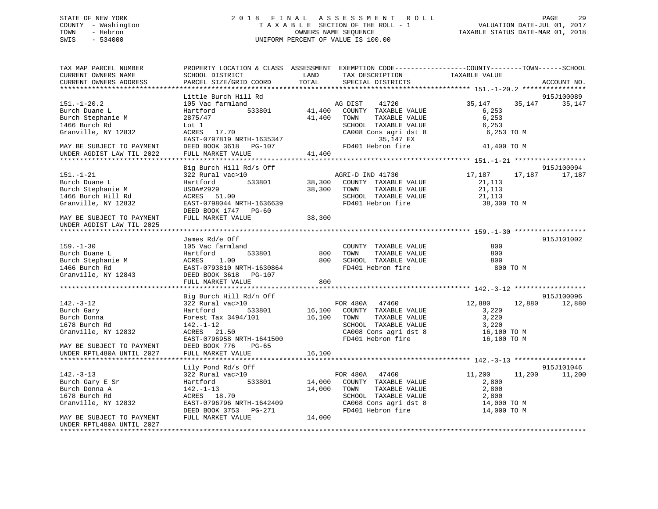## STATE OF NEW YORK 2 0 1 8 F I N A L A S S E S S M E N T R O L L PAGE 29 COUNTY - Washington T A X A B L E SECTION OF THE ROLL - 1 VALUATION DATE-JUL 01, 2017 TOWN - Hebron OWNERS NAME SEQUENCE TAXABLE STATUS DATE-MAR 01, 2018 SWIS - 534000 UNIFORM PERCENT OF VALUE IS 100.00

| TAX MAP PARCEL NUMBER<br>CURRENT OWNERS NAME<br>CURRENT OWNERS ADDRESS                                                          | PROPERTY LOCATION & CLASS ASSESSMENT EXEMPTION CODE----------------COUNTY-------TOWN------SCHOOL<br>SCHOOL DISTRICT<br>PARCEL SIZE/GRID COORD                                     | LAND<br>TOTAL              | TAX DESCRIPTION<br>SPECIAL DISTRICTS                                                                                                               | TAXABLE VALUE                                                   |        | ACCOUNT NO.          |
|---------------------------------------------------------------------------------------------------------------------------------|-----------------------------------------------------------------------------------------------------------------------------------------------------------------------------------|----------------------------|----------------------------------------------------------------------------------------------------------------------------------------------------|-----------------------------------------------------------------|--------|----------------------|
|                                                                                                                                 |                                                                                                                                                                                   |                            |                                                                                                                                                    |                                                                 |        |                      |
| $151. - 1 - 20.2$<br>Burch Duane L<br>Burch Stephanie M<br>1466 Burch Rd                                                        | Little Burch Hill Rd<br>105 Vac farmland<br>533801<br>Hartford<br>2875/47<br>Lot 1                                                                                                | 41,400                     | AG DIST 41720<br>41,400 COUNTY TAXABLE VALUE<br>TOWN<br>TAXABLE VALUE<br>SCHOOL TAXABLE VALUE                                                      | 35,147<br>6,253<br>6,253<br>6,253                               | 35,147 | 915J100089<br>35,147 |
| Granville, NY 12832<br>MAY BE SUBJECT TO PAYMENT<br>UNDER AGDIST LAW TIL 2022                                                   | ACRES 17.70<br>EAST-0797819 NRTH-1635347<br>DEED BOOK 3618 PG-107<br>FULL MARKET VALUE                                                                                            | 41,400                     | CA008 Cons agri dst 8<br>35,147 EX<br>FD401 Hebron fire                                                                                            | 6,253 TO M<br>41,400 TO M                                       |        |                      |
|                                                                                                                                 | Big Burch Hill Rd/s Off                                                                                                                                                           |                            |                                                                                                                                                    |                                                                 |        | 915J100094           |
| $151. - 1 - 21$<br>Burch Duane L<br>Burch Stephanie M<br>1466 Burch Hill Rd<br>Granville, NY 12832<br>MAY BE SUBJECT TO PAYMENT | 322 Rural vac>10<br>533801<br>Hartford<br>USDA#2929<br>ACRES 51.00<br>EAST-0798044 NRTH-1636639<br>DEED BOOK 1747 PG-60<br>FULL MARKET VALUE                                      | 38,300 TOWN<br>38,300      | AGRI-D IND 41730<br>38,300 COUNTY TAXABLE VALUE<br>TAXABLE VALUE<br>SCHOOL TAXABLE VALUE<br>FD401 Hebron fire                                      | 17,187<br>21,113<br>21,113<br>21,113<br>38,300 TO M             | 17,187 | 17,187               |
| UNDER AGDIST LAW TIL 2025                                                                                                       |                                                                                                                                                                                   |                            |                                                                                                                                                    |                                                                 |        |                      |
|                                                                                                                                 |                                                                                                                                                                                   |                            |                                                                                                                                                    |                                                                 |        |                      |
| $159. - 1 - 30$<br>Burch Duane L<br>Burch Stephanie M<br>1466 Burch Rd<br>Granville, NY 12843                                   | James Rd/e Off<br>105 Vac farmland<br>533801<br>Hartford<br>ACRES 1.00<br>EAST-0793810 NRTH-1630864<br>DEED BOOK 3618 PG-107<br>FULL MARKET VALUE                                 | 800<br>800<br>800          | COUNTY TAXABLE VALUE<br>TAXABLE VALUE<br>TOWN<br>TOWN FRAME-<br>SCHOOL TAXABLE VALUE<br>FD401 Hebron fire                                          | 800<br>800<br>800<br>800 TO M                                   |        | 915J101002           |
|                                                                                                                                 |                                                                                                                                                                                   |                            |                                                                                                                                                    |                                                                 |        | 915J100096           |
| $142. - 3 - 12$<br>Burch Gary<br>Burch Donna<br>1678 Burch Rd<br>Granville, NY 12832<br>MAY BE SUBJECT TO PAYMENT               | Big Burch Hill Rd/n Off<br>322 Rural vac>10<br>533801<br>Hartford<br>Forest Tax 3494/101<br>$142. - 1 - 12$<br>ACRES 21.50<br>EAST-0796958 NRTH-1641500<br>DEED BOOK 776<br>PG-65 |                            | FOR 480A 47460<br>16,100 COUNTY TAXABLE VALUE<br>16,100 TOWN TAXABLE VALUE<br>SCHOOL TAXABLE VALUE<br>CA008 Cons agri dst $8$<br>FD401 Hebron fire | 12,880<br>3,220<br>3,220<br>3,220<br>16,100 TO M<br>16,100 TO M | 12,880 | 12,880               |
| UNDER RPTL480A UNTIL 2027                                                                                                       | FULL MARKET VALUE                                                                                                                                                                 | 16,100                     |                                                                                                                                                    |                                                                 |        |                      |
|                                                                                                                                 |                                                                                                                                                                                   |                            |                                                                                                                                                    |                                                                 |        |                      |
|                                                                                                                                 | Lily Pond Rd/s Off                                                                                                                                                                |                            |                                                                                                                                                    |                                                                 |        | 915J101046           |
| $142. - 3 - 13$<br>Burch Gary E Sr<br>Burch Donna A<br>1678 Burch Rd<br>Granville, NY 12832<br>MAY BE SUBJECT TO PAYMENT        | 322 Rural vac>10<br>533801<br>Hartford<br>142.-1-13<br>ACRES 18.70<br>EAST-0796796 NRTH-1642409<br>DEED BOOK 3753 PG-271<br>FULL MARKET VALUE                                     | 14,000<br>14,000<br>14,000 | FOR 480A 47460<br>COUNTY TAXABLE VALUE<br>TOWN<br>TAXABLE VALUE<br>SCHOOL TAXABLE VALUE<br>CA008 Cons agri dst 8<br>FD401 Hebron fire              | 11,200<br>2,800<br>2,800<br>2,800<br>14,000 TO M<br>14,000 TO M | 11,200 | 11,200               |
| UNDER RPTL480A UNTIL 2027                                                                                                       |                                                                                                                                                                                   |                            |                                                                                                                                                    |                                                                 |        |                      |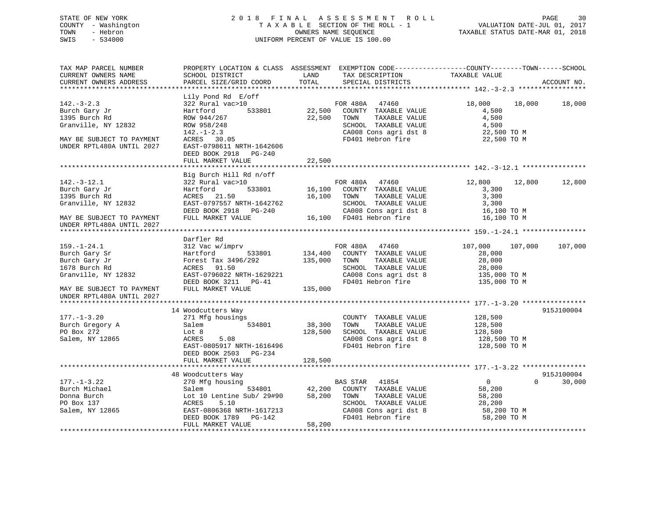## STATE OF NEW YORK 2 0 1 8 F I N A L A S S E S S M E N T R O L L PAGE 30 COUNTY - Washington T A X A B L E SECTION OF THE ROLL - 1 VALUATION DATE-JUL 01, 2017 TOWN - Hebron OWNERS NAME SEQUENCE TAXABLE STATUS DATE-MAR 01, 2018 SWIS - 534000 UNIFORM PERCENT OF VALUE IS 100.00

| TAX MAP PARCEL NUMBER<br>CURRENT OWNERS NAME<br>CURRENT OWNERS ADDRESS                                                                                | PROPERTY LOCATION & CLASS ASSESSMENT EXEMPTION CODE----------------COUNTY-------TOWN------SCHOOL<br>SCHOOL DISTRICT<br>PARCEL SIZE/GRID COORD                                                               | LAND<br>TOTAL                 | TAX DESCRIPTION<br>SPECIAL DISTRICTS                                                                                                                | TAXABLE VALUE                                                                          | ACCOUNT NO.          |
|-------------------------------------------------------------------------------------------------------------------------------------------------------|-------------------------------------------------------------------------------------------------------------------------------------------------------------------------------------------------------------|-------------------------------|-----------------------------------------------------------------------------------------------------------------------------------------------------|----------------------------------------------------------------------------------------|----------------------|
|                                                                                                                                                       |                                                                                                                                                                                                             |                               |                                                                                                                                                     |                                                                                        |                      |
| $142.-3-2.3$<br>Burch Gary Jr<br>1395 Burch Rd<br>Granville, NY 12832<br>MAY BE SUBJECT TO PAYMENT<br>UNDER RPTL480A UNTIL 2027                       | Lily Pond Rd E/off<br>322 Rural vac>10<br>533801<br>Hartford<br>ROW 944/267<br>ROW 958/248<br>$142. - 1 - 2.3$<br>ACRES 30.05<br>EAST-0798611 NRTH-1642606<br>DEED BOOK 2918<br>PG-240<br>FULL MARKET VALUE | 22,500<br>22,500<br>22,500    | FOR 480A 47460<br>COUNTY TAXABLE VALUE<br>TAXABLE VALUE<br>TOWN<br>SCHOOL TAXABLE VALUE<br>CA008 Cons agri dst 8<br>FD401 Hebron fire               | 18,000<br>18,000<br>4,500<br>4,500<br>4,500<br>22,500 TO M<br>22,500 TO M              | 18,000               |
|                                                                                                                                                       |                                                                                                                                                                                                             |                               |                                                                                                                                                     |                                                                                        |                      |
| $142.-3-12.1$<br>Burch Gary Jr<br>1395 Burch Rd<br>Granville, NY 12832<br>MAY BE SUBJECT TO PAYMENT<br>UNDER RPTL480A UNTIL 2027                      | Big Burch Hill Rd n/off<br>322 Rural vac>10<br>533801<br>Hartford<br>ACRES 21.50<br>EAST-0797557 NRTH-1642762<br>DEED BOOK 2918 PG-240<br>FULL MARKET VALUE                                                 | 16,100                        | FOR 480A 47460<br>16,100 COUNTY TAXABLE VALUE<br>TAXABLE VALUE<br>TOWN<br>SCHOOL TAXABLE VALUE<br>CA008 Cons agri dst 8<br>16,100 FD401 Hebron fire | 12,800<br>12,800<br>3,300<br>3,300<br>3,300<br>16,100 TO M<br>16,100 TO M              | 12,800               |
|                                                                                                                                                       |                                                                                                                                                                                                             |                               |                                                                                                                                                     |                                                                                        |                      |
| $159. - 1 - 24.1$<br>Burch Gary Sr<br>Burch Gary Jr<br>1678 Burch Rd<br>Granville, NY 12832<br>MAY BE SUBJECT TO PAYMENT<br>UNDER RPTL480A UNTIL 2027 | Darfler Rd<br>312 Vac w/imprv<br>Hartford<br>533801<br>Forest Tax 3496/292<br>ACRES 91.50<br>EAST-0796022 NRTH-1629221<br>DEED BOOK 3211 PG-41<br>FULL MARKET VALUE                                         | 134,400<br>135,000<br>135,000 | FOR 480A 47460<br>COUNTY TAXABLE VALUE<br>TOWN<br>TAXABLE VALUE<br>SCHOOL TAXABLE VALUE<br>CA008 Cons agri dst 8<br>FD401 Hebron fire               | 107,000<br>107,000<br>28,000<br>28,000<br>28,000<br>135,000 TO M<br>135,000 TO M       | 107,000              |
|                                                                                                                                                       |                                                                                                                                                                                                             |                               |                                                                                                                                                     |                                                                                        |                      |
| $177. - 1 - 3.20$<br>Burch Gregory A<br>PO Box 272<br>Salem, NY 12865                                                                                 | 14 Woodcutters Way<br>271 Mfg housings<br>534801<br>Salem<br>Lot 8<br>ACRES<br>5.08<br>EAST-0805917 NRTH-1616496<br>DEED BOOK 2503 PG-234<br>FULL MARKET VALUE                                              | 38,300<br>128,500<br>128,500  | COUNTY TAXABLE VALUE<br>TAXABLE VALUE<br>TOWN<br>SCHOOL TAXABLE VALUE<br>CA008 Cons agri dst 8<br>FD401 Hebron fire                                 | 128,500<br>128,500<br>128,500<br>128,500 TO M<br>128,500 TO M                          | 915J100004           |
|                                                                                                                                                       |                                                                                                                                                                                                             |                               |                                                                                                                                                     |                                                                                        |                      |
| $177. - 1 - 3.22$<br>Burch Michael<br>Donna Burch<br>PO Box 137<br>Salem, NY 12865                                                                    | 48 Woodcutters Way<br>270 Mfg housing<br>534801<br>Salem<br>Lot 10 Lentine Sub/ 29#90 58,200<br>ACRES<br>5.10<br>EAST-0806368 NRTH-1617213<br>DEED BOOK 1789 PG-142<br>FULL MARKET VALUE                    | 42,200<br>58,200              | BAS STAR 41854<br>COUNTY TAXABLE VALUE<br>TOWN<br>TAXABLE VALUE<br>SCHOOL TAXABLE VALUE<br>CA008 Cons agri dst 8<br>FD401 Hebron fire               | $\overline{0}$<br>$\Omega$<br>58,200<br>58,200<br>28,200<br>58,200 TO M<br>58,200 TO M | 915J100004<br>30,000 |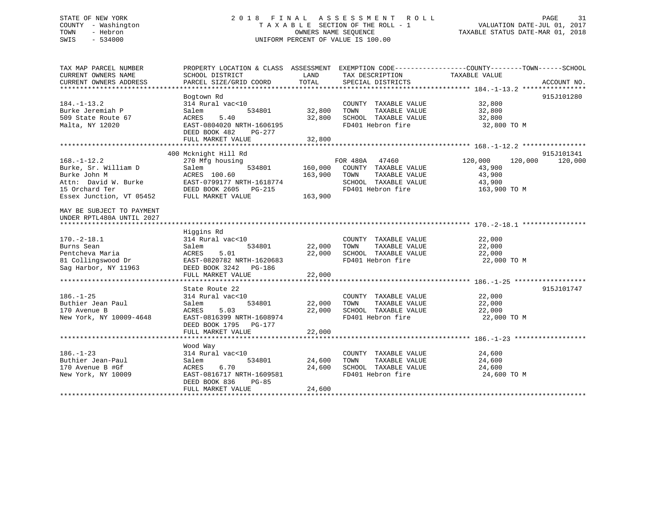## STATE OF NEW YORK 2 0 1 8 F I N A L A S S E S S M E N T R O L L PAGE 31 COUNTY - Washington T A X A B L E SECTION OF THE ROLL - 1 VALUATION DATE-JUL 01, 2017 TOWN - Hebron OWNERS NAME SEQUENCE TAXABLE STATUS DATE-MAR 01, 2018 SWIS - 534000 UNIFORM PERCENT OF VALUE IS 100.00

| TAX MAP PARCEL NUMBER<br>CURRENT OWNERS NAME<br>CURRENT OWNERS ADDRESS                                                          | PROPERTY LOCATION & CLASS ASSESSMENT<br>SCHOOL DISTRICT<br>PARCEL SIZE/GRID COORD                                                                     | LAND<br>TOTAL                 | TAX DESCRIPTION<br>SPECIAL DISTRICTS                                                                         | EXEMPTION CODE-----------------COUNTY-------TOWN------SCHOOL<br>TAXABLE VALUE | ACCOUNT NO.           |
|---------------------------------------------------------------------------------------------------------------------------------|-------------------------------------------------------------------------------------------------------------------------------------------------------|-------------------------------|--------------------------------------------------------------------------------------------------------------|-------------------------------------------------------------------------------|-----------------------|
| $184. - 1 - 13.2$<br>Burke Jeremiah P<br>509 State Route 67<br>Malta, NY 12020                                                  | Bogtown Rd<br>314 Rural vac<10<br>534801<br>Salem<br>5.40<br>ACRES<br>EAST-0804020 NRTH-1606195<br>DEED BOOK 482<br>PG-277<br>FULL MARKET VALUE       | 32,800<br>32,800<br>32,800    | COUNTY TAXABLE VALUE<br>TAXABLE VALUE<br>TOWN<br>SCHOOL TAXABLE VALUE<br>FD401 Hebron fire                   | 32,800<br>32,800<br>32,800<br>32,800 TO M                                     | 915J101280            |
|                                                                                                                                 |                                                                                                                                                       |                               |                                                                                                              |                                                                               |                       |
| $168. - 1 - 12.2$<br>Burke, Sr. William D<br>Burke John M<br>Attn: David W. Burke<br>15 Orchard Ter<br>Essex Junction, VT 05452 | 400 Mcknight Hill Rd<br>270 Mfg housing<br>534801<br>Salem<br>ACRES 100.60<br>EAST-0799177 NRTH-1618774<br>DEED BOOK 2605 PG-215<br>FULL MARKET VALUE | 160,000<br>163,900<br>163,900 | FOR 480A 47460<br>COUNTY TAXABLE VALUE<br>TOWN<br>TAXABLE VALUE<br>SCHOOL TAXABLE VALUE<br>FD401 Hebron fire | 120,000<br>120,000<br>43,900<br>43,900<br>43,900<br>163,900 TO M              | 915J101341<br>120,000 |
| MAY BE SUBJECT TO PAYMENT<br>UNDER RPTL480A UNTIL 2027                                                                          |                                                                                                                                                       |                               |                                                                                                              |                                                                               |                       |
| $170. - 2 - 18.1$<br>Burns Sean<br>Pentcheva Maria<br>81 Collingswood Dr<br>Sag Harbor, NY 11963                                | Higgins Rd<br>314 Rural vac<10<br>534801<br>Salem<br>ACRES<br>5.01<br>EAST-0820782 NRTH-1620683<br>DEED BOOK 3242 PG-186<br>FULL MARKET VALUE         | 22,000<br>22,000<br>22,000    | COUNTY TAXABLE VALUE<br>TAXABLE VALUE<br>TOWN<br>SCHOOL TAXABLE VALUE<br>FD401 Hebron fire                   | 22,000<br>22,000<br>22,000<br>22,000 TO M                                     |                       |
|                                                                                                                                 |                                                                                                                                                       |                               |                                                                                                              |                                                                               |                       |
| $186. - 1 - 25$<br>Buthier Jean Paul<br>170 Avenue B<br>New York, NY 10009-4648                                                 | State Route 22<br>314 Rural vac<10<br>534801<br>Salem<br>ACRES<br>5.03<br>EAST-0816399 NRTH-1608974<br>DEED BOOK 1795 PG-177<br>FULL MARKET VALUE     | 22,000<br>22,000<br>22,000    | COUNTY TAXABLE VALUE<br>TAXABLE VALUE<br>TOWN<br>SCHOOL TAXABLE VALUE<br>FD401 Hebron fire                   | 22,000<br>22,000<br>22,000<br>22,000 TO M                                     | 915J101747            |
|                                                                                                                                 |                                                                                                                                                       |                               |                                                                                                              |                                                                               |                       |
| $186. - 1 - 23$<br>Buthier Jean-Paul<br>170 Avenue B #Gf<br>New York, NY 10009                                                  | Wood Way<br>314 Rural vac<10<br>Salem<br>534801<br>ACRES<br>6.70<br>EAST-0816717 NRTH-1609581<br>DEED BOOK 836<br>$PG-85$<br>FULL MARKET VALUE        | 24,600<br>24,600<br>24,600    | COUNTY TAXABLE VALUE<br>TAXABLE VALUE<br>TOWN<br>SCHOOL TAXABLE VALUE<br>FD401 Hebron fire                   | 24,600<br>24,600<br>24,600<br>24,600 TO M                                     |                       |
|                                                                                                                                 |                                                                                                                                                       |                               |                                                                                                              |                                                                               |                       |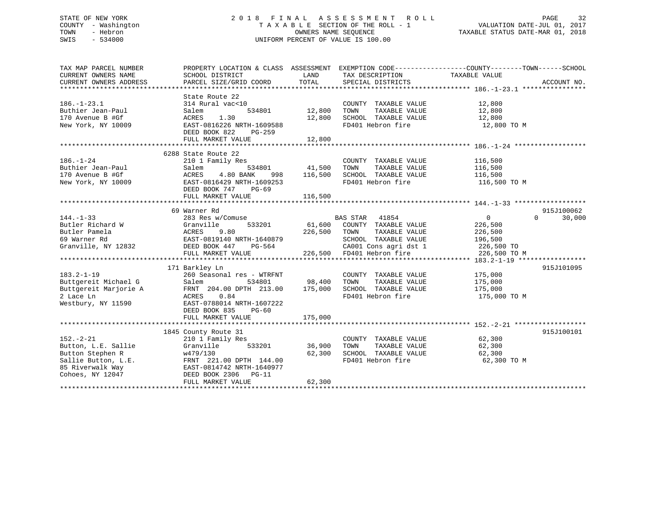## STATE OF NEW YORK 2 0 1 8 F I N A L A S S E S S M E N T R O L L PAGE 32 COUNTY - Washington T A X A B L E SECTION OF THE ROLL - 1 VALUATION DATE-JUL 01, 2017 TOWN - Hebron OWNERS NAME SEQUENCE TAXABLE STATUS DATE-MAR 01, 2018 SWIS - 534000 UNIFORM PERCENT OF VALUE IS 100.00

| TAX MAP PARCEL NUMBER                                                                                                                                                                                                                      | PROPERTY LOCATION & CLASS ASSESSMENT EXEMPTION CODE---------------COUNTY-------TOWN-----SCHOOL |                          |                                                                                                                            |                       |                    |
|--------------------------------------------------------------------------------------------------------------------------------------------------------------------------------------------------------------------------------------------|------------------------------------------------------------------------------------------------|--------------------------|----------------------------------------------------------------------------------------------------------------------------|-----------------------|--------------------|
| CURRENT OWNERS NAME                                                                                                                                                                                                                        | SCHOOL DISTRICT                                                                                | <b>EXAMPLE TO A LAND</b> | TAX DESCRIPTION                                                                                                            | TAXABLE VALUE         |                    |
| CURRENT OWNERS ADDRESS                                                                                                                                                                                                                     | PARCEL SIZE/GRID COORD                                                                         |                          | TOTAL SPECIAL DISTRICTS                                                                                                    |                       | ACCOUNT NO.        |
|                                                                                                                                                                                                                                            |                                                                                                |                          |                                                                                                                            |                       |                    |
|                                                                                                                                                                                                                                            | State Route 22                                                                                 |                          |                                                                                                                            |                       |                    |
| $186. - 1 - 23.1$                                                                                                                                                                                                                          | 314 Rural vac<10                                                                               |                          | COUNTY TAXABLE VALUE                                                                                                       | 12,800<br>12,800      |                    |
| Buthier Jean-Paul                                                                                                                                                                                                                          | 534801<br>Salem                                                                                | COUNT<br>12,800 TOWN     | TAXABLE VALUE                                                                                                              |                       |                    |
| 170 Avenue B #Gf                                                                                                                                                                                                                           | ACRES 1.30                                                                                     | 12,800                   | SCHOOL TAXABLE VALUE 12,800                                                                                                |                       |                    |
| New York, NY 10009                                                                                                                                                                                                                         | EAST-0816226 NRTH-1609588                                                                      |                          | FD401 Hebron fire                                                                                                          | 12,800 TO M           |                    |
|                                                                                                                                                                                                                                            | DEED BOOK 822 PG-259                                                                           |                          |                                                                                                                            |                       |                    |
|                                                                                                                                                                                                                                            | FULL MARKET VALUE                                                                              | 12,800                   |                                                                                                                            |                       |                    |
|                                                                                                                                                                                                                                            |                                                                                                |                          |                                                                                                                            |                       |                    |
|                                                                                                                                                                                                                                            | 6288 State Route 22                                                                            |                          |                                                                                                                            |                       |                    |
| $186. - 1 - 24$                                                                                                                                                                                                                            |                                                                                                |                          | $\begin{array}{cccc}\n\text{COUNTY} & \text{TAXABLE VALUE} & & & 116,500 \\ & & & & \text{---} & & \\ \hline\n\end{array}$ |                       |                    |
|                                                                                                                                                                                                                                            |                                                                                                |                          | TAXABLE VALUE                                                                                                              | 116,500               |                    |
|                                                                                                                                                                                                                                            | 4.80 BANK                                                                                      |                          | 998 116,500 SCHOOL TAXABLE VALUE 116,500                                                                                   |                       |                    |
| 186.-1-24<br>Buthier Jean-Paul<br>170 Avenue B #Gf<br>New York, NY 10009<br>EAST-0816<br>New York, NY 10009<br>EAST-0816<br>NEED POOK                                                                                                      | EAST-0816429 NRTH-1609253                                                                      |                          | FD401 Hebron fire 116,500 TO M                                                                                             |                       |                    |
|                                                                                                                                                                                                                                            | DEED BOOK 747 PG-69                                                                            |                          |                                                                                                                            |                       |                    |
|                                                                                                                                                                                                                                            | FULL MARKET VALUE                                                                              | 116,500                  |                                                                                                                            |                       |                    |
|                                                                                                                                                                                                                                            |                                                                                                |                          |                                                                                                                            |                       |                    |
|                                                                                                                                                                                                                                            | 69 Warner Rd                                                                                   |                          |                                                                                                                            |                       | 915J100062         |
|                                                                                                                                                                                                                                            |                                                                                                |                          |                                                                                                                            | $\overline{0}$        | $\Omega$<br>30,000 |
|                                                                                                                                                                                                                                            |                                                                                                |                          |                                                                                                                            | 226,500               |                    |
|                                                                                                                                                                                                                                            |                                                                                                |                          |                                                                                                                            | TAXABLE VALUE 226,500 |                    |
|                                                                                                                                                                                                                                            |                                                                                                |                          |                                                                                                                            |                       |                    |
| 144.-1-33<br>BAS STAR 41854<br>Butler Richard W (383 Res w/Comuse BAS STAR 41854<br>Butler Pamela ACRES 9.80<br>69 Warner Rd EAST-0819140 NRTH-1640879<br>Granville, NY 12832<br>CAUSE CAUSE CAUSE CAUSE CAUSE CAUSE CAUSE CAUSE CAUSE CAU |                                                                                                |                          | 1640879 SCHOOL TAXABLE VALUE 196,500<br>G-564 CA001 Cons agri dst 1 226,500 TO<br>226,500 FD401 Hebron fire 226,500 TO M   |                       |                    |
|                                                                                                                                                                                                                                            | FULL MARKET VALUE                                                                              |                          |                                                                                                                            |                       |                    |
|                                                                                                                                                                                                                                            |                                                                                                |                          |                                                                                                                            |                       |                    |
|                                                                                                                                                                                                                                            | 171 Barkley Ln                                                                                 |                          |                                                                                                                            |                       | 915J101095         |
|                                                                                                                                                                                                                                            |                                                                                                |                          |                                                                                                                            |                       |                    |
|                                                                                                                                                                                                                                            |                                                                                                |                          |                                                                                                                            |                       |                    |
|                                                                                                                                                                                                                                            |                                                                                                |                          |                                                                                                                            |                       |                    |
|                                                                                                                                                                                                                                            |                                                                                                |                          |                                                                                                                            | 175,000 TO M          |                    |
| 183.2-1-19<br>Buttgereit Michael G Salem 534801<br>Buttgereit Marjorie A FRNT 204.00 DPTH 213.00 175,000 SCHOOL TAXABLE VALUE 175,000<br>2 Lace Ln ACRES 0.84 FD401 Hebron fire 175,000 Nestbury, NY 11590 EAST-0788014 NRTH-16072         |                                                                                                |                          |                                                                                                                            |                       |                    |
|                                                                                                                                                                                                                                            | DEED BOOK 835<br>PG-60                                                                         |                          |                                                                                                                            |                       |                    |
|                                                                                                                                                                                                                                            | FULL MARKET VALUE                                                                              | 175,000                  |                                                                                                                            |                       |                    |
|                                                                                                                                                                                                                                            |                                                                                                |                          |                                                                                                                            |                       |                    |
|                                                                                                                                                                                                                                            | 1845 County Route 31<br>County Route 31<br>210 1 Family Res                                    |                          |                                                                                                                            |                       | 915J100101         |
| $152. - 2 - 21$                                                                                                                                                                                                                            |                                                                                                |                          | COUNTY TAXABLE VALUE 62,300                                                                                                |                       |                    |
| Button, L.E. Sallie Granville                                                                                                                                                                                                              |                                                                                                | 533201 36,900 TOWN       | TAXABLE VALUE                                                                                                              | 62,300                |                    |
|                                                                                                                                                                                                                                            |                                                                                                | 62,300                   | SCHOOL TAXABLE VALUE 62,300                                                                                                |                       |                    |
|                                                                                                                                                                                                                                            |                                                                                                |                          | FD401 Hebron fire                                                                                                          | 62,300 TO M           |                    |
|                                                                                                                                                                                                                                            |                                                                                                |                          |                                                                                                                            |                       |                    |
| Button Stephen R<br>Sallie Button, L.E.<br>Sallie Button, L.E.<br>Sallie Button, L.E.<br>FRNT 221.00 DPTH 144.00<br>85 Riverwalk Way<br>Cohoes, NY 12047<br>Cohoes, NY 12047<br>PEED BOOK 2306<br>PG-11<br>FULL MARKET VALUE               |                                                                                                |                          |                                                                                                                            |                       |                    |
|                                                                                                                                                                                                                                            | FULL MARKET VALUE                                                                              | 62,300                   |                                                                                                                            |                       |                    |
|                                                                                                                                                                                                                                            |                                                                                                |                          |                                                                                                                            |                       |                    |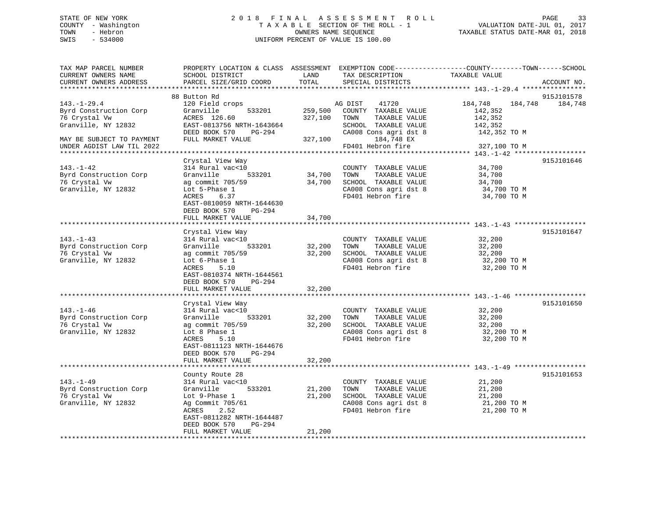## STATE OF NEW YORK 2 0 1 8 F I N A L A S S E S S M E N T R O L L PAGE 33 COUNTY - Washington T A X A B L E SECTION OF THE ROLL - 1 VALUATION DATE-JUL 01, 2017 TOWN - Hebron OWNERS NAME SEQUENCE TAXABLE STATUS DATE-MAR 01, 2018 SWIS - 534000 UNIFORM PERCENT OF VALUE IS 100.00

| TAX MAP PARCEL NUMBER<br>CURRENT OWNERS NAME<br>CURRENT OWNERS ADDRESS              | PROPERTY LOCATION & CLASS ASSESSMENT EXEMPTION CODE----------------COUNTY-------TOWN------SCHOOL<br>SCHOOL DISTRICT<br>PARCEL SIZE/GRID COORD                                                                        | LAND<br>TOTAL              | TAX DESCRIPTION<br>SPECIAL DISTRICTS                                                                                | TAXABLE VALUE                                                       | ACCOUNT NO.           |
|-------------------------------------------------------------------------------------|----------------------------------------------------------------------------------------------------------------------------------------------------------------------------------------------------------------------|----------------------------|---------------------------------------------------------------------------------------------------------------------|---------------------------------------------------------------------|-----------------------|
| *******************                                                                 |                                                                                                                                                                                                                      |                            |                                                                                                                     |                                                                     |                       |
| $143. - 1 - 29.4$<br>Byrd Construction Corp<br>76 Crystal Vw<br>Granville, NY 12832 | 88 Button Rd<br>120 Field crops<br>Granville<br>533201<br>ACRES 126.60<br>EAST-0813756 NRTH-1643664<br>DEED BOOK 570<br>PG-294                                                                                       | 259,500<br>327,100         | 41720<br>AG DIST<br>COUNTY TAXABLE VALUE<br>TOWN<br>TAXABLE VALUE<br>SCHOOL TAXABLE VALUE<br>CA008 Cons agri dst 8  | 184,748<br>184,748<br>142,352<br>142,352<br>142,352<br>142,352 TO M | 915J101578<br>184,748 |
| MAY BE SUBJECT TO PAYMENT<br>UNDER AGDIST LAW TIL 2022                              | FULL MARKET VALUE                                                                                                                                                                                                    | 327,100                    | 184,748 EX<br>FD401 Hebron fire                                                                                     | 327,100 TO M                                                        |                       |
| $143. - 1 - 42$<br>Byrd Construction Corp<br>76 Crystal Vw<br>Granville, NY 12832   | Crystal View Way<br>314 Rural vac<10<br>533201<br>Granville<br>ag commit 705/59<br>Lot 5-Phase 1<br>ACRES<br>6.37<br>EAST-0810059 NRTH-1644630                                                                       | 34,700<br>34,700           | COUNTY TAXABLE VALUE<br>TOWN<br>TAXABLE VALUE<br>SCHOOL TAXABLE VALUE<br>CA008 Cons agri dst 8<br>FD401 Hebron fire | 34,700<br>34,700<br>34,700<br>34,700 TO M<br>34,700 TO M            | 915J101646            |
|                                                                                     | DEED BOOK 570<br>PG-294<br>FULL MARKET VALUE                                                                                                                                                                         | 34,700                     |                                                                                                                     |                                                                     |                       |
| $143. - 1 - 43$<br>Byrd Construction Corp<br>76 Crystal Vw<br>Granville, NY 12832   | Crystal View Way<br>314 Rural vac<10<br>Granville<br>533201<br>ag commit 705/59<br>Lot 6-Phase 1<br>ACRES<br>5.10<br>EAST-0810374 NRTH-1644561<br>DEED BOOK 570<br>PG-294<br>FULL MARKET VALUE                       | 32,200<br>32,200<br>32,200 | COUNTY TAXABLE VALUE<br>TOWN<br>TAXABLE VALUE<br>SCHOOL TAXABLE VALUE<br>CA008 Cons agri dst 8<br>FD401 Hebron fire | 32,200<br>32,200<br>32,200<br>32,200 TO M<br>32,200 TO M            | 915J101647            |
| $143. - 1 - 46$<br>Byrd Construction Corp<br>76 Crystal Vw<br>Granville, NY 12832   | Crystal View Way<br>314 Rural vac<10<br>Granville<br>533201<br>ag commit 705/59<br>Lot 8 Phase 1<br>5.10<br>ACRES<br>EAST-0811123 NRTH-1644676<br>DEED BOOK 570<br>PG-294<br>FULL MARKET VALUE                       | 32,200<br>32,200<br>32,200 | COUNTY TAXABLE VALUE<br>TAXABLE VALUE<br>TOWN<br>SCHOOL TAXABLE VALUE<br>CA008 Cons agri dst 8<br>FD401 Hebron fire | 32,200<br>32,200<br>32,200<br>32,200 TO M<br>32,200 TO M            | 915J101650            |
| $143. - 1 - 49$<br>Byrd Construction Corp<br>76 Crystal Vw<br>Granville, NY 12832   | County Route 28<br>314 Rural vac<10<br>Granville<br>533201<br>Lot 9-Phase 1<br>Ag Commit 705/61<br>ACRES<br>2.52<br>EAST-0811282 NRTH-1644487<br>DEED BOOK 570<br>PG-294<br>FULL MARKET VALUE<br>******************* | 21,200<br>21,200<br>21,200 | COUNTY TAXABLE VALUE<br>TAXABLE VALUE<br>TOWN<br>SCHOOL TAXABLE VALUE<br>CA008 Cons agri dst 8<br>FD401 Hebron fire | 21,200<br>21,200<br>21,200<br>21,200 TO M<br>21,200 TO M            | 915J101653            |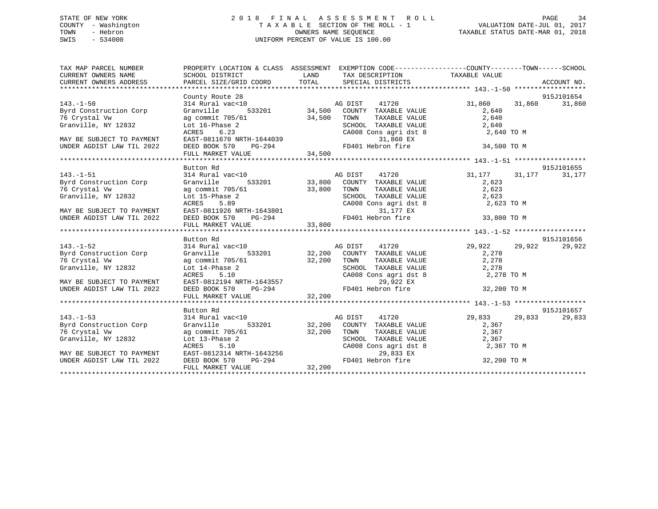## STATE OF NEW YORK 2 0 1 8 F I N A L A S S E S S M E N T R O L L PAGE 34 COUNTY - Washington T A X A B L E SECTION OF THE ROLL - 1 VALUATION DATE-JUL 01, 2017 TOWN - Hebron OWNERS NAME SEQUENCE TAXABLE STATUS DATE-MAR 01, 2018 SWIS - 534000 UNIFORM PERCENT OF VALUE IS 100.00

| TAX MAP PARCEL NUMBER<br>CURRENT OWNERS NAME<br>CURRENT OWNERS ADDRESS | SCHOOL DISTRICT                                                                                                                                       | PROPERTY LOCATION & CLASS ASSESSMENT EXEMPTION CODE---------------COUNTY-------TOWN------SCHOOL<br>LAND TAX DESCRIPTION TAXABLE VALUE                                                                                                    |                  |             |
|------------------------------------------------------------------------|-------------------------------------------------------------------------------------------------------------------------------------------------------|------------------------------------------------------------------------------------------------------------------------------------------------------------------------------------------------------------------------------------------|------------------|-------------|
|                                                                        |                                                                                                                                                       | PARCEL SIZE/GRID COORD TOTAL SPECIAL DISTRICTS                                                                                                                                                                                           |                  | ACCOUNT NO. |
|                                                                        | County Route 28                                                                                                                                       |                                                                                                                                                                                                                                          |                  | 915J101654  |
| $143. - 1 - 50$                                                        | 314 Rural vac<10                                                                                                                                      | 28<br>533201 34,500 COUNTY TAXABLE VALUE<br>533201 34,500 COUNTY TAXABLE VALUE                                                                                                                                                           | 31,860<br>31,860 | 31,860      |
| Byrd Construction Corp                                                 | Granville                                                                                                                                             |                                                                                                                                                                                                                                          | 2,640            |             |
| 76 Crystal Vw                                                          |                                                                                                                                                       |                                                                                                                                                                                                                                          | 2,640            |             |
| Granville, NY 12832                                                    | ag commit $705/61$ 34,500 TOWN<br>Lot 16-Phase 2 SCHOC                                                                                                |                                                                                                                                                                                                                                          |                  |             |
|                                                                        | 6.23<br>ACRES                                                                                                                                         | TOWN TAXABLE VALUE<br>SCHOOL TAXABLE VALUE 2,640<br>CA008 Cons agri dst 8 2,640 TO M                                                                                                                                                     |                  |             |
| MAY BE SUBJECT TO PAYMENT                                              |                                                                                                                                                       |                                                                                                                                                                                                                                          |                  |             |
| UNDER AGDIST LAW TIL 2022                                              |                                                                                                                                                       |                                                                                                                                                                                                                                          |                  |             |
|                                                                        |                                                                                                                                                       | EAST-0811670 NRTH-1644039<br>EAST-0811670 NRTH-1644039 31,860 EX<br>DEED BOOK 570 PG-294 34,500 FD401 Hebron fire 34,500 TO M<br>FULL MARKET VALUE 34,500                                                                                |                  |             |
|                                                                        |                                                                                                                                                       |                                                                                                                                                                                                                                          |                  |             |
|                                                                        | Button Rd                                                                                                                                             |                                                                                                                                                                                                                                          |                  | 915J101655  |
| $143. - 1 - 51$                                                        |                                                                                                                                                       | 31,177 31,177 31,177<br>Granville 533201 33,800 COUNTY TAXABLE VALUE 31,177 31,177                                                                                                                                                       |                  | 31,177      |
| Byrd Construction Corp                                                 |                                                                                                                                                       |                                                                                                                                                                                                                                          |                  |             |
| 76 Crystal Vw                                                          | ag commit 705/61 33,800 TOWN                                                                                                                          | TAXABLE VALUE                                                                                                                                                                                                                            | 2,623            |             |
|                                                                        |                                                                                                                                                       |                                                                                                                                                                                                                                          |                  |             |
|                                                                        |                                                                                                                                                       |                                                                                                                                                                                                                                          |                  |             |
|                                                                        |                                                                                                                                                       |                                                                                                                                                                                                                                          |                  |             |
|                                                                        |                                                                                                                                                       |                                                                                                                                                                                                                                          |                  |             |
|                                                                        |                                                                                                                                                       | Granville, NY 12832<br>MAY BE SUBJECT TO PAYMENT EAST-0811926 NRTH-1643801<br>MAY BE SUBJECT TO PAYMENT EAST-0811926 NRTH-1643801<br>MAY BE SUBJECT TO PAYMENT EAST-0811926 NRTH-1643801<br>TULL MARKET VALUE 33,800<br>**************** |                  |             |
|                                                                        | Button Rd                                                                                                                                             |                                                                                                                                                                                                                                          |                  | 915J101656  |
| $143. - 1 - 52$                                                        | 314 Rural vac<10                                                                                                                                      |                                                                                                                                                                                                                                          | 29,922<br>29,922 | 29,922      |
| 143.-1-52<br>Byrd Construction Corp                                    | Granville                                                                                                                                             | 7ac<10 MG DIST 41720<br>533201 32,200 COUNTY TAXABLE VALUE                                                                                                                                                                               | 2,278            |             |
| 76 Crystal Vw                                                          |                                                                                                                                                       | TAXABLE VALUE 2,278                                                                                                                                                                                                                      |                  |             |
| Granville, NY 12832                                                    | ag commit 705/61 32,200 TOWN<br>Lot 14-Phase 2 SCHOO<br>ACRES 5.10 CA008                                                                              | SCHOOL TAXABLE VALUE 2,278<br>CA008 Cons agri dst 8 2,278                                                                                                                                                                                |                  |             |
|                                                                        |                                                                                                                                                       |                                                                                                                                                                                                                                          | 2,278 TO M       |             |
| MAY BE SUBJECT TO PAYMENT                                              | ACKES 5.10 CA008 C<br>EAST-0812194 NRTH-1643557 CA008 C                                                                                               | 29,922 EX                                                                                                                                                                                                                                |                  |             |
| UNDER AGDIST LAW TIL 2022                                              | DEED BOOK 570                                                                                                                                         | FD401 Hebron fire                                                                                                                                                                                                                        | 32,200 TO M      |             |
|                                                                        | FULL MARKET VALUE                                                                                                                                     |                                                                                                                                                                                                                                          |                  |             |
|                                                                        |                                                                                                                                                       |                                                                                                                                                                                                                                          |                  |             |
|                                                                        | Button Rd                                                                                                                                             |                                                                                                                                                                                                                                          |                  | 915J101657  |
| $143. - 1 - 53$                                                        | 314 Rural vac<10                                                                                                                                      | 0<br>533201 32,200 COUNTY TAXABLE VALUE                                                                                                                                                                                                  | 29,833<br>29,833 | 29,833      |
| 143.-1-53<br>Byrd Construction Corp<br>76 Crystal Vw                   | Granville                                                                                                                                             | TAXABLE VALUE                                                                                                                                                                                                                            | 2,367            |             |
| 76 Crystal Vw                                                          |                                                                                                                                                       |                                                                                                                                                                                                                                          | 2,367            |             |
| Granville, NY 12832                                                    |                                                                                                                                                       | SCHOOL TAXABLE VALUE $2,367$<br>CA008 Cons agri dst 8 $2,367$                                                                                                                                                                            | 2,367 TO M       |             |
| MAY BE SUBJECT TO PAYMENT                                              | 932,200 COMP<br>ag commit 705/61 32,200 COMP<br>Lot 13-Phase 2 SCHOOI<br>RCRES 5.10 CA008<br>EAST-0812314 NRTH-1643256 PEBD BOOK 570<br>PEG-294 FD401 | 29,833 EX                                                                                                                                                                                                                                |                  |             |
| UNDER AGDIST LAW TIL 2022                                              |                                                                                                                                                       | FD401 Hebron fire                                                                                                                                                                                                                        | 32,200 TO M      |             |
|                                                                        | FULL MARKET VALUE                                                                                                                                     | 32,200                                                                                                                                                                                                                                   |                  |             |
|                                                                        |                                                                                                                                                       |                                                                                                                                                                                                                                          |                  |             |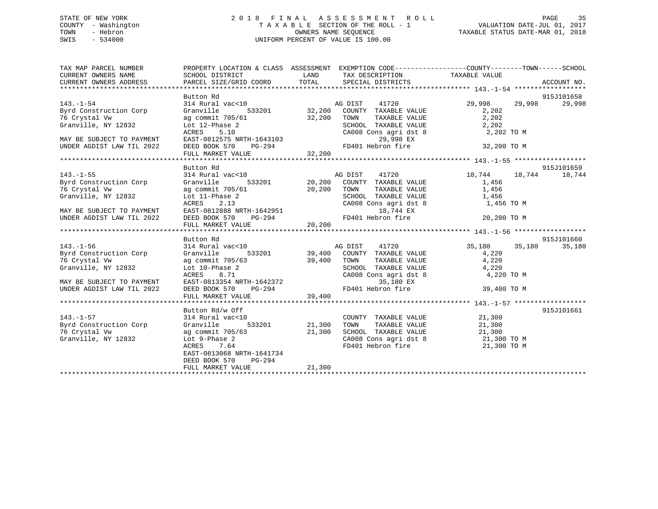## STATE OF NEW YORK 2 0 1 8 F I N A L A S S E S S M E N T R O L L PAGE 35 COUNTY - Washington T A X A B L E SECTION OF THE ROLL - 1 VALUATION DATE-JUL 01, 2017 TOWN - Hebron OWNERS NAME SEQUENCE TAXABLE STATUS DATE-MAR 01, 2018 SWIS - 534000 UNIFORM PERCENT OF VALUE IS 100.00

| TAX MAP PARCEL NUMBER<br>CURRENT OWNERS NAME<br>CURRENT OWNERS ADDRESS | PROPERTY LOCATION & CLASS ASSESSMENT EXEMPTION CODE----------------COUNTY-------TOWN-----SCHOOL<br>SCHOOL DISTRICT<br>PARCEL SIZE/GRID COORD TOTAL | LAND   | TAX DESCRIPTION TAXABLE VALUE<br>SPECIAL DISTRICTS                                                      |               | ACCOUNT NO. |
|------------------------------------------------------------------------|----------------------------------------------------------------------------------------------------------------------------------------------------|--------|---------------------------------------------------------------------------------------------------------|---------------|-------------|
|                                                                        |                                                                                                                                                    |        |                                                                                                         |               |             |
|                                                                        | Button Rd                                                                                                                                          |        |                                                                                                         |               | 915J101658  |
| $143. - 1 - 54$                                                        | 314 Rural vac<10                                                                                                                                   |        | c<10 AG DIST 41720<br>533201 32,200 COUNTY TAXABLE VALUE                                                | 29,998 29,998 | 29,998      |
| Byrd Construction Corp                                                 | Granville                                                                                                                                          |        |                                                                                                         | 2,202         |             |
| 76 Crystal Vw                                                          | ag commit 705/61 32,200 TOWN<br>Lot 12-Phase 2 SCHOO<br>ACRES 5.10 CA008                                                                           |        | TAXABLE VALUE                                                                                           | 2,202         |             |
| Granville, NY 12832                                                    |                                                                                                                                                    |        | SCHOOL TAXABLE VALUE 2,202<br>CA008 Cons agri dst 8 2,202 TO M                                          |               |             |
|                                                                        | 5.10<br>ACRES                                                                                                                                      |        |                                                                                                         |               |             |
| MAY BE SUBJECT TO PAYMENT                                              | EAST-0812575 NRTH-1643103<br>DEED BOOK 570 PG-294 FD401 Hebron fire<br>FULL MARKET VALUE 32,200                                                    |        |                                                                                                         |               |             |
| UNDER AGDIST LAW TIL 2022                                              |                                                                                                                                                    |        |                                                                                                         | 32,200 TO M   |             |
|                                                                        |                                                                                                                                                    |        |                                                                                                         |               |             |
|                                                                        |                                                                                                                                                    |        |                                                                                                         |               |             |
|                                                                        | Button Rd                                                                                                                                          |        |                                                                                                         |               | 915J101659  |
| $143. - 1 - 55$                                                        | 314 Rural vac<10<br>314 Rural vac<10<br>533201 20,200 COUNTY TAXABLE VALUE 19,744<br>54 19,744<br>533201 20,200 COUNTY TAXABLE VALUE 1,456         |        |                                                                                                         |               | 18,744      |
| Byrd Construction Corp                                                 |                                                                                                                                                    |        |                                                                                                         |               |             |
| 76 Crystal Vw                                                          | ag commit 705/61 20,200 TOWN                                                                                                                       |        |                                                                                                         |               |             |
| Granville, NY 12832                                                    | Lot 11-Phase 2                                                                                                                                     |        | TOWN TAXABLE VALUE 1,456<br>SCHOOL TAXABLE VALUE 1,456<br>CA008 Cons agri dst 8 1,456 TO M              |               |             |
|                                                                        | 2.13<br>ACRES                                                                                                                                      |        |                                                                                                         |               |             |
|                                                                        |                                                                                                                                                    |        |                                                                                                         |               |             |
|                                                                        |                                                                                                                                                    |        |                                                                                                         |               |             |
|                                                                        |                                                                                                                                                    |        |                                                                                                         |               |             |
|                                                                        |                                                                                                                                                    |        |                                                                                                         |               |             |
|                                                                        | Button Rd                                                                                                                                          |        |                                                                                                         |               | 915J101660  |
| $143. - 1 - 56$                                                        |                                                                                                                                                    |        |                                                                                                         | 35,180 35,180 | 35,180      |
| Byrd Construction Corp                                                 | 314 Rural vac<10<br>314 Rural vac<10<br>533201 39,400 COUNTY TAXABLE VALUE                                                                         |        |                                                                                                         | 4,220         |             |
| 76 Crystal Vw                                                          |                                                                                                                                                    |        |                                                                                                         |               |             |
| Granville, NY 12832                                                    | ag commit 705/63 39,400 TOWN<br>Lot 10-Phase 2 SCHOC                                                                                               |        | TOWN TAXABLE VALUE 4,220<br>SCHOOL TAXABLE VALUE 4,220<br>CA008 Cons agri dst 8 4,220 TO M              |               |             |
|                                                                        |                                                                                                                                                    |        |                                                                                                         |               |             |
| MAY BE SUBJECT TO PAYMENT                                              |                                                                                                                                                    |        | $\sim$ $\sim$ $\sim$ $\sim$<br>35,180 EX                                                                |               |             |
| UNDER AGDIST LAW TIL 2022                                              |                                                                                                                                                    |        | FD401 Hebron fire                                                                                       | 39,400 TO M   |             |
|                                                                        | Lot 10-Find<br>ACRES 8.71<br>EAST-0813354 NRTH-1642372<br>PERD BOOK 570 -- PG-294 39,400                                                           |        |                                                                                                         |               |             |
|                                                                        |                                                                                                                                                    |        |                                                                                                         |               |             |
|                                                                        | Button Rd/w Off                                                                                                                                    |        |                                                                                                         |               | 915J101661  |
| $143. - 1 - 57$                                                        | 314 Rural vac<10                                                                                                                                   |        | COUNTY TAXABLE VALUE 21,300                                                                             |               |             |
| Byrd Construction Corp                                                 | 533201 21,300 TOWN<br>Granville                                                                                                                    |        | TAXABLE VALUE 21,300                                                                                    |               |             |
| 76 Crystal Vw                                                          |                                                                                                                                                    |        |                                                                                                         |               |             |
| Granville, NY 12832                                                    | ag commit 705/63 21,300<br>Lot 9-Phase 2<br>ACDES 764                                                                                              |        | SCHOOL TAXABLE VALUE $21,300$<br>CA008 Cons agri dst 8 $21,300$ TO M<br>FD401 Hebron fire $21,300$ TO M |               |             |
|                                                                        | ACRES 7.64                                                                                                                                         |        |                                                                                                         |               |             |
|                                                                        | EAST-0813068 NRTH-1641734                                                                                                                          |        |                                                                                                         |               |             |
|                                                                        | $PG-294$<br>DEED BOOK 570                                                                                                                          |        |                                                                                                         |               |             |
|                                                                        | FULL MARKET VALUE                                                                                                                                  | 21,300 |                                                                                                         |               |             |
|                                                                        |                                                                                                                                                    |        |                                                                                                         |               |             |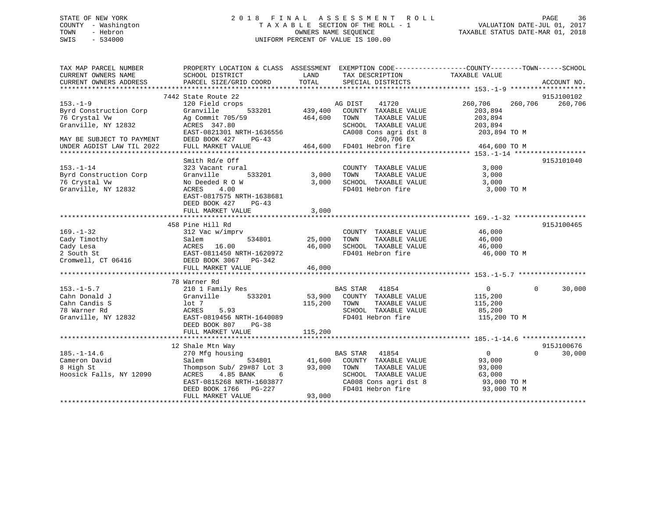## STATE OF NEW YORK 2 0 1 8 F I N A L A S S E S S M E N T R O L L PAGE 36 COUNTY - Washington T A X A B L E SECTION OF THE ROLL - 1 VALUATION DATE-JUL 01, 2017 TOWN - Hebron OWNERS NAME SEQUENCE TAXABLE STATUS DATE-MAR 01, 2018 SWIS - 534000 UNIFORM PERCENT OF VALUE IS 100.00

TAX MAP PARCEL NUMBER PROPERTY LOCATION & CLASS ASSESSMENT EXEMPTION CODE------------------COUNTY--------TOWN------SCHOOL CURRENT OWNERS NAME SCHOOL DISTRICT THE LAND TAX DESCRIPTION TAXABLE VALUE CURRENT OWNERS ADDRESS PARCEL SIZE/GRID COORD TOTAL SPECIAL DISTRICTS ACCOUNT NO. \*\*\*\*\*\*\*\*\*\*\*\*\*\*\*\*\*\*\*\*\*\*\*\*\*\*\*\*\*\*\*\*\*\*\*\*\*\*\*\*\*\*\*\*\*\*\*\*\*\*\*\*\*\*\*\*\*\*\*\*\*\*\*\*\*\*\*\*\*\*\*\*\*\*\*\*\*\*\*\*\*\*\*\*\*\*\*\*\*\*\*\*\*\*\*\*\*\*\*\*\*\*\* 153.-1-9 \*\*\*\*\*\*\*\*\*\*\*\*\*\*\*\*\*\*\* 7442 State Route 22 915J100102 153.-1-9 120 Field crops AG DIST 41720 260,706 260,706 260,706 Byrd Construction Corp Granville 533201 439,400 COUNTY TAXABLE VALUE 203,894 76 Crystal Vw Ag Commit 705/59 464,600 TOWN TAXABLE VALUE 203,894 Granville, NY 12832 ACRES 347.80 SCHOOL TAXABLE VALUE 203,894 EAST-0821301 NRTH-1636556 CA008 Cons agri dst 8 203,894 TO M MAY BE SUBJECT TO PAYMENT DEED BOOK 427 PG-43 260,706 EX UNDER AGDIST LAW TIL 2022 FULL MARKET VALUE 464,600 FD401 Hebron fire 464,600 TO M \*\*\*\*\*\*\*\*\*\*\*\*\*\*\*\*\*\*\*\*\*\*\*\*\*\*\*\*\*\*\*\*\*\*\*\*\*\*\*\*\*\*\*\*\*\*\*\*\*\*\*\*\*\*\*\*\*\*\*\*\*\*\*\*\*\*\*\*\*\*\*\*\*\*\*\*\*\*\*\*\*\*\*\*\*\*\*\*\*\*\*\*\*\*\*\*\*\*\*\*\*\*\* 153.-1-14 \*\*\*\*\*\*\*\*\*\*\*\*\*\*\*\*\*\*Smith Rd/e Off 915J101040 153.-1-14 323 Vacant rural COUNTY TAXABLE VALUE 3,000 Byrd Construction Corp Granville 533201 3,000 TOWN TAXABLE VALUE 3,000 76 Crystal Vw No Deeded R O W 3,000 SCHOOL TAXABLE VALUE 3,000 Granville, NY 12832 ACRES 4.00 FD401 Hebron fire 3,000 TO M EAST-0817575 NRTH-1638681DEED BOOK 427 PG-43 FULL MARKET VALUE 3,000 \*\*\*\*\*\*\*\*\*\*\*\*\*\*\*\*\*\*\*\*\*\*\*\*\*\*\*\*\*\*\*\*\*\*\*\*\*\*\*\*\*\*\*\*\*\*\*\*\*\*\*\*\*\*\*\*\*\*\*\*\*\*\*\*\*\*\*\*\*\*\*\*\*\*\*\*\*\*\*\*\*\*\*\*\*\*\*\*\*\*\*\*\*\*\*\*\*\*\*\*\*\*\* 169.-1-32 \*\*\*\*\*\*\*\*\*\*\*\*\*\*\*\*\*\* 458 Pine Hill Rd 915J100465169.-1-32 312 Vac w/imprv COUNTY TAXABLE VALUE 46,000 Cady Timothy Salem 534801 25,000 TOWN TAXABLE VALUE 46,000 Cady Lesa ACRES 16.00 46,000 SCHOOL TAXABLE VALUE 46,000 2 South St EAST-0811450 NRTH-1620972 FD401 Hebron fire 46,000 TO M Cromwell, CT 06416 DEED BOOK 3067 PG-342 FULL MARKET VALUE 46,000 \*\*\*\*\*\*\*\*\*\*\*\*\*\*\*\*\*\*\*\*\*\*\*\*\*\*\*\*\*\*\*\*\*\*\*\*\*\*\*\*\*\*\*\*\*\*\*\*\*\*\*\*\*\*\*\*\*\*\*\*\*\*\*\*\*\*\*\*\*\*\*\*\*\*\*\*\*\*\*\*\*\*\*\*\*\*\*\*\*\*\*\*\*\*\*\*\*\*\*\*\*\*\* 153.-1-5.7 \*\*\*\*\*\*\*\*\*\*\*\*\*\*\*\*\* 78 Warner Rd 153.-1-5.7 210 1 Family Res BAS STAR 41854 0 0 30,000 Cahn Donald J Granville 533201 53,900 COUNTY TAXABLE VALUE 115,200 Cahn Candis S lot 7 115,200 TOWN TAXABLE VALUE 115,200 78 Warner Rd ACRES 5.93 SCHOOL TAXABLE VALUE 85,200 Granville, NY 12832 EAST-0819456 NRTH-1640089 FD401 Hebron fire 115,200 TO M DEED BOOK 807 PG-38 FULL MARKET VALUE 115,200 \*\*\*\*\*\*\*\*\*\*\*\*\*\*\*\*\*\*\*\*\*\*\*\*\*\*\*\*\*\*\*\*\*\*\*\*\*\*\*\*\*\*\*\*\*\*\*\*\*\*\*\*\*\*\*\*\*\*\*\*\*\*\*\*\*\*\*\*\*\*\*\*\*\*\*\*\*\*\*\*\*\*\*\*\*\*\*\*\*\*\*\*\*\*\*\*\*\*\*\*\*\*\* 185.-1-14.6 \*\*\*\*\*\*\*\*\*\*\*\*\*\*\*\* 12 Shale Mtn Way 915J100676 185.-1-14.6 270 Mfg housing BAS STAR 41854 0 0 30,000 Cameron David Salem 534801 41,600 COUNTY TAXABLE VALUE 93,000 8 High St Thompson Sub/ 29#87 Lot 3 93,000 TOWN TAXABLE VALUE 93,000 Hoosick Falls, NY 12090 ACRES 4.85 BANK 6 SCHOOL TAXABLE VALUE 63,000 EAST-0815268 NRTH-1603877 CA008 Cons agri dst 8 93,000 TO M DEED BOOK 1766 PG-227 FD401 Hebron fire 93,000 TO M DEED BOOK 1766 PG-227<br>FULL MARKET VALUE 93,000 \*\*\*\*\*\*\*\*\*\*\*\*\*\*\*\*\*\*\*\*\*\*\*\*\*\*\*\*\*\*\*\*\*\*\*\*\*\*\*\*\*\*\*\*\*\*\*\*\*\*\*\*\*\*\*\*\*\*\*\*\*\*\*\*\*\*\*\*\*\*\*\*\*\*\*\*\*\*\*\*\*\*\*\*\*\*\*\*\*\*\*\*\*\*\*\*\*\*\*\*\*\*\*\*\*\*\*\*\*\*\*\*\*\*\*\*\*\*\*\*\*\*\*\*\*\*\*\*\*\*\*\*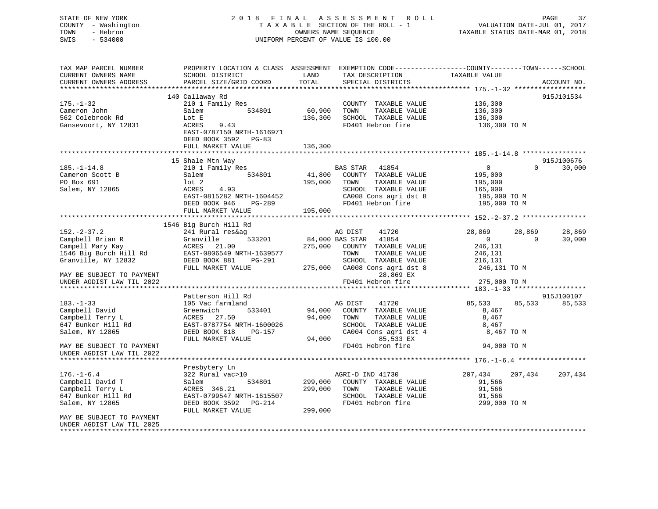## STATE OF NEW YORK 2 0 1 8 F I N A L A S S E S S M E N T R O L L PAGE 37 COUNTY - Washington T A X A B L E SECTION OF THE ROLL - 1 VALUATION DATE-JUL 01, 2017 TOWN - Hebron OWNERS NAME SEQUENCE TAXABLE STATUS DATE-MAR 01, 2018 SWIS - 534000 UNIFORM PERCENT OF VALUE IS 100.00

| TAX MAP PARCEL NUMBER     | PROPERTY LOCATION & CLASS ASSESSMENT |         | EXEMPTION CODE----------------COUNTY-------TOWN------SCHOOL |                    |                    |
|---------------------------|--------------------------------------|---------|-------------------------------------------------------------|--------------------|--------------------|
| CURRENT OWNERS NAME       | SCHOOL DISTRICT                      | LAND    | TAX DESCRIPTION                                             | TAXABLE VALUE      |                    |
| CURRENT OWNERS ADDRESS    | PARCEL SIZE/GRID COORD               | TOTAL   | SPECIAL DISTRICTS                                           |                    | ACCOUNT NO.        |
| **********************    |                                      |         |                                                             |                    |                    |
|                           | 140 Callaway Rd                      |         |                                                             |                    | 915J101534         |
| $175. - 1 - 32$           | 210 1 Family Res                     |         | COUNTY TAXABLE VALUE                                        | 136,300            |                    |
| Cameron John              | 534801<br>Salem                      | 60,900  | TOWN<br>TAXABLE VALUE                                       | 136,300            |                    |
| 562 Colebrook Rd          | Lot E                                | 136,300 | SCHOOL TAXABLE VALUE                                        | 136,300            |                    |
| Gansevoort, NY 12831      | ACRES<br>9.43                        |         | FD401 Hebron fire                                           | 136,300 TO M       |                    |
|                           |                                      |         |                                                             |                    |                    |
|                           | EAST-0787150 NRTH-1616971            |         |                                                             |                    |                    |
|                           | DEED BOOK 3592 PG-83                 |         |                                                             |                    |                    |
|                           | FULL MARKET VALUE                    | 136,300 |                                                             |                    |                    |
|                           |                                      |         |                                                             |                    |                    |
|                           | 15 Shale Mtn Way                     |         |                                                             |                    | 915J100676         |
| $185. - 1 - 14.8$         | 210 1 Family Res                     |         | BAS STAR<br>41854                                           | $\mathbf{0}$       | $\Omega$<br>30,000 |
| Cameron Scott B           | 534801<br>Salem                      | 41,800  | COUNTY TAXABLE VALUE                                        | 195,000            |                    |
| PO Box 691                | lot 2                                | 195,000 | TOWN<br>TAXABLE VALUE                                       | 195,000            |                    |
| Salem, NY 12865           | 4.93<br>ACRES                        |         | SCHOOL TAXABLE VALUE                                        | 165,000            |                    |
|                           | EAST-0815282 NRTH-1604452            |         | CA008 Cons agri dst 8                                       | 195,000 TO M       |                    |
|                           | DEED BOOK 946<br>PG-289              |         | FD401 Hebron fire                                           | 195,000 TO M       |                    |
|                           | FULL MARKET VALUE                    | 195,000 |                                                             |                    |                    |
|                           |                                      |         |                                                             |                    |                    |
|                           | 1546 Big Burch Hill Rd               |         |                                                             |                    |                    |
| $152 - 2 - 37.2$          | 241 Rural res&ag                     |         | AG DIST<br>41720                                            | 28,869<br>28,869   | 28,869             |
| Campbell Brian R          | 533201<br>Granville                  |         | 84,000 BAS STAR<br>41854                                    | $\mathbf{0}$       | $\Omega$<br>30,000 |
| Campell Mary Kay          | 21.00<br>ACRES                       | 275,000 | COUNTY TAXABLE VALUE                                        | 246,131            |                    |
| 1546 Big Burch Hill Rd    | EAST-0806549 NRTH-1639577            |         | TOWN<br>TAXABLE VALUE                                       | 246,131            |                    |
| Granville, NY 12832       | PG-291                               |         | SCHOOL TAXABLE VALUE                                        |                    |                    |
|                           | DEED BOOK 881                        |         |                                                             | 216,131            |                    |
|                           | FULL MARKET VALUE                    | 275,000 | CA008 Cons agri dst 8                                       | 246,131 TO M       |                    |
| MAY BE SUBJECT TO PAYMENT |                                      |         | 28,869 EX                                                   |                    |                    |
| UNDER AGDIST LAW TIL 2022 |                                      |         | FD401 Hebron fire                                           | 275,000 TO M       |                    |
|                           |                                      |         |                                                             |                    |                    |
|                           | Patterson Hill Rd                    |         |                                                             |                    | 915J100107         |
| $183. - 1 - 33$           | 105 Vac farmland                     |         | AG DIST<br>41720                                            | 85,533<br>85,533   | 85,533             |
| Campbell David            | Greenwich<br>533401                  | 94,000  | COUNTY TAXABLE VALUE                                        | 8,467              |                    |
| Campbell Terry L          | 27.50<br>ACRES                       | 94,000  | TAXABLE VALUE<br>TOWN                                       | 8,467              |                    |
| 647 Bunker Hill Rd        | EAST-0787754 NRTH-1600026            |         | SCHOOL TAXABLE VALUE                                        | 8,467              |                    |
| Salem, NY 12865           | DEED BOOK 818<br>PG-157              |         | CA004 Cons agri dst 4                                       | 8,467 TO M         |                    |
|                           | FULL MARKET VALUE                    | 94,000  | 85,533 EX                                                   |                    |                    |
| MAY BE SUBJECT TO PAYMENT |                                      |         | FD401 Hebron fire                                           | 94,000 TO M        |                    |
| UNDER AGDIST LAW TIL 2022 |                                      |         |                                                             |                    |                    |
|                           |                                      |         |                                                             |                    |                    |
|                           | Presbytery Ln                        |         |                                                             |                    |                    |
| $176. - 1 - 6.4$          | 322 Rural vac>10                     |         | AGRI-D IND 41730                                            | 207,434<br>207,434 | 207,434            |
| Campbell David T          | 534801<br>Salem                      | 299,000 | COUNTY TAXABLE VALUE                                        | 91,566             |                    |
| Campbell Terry L          | ACRES 346.21                         | 299,000 | TAXABLE VALUE<br>TOWN                                       | 91,566             |                    |
| 647 Bunker Hill Rd        | EAST-0799547 NRTH-1615507            |         | SCHOOL TAXABLE VALUE                                        | 91,566             |                    |
| Salem, NY 12865           | DEED BOOK 3592 PG-214                |         | FD401 Hebron fire                                           | 299,000 TO M       |                    |
|                           | FULL MARKET VALUE                    | 299,000 |                                                             |                    |                    |
| MAY BE SUBJECT TO PAYMENT |                                      |         |                                                             |                    |                    |
|                           |                                      |         |                                                             |                    |                    |
| UNDER AGDIST LAW TIL 2025 |                                      |         |                                                             |                    |                    |
|                           |                                      |         |                                                             |                    |                    |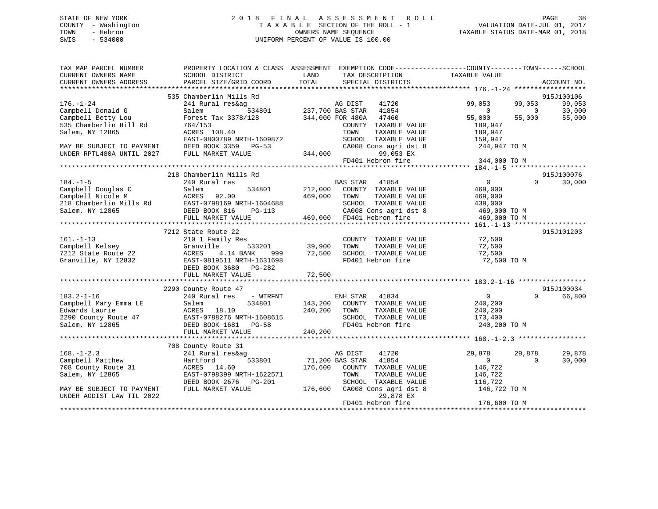## STATE OF NEW YORK 2 0 1 8 F I N A L A S S E S S M E N T R O L L PAGE 38 COUNTY - Washington T A X A B L E SECTION OF THE ROLL - 1 VALUATION DATE-JUL 01, 2017 TOWN - Hebron OWNERS NAME SEQUENCE TAXABLE STATUS DATE-MAR 01, 2018 SWIS - 534000 UNIFORM PERCENT OF VALUE IS 100.00

| SPECIAL DISTRICTS<br>ACCOUNT NO.<br>535 Chamberlin Mills Rd<br>915J100106<br>$176. - 1 - 24$<br>99,053<br>99,053<br>241 Rural res&ag<br>AG DIST<br>41720<br>99,053<br>534801 237,700 BAS STAR<br>Campbell Donald G<br>Salem<br>41854<br>30,000<br>$\Omega$<br>$\Omega$<br>Campbell Betty Lou<br>Forest Tax 3378/128<br>344,000 FOR 480A<br>47460<br>55,000<br>55,000<br>55,000<br>535 Chamberlin Hill Rd<br>764/153<br>COUNTY TAXABLE VALUE<br>189,947<br>Salem, NY 12865<br>ACRES 108.40<br>TOWN<br>TAXABLE VALUE<br>189,947<br>EAST-0800789 NRTH-1609872<br>SCHOOL TAXABLE VALUE<br>159,947<br>DEED BOOK 3359 PG-53<br>CA008 Cons agri dst 8<br>244,947 TO M<br>344,000<br>99,053 EX<br>UNDER RPTL480A UNTIL 2027<br>FULL MARKET VALUE<br>FD401 Hebron fire<br>344,000 TO M<br>218 Chamberlin Mills Rd<br>915J100076<br>$184. - 1 - 5$<br><b>BAS STAR</b><br>41854<br>$\overline{0}$<br>$\Omega$<br>30,000<br>240 Rural res<br>534801<br>212,000<br>Campbell Douglas C<br>COUNTY TAXABLE VALUE<br>469,000<br>Salem<br>469,000<br>Campbell Nicole M<br>ACRES<br>92.00<br>TOWN<br>TAXABLE VALUE<br>469,000<br>EAST-0798169 NRTH-1604688<br>218 Chamberlin Mills Rd<br>SCHOOL TAXABLE VALUE<br>439,000<br>CA008 Cons agri dst 8<br>Salem, NY 12865<br>DEED BOOK 816<br>PG-113<br>469,000 TO M<br>FULL MARKET VALUE<br>469,000 TO M<br>915J101203<br>7212 State Route 22<br>$161. - 1 - 13$<br>COUNTY TAXABLE VALUE<br>72,500<br>210 1 Family Res<br>533201 39,900<br>72,500<br>Campbell Kelsey<br>Granville<br>TOWN<br>TAXABLE VALUE<br>72,500<br>SCHOOL TAXABLE VALUE<br>72,500<br>7212 State Route 22<br>ACRES<br>4.14 BANK<br>999<br>Granville, NY 12832<br>EAST-0819511 NRTH-1631698<br>FD401 Hebron fire<br>72,500 TO M<br>DEED BOOK 3680 PG-282<br>FULL MARKET VALUE<br>72,500<br>915J100034<br>2290 County Route 47<br>$183.2 - 1 - 16$<br>ENH STAR<br>41834<br>$\overline{0}$<br>$\Omega$<br>66,800<br>240 Rural res<br>- WTRFNT<br>Campbell Mary Emma LE<br>534801<br>143,200<br>COUNTY TAXABLE VALUE<br>240,200<br>Salem<br>Edwards Laurie<br>240,200<br>ACRES<br>18.10<br>TOWN<br>TAXABLE VALUE<br>240,200<br>EAST-0788276 NRTH-1608615<br>SCHOOL TAXABLE VALUE<br>2290 County Route 47<br>173,400<br>FD401 Hebron fire<br>240,200 TO M<br>Salem, NY 12865<br>DEED BOOK 1681<br>PG-58<br>FULL MARKET VALUE<br>240,200<br>708 County Route 31<br>$168. - 1 - 2.3$<br>29,878<br>AG DIST<br>41720<br>29,878<br>29,878<br>241 Rural res&ag<br>533801<br>71,200 BAS STAR<br>$\overline{0}$<br>$\Omega$<br>30,000<br>Campbell Matthew<br>41854<br>Hartford<br>708 County Route 31<br>176,600<br>146,722<br>ACRES 14.60<br>COUNTY TAXABLE VALUE<br>Salem, NY 12865<br>EAST-0798399 NRTH-1622571<br>TAXABLE VALUE<br>146,722<br>TOWN<br>116,722<br>SCHOOL TAXABLE VALUE<br>DEED BOOK 2676 PG-201<br>176,600<br>CA008 Cons agri dst 8<br>146,722 TO M<br>MAY BE SUBJECT TO PAYMENT<br>FULL MARKET VALUE<br>29,878 EX<br>UNDER AGDIST LAW TIL 2022<br>176,600 TO M<br>FD401 Hebron fire | TAX MAP PARCEL NUMBER<br>CURRENT OWNERS NAME<br>CURRENT OWNERS ADDRESS | SCHOOL DISTRICT<br>PARCEL SIZE/GRID COORD | PROPERTY LOCATION & CLASS ASSESSMENT EXEMPTION CODE---------------COUNTY-------TOWN------SCHOOL<br>LAND<br>TAX DESCRIPTION<br>TOTAL | TAXABLE VALUE |
|-----------------------------------------------------------------------------------------------------------------------------------------------------------------------------------------------------------------------------------------------------------------------------------------------------------------------------------------------------------------------------------------------------------------------------------------------------------------------------------------------------------------------------------------------------------------------------------------------------------------------------------------------------------------------------------------------------------------------------------------------------------------------------------------------------------------------------------------------------------------------------------------------------------------------------------------------------------------------------------------------------------------------------------------------------------------------------------------------------------------------------------------------------------------------------------------------------------------------------------------------------------------------------------------------------------------------------------------------------------------------------------------------------------------------------------------------------------------------------------------------------------------------------------------------------------------------------------------------------------------------------------------------------------------------------------------------------------------------------------------------------------------------------------------------------------------------------------------------------------------------------------------------------------------------------------------------------------------------------------------------------------------------------------------------------------------------------------------------------------------------------------------------------------------------------------------------------------------------------------------------------------------------------------------------------------------------------------------------------------------------------------------------------------------------------------------------------------------------------------------------------------------------------------------------------------------------------------------------------------------------------------------------------------------------------------------------------------------------------------------------------------------------------------------------------------------------------------------------------------------------------------------------------------------------------------------------------------------------------------------|------------------------------------------------------------------------|-------------------------------------------|-------------------------------------------------------------------------------------------------------------------------------------|---------------|
|                                                                                                                                                                                                                                                                                                                                                                                                                                                                                                                                                                                                                                                                                                                                                                                                                                                                                                                                                                                                                                                                                                                                                                                                                                                                                                                                                                                                                                                                                                                                                                                                                                                                                                                                                                                                                                                                                                                                                                                                                                                                                                                                                                                                                                                                                                                                                                                                                                                                                                                                                                                                                                                                                                                                                                                                                                                                                                                                                                                         |                                                                        |                                           |                                                                                                                                     |               |
|                                                                                                                                                                                                                                                                                                                                                                                                                                                                                                                                                                                                                                                                                                                                                                                                                                                                                                                                                                                                                                                                                                                                                                                                                                                                                                                                                                                                                                                                                                                                                                                                                                                                                                                                                                                                                                                                                                                                                                                                                                                                                                                                                                                                                                                                                                                                                                                                                                                                                                                                                                                                                                                                                                                                                                                                                                                                                                                                                                                         |                                                                        |                                           |                                                                                                                                     |               |
|                                                                                                                                                                                                                                                                                                                                                                                                                                                                                                                                                                                                                                                                                                                                                                                                                                                                                                                                                                                                                                                                                                                                                                                                                                                                                                                                                                                                                                                                                                                                                                                                                                                                                                                                                                                                                                                                                                                                                                                                                                                                                                                                                                                                                                                                                                                                                                                                                                                                                                                                                                                                                                                                                                                                                                                                                                                                                                                                                                                         |                                                                        |                                           |                                                                                                                                     |               |
|                                                                                                                                                                                                                                                                                                                                                                                                                                                                                                                                                                                                                                                                                                                                                                                                                                                                                                                                                                                                                                                                                                                                                                                                                                                                                                                                                                                                                                                                                                                                                                                                                                                                                                                                                                                                                                                                                                                                                                                                                                                                                                                                                                                                                                                                                                                                                                                                                                                                                                                                                                                                                                                                                                                                                                                                                                                                                                                                                                                         |                                                                        |                                           |                                                                                                                                     |               |
|                                                                                                                                                                                                                                                                                                                                                                                                                                                                                                                                                                                                                                                                                                                                                                                                                                                                                                                                                                                                                                                                                                                                                                                                                                                                                                                                                                                                                                                                                                                                                                                                                                                                                                                                                                                                                                                                                                                                                                                                                                                                                                                                                                                                                                                                                                                                                                                                                                                                                                                                                                                                                                                                                                                                                                                                                                                                                                                                                                                         |                                                                        |                                           |                                                                                                                                     |               |
|                                                                                                                                                                                                                                                                                                                                                                                                                                                                                                                                                                                                                                                                                                                                                                                                                                                                                                                                                                                                                                                                                                                                                                                                                                                                                                                                                                                                                                                                                                                                                                                                                                                                                                                                                                                                                                                                                                                                                                                                                                                                                                                                                                                                                                                                                                                                                                                                                                                                                                                                                                                                                                                                                                                                                                                                                                                                                                                                                                                         |                                                                        |                                           |                                                                                                                                     |               |
|                                                                                                                                                                                                                                                                                                                                                                                                                                                                                                                                                                                                                                                                                                                                                                                                                                                                                                                                                                                                                                                                                                                                                                                                                                                                                                                                                                                                                                                                                                                                                                                                                                                                                                                                                                                                                                                                                                                                                                                                                                                                                                                                                                                                                                                                                                                                                                                                                                                                                                                                                                                                                                                                                                                                                                                                                                                                                                                                                                                         |                                                                        |                                           |                                                                                                                                     |               |
|                                                                                                                                                                                                                                                                                                                                                                                                                                                                                                                                                                                                                                                                                                                                                                                                                                                                                                                                                                                                                                                                                                                                                                                                                                                                                                                                                                                                                                                                                                                                                                                                                                                                                                                                                                                                                                                                                                                                                                                                                                                                                                                                                                                                                                                                                                                                                                                                                                                                                                                                                                                                                                                                                                                                                                                                                                                                                                                                                                                         |                                                                        |                                           |                                                                                                                                     |               |
|                                                                                                                                                                                                                                                                                                                                                                                                                                                                                                                                                                                                                                                                                                                                                                                                                                                                                                                                                                                                                                                                                                                                                                                                                                                                                                                                                                                                                                                                                                                                                                                                                                                                                                                                                                                                                                                                                                                                                                                                                                                                                                                                                                                                                                                                                                                                                                                                                                                                                                                                                                                                                                                                                                                                                                                                                                                                                                                                                                                         | MAY BE SUBJECT TO PAYMENT                                              |                                           |                                                                                                                                     |               |
|                                                                                                                                                                                                                                                                                                                                                                                                                                                                                                                                                                                                                                                                                                                                                                                                                                                                                                                                                                                                                                                                                                                                                                                                                                                                                                                                                                                                                                                                                                                                                                                                                                                                                                                                                                                                                                                                                                                                                                                                                                                                                                                                                                                                                                                                                                                                                                                                                                                                                                                                                                                                                                                                                                                                                                                                                                                                                                                                                                                         |                                                                        |                                           |                                                                                                                                     |               |
|                                                                                                                                                                                                                                                                                                                                                                                                                                                                                                                                                                                                                                                                                                                                                                                                                                                                                                                                                                                                                                                                                                                                                                                                                                                                                                                                                                                                                                                                                                                                                                                                                                                                                                                                                                                                                                                                                                                                                                                                                                                                                                                                                                                                                                                                                                                                                                                                                                                                                                                                                                                                                                                                                                                                                                                                                                                                                                                                                                                         |                                                                        |                                           |                                                                                                                                     |               |
|                                                                                                                                                                                                                                                                                                                                                                                                                                                                                                                                                                                                                                                                                                                                                                                                                                                                                                                                                                                                                                                                                                                                                                                                                                                                                                                                                                                                                                                                                                                                                                                                                                                                                                                                                                                                                                                                                                                                                                                                                                                                                                                                                                                                                                                                                                                                                                                                                                                                                                                                                                                                                                                                                                                                                                                                                                                                                                                                                                                         |                                                                        |                                           |                                                                                                                                     |               |
|                                                                                                                                                                                                                                                                                                                                                                                                                                                                                                                                                                                                                                                                                                                                                                                                                                                                                                                                                                                                                                                                                                                                                                                                                                                                                                                                                                                                                                                                                                                                                                                                                                                                                                                                                                                                                                                                                                                                                                                                                                                                                                                                                                                                                                                                                                                                                                                                                                                                                                                                                                                                                                                                                                                                                                                                                                                                                                                                                                                         |                                                                        |                                           |                                                                                                                                     |               |
|                                                                                                                                                                                                                                                                                                                                                                                                                                                                                                                                                                                                                                                                                                                                                                                                                                                                                                                                                                                                                                                                                                                                                                                                                                                                                                                                                                                                                                                                                                                                                                                                                                                                                                                                                                                                                                                                                                                                                                                                                                                                                                                                                                                                                                                                                                                                                                                                                                                                                                                                                                                                                                                                                                                                                                                                                                                                                                                                                                                         |                                                                        |                                           |                                                                                                                                     |               |
|                                                                                                                                                                                                                                                                                                                                                                                                                                                                                                                                                                                                                                                                                                                                                                                                                                                                                                                                                                                                                                                                                                                                                                                                                                                                                                                                                                                                                                                                                                                                                                                                                                                                                                                                                                                                                                                                                                                                                                                                                                                                                                                                                                                                                                                                                                                                                                                                                                                                                                                                                                                                                                                                                                                                                                                                                                                                                                                                                                                         |                                                                        |                                           |                                                                                                                                     |               |
|                                                                                                                                                                                                                                                                                                                                                                                                                                                                                                                                                                                                                                                                                                                                                                                                                                                                                                                                                                                                                                                                                                                                                                                                                                                                                                                                                                                                                                                                                                                                                                                                                                                                                                                                                                                                                                                                                                                                                                                                                                                                                                                                                                                                                                                                                                                                                                                                                                                                                                                                                                                                                                                                                                                                                                                                                                                                                                                                                                                         |                                                                        |                                           |                                                                                                                                     |               |
|                                                                                                                                                                                                                                                                                                                                                                                                                                                                                                                                                                                                                                                                                                                                                                                                                                                                                                                                                                                                                                                                                                                                                                                                                                                                                                                                                                                                                                                                                                                                                                                                                                                                                                                                                                                                                                                                                                                                                                                                                                                                                                                                                                                                                                                                                                                                                                                                                                                                                                                                                                                                                                                                                                                                                                                                                                                                                                                                                                                         |                                                                        |                                           |                                                                                                                                     |               |
|                                                                                                                                                                                                                                                                                                                                                                                                                                                                                                                                                                                                                                                                                                                                                                                                                                                                                                                                                                                                                                                                                                                                                                                                                                                                                                                                                                                                                                                                                                                                                                                                                                                                                                                                                                                                                                                                                                                                                                                                                                                                                                                                                                                                                                                                                                                                                                                                                                                                                                                                                                                                                                                                                                                                                                                                                                                                                                                                                                                         |                                                                        |                                           |                                                                                                                                     |               |
|                                                                                                                                                                                                                                                                                                                                                                                                                                                                                                                                                                                                                                                                                                                                                                                                                                                                                                                                                                                                                                                                                                                                                                                                                                                                                                                                                                                                                                                                                                                                                                                                                                                                                                                                                                                                                                                                                                                                                                                                                                                                                                                                                                                                                                                                                                                                                                                                                                                                                                                                                                                                                                                                                                                                                                                                                                                                                                                                                                                         |                                                                        |                                           |                                                                                                                                     |               |
|                                                                                                                                                                                                                                                                                                                                                                                                                                                                                                                                                                                                                                                                                                                                                                                                                                                                                                                                                                                                                                                                                                                                                                                                                                                                                                                                                                                                                                                                                                                                                                                                                                                                                                                                                                                                                                                                                                                                                                                                                                                                                                                                                                                                                                                                                                                                                                                                                                                                                                                                                                                                                                                                                                                                                                                                                                                                                                                                                                                         |                                                                        |                                           |                                                                                                                                     |               |
|                                                                                                                                                                                                                                                                                                                                                                                                                                                                                                                                                                                                                                                                                                                                                                                                                                                                                                                                                                                                                                                                                                                                                                                                                                                                                                                                                                                                                                                                                                                                                                                                                                                                                                                                                                                                                                                                                                                                                                                                                                                                                                                                                                                                                                                                                                                                                                                                                                                                                                                                                                                                                                                                                                                                                                                                                                                                                                                                                                                         |                                                                        |                                           |                                                                                                                                     |               |
|                                                                                                                                                                                                                                                                                                                                                                                                                                                                                                                                                                                                                                                                                                                                                                                                                                                                                                                                                                                                                                                                                                                                                                                                                                                                                                                                                                                                                                                                                                                                                                                                                                                                                                                                                                                                                                                                                                                                                                                                                                                                                                                                                                                                                                                                                                                                                                                                                                                                                                                                                                                                                                                                                                                                                                                                                                                                                                                                                                                         |                                                                        |                                           |                                                                                                                                     |               |
|                                                                                                                                                                                                                                                                                                                                                                                                                                                                                                                                                                                                                                                                                                                                                                                                                                                                                                                                                                                                                                                                                                                                                                                                                                                                                                                                                                                                                                                                                                                                                                                                                                                                                                                                                                                                                                                                                                                                                                                                                                                                                                                                                                                                                                                                                                                                                                                                                                                                                                                                                                                                                                                                                                                                                                                                                                                                                                                                                                                         |                                                                        |                                           |                                                                                                                                     |               |
|                                                                                                                                                                                                                                                                                                                                                                                                                                                                                                                                                                                                                                                                                                                                                                                                                                                                                                                                                                                                                                                                                                                                                                                                                                                                                                                                                                                                                                                                                                                                                                                                                                                                                                                                                                                                                                                                                                                                                                                                                                                                                                                                                                                                                                                                                                                                                                                                                                                                                                                                                                                                                                                                                                                                                                                                                                                                                                                                                                                         |                                                                        |                                           |                                                                                                                                     |               |
|                                                                                                                                                                                                                                                                                                                                                                                                                                                                                                                                                                                                                                                                                                                                                                                                                                                                                                                                                                                                                                                                                                                                                                                                                                                                                                                                                                                                                                                                                                                                                                                                                                                                                                                                                                                                                                                                                                                                                                                                                                                                                                                                                                                                                                                                                                                                                                                                                                                                                                                                                                                                                                                                                                                                                                                                                                                                                                                                                                                         |                                                                        |                                           |                                                                                                                                     |               |
|                                                                                                                                                                                                                                                                                                                                                                                                                                                                                                                                                                                                                                                                                                                                                                                                                                                                                                                                                                                                                                                                                                                                                                                                                                                                                                                                                                                                                                                                                                                                                                                                                                                                                                                                                                                                                                                                                                                                                                                                                                                                                                                                                                                                                                                                                                                                                                                                                                                                                                                                                                                                                                                                                                                                                                                                                                                                                                                                                                                         |                                                                        |                                           |                                                                                                                                     |               |
|                                                                                                                                                                                                                                                                                                                                                                                                                                                                                                                                                                                                                                                                                                                                                                                                                                                                                                                                                                                                                                                                                                                                                                                                                                                                                                                                                                                                                                                                                                                                                                                                                                                                                                                                                                                                                                                                                                                                                                                                                                                                                                                                                                                                                                                                                                                                                                                                                                                                                                                                                                                                                                                                                                                                                                                                                                                                                                                                                                                         |                                                                        |                                           |                                                                                                                                     |               |
|                                                                                                                                                                                                                                                                                                                                                                                                                                                                                                                                                                                                                                                                                                                                                                                                                                                                                                                                                                                                                                                                                                                                                                                                                                                                                                                                                                                                                                                                                                                                                                                                                                                                                                                                                                                                                                                                                                                                                                                                                                                                                                                                                                                                                                                                                                                                                                                                                                                                                                                                                                                                                                                                                                                                                                                                                                                                                                                                                                                         |                                                                        |                                           |                                                                                                                                     |               |
|                                                                                                                                                                                                                                                                                                                                                                                                                                                                                                                                                                                                                                                                                                                                                                                                                                                                                                                                                                                                                                                                                                                                                                                                                                                                                                                                                                                                                                                                                                                                                                                                                                                                                                                                                                                                                                                                                                                                                                                                                                                                                                                                                                                                                                                                                                                                                                                                                                                                                                                                                                                                                                                                                                                                                                                                                                                                                                                                                                                         |                                                                        |                                           |                                                                                                                                     |               |
|                                                                                                                                                                                                                                                                                                                                                                                                                                                                                                                                                                                                                                                                                                                                                                                                                                                                                                                                                                                                                                                                                                                                                                                                                                                                                                                                                                                                                                                                                                                                                                                                                                                                                                                                                                                                                                                                                                                                                                                                                                                                                                                                                                                                                                                                                                                                                                                                                                                                                                                                                                                                                                                                                                                                                                                                                                                                                                                                                                                         |                                                                        |                                           |                                                                                                                                     |               |
|                                                                                                                                                                                                                                                                                                                                                                                                                                                                                                                                                                                                                                                                                                                                                                                                                                                                                                                                                                                                                                                                                                                                                                                                                                                                                                                                                                                                                                                                                                                                                                                                                                                                                                                                                                                                                                                                                                                                                                                                                                                                                                                                                                                                                                                                                                                                                                                                                                                                                                                                                                                                                                                                                                                                                                                                                                                                                                                                                                                         |                                                                        |                                           |                                                                                                                                     |               |
|                                                                                                                                                                                                                                                                                                                                                                                                                                                                                                                                                                                                                                                                                                                                                                                                                                                                                                                                                                                                                                                                                                                                                                                                                                                                                                                                                                                                                                                                                                                                                                                                                                                                                                                                                                                                                                                                                                                                                                                                                                                                                                                                                                                                                                                                                                                                                                                                                                                                                                                                                                                                                                                                                                                                                                                                                                                                                                                                                                                         |                                                                        |                                           |                                                                                                                                     |               |
|                                                                                                                                                                                                                                                                                                                                                                                                                                                                                                                                                                                                                                                                                                                                                                                                                                                                                                                                                                                                                                                                                                                                                                                                                                                                                                                                                                                                                                                                                                                                                                                                                                                                                                                                                                                                                                                                                                                                                                                                                                                                                                                                                                                                                                                                                                                                                                                                                                                                                                                                                                                                                                                                                                                                                                                                                                                                                                                                                                                         |                                                                        |                                           |                                                                                                                                     |               |
|                                                                                                                                                                                                                                                                                                                                                                                                                                                                                                                                                                                                                                                                                                                                                                                                                                                                                                                                                                                                                                                                                                                                                                                                                                                                                                                                                                                                                                                                                                                                                                                                                                                                                                                                                                                                                                                                                                                                                                                                                                                                                                                                                                                                                                                                                                                                                                                                                                                                                                                                                                                                                                                                                                                                                                                                                                                                                                                                                                                         |                                                                        |                                           |                                                                                                                                     |               |
|                                                                                                                                                                                                                                                                                                                                                                                                                                                                                                                                                                                                                                                                                                                                                                                                                                                                                                                                                                                                                                                                                                                                                                                                                                                                                                                                                                                                                                                                                                                                                                                                                                                                                                                                                                                                                                                                                                                                                                                                                                                                                                                                                                                                                                                                                                                                                                                                                                                                                                                                                                                                                                                                                                                                                                                                                                                                                                                                                                                         |                                                                        |                                           |                                                                                                                                     |               |
|                                                                                                                                                                                                                                                                                                                                                                                                                                                                                                                                                                                                                                                                                                                                                                                                                                                                                                                                                                                                                                                                                                                                                                                                                                                                                                                                                                                                                                                                                                                                                                                                                                                                                                                                                                                                                                                                                                                                                                                                                                                                                                                                                                                                                                                                                                                                                                                                                                                                                                                                                                                                                                                                                                                                                                                                                                                                                                                                                                                         |                                                                        |                                           |                                                                                                                                     |               |
|                                                                                                                                                                                                                                                                                                                                                                                                                                                                                                                                                                                                                                                                                                                                                                                                                                                                                                                                                                                                                                                                                                                                                                                                                                                                                                                                                                                                                                                                                                                                                                                                                                                                                                                                                                                                                                                                                                                                                                                                                                                                                                                                                                                                                                                                                                                                                                                                                                                                                                                                                                                                                                                                                                                                                                                                                                                                                                                                                                                         |                                                                        |                                           |                                                                                                                                     |               |
|                                                                                                                                                                                                                                                                                                                                                                                                                                                                                                                                                                                                                                                                                                                                                                                                                                                                                                                                                                                                                                                                                                                                                                                                                                                                                                                                                                                                                                                                                                                                                                                                                                                                                                                                                                                                                                                                                                                                                                                                                                                                                                                                                                                                                                                                                                                                                                                                                                                                                                                                                                                                                                                                                                                                                                                                                                                                                                                                                                                         |                                                                        |                                           |                                                                                                                                     |               |
|                                                                                                                                                                                                                                                                                                                                                                                                                                                                                                                                                                                                                                                                                                                                                                                                                                                                                                                                                                                                                                                                                                                                                                                                                                                                                                                                                                                                                                                                                                                                                                                                                                                                                                                                                                                                                                                                                                                                                                                                                                                                                                                                                                                                                                                                                                                                                                                                                                                                                                                                                                                                                                                                                                                                                                                                                                                                                                                                                                                         |                                                                        |                                           |                                                                                                                                     |               |
|                                                                                                                                                                                                                                                                                                                                                                                                                                                                                                                                                                                                                                                                                                                                                                                                                                                                                                                                                                                                                                                                                                                                                                                                                                                                                                                                                                                                                                                                                                                                                                                                                                                                                                                                                                                                                                                                                                                                                                                                                                                                                                                                                                                                                                                                                                                                                                                                                                                                                                                                                                                                                                                                                                                                                                                                                                                                                                                                                                                         |                                                                        |                                           |                                                                                                                                     |               |
|                                                                                                                                                                                                                                                                                                                                                                                                                                                                                                                                                                                                                                                                                                                                                                                                                                                                                                                                                                                                                                                                                                                                                                                                                                                                                                                                                                                                                                                                                                                                                                                                                                                                                                                                                                                                                                                                                                                                                                                                                                                                                                                                                                                                                                                                                                                                                                                                                                                                                                                                                                                                                                                                                                                                                                                                                                                                                                                                                                                         |                                                                        |                                           |                                                                                                                                     |               |
|                                                                                                                                                                                                                                                                                                                                                                                                                                                                                                                                                                                                                                                                                                                                                                                                                                                                                                                                                                                                                                                                                                                                                                                                                                                                                                                                                                                                                                                                                                                                                                                                                                                                                                                                                                                                                                                                                                                                                                                                                                                                                                                                                                                                                                                                                                                                                                                                                                                                                                                                                                                                                                                                                                                                                                                                                                                                                                                                                                                         |                                                                        |                                           |                                                                                                                                     |               |
|                                                                                                                                                                                                                                                                                                                                                                                                                                                                                                                                                                                                                                                                                                                                                                                                                                                                                                                                                                                                                                                                                                                                                                                                                                                                                                                                                                                                                                                                                                                                                                                                                                                                                                                                                                                                                                                                                                                                                                                                                                                                                                                                                                                                                                                                                                                                                                                                                                                                                                                                                                                                                                                                                                                                                                                                                                                                                                                                                                                         |                                                                        |                                           |                                                                                                                                     |               |
|                                                                                                                                                                                                                                                                                                                                                                                                                                                                                                                                                                                                                                                                                                                                                                                                                                                                                                                                                                                                                                                                                                                                                                                                                                                                                                                                                                                                                                                                                                                                                                                                                                                                                                                                                                                                                                                                                                                                                                                                                                                                                                                                                                                                                                                                                                                                                                                                                                                                                                                                                                                                                                                                                                                                                                                                                                                                                                                                                                                         |                                                                        |                                           |                                                                                                                                     |               |
|                                                                                                                                                                                                                                                                                                                                                                                                                                                                                                                                                                                                                                                                                                                                                                                                                                                                                                                                                                                                                                                                                                                                                                                                                                                                                                                                                                                                                                                                                                                                                                                                                                                                                                                                                                                                                                                                                                                                                                                                                                                                                                                                                                                                                                                                                                                                                                                                                                                                                                                                                                                                                                                                                                                                                                                                                                                                                                                                                                                         |                                                                        |                                           |                                                                                                                                     |               |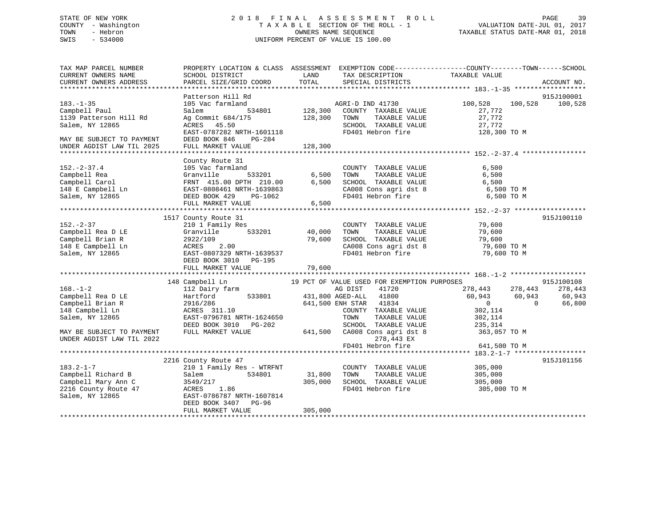# STATE OF NEW YORK 2 0 1 8 F I N A L A S S E S S M E N T R O L L PAGE 39COUNTY - Washington  $T A X A B L E$  SECTION OF THE ROLL - 1<br>TOWN - Hebron DATE-JUL 000NERS NAME SEQUENCE SWIS - 534000 UNIFORM PERCENT OF VALUE IS 100.00

TAXABLE STATUS DATE-MAR 01, 2018

| TAX MAP PARCEL NUMBER<br>CURRENT OWNERS NAME           | PROPERTY LOCATION & CLASS ASSESSMENT EXEMPTION CODE----------------COUNTY-------TOWN------SCHOOL<br>SCHOOL DISTRICT                                                                                                                  | LAND                                 | TAX DESCRIPTION                                                               | TAXABLE VALUE                                                 |                       |
|--------------------------------------------------------|--------------------------------------------------------------------------------------------------------------------------------------------------------------------------------------------------------------------------------------|--------------------------------------|-------------------------------------------------------------------------------|---------------------------------------------------------------|-----------------------|
| CURRENT OWNERS ADDRESS                                 | PARCEL SIZE/GRID COORD                                                                                                                                                                                                               | TOTAL                                | SPECIAL DISTRICTS                                                             |                                                               | ACCOUNT NO.           |
|                                                        |                                                                                                                                                                                                                                      |                                      |                                                                               |                                                               |                       |
| $183. - 1 - 35$                                        | Patterson Hill Rd<br>105 Vac farmland                                                                                                                                                                                                |                                      | 1 MGRI-D IND 41730<br>534801 128,300 COUNTY TAXABLE VALUE<br>AGRI-D IND 41730 | 100,528<br>100,528                                            | 915J100001<br>100,528 |
| Campbell Paul<br>1139 Patterson Hill Rd                | Salem<br>Ag Commit 684/175                                                                                                                                                                                                           | 128,300                              | TOWN<br>TAXABLE VALUE                                                         | 27,772<br>27,772                                              |                       |
| Salem, NY 12865<br>MAY BE SUBJECT TO PAYMENT           | ACRES 45.50<br>EAST-0787282 NRTH-1601118<br>DEED BOOK 846<br>PG-284                                                                                                                                                                  |                                      | SCHOOL TAXABLE VALUE<br>FD401 Hebron fire                                     | 27,772<br>128,300 TO M                                        |                       |
| UNDER AGDIST LAW TIL 2025                              | FULL MARKET VALUE                                                                                                                                                                                                                    | 128,300                              |                                                                               |                                                               |                       |
|                                                        | County Route 31                                                                                                                                                                                                                      |                                      |                                                                               |                                                               |                       |
| $152. - 2 - 37.4$                                      | 105 Vac farmland                                                                                                                                                                                                                     | $533201$ 6,500                       | COUNTY TAXABLE VALUE<br>TOWN TAXABLE VALUE                                    | 6,500<br>6,500                                                |                       |
|                                                        | Campbell Rea (Campbell Carol Campbell Carol Campbell Carol FRNT 415.00 DPTH 210.00 6,500<br>148 E Campbell Ln EAST-0808461 NRTH-1639863<br>20148 E Campbell Ln EAST-0808461 NRTH-1639863<br>20148 E Campbell Ln EAST-0808461 NRTH-16 |                                      | SCHOOL TAXABLE VALUE<br>CA008 Cons agri dst 8 6,500 TO M                      | 6,500                                                         |                       |
|                                                        |                                                                                                                                                                                                                                      |                                      | FD401 Hebron fire                                                             | 6,500 TO M                                                    |                       |
|                                                        |                                                                                                                                                                                                                                      |                                      |                                                                               |                                                               |                       |
| $152 - 2 - 37$                                         | 1517 County Route 31<br>210 1 Family Res                                                                                                                                                                                             |                                      | COUNTY TAXABLE VALUE 79,600                                                   |                                                               | 915J100110            |
| Campbell Rea D LE                                      | Granville                                                                                                                                                                                                                            | з<br>533201                   40,000 | TOWN                                                                          | TAXABLE VALUE<br>TAXABLE VALUE 79,600<br>TAXABLE VALUE 79,600 |                       |
| Campbell Brian R                                       |                                                                                                                                                                                                                                      | 79,600                               | SCHOOL TAXABLE VALUE                                                          |                                                               |                       |
| 148 E Campbell Ln                                      | 2.00                                                                                                                                                                                                                                 |                                      | CA008 Cons agri dst 8 79,600 TO M                                             |                                                               |                       |
| Salem, NY 12865                                        | E<br>B<br>2922/109<br>2022/109<br>ACRES<br>EAST-0807<br>ET BOOK<br>REP BOOK<br>EAST-0807329 NRTH-1639537<br>DEED BOOK 3010 PG-195                                                                                                    |                                      | FD401 Hebron fire                                                             | 79,600 TO M                                                   |                       |
|                                                        |                                                                                                                                                                                                                                      |                                      |                                                                               |                                                               |                       |
|                                                        | 148 Campbell Ln                                                                                                                                                                                                                      |                                      | 19 PCT OF VALUE USED FOR EXEMPTION PURPOSES                                   |                                                               | 915J100108            |
| $168. - 1 - 2$                                         | 112 Dairy farm                                                                                                                                                                                                                       |                                      | AG DIST<br>41720                                                              | 278,443 278,443                                               | 278,443               |
| Campbell Rea D LE                                      | Hartford                                                                                                                                                                                                                             |                                      | 533801 431,800 AGED-ALL 41800                                                 | 60,943 60,943                                                 | 60,943                |
| Campbell Brian R                                       |                                                                                                                                                                                                                                      |                                      | 641,500 ENH STAR 41834                                                        | $\overline{0}$                                                | $\Omega$<br>66,800    |
| 148 Campbell Ln                                        | 2916/286<br>ACRES 311.10                                                                                                                                                                                                             |                                      | COUNTY TAXABLE VALUE                                                          | 302,114                                                       |                       |
| Salem, NY 12865                                        | EAST-0796781 NRTH-1624650                                                                                                                                                                                                            |                                      | TAXABLE VALUE<br>TOWN                                                         | 302,114                                                       |                       |
|                                                        | DEED BOOK 3010 PG-202                                                                                                                                                                                                                |                                      |                                                                               |                                                               |                       |
| MAY BE SUBJECT TO PAYMENT<br>UNDER AGDIST LAW TIL 2022 | FULL MARKET VALUE                                                                                                                                                                                                                    |                                      | 278,443 EX                                                                    |                                                               |                       |
|                                                        |                                                                                                                                                                                                                                      |                                      | FD401 Hebron fire                                                             | 641,500 TO M                                                  |                       |
|                                                        | 2216 County Route 47                                                                                                                                                                                                                 |                                      |                                                                               |                                                               | 915J101156            |
| $183.2 - 1 - 7$                                        | 210 1 Family Res - WTRFNT                                                                                                                                                                                                            |                                      | COUNTY TAXABLE VALUE 305,000                                                  |                                                               |                       |
| Campbell Richard B                                     | 534801<br>Salem                                                                                                                                                                                                                      | 31,800                               | TOWN                                                                          | TAXABLE VALUE 305,000                                         |                       |
| Campbell Mary Ann C                                    | 3549/217                                                                                                                                                                                                                             | 305,000                              | SCHOOL TAXABLE VALUE<br>FD401 Hebron fire                                     | 305,000                                                       |                       |
| 2216 County Route 47                                   | 3549/2<br>ACRES<br>1.86                                                                                                                                                                                                              |                                      | FD401 Hebron fire                                                             | 305,000 TO M                                                  |                       |
| Salem, NY 12865                                        | EAST-0786787 NRTH-1607814<br>DEED BOOK 3407 PG-96                                                                                                                                                                                    |                                      |                                                                               |                                                               |                       |
|                                                        | FULL MARKET VALUE                                                                                                                                                                                                                    | 305,000                              |                                                                               |                                                               |                       |
|                                                        |                                                                                                                                                                                                                                      |                                      |                                                                               |                                                               |                       |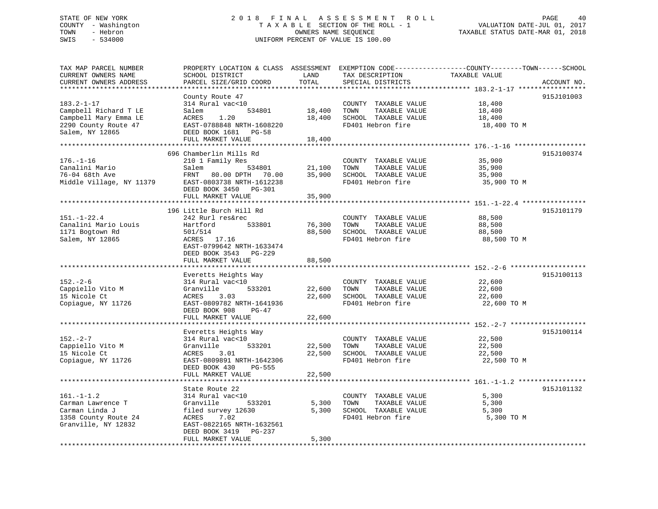## STATE OF NEW YORK 2 0 1 8 F I N A L A S S E S S M E N T R O L L PAGE 40 COUNTY - Washington T A X A B L E SECTION OF THE ROLL - 1 VALUATION DATE-JUL 01, 2017 TOWN - Hebron OWNERS NAME SEQUENCE TAXABLE STATUS DATE-MAR 01, 2018 SWIS - 534000 UNIFORM PERCENT OF VALUE IS 100.00

| TAX MAP PARCEL NUMBER<br>CURRENT OWNERS NAME<br>CURRENT OWNERS ADDRESS                                 | SCHOOL DISTRICT<br>PARCEL SIZE/GRID COORD                                                                                                | LAND<br>TOTAL    | TAX DESCRIPTION<br>SPECIAL DISTRICTS                                                              | PROPERTY LOCATION & CLASS ASSESSMENT EXEMPTION CODE----------------COUNTY-------TOWN------SCHOOL<br>TAXABLE VALUE<br>ACCOUNT NO. |
|--------------------------------------------------------------------------------------------------------|------------------------------------------------------------------------------------------------------------------------------------------|------------------|---------------------------------------------------------------------------------------------------|----------------------------------------------------------------------------------------------------------------------------------|
| ******************************                                                                         |                                                                                                                                          |                  |                                                                                                   |                                                                                                                                  |
| $183.2 - 1 - 17$<br>Campbell Richard T LE                                                              | County Route 47<br>314 Rural vac<10<br>Salem<br>534801                                                                                   | 18,400           | COUNTY TAXABLE VALUE<br>TAXABLE VALUE<br>TOWN                                                     | 915J101003<br>18,400<br>18,400                                                                                                   |
| Campbell Mary Emma LE<br>2290 County Route 47<br>Salem, NY 12865                                       | ACRES<br>1.20<br>EAST-0788848 NRTH-1608220<br>DEED BOOK 1681 PG-58                                                                       | 18,400           | SCHOOL TAXABLE VALUE<br>FD401 Hebron fire                                                         | 18,400<br>18,400 TO M                                                                                                            |
|                                                                                                        | FULL MARKET VALUE                                                                                                                        | 18,400           |                                                                                                   |                                                                                                                                  |
|                                                                                                        | 696 Chamberlin Mills Rd                                                                                                                  |                  |                                                                                                   | 915J100374                                                                                                                       |
| $176. - 1 - 16$<br>Canalini Mario<br>76-04 68th Ave<br>Middle Village, NY 11379                        | 210 1 Family Res<br>Salem<br>534801<br>FRNT 80.00 DPTH 70.00<br>EAST-0803738 NRTH-1612238                                                | 21,100           | COUNTY TAXABLE VALUE<br>TOWN<br>TAXABLE VALUE<br>35,900 SCHOOL TAXABLE VALUE<br>FD401 Hebron fire | 35,900<br>35,900<br>35,900<br>35,900 TO M                                                                                        |
|                                                                                                        | DEED BOOK 3450 PG-301<br>FULL MARKET VALUE                                                                                               |                  |                                                                                                   |                                                                                                                                  |
|                                                                                                        |                                                                                                                                          | 35,900           |                                                                                                   |                                                                                                                                  |
|                                                                                                        | 196 Little Burch Hill Rd                                                                                                                 |                  |                                                                                                   | 915J101179                                                                                                                       |
| $151. - 1 - 22.4$<br>Canalini Mario Louis<br>1171 Bogtown Rd<br>Salem, NY 12865                        | 242 Rurl res&rec<br>Hartford<br>533801<br>501/514<br>ACRES 17.16<br>EAST-0799642 NRTH-1633474                                            | 76,300<br>88,500 | COUNTY TAXABLE VALUE<br>TOWN<br>TAXABLE VALUE<br>SCHOOL TAXABLE VALUE<br>FD401 Hebron fire        | 88,500<br>88,500<br>88,500<br>88,500 TO M                                                                                        |
|                                                                                                        | DEED BOOK 3543 PG-229<br>FULL MARKET VALUE                                                                                               | 88,500           |                                                                                                   |                                                                                                                                  |
|                                                                                                        | Everetts Heights Way                                                                                                                     |                  |                                                                                                   | 915J100113                                                                                                                       |
| $152 - 2 - 6$<br>Cappiello Vito M<br>15 Nicole Ct<br>Copiague, NY 11726                                | 314 Rural vac<10<br>Granville<br>533201<br>ACRES<br>3.03<br>EAST-0809782 NRTH-1641936<br>DEED BOOK 908<br>$PG-47$                        | 22,600           | COUNTY TAXABLE VALUE<br>TOWN<br>TAXABLE VALUE<br>22,600 SCHOOL TAXABLE VALUE<br>FD401 Hebron fire | 22,600<br>22,600<br>22,600<br>22,600 TO M                                                                                        |
|                                                                                                        | FULL MARKET VALUE                                                                                                                        | 22,600           |                                                                                                   |                                                                                                                                  |
|                                                                                                        |                                                                                                                                          |                  |                                                                                                   |                                                                                                                                  |
| $152 - 2 - 7$<br>Cappiello Vito M<br>15 Nicole Ct<br>Copiague, NY 11726                                | Everetts Heights Way<br>314 Rural vac<10<br>Granville<br>533201<br>ACRES<br>3.01<br>EAST-0809891 NRTH-1642306<br>DEED BOOK 430<br>PG-555 | 22,500<br>22,500 | COUNTY TAXABLE VALUE<br>TOWN<br>TAXABLE VALUE<br>SCHOOL TAXABLE VALUE<br>FD401 Hebron fire        | 915J100114<br>22,500<br>22,500<br>22,500<br>22,500 TO M                                                                          |
|                                                                                                        | FULL MARKET VALUE                                                                                                                        | 22,500           |                                                                                                   |                                                                                                                                  |
|                                                                                                        | State Route 22                                                                                                                           |                  |                                                                                                   | 915J101132                                                                                                                       |
| $161. - 1 - 1.2$<br>Carman Lawrence T<br>Carman Linda J<br>1358 County Route 24<br>Granville, NY 12832 | 314 Rural vac<10<br>Granville<br>533201<br>filed survey 12630<br>ACRES<br>7.02<br>EAST-0822165 NRTH-1632561<br>DEED BOOK 3419 PG-237     | 5,300<br>5,300   | COUNTY TAXABLE VALUE<br>TOWN<br>TAXABLE VALUE<br>SCHOOL TAXABLE VALUE<br>FD401 Hebron fire        | 5,300<br>5,300<br>5,300<br>5,300 TO M                                                                                            |
|                                                                                                        | FULL MARKET VALUE                                                                                                                        | 5,300            |                                                                                                   |                                                                                                                                  |
|                                                                                                        |                                                                                                                                          |                  |                                                                                                   |                                                                                                                                  |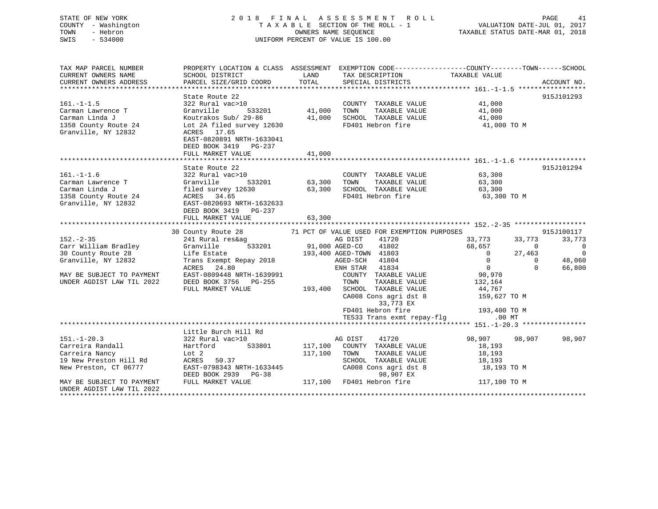### STATE OF NEW YORK 2 0 1 8 F I N A L A S S E S S M E N T R O L L PAGE 41COUNTY - Washington T A X A B L E SECTION OF THE ROLL - 1 VALUATION DATE-JUL 01, 2017 OWNERS NAME SEQUENCE TAXABLE STATUS DATE-MAR 01, 2018 SWIS - 534000 UNIFORM PERCENT OF VALUE IS 100.00

VALUATION DATE-JUL 01, 2017

| TAX MAP PARCEL NUMBER<br>CURRENT OWNERS NAME<br>CURRENT OWNERS ADDRESS                                                                                                                       | SCHOOL DISTRICT<br>PARCEL SIZE/GRID COORD                                                                                                                                                                | LAND<br>TOTAL              | TAX DESCRIPTION<br>SPECIAL DISTRICTS                                                                                                                                                                                                                                                                            | PROPERTY LOCATION & CLASS ASSESSMENT EXEMPTION CODE----------------COUNTY-------TOWN------SCHOOL<br>TAXABLE VALUE                                                                                | ACCOUNT NO.                                                        |
|----------------------------------------------------------------------------------------------------------------------------------------------------------------------------------------------|----------------------------------------------------------------------------------------------------------------------------------------------------------------------------------------------------------|----------------------------|-----------------------------------------------------------------------------------------------------------------------------------------------------------------------------------------------------------------------------------------------------------------------------------------------------------------|--------------------------------------------------------------------------------------------------------------------------------------------------------------------------------------------------|--------------------------------------------------------------------|
| $161. - 1 - 1.5$<br>Carman Lawrence T<br>Carman Linda J<br>1358 County Route 24<br>Granville, NY 12832                                                                                       | State Route 22<br>322 Rural vac>10<br>533201<br>Granville<br>Koutrakos Sub/ 29-86<br>Lot 2A filed survey 12630<br>ACRES 17.65<br>EAST-0820891 NRTH-1633041<br>DEED BOOK 3419 PG-237<br>FULL MARKET VALUE | 41,000<br>41,000<br>41,000 | COUNTY TAXABLE VALUE<br>TAXABLE VALUE<br>TOWN<br>SCHOOL TAXABLE VALUE<br>FD401 Hebron fire                                                                                                                                                                                                                      | 41,000<br>41,000<br>41,000<br>41,000 TO M                                                                                                                                                        | 915J101293                                                         |
|                                                                                                                                                                                              |                                                                                                                                                                                                          |                            |                                                                                                                                                                                                                                                                                                                 |                                                                                                                                                                                                  |                                                                    |
| $161. - 1 - 1.6$<br>Carman Lawrence T<br>Carman Linda J<br>1358 County Route 24<br>Granville, NY 12832                                                                                       | State Route 22<br>322 Rural vac>10<br>Granville<br>533201<br>filed survey 12630<br>ACRES 34.65<br>EAST-0820693 NRTH-1632633<br>DEED BOOK 3419 PG-237<br>FULL MARKET VALUE                                | 63,300<br>63,300<br>63,300 | COUNTY TAXABLE VALUE<br>TAXABLE VALUE<br>TOWN<br>SCHOOL TAXABLE VALUE<br>FD401 Hebron fire                                                                                                                                                                                                                      | 63,300<br>63,300<br>63,300<br>63,300 TO M                                                                                                                                                        | 915J101294                                                         |
|                                                                                                                                                                                              |                                                                                                                                                                                                          |                            |                                                                                                                                                                                                                                                                                                                 |                                                                                                                                                                                                  |                                                                    |
| $152 - 2 - 35$<br>Carr William Bradley<br>30 County Route 28<br>Granville, NY 12832<br>MAY BE SUBJECT TO PAYMENT<br>UNDER AGDIST LAW TIL 2022                                                | 30 County Route 28<br>241 Rural res&ag<br>Granville<br>533201<br>Life Estate<br>Trans Exempt Repay 2018<br>ACRES<br>24.80<br>EAST-0809448 NRTH-1639991<br>DEED BOOK 3756 PG-255<br>FULL MARKET VALUE     | 91,000 AGED-CO<br>193,400  | 71 PCT OF VALUE USED FOR EXEMPTION PURPOSES<br>41720<br>AG DIST<br>41802<br>193,400 AGED-TOWN 41803<br>41804<br>AGED-SCH<br>41834<br>ENH STAR<br>COUNTY TAXABLE VALUE<br>TAXABLE VALUE<br>TOWN<br>SCHOOL TAXABLE VALUE<br>CA008 Cons agri dst 8<br>33,773 EX<br>FD401 Hebron fire<br>TE533 Trans exmt repay-flg | 33,773<br>33,773<br>68,657<br>$\Omega$<br>$\Omega$<br>27,463<br>$\mathbf 0$<br>$\Omega$<br>$\overline{0}$<br>$\Omega$<br>90,970<br>132,164<br>44,767<br>159,627 TO M<br>193,400 TO M<br>$.00$ MT | 915J100117<br>33,773<br>$\bigcirc$<br>$\Omega$<br>48,060<br>66,800 |
|                                                                                                                                                                                              |                                                                                                                                                                                                          |                            |                                                                                                                                                                                                                                                                                                                 |                                                                                                                                                                                                  |                                                                    |
| $151. - 1 - 20.3$<br>Carreira Randall<br>Carreira Nancy<br>19 New Preston Hill Rd<br>New Preston, CT 06777<br>MAY BE SUBJECT TO PAYMENT<br>UNDER AGDIST LAW TIL 2022<br>******************** | Little Burch Hill Rd<br>322 Rural vac>10<br>Hartford<br>533801<br>Lot 2<br>ACRES 50.37<br>EAST-0798343 NRTH-1633445<br>DEED BOOK 2939 PG-38<br>FULL MARKET VALUE                                         | 117,100<br>117,100         | AG DIST<br>41720<br>COUNTY TAXABLE VALUE<br>TAXABLE VALUE<br>TOWN<br>SCHOOL TAXABLE VALUE<br>CA008 Cons agri dst 8<br>98,907 EX<br>117,100 FD401 Hebron fire                                                                                                                                                    | 98,907<br>98,907<br>18,193<br>18,193<br>18,193<br>18,193 TO M<br>117,100 TO M                                                                                                                    | 98,907                                                             |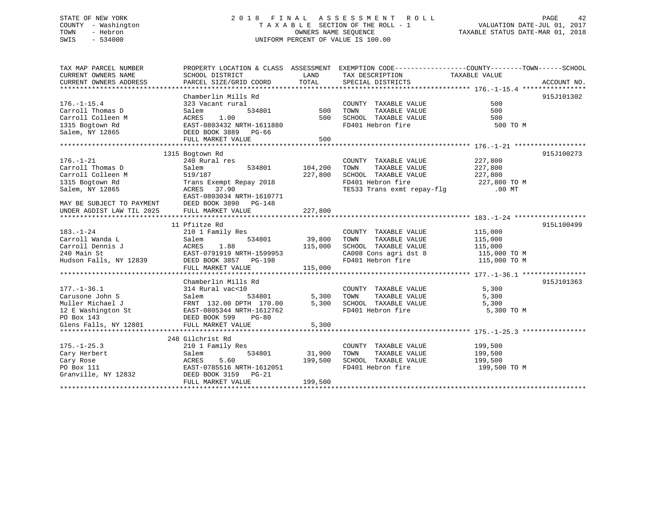## STATE OF NEW YORK 2 0 1 8 F I N A L A S S E S S M E N T R O L L PAGE 42 COUNTY - Washington T A X A B L E SECTION OF THE ROLL - 1 VALUATION DATE-JUL 01, 2017 TOWN - Hebron OWNERS NAME SEQUENCE TAXABLE STATUS DATE-MAR 01, 2018 SWIS - 534000 UNIFORM PERCENT OF VALUE IS 100.00

| TAX MAP PARCEL NUMBER                                                                                                                                                                                                                                | PROPERTY LOCATION & CLASS ASSESSMENT EXEMPTION CODE---------------COUNTY-------TOWN-----SCHOOL |               |                                                                                                                                                                                                                                                                                                                                                                                                                                                                         |                    |             |
|------------------------------------------------------------------------------------------------------------------------------------------------------------------------------------------------------------------------------------------------------|------------------------------------------------------------------------------------------------|---------------|-------------------------------------------------------------------------------------------------------------------------------------------------------------------------------------------------------------------------------------------------------------------------------------------------------------------------------------------------------------------------------------------------------------------------------------------------------------------------|--------------------|-------------|
| CURRENT OWNERS NAME                                                                                                                                                                                                                                  | SCHOOL DISTRICT                                                                                | <b>LAND</b>   | TAX DESCRIPTION                                                                                                                                                                                                                                                                                                                                                                                                                                                         | TAXABLE VALUE      |             |
| CURRENT OWNERS ADDRESS                                                                                                                                                                                                                               | PARCEL SIZE/GRID COORD                                                                         | TOTAL         | SPECIAL DISTRICTS                                                                                                                                                                                                                                                                                                                                                                                                                                                       |                    | ACCOUNT NO. |
|                                                                                                                                                                                                                                                      |                                                                                                |               |                                                                                                                                                                                                                                                                                                                                                                                                                                                                         |                    |             |
|                                                                                                                                                                                                                                                      | Chamberlin Mills Rd                                                                            |               | $\begin{tabular}{lcccccc} \text{\emph{i}} & \text{\emph{Rd}} & \text{\emph{COUNTY}} & \text{\emph{TAXABLE}} & \text{\emph{a}} \\ \text{\emph{b}} & \text{\emph{b}} & \text{\emph{c}} & \text{\emph{f}} \\ \text{\emph{b}} & \text{\emph{b}} & \text{\emph{f}} & \text{\emph{f}} \\ \text{\emph{b}} & \text{\emph{b}} & \text{\emph{f}} & \text{\emph{f}} \\ \text{\emph{b}} & \text{\emph{b}} & \text{\emph{b}} \\ \text{\emph{b}} & \text{\emph{b}} & \text{\emph{b}}$ |                    | 915J101302  |
| $176. - 1 - 15.4$                                                                                                                                                                                                                                    | 323 Vacant rural                                                                               |               |                                                                                                                                                                                                                                                                                                                                                                                                                                                                         |                    |             |
| Carroll Thomas D                                                                                                                                                                                                                                     | Salem                                                                                          |               |                                                                                                                                                                                                                                                                                                                                                                                                                                                                         |                    |             |
| Carroll Colleen M                                                                                                                                                                                                                                    | ACRES 1.00                                                                                     |               |                                                                                                                                                                                                                                                                                                                                                                                                                                                                         |                    |             |
| 1315 Bogtown Rd                                                                                                                                                                                                                                      | EAST-0803432 NRTH-1611880<br>DEED BOOK 3889 PG-66                                              |               |                                                                                                                                                                                                                                                                                                                                                                                                                                                                         | 500 TO M           |             |
| Salem, NY 12865                                                                                                                                                                                                                                      |                                                                                                |               |                                                                                                                                                                                                                                                                                                                                                                                                                                                                         |                    |             |
|                                                                                                                                                                                                                                                      | FULL MARKET VALUE                                                                              | 500           |                                                                                                                                                                                                                                                                                                                                                                                                                                                                         |                    |             |
|                                                                                                                                                                                                                                                      |                                                                                                |               |                                                                                                                                                                                                                                                                                                                                                                                                                                                                         |                    |             |
|                                                                                                                                                                                                                                                      | 1315 Bogtown Rd                                                                                |               |                                                                                                                                                                                                                                                                                                                                                                                                                                                                         |                    | 915J100273  |
| $176. - 1 - 21$                                                                                                                                                                                                                                      | 240 Rural res                                                                                  |               | COUNTY TAXABLE VALUE 227,800                                                                                                                                                                                                                                                                                                                                                                                                                                            |                    |             |
| Carroll Thomas D                                                                                                                                                                                                                                     | 534801                                                                                         | 104,200       |                                                                                                                                                                                                                                                                                                                                                                                                                                                                         |                    |             |
| Carroll Colleen M                                                                                                                                                                                                                                    |                                                                                                | 227,800       | TOWN TAXABLE VALUE 227,800<br>SCHOOL TAXABLE VALUE 227,800                                                                                                                                                                                                                                                                                                                                                                                                              |                    |             |
| 1315 Bogtown Rd                                                                                                                                                                                                                                      |                                                                                                |               |                                                                                                                                                                                                                                                                                                                                                                                                                                                                         |                    |             |
| Salem, NY 12865                                                                                                                                                                                                                                      | Salem 534801<br>519/187<br>Trans Exempt Repay 2018<br>ACRES 37.90                              |               | FD401 Hebron fire 227,800 TO M<br>TE533 Trans exmt repay-flg .00 MT                                                                                                                                                                                                                                                                                                                                                                                                     |                    |             |
|                                                                                                                                                                                                                                                      | EAST-0803034 NRTH-1610771                                                                      |               |                                                                                                                                                                                                                                                                                                                                                                                                                                                                         |                    |             |
|                                                                                                                                                                                                                                                      |                                                                                                |               |                                                                                                                                                                                                                                                                                                                                                                                                                                                                         |                    |             |
| MAY BE SUBJECT TO PAYMENT DEED BOOK 3890 PG-148<br>UNDER AGDIST LAW TIL 2025 FULL MARKET VALUE                                                                                                                                                       |                                                                                                | 227,800       |                                                                                                                                                                                                                                                                                                                                                                                                                                                                         |                    |             |
|                                                                                                                                                                                                                                                      |                                                                                                |               |                                                                                                                                                                                                                                                                                                                                                                                                                                                                         |                    |             |
|                                                                                                                                                                                                                                                      | 11 Pfiitze Rd                                                                                  |               |                                                                                                                                                                                                                                                                                                                                                                                                                                                                         |                    | 915L100499  |
| $183. - 1 - 24$                                                                                                                                                                                                                                      | 210 1 Family Res                                                                               |               | COUNTY TAXABLE VALUE 115,000                                                                                                                                                                                                                                                                                                                                                                                                                                            |                    |             |
| Carroll Wanda L                                                                                                                                                                                                                                      | Salem                                                                                          | 534801 39,800 | TOWN<br>TAXABLE VALUE                                                                                                                                                                                                                                                                                                                                                                                                                                                   | 115,000            |             |
|                                                                                                                                                                                                                                                      |                                                                                                |               |                                                                                                                                                                                                                                                                                                                                                                                                                                                                         |                    |             |
|                                                                                                                                                                                                                                                      |                                                                                                |               |                                                                                                                                                                                                                                                                                                                                                                                                                                                                         |                    |             |
|                                                                                                                                                                                                                                                      |                                                                                                |               |                                                                                                                                                                                                                                                                                                                                                                                                                                                                         |                    |             |
|                                                                                                                                                                                                                                                      |                                                                                                |               |                                                                                                                                                                                                                                                                                                                                                                                                                                                                         |                    |             |
| Carroll Dennis J<br>240 Main St<br>EAST-0791919 NRTH-1599953<br>EAST-0791919 NRTH-1599953<br>EED BOOK 3857 PG-198<br>FULL MARKET VALUE<br>240 Main St<br>EED BOOK 3857 PG-198<br>27.000 EP401 Hebron fire<br>27.000 TO M<br>27.000 TO M<br>27.000 TO |                                                                                                |               |                                                                                                                                                                                                                                                                                                                                                                                                                                                                         |                    |             |
|                                                                                                                                                                                                                                                      | Chamberlin Mills Rd                                                                            |               |                                                                                                                                                                                                                                                                                                                                                                                                                                                                         |                    | 915J101363  |
| $177. - 1 - 36.1$                                                                                                                                                                                                                                    | 314 Rural vac<10                                                                               |               | COUNTY TAXABLE VALUE                                                                                                                                                                                                                                                                                                                                                                                                                                                    | 5,300              |             |
|                                                                                                                                                                                                                                                      |                                                                                                | 534801 5,300  | TAXABLE VALUE<br>TOWN                                                                                                                                                                                                                                                                                                                                                                                                                                                   | 5,300              |             |
|                                                                                                                                                                                                                                                      |                                                                                                | 5,300         |                                                                                                                                                                                                                                                                                                                                                                                                                                                                         |                    |             |
|                                                                                                                                                                                                                                                      |                                                                                                |               | SCHOOL TAXABLE VALUE 5,300<br>FD401 Hebron fire                                                                                                                                                                                                                                                                                                                                                                                                                         | 5,300 TO M         |             |
| 177.-1-36.1 314 Rural vac<10<br>Carusone John S<br>Muller Michael J<br>12 E Washington St<br>20 Box 143<br>20 BOOK 599<br>20 BOOK 599<br>20 BOOK 599<br>20 BOOK 599<br>20 BOOK 599<br>20 BOOK 599                                                    |                                                                                                |               |                                                                                                                                                                                                                                                                                                                                                                                                                                                                         |                    |             |
| Glens Falls, NY 12801                                                                                                                                                                                                                                | FULL MARKET VALUE                                                                              | 5,300         |                                                                                                                                                                                                                                                                                                                                                                                                                                                                         |                    |             |
|                                                                                                                                                                                                                                                      |                                                                                                |               |                                                                                                                                                                                                                                                                                                                                                                                                                                                                         |                    |             |
|                                                                                                                                                                                                                                                      | 248 Gilchrist Rd                                                                               |               |                                                                                                                                                                                                                                                                                                                                                                                                                                                                         |                    |             |
| $175. - 1 - 25.3$                                                                                                                                                                                                                                    | 210 1 Family Res                                                                               |               | COUNTY TAXABLE VALUE                                                                                                                                                                                                                                                                                                                                                                                                                                                    |                    |             |
| Cary Herbert                                                                                                                                                                                                                                         | 534801<br>Salem                                                                                | 31,900 TOWN   | TAXABLE VALUE                                                                                                                                                                                                                                                                                                                                                                                                                                                           | 199,500<br>199,500 |             |
| Cary Rose                                                                                                                                                                                                                                            | 5.60<br>ACRES                                                                                  | 199,500       | SCHOOL TAXABLE VALUE 199,500                                                                                                                                                                                                                                                                                                                                                                                                                                            |                    |             |
| PO Box 111                                                                                                                                                                                                                                           | EAST-0785516 NRTH-1612051                                                                      |               | FD401 Hebron fire                                                                                                                                                                                                                                                                                                                                                                                                                                                       | 199,500 TO M       |             |
| Granville, NY 12832                                                                                                                                                                                                                                  | DEED BOOK 3159 PG-21                                                                           |               |                                                                                                                                                                                                                                                                                                                                                                                                                                                                         |                    |             |
|                                                                                                                                                                                                                                                      | FULL MARKET VALUE                                                                              | 199,500       |                                                                                                                                                                                                                                                                                                                                                                                                                                                                         |                    |             |
|                                                                                                                                                                                                                                                      |                                                                                                |               |                                                                                                                                                                                                                                                                                                                                                                                                                                                                         |                    |             |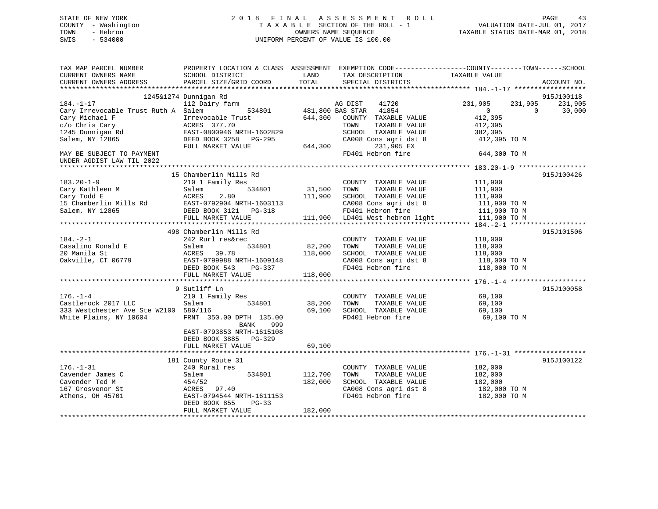| STATE OF NEW YORK<br>COUNTY - Washington<br>- Hebron<br>TOWN<br>SWIS<br>$-534000$ | 2018 FINAL ASSESSMENT ROLL<br>TAXABLE SECTION OF THE ROLL - 1<br>OWNERS NAME SEOUENCE<br>UNIFORM PERCENT OF VALUE IS 100.00 | TAXABLE STATUS DATE-MAR 01, 2018 | PAGE<br>VALUATION DATE-JUL 01, 2017 | 43 |
|-----------------------------------------------------------------------------------|-----------------------------------------------------------------------------------------------------------------------------|----------------------------------|-------------------------------------|----|
| TAX MAP PARCEL NUMBER                                                             | PROPERTY LOCATION & CLASS ASSESSMENT EXEMPTION CODE---------------COUNTY-------TOWN-----SCHOOL                              |                                  |                                     |    |

| CURRENT OWNERS NAME                   | SCHOOL DISTRICT           | LAND    |                  | TAX DESCRIPTION                 | TAXABLE VALUE  |          |             |
|---------------------------------------|---------------------------|---------|------------------|---------------------------------|----------------|----------|-------------|
| CURRENT OWNERS ADDRESS                | PARCEL SIZE/GRID COORD    | TOTAL   |                  | SPECIAL DISTRICTS               |                |          | ACCOUNT NO. |
|                                       |                           |         |                  |                                 |                |          |             |
|                                       | 1245&1274 Dunnigan Rd     |         |                  |                                 |                |          | 915J100118  |
| $184. - 1 - 17$                       | 112 Dairy farm            |         | AG DIST          | 41720                           | 231,905        | 231,905  | 231,905     |
| Cary Irrevocable Trust Ruth A Salem   | 534801                    |         | 481,800 BAS STAR | 41854                           | $\overline{0}$ | $\Omega$ | 30,000      |
| Cary Michael F                        | Irrevocable Trust         | 644,300 |                  | COUNTY TAXABLE VALUE            | 412,395        |          |             |
| c/o Chris Cary                        | ACRES 377.70              |         | TOWN             | TAXABLE VALUE                   | 412,395        |          |             |
| 1245 Dunnigan Rd                      | EAST-0800946 NRTH-1602829 |         |                  | SCHOOL TAXABLE VALUE            | 382,395        |          |             |
| Salem, NY 12865                       | DEED BOOK 3258<br>PG-295  |         |                  | CA008 Cons agri dst 8           | 412,395 TO M   |          |             |
|                                       | FULL MARKET VALUE         | 644,300 |                  | 231,905 EX                      |                |          |             |
| MAY BE SUBJECT TO PAYMENT             |                           |         |                  | FD401 Hebron fire               | 644,300 TO M   |          |             |
| UNDER AGDIST LAW TIL 2022             |                           |         |                  |                                 |                |          |             |
|                                       |                           |         |                  |                                 |                |          |             |
|                                       | 15 Chamberlin Mills Rd    |         |                  |                                 |                |          | 915J100426  |
| $183.20 - 1 - 9$                      | 210 1 Family Res          |         |                  | COUNTY TAXABLE VALUE            | 111,900        |          |             |
| Cary Kathleen M                       | 534801<br>Salem           | 31,500  | TOWN             | TAXABLE VALUE                   | 111,900        |          |             |
| Cary Todd E                           | 2.80<br>ACRES             | 111,900 |                  | SCHOOL TAXABLE VALUE            | 111,900        |          |             |
| 15 Chamberlin Mills Rd                | EAST-0792904 NRTH-1603113 |         |                  | CA008 Cons agri dst 8           | 111,900 TO M   |          |             |
| Salem, NY 12865                       | DEED BOOK 3121<br>PG-318  |         |                  | FD401 Hebron fire               | 111,900 TO M   |          |             |
|                                       | FULL MARKET VALUE         |         |                  | 111,900 LD401 West hebron light | 111,900 TO M   |          |             |
|                                       |                           |         |                  |                                 |                |          |             |
|                                       | 498 Chamberlin Mills Rd   |         |                  |                                 |                |          | 915J101506  |
| $184. - 2 - 1$                        | 242 Rurl res&rec          |         |                  | COUNTY TAXABLE VALUE            | 118,000        |          |             |
| Casalino Ronald E                     | Salem<br>534801           | 82,200  | TOWN             | TAXABLE VALUE                   | 118,000        |          |             |
| 20 Manila St                          | ACRES<br>39.78            | 118,000 |                  | SCHOOL TAXABLE VALUE            | 118,000        |          |             |
| Oakville, CT 06779                    | EAST-0799988 NRTH-1609148 |         |                  | CA008 Cons agri dst 8           | 118,000 TO M   |          |             |
|                                       | DEED BOOK 543<br>PG-337   |         |                  | FD401 Hebron fire               | 118,000 TO M   |          |             |
|                                       | FULL MARKET VALUE         | 118,000 |                  |                                 |                |          |             |
|                                       |                           |         |                  |                                 |                |          |             |
|                                       | 9 Sutliff Ln              |         |                  |                                 |                |          | 915J100058  |
| $176. - 1 - 4$                        | 210 1 Family Res          |         |                  | COUNTY TAXABLE VALUE            | 69,100         |          |             |
| Castlerock 2017 LLC                   | 534801<br>Salem           | 38,200  | TOWN             | TAXABLE VALUE                   | 69,100         |          |             |
| 333 Westchester Ave Ste W2100 580/116 |                           | 69,100  |                  | SCHOOL TAXABLE VALUE            | 69,100         |          |             |
| White Plains, NY 10604                | FRNT 350.00 DPTH 135.00   |         |                  | FD401 Hebron fire               | 69,100 TO M    |          |             |
|                                       | BANK<br>999               |         |                  |                                 |                |          |             |
|                                       | EAST-0793853 NRTH-1615108 |         |                  |                                 |                |          |             |
|                                       | DEED BOOK 3885 PG-329     |         |                  |                                 |                |          |             |
|                                       | FULL MARKET VALUE         | 69,100  |                  |                                 |                |          |             |
|                                       |                           |         |                  |                                 |                |          |             |
|                                       | 181 County Route 31       |         |                  |                                 |                |          | 915J100122  |
| $176. - 1 - 31$                       | 240 Rural res             |         |                  | COUNTY TAXABLE VALUE            | 182,000        |          |             |
| Cavender James C                      | 534801<br>Salem           | 112,700 | TOWN             | TAXABLE VALUE                   | 182,000        |          |             |
| Cavender Ted M                        | 454/52                    | 182,000 |                  | SCHOOL TAXABLE VALUE            | 182,000        |          |             |
| 167 Grosvenor St                      | 97.40<br>ACRES            |         |                  | CA008 Cons agri dst 8           | 182,000 TO M   |          |             |
| Athens, OH 45701                      | EAST-0794544 NRTH-1611153 |         |                  | FD401 Hebron fire               | 182,000 TO M   |          |             |
|                                       | DEED BOOK 855<br>$PG-33$  |         |                  |                                 |                |          |             |
|                                       | FULL MARKET VALUE         | 182,000 |                  |                                 |                |          |             |
|                                       |                           |         |                  |                                 |                |          |             |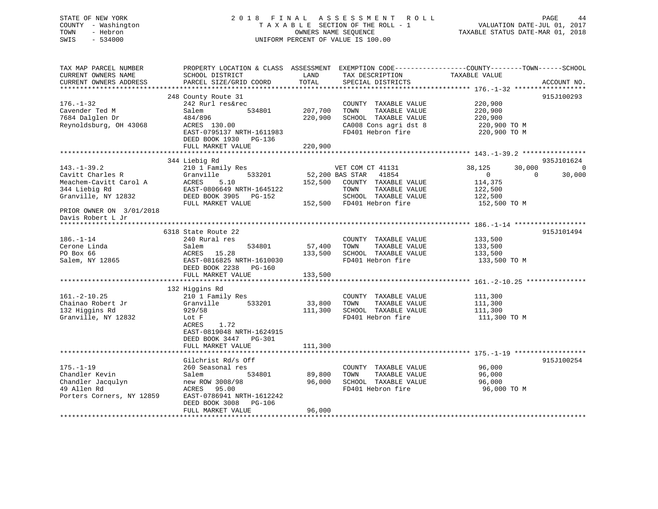## STATE OF NEW YORK 2 0 1 8 F I N A L A S S E S S M E N T R O L L PAGE 44 COUNTY - Washington T A X A B L E SECTION OF THE ROLL - 1 VALUATION DATE-JUL 01, 2017 TOWN - Hebron **CONNERS NAME SEQUENCE** TAXABLE STATUS DATE-MAR 01, 2018 SWIS - 534000 UNIFORM PERCENT OF VALUE IS 100.00

TAX MAP PARCEL NUMBER PROPERTY LOCATION & CLASS ASSESSMENT EXEMPTION CODE------------------COUNTY--------TOWN------SCHOOL

| CURRENT OWNERS NAME       | SCHOOL DISTRICT                        | LAND    | TAX DESCRIPTION              | TAXABLE VALUE    |                    |
|---------------------------|----------------------------------------|---------|------------------------------|------------------|--------------------|
| CURRENT OWNERS ADDRESS    | PARCEL SIZE/GRID COORD                 | TOTAL   | SPECIAL DISTRICTS            |                  | ACCOUNT NO.        |
|                           |                                        |         |                              |                  |                    |
|                           | 248 County Route 31                    |         |                              |                  | 915J100293         |
| $176. - 1 - 32$           | 242 Rurl res&rec                       |         | COUNTY TAXABLE VALUE         | 220,900          |                    |
| Cavender Ted M            | 534801<br>Salem                        | 207,700 | TAXABLE VALUE<br>TOWN        | 220,900          |                    |
| 7684 Dalglen Dr           | 484/896                                | 220,900 | SCHOOL TAXABLE VALUE         | 220,900          |                    |
| Reynoldsburg, OH 43068    | ACRES 130.00                           |         | CA008 Cons agri dst 8        | 220,900 TO M     |                    |
|                           | EAST-0795137 NRTH-1611983              |         | FD401 Hebron fire            | 220,900 TO M     |                    |
|                           | DEED BOOK 1930 PG-136                  |         |                              |                  |                    |
|                           | FULL MARKET VALUE                      | 220,900 |                              |                  |                    |
|                           |                                        |         |                              |                  |                    |
|                           | 344 Liebig Rd                          |         |                              |                  | 935J101624         |
| $143. - 1 - 39.2$         | 210 1 Family Res                       |         | VET COM CT 41131             | 38,125<br>30,000 | $\sqrt{ }$         |
| Cavitt Charles R          | 533201<br>Granville                    |         | 52,200 BAS STAR<br>41854     | $\Omega$         | 30,000<br>$\Omega$ |
| Meachem-Cavitt Carol A    | ACRES<br>5.10                          |         | 152,500 COUNTY TAXABLE VALUE | 114,375          |                    |
| 344 Liebig Rd             | EAST-0806649 NRTH-1645122              |         | TOWN<br>TAXABLE VALUE        | 122,500          |                    |
| Granville, NY 12832       | DEED BOOK 3905 PG-152                  |         | SCHOOL TAXABLE VALUE         | 122,500          |                    |
|                           | FULL MARKET VALUE                      |         | 152,500 FD401 Hebron fire    | 152,500 TO M     |                    |
| PRIOR OWNER ON 3/01/2018  |                                        |         |                              |                  |                    |
| Davis Robert L Jr         |                                        |         |                              |                  |                    |
|                           |                                        |         |                              |                  |                    |
|                           | 6318 State Route 22                    |         |                              |                  | 915J101494         |
| $186. - 1 - 14$           | 240 Rural res                          |         | COUNTY TAXABLE VALUE         | 133,500          |                    |
| Cerone Linda              | 534801<br>Salem                        | 57,400  | TOWN<br>TAXABLE VALUE        | 133,500          |                    |
| PO Box 66                 | 15.28<br>ACRES                         | 133,500 | SCHOOL TAXABLE VALUE         | 133,500          |                    |
| Salem, NY 12865           | EAST-0816825 NRTH-1610030              |         | FD401 Hebron fire            | 133,500 TO M     |                    |
|                           | DEED BOOK 2238<br>PG-160               |         |                              |                  |                    |
|                           | FULL MARKET VALUE                      | 133,500 |                              |                  |                    |
|                           |                                        |         |                              |                  |                    |
|                           | 132 Higgins Rd                         |         |                              |                  |                    |
| $161. - 2 - 10.25$        | 210 1 Family Res                       |         | COUNTY TAXABLE VALUE         | 111,300          |                    |
| Chainao Robert Jr         | 533201<br>Granville                    | 33,800  | TOWN<br>TAXABLE VALUE        | 111,300          |                    |
| 132 Higgins Rd            | 929/58                                 | 111,300 | SCHOOL TAXABLE VALUE         | 111,300          |                    |
| Granville, NY 12832       | Lot F                                  |         | FD401 Hebron fire            | 111,300 TO M     |                    |
|                           | 1.72<br>ACRES                          |         |                              |                  |                    |
|                           | EAST-0819048 NRTH-1624915              |         |                              |                  |                    |
|                           | DEED BOOK 3447 PG-301                  |         |                              |                  |                    |
|                           | FULL MARKET VALUE                      | 111,300 |                              |                  |                    |
|                           |                                        |         |                              |                  |                    |
|                           | Gilchrist Rd/s Off                     |         |                              |                  | 915J100254         |
| $175. - 1 - 19$           | 260 Seasonal res                       |         | COUNTY TAXABLE VALUE         | 96,000           |                    |
| Chandler Kevin            | 534801<br>Salem                        | 89,800  | TOWN<br>TAXABLE VALUE        | 96,000           |                    |
| Chandler Jacqulyn         | new ROW 3008/98                        | 96,000  | SCHOOL TAXABLE VALUE         | 96,000           |                    |
| 49 Allen Rd               | ACRES<br>95.00                         |         | FD401 Hebron fire            | 96,000 TO M      |                    |
| Porters Corners, NY 12859 | EAST-0786941 NRTH-1612242              |         |                              |                  |                    |
|                           | DEED BOOK 3008 PG-106                  |         |                              |                  |                    |
|                           | FULL MARKET VALUE                      | 96,000  |                              |                  |                    |
|                           | ************************************** |         |                              |                  |                    |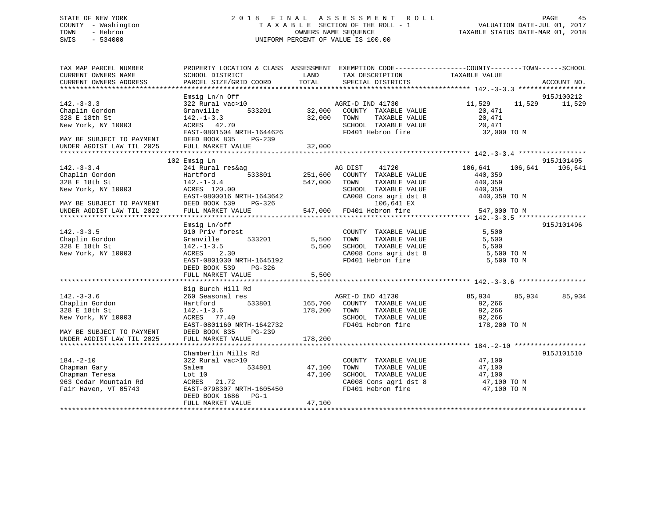## STATE OF NEW YORK 2 0 1 8 F I N A L A S S E S S M E N T R O L L PAGE 45 COUNTY - Washington T A X A B L E SECTION OF THE ROLL - 1 VALUATION DATE-JUL 01, 2017 TOWN - Hebron OWNERS NAME SEQUENCE TAXABLE STATUS DATE-MAR 01, 2018 SWIS - 534000 UNIFORM PERCENT OF VALUE IS 100.00

| TAX MAP PARCEL NUMBER<br>CURRENT OWNERS NAME<br>CURRENT OWNERS ADDRESS                                 | SCHOOL DISTRICT<br>PARCEL SIZE/GRID COORD                                                                                                                               | LAND<br>TOTAL           | PROPERTY LOCATION & CLASS ASSESSMENT EXEMPTION CODE----------------COUNTY-------TOWN------SCHOOL<br>TAX DESCRIPTION<br>SPECIAL DISTRICTS       | TAXABLE VALUE                                                     | ACCOUNT NO. |
|--------------------------------------------------------------------------------------------------------|-------------------------------------------------------------------------------------------------------------------------------------------------------------------------|-------------------------|------------------------------------------------------------------------------------------------------------------------------------------------|-------------------------------------------------------------------|-------------|
|                                                                                                        |                                                                                                                                                                         |                         |                                                                                                                                                |                                                                   |             |
| $142. - 3 - 3.3$<br>Chaplin Gordon<br>328 E 18th St<br>New York, NY 10003<br>MAY BE SUBJECT TO PAYMENT | Emsig Ln/n Off<br>$322$ Rural vac > 10<br>Granville<br>$142. - 1 - 3.3$<br>ACRES 42.70<br>EAST-0801504 NRTH-1644626<br>DEED BOOK 835<br>PG-239                          |                         | AGRI-D IND 41730<br>533201 32,000 COUNTY TAXABLE VALUE<br>32,000 TOWN<br>TAXABLE VALUE<br>SCHOOL TAXABLE VALUE<br>FD401 Hebron fire            | 11,529 11,529 11,529<br>20,471<br>20,471<br>20,471<br>32,000 TO M | 915J100212  |
| UNDER AGDIST LAW TIL 2025                                                                              | FULL MARKET VALUE                                                                                                                                                       | 32,000                  |                                                                                                                                                |                                                                   |             |
|                                                                                                        | 102 Emsig Ln                                                                                                                                                            |                         |                                                                                                                                                |                                                                   | 915J101495  |
| $142 - 3 - 3.4$<br>Chaplin Gordon<br>328 F 18th St<br>New York, NY 10003                               | 241 Rural res&ag<br>Hartford 533801<br>142.-1-3.4<br>ACRES 120.00<br>EAST-0800016 NRTH-1643642                                                                          | 547,000 TOWN            | AG DIST 41720<br>251,600 COUNTY TAXABLE VALUE<br>TAXABLE VALUE<br>SCHOOL TAXABLE VALUE 440,359<br>CA008 Cons agri dst 8 440,359                | 106,641 106,641 106,641<br>440,359<br>440,359<br>440,359 TO M     |             |
| MAY BE SUBJECT TO PAYMENT<br>UNDER AGDIST LAW TIL 2022                                                 | DEED BOOK 539<br>FULL MARKET VALUE                                                                                                                                      |                         | $106, 641$ EX<br>ebron fire<br>$PG-326$ $106,641$ EX<br>LUE $547,000$ FD401 Hebron fire                                                        | 547,000 TO M                                                      |             |
|                                                                                                        |                                                                                                                                                                         |                         |                                                                                                                                                |                                                                   |             |
| $142. - 3 - 3.5$<br>Chaplin Gordon<br>328 E 18th St<br>New York, NY 10003                              | Emsig Ln/off<br>910 Priv forest<br>Granville 533201<br>$ACRES$ 2.30<br>EAST-0801030 NRTH-1645192<br>DEED BOOK 539 PG-326                                                |                         | COUNTY TAXABLE VALUE 5,500<br>5,500 TOWN TAXABLE VALUE 5,500<br>5,500 SCHOOL TAXABLE VALUE 5,500<br>CA008 Cons agri dst 8<br>FD401 Hebron fire | 5,500 TO M<br>5,500 TO M                                          | 915J101496  |
|                                                                                                        | FULL MARKET VALUE                                                                                                                                                       | 5,500                   |                                                                                                                                                |                                                                   |             |
| $142 - 3 - 3.6$<br>Chaplin Gordon<br>328 E 18th St<br>New York, NY 10003<br>MAY BE SUBJECT TO PAYMENT  | Big Burch Hill Rd<br>260 Seasonal res<br>Hartford 533801 165,700 COUNTY TAXABLE VALUE<br>142.-1-3.6<br>ACRES 77.40<br>EAST-0801160 NRTH-1642732<br>DEED BOOK 835 PG-239 | 178,200 TOWN            | AGRI-D IND 41730<br>TOWN       TAXABLE  VALUE<br>SCHOOL    TAXABLE  VALUE<br>FD401 Hebron fire                                                 | 85,934 85,934<br>92,266<br>92,266<br>92,266<br>178,200 TO M       | 85,934      |
| UNDER AGDIST LAW TIL 2025                                                                              | FULL MARKET VALUE                                                                                                                                                       | 178,200                 |                                                                                                                                                |                                                                   |             |
| $184. - 2 - 10$<br>Chapman Gary<br>Chapman Teresa<br>Chapman Teresa                                    | Chamberlin Mills Rd<br>322 Rural vac>10<br>Salem<br>Lot 10                                                                                                              | 534801 47,100<br>47,100 | COUNTY TAXABLE VALUE<br>TOWN<br>SCHOOL TAXABLE VALUE                                                                                           | 47,100<br>TAXABLE VALUE 47,100<br>47,100                          | 915J101510  |
| 963 Cedar Mountain Rd<br>Fair Haven, VT 05743                                                          | ACRES 21.72<br>EAST-0798307 NRTH-1605450<br>DEED BOOK 1686 PG-1<br>FULL MARKET VALUE                                                                                    | 47,100                  | $\frac{1}{20008}$ CA008 Cons agri dst 8 47,100 TO M<br>FD401 Hebron fire                                                                       | 47,100 TO M                                                       |             |
|                                                                                                        |                                                                                                                                                                         |                         |                                                                                                                                                |                                                                   |             |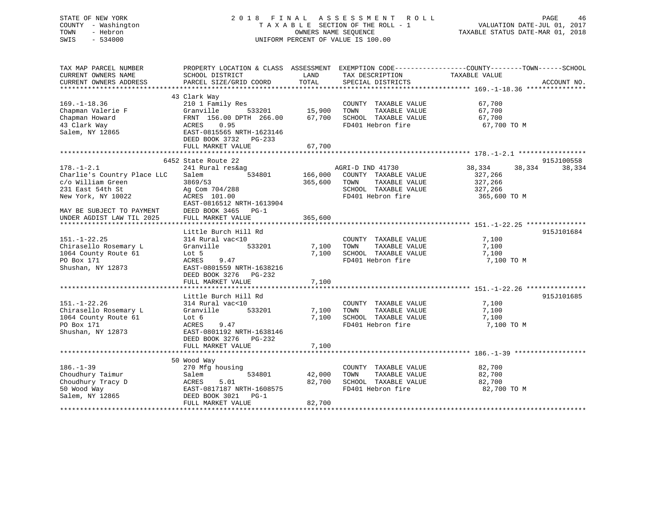| STATE OF NEW YORK<br>COUNTY - Washington<br>TOWN<br>- Hebron<br>SWIS<br>$-534000$                                                                                        |                                                                                                                                                                                  |                                   | 2018 FINAL ASSESSMENT ROLL<br>TAXABLE SECTION OF THE ROLL - 1<br>OWNERS NAME SEQUENCE<br>UNIFORM PERCENT OF VALUE IS 100.00                            |                                                         | PAGE<br>46<br>VALUATION DATE-JUL 01, 2017<br>TAXABLE STATUS DATE-MAR 01, 2018 |
|--------------------------------------------------------------------------------------------------------------------------------------------------------------------------|----------------------------------------------------------------------------------------------------------------------------------------------------------------------------------|-----------------------------------|--------------------------------------------------------------------------------------------------------------------------------------------------------|---------------------------------------------------------|-------------------------------------------------------------------------------|
| TAX MAP PARCEL NUMBER<br>CURRENT OWNERS NAME<br>CURRENT OWNERS ADDRESS                                                                                                   | SCHOOL DISTRICT<br>PARCEL SIZE/GRID COORD                                                                                                                                        | LAND<br>TOTAL                     | PROPERTY LOCATION & CLASS ASSESSMENT EXEMPTION CODE----------------COUNTY-------TOWN------SCHOOL<br>TAX DESCRIPTION TAXABLE VALUE<br>SPECIAL DISTRICTS |                                                         | ACCOUNT NO.                                                                   |
| $169. - 1 - 18.36$<br>Chapman Valerie F<br>Chapman Howard<br>43 Clark Way<br>Salem, NY 12865                                                                             | 43 Clark Way<br>210 1 Family Res<br>Granville<br>FRNT 156.00 DPTH 266.00<br>ACRES 0.95<br>EAST-0815565 NRTH-1623146<br>DEED BOOK 3732 PG-233<br>FULL MARKET VALUE                | 533201 15,900<br>67,700<br>67,700 | COUNTY TAXABLE VALUE<br>TOWN<br>TAXABLE VALUE<br>SCHOOL TAXABLE VALUE<br>FD401 Hebron fire                                                             | 67,700<br>67,700<br>67,700<br>67,700 TO M               |                                                                               |
|                                                                                                                                                                          |                                                                                                                                                                                  |                                   |                                                                                                                                                        |                                                         |                                                                               |
| $178. - 1 - 2.1$<br>Charlie's Country Place LLC<br>c/o William Green<br>231 East 54th St<br>New York, NY 10022<br>MAY BE SUBJECT TO PAYMENT<br>UNDER AGDIST LAW TIL 2025 | 6452 State Route 22<br>241 Rural res&ag<br>534801<br>Salem<br>3869/53<br>Ag Com 704/288<br>ACRES 101.00<br>EAST-0816512 NRTH-1613904<br>DEED BOOK 3465 PG-1<br>FULL MARKET VALUE | 166,000<br>365,600<br>365,600     | AGRI-D IND 41730<br>COUNTY TAXABLE VALUE<br>TOWN<br>TAXABLE VALUE<br>SCHOOL TAXABLE VALUE<br>FD401 Hebron fire                                         | 38,334<br>327,266<br>327,266<br>327,266<br>365,600 TO M | 915J100558<br>38,334<br>38,334                                                |
| $151. - 1 - 22.25$<br>Chirasello Rosemary L<br>1064 County Route 61<br>PO Box 171<br>Shushan, NY 12873                                                                   | Little Burch Hill Rd<br>314 Rural vac<10<br>Granville 533201<br>Lot 5<br>9.47<br>ACRES<br>EAST-0801559 NRTH-1638216<br>DEED BOOK 3276 PG-232<br>FULL MARKET VALUE                | 7,100<br>7,100<br>7,100           | COUNTY TAXABLE VALUE<br>TOWN<br>TAXABLE VALUE<br>SCHOOL TAXABLE VALUE<br>FD401 Hebron fire                                                             | 7,100<br>7,100<br>7,100<br>7,100 TO M                   | 915J101684                                                                    |
| $151. - 1 - 22.26$<br>Chirasello Rosemary L<br>1064 County Route 61<br>PO Box 171<br>Shushan, NY 12873                                                                   | Little Burch Hill Rd<br>314 Rural vac<10<br>Granville 533201<br>Lot 6<br>ACRES<br>9.47<br>EAST-0801192 NRTH-1638146<br>DEED BOOK 3276 PG-232<br>FULL MARKET VALUE                | 7,100<br>7,100                    | COUNTY TAXABLE VALUE<br>TOWN<br>TAXABLE VALUE<br>7,100 SCHOOL TAXABLE VALUE<br>FD401 Hebron fire                                                       | 7,100<br>7,100<br>7,100<br>7,100 TO M                   | 915J101685                                                                    |
| $186. - 1 - 39$<br>Choudhury Taimur<br>Choudhury Tracy D<br>50 Wood Way<br>Salem, NY 12865                                                                               | 50 Wood Way<br>270 Mfg housing<br>534801<br>Salem<br>ACRES<br>5.01<br>EAST-0817187 NRTH-1608575<br>DEED BOOK 3021 PG-1<br>FULL MARKET VALUE                                      | 42,000<br>82,700<br>82,700        | COUNTY TAXABLE VALUE<br>TOWN<br>TAXABLE VALUE<br>SCHOOL TAXABLE VALUE<br>FD401 Hebron fire                                                             | 82,700<br>82,700<br>82,700<br>82,700 TO M               |                                                                               |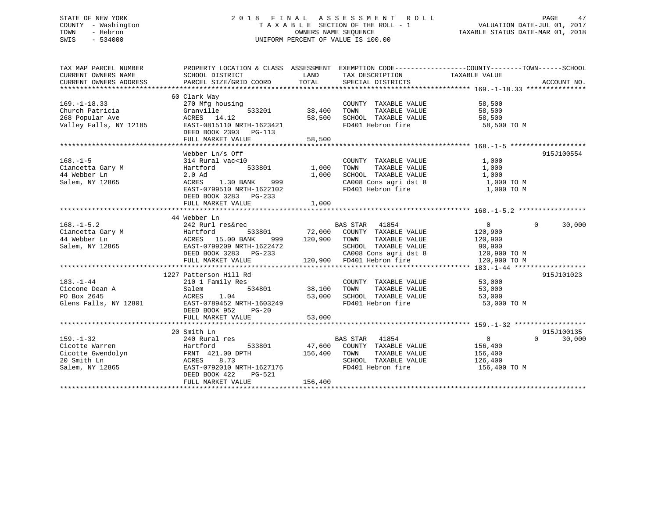## STATE OF NEW YORK 2 0 1 8 F I N A L A S S E S S M E N T R O L L PAGE 47 COUNTY - Washington T A X A B L E SECTION OF THE ROLL - 1 VALUATION DATE-JUL 01, 2017 TOWN - Hebron OWNERS NAME SEQUENCE TAXABLE STATUS DATE-MAR 01, 2018 SWIS - 534000 UNIFORM PERCENT OF VALUE IS 100.00

| TAX MAP PARCEL NUMBER               | PROPERTY LOCATION & CLASS ASSESSMENT EXEMPTION CODE---------------COUNTY-------TOWN------SCHOOL |               |                                                   |                |                    |
|-------------------------------------|-------------------------------------------------------------------------------------------------|---------------|---------------------------------------------------|----------------|--------------------|
| CURRENT OWNERS NAME                 | SCHOOL DISTRICT                                                                                 | LAND          | TAX DESCRIPTION                                   | TAXABLE VALUE  |                    |
| CURRENT OWNERS ADDRESS              | PARCEL SIZE/GRID COORD                                                                          | TOTAL         | SPECIAL DISTRICTS                                 |                | ACCOUNT NO.        |
|                                     |                                                                                                 |               |                                                   |                |                    |
|                                     | 60 Clark Way                                                                                    |               |                                                   |                |                    |
| $169. - 1 - 18.33$                  | 270 Mfg housing                                                                                 |               | COUNTY TAXABLE VALUE                              | 58,500         |                    |
| Church Patricia                     | 533201<br>Granville                                                                             | 38,400        | TAXABLE VALUE<br>TOWN                             | 58,500         |                    |
| 268 Popular Ave                     | ACRES 14.12                                                                                     | 58,500        | SCHOOL TAXABLE VALUE                              | 58,500         |                    |
| 12185<br>Valley Falls, NY 12185     | EAST-0815110 NRTH-1623421                                                                       |               | FD401 Hebron fire                                 | 58,500 TO M    |                    |
|                                     | DEED BOOK 2393 PG-113                                                                           |               |                                                   |                |                    |
|                                     | FULL MARKET VALUE                                                                               | 58,500        |                                                   |                |                    |
|                                     |                                                                                                 |               |                                                   |                |                    |
|                                     | Webber Ln/s Off                                                                                 |               |                                                   |                | 915J100554         |
| $168. - 1 - 5$                      | 314 Rural vac<10                                                                                |               | COUNTY TAXABLE VALUE                              | 1,000          |                    |
|                                     | Hartford<br>Hartford<br>533801                                                                  | 1,000         | TAXABLE VALUE<br>TOWN                             | 1,000          |                    |
| Ciancetta Gary M<br>44 Webber Ln    | 2.0 Ad                                                                                          | 1,000         | SCHOOL TAXABLE VALUE                              | 1,000          |                    |
| Salem, NY 12865                     | 1.30 BANK 999<br>ACRES                                                                          |               | CA008 Cons agri dst 8                             | 1,000 TO M     |                    |
|                                     | EAST-0799510 NRTH-1622102                                                                       |               | FD401 Hebron fire                                 | 1,000 TO M     |                    |
|                                     | DEED BOOK 3283 PG-233                                                                           |               |                                                   |                |                    |
|                                     | FULL MARKET VALUE                                                                               | 1,000         |                                                   |                |                    |
|                                     |                                                                                                 |               |                                                   |                |                    |
|                                     | 44 Webber Ln                                                                                    |               |                                                   |                |                    |
|                                     | 242 Rurl res&rec                                                                                |               | BAS STAR 41854                                    | $\overline{0}$ | $\Omega$<br>30,000 |
| $168. - 1 - 5.2$                    |                                                                                                 |               |                                                   |                |                    |
|                                     |                                                                                                 |               |                                                   |                |                    |
|                                     |                                                                                                 |               |                                                   |                |                    |
|                                     |                                                                                                 |               |                                                   |                |                    |
|                                     |                                                                                                 |               |                                                   |                |                    |
|                                     |                                                                                                 |               |                                                   |                |                    |
|                                     |                                                                                                 |               |                                                   |                |                    |
|                                     | 1227 Patterson Hill Rd                                                                          |               |                                                   |                | 915J101023         |
| $183. - 1 - 44$                     | 210 1 Family Res                                                                                |               | COUNTY TAXABLE VALUE                              | 53,000         |                    |
| Ciccone Dean A                      | Salem                                                                                           | 534801 38,100 | TAXABLE VALUE 53,000<br>TOWN                      |                |                    |
| PO Box 2645                         | ACRES<br>1.04                                                                                   | 53,000        | SCHOOL TAXABLE VALUE                              | 53,000         |                    |
|                                     | Glens Falls, NY 12801 EAST-0789452 NRTH-1603249                                                 |               | FD401 Hebron fire                                 | 53,000 TO M    |                    |
|                                     | DEED BOOK 952<br>$PG-20$                                                                        |               |                                                   |                |                    |
|                                     | FULL MARKET VALUE                                                                               | 53,000        |                                                   |                |                    |
|                                     |                                                                                                 |               |                                                   |                |                    |
|                                     | 20 Smith Ln                                                                                     |               |                                                   |                | 915J100135         |
| $159. - 1 - 32$                     | 240 Rural res                                                                                   |               | BAS STAR 41854                                    | $\overline{0}$ | 30,000<br>$\Omega$ |
| Cicotte Warren                      | Hartford                                                                                        |               | 533801 47,600 COUNTY TAXABLE VALUE 156,400        |                |                    |
| Cicotte warren<br>Cicotte Gwendolyn |                                                                                                 | 156,400 TOWN  |                                                   | 156,400        |                    |
| 20 Smith Ln                         | FRNT    421.00  DPTH<br>ACRES        8.73<br>ACRES 8.73                                         |               | TOWN      TAXABLE VALUE<br>SCHOOL   TAXABLE VALUE | 126,400        |                    |
| Salem, NY 12865                     | EAST-0792010 NRTH-1627176                                                                       |               | FD401 Hebron fire                                 | 156,400 TO M   |                    |
|                                     | DEED BOOK 422<br>PG-521                                                                         |               |                                                   |                |                    |
|                                     | FULL MARKET VALUE                                                                               | 156,400       |                                                   |                |                    |
|                                     |                                                                                                 |               |                                                   |                |                    |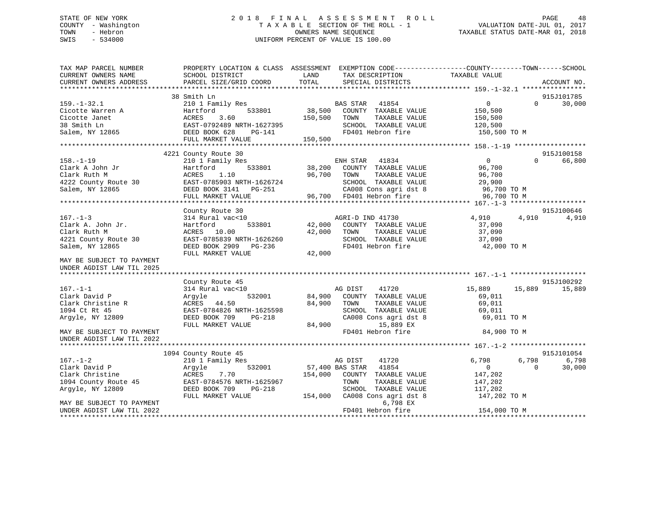## STATE OF NEW YORK 2 0 1 8 F I N A L A S S E S S M E N T R O L L PAGE 48 COUNTY - Washington T A X A B L E SECTION OF THE ROLL - 1 VALUATION DATE-JUL 01, 2017 TOWN - Hebron OWNERS NAME SEQUENCE TAXABLE STATUS DATE-MAR 01, 2018 SWIS - 534000 UNIFORM PERCENT OF VALUE IS 100.00

| TAX MAP PARCEL NUMBER<br>CURRENT OWNERS NAME           | PROPERTY LOCATION & CLASS ASSESSMENT<br>SCHOOL DISTRICT | LAND<br>TAX DESCRIPTION          | EXEMPTION CODE-----------------COUNTY-------TOWN------SCHOOL<br>TAXABLE VALUE |                    |
|--------------------------------------------------------|---------------------------------------------------------|----------------------------------|-------------------------------------------------------------------------------|--------------------|
| CURRENT OWNERS ADDRESS<br>***************************  | PARCEL SIZE/GRID COORD                                  | TOTAL<br>SPECIAL DISTRICTS       |                                                                               | ACCOUNT NO.        |
|                                                        | 38 Smith Ln                                             |                                  |                                                                               | 915J101785         |
| $159. - 1 - 32.1$                                      | 210 1 Family Res                                        | <b>BAS STAR</b><br>41854         | $\overline{0}$                                                                | $\Omega$<br>30,000 |
| Cicotte Warren A                                       | 533801<br>Hartford                                      | 38,500<br>COUNTY TAXABLE VALUE   | 150,500                                                                       |                    |
| Cicotte Janet                                          | 3.60<br>ACRES                                           | 150,500<br>TOWN                  | TAXABLE VALUE<br>150,500                                                      |                    |
| 38 Smith Ln                                            | EAST-0792489 NRTH-1627395                               | SCHOOL TAXABLE VALUE             | 120,500                                                                       |                    |
| Salem, NY 12865                                        | DEED BOOK 628<br>PG-141                                 | FD401 Hebron fire                | 150,500 TO M                                                                  |                    |
|                                                        | FULL MARKET VALUE                                       | 150,500                          |                                                                               |                    |
|                                                        |                                                         |                                  |                                                                               |                    |
|                                                        | 4221 County Route 30                                    |                                  |                                                                               | 915J100158         |
| $158. - 1 - 19$                                        | 210 1 Family Res                                        | ENH STAR<br>41834                | $\overline{0}$                                                                | 66,800<br>$\Omega$ |
| Clark A John Jr                                        | Hartford<br>533801                                      | 38,200<br>COUNTY TAXABLE VALUE   | 96,700                                                                        |                    |
| Clark Ruth M                                           | 1.10<br>ACRES                                           | 96,700<br>TOWN                   | TAXABLE VALUE<br>96,700                                                       |                    |
| 4222 County Route 30                                   | EAST-0785903 NRTH-1626724                               | SCHOOL TAXABLE VALUE             | 29,900                                                                        |                    |
| Salem, NY 12865                                        | DEED BOOK 3141 PG-251                                   | CA008 Cons agri dst 8            | 96,700 TO M                                                                   |                    |
|                                                        | FULL MARKET VALUE                                       | 96,700 FD401 Hebron fire         | 96,700 TO M                                                                   |                    |
|                                                        |                                                         |                                  |                                                                               |                    |
|                                                        | County Route 30                                         |                                  |                                                                               | 915J100646         |
| $167. - 1 - 3$                                         | 314 Rural vac<10                                        | AGRI-D IND 41730                 | 4,910                                                                         | 4,910<br>4,910     |
| Clark A. John Jr.                                      | 533801<br>Hartford                                      | 42,000<br>COUNTY TAXABLE VALUE   | 37,090                                                                        |                    |
| Clark Ruth M                                           | ACRES<br>10.00                                          | 42,000<br>TOWN                   | TAXABLE VALUE<br>37,090                                                       |                    |
| 4221 County Route 30                                   | EAST-0785839 NRTH-1626260                               | SCHOOL TAXABLE VALUE             | 37,090                                                                        |                    |
| Salem, NY 12865                                        | DEED BOOK 2909 PG-236                                   | FD401 Hebron fire                | 42,000 TO M                                                                   |                    |
|                                                        | FULL MARKET VALUE                                       | 42,000                           |                                                                               |                    |
| MAY BE SUBJECT TO PAYMENT<br>UNDER AGDIST LAW TIL 2025 |                                                         |                                  |                                                                               |                    |
|                                                        |                                                         |                                  |                                                                               |                    |
|                                                        | County Route 45                                         |                                  |                                                                               | 915J100292         |
| $167. - 1 - 1$                                         | 314 Rural vac<10                                        | AG DIST<br>41720                 | 15,889                                                                        | 15,889<br>15,889   |
| Clark David P                                          | 532001<br>Argyle                                        | 84,900<br>COUNTY TAXABLE VALUE   | 69,011                                                                        |                    |
| Clark Christine R                                      | ACRES 44.50                                             | 84,900<br>TOWN                   | 69,011<br>TAXABLE VALUE                                                       |                    |
| 1094 Ct Rt 45                                          | EAST-0784826 NRTH-1625598                               | SCHOOL TAXABLE VALUE             | 69,011                                                                        |                    |
| Arqyle, NY 12809                                       | DEED BOOK 709<br>PG-218                                 | CA008 Cons agri dst 8            | 69,011 TO M                                                                   |                    |
|                                                        | FULL MARKET VALUE                                       | 84,900<br>15,889 EX              |                                                                               |                    |
| MAY BE SUBJECT TO PAYMENT                              |                                                         | FD401 Hebron fire                | 84,900 TO M                                                                   |                    |
| UNDER AGDIST LAW TIL 2022                              |                                                         |                                  |                                                                               |                    |
|                                                        |                                                         |                                  |                                                                               |                    |
|                                                        | 1094 County Route 45                                    |                                  |                                                                               | 915J101054         |
| $167. - 1 - 2$                                         | 210 1 Family Res                                        | AG DIST<br>41720                 | 6,798                                                                         | 6,798<br>6,798     |
| Clark David P                                          | 532001<br>Argyle                                        | 57,400 BAS STAR<br>41854         | $\overline{0}$                                                                | $\Omega$<br>30,000 |
| Clark Christine                                        | ACRES<br>7.70                                           | 154,000<br>COUNTY TAXABLE VALUE  | 147,202                                                                       |                    |
| 1094 County Route 45                                   | EAST-0784576 NRTH-1625967                               | TOWN                             | TAXABLE VALUE<br>147,202                                                      |                    |
| Argyle, NY 12809                                       | DEED BOOK 709<br>PG-218                                 | SCHOOL TAXABLE VALUE             | 117,202                                                                       |                    |
|                                                        | FULL MARKET VALUE                                       | 154,000<br>CA008 Cons agri dst 8 | 147,202 TO M                                                                  |                    |
| MAY BE SUBJECT TO PAYMENT                              |                                                         |                                  | 6,798 EX                                                                      |                    |
| UNDER AGDIST LAW TIL 2022                              |                                                         | FD401 Hebron fire                | 154,000 TO M                                                                  |                    |
| *********************                                  |                                                         |                                  |                                                                               |                    |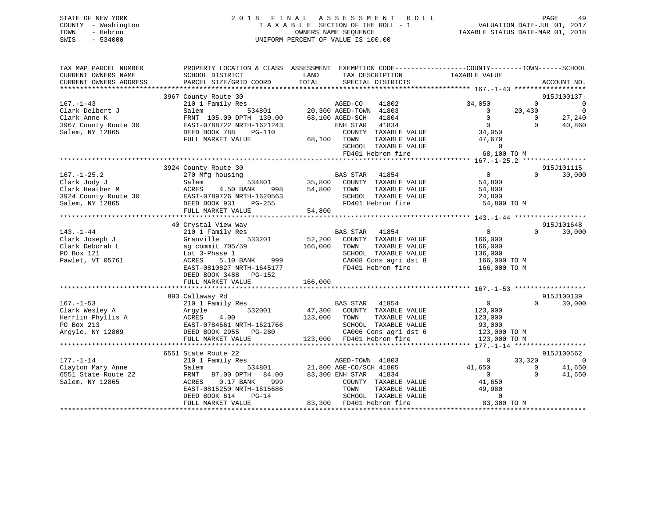## STATE OF NEW YORK 2 0 1 8 F I N A L A S S E S S M E N T R O L L PAGE 49 COUNTY - Washington T A X A B L E SECTION OF THE ROLL - 1 VALUATION DATE-JUL 01, 2017 TOWN - Hebron OWNERS NAME SEQUENCE TAXABLE STATUS DATE-MAR 01, 2018 SWIS - 534000 UNIFORM PERCENT OF VALUE IS 100.00

| TAX MAP PARCEL NUMBER  | PROPERTY LOCATION & CLASS ASSESSMENT EXEMPTION CODE----------------COUNTY-------TOWN------SCHOOL |          |                                |                        |                |                          |
|------------------------|--------------------------------------------------------------------------------------------------|----------|--------------------------------|------------------------|----------------|--------------------------|
| CURRENT OWNERS NAME    | SCHOOL DISTRICT                                                                                  | LAND     | TAX DESCRIPTION                | TAXABLE VALUE          |                |                          |
| CURRENT OWNERS ADDRESS | PARCEL SIZE/GRID COORD                                                                           | TOTAL    | SPECIAL DISTRICTS              |                        |                | ACCOUNT NO.              |
|                        |                                                                                                  |          |                                |                        |                |                          |
|                        | 3967 County Route 30                                                                             |          |                                |                        |                | 915J100137               |
| $167. - 1 - 43$        | 210 1 Family Res                                                                                 |          | AGED-CO<br>41802               | 34,050                 | $\overline{0}$ | $\overline{0}$           |
| Clark Delbert J        | Salem                                                                                            |          | 534801 20,300 AGED-TOWN 41803  | $\overline{0}$         | 20,430         | $\overline{\phantom{0}}$ |
| Clark Anne K           | FRNT 105.00 DPTH 130.00                                                                          |          | 68,100 AGED-SCH<br>41804       | $\overline{0}$         | $\bigcirc$     | 27,240                   |
| 3967 County Route 30   | EAST-0788722 NRTH-1621243                                                                        |          | ENH STAR<br>41834              | $\overline{0}$         | $\Omega$       | 40,860                   |
| Salem, NY 12865        | DEED BOOK 788<br>PG-110                                                                          |          | COUNTY TAXABLE VALUE           | 34,050                 |                |                          |
|                        | FULL MARKET VALUE                                                                                |          | 68,100 TOWN<br>TAXABLE VALUE   | 47,670                 |                |                          |
|                        |                                                                                                  |          | SCHOOL TAXABLE VALUE           | $\Omega$               |                |                          |
|                        |                                                                                                  |          | FD401 Hebron fire              | 68,100 TO M            |                |                          |
|                        |                                                                                                  |          |                                |                        |                |                          |
|                        | 3924 County Route 30                                                                             |          |                                |                        |                | 915J101115               |
| $167. - 1 - 25.2$      | 270 Mfg housing                                                                                  |          | BAS STAR<br>41854              | 0                      | $\Omega$       | 30,000                   |
| Clark Jody J           | 534801<br>Salem                                                                                  | 35,800   | COUNTY TAXABLE VALUE           | 54,800                 |                |                          |
| Clark Heather M        | ACRES<br>4.50 BANK<br>998                                                                        | 54,800   | TOWN<br>TAXABLE VALUE          | 54,800                 |                |                          |
| 3924 County Route 30   | EAST-0789726 NRTH-1620563                                                                        |          | SCHOOL TAXABLE VALUE           | 24,800                 |                |                          |
| Salem, NY 12865        | DEED BOOK 931<br>$PG-255$                                                                        |          | FD401 Hebron fire              | 54,800 TO M            |                |                          |
|                        | FULL MARKET VALUE                                                                                | 54,800   |                                |                        |                |                          |
|                        |                                                                                                  |          |                                |                        |                |                          |
|                        | 40 Crystal View Way                                                                              |          |                                |                        |                | 915J101648               |
| $143. - 1 - 44$        | 210 1 Family Res                                                                                 | $52,200$ | BAS STAR<br>41854              | $\overline{0}$         | $\Omega$       | 30,000                   |
| Clark Joseph J         | 533201<br>Granville                                                                              |          | COUNTY TAXABLE VALUE           | 166,000                |                |                          |
| Clark Deborah L        | ag commit 705/59                                                                                 | 166,000  | TAXABLE VALUE<br>TOWN          | 166,000                |                |                          |
| PO Box 121             | Lot 3-Phase 1                                                                                    |          | SCHOOL TAXABLE VALUE           | 136,000                |                |                          |
| Pawlet, VT 05761       | 5.10 BANK<br>ACRES<br>999                                                                        |          | CA008 Cons agri dst 8          | 166,000 TO M           |                |                          |
|                        | EAST-0810827 NRTH-1645177                                                                        |          | FD401 Hebron fire              | 166,000 TO M           |                |                          |
|                        | DEED BOOK 3488 PG-152                                                                            |          |                                |                        |                |                          |
|                        | FULL MARKET VALUE                                                                                | 166,000  |                                |                        |                |                          |
|                        |                                                                                                  |          |                                |                        |                |                          |
|                        | 893 Callaway Rd                                                                                  |          |                                |                        |                | 915J100139               |
| $167. - 1 - 53$        | 210 1 Family Res                                                                                 |          | BAS STAR<br>41854              | $\overline{0}$         | $\Omega$       | 30,000                   |
| Clark Wesley A         | 532001<br>Argyle                                                                                 |          | 47,300 COUNTY TAXABLE VALUE    | 123,000                |                |                          |
| Herrlin Phyllis A      | ACRES<br>4.00                                                                                    | 123,000  | TOWN<br>TAXABLE VALUE          | 123,000                |                |                          |
| PO Box 213             | EAST-0784661 NRTH-1621766                                                                        |          | SCHOOL TAXABLE VALUE           |                        |                |                          |
| Argyle, NY 12809       | DEED BOOK 2955 PG-280                                                                            |          | CA006 Cons agri dst 6          | 93,000<br>123,000 TO M |                |                          |
|                        | FULL MARKET VALUE                                                                                |          | 123,000 FD401 Hebron fire      | 123,000 TO M           |                |                          |
|                        |                                                                                                  |          |                                |                        |                |                          |
|                        | 6551 State Route 22                                                                              |          |                                |                        |                | 915J100562               |
| $177. - 1 - 14$        | 210 1 Family Res                                                                                 |          | AGED-TOWN 41803                | $\mathbf{0}$           | 33,320         | $\overline{0}$           |
| Clayton Mary Anne      | Salem                                                                                            |          | 534801 21,800 AGE-CO/SCH 41805 | 41,650                 | $\Omega$       | 41,650                   |
| 6551 State Route 22    | 87.00 DPTH 84.00<br>FRNT                                                                         |          | 83,300 ENH STAR 41834          | $\overline{0}$         | $\Omega$       | 41,650                   |
| Salem, NY 12865        | 999<br>ACRES<br>$0.17$ BANK                                                                      |          | COUNTY TAXABLE VALUE           | 41,650                 |                |                          |
|                        | EAST-0815250 NRTH-1615686                                                                        |          | TOWN<br>TAXABLE VALUE          | 49,980                 |                |                          |
|                        | $PG-14$<br>DEED BOOK 614                                                                         |          | SCHOOL TAXABLE VALUE           | $\Omega$               |                |                          |
|                        | FULL MARKET VALUE                                                                                |          | 83,300 FD401 Hebron fire       | 83,300 TO M            |                |                          |
|                        |                                                                                                  |          |                                |                        |                |                          |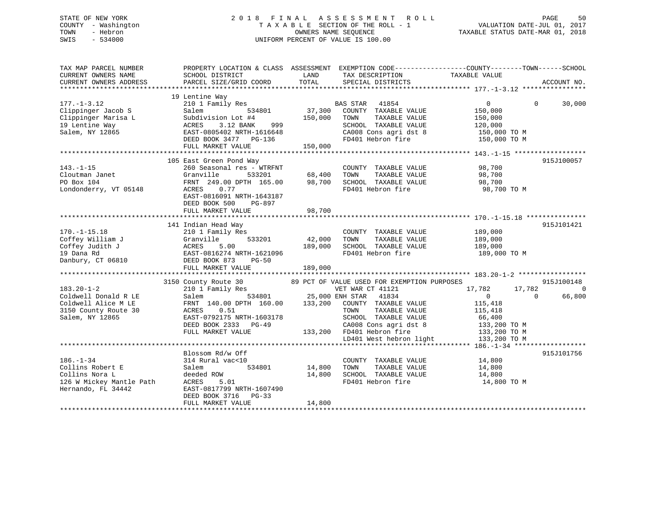## STATE OF NEW YORK 2 0 1 8 F I N A L A S S E S S M E N T R O L L PAGE 50 COUNTY - Washington T A X A B L E SECTION OF THE ROLL - 1 VALUATION DATE-JUL 01, 2017 TOWN - Hebron OWNERS NAME SEQUENCE TAXABLE STATUS DATE-MAR 01, 2018 SWIS - 534000 UNIFORM PERCENT OF VALUE IS 100.00

| TAX MAP PARCEL NUMBER<br>CURRENT OWNERS NAME<br>CURRENT OWNERS ADDRESS                                     | SCHOOL DISTRICT<br>PARCEL SIZE/GRID COORD                                                                                                                                                            | LAND<br>TOTAL                | TAX DESCRIPTION<br>SPECIAL DISTRICTS                                                                                                                                                                                                       | PROPERTY LOCATION & CLASS ASSESSMENT EXEMPTION CODE----------------COUNTY-------TOWN-----SCHOOL<br>TAXABLE VALUE               | ACCOUNT NO.                            |
|------------------------------------------------------------------------------------------------------------|------------------------------------------------------------------------------------------------------------------------------------------------------------------------------------------------------|------------------------------|--------------------------------------------------------------------------------------------------------------------------------------------------------------------------------------------------------------------------------------------|--------------------------------------------------------------------------------------------------------------------------------|----------------------------------------|
| $177. - 1 - 3.12$<br>Clippinger Jacob S<br>Clippinger Marisa L<br>19 Lentine Way<br>Salem, NY 12865        | 19 Lentine Way<br>210 1 Family Res<br>Salem<br>534801<br>Subdivision Lot #4<br>3.12 BANK<br>ACRES<br>999<br>EAST-0805402 NRTH-1616648<br>DEED BOOK 3477 PG-136<br>FULL MARKET VALUE                  | 37,300<br>150,000<br>150,000 | BAS STAR<br>41854<br>COUNTY TAXABLE VALUE<br>TAXABLE VALUE<br>TOWN<br>SCHOOL TAXABLE VALUE<br>CA008 Cons agri dst 8<br>FD401 Hebron fire                                                                                                   | $\overline{0}$<br>$\Omega$<br>150,000<br>150,000<br>120,000<br>150,000 TO M<br>150,000 TO M                                    | 30,000                                 |
| $143. - 1 - 15$<br>Cloutman Janet<br>PO Box 104<br>Londonderry, VT 05148                                   | 105 East Green Pond Way<br>260 Seasonal res - WTRFNT<br>Granville<br>533201<br>FRNT 249.00 DPTH 165.00<br>ACRES<br>0.77<br>EAST-0816091 NRTH-1643187<br>DEED BOOK 500<br>PG-897<br>FULL MARKET VALUE | 98,700                       | COUNTY TAXABLE VALUE<br>68,400 TOWN TAXABLE VALUE<br>98,700 SCHOOL TAXABLE VALUE<br>FD401 Hebron fire                                                                                                                                      | 98,700<br>98,700<br>98,700<br>98,700 TO M                                                                                      | 915J100057                             |
| $170. - 1 - 15.18$<br>Coffey William J<br>Coffey Judith J<br>19 Dana Rd<br>Danbury, CT 06810               | 141 Indian Head Way<br>210 1 Family Res<br>533201<br>Granville<br>ACRES<br>5.00<br>EAST-0816274 NRTH-1621096<br>DEED BOOK 873<br>$PG-50$<br>FULL MARKET VALUE                                        | 42,000<br>189,000<br>189,000 | COUNTY TAXABLE VALUE<br>TAXABLE VALUE<br>TOWN<br>SCHOOL TAXABLE VALUE<br>FD401 Hebron fire                                                                                                                                                 | 189,000<br>189,000<br>189,000<br>189,000 TO M                                                                                  | 915J101421                             |
| $183.20 - 1 - 2$<br>Coldwell Donald R LE<br>Coldwell Alice M LE<br>3150 County Route 30<br>Salem, NY 12865 | 3150 County Route 30<br>210 1 Family Res<br>534801<br>Salem<br>FRNT 140.00 DPTH 160.00<br>0.51<br>ACRES<br>EAST-0792175 NRTH-1603178<br>DEED BOOK 2333 PG-49<br>FULL MARKET VALUE                    | 25,000 ENH STAR              | 89 PCT OF VALUE USED FOR EXEMPTION PURPOSES<br>VET WAR CT 41121<br>41834<br>133,200 COUNTY TAXABLE VALUE<br>TOWN<br>TAXABLE VALUE<br>SCHOOL TAXABLE VALUE<br>CA008 Cons agri dst 8<br>133,200 FD401 Hebron fire<br>LD401 West hebron light | 17,782<br>17,782<br>$\overline{0}$<br>$\Omega$<br>115,418<br>115,418<br>66,400<br>133,200 TO M<br>133,200 TO M<br>133,200 TO M | 915J100148<br>$\overline{0}$<br>66,800 |
| $186. - 1 - 34$<br>Collins Robert E<br>Collins Nora L<br>126 W Mickey Mantle Path<br>Hernando, FL 34442    | Blossom Rd/w Off<br>314 Rural vac<10<br>Salem<br>534801<br>deeded ROW<br>ACRES<br>5.01<br>EAST-0817799 NRTH-1607490<br>DEED BOOK 3716 PG-33<br>FULL MARKET VALUE                                     | 14,800<br>14,800<br>14,800   | COUNTY TAXABLE VALUE<br>TOWN<br>TAXABLE VALUE<br>SCHOOL TAXABLE VALUE<br>FD401 Hebron fire                                                                                                                                                 | 14,800<br>14,800<br>14,800<br>14,800 TO M                                                                                      | 915J101756                             |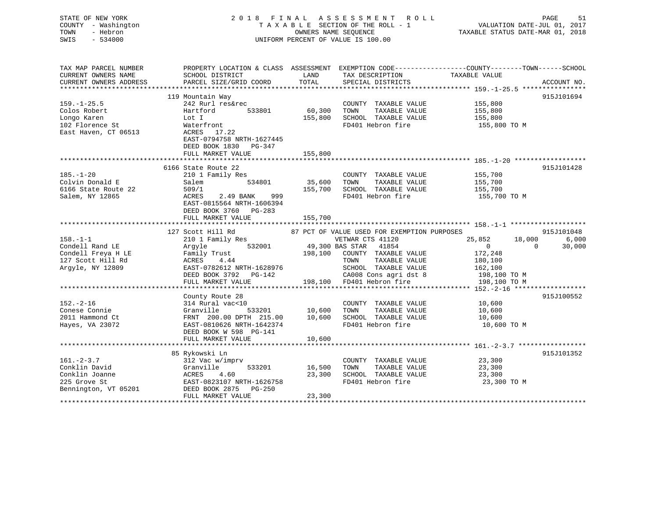| STATE OF NEW YORK<br>COUNTY - Washington<br>TOWN<br>- Hebron<br>SWIS<br>$-534000$ |                                                                         | OWNERS NAME SEOUENCE | 2018 FINAL ASSESSMENT ROLL<br>TAXABLE SECTION OF THE ROLL - 1<br>UNIFORM PERCENT OF VALUE IS 100.00 | PAGE<br>51<br>VALUATION DATE-JUL 01, 2017<br>TAXABLE STATUS DATE-MAR 01, 2018                    |
|-----------------------------------------------------------------------------------|-------------------------------------------------------------------------|----------------------|-----------------------------------------------------------------------------------------------------|--------------------------------------------------------------------------------------------------|
| TAX MAP PARCEL NUMBER                                                             |                                                                         |                      |                                                                                                     | PROPERTY LOCATION & CLASS ASSESSMENT EXEMPTION CODE----------------COUNTY-------TOWN------SCHOOL |
| CURRENT OWNERS NAME                                                               | SCHOOL DISTRICT                                                         | LAND                 | TAX DESCRIPTION                                                                                     | TAXABLE VALUE                                                                                    |
| CURRENT OWNERS ADDRESS<br>***********************                                 | PARCEL SIZE/GRID COORD                                                  | TOTAL                | SPECIAL DISTRICTS                                                                                   | ACCOUNT NO.                                                                                      |
|                                                                                   | 119 Mountain Way                                                        |                      |                                                                                                     | 915J101694                                                                                       |
| $159. - 1 - 25.5$                                                                 | 242 Rurl res&rec                                                        |                      | COUNTY TAXABLE VALUE                                                                                | 155,800                                                                                          |
| Colos Robert                                                                      | Hartford<br>533801                                                      | 60,300               | TOWN<br>TAXABLE VALUE                                                                               | 155,800                                                                                          |
| Longo Karen                                                                       | Lot I                                                                   | 155,800              | SCHOOL TAXABLE VALUE                                                                                | 155,800                                                                                          |
| 102 Florence St                                                                   | Waterfront                                                              |                      | FD401 Hebron fire                                                                                   | 155,800 TO M                                                                                     |
| East Haven, CT 06513                                                              | ACRES 17.22<br>EAST-0794758 NRTH-1627445<br>DEED BOOK 1830 PG-347       |                      |                                                                                                     |                                                                                                  |
|                                                                                   | FULL MARKET VALUE                                                       | 155,800              |                                                                                                     |                                                                                                  |
|                                                                                   |                                                                         |                      |                                                                                                     | 915J101428                                                                                       |
| $185. - 1 - 20$                                                                   | 6166 State Route 22<br>210 1 Family Res                                 |                      | COUNTY TAXABLE VALUE                                                                                | 155,700                                                                                          |
| Colvin Donald E                                                                   | 534801<br>Salem                                                         | 35,600               | TOWN<br>TAXABLE VALUE                                                                               | 155,700                                                                                          |
| 6166 State Route 22                                                               | 509/1                                                                   | 155,700              | SCHOOL TAXABLE VALUE                                                                                | 155,700                                                                                          |
| Salem, NY 12865                                                                   | ACRES<br>2.49 BANK<br>999                                               |                      | FD401 Hebron fire                                                                                   | 155,700 TO M                                                                                     |
|                                                                                   | EAST-0815564 NRTH-1606394<br>DEED BOOK 3760 PG-283<br>FULL MARKET VALUE | 155,700              |                                                                                                     |                                                                                                  |
|                                                                                   |                                                                         |                      |                                                                                                     |                                                                                                  |
|                                                                                   | 127 Scott Hill Rd                                                       |                      | 87 PCT OF VALUE USED FOR EXEMPTION PURPOSES                                                         | 915J101048                                                                                       |
| $158. - 1 - 1$                                                                    | 210 1 Family Res                                                        |                      | VETWAR CTS 41120                                                                                    | 25,852<br>18,000<br>6,000                                                                        |
| Condell Rand LE                                                                   | 532001<br>Argyle                                                        |                      | 49,300 BAS STAR 41854                                                                               | $\overline{0}$<br>30,000<br>$\Omega$                                                             |
| Condell Freya H LE                                                                | Family Trust                                                            |                      | 198,100 COUNTY TAXABLE VALUE                                                                        | 172,248                                                                                          |
| 127 Scott Hill Rd                                                                 | ACRES<br>4.44                                                           |                      | TAXABLE VALUE<br>TOWN                                                                               | 180,100                                                                                          |
| Argyle, NY 12809                                                                  | EAST-0782612 NRTH-1628976                                               |                      | SCHOOL TAXABLE VALUE                                                                                | 162,100                                                                                          |
|                                                                                   | DEED BOOK 3792 PG-142<br>FULL MARKET VALUE                              |                      | CA008 Cons agri dst 8<br>198,100 FD401 Hebron fire                                                  | 198,100 TO M<br>198,100 TO M                                                                     |
|                                                                                   |                                                                         |                      |                                                                                                     |                                                                                                  |
|                                                                                   | County Route 28                                                         |                      |                                                                                                     | 915J100552                                                                                       |
| $152. - 2 - 16$                                                                   | 314 Rural vac<10                                                        |                      | COUNTY TAXABLE VALUE                                                                                | 10,600                                                                                           |
| Conese Connie                                                                     | Granville<br>533201                                                     | 10,600               | TOWN<br>TAXABLE VALUE                                                                               | 10,600                                                                                           |
| 2011 Hammond Ct                                                                   | FRNT 200.00 DPTH 215.00                                                 | 10,600               | SCHOOL TAXABLE VALUE                                                                                | 10,600                                                                                           |
| Hayes, VA 23072                                                                   | EAST-0810626 NRTH-1642374                                               |                      | FD401 Hebron fire                                                                                   | 10,600 TO M                                                                                      |
|                                                                                   | DEED BOOK W 598 PG-141                                                  |                      |                                                                                                     |                                                                                                  |
|                                                                                   | FULL MARKET VALUE                                                       | 10,600               |                                                                                                     |                                                                                                  |
|                                                                                   | 85 Rykowski Ln                                                          |                      |                                                                                                     | 915J101352                                                                                       |
| $161 - 2 - 3.7$                                                                   | 312 Vac w/imprv                                                         |                      | COUNTY TAXABLE VALUE                                                                                | 23,300                                                                                           |
| Conklin David                                                                     | 533201<br>Granville                                                     | 16,500               | TOWN<br>TAXABLE VALUE                                                                               | 23,300                                                                                           |
| Conklin Joanne                                                                    | ACRES<br>4.60                                                           | 23,300               | SCHOOL TAXABLE VALUE                                                                                | 23,300                                                                                           |
| 225 Grove St                                                                      | EAST-0823107 NRTH-1626758                                               |                      | FD401 Hebron fire                                                                                   | 23,300 TO M                                                                                      |
| Bennington, VT 05201                                                              | DEED BOOK 2875<br>PG-250                                                |                      |                                                                                                     |                                                                                                  |
| <b>++++++++++</b>                                                                 | FULL MARKET VALUE                                                       | 23,300               |                                                                                                     |                                                                                                  |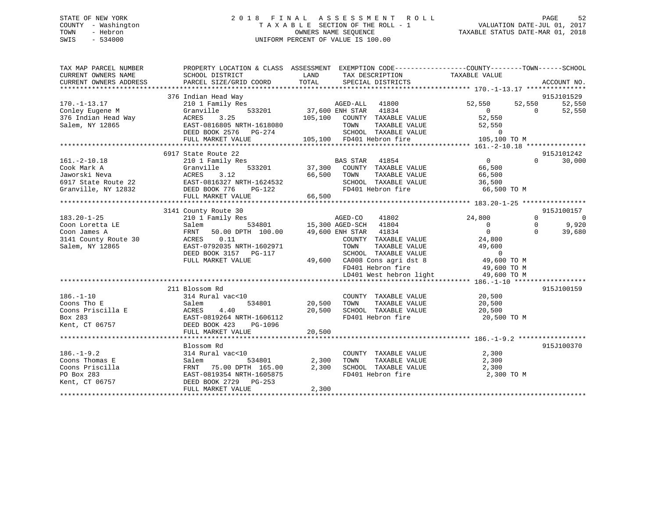## STATE OF NEW YORK 2 0 1 8 F I N A L A S S E S S M E N T R O L L PAGE 52 COUNTY - Washington T A X A B L E SECTION OF THE ROLL - 1 VALUATION DATE-JUL 01, 2017 TOWN - Hebron OWNERS NAME SEQUENCE TAXABLE STATUS DATE-MAR 01, 2018 SWIS - 534000 UNIFORM PERCENT OF VALUE IS 100.00

| 915J101529<br>376 Indian Head Way<br>$170. - 1 - 13.17$<br>210 1 Family Res<br>AGED-ALL<br>41800<br>52,550<br>52,550<br>52,550<br>37,600 ENH STAR 41834<br>105,100 COUNTY TAXABLE VALUE<br>533201<br>Conley Eugene M<br>Granville<br>$\overline{0}$<br>$\overline{0}$<br>52,550<br>376 Indian Head Way<br>3.25<br>52,550<br>ACRES<br>Salem, NY 12865<br>EAST-0816805 NRTH-1618080<br>TOWN<br>TAXABLE VALUE<br>52,550<br>IOWN 11888-2<br>SCHOOL TAXABLE VALUE<br>ED401 Hebron fire<br>$\Omega$<br>DEED BOOK 2576 PG-274<br>105,100 FD401 Hebron fire<br>105,100 TO M<br>FULL MARKET VALUE<br>915J101242<br>6917 State Route 22<br>$161.-2-10.18$<br>210 1 Family Res<br>$\overline{0}$<br>30,000<br>$\Omega$<br>BAS STAR 41854<br>37,300 COUNTY TAXABLE VALUE<br>533201<br>Cook Mark A<br>Granville<br>66,500<br>66,500 TOWN<br>66,500<br>Jaworski Neva<br>ACRES<br>3.12<br>TAXABLE VALUE<br>6917 State Route 22<br>EAST-0816327 NRTH-1624532<br>SCHOOL TAXABLE VALUE<br>36,500<br>FD401 Hebron fire<br>Granville, NY 12832<br>DEED BOOK 776<br>66,500 TO M<br>PG-122<br>FULL MARKET VALUE<br>66,500<br>3141 County Route 30<br>915J100157<br>$183.20 - 1 - 25$<br>210 1 Family Res<br>AGED-CO<br>41802<br>24,800<br>$\Omega$<br>$\overline{0}$<br>534801 15,300 AGED-SCH 41804<br>9,920<br>$\Omega$<br>Salem<br>$\Omega$<br>Coon Loretta LE<br>$\Omega$<br>$\Omega$<br>50.00 DPTH 100.00<br>49,600 ENH STAR<br>41834<br>39,680<br>Coon James A<br>FRNT<br>3141 County Route 30<br>ACRES<br>0.11<br>COUNTY TAXABLE VALUE<br>24,800<br>Salem, NY 12865<br>EAST-0792035 NRTH-1602971<br>TAXABLE VALUE<br>49,600<br>TOWN<br>$\overline{0}$<br>DEED BOOK 3157 PG-117<br>SCHOOL TAXABLE VALUE<br>49,600 TO M<br>FULL MARKET VALUE<br>49,600 CA008 Cons agri dst 8<br>FD401 Hebron fire<br>49,600 TO M<br>LD401 West hebron light<br>49,600 TO M<br>211 Blossom Rd<br>915J100159<br>$186. - 1 - 10$<br>314 Rural vac<10<br>COUNTY TAXABLE VALUE<br>20,500<br>20,500 TOWN<br>TAXABLE VALUE<br>Coons Tho E<br>Salem<br>534801<br>20,500<br>SCHOOL TAXABLE VALUE 20,500<br>Coons Priscilla E<br>20,500<br>ACRES<br>4.40<br>Box 283<br>FD401 Hebron fire<br>EAST-0819264 NRTH-1606112<br>20,500 TO M<br>DEED BOOK 423<br>Kent, CT 06757<br>PG-1096<br>20,500<br>FULL MARKET VALUE<br>915J100370<br>Blossom Rd<br>$186. - 1 - 9.2$<br>314 Rural vac<10<br>2,300<br>COUNTY TAXABLE VALUE<br>Coons Thomas E<br>2,300<br>TAXABLE VALUE<br>2,300<br>Salem<br>534801<br>TOWN<br>Coons Priscilla<br>FRNT 75.00 DPTH 165.00<br>2,300<br>SCHOOL TAXABLE VALUE<br>2,300<br>FD401 Hebron fire<br>PO Box 283<br>EAST-0819354 NRTH-1605875<br>2,300 TO M<br>Kent, CT 06757<br>DEED BOOK 2729 PG-253<br>2,300<br>FULL MARKET VALUE | TAX MAP PARCEL NUMBER<br>CURRENT OWNERS NAME<br>CURRENT OWNERS ADDRESS | PROPERTY LOCATION & CLASS ASSESSMENT EXEMPTION CODE---------------COUNTY-------TOWN-----SCHOOL<br>SCHOOL DISTRICT<br>PARCEL SIZE/GRID COORD | LAND<br>TOTAL | TAX DESCRIPTION TAXABLE VALUE<br>SPECIAL DISTRICTS |  | ACCOUNT NO. |
|-----------------------------------------------------------------------------------------------------------------------------------------------------------------------------------------------------------------------------------------------------------------------------------------------------------------------------------------------------------------------------------------------------------------------------------------------------------------------------------------------------------------------------------------------------------------------------------------------------------------------------------------------------------------------------------------------------------------------------------------------------------------------------------------------------------------------------------------------------------------------------------------------------------------------------------------------------------------------------------------------------------------------------------------------------------------------------------------------------------------------------------------------------------------------------------------------------------------------------------------------------------------------------------------------------------------------------------------------------------------------------------------------------------------------------------------------------------------------------------------------------------------------------------------------------------------------------------------------------------------------------------------------------------------------------------------------------------------------------------------------------------------------------------------------------------------------------------------------------------------------------------------------------------------------------------------------------------------------------------------------------------------------------------------------------------------------------------------------------------------------------------------------------------------------------------------------------------------------------------------------------------------------------------------------------------------------------------------------------------------------------------------------------------------------------------------------------------------------------------------------------------------------------------------------------------------------------------------------------------------------------------------------------------------------------------------------------------|------------------------------------------------------------------------|---------------------------------------------------------------------------------------------------------------------------------------------|---------------|----------------------------------------------------|--|-------------|
|                                                                                                                                                                                                                                                                                                                                                                                                                                                                                                                                                                                                                                                                                                                                                                                                                                                                                                                                                                                                                                                                                                                                                                                                                                                                                                                                                                                                                                                                                                                                                                                                                                                                                                                                                                                                                                                                                                                                                                                                                                                                                                                                                                                                                                                                                                                                                                                                                                                                                                                                                                                                                                                                                                           |                                                                        |                                                                                                                                             |               |                                                    |  |             |
|                                                                                                                                                                                                                                                                                                                                                                                                                                                                                                                                                                                                                                                                                                                                                                                                                                                                                                                                                                                                                                                                                                                                                                                                                                                                                                                                                                                                                                                                                                                                                                                                                                                                                                                                                                                                                                                                                                                                                                                                                                                                                                                                                                                                                                                                                                                                                                                                                                                                                                                                                                                                                                                                                                           |                                                                        |                                                                                                                                             |               |                                                    |  |             |
|                                                                                                                                                                                                                                                                                                                                                                                                                                                                                                                                                                                                                                                                                                                                                                                                                                                                                                                                                                                                                                                                                                                                                                                                                                                                                                                                                                                                                                                                                                                                                                                                                                                                                                                                                                                                                                                                                                                                                                                                                                                                                                                                                                                                                                                                                                                                                                                                                                                                                                                                                                                                                                                                                                           |                                                                        |                                                                                                                                             |               |                                                    |  |             |
|                                                                                                                                                                                                                                                                                                                                                                                                                                                                                                                                                                                                                                                                                                                                                                                                                                                                                                                                                                                                                                                                                                                                                                                                                                                                                                                                                                                                                                                                                                                                                                                                                                                                                                                                                                                                                                                                                                                                                                                                                                                                                                                                                                                                                                                                                                                                                                                                                                                                                                                                                                                                                                                                                                           |                                                                        |                                                                                                                                             |               |                                                    |  |             |
|                                                                                                                                                                                                                                                                                                                                                                                                                                                                                                                                                                                                                                                                                                                                                                                                                                                                                                                                                                                                                                                                                                                                                                                                                                                                                                                                                                                                                                                                                                                                                                                                                                                                                                                                                                                                                                                                                                                                                                                                                                                                                                                                                                                                                                                                                                                                                                                                                                                                                                                                                                                                                                                                                                           |                                                                        |                                                                                                                                             |               |                                                    |  |             |
|                                                                                                                                                                                                                                                                                                                                                                                                                                                                                                                                                                                                                                                                                                                                                                                                                                                                                                                                                                                                                                                                                                                                                                                                                                                                                                                                                                                                                                                                                                                                                                                                                                                                                                                                                                                                                                                                                                                                                                                                                                                                                                                                                                                                                                                                                                                                                                                                                                                                                                                                                                                                                                                                                                           |                                                                        |                                                                                                                                             |               |                                                    |  |             |
|                                                                                                                                                                                                                                                                                                                                                                                                                                                                                                                                                                                                                                                                                                                                                                                                                                                                                                                                                                                                                                                                                                                                                                                                                                                                                                                                                                                                                                                                                                                                                                                                                                                                                                                                                                                                                                                                                                                                                                                                                                                                                                                                                                                                                                                                                                                                                                                                                                                                                                                                                                                                                                                                                                           |                                                                        |                                                                                                                                             |               |                                                    |  |             |
|                                                                                                                                                                                                                                                                                                                                                                                                                                                                                                                                                                                                                                                                                                                                                                                                                                                                                                                                                                                                                                                                                                                                                                                                                                                                                                                                                                                                                                                                                                                                                                                                                                                                                                                                                                                                                                                                                                                                                                                                                                                                                                                                                                                                                                                                                                                                                                                                                                                                                                                                                                                                                                                                                                           |                                                                        |                                                                                                                                             |               |                                                    |  |             |
|                                                                                                                                                                                                                                                                                                                                                                                                                                                                                                                                                                                                                                                                                                                                                                                                                                                                                                                                                                                                                                                                                                                                                                                                                                                                                                                                                                                                                                                                                                                                                                                                                                                                                                                                                                                                                                                                                                                                                                                                                                                                                                                                                                                                                                                                                                                                                                                                                                                                                                                                                                                                                                                                                                           |                                                                        |                                                                                                                                             |               |                                                    |  |             |
|                                                                                                                                                                                                                                                                                                                                                                                                                                                                                                                                                                                                                                                                                                                                                                                                                                                                                                                                                                                                                                                                                                                                                                                                                                                                                                                                                                                                                                                                                                                                                                                                                                                                                                                                                                                                                                                                                                                                                                                                                                                                                                                                                                                                                                                                                                                                                                                                                                                                                                                                                                                                                                                                                                           |                                                                        |                                                                                                                                             |               |                                                    |  |             |
|                                                                                                                                                                                                                                                                                                                                                                                                                                                                                                                                                                                                                                                                                                                                                                                                                                                                                                                                                                                                                                                                                                                                                                                                                                                                                                                                                                                                                                                                                                                                                                                                                                                                                                                                                                                                                                                                                                                                                                                                                                                                                                                                                                                                                                                                                                                                                                                                                                                                                                                                                                                                                                                                                                           |                                                                        |                                                                                                                                             |               |                                                    |  |             |
|                                                                                                                                                                                                                                                                                                                                                                                                                                                                                                                                                                                                                                                                                                                                                                                                                                                                                                                                                                                                                                                                                                                                                                                                                                                                                                                                                                                                                                                                                                                                                                                                                                                                                                                                                                                                                                                                                                                                                                                                                                                                                                                                                                                                                                                                                                                                                                                                                                                                                                                                                                                                                                                                                                           |                                                                        |                                                                                                                                             |               |                                                    |  |             |
|                                                                                                                                                                                                                                                                                                                                                                                                                                                                                                                                                                                                                                                                                                                                                                                                                                                                                                                                                                                                                                                                                                                                                                                                                                                                                                                                                                                                                                                                                                                                                                                                                                                                                                                                                                                                                                                                                                                                                                                                                                                                                                                                                                                                                                                                                                                                                                                                                                                                                                                                                                                                                                                                                                           |                                                                        |                                                                                                                                             |               |                                                    |  |             |
|                                                                                                                                                                                                                                                                                                                                                                                                                                                                                                                                                                                                                                                                                                                                                                                                                                                                                                                                                                                                                                                                                                                                                                                                                                                                                                                                                                                                                                                                                                                                                                                                                                                                                                                                                                                                                                                                                                                                                                                                                                                                                                                                                                                                                                                                                                                                                                                                                                                                                                                                                                                                                                                                                                           |                                                                        |                                                                                                                                             |               |                                                    |  |             |
|                                                                                                                                                                                                                                                                                                                                                                                                                                                                                                                                                                                                                                                                                                                                                                                                                                                                                                                                                                                                                                                                                                                                                                                                                                                                                                                                                                                                                                                                                                                                                                                                                                                                                                                                                                                                                                                                                                                                                                                                                                                                                                                                                                                                                                                                                                                                                                                                                                                                                                                                                                                                                                                                                                           |                                                                        |                                                                                                                                             |               |                                                    |  |             |
|                                                                                                                                                                                                                                                                                                                                                                                                                                                                                                                                                                                                                                                                                                                                                                                                                                                                                                                                                                                                                                                                                                                                                                                                                                                                                                                                                                                                                                                                                                                                                                                                                                                                                                                                                                                                                                                                                                                                                                                                                                                                                                                                                                                                                                                                                                                                                                                                                                                                                                                                                                                                                                                                                                           |                                                                        |                                                                                                                                             |               |                                                    |  |             |
|                                                                                                                                                                                                                                                                                                                                                                                                                                                                                                                                                                                                                                                                                                                                                                                                                                                                                                                                                                                                                                                                                                                                                                                                                                                                                                                                                                                                                                                                                                                                                                                                                                                                                                                                                                                                                                                                                                                                                                                                                                                                                                                                                                                                                                                                                                                                                                                                                                                                                                                                                                                                                                                                                                           |                                                                        |                                                                                                                                             |               |                                                    |  |             |
|                                                                                                                                                                                                                                                                                                                                                                                                                                                                                                                                                                                                                                                                                                                                                                                                                                                                                                                                                                                                                                                                                                                                                                                                                                                                                                                                                                                                                                                                                                                                                                                                                                                                                                                                                                                                                                                                                                                                                                                                                                                                                                                                                                                                                                                                                                                                                                                                                                                                                                                                                                                                                                                                                                           |                                                                        |                                                                                                                                             |               |                                                    |  |             |
|                                                                                                                                                                                                                                                                                                                                                                                                                                                                                                                                                                                                                                                                                                                                                                                                                                                                                                                                                                                                                                                                                                                                                                                                                                                                                                                                                                                                                                                                                                                                                                                                                                                                                                                                                                                                                                                                                                                                                                                                                                                                                                                                                                                                                                                                                                                                                                                                                                                                                                                                                                                                                                                                                                           |                                                                        |                                                                                                                                             |               |                                                    |  |             |
|                                                                                                                                                                                                                                                                                                                                                                                                                                                                                                                                                                                                                                                                                                                                                                                                                                                                                                                                                                                                                                                                                                                                                                                                                                                                                                                                                                                                                                                                                                                                                                                                                                                                                                                                                                                                                                                                                                                                                                                                                                                                                                                                                                                                                                                                                                                                                                                                                                                                                                                                                                                                                                                                                                           |                                                                        |                                                                                                                                             |               |                                                    |  |             |
|                                                                                                                                                                                                                                                                                                                                                                                                                                                                                                                                                                                                                                                                                                                                                                                                                                                                                                                                                                                                                                                                                                                                                                                                                                                                                                                                                                                                                                                                                                                                                                                                                                                                                                                                                                                                                                                                                                                                                                                                                                                                                                                                                                                                                                                                                                                                                                                                                                                                                                                                                                                                                                                                                                           |                                                                        |                                                                                                                                             |               |                                                    |  |             |
|                                                                                                                                                                                                                                                                                                                                                                                                                                                                                                                                                                                                                                                                                                                                                                                                                                                                                                                                                                                                                                                                                                                                                                                                                                                                                                                                                                                                                                                                                                                                                                                                                                                                                                                                                                                                                                                                                                                                                                                                                                                                                                                                                                                                                                                                                                                                                                                                                                                                                                                                                                                                                                                                                                           |                                                                        |                                                                                                                                             |               |                                                    |  |             |
|                                                                                                                                                                                                                                                                                                                                                                                                                                                                                                                                                                                                                                                                                                                                                                                                                                                                                                                                                                                                                                                                                                                                                                                                                                                                                                                                                                                                                                                                                                                                                                                                                                                                                                                                                                                                                                                                                                                                                                                                                                                                                                                                                                                                                                                                                                                                                                                                                                                                                                                                                                                                                                                                                                           |                                                                        |                                                                                                                                             |               |                                                    |  |             |
|                                                                                                                                                                                                                                                                                                                                                                                                                                                                                                                                                                                                                                                                                                                                                                                                                                                                                                                                                                                                                                                                                                                                                                                                                                                                                                                                                                                                                                                                                                                                                                                                                                                                                                                                                                                                                                                                                                                                                                                                                                                                                                                                                                                                                                                                                                                                                                                                                                                                                                                                                                                                                                                                                                           |                                                                        |                                                                                                                                             |               |                                                    |  |             |
|                                                                                                                                                                                                                                                                                                                                                                                                                                                                                                                                                                                                                                                                                                                                                                                                                                                                                                                                                                                                                                                                                                                                                                                                                                                                                                                                                                                                                                                                                                                                                                                                                                                                                                                                                                                                                                                                                                                                                                                                                                                                                                                                                                                                                                                                                                                                                                                                                                                                                                                                                                                                                                                                                                           |                                                                        |                                                                                                                                             |               |                                                    |  |             |
|                                                                                                                                                                                                                                                                                                                                                                                                                                                                                                                                                                                                                                                                                                                                                                                                                                                                                                                                                                                                                                                                                                                                                                                                                                                                                                                                                                                                                                                                                                                                                                                                                                                                                                                                                                                                                                                                                                                                                                                                                                                                                                                                                                                                                                                                                                                                                                                                                                                                                                                                                                                                                                                                                                           |                                                                        |                                                                                                                                             |               |                                                    |  |             |
|                                                                                                                                                                                                                                                                                                                                                                                                                                                                                                                                                                                                                                                                                                                                                                                                                                                                                                                                                                                                                                                                                                                                                                                                                                                                                                                                                                                                                                                                                                                                                                                                                                                                                                                                                                                                                                                                                                                                                                                                                                                                                                                                                                                                                                                                                                                                                                                                                                                                                                                                                                                                                                                                                                           |                                                                        |                                                                                                                                             |               |                                                    |  |             |
|                                                                                                                                                                                                                                                                                                                                                                                                                                                                                                                                                                                                                                                                                                                                                                                                                                                                                                                                                                                                                                                                                                                                                                                                                                                                                                                                                                                                                                                                                                                                                                                                                                                                                                                                                                                                                                                                                                                                                                                                                                                                                                                                                                                                                                                                                                                                                                                                                                                                                                                                                                                                                                                                                                           |                                                                        |                                                                                                                                             |               |                                                    |  |             |
|                                                                                                                                                                                                                                                                                                                                                                                                                                                                                                                                                                                                                                                                                                                                                                                                                                                                                                                                                                                                                                                                                                                                                                                                                                                                                                                                                                                                                                                                                                                                                                                                                                                                                                                                                                                                                                                                                                                                                                                                                                                                                                                                                                                                                                                                                                                                                                                                                                                                                                                                                                                                                                                                                                           |                                                                        |                                                                                                                                             |               |                                                    |  |             |
|                                                                                                                                                                                                                                                                                                                                                                                                                                                                                                                                                                                                                                                                                                                                                                                                                                                                                                                                                                                                                                                                                                                                                                                                                                                                                                                                                                                                                                                                                                                                                                                                                                                                                                                                                                                                                                                                                                                                                                                                                                                                                                                                                                                                                                                                                                                                                                                                                                                                                                                                                                                                                                                                                                           |                                                                        |                                                                                                                                             |               |                                                    |  |             |
|                                                                                                                                                                                                                                                                                                                                                                                                                                                                                                                                                                                                                                                                                                                                                                                                                                                                                                                                                                                                                                                                                                                                                                                                                                                                                                                                                                                                                                                                                                                                                                                                                                                                                                                                                                                                                                                                                                                                                                                                                                                                                                                                                                                                                                                                                                                                                                                                                                                                                                                                                                                                                                                                                                           |                                                                        |                                                                                                                                             |               |                                                    |  |             |
|                                                                                                                                                                                                                                                                                                                                                                                                                                                                                                                                                                                                                                                                                                                                                                                                                                                                                                                                                                                                                                                                                                                                                                                                                                                                                                                                                                                                                                                                                                                                                                                                                                                                                                                                                                                                                                                                                                                                                                                                                                                                                                                                                                                                                                                                                                                                                                                                                                                                                                                                                                                                                                                                                                           |                                                                        |                                                                                                                                             |               |                                                    |  |             |
|                                                                                                                                                                                                                                                                                                                                                                                                                                                                                                                                                                                                                                                                                                                                                                                                                                                                                                                                                                                                                                                                                                                                                                                                                                                                                                                                                                                                                                                                                                                                                                                                                                                                                                                                                                                                                                                                                                                                                                                                                                                                                                                                                                                                                                                                                                                                                                                                                                                                                                                                                                                                                                                                                                           |                                                                        |                                                                                                                                             |               |                                                    |  |             |
|                                                                                                                                                                                                                                                                                                                                                                                                                                                                                                                                                                                                                                                                                                                                                                                                                                                                                                                                                                                                                                                                                                                                                                                                                                                                                                                                                                                                                                                                                                                                                                                                                                                                                                                                                                                                                                                                                                                                                                                                                                                                                                                                                                                                                                                                                                                                                                                                                                                                                                                                                                                                                                                                                                           |                                                                        |                                                                                                                                             |               |                                                    |  |             |
|                                                                                                                                                                                                                                                                                                                                                                                                                                                                                                                                                                                                                                                                                                                                                                                                                                                                                                                                                                                                                                                                                                                                                                                                                                                                                                                                                                                                                                                                                                                                                                                                                                                                                                                                                                                                                                                                                                                                                                                                                                                                                                                                                                                                                                                                                                                                                                                                                                                                                                                                                                                                                                                                                                           |                                                                        |                                                                                                                                             |               |                                                    |  |             |
|                                                                                                                                                                                                                                                                                                                                                                                                                                                                                                                                                                                                                                                                                                                                                                                                                                                                                                                                                                                                                                                                                                                                                                                                                                                                                                                                                                                                                                                                                                                                                                                                                                                                                                                                                                                                                                                                                                                                                                                                                                                                                                                                                                                                                                                                                                                                                                                                                                                                                                                                                                                                                                                                                                           |                                                                        |                                                                                                                                             |               |                                                    |  |             |
|                                                                                                                                                                                                                                                                                                                                                                                                                                                                                                                                                                                                                                                                                                                                                                                                                                                                                                                                                                                                                                                                                                                                                                                                                                                                                                                                                                                                                                                                                                                                                                                                                                                                                                                                                                                                                                                                                                                                                                                                                                                                                                                                                                                                                                                                                                                                                                                                                                                                                                                                                                                                                                                                                                           |                                                                        |                                                                                                                                             |               |                                                    |  |             |
|                                                                                                                                                                                                                                                                                                                                                                                                                                                                                                                                                                                                                                                                                                                                                                                                                                                                                                                                                                                                                                                                                                                                                                                                                                                                                                                                                                                                                                                                                                                                                                                                                                                                                                                                                                                                                                                                                                                                                                                                                                                                                                                                                                                                                                                                                                                                                                                                                                                                                                                                                                                                                                                                                                           |                                                                        |                                                                                                                                             |               |                                                    |  |             |
|                                                                                                                                                                                                                                                                                                                                                                                                                                                                                                                                                                                                                                                                                                                                                                                                                                                                                                                                                                                                                                                                                                                                                                                                                                                                                                                                                                                                                                                                                                                                                                                                                                                                                                                                                                                                                                                                                                                                                                                                                                                                                                                                                                                                                                                                                                                                                                                                                                                                                                                                                                                                                                                                                                           |                                                                        |                                                                                                                                             |               |                                                    |  |             |
|                                                                                                                                                                                                                                                                                                                                                                                                                                                                                                                                                                                                                                                                                                                                                                                                                                                                                                                                                                                                                                                                                                                                                                                                                                                                                                                                                                                                                                                                                                                                                                                                                                                                                                                                                                                                                                                                                                                                                                                                                                                                                                                                                                                                                                                                                                                                                                                                                                                                                                                                                                                                                                                                                                           |                                                                        |                                                                                                                                             |               |                                                    |  |             |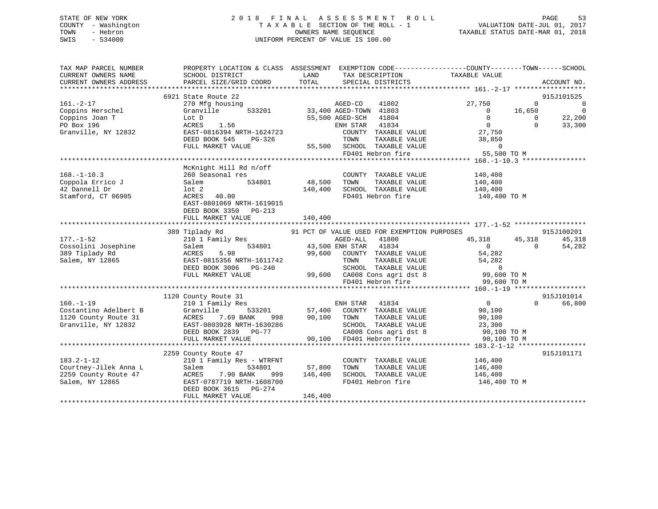## STATE OF NEW YORK 2 0 1 8 F I N A L A S S E S S M E N T R O L L PAGE 53 COUNTY - Washington T A X A B L E SECTION OF THE ROLL - 1 VALUATION DATE-JUL 01, 2017 TOWN - Hebron OWNERS NAME SEQUENCE TAXABLE STATUS DATE-MAR 01, 2018 SWIS - 534000 UNIFORM PERCENT OF VALUE IS 100.00

| TAX MAP PARCEL NUMBER<br>CURRENT OWNERS NAME<br>CURRENT OWNERS ADDRESS                        | SCHOOL DISTRICT<br>PARCEL SIZE/GRID COORD                                                                                                                                                                                                                                         | <b>Example 12</b> LAND<br>TOTAL  | TAX DESCRIPTION<br>SPECIAL DISTRICTS                                                                                                                                                                                                              | PROPERTY LOCATION & CLASS ASSESSMENT EXEMPTION CODE---------------COUNTY-------TOWN-----SCHOOL<br>TAXABLE VALUE | ACCOUNT NO.                                                                                                                            |
|-----------------------------------------------------------------------------------------------|-----------------------------------------------------------------------------------------------------------------------------------------------------------------------------------------------------------------------------------------------------------------------------------|----------------------------------|---------------------------------------------------------------------------------------------------------------------------------------------------------------------------------------------------------------------------------------------------|-----------------------------------------------------------------------------------------------------------------|----------------------------------------------------------------------------------------------------------------------------------------|
| $161. -2 - 17$<br>Coppins Herschel<br>Coppins Joan T<br>PO Box 196<br>Granville, NY 12832     | 6921 State Route 22<br>270 Mfg housing<br>Granville<br>LOT D<br>ACRES 1.56<br>ACRES 1.50<br>EAST-0816394 NRTH-1624723 COUNTY TAXABLE VALUE<br>DEED BOOK 545 PG-326 TOWN TAXABLE VALUE 38,850<br>FUILL MARKET VALUE 55,500 SCHOOL TAXABLE VALUE 0<br>FD401 Hebron fire 55,500 TO M |                                  | e 22<br>using 533201 33,400 AGED-TOWN 41802<br>55,500 AGED-SCH 41804<br>ENH STAR 41834                                                                                                                                                            | 27,750<br>$\Omega$<br>16,650<br>$\overline{0}$<br>$\overline{0}$<br>$\overline{0}$                              | 915J101525<br>$\overline{\phantom{0}}$<br>$\overline{\phantom{0}}$<br>$\begin{array}{c} 650 \\ 0 \\ 0 \end{array}$<br>22,200<br>33,300 |
| $168. - 1 - 10.3$<br>Coppola Errico J<br>42 Dannell Dr<br>42 Dannell Dr<br>Stamford, CT 06905 | McKnight Hill Rd n/off<br>260 Seasonal res<br>534801<br>Salem<br>$ACRES$ 40.00<br>EAST-0801069 NRTH-1619015<br>DEED BOOK 3350 PG-213<br>FULL MARKET VALUE                                                                                                                         | COUNTY<br>48,500 TOWN<br>140,400 | COUNTY TAXABLE VALUE 140,400<br>$\begin{tabular}{lllllllllll} \bf 48,500&TOWN& TAXABLE&VALUE&140,\bf 400 \\ \bf 140,400&SCHOOL&TXABLE&VALUE&140,\bf 400 \end{tabular}$                                                                            | FD401 Hebron fire 140,400 TO M                                                                                  |                                                                                                                                        |
| $177. - 1 - 52$<br>Cossolini Josephine<br>389 Tiplady Rd<br>Salem, NY 12865                   | 389 Tiplady Rd<br>ACRES 5.98 99,600 COUNTY TAXABLE VALUE 54,282<br>EAST-0815356 NRTH-1611742 TOWN TAXABLE VALUE 54,282<br>DEED BOOK 3006 PG-240 SCHOOL TAXABLE VALUE 54,282<br>FULL MARKET VALUE 99,600 COUNTY TAXABLE VALUE 54,282<br>PULL MARKET VALUE                          |                                  | FD401 Hebron fire                                                                                                                                                                                                                                 | 45, 318 45, 318<br>54<br>$\overline{0}$<br>99,600 TO M                                                          | 915J100201<br>45,318<br>54,282                                                                                                         |
|                                                                                               |                                                                                                                                                                                                                                                                                   |                                  |                                                                                                                                                                                                                                                   |                                                                                                                 | 915J101014                                                                                                                             |
| $183.2 - 1 - 12$<br>Courtney-Jilek Anna L<br>2259 County Route 47<br>Salem, NY 12865          | 2259 County Route 47<br>210 1 Family Res - WTRFNT<br>534801<br>Salem<br>ACRES 7.90 BANK 999 146,400<br>EAST-0787719 NRTH-1608700<br>DEED BOOK 3615 PG-274<br>FULL MARKET VALUE                                                                                                    | 57,800<br>146,400                | $\begin{tabular}{llllll} \multicolumn{2}{c}{\text{COUNTY}} & \text{TAXABLE VALUE} & & & 146,400 \\ \multicolumn{2}{c}{\text{TOWN}} & \text{TAXABLE VALUE} & & 146,400 \end{tabular}$<br>TOWN<br>SCHOOL TAXABLE VALUE 146,400<br>FD401 Hebron fire | 146,400 TO M                                                                                                    | 915J101171                                                                                                                             |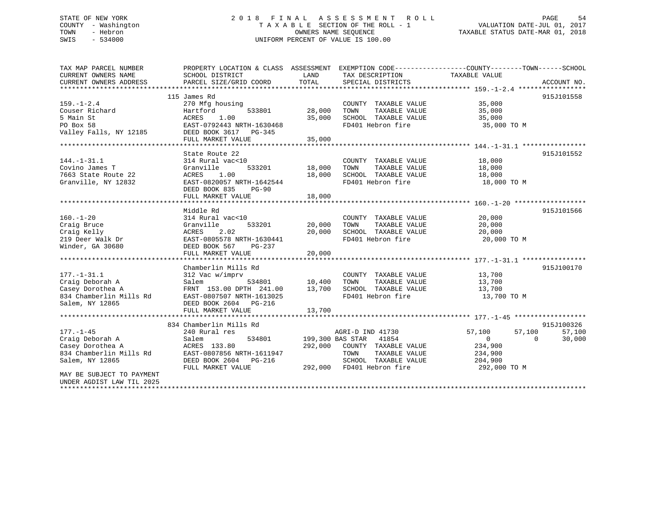## STATE OF NEW YORK 2 0 1 8 F I N A L A S S E S S M E N T R O L L PAGE 54 COUNTY - Washington T A X A B L E SECTION OF THE ROLL - 1 VALUATION DATE-JUL 01, 2017 TOWN - Hebron OWNERS NAME SEQUENCE TAXABLE STATUS DATE-MAR 01, 2018 SWIS - 534000 UNIFORM PERCENT OF VALUE IS 100.00

| TAX MAP PARCEL NUMBER     |                           |         |                             | PROPERTY LOCATION & CLASS ASSESSMENT EXEMPTION CODE----------------COUNTY-------TOWN------SCHOOL |             |
|---------------------------|---------------------------|---------|-----------------------------|--------------------------------------------------------------------------------------------------|-------------|
| CURRENT OWNERS NAME       | SCHOOL DISTRICT           | LAND    | TAX DESCRIPTION             | TAXABLE VALUE                                                                                    |             |
| CURRENT OWNERS ADDRESS    | PARCEL SIZE/GRID COORD    | TOTAL   | SPECIAL DISTRICTS           |                                                                                                  | ACCOUNT NO. |
|                           |                           |         |                             |                                                                                                  |             |
|                           | 115 James Rd              |         |                             |                                                                                                  | 915J101558  |
| $159. - 1 - 2.4$          | 270 Mfg housing           |         | COUNTY TAXABLE VALUE        | 35,000                                                                                           |             |
| Couser Richard            | 533801<br>Hartford        | 28,000  | TAXABLE VALUE<br>TOWN       | 35,000                                                                                           |             |
| 5 Main St                 | ACRES<br>1.00             | 35,000  | SCHOOL TAXABLE VALUE        | 35,000                                                                                           |             |
| PO Box 58                 | EAST-0792443 NRTH-1630468 |         | FD401 Hebron fire           | 35,000 TO M                                                                                      |             |
| Valley Falls, NY 12185    | DEED BOOK 3617 PG-345     |         |                             |                                                                                                  |             |
|                           | FULL MARKET VALUE         | 35,000  |                             |                                                                                                  |             |
|                           |                           |         |                             |                                                                                                  |             |
|                           | State Route 22            |         |                             |                                                                                                  | 915J101552  |
| $144. - 1 - 31.1$         | 314 Rural vac<10          |         | COUNTY TAXABLE VALUE        | 18,000                                                                                           |             |
| Covino James T            | Granville<br>533201       | 18,000  | TAXABLE VALUE<br>TOWN       | 18,000                                                                                           |             |
| 7663 State Route 22       | ACRES<br>1.00             | 18,000  | SCHOOL TAXABLE VALUE        | 18,000                                                                                           |             |
| Granville, NY 12832       | EAST-0820057 NRTH-1642544 |         | FD401 Hebron fire           | 18,000 TO M                                                                                      |             |
|                           | DEED BOOK 835<br>$PG-90$  |         |                             |                                                                                                  |             |
|                           | FULL MARKET VALUE         | 18,000  |                             |                                                                                                  |             |
|                           |                           |         |                             |                                                                                                  |             |
|                           | Middle Rd                 |         |                             |                                                                                                  | 915J101566  |
| $160. - 1 - 20$           | 314 Rural vac<10          |         | COUNTY TAXABLE VALUE        | 20,000                                                                                           |             |
| Craig Bruce               | Granville<br>533201       | 20,000  | TOWN<br>TAXABLE VALUE       | 20,000                                                                                           |             |
| Craig Kelly               | ACRES<br>2.02             | 20,000  | SCHOOL TAXABLE VALUE        | 20,000                                                                                           |             |
| 219 Deer Walk Dr          | EAST-0805578 NRTH-1630441 |         | FD401 Hebron fire           | 20,000 TO M                                                                                      |             |
| Winder, GA 30680          | DEED BOOK 567<br>PG-237   |         |                             |                                                                                                  |             |
|                           | FULL MARKET VALUE         | 20,000  |                             |                                                                                                  |             |
|                           |                           |         |                             |                                                                                                  |             |
|                           | Chamberlin Mills Rd       |         |                             |                                                                                                  | 915J100170  |
| $177. - 1 - 31.1$         | 312 Vac w/imprv           |         | COUNTY TAXABLE VALUE 13,700 |                                                                                                  |             |
| Craig Deborah A           | Salem<br>534801           | 10,400  | TOWN<br>TAXABLE VALUE       | 13,700                                                                                           |             |
| Casey Dorothea A          | FRNT 153.00 DPTH 241.00   | 13,700  | SCHOOL TAXABLE VALUE        | 13,700                                                                                           |             |
| 834 Chamberlin Mills Rd   | EAST-0807507 NRTH-1613025 |         | FD401 Hebron fire           | 13,700 TO M                                                                                      |             |
| Salem, NY 12865           | DEED BOOK 2604 PG-216     |         |                             |                                                                                                  |             |
|                           | FULL MARKET VALUE         | 13,700  |                             |                                                                                                  |             |
|                           |                           |         |                             |                                                                                                  |             |
|                           | 834 Chamberlin Mills Rd   |         |                             |                                                                                                  | 915J100326  |
| $177. - 1 - 45$           | 240 Rural res             |         | AGRI-D IND 41730            | 57,100<br>57,100                                                                                 | 57,100      |
| Craig Deborah A           | Salem<br>534801           |         | 199,300 BAS STAR 41854      | $\overline{0}$<br>$\Omega$                                                                       | 30,000      |
| Casey Dorothea A          | ACRES 133.80              | 292,000 | COUNTY TAXABLE VALUE        | 234,900                                                                                          |             |
| 834 Chamberlin Mills Rd   | EAST-0807856 NRTH-1611947 |         | TOWN<br>TAXABLE VALUE       | 234,900                                                                                          |             |
| Salem, NY 12865           | DEED BOOK 2604 PG-216     |         | SCHOOL TAXABLE VALUE        | 204,900                                                                                          |             |
|                           | FULL MARKET VALUE         |         | 292,000 FD401 Hebron fire   | 292,000 TO M                                                                                     |             |
| MAY BE SUBJECT TO PAYMENT |                           |         |                             |                                                                                                  |             |
| UNDER AGDIST LAW TIL 2025 |                           |         |                             |                                                                                                  |             |
|                           |                           |         |                             |                                                                                                  |             |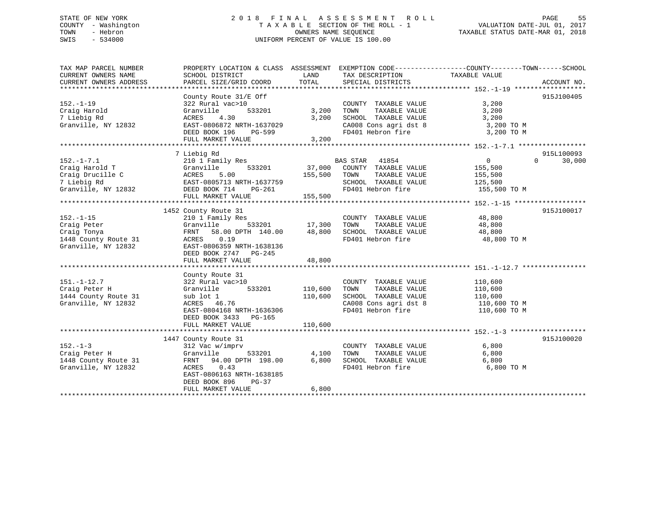## STATE OF NEW YORK 2 0 1 8 F I N A L A S S E S S M E N T R O L L PAGE 55 COUNTY - Washington T A X A B L E SECTION OF THE ROLL - 1 VALUATION DATE-JUL 01, 2017 TOWN - Hebron OWNERS NAME SEQUENCE TAXABLE STATUS DATE-MAR 01, 2018 SWIS - 534000 UNIFORM PERCENT OF VALUE IS 100.00

| TAX MAP PARCEL NUMBER                                                 | PROPERTY LOCATION & CLASS ASSESSMENT EXEMPTION CODE---------------COUNTY-------TOWN------SCHOOL |               |                                                                                                |                                    |                    |
|-----------------------------------------------------------------------|-------------------------------------------------------------------------------------------------|---------------|------------------------------------------------------------------------------------------------|------------------------------------|--------------------|
| CURRENT OWNERS NAME                                                   | SCHOOL DISTRICT                                                                                 | LAND          | TAX DESCRIPTION                                                                                | TAXABLE VALUE                      |                    |
| CURRENT OWNERS ADDRESS                                                | PARCEL SIZE/GRID COORD                                                                          | TOTAL         | SPECIAL DISTRICTS                                                                              |                                    | ACCOUNT NO.        |
|                                                                       | County Route 31/E Off                                                                           |               |                                                                                                |                                    | 915J100405         |
| $152. - 1 - 19$                                                       | 322 Rural vac>10                                                                                |               | COUNTY TAXABLE VALUE                                                                           | 3,200                              |                    |
| Craig Harold                                                          | Granville                                                                                       | 533201 3,200  | TAXABLE VALUE<br>TOWN                                                                          | 3,200                              |                    |
| 7 Liebig Rd                                                           | ACRES 4.30                                                                                      | 3,200         |                                                                                                |                                    |                    |
| Granville, NY 12832                                                   | EAST-0806872 NRTH-1637029                                                                       |               | SCHOOL TAXABLE VALUE 3,200<br>CA008 Cons agri dst 8 3,200 TO M<br>FD401 Hebron fire 3,200 TO M |                                    |                    |
|                                                                       | DEED BOOK 196<br>PG-599                                                                         |               |                                                                                                |                                    |                    |
|                                                                       | FULL MARKET VALUE                                                                               | 3,200         |                                                                                                |                                    |                    |
|                                                                       |                                                                                                 |               |                                                                                                |                                    |                    |
|                                                                       | 7 Liebig Rd                                                                                     |               |                                                                                                |                                    | 915L100093         |
|                                                                       | 210 1 Family Res                                                                                |               | BAS STAR 41854                                                                                 | $\overline{0}$                     | $\Omega$<br>30,000 |
|                                                                       | 533201                                                                                          | 37,000        | COUNTY TAXABLE VALUE                                                                           |                                    |                    |
| 152.-1-7.1<br>Craig Harold T<br>Amerille C                            |                                                                                                 | 155,500       | TAXABLE VALUE<br>TOWN                                                                          | 155,500<br>155,500                 |                    |
| 7 Liebig Rd                                                           |                                                                                                 |               | SCHOOL TAXABLE VALUE 125,500                                                                   |                                    |                    |
| Granville, NY 12832                                                   | T<br>e C<br>aCRES 5.00<br>EAST-0805713 NRTH-1637759<br>12832 DEED BOOK 714 PG-261               |               | FD401 Hebron fire                                                                              | 155,500 TO M                       |                    |
|                                                                       | FULL MARKET VALUE                                                                               | 155,500       |                                                                                                |                                    |                    |
|                                                                       |                                                                                                 |               |                                                                                                |                                    |                    |
|                                                                       | 1452 County Route 31                                                                            |               |                                                                                                |                                    | 915J100017         |
| $152. - 1 - 15$                                                       | 210 1 Family Res                                                                                |               | COUNTY TAXABLE VALUE 48,800                                                                    |                                    |                    |
| Craig Peter                                                           |                                                                                                 | 533201 17,300 | TOWN<br>TAXABLE VALUE                                                                          | 48,800                             |                    |
| Craig Tonya                                                           | Granville<br>FRNT 58.00 DPT<br>58.00 DPTH 140.00                                                | 48,800        | SCHOOL TAXABLE VALUE                                                                           | 48,800                             |                    |
|                                                                       |                                                                                                 |               | FD401 Hebron fire                                                                              | 48,800 TO M                        |                    |
| 1448 County Route 31 MCRES 0.19<br>Granville, NY 12832 EAST-0806359 I | EAST-0806359 NRTH-1638136                                                                       |               |                                                                                                |                                    |                    |
|                                                                       | DEED BOOK 2747 PG-245                                                                           |               |                                                                                                |                                    |                    |
|                                                                       | FULL MARKET VALUE                                                                               | 48,800        |                                                                                                |                                    |                    |
|                                                                       |                                                                                                 |               |                                                                                                |                                    |                    |
|                                                                       | County Route 31                                                                                 |               |                                                                                                |                                    |                    |
| $151. - 1 - 12.7$                                                     | $322$ Rural vac > 10                                                                            |               | COUNTY TAXABLE VALUE                                                                           | 110,600                            |                    |
| Craig Peter H                                                         | 533201                                                                                          | 110,600       | TAXABLE VALUE<br>TOWN                                                                          | 110,600                            |                    |
| 1444 County Route 31                                                  | Granville<br>e 31 sub lot 1                                                                     | 110,600       | SCHOOL TAXABLE VALUE                                                                           | 110,600                            |                    |
| Granville, NY 12832                                                   | ACRES 46.76                                                                                     |               |                                                                                                | CA008 Cons agri dst 8 110,600 TO M |                    |
|                                                                       | EAST-0804168 NRTH-1636306                                                                       |               | FD401 Hebron fire                                                                              | 110,600 TO M                       |                    |
|                                                                       | DEED BOOK 3433 PG-165                                                                           |               |                                                                                                |                                    |                    |
|                                                                       | FULL MARKET VALUE                                                                               | 110,600       |                                                                                                |                                    |                    |
|                                                                       |                                                                                                 |               |                                                                                                |                                    |                    |
|                                                                       | 1447 County Route 31                                                                            |               |                                                                                                |                                    | 915J100020         |
| $152. - 1 - 3$                                                        | 312 Vac w/imprv                                                                                 |               | COUNTY TAXABLE VALUE                                                                           | 6,800                              |                    |
| 312 Vac w/<br>Granville<br>Craig Peter H                              | 533201                                                                                          | 4,100         | TOWN<br>TAXABLE VALUE                                                                          | 6,800                              |                    |
| 1448 County Route 31 FRNT 94.00 DPTH 198.00 6,800                     |                                                                                                 |               | SCHOOL TAXABLE VALUE                                                                           | 6,800                              |                    |
| Granville, NY 12832                                                   | ACRES 0.43                                                                                      |               | FD401 Hebron fire                                                                              | 6,800 TO M                         |                    |
|                                                                       | EAST-0806163 NRTH-1638185                                                                       |               |                                                                                                |                                    |                    |
|                                                                       | DEED BOOK 896<br>PG-37                                                                          |               |                                                                                                |                                    |                    |
|                                                                       | FULL MARKET VALUE                                                                               | 6,800         |                                                                                                |                                    |                    |
|                                                                       |                                                                                                 |               |                                                                                                |                                    |                    |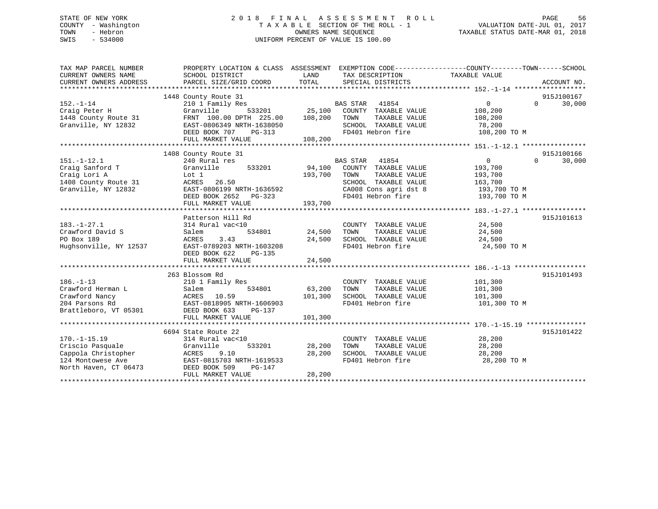## STATE OF NEW YORK 2 0 1 8 F I N A L A S S E S S M E N T R O L L PAGE 56 COUNTY - Washington T A X A B L E SECTION OF THE ROLL - 1 VALUATION DATE-JUL 01, 2017 TOWN - Hebron OWNERS NAME SEQUENCE TAXABLE STATUS DATE-MAR 01, 2018 SWIS - 534000 UNIFORM PERCENT OF VALUE IS 100.00

| TAX MAP PARCEL NUMBER<br>CURRENT OWNERS NAME<br>CURRENT OWNERS ADDRESS                                                          | PROPERTY LOCATION & CLASS ASSESSMENT<br>SCHOOL DISTRICT<br>PARCEL SIZE/GRID COORD                                                                               | LAND<br>TOTAL                       | EXEMPTION CODE-----------------COUNTY-------TOWN------SCHOOL<br>TAX DESCRIPTION TAXABLE VALUE<br>SPECIAL DISTRICTS                    |                                                                                    | ACCOUNT NO.                      |
|---------------------------------------------------------------------------------------------------------------------------------|-----------------------------------------------------------------------------------------------------------------------------------------------------------------|-------------------------------------|---------------------------------------------------------------------------------------------------------------------------------------|------------------------------------------------------------------------------------|----------------------------------|
| $152. - 1 - 14$<br>Craig Peter H<br>1448 County Route 31<br>Granville, NY 12832                                                 | 1448 County Route 31<br>210 1 Family Res<br>Granville<br>FRNT 100.00 DPTH 225.00<br>EAST-0806349 NRTH-1638050<br>DEED BOOK 707<br>$PG-313$<br>FULL MARKET VALUE | 533201 25,100<br>108,200<br>108,200 | BAS STAR 41854<br>COUNTY TAXABLE VALUE<br>TOWN<br>TAXABLE VALUE<br>SCHOOL TAXABLE VALUE<br>FD401 Hebron fire                          | $\overline{0}$<br>108,200<br>108,200<br>78,200<br>108,200 TO M                     | 915J100167<br>$\Omega$<br>30,000 |
| $151. - 1 - 12.1$<br>Craig Sanford T<br>Craig Lori A<br>1408 County Route 31<br>Granville, NY 12832                             | 1408 County Route 31<br>240 Rural res<br>Granville<br>533201<br>Lot 1<br>ACRES 26.50<br>EAST-0806199 NRTH-1636592<br>DEED BOOK 2652 PG-323<br>FULL MARKET VALUE | 94,100<br>193,700<br>193,700        | BAS STAR 41854<br>COUNTY TAXABLE VALUE<br>TAXABLE VALUE<br>TOWN<br>SCHOOL TAXABLE VALUE<br>CA008 Cons agri dst 8<br>FD401 Hebron fire | $0 \qquad \qquad$<br>193,700<br>193,700<br>163,700<br>193,700 TO M<br>193,700 TO M | 915J100166<br>$\Omega$<br>30,000 |
| $183. - 1 - 27.1$<br>Crawford David S<br>PO Box 189<br>Hughsonville, NY 12537                                                   | Patterson Hill Rd<br>314 Rural vac<10<br>Salem<br>ACRES<br>3.43<br>EAST-0789203 NRTH-1603208<br>DEED BOOK 622<br>PG-135<br>FULL MARKET VALUE                    | 534801 24,500<br>24,500<br>24,500   | COUNTY TAXABLE VALUE<br>TAXABLE VALUE<br>TOWN<br>SCHOOL TAXABLE VALUE<br>FD401 Hebron fire                                            | 24,500<br>24,500<br>24,500<br>24,500 TO M                                          | 915J101613                       |
| $186. - 1 - 13$<br>Crawford Herman L<br>Crawford Nancy                                                                          | 263 Blossom Rd<br>210 1 Family Res<br>Salem<br>534801<br>ACRES 10.59<br>FULL MARKET VALUE                                                                       | 63,200<br>101,300<br>101,300        | COUNTY TAXABLE VALUE<br>TAXABLE VALUE<br>TOWN<br>SCHOOL TAXABLE VALUE<br>FD401 Hebron fire                                            | 101,300<br>101,300<br>101,300<br>101,300 TO M                                      | 915J101493                       |
| $170. - 1 - 15.19$<br>Criscio Pasquale<br>Criscio Pasquale<br>Cappola Christopher<br>124 Montowese Ave<br>North Haven, CT 06473 | 6694 State Route 22<br>314 Rural vac<10<br>Granville<br>533201<br>9.10<br>ACRES<br>EAST-0815703 NRTH-1619533<br>DEED BOOK 509<br>PG-147<br>FULL MARKET VALUE    | 28,200<br>28,200<br>28,200          | COUNTY TAXABLE VALUE<br>TOWN<br>TAXABLE VALUE<br>SCHOOL TAXABLE VALUE<br>FD401 Hebron fire                                            | 28,200<br>28,200<br>28,200<br>28,200 TO M                                          | 915J101422                       |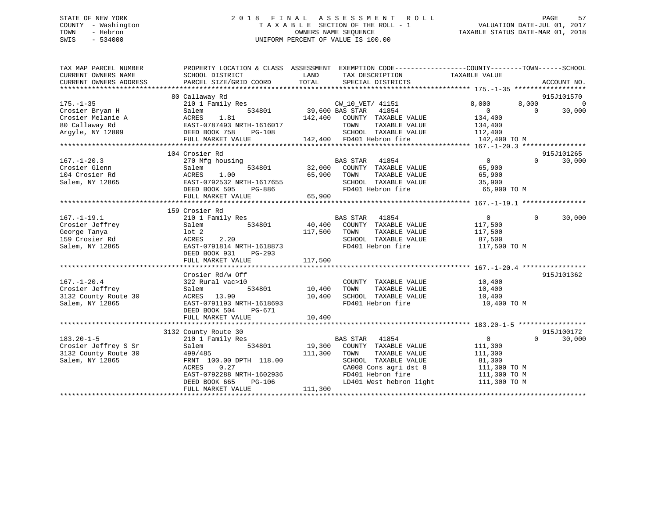## STATE OF NEW YORK 2 0 1 8 F I N A L A S S E S S M E N T R O L L PAGE 57 COUNTY - Washington T A X A B L E SECTION OF THE ROLL - 1 VALUATION DATE-JUL 01, 2017 TOWN - Hebron OWNERS NAME SEQUENCE TAXABLE STATUS DATE-MAR 01, 2018 SWIS - 534000 UNIFORM PERCENT OF VALUE IS 100.00

| TAX MAP PARCEL NUMBER<br>CURRENT OWNERS NAME | PROPERTY LOCATION & CLASS ASSESSMENT<br>SCHOOL DISTRICT | LAND            | EXEMPTION CODE-----------------COUNTY-------TOWN------SCHOOL<br>TAX DESCRIPTION | TAXABLE VALUE    |                    |
|----------------------------------------------|---------------------------------------------------------|-----------------|---------------------------------------------------------------------------------|------------------|--------------------|
| CURRENT OWNERS ADDRESS                       | PARCEL SIZE/GRID COORD                                  | TOTAL           | SPECIAL DISTRICTS                                                               |                  | ACCOUNT NO.        |
|                                              | 80 Callaway Rd                                          |                 |                                                                                 |                  | 915J101570         |
| $175. - 1 - 35$                              | 210 1 Family Res                                        |                 | CW_10_VET/ 41151                                                                | 8,000<br>8,000   | $\Omega$           |
| Crosier Bryan H                              | 534801<br>Salem                                         | 39,600 BAS STAR | 41854                                                                           | $\Omega$         | 30,000<br>$\Omega$ |
| Crosier Melanie A                            | 1.81<br>ACRES                                           | 142,400         | COUNTY TAXABLE VALUE                                                            | 134,400          |                    |
| 80 Callaway Rd                               | EAST-0787493 NRTH-1616017                               |                 | TOWN<br>TAXABLE VALUE                                                           | 134,400          |                    |
| Argyle, NY 12809                             | DEED BOOK 758<br>PG-108                                 |                 | SCHOOL TAXABLE VALUE                                                            | 112,400          |                    |
|                                              | FULL MARKET VALUE                                       |                 | 142,400 FD401 Hebron fire                                                       | 142,400 TO M     |                    |
|                                              |                                                         |                 |                                                                                 |                  |                    |
|                                              | 104 Crosier Rd                                          |                 |                                                                                 |                  | 915J101265         |
| $167. - 1 - 20.3$                            | 270 Mfg housing                                         |                 | BAS STAR<br>41854                                                               | $\Omega$         | 30,000<br>$\Omega$ |
| Crosier Glenn                                | 534801<br>Salem                                         | 32,000          | COUNTY<br>TAXABLE VALUE                                                         | 65,900           |                    |
| 104 Crosier Rd                               | 1.00<br>ACRES                                           | 65,900          | TAXABLE VALUE<br>TOWN                                                           | 65,900           |                    |
| Salem, NY 12865                              | EAST-0792532 NRTH-1617655                               |                 | SCHOOL TAXABLE VALUE                                                            | 35,900           |                    |
|                                              | DEED BOOK 505<br>PG-886                                 |                 | FD401 Hebron fire                                                               | 65,900 TO M      |                    |
|                                              | FULL MARKET VALUE                                       | 65,900          |                                                                                 |                  |                    |
|                                              |                                                         |                 |                                                                                 |                  |                    |
|                                              | 159 Crosier Rd                                          |                 |                                                                                 |                  |                    |
| $167. - 1 - 19.1$                            | 210 1 Family Res                                        |                 | <b>BAS STAR</b><br>41854                                                        | $\overline{0}$   | $\Omega$<br>30,000 |
| Crosier Jeffrey                              | 534801<br>Salem                                         | 40,400          | COUNTY TAXABLE VALUE                                                            | 117,500          |                    |
| George Tanya                                 | $1$ ot $2$                                              | 117,500         | TOWN<br>TAXABLE VALUE                                                           | 117,500          |                    |
| 159 Crosier Rd                               | 2.20<br>ACRES                                           |                 | SCHOOL TAXABLE VALUE                                                            | 87,500           |                    |
| Salem, NY 12865                              | EAST-0791814 NRTH-1618873                               |                 | FD401 Hebron fire                                                               | 117,500 TO M     |                    |
|                                              | DEED BOOK 931<br>$PG-293$                               |                 |                                                                                 |                  |                    |
|                                              | FULL MARKET VALUE                                       | 117,500         |                                                                                 |                  |                    |
|                                              |                                                         |                 |                                                                                 |                  |                    |
|                                              | Crosier Rd/w Off                                        |                 |                                                                                 |                  | 915J101362         |
| $167. - 1 - 20.4$                            | 322 Rural vac>10                                        |                 | COUNTY TAXABLE VALUE                                                            | 10,400           |                    |
| Crosier Jeffrey                              | 534801<br>Salem                                         | 10,400          | TOWN<br>TAXABLE VALUE                                                           |                  |                    |
| 3132 County Route 30                         | ACRES<br>13.90                                          | 10,400          | SCHOOL TAXABLE VALUE                                                            | 10,400<br>10,400 |                    |
| Salem, NY 12865                              | EAST-0791193 NRTH-1618693                               |                 | FD401 Hebron fire                                                               | 10,400 TO M      |                    |
|                                              | DEED BOOK 504                                           |                 |                                                                                 |                  |                    |
|                                              | PG-671<br>FULL MARKET VALUE                             | 10,400          |                                                                                 |                  |                    |
|                                              |                                                         |                 |                                                                                 |                  |                    |
|                                              | 3132 County Route 30                                    |                 |                                                                                 |                  | 915J100172         |
| $183.20 - 1 - 5$                             | 210 1 Family Res                                        |                 | <b>BAS STAR</b><br>41854                                                        | $\mathbf{0}$     | $\Omega$<br>30,000 |
| Crosier Jeffrey S Sr                         | 534801                                                  | 19,300          | COUNTY TAXABLE VALUE                                                            | 111,300          |                    |
|                                              | Salem                                                   |                 | TOWN                                                                            |                  |                    |
| 3132 County Route 30                         | 499/485<br>FRNT 100.00 DPTH 118.00                      | 111,300         | TAXABLE VALUE                                                                   | 111,300          |                    |
| Salem, NY 12865                              |                                                         |                 | SCHOOL TAXABLE VALUE                                                            | 81,300           |                    |
|                                              | 0.27<br>ACRES                                           |                 | CA008 Cons agri dst 8                                                           | 111,300 TO M     |                    |
|                                              | EAST-0792288 NRTH-1602936                               |                 | FD401 Hebron fire                                                               | 111,300 TO M     |                    |
|                                              | DEED BOOK 665<br><b>PG-106</b>                          |                 | LD401 West hebron light                                                         | 111,300 TO M     |                    |
|                                              | FULL MARKET VALUE                                       | 111,300         |                                                                                 |                  |                    |
|                                              |                                                         |                 |                                                                                 |                  |                    |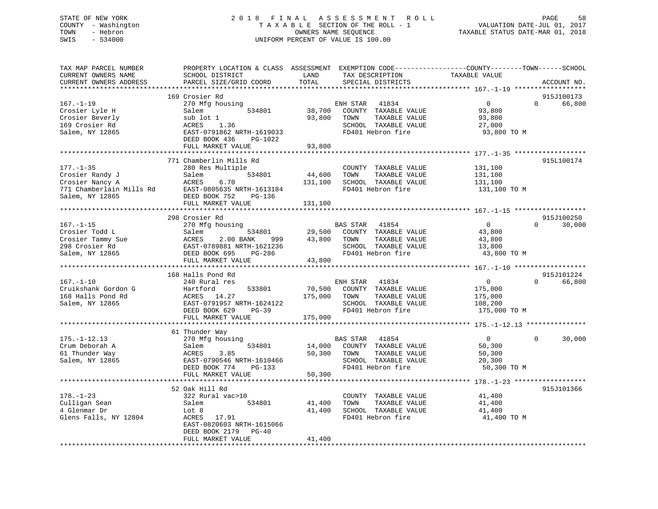## STATE OF NEW YORK 2 0 1 8 F I N A L A S S E S S M E N T R O L L PAGE 58 COUNTY - Washington T A X A B L E SECTION OF THE ROLL - 1 VALUATION DATE-JUL 01, 2017 TOWN - Hebron OWNERS NAME SEQUENCE TAXABLE STATUS DATE-MAR 01, 2018 SWIS - 534000 UNIFORM PERCENT OF VALUE IS 100.00

| TAX MAP PARCEL NUMBER<br>CURRENT OWNERS NAME<br>CURRENT OWNERS ADDRESS                               | PROPERTY LOCATION & CLASS ASSESSMENT EXEMPTION CODE----------------COUNTY-------TOWN------SCHOOL<br>SCHOOL DISTRICT<br>PARCEL SIZE/GRID COORD            | LAND<br>TOTAL                | TAX DESCRIPTION<br>SPECIAL DISTRICTS                                                                                   | TAXABLE VALUE                                                   | ACCOUNT NO.                      |
|------------------------------------------------------------------------------------------------------|----------------------------------------------------------------------------------------------------------------------------------------------------------|------------------------------|------------------------------------------------------------------------------------------------------------------------|-----------------------------------------------------------------|----------------------------------|
| ***********************                                                                              |                                                                                                                                                          |                              |                                                                                                                        |                                                                 |                                  |
| $167. - 1 - 19$<br>Crosier Lyle H<br>Crosier Beverly<br>169 Crosier Rd<br>Salem, NY 12865            | 169 Crosier Rd<br>270 Mfg housing<br>534801<br>Salem<br>sub lot 1<br>ACRES<br>1.36<br>EAST-0791862 NRTH-1619033<br>DEED BOOK 436<br>PG-1022              | 38,700<br>93,800             | ENH STAR<br>41834<br>COUNTY TAXABLE VALUE<br>TAXABLE VALUE<br>TOWN<br>SCHOOL TAXABLE VALUE<br>FD401 Hebron fire        | $\overline{0}$<br>93,800<br>93,800<br>27,000<br>93,800 TO M     | 915J100173<br>$\Omega$<br>66,800 |
|                                                                                                      | FULL MARKET VALUE                                                                                                                                        | 93,800                       |                                                                                                                        |                                                                 |                                  |
|                                                                                                      | *************************                                                                                                                                | **************               |                                                                                                                        |                                                                 |                                  |
| $177. - 1 - 35$<br>Crosier Randy J<br>Crosier Nancy A<br>771 Chamberlain Mills Rd<br>Salem, NY 12865 | 771 Chamberlin Mills Rd<br>280 Res Multiple<br>534801<br>Salem<br>ACRES<br>6.70<br>EAST-0805635 NRTH-1613184<br>DEED BOOK 752<br>PG-136                  | 44,600<br>131,100            | COUNTY TAXABLE VALUE<br>TOWN<br>TAXABLE VALUE<br>SCHOOL TAXABLE VALUE<br>FD401 Hebron fire                             | 131,100<br>131,100<br>131,100<br>131,100 TO M                   | 915L100174                       |
|                                                                                                      | FULL MARKET VALUE                                                                                                                                        | 131,100                      |                                                                                                                        |                                                                 |                                  |
|                                                                                                      |                                                                                                                                                          |                              |                                                                                                                        |                                                                 |                                  |
| $167. - 1 - 15$<br>Crosier Todd L<br>Crosier Tammy Sue<br>298 Crosier Rd<br>Salem, NY 12865          | 298 Crosier Rd<br>270 Mfg housing<br>534801<br>Salem<br>ACRES<br>2.00 BANK<br>999<br>EAST-0789881 NRTH-1621236<br>DEED BOOK 695<br>PG-286                | 29,500<br>43,800             | BAS STAR<br>41854<br>COUNTY TAXABLE VALUE<br>TOWN<br>TAXABLE VALUE<br>SCHOOL TAXABLE VALUE<br>FD401 Hebron fire        | $\overline{0}$<br>43,800<br>43,800<br>13,800<br>43,800 TO M     | 915J100250<br>$\Omega$<br>30,000 |
|                                                                                                      | FULL MARKET VALUE                                                                                                                                        | 43,800                       |                                                                                                                        |                                                                 |                                  |
|                                                                                                      |                                                                                                                                                          |                              |                                                                                                                        |                                                                 |                                  |
| $167. - 1 - 10$<br>Cruikshank Gordon G<br>168 Halls Pond Rd<br>Salem, NY 12865                       | 168 Halls Pond Rd<br>240 Rural res<br>Hartford<br>533801<br>ACRES<br>14.27<br>EAST-0791957 NRTH-1624122<br>DEED BOOK 629<br>$PG-39$<br>FULL MARKET VALUE | 70,500<br>175,000<br>175,000 | ENH STAR<br>41834<br>COUNTY TAXABLE VALUE<br>TOWN<br>TAXABLE VALUE<br>SCHOOL TAXABLE VALUE<br>FD401 Hebron fire        | $\overline{0}$<br>175,000<br>175,000<br>108,200<br>175,000 TO M | 915J101224<br>$\Omega$<br>66,800 |
|                                                                                                      | *********************                                                                                                                                    | ************                 |                                                                                                                        | ***************** 175.-1-12.13 ***************                  |                                  |
| $175. - 1 - 12.13$<br>Crum Deborah A<br>61 Thunder Way<br>Salem, NY 12865                            | 61 Thunder Way<br>270 Mfg housing<br>Salem<br>534801<br>ACRES<br>3.85<br>EAST-0790546 NRTH-1610466<br>DEED BOOK 774<br>PG-133<br>FULL MARKET VALUE       | 14,000<br>50,300<br>50,300   | 41854<br><b>BAS STAR</b><br>COUNTY TAXABLE VALUE<br>TOWN<br>TAXABLE VALUE<br>SCHOOL TAXABLE VALUE<br>FD401 Hebron fire | $\overline{0}$<br>50,300<br>50,300<br>20,300<br>50,300 TO M     | $\Omega$<br>30,000               |
|                                                                                                      |                                                                                                                                                          |                              |                                                                                                                        |                                                                 |                                  |
| $178. - 1 - 23$<br>Culligan Sean<br>4 Glenmar Dr<br>Glens Falls, NY 12804                            | 52 Oak Hill Rd<br>322 Rural vac>10<br>Salem<br>534801<br>Lot 8<br>ACRES<br>17.91<br>EAST-0820603 NRTH-1615066<br>DEED BOOK 2179<br>$PG-40$               | 41,400<br>41,400             | COUNTY TAXABLE VALUE<br>TAXABLE VALUE<br>TOWN<br>SCHOOL TAXABLE VALUE<br>FD401 Hebron fire                             | 41,400<br>41,400<br>41,400<br>41,400 TO M                       | 915J101366                       |
|                                                                                                      | FULL MARKET VALUE                                                                                                                                        | 41,400                       |                                                                                                                        |                                                                 |                                  |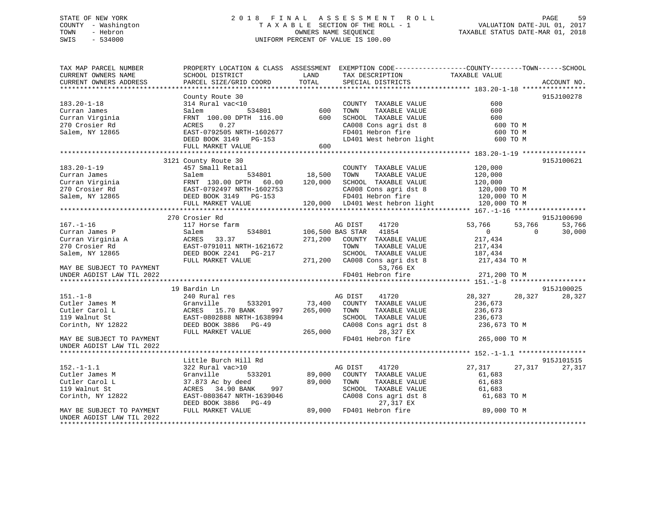## STATE OF NEW YORK 2 0 1 8 F I N A L A S S E S S M E N T R O L L PAGE 59 COUNTY - Washington T A X A B L E SECTION OF THE ROLL - 1 VALUATION DATE-JUL 01, 2017 TOWN - Hebron OWNERS NAME SEQUENCE TAXABLE STATUS DATE-MAR 01, 2018 SWIS - 534000 UNIFORM PERCENT OF VALUE IS 100.00

| TAX MAP PARCEL NUMBER                                                                                                                                                                                                                              |                                                                                                                                                        |                                                                                                                                                                                                                                                                                                                                                                                                                                                               | PROPERTY LOCATION & CLASS ASSESSMENT EXEMPTION CODE----------------COUNTY-------TOWN------SCHOOL                        |                                  |             |
|----------------------------------------------------------------------------------------------------------------------------------------------------------------------------------------------------------------------------------------------------|--------------------------------------------------------------------------------------------------------------------------------------------------------|---------------------------------------------------------------------------------------------------------------------------------------------------------------------------------------------------------------------------------------------------------------------------------------------------------------------------------------------------------------------------------------------------------------------------------------------------------------|-------------------------------------------------------------------------------------------------------------------------|----------------------------------|-------------|
| CURRENT OWNERS NAME                                                                                                                                                                                                                                | SCHOOL DISTRICT                                                                                                                                        | LAND                                                                                                                                                                                                                                                                                                                                                                                                                                                          | TAX DESCRIPTION                                                                                                         | TAXABLE VALUE                    |             |
| CURRENT OWNERS ADDRESS                                                                                                                                                                                                                             | PARCEL SIZE/GRID COORD                                                                                                                                 | $\begin{array}{c}\n\multicolumn{3}{c}\n\multicolumn{3}{c}\n\multicolumn{3}{c}\n\multicolumn{3}{c}\n\multicolumn{3}{c}\n\multicolumn{3}{c}\n\multicolumn{3}{c}\n\multicolumn{3}{c}\n\multicolumn{3}{c}\n\multicolumn{3}{c}\n\multicolumn{3}{c}\n\multicolumn{3}{c}\n\multicolumn{3}{c}\n\multicolumn{3}{c}\n\multicolumn{3}{c}\n\multicolumn{3}{c}\n\multicolumn{3}{c}\n\multicolumn{3}{c}\n\multicolumn{3}{c}\n\multicolumn{3}{c}\n\multicolumn{3}{c}\n\mult$ | SPECIAL DISTRICTS                                                                                                       |                                  | ACCOUNT NO. |
|                                                                                                                                                                                                                                                    |                                                                                                                                                        |                                                                                                                                                                                                                                                                                                                                                                                                                                                               |                                                                                                                         |                                  |             |
|                                                                                                                                                                                                                                                    | County Route 30                                                                                                                                        |                                                                                                                                                                                                                                                                                                                                                                                                                                                               |                                                                                                                         |                                  | 915J100278  |
| $183.20 - 1 - 18$                                                                                                                                                                                                                                  | 314 Rural vac<10<br>Salem 534801<br>Salem 534801<br>600 TOWN TAXABLE VALUE FRNT 100.00 DPTH 116.00<br>600 SCHOOL TAXABLE VALUE PRNT 100.00 DPTH 116.00 |                                                                                                                                                                                                                                                                                                                                                                                                                                                               |                                                                                                                         | 600                              |             |
| Curran James                                                                                                                                                                                                                                       |                                                                                                                                                        |                                                                                                                                                                                                                                                                                                                                                                                                                                                               | TAXABLE VALUE<br>TAXABLE VALUE                                                                                          | 600                              |             |
| Curran Virginia<br>270 Crosier Rd                                                                                                                                                                                                                  |                                                                                                                                                        |                                                                                                                                                                                                                                                                                                                                                                                                                                                               |                                                                                                                         |                                  |             |
| 270 Crosier Rd                                                                                                                                                                                                                                     |                                                                                                                                                        |                                                                                                                                                                                                                                                                                                                                                                                                                                                               | CHOOL TAXABLE VALUE<br>CA008 Cons agri dst 8 600 TO M<br>FD401 Hebron fire 600 TO M<br>LD401 West hebron light 600 TO M |                                  |             |
| Salem, NY 12865                                                                                                                                                                                                                                    |                                                                                                                                                        |                                                                                                                                                                                                                                                                                                                                                                                                                                                               |                                                                                                                         |                                  |             |
|                                                                                                                                                                                                                                                    |                                                                                                                                                        |                                                                                                                                                                                                                                                                                                                                                                                                                                                               |                                                                                                                         |                                  |             |
|                                                                                                                                                                                                                                                    | EAST-0792505 NRTH-1602677<br>DEED BOOK 3149 PG-153<br>FULL MARKET VALUE                                                                                |                                                                                                                                                                                                                                                                                                                                                                                                                                                               |                                                                                                                         |                                  |             |
|                                                                                                                                                                                                                                                    |                                                                                                                                                        |                                                                                                                                                                                                                                                                                                                                                                                                                                                               |                                                                                                                         |                                  |             |
|                                                                                                                                                                                                                                                    | 3121 County Route 30                                                                                                                                   |                                                                                                                                                                                                                                                                                                                                                                                                                                                               |                                                                                                                         |                                  | 915J100621  |
|                                                                                                                                                                                                                                                    |                                                                                                                                                        |                                                                                                                                                                                                                                                                                                                                                                                                                                                               |                                                                                                                         |                                  |             |
|                                                                                                                                                                                                                                                    |                                                                                                                                                        |                                                                                                                                                                                                                                                                                                                                                                                                                                                               |                                                                                                                         |                                  |             |
|                                                                                                                                                                                                                                                    |                                                                                                                                                        |                                                                                                                                                                                                                                                                                                                                                                                                                                                               |                                                                                                                         |                                  |             |
|                                                                                                                                                                                                                                                    |                                                                                                                                                        |                                                                                                                                                                                                                                                                                                                                                                                                                                                               |                                                                                                                         |                                  |             |
|                                                                                                                                                                                                                                                    |                                                                                                                                                        |                                                                                                                                                                                                                                                                                                                                                                                                                                                               |                                                                                                                         |                                  |             |
|                                                                                                                                                                                                                                                    |                                                                                                                                                        |                                                                                                                                                                                                                                                                                                                                                                                                                                                               |                                                                                                                         |                                  |             |
|                                                                                                                                                                                                                                                    |                                                                                                                                                        |                                                                                                                                                                                                                                                                                                                                                                                                                                                               |                                                                                                                         |                                  |             |
|                                                                                                                                                                                                                                                    | 270 Crosier Rd                                                                                                                                         |                                                                                                                                                                                                                                                                                                                                                                                                                                                               |                                                                                                                         |                                  | 915J100690  |
|                                                                                                                                                                                                                                                    |                                                                                                                                                        |                                                                                                                                                                                                                                                                                                                                                                                                                                                               |                                                                                                                         | 53,766 53,766                    | 53,766      |
|                                                                                                                                                                                                                                                    |                                                                                                                                                        |                                                                                                                                                                                                                                                                                                                                                                                                                                                               |                                                                                                                         | $\overline{0}$<br>$\overline{0}$ | 30,000      |
|                                                                                                                                                                                                                                                    |                                                                                                                                                        |                                                                                                                                                                                                                                                                                                                                                                                                                                                               |                                                                                                                         | 217,434                          |             |
|                                                                                                                                                                                                                                                    |                                                                                                                                                        |                                                                                                                                                                                                                                                                                                                                                                                                                                                               |                                                                                                                         | 217,434                          |             |
|                                                                                                                                                                                                                                                    |                                                                                                                                                        |                                                                                                                                                                                                                                                                                                                                                                                                                                                               |                                                                                                                         | 187,434                          |             |
| 167.-1-16<br>Curran James P<br>Curran Virginia A<br>270 Crosier Rd<br>Salem (EAST-0791011 NRTH-1621672<br>Salem, NY 12865<br>FULL MARKET VALUE<br>FULL MARKET VALUE<br>271,200 COUNTY TAXABLE VALUE<br>271,200 COUNTY TAXABLE VALUE<br>271,200 CA0 |                                                                                                                                                        |                                                                                                                                                                                                                                                                                                                                                                                                                                                               |                                                                                                                         | 217,434 TO M                     |             |
|                                                                                                                                                                                                                                                    |                                                                                                                                                        |                                                                                                                                                                                                                                                                                                                                                                                                                                                               |                                                                                                                         |                                  |             |
| UNDER AGDIST LAW TIL 2022                                                                                                                                                                                                                          |                                                                                                                                                        |                                                                                                                                                                                                                                                                                                                                                                                                                                                               | FD401 Hebron fire                                                                                                       | 271,200 TO M                     |             |
|                                                                                                                                                                                                                                                    |                                                                                                                                                        |                                                                                                                                                                                                                                                                                                                                                                                                                                                               |                                                                                                                         |                                  |             |
|                                                                                                                                                                                                                                                    | 19 Bardin Ln                                                                                                                                           |                                                                                                                                                                                                                                                                                                                                                                                                                                                               |                                                                                                                         |                                  | 915J100025  |
| $151. - 1 - 8$                                                                                                                                                                                                                                     | 240 Rural res                                                                                                                                          |                                                                                                                                                                                                                                                                                                                                                                                                                                                               | AG DIST<br>41720                                                                                                        | 28,327 28,327                    | 28,327      |
| Cutler James M                                                                                                                                                                                                                                     | Granville 533201<br>ACRES 15.70 BANK 997<br>EAST-0802888 NRTH-1638994                                                                                  |                                                                                                                                                                                                                                                                                                                                                                                                                                                               | 533201 73,400 COUNTY TAXABLE VALUE                                                                                      | 236,673                          |             |
| Cutler Carol L                                                                                                                                                                                                                                     | 997                                                                                                                                                    | 265,000                                                                                                                                                                                                                                                                                                                                                                                                                                                       | TOWN<br>TAXABLE VALUE                                                                                                   |                                  |             |
| 119 Walnut St                                                                                                                                                                                                                                      |                                                                                                                                                        |                                                                                                                                                                                                                                                                                                                                                                                                                                                               | SCHOOL TAXABLE VALUE                                                                                                    | 236,673<br>236,673               |             |
| Corinth, NY 12822                                                                                                                                                                                                                                  | DEED BOOK 3886 PG-49                                                                                                                                   |                                                                                                                                                                                                                                                                                                                                                                                                                                                               |                                                                                                                         |                                  |             |
|                                                                                                                                                                                                                                                    | FULL MARKET VALUE                                                                                                                                      | 265,000                                                                                                                                                                                                                                                                                                                                                                                                                                                       | CA008 Cons agri dst 8 236,673 TO M<br>28,327 EX                                                                         |                                  |             |
| MAY BE SUBJECT TO PAYMENT                                                                                                                                                                                                                          |                                                                                                                                                        |                                                                                                                                                                                                                                                                                                                                                                                                                                                               | FD401 Hebron fire                                                                                                       | 265,000 TO M                     |             |
| UNDER AGDIST LAW TIL 2022                                                                                                                                                                                                                          |                                                                                                                                                        |                                                                                                                                                                                                                                                                                                                                                                                                                                                               |                                                                                                                         |                                  |             |
|                                                                                                                                                                                                                                                    |                                                                                                                                                        |                                                                                                                                                                                                                                                                                                                                                                                                                                                               |                                                                                                                         |                                  |             |
|                                                                                                                                                                                                                                                    | Little Burch Hill Rd                                                                                                                                   |                                                                                                                                                                                                                                                                                                                                                                                                                                                               |                                                                                                                         |                                  | 915J101515  |
|                                                                                                                                                                                                                                                    |                                                                                                                                                        | AG DIST                                                                                                                                                                                                                                                                                                                                                                                                                                                       |                                                                                                                         |                                  |             |
| $152. - 1 - 1.1$                                                                                                                                                                                                                                   | 322 Rural vac>10                                                                                                                                       |                                                                                                                                                                                                                                                                                                                                                                                                                                                               | 41720                                                                                                                   | 27,317<br>27,317                 | 27,317      |
| Cutler James M                                                                                                                                                                                                                                     | Granville                                                                                                                                              |                                                                                                                                                                                                                                                                                                                                                                                                                                                               | 533201 89,000 COUNTY TAXABLE VALUE                                                                                      | 61,683                           |             |
| Cutler Carol L                                                                                                                                                                                                                                     | 37.873 Ac by deed                                                                                                                                      |                                                                                                                                                                                                                                                                                                                                                                                                                                                               | TAXABLE VALUE                                                                                                           | 61,683                           |             |
| 119 Walnut St                                                                                                                                                                                                                                      | ACRES 34.90 BANK                                                                                                                                       |                                                                                                                                                                                                                                                                                                                                                                                                                                                               | SCHOOL TAXABLE VALUE                                                                                                    | 61,683                           |             |
| Corinth, NY 12822                                                                                                                                                                                                                                  |                                                                                                                                                        |                                                                                                                                                                                                                                                                                                                                                                                                                                                               | CA008 Cons agri dst 8                                                                                                   | 61,683 TO M                      |             |
|                                                                                                                                                                                                                                                    |                                                                                                                                                        |                                                                                                                                                                                                                                                                                                                                                                                                                                                               | 27,317 EX                                                                                                               |                                  |             |
| MAY BE SUBJECT TO PAYMENT                                                                                                                                                                                                                          | EAST-0803647 NRTH-1639046<br>DEED BOOK 3886 PG-49<br>FULL MARKET VALUE 89,000 FD401 Hebron fire                                                        |                                                                                                                                                                                                                                                                                                                                                                                                                                                               |                                                                                                                         | 89,000 TO M                      |             |
| UNDER AGDIST LAW TIL 2022                                                                                                                                                                                                                          |                                                                                                                                                        |                                                                                                                                                                                                                                                                                                                                                                                                                                                               |                                                                                                                         |                                  |             |
|                                                                                                                                                                                                                                                    |                                                                                                                                                        |                                                                                                                                                                                                                                                                                                                                                                                                                                                               |                                                                                                                         |                                  |             |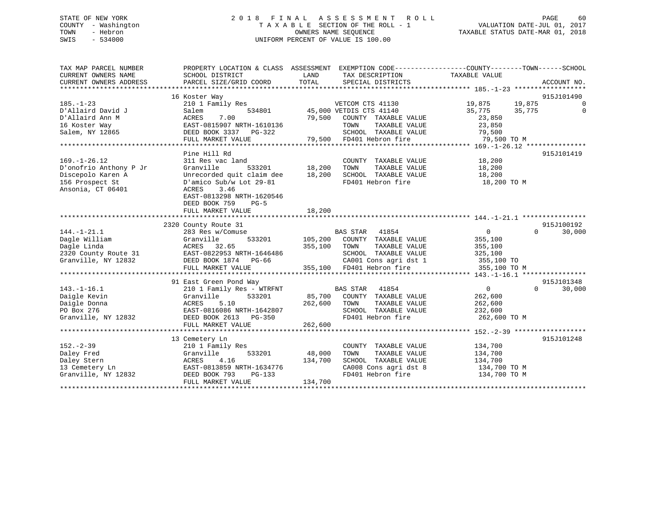## STATE OF NEW YORK 2 0 1 8 F I N A L A S S E S S M E N T R O L L PAGE 60 COUNTY - Washington T A X A B L E SECTION OF THE ROLL - 1 VALUATION DATE-JUL 01, 2017 TOWN - Hebron OWNERS NAME SEQUENCE TAXABLE STATUS DATE-MAR 01, 2018 SWIS - 534000 UNIFORM PERCENT OF VALUE IS 100.00

TAX MAP PARCEL NUMBER PROPERTY LOCATION & CLASS ASSESSMENT EXEMPTION CODE------------------COUNTY--------TOWN------SCHOOL CURRENT OWNERS NAME SCHOOL DISTRICT LAND TAX DESCRIPTION TAXABLE VALUE CURRENT OWNERS ADDRESS PARCEL SIZE/GRID COORD TOTAL SPECIAL DISTRICTS ACCOUNT NO. \*\*\*\*\*\*\*\*\*\*\*\*\*\*\*\*\*\*\*\*\*\*\*\*\*\*\*\*\*\*\*\*\*\*\*\*\*\*\*\*\*\*\*\*\*\*\*\*\*\*\*\*\*\*\*\*\*\*\*\*\*\*\*\*\*\*\*\*\*\*\*\*\*\*\*\*\*\*\*\*\*\*\*\*\*\*\*\*\*\*\*\*\*\*\*\*\*\*\*\*\*\*\* 185.-1-23 \*\*\*\*\*\*\*\*\*\*\*\*\*\*\*\*\*\* 16 Koster Way 915J101490 185.-1-23 210 1 Family Res VETCOM CTS 41130 19,875 19,875 0 D'Allaird David J Salem 534801 45,000 VETDIS CTS 41140 35,775 35,775 0 D'Allaird Ann M ACRES 7.00 79,500 COUNTY TAXABLE VALUE 23,850 16 Koster Way EAST-0815907 NRTH-1610136 TOWN TAXABLE VALUE 23,850 Salem, NY 12865 DEED BOOK 3337 PG-322 SCHOOL TAXABLE VALUE 79,500 FULL MARKET VALUE 79,500 FD401 Hebron fire 79,500 TO M \*\*\*\*\*\*\*\*\*\*\*\*\*\*\*\*\*\*\*\*\*\*\*\*\*\*\*\*\*\*\*\*\*\*\*\*\*\*\*\*\*\*\*\*\*\*\*\*\*\*\*\*\*\*\*\*\*\*\*\*\*\*\*\*\*\*\*\*\*\*\*\*\*\*\*\*\*\*\*\*\*\*\*\*\*\*\*\*\*\*\*\*\*\*\*\*\*\*\*\*\*\*\* 169.-1-26.12 \*\*\*\*\*\*\*\*\*\*\*\*\*\*\*Pine Hill Rd 915J101419 169.-1-26.12 311 Res vac land COUNTY TAXABLE VALUE 18,200 D'onofrio Anthony P Jr Granville 533201 18,200 TOWN TAXABLE VALUE 18,200 Discepolo Karen A Unrecorded quit claim dee 18,200 SCHOOL TAXABLE VALUE 18,200 156 Prospect St D'amico Sub/w Lot 29-81 FD401 Hebron fire 18,200 TO M Ansonia, CT 06401 ACRES 3.46 EAST-0813298 NRTH-1620546 DEED BOOK 759 PG-5FULL MARKET VALUE 18,200 \*\*\*\*\*\*\*\*\*\*\*\*\*\*\*\*\*\*\*\*\*\*\*\*\*\*\*\*\*\*\*\*\*\*\*\*\*\*\*\*\*\*\*\*\*\*\*\*\*\*\*\*\*\*\*\*\*\*\*\*\*\*\*\*\*\*\*\*\*\*\*\*\*\*\*\*\*\*\*\*\*\*\*\*\*\*\*\*\*\*\*\*\*\*\*\*\*\*\*\*\*\*\* 144.-1-21.1 \*\*\*\*\*\*\*\*\*\*\*\*\*\*\*\* 2320 County Route 31 915J100192 144.-1-21.1 283 Res w/Comuse BAS STAR 41854 0 0 30,000 Dagle William Granville 533201 105,200 COUNTY TAXABLE VALUE 355,100 Dagle Linda ACRES 32.65 355,100 TOWN TAXABLE VALUE 355,100 2320 County Route 31 EAST-0822953 NRTH-1646486 SCHOOL TAXABLE VALUE 325,100 Granville, NY 12832 DEED BOOK 1874 PG-66 CA001 Cons agri dst 1 355,100 TO FULL MARKET VALUE 355,100 FD401 Hebron fire 355,100 TO M \*\*\*\*\*\*\*\*\*\*\*\*\*\*\*\*\*\*\*\*\*\*\*\*\*\*\*\*\*\*\*\*\*\*\*\*\*\*\*\*\*\*\*\*\*\*\*\*\*\*\*\*\*\*\*\*\*\*\*\*\*\*\*\*\*\*\*\*\*\*\*\*\*\*\*\*\*\*\*\*\*\*\*\*\*\*\*\*\*\*\*\*\*\*\*\*\*\*\*\*\*\*\* 143.-1-16.1 \*\*\*\*\*\*\*\*\*\*\*\*\*\*\*\*915J101348 91 East Green Pond Way 915J101348 143.-1-16.1 210 1 Family Res - WTRFNT BAS STAR 41854 0 0 30,000 Daigle Kevin Granville 533201 85,700 COUNTY TAXABLE VALUE 262,600 Daigle Donna ACRES 5.10 262,600 TOWN TAXABLE VALUE 262,600 PO Box 276 EAST-0816086 NRTH-1642807 SCHOOL TAXABLE VALUE 232,600 Granville, NY 12832 DEED BOOK 2613 PG-350 FD401 Hebron fire 262,600 TO M FULL MARKET VALUE 262,600 \*\*\*\*\*\*\*\*\*\*\*\*\*\*\*\*\*\*\*\*\*\*\*\*\*\*\*\*\*\*\*\*\*\*\*\*\*\*\*\*\*\*\*\*\*\*\*\*\*\*\*\*\*\*\*\*\*\*\*\*\*\*\*\*\*\*\*\*\*\*\*\*\*\*\*\*\*\*\*\*\*\*\*\*\*\*\*\*\*\*\*\*\*\*\*\*\*\*\*\*\*\*\* 152.-2-39 \*\*\*\*\*\*\*\*\*\*\*\*\*\*\*\*\*\* 13 Cemetery Ln 915J101248 152.-2-39 210 1 Family Res COUNTY TAXABLE VALUE 134,700 Daley Fred Granville 533201 48,000 TOWN TAXABLE VALUE 134,700 Daley Stern ACRES 4.16 134,700 SCHOOL TAXABLE VALUE 134,700 13 Cemetery Ln EAST-0813859 NRTH-1634776 CA008 Cons agri dst 8 134,700 TO M Granville, NY 12832 DEED BOOK 793 PG-133 FD401 Hebron fire 134,700 TO M FULL MARKET VALUE 134,700 \*\*\*\*\*\*\*\*\*\*\*\*\*\*\*\*\*\*\*\*\*\*\*\*\*\*\*\*\*\*\*\*\*\*\*\*\*\*\*\*\*\*\*\*\*\*\*\*\*\*\*\*\*\*\*\*\*\*\*\*\*\*\*\*\*\*\*\*\*\*\*\*\*\*\*\*\*\*\*\*\*\*\*\*\*\*\*\*\*\*\*\*\*\*\*\*\*\*\*\*\*\*\*\*\*\*\*\*\*\*\*\*\*\*\*\*\*\*\*\*\*\*\*\*\*\*\*\*\*\*\*\*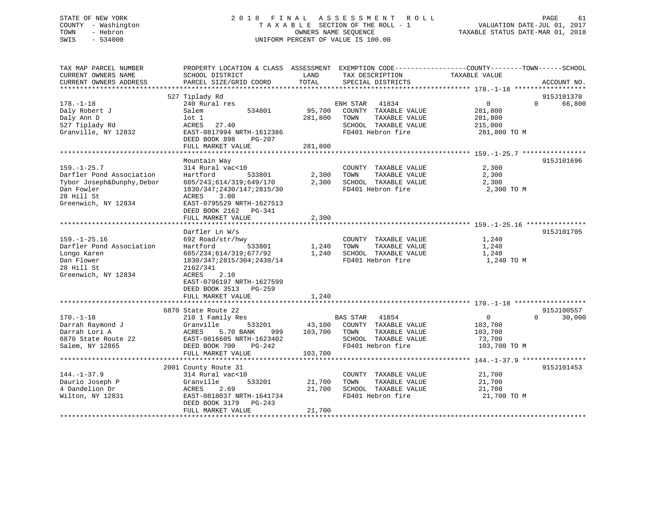## STATE OF NEW YORK 2 0 1 8 F I N A L A S S E S S M E N T R O L L PAGE 61 COUNTY - Washington T A X A B L E SECTION OF THE ROLL - 1 VALUATION DATE-JUL 01, 2017 TOWN - Hebron OWNERS NAME SEQUENCE TAXABLE STATUS DATE-MAR 01, 2018 SWIS - 534000 UNIFORM PERCENT OF VALUE IS 100.00

| PARCEL SIZE/GRID COORD<br>TOTAL<br>CURRENT OWNERS ADDRESS<br>SPECIAL DISTRICTS<br>********************<br>527 Tiplady Rd<br>915J101378<br>$178. - 1 - 18$<br>66,800<br>240 Rural res<br>ENH STAR<br>41834<br>$\overline{0}$<br>$\Omega$<br>534801<br>95,700<br>COUNTY TAXABLE VALUE<br>Daly Robert J<br>Salem<br>281,800<br>Daly Ann D<br>$1$ ot $1$<br>281,800<br>TOWN<br>TAXABLE VALUE<br>281,800<br>527 Tiplady Rd<br>ACRES<br>27.40<br>SCHOOL TAXABLE VALUE<br>215,000<br>FD401 Hebron fire<br>Granville, NY 12832<br>EAST-0817994 NRTH-1612386<br>281,800 TO M<br>DEED BOOK 898<br>PG-207<br>FULL MARKET VALUE<br>281,800<br>*******************<br>915J101696<br>Mountain Way<br>$159. - 1 - 25.7$<br>2,300<br>314 Rural vac<10<br>COUNTY TAXABLE VALUE<br>2,300<br>Darfler Pond Association<br>Hartford<br>533801<br>TOWN<br>TAXABLE VALUE<br>2,300<br>Tybor Joseph&Dunphy, Debor<br>605/243;614/319;649/170<br>2,300<br>SCHOOL TAXABLE VALUE<br>2,300<br>Dan Fowler<br>1830/347;2430/147;2815/30<br>FD401 Hebron fire<br>2,300 TO M<br>28 Hill St<br>3.00<br>ACRES<br>Greenwich, NY 12834<br>EAST-0795529 NRTH-1627513<br>DEED BOOK 2162 PG-341<br>2,300<br>FULL MARKET VALUE<br>*****************************<br>Darfler Ln W/s<br>915J101705 | TAX MAP PARCEL NUMBER<br>CURRENT OWNERS NAME | PROPERTY LOCATION & CLASS ASSESSMENT<br>SCHOOL DISTRICT | LAND | EXEMPTION CODE-----------------COUNTY-------TOWN------SCHOOL<br>TAX DESCRIPTION | TAXABLE VALUE |             |
|--------------------------------------------------------------------------------------------------------------------------------------------------------------------------------------------------------------------------------------------------------------------------------------------------------------------------------------------------------------------------------------------------------------------------------------------------------------------------------------------------------------------------------------------------------------------------------------------------------------------------------------------------------------------------------------------------------------------------------------------------------------------------------------------------------------------------------------------------------------------------------------------------------------------------------------------------------------------------------------------------------------------------------------------------------------------------------------------------------------------------------------------------------------------------------------------------------------------------------------------------------|----------------------------------------------|---------------------------------------------------------|------|---------------------------------------------------------------------------------|---------------|-------------|
|                                                                                                                                                                                                                                                                                                                                                                                                                                                                                                                                                                                                                                                                                                                                                                                                                                                                                                                                                                                                                                                                                                                                                                                                                                                        |                                              |                                                         |      |                                                                                 |               | ACCOUNT NO. |
|                                                                                                                                                                                                                                                                                                                                                                                                                                                                                                                                                                                                                                                                                                                                                                                                                                                                                                                                                                                                                                                                                                                                                                                                                                                        |                                              |                                                         |      |                                                                                 |               |             |
|                                                                                                                                                                                                                                                                                                                                                                                                                                                                                                                                                                                                                                                                                                                                                                                                                                                                                                                                                                                                                                                                                                                                                                                                                                                        |                                              |                                                         |      |                                                                                 |               |             |
|                                                                                                                                                                                                                                                                                                                                                                                                                                                                                                                                                                                                                                                                                                                                                                                                                                                                                                                                                                                                                                                                                                                                                                                                                                                        |                                              |                                                         |      |                                                                                 |               |             |
|                                                                                                                                                                                                                                                                                                                                                                                                                                                                                                                                                                                                                                                                                                                                                                                                                                                                                                                                                                                                                                                                                                                                                                                                                                                        |                                              |                                                         |      |                                                                                 |               |             |
|                                                                                                                                                                                                                                                                                                                                                                                                                                                                                                                                                                                                                                                                                                                                                                                                                                                                                                                                                                                                                                                                                                                                                                                                                                                        |                                              |                                                         |      |                                                                                 |               |             |
|                                                                                                                                                                                                                                                                                                                                                                                                                                                                                                                                                                                                                                                                                                                                                                                                                                                                                                                                                                                                                                                                                                                                                                                                                                                        |                                              |                                                         |      |                                                                                 |               |             |
|                                                                                                                                                                                                                                                                                                                                                                                                                                                                                                                                                                                                                                                                                                                                                                                                                                                                                                                                                                                                                                                                                                                                                                                                                                                        |                                              |                                                         |      |                                                                                 |               |             |
|                                                                                                                                                                                                                                                                                                                                                                                                                                                                                                                                                                                                                                                                                                                                                                                                                                                                                                                                                                                                                                                                                                                                                                                                                                                        |                                              |                                                         |      |                                                                                 |               |             |
|                                                                                                                                                                                                                                                                                                                                                                                                                                                                                                                                                                                                                                                                                                                                                                                                                                                                                                                                                                                                                                                                                                                                                                                                                                                        |                                              |                                                         |      |                                                                                 |               |             |
|                                                                                                                                                                                                                                                                                                                                                                                                                                                                                                                                                                                                                                                                                                                                                                                                                                                                                                                                                                                                                                                                                                                                                                                                                                                        |                                              |                                                         |      |                                                                                 |               |             |
|                                                                                                                                                                                                                                                                                                                                                                                                                                                                                                                                                                                                                                                                                                                                                                                                                                                                                                                                                                                                                                                                                                                                                                                                                                                        |                                              |                                                         |      |                                                                                 |               |             |
|                                                                                                                                                                                                                                                                                                                                                                                                                                                                                                                                                                                                                                                                                                                                                                                                                                                                                                                                                                                                                                                                                                                                                                                                                                                        |                                              |                                                         |      |                                                                                 |               |             |
|                                                                                                                                                                                                                                                                                                                                                                                                                                                                                                                                                                                                                                                                                                                                                                                                                                                                                                                                                                                                                                                                                                                                                                                                                                                        |                                              |                                                         |      |                                                                                 |               |             |
|                                                                                                                                                                                                                                                                                                                                                                                                                                                                                                                                                                                                                                                                                                                                                                                                                                                                                                                                                                                                                                                                                                                                                                                                                                                        |                                              |                                                         |      |                                                                                 |               |             |
|                                                                                                                                                                                                                                                                                                                                                                                                                                                                                                                                                                                                                                                                                                                                                                                                                                                                                                                                                                                                                                                                                                                                                                                                                                                        |                                              |                                                         |      |                                                                                 |               |             |
|                                                                                                                                                                                                                                                                                                                                                                                                                                                                                                                                                                                                                                                                                                                                                                                                                                                                                                                                                                                                                                                                                                                                                                                                                                                        |                                              |                                                         |      |                                                                                 |               |             |
|                                                                                                                                                                                                                                                                                                                                                                                                                                                                                                                                                                                                                                                                                                                                                                                                                                                                                                                                                                                                                                                                                                                                                                                                                                                        |                                              |                                                         |      |                                                                                 |               |             |
|                                                                                                                                                                                                                                                                                                                                                                                                                                                                                                                                                                                                                                                                                                                                                                                                                                                                                                                                                                                                                                                                                                                                                                                                                                                        |                                              |                                                         |      |                                                                                 |               |             |
|                                                                                                                                                                                                                                                                                                                                                                                                                                                                                                                                                                                                                                                                                                                                                                                                                                                                                                                                                                                                                                                                                                                                                                                                                                                        |                                              |                                                         |      |                                                                                 |               |             |
|                                                                                                                                                                                                                                                                                                                                                                                                                                                                                                                                                                                                                                                                                                                                                                                                                                                                                                                                                                                                                                                                                                                                                                                                                                                        |                                              |                                                         |      |                                                                                 |               |             |
| $159. - 1 - 25.16$<br>692 Road/str/hwy<br>1,240<br>COUNTY TAXABLE VALUE                                                                                                                                                                                                                                                                                                                                                                                                                                                                                                                                                                                                                                                                                                                                                                                                                                                                                                                                                                                                                                                                                                                                                                                |                                              |                                                         |      |                                                                                 |               |             |
| Darfler Pond Association<br>Hartford<br>1,240<br>TOWN<br>TAXABLE VALUE<br>1,240<br>533801                                                                                                                                                                                                                                                                                                                                                                                                                                                                                                                                                                                                                                                                                                                                                                                                                                                                                                                                                                                                                                                                                                                                                              |                                              |                                                         |      |                                                                                 |               |             |
| 605/234;614/319;677/92<br>1,240<br>SCHOOL TAXABLE VALUE<br>1,240<br>Longo Karen                                                                                                                                                                                                                                                                                                                                                                                                                                                                                                                                                                                                                                                                                                                                                                                                                                                                                                                                                                                                                                                                                                                                                                        |                                              |                                                         |      |                                                                                 |               |             |
| Dan Flower<br>1830/347;2815/304;2430/14<br>FD401 Hebron fire<br>1,240 TO M                                                                                                                                                                                                                                                                                                                                                                                                                                                                                                                                                                                                                                                                                                                                                                                                                                                                                                                                                                                                                                                                                                                                                                             |                                              |                                                         |      |                                                                                 |               |             |
| 28 Hill St<br>2162/341                                                                                                                                                                                                                                                                                                                                                                                                                                                                                                                                                                                                                                                                                                                                                                                                                                                                                                                                                                                                                                                                                                                                                                                                                                 |                                              |                                                         |      |                                                                                 |               |             |
| Greenwich, NY 12834<br>ACRES<br>2.10                                                                                                                                                                                                                                                                                                                                                                                                                                                                                                                                                                                                                                                                                                                                                                                                                                                                                                                                                                                                                                                                                                                                                                                                                   |                                              |                                                         |      |                                                                                 |               |             |
| EAST-0796197 NRTH-1627599                                                                                                                                                                                                                                                                                                                                                                                                                                                                                                                                                                                                                                                                                                                                                                                                                                                                                                                                                                                                                                                                                                                                                                                                                              |                                              |                                                         |      |                                                                                 |               |             |
| DEED BOOK 3513 PG-259                                                                                                                                                                                                                                                                                                                                                                                                                                                                                                                                                                                                                                                                                                                                                                                                                                                                                                                                                                                                                                                                                                                                                                                                                                  |                                              |                                                         |      |                                                                                 |               |             |
| 1,240<br>FULL MARKET VALUE                                                                                                                                                                                                                                                                                                                                                                                                                                                                                                                                                                                                                                                                                                                                                                                                                                                                                                                                                                                                                                                                                                                                                                                                                             |                                              |                                                         |      |                                                                                 |               |             |
|                                                                                                                                                                                                                                                                                                                                                                                                                                                                                                                                                                                                                                                                                                                                                                                                                                                                                                                                                                                                                                                                                                                                                                                                                                                        |                                              |                                                         |      |                                                                                 |               |             |
| 6870 State Route 22                                                                                                                                                                                                                                                                                                                                                                                                                                                                                                                                                                                                                                                                                                                                                                                                                                                                                                                                                                                                                                                                                                                                                                                                                                    |                                              |                                                         |      |                                                                                 |               | 915J100557  |
| $170. - 1 - 18$<br>210 1 Family Res<br><b>BAS STAR</b><br>41854<br>$\mathbf{0}$<br>$\Omega$                                                                                                                                                                                                                                                                                                                                                                                                                                                                                                                                                                                                                                                                                                                                                                                                                                                                                                                                                                                                                                                                                                                                                            |                                              |                                                         |      |                                                                                 |               | 30,000      |
| 43,100<br>Darrah Raymond J<br>Granville<br>533201<br>COUNTY TAXABLE VALUE<br>103,700                                                                                                                                                                                                                                                                                                                                                                                                                                                                                                                                                                                                                                                                                                                                                                                                                                                                                                                                                                                                                                                                                                                                                                   |                                              |                                                         |      |                                                                                 |               |             |
| 103,700<br>Darrah Lori A<br>ACRES<br>5.70 BANK<br>999<br>TOWN<br>TAXABLE VALUE<br>103,700                                                                                                                                                                                                                                                                                                                                                                                                                                                                                                                                                                                                                                                                                                                                                                                                                                                                                                                                                                                                                                                                                                                                                              |                                              |                                                         |      |                                                                                 |               |             |
| 6870 State Route 22<br>EAST-0816605 NRTH-1623402<br>SCHOOL TAXABLE VALUE<br>73,700                                                                                                                                                                                                                                                                                                                                                                                                                                                                                                                                                                                                                                                                                                                                                                                                                                                                                                                                                                                                                                                                                                                                                                     |                                              |                                                         |      |                                                                                 |               |             |
| FD401 Hebron fire<br>Salem, NY 12865<br>DEED BOOK 700<br>PG-242<br>103,700 TO M                                                                                                                                                                                                                                                                                                                                                                                                                                                                                                                                                                                                                                                                                                                                                                                                                                                                                                                                                                                                                                                                                                                                                                        |                                              |                                                         |      |                                                                                 |               |             |
| FULL MARKET VALUE<br>103,700                                                                                                                                                                                                                                                                                                                                                                                                                                                                                                                                                                                                                                                                                                                                                                                                                                                                                                                                                                                                                                                                                                                                                                                                                           |                                              |                                                         |      |                                                                                 |               |             |
|                                                                                                                                                                                                                                                                                                                                                                                                                                                                                                                                                                                                                                                                                                                                                                                                                                                                                                                                                                                                                                                                                                                                                                                                                                                        |                                              |                                                         |      |                                                                                 |               |             |
| 2001 County Route 31                                                                                                                                                                                                                                                                                                                                                                                                                                                                                                                                                                                                                                                                                                                                                                                                                                                                                                                                                                                                                                                                                                                                                                                                                                   |                                              |                                                         |      |                                                                                 |               | 915J101453  |
| 314 Rural vac<10<br>$144. - 1 - 37.9$<br>COUNTY TAXABLE VALUE<br>21,700                                                                                                                                                                                                                                                                                                                                                                                                                                                                                                                                                                                                                                                                                                                                                                                                                                                                                                                                                                                                                                                                                                                                                                                |                                              |                                                         |      |                                                                                 |               |             |
| TAXABLE VALUE<br>Daurio Joseph P<br>Granville<br>533201<br>21,700<br>TOWN<br>21,700                                                                                                                                                                                                                                                                                                                                                                                                                                                                                                                                                                                                                                                                                                                                                                                                                                                                                                                                                                                                                                                                                                                                                                    |                                              |                                                         |      |                                                                                 |               |             |
| 4 Dandelion Dr<br>2.69<br>21,700<br>SCHOOL TAXABLE VALUE<br>21,700<br>ACRES                                                                                                                                                                                                                                                                                                                                                                                                                                                                                                                                                                                                                                                                                                                                                                                                                                                                                                                                                                                                                                                                                                                                                                            |                                              |                                                         |      |                                                                                 |               |             |
| EAST-0818037 NRTH-1641734<br>FD401 Hebron fire<br>21,700 TO M<br>Wilton, NY 12831                                                                                                                                                                                                                                                                                                                                                                                                                                                                                                                                                                                                                                                                                                                                                                                                                                                                                                                                                                                                                                                                                                                                                                      |                                              |                                                         |      |                                                                                 |               |             |
| DEED BOOK 3179<br>$PG-243$                                                                                                                                                                                                                                                                                                                                                                                                                                                                                                                                                                                                                                                                                                                                                                                                                                                                                                                                                                                                                                                                                                                                                                                                                             |                                              |                                                         |      |                                                                                 |               |             |
| FULL MARKET VALUE<br>21,700                                                                                                                                                                                                                                                                                                                                                                                                                                                                                                                                                                                                                                                                                                                                                                                                                                                                                                                                                                                                                                                                                                                                                                                                                            |                                              |                                                         |      |                                                                                 |               |             |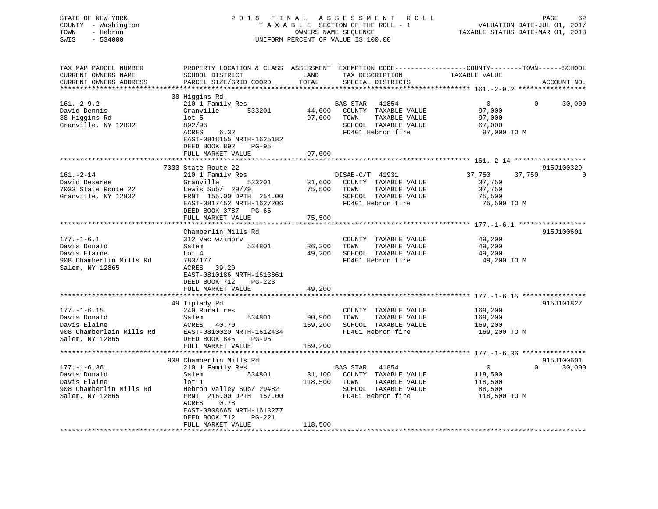| STATE OF NEW YORK<br>COUNTY - Washington<br>TOWN<br>- Hebron<br>SWIS<br>$-534000$ | 2018 FINAL                                          |               | A S S E S S M E N T<br>ROLL ROLL<br>TAXABLE SECTION OF THE ROLL - 1<br>OWNERS NAME SEQUENCE<br>UNIFORM PERCENT OF VALUE IS 100.00      | VALUATION DATE-JUL 01, 2017<br>TAXABLE STATUS DATE-MAR 01, 2018 | PAGE<br>62           |
|-----------------------------------------------------------------------------------|-----------------------------------------------------|---------------|----------------------------------------------------------------------------------------------------------------------------------------|-----------------------------------------------------------------|----------------------|
| TAX MAP PARCEL NUMBER<br>CURRENT OWNERS NAME<br>CURRENT OWNERS ADDRESS            | SCHOOL DISTRICT<br>PARCEL SIZE/GRID COORD           | LAND<br>TOTAL | PROPERTY LOCATION & CLASS ASSESSMENT EXEMPTION CODE---------------COUNTY-------TOWN-----SCHOOL<br>TAX DESCRIPTION<br>SPECIAL DISTRICTS | TAXABLE VALUE                                                   | ACCOUNT NO.          |
|                                                                                   | 38 Higgins Rd                                       |               |                                                                                                                                        |                                                                 |                      |
| $161.-2-9.2$                                                                      | 210 1 Family Res                                    |               | BAS STAR<br>41854                                                                                                                      | $\overline{0}$<br>0                                             | 30,000               |
| David Dennis                                                                      | Granville<br>533201                                 | 44,000        | COUNTY TAXABLE VALUE                                                                                                                   | 97,000                                                          |                      |
| 38 Higgins Rd<br>Granville, NY 12832                                              | $1$ ot 5<br>892/95                                  | 97,000        | TOWN<br>TAXABLE VALUE<br>SCHOOL TAXABLE VALUE                                                                                          | 97,000<br>67,000                                                |                      |
|                                                                                   | ACRES<br>6.32                                       |               | FD401 Hebron fire                                                                                                                      | 97,000 TO M                                                     |                      |
|                                                                                   | EAST-0818155 NRTH-1625182<br>DEED BOOK 892<br>PG-95 |               |                                                                                                                                        |                                                                 |                      |
|                                                                                   | FULL MARKET VALUE                                   | 97,000        |                                                                                                                                        |                                                                 |                      |
|                                                                                   |                                                     |               |                                                                                                                                        |                                                                 |                      |
|                                                                                   | 7033 State Route 22                                 |               |                                                                                                                                        |                                                                 | 915J100329           |
| $161. - 2 - 14$                                                                   | 210 1 Family Res                                    |               | DISAB-C/T 41931                                                                                                                        | 37,750<br>37,750                                                |                      |
| David Deseree                                                                     | Granville<br>533201                                 | 31,600        | COUNTY TAXABLE VALUE                                                                                                                   | 37,750                                                          |                      |
| 7033 State Route 22                                                               | Lewis Sub/ $29/79$                                  | 75,500        | TOWN<br>TAXABLE VALUE                                                                                                                  | 37,750                                                          |                      |
| Granville, NY 12832                                                               | FRNT 155.00 DPTH 254.00                             |               | SCHOOL TAXABLE VALUE                                                                                                                   | 75,500                                                          |                      |
|                                                                                   | EAST-0817452 NRTH-1627206                           |               | FD401 Hebron fire                                                                                                                      | 75,500 TO M                                                     |                      |
|                                                                                   | DEED BOOK 3787 PG-65<br>FULL MARKET VALUE           | 75,500        |                                                                                                                                        |                                                                 |                      |
|                                                                                   | *******************                                 |               |                                                                                                                                        |                                                                 |                      |
|                                                                                   | Chamberlin Mills Rd                                 |               |                                                                                                                                        |                                                                 | 915J100601           |
| $177. - 1 - 6.1$                                                                  | 312 Vac w/imprv                                     |               | COUNTY TAXABLE VALUE                                                                                                                   | 49,200                                                          |                      |
| Davis Donald                                                                      | Salem<br>534801                                     | 36,300        | TOWN<br>TAXABLE VALUE                                                                                                                  | 49,200                                                          |                      |
| Davis Elaine                                                                      | Lot 4                                               | 49,200        | SCHOOL TAXABLE VALUE                                                                                                                   | 49,200                                                          |                      |
| 908 Chamberlin Mills Rd                                                           | 783/177                                             |               | FD401 Hebron fire                                                                                                                      | 49,200 TO M                                                     |                      |
| Salem, NY 12865                                                                   | 39.20<br>ACRES                                      |               |                                                                                                                                        |                                                                 |                      |
|                                                                                   | EAST-0810186 NRTH-1613861                           |               |                                                                                                                                        |                                                                 |                      |
|                                                                                   | DEED BOOK 712<br>$PG-223$                           |               |                                                                                                                                        |                                                                 |                      |
|                                                                                   | FULL MARKET VALUE                                   | 49,200        |                                                                                                                                        |                                                                 |                      |
|                                                                                   |                                                     |               |                                                                                                                                        |                                                                 |                      |
|                                                                                   | 49 Tiplady Rd                                       |               |                                                                                                                                        |                                                                 | 915J101827           |
| $177. - 1 - 6.15$                                                                 | 240 Rural res                                       |               | COUNTY TAXABLE VALUE                                                                                                                   | 169,200                                                         |                      |
| Davis Donald                                                                      | Salem<br>534801                                     | 90,900        | TAXABLE VALUE<br>TOWN                                                                                                                  | 169,200                                                         |                      |
| Davis Elaine                                                                      | 40.70<br>ACRES                                      | 169,200       | SCHOOL TAXABLE VALUE                                                                                                                   | 169,200                                                         |                      |
| 908 Chamberlain Mills Rd                                                          | EAST-0810020 NRTH-1612434                           |               | FD401 Hebron fire                                                                                                                      | 169,200 TO M                                                    |                      |
| Salem, NY 12865                                                                   | DEED BOOK 845<br><b>PG-95</b>                       |               |                                                                                                                                        |                                                                 |                      |
|                                                                                   | FULL MARKET VALUE                                   | 169,200       |                                                                                                                                        |                                                                 |                      |
|                                                                                   |                                                     |               |                                                                                                                                        | ********************* 177.-1-6.36 *****************             |                      |
| $177. - 1 - 6.36$                                                                 | 908 Chamberlin Mills Rd<br>210 1 Family Res         |               | BAS STAR<br>41854                                                                                                                      | $\mathbf 0$<br>$\Omega$                                         | 915J100601<br>30,000 |
| Davis Donald                                                                      | 534801<br>Salem                                     | 31,100        | COUNTY TAXABLE VALUE                                                                                                                   |                                                                 |                      |
| Davis Elaine                                                                      | $1$ ot $1$                                          | 118,500       | TOWN<br>TAXABLE VALUE                                                                                                                  | 118,500<br>118,500                                              |                      |
| 908 Chamberlin Mills Rd                                                           | Hebron Valley Sub/ 29#82                            |               | SCHOOL TAXABLE VALUE                                                                                                                   | 88,500                                                          |                      |
| Salem, NY 12865                                                                   | FRNT 216.00 DPTH 157.00                             |               | FD401 Hebron fire                                                                                                                      | 118,500 TO M                                                    |                      |
|                                                                                   | ACRES<br>0.78                                       |               |                                                                                                                                        |                                                                 |                      |
|                                                                                   | EAST-0808665 NRTH-1613277                           |               |                                                                                                                                        |                                                                 |                      |
|                                                                                   | DEED BOOK 712<br>PG-221                             |               |                                                                                                                                        |                                                                 |                      |
|                                                                                   | FULL MARKET VALUE                                   | 118,500       |                                                                                                                                        |                                                                 |                      |
|                                                                                   |                                                     |               |                                                                                                                                        |                                                                 |                      |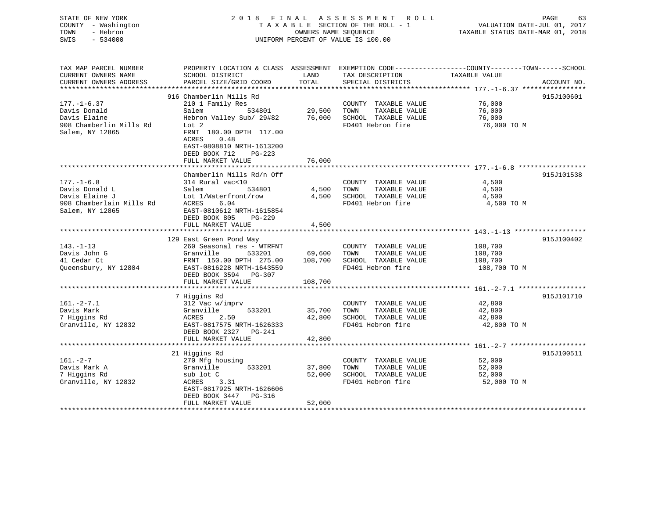| STATE OF NEW YORK   | 2018 FINAL ASSESSMENT ROLL         | 63<br>PAGE                       |
|---------------------|------------------------------------|----------------------------------|
| COUNTY - Washington | TAXABLE SECTION OF THE ROLL - 1    | VALUATION DATE-JUL 01, 2017      |
| TOWN<br>- Hebron    | OWNERS NAME SEQUENCE               | TAXABLE STATUS DATE-MAR 01, 2018 |
| SWIS - 534000       | UNIFORM PERCENT OF VALUE IS 100.00 |                                  |
|                     |                                    |                                  |

| TAX MAP PARCEL NUMBER    | PROPERTY LOCATION & CLASS ASSESSMENT EXEMPTION CODE----------------COUNTY-------TOWN------SCHOOL |                        |                             |               |             |
|--------------------------|--------------------------------------------------------------------------------------------------|------------------------|-----------------------------|---------------|-------------|
| CURRENT OWNERS NAME      | SCHOOL DISTRICT                                                                                  | LAND                   | TAX DESCRIPTION             | TAXABLE VALUE |             |
| CURRENT OWNERS ADDRESS   | PARCEL SIZE/GRID COORD                                                                           | TOTAL                  | SPECIAL DISTRICTS           |               | ACCOUNT NO. |
|                          |                                                                                                  |                        |                             |               |             |
|                          | 916 Chamberlin Mills Rd                                                                          |                        |                             |               | 915J100601  |
| $177. - 1 - 6.37$        |                                                                                                  |                        |                             | 76,000        |             |
|                          | 210 1 Family Res                                                                                 | 。<br>534801     29,500 | COUNTY TAXABLE VALUE        |               |             |
| Davis Donald             | Salem                                                                                            |                        | TAXABLE VALUE<br>TOWN       | 76,000        |             |
| Davis Elaine             | Hebron Valley Sub/ 29#82 76,000                                                                  |                        | SCHOOL TAXABLE VALUE        | 76,000        |             |
| 908 Chamberlin Mills Rd  | Lot 2                                                                                            |                        | FD401 Hebron fire           | 76,000 TO M   |             |
| Salem, NY 12865          | FRNT 180.00 DPTH 117.00                                                                          |                        |                             |               |             |
|                          | ACRES<br>0.48                                                                                    |                        |                             |               |             |
|                          | EAST-0808810 NRTH-1613200                                                                        |                        |                             |               |             |
|                          | DEED BOOK 712<br>PG-223                                                                          |                        |                             |               |             |
|                          | FULL MARKET VALUE                                                                                | 76,000                 |                             |               |             |
|                          |                                                                                                  |                        |                             |               |             |
|                          | Chamberlin Mills Rd/n Off                                                                        |                        |                             |               | 915J101538  |
|                          |                                                                                                  |                        |                             |               |             |
| $177. - 1 - 6.8$         | 314 Rural vac<10                                                                                 |                        | COUNTY TAXABLE VALUE        | 4,500         |             |
| Davis Donald L           | Salem<br>534801                                                                                  | 4,500 TOWN             | TAXABLE VALUE               | 4,500         |             |
| Davis Elaine J           | Lot 1/Waterfront/row                                                                             |                        | 4,500 SCHOOL TAXABLE VALUE  | 4,500         |             |
| 908 Chamberlain Mills Rd | ACRES<br>6.04                                                                                    |                        | FD401 Hebron fire           | 4,500 TO M    |             |
| Salem, NY 12865          | EAST-0810612 NRTH-1615854                                                                        |                        |                             |               |             |
|                          | DEED BOOK 805<br>PG-229                                                                          |                        |                             |               |             |
|                          | FULL MARKET VALUE                                                                                | 4,500                  |                             |               |             |
|                          |                                                                                                  |                        |                             |               |             |
|                          | 129 East Green Pond Way                                                                          |                        |                             |               | 915J100402  |
| $143. - 1 - 13$          | 260 Seasonal res - WTRFNT                                                                        |                        | COUNTY TAXABLE VALUE        | 108,700       |             |
| Davis John G             | Granville                                                                                        | 533201 69,600          | TOWN<br>TAXABLE VALUE       | 108,700       |             |
|                          |                                                                                                  |                        |                             |               |             |
| 41 Cedar Ct              | FRNT 150.00 DPTH 275.00 108,700                                                                  |                        | SCHOOL TAXABLE VALUE        | 108,700       |             |
| Queensbury, NY 12804     | EAST-0816228 NRTH-1643559                                                                        |                        | FD401 Hebron fire           | 108,700 TO M  |             |
|                          | DEED BOOK 3594 PG-307                                                                            |                        |                             |               |             |
|                          | FULL MARKET VALUE                                                                                | 108,700                |                             |               |             |
|                          |                                                                                                  |                        |                             |               |             |
|                          | 7 Higgins Rd                                                                                     |                        |                             |               | 915J101710  |
| $161. - 2 - 7.1$         | 312 Vac w/imprv                                                                                  |                        | COUNTY TAXABLE VALUE        | 42,800        |             |
| Davis Mark               | Granville<br>533201                                                                              | 35,700 TOWN            | TAXABLE VALUE               | 42,800        |             |
| 7 Higgins Rd             | ACRES<br>2.50                                                                                    |                        | 42,800 SCHOOL TAXABLE VALUE | 42,800        |             |
| Granville, NY 12832      | EAST-0817575 NRTH-1626333                                                                        |                        | FD401 Hebron fire           | 42,800 TO M   |             |
|                          | DEED BOOK 2327 PG-241                                                                            |                        |                             |               |             |
|                          | FULL MARKET VALUE                                                                                | 42,800                 |                             |               |             |
|                          |                                                                                                  |                        |                             |               |             |
|                          |                                                                                                  |                        |                             |               |             |
|                          | 21 Higgins Rd                                                                                    |                        |                             |               | 915J100511  |
| $161 - 2 - 7$            | 270 Mfg housing                                                                                  |                        | COUNTY TAXABLE VALUE        | 52,000        |             |
| Davis Mark A             | 533201<br>Granville                                                                              | 37,800                 | TOWN<br>TAXABLE VALUE       | 52,000        |             |
| 7 Higgins Rd             | sub lot C                                                                                        | 52,000                 | SCHOOL TAXABLE VALUE        | 52,000        |             |
| Granville, NY 12832      | ACRES<br>3.31                                                                                    |                        | FD401 Hebron fire           | 52,000 TO M   |             |
|                          | EAST-0817925 NRTH-1626606                                                                        |                        |                             |               |             |
|                          | DEED BOOK 3447 PG-316                                                                            |                        |                             |               |             |
|                          | FULL MARKET VALUE                                                                                | 52,000                 |                             |               |             |
|                          |                                                                                                  |                        |                             |               |             |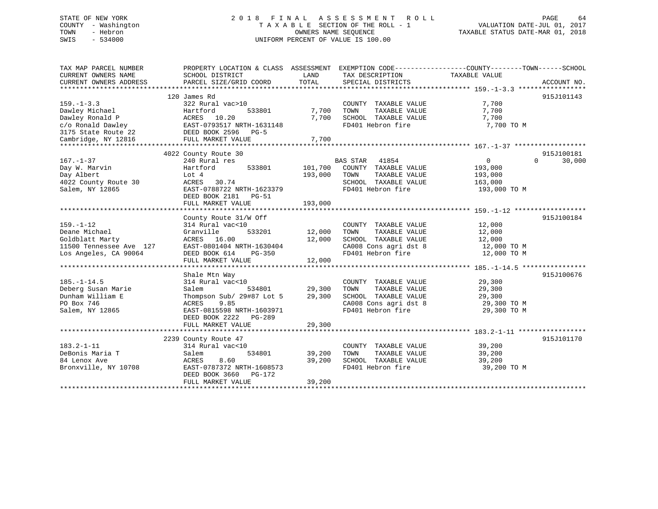## STATE OF NEW YORK 2 0 1 8 F I N A L A S S E S S M E N T R O L L PAGE 64 COUNTY - Washington T A X A B L E SECTION OF THE ROLL - 1 VALUATION DATE-JUL 01, 2017 TOWN - Hebron OWNERS NAME SEQUENCE TAXABLE STATUS DATE-MAR 01, 2018 SWIS - 534000 UNIFORM PERCENT OF VALUE IS 100.00

| TAX MAP PARCEL NUMBER   | PROPERTY LOCATION & CLASS ASSESSMENT EXEMPTION CODE---------------COUNTY-------TOWN------SCHOOL |         |                                            |                            |                    |
|-------------------------|-------------------------------------------------------------------------------------------------|---------|--------------------------------------------|----------------------------|--------------------|
| CURRENT OWNERS NAME     | SCHOOL DISTRICT                                                                                 | LAND    | TAX DESCRIPTION                            | TAXABLE VALUE              |                    |
| CURRENT OWNERS ADDRESS  | PARCEL SIZE/GRID COORD                                                                          | TOTAL   | SPECIAL DISTRICTS                          |                            | ACCOUNT NO.        |
|                         |                                                                                                 |         |                                            |                            |                    |
|                         | 120 James Rd                                                                                    |         |                                            |                            | 915J101143         |
| $159. - 1 - 3.3$        | 322 Rural vac>10                                                                                |         | COUNTY TAXABLE VALUE                       | 7,700                      |                    |
| Dawley Michael          | Hartford<br>533801                                                                              | 7,700   | TAXABLE VALUE<br>TOWN                      | 7,700                      |                    |
| Dawley Ronald P         | ACRES 10.20                                                                                     | 7,700   | SCHOOL TAXABLE VALUE                       | 7,700                      |                    |
|                         |                                                                                                 |         |                                            |                            |                    |
|                         |                                                                                                 |         |                                            |                            |                    |
|                         |                                                                                                 |         |                                            |                            |                    |
|                         |                                                                                                 |         |                                            |                            |                    |
|                         | 4022 County Route 30                                                                            |         |                                            |                            | 915J100181         |
| $167. - 1 - 37$         | 240 Rural res                                                                                   |         | BAS STAR 41854                             | 0                          | $\Omega$<br>30,000 |
| Day W. Marvin           | 533801<br>Hartford                                                                              |         | 101,700 COUNTY TAXABLE VALUE               | 193,000                    |                    |
| Day Albert              | Lot 4                                                                                           | 193,000 | TOWN<br>TAXABLE VALUE                      | 193,000                    |                    |
| 4022 County Route 30    | ACRES 30.74                                                                                     |         | SCHOOL TAXABLE VALUE                       | 163,000                    |                    |
| Salem, NY 12865         | EAST-0788722 NRTH-1623379                                                                       |         | FD401 Hebron fire                          | 193,000 ТО М               |                    |
|                         | DEED BOOK 2181 PG-51                                                                            |         |                                            |                            |                    |
|                         | FULL MARKET VALUE                                                                               | 193,000 |                                            |                            |                    |
|                         |                                                                                                 |         |                                            |                            | 915J100184         |
| $159. - 1 - 12$         | County Route 31/W Off                                                                           |         |                                            | 12,000                     |                    |
| Deane Michael           | 314 Rural vac<10<br>533201                                                                      | 12,000  | COUNTY TAXABLE VALUE<br>TAXABLE VALUE      |                            |                    |
|                         | Granville                                                                                       |         | TOWN<br>SCHOOL TAXABLE VALUE               | 12,000                     |                    |
| Goldblatt Marty         | ACRES 16.00<br>EAST-0801404 NRTH-1630404                                                        | 12,000  |                                            | 12,000                     |                    |
| 11500 Tennessee Ave 127 |                                                                                                 |         | CA008 Cons agri dst 8<br>FD401 Hebron fire | 12,000 TO M<br>12,000 TO M |                    |
| Los Angeles, CA 90064   | DEED BOOK 614 PG-350<br>FULL MARKET VALUE                                                       | 12,000  |                                            |                            |                    |
|                         |                                                                                                 |         |                                            |                            |                    |
|                         | Shale Mtn Way                                                                                   |         |                                            |                            | 915J100676         |
| $185. - 1 - 14.5$       | 314 Rural vac<10                                                                                |         | COUNTY TAXABLE VALUE                       | 29,300                     |                    |
| Deberg Susan Marie      | Salem                                                                                           | 29,300  | TOWN<br>TAXABLE VALUE                      | 29,300                     |                    |
| Dunham William E        | Thompson Sub/ 29#87 Lot 5                                                                       | 29,300  | SCHOOL TAXABLE VALUE                       | 29,300                     |                    |
| PO Box 746              | 9.85<br>ACRES                                                                                   |         | CA008 Cons agri dst 8                      | 29,300 TO M                |                    |
| Salem, NY 12865         | EAST-0815598 NRTH-1603971                                                                       |         | FD401 Hebron fire                          | 29,300 TO M                |                    |
|                         | DEED BOOK 2222 PG-289                                                                           |         |                                            |                            |                    |
|                         | FULL MARKET VALUE                                                                               | 29,300  |                                            |                            |                    |
|                         |                                                                                                 |         |                                            |                            |                    |
|                         | 2239 County Route 47                                                                            |         |                                            |                            | 915J101170         |
| $183.2 - 1 - 11$        | 314 Rural vac<10                                                                                |         | COUNTY TAXABLE VALUE                       | 39,200                     |                    |
| DeBonis Maria T         | 534801<br>Salem                                                                                 | 39,200  | TOWN<br>TAXABLE VALUE                      | 39,200                     |                    |
| 84 Lenox Ave            | ACRES<br>8.60                                                                                   | 39,200  | SCHOOL TAXABLE VALUE                       | 39,200                     |                    |
| Bronxville, NY 10708    | EAST-0787372 NRTH-1608573                                                                       |         | FD401 Hebron fire                          | 39,200 TO M                |                    |
|                         | DEED BOOK 3660<br>PG-172                                                                        |         |                                            |                            |                    |
|                         | FULL MARKET VALUE                                                                               | 39,200  |                                            |                            |                    |
|                         |                                                                                                 |         |                                            |                            |                    |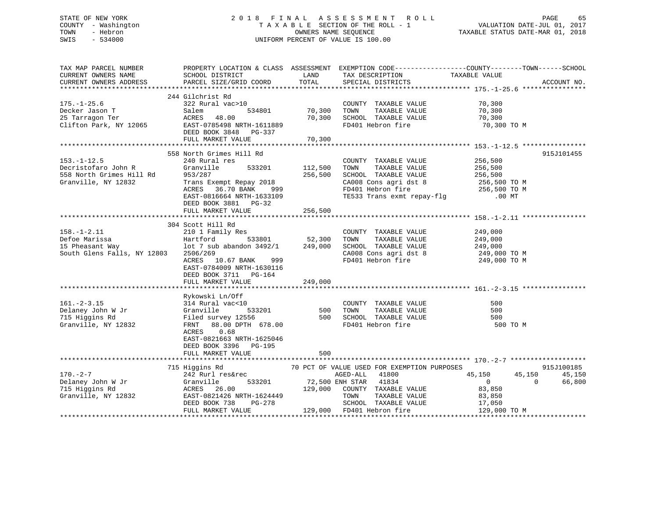## STATE OF NEW YORK 2 0 1 8 F I N A L A S S E S S M E N T R O L L PAGE 65 COUNTY - Washington T A X A B L E SECTION OF THE ROLL - 1 VALUATION DATE-JUL 01, 2017 TOWN - Hebron OWNERS NAME SEQUENCE TAXABLE STATUS DATE-MAR 01, 2018 SWIS - 534000 UNIFORM PERCENT OF VALUE IS 100.00

| ACCOUNT NO.          |
|----------------------|
|                      |
|                      |
|                      |
|                      |
| 915J101455           |
|                      |
|                      |
|                      |
|                      |
|                      |
|                      |
|                      |
|                      |
|                      |
|                      |
| 915J100185<br>45,150 |
| 66,800               |
|                      |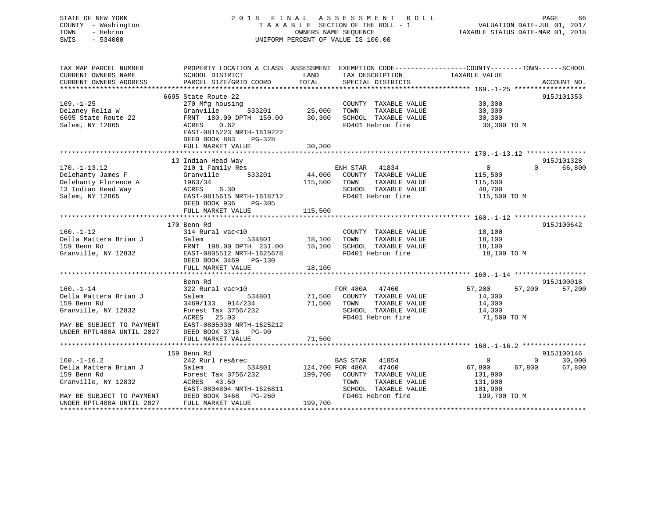# STATE OF NEW YORK 2018 FINAL ASSESSMENT ROLL COUNTY - Washington  $\begin{array}{ccc} 1 & 0 & 0 \\ 0 & 0 & 0 \end{array}$  T A X A B L E SECTION OF THE ROLL - 1 TOWN SWIS - 534000 UNIFORM PERCENT OF VALUE IS 100.00

VALUATION DATE-JUL 01, 2017

TAXABLE STATUS DATE-MAR 01, 2018

| TAX MAP PARCEL NUMBER     | PROPERTY LOCATION & CLASS ASSESSMENT EXEMPTION CODE---------------COUNTY-------TOWN-----SCHOOL |                    |                                                                     |               |                             |
|---------------------------|------------------------------------------------------------------------------------------------|--------------------|---------------------------------------------------------------------|---------------|-----------------------------|
| CURRENT OWNERS NAME       | SCHOOL DISTRICT                                                                                | LAND               | TAX DESCRIPTION                                                     | TAXABLE VALUE |                             |
| CURRENT OWNERS ADDRESS    | PARCEL SIZE/GRID COORD                                                                         | TOTAL              | SPECIAL DISTRICTS                                                   |               | ACCOUNT NO.                 |
|                           |                                                                                                |                    |                                                                     |               |                             |
|                           | 6695 State Route 22                                                                            |                    |                                                                     |               | 915J101353                  |
| $169. - 1 - 25$           | 270 Mfg housing                                                                                |                    | COUNTY TAXABLE VALUE                                                | 30,300        |                             |
| Delaney Relia W           | 533201<br>Granville                                                                            | 25,000             | TOWN<br>TAXABLE VALUE                                               | 30,300        |                             |
| 6695 State Route 22       | FRNT 180.00 DPTH 150.00                                                                        | 30,300             | SCHOOL TAXABLE VALUE                                                | 30,300        |                             |
| Salem, NY 12865           | ACRES 0.62                                                                                     |                    | FD401 Hebron fire                                                   | 30,300 TO M   |                             |
|                           | EAST-0815223 NRTH-1619222                                                                      |                    |                                                                     |               |                             |
|                           | DEED BOOK 883<br>$PG-328$                                                                      |                    |                                                                     |               |                             |
|                           | FULL MARKET VALUE                                                                              | 30,300             |                                                                     |               |                             |
|                           |                                                                                                |                    |                                                                     |               |                             |
|                           | 13 Indian Head Way                                                                             |                    |                                                                     |               | 915J101328                  |
| $170. - 1 - 13.12$        | 210 1 Family Res                                                                               |                    | ENH STAR 41834                                                      | $\Omega$      | $\Omega$<br>66,800          |
| Delehanty James F         | 533201<br>Granville                                                                            |                    | 44,000 COUNTY TAXABLE VALUE                                         | 115,500       |                             |
| Delehanty Florence A      | 1963/34                                                                                        | 115,500            | TAXABLE VALUE<br>TOWN                                               | 115,500       |                             |
| 13 Indian Head Way        | ACRES 6.30                                                                                     |                    | SCHOOL TAXABLE VALUE                                                | 48,700        |                             |
| Salem, NY 12865           | EAST-0815615 NRTH-1618712                                                                      |                    | FD401 Hebron fire                                                   | 115,500 TO M  |                             |
|                           | DEED BOOK 936<br>PG-305                                                                        |                    |                                                                     |               |                             |
|                           | FULL MARKET VALUE                                                                              | 115,500            |                                                                     |               |                             |
|                           |                                                                                                |                    |                                                                     |               |                             |
|                           | 170 Benn Rd                                                                                    |                    |                                                                     |               | 915J100642                  |
| $160. - 1 - 12$           | 314 Rural vac<10                                                                               |                    | COUNTY TAXABLE VALUE                                                | 18,100        |                             |
| Della Mattera Brian J     |                                                                                                | 534801 18,100 TOWN | TAXABLE VALUE                                                       | 18,100        |                             |
| 159 Benn Rd               |                                                                                                |                    | SCHOOL TAXABLE VALUE                                                | 18,100        |                             |
|                           | Granville, NY 12832 EAST-0805512 NRTH-1625678                                                  |                    | FD401 Hebron fire                                                   | 18,100 TO M   |                             |
|                           | DEED BOOK 3469 PG-130                                                                          |                    |                                                                     |               |                             |
|                           |                                                                                                |                    |                                                                     |               |                             |
|                           | FULL MARKET VALUE                                                                              | 18,100             |                                                                     |               |                             |
|                           |                                                                                                |                    |                                                                     |               | 915J100018                  |
|                           | Benn Rd                                                                                        |                    |                                                                     | 57,200        |                             |
| $160. - 1 - 14$           | 322 Rural vac>10                                                                               |                    | FOR 480A 47400<br>71,500 COUNTY TAXABLE VALUE<br>FILE TAXABLE VALUE | 57,200        | 57,200                      |
| Della Mattera Brian J     | 534801<br>Salem                                                                                |                    |                                                                     | 14,300        |                             |
| 159 Benn Rd               | 3469/133 914/234                                                                               | 71,500 TOWN        | TAXABLE VALUE                                                       | 14,300        |                             |
| Granville, NY 12832       | Forest Tax 3756/232                                                                            |                    | SCHOOL TAXABLE VALUE                                                | 14,300        |                             |
|                           | ACRES<br>25.03                                                                                 |                    | FD401 Hebron fire                                                   | 71,500 TO M   |                             |
| MAY BE SUBJECT TO PAYMENT | EAST-0805030 NRTH-1625212                                                                      |                    |                                                                     |               |                             |
| UNDER RPTL480A UNTIL 2027 | DEED BOOK 3716 PG-90                                                                           |                    |                                                                     |               |                             |
|                           | FULL MARKET VALUE                                                                              | 71,500             |                                                                     |               |                             |
|                           |                                                                                                |                    |                                                                     |               |                             |
|                           | 159 Benn Rd                                                                                    |                    |                                                                     |               | 915J100146                  |
| $160. - 1 - 16.2$         | 242 Rurl res&rec                                                                               |                    | BAS STAR 41854                                                      | $\mathbf{0}$  | 30,000<br>$0 \qquad \qquad$ |
| Della Mattera Brian J     | Salem<br>534801                                                                                | 124,700 FOR 480A   | 47460                                                               | 67,800        | 67,800<br>67,800            |
| 159 Benn Rd               | Forest Tax 3756/232                                                                            |                    | 199,700 COUNTY TAXABLE VALUE                                        | 131,900       |                             |
| Granville, NY 12832       | ACRES 43.50                                                                                    |                    | TOWN<br>TAXABLE VALUE                                               | 131,900       |                             |
|                           | EAST-0804804 NRTH-1626811                                                                      |                    | SCHOOL TAXABLE VALUE                                                | 101,900       |                             |
|                           | MAY BE SUBJECT TO PAYMENT DEED BOOK 3468 PG-260<br>UNDER RPTL480A UNTIL 2027 FULL MARKET VALUE |                    | FD401 Hebron fire                                                   | 199,700 TO M  |                             |
|                           |                                                                                                | 199,700            |                                                                     |               |                             |
|                           |                                                                                                |                    |                                                                     |               |                             |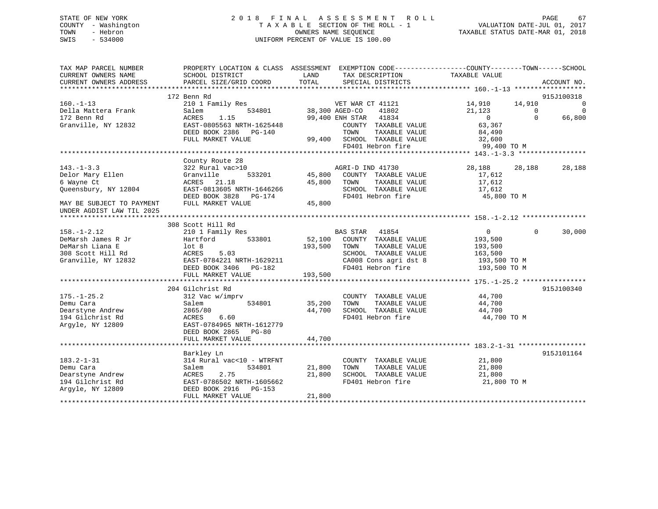## STATE OF NEW YORK 2 0 1 8 F I N A L A S S E S S M E N T R O L L PAGE 67 COUNTY - Washington T A X A B L E SECTION OF THE ROLL - 1 VALUATION DATE-JUL 01, 2017 TOWN - Hebron OWNERS NAME SEQUENCE TAXABLE STATUS DATE-MAR 01, 2018 SWIS - 534000 UNIFORM PERCENT OF VALUE IS 100.00

| TAX MAP PARCEL NUMBER<br>CURRENT OWNERS NAME<br>CURRENT OWNERS ADDRESS | SCHOOL DISTRICT<br>PARCEL SIZE/GRID COORD | PROPERTY LOCATION & CLASS ASSESSMENT EXEMPTION CODE----------------COUNTY-------TOWN------SCHOOL<br>LAND<br>TAX DESCRIPTION<br>TOTAL<br>SPECIAL DISTRICTS | TAXABLE VALUE<br>ACCOUNT NO.            |                                  |
|------------------------------------------------------------------------|-------------------------------------------|-----------------------------------------------------------------------------------------------------------------------------------------------------------|-----------------------------------------|----------------------------------|
|                                                                        |                                           |                                                                                                                                                           |                                         |                                  |
|                                                                        | 172 Benn Rd                               |                                                                                                                                                           | 915J100318                              |                                  |
| $160. - 1 - 13$<br>Della Mattera Frank                                 | 210 1 Family Res<br>Salem                 | VET WAR CT 41121<br>$-534801$ 38,300 AGED-CO<br>41802                                                                                                     | 14,910 14,910<br>21,123<br>$\mathbf{0}$ | $\overline{0}$<br>$\overline{0}$ |
| 172 Benn Rd                                                            | 1.15<br>ACRES                             | 99,400 ENH STAR 41834                                                                                                                                     | $\Omega$<br>66,800<br>$\overline{0}$    |                                  |
| Granville, NY 12832                                                    | EAST-0805563 NRTH-1625448                 | COUNTY TAXABLE VALUE                                                                                                                                      | 63,367                                  |                                  |
|                                                                        | DEED BOOK 2386 PG-140                     | TAXABLE VALUE<br>TOWN                                                                                                                                     | 84,490                                  |                                  |
|                                                                        | FULL MARKET VALUE                         | 99,400 SCHOOL TAXABLE VALUE                                                                                                                               | 32,600                                  |                                  |
|                                                                        |                                           | FD401 Hebron fire                                                                                                                                         | 99,400 TO M                             |                                  |
|                                                                        |                                           |                                                                                                                                                           |                                         |                                  |
|                                                                        | County Route 28                           |                                                                                                                                                           |                                         |                                  |
| $143. - 1 - 3.3$                                                       | 322 Rural vac>10                          | AGRI-D IND 41730                                                                                                                                          | 28,188<br>28,188<br>28,188              |                                  |
| Delor Mary Ellen                                                       | 533201<br>Granville                       | 45,800<br>COUNTY TAXABLE VALUE                                                                                                                            | 17,612                                  |                                  |
| 6 Wayne Ct                                                             | ACRES 21.18                               | 45,800<br>TOWN<br>TAXABLE VALUE                                                                                                                           | 17,612                                  |                                  |
| Oueensbury, NY 12804                                                   | EAST-0813605 NRTH-1646266                 | SCHOOL TAXABLE VALUE                                                                                                                                      | 17,612                                  |                                  |
|                                                                        | DEED BOOK 3828<br>PG-174                  | FD401 Hebron fire                                                                                                                                         | 45,800 TO M                             |                                  |
| MAY BE SUBJECT TO PAYMENT<br>UNDER AGDIST LAW TIL 2025                 | FULL MARKET VALUE                         | 45,800                                                                                                                                                    |                                         |                                  |
|                                                                        |                                           |                                                                                                                                                           |                                         |                                  |
|                                                                        | 308 Scott Hill Rd                         |                                                                                                                                                           |                                         |                                  |
| $158. - 1 - 2.12$                                                      | 210 1 Family Res                          | BAS STAR 41854                                                                                                                                            | $0 \qquad \qquad$<br>30,000<br>$\Omega$ |                                  |
| DeMarsh James R Jr                                                     | 533801<br>Hartford                        | 52,100<br>COUNTY TAXABLE VALUE                                                                                                                            | 193,500                                 |                                  |
| DeMarsh Liana E                                                        | lot 8                                     | 193,500<br>TOWN<br>TAXABLE VALUE                                                                                                                          | 193,500                                 |                                  |
| 308 Scott Hill Rd                                                      | ACRES<br>5.03                             | SCHOOL TAXABLE VALUE                                                                                                                                      | 163,500                                 |                                  |
| Granville, NY 12832                                                    | EAST-0784221 NRTH-1629211                 | CA008 Cons agri dst 8 193,500 TO M                                                                                                                        |                                         |                                  |
|                                                                        | DEED BOOK 3406 PG-182                     | FD401 Hebron fire                                                                                                                                         | 193,500 TO M                            |                                  |
|                                                                        | FULL MARKET VALUE                         | 193,500                                                                                                                                                   |                                         |                                  |
|                                                                        |                                           |                                                                                                                                                           |                                         |                                  |
|                                                                        | 204 Gilchrist Rd                          |                                                                                                                                                           | 915J100340                              |                                  |
| $175. - 1 - 25.2$                                                      | 312 Vac w/imprv                           | COUNTY TAXABLE VALUE                                                                                                                                      | 44,700<br>44.700                        |                                  |
| Demu Cara                                                              | 534801<br>Salem                           | 35,200<br>TAXABLE VALUE<br>TOWN                                                                                                                           | 44,700                                  |                                  |
| Dearstyne Andrew                                                       | 2865/80                                   | 44,700<br>SCHOOL TAXABLE VALUE                                                                                                                            | 44,700                                  |                                  |
| 194 Gilchrist Rd                                                       | ACRES<br>6.60                             | FD401 Hebron fire                                                                                                                                         | 44,700 TO M                             |                                  |
| Arqyle, NY 12809                                                       | EAST-0784965 NRTH-1612779                 |                                                                                                                                                           |                                         |                                  |
|                                                                        | DEED BOOK 2865 PG-80                      |                                                                                                                                                           |                                         |                                  |
|                                                                        | FULL MARKET VALUE                         | 44,700                                                                                                                                                    |                                         |                                  |
|                                                                        |                                           |                                                                                                                                                           |                                         |                                  |
|                                                                        | Barkley Ln                                |                                                                                                                                                           | 915J101164                              |                                  |
| $183.2 - 1 - 31$                                                       | 314 Rural vac<10 - WTRFNT                 | COUNTY TAXABLE VALUE                                                                                                                                      | 21,800                                  |                                  |
| Demu Cara                                                              | Salem<br>534801                           | 21,800<br>TAXABLE VALUE<br>TOWN                                                                                                                           | 21,800                                  |                                  |
| Dearstyne Andrew                                                       | 2.75<br>ACRES                             | 21,800<br>SCHOOL TAXABLE VALUE                                                                                                                            | 21,800                                  |                                  |
| 194 Gilchrist Rd                                                       | EAST-0786502 NRTH-1605662                 | FD401 Hebron fire                                                                                                                                         | 21,800 TO M                             |                                  |
| Arqyle, NY 12809                                                       | DEED BOOK 2916<br>PG-153                  |                                                                                                                                                           |                                         |                                  |
|                                                                        | FULL MARKET VALUE                         | 21,800                                                                                                                                                    |                                         |                                  |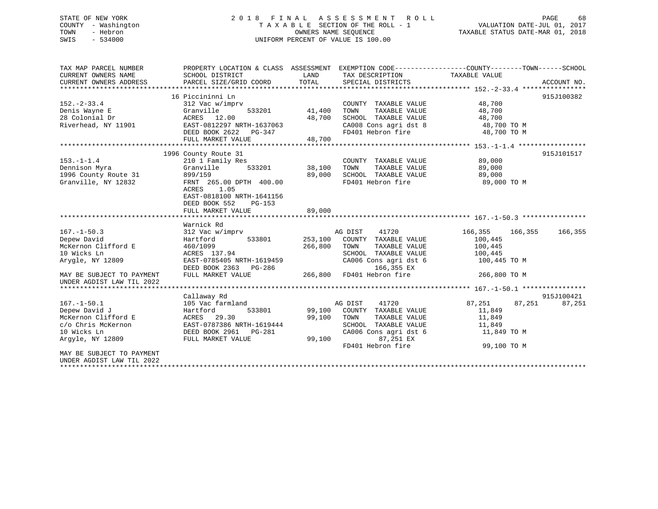## STATE OF NEW YORK 2 0 1 8 F I N A L A S S E S S M E N T R O L L PAGE 68 COUNTY - Washington T A X A B L E SECTION OF THE ROLL - 1 VALUATION DATE-JUL 01, 2017 TOWN - Hebron OWNERS NAME SEQUENCE TAXABLE STATUS DATE-MAR 01, 2018 SWIS - 534000 UNIFORM PERCENT OF VALUE IS 100.00

| TAX MAP PARCEL NUMBER                                  | PROPERTY LOCATION & CLASS ASSESSMENT EXEMPTION CODE---------------COUNTY-------TOWN------SCHOOL |               |                                                 |                            |             |
|--------------------------------------------------------|-------------------------------------------------------------------------------------------------|---------------|-------------------------------------------------|----------------------------|-------------|
| CURRENT OWNERS NAME                                    | SCHOOL DISTRICT                                                                                 |               | LAND TAX DESCRIPTION                            | TAXABLE VALUE              |             |
| CURRENT OWNERS ADDRESS                                 | PARCEL SIZE/GRID COORD                                                                          | TOTAL         | SPECIAL DISTRICTS                               |                            | ACCOUNT NO. |
|                                                        |                                                                                                 |               |                                                 |                            |             |
|                                                        | 16 Piccininni Ln                                                                                |               |                                                 |                            | 915J100382  |
| $152. - 2 - 33.4$                                      | 312 Vac w/imprv                                                                                 |               | COUNTY TAXABLE VALUE 48,700                     |                            |             |
| Denis Wayne E                                          | Granville                                                                                       | 533201 41,400 | TOWN                                            | TAXABLE VALUE 48,700       |             |
| 28 Colonial Dr                                         | ACRES 12.00                                                                                     | 48,700        | SCHOOL TAXABLE VALUE                            |                            |             |
| Riverhead, NY 11901                                    | EAST-0812297 NRTH-1637063                                                                       |               |                                                 | 48,700 TO M<br>48,700 TO M |             |
|                                                        | DEED BOOK 2622 PG-347                                                                           |               | CAUU8 Cons agri dst 8<br>FD401 Hebron fire      | 48,700 TO M                |             |
|                                                        | FULL MARKET VALUE                                                                               | 48,700        |                                                 |                            |             |
|                                                        |                                                                                                 |               |                                                 |                            |             |
|                                                        | 1996 County Route 31                                                                            |               |                                                 |                            | 915J101517  |
| $153. - 1 - 1.4$                                       | 210 1 Family Res                                                                                |               | COUNTY TAXABLE VALUE                            | 89,000                     |             |
| Dennison Myra                                          | Granville                                                                                       | 533201 38,100 | TOWN<br>TAXABLE VALUE                           | 89,000                     |             |
| 1996 County Route 31                                   | 899/159                                                                                         | 89,000        | SCHOOL TAXABLE VALUE                            | 89,000                     |             |
| Granville, NY 12832                                    | FRNT 265.00 DPTH 400.00                                                                         |               | FD401 Hebron fire                               | 89,000 TO M                |             |
|                                                        | ACRES 1.05                                                                                      |               |                                                 |                            |             |
|                                                        | EAST-0818100 NRTH-1641156                                                                       |               |                                                 |                            |             |
|                                                        | DEED BOOK 552<br>PG-153                                                                         |               |                                                 |                            |             |
|                                                        | FULL MARKET VALUE                                                                               | 89,000        |                                                 |                            |             |
|                                                        |                                                                                                 |               |                                                 |                            |             |
|                                                        | Warnick Rd                                                                                      |               |                                                 |                            |             |
| $167. - 1 - 50.3$                                      | 312 Vac w/imprv                                                                                 |               | AG DIST 41720                                   | 166,355 166,355            | 166,355     |
| Depew David                                            | Hartford 533801                                                                                 |               | 253,100 COUNTY TAXABLE VALUE                    | 100,445                    |             |
| McKernon Clifford E                                    | 460/1099                                                                                        | 266,800       | TOWN<br>TAXABLE VALUE                           | 100,445                    |             |
| 10 Wicks Ln                                            | ACRES 137.94                                                                                    |               | SCHOOL TAXABLE VALUE<br>CA006 Cons agri dst 6   | 100,445                    |             |
| Arygle, NY 12809                                       | EAST-0785405 NRTH-1619459<br>DEED BOOK 2363 PG-286                                              |               | 166,355 EX                                      | 100,445 TO M               |             |
|                                                        | FULL MARKET VALUE                                                                               |               | 45 ددد,166 166–168<br>266,800 FD401 Hebron fire | 266,800 TO M               |             |
| MAY BE SUBJECT TO PAYMENT<br>UNDER AGDIST LAW TIL 2022 |                                                                                                 |               |                                                 |                            |             |
|                                                        |                                                                                                 |               |                                                 |                            |             |
|                                                        | Callaway Rd                                                                                     |               |                                                 |                            | 915J100421  |
| $167. - 1 - 50.1$                                      | 105 Vac farmland                                                                                |               | AG DIST 41720                                   | 87,251<br>87,251           | 87,251      |
| Depew David J                                          | 533801<br>Hartford                                                                              |               | 99,100 COUNTY TAXABLE VALUE                     | 11,849                     |             |
| McKernon Clifford E                                    | ACRES 29.30                                                                                     | 99,100 TOWN   | TAXABLE VALUE                                   | 11,849                     |             |
| c/o Chris McKernon                                     | EAST-0787386 NRTH-1619444                                                                       |               | SCHOOL TAXABLE VALUE                            | 11,849                     |             |
| 10 Wicks Ln                                            | DEED BOOK 2961 PG-281                                                                           |               | CA006 Cons agri dst 6                           | 11,849 TO M                |             |
| Arqyle, NY 12809                                       | FULL MARKET VALUE                                                                               | 99,100        | 87,251 EX                                       |                            |             |
|                                                        |                                                                                                 |               | FD401 Hebron fire                               | 99,100 TO M                |             |
| MAY BE SUBJECT TO PAYMENT                              |                                                                                                 |               |                                                 |                            |             |
| UNDER AGDIST LAW TIL 2022                              |                                                                                                 |               |                                                 |                            |             |
|                                                        |                                                                                                 |               |                                                 |                            |             |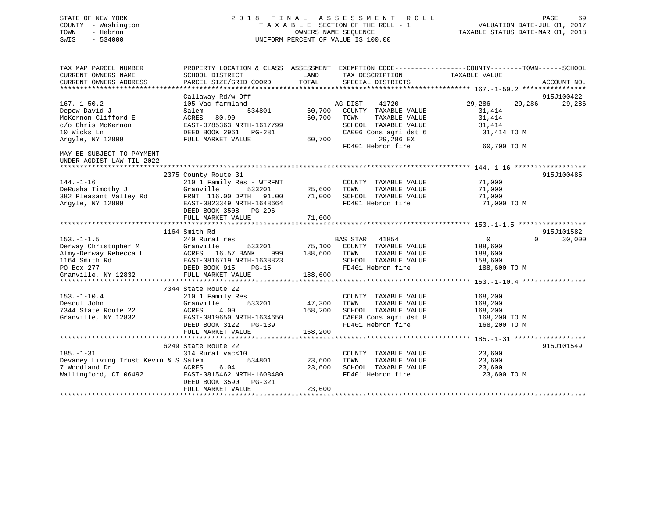## STATE OF NEW YORK 2 0 1 8 F I N A L A S S E S S M E N T R O L L PAGE 69 COUNTY - Washington T A X A B L E SECTION OF THE ROLL - 1 VALUATION DATE-JUL 01, 2017 TOWN - Hebron OWNERS NAME SEQUENCE TAXABLE STATUS DATE-MAR 01, 2018 SWIS - 534000 UNIFORM PERCENT OF VALUE IS 100.00

| TAX MAP PARCEL NUMBER<br>CURRENT OWNERS NAME<br>CURRENT OWNERS ADDRESS | PROPERTY LOCATION & CLASS ASSESSMENT EXEMPTION CODE---------------COUNTY-------TOWN-----SCHOOL<br>SCHOOL DISTRICT<br>PARCEL SIZE/GRID COORD | LAND<br>TOTAL | TAX DESCRIPTION<br>SPECIAL DISTRICTS | TAXABLE VALUE        | ACCOUNT NO. |
|------------------------------------------------------------------------|---------------------------------------------------------------------------------------------------------------------------------------------|---------------|--------------------------------------|----------------------|-------------|
|                                                                        | Callaway Rd/w Off                                                                                                                           |               |                                      |                      | 915J100422  |
| $167. - 1 - 50.2$                                                      | 105 Vac farmland                                                                                                                            |               | AG DIST<br>41720                     | 29,286<br>29,286     | 29,286      |
| Depew David J                                                          | 534801<br>Salem                                                                                                                             | 60,700        | COUNTY TAXABLE VALUE                 | 31,414               |             |
| McKernon Clifford E                                                    | ACRES<br>80.90                                                                                                                              | 60,700        | TOWN<br>TAXABLE VALUE                | 31,414               |             |
| c/o Chris McKernon                                                     | EAST-0785363 NRTH-1617799                                                                                                                   |               | SCHOOL TAXABLE VALUE                 | 31,414               |             |
| 10 Wicks Ln                                                            | DEED BOOK 2961 PG-281                                                                                                                       |               | CA006 Cons agri dst 6                | 31,414 TO M          |             |
| Argyle, NY 12809                                                       | FULL MARKET VALUE                                                                                                                           | 60,700        | 29,286 EX                            |                      |             |
|                                                                        |                                                                                                                                             |               | FD401 Hebron fire                    | 60,700 TO M          |             |
| MAY BE SUBJECT TO PAYMENT                                              |                                                                                                                                             |               |                                      |                      |             |
| UNDER AGDIST LAW TIL 2022                                              |                                                                                                                                             |               |                                      |                      |             |
|                                                                        |                                                                                                                                             |               |                                      |                      |             |
|                                                                        | 2375 County Route 31                                                                                                                        |               |                                      |                      | 915J100485  |
| $144. - 1 - 16$                                                        | 210 1 Family Res - WTRFNT                                                                                                                   |               | COUNTY TAXABLE VALUE                 | 71,000               |             |
| DeRusha Timothy J                                                      | 533201<br>Granville                                                                                                                         | 25,600        | TAXABLE VALUE<br>TOWN                | 71,000               |             |
| 382 Pleasant Valley Rd                                                 | FRNT 116.00 DPTH 91.00                                                                                                                      | 71,000        | SCHOOL TAXABLE VALUE                 | 71,000               |             |
| Argyle, NY 12809                                                       | EAST-0823349 NRTH-1648664                                                                                                                   |               | FD401 Hebron fire                    | 71,000 TO M          |             |
|                                                                        | DEED BOOK 3508 PG-296                                                                                                                       |               |                                      |                      |             |
|                                                                        | FULL MARKET VALUE                                                                                                                           | 71,000        |                                      |                      |             |
|                                                                        |                                                                                                                                             |               |                                      |                      |             |
|                                                                        | 1164 Smith Rd                                                                                                                               |               |                                      |                      | 915J101582  |
| $153. - 1 - 1.5$                                                       | 240 Rural res                                                                                                                               |               | <b>BAS STAR</b><br>41854             | $\Omega$<br>$\Omega$ | 30,000      |
| Derway Christopher M                                                   | Granville<br>533201                                                                                                                         | 75,100        | COUNTY TAXABLE VALUE                 | 188,600              |             |
| Almy-Derway Rebecca L                                                  | ACRES 16.57 BANK<br>999                                                                                                                     | 188,600       | TOWN<br>TAXABLE VALUE                | 188,600              |             |
| 1164 Smith Rd                                                          | EAST-0816719 NRTH-1638823                                                                                                                   |               | SCHOOL TAXABLE VALUE                 | 158,600              |             |
| PO Box 277                                                             | DEED BOOK 915<br>$PG-15$                                                                                                                    |               | FD401 Hebron fire                    | 188,600 TO M         |             |
| Granville, NY 12832                                                    | FULL MARKET VALUE                                                                                                                           | 188,600       |                                      |                      |             |
|                                                                        |                                                                                                                                             |               |                                      |                      |             |
|                                                                        | 7344 State Route 22                                                                                                                         |               |                                      |                      |             |
| $153. - 1 - 10.4$                                                      | 210 1 Family Res                                                                                                                            |               | COUNTY TAXABLE VALUE                 | 168,200              |             |
| Descul John                                                            | 533201<br>Granville                                                                                                                         | 47,300        | TAXABLE VALUE<br>TOWN                | 168,200              |             |
| 7344 State Route 22                                                    | 4.00<br>ACRES                                                                                                                               | 168,200       | SCHOOL TAXABLE VALUE                 | 168,200              |             |
| Granville, NY 12832                                                    | EAST-0819650 NRTH-1634650                                                                                                                   |               | CA008 Cons agri dst 8                | 168,200 TO M         |             |
|                                                                        | DEED BOOK 3122 PG-139                                                                                                                       |               | FD401 Hebron fire                    | 168,200 TO M         |             |
|                                                                        | FULL MARKET VALUE                                                                                                                           | 168,200       |                                      |                      |             |
|                                                                        |                                                                                                                                             |               |                                      |                      |             |
|                                                                        | 6249 State Route 22                                                                                                                         |               |                                      |                      | 915J101549  |
| $185. - 1 - 31$                                                        | 314 Rural vac<10                                                                                                                            |               | COUNTY TAXABLE VALUE                 | 23,600               |             |
| Devaney Living Trust Kevin & S Salem                                   | 534801                                                                                                                                      | 23,600        | TAXABLE VALUE<br>TOWN                | 23,600               |             |
| 7 Woodland Dr                                                          | 6.04<br>ACRES                                                                                                                               | 23,600        | SCHOOL TAXABLE VALUE                 | 23,600               |             |
| Wallingford, CT 06492                                                  | EAST-0815462 NRTH-1608480                                                                                                                   |               | FD401 Hebron fire                    | 23,600 TO M          |             |
|                                                                        | DEED BOOK 3590<br>PG-321                                                                                                                    |               |                                      |                      |             |
|                                                                        | FULL MARKET VALUE                                                                                                                           | 23,600        |                                      |                      |             |
|                                                                        |                                                                                                                                             |               |                                      |                      |             |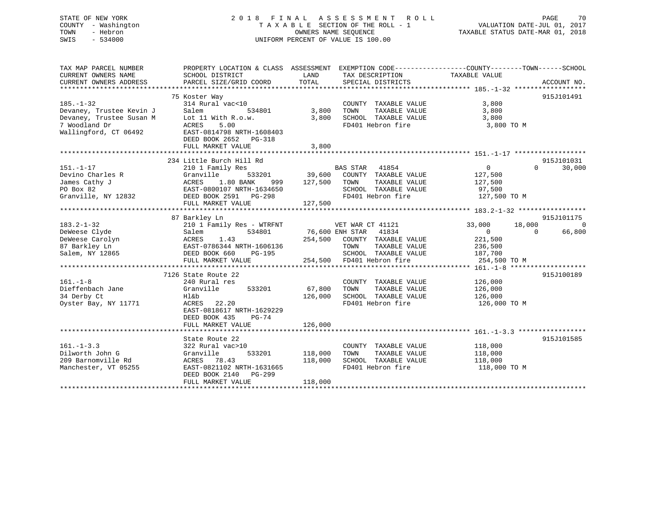## STATE OF NEW YORK 2 0 1 8 F I N A L A S S E S S M E N T R O L L PAGE 70 COUNTY - Washington T A X A B L E SECTION OF THE ROLL - 1 VALUATION DATE-JUL 01, 2017 TOWN - Hebron OWNERS NAME SEQUENCE TAXABLE STATUS DATE-MAR 01, 2018 SWIS - 534000 UNIFORM PERCENT OF VALUE IS 100.00

| SCHOOL DISTRICT<br>PARCEL SIZE/GRID COORD                                                                                                                              | LAND<br>TOTAL                                        | SPECIAL DISTRICTS                                                                          |                                                                                                                          | ACCOUNT NO.                                                                                                                                                                                    |
|------------------------------------------------------------------------------------------------------------------------------------------------------------------------|------------------------------------------------------|--------------------------------------------------------------------------------------------|--------------------------------------------------------------------------------------------------------------------------|------------------------------------------------------------------------------------------------------------------------------------------------------------------------------------------------|
| 75 Koster Way<br>314 Rural vac<10<br>Salem<br>534801<br>Lot 11 With R.o.w.<br>5.00<br>ACRES<br>EAST-0814798 NRTH-1608403<br>DEED BOOK 2652 PG-318<br>FULL MARKET VALUE | 3,800<br>3,800<br>3,800                              | COUNTY TAXABLE VALUE<br>TOWN<br>TAXABLE VALUE<br>SCHOOL TAXABLE VALUE<br>FD401 Hebron fire | 3,800<br>3,800<br>3,800<br>3,800 TO M                                                                                    | 915J101491                                                                                                                                                                                     |
| 234 Little Burch Hill Rd                                                                                                                                               |                                                      |                                                                                            |                                                                                                                          | 915J101031                                                                                                                                                                                     |
| 210 1 Family Res<br>533201<br>Granville<br>1.80 BANK<br>ACRES<br>999<br>EAST-0800107 NRTH-1634650<br>Granville, NY 12832<br>DEED BOOK 2591 PG-298<br>FULL MARKET VALUE | 127,500<br>127,500                                   | TOWN<br>TAXABLE VALUE<br>SCHOOL TAXABLE VALUE<br>FD401 Hebron fire                         | $\overline{0}$<br>127,500<br>127,500<br>97,500<br>127,500 TO M                                                           | 30,000<br>$\Omega$                                                                                                                                                                             |
|                                                                                                                                                                        |                                                      |                                                                                            |                                                                                                                          | 915J101175                                                                                                                                                                                     |
| 210 1 Family Res - WTRFNT<br>534801<br>Salem<br>1.43<br>ACRES<br>EAST-0786344 NRTH-1606136<br>DEED BOOK 660<br>PG-195<br>FULL MARKET VALUE                             |                                                      | TOWN<br>TAXABLE VALUE                                                                      | 33,000<br>18,000<br>$\overline{0}$<br>221,500<br>236,500<br>254,500 TO M                                                 | $\Omega$<br>66,800<br>$\Omega$                                                                                                                                                                 |
| 7126 State Route 22                                                                                                                                                    |                                                      |                                                                                            |                                                                                                                          | 915J100189                                                                                                                                                                                     |
| 240 Rural res<br>Granville<br>533201<br>Hl&b<br>ACRES 22.20<br>EAST-0818617 NRTH-1629229<br>DEED BOOK 435<br>$PG-74$                                                   | 67,800<br>126,000                                    | COUNTY TAXABLE VALUE<br>TOWN<br>TAXABLE VALUE<br>SCHOOL TAXABLE VALUE<br>FD401 Hebron fire | 126,000<br>126,000<br>126,000<br>126,000 ТО М                                                                            |                                                                                                                                                                                                |
|                                                                                                                                                                        |                                                      |                                                                                            |                                                                                                                          |                                                                                                                                                                                                |
| 322 Rural vac>10<br>533201<br>Granville<br>ACRES 78.43<br>EAST-0821102 NRTH-1631665<br>DEED BOOK 2140 PG-299<br>FULL MARKET VALUE                                      | 118,000<br>118,000<br>118,000                        | COUNTY TAXABLE VALUE<br>TOWN<br>TAXABLE VALUE<br>SCHOOL TAXABLE VALUE<br>FD401 Hebron fire | 118,000<br>118,000<br>118,000<br>118,000 TO M                                                                            | 915J101585                                                                                                                                                                                     |
|                                                                                                                                                                        | 87 Barkley Ln<br>FULL MARKET VALUE<br>State Route 22 | 126,000                                                                                    | BAS STAR 41854<br>VET WAR CT 41121<br>76,600 ENH STAR 41834<br>254,500 COUNTY TAXABLE VALUE<br>254,500 FD401 Hebron fire | PROPERTY LOCATION & CLASS ASSESSMENT EXEMPTION CODE---------------COUNTY-------TOWN-----SCHOOL<br>TAX DESCRIPTION TAXABLE VALUE<br>39,600 COUNTY TAXABLE VALUE<br>SCHOOL TAXABLE VALUE 187,700 |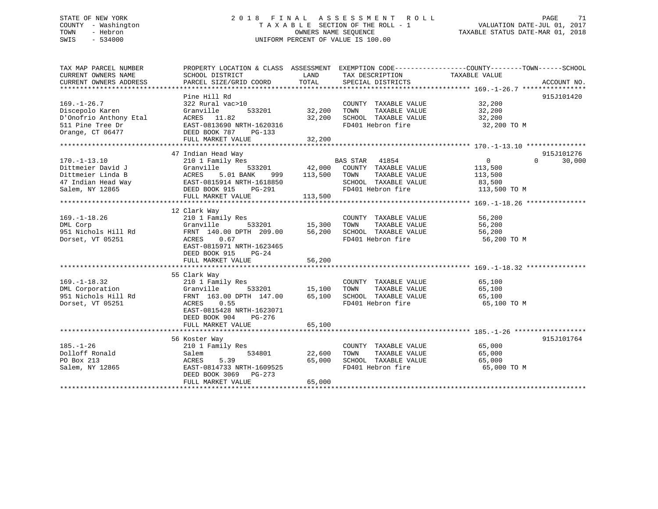## STATE OF NEW YORK 2 0 1 8 F I N A L A S S E S S M E N T R O L L PAGE 71 COUNTY - Washington T A X A B L E SECTION OF THE ROLL - 1 VALUATION DATE-JUL 01, 2017 TOWN - Hebron OWNERS NAME SEQUENCE TAXABLE STATUS DATE-MAR 01, 2018 SWIS - 534000 UNIFORM PERCENT OF VALUE IS 100.00

| TAX MAP PARCEL NUMBER                                                                                                                                                                          | PROPERTY LOCATION & CLASS ASSESSMENT EXEMPTION CODE---------------COUNTY-------TOWN-----SCHOOL | LAND             |                                                                                                                                                                                   |                        |                    |
|------------------------------------------------------------------------------------------------------------------------------------------------------------------------------------------------|------------------------------------------------------------------------------------------------|------------------|-----------------------------------------------------------------------------------------------------------------------------------------------------------------------------------|------------------------|--------------------|
| CURRENT OWNERS NAME                                                                                                                                                                            | SCHOOL DISTRICT<br>PARCEL SIZE/GRID COORD                                                      | TOTAL            | TAX DESCRIPTION                                                                                                                                                                   | TAXABLE VALUE          |                    |
| CURRENT OWNERS ADDRESS                                                                                                                                                                         |                                                                                                |                  | SPECIAL DISTRICTS                                                                                                                                                                 |                        | ACCOUNT NO.        |
|                                                                                                                                                                                                | Pine Hill Rd                                                                                   |                  |                                                                                                                                                                                   |                        | 915J101420         |
| $169. - 1 - 26.7$                                                                                                                                                                              | 322 Rural vac>10                                                                               |                  |                                                                                                                                                                                   |                        |                    |
| Discepolo Karen                                                                                                                                                                                | 533201<br>Granville                                                                            | 32,200           | COUNTY TAXABLE VALUE 32,200<br>TOWN TAXABLE VALUE 32,200<br>TOWN<br>TAXABLE VALUE                                                                                                 | 32,200                 |                    |
|                                                                                                                                                                                                |                                                                                                | 32,200           | SCHOOL TAXABLE VALUE                                                                                                                                                              | 32,200                 |                    |
|                                                                                                                                                                                                |                                                                                                |                  | FD401 Hebron fire                                                                                                                                                                 | 32,200 TO M            |                    |
|                                                                                                                                                                                                |                                                                                                |                  |                                                                                                                                                                                   |                        |                    |
|                                                                                                                                                                                                |                                                                                                |                  |                                                                                                                                                                                   |                        |                    |
| D'Onofrio Anthony Etal (1.82)<br>511 Pine Tree Dr (1.82)<br>62 EAST-0813690 NRTH-1620316<br>62 Orange, CT 06477 (1.82)<br>732 FULL MARKET VALUE                                                |                                                                                                |                  |                                                                                                                                                                                   |                        |                    |
|                                                                                                                                                                                                |                                                                                                |                  |                                                                                                                                                                                   |                        | 915J101276         |
|                                                                                                                                                                                                | 47 Indian Head Way                                                                             |                  |                                                                                                                                                                                   | $\overline{0}$         |                    |
| $170. - 1 - 13.10$<br>170.-1-13.10<br>Dittmeier David J<br>Dittmeier Linda B<br>ACRES 5.01 BANK 999<br>47 Indian Head Way EAST-0815914 NRTH-1618850<br>Salem, NY 12865<br>DEED BOOK 915 PG-291 | 210 1 Family Res                                                                               |                  | $\begin{tabular}{lllllllllll} \texttt{533201} & \texttt{BAS STAR} & \texttt{41854} \\ \texttt{533201} & \texttt{42,000} & \texttt{COUNTY} & \texttt{TAXABLE VALUE} \end{tabular}$ | 113,500                | 30,000<br>$\Omega$ |
|                                                                                                                                                                                                |                                                                                                |                  |                                                                                                                                                                                   |                        |                    |
|                                                                                                                                                                                                |                                                                                                | 999 113,500 TOWN |                                                                                                                                                                                   | TAXABLE VALUE 113,500  |                    |
|                                                                                                                                                                                                |                                                                                                |                  | -<br>SCHOOL TAXABLE VALUE<br>FD401 Hebron fire                                                                                                                                    | 83,500<br>113,500 TO M |                    |
|                                                                                                                                                                                                |                                                                                                |                  | FD401 Hebron fire                                                                                                                                                                 |                        |                    |
|                                                                                                                                                                                                | FULL MARKET VALUE                                                                              | 113,500          |                                                                                                                                                                                   |                        |                    |
|                                                                                                                                                                                                |                                                                                                |                  |                                                                                                                                                                                   |                        |                    |
|                                                                                                                                                                                                | 12 Clark Way                                                                                   |                  |                                                                                                                                                                                   |                        |                    |
| $169. - 1 - 18.26$                                                                                                                                                                             | 210 1 Family Res                                                                               |                  | COUNTY TAXABLE VALUE                                                                                                                                                              | $\frac{56}{56}$ , 200  |                    |
| DML Corp                                                                                                                                                                                       | $533201$ 15,300 TOWN<br>Granville                                                              |                  | TAXABLE VALUE                                                                                                                                                                     |                        |                    |
| 951 Nichols Hill Rd                                                                                                                                                                            | FRNT 140.00 DPTH 209.00 56,200 SCHOOL TAXABLE VALUE                                            |                  |                                                                                                                                                                                   | 56,200                 |                    |
| Dorset, VT 05251                                                                                                                                                                               | ACRES 0.67                                                                                     |                  | FD401 Hebron fire                                                                                                                                                                 | 56,200 TO M            |                    |
|                                                                                                                                                                                                | EAST-0815971 NRTH-1623465                                                                      |                  |                                                                                                                                                                                   |                        |                    |
|                                                                                                                                                                                                | DEED BOOK 915<br>PG-24                                                                         |                  |                                                                                                                                                                                   |                        |                    |
|                                                                                                                                                                                                |                                                                                                |                  |                                                                                                                                                                                   |                        |                    |
|                                                                                                                                                                                                |                                                                                                |                  |                                                                                                                                                                                   |                        |                    |
|                                                                                                                                                                                                | 55 Clark Way<br>AND 210 1 Fami<br>210 1 Fami<br>Granville<br>FRNT 163.1<br>ACRES               |                  |                                                                                                                                                                                   |                        |                    |
| $169. - 1 - 18.32$                                                                                                                                                                             | 210 1 Family Res                                                                               |                  | COUNTY TAXABLE VALUE                                                                                                                                                              | 65,100                 |                    |
| DML Corporation                                                                                                                                                                                |                                                                                                |                  | TAXABLE VALUE                                                                                                                                                                     | 65,100                 |                    |
| 951 Nichols Hill Rd                                                                                                                                                                            | FRNT 163.00 DPTH 147.00                                                                        |                  | 65,100 SCHOOL TAXABLE VALUE                                                                                                                                                       | 65,100                 |                    |
| Dorset, VT 05251                                                                                                                                                                               | 0.55                                                                                           |                  | FD401 Hebron fire                                                                                                                                                                 | 65,100 TO M            |                    |
|                                                                                                                                                                                                | EAST-0815428 NRTH-1623071                                                                      |                  |                                                                                                                                                                                   |                        |                    |
|                                                                                                                                                                                                | DEED BOOK 904<br>PG-276                                                                        |                  |                                                                                                                                                                                   |                        |                    |
|                                                                                                                                                                                                | FULL MARKET VALUE                                                                              | 65,100           |                                                                                                                                                                                   |                        |                    |
|                                                                                                                                                                                                |                                                                                                |                  |                                                                                                                                                                                   |                        |                    |
|                                                                                                                                                                                                | 56 Koster Way                                                                                  |                  |                                                                                                                                                                                   |                        | 915J101764         |
| $185. - 1 - 26$                                                                                                                                                                                | 210 1 Family Res                                                                               |                  | COUNTY TAXABLE VALUE 65,000                                                                                                                                                       |                        |                    |
| Dolloff Ronald<br>PO Box 213                                                                                                                                                                   | 534801<br>Salem                                                                                |                  |                                                                                                                                                                                   | 65,000                 |                    |
| PO Box 213                                                                                                                                                                                     | Salem<br>ACRES<br>5.39                                                                         |                  | 22,600    TOWN       TAXABLE  VALUE<br>65,000    SCHOOL   TAXABLE  VALUE                                                                                                          | 65,000                 |                    |
| Salem, NY 12865 EAST-0814733 NRTH-1609525                                                                                                                                                      |                                                                                                |                  | FD401 Hebron fire                                                                                                                                                                 | 65,000 TO M            |                    |
|                                                                                                                                                                                                | DEED BOOK 3069 PG-273                                                                          |                  |                                                                                                                                                                                   |                        |                    |
|                                                                                                                                                                                                | FULL MARKET VALUE                                                                              | 65,000           |                                                                                                                                                                                   |                        |                    |
|                                                                                                                                                                                                |                                                                                                |                  |                                                                                                                                                                                   |                        |                    |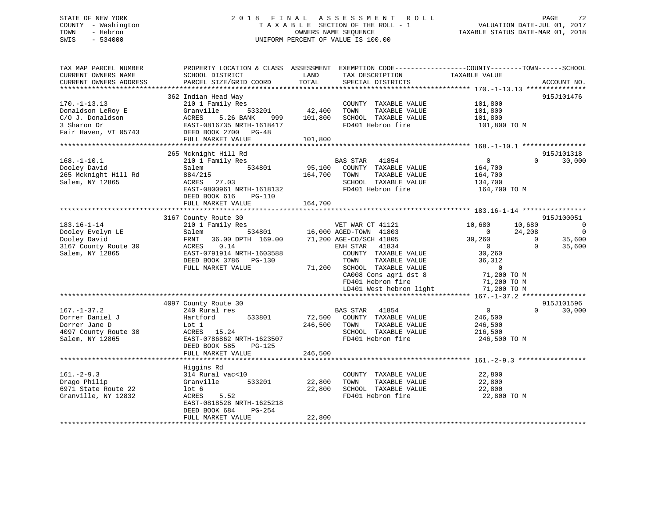## STATE OF NEW YORK 2 0 1 8 F I N A L A S S E S S M E N T R O L L PAGE 72 COUNTY - Washington T A X A B L E SECTION OF THE ROLL - 1 VALUATION DATE-JUL 01, 2017 TOWN - Hebron OWNERS NAME SEQUENCE TAXABLE STATUS DATE-MAR 01, 2018 SWIS - 534000 UNIFORM PERCENT OF VALUE IS 100.00

| TAX MAP PARCEL NUMBER<br>CURRENT OWNERS NAME<br>CURRENT OWNERS ADDRESS | PROPERTY LOCATION & CLASS ASSESSMENT<br>SCHOOL DISTRICT<br>PARCEL SIZE/GRID COORD | LAND<br>TOTAL | TAX DESCRIPTION<br>SPECIAL DISTRICTS  | EXEMPTION CODE-----------------COUNTY-------TOWN------SCHOOL<br>TAXABLE VALUE | ACCOUNT NO.    |
|------------------------------------------------------------------------|-----------------------------------------------------------------------------------|---------------|---------------------------------------|-------------------------------------------------------------------------------|----------------|
|                                                                        |                                                                                   |               |                                       |                                                                               |                |
|                                                                        | 362 Indian Head Way                                                               |               |                                       |                                                                               | 915J101476     |
| $170. - 1 - 13.13$                                                     | 210 1 Family Res                                                                  |               | COUNTY TAXABLE VALUE                  | 101,800                                                                       |                |
| Donaldson LeRoy E                                                      | Granville<br>533201                                                               | 42,400        | TOWN<br>TAXABLE VALUE                 | 101,800                                                                       |                |
| C/O J. Donaldson                                                       | ACRES<br>5.26 BANK<br>999                                                         | 101,800       | SCHOOL TAXABLE VALUE                  | 101,800                                                                       |                |
| 3 Sharon Dr                                                            | EAST-0816735 NRTH-1618417                                                         |               | FD401 Hebron fire                     | 101,800 TO M                                                                  |                |
| Fair Haven, VT 05743                                                   | DEED BOOK 2700 PG-48                                                              |               |                                       |                                                                               |                |
|                                                                        | FULL MARKET VALUE                                                                 | 101,800       |                                       |                                                                               |                |
| *********************************                                      |                                                                                   |               |                                       |                                                                               |                |
|                                                                        | 265 Mcknight Hill Rd                                                              |               |                                       |                                                                               | 915J101318     |
| $168. - 1 - 10.1$                                                      | 210 1 Family Res                                                                  |               | BAS STAR<br>41854                     | $\overline{0}$<br>$\Omega$                                                    | 30,000         |
| Dooley David                                                           | 534801<br>Salem                                                                   | 95,100        | COUNTY TAXABLE VALUE                  | 164,700                                                                       |                |
| 265 Mcknight Hill Rd                                                   | 884/215                                                                           | 164,700       | TAXABLE VALUE<br>TOWN                 | 164,700                                                                       |                |
| Salem, NY 12865                                                        | ACRES 27.03                                                                       |               | SCHOOL TAXABLE VALUE                  | 134,700                                                                       |                |
|                                                                        | EAST-0800961 NRTH-1618132                                                         |               | FD401 Hebron fire                     | 164,700 TO M                                                                  |                |
|                                                                        | DEED BOOK 616<br>PG-110                                                           |               |                                       |                                                                               |                |
|                                                                        | FULL MARKET VALUE                                                                 | 164,700       |                                       |                                                                               |                |
|                                                                        |                                                                                   |               |                                       |                                                                               |                |
|                                                                        | 3167 County Route 30                                                              |               |                                       |                                                                               | 915J100051     |
| $183.16 - 1 - 14$                                                      | 210 1 Family Res                                                                  |               | VET WAR CT 41121                      | 10,680<br>10,680                                                              | $\overline{0}$ |
| Dooley Evelyn LE                                                       | 534801<br>Salem                                                                   |               | 16,000 AGED-TOWN 41803                | 24,208<br>$\Omega$                                                            | $\Omega$       |
| Dooley David                                                           | 36.00 DPTH 169.00<br>FRNT                                                         |               | 71,200 AGE-CO/SCH 41805               | 30,260<br>$\mathbf{0}$                                                        | 35,600         |
| 3167 County Route 30                                                   | ACRES<br>0.14                                                                     |               | ENH STAR 41834                        | $\overline{0}$<br>$\Omega$                                                    | 35,600         |
| Salem, NY 12865                                                        | EAST-0791914 NRTH-1603588                                                         |               | COUNTY TAXABLE VALUE                  | 30,260                                                                        |                |
|                                                                        | DEED BOOK 3786 PG-130                                                             |               | TAXABLE VALUE<br>TOWN                 | 36,312                                                                        |                |
|                                                                        | FULL MARKET VALUE                                                                 | 71,200        | SCHOOL TAXABLE VALUE                  | $\mathbf 0$                                                                   |                |
|                                                                        |                                                                                   |               | CA008 Cons agri dst 8                 | 71,200 TO M                                                                   |                |
|                                                                        |                                                                                   |               | FD401 Hebron fire                     | 71,200 TO M                                                                   |                |
|                                                                        |                                                                                   |               | LD401 West hebron light               | 71,200 TO M                                                                   |                |
|                                                                        |                                                                                   |               |                                       |                                                                               |                |
|                                                                        | 4097 County Route 30                                                              |               |                                       |                                                                               | 915J101596     |
| $167. - 1 - 37.2$                                                      | 240 Rural res                                                                     |               | BAS STAR 41854                        | $\Omega$<br>$\Omega$                                                          | 30,000         |
| Dorrer Daniel J                                                        | Hartford<br>533801                                                                | 72,500        | COUNTY TAXABLE VALUE                  | 246,500                                                                       |                |
| Dorrer Jane D                                                          | Lot 1                                                                             | 246,500       | TOWN<br>TAXABLE VALUE                 | 246,500                                                                       |                |
| 4097 County Route 30                                                   | ACRES 15.24                                                                       |               | SCHOOL TAXABLE VALUE                  | 216,500                                                                       |                |
| Salem, NY 12865                                                        | EAST-0786862 NRTH-1623507                                                         |               | FD401 Hebron fire                     | 246,500 TO M                                                                  |                |
|                                                                        | DEED BOOK 585<br>PG-125                                                           |               |                                       |                                                                               |                |
|                                                                        | FULL MARKET VALUE                                                                 | 246,500       |                                       |                                                                               |                |
|                                                                        |                                                                                   |               |                                       |                                                                               |                |
| $161. - 2 - 9.3$                                                       | Higgins Rd                                                                        |               |                                       |                                                                               |                |
|                                                                        | 314 Rural vac<10<br>Granville<br>533201                                           |               | COUNTY TAXABLE VALUE<br>TOWN          | 22,800                                                                        |                |
| Drago Philip<br>6971 State Route 22                                    |                                                                                   | 22,800        | TAXABLE VALUE<br>SCHOOL TAXABLE VALUE | 22,800                                                                        |                |
| Granville, NY 12832                                                    | lot <sub>6</sub><br>ACRES<br>5.52                                                 | 22,800        | FD401 Hebron fire                     | 22,800<br>22,800 TO M                                                         |                |
|                                                                        | EAST-0818528 NRTH-1625218                                                         |               |                                       |                                                                               |                |
|                                                                        | DEED BOOK 684<br>PG-254                                                           |               |                                       |                                                                               |                |
|                                                                        | FULL MARKET VALUE                                                                 | 22,800        |                                       |                                                                               |                |
|                                                                        | ***********************                                                           |               |                                       |                                                                               |                |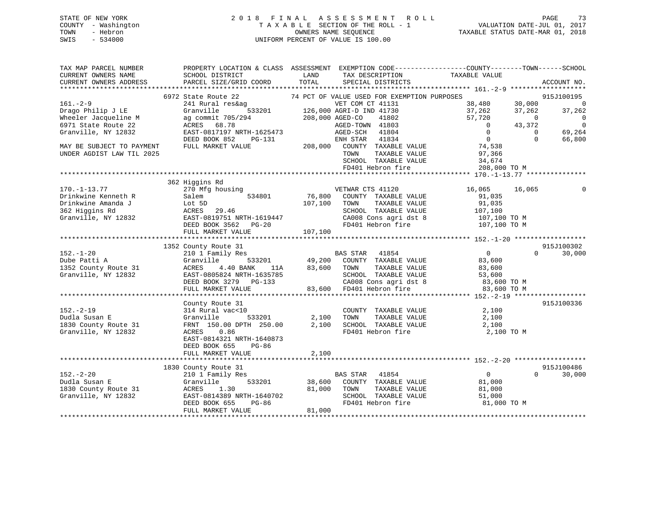## STATE OF NEW YORK 2 0 1 8 F I N A L A S S E S S M E N T R O L L PAGE 73 COUNTY - Washington T A X A B L E SECTION OF THE ROLL - 1 VALUATION DATE-JUL 01, 2017 TOWN - Hebron OWNERS NAME SEQUENCE TAXABLE STATUS DATE-MAR 01, 2018 SWIS - 534000 UNIFORM PERCENT OF VALUE IS 100.00

| TOTAL<br>CURRENT OWNERS ADDRESS<br>PARCEL SIZE/GRID COORD<br>SPECIAL DISTRICTS<br>ACCOUNT NO.<br>**********************<br>6972 State Route 22<br>74 PCT OF VALUE USED FOR EXEMPTION PURPOSES<br>915J100195<br>$161. - 2 - 9$<br>38,480<br>$\overline{0}$<br>241 Rural res&ag<br>VET COM CT 41131<br>30,000<br>Drago Philip J LE<br>533201<br>126,000 AGRI-D IND 41730<br>37,262<br>37,262<br>37,262<br>Granville<br>Wheeler Jacqueline M<br>ag commit 705/294<br>208,000 AGED-CO<br>41802<br>57,720<br>$\mathbf 0$<br>0<br>$\mathbf 0$<br>6971 State Route 22<br>ACRES<br>68.78<br>AGED-TOWN 41803<br>43,372<br>$\Omega$<br>Granville, NY 12832<br>EAST-0817197 NRTH-1625473<br>AGED-SCH<br>41804<br>$\mathbf{0}$<br>$\mathbf 0$<br>69,264<br>DEED BOOK 852<br>ENH STAR<br>41834<br>$\overline{0}$<br>$\Omega$<br>66,800<br>PG-131<br>208,000<br>74,538<br>MAY BE SUBJECT TO PAYMENT<br>FULL MARKET VALUE<br>COUNTY TAXABLE VALUE<br>UNDER AGDIST LAW TIL 2025<br>TOWN<br>TAXABLE VALUE<br>97,366<br>SCHOOL TAXABLE VALUE<br>34,674<br>FD401 Hebron fire<br>208,000 TO M<br>362 Higgins Rd<br>$170. - 1 - 13.77$<br>270 Mfg housing<br>VETWAR CTS 41120<br>16,065<br>16,065<br>76,800<br>534801<br>Drinkwine Kenneth R<br>Salem<br>COUNTY TAXABLE VALUE<br>91,035<br>Drinkwine Amanda J<br>107,100<br>TAXABLE VALUE<br>Lot 5D<br>TOWN<br>91,035<br>362 Higgins Rd<br>SCHOOL TAXABLE VALUE<br>ACRES<br>29.46<br>107,100<br>Granville, NY 12832<br>CA008 Cons agri dst 8<br>EAST-0819751 NRTH-1619447<br>107,100 TO M<br>DEED BOOK 3562<br>FD401 Hebron fire<br>107,100 TO M<br>$PG-20$<br>107,100<br>FULL MARKET VALUE<br>***********************<br>915J100302<br>1352 County Route 31<br>$152. - 1 - 20$<br><b>BAS STAR</b><br>$\overline{0}$<br>210 1 Family Res<br>41854<br>$\Omega$<br>30,000<br>533201<br>Dube Patti A<br>Granville<br>49,200<br>COUNTY TAXABLE VALUE<br>83,600<br>83,600<br>TAXABLE VALUE<br>1352 County Route 31<br>ACRES<br>4.40 BANK<br>TOWN<br>83,600<br>11A<br>Granville, NY 12832<br>EAST-0805824 NRTH-1635785<br>SCHOOL TAXABLE VALUE<br>53,600<br>CA008 Cons agri dst 8<br>DEED BOOK 3279<br>PG-133<br>83,600 TO M<br>FULL MARKET VALUE<br>83,600<br>FD401 Hebron fire<br>83,600 TO M<br>************************<br>**********<br>********** 152.-2-19 *****<br>***********<br>915J100336<br>County Route 31<br>$152. - 2 - 19$<br>2,100<br>314 Rural vac<10<br>COUNTY TAXABLE VALUE |
|----------------------------------------------------------------------------------------------------------------------------------------------------------------------------------------------------------------------------------------------------------------------------------------------------------------------------------------------------------------------------------------------------------------------------------------------------------------------------------------------------------------------------------------------------------------------------------------------------------------------------------------------------------------------------------------------------------------------------------------------------------------------------------------------------------------------------------------------------------------------------------------------------------------------------------------------------------------------------------------------------------------------------------------------------------------------------------------------------------------------------------------------------------------------------------------------------------------------------------------------------------------------------------------------------------------------------------------------------------------------------------------------------------------------------------------------------------------------------------------------------------------------------------------------------------------------------------------------------------------------------------------------------------------------------------------------------------------------------------------------------------------------------------------------------------------------------------------------------------------------------------------------------------------------------------------------------------------------------------------------------------------------------------------------------------------------------------------------------------------------------------------------------------------------------------------------------------------------------------------------------------------------------------------------------------------------------------------------------------------------------------------------------------------------|
|                                                                                                                                                                                                                                                                                                                                                                                                                                                                                                                                                                                                                                                                                                                                                                                                                                                                                                                                                                                                                                                                                                                                                                                                                                                                                                                                                                                                                                                                                                                                                                                                                                                                                                                                                                                                                                                                                                                                                                                                                                                                                                                                                                                                                                                                                                                                                                                                                      |
|                                                                                                                                                                                                                                                                                                                                                                                                                                                                                                                                                                                                                                                                                                                                                                                                                                                                                                                                                                                                                                                                                                                                                                                                                                                                                                                                                                                                                                                                                                                                                                                                                                                                                                                                                                                                                                                                                                                                                                                                                                                                                                                                                                                                                                                                                                                                                                                                                      |
|                                                                                                                                                                                                                                                                                                                                                                                                                                                                                                                                                                                                                                                                                                                                                                                                                                                                                                                                                                                                                                                                                                                                                                                                                                                                                                                                                                                                                                                                                                                                                                                                                                                                                                                                                                                                                                                                                                                                                                                                                                                                                                                                                                                                                                                                                                                                                                                                                      |
|                                                                                                                                                                                                                                                                                                                                                                                                                                                                                                                                                                                                                                                                                                                                                                                                                                                                                                                                                                                                                                                                                                                                                                                                                                                                                                                                                                                                                                                                                                                                                                                                                                                                                                                                                                                                                                                                                                                                                                                                                                                                                                                                                                                                                                                                                                                                                                                                                      |
|                                                                                                                                                                                                                                                                                                                                                                                                                                                                                                                                                                                                                                                                                                                                                                                                                                                                                                                                                                                                                                                                                                                                                                                                                                                                                                                                                                                                                                                                                                                                                                                                                                                                                                                                                                                                                                                                                                                                                                                                                                                                                                                                                                                                                                                                                                                                                                                                                      |
|                                                                                                                                                                                                                                                                                                                                                                                                                                                                                                                                                                                                                                                                                                                                                                                                                                                                                                                                                                                                                                                                                                                                                                                                                                                                                                                                                                                                                                                                                                                                                                                                                                                                                                                                                                                                                                                                                                                                                                                                                                                                                                                                                                                                                                                                                                                                                                                                                      |
|                                                                                                                                                                                                                                                                                                                                                                                                                                                                                                                                                                                                                                                                                                                                                                                                                                                                                                                                                                                                                                                                                                                                                                                                                                                                                                                                                                                                                                                                                                                                                                                                                                                                                                                                                                                                                                                                                                                                                                                                                                                                                                                                                                                                                                                                                                                                                                                                                      |
|                                                                                                                                                                                                                                                                                                                                                                                                                                                                                                                                                                                                                                                                                                                                                                                                                                                                                                                                                                                                                                                                                                                                                                                                                                                                                                                                                                                                                                                                                                                                                                                                                                                                                                                                                                                                                                                                                                                                                                                                                                                                                                                                                                                                                                                                                                                                                                                                                      |
|                                                                                                                                                                                                                                                                                                                                                                                                                                                                                                                                                                                                                                                                                                                                                                                                                                                                                                                                                                                                                                                                                                                                                                                                                                                                                                                                                                                                                                                                                                                                                                                                                                                                                                                                                                                                                                                                                                                                                                                                                                                                                                                                                                                                                                                                                                                                                                                                                      |
|                                                                                                                                                                                                                                                                                                                                                                                                                                                                                                                                                                                                                                                                                                                                                                                                                                                                                                                                                                                                                                                                                                                                                                                                                                                                                                                                                                                                                                                                                                                                                                                                                                                                                                                                                                                                                                                                                                                                                                                                                                                                                                                                                                                                                                                                                                                                                                                                                      |
|                                                                                                                                                                                                                                                                                                                                                                                                                                                                                                                                                                                                                                                                                                                                                                                                                                                                                                                                                                                                                                                                                                                                                                                                                                                                                                                                                                                                                                                                                                                                                                                                                                                                                                                                                                                                                                                                                                                                                                                                                                                                                                                                                                                                                                                                                                                                                                                                                      |
|                                                                                                                                                                                                                                                                                                                                                                                                                                                                                                                                                                                                                                                                                                                                                                                                                                                                                                                                                                                                                                                                                                                                                                                                                                                                                                                                                                                                                                                                                                                                                                                                                                                                                                                                                                                                                                                                                                                                                                                                                                                                                                                                                                                                                                                                                                                                                                                                                      |
|                                                                                                                                                                                                                                                                                                                                                                                                                                                                                                                                                                                                                                                                                                                                                                                                                                                                                                                                                                                                                                                                                                                                                                                                                                                                                                                                                                                                                                                                                                                                                                                                                                                                                                                                                                                                                                                                                                                                                                                                                                                                                                                                                                                                                                                                                                                                                                                                                      |
|                                                                                                                                                                                                                                                                                                                                                                                                                                                                                                                                                                                                                                                                                                                                                                                                                                                                                                                                                                                                                                                                                                                                                                                                                                                                                                                                                                                                                                                                                                                                                                                                                                                                                                                                                                                                                                                                                                                                                                                                                                                                                                                                                                                                                                                                                                                                                                                                                      |
|                                                                                                                                                                                                                                                                                                                                                                                                                                                                                                                                                                                                                                                                                                                                                                                                                                                                                                                                                                                                                                                                                                                                                                                                                                                                                                                                                                                                                                                                                                                                                                                                                                                                                                                                                                                                                                                                                                                                                                                                                                                                                                                                                                                                                                                                                                                                                                                                                      |
|                                                                                                                                                                                                                                                                                                                                                                                                                                                                                                                                                                                                                                                                                                                                                                                                                                                                                                                                                                                                                                                                                                                                                                                                                                                                                                                                                                                                                                                                                                                                                                                                                                                                                                                                                                                                                                                                                                                                                                                                                                                                                                                                                                                                                                                                                                                                                                                                                      |
|                                                                                                                                                                                                                                                                                                                                                                                                                                                                                                                                                                                                                                                                                                                                                                                                                                                                                                                                                                                                                                                                                                                                                                                                                                                                                                                                                                                                                                                                                                                                                                                                                                                                                                                                                                                                                                                                                                                                                                                                                                                                                                                                                                                                                                                                                                                                                                                                                      |
|                                                                                                                                                                                                                                                                                                                                                                                                                                                                                                                                                                                                                                                                                                                                                                                                                                                                                                                                                                                                                                                                                                                                                                                                                                                                                                                                                                                                                                                                                                                                                                                                                                                                                                                                                                                                                                                                                                                                                                                                                                                                                                                                                                                                                                                                                                                                                                                                                      |
|                                                                                                                                                                                                                                                                                                                                                                                                                                                                                                                                                                                                                                                                                                                                                                                                                                                                                                                                                                                                                                                                                                                                                                                                                                                                                                                                                                                                                                                                                                                                                                                                                                                                                                                                                                                                                                                                                                                                                                                                                                                                                                                                                                                                                                                                                                                                                                                                                      |
|                                                                                                                                                                                                                                                                                                                                                                                                                                                                                                                                                                                                                                                                                                                                                                                                                                                                                                                                                                                                                                                                                                                                                                                                                                                                                                                                                                                                                                                                                                                                                                                                                                                                                                                                                                                                                                                                                                                                                                                                                                                                                                                                                                                                                                                                                                                                                                                                                      |
|                                                                                                                                                                                                                                                                                                                                                                                                                                                                                                                                                                                                                                                                                                                                                                                                                                                                                                                                                                                                                                                                                                                                                                                                                                                                                                                                                                                                                                                                                                                                                                                                                                                                                                                                                                                                                                                                                                                                                                                                                                                                                                                                                                                                                                                                                                                                                                                                                      |
|                                                                                                                                                                                                                                                                                                                                                                                                                                                                                                                                                                                                                                                                                                                                                                                                                                                                                                                                                                                                                                                                                                                                                                                                                                                                                                                                                                                                                                                                                                                                                                                                                                                                                                                                                                                                                                                                                                                                                                                                                                                                                                                                                                                                                                                                                                                                                                                                                      |
|                                                                                                                                                                                                                                                                                                                                                                                                                                                                                                                                                                                                                                                                                                                                                                                                                                                                                                                                                                                                                                                                                                                                                                                                                                                                                                                                                                                                                                                                                                                                                                                                                                                                                                                                                                                                                                                                                                                                                                                                                                                                                                                                                                                                                                                                                                                                                                                                                      |
|                                                                                                                                                                                                                                                                                                                                                                                                                                                                                                                                                                                                                                                                                                                                                                                                                                                                                                                                                                                                                                                                                                                                                                                                                                                                                                                                                                                                                                                                                                                                                                                                                                                                                                                                                                                                                                                                                                                                                                                                                                                                                                                                                                                                                                                                                                                                                                                                                      |
|                                                                                                                                                                                                                                                                                                                                                                                                                                                                                                                                                                                                                                                                                                                                                                                                                                                                                                                                                                                                                                                                                                                                                                                                                                                                                                                                                                                                                                                                                                                                                                                                                                                                                                                                                                                                                                                                                                                                                                                                                                                                                                                                                                                                                                                                                                                                                                                                                      |
|                                                                                                                                                                                                                                                                                                                                                                                                                                                                                                                                                                                                                                                                                                                                                                                                                                                                                                                                                                                                                                                                                                                                                                                                                                                                                                                                                                                                                                                                                                                                                                                                                                                                                                                                                                                                                                                                                                                                                                                                                                                                                                                                                                                                                                                                                                                                                                                                                      |
|                                                                                                                                                                                                                                                                                                                                                                                                                                                                                                                                                                                                                                                                                                                                                                                                                                                                                                                                                                                                                                                                                                                                                                                                                                                                                                                                                                                                                                                                                                                                                                                                                                                                                                                                                                                                                                                                                                                                                                                                                                                                                                                                                                                                                                                                                                                                                                                                                      |
|                                                                                                                                                                                                                                                                                                                                                                                                                                                                                                                                                                                                                                                                                                                                                                                                                                                                                                                                                                                                                                                                                                                                                                                                                                                                                                                                                                                                                                                                                                                                                                                                                                                                                                                                                                                                                                                                                                                                                                                                                                                                                                                                                                                                                                                                                                                                                                                                                      |
|                                                                                                                                                                                                                                                                                                                                                                                                                                                                                                                                                                                                                                                                                                                                                                                                                                                                                                                                                                                                                                                                                                                                                                                                                                                                                                                                                                                                                                                                                                                                                                                                                                                                                                                                                                                                                                                                                                                                                                                                                                                                                                                                                                                                                                                                                                                                                                                                                      |
|                                                                                                                                                                                                                                                                                                                                                                                                                                                                                                                                                                                                                                                                                                                                                                                                                                                                                                                                                                                                                                                                                                                                                                                                                                                                                                                                                                                                                                                                                                                                                                                                                                                                                                                                                                                                                                                                                                                                                                                                                                                                                                                                                                                                                                                                                                                                                                                                                      |
|                                                                                                                                                                                                                                                                                                                                                                                                                                                                                                                                                                                                                                                                                                                                                                                                                                                                                                                                                                                                                                                                                                                                                                                                                                                                                                                                                                                                                                                                                                                                                                                                                                                                                                                                                                                                                                                                                                                                                                                                                                                                                                                                                                                                                                                                                                                                                                                                                      |
| 2,100<br>TAXABLE VALUE<br>Dudla Susan E<br>Granville<br>533201<br>TOWN<br>2,100                                                                                                                                                                                                                                                                                                                                                                                                                                                                                                                                                                                                                                                                                                                                                                                                                                                                                                                                                                                                                                                                                                                                                                                                                                                                                                                                                                                                                                                                                                                                                                                                                                                                                                                                                                                                                                                                                                                                                                                                                                                                                                                                                                                                                                                                                                                                      |
| SCHOOL TAXABLE VALUE<br>1830 County Route 31<br>FRNT 150.00 DPTH 250.00<br>2,100<br>2,100                                                                                                                                                                                                                                                                                                                                                                                                                                                                                                                                                                                                                                                                                                                                                                                                                                                                                                                                                                                                                                                                                                                                                                                                                                                                                                                                                                                                                                                                                                                                                                                                                                                                                                                                                                                                                                                                                                                                                                                                                                                                                                                                                                                                                                                                                                                            |
| Granville, NY 12832<br>FD401 Hebron fire<br>ACRES<br>0.86<br>2,100 TO M                                                                                                                                                                                                                                                                                                                                                                                                                                                                                                                                                                                                                                                                                                                                                                                                                                                                                                                                                                                                                                                                                                                                                                                                                                                                                                                                                                                                                                                                                                                                                                                                                                                                                                                                                                                                                                                                                                                                                                                                                                                                                                                                                                                                                                                                                                                                              |
| EAST-0814321 NRTH-1640873                                                                                                                                                                                                                                                                                                                                                                                                                                                                                                                                                                                                                                                                                                                                                                                                                                                                                                                                                                                                                                                                                                                                                                                                                                                                                                                                                                                                                                                                                                                                                                                                                                                                                                                                                                                                                                                                                                                                                                                                                                                                                                                                                                                                                                                                                                                                                                                            |
| DEED BOOK 655<br>PG-86                                                                                                                                                                                                                                                                                                                                                                                                                                                                                                                                                                                                                                                                                                                                                                                                                                                                                                                                                                                                                                                                                                                                                                                                                                                                                                                                                                                                                                                                                                                                                                                                                                                                                                                                                                                                                                                                                                                                                                                                                                                                                                                                                                                                                                                                                                                                                                                               |
| FULL MARKET VALUE<br>2,100                                                                                                                                                                                                                                                                                                                                                                                                                                                                                                                                                                                                                                                                                                                                                                                                                                                                                                                                                                                                                                                                                                                                                                                                                                                                                                                                                                                                                                                                                                                                                                                                                                                                                                                                                                                                                                                                                                                                                                                                                                                                                                                                                                                                                                                                                                                                                                                           |
|                                                                                                                                                                                                                                                                                                                                                                                                                                                                                                                                                                                                                                                                                                                                                                                                                                                                                                                                                                                                                                                                                                                                                                                                                                                                                                                                                                                                                                                                                                                                                                                                                                                                                                                                                                                                                                                                                                                                                                                                                                                                                                                                                                                                                                                                                                                                                                                                                      |
| 915J100486<br>1830 County Route 31                                                                                                                                                                                                                                                                                                                                                                                                                                                                                                                                                                                                                                                                                                                                                                                                                                                                                                                                                                                                                                                                                                                                                                                                                                                                                                                                                                                                                                                                                                                                                                                                                                                                                                                                                                                                                                                                                                                                                                                                                                                                                                                                                                                                                                                                                                                                                                                   |
| $152 - 2 - 20$<br>$\mathbf 0$<br>30,000<br>210 1 Family Res<br>BAS STAR<br>41854<br>$\Omega$                                                                                                                                                                                                                                                                                                                                                                                                                                                                                                                                                                                                                                                                                                                                                                                                                                                                                                                                                                                                                                                                                                                                                                                                                                                                                                                                                                                                                                                                                                                                                                                                                                                                                                                                                                                                                                                                                                                                                                                                                                                                                                                                                                                                                                                                                                                         |
| Dudla Susan E<br>Granville<br>533201<br>38,600<br>COUNTY TAXABLE VALUE<br>81,000                                                                                                                                                                                                                                                                                                                                                                                                                                                                                                                                                                                                                                                                                                                                                                                                                                                                                                                                                                                                                                                                                                                                                                                                                                                                                                                                                                                                                                                                                                                                                                                                                                                                                                                                                                                                                                                                                                                                                                                                                                                                                                                                                                                                                                                                                                                                     |
| 1830 County Route 31<br>ACRES<br>1.30<br>81,000<br>TOWN<br>TAXABLE VALUE<br>81,000                                                                                                                                                                                                                                                                                                                                                                                                                                                                                                                                                                                                                                                                                                                                                                                                                                                                                                                                                                                                                                                                                                                                                                                                                                                                                                                                                                                                                                                                                                                                                                                                                                                                                                                                                                                                                                                                                                                                                                                                                                                                                                                                                                                                                                                                                                                                   |
| Granville, NY 12832<br>EAST-0814389 NRTH-1640702<br>SCHOOL TAXABLE VALUE<br>51,000                                                                                                                                                                                                                                                                                                                                                                                                                                                                                                                                                                                                                                                                                                                                                                                                                                                                                                                                                                                                                                                                                                                                                                                                                                                                                                                                                                                                                                                                                                                                                                                                                                                                                                                                                                                                                                                                                                                                                                                                                                                                                                                                                                                                                                                                                                                                   |
| DEED BOOK 655<br>$PG-86$<br>FD401 Hebron fire<br>81,000 TO M                                                                                                                                                                                                                                                                                                                                                                                                                                                                                                                                                                                                                                                                                                                                                                                                                                                                                                                                                                                                                                                                                                                                                                                                                                                                                                                                                                                                                                                                                                                                                                                                                                                                                                                                                                                                                                                                                                                                                                                                                                                                                                                                                                                                                                                                                                                                                         |
| FULL MARKET VALUE<br>81,000                                                                                                                                                                                                                                                                                                                                                                                                                                                                                                                                                                                                                                                                                                                                                                                                                                                                                                                                                                                                                                                                                                                                                                                                                                                                                                                                                                                                                                                                                                                                                                                                                                                                                                                                                                                                                                                                                                                                                                                                                                                                                                                                                                                                                                                                                                                                                                                          |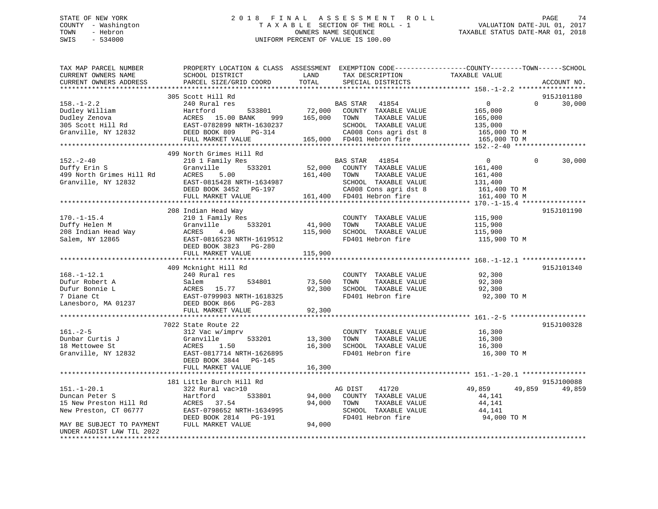## STATE OF NEW YORK 2 0 1 8 F I N A L A S S E S S M E N T R O L L PAGE 74 COUNTY - Washington T A X A B L E SECTION OF THE ROLL - 1 VALUATION DATE-JUL 01, 2017 TOWN - Hebron **CONNERS NAME SEQUENCE** TAXABLE STATUS DATE-MAR 01, 2018 SWIS - 534000 UNIFORM PERCENT OF VALUE IS 100.00

| TAX MAP PARCEL NUMBER<br>CURRENT OWNERS NAME<br>CURRENT OWNERS ADDRESS<br>************************* | PROPERTY LOCATION & CLASS ASSESSMENT EXEMPTION CODE----------------COUNTY-------TOWN------SCHOOL<br>SCHOOL DISTRICT<br>PARCEL SIZE/GRID COORD                         | LAND<br>TOTAL                | TAX DESCRIPTION<br>SPECIAL DISTRICTS                                                                                                                    | TAXABLE VALUE                                                                               | ACCOUNT NO.          |
|-----------------------------------------------------------------------------------------------------|-----------------------------------------------------------------------------------------------------------------------------------------------------------------------|------------------------------|---------------------------------------------------------------------------------------------------------------------------------------------------------|---------------------------------------------------------------------------------------------|----------------------|
| $158. - 1 - 2.2$<br>Dudley William<br>Dudley Zenova<br>305 Scott Hill Rd<br>Granville, NY 12832     | 305 Scott Hill Rd<br>240 Rural res<br>Hartford<br>533801<br>ACRES 15.00 BANK<br>999<br>EAST-0782899 NRTH-1630237<br>DEED BOOK 809<br>PG-314<br>FULL MARKET VALUE      | 72,000<br>165,000            | BAS STAR<br>41854<br>COUNTY TAXABLE VALUE<br>TAXABLE VALUE<br>TOWN<br>SCHOOL TAXABLE VALUE<br>CA008 Cons agri dst 8<br>165,000 FD401 Hebron fire        | $\overline{0}$<br>$\Omega$<br>165,000<br>165,000<br>135,000<br>165,000 TO M<br>165,000 TO M | 915J101180<br>30,000 |
| $152 - 2 - 40$<br>Duffy Erin S<br>499 North Grimes Hill Rd<br>Granville, NY 12832                   | 499 North Grimes Hill Rd<br>210 1 Family Res<br>533201<br>Granville<br>ACRES<br>5.00<br>EAST-0815428 NRTH-1634987<br>DEED BOOK 3452 PG-197<br>FULL MARKET VALUE       | 161,400                      | BAS STAR<br>41854<br>52,000 COUNTY TAXABLE VALUE<br>TOWN<br>TAXABLE VALUE<br>SCHOOL TAXABLE VALUE<br>CA008 Cons agri dst 8<br>161,400 FD401 Hebron fire | $\overline{0}$<br>$\Omega$<br>161,400<br>161,400<br>131,400<br>161,400 TO M<br>161,400 TO M | 30,000               |
| $170. - 1 - 15.4$<br>Duffy Helen M<br>208 Indian Head Way<br>Salem, NY 12865                        | 208 Indian Head Way<br>210 1 Family Res<br>Granville<br>533201<br>4.96<br>ACRES<br>EAST-0816523 NRTH-1619512<br>DEED BOOK 3823 PG-280<br>FULL MARKET VALUE            | 41,900<br>115,900<br>115,900 | COUNTY TAXABLE VALUE<br>TOWN<br>TAXABLE VALUE<br>SCHOOL TAXABLE VALUE<br>FD401 Hebron fire                                                              | 115,900<br>115,900<br>115,900<br>115,900 TO M                                               | 915J101190           |
| $168. - 1 - 12.1$<br>Dufur Robert A<br>Dufur Bonnie L<br>7 Diane Ct<br>Lanesboro, MA 01237          | 409 Mcknight Hill Rd<br>240 Rural res<br>534801<br>Salem<br>ACRES<br>15.77<br>EAST-0799903 NRTH-1618325<br>DEED BOOK 866<br>PG-283<br>FULL MARKET VALUE               | 73,500<br>92,300<br>92,300   | COUNTY TAXABLE VALUE<br>TOWN<br>TAXABLE VALUE<br>SCHOOL TAXABLE VALUE<br>FD401 Hebron fire                                                              | 92,300<br>92,300<br>92,300<br>92,300 TO M                                                   | 915J101340           |
| $161. - 2 - 5$<br>Dunbar Curtis J<br>18 Mettowee St<br>Granville, NY 12832                          | 7022 State Route 22<br>312 Vac w/imprv<br>Granville<br>533201<br>ACRES<br>1.50<br>EAST-0817714 NRTH-1626895<br>DEED BOOK 3844 PG-145<br>FULL MARKET VALUE             | 13,300<br>16,300<br>16,300   | COUNTY TAXABLE VALUE<br>TAXABLE VALUE<br>TOWN<br>SCHOOL TAXABLE VALUE<br>FD401 Hebron fire                                                              | 16,300<br>16,300<br>16,300<br>16,300 TO M                                                   | 915J100328           |
| $151. - 1 - 20.1$<br>Duncan Peter S<br>15 New Preston Hill Rd<br>New Preston, CT 06777              | **************************<br>181 Little Burch Hill Rd<br>322 Rural vac>10<br>Hartford<br>533801<br>ACRES 37.54<br>EAST-0798652 NRTH-1634995<br>DEED BOOK 2814 PG-191 | 94,000<br>94,000             | AG DIST<br>41720<br>COUNTY TAXABLE VALUE<br>TOWN<br>TAXABLE VALUE<br>SCHOOL TAXABLE VALUE<br>FD401 Hebron fire                                          | 49,859<br>49,859<br>44,141<br>44,141<br>44,141<br>94,000 TO M                               | 915J100088<br>49,859 |
| MAY BE SUBJECT TO PAYMENT<br>UNDER AGDIST LAW TIL 2022                                              | FULL MARKET VALUE                                                                                                                                                     | 94,000                       |                                                                                                                                                         |                                                                                             |                      |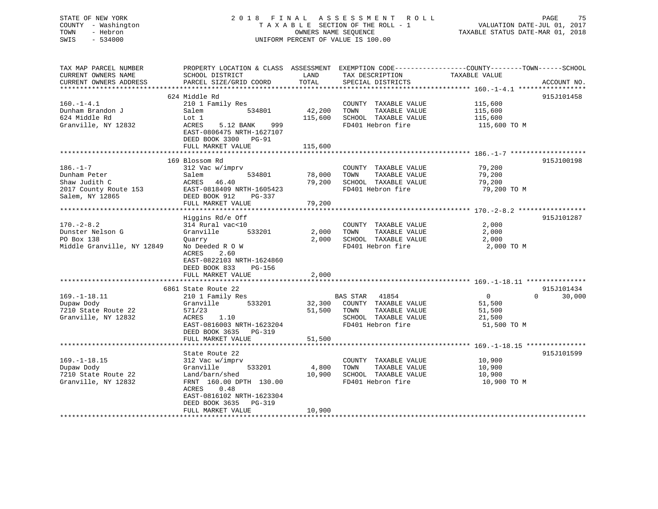STATE OF NEW YORK 2 0 1 8 F I N A L A S S E S S M E N T R O L L PAGE 75 COUNTY - Washington T A X A B L E SECTION OF THE ROLL - 1 VALUATION DATE-JUL 01, 2017 TOWN - Hebron OWNERS NAME SEQUENCE TAXABLE STATUS DATE-MAR 01, 2018 SWIS - 534000 UNIFORM PERCENT OF VALUE IS 100.00 TAX MAP PARCEL NUMBER PROPERTY LOCATION & CLASS ASSESSMENT EXEMPTION CODE------------------COUNTY--------TOWN------SCHOOL CURRENT OWNERS NAME SCHOOL DISTRICT LAND TAX DESCRIPTION TAXABLE VALUE CURRENT OWNERS ADDRESS PARCEL SIZE/GRID COORD TOTAL SPECIAL DISTRICTS ACCOUNT NO. \*\*\*\*\*\*\*\*\*\*\*\*\*\*\*\*\*\*\*\*\*\*\*\*\*\*\*\*\*\*\*\*\*\*\*\*\*\*\*\*\*\*\*\*\*\*\*\*\*\*\*\*\*\*\*\*\*\*\*\*\*\*\*\*\*\*\*\*\*\*\*\*\*\*\*\*\*\*\*\*\*\*\*\*\*\*\*\*\*\*\*\*\*\*\*\*\*\*\*\*\*\*\* 160.-1-4.1 \*\*\*\*\*\*\*\*\*\*\*\*\*\*\*\*\* 624 Middle Rd 915J101458160.-1-4.1 210 1 Family Res COUNTY TAXABLE VALUE 115,600 Dunham Brandon J Salem 534801 42,200 TOWN TAXABLE VALUE 115,600

| 624 Middle Rd              | Lot 1                                                                                 | 115,600 | SCHOOL TAXABLE VALUE                          | 115,600                 |            |
|----------------------------|---------------------------------------------------------------------------------------|---------|-----------------------------------------------|-------------------------|------------|
| Granville, NY 12832        | <b>ACRES</b><br>5.12 BANK<br>999<br>EAST-0806475 NRTH-1627107<br>DEED BOOK 3300 PG-91 |         | FD401 Hebron fire                             | 115,600 TO M            |            |
|                            | FULL MARKET VALUE                                                                     | 115,600 |                                               |                         |            |
|                            |                                                                                       |         |                                               |                         |            |
|                            | 169 Blossom Rd                                                                        |         |                                               |                         | 915J100198 |
| $186. - 1 - 7$             | 312 Vac w/imprv                                                                       |         | COUNTY TAXABLE VALUE                          | 79,200                  |            |
| Dunham Peter               | Salem<br>534801                                                                       | 78,000  | TOWN<br>TAXABLE VALUE                         | 79,200                  |            |
| Shaw Judith C              | ACRES<br>46.40                                                                        | 79,200  | SCHOOL TAXABLE VALUE                          | 79,200                  |            |
| 2017 County Route 153      | EAST-0818409 NRTH-1605423                                                             |         | FD401 Hebron fire                             | 79,200 TO M             |            |
| Salem, NY 12865            | DEED BOOK 912<br>PG-337                                                               |         |                                               |                         |            |
|                            | FULL MARKET VALUE                                                                     | 79,200  |                                               |                         |            |
|                            |                                                                                       |         |                                               |                         |            |
|                            | Higgins Rd/e Off                                                                      |         |                                               |                         | 915J101287 |
| $170. - 2 - 8.2$           | 314 Rural vac<10                                                                      |         | COUNTY TAXABLE VALUE                          | 2,000                   |            |
| Dunster Nelson G           | Granville<br>533201                                                                   | 2,000   | TAXABLE VALUE<br>TOWN                         | 2,000                   |            |
| PO Box 138                 | Quarry                                                                                | 2,000   | SCHOOL TAXABLE VALUE                          | 2,000                   |            |
| Middle Granville, NY 12849 | No Deeded R O W<br>2.60<br>ACRES                                                      |         | FD401 Hebron fire                             | 2,000 TO M              |            |
|                            | EAST-0822103 NRTH-1624860                                                             |         |                                               |                         |            |
|                            | DEED BOOK 833<br>PG-156                                                               |         |                                               |                         |            |
|                            | FULL MARKET VALUE                                                                     | 2,000   |                                               |                         |            |
|                            |                                                                                       |         |                                               |                         |            |
|                            | 6861 State Route 22                                                                   |         |                                               |                         | 915J101434 |
| $169. - 1 - 18.11$         | 210 1 Family Res                                                                      |         | <b>BAS STAR</b><br>41854                      | $\mathbf 0$<br>$\Omega$ | 30,000     |
| Dupaw Dody                 | Granville<br>533201                                                                   | 32,300  | COUNTY TAXABLE VALUE                          | 51,500                  |            |
| 7210 State Route 22        | 571/23                                                                                | 51,500  | TOWN<br>TAXABLE VALUE                         | 51,500                  |            |
| Granville, NY 12832        | ACRES<br>1.10                                                                         |         | SCHOOL TAXABLE VALUE                          | 21,500                  |            |
|                            | EAST-0816003 NRTH-1623204                                                             |         | FD401 Hebron fire                             | 51,500 TO M             |            |
|                            | DEED BOOK 3635 PG-319                                                                 |         |                                               |                         |            |
|                            | FULL MARKET VALUE                                                                     | 51,500  |                                               |                         |            |
|                            |                                                                                       |         |                                               |                         | 915J101599 |
| $169. - 1 - 18.15$         | State Route 22                                                                        |         |                                               | 10,900                  |            |
|                            | 312 Vac w/imprv<br>533201                                                             | 4,800   | COUNTY TAXABLE VALUE<br>TOWN<br>TAXABLE VALUE |                         |            |
| Dupaw Dody                 | Granville                                                                             |         |                                               | 10,900                  |            |
| 7210 State Route 22        | Land/barn/shed<br>FRNT 160.00 DPTH 130.00                                             | 10,900  | SCHOOL TAXABLE VALUE<br>FD401 Hebron fire     | 10,900                  |            |
| Granville, NY 12832        | <b>ACRES</b><br>0.48                                                                  |         |                                               | 10,900 TO M             |            |
|                            | EAST-0816102 NRTH-1623304                                                             |         |                                               |                         |            |
|                            |                                                                                       |         |                                               |                         |            |
|                            | DEED BOOK 3635 PG-319                                                                 |         |                                               |                         |            |
|                            | FULL MARKET VALUE                                                                     | 10,900  |                                               |                         |            |
|                            |                                                                                       |         |                                               |                         |            |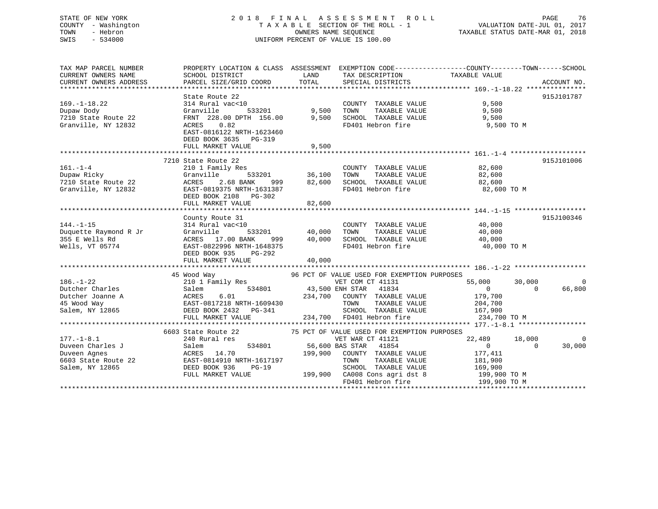## STATE OF NEW YORK 2 0 1 8 F I N A L A S S E S S M E N T R O L L PAGE 76 COUNTY - Washington T A X A B L E SECTION OF THE ROLL - 1 VALUATION DATE-JUL 01, 2017 TOWN - Hebron OWNERS NAME SEQUENCE TAXABLE STATUS DATE-MAR 01, 2018 SWIS - 534000 UNIFORM PERCENT OF VALUE IS 100.00

TAX MAP PARCEL NUMBER PROPERTY LOCATION & CLASS ASSESSMENT EXEMPTION CODE------------------COUNTY--------TOWN------SCHOOL CURRENT OWNERS NAME SCHOOL DISTRICT LAND TAX DESCRIPTION TAXABLE VALUE

|                                                                                            | PARCEL SIZE/GRID COORD                                                                                                       | TOTAL  | SPECIAL DISTRICTS             |                |          | ACCOUNT NO.        |
|--------------------------------------------------------------------------------------------|------------------------------------------------------------------------------------------------------------------------------|--------|-------------------------------|----------------|----------|--------------------|
|                                                                                            | State Route 22                                                                                                               |        |                               |                |          | 915J101787         |
| $169. - 1 - 18.22$                                                                         | 314 Rural vac<10                                                                                                             |        | COUNTY TAXABLE VALUE          | 9,500          |          |                    |
| Dupaw Dody                                                                                 |                                                                                                                              |        | TOWN<br>TAXABLE VALUE         | 9,500          |          |                    |
| 7210 State Route 22                                                                        | Granville 533201 9,500<br>FRNT 228.00 DPTH 156.00 9,500                                                                      |        | SCHOOL TAXABLE VALUE          | 9,500          |          |                    |
| Granville, NY 12832                                                                        | 0.82<br>ACRES                                                                                                                |        | FD401 Hebron fire             | 9,500 TO M     |          |                    |
|                                                                                            | EAST-0816122 NRTH-1623460                                                                                                    |        |                               |                |          |                    |
|                                                                                            | DEED BOOK 3635 PG-319                                                                                                        |        |                               |                |          |                    |
|                                                                                            | FULL MARKET VALUE                                                                                                            | 9,500  |                               |                |          |                    |
|                                                                                            |                                                                                                                              |        |                               |                |          |                    |
|                                                                                            | 7210 State Route 22                                                                                                          |        |                               |                |          | 915J101006         |
| $161. - 1 - 4$                                                                             | 210 1 Family Res                                                                                                             |        | COUNTY TAXABLE VALUE          | 82,600         |          |                    |
| Dupaw Ricky                                                                                | 533201<br>Granville                                                                                                          | 36,100 | TAXABLE VALUE<br>TOWN         | 82,600         |          |                    |
| 7210 State Route 22                                                                        | ACRES 2.68 BANK 999                                                                                                          | 82,600 | SCHOOL TAXABLE VALUE          | 82,600         |          |                    |
| Granville, NY 12832                                                                        | EAST-0819375 NRTH-1631387                                                                                                    |        | FD401 Hebron fire             | 82,600 TO M    |          |                    |
|                                                                                            | DEED BOOK 2108 PG-302                                                                                                        |        |                               |                |          |                    |
|                                                                                            | FULL MARKET VALUE                                                                                                            | 82,600 |                               |                |          |                    |
|                                                                                            |                                                                                                                              |        |                               |                |          |                    |
|                                                                                            | County Route 31                                                                                                              |        |                               |                |          | 915J100346         |
| $144. - 1 - 15$                                                                            | 314 Rural vac<10<br>$0$<br>533201 40.000                                                                                     |        | COUNTY TAXABLE VALUE          | 40,000         |          |                    |
| Duquette Raymond R Jr                                                                      | Granville                                                                                                                    | 40,000 | TOWN<br>TAXABLE VALUE         | 40,000         |          |                    |
| 355 E Wells Rd                                                                             | ACRES 17.00 BANK 999 40,000                                                                                                  |        | SCHOOL TAXABLE VALUE          | 40,000         |          |                    |
| Wells, VT 05774                                                                            | EAST-0822996 NRTH-1648375                                                                                                    |        | FD401 Hebron fire             | 40,000 TO M    |          |                    |
|                                                                                            | DEED BOOK 935 PG-292                                                                                                         |        |                               |                |          |                    |
|                                                                                            | FULL MARKET VALUE                                                                                                            | 40,000 |                               |                |          |                    |
|                                                                                            |                                                                                                                              |        |                               |                |          |                    |
|                                                                                            |                                                                                                                              |        |                               |                |          |                    |
|                                                                                            |                                                                                                                              |        |                               |                |          |                    |
|                                                                                            |                                                                                                                              |        |                               | 55,000         | 30,000   |                    |
|                                                                                            | 45 Wood Way<br>210 1 Family Res 96 PCT OF VALUE USED FOR EXEMPTION PURPOSES<br>210 1 Family Res 80 WET COM CT 41131<br>Salem |        | 534801 43,500 ENH STAR 41834  | $\overline{0}$ | $\cap$   |                    |
|                                                                                            |                                                                                                                              |        | 234,700 COUNTY TAXABLE VALUE  | 179,700        |          |                    |
|                                                                                            |                                                                                                                              |        | TOWN<br>TAXABLE VALUE         | 204,700        |          | $\Omega$<br>66,800 |
|                                                                                            | Putcher Joanne A<br>45 Wood Way<br>45 Wood Way<br>2008 Martin 2009 Martin 2009430<br>200917218 NRTH-1609430                  |        |                               | 167,900        |          |                    |
|                                                                                            | Salem, NY 12865 DEED BOOK 2432 PG-341<br>FULL MARKET VALUE                                                                   |        | SCHOOL TAXABLE VALUE          | 234,700 TO M   |          |                    |
|                                                                                            |                                                                                                                              |        | 234,700 FD401 Hebron fire     |                |          |                    |
|                                                                                            | 6603 State Route 22 75 PCT OF VALUE USED FOR EXEMPTION PURPOSES                                                              |        |                               |                |          |                    |
|                                                                                            | 240 Rural res                                                                                                                |        | VET WAR CT 41121              | 22,489         | 18,000   |                    |
|                                                                                            | Salem                                                                                                                        |        | 534801 56,600 BAS STAR 41854  | $\overline{0}$ | $\Omega$ |                    |
| $186. - 1 - 22$<br>Dutcher Charles<br>$177. - 1 - 8.1$<br>Duveen Charles J<br>Duveen Agnes | ACRES 14.70                                                                                                                  |        | 199,900 COUNTY TAXABLE VALUE  | 177,411        |          | $\Omega$<br>30,000 |
| 6603 State Route 22                                                                        | EAST-0814910 NRTH-1617197                                                                                                    |        | TOWN<br>TAXABLE VALUE         | 181,900        |          |                    |
| Salem, NY 12865                                                                            | DEED BOOK 936 PG-19                                                                                                          |        | SCHOOL TAXABLE VALUE          | 169,900        |          |                    |
|                                                                                            | FULL MARKET VALUE                                                                                                            |        | 199,900 CA008 Cons agri dst 8 | 199,900 TO M   |          |                    |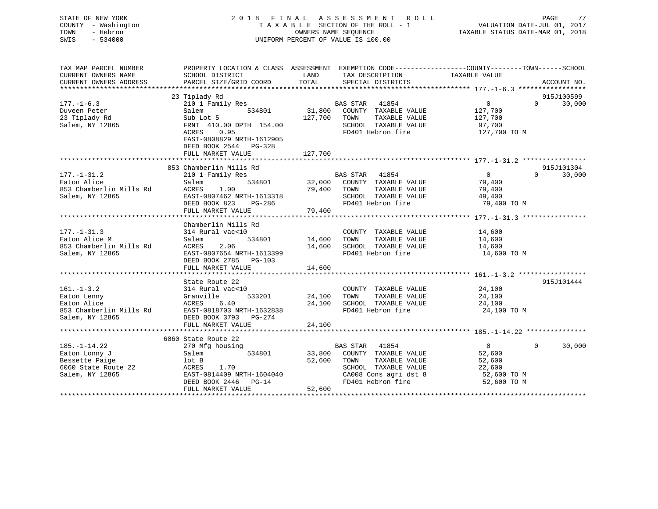STATE OF NEW YORK 2 0 1 8 F I N A L A S S E S S M E N T R O L L PAGE 77COUNTY - Washington T A X A B L E SECTION OF THE ROLL - 1 VALUATION DATE-JUL 01, 2017 OWNERS NAME SEQUENCE TAXABLE STATUS DATE-MAR 01, 2018 SWIS - 534000 UNIFORM PERCENT OF VALUE IS 100.00

77

|                         | TAX MAP PARCEL NUMBER PROPERTY LOCATION & CLASS ASSESSMENT    |                               | EXEMPTION CODE----------------COUNTY-------TOWN------SCHOOL |                    |
|-------------------------|---------------------------------------------------------------|-------------------------------|-------------------------------------------------------------|--------------------|
|                         | CURRENT OWNERS NAME SCHOOL DISTRICT LAND                      | TAX DESCRIPTION TAXABLE VALUE |                                                             |                    |
|                         |                                                               |                               |                                                             |                    |
|                         |                                                               |                               |                                                             |                    |
|                         | 23 Tiplady Rd                                                 |                               |                                                             | 915J100599         |
|                         | 177.-1-6.3 210 1 Family Res BAS STAR 41854 9                  |                               |                                                             | $\Omega$<br>30,000 |
|                         | Duveen Peter Salem 534801 31,800 COUNTY TAXABLE VALUE 127,700 |                               |                                                             |                    |
|                         |                                                               | TAXABLE VALUE<br>TOWN         | 127,700                                                     |                    |
| Salem, NY 12865         | FRNT 410.00 DPTH 154.00                                       | SCHOOL TAXABLE VALUE 57,700   |                                                             |                    |
|                         | ACRES 0.95                                                    |                               | FD401 Hebron fire 127,700 TO M                              |                    |
|                         | EAST-0808829 NRTH-1612905                                     |                               |                                                             |                    |
|                         | DEED BOOK 2544 PG-328                                         |                               |                                                             |                    |
|                         | FULL MARKET VALUE 127,700                                     |                               |                                                             |                    |
|                         |                                                               |                               |                                                             |                    |
|                         | 853 Chamberlin Mills Rd                                       |                               |                                                             | 915J101304         |
| $177. - 1 - 31.2$       | 210 1 Family Res BAS STAR 41854                               |                               | $\overline{0}$                                              | $\Omega$<br>30,000 |
| Eaton Alice             | Salem 534801 32,000 COUNTY                                    |                               | TAXABLE VALUE 79,400                                        |                    |
| 853 Chamberlin Mills Rd | ACRES 1.00 79,400                                             | TOWN<br>TAXABLE VALUE         | 79,400                                                      |                    |
| Salem, NY 12865         | EAST-0807462 NRTH-1613318                                     | SCHOOL<br>TAXABLE VALUE       | 49,400                                                      |                    |

|                         |                             | DEED BOOK 823 PG-286 FD401 Hebron fire | 79,400 TO M                          |
|-------------------------|-----------------------------|----------------------------------------|--------------------------------------|
|                         | FULL MARKET VALUE 79,400    |                                        |                                      |
|                         | Chamberlin Mills Rd         |                                        |                                      |
| $177. - 1 - 31.3$       | 314 Rural vac<10            | COUNTY TAXABLE VALUE                   | 14,600                               |
| Eaton Alice M           | Salem                       | 534801 14,600 TOWN<br>TAXABLE VALUE    | 14,600                               |
| 853 Chamberlin Mills Rd | ACRES 2.06                  | 14,600 SCHOOL TAXABLE VALUE            | 14,600                               |
| Salem, NY 12865         | EAST-0807654 NRTH-1613399   | FD401 Hebron fire                      | 14,600 TO M                          |
|                         | DEED BOOK 2785 PG-103       |                                        |                                      |
|                         | 14,600<br>FULL MARKET VALUE |                                        |                                      |
|                         |                             |                                        |                                      |
|                         | State Route 22              |                                        | 915J101444                           |
| $161. - 1 - 3.2$        | 314 Rural vac<10            | COUNTY TAXABLE VALUE                   | 24,100                               |
| Eaton Lenny             | Granville                   | 533201 24,100 TOWN<br>TAXABLE VALUE    | 24,100                               |
| Eaton Alice             | ACRES 6.40                  | 24,100 SCHOOL TAXABLE VALUE            | 24,100                               |
| 853 Chamberlin Mills Rd | EAST-0818703 NRTH-1632838   | FD401 Hebron fire                      | 24,100 TO M                          |
| Salem, NY 12865         | DEED BOOK 3793 PG-274       |                                        |                                      |
|                         | FULL MARKET VALUE           | 24,100                                 |                                      |
|                         |                             |                                        |                                      |
|                         | 6060 State Route 22         |                                        |                                      |
| $185. - 1 - 14.22$      | 270 Mfg housing             | 41854<br>BAS STAR                      | $\overline{0}$<br>30,000<br>$\Omega$ |
| Eaton Lonny J           | 534801<br>Salem             | 33,800 COUNTY TAXABLE VALUE            | 52,600                               |
| Bessette Paige          | lot B                       | 52,600<br>TOWN<br>TAXABLE VALUE        | 52,600                               |
| 6060 State Route 22     | ACRES 1.70                  | SCHOOL TAXABLE VALUE                   | 22,600                               |
| Salem, NY 12865         | EAST-0814409 NRTH-1604040   | CA008 Cons agri dst 8                  | 52,600 TO M                          |
|                         | DEED BOOK 2446 PG-14        | FD401 Hebron fire                      | 52,600 TO M                          |
|                         | FULL MARKET VALUE           | 52,600                                 |                                      |

\*\*\*\*\*\*\*\*\*\*\*\*\*\*\*\*\*\*\*\*\*\*\*\*\*\*\*\*\*\*\*\*\*\*\*\*\*\*\*\*\*\*\*\*\*\*\*\*\*\*\*\*\*\*\*\*\*\*\*\*\*\*\*\*\*\*\*\*\*\*\*\*\*\*\*\*\*\*\*\*\*\*\*\*\*\*\*\*\*\*\*\*\*\*\*\*\*\*\*\*\*\*\*\*\*\*\*\*\*\*\*\*\*\*\*\*\*\*\*\*\*\*\*\*\*\*\*\*\*\*\*\*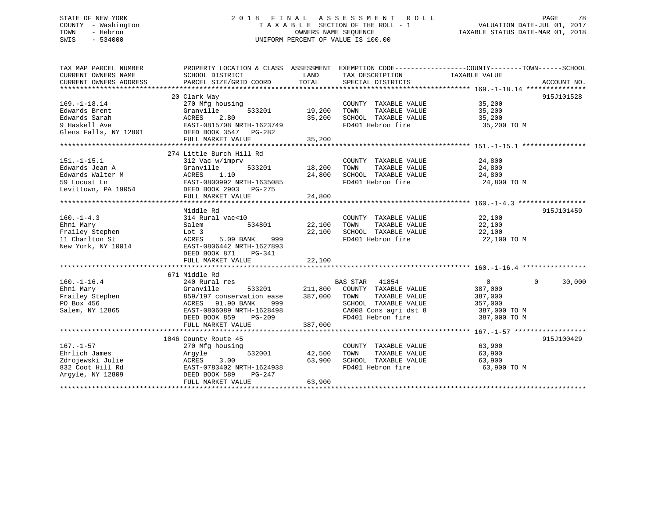## STATE OF NEW YORK 2 0 1 8 F I N A L A S S E S S M E N T R O L L PAGE 78 COUNTY - Washington T A X A B L E SECTION OF THE ROLL - 1 VALUATION DATE-JUL 01, 2017 TOWN - Hebron **CONNERS NAME SEQUENCE** TAXABLE STATUS DATE-MAR 01, 2018 SWIS - 534000 UNIFORM PERCENT OF VALUE IS 100.00

| 20 Clark Way<br>COUNTY TAXABLE VALUE<br>35,200<br>270 Mfg housing<br>533201 19,200 TOWN<br>Edwards Brent<br>TAXABLE VALUE<br>Granville<br>35,200<br>35,200 SCHOOL TAXABLE VALUE<br>Edwards Sarah<br>ACRES 2.80<br>EAST-0815708 NRTH-1623749<br>35,200<br>35,200<br>35,200 TO M<br>9 Haskell Ave<br>FD401 Hebron fire<br>Glens Falls, NY 12801 DEED BOOK 3547 PG-282<br>274 Little Burch Hill Rd<br>$151.-1-15.1$<br>24,800<br>312 Vac w/imprv<br>COUNTY TAXABLE VALUE<br>533201 18,200 TOWN<br>Edwards Jean A                           Granville                 533201<br>Edwards Walter M                         ACRES     1.10<br>TAXABLE VALUE<br>24,800<br>24,800 SCHOOL TAXABLE VALUE<br>24,800<br>FD401 Hebron fire<br>24,800 TO M<br>FULL MARKET VALUE<br>24,800<br>915J101459<br>Middle Rd<br>314 Rural vac<10<br>COUNTY TAXABLE VALUE 22,100<br>$160. - 1 - 4.3$<br>Salem<br>534801 22,100 TOWN<br>TAXABLE VALUE 22,100<br>Ehni Mary<br>22,100 SCHOOL TAXABLE VALUE 22,100<br>Frailey Stephen<br>11 Charlton St<br>New York, NY 10014<br>New York, NY 10014<br>EAST-0806442 NRTH-1627893<br>FD401 Hebron fire<br>22,100 TO M<br>DEED BOOK 871 PG-341<br>FULL MARKET VALUE 22,100<br>671 Middle Rd<br>$533201$ $211,8$<br>$\Omega$<br>$\overline{0}$<br>$160. -1 - 16.4$<br>240 Rural res<br>BAS STAR 41854<br>240 Rura⊥ נes<br>Granville<br>211,800 COUNTY TAXABLE VALUE<br>387,000<br>Ehni Mary<br>Frailey Stephen (1997)<br>PO Box 456 (1998)<br>PO Box 456 (1998)<br>PO Box 456 (1997)<br>PO BOX 456 (1998)<br>PO BOX 456 (1998)<br>PO BOX 456 (1998)<br>PO BOX 456 (1998)<br>PO BOX 456 (1998)<br>387,000 TOWN<br>TAXABLE VALUE<br>387,000<br>ACRES 91.90 BANK 999 SCHOOL TAXABLE VALUE 357,000<br>EAST-0806089 NRTH-1628498 CA008 Cons agri dst 8 387,000 TO M<br>DEED BOOK 859 PG-209 FD401 Hebron fire 387,000 TO M<br>387,000<br>FULL MARKET VALUE<br>1046 County Route 45<br>COUNTY TAXABLE VALUE<br>63,900<br>270 Mfg housing<br>Argyle 532001 42,500 TOWN<br>ACRES 3.00 63,900 SCHOOL<br>TAXABLE VALUE<br>63,900<br>Zdrojewski Julie<br>63,900 SCHOOL TAXABLE VALUE<br>63,900<br>EAST-0783402 NRTH-1624938<br>FD401 Hebron fire<br>832 Coot Hill Rd<br>63,900 TO M | TAX MAP PARCEL NUMBER<br>CURRENT OWNERS NAME | PROPERTY LOCATION & CLASS ASSESSMENT EXEMPTION CODE---------------COUNTY-------TOWN-----SCHOOL<br>SCHOOL DISTRICT | LAND TAX DESCRIPTION TAXABLE VALUE |            |
|-------------------------------------------------------------------------------------------------------------------------------------------------------------------------------------------------------------------------------------------------------------------------------------------------------------------------------------------------------------------------------------------------------------------------------------------------------------------------------------------------------------------------------------------------------------------------------------------------------------------------------------------------------------------------------------------------------------------------------------------------------------------------------------------------------------------------------------------------------------------------------------------------------------------------------------------------------------------------------------------------------------------------------------------------------------------------------------------------------------------------------------------------------------------------------------------------------------------------------------------------------------------------------------------------------------------------------------------------------------------------------------------------------------------------------------------------------------------------------------------------------------------------------------------------------------------------------------------------------------------------------------------------------------------------------------------------------------------------------------------------------------------------------------------------------------------------------------------------------------------------------------------------------------------------------------------------------------------------------------------------------------------------------------------------------------------------------------------------------------------------------------------------------------------------------------------|----------------------------------------------|-------------------------------------------------------------------------------------------------------------------|------------------------------------|------------|
|                                                                                                                                                                                                                                                                                                                                                                                                                                                                                                                                                                                                                                                                                                                                                                                                                                                                                                                                                                                                                                                                                                                                                                                                                                                                                                                                                                                                                                                                                                                                                                                                                                                                                                                                                                                                                                                                                                                                                                                                                                                                                                                                                                                           |                                              |                                                                                                                   |                                    |            |
|                                                                                                                                                                                                                                                                                                                                                                                                                                                                                                                                                                                                                                                                                                                                                                                                                                                                                                                                                                                                                                                                                                                                                                                                                                                                                                                                                                                                                                                                                                                                                                                                                                                                                                                                                                                                                                                                                                                                                                                                                                                                                                                                                                                           |                                              |                                                                                                                   |                                    |            |
|                                                                                                                                                                                                                                                                                                                                                                                                                                                                                                                                                                                                                                                                                                                                                                                                                                                                                                                                                                                                                                                                                                                                                                                                                                                                                                                                                                                                                                                                                                                                                                                                                                                                                                                                                                                                                                                                                                                                                                                                                                                                                                                                                                                           |                                              |                                                                                                                   |                                    | 915J101528 |
|                                                                                                                                                                                                                                                                                                                                                                                                                                                                                                                                                                                                                                                                                                                                                                                                                                                                                                                                                                                                                                                                                                                                                                                                                                                                                                                                                                                                                                                                                                                                                                                                                                                                                                                                                                                                                                                                                                                                                                                                                                                                                                                                                                                           | $169. - 1 - 18.14$                           |                                                                                                                   |                                    |            |
|                                                                                                                                                                                                                                                                                                                                                                                                                                                                                                                                                                                                                                                                                                                                                                                                                                                                                                                                                                                                                                                                                                                                                                                                                                                                                                                                                                                                                                                                                                                                                                                                                                                                                                                                                                                                                                                                                                                                                                                                                                                                                                                                                                                           |                                              |                                                                                                                   |                                    |            |
|                                                                                                                                                                                                                                                                                                                                                                                                                                                                                                                                                                                                                                                                                                                                                                                                                                                                                                                                                                                                                                                                                                                                                                                                                                                                                                                                                                                                                                                                                                                                                                                                                                                                                                                                                                                                                                                                                                                                                                                                                                                                                                                                                                                           |                                              |                                                                                                                   |                                    |            |
|                                                                                                                                                                                                                                                                                                                                                                                                                                                                                                                                                                                                                                                                                                                                                                                                                                                                                                                                                                                                                                                                                                                                                                                                                                                                                                                                                                                                                                                                                                                                                                                                                                                                                                                                                                                                                                                                                                                                                                                                                                                                                                                                                                                           |                                              |                                                                                                                   |                                    |            |
|                                                                                                                                                                                                                                                                                                                                                                                                                                                                                                                                                                                                                                                                                                                                                                                                                                                                                                                                                                                                                                                                                                                                                                                                                                                                                                                                                                                                                                                                                                                                                                                                                                                                                                                                                                                                                                                                                                                                                                                                                                                                                                                                                                                           |                                              |                                                                                                                   |                                    |            |
|                                                                                                                                                                                                                                                                                                                                                                                                                                                                                                                                                                                                                                                                                                                                                                                                                                                                                                                                                                                                                                                                                                                                                                                                                                                                                                                                                                                                                                                                                                                                                                                                                                                                                                                                                                                                                                                                                                                                                                                                                                                                                                                                                                                           |                                              |                                                                                                                   |                                    |            |
|                                                                                                                                                                                                                                                                                                                                                                                                                                                                                                                                                                                                                                                                                                                                                                                                                                                                                                                                                                                                                                                                                                                                                                                                                                                                                                                                                                                                                                                                                                                                                                                                                                                                                                                                                                                                                                                                                                                                                                                                                                                                                                                                                                                           |                                              |                                                                                                                   |                                    |            |
|                                                                                                                                                                                                                                                                                                                                                                                                                                                                                                                                                                                                                                                                                                                                                                                                                                                                                                                                                                                                                                                                                                                                                                                                                                                                                                                                                                                                                                                                                                                                                                                                                                                                                                                                                                                                                                                                                                                                                                                                                                                                                                                                                                                           |                                              |                                                                                                                   |                                    |            |
|                                                                                                                                                                                                                                                                                                                                                                                                                                                                                                                                                                                                                                                                                                                                                                                                                                                                                                                                                                                                                                                                                                                                                                                                                                                                                                                                                                                                                                                                                                                                                                                                                                                                                                                                                                                                                                                                                                                                                                                                                                                                                                                                                                                           |                                              |                                                                                                                   |                                    |            |
|                                                                                                                                                                                                                                                                                                                                                                                                                                                                                                                                                                                                                                                                                                                                                                                                                                                                                                                                                                                                                                                                                                                                                                                                                                                                                                                                                                                                                                                                                                                                                                                                                                                                                                                                                                                                                                                                                                                                                                                                                                                                                                                                                                                           |                                              |                                                                                                                   |                                    |            |
|                                                                                                                                                                                                                                                                                                                                                                                                                                                                                                                                                                                                                                                                                                                                                                                                                                                                                                                                                                                                                                                                                                                                                                                                                                                                                                                                                                                                                                                                                                                                                                                                                                                                                                                                                                                                                                                                                                                                                                                                                                                                                                                                                                                           |                                              |                                                                                                                   |                                    |            |
|                                                                                                                                                                                                                                                                                                                                                                                                                                                                                                                                                                                                                                                                                                                                                                                                                                                                                                                                                                                                                                                                                                                                                                                                                                                                                                                                                                                                                                                                                                                                                                                                                                                                                                                                                                                                                                                                                                                                                                                                                                                                                                                                                                                           |                                              |                                                                                                                   |                                    |            |
|                                                                                                                                                                                                                                                                                                                                                                                                                                                                                                                                                                                                                                                                                                                                                                                                                                                                                                                                                                                                                                                                                                                                                                                                                                                                                                                                                                                                                                                                                                                                                                                                                                                                                                                                                                                                                                                                                                                                                                                                                                                                                                                                                                                           |                                              |                                                                                                                   |                                    |            |
|                                                                                                                                                                                                                                                                                                                                                                                                                                                                                                                                                                                                                                                                                                                                                                                                                                                                                                                                                                                                                                                                                                                                                                                                                                                                                                                                                                                                                                                                                                                                                                                                                                                                                                                                                                                                                                                                                                                                                                                                                                                                                                                                                                                           |                                              |                                                                                                                   |                                    |            |
|                                                                                                                                                                                                                                                                                                                                                                                                                                                                                                                                                                                                                                                                                                                                                                                                                                                                                                                                                                                                                                                                                                                                                                                                                                                                                                                                                                                                                                                                                                                                                                                                                                                                                                                                                                                                                                                                                                                                                                                                                                                                                                                                                                                           |                                              |                                                                                                                   |                                    |            |
|                                                                                                                                                                                                                                                                                                                                                                                                                                                                                                                                                                                                                                                                                                                                                                                                                                                                                                                                                                                                                                                                                                                                                                                                                                                                                                                                                                                                                                                                                                                                                                                                                                                                                                                                                                                                                                                                                                                                                                                                                                                                                                                                                                                           |                                              |                                                                                                                   |                                    |            |
|                                                                                                                                                                                                                                                                                                                                                                                                                                                                                                                                                                                                                                                                                                                                                                                                                                                                                                                                                                                                                                                                                                                                                                                                                                                                                                                                                                                                                                                                                                                                                                                                                                                                                                                                                                                                                                                                                                                                                                                                                                                                                                                                                                                           |                                              |                                                                                                                   |                                    |            |
|                                                                                                                                                                                                                                                                                                                                                                                                                                                                                                                                                                                                                                                                                                                                                                                                                                                                                                                                                                                                                                                                                                                                                                                                                                                                                                                                                                                                                                                                                                                                                                                                                                                                                                                                                                                                                                                                                                                                                                                                                                                                                                                                                                                           |                                              |                                                                                                                   |                                    |            |
|                                                                                                                                                                                                                                                                                                                                                                                                                                                                                                                                                                                                                                                                                                                                                                                                                                                                                                                                                                                                                                                                                                                                                                                                                                                                                                                                                                                                                                                                                                                                                                                                                                                                                                                                                                                                                                                                                                                                                                                                                                                                                                                                                                                           |                                              |                                                                                                                   |                                    |            |
|                                                                                                                                                                                                                                                                                                                                                                                                                                                                                                                                                                                                                                                                                                                                                                                                                                                                                                                                                                                                                                                                                                                                                                                                                                                                                                                                                                                                                                                                                                                                                                                                                                                                                                                                                                                                                                                                                                                                                                                                                                                                                                                                                                                           |                                              |                                                                                                                   |                                    |            |
|                                                                                                                                                                                                                                                                                                                                                                                                                                                                                                                                                                                                                                                                                                                                                                                                                                                                                                                                                                                                                                                                                                                                                                                                                                                                                                                                                                                                                                                                                                                                                                                                                                                                                                                                                                                                                                                                                                                                                                                                                                                                                                                                                                                           |                                              |                                                                                                                   |                                    |            |
|                                                                                                                                                                                                                                                                                                                                                                                                                                                                                                                                                                                                                                                                                                                                                                                                                                                                                                                                                                                                                                                                                                                                                                                                                                                                                                                                                                                                                                                                                                                                                                                                                                                                                                                                                                                                                                                                                                                                                                                                                                                                                                                                                                                           |                                              |                                                                                                                   |                                    |            |
|                                                                                                                                                                                                                                                                                                                                                                                                                                                                                                                                                                                                                                                                                                                                                                                                                                                                                                                                                                                                                                                                                                                                                                                                                                                                                                                                                                                                                                                                                                                                                                                                                                                                                                                                                                                                                                                                                                                                                                                                                                                                                                                                                                                           |                                              |                                                                                                                   |                                    |            |
|                                                                                                                                                                                                                                                                                                                                                                                                                                                                                                                                                                                                                                                                                                                                                                                                                                                                                                                                                                                                                                                                                                                                                                                                                                                                                                                                                                                                                                                                                                                                                                                                                                                                                                                                                                                                                                                                                                                                                                                                                                                                                                                                                                                           |                                              |                                                                                                                   |                                    |            |
|                                                                                                                                                                                                                                                                                                                                                                                                                                                                                                                                                                                                                                                                                                                                                                                                                                                                                                                                                                                                                                                                                                                                                                                                                                                                                                                                                                                                                                                                                                                                                                                                                                                                                                                                                                                                                                                                                                                                                                                                                                                                                                                                                                                           |                                              |                                                                                                                   |                                    |            |
|                                                                                                                                                                                                                                                                                                                                                                                                                                                                                                                                                                                                                                                                                                                                                                                                                                                                                                                                                                                                                                                                                                                                                                                                                                                                                                                                                                                                                                                                                                                                                                                                                                                                                                                                                                                                                                                                                                                                                                                                                                                                                                                                                                                           |                                              |                                                                                                                   |                                    |            |
|                                                                                                                                                                                                                                                                                                                                                                                                                                                                                                                                                                                                                                                                                                                                                                                                                                                                                                                                                                                                                                                                                                                                                                                                                                                                                                                                                                                                                                                                                                                                                                                                                                                                                                                                                                                                                                                                                                                                                                                                                                                                                                                                                                                           |                                              |                                                                                                                   |                                    | 30,000     |
|                                                                                                                                                                                                                                                                                                                                                                                                                                                                                                                                                                                                                                                                                                                                                                                                                                                                                                                                                                                                                                                                                                                                                                                                                                                                                                                                                                                                                                                                                                                                                                                                                                                                                                                                                                                                                                                                                                                                                                                                                                                                                                                                                                                           |                                              |                                                                                                                   |                                    |            |
|                                                                                                                                                                                                                                                                                                                                                                                                                                                                                                                                                                                                                                                                                                                                                                                                                                                                                                                                                                                                                                                                                                                                                                                                                                                                                                                                                                                                                                                                                                                                                                                                                                                                                                                                                                                                                                                                                                                                                                                                                                                                                                                                                                                           |                                              |                                                                                                                   |                                    |            |
|                                                                                                                                                                                                                                                                                                                                                                                                                                                                                                                                                                                                                                                                                                                                                                                                                                                                                                                                                                                                                                                                                                                                                                                                                                                                                                                                                                                                                                                                                                                                                                                                                                                                                                                                                                                                                                                                                                                                                                                                                                                                                                                                                                                           |                                              |                                                                                                                   |                                    |            |
|                                                                                                                                                                                                                                                                                                                                                                                                                                                                                                                                                                                                                                                                                                                                                                                                                                                                                                                                                                                                                                                                                                                                                                                                                                                                                                                                                                                                                                                                                                                                                                                                                                                                                                                                                                                                                                                                                                                                                                                                                                                                                                                                                                                           |                                              |                                                                                                                   |                                    |            |
|                                                                                                                                                                                                                                                                                                                                                                                                                                                                                                                                                                                                                                                                                                                                                                                                                                                                                                                                                                                                                                                                                                                                                                                                                                                                                                                                                                                                                                                                                                                                                                                                                                                                                                                                                                                                                                                                                                                                                                                                                                                                                                                                                                                           |                                              |                                                                                                                   |                                    |            |
|                                                                                                                                                                                                                                                                                                                                                                                                                                                                                                                                                                                                                                                                                                                                                                                                                                                                                                                                                                                                                                                                                                                                                                                                                                                                                                                                                                                                                                                                                                                                                                                                                                                                                                                                                                                                                                                                                                                                                                                                                                                                                                                                                                                           |                                              |                                                                                                                   |                                    |            |
|                                                                                                                                                                                                                                                                                                                                                                                                                                                                                                                                                                                                                                                                                                                                                                                                                                                                                                                                                                                                                                                                                                                                                                                                                                                                                                                                                                                                                                                                                                                                                                                                                                                                                                                                                                                                                                                                                                                                                                                                                                                                                                                                                                                           |                                              |                                                                                                                   |                                    |            |
|                                                                                                                                                                                                                                                                                                                                                                                                                                                                                                                                                                                                                                                                                                                                                                                                                                                                                                                                                                                                                                                                                                                                                                                                                                                                                                                                                                                                                                                                                                                                                                                                                                                                                                                                                                                                                                                                                                                                                                                                                                                                                                                                                                                           |                                              |                                                                                                                   |                                    | 915J100429 |
|                                                                                                                                                                                                                                                                                                                                                                                                                                                                                                                                                                                                                                                                                                                                                                                                                                                                                                                                                                                                                                                                                                                                                                                                                                                                                                                                                                                                                                                                                                                                                                                                                                                                                                                                                                                                                                                                                                                                                                                                                                                                                                                                                                                           | $167. - 1 - 57$                              |                                                                                                                   |                                    |            |
|                                                                                                                                                                                                                                                                                                                                                                                                                                                                                                                                                                                                                                                                                                                                                                                                                                                                                                                                                                                                                                                                                                                                                                                                                                                                                                                                                                                                                                                                                                                                                                                                                                                                                                                                                                                                                                                                                                                                                                                                                                                                                                                                                                                           | Ehrlich James                                |                                                                                                                   |                                    |            |
|                                                                                                                                                                                                                                                                                                                                                                                                                                                                                                                                                                                                                                                                                                                                                                                                                                                                                                                                                                                                                                                                                                                                                                                                                                                                                                                                                                                                                                                                                                                                                                                                                                                                                                                                                                                                                                                                                                                                                                                                                                                                                                                                                                                           |                                              |                                                                                                                   |                                    |            |
|                                                                                                                                                                                                                                                                                                                                                                                                                                                                                                                                                                                                                                                                                                                                                                                                                                                                                                                                                                                                                                                                                                                                                                                                                                                                                                                                                                                                                                                                                                                                                                                                                                                                                                                                                                                                                                                                                                                                                                                                                                                                                                                                                                                           |                                              |                                                                                                                   |                                    |            |
|                                                                                                                                                                                                                                                                                                                                                                                                                                                                                                                                                                                                                                                                                                                                                                                                                                                                                                                                                                                                                                                                                                                                                                                                                                                                                                                                                                                                                                                                                                                                                                                                                                                                                                                                                                                                                                                                                                                                                                                                                                                                                                                                                                                           | Argyle, NY 12809                             | DEED BOOK 589<br>$PG-247$                                                                                         |                                    |            |

\*\*\*\*\*\*\*\*\*\*\*\*\*\*\*\*\*\*\*\*\*\*\*\*\*\*\*\*\*\*\*\*\*\*\*\*\*\*\*\*\*\*\*\*\*\*\*\*\*\*\*\*\*\*\*\*\*\*\*\*\*\*\*\*\*\*\*\*\*\*\*\*\*\*\*\*\*\*\*\*\*\*\*\*\*\*\*\*\*\*\*\*\*\*\*\*\*\*\*\*\*\*\*\*\*\*\*\*\*\*\*\*\*\*\*\*\*\*\*\*\*\*\*\*\*\*\*\*\*\*\*\*

FULL MARKET VALUE 63,900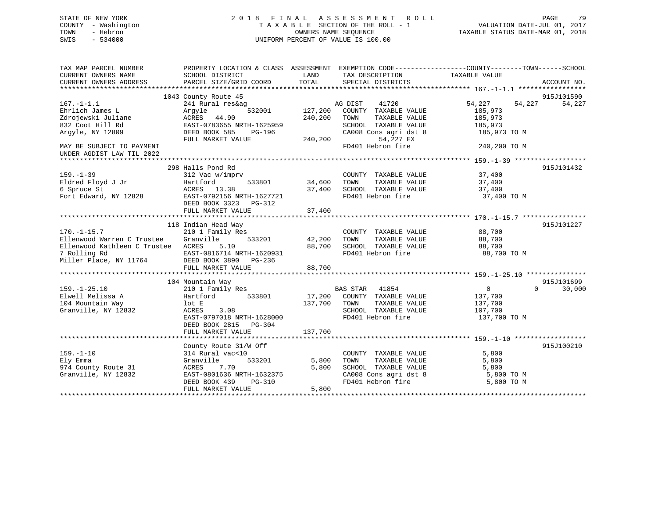## STATE OF NEW YORK 2 0 1 8 F I N A L A S S E S S M E N T R O L L PAGE 79 COUNTY - Washington T A X A B L E SECTION OF THE ROLL - 1 VALUATION DATE-JUL 01, 2017 TOWN - Hebron **CONNERS NAME SEQUENCE** TAXABLE STATUS DATE-MAR 01, 2018 SWIS - 534000 UNIFORM PERCENT OF VALUE IS 100.00

| TAX MAP PARCEL NUMBER<br>CURRENT OWNERS NAME | PROPERTY LOCATION & CLASS ASSESSMENT<br>SCHOOL DISTRICT | LAND    | EXEMPTION CODE-----------------COUNTY-------TOWN------SCHOOL<br>TAX DESCRIPTION | TAXABLE VALUE              |             |
|----------------------------------------------|---------------------------------------------------------|---------|---------------------------------------------------------------------------------|----------------------------|-------------|
| CURRENT OWNERS ADDRESS                       | PARCEL SIZE/GRID COORD                                  | TOTAL   | SPECIAL DISTRICTS                                                               |                            | ACCOUNT NO. |
|                                              |                                                         |         |                                                                                 |                            |             |
|                                              | 1043 County Route 45                                    |         |                                                                                 |                            | 915J101590  |
| $167. - 1 - 1.1$                             | 241 Rural res&ag                                        |         | AG DIST<br>41720                                                                | 54,227<br>54,227           | 54,227      |
| Ehrlich James L                              | 532001<br>Argyle                                        | 127,200 | COUNTY TAXABLE VALUE                                                            | 185,973                    |             |
| Zdrojewski Juliane                           | ACRES<br>44.90                                          | 240,200 | TOWN<br>TAXABLE VALUE                                                           | 185,973                    |             |
| 832 Coot Hill Rd                             | EAST-0783655 NRTH-1625959                               |         | SCHOOL TAXABLE VALUE                                                            | 185,973                    |             |
| Argyle, NY 12809                             | DEED BOOK 585<br>PG-196                                 |         | CA008 Cons agri dst 8                                                           | 185,973 TO M               |             |
|                                              | FULL MARKET VALUE                                       | 240,200 | 54,227 EX                                                                       |                            |             |
| MAY BE SUBJECT TO PAYMENT                    |                                                         |         | FD401 Hebron fire                                                               | 240,200 TO M               |             |
| UNDER AGDIST LAW TIL 2022                    |                                                         |         |                                                                                 |                            |             |
|                                              |                                                         |         |                                                                                 |                            |             |
|                                              | 298 Halls Pond Rd                                       |         |                                                                                 |                            | 915J101432  |
| $159. - 1 - 39$                              | 312 Vac w/imprv                                         |         | COUNTY TAXABLE VALUE                                                            | 37,400                     |             |
| Eldred Floyd J Jr                            | 533801<br>Hartford                                      | 34,600  | TAXABLE VALUE<br>TOWN                                                           | 37,400                     |             |
| 6 Spruce St                                  | ACRES 13.38                                             | 37,400  | SCHOOL TAXABLE VALUE                                                            | 37,400                     |             |
| Fort Edward, NY 12828                        | EAST-0792156 NRTH-1627721                               |         | FD401 Hebron fire                                                               | 37,400 TO M                |             |
|                                              | DEED BOOK 3323<br>PG-312                                |         |                                                                                 |                            |             |
|                                              | FULL MARKET VALUE                                       | 37,400  |                                                                                 |                            |             |
|                                              |                                                         |         |                                                                                 |                            |             |
|                                              | 118 Indian Head Way                                     |         |                                                                                 |                            | 915J101227  |
| $170. - 1 - 15.7$                            | 210 1 Family Res                                        |         | COUNTY TAXABLE VALUE                                                            | 88,700                     |             |
| Ellenwood Warren C Trustee                   | Granville<br>533201                                     | 42,200  | TOWN<br>TAXABLE VALUE                                                           | 88,700                     |             |
| Ellenwood Kathleen C Trustee ACRES           | 5.10                                                    | 88,700  | SCHOOL TAXABLE VALUE                                                            | 88,700                     |             |
| 7 Rolling Rd                                 | EAST-0816714 NRTH-1620931                               |         | FD401 Hebron fire                                                               | 88,700 TO M                |             |
| Miller Place, NY 11764                       | DEED BOOK 3890<br>PG-236                                |         |                                                                                 |                            |             |
|                                              | FULL MARKET VALUE                                       | 88,700  |                                                                                 |                            |             |
|                                              |                                                         |         |                                                                                 |                            |             |
|                                              | 104 Mountain Way                                        |         |                                                                                 |                            | 915J101699  |
| $159. - 1 - 25.10$                           | 210 1 Family Res                                        |         | <b>BAS STAR</b><br>41854                                                        | $\overline{0}$<br>$\Omega$ | 30,000      |
| Elwell Melissa A                             | 533801<br>Hartford                                      | 17,200  | COUNTY TAXABLE VALUE                                                            | 137,700                    |             |
| 104 Mountain Way                             | lot E                                                   | 137,700 | TOWN<br>TAXABLE VALUE                                                           | 137,700                    |             |
| Granville, NY 12832                          | ACRES<br>3.08                                           |         | SCHOOL TAXABLE VALUE                                                            | 107,700                    |             |
|                                              | EAST-0797018 NRTH-1628000                               |         | FD401 Hebron fire                                                               | 137,700 TO M               |             |
|                                              | DEED BOOK 2815<br>$PG-304$                              |         |                                                                                 |                            |             |
|                                              | FULL MARKET VALUE                                       | 137,700 |                                                                                 |                            |             |
|                                              |                                                         |         |                                                                                 |                            |             |
|                                              | County Route 31/W Off                                   |         |                                                                                 |                            | 915J100210  |
| $159. - 1 - 10$                              | 314 Rural vac<10                                        |         | COUNTY TAXABLE VALUE                                                            | 5,800                      |             |
| Ely Emma                                     | Granville<br>533201                                     | 5,800   | TOWN<br>TAXABLE VALUE                                                           | 5,800                      |             |
| 974 County Route 31                          | 7.70<br>ACRES                                           | 5,800   | SCHOOL TAXABLE VALUE                                                            | 5,800                      |             |
| Granville, NY 12832                          | EAST-0801636 NRTH-1632375                               |         | CA008 Cons agri dst 8                                                           | 5,800 TO M                 |             |
|                                              | DEED BOOK 439<br>PG-310                                 |         | FD401 Hebron fire                                                               | 5,800 TO M                 |             |
|                                              | FULL MARKET VALUE                                       | 5,800   |                                                                                 |                            |             |
|                                              |                                                         |         |                                                                                 |                            |             |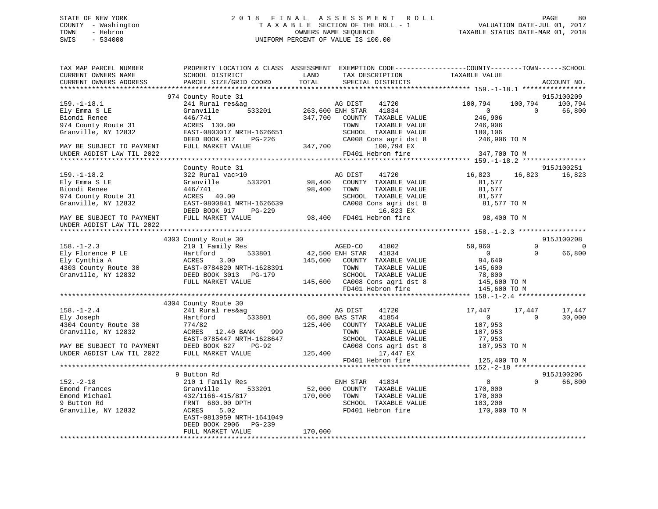## STATE OF NEW YORK 2 0 1 8 F I N A L A S S E S S M E N T R O L L PAGE 80 COUNTY - Washington T A X A B L E SECTION OF THE ROLL - 1 VALUATION DATE-JUL 01, 2017 TOWN - Hebron **CONNERS NAME SEQUENCE** TAXABLE STATUS DATE-MAR 01, 2018 SWIS - 534000 UNIFORM PERCENT OF VALUE IS 100.00

| TAX MAP PARCEL NUMBER<br>CURRENT OWNERS NAME<br>CURRENT OWNERS ADDRESS                           | SCHOOL DISTRICT<br>PARCEL SIZE/GRID COORD                                                                                                                                                    | PROPERTY LOCATION & CLASS ASSESSMENT EXEMPTION CODE---------------COUNTY-------TOWN-----SCHOOL<br>LAND<br>TAX DESCRIPTION<br>TOTAL<br>SPECIAL DISTRICTS                                                                                                                                                                                                                                         | TAXABLE VALUE<br>ACCOUNT NO.                                                                        |                    |
|--------------------------------------------------------------------------------------------------|----------------------------------------------------------------------------------------------------------------------------------------------------------------------------------------------|-------------------------------------------------------------------------------------------------------------------------------------------------------------------------------------------------------------------------------------------------------------------------------------------------------------------------------------------------------------------------------------------------|-----------------------------------------------------------------------------------------------------|--------------------|
|                                                                                                  |                                                                                                                                                                                              |                                                                                                                                                                                                                                                                                                                                                                                                 |                                                                                                     |                    |
|                                                                                                  | 974 County Route 31                                                                                                                                                                          |                                                                                                                                                                                                                                                                                                                                                                                                 | 915J100209                                                                                          |                    |
| $159. - 1 - 18.1$<br>Ely Emma S LE<br>Biondi Renee<br>974 County Route 31<br>Granville, NY 12832 | $440/741$<br>ACRES 130.00                                                                                                                                                                    | 241 Rural res&ag<br>311 Rural res&ag<br>333201 263,600 ENH STAR 41834<br>347,700 COUNTY TAXABLE VALUE<br>TOWN<br>TAXABLE VALUE<br>ACRES 130.00 TOWN TAXABLE VALUE 246,906<br>EAST-0803017 NRTH-1626651 SCHOOL TAXABLE VALUE 180,106<br>DEED BOOK 917 PG-226 347,700 100,794 EX 246,906 TO M<br>FULL MARKET VALUE 347,700 100,794 EX                                                             | 100,794<br>100,794 100,794<br>$\overline{0}$<br>$\sim$ 0<br>66,800<br>246,906<br>246,906<br>180,106 |                    |
| MAY BE SUBJECT TO PAYMENT                                                                        |                                                                                                                                                                                              |                                                                                                                                                                                                                                                                                                                                                                                                 |                                                                                                     |                    |
| UNDER AGDIST LAW TIL 2022                                                                        |                                                                                                                                                                                              | FD401 Hebron fire                                                                                                                                                                                                                                                                                                                                                                               | 347,700 TO M                                                                                        |                    |
|                                                                                                  | County Route 31                                                                                                                                                                              |                                                                                                                                                                                                                                                                                                                                                                                                 | 915J100251                                                                                          |                    |
| $159. - 1 - 18.2$<br>Ely Emma S LE<br>Biondi Renee<br>974 County Route 31<br>Granville, NY 12832 | 322 Rural vac>10<br>Granville 533201<br>$ACRES$ 40.00                                                                                                                                        | AG DIST 41720<br>98,400 COUNTY TAXABLE VALUE<br>98,400 TOWN<br>TAXABLE VALUE<br>SCHOOL TAXABLE VALUE<br>ACRES 40.00<br>EAST-0800841 NRTH-1626639 CA008 Cons agri dst<br>DEED BOOK 917 PG-229 16,823 EX<br>FULL MARKET VALUE 98,400 FD401 Hebron fire<br>CA008 Cons agri dst 8<br>16,823 EX                                                                                                      | 16,823 16,823<br>81,577<br>81,577<br>81,577<br>81,577 TO M                                          | 16,823             |
| MAY BE SUBJECT TO PAYMENT<br>UNDER AGDIST LAW TIL 2022                                           |                                                                                                                                                                                              |                                                                                                                                                                                                                                                                                                                                                                                                 | 98,400 TO M                                                                                         |                    |
|                                                                                                  |                                                                                                                                                                                              |                                                                                                                                                                                                                                                                                                                                                                                                 |                                                                                                     |                    |
|                                                                                                  | 4303 County Route 30                                                                                                                                                                         |                                                                                                                                                                                                                                                                                                                                                                                                 | 915J100208                                                                                          |                    |
|                                                                                                  |                                                                                                                                                                                              | 210 1 Family Res 633801 Magnus 210 1 Magnus 210 1 Family Res 633801 Magnus 21,500 ENH STAR 41834<br>41802<br>145,600 COUNTY TAXABLE VALUE<br>4303 County Route 30<br>4303 County Route 30<br>4303 County Route 30<br>4303 County Route 30<br>445,600<br>445,600 CA008 Cons agri dst 8<br>45,600 TO M<br>445,600 FULL MARKET VALUE<br>445,600 CA008 Cons agri dst 8<br>445,600 TO M<br>445,600 T | 50,960<br>$\Omega$<br>$\overline{0}$<br>$\overline{0}$<br>94,640                                    | $\Omega$<br>66,800 |
|                                                                                                  |                                                                                                                                                                                              |                                                                                                                                                                                                                                                                                                                                                                                                 |                                                                                                     |                    |
|                                                                                                  | 4304 County Route 30                                                                                                                                                                         |                                                                                                                                                                                                                                                                                                                                                                                                 |                                                                                                     |                    |
| $158. - 1 - 2.4$<br>Hartford<br>Ely Joseph<br>4304 County Route 30                               | Councy Route 30<br>241 Rural res&ag<br>774/82                                                                                                                                                | AG DIST<br>41720<br>$\frac{1}{2}$ 533801 66,800 BAS STAR 41854<br>125,400 COUNTY TAXABLE VALUE<br>Granville, NY 12832<br>MAY BE SUBJECT TO PAYMENT<br>MAY BE SUBJECT TO PAYMENT<br>MAY BE SUBJECT TO PAYMENT<br>MAY BE SUBJECT TO PAYMENT<br>DEED BOOK 827 PG-92<br>FULL MARKET VALUE<br>TOWN TAXABLE VALUE<br>CA008 Cons agri dst 8<br>CA008 Cons<br>TAXABLE VALUE                             | 17,447<br>17,447<br>$\overline{0}$<br>$\Omega$<br>107,953<br>107,953<br>77,953<br>107,953 TO M      | 17,447<br>30,000   |
|                                                                                                  |                                                                                                                                                                                              | FD401 Hebron fire                                                                                                                                                                                                                                                                                                                                                                               | 125,400 TO M                                                                                        |                    |
|                                                                                                  |                                                                                                                                                                                              |                                                                                                                                                                                                                                                                                                                                                                                                 |                                                                                                     |                    |
| $152. - 2 - 18$<br>Emond Frances<br>Emond Michael<br>9 Button Rd<br>Granville, NY 12832          | 9 Button Rd<br>210 1 Family Res<br>210 1 Family Res<br>Granville 53320<br>432/1166-415/817<br>FRNT 680.00 DPTH<br>ACRES 5.02<br>533201<br>EAST-0813959 NRTH-1641049<br>DEED BOOK 2906 PG-239 | ENH STAR 41834<br>52,000 COUNTY TAXABLE VALUE<br>170,000 TOWN TAXABLE VALUE<br>SCHOOL TAXABLE VALUE<br>FD401 Hebron fire                                                                                                                                                                                                                                                                        | 915J100206<br>$\overline{0}$<br>$\Omega$<br>170,000<br>170,000<br>103, 200<br>170,000 TO M          | 66,800             |
|                                                                                                  | FULL MARKET VALUE                                                                                                                                                                            | 170,000                                                                                                                                                                                                                                                                                                                                                                                         |                                                                                                     |                    |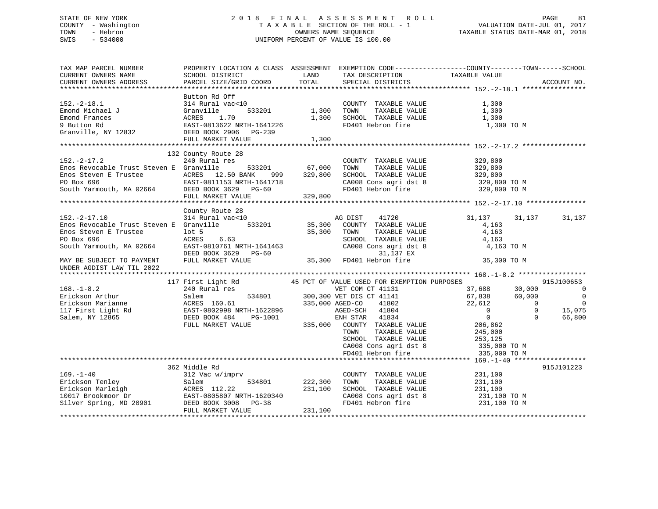## STATE OF NEW YORK 2 0 1 8 F I N A L A S S E S S M E N T R O L L PAGE 81 COUNTY - Washington T A X A B L E SECTION OF THE ROLL - 1 VALUATION DATE-JUL 01, 2017 TOWN - Hebron OWNERS NAME SEQUENCE TAXABLE STATUS DATE-MAR 01, 2018 SWIS - 534000 UNIFORM PERCENT OF VALUE IS 100.00

| CURRENT OWNERS NAME<br>LAND<br>TAX DESCRIPTION<br>TAXABLE VALUE<br>SCHOOL DISTRICT<br>TOTAL<br>CURRENT OWNERS ADDRESS<br>PARCEL SIZE/GRID COORD<br>SPECIAL DISTRICTS<br>ACCOUNT NO.<br>Button Rd Off<br>314 Rural vac<10<br>COUNTY TAXABLE VALUE<br>1,300<br>1,300<br>Emond Michael J<br>Granville<br>533201<br>TOWN<br>TAXABLE VALUE<br>1,300<br>Emond Frances<br>ACRES<br>1.70<br>1,300<br>SCHOOL TAXABLE VALUE<br>1,300<br>FD401 Hebron fire<br>9 Button Rd<br>EAST-0813622 NRTH-1641226<br>1,300 TO M<br>Granville, NY 12832<br>DEED BOOK 2906<br>$PG-239$<br>FULL MARKET VALUE<br>1,300<br>132 County Route 28<br>$152. - 2 - 17.2$<br>COUNTY TAXABLE VALUE<br>240 Rural res<br>329,800<br>533201<br>67,000<br>TAXABLE VALUE<br>Enos Revocable Trust Steven E Granville<br>TOWN<br>329,800<br>329,800<br>Enos Steven E Trustee (ACRES 12.50 BAN<br>PO Box 696 (EAST-0811153 NRTH South Yarmouth, MA 02664 (DEED BOOK 3629)<br>ACRES 12.50 BANK<br>999<br>329,800<br>SCHOOL TAXABLE VALUE<br>EAST-0811153 NRTH-1641718<br>CA008 Cons agri dst 8<br>329,800 TO M<br>FD401 Hebron fire<br>$PG-60$<br>329,800 TO M<br>FULL MARKET VALUE<br>329,800<br>County Route 28<br>$152. - 2 - 17.10$<br>314 Rural vac<10<br>AG DIST<br>41720<br>31,137<br>31,137<br>31,137<br>533201<br>35,300 COUNTY TAXABLE VALUE<br>Enos Revocable Trust Steven E Granville<br>4,163<br>Enos Steven E Trustee<br>$1$ ot 5<br>35,300<br>TOWN<br>TAXABLE VALUE<br>4,163<br>PO Box 696<br>6.63<br>ACRES<br>SCHOOL TAXABLE VALUE<br>4,163<br>EAST-0810761 NRTH-1641463<br>CA008 Cons agri dst 8<br>4,163 TO M<br>South Yarmouth, MA 02664<br>DEED BOOK 3629 PG-60<br>31,137 EX<br>35,300 FD401 Hebron fire<br>FULL MARKET VALUE<br>35,300 TO M<br>MAY BE SUBJECT TO PAYMENT<br>UNDER AGDIST LAW TIL 2022<br>117 First Light Rd<br>45 PCT OF VALUE USED FOR EXEMPTION PURPOSES<br>915J100653<br>$168. - 1 - 8.2$<br>240 Rural res<br>37,688<br>VET COM CT 41131<br>30,000<br>- 0<br>534801 300,300 VET DIS CT 41141<br>Erickson Arthur<br>67,838<br>60,000<br>$\overline{0}$<br>Salem<br>Erickson Marianne<br>ACRES 160.61<br>22,612<br>$\Omega$<br>$\overline{0}$<br>335,000 AGED-CO<br>41802<br>15,075<br>$\overline{0}$<br>$\Omega$<br>AGED-SCH 41804<br>$\mathbf{0}$<br>$\Omega$<br>66,800<br>ENH STAR 41834<br>FULL MARKET VALUE<br>335,000 COUNTY TAXABLE VALUE<br>206,862<br>TOWN<br>TAXABLE VALUE<br>245,000<br>SCHOOL TAXABLE VALUE<br>253,125<br>CA008 Cons agri dst 8<br>335,000 TO M<br>FD401 Hebron fire<br>335,000 TO M<br>362 Middle Rd<br>915J101223<br>$169. - 1 - 40$<br>312 Vac w/imprv<br>231,100<br>COUNTY TAXABLE VALUE<br>Erickson Tenley<br>534801<br>222,300<br>TOWN<br>TAXABLE VALUE<br>231,100<br>Salem<br>ACRES 112.22<br>Erickson Marleigh<br>231,100<br>SCHOOL TAXABLE VALUE<br>231,100<br>EAST-0805807 NRTH-1620340<br>CA008 Cons agri dst 8<br>231,100 TO M<br>FD401 Hebron fire<br>Silver Spring, MD 20901<br>DEED BOOK 3008<br>$PG-38$<br>231,100 TO M<br>FULL MARKET VALUE<br>231,100 | TAX MAP PARCEL NUMBER | PROPERTY LOCATION & CLASS ASSESSMENT EXEMPTION CODE----------------COUNTY-------TOWN------SCHOOL |  |  |  |
|------------------------------------------------------------------------------------------------------------------------------------------------------------------------------------------------------------------------------------------------------------------------------------------------------------------------------------------------------------------------------------------------------------------------------------------------------------------------------------------------------------------------------------------------------------------------------------------------------------------------------------------------------------------------------------------------------------------------------------------------------------------------------------------------------------------------------------------------------------------------------------------------------------------------------------------------------------------------------------------------------------------------------------------------------------------------------------------------------------------------------------------------------------------------------------------------------------------------------------------------------------------------------------------------------------------------------------------------------------------------------------------------------------------------------------------------------------------------------------------------------------------------------------------------------------------------------------------------------------------------------------------------------------------------------------------------------------------------------------------------------------------------------------------------------------------------------------------------------------------------------------------------------------------------------------------------------------------------------------------------------------------------------------------------------------------------------------------------------------------------------------------------------------------------------------------------------------------------------------------------------------------------------------------------------------------------------------------------------------------------------------------------------------------------------------------------------------------------------------------------------------------------------------------------------------------------------------------------------------------------------------------------------------------------------------------------------------------------------------------------------------------------------------------------------------------------------------------------------------------------------------------------------------------------------------------------------------------------------------------------|-----------------------|--------------------------------------------------------------------------------------------------|--|--|--|
|                                                                                                                                                                                                                                                                                                                                                                                                                                                                                                                                                                                                                                                                                                                                                                                                                                                                                                                                                                                                                                                                                                                                                                                                                                                                                                                                                                                                                                                                                                                                                                                                                                                                                                                                                                                                                                                                                                                                                                                                                                                                                                                                                                                                                                                                                                                                                                                                                                                                                                                                                                                                                                                                                                                                                                                                                                                                                                                                                                                                |                       |                                                                                                  |  |  |  |
|                                                                                                                                                                                                                                                                                                                                                                                                                                                                                                                                                                                                                                                                                                                                                                                                                                                                                                                                                                                                                                                                                                                                                                                                                                                                                                                                                                                                                                                                                                                                                                                                                                                                                                                                                                                                                                                                                                                                                                                                                                                                                                                                                                                                                                                                                                                                                                                                                                                                                                                                                                                                                                                                                                                                                                                                                                                                                                                                                                                                |                       |                                                                                                  |  |  |  |
|                                                                                                                                                                                                                                                                                                                                                                                                                                                                                                                                                                                                                                                                                                                                                                                                                                                                                                                                                                                                                                                                                                                                                                                                                                                                                                                                                                                                                                                                                                                                                                                                                                                                                                                                                                                                                                                                                                                                                                                                                                                                                                                                                                                                                                                                                                                                                                                                                                                                                                                                                                                                                                                                                                                                                                                                                                                                                                                                                                                                |                       |                                                                                                  |  |  |  |
|                                                                                                                                                                                                                                                                                                                                                                                                                                                                                                                                                                                                                                                                                                                                                                                                                                                                                                                                                                                                                                                                                                                                                                                                                                                                                                                                                                                                                                                                                                                                                                                                                                                                                                                                                                                                                                                                                                                                                                                                                                                                                                                                                                                                                                                                                                                                                                                                                                                                                                                                                                                                                                                                                                                                                                                                                                                                                                                                                                                                |                       |                                                                                                  |  |  |  |
|                                                                                                                                                                                                                                                                                                                                                                                                                                                                                                                                                                                                                                                                                                                                                                                                                                                                                                                                                                                                                                                                                                                                                                                                                                                                                                                                                                                                                                                                                                                                                                                                                                                                                                                                                                                                                                                                                                                                                                                                                                                                                                                                                                                                                                                                                                                                                                                                                                                                                                                                                                                                                                                                                                                                                                                                                                                                                                                                                                                                | $152.-2-18.1$         |                                                                                                  |  |  |  |
|                                                                                                                                                                                                                                                                                                                                                                                                                                                                                                                                                                                                                                                                                                                                                                                                                                                                                                                                                                                                                                                                                                                                                                                                                                                                                                                                                                                                                                                                                                                                                                                                                                                                                                                                                                                                                                                                                                                                                                                                                                                                                                                                                                                                                                                                                                                                                                                                                                                                                                                                                                                                                                                                                                                                                                                                                                                                                                                                                                                                |                       |                                                                                                  |  |  |  |
|                                                                                                                                                                                                                                                                                                                                                                                                                                                                                                                                                                                                                                                                                                                                                                                                                                                                                                                                                                                                                                                                                                                                                                                                                                                                                                                                                                                                                                                                                                                                                                                                                                                                                                                                                                                                                                                                                                                                                                                                                                                                                                                                                                                                                                                                                                                                                                                                                                                                                                                                                                                                                                                                                                                                                                                                                                                                                                                                                                                                |                       |                                                                                                  |  |  |  |
|                                                                                                                                                                                                                                                                                                                                                                                                                                                                                                                                                                                                                                                                                                                                                                                                                                                                                                                                                                                                                                                                                                                                                                                                                                                                                                                                                                                                                                                                                                                                                                                                                                                                                                                                                                                                                                                                                                                                                                                                                                                                                                                                                                                                                                                                                                                                                                                                                                                                                                                                                                                                                                                                                                                                                                                                                                                                                                                                                                                                |                       |                                                                                                  |  |  |  |
|                                                                                                                                                                                                                                                                                                                                                                                                                                                                                                                                                                                                                                                                                                                                                                                                                                                                                                                                                                                                                                                                                                                                                                                                                                                                                                                                                                                                                                                                                                                                                                                                                                                                                                                                                                                                                                                                                                                                                                                                                                                                                                                                                                                                                                                                                                                                                                                                                                                                                                                                                                                                                                                                                                                                                                                                                                                                                                                                                                                                |                       |                                                                                                  |  |  |  |
|                                                                                                                                                                                                                                                                                                                                                                                                                                                                                                                                                                                                                                                                                                                                                                                                                                                                                                                                                                                                                                                                                                                                                                                                                                                                                                                                                                                                                                                                                                                                                                                                                                                                                                                                                                                                                                                                                                                                                                                                                                                                                                                                                                                                                                                                                                                                                                                                                                                                                                                                                                                                                                                                                                                                                                                                                                                                                                                                                                                                |                       |                                                                                                  |  |  |  |
|                                                                                                                                                                                                                                                                                                                                                                                                                                                                                                                                                                                                                                                                                                                                                                                                                                                                                                                                                                                                                                                                                                                                                                                                                                                                                                                                                                                                                                                                                                                                                                                                                                                                                                                                                                                                                                                                                                                                                                                                                                                                                                                                                                                                                                                                                                                                                                                                                                                                                                                                                                                                                                                                                                                                                                                                                                                                                                                                                                                                |                       |                                                                                                  |  |  |  |
|                                                                                                                                                                                                                                                                                                                                                                                                                                                                                                                                                                                                                                                                                                                                                                                                                                                                                                                                                                                                                                                                                                                                                                                                                                                                                                                                                                                                                                                                                                                                                                                                                                                                                                                                                                                                                                                                                                                                                                                                                                                                                                                                                                                                                                                                                                                                                                                                                                                                                                                                                                                                                                                                                                                                                                                                                                                                                                                                                                                                |                       |                                                                                                  |  |  |  |
|                                                                                                                                                                                                                                                                                                                                                                                                                                                                                                                                                                                                                                                                                                                                                                                                                                                                                                                                                                                                                                                                                                                                                                                                                                                                                                                                                                                                                                                                                                                                                                                                                                                                                                                                                                                                                                                                                                                                                                                                                                                                                                                                                                                                                                                                                                                                                                                                                                                                                                                                                                                                                                                                                                                                                                                                                                                                                                                                                                                                |                       |                                                                                                  |  |  |  |
|                                                                                                                                                                                                                                                                                                                                                                                                                                                                                                                                                                                                                                                                                                                                                                                                                                                                                                                                                                                                                                                                                                                                                                                                                                                                                                                                                                                                                                                                                                                                                                                                                                                                                                                                                                                                                                                                                                                                                                                                                                                                                                                                                                                                                                                                                                                                                                                                                                                                                                                                                                                                                                                                                                                                                                                                                                                                                                                                                                                                |                       |                                                                                                  |  |  |  |
|                                                                                                                                                                                                                                                                                                                                                                                                                                                                                                                                                                                                                                                                                                                                                                                                                                                                                                                                                                                                                                                                                                                                                                                                                                                                                                                                                                                                                                                                                                                                                                                                                                                                                                                                                                                                                                                                                                                                                                                                                                                                                                                                                                                                                                                                                                                                                                                                                                                                                                                                                                                                                                                                                                                                                                                                                                                                                                                                                                                                |                       |                                                                                                  |  |  |  |
|                                                                                                                                                                                                                                                                                                                                                                                                                                                                                                                                                                                                                                                                                                                                                                                                                                                                                                                                                                                                                                                                                                                                                                                                                                                                                                                                                                                                                                                                                                                                                                                                                                                                                                                                                                                                                                                                                                                                                                                                                                                                                                                                                                                                                                                                                                                                                                                                                                                                                                                                                                                                                                                                                                                                                                                                                                                                                                                                                                                                |                       |                                                                                                  |  |  |  |
|                                                                                                                                                                                                                                                                                                                                                                                                                                                                                                                                                                                                                                                                                                                                                                                                                                                                                                                                                                                                                                                                                                                                                                                                                                                                                                                                                                                                                                                                                                                                                                                                                                                                                                                                                                                                                                                                                                                                                                                                                                                                                                                                                                                                                                                                                                                                                                                                                                                                                                                                                                                                                                                                                                                                                                                                                                                                                                                                                                                                |                       |                                                                                                  |  |  |  |
|                                                                                                                                                                                                                                                                                                                                                                                                                                                                                                                                                                                                                                                                                                                                                                                                                                                                                                                                                                                                                                                                                                                                                                                                                                                                                                                                                                                                                                                                                                                                                                                                                                                                                                                                                                                                                                                                                                                                                                                                                                                                                                                                                                                                                                                                                                                                                                                                                                                                                                                                                                                                                                                                                                                                                                                                                                                                                                                                                                                                |                       |                                                                                                  |  |  |  |
|                                                                                                                                                                                                                                                                                                                                                                                                                                                                                                                                                                                                                                                                                                                                                                                                                                                                                                                                                                                                                                                                                                                                                                                                                                                                                                                                                                                                                                                                                                                                                                                                                                                                                                                                                                                                                                                                                                                                                                                                                                                                                                                                                                                                                                                                                                                                                                                                                                                                                                                                                                                                                                                                                                                                                                                                                                                                                                                                                                                                |                       |                                                                                                  |  |  |  |
|                                                                                                                                                                                                                                                                                                                                                                                                                                                                                                                                                                                                                                                                                                                                                                                                                                                                                                                                                                                                                                                                                                                                                                                                                                                                                                                                                                                                                                                                                                                                                                                                                                                                                                                                                                                                                                                                                                                                                                                                                                                                                                                                                                                                                                                                                                                                                                                                                                                                                                                                                                                                                                                                                                                                                                                                                                                                                                                                                                                                |                       |                                                                                                  |  |  |  |
|                                                                                                                                                                                                                                                                                                                                                                                                                                                                                                                                                                                                                                                                                                                                                                                                                                                                                                                                                                                                                                                                                                                                                                                                                                                                                                                                                                                                                                                                                                                                                                                                                                                                                                                                                                                                                                                                                                                                                                                                                                                                                                                                                                                                                                                                                                                                                                                                                                                                                                                                                                                                                                                                                                                                                                                                                                                                                                                                                                                                |                       |                                                                                                  |  |  |  |
|                                                                                                                                                                                                                                                                                                                                                                                                                                                                                                                                                                                                                                                                                                                                                                                                                                                                                                                                                                                                                                                                                                                                                                                                                                                                                                                                                                                                                                                                                                                                                                                                                                                                                                                                                                                                                                                                                                                                                                                                                                                                                                                                                                                                                                                                                                                                                                                                                                                                                                                                                                                                                                                                                                                                                                                                                                                                                                                                                                                                |                       |                                                                                                  |  |  |  |
|                                                                                                                                                                                                                                                                                                                                                                                                                                                                                                                                                                                                                                                                                                                                                                                                                                                                                                                                                                                                                                                                                                                                                                                                                                                                                                                                                                                                                                                                                                                                                                                                                                                                                                                                                                                                                                                                                                                                                                                                                                                                                                                                                                                                                                                                                                                                                                                                                                                                                                                                                                                                                                                                                                                                                                                                                                                                                                                                                                                                |                       |                                                                                                  |  |  |  |
|                                                                                                                                                                                                                                                                                                                                                                                                                                                                                                                                                                                                                                                                                                                                                                                                                                                                                                                                                                                                                                                                                                                                                                                                                                                                                                                                                                                                                                                                                                                                                                                                                                                                                                                                                                                                                                                                                                                                                                                                                                                                                                                                                                                                                                                                                                                                                                                                                                                                                                                                                                                                                                                                                                                                                                                                                                                                                                                                                                                                |                       |                                                                                                  |  |  |  |
|                                                                                                                                                                                                                                                                                                                                                                                                                                                                                                                                                                                                                                                                                                                                                                                                                                                                                                                                                                                                                                                                                                                                                                                                                                                                                                                                                                                                                                                                                                                                                                                                                                                                                                                                                                                                                                                                                                                                                                                                                                                                                                                                                                                                                                                                                                                                                                                                                                                                                                                                                                                                                                                                                                                                                                                                                                                                                                                                                                                                |                       |                                                                                                  |  |  |  |
|                                                                                                                                                                                                                                                                                                                                                                                                                                                                                                                                                                                                                                                                                                                                                                                                                                                                                                                                                                                                                                                                                                                                                                                                                                                                                                                                                                                                                                                                                                                                                                                                                                                                                                                                                                                                                                                                                                                                                                                                                                                                                                                                                                                                                                                                                                                                                                                                                                                                                                                                                                                                                                                                                                                                                                                                                                                                                                                                                                                                |                       |                                                                                                  |  |  |  |
|                                                                                                                                                                                                                                                                                                                                                                                                                                                                                                                                                                                                                                                                                                                                                                                                                                                                                                                                                                                                                                                                                                                                                                                                                                                                                                                                                                                                                                                                                                                                                                                                                                                                                                                                                                                                                                                                                                                                                                                                                                                                                                                                                                                                                                                                                                                                                                                                                                                                                                                                                                                                                                                                                                                                                                                                                                                                                                                                                                                                |                       |                                                                                                  |  |  |  |
|                                                                                                                                                                                                                                                                                                                                                                                                                                                                                                                                                                                                                                                                                                                                                                                                                                                                                                                                                                                                                                                                                                                                                                                                                                                                                                                                                                                                                                                                                                                                                                                                                                                                                                                                                                                                                                                                                                                                                                                                                                                                                                                                                                                                                                                                                                                                                                                                                                                                                                                                                                                                                                                                                                                                                                                                                                                                                                                                                                                                |                       |                                                                                                  |  |  |  |
|                                                                                                                                                                                                                                                                                                                                                                                                                                                                                                                                                                                                                                                                                                                                                                                                                                                                                                                                                                                                                                                                                                                                                                                                                                                                                                                                                                                                                                                                                                                                                                                                                                                                                                                                                                                                                                                                                                                                                                                                                                                                                                                                                                                                                                                                                                                                                                                                                                                                                                                                                                                                                                                                                                                                                                                                                                                                                                                                                                                                |                       |                                                                                                  |  |  |  |
|                                                                                                                                                                                                                                                                                                                                                                                                                                                                                                                                                                                                                                                                                                                                                                                                                                                                                                                                                                                                                                                                                                                                                                                                                                                                                                                                                                                                                                                                                                                                                                                                                                                                                                                                                                                                                                                                                                                                                                                                                                                                                                                                                                                                                                                                                                                                                                                                                                                                                                                                                                                                                                                                                                                                                                                                                                                                                                                                                                                                |                       |                                                                                                  |  |  |  |
|                                                                                                                                                                                                                                                                                                                                                                                                                                                                                                                                                                                                                                                                                                                                                                                                                                                                                                                                                                                                                                                                                                                                                                                                                                                                                                                                                                                                                                                                                                                                                                                                                                                                                                                                                                                                                                                                                                                                                                                                                                                                                                                                                                                                                                                                                                                                                                                                                                                                                                                                                                                                                                                                                                                                                                                                                                                                                                                                                                                                |                       |                                                                                                  |  |  |  |
|                                                                                                                                                                                                                                                                                                                                                                                                                                                                                                                                                                                                                                                                                                                                                                                                                                                                                                                                                                                                                                                                                                                                                                                                                                                                                                                                                                                                                                                                                                                                                                                                                                                                                                                                                                                                                                                                                                                                                                                                                                                                                                                                                                                                                                                                                                                                                                                                                                                                                                                                                                                                                                                                                                                                                                                                                                                                                                                                                                                                |                       |                                                                                                  |  |  |  |
|                                                                                                                                                                                                                                                                                                                                                                                                                                                                                                                                                                                                                                                                                                                                                                                                                                                                                                                                                                                                                                                                                                                                                                                                                                                                                                                                                                                                                                                                                                                                                                                                                                                                                                                                                                                                                                                                                                                                                                                                                                                                                                                                                                                                                                                                                                                                                                                                                                                                                                                                                                                                                                                                                                                                                                                                                                                                                                                                                                                                |                       |                                                                                                  |  |  |  |
|                                                                                                                                                                                                                                                                                                                                                                                                                                                                                                                                                                                                                                                                                                                                                                                                                                                                                                                                                                                                                                                                                                                                                                                                                                                                                                                                                                                                                                                                                                                                                                                                                                                                                                                                                                                                                                                                                                                                                                                                                                                                                                                                                                                                                                                                                                                                                                                                                                                                                                                                                                                                                                                                                                                                                                                                                                                                                                                                                                                                |                       |                                                                                                  |  |  |  |
|                                                                                                                                                                                                                                                                                                                                                                                                                                                                                                                                                                                                                                                                                                                                                                                                                                                                                                                                                                                                                                                                                                                                                                                                                                                                                                                                                                                                                                                                                                                                                                                                                                                                                                                                                                                                                                                                                                                                                                                                                                                                                                                                                                                                                                                                                                                                                                                                                                                                                                                                                                                                                                                                                                                                                                                                                                                                                                                                                                                                |                       |                                                                                                  |  |  |  |
|                                                                                                                                                                                                                                                                                                                                                                                                                                                                                                                                                                                                                                                                                                                                                                                                                                                                                                                                                                                                                                                                                                                                                                                                                                                                                                                                                                                                                                                                                                                                                                                                                                                                                                                                                                                                                                                                                                                                                                                                                                                                                                                                                                                                                                                                                                                                                                                                                                                                                                                                                                                                                                                                                                                                                                                                                                                                                                                                                                                                |                       |                                                                                                  |  |  |  |
|                                                                                                                                                                                                                                                                                                                                                                                                                                                                                                                                                                                                                                                                                                                                                                                                                                                                                                                                                                                                                                                                                                                                                                                                                                                                                                                                                                                                                                                                                                                                                                                                                                                                                                                                                                                                                                                                                                                                                                                                                                                                                                                                                                                                                                                                                                                                                                                                                                                                                                                                                                                                                                                                                                                                                                                                                                                                                                                                                                                                |                       |                                                                                                  |  |  |  |
|                                                                                                                                                                                                                                                                                                                                                                                                                                                                                                                                                                                                                                                                                                                                                                                                                                                                                                                                                                                                                                                                                                                                                                                                                                                                                                                                                                                                                                                                                                                                                                                                                                                                                                                                                                                                                                                                                                                                                                                                                                                                                                                                                                                                                                                                                                                                                                                                                                                                                                                                                                                                                                                                                                                                                                                                                                                                                                                                                                                                |                       |                                                                                                  |  |  |  |
|                                                                                                                                                                                                                                                                                                                                                                                                                                                                                                                                                                                                                                                                                                                                                                                                                                                                                                                                                                                                                                                                                                                                                                                                                                                                                                                                                                                                                                                                                                                                                                                                                                                                                                                                                                                                                                                                                                                                                                                                                                                                                                                                                                                                                                                                                                                                                                                                                                                                                                                                                                                                                                                                                                                                                                                                                                                                                                                                                                                                |                       |                                                                                                  |  |  |  |
|                                                                                                                                                                                                                                                                                                                                                                                                                                                                                                                                                                                                                                                                                                                                                                                                                                                                                                                                                                                                                                                                                                                                                                                                                                                                                                                                                                                                                                                                                                                                                                                                                                                                                                                                                                                                                                                                                                                                                                                                                                                                                                                                                                                                                                                                                                                                                                                                                                                                                                                                                                                                                                                                                                                                                                                                                                                                                                                                                                                                |                       |                                                                                                  |  |  |  |
|                                                                                                                                                                                                                                                                                                                                                                                                                                                                                                                                                                                                                                                                                                                                                                                                                                                                                                                                                                                                                                                                                                                                                                                                                                                                                                                                                                                                                                                                                                                                                                                                                                                                                                                                                                                                                                                                                                                                                                                                                                                                                                                                                                                                                                                                                                                                                                                                                                                                                                                                                                                                                                                                                                                                                                                                                                                                                                                                                                                                |                       |                                                                                                  |  |  |  |
|                                                                                                                                                                                                                                                                                                                                                                                                                                                                                                                                                                                                                                                                                                                                                                                                                                                                                                                                                                                                                                                                                                                                                                                                                                                                                                                                                                                                                                                                                                                                                                                                                                                                                                                                                                                                                                                                                                                                                                                                                                                                                                                                                                                                                                                                                                                                                                                                                                                                                                                                                                                                                                                                                                                                                                                                                                                                                                                                                                                                |                       |                                                                                                  |  |  |  |
|                                                                                                                                                                                                                                                                                                                                                                                                                                                                                                                                                                                                                                                                                                                                                                                                                                                                                                                                                                                                                                                                                                                                                                                                                                                                                                                                                                                                                                                                                                                                                                                                                                                                                                                                                                                                                                                                                                                                                                                                                                                                                                                                                                                                                                                                                                                                                                                                                                                                                                                                                                                                                                                                                                                                                                                                                                                                                                                                                                                                |                       |                                                                                                  |  |  |  |
|                                                                                                                                                                                                                                                                                                                                                                                                                                                                                                                                                                                                                                                                                                                                                                                                                                                                                                                                                                                                                                                                                                                                                                                                                                                                                                                                                                                                                                                                                                                                                                                                                                                                                                                                                                                                                                                                                                                                                                                                                                                                                                                                                                                                                                                                                                                                                                                                                                                                                                                                                                                                                                                                                                                                                                                                                                                                                                                                                                                                |                       |                                                                                                  |  |  |  |
|                                                                                                                                                                                                                                                                                                                                                                                                                                                                                                                                                                                                                                                                                                                                                                                                                                                                                                                                                                                                                                                                                                                                                                                                                                                                                                                                                                                                                                                                                                                                                                                                                                                                                                                                                                                                                                                                                                                                                                                                                                                                                                                                                                                                                                                                                                                                                                                                                                                                                                                                                                                                                                                                                                                                                                                                                                                                                                                                                                                                |                       |                                                                                                  |  |  |  |
|                                                                                                                                                                                                                                                                                                                                                                                                                                                                                                                                                                                                                                                                                                                                                                                                                                                                                                                                                                                                                                                                                                                                                                                                                                                                                                                                                                                                                                                                                                                                                                                                                                                                                                                                                                                                                                                                                                                                                                                                                                                                                                                                                                                                                                                                                                                                                                                                                                                                                                                                                                                                                                                                                                                                                                                                                                                                                                                                                                                                | 10017 Brookmoor Dr    |                                                                                                  |  |  |  |
|                                                                                                                                                                                                                                                                                                                                                                                                                                                                                                                                                                                                                                                                                                                                                                                                                                                                                                                                                                                                                                                                                                                                                                                                                                                                                                                                                                                                                                                                                                                                                                                                                                                                                                                                                                                                                                                                                                                                                                                                                                                                                                                                                                                                                                                                                                                                                                                                                                                                                                                                                                                                                                                                                                                                                                                                                                                                                                                                                                                                |                       |                                                                                                  |  |  |  |
|                                                                                                                                                                                                                                                                                                                                                                                                                                                                                                                                                                                                                                                                                                                                                                                                                                                                                                                                                                                                                                                                                                                                                                                                                                                                                                                                                                                                                                                                                                                                                                                                                                                                                                                                                                                                                                                                                                                                                                                                                                                                                                                                                                                                                                                                                                                                                                                                                                                                                                                                                                                                                                                                                                                                                                                                                                                                                                                                                                                                |                       |                                                                                                  |  |  |  |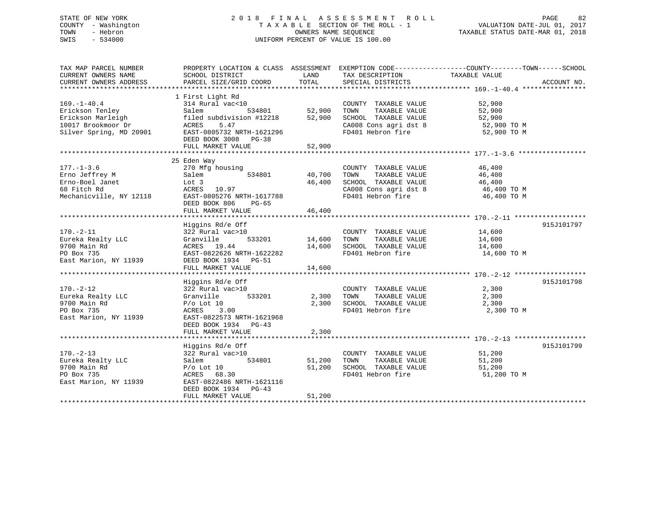## STATE OF NEW YORK 2 0 1 8 F I N A L A S S E S S M E N T R O L L PAGE 82 COUNTY - Washington T A X A B L E SECTION OF THE ROLL - 1 VALUATION DATE-JUL 01, 2017 TOWN - Hebron OWNERS NAME SEQUENCE TAXABLE STATUS DATE-MAR 01, 2018 SWIS - 534000 UNIFORM PERCENT OF VALUE IS 100.00

| TAX MAP PARCEL NUMBER                         | PROPERTY LOCATION & CLASS ASSESSMENT EXEMPTION CODE---------------COUNTY-------TOWN-----SCHOOL |                    |                                   |                                                        |             |
|-----------------------------------------------|------------------------------------------------------------------------------------------------|--------------------|-----------------------------------|--------------------------------------------------------|-------------|
| CURRENT OWNERS NAME<br>CURRENT OWNERS ADDRESS | SCHOOL DISTRICT                                                                                | LAND<br>TOTAL      | TAX DESCRIPTION                   | TAXABLE VALUE                                          | ACCOUNT NO. |
|                                               | PARCEL SIZE/GRID COORD                                                                         |                    | SPECIAL DISTRICTS                 |                                                        |             |
|                                               | 1 First Light Rd                                                                               |                    |                                   |                                                        |             |
| $169. - 1 - 40.4$                             | 314 Rural vac<10                                                                               |                    | COUNTY TAXABLE VALUE 52,900       |                                                        |             |
| Erickson Tenley                               | Salem                                                                                          | 534801 52,900 TOWN |                                   |                                                        |             |
| Erickson Marleigh                             | filed subdivision #12218                                                                       |                    | 52,900 SCHOOL TAXABLE VALUE       | TAXABLE VALUE 52,900<br>TAXABLE VALUE 52,900<br>52,900 |             |
|                                               | ACRES<br>5.47                                                                                  |                    | CA008 Cons agri dst 8 52,900 TO M |                                                        |             |
| 10017 Brookmoor Dr<br>Silver Spring, MD 20901 | EAST-0805732 NRTH-1621296                                                                      |                    | FD401 Hebron fire                 | 52,900 TO M                                            |             |
|                                               | DEED BOOK 3008 PG-38                                                                           |                    |                                   |                                                        |             |
|                                               | FULL MARKET VALUE                                                                              | 52,900             |                                   |                                                        |             |
|                                               |                                                                                                |                    |                                   |                                                        |             |
|                                               | 25 Eden Way                                                                                    |                    |                                   |                                                        |             |
| $177. - 1 - 3.6$                              | 270 Mfg housing                                                                                |                    | COUNTY TAXABLE VALUE 46,400       |                                                        |             |
| Erno Jeffrey M                                | 534801<br>Salem                                                                                | 40,700 TOWN        |                                   | TAXABLE VALUE 46,400<br>TAXABLE VALUE 46,400           |             |
| Erno-Boel Janet                               | Lot 3                                                                                          |                    | 46,400 SCHOOL TAXABLE VALUE       |                                                        |             |
| 68 Fitch Rd                                   | ACRES 10.97                                                                                    |                    | CA008 Cons agri dst 8 46,400 TO M |                                                        |             |
| Mechanicville, NY 12118                       | EAST-0805276 NRTH-1617788                                                                      |                    | FD401 Hebron fire                 | 46,400 TO M                                            |             |
|                                               | DEED BOOK 806<br>PG-65                                                                         |                    |                                   |                                                        |             |
|                                               | FULL MARKET VALUE                                                                              | 46,400             |                                   |                                                        |             |
|                                               |                                                                                                |                    |                                   |                                                        |             |
| $170. - 2 - 11$                               | Higgins Rd/e Off                                                                               |                    | COUNTY TAXABLE VALUE 14,600       |                                                        | 915J101797  |
| Eureka Realty LLC                             | 322 Rural vac>10<br>533201<br>Granville                                                        | 14,600 TOWN        |                                   |                                                        |             |
| 9700 Main Rd                                  |                                                                                                |                    |                                   | TAXABLE VALUE 14,600<br>TAXABLE VALUE 14,600           |             |
| PO Box 735                                    | ACRES 19.44 14,600 SCHOOL TAXABLE VALUE<br>EAST-0822626 NRTH-1622282 FD401 Hebron fire         |                    | FD401 Hebron fire 14,600 TO M     |                                                        |             |
| East Marion, NY 11939                         | DEED BOOK 1934 PG-51                                                                           |                    |                                   |                                                        |             |
|                                               | FULL MARKET VALUE                                                                              | 14,600             |                                   |                                                        |             |
|                                               |                                                                                                |                    |                                   |                                                        |             |
|                                               | Higgins Rd/e Off                                                                               |                    |                                   |                                                        | 915J101798  |
| $170. - 2 - 12$                               | 322 Rural vac>10                                                                               |                    | COUNTY TAXABLE VALUE              | $\frac{2}{2}$ , 300                                    |             |
| Eureka Realty LLC                             | 533201<br>Granville                                                                            | 2,300 TOWN         | TAXABLE VALUE                     | 2,300                                                  |             |
| 9700 Main Rd                                  | $P/O$ Lot $10$                                                                                 |                    | 2,300 SCHOOL TAXABLE VALUE 2,300  |                                                        |             |
| PO Box 735                                    | ACRES 3.00                                                                                     |                    | FD401 Hebron fire                 | 2,300 TO M                                             |             |
| East Marion, NY 11939                         | EAST-0822573 NRTH-1621968                                                                      |                    |                                   |                                                        |             |
|                                               | DEED BOOK 1934 PG-43                                                                           |                    |                                   |                                                        |             |
|                                               | FULL MARKET VALUE                                                                              | 2,300              |                                   |                                                        |             |
|                                               |                                                                                                |                    |                                   |                                                        |             |
|                                               | Higgins Rd/e Off                                                                               |                    |                                   | $\frac{51}{51}$ , 200                                  | 915J101799  |
| $170. - 2 - 13$                               | 322 Rural vac>10                                                                               |                    | COUNTY TAXABLE VALUE              |                                                        |             |
| Eureka Realty LLC                             | 534801<br>Salem                                                                                | 51,200 TOWN        | TAXABLE VALUE                     |                                                        |             |
| 9700 Main Rd                                  | $P/O$ Lot $10$                                                                                 |                    | 51,200 SCHOOL TAXABLE VALUE       | 51,200                                                 |             |
| PO Box 735                                    | ACRES 68.30                                                                                    |                    | FD401 Hebron fire                 | 51,200 TO M                                            |             |
| East Marion, NY 11939                         | EAST-0822486 NRTH-1621116<br>DEED BOOK 1934 PG-43                                              |                    |                                   |                                                        |             |
|                                               | FULL MARKET VALUE                                                                              | 51,200             |                                   |                                                        |             |
|                                               |                                                                                                |                    |                                   |                                                        |             |
|                                               |                                                                                                |                    |                                   |                                                        |             |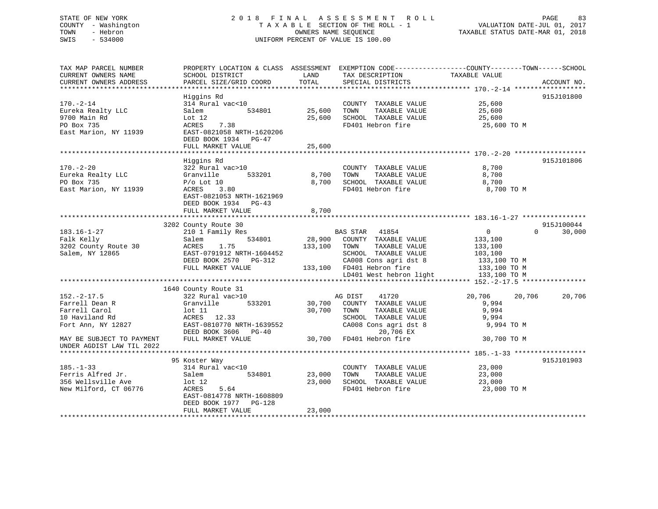## STATE OF NEW YORK 2 0 1 8 F I N A L A S S E S S M E N T R O L L PAGE 83 COUNTY - Washington T A X A B L E SECTION OF THE ROLL - 1 VALUATION DATE-JUL 01, 2017 TOWN - Hebron OWNERS NAME SEQUENCE TAXABLE STATUS DATE-MAR 01, 2018 SWIS - 534000 UNIFORM PERCENT OF VALUE IS 100.00

| TAX MAP PARCEL NUMBER<br>CURRENT OWNERS NAME<br>CURRENT OWNERS ADDRESS                       | PROPERTY LOCATION & CLASS ASSESSMENT EXEMPTION CODE---------------COUNTY-------TOWN------SCHOOL<br>SCHOOL DISTRICT<br>PARCEL SIZE/GRID COORD                                              | LAND<br>TOTAL              | TAX DESCRIPTION<br>SPECIAL DISTRICTS                                                                                                                                     | TAXABLE VALUE                                                                                            | ACCOUNT NO. |
|----------------------------------------------------------------------------------------------|-------------------------------------------------------------------------------------------------------------------------------------------------------------------------------------------|----------------------------|--------------------------------------------------------------------------------------------------------------------------------------------------------------------------|----------------------------------------------------------------------------------------------------------|-------------|
| $170. - 2 - 14$<br>Eureka Realty LLC<br>9700 Main Rd<br>PO Box 735<br>East Marion, NY 11939  | Higgins Rd<br>314 Rural vac<10<br>534801<br>Salem<br>Lot 12<br>7.38<br>ACRES<br>EAST-0821058 NRTH-1620206<br>DEED BOOK 1934 PG-47<br>FULL MARKET VALUE<br>******************************* | 25,600<br>25,600<br>25,600 | COUNTY TAXABLE VALUE<br>TAXABLE VALUE<br>TOWN<br>SCHOOL TAXABLE VALUE<br>FD401 Hebron fire                                                                               | 25,600<br>25,600<br>25,600<br>25,600 TO M                                                                | 915J101800  |
| $170. - 2 - 20$<br>Eureka Realty LLC<br>PO Box 735<br>East Marion, NY 11939                  | Higgins Rd<br>322 Rural vac>10<br>Granville<br>533201<br>$P/O$ Lot 10<br>ACRES<br>3.80<br>EAST-0821053 NRTH-1621969<br>DEED BOOK 1934 PG-43<br>FULL MARKET VALUE                          | 8,700<br>8,700<br>8,700    | COUNTY TAXABLE VALUE<br>TOWN<br>TAXABLE VALUE<br>SCHOOL TAXABLE VALUE<br>FD401 Hebron fire                                                                               | 8,700<br>8,700<br>8,700<br>8,700 TO M                                                                    | 915J101806  |
|                                                                                              |                                                                                                                                                                                           |                            |                                                                                                                                                                          |                                                                                                          |             |
|                                                                                              | 3202 County Route 30                                                                                                                                                                      |                            |                                                                                                                                                                          |                                                                                                          | 915J100044  |
| $183.16 - 1 - 27$<br>Falk Kelly<br>3202 County Route 30<br>Salem, NY 12865                   | 210 1 Family Res<br>534801<br>Salem<br>1.75<br><b>ACRES</b><br>EAST-0791912 NRTH-1604452<br>DEED BOOK 2570<br>PG-312<br>FULL MARKET VALUE                                                 | 28,900<br>133,100          | BAS STAR 41854<br>COUNTY TAXABLE VALUE<br>TOWN<br>TAXABLE VALUE<br>SCHOOL TAXABLE VALUE<br>CA008 Cons agri dst 8<br>133,100 FD401 Hebron fire<br>LD401 West hebron light | $\mathbf 0$<br>$\Omega$<br>133,100<br>133,100<br>103,100<br>133,100 TO M<br>133,100 TO M<br>133,100 TO M | 30,000      |
|                                                                                              |                                                                                                                                                                                           |                            |                                                                                                                                                                          |                                                                                                          |             |
| $152. - 2 - 17.5$<br>Farrell Dean R<br>Farrell Carol<br>10 Haviland Rd<br>Fort Ann, NY 12827 | 1640 County Route 31<br>322 Rural vac>10<br>Granville<br>533201<br>$1$ ot $11$<br>ACRES 12.33<br>EAST-0810770 NRTH-1639552<br>DEED BOOK 3606 PG-40                                        | 30,700<br>30,700           | 41720<br>AG DIST<br>COUNTY TAXABLE VALUE<br>TAXABLE VALUE<br>TOWN<br>SCHOOL TAXABLE VALUE<br>CA008 Cons agri dst 8<br>20,706 EX                                          | 20,706<br>20,706<br>9,994<br>9,994<br>9,994<br>9,994 TO M                                                | 20,706      |
| MAY BE SUBJECT TO PAYMENT<br>UNDER AGDIST LAW TIL 2022                                       | FULL MARKET VALUE                                                                                                                                                                         | 30,700                     | FD401 Hebron fire                                                                                                                                                        | 30,700 TO M                                                                                              |             |
|                                                                                              |                                                                                                                                                                                           |                            |                                                                                                                                                                          |                                                                                                          |             |
| $185. - 1 - 33$<br>Ferris Alfred Jr.<br>356 Wellsville Ave<br>New Milford, CT 06776          | 95 Koster Way<br>314 Rural vac<10<br>Salem<br>534801<br>$1$ ot $12$<br>ACRES<br>5.64<br>EAST-0814778 NRTH-1608809<br>DEED BOOK 1977<br>PG-128<br>FULL MARKET VALUE                        | 23,000<br>23,000<br>23,000 | COUNTY TAXABLE VALUE<br>TOWN<br>TAXABLE VALUE<br>SCHOOL TAXABLE VALUE<br>FD401 Hebron fire                                                                               | 23,000<br>23,000<br>23,000<br>23,000 TO M                                                                | 915J101903  |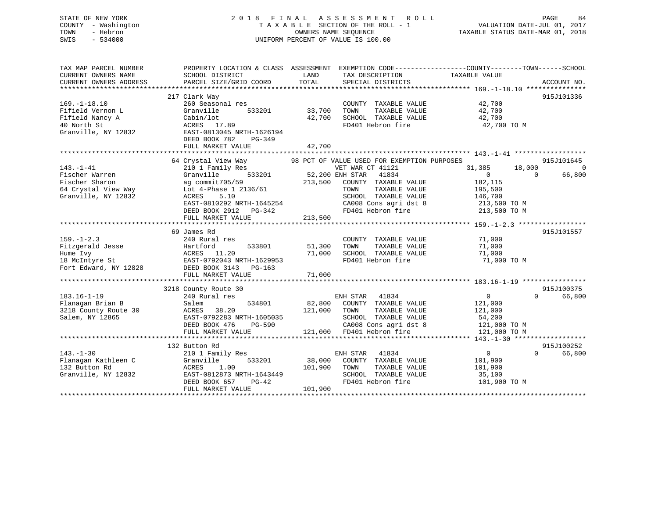## STATE OF NEW YORK 2 0 1 8 F I N A L A S S E S S M E N T R O L L PAGE 84 COUNTY - Washington T A X A B L E SECTION OF THE ROLL - 1 VALUATION DATE-JUL 01, 2017 TOWN - Hebron OWNERS NAME SEQUENCE TAXABLE STATUS DATE-MAR 01, 2018 SWIS - 534000 UNIFORM PERCENT OF VALUE IS 100.00

| TAX MAP PARCEL NUMBER<br>CURRENT OWNERS NAME<br>CURRENT OWNERS ADDRESS                            | SCHOOL DISTRICT<br>PARCEL SIZE/GRID COORD                                                                                                                                         | LAND<br>TOTAL                | TAX DESCRIPTION<br>SPECIAL DISTRICTS                                                                                                                                                                               | PROPERTY LOCATION & CLASS ASSESSMENT EXEMPTION CODE----------------COUNTY-------TOWN------SCHOOL<br>TAXABLE VALUE<br>ACCOUNT NO. |                    |
|---------------------------------------------------------------------------------------------------|-----------------------------------------------------------------------------------------------------------------------------------------------------------------------------------|------------------------------|--------------------------------------------------------------------------------------------------------------------------------------------------------------------------------------------------------------------|----------------------------------------------------------------------------------------------------------------------------------|--------------------|
| $169. - 1 - 18.10$<br>Fifield Vernon L<br>Fifield Nancy A<br>40 North St                          | 217 Clark Way<br>260 Seasonal res<br>533201<br>Granville<br>Cabin/lot<br>ACRES 17.89                                                                                              | 33,700<br>42,700             | COUNTY TAXABLE VALUE<br>TOWN<br>TAXABLE VALUE<br>SCHOOL TAXABLE VALUE<br>FD401 Hebron fire                                                                                                                         | 915J101336<br>42,700<br>42,700<br>42,700<br>42,700 TO M                                                                          |                    |
| Granville, NY 12832                                                                               | EAST-0813045 NRTH-1626194<br>DEED BOOK 782<br>PG-349<br>FULL MARKET VALUE                                                                                                         | 42,700                       |                                                                                                                                                                                                                    |                                                                                                                                  |                    |
|                                                                                                   |                                                                                                                                                                                   |                              |                                                                                                                                                                                                                    |                                                                                                                                  |                    |
| $143. - 1 - 41$<br>Fischer Warren<br>Fischer Sharon<br>64 Crystal View Way<br>Granville, NY 12832 | 64 Crystal View Way<br>210 1 Family Res<br>533201<br>Granville<br>ag commit705/59<br>Lot 4-Phase 1 2136/61<br>ACRES<br>5.10<br>EAST-0810292 NRTH-1645254<br>DEED BOOK 2912 PG-342 | 213,500                      | 98 PCT OF VALUE USED FOR EXEMPTION PURPOSES<br>VET WAR CT 41121<br>52,200 ENH STAR<br>41834<br>COUNTY TAXABLE VALUE<br>TOWN<br>TAXABLE VALUE<br>SCHOOL TAXABLE VALUE<br>CA008 Cons agri dst 8<br>FD401 Hebron fire | 915J101645<br>31,385<br>18,000<br>$\overline{0}$<br>$\Omega$<br>182,115<br>195,500<br>146,700<br>213,500 TO M<br>213,500 TO M    | $\Omega$<br>66,800 |
|                                                                                                   | FULL MARKET VALUE                                                                                                                                                                 | 213,500                      |                                                                                                                                                                                                                    |                                                                                                                                  |                    |
|                                                                                                   |                                                                                                                                                                                   |                              |                                                                                                                                                                                                                    |                                                                                                                                  |                    |
| $159. - 1 - 2.3$<br>Fitzgerald Jesse<br>Hume Ivy<br>18 McIntyre St<br>Fort Edward, NY 12828       | 69 James Rd<br>240 Rural res<br>533801<br>Hartford<br>ACRES 11.20<br>EAST-0792043 NRTH-1629953<br>DEED BOOK 3143<br>PG-163<br>FULL MARKET VALUE                                   | 51,300<br>71,000<br>71,000   | COUNTY TAXABLE VALUE<br>TOWN<br>TAXABLE VALUE<br>SCHOOL TAXABLE VALUE<br>FD401 Hebron fire                                                                                                                         | 915J101557<br>71,000<br>71,000<br>71,000<br>71,000 TO M                                                                          |                    |
|                                                                                                   |                                                                                                                                                                                   |                              |                                                                                                                                                                                                                    |                                                                                                                                  |                    |
| $183.16 - 1 - 19$<br>Flanagan Brian B<br>3218 County Route 30<br>Salem, NY 12865                  | 3218 County Route 30<br>240 Rural res<br>534801<br>Salem<br>ACRES<br>38.20<br>EAST-0792283 NRTH-1605035<br>DEED BOOK 476<br>$PG-590$<br>FULL MARKET VALUE                         | 82,800<br>121,000<br>121,000 | ENH STAR<br>41834<br>COUNTY TAXABLE VALUE<br>TOWN<br>TAXABLE VALUE<br>SCHOOL TAXABLE VALUE<br>CA008 Cons agri dst 8<br>FD401 Hebron fire                                                                           | 915J100375<br>$\mathbf{0}$<br>$\Omega$<br>121,000<br>121,000<br>54,200<br>121,000 TO M<br>121,000 TO M                           | 66,800             |
|                                                                                                   |                                                                                                                                                                                   |                              |                                                                                                                                                                                                                    |                                                                                                                                  |                    |
| $143. - 1 - 30$<br>Flanagan Kathleen C<br>132 Button Rd<br>Granville, NY 12832                    | 132 Button Rd<br>210 1 Family Res<br>Granville<br>533201<br>ACRES<br>1.00<br>EAST-0812873 NRTH-1643449<br>DEED BOOK 657<br>$PG-42$<br>FULL MARKET VALUE                           | 38,000<br>101,900<br>101,900 | 41834<br>ENH STAR<br>COUNTY TAXABLE VALUE<br>TOWN<br>TAXABLE VALUE<br>SCHOOL TAXABLE VALUE<br>FD401 Hebron fire                                                                                                    | 915J100252<br>$\overline{0}$<br>$\Omega$<br>101,900<br>101,900<br>35,100<br>101,900 TO M                                         | 66,800             |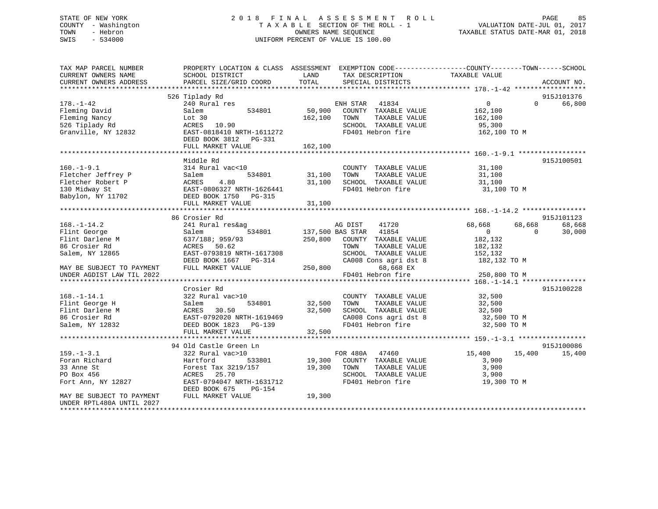## STATE OF NEW YORK 2 0 1 8 F I N A L A S S E S S M E N T R O L L PAGE 85 COUNTY - Washington T A X A B L E SECTION OF THE ROLL - 1 VALUATION DATE-JUL 01, 2017 TOWN - Hebron OWNERS NAME SEQUENCE TAXABLE STATUS DATE-MAR 01, 2018 SWIS - 534000 UNIFORM PERCENT OF VALUE IS 100.00

| TAX MAP PARCEL NUMBER<br>CURRENT OWNERS NAME<br>CURRENT OWNERS ADDRESS              | PROPERTY LOCATION & CLASS ASSESSMENT<br>SCHOOL DISTRICT<br>PARCEL SIZE/GRID COORD                            | LAND<br>TAX DESCRIPTION<br>TOTAL<br>SPECIAL DISTRICTS                                                                               | EXEMPTION CODE-----------------COUNTY-------TOWN------SCHOOL<br>TAXABLE VALUE<br>ACCOUNT NO. |
|-------------------------------------------------------------------------------------|--------------------------------------------------------------------------------------------------------------|-------------------------------------------------------------------------------------------------------------------------------------|----------------------------------------------------------------------------------------------|
| $178. - 1 - 42$                                                                     | 526 Tiplady Rd<br>240 Rural res                                                                              | ENH STAR<br>41834                                                                                                                   | 915J101376<br>$\circ$<br>66,800<br>$\Omega$                                                  |
| Fleming David<br>Fleming Nancy<br>526 Tiplady Rd<br>Granville, NY 12832             | Salem<br>534801<br>Lot 30<br>ACRES<br>10.90<br>EAST-0818410 NRTH-1611272                                     | 50,900<br>COUNTY TAXABLE VALUE<br>TAXABLE VALUE<br>162,100<br>TOWN<br>SCHOOL TAXABLE VALUE<br>FD401 Hebron fire                     | 162,100<br>162,100<br>95,300<br>162,100 TO M                                                 |
|                                                                                     | DEED BOOK 3812<br>PG-331<br>FULL MARKET VALUE                                                                | 162,100                                                                                                                             |                                                                                              |
|                                                                                     | Middle Rd                                                                                                    |                                                                                                                                     | 915J100501                                                                                   |
| $160. - 1 - 9.1$<br>Fletcher Jeffrey P<br>Fletcher Robert P<br>130 Midway St        | 314 Rural vac<10<br>Salem<br>534801<br>ACRES<br>4.80<br>EAST-0806327 NRTH-1626441                            | COUNTY TAXABLE VALUE<br>31,100<br>TOWN<br>TAXABLE VALUE<br>31,100<br>SCHOOL TAXABLE VALUE<br>FD401 Hebron fire                      | 31,100<br>31,100<br>31,100<br>31,100 TO M                                                    |
| Babylon, NY 11702                                                                   | DEED BOOK 1750 PG-315<br>FULL MARKET VALUE                                                                   | 31,100                                                                                                                              |                                                                                              |
|                                                                                     |                                                                                                              |                                                                                                                                     |                                                                                              |
|                                                                                     | 86 Crosier Rd                                                                                                |                                                                                                                                     | 915J101123                                                                                   |
| $168. - 1 - 14.2$<br>Flint George<br>Flint Darlene M<br>86 Crosier Rd               | 241 Rural res&ag<br>534801<br>Salem<br>637/188; 959/93<br>50.62<br>ACRES                                     | AG DIST<br>41720<br>41854<br>137,500 BAS STAR<br>250,800<br>COUNTY TAXABLE VALUE<br>TAXABLE VALUE<br>TOWN                           | 68,668<br>68,668<br>68,668<br>30,000<br>$\Omega$<br>$\Omega$<br>182,132<br>182,132           |
| Salem, NY 12865<br>MAY BE SUBJECT TO PAYMENT                                        | EAST-0793819 NRTH-1617308<br>DEED BOOK 1667<br>PG-314<br>FULL MARKET VALUE                                   | SCHOOL TAXABLE VALUE<br>CA008 Cons agri dst 8<br>250,800<br>68,668 EX                                                               | 152,132<br>182,132 TO M                                                                      |
| UNDER AGDIST LAW TIL 2022                                                           |                                                                                                              | FD401 Hebron fire                                                                                                                   | 250,800 TO M                                                                                 |
|                                                                                     |                                                                                                              |                                                                                                                                     |                                                                                              |
| $168. - 1 - 14.1$<br>Flint George H<br>Flint Darlene M<br>86 Crosier Rd             | Crosier Rd<br>322 Rural vac>10<br>534801<br>Salem<br>30.50<br>ACRES<br>EAST-0792020 NRTH-1619469             | COUNTY TAXABLE VALUE<br>32,500<br>TAXABLE VALUE<br>TOWN<br>32,500<br>SCHOOL TAXABLE VALUE<br>CA008 Cons agri dst 8                  | 915J100228<br>32,500<br>32,500<br>32,500<br>32,500 TO M                                      |
| Salem, NY 12832                                                                     | DEED BOOK 1823<br>PG-139                                                                                     | FD401 Hebron fire                                                                                                                   | 32,500 TO M                                                                                  |
|                                                                                     | FULL MARKET VALUE<br>**********************                                                                  | 32,500<br>***********************                                                                                                   | ********************* 159.-1-3.1 *****************                                           |
|                                                                                     | 94 Old Castle Green Ln                                                                                       |                                                                                                                                     | 915J100086                                                                                   |
| $159. - 1 - 3.1$<br>Foran Richard<br>33 Anne St<br>PO Box 456<br>Fort Ann, NY 12827 | 322 Rural vac>10<br>Hartford<br>533801<br>Forest Tax 3219/157<br>ACRES<br>25.70<br>EAST-0794047 NRTH-1631712 | FOR 480A<br>47460<br>19,300<br>COUNTY TAXABLE VALUE<br>19,300<br>TOWN<br>TAXABLE VALUE<br>SCHOOL TAXABLE VALUE<br>FD401 Hebron fire | 15,400<br>15,400<br>15,400<br>3,900<br>3,900<br>3,900<br>19,300 TO M                         |
| MAY BE SUBJECT TO PAYMENT<br>UNDER RPTL480A UNTIL 2027<br>********************      | DEED BOOK 675<br>PG-154<br>FULL MARKET VALUE                                                                 | 19,300                                                                                                                              |                                                                                              |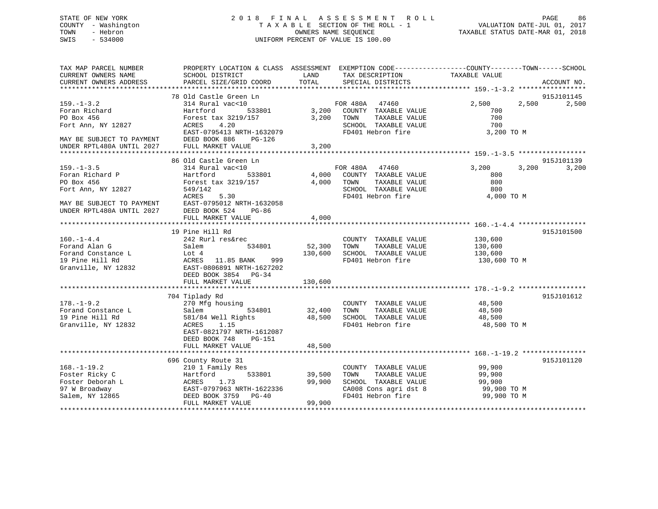# COUNTY - Washington  $T A X A B L E$  SECTION OF THE ROLL - 1<br>TOWN - Hebron DATE-JUL 000NERS NAME SEQUENCE SWIS - 534000 UNIFORM PERCENT OF VALUE IS 100.00

TAXABLE STATUS DATE-MAR 01, 2018

| TAX MAP PARCEL NUMBER                                                                                          |                                                                                                                      |             |                                                                                                   | PROPERTY LOCATION & CLASS ASSESSMENT EXEMPTION CODE---------------COUNTY-------TOWN-----SCHOOL |             |
|----------------------------------------------------------------------------------------------------------------|----------------------------------------------------------------------------------------------------------------------|-------------|---------------------------------------------------------------------------------------------------|------------------------------------------------------------------------------------------------|-------------|
| CURRENT OWNERS NAME                                                                                            | SCHOOL DISTRICT                                                                                                      | LAND        | TAX DESCRIPTION                                                                                   | TAXABLE VALUE                                                                                  |             |
| CURRENT OWNERS ADDRESS                                                                                         | PARCEL SIZE/GRID COORD                                                                                               | TOTAL       | SPECIAL DISTRICTS                                                                                 |                                                                                                | ACCOUNT NO. |
|                                                                                                                |                                                                                                                      |             |                                                                                                   |                                                                                                |             |
|                                                                                                                | 78 Old Castle Green Ln                                                                                               |             |                                                                                                   |                                                                                                | 915J101145  |
| $159. - 1 - 3.2$                                                                                               | 314 Rural vac<10                                                                                                     |             |                                                                                                   | 2,500<br>2,500                                                                                 | 2,500       |
| Foran Richard                                                                                                  | Hartford                                                                                                             |             |                                                                                                   | 700                                                                                            |             |
| PO Box 456                                                                                                     | Forest tax 3219/157 3,200                                                                                            |             | TAXABLE VALUE<br>TOWN                                                                             | 700<br>$\frac{1}{700}$                                                                         |             |
| Fort Ann, NY 12827                                                                                             | ACRES 4.20                                                                                                           |             | SCHOOL TAXABLE VALUE                                                                              |                                                                                                |             |
| EAST-0795413 NRTH-<br>MAY BE SUBJECT TO PAYMENT DEED BOOK 886 F<br>UNDER RPTL480A UNTIL 2027 FULL MARKET VALUE | EAST-0795413 NRTH-1632079                                                                                            |             | FD401 Hebron fire                                                                                 | 3,200 TO M                                                                                     |             |
|                                                                                                                | <b>PG-126</b>                                                                                                        |             |                                                                                                   |                                                                                                |             |
|                                                                                                                |                                                                                                                      | 3,200       |                                                                                                   |                                                                                                |             |
|                                                                                                                |                                                                                                                      |             |                                                                                                   |                                                                                                |             |
|                                                                                                                | 86 Old Castle Green Ln                                                                                               |             |                                                                                                   |                                                                                                | 915J101139  |
| $159. - 1 - 3.5$                                                                                               | 314 Rural vac<10                                                                                                     |             |                                                                                                   | 3,200<br>3,200                                                                                 | 3,200       |
| Foran Richard P                                                                                                | Hartford                                                                                                             |             |                                                                                                   | 800<br>800                                                                                     |             |
| PO Box 456                                                                                                     | Forest tax 3219/157                                                                                                  | 4,000 TOWN  | TAXABLE VALUE                                                                                     | 800                                                                                            |             |
| Fort Ann, NY 12827                                                                                             | 549/142                                                                                                              |             | SCHOOL TAXABLE VALUE                                                                              |                                                                                                |             |
| MAY BE SUBJECT TO PAYMENT                                                                                      | 5.30<br>ACRES                                                                                                        |             | FD401 Hebron fire                                                                                 | 4,000 TO M                                                                                     |             |
|                                                                                                                | EAST-0795012 NRTH-1632058                                                                                            |             |                                                                                                   |                                                                                                |             |
| UNDER RPTL480A UNTIL 2027                                                                                      | DEED BOOK 524<br>PG-86                                                                                               |             |                                                                                                   |                                                                                                |             |
|                                                                                                                | FULL MARKET VALUE                                                                                                    | 4,000       |                                                                                                   |                                                                                                |             |
|                                                                                                                |                                                                                                                      |             |                                                                                                   |                                                                                                |             |
| $160. - 1 - 4.4$                                                                                               | 19 Pine Hill Rd<br>242 Rurl res&rec                                                                                  |             | COUNTY TAXABLE VALUE                                                                              |                                                                                                | 915J101500  |
| Forand Alan G                                                                                                  | 534801<br>Salem                                                                                                      | 52,300      | TAXABLE VALUE<br>TOWN                                                                             | 130,600<br>130,600                                                                             |             |
|                                                                                                                |                                                                                                                      | 130,600     | SCHOOL TAXABLE VALUE                                                                              | 130,600                                                                                        |             |
|                                                                                                                | For<br>and Constance L<br>19 Pine Hill Rd<br>Granville, NY 12832<br>Granville, NY 12832<br>EAST-0806891 NRTH-1627202 |             | FD401 Hebron fire                                                                                 | 130,600 TO M                                                                                   |             |
|                                                                                                                |                                                                                                                      |             |                                                                                                   |                                                                                                |             |
|                                                                                                                | DEED BOOK 3854 PG-34                                                                                                 |             |                                                                                                   |                                                                                                |             |
|                                                                                                                | FULL MARKET VALUE                                                                                                    | 130,600     |                                                                                                   |                                                                                                |             |
|                                                                                                                |                                                                                                                      |             |                                                                                                   |                                                                                                |             |
|                                                                                                                | 704 Tiplady Rd                                                                                                       |             |                                                                                                   |                                                                                                | 915J101612  |
| $178. - 1 - 9.2$                                                                                               | 270 Mfg housing                                                                                                      |             | COUNTY TAXABLE VALUE                                                                              |                                                                                                |             |
| Forand Constance L                                                                                             | 270 Mf<br>Salem<br>534801                                                                                            | 32,400 TOWN | TAXABLE VALUE                                                                                     | 48,500<br>48,500                                                                               |             |
| 19 Pine Hill Rd                                                                                                | 581/84 Well Rights 48,500                                                                                            |             | SCHOOL TAXABLE VALUE                                                                              | 48,500                                                                                         |             |
| Granville, NY 12832                                                                                            | ACRES 1.15                                                                                                           |             | FD401 Hebron fire                                                                                 | 48,500 TO M                                                                                    |             |
|                                                                                                                | EAST-0821797 NRTH-1612087                                                                                            |             |                                                                                                   |                                                                                                |             |
|                                                                                                                | DEED BOOK 748<br>PG-151                                                                                              |             |                                                                                                   |                                                                                                |             |
|                                                                                                                | FULL MARKET VALUE                                                                                                    | 48,500      |                                                                                                   |                                                                                                |             |
|                                                                                                                |                                                                                                                      |             |                                                                                                   |                                                                                                |             |
|                                                                                                                | 696 County Route 31                                                                                                  |             |                                                                                                   |                                                                                                | 915J101120  |
| $168. - 1 - 19.2$                                                                                              | 210 1 Family Res                                                                                                     |             |                                                                                                   |                                                                                                |             |
|                                                                                                                | 533801 39,500                                                                                                        |             | COUNTY TAXABLE VALUE 99,900                                                                       |                                                                                                |             |
|                                                                                                                |                                                                                                                      | 99,900      |                                                                                                   |                                                                                                |             |
|                                                                                                                |                                                                                                                      |             | SCHOOL TAXABLE VALUE 99,900<br>CA008 Cons agri dst 8 99,900 TO M<br>FD401 Hebron fire 99,900 TO M |                                                                                                |             |
|                                                                                                                |                                                                                                                      |             |                                                                                                   |                                                                                                |             |
|                                                                                                                | FULL MARKET VALUE                                                                                                    | 99,900      |                                                                                                   |                                                                                                |             |
|                                                                                                                |                                                                                                                      |             |                                                                                                   |                                                                                                |             |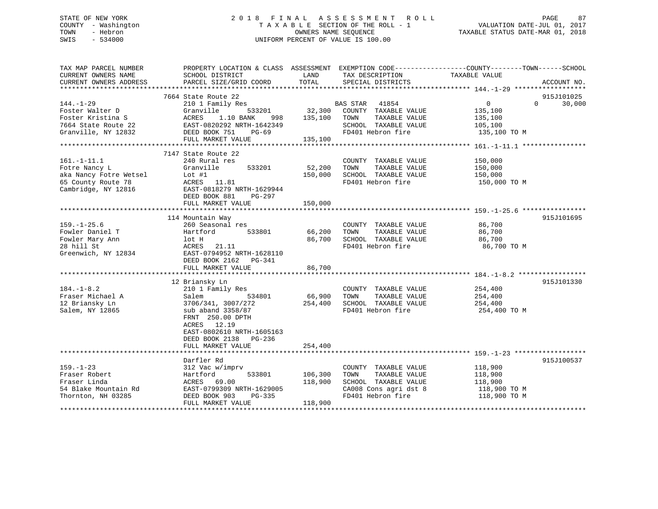## STATE OF NEW YORK 2 0 1 8 F I N A L A S S E S S M E N T R O L L PAGE 87 COUNTY - Washington T A X A B L E SECTION OF THE ROLL - 1 VALUATION DATE-JUL 01, 2017 TOWN - Hebron **CONNERS NAME SEQUENCE** TAXABLE STATUS DATE-MAR 01, 2018 SWIS - 534000 UNIFORM PERCENT OF VALUE IS 100.00

| TAX MAP PARCEL NUMBER<br>CURRENT OWNERS NAME                                                              | SCHOOL DISTRICT                                                                                                                                                                                                   | LAND                          | TAX DESCRIPTION                                                                                                     | PROPERTY LOCATION & CLASS ASSESSMENT EXEMPTION CODE---------------COUNTY-------TOWN-----SCHOOL<br>TAXABLE VALUE |             |
|-----------------------------------------------------------------------------------------------------------|-------------------------------------------------------------------------------------------------------------------------------------------------------------------------------------------------------------------|-------------------------------|---------------------------------------------------------------------------------------------------------------------|-----------------------------------------------------------------------------------------------------------------|-------------|
| CURRENT OWNERS ADDRESS                                                                                    | PARCEL SIZE/GRID COORD                                                                                                                                                                                            | TOTAL                         | SPECIAL DISTRICTS                                                                                                   |                                                                                                                 | ACCOUNT NO. |
|                                                                                                           | 7664 State Route 22                                                                                                                                                                                               |                               |                                                                                                                     |                                                                                                                 | 915J101025  |
| 144.-1-29<br>Foster Walter D<br>Foster Kristina S<br>7664 State Route 22<br>Granville, NY 12832           | 210 1 Family Res<br>Granville<br>533201<br>ACRES<br>1.10 BANK<br>998<br>EAST-0820292 NRTH-1642349<br>DEED BOOK 751<br>$PG-69$<br>FULL MARKET VALUE                                                                | 32,300<br>135,100<br>135,100  | BAS STAR 41854<br>COUNTY TAXABLE VALUE<br>TOWN<br>TAXABLE VALUE<br>SCHOOL TAXABLE VALUE<br>FD401 Hebron fire        | $\overline{0}$<br>$\Omega$<br>135,100<br>135,100<br>105,100<br>135,100 TO M                                     | 30,000      |
|                                                                                                           | 7147 State Route 22                                                                                                                                                                                               |                               |                                                                                                                     |                                                                                                                 |             |
| $161. - 1 - 11.1$<br>Fotre Nancy L<br>aka Nancy Fotre Wetsel<br>65 County Route 78<br>Cambridge, NY 12816 | 240 Rural res<br>Granville<br>533201<br>$Lot$ #1<br>ACRES 11.81<br>EAST-0818279 NRTH-1629944<br>DEED BOOK 881<br>$PG-297$<br>FULL MARKET VALUE                                                                    | 52,200<br>150,000<br>150,000  | COUNTY TAXABLE VALUE<br>TOWN<br>TAXABLE VALUE<br>SCHOOL TAXABLE VALUE<br>FD401 Hebron fire                          | 150,000<br>150,000<br>150,000<br>150,000 TO M                                                                   |             |
|                                                                                                           | 114 Mountain Way                                                                                                                                                                                                  |                               |                                                                                                                     |                                                                                                                 | 915J101695  |
| $159. - 1 - 25.6$<br>Fowler Daniel T<br>Fowler Mary Ann<br>28 hill St<br>Greenwich, NY 12834              | 260 Seasonal res<br>533801<br>Hartford<br>lot H<br>ACRES 21.11<br>EAST-0794952 NRTH-1628110<br>DEED BOOK 2162<br>PG-341<br>FULL MARKET VALUE                                                                      | 66,200<br>86,700<br>86,700    | COUNTY TAXABLE VALUE<br>TAXABLE VALUE<br>TOWN<br>SCHOOL TAXABLE VALUE<br>FD401 Hebron fire                          | 86,700<br>86,700<br>86,700<br>86,700 TO M                                                                       |             |
|                                                                                                           |                                                                                                                                                                                                                   |                               |                                                                                                                     |                                                                                                                 |             |
| $184. - 1 - 8.2$<br>Fraser Michael A<br>12 Briansky Ln<br>Salem, NY 12865                                 | 12 Briansky Ln<br>210 1 Family Res<br>534801<br>Salem<br>3706/341, 3007/272<br>sub aband 3358/87<br>FRNT 250.00 DPTH<br>ACRES 12.19<br>EAST-0802610 NRTH-1605163<br>DEED BOOK 2138<br>PG-236<br>FULL MARKET VALUE | 66,900<br>254,400<br>254,400  | COUNTY TAXABLE VALUE<br>TOWN<br>TAXABLE VALUE<br>SCHOOL TAXABLE VALUE<br>FD401 Hebron fire                          | 254,400<br>254,400<br>254,400<br>254,400 TO M                                                                   | 915J101330  |
|                                                                                                           |                                                                                                                                                                                                                   |                               |                                                                                                                     |                                                                                                                 |             |
| $159. - 1 - 23$<br>Fraser Robert<br>Fraser Linda<br>54 Blake Mountain Rd<br>Thornton, NH 03285            | Darfler Rd<br>312 Vac w/imprv<br>Hartford<br>533801<br>ACRES 69.00<br>EAST-0799309 NRTH-1629005<br>DEED BOOK 903<br>PG-335<br>FULL MARKET VALUE                                                                   | 106,300<br>118,900<br>118,900 | COUNTY TAXABLE VALUE<br>TOWN<br>TAXABLE VALUE<br>SCHOOL TAXABLE VALUE<br>CA008 Cons agri dst 8<br>FD401 Hebron fire | 118,900<br>118,900<br>118,900<br>118,900 TO M<br>118,900 TO M                                                   | 915J100537  |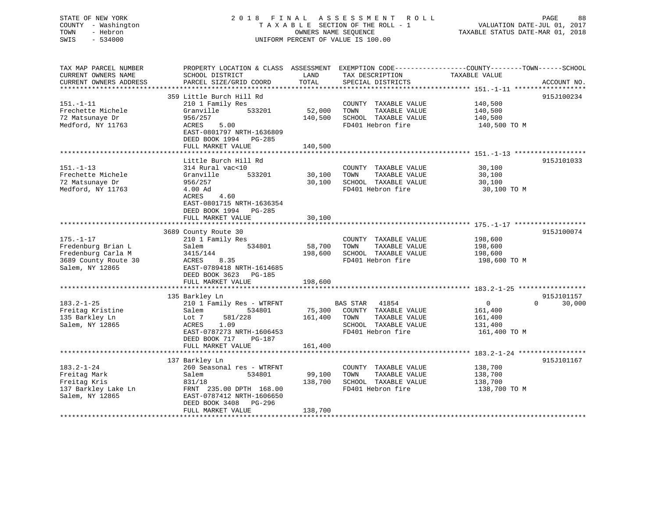## STATE OF NEW YORK 2 0 1 8 F I N A L A S S E S S M E N T R O L L PAGE 88 COUNTY - Washington T A X A B L E SECTION OF THE ROLL - 1 VALUATION DATE-JUL 01, 2017 TOWN - Hebron OWNERS NAME SEQUENCE TAXABLE STATUS DATE-MAR 01, 2018 SWIS - 534000 UNIFORM PERCENT OF VALUE IS 100.00

| TAX MAP PARCEL NUMBER<br>CURRENT OWNERS NAME<br>CURRENT OWNERS ADDRESS | PROPERTY LOCATION & CLASS ASSESSMENT<br>SCHOOL DISTRICT<br>PARCEL SIZE/GRID COORD | LAND<br>TOTAL     | TAX DESCRIPTION<br>SPECIAL DISTRICTS          | EXEMPTION CODE-----------------COUNTY-------TOWN------SCHOOL<br>TAXABLE VALUE<br>ACCOUNT NO. |
|------------------------------------------------------------------------|-----------------------------------------------------------------------------------|-------------------|-----------------------------------------------|----------------------------------------------------------------------------------------------|
| *************************                                              |                                                                                   |                   |                                               |                                                                                              |
| $151. - 1 - 11$                                                        | 359 Little Burch Hill Rd<br>210 1 Family Res                                      |                   | COUNTY TAXABLE VALUE                          | 915J100234<br>140,500                                                                        |
| Frechette Michele<br>72 Matsunaye Dr                                   | Granville<br>533201<br>956/257                                                    | 52,000<br>140,500 | TOWN<br>TAXABLE VALUE<br>SCHOOL TAXABLE VALUE | 140,500<br>140,500                                                                           |
| Medford, NY 11763                                                      | 5.00<br>ACRES<br>EAST-0801797 NRTH-1636809<br>DEED BOOK 1994<br>PG-285            |                   | FD401 Hebron fire                             | 140,500 TO M                                                                                 |
|                                                                        | FULL MARKET VALUE                                                                 | 140,500           |                                               |                                                                                              |
|                                                                        |                                                                                   |                   |                                               |                                                                                              |
|                                                                        | Little Burch Hill Rd                                                              |                   |                                               | 915J101033                                                                                   |
| $151. - 1 - 13$                                                        | 314 Rural vac<10                                                                  |                   | COUNTY TAXABLE VALUE                          | 30,100                                                                                       |
| Frechette Michele<br>72 Matsunaye Dr                                   | Granville<br>533201                                                               | 30,100            | TOWN<br>TAXABLE VALUE                         | 30,100                                                                                       |
| Medford, NY 11763                                                      | 956/257<br>4.00 Ad                                                                | 30,100            | SCHOOL TAXABLE VALUE<br>FD401 Hebron fire     | 30,100<br>30,100 TO M                                                                        |
|                                                                        | 4.60<br>ACRES<br>EAST-0801715 NRTH-1636354<br>DEED BOOK 1994 PG-285               |                   |                                               |                                                                                              |
|                                                                        | FULL MARKET VALUE                                                                 | 30,100            |                                               |                                                                                              |
|                                                                        |                                                                                   |                   |                                               |                                                                                              |
|                                                                        | 3689 County Route 30                                                              |                   |                                               | 915J100074                                                                                   |
| $175. - 1 - 17$                                                        | 210 1 Family Res                                                                  |                   | COUNTY TAXABLE VALUE                          | 198,600                                                                                      |
| Fredenburg Brian L                                                     | 534801<br>Salem                                                                   | 58,700            | TAXABLE VALUE<br>TOWN                         | 198,600                                                                                      |
| Fredenburg Carla M                                                     | 3415/144                                                                          | 198,600           | SCHOOL TAXABLE VALUE                          | 198,600                                                                                      |
| 3689 County Route 30                                                   | 8.35<br>ACRES                                                                     |                   | FD401 Hebron fire                             | 198,600 TO M                                                                                 |
| Salem, NY 12865                                                        | EAST-0789418 NRTH-1614685<br>DEED BOOK 3623<br>PG-185                             |                   |                                               |                                                                                              |
|                                                                        | FULL MARKET VALUE                                                                 | 198,600           |                                               |                                                                                              |
|                                                                        |                                                                                   |                   |                                               |                                                                                              |
|                                                                        | 135 Barkley Ln                                                                    |                   |                                               | 915J101157                                                                                   |
| $183.2 - 1 - 25$                                                       | 210 1 Family Res - WTRFNT                                                         |                   | BAS STAR 41854                                | 30,000<br>$\overline{0}$<br>$\Omega$                                                         |
| Freitag Kristine                                                       | 534801<br>Salem                                                                   | 75,300            | COUNTY TAXABLE VALUE                          | 161,400                                                                                      |
| 135 Barkley Ln                                                         | 581/228<br>Lot 7                                                                  | 161,400           | TOWN<br>TAXABLE VALUE                         | 161,400                                                                                      |
| Salem, NY 12865                                                        | 1.09<br>ACRES                                                                     |                   | SCHOOL TAXABLE VALUE                          | 131,400                                                                                      |
|                                                                        | EAST-0787273 NRTH-1606453                                                         |                   | FD401 Hebron fire                             | 161,400 TO M                                                                                 |
|                                                                        | DEED BOOK 717<br>PG-187                                                           |                   |                                               |                                                                                              |
|                                                                        | FULL MARKET VALUE                                                                 | 161,400           |                                               |                                                                                              |
|                                                                        |                                                                                   |                   |                                               |                                                                                              |
|                                                                        | 137 Barkley Ln                                                                    |                   |                                               | 915J101167                                                                                   |
| $183.2 - 1 - 24$<br>Freitag Mark                                       | 260 Seasonal res - WTRFNT<br>Salem<br>534801                                      | 99,100            | COUNTY TAXABLE VALUE<br>TOWN<br>TAXABLE VALUE | 138,700<br>138,700                                                                           |
| Freitag Kris                                                           | 831/18                                                                            | 138,700           | SCHOOL TAXABLE VALUE                          | 138,700                                                                                      |
| 137 Barkley Lake Ln                                                    | FRNT 235.00 DPTH 168.00                                                           |                   | FD401 Hebron fire                             | 138,700 TO M                                                                                 |
| Salem, NY 12865                                                        | EAST-0787412 NRTH-1606650                                                         |                   |                                               |                                                                                              |
|                                                                        | DEED BOOK 3408<br>$PG-296$                                                        |                   |                                               |                                                                                              |
|                                                                        | FULL MARKET VALUE                                                                 | 138,700           |                                               |                                                                                              |
|                                                                        |                                                                                   |                   |                                               |                                                                                              |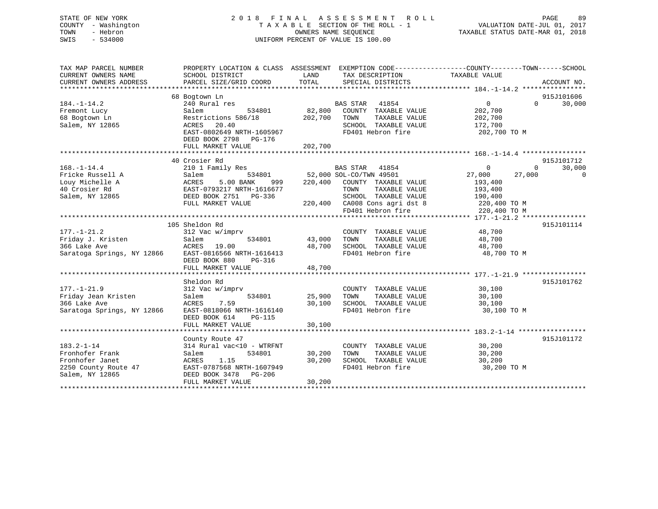## STATE OF NEW YORK 2 0 1 8 F I N A L A S S E S S M E N T R O L L PAGE 89 COUNTY - Washington T A X A B L E SECTION OF THE ROLL - 1 VALUATION DATE-JUL 01, 2017 TOWN - Hebron **CONNERS NAME SEQUENCE** TAXABLE STATUS DATE-MAR 01, 2018 SWIS - 534000 UNIFORM PERCENT OF VALUE IS 100.00

| TAX MAP PARCEL NUMBER<br>CURRENT OWNERS NAME<br>CURRENT OWNERS ADDRESS | PROPERTY LOCATION & CLASS ASSESSMENT EXEMPTION CODE---------------COUNTY-------TOWN-----SCHOOL<br>SCHOOL DISTRICT<br>PARCEL SIZE/GRID COORD | LAND<br>TOTAL | TAX DESCRIPTION<br>SPECIAL DISTRICTS | TAXABLE VALUE |          | ACCOUNT NO. |
|------------------------------------------------------------------------|---------------------------------------------------------------------------------------------------------------------------------------------|---------------|--------------------------------------|---------------|----------|-------------|
|                                                                        |                                                                                                                                             |               |                                      |               |          |             |
|                                                                        | 68 Bogtown Ln                                                                                                                               |               |                                      |               |          | 915J101606  |
| $184. - 1 - 14.2$                                                      | 240 Rural res                                                                                                                               |               | BAS STAR 41854                       | $\Omega$      | $\Omega$ | 30,000      |
| Fremont Lucy                                                           | Salem<br>534801                                                                                                                             | 82,800        | COUNTY TAXABLE VALUE                 | 202,700       |          |             |
| 68 Bogtown Ln                                                          | Restrictions 586/18                                                                                                                         | 202,700       | TAXABLE VALUE<br>TOWN                | 202,700       |          |             |
| Salem, NY 12865                                                        | ACRES<br>20.40                                                                                                                              |               | SCHOOL TAXABLE VALUE                 | 172,700       |          |             |
|                                                                        | EAST-0802649 NRTH-1605967<br>DEED BOOK 2798 PG-176<br>FULL MARKET VALUE                                                                     | 202,700       | FD401 Hebron fire                    | 202,700 TO M  |          |             |
|                                                                        |                                                                                                                                             |               |                                      |               |          |             |
|                                                                        | 40 Crosier Rd                                                                                                                               |               |                                      |               |          | 915J101712  |
| $168. - 1 - 14.4$                                                      | 210 1 Family Res                                                                                                                            |               | <b>BAS STAR</b><br>41854             | $\Omega$      | $\Omega$ | 30,000      |
| Fricke Russell A                                                       | 534801<br>Salem                                                                                                                             |               | 52,000 SOL-CO/TWN 49501              | 27,000        | 27,000   | $\Omega$    |
| Louy Michelle A                                                        | ACRES<br>5.00 BANK<br>999                                                                                                                   | 220,400       | COUNTY TAXABLE VALUE                 | 193,400       |          |             |
| 40 Crosier Rd                                                          | EAST-0793217 NRTH-1616677                                                                                                                   |               | TOWN<br>TAXABLE VALUE                | 193,400       |          |             |
| Salem, NY 12865                                                        | DEED BOOK 2751 PG-336                                                                                                                       |               | SCHOOL TAXABLE VALUE                 | 190,400       |          |             |
|                                                                        | FULL MARKET VALUE                                                                                                                           |               | 220,400 CA008 Cons agri dst 8        | 220,400 TO M  |          |             |
|                                                                        |                                                                                                                                             |               | FD401 Hebron fire                    | 220,400 TO M  |          |             |
|                                                                        |                                                                                                                                             |               |                                      |               |          |             |
|                                                                        | 105 Sheldon Rd                                                                                                                              |               |                                      |               |          | 915J101114  |
| $177. - 1 - 21.2$                                                      | 312 Vac w/imprv                                                                                                                             |               | COUNTY TAXABLE VALUE                 | 48,700        |          |             |
| Friday J. Kristen                                                      | 534801<br>Salem                                                                                                                             | 43,000        | TAXABLE VALUE<br>TOWN                | 48,700        |          |             |
| 366 Lake Ave                                                           | ACRES<br>19.00                                                                                                                              | 48,700        | SCHOOL TAXABLE VALUE                 | 48,700        |          |             |
| Saratoga Springs, NY 12866                                             | EAST-0816566 NRTH-1616413                                                                                                                   |               | FD401 Hebron fire                    | 48,700 TO M   |          |             |
|                                                                        | DEED BOOK 880<br>PG-316                                                                                                                     |               |                                      |               |          |             |
|                                                                        | FULL MARKET VALUE                                                                                                                           | 48,700        |                                      |               |          |             |
|                                                                        |                                                                                                                                             |               |                                      |               |          |             |
|                                                                        | Sheldon Rd                                                                                                                                  |               |                                      |               |          | 915J101762  |
| $177. - 1 - 21.9$                                                      | 312 Vac w/imprv                                                                                                                             |               | COUNTY TAXABLE VALUE                 | 30,100        |          |             |
| Friday Jean Kristen                                                    | 534801<br>Salem                                                                                                                             | 25,900        | TOWN<br>TAXABLE VALUE                | 30,100        |          |             |
| 366 Lake Ave                                                           | ACRES<br>7.59                                                                                                                               | 30,100        | SCHOOL TAXABLE VALUE                 | 30,100        |          |             |
| Saratoga Springs, NY 12866                                             | EAST-0818066 NRTH-1616140                                                                                                                   |               | FD401 Hebron fire                    | 30,100 TO M   |          |             |
|                                                                        | DEED BOOK 614<br><b>PG-115</b>                                                                                                              |               |                                      |               |          |             |
|                                                                        | FULL MARKET VALUE                                                                                                                           | 30,100        |                                      |               |          |             |
|                                                                        |                                                                                                                                             |               |                                      |               |          |             |
|                                                                        | County Route 47                                                                                                                             |               |                                      |               |          | 915J101172  |
| $183.2 - 1 - 14$                                                       | 314 Rural vac<10 - WTRFNT                                                                                                                   |               | COUNTY TAXABLE VALUE                 | 30,200        |          |             |
| Fronhofer Frank                                                        | 534801<br>Salem                                                                                                                             | 30,200        | TOWN<br>TAXABLE VALUE                | 30,200        |          |             |
| Fronhofer Janet                                                        | 1.15<br>ACRES                                                                                                                               | 30,200        | SCHOOL TAXABLE VALUE                 | 30,200        |          |             |
| 2250 County Route 47                                                   | EAST-0787568 NRTH-1607949                                                                                                                   |               | FD401 Hebron fire                    | 30,200 TO M   |          |             |
| Salem, NY 12865                                                        | DEED BOOK 3478<br>PG-206                                                                                                                    |               |                                      |               |          |             |
|                                                                        | FULL MARKET VALUE                                                                                                                           | 30,200        |                                      |               |          |             |
|                                                                        | ************************************                                                                                                        |               |                                      |               |          |             |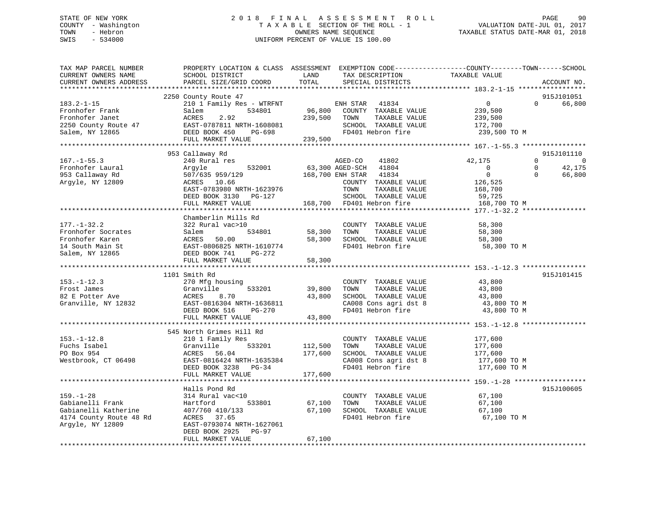## STATE OF NEW YORK 2 0 1 8 F I N A L A S S E S S M E N T R O L L PAGE 90 COUNTY - Washington T A X A B L E SECTION OF THE ROLL - 1 VALUATION DATE-JUL 01, 2017 TOWN - Hebron **CONNERS NAME SEQUENCE** TAXABLE STATUS DATE-MAR 01, 2018 SWIS - 534000 UNIFORM PERCENT OF VALUE IS 100.00

| TAX MAP PARCEL NUMBER<br>CURRENT OWNERS NAME<br>CURRENT OWNERS ADDRESS | PROPERTY LOCATION & CLASS ASSESSMENT EXEMPTION CODE----------------COUNTY-------TOWN------SCHOOL<br>SCHOOL DISTRICT<br>PARCEL SIZE/GRID COORD | LAND<br>TOTAL | TAX DESCRIPTION<br>SPECIAL DISTRICTS | TAXABLE VALUE  | ACCOUNT NO.                |
|------------------------------------------------------------------------|-----------------------------------------------------------------------------------------------------------------------------------------------|---------------|--------------------------------------|----------------|----------------------------|
|                                                                        |                                                                                                                                               |               |                                      |                |                            |
|                                                                        | 2250 County Route 47                                                                                                                          |               |                                      |                | 915J101051                 |
| $183.2 - 1 - 15$                                                       | 210 1 Family Res - WTRFNT                                                                                                                     |               | ENH STAR 41834                       | $\Omega$       | $\Omega$<br>66,800         |
| Fronhofer Frank                                                        | 534801<br>Salem                                                                                                                               |               | 96,800 COUNTY TAXABLE VALUE          | 239,500        |                            |
| Fronhofer Janet                                                        | ACRES<br>2.92                                                                                                                                 | 239,500       | TOWN<br>TAXABLE VALUE                | 239,500        |                            |
| 2250 County Route 47                                                   | EAST-0787811 NRTH-1608081<br>DEED BOOK 450 PG-698                                                                                             |               | SCHOOL TAXABLE VALUE                 | 172,700        |                            |
| Salem, NY 12865                                                        | FULL MARKET VALUE                                                                                                                             | 239,500       | FD401 Hebron fire                    | 239,500 TO M   |                            |
|                                                                        |                                                                                                                                               |               |                                      |                |                            |
|                                                                        | 953 Callaway Rd                                                                                                                               |               |                                      |                | 915J101110                 |
| $167. - 1 - 55.3$                                                      | 240 Rural res                                                                                                                                 |               | 41802<br>AGED-CO                     | 42,175         | $\Omega$<br>$\overline{0}$ |
| Fronhofer Laural                                                       | 532001<br>Argyle                                                                                                                              |               | 63,300 AGED-SCH 41804                | $\overline{0}$ | 42,175<br>$\Omega$         |
| 953 Callaway Rd                                                        | 507/635 959/129                                                                                                                               |               | 168,700 ENH STAR 41834               | $\overline{0}$ | $\Omega$<br>66,800         |
| Argyle, NY 12809                                                       | ACRES 10.66                                                                                                                                   |               | COUNTY TAXABLE VALUE                 | 126,525        |                            |
|                                                                        | EAST-0783980 NRTH-1623976                                                                                                                     |               | TOWN<br>TAXABLE VALUE                | 168,700        |                            |
|                                                                        | DEED BOOK 3130 PG-127                                                                                                                         |               | SCHOOL TAXABLE VALUE                 | 59,725         |                            |
|                                                                        | FULL MARKET VALUE                                                                                                                             |               | 168,700 FD401 Hebron fire            | 168,700 TO M   |                            |
|                                                                        |                                                                                                                                               |               |                                      |                |                            |
|                                                                        | Chamberlin Mills Rd                                                                                                                           |               |                                      |                |                            |
| $177. - 1 - 32.2$                                                      | 322 Rural vac>10                                                                                                                              |               | COUNTY TAXABLE VALUE                 | 58,300         |                            |
| Fronhofer Socrates                                                     | Salem 534801<br>ACRES 50.00<br>EAST-0806825 NRTH-1610774                                                                                      |               | TAXABLE VALUE<br>58,300 TOWN         | 58,300         |                            |
| Fronhofer Karen                                                        |                                                                                                                                               |               | 58,300 SCHOOL TAXABLE VALUE          | 58,300         |                            |
| 14 South Main St                                                       |                                                                                                                                               |               | FD401 Hebron fire                    | 58,300 TO M    |                            |
| Salem, NY 12865                                                        | DEED BOOK 741 PG-272<br>FULL MARKET VALUE                                                                                                     | 58,300        |                                      |                |                            |
|                                                                        |                                                                                                                                               |               |                                      |                |                            |
|                                                                        | 1101 Smith Rd                                                                                                                                 |               |                                      |                | 915J101415                 |
| $153.-1-12.3$                                                          | 270 Mfg housing                                                                                                                               |               | COUNTY TAXABLE VALUE                 | 43,800         |                            |
| Frost James                                                            | 533201<br>Granville                                                                                                                           | 39,800        | TAXABLE VALUE<br>TOWN                | 43,800         |                            |
| 82 E Potter Ave                                                        | ACRES<br>8.70                                                                                                                                 |               | 43,800 SCHOOL TAXABLE VALUE          | 43,800         |                            |
| Granville, NY 12832                                                    | EAST-0816304 NRTH-1636811                                                                                                                     |               | CA008 Cons agri dst 8                | 43,800 TO M    |                            |
|                                                                        | DEED BOOK 516<br>PG-270                                                                                                                       |               | FD401 Hebron fire                    | 43,800 TO M    |                            |
|                                                                        | FULL MARKET VALUE                                                                                                                             | 43,800        |                                      |                |                            |
|                                                                        |                                                                                                                                               |               |                                      |                |                            |
|                                                                        | 545 North Grimes Hill Rd                                                                                                                      |               |                                      |                |                            |
| $153. - 1 - 12.8$                                                      | 210 1 Family Res                                                                                                                              |               | COUNTY TAXABLE VALUE                 | 177,600        |                            |
| Fuchs Isabel                                                           | Granville<br>533201                                                                                                                           | 112,500       | TAXABLE VALUE<br>TOWN                | 177,600        |                            |
| PO Box 954                                                             | ACRES 56.04                                                                                                                                   | 177,600       | SCHOOL TAXABLE VALUE                 | 177,600        |                            |
| Westbrook, CT 06498                                                    | EAST-0816424 NRTH-1635384                                                                                                                     |               | CA008 Cons agri dst 8                | 177,600 TO M   |                            |
|                                                                        | DEED BOOK 3238 PG-34                                                                                                                          |               | FD401 Hebron fire                    | 177,600 TO M   |                            |
|                                                                        | FULL MARKET VALUE                                                                                                                             | 177,600       |                                      |                |                            |
|                                                                        | Halls Pond Rd                                                                                                                                 |               |                                      |                | 915J100605                 |
| $159. - 1 - 28$                                                        | 314 Rural vac<10                                                                                                                              |               | COUNTY TAXABLE VALUE                 | 67,100         |                            |
| Gabianelli Frank                                                       | Hartford<br>533801                                                                                                                            | 67,100        | TAXABLE VALUE<br>TOWN                | 67,100         |                            |
| Gabianelli Katherine                                                   | 407/760 410/133                                                                                                                               |               | 67,100 SCHOOL TAXABLE VALUE          | 67,100         |                            |
| 4174 County Route 48 Rd                                                | ACRES 37.65                                                                                                                                   |               | FD401 Hebron fire                    | 67,100 TO M    |                            |
| Argyle, NY 12809                                                       | EAST-0793074 NRTH-1627061                                                                                                                     |               |                                      |                |                            |
|                                                                        | DEED BOOK 2925 PG-97                                                                                                                          |               |                                      |                |                            |
|                                                                        | FULL MARKET VALUE                                                                                                                             | 67,100        |                                      |                |                            |
|                                                                        |                                                                                                                                               |               |                                      |                |                            |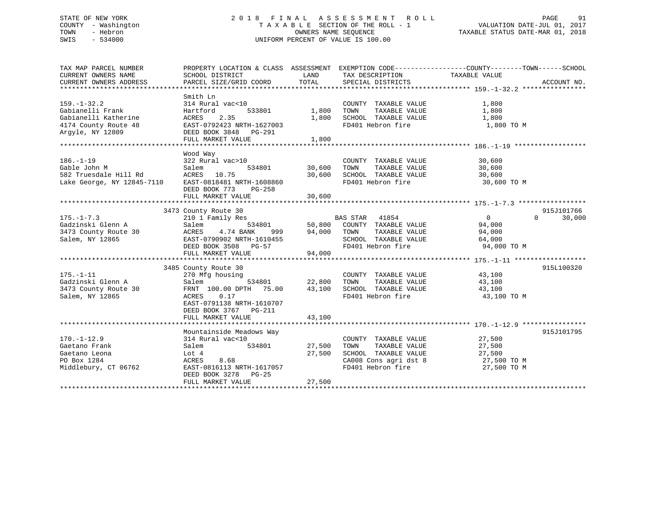## STATE OF NEW YORK 2 0 1 8 F I N A L A S S E S S M E N T R O L L PAGE 91 COUNTY - Washington T A X A B L E SECTION OF THE ROLL - 1 VALUATION DATE-JUL 01, 2017 TOWN - Hebron **CONNERS NAME SEQUENCE** TAXABLE STATUS DATE-MAR 01, 2018 SWIS - 534000 UNIFORM PERCENT OF VALUE IS 100.00

| TAX MAP PARCEL NUMBER                                 |                                                             |                              |                                                                                                    | PROPERTY LOCATION & CLASS ASSESSMENT EXEMPTION CODE---------------COUNTY-------TOWN------SCHOOL |
|-------------------------------------------------------|-------------------------------------------------------------|------------------------------|----------------------------------------------------------------------------------------------------|-------------------------------------------------------------------------------------------------|
| CURRENT OWNERS NAME                                   | SCHOOL DISTRICT                                             | LAND                         | TAX DESCRIPTION                                                                                    | TAXABLE VALUE                                                                                   |
|                                                       |                                                             |                              |                                                                                                    |                                                                                                 |
|                                                       |                                                             |                              |                                                                                                    |                                                                                                 |
|                                                       | Smith Ln                                                    |                              |                                                                                                    |                                                                                                 |
| $159. - 1 - 32.2$                                     | 314 Rural vac<10                                            |                              | COUNTY TAXABLE VALUE                                                                               | 1,800                                                                                           |
| Gabianelli Frank                                      | Hartford                                                    | 533801 1,800                 | TOWN<br>TAXABLE VALUE                                                                              | 1,800                                                                                           |
| Gabianelli Katherine                                  | ACRES 2.35                                                  | 1,800                        | SCHOOL TAXABLE VALUE                                                                               | 1,800                                                                                           |
| 4174 County Route 48                                  | ACRES 2.35<br>EAST-0792423 NRTH-1627003                     |                              | FD401 Hebron fire                                                                                  | 1,800 TO M                                                                                      |
| Argyle, NY 12809                                      | DEED BOOK 3848 PG-291                                       |                              |                                                                                                    |                                                                                                 |
|                                                       | FULL MARKET VALUE                                           | 1,800                        |                                                                                                    |                                                                                                 |
|                                                       |                                                             |                              |                                                                                                    |                                                                                                 |
|                                                       |                                                             |                              |                                                                                                    |                                                                                                 |
|                                                       | Wood Way                                                    |                              |                                                                                                    |                                                                                                 |
| $186. - 1 - 19$                                       | 322 Rural vac>10                                            |                              | COUNTY TAXABLE VALUE                                                                               | 30,600                                                                                          |
| Gable John M                                          | Salem                                                       | 534801 30,600                | TOWN                                                                                               | TAXABLE VALUE 30,600                                                                            |
| 582 Truesdale Hill Rd 2007 EAST -0818481 NRTH-1608860 |                                                             | 30,600                       | SCHOOL TAXABLE VALUE                                                                               | 30,600                                                                                          |
|                                                       |                                                             |                              | FD401 Hebron fire                                                                                  | 30,600 TO M                                                                                     |
|                                                       | DEED BOOK 773<br>PG-258                                     |                              |                                                                                                    |                                                                                                 |
|                                                       | FULL MARKET VALUE                                           | 30,600                       |                                                                                                    |                                                                                                 |
|                                                       |                                                             |                              |                                                                                                    |                                                                                                 |
|                                                       | 3473 County Route 30<br>County Route 30<br>210 1 Family Res |                              |                                                                                                    | 915J101766                                                                                      |
| $175. - 1 - 7.3$                                      |                                                             |                              | BAS STAR 41854                                                                                     | $\Omega$<br>$0 \qquad \qquad$<br>30,000                                                         |
| Gadzinski Glenn A                                     | Salem                                                       |                              | 534801 50,800 COUNTY TAXABLE VALUE                                                                 | 94,000                                                                                          |
| 3473 County Route 30                                  | ACRES 4.74 BANK                                             |                              | 999 94,000 TOWN TAXABLE VALUE 94,000                                                               |                                                                                                 |
| Salem, NY 12865                                       | EAST-0790902 NRTH-1610455                                   |                              |                                                                                                    |                                                                                                 |
|                                                       | EAST-0790902 NRTH-1610455<br>DEED BOOK 3508 PG-57           |                              | SCHOOL TAXABLE VALUE 64,000<br>FD401 Hebron fire 94,000 TO M                                       |                                                                                                 |
|                                                       |                                                             |                              |                                                                                                    |                                                                                                 |
|                                                       |                                                             |                              |                                                                                                    |                                                                                                 |
|                                                       | 3485 County Route 30                                        |                              |                                                                                                    | 915L100320                                                                                      |
| $175. - 1 - 11$                                       | 270 Mfg housing                                             |                              | COUNTY TAXABLE VALUE                                                                               | 43,100                                                                                          |
|                                                       |                                                             | COUNTY<br>534801 22,800 TOWN | TAXABLE VALUE                                                                                      | 43,100                                                                                          |
|                                                       |                                                             |                              | SCHOOL TAXABLE VALUE 43,100                                                                        |                                                                                                 |
| Salem, NY 12865                                       | ACRES 0.17                                                  |                              | FD401 Hebron fire                                                                                  | 43,100 TO M                                                                                     |
|                                                       | EAST-0791138 NRTH-1610707                                   |                              |                                                                                                    |                                                                                                 |
|                                                       | DEED BOOK 3767 PG-211                                       |                              |                                                                                                    |                                                                                                 |
|                                                       | FULL MARKET VALUE                                           | 43,100                       |                                                                                                    |                                                                                                 |
|                                                       |                                                             |                              |                                                                                                    |                                                                                                 |
|                                                       | Mountainside Meadows Way                                    |                              |                                                                                                    | 915J101795                                                                                      |
|                                                       |                                                             |                              |                                                                                                    |                                                                                                 |
| $170. - 1 - 12.9$                                     | 314 Rural vac<10                                            |                              | COUNTY TAXABLE VALUE                                                                               | 27,500                                                                                          |
| Gaetano Frank                                         | Salem                                                       | 534801 27,500                | TOWN                                                                                               | TAXABLE VALUE 27,500                                                                            |
| Gaetano Leona                                         | Lot 4                                                       | 27,500                       | SCHOOL TAXABLE VALUE $27,500$<br>CA008 Cons agridst 8 27,500 TO M<br>FD401 Hebron fire 27,500 TO M |                                                                                                 |
| PO Box 1284                                           | 8.68<br>ACRES                                               |                              |                                                                                                    |                                                                                                 |
| Middlebury, CT 06762                                  | EAST-0816113 NRTH-1617057                                   |                              |                                                                                                    |                                                                                                 |
|                                                       | DEED BOOK 3278 PG-25                                        |                              |                                                                                                    |                                                                                                 |
|                                                       | FULL MARKET VALUE                                           | 27,500                       |                                                                                                    |                                                                                                 |
|                                                       |                                                             |                              |                                                                                                    |                                                                                                 |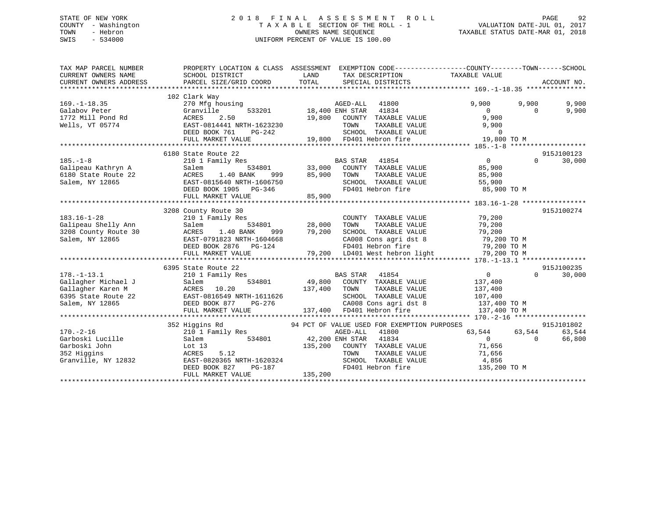## STATE OF NEW YORK 2 0 1 8 F I N A L A S S E S S M E N T R O L L PAGE 92 COUNTY - Washington T A X A B L E SECTION OF THE ROLL - 1 VALUATION DATE-JUL 01, 2017 TOWN - Hebron OWNERS NAME SEQUENCE TAXABLE STATUS DATE-MAR 01, 2018 SWIS - 534000 UNIFORM PERCENT OF VALUE IS 100.00

| TAX MAP PARCEL NUMBER<br>CURRENT OWNERS NAME<br>CURRENT OWNERS ADDRESS                     | PROPERTY LOCATION & CLASS ASSESSMENT                                                                                                                                                                                                                                               |                                                                                                                                                                                                                                                                                              | EXEMPTION CODE-----------------COUNTY-------TOWN------SCHOOL                                                                                 |
|--------------------------------------------------------------------------------------------|------------------------------------------------------------------------------------------------------------------------------------------------------------------------------------------------------------------------------------------------------------------------------------|----------------------------------------------------------------------------------------------------------------------------------------------------------------------------------------------------------------------------------------------------------------------------------------------|----------------------------------------------------------------------------------------------------------------------------------------------|
| $169. - 1 - 18.35$<br>Galabov Peter<br>1772 Mill Pond Rd<br>Wells, VT 05774                | 102 Clark Way<br>270 Mfg housing<br>Granville<br>ACRES<br>2.50<br>EAST-0814441 NRTH-1623230<br>DEED BOOK 761<br>PG-242<br>FULL MARKET VALUE                                                                                                                                        | AGED-ALL 41800<br>533201 18,400 ENH STAR 41834<br>19,800 COUNTY TAXABLE VALUE<br>TAXABLE VALUE<br>TOWN<br>SCHOOL TAXABLE VALUE<br>19,800 FD401 Hebron fire                                                                                                                                   | 9,900<br>9,900<br>9,900<br>$\overline{0}$<br>9,900<br>$\Omega$<br>9,900<br>9,900<br>$\begin{array}{c} 0 \\ 19,80 \end{array}$<br>19,800 TO M |
| $185. - 1 - 8$<br>Galipeau Kathryn A<br>6180 State Route 22<br>Salem, NY 12865             | 6180 State Route 22<br>210 1 Family Res<br>Salem<br>1.40 BANK<br>ACRES<br>EAST-0815640 NRTH-1606750<br>DEED BOOK 1905 PG-346<br>FULL MARKET VALUE                                                                                                                                  | BAS STAR 41854<br>534801 33,000 COUNTY TAXABLE VALUE<br>999 85,900 TOWN<br>SCHOOL TAXABLE VALUE 55,900<br>FD401 Hebron fire 85,900 TO M<br>85,900                                                                                                                                            | 915J100123<br>$\overline{0}$<br>30,000<br>$\Omega$<br>85,900<br>TAXABLE VALUE 85,900<br>TAXABLE VALUE 55,900                                 |
| $183.16 - 1 - 28$<br>Galipeau Shelly Ann<br>3208 County Route 30<br>Salem, NY 12865        | 3208 County Route 30                                                                                                                                                                                                                                                               | 210 1 Family Res<br>314801 28,000 TOWN TAXABLE VALUE 79,200<br>ACRES 1.40 BANK 999 79,200 SCHOOL TAXABLE VALUE 79,200<br>EAST-0791823 NRTH-1604668 CA008 Cons agri dst 8 79,200 TOM<br>DEED BOOK 2876 PG-124 FD401 Hebron fire 79,200                                                        | 915J100274                                                                                                                                   |
| $178. - 1 - 13.1$                                                                          | 6395 State Route 22<br>210 1 Family Res<br>Gallagher Michael J<br>Gallagher Karen M<br>6395 State Route 22<br>Salem, NY 12865<br>EAST-0816549 NRTH-1611626<br>DEED BOOK 877<br>NRTH-1611626<br>DEED BOOK 877<br>NRTH-1611626<br>DEED BOOK 877<br>NRTH-1611626<br>FULL MARKET VALUE | BAS STAR 41854<br>534801 49,800 COUNTY TAXABLE VALUE<br>137,400<br>TAXABLE VALUE<br>TOWN<br>SCHOOL TAXABLE VALUE<br>WRTH-1611626 SCHOOL TAXABLE VANNE VE PG-276 CA008 Cons agri ds<br>EUUE 137,400 FD401 Hebron fire<br>CA008 Cons agri dst 8 137,400 TO M<br>FD401 Hebron fire 137,400 TO M | 915J100235<br>$0 \qquad \qquad$<br>$\Omega$<br>30,000<br>137,400<br>137,400<br>107,400<br>137,400 TO M                                       |
| $170. - 2 - 16$<br>Garboski Lucille<br>Garboski John<br>352 Higgins<br>Granville, NY 12832 | 352 Higgins Rd<br>210 1 Family Res<br>Salem<br>Salem<br>Lot $13$<br>5.12<br>ACRES<br>EAST-0820365 NRTH-1620324<br>DEED BOOK 827 PG-187<br>DEED BOOK 827<br>PG-187<br>FULL MARKET VALUE                                                                                             | 94 PCT OF VALUE USED FOR EXEMPTION PURPOSES<br>AGED-ALL<br>41800<br>534801 42,200 ENH STAR 41834<br>335.200 COUNTY TAXABLE VALUE<br>TOWN TAXABLE VALUE<br>SCHOOL TAXABLE VALUE $4,856$<br>FD401 Hebron fire 135,200 TO M<br>135,200                                                          | 915J101802<br>63,544 63,544<br>63,544<br>$\overline{0}$<br>$\Omega$<br>66,800<br>71,656<br>71,656                                            |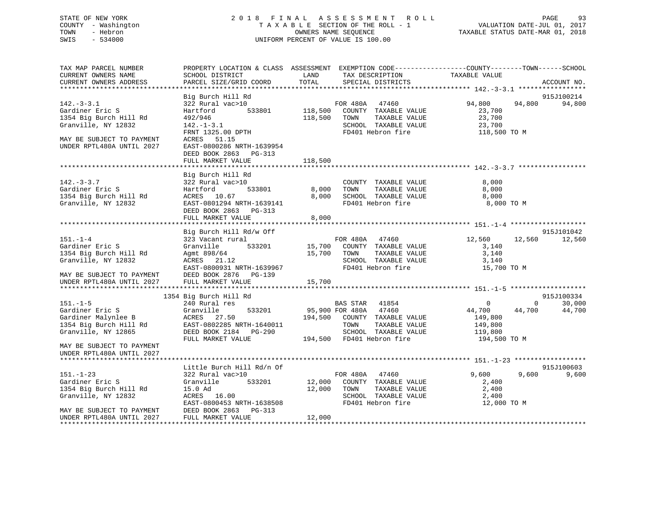## STATE OF NEW YORK 2 0 1 8 F I N A L A S S E S S M E N T R O L L PAGE 93 COUNTY - Washington T A X A B L E SECTION OF THE ROLL - 1 VALUATION DATE-JUL 01, 2017 TOWN - Hebron OWNERS NAME SEQUENCE TAXABLE STATUS DATE-MAR 01, 2018 SWIS - 534000 UNIFORM PERCENT OF VALUE IS 100.00

TAX MAP PARCEL NUMBER PROPERTY LOCATION & CLASS ASSESSMENT EXEMPTION CODE------------------COUNTY--------TOWN------SCHOOL CURRENT OWNERS NAME SCHOOL DISTRICT THE LAND TAX DESCRIPTION TAXABLE VALUE CURRENT OWNERS ADDRESS PARCEL SIZE/GRID COORD TOTAL SPECIAL DISTRICTS ACCOUNT NO. \*\*\*\*\*\*\*\*\*\*\*\*\*\*\*\*\*\*\*\*\*\*\*\*\*\*\*\*\*\*\*\*\*\*\*\*\*\*\*\*\*\*\*\*\*\*\*\*\*\*\*\*\*\*\*\*\*\*\*\*\*\*\*\*\*\*\*\*\*\*\*\*\*\*\*\*\*\*\*\*\*\*\*\*\*\*\*\*\*\*\*\*\*\*\*\*\*\*\*\*\*\*\* 142.-3-3.1 \*\*\*\*\*\*\*\*\*\*\*\*\*\*\*\*\* Big Burch Hill Rd 915J100214 142.-3-3.1 322 Rural vac>10 FOR 480A 47460 94,800 94,800 94,800 ERIC REAL CORRECTED STRAINER ERIC SERVICE SERVICE SERVICE SERVICE SERVICE SERVICE SERVICE SERVICE SERVICE SERVICE SERVICE SERVICE SERVICE SERVICE SERVICE SERVICE SERVICE SERVICE SERVICE SERVICE SERVICE SERVICE SERVICE SERV 1354 Big Burch Hill Rd 492/946 118,500 TOWN TAXABLE VALUE 23,700 Granville, NY 12832 142.-1-3.1 SCHOOL TAXABLE VALUE 23,700 FRNT 1325.00 DPTH FD401 Hebron fire 118,500 TO M MAY BE SUBJECT TO PAYMENT ACRES 51.15 UNDER RPTL480A UNTIL 2027 EAST-0800286 NRTH-1639954 DEED BOOK 2863 PG-313 FULL MARKET VALUE 118,500 \*\*\*\*\*\*\*\*\*\*\*\*\*\*\*\*\*\*\*\*\*\*\*\*\*\*\*\*\*\*\*\*\*\*\*\*\*\*\*\*\*\*\*\*\*\*\*\*\*\*\*\*\*\*\*\*\*\*\*\*\*\*\*\*\*\*\*\*\*\*\*\*\*\*\*\*\*\*\*\*\*\*\*\*\*\*\*\*\*\*\*\*\*\*\*\*\*\*\*\*\*\*\* 142.-3-3.7 \*\*\*\*\*\*\*\*\*\*\*\*\*\*\*\*\* Big Burch Hill Rd 142.-3-3.7 322 Rural vac>10 COUNTY TAXABLE VALUE 8,000 Gardiner Eric S Hartford 533801 8,000 TOWN TAXABLE VALUE 8,000 1354 Big Burch Hill Rd ACRES 10.67 8,000 SCHOOL TAXABLE VALUE 8,000 EAST-0801294 NRTH-1639141 FD401 Hebron fire 8,000 TO M DEED BOOK 2863 PG-313FULL MARKET VALUE 8,000 \*\*\*\*\*\*\*\*\*\*\*\*\*\*\*\*\*\*\*\*\*\*\*\*\*\*\*\*\*\*\*\*\*\*\*\*\*\*\*\*\*\*\*\*\*\*\*\*\*\*\*\*\*\*\*\*\*\*\*\*\*\*\*\*\*\*\*\*\*\*\*\*\*\*\*\*\*\*\*\*\*\*\*\*\*\*\*\*\*\*\*\*\*\*\*\*\*\*\*\*\*\*\* 151.-1-4 \*\*\*\*\*\*\*\*\*\*\*\*\*\*\*\*\*\*\*Big Burch Hill Rd/w Off 915J101042 151.-1-4 323 Vacant rural FOR 480A 47460 12,560 12,560 12,560 Gardiner Eric S Granville 533201 15,700 COUNTY TAXABLE VALUE 3,140 1354 Big Burch Hill Rd Agmt 898/64 15,700 TOWN TAXABLE VALUE 3,140 Granville, NY 12832 ACRES 21.12 SCHOOL TAXABLE VALUE 3,140 EAST-0800931 NRTH-1639967 FD401 Hebron fire 15,700 TO M MAY BE SUBJECT TO PAYMENT DEED BOOK 2876 PG-139UNDER RPTL480A UNTIL 2027 FULL MARKET VALUE 15,700 \*\*\*\*\*\*\*\*\*\*\*\*\*\*\*\*\*\*\*\*\*\*\*\*\*\*\*\*\*\*\*\*\*\*\*\*\*\*\*\*\*\*\*\*\*\*\*\*\*\*\*\*\*\*\*\*\*\*\*\*\*\*\*\*\*\*\*\*\*\*\*\*\*\*\*\*\*\*\*\*\*\*\*\*\*\*\*\*\*\*\*\*\*\*\*\*\*\*\*\*\*\*\* 151.-1-5 \*\*\*\*\*\*\*\*\*\*\*\*\*\*\*\*\*\*\* 1354 Big Burch Hill Rd 915J100334 151.-1-5 240 Rural res BAS STAR 41854 0 0 30,000 Gardiner Eric S 6ranville 533201 95,900 FOR 480A 47460 44,700 44,700 44,700 44,700 Gardiner Malynlee B  $ACRES$  27.50 194,500 COUNTY TAXABLE VALUE 149,800 1354 Big Burch Hill Rd EAST-0802285 NRTH-1640011 TOWN TAXABLE VALUE 149,800 Granville, NY 12865 DEED BOOK 2184 PG-290<br>FULL MARKET VALUE 194,500 FD401 Hebron fire 194,500 TO M MAY BE SUBJECT TO PAYMENTUNDER RPTL480A UNTIL 2027 \*\*\*\*\*\*\*\*\*\*\*\*\*\*\*\*\*\*\*\*\*\*\*\*\*\*\*\*\*\*\*\*\*\*\*\*\*\*\*\*\*\*\*\*\*\*\*\*\*\*\*\*\*\*\*\*\*\*\*\*\*\*\*\*\*\*\*\*\*\*\*\*\*\*\*\*\*\*\*\*\*\*\*\*\*\*\*\*\*\*\*\*\*\*\*\*\*\*\*\*\*\*\* 151.-1-23 \*\*\*\*\*\*\*\*\*\*\*\*\*\*\*\*\*\*Little Burch Hill Rd/n Of 915J100603 151.-1-23 322 Rural vac>10 FOR 480A 47460 9,600 9,600 9,600 Gardiner Eric S Granville 533201 12,000 COUNTY TAXABLE VALUE 2,400 1354 Big Burch Hill Rd 15.0 Ad 12,000 TOWN TAXABLE VALUE 2,400 Granville, NY 12832 ACRES 16.00 SCHOOL TAXABLE VALUE 2,400 EAST-0800453 NRTH-1638508 FD401 Hebron fire 12,000 TO M MAY BE SUBJECT TO PAYMENT DEED BOOK 2863 PG-313 UNDER RPTL480A UNTIL 2027 FULL MARKET VALUE 12,000 \*\*\*\*\*\*\*\*\*\*\*\*\*\*\*\*\*\*\*\*\*\*\*\*\*\*\*\*\*\*\*\*\*\*\*\*\*\*\*\*\*\*\*\*\*\*\*\*\*\*\*\*\*\*\*\*\*\*\*\*\*\*\*\*\*\*\*\*\*\*\*\*\*\*\*\*\*\*\*\*\*\*\*\*\*\*\*\*\*\*\*\*\*\*\*\*\*\*\*\*\*\*\*\*\*\*\*\*\*\*\*\*\*\*\*\*\*\*\*\*\*\*\*\*\*\*\*\*\*\*\*\*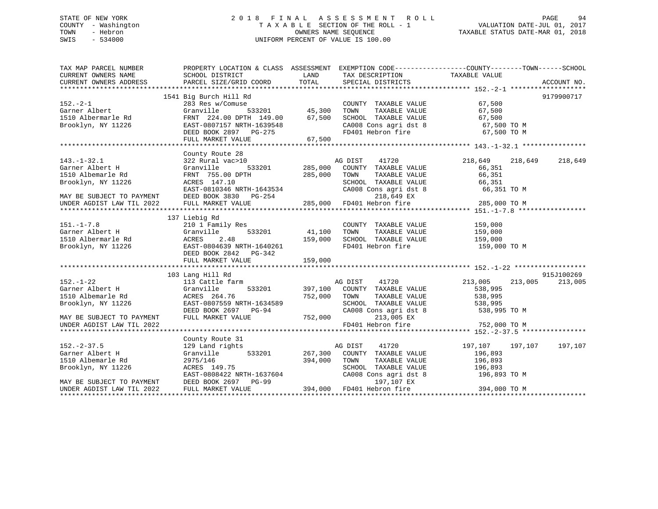## STATE OF NEW YORK 2 0 1 8 F I N A L A S S E S S M E N T R O L L PAGE 94 COUNTY - Washington T A X A B L E SECTION OF THE ROLL - 1 VALUATION DATE-JUL 01, 2017 TOWN - Hebron OWNERS NAME SEQUENCE TAXABLE STATUS DATE-MAR 01, 2018 SWIS - 534000 UNIFORM PERCENT OF VALUE IS 100.00

| TAX MAP PARCEL NUMBER     | PROPERTY LOCATION & CLASS ASSESSMENT EXEMPTION CODE---------------COUNTY-------TOWN-----SCHOOL |                                 |                                                                    |                    |             |
|---------------------------|------------------------------------------------------------------------------------------------|---------------------------------|--------------------------------------------------------------------|--------------------|-------------|
| CURRENT OWNERS NAME       | SCHOOL DISTRICT                                                                                | LAND                            | TAX DESCRIPTION                                                    | TAXABLE VALUE      |             |
| CURRENT OWNERS ADDRESS    | PARCEL SIZE/GRID COORD                                                                         | TOTAL                           | SPECIAL DISTRICTS                                                  |                    | ACCOUNT NO. |
|                           |                                                                                                |                                 |                                                                    |                    |             |
|                           | 1541 Big Burch Hill Rd                                                                         |                                 |                                                                    |                    | 9179900717  |
| $152. -2 - 1$             | 283 Res w/Comuse                                                                               | <sup>ء</sup> ِ<br>533201 45,300 | COUNTY TAXABLE VALUE                                               | 67,500             |             |
| Garner Albert             | Granville                                                                                      |                                 | TAXABLE VALUE<br>TOWN                                              | 67,500             |             |
| 1510 Albermarle Rd        | FRNT 224.00 DPTH 149.00 67,500                                                                 |                                 | SCHOOL TAXABLE VALUE                                               | 67,500             |             |
| Brooklyn, NY 11226        |                                                                                                |                                 |                                                                    | 67,500 TO M        |             |
|                           | EAST-0807157 NRTH-1639548<br>DEED BOOK 2897 PG-275                                             |                                 | CA008 Cons agri dst 8<br>FD401 Hebron fire                         | 67,500 TO M        |             |
|                           | FULL MARKET VALUE                                                                              | 67,500                          |                                                                    |                    |             |
|                           |                                                                                                |                                 |                                                                    |                    |             |
|                           | County Route 28                                                                                |                                 |                                                                    |                    |             |
| $143. - 1 - 32.1$         | 322 Rural vac>10                                                                               |                                 | AG DIST 41720                                                      | 218,649<br>218,649 | 218,649     |
| Garner Albert H           | Granville                                                                                      | 533201 285,000                  | COUNTY TAXABLE VALUE                                               | 66,351             |             |
| 1510 Albemarle Rd         | FRNT 755.00 DPTH                                                                               | 285,000                         |                                                                    | 66,351             |             |
| Brooklyn, NY 11226        | ACRES 147.10                                                                                   |                                 | TOWN      TAXABLE  VALUE<br>SCHOOL   TAXABLE  VALUE                | 66,351             |             |
|                           | EAST-0810346 NRTH-1643534                                                                      |                                 | CA008 Cons agri dst 8                                              | 66,351 TO M        |             |
| MAY BE SUBJECT TO PAYMENT | DEED BOOK 3830 PG-254                                                                          |                                 | 218,649 EX                                                         |                    |             |
| UNDER AGDIST LAW TIL 2022 | FULL MARKET VALUE                                                                              |                                 | 285,000 FD401 Hebron fire                                          | 285,000 TO M       |             |
|                           |                                                                                                |                                 |                                                                    |                    |             |
|                           | 137 Liebig Rd                                                                                  |                                 |                                                                    |                    |             |
| $151. - 1 - 7.8$          | 210 1 Family Res                                                                               |                                 | COUNTY TAXABLE VALUE                                               | 159,000            |             |
| Garner Albert H           | Granville                                                                                      |                                 | TAXABLE VALUE<br>TOWN                                              | 159,000            |             |
| 1510 Albermarle Rd        | 2.48<br>ACRES                                                                                  | 159,000                         | SCHOOL TAXABLE VALUE 159,000                                       |                    |             |
| Brooklyn, NY 11226        | EAST-0804639 NRTH-1640261                                                                      |                                 | FD401 Hebron fire                                                  | 159,000 TO M       |             |
|                           | DEED BOOK 2842 PG-342                                                                          |                                 |                                                                    |                    |             |
|                           | FULL MARKET VALUE                                                                              |                                 |                                                                    |                    |             |
|                           |                                                                                                | 159,000                         |                                                                    |                    |             |
|                           | 103 Lang Hill Rd                                                                               |                                 |                                                                    |                    | 915J100269  |
| $152. - 1 - 22$           | 113 Cattle farm                                                                                |                                 | AG DIST 41720                                                      | 213,005<br>213,005 | 213,005     |
| Garner Albert H           | 533201<br>Granville                                                                            | 397,100                         | COUNTY TAXABLE VALUE                                               | 538,995            |             |
| 1510 Albemarle Rd         | ACRES 264.76                                                                                   | 752,000 TOWN                    |                                                                    | 538,995            |             |
| Brooklyn, NY 11226        | EAST-0807559 NRTH-1634589                                                                      |                                 | TAXABLE VALUE                                                      |                    |             |
|                           |                                                                                                |                                 | SCHOOL TAXABLE VALUE 538,995<br>CA008 Cons agri dst 8 538,995 TO M |                    |             |
|                           | DEED BOOK 2697 PG-94                                                                           |                                 |                                                                    |                    |             |
| MAY BE SUBJECT TO PAYMENT | FULL MARKET VALUE                                                                              | 752,000                         | 213,005 EX                                                         |                    |             |
| UNDER AGDIST LAW TIL 2022 |                                                                                                |                                 | FD401 Hebron fire                                                  | 752,000 TO M       |             |
|                           |                                                                                                |                                 |                                                                    |                    |             |
|                           | County Route 31                                                                                |                                 |                                                                    |                    |             |
| $152 - 2 - 37.5$          | 129 Land rights                                                                                |                                 | AG DIST<br>41720                                                   | 197,107<br>197,107 | 197,107     |
| Garner Albert H           | 533201<br>Granville                                                                            | 267,300                         | COUNTY TAXABLE VALUE                                               | 196,893            |             |
| 1510 Albemarle Rd         | 2975/146                                                                                       | 394,000                         | TOWN<br>TAXABLE VALUE                                              | 196,893            |             |
| Brooklyn, NY 11226        | ACRES 149.75                                                                                   |                                 | SCHOOL TAXABLE VALUE<br>CA008 Cons agri dst 8                      | 196,893            |             |
|                           | EAST-0808422 NRTH-1637604                                                                      |                                 |                                                                    | 196,893 TO M       |             |
| MAY BE SUBJECT TO PAYMENT | DEED BOOK 2697 PG-99                                                                           |                                 | 197,107 EX                                                         |                    |             |
| UNDER AGDIST LAW TIL 2022 | FULL MARKET VALUE                                                                              |                                 | 394,000 FD401 Hebron fire                                          | 394,000 TO M       |             |
|                           |                                                                                                |                                 |                                                                    |                    |             |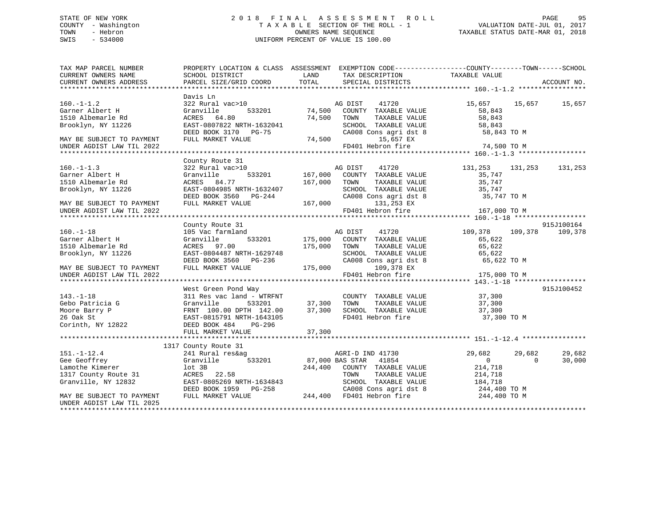## STATE OF NEW YORK 2 0 1 8 F I N A L A S S E S S M E N T R O L L PAGE 95 COUNTY - Washington T A X A B L E SECTION OF THE ROLL - 1 VALUATION DATE-JUL 01, 2017 TOWN - Hebron OWNERS NAME SEQUENCE TAXABLE STATUS DATE-MAR 01, 2018 SWIS - 534000 UNIFORM PERCENT OF VALUE IS 100.00

| TAX MAP PARCEL NUMBER<br>CURRENT OWNERS NAME                                    | PROPERTY LOCATION & CLASS ASSESSMENT EXEMPTION CODE----------------COUNTY-------TOWN------SCHOOL<br>SCHOOL DISTRICT<br><b>LAND</b>                                                                                       |             | TAX DESCRIPTION TAXABLE VALUE                                        |                                                                                                 |                    |
|---------------------------------------------------------------------------------|--------------------------------------------------------------------------------------------------------------------------------------------------------------------------------------------------------------------------|-------------|----------------------------------------------------------------------|-------------------------------------------------------------------------------------------------|--------------------|
|                                                                                 |                                                                                                                                                                                                                          |             |                                                                      |                                                                                                 |                    |
|                                                                                 | Davis Ln                                                                                                                                                                                                                 |             |                                                                      |                                                                                                 |                    |
| $160. - 1 - 1.2$                                                                | 322 Rural vac>10                                                                                                                                                                                                         |             | 41720<br>AG DIST                                                     | 15,657 15,657 15,657                                                                            |                    |
| Garner Albert H                                                                 | Granville                                                                                                                                                                                                                |             | 533201 74,500 COUNTY TAXABLE VALUE                                   | 58,843                                                                                          |                    |
| 1510 Albemarle Rd                                                               | ACRES 64.80                                                                                                                                                                                                              | 74,500 TOWN |                                                                      |                                                                                                 |                    |
| Brooklyn, NY 11226                                                              |                                                                                                                                                                                                                          |             |                                                                      |                                                                                                 |                    |
|                                                                                 |                                                                                                                                                                                                                          |             |                                                                      | COUNTY TAXABLE VALUE<br>TOWN TAXABLE VALUE 58,843<br>SCHOOL TAXABLE VALUE 58,843<br>58,843 TO M |                    |
| MAY BE SUBJECT TO PAYMENT                                                       | ALAELS 07822 NRTH-1632041<br>DEED BOOK 3170 PG-75 CA008 CONDERNATION CAOOS CONTRACT VALUE 74,500 CA008 CONTRACT VALUE                                                                                                    |             | 15,657 EX                                                            |                                                                                                 |                    |
| UNDER AGDIST LAW TIL 2022                                                       |                                                                                                                                                                                                                          |             | FD401 Hebron fire                                                    | 74,500 TO M                                                                                     |                    |
|                                                                                 |                                                                                                                                                                                                                          |             |                                                                      |                                                                                                 |                    |
|                                                                                 | County Route 31                                                                                                                                                                                                          |             |                                                                      |                                                                                                 |                    |
| $160. - 1 - 1.3$                                                                | 322 Rural vac>10                                                                                                                                                                                                         |             | AG DIST<br>41720                                                     | 131,253 131,253 131,253                                                                         |                    |
|                                                                                 | Granville                                                                                                                                                                                                                |             |                                                                      | 35,747                                                                                          |                    |
| Garner Albert H<br>Garner Albert H<br>1510 Albemarle Rd                         | ACRES 84.77                                                                                                                                                                                                              |             | 533201 167,000 COUNTY TAXABLE VALUE<br>77 167,000 TOWN TAXABLE VALUE | $\frac{1}{35}$ , 747                                                                            |                    |
| Brooklyn, NY 11226                                                              | EAST-0804985 NRTH-1632407                                                                                                                                                                                                |             |                                                                      |                                                                                                 |                    |
|                                                                                 |                                                                                                                                                                                                                          |             |                                                                      | SCHOOL TAXABLE VALUE 35,747<br>CA008 Cons agridst 8 35,747 TO M                                 |                    |
| MAY BE SUBJECT TO PAYMENT                                                       | EAST-0804985 NRTH-1632407 SCHOOL TAXABLE VALU<br>DEED BOOK 3560 PG-244 CA008 Cons agri dst<br>FULL MARKET VALUE 167,000 131,253 EX                                                                                       |             |                                                                      |                                                                                                 |                    |
| UNDER AGDIST LAW TIL 2022                                                       |                                                                                                                                                                                                                          |             | FD401 Hebron fire                                                    | 167,000 TO M                                                                                    |                    |
|                                                                                 |                                                                                                                                                                                                                          |             |                                                                      |                                                                                                 |                    |
|                                                                                 | County Route 31                                                                                                                                                                                                          |             |                                                                      |                                                                                                 | 915J100164         |
| $160. - 1 - 18$                                                                 | 105 Vac farmland                                                                                                                                                                                                         |             |                                                                      | 109,378 109,378                                                                                 | 109,378            |
| Garner Albert H                                                                 | Granville                                                                                                                                                                                                                |             | mland 533201 MG DIST 41720<br>533201 175,000 COUNTY TAXABLE VALUE    | 65,622                                                                                          |                    |
| 1510 Albemarle Rd                                                               | ACRES 97.00                                                                                                                                                                                                              | 175,000     | TAXABLE VALUE<br>TOWN                                                | 65,622                                                                                          |                    |
| Brooklyn, NY 11226                                                              |                                                                                                                                                                                                                          |             |                                                                      |                                                                                                 |                    |
|                                                                                 |                                                                                                                                                                                                                          |             |                                                                      |                                                                                                 |                    |
| MAY BE SUBJECT TO PAYMENT                                                       |                                                                                                                                                                                                                          |             |                                                                      |                                                                                                 |                    |
| UNDER AGDIST LAW TIL 2022                                                       |                                                                                                                                                                                                                          |             |                                                                      |                                                                                                 |                    |
|                                                                                 |                                                                                                                                                                                                                          |             |                                                                      |                                                                                                 |                    |
|                                                                                 | West Green Pond Way                                                                                                                                                                                                      |             |                                                                      |                                                                                                 | 915J100452         |
|                                                                                 |                                                                                                                                                                                                                          |             |                                                                      |                                                                                                 |                    |
|                                                                                 | 311 Res vac land – WTRFNT COUNT<br>Granville 533201 37,300 TOWN                                                                                                                                                          |             |                                                                      |                                                                                                 |                    |
|                                                                                 | FRNT 100.00 DPTH 142.00 37,300                                                                                                                                                                                           |             |                                                                      |                                                                                                 |                    |
|                                                                                 | EAST-0815791 NRTH-1643105                                                                                                                                                                                                |             | SCHOOL TAXABLE VALUE 37,300<br>FD401 Hebron fire 37,300 TO M         |                                                                                                 |                    |
| 143.-1-18<br>Gebo Patricia G<br>Moore Barry P<br>26 Oak St<br>Corinth, NY 12822 | DEED BOOK 484 PG-296                                                                                                                                                                                                     |             |                                                                      |                                                                                                 |                    |
|                                                                                 | FULL MARKET VALUE                                                                                                                                                                                                        | 37,300      |                                                                      |                                                                                                 |                    |
|                                                                                 |                                                                                                                                                                                                                          |             |                                                                      |                                                                                                 |                    |
|                                                                                 | 1317 County Route 31                                                                                                                                                                                                     |             |                                                                      |                                                                                                 |                    |
| $151. - 1 - 12.4$                                                               |                                                                                                                                                                                                                          |             |                                                                      | 29,682<br>29,682                                                                                | 29,682             |
| Gee Geoffrey                                                                    |                                                                                                                                                                                                                          |             |                                                                      |                                                                                                 | 30,000<br>$\Omega$ |
| Lamothe Kimerer                                                                 |                                                                                                                                                                                                                          |             | AS STAR 41854 0<br>COUNTY TAXABLE VALUE 214,718                      |                                                                                                 |                    |
| 1317 County Route 31                                                            |                                                                                                                                                                                                                          |             |                                                                      |                                                                                                 |                    |
| Granville, NY 12832                                                             |                                                                                                                                                                                                                          |             |                                                                      |                                                                                                 |                    |
|                                                                                 |                                                                                                                                                                                                                          |             |                                                                      |                                                                                                 |                    |
| MAY BE SUBJECT TO PAYMENT                                                       | ACRES 22.58 TOWN TAXABLE VALUE 214,718<br>EAST-0805269 NRTH-1634843 SCHOOL TAXABLE VALUE 184,718<br>DEED BOOK 1959 PG-258 CA008 Cons agri dst 8 244,400 TO M<br>FULL MARKET VALUE 244,400 FD401 Hebron fire 244,400 TO M |             |                                                                      |                                                                                                 |                    |
| UNDER AGDIST LAW TIL 2025                                                       |                                                                                                                                                                                                                          |             |                                                                      |                                                                                                 |                    |
|                                                                                 |                                                                                                                                                                                                                          |             |                                                                      |                                                                                                 |                    |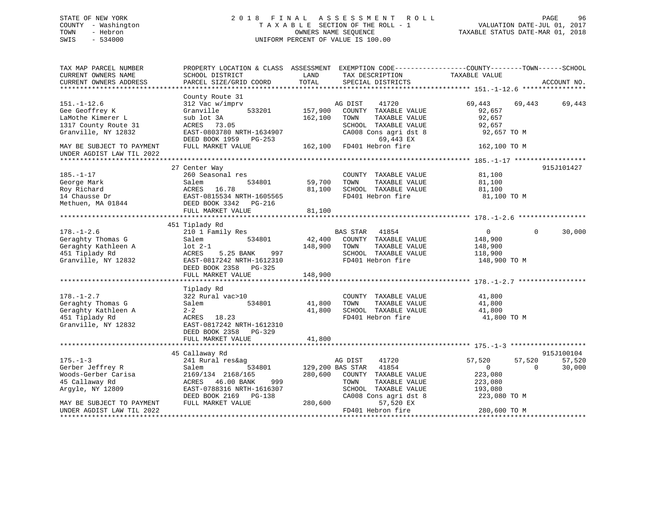## STATE OF NEW YORK 2 0 1 8 F I N A L A S S E S S M E N T R O L L PAGE 96 COUNTY - Washington T A X A B L E SECTION OF THE ROLL - 1 VALUATION DATE-JUL 01, 2017 TOWN - Hebron OWNERS NAME SEQUENCE TAXABLE STATUS DATE-MAR 01, 2018 SWIS - 534000 UNIFORM PERCENT OF VALUE IS 100.00

| TAX MAP PARCEL NUMBER<br>CURRENT OWNERS NAME<br>CURRENT OWNERS ADDRESS                                  | PROPERTY LOCATION & CLASS ASSESSMENT EXEMPTION CODE----------------COUNTY-------TOWN-----SCHOOL<br>SCHOOL DISTRICT<br>PARCEL SIZE/GRID COORD                   | LAND<br>TOTAL                | TAX DESCRIPTION<br>SPECIAL DISTRICTS                                                                                                            | TAXABLE VALUE                                                                     | ACCOUNT NO.                                |
|---------------------------------------------------------------------------------------------------------|----------------------------------------------------------------------------------------------------------------------------------------------------------------|------------------------------|-------------------------------------------------------------------------------------------------------------------------------------------------|-----------------------------------------------------------------------------------|--------------------------------------------|
|                                                                                                         |                                                                                                                                                                |                              |                                                                                                                                                 |                                                                                   |                                            |
| $151. - 1 - 12.6$<br>Gee Geoffrey K<br>LaMothe Kimerer L<br>1317 County Route 31<br>Granville, NY 12832 | County Route 31<br>312 Vac w/imprv<br>533201<br>Granville<br>sub lot 3A<br>ACRES 73.05<br>EAST-0803780 NRTH-1634907<br>DEED BOOK 1959 PG-253                   | 157,900<br>162,100           | AG DIST<br>41720<br>COUNTY TAXABLE VALUE<br>TOWN<br>TAXABLE VALUE<br>SCHOOL TAXABLE VALUE<br>CA008 Cons agri dst 8<br>69,443 EX                 | 69,443<br>69,443<br>92,657<br>92,657<br>92,657<br>92,657 TO M                     | 69,443                                     |
| MAY BE SUBJECT TO PAYMENT<br>UNDER AGDIST LAW TIL 2022                                                  | FULL MARKET VALUE                                                                                                                                              | 162,100                      | FD401 Hebron fire                                                                                                                               | 162,100 TO M                                                                      |                                            |
| $185. - 1 - 17$<br>George Mark<br>Roy Richard<br>14 Chausse Dr<br>Methuen, MA 01844                     | 27 Center Way<br>260 Seasonal res<br>534801<br>Salem<br>ACRES 16.78<br>EAST-0815534 NRTH-1605565<br>DEED BOOK 3342 PG-216<br>FULL MARKET VALUE                 | 59,700<br>81,100<br>81,100   | COUNTY TAXABLE VALUE<br>TOWN<br>TAXABLE VALUE<br>SCHOOL TAXABLE VALUE<br>FD401 Hebron fire                                                      | 81,100<br>81,100<br>81,100<br>81,100 TO M                                         | 915J101427                                 |
|                                                                                                         | 451 Tiplady Rd                                                                                                                                                 |                              |                                                                                                                                                 |                                                                                   |                                            |
| $178. - 1 - 2.6$<br>Geraghty Thomas G<br>Geraghty Kathleen A<br>451 Tiplady Rd<br>Granville, NY 12832   | 210 1 Family Res<br>Salem<br>534801<br>$1$ ot $2-1$<br>ACRES<br>5.25 BANK<br>997<br>EAST-0817242 NRTH-1612310<br>DEED BOOK 2358 PG-325<br>FULL MARKET VALUE    | 42,400<br>148,900<br>148,900 | <b>BAS STAR</b><br>41854<br>COUNTY TAXABLE VALUE<br>TAXABLE VALUE<br>TOWN<br>SCHOOL TAXABLE VALUE<br>FD401 Hebron fire                          | $\mathbf{0}$<br>148,900<br>148,900<br>118,900<br>148,900 TO M                     | $\Omega$<br>30,000                         |
| $178. - 1 - 2.7$<br>Geraghty Thomas G<br>Geraghty Kathleen A<br>451 Tiplady Rd<br>Granville, NY 12832   | Tiplady Rd<br>322 Rural vac>10<br>Salem<br>534801<br>$2 - 2$<br>ACRES 18.23<br>EAST-0817242 NRTH-1612310<br>DEED BOOK 2358<br>PG-329<br>FULL MARKET VALUE      | 41,800<br>41,800<br>41,800   | COUNTY TAXABLE VALUE<br>TOWN<br>TAXABLE VALUE<br>SCHOOL TAXABLE VALUE<br>FD401 Hebron fire                                                      | 41,800<br>41,800<br>41,800<br>41,800 TO M                                         |                                            |
|                                                                                                         |                                                                                                                                                                |                              |                                                                                                                                                 |                                                                                   |                                            |
| $175. - 1 - 3$<br>Gerber Jeffrey R<br>Woods-Gerber Carisa<br>45 Callaway Rd<br>Argyle, NY 12809         | 45 Callaway Rd<br>241 Rural res&ag<br>534801<br>Salem<br>2169/134 2168/165<br>ACRES<br>46.00 BANK<br>999<br>EAST-0788316 NRTH-1616307<br>DEED BOOK 2169 PG-138 | 280,600                      | AG DIST<br>41720<br>129,200 BAS STAR<br>41854<br>COUNTY TAXABLE VALUE<br>TOWN<br>TAXABLE VALUE<br>SCHOOL TAXABLE VALUE<br>CA008 Cons agri dst 8 | 57,520<br>57,520<br>$\mathbf{0}$<br>223,080<br>223,080<br>193,080<br>223,080 TO M | 915J100104<br>57,520<br>$\Omega$<br>30,000 |
| MAY BE SUBJECT TO PAYMENT<br>UNDER AGDIST LAW TIL 2022<br>********************                          | FULL MARKET VALUE                                                                                                                                              | 280,600                      | 57,520 EX<br>FD401 Hebron fire                                                                                                                  | 280,600 TO M                                                                      |                                            |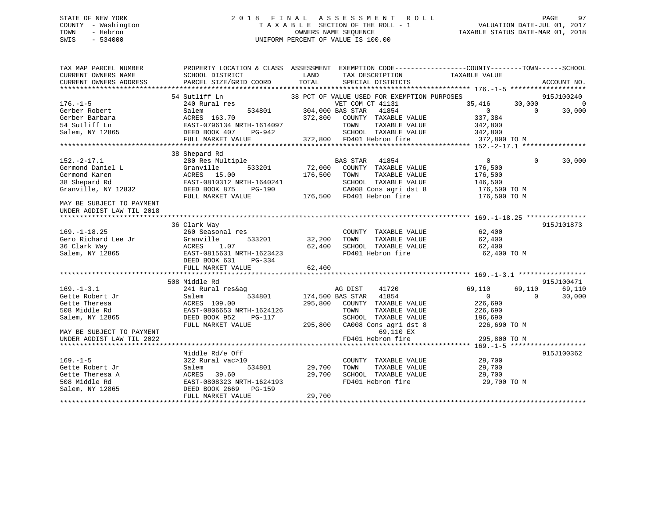## STATE OF NEW YORK 2 0 1 8 F I N A L A S S E S S M E N T R O L L PAGE 97 COUNTY - Washington T A X A B L E SECTION OF THE ROLL - 1 VALUATION DATE-JUL 01, 2017 TOWN - Hebron OWNERS NAME SEQUENCE TAXABLE STATUS DATE-MAR 01, 2018 SWIS - 534000 UNIFORM PERCENT OF VALUE IS 100.00

| TAX MAP PARCEL NUMBER<br>CURRENT OWNERS NAME<br>CURRENT OWNERS ADDRESS | PROPERTY LOCATION & CLASS ASSESSMENT EXEMPTION CODE----------------COUNTY-------TOWN------SCHOOL<br>SCHOOL DISTRICT<br>PARCEL SIZE/GRID COORD | LAND<br>TOTAL    | TAX DESCRIPTION<br>SPECIAL DISTRICTS        | TAXABLE VALUE  |          | ACCOUNT NO. |
|------------------------------------------------------------------------|-----------------------------------------------------------------------------------------------------------------------------------------------|------------------|---------------------------------------------|----------------|----------|-------------|
|                                                                        |                                                                                                                                               |                  |                                             |                |          |             |
|                                                                        | 54 Sutliff Ln                                                                                                                                 |                  | 38 PCT OF VALUE USED FOR EXEMPTION PURPOSES |                |          | 915J100240  |
| $176. - 1 - 5$                                                         | 240 Rural res                                                                                                                                 |                  | VET COM CT 41131                            | 35,416         | 30,000   | $\Omega$    |
| Gerber Robert                                                          | 534801<br>Salem                                                                                                                               |                  | 304,000 BAS STAR<br>41854                   | $\overline{0}$ | $\Omega$ | 30,000      |
| Gerber Barbara                                                         | ACRES 163.70                                                                                                                                  | 372,800          | COUNTY TAXABLE VALUE                        | 337,384        |          |             |
| 54 Sutliff Ln                                                          | EAST-0796134 NRTH-1614097                                                                                                                     |                  | TOWN<br>TAXABLE VALUE                       | 342,800        |          |             |
| Salem, NY 12865                                                        | DEED BOOK 407<br>PG-942                                                                                                                       |                  | SCHOOL TAXABLE VALUE                        | 342,800        |          |             |
|                                                                        | FULL MARKET VALUE                                                                                                                             |                  | 372,800 FD401 Hebron fire                   | 372,800 TO M   |          |             |
|                                                                        |                                                                                                                                               |                  |                                             |                |          |             |
|                                                                        | 38 Shepard Rd                                                                                                                                 |                  |                                             |                |          |             |
| $152. - 2 - 17.1$                                                      | 280 Res Multiple                                                                                                                              |                  | <b>BAS STAR</b><br>41854                    | $\mathbf{0}$   | $\Omega$ | 30,000      |
| Germond Daniel L                                                       | 533201<br>Granville                                                                                                                           | 72,000           | COUNTY TAXABLE VALUE                        | 176,500        |          |             |
| Germond Karen                                                          | ACRES 15.00                                                                                                                                   | 176,500          | TOWN<br>TAXABLE VALUE                       | 176,500        |          |             |
| 38 Shepard Rd                                                          | EAST-0810312 NRTH-1640241                                                                                                                     |                  | SCHOOL TAXABLE VALUE                        | 146,500        |          |             |
| Granville, NY 12832                                                    | DEED BOOK 875<br>PG-190                                                                                                                       |                  | CA008 Cons agri dst 8                       | 176,500 ТО М   |          |             |
|                                                                        | FULL MARKET VALUE                                                                                                                             |                  | 176,500 FD401 Hebron fire                   | 176,500 TO M   |          |             |
| MAY BE SUBJECT TO PAYMENT<br>UNDER AGDIST LAW TIL 2018                 |                                                                                                                                               |                  |                                             |                |          |             |
|                                                                        |                                                                                                                                               |                  |                                             |                |          |             |
|                                                                        | 36 Clark Way                                                                                                                                  |                  |                                             |                |          | 915J101873  |
| $169. - 1 - 18.25$                                                     | 260 Seasonal res                                                                                                                              |                  | COUNTY TAXABLE VALUE                        | 62,400         |          |             |
| Gero Richard Lee Jr                                                    | Granville<br>533201                                                                                                                           | 32,200           | TOWN<br>TAXABLE VALUE                       | 62,400         |          |             |
| 36 Clark Way                                                           | ACRES<br>1.07                                                                                                                                 | 62,400           | SCHOOL TAXABLE VALUE                        | 62,400         |          |             |
| Salem, NY 12865                                                        | EAST-0815631 NRTH-1623423                                                                                                                     |                  | FD401 Hebron fire                           | 62,400 TO M    |          |             |
|                                                                        | DEED BOOK 631<br>PG-334                                                                                                                       |                  |                                             |                |          |             |
|                                                                        | FULL MARKET VALUE                                                                                                                             | 62,400           |                                             |                |          |             |
|                                                                        | 508 Middle Rd                                                                                                                                 |                  |                                             |                |          | 915J100471  |
| $169. - 1 - 3.1$                                                       | 241 Rural res&ag                                                                                                                              |                  | AG DIST<br>41720                            | 69,110         | 69,110   | 69,110      |
| Gette Robert Jr                                                        | 534801<br>Salem                                                                                                                               | 174,500 BAS STAR | 41854                                       | $\overline{0}$ | $\Omega$ | 30,000      |
| Gette Theresa                                                          | ACRES 109.00                                                                                                                                  | 295,800          | COUNTY TAXABLE VALUE                        | 226,690        |          |             |
| 508 Middle Rd                                                          | EAST-0806653 NRTH-1624126                                                                                                                     |                  | TOWN<br>TAXABLE VALUE                       | 226,690        |          |             |
| Salem, NY 12865                                                        | DEED BOOK 952<br>PG-117                                                                                                                       |                  | SCHOOL TAXABLE VALUE                        | 196,690        |          |             |
|                                                                        | FULL MARKET VALUE                                                                                                                             | 295,800          | CA008 Cons agri dst 8                       | 226,690 TO M   |          |             |
| MAY BE SUBJECT TO PAYMENT                                              |                                                                                                                                               |                  | 69,110 EX                                   |                |          |             |
|                                                                        |                                                                                                                                               |                  |                                             | 295,800 TO M   |          |             |
| UNDER AGDIST LAW TIL 2022                                              |                                                                                                                                               |                  | FD401 Hebron fire                           |                |          |             |
|                                                                        | Middle Rd/e Off                                                                                                                               |                  |                                             |                |          | 915J100362  |
| $169. - 1 - 5$                                                         | 322 Rural vac>10                                                                                                                              |                  | COUNTY TAXABLE VALUE                        | 29,700         |          |             |
| Gette Robert Jr                                                        | Salem<br>534801                                                                                                                               | 29,700           | TAXABLE VALUE<br>TOWN                       | 29,700         |          |             |
| Gette Theresa A                                                        | ACRES<br>39.60                                                                                                                                | 29,700           | SCHOOL TAXABLE VALUE                        | 29,700         |          |             |
| 508 Middle Rd                                                          | EAST-0808323 NRTH-1624193                                                                                                                     |                  | FD401 Hebron fire                           | 29,700 TO M    |          |             |
| Salem, NY 12865                                                        | DEED BOOK 2669<br>PG-159                                                                                                                      |                  |                                             |                |          |             |
|                                                                        | FULL MARKET VALUE                                                                                                                             | 29,700           |                                             |                |          |             |
|                                                                        |                                                                                                                                               |                  |                                             |                |          |             |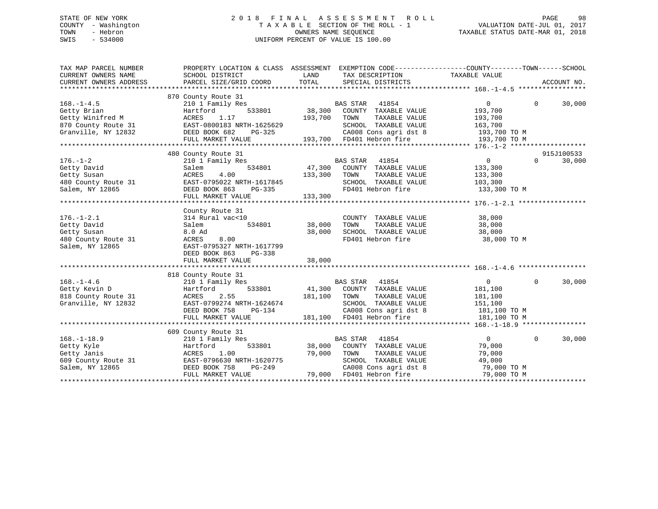## STATE OF NEW YORK 2 0 1 8 F I N A L A S S E S S M E N T R O L L PAGE 98 COUNTY - Washington T A X A B L E SECTION OF THE ROLL - 1 VALUATION DATE-JUL 01, 2017 TOWN - Hebron **CONNERS NAME SEQUENCE** TAXABLE STATUS DATE-MAR 01, 2018 SWIS - 534000 UNIFORM PERCENT OF VALUE IS 100.00

| TAX MAP PARCEL NUMBER<br>CURRENT OWNERS NAME<br>CURRENT OWNERS ADDRESS                            | PROPERTY LOCATION & CLASS ASSESSMENT EXEMPTION CODE---------------COUNTY-------TOWN-----SCHOOL<br>SCHOOL DISTRICT<br>PARCEL SIZE/GRID COORD                                                               | LAND<br>TOTAL     | TAX DESCRIPTION<br>SPECIAL DISTRICTS                                                                                                          | TAXABLE VALUE                                                                                         |              | ACCOUNT NO.          |
|---------------------------------------------------------------------------------------------------|-----------------------------------------------------------------------------------------------------------------------------------------------------------------------------------------------------------|-------------------|-----------------------------------------------------------------------------------------------------------------------------------------------|-------------------------------------------------------------------------------------------------------|--------------|----------------------|
|                                                                                                   |                                                                                                                                                                                                           |                   |                                                                                                                                               |                                                                                                       |              |                      |
| $168. - 1 - 4.5$<br>Getty Brian<br>Getty Winifred M<br>870 County Route 31<br>Granville, NY 12832 | 870 County Route 31<br>210 1 Family Res<br>533801<br>Hartford<br>ACRES<br>1.17<br>EAST-0800183 NRTH-1625629<br>DEED BOOK 682<br>PG-325<br>FULL MARKET VALUE                                               | 38,300<br>193,700 | BAS STAR 41854<br>COUNTY TAXABLE VALUE<br>TOWN<br>TAXABLE VALUE<br>SCHOOL TAXABLE VALUE<br>CA008 Cons agri dst 8<br>193,700 FD401 Hebron fire | $\overline{0}$<br>193,700<br>193,700<br>163,700<br>193,700 TO M<br>193,700 TO M                       | $\Omega$     | 30,000               |
|                                                                                                   |                                                                                                                                                                                                           |                   |                                                                                                                                               |                                                                                                       |              |                      |
| $176. - 1 - 2$<br>Getty David                                                                     | 480 County Route 31<br>210 1 Family Res<br>Salem<br>ACRES 4.00 133,300 COUNT<br>480 County Route 31 EAST-0795022 NRTH-1617845 5CHOOL<br>Salem, NY 12865 DEED BOOK 863 PG-335 FD401 H<br>FULL MARKET VALUE |                   | <b>BAS STAR</b> 41854<br>534801 47,300 COUNTY TAXABLE VALUE<br>TAXABLE VALUE<br>SCHOOL TAXABLE VALUE 103,300<br>FD401 Hebron fire             | $\overline{0}$<br>133,300<br>133,300<br>133,300 TO M                                                  | $\Omega$     | 915J100533<br>30,000 |
| $176. - 1 - 2.1$<br>Getty David<br>Getty Susan<br>480 County Route 31<br>Salem, NY 12865          | County Route 31<br>314 Rural vac<10<br>Salem<br>8.0 Ad<br>8.00<br>ACRES<br>EAST-0795327 NRTH-1617799<br>DEED BOOK 863<br>PG-338<br>FULL MARKET VALUE                                                      | 38,000<br>38,000  | COUNTY TAXABLE VALUE<br>TAXABLE VALUE<br>TOWN<br>SCHOOL TAXABLE VALUE<br>FD401 Hebron fire                                                    | 38,000<br>38,000<br>38,000<br>38,000 TO M                                                             |              |                      |
|                                                                                                   | 818 County Route 31                                                                                                                                                                                       |                   |                                                                                                                                               |                                                                                                       |              |                      |
| $168. - 1 - 4.6$<br>Getty Kevin D<br>818 County Route 31<br>Granville, NY 12832                   | County Route 31<br>210 1 Family Res<br>533801<br>Hartford<br>ACRES 2.55<br>EAST-0799274 NRTH-1624674<br>DEED BOOK 758 PG-134<br>FULL MARKET VALUE                                                         | 181,100 TOWN      | BAS STAR 41854<br>41,300 COUNTY TAXABLE VALUE<br>TAXABLE VALUE<br>SCHOOL TAXABLE VALUE<br>181,100 FD401 Hebron fire                           | $\overline{0}$<br>181,100<br>181,100<br>151,100<br>CA008 Cons agri dst 8 181,100 TO M<br>181,100 TO M | $\Omega$     | 30,000               |
|                                                                                                   | 609 County Route 31                                                                                                                                                                                       |                   |                                                                                                                                               |                                                                                                       |              |                      |
| $168. - 1 - 18.9$<br>Getty Kyle<br>Getty Janis<br>609 County Route 31<br>Salem, NY 12865          | 210 1 Family Res<br>533801<br>Hartford<br>1.00<br>ACRES<br>EAST-0796630 NRTH-1620775<br>DEED BOOK 758<br>PG-249<br>FULL MARKET VALUE                                                                      | 79,000 TOWN       | BAS STAR 41854<br>38,000 COUNTY TAXABLE VALUE<br>TAXABLE VALUE<br>SCHOOL TAXABLE VALUE<br>CA008 Cons agri dst 8<br>79,000 FD401 Hebron fire   | $\overline{0}$<br>79,000<br>79,000<br>49,000<br>79,000 TO M<br>79,000 TO M                            | $\mathbf{0}$ | 30,000               |
|                                                                                                   |                                                                                                                                                                                                           |                   |                                                                                                                                               |                                                                                                       |              |                      |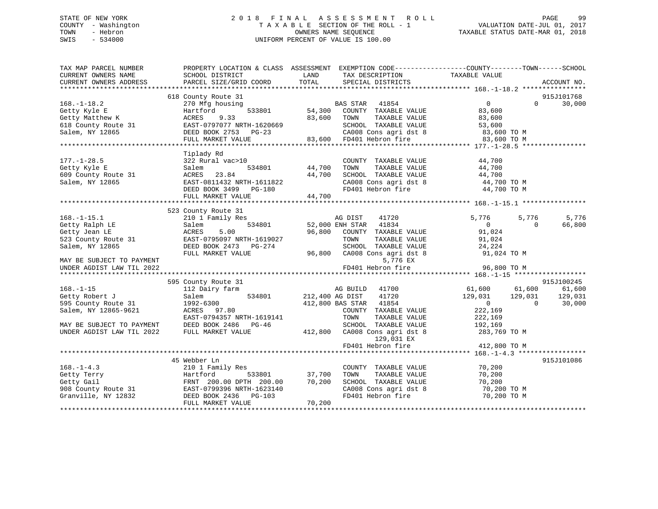# STATE OF NEW YORK GOOD CONSUMED A LOTE OF THE LAND ASSESSMENT ROLL CONSUMER THE PAGE 99 COUNTY - Washington  $T A X A B L E$  SECTION OF THE ROLL - 1<br>TOWN - Hebron DATE-JUL 000NERS NAME SEQUENCE SWIS - 534000 UNIFORM PERCENT OF VALUE IS 100.00

TAXABLE STATUS DATE-MAR 01, 2018

| TAXABLE VALUE<br>SCHOOL DISTRICT<br>LAND<br>TAX DESCRIPTION<br>TOTAL<br>CURRENT OWNERS ADDRESS<br>PARCEL SIZE/GRID COORD<br>SPECIAL DISTRICTS<br>ACCOUNT NO.<br>618 County Route 31<br>915J101768<br>BAS STAR 41854<br>54,300 COUNTY TAXABLE VALUE<br>$168. - 1 - 18.2$<br>270 Mfg housing<br>$\overline{0}$<br>$\Omega$<br>30,000<br>533801<br>Getty Kyle E<br>83,600<br>Hartford<br>Getty Matthew K<br>ACRES<br>9.33<br>83,600 TOWN<br>TAXABLE VALUE<br>83,600<br>618 County Route 31<br>618 County Route 31<br>61 Calam NY 12865<br>521 DEED BOOK 2753 PG-23<br>EAST-0797077 NRTH-1620669<br>SCHOOL TAXABLE VALUE<br>53,600<br>83,600 TO M<br>FULL MARKET VALUE<br>Tiplady Rd<br>322 Rural vac>10<br>44,700<br>$177. - 1 - 28.5$<br>COUNTY TAXABLE VALUE<br>534801 44,700<br>TOWN<br>TAXABLE VALUE<br>44,700<br>Salem<br>Getty Kyle E<br>609 County Route 31<br>Salem, NY 12865<br>44,700<br>SCHOOL TAXABLE VALUE $44,700$<br>CA008 Cons agri dst 8 $44,700$ TO M<br>ACRES 23.84<br>$44,700$<br>$44,700$<br>EAST-0811432 NRTH-1611822<br>FD401 Hebron fire 44,700 TO M<br>DEED BOOK 3499 PG-180<br>FULL MARKET VALUE<br>523 County Route 31<br>s<br>534801<br>5,776<br>$168. - 1 - 15.1$<br>210 1 Family Res<br>AG DIST<br>41720<br>5,776<br>5,776<br>Getty Ralph LE<br>52,000 ENH STAR 41834<br>$\overline{0}$<br>66,800<br>Salem<br>$\Omega$<br>96,800 COUNTY TAXABLE VALUE<br>91,024<br>Getty Jean LE<br>ACRES<br>5.00<br>EAST-0795097 NRTH-1619027<br>523 County Route 31<br>TOWN<br>TAXABLE VALUE<br>91,024<br>SCHOOL TAXABLE VALUE 24,224<br>Salem, NY 12865<br>DEED BOOK 2473 PG-274<br>96,800 CA008 Cons agri dst 8<br>91,024 TO M<br>FULL MARKET VALUE<br>5,776 EX<br>MAY BE SUBJECT TO PAYMENT<br>FD401 Hebron fire<br>96,800 TO M<br>UNDER AGDIST LAW TIL 2022<br>595 County Route 31<br>915J100245<br>AG BUILD 41700<br>$61,600$ $61,600$<br>$129,031$ $129,031$<br>$168. - 1 - 15$<br>61,600<br>112 Dairy farm<br>534801<br>212,400 AG DIST<br>41720<br>Getty Robert J<br>129,031<br>Salem<br>$\overline{0}$<br>30,000<br>595 County Route 31<br>1992-6300<br>412,800 BAS STAR 41854<br>$\overline{0}$<br>222,169<br>Salem, NY 12865-9621<br>ACRES 97.80<br>COUNTY TAXABLE VALUE<br>EAST-0794357 NRTH-1619141<br>TOWN<br>TAXABLE VALUE<br>222,169<br>SCHOOL TAXABLE VALUE 192,169<br>MAY BE SUBJECT TO PAYMENT<br>DEED BOOK 2486 PG-46<br>412,800 CA008 Cons agri dst 8<br>283,769 TO M<br>UNDER AGDIST LAW TIL 2022<br>FULL MARKET VALUE<br>129,031 EX<br>FD401 Hebron fire<br>412,800 TO M<br>45 Webber Ln<br>915J101086<br>$168. - 1 - 4.3$<br>210 1 Family Res<br>70,200<br>COUNTY TAXABLE VALUE<br>Getty Terry Martford 533801<br>Getty Gail FRNT 200.00 DPTH 200.00<br>908 County Route 31 EAST-0799396 NRTH-1623140<br>Granville, NY 12832 DEED BOOK 2436 PG-103<br>533801 37,700<br>TH 200.00 70,200<br>TAXABLE VALUE<br>70,200<br>TOWN<br>SCHOOL TAXABLE VALUE<br>70,200<br>CA008 Cons agri dst 8<br>70,200 TO M<br>FD401 Hebron fire<br>70,200 TO M<br>FULL MARKET VALUE<br>70,200 | TAX MAP PARCEL NUMBER | PROPERTY LOCATION & CLASS ASSESSMENT EXEMPTION CODE-----------------COUNTY-------TOWN------SCHOOL |  |  |  |
|--------------------------------------------------------------------------------------------------------------------------------------------------------------------------------------------------------------------------------------------------------------------------------------------------------------------------------------------------------------------------------------------------------------------------------------------------------------------------------------------------------------------------------------------------------------------------------------------------------------------------------------------------------------------------------------------------------------------------------------------------------------------------------------------------------------------------------------------------------------------------------------------------------------------------------------------------------------------------------------------------------------------------------------------------------------------------------------------------------------------------------------------------------------------------------------------------------------------------------------------------------------------------------------------------------------------------------------------------------------------------------------------------------------------------------------------------------------------------------------------------------------------------------------------------------------------------------------------------------------------------------------------------------------------------------------------------------------------------------------------------------------------------------------------------------------------------------------------------------------------------------------------------------------------------------------------------------------------------------------------------------------------------------------------------------------------------------------------------------------------------------------------------------------------------------------------------------------------------------------------------------------------------------------------------------------------------------------------------------------------------------------------------------------------------------------------------------------------------------------------------------------------------------------------------------------------------------------------------------------------------------------------------------------------------------------------------------------------------------------------------------------------------------------------------------------------------------------------------------------------------------------------------------------------------------------------------------------------------------------------------------------|-----------------------|---------------------------------------------------------------------------------------------------|--|--|--|
|                                                                                                                                                                                                                                                                                                                                                                                                                                                                                                                                                                                                                                                                                                                                                                                                                                                                                                                                                                                                                                                                                                                                                                                                                                                                                                                                                                                                                                                                                                                                                                                                                                                                                                                                                                                                                                                                                                                                                                                                                                                                                                                                                                                                                                                                                                                                                                                                                                                                                                                                                                                                                                                                                                                                                                                                                                                                                                                                                                                                              | CURRENT OWNERS NAME   |                                                                                                   |  |  |  |
|                                                                                                                                                                                                                                                                                                                                                                                                                                                                                                                                                                                                                                                                                                                                                                                                                                                                                                                                                                                                                                                                                                                                                                                                                                                                                                                                                                                                                                                                                                                                                                                                                                                                                                                                                                                                                                                                                                                                                                                                                                                                                                                                                                                                                                                                                                                                                                                                                                                                                                                                                                                                                                                                                                                                                                                                                                                                                                                                                                                                              |                       |                                                                                                   |  |  |  |
|                                                                                                                                                                                                                                                                                                                                                                                                                                                                                                                                                                                                                                                                                                                                                                                                                                                                                                                                                                                                                                                                                                                                                                                                                                                                                                                                                                                                                                                                                                                                                                                                                                                                                                                                                                                                                                                                                                                                                                                                                                                                                                                                                                                                                                                                                                                                                                                                                                                                                                                                                                                                                                                                                                                                                                                                                                                                                                                                                                                                              |                       |                                                                                                   |  |  |  |
|                                                                                                                                                                                                                                                                                                                                                                                                                                                                                                                                                                                                                                                                                                                                                                                                                                                                                                                                                                                                                                                                                                                                                                                                                                                                                                                                                                                                                                                                                                                                                                                                                                                                                                                                                                                                                                                                                                                                                                                                                                                                                                                                                                                                                                                                                                                                                                                                                                                                                                                                                                                                                                                                                                                                                                                                                                                                                                                                                                                                              |                       |                                                                                                   |  |  |  |
|                                                                                                                                                                                                                                                                                                                                                                                                                                                                                                                                                                                                                                                                                                                                                                                                                                                                                                                                                                                                                                                                                                                                                                                                                                                                                                                                                                                                                                                                                                                                                                                                                                                                                                                                                                                                                                                                                                                                                                                                                                                                                                                                                                                                                                                                                                                                                                                                                                                                                                                                                                                                                                                                                                                                                                                                                                                                                                                                                                                                              |                       |                                                                                                   |  |  |  |
|                                                                                                                                                                                                                                                                                                                                                                                                                                                                                                                                                                                                                                                                                                                                                                                                                                                                                                                                                                                                                                                                                                                                                                                                                                                                                                                                                                                                                                                                                                                                                                                                                                                                                                                                                                                                                                                                                                                                                                                                                                                                                                                                                                                                                                                                                                                                                                                                                                                                                                                                                                                                                                                                                                                                                                                                                                                                                                                                                                                                              |                       |                                                                                                   |  |  |  |
|                                                                                                                                                                                                                                                                                                                                                                                                                                                                                                                                                                                                                                                                                                                                                                                                                                                                                                                                                                                                                                                                                                                                                                                                                                                                                                                                                                                                                                                                                                                                                                                                                                                                                                                                                                                                                                                                                                                                                                                                                                                                                                                                                                                                                                                                                                                                                                                                                                                                                                                                                                                                                                                                                                                                                                                                                                                                                                                                                                                                              |                       |                                                                                                   |  |  |  |
|                                                                                                                                                                                                                                                                                                                                                                                                                                                                                                                                                                                                                                                                                                                                                                                                                                                                                                                                                                                                                                                                                                                                                                                                                                                                                                                                                                                                                                                                                                                                                                                                                                                                                                                                                                                                                                                                                                                                                                                                                                                                                                                                                                                                                                                                                                                                                                                                                                                                                                                                                                                                                                                                                                                                                                                                                                                                                                                                                                                                              |                       |                                                                                                   |  |  |  |
|                                                                                                                                                                                                                                                                                                                                                                                                                                                                                                                                                                                                                                                                                                                                                                                                                                                                                                                                                                                                                                                                                                                                                                                                                                                                                                                                                                                                                                                                                                                                                                                                                                                                                                                                                                                                                                                                                                                                                                                                                                                                                                                                                                                                                                                                                                                                                                                                                                                                                                                                                                                                                                                                                                                                                                                                                                                                                                                                                                                                              |                       |                                                                                                   |  |  |  |
|                                                                                                                                                                                                                                                                                                                                                                                                                                                                                                                                                                                                                                                                                                                                                                                                                                                                                                                                                                                                                                                                                                                                                                                                                                                                                                                                                                                                                                                                                                                                                                                                                                                                                                                                                                                                                                                                                                                                                                                                                                                                                                                                                                                                                                                                                                                                                                                                                                                                                                                                                                                                                                                                                                                                                                                                                                                                                                                                                                                                              |                       |                                                                                                   |  |  |  |
|                                                                                                                                                                                                                                                                                                                                                                                                                                                                                                                                                                                                                                                                                                                                                                                                                                                                                                                                                                                                                                                                                                                                                                                                                                                                                                                                                                                                                                                                                                                                                                                                                                                                                                                                                                                                                                                                                                                                                                                                                                                                                                                                                                                                                                                                                                                                                                                                                                                                                                                                                                                                                                                                                                                                                                                                                                                                                                                                                                                                              |                       |                                                                                                   |  |  |  |
|                                                                                                                                                                                                                                                                                                                                                                                                                                                                                                                                                                                                                                                                                                                                                                                                                                                                                                                                                                                                                                                                                                                                                                                                                                                                                                                                                                                                                                                                                                                                                                                                                                                                                                                                                                                                                                                                                                                                                                                                                                                                                                                                                                                                                                                                                                                                                                                                                                                                                                                                                                                                                                                                                                                                                                                                                                                                                                                                                                                                              |                       |                                                                                                   |  |  |  |
|                                                                                                                                                                                                                                                                                                                                                                                                                                                                                                                                                                                                                                                                                                                                                                                                                                                                                                                                                                                                                                                                                                                                                                                                                                                                                                                                                                                                                                                                                                                                                                                                                                                                                                                                                                                                                                                                                                                                                                                                                                                                                                                                                                                                                                                                                                                                                                                                                                                                                                                                                                                                                                                                                                                                                                                                                                                                                                                                                                                                              |                       |                                                                                                   |  |  |  |
|                                                                                                                                                                                                                                                                                                                                                                                                                                                                                                                                                                                                                                                                                                                                                                                                                                                                                                                                                                                                                                                                                                                                                                                                                                                                                                                                                                                                                                                                                                                                                                                                                                                                                                                                                                                                                                                                                                                                                                                                                                                                                                                                                                                                                                                                                                                                                                                                                                                                                                                                                                                                                                                                                                                                                                                                                                                                                                                                                                                                              |                       |                                                                                                   |  |  |  |
|                                                                                                                                                                                                                                                                                                                                                                                                                                                                                                                                                                                                                                                                                                                                                                                                                                                                                                                                                                                                                                                                                                                                                                                                                                                                                                                                                                                                                                                                                                                                                                                                                                                                                                                                                                                                                                                                                                                                                                                                                                                                                                                                                                                                                                                                                                                                                                                                                                                                                                                                                                                                                                                                                                                                                                                                                                                                                                                                                                                                              |                       |                                                                                                   |  |  |  |
|                                                                                                                                                                                                                                                                                                                                                                                                                                                                                                                                                                                                                                                                                                                                                                                                                                                                                                                                                                                                                                                                                                                                                                                                                                                                                                                                                                                                                                                                                                                                                                                                                                                                                                                                                                                                                                                                                                                                                                                                                                                                                                                                                                                                                                                                                                                                                                                                                                                                                                                                                                                                                                                                                                                                                                                                                                                                                                                                                                                                              |                       |                                                                                                   |  |  |  |
|                                                                                                                                                                                                                                                                                                                                                                                                                                                                                                                                                                                                                                                                                                                                                                                                                                                                                                                                                                                                                                                                                                                                                                                                                                                                                                                                                                                                                                                                                                                                                                                                                                                                                                                                                                                                                                                                                                                                                                                                                                                                                                                                                                                                                                                                                                                                                                                                                                                                                                                                                                                                                                                                                                                                                                                                                                                                                                                                                                                                              |                       |                                                                                                   |  |  |  |
|                                                                                                                                                                                                                                                                                                                                                                                                                                                                                                                                                                                                                                                                                                                                                                                                                                                                                                                                                                                                                                                                                                                                                                                                                                                                                                                                                                                                                                                                                                                                                                                                                                                                                                                                                                                                                                                                                                                                                                                                                                                                                                                                                                                                                                                                                                                                                                                                                                                                                                                                                                                                                                                                                                                                                                                                                                                                                                                                                                                                              |                       |                                                                                                   |  |  |  |
|                                                                                                                                                                                                                                                                                                                                                                                                                                                                                                                                                                                                                                                                                                                                                                                                                                                                                                                                                                                                                                                                                                                                                                                                                                                                                                                                                                                                                                                                                                                                                                                                                                                                                                                                                                                                                                                                                                                                                                                                                                                                                                                                                                                                                                                                                                                                                                                                                                                                                                                                                                                                                                                                                                                                                                                                                                                                                                                                                                                                              |                       |                                                                                                   |  |  |  |
|                                                                                                                                                                                                                                                                                                                                                                                                                                                                                                                                                                                                                                                                                                                                                                                                                                                                                                                                                                                                                                                                                                                                                                                                                                                                                                                                                                                                                                                                                                                                                                                                                                                                                                                                                                                                                                                                                                                                                                                                                                                                                                                                                                                                                                                                                                                                                                                                                                                                                                                                                                                                                                                                                                                                                                                                                                                                                                                                                                                                              |                       |                                                                                                   |  |  |  |
|                                                                                                                                                                                                                                                                                                                                                                                                                                                                                                                                                                                                                                                                                                                                                                                                                                                                                                                                                                                                                                                                                                                                                                                                                                                                                                                                                                                                                                                                                                                                                                                                                                                                                                                                                                                                                                                                                                                                                                                                                                                                                                                                                                                                                                                                                                                                                                                                                                                                                                                                                                                                                                                                                                                                                                                                                                                                                                                                                                                                              |                       |                                                                                                   |  |  |  |
|                                                                                                                                                                                                                                                                                                                                                                                                                                                                                                                                                                                                                                                                                                                                                                                                                                                                                                                                                                                                                                                                                                                                                                                                                                                                                                                                                                                                                                                                                                                                                                                                                                                                                                                                                                                                                                                                                                                                                                                                                                                                                                                                                                                                                                                                                                                                                                                                                                                                                                                                                                                                                                                                                                                                                                                                                                                                                                                                                                                                              |                       |                                                                                                   |  |  |  |
|                                                                                                                                                                                                                                                                                                                                                                                                                                                                                                                                                                                                                                                                                                                                                                                                                                                                                                                                                                                                                                                                                                                                                                                                                                                                                                                                                                                                                                                                                                                                                                                                                                                                                                                                                                                                                                                                                                                                                                                                                                                                                                                                                                                                                                                                                                                                                                                                                                                                                                                                                                                                                                                                                                                                                                                                                                                                                                                                                                                                              |                       |                                                                                                   |  |  |  |
|                                                                                                                                                                                                                                                                                                                                                                                                                                                                                                                                                                                                                                                                                                                                                                                                                                                                                                                                                                                                                                                                                                                                                                                                                                                                                                                                                                                                                                                                                                                                                                                                                                                                                                                                                                                                                                                                                                                                                                                                                                                                                                                                                                                                                                                                                                                                                                                                                                                                                                                                                                                                                                                                                                                                                                                                                                                                                                                                                                                                              |                       |                                                                                                   |  |  |  |
|                                                                                                                                                                                                                                                                                                                                                                                                                                                                                                                                                                                                                                                                                                                                                                                                                                                                                                                                                                                                                                                                                                                                                                                                                                                                                                                                                                                                                                                                                                                                                                                                                                                                                                                                                                                                                                                                                                                                                                                                                                                                                                                                                                                                                                                                                                                                                                                                                                                                                                                                                                                                                                                                                                                                                                                                                                                                                                                                                                                                              |                       |                                                                                                   |  |  |  |
|                                                                                                                                                                                                                                                                                                                                                                                                                                                                                                                                                                                                                                                                                                                                                                                                                                                                                                                                                                                                                                                                                                                                                                                                                                                                                                                                                                                                                                                                                                                                                                                                                                                                                                                                                                                                                                                                                                                                                                                                                                                                                                                                                                                                                                                                                                                                                                                                                                                                                                                                                                                                                                                                                                                                                                                                                                                                                                                                                                                                              |                       |                                                                                                   |  |  |  |
|                                                                                                                                                                                                                                                                                                                                                                                                                                                                                                                                                                                                                                                                                                                                                                                                                                                                                                                                                                                                                                                                                                                                                                                                                                                                                                                                                                                                                                                                                                                                                                                                                                                                                                                                                                                                                                                                                                                                                                                                                                                                                                                                                                                                                                                                                                                                                                                                                                                                                                                                                                                                                                                                                                                                                                                                                                                                                                                                                                                                              |                       |                                                                                                   |  |  |  |
|                                                                                                                                                                                                                                                                                                                                                                                                                                                                                                                                                                                                                                                                                                                                                                                                                                                                                                                                                                                                                                                                                                                                                                                                                                                                                                                                                                                                                                                                                                                                                                                                                                                                                                                                                                                                                                                                                                                                                                                                                                                                                                                                                                                                                                                                                                                                                                                                                                                                                                                                                                                                                                                                                                                                                                                                                                                                                                                                                                                                              |                       |                                                                                                   |  |  |  |
|                                                                                                                                                                                                                                                                                                                                                                                                                                                                                                                                                                                                                                                                                                                                                                                                                                                                                                                                                                                                                                                                                                                                                                                                                                                                                                                                                                                                                                                                                                                                                                                                                                                                                                                                                                                                                                                                                                                                                                                                                                                                                                                                                                                                                                                                                                                                                                                                                                                                                                                                                                                                                                                                                                                                                                                                                                                                                                                                                                                                              |                       |                                                                                                   |  |  |  |
|                                                                                                                                                                                                                                                                                                                                                                                                                                                                                                                                                                                                                                                                                                                                                                                                                                                                                                                                                                                                                                                                                                                                                                                                                                                                                                                                                                                                                                                                                                                                                                                                                                                                                                                                                                                                                                                                                                                                                                                                                                                                                                                                                                                                                                                                                                                                                                                                                                                                                                                                                                                                                                                                                                                                                                                                                                                                                                                                                                                                              |                       |                                                                                                   |  |  |  |
|                                                                                                                                                                                                                                                                                                                                                                                                                                                                                                                                                                                                                                                                                                                                                                                                                                                                                                                                                                                                                                                                                                                                                                                                                                                                                                                                                                                                                                                                                                                                                                                                                                                                                                                                                                                                                                                                                                                                                                                                                                                                                                                                                                                                                                                                                                                                                                                                                                                                                                                                                                                                                                                                                                                                                                                                                                                                                                                                                                                                              |                       |                                                                                                   |  |  |  |
|                                                                                                                                                                                                                                                                                                                                                                                                                                                                                                                                                                                                                                                                                                                                                                                                                                                                                                                                                                                                                                                                                                                                                                                                                                                                                                                                                                                                                                                                                                                                                                                                                                                                                                                                                                                                                                                                                                                                                                                                                                                                                                                                                                                                                                                                                                                                                                                                                                                                                                                                                                                                                                                                                                                                                                                                                                                                                                                                                                                                              |                       |                                                                                                   |  |  |  |
|                                                                                                                                                                                                                                                                                                                                                                                                                                                                                                                                                                                                                                                                                                                                                                                                                                                                                                                                                                                                                                                                                                                                                                                                                                                                                                                                                                                                                                                                                                                                                                                                                                                                                                                                                                                                                                                                                                                                                                                                                                                                                                                                                                                                                                                                                                                                                                                                                                                                                                                                                                                                                                                                                                                                                                                                                                                                                                                                                                                                              |                       |                                                                                                   |  |  |  |
|                                                                                                                                                                                                                                                                                                                                                                                                                                                                                                                                                                                                                                                                                                                                                                                                                                                                                                                                                                                                                                                                                                                                                                                                                                                                                                                                                                                                                                                                                                                                                                                                                                                                                                                                                                                                                                                                                                                                                                                                                                                                                                                                                                                                                                                                                                                                                                                                                                                                                                                                                                                                                                                                                                                                                                                                                                                                                                                                                                                                              |                       |                                                                                                   |  |  |  |
|                                                                                                                                                                                                                                                                                                                                                                                                                                                                                                                                                                                                                                                                                                                                                                                                                                                                                                                                                                                                                                                                                                                                                                                                                                                                                                                                                                                                                                                                                                                                                                                                                                                                                                                                                                                                                                                                                                                                                                                                                                                                                                                                                                                                                                                                                                                                                                                                                                                                                                                                                                                                                                                                                                                                                                                                                                                                                                                                                                                                              |                       |                                                                                                   |  |  |  |
|                                                                                                                                                                                                                                                                                                                                                                                                                                                                                                                                                                                                                                                                                                                                                                                                                                                                                                                                                                                                                                                                                                                                                                                                                                                                                                                                                                                                                                                                                                                                                                                                                                                                                                                                                                                                                                                                                                                                                                                                                                                                                                                                                                                                                                                                                                                                                                                                                                                                                                                                                                                                                                                                                                                                                                                                                                                                                                                                                                                                              |                       |                                                                                                   |  |  |  |
|                                                                                                                                                                                                                                                                                                                                                                                                                                                                                                                                                                                                                                                                                                                                                                                                                                                                                                                                                                                                                                                                                                                                                                                                                                                                                                                                                                                                                                                                                                                                                                                                                                                                                                                                                                                                                                                                                                                                                                                                                                                                                                                                                                                                                                                                                                                                                                                                                                                                                                                                                                                                                                                                                                                                                                                                                                                                                                                                                                                                              |                       |                                                                                                   |  |  |  |
|                                                                                                                                                                                                                                                                                                                                                                                                                                                                                                                                                                                                                                                                                                                                                                                                                                                                                                                                                                                                                                                                                                                                                                                                                                                                                                                                                                                                                                                                                                                                                                                                                                                                                                                                                                                                                                                                                                                                                                                                                                                                                                                                                                                                                                                                                                                                                                                                                                                                                                                                                                                                                                                                                                                                                                                                                                                                                                                                                                                                              |                       |                                                                                                   |  |  |  |
|                                                                                                                                                                                                                                                                                                                                                                                                                                                                                                                                                                                                                                                                                                                                                                                                                                                                                                                                                                                                                                                                                                                                                                                                                                                                                                                                                                                                                                                                                                                                                                                                                                                                                                                                                                                                                                                                                                                                                                                                                                                                                                                                                                                                                                                                                                                                                                                                                                                                                                                                                                                                                                                                                                                                                                                                                                                                                                                                                                                                              |                       |                                                                                                   |  |  |  |
|                                                                                                                                                                                                                                                                                                                                                                                                                                                                                                                                                                                                                                                                                                                                                                                                                                                                                                                                                                                                                                                                                                                                                                                                                                                                                                                                                                                                                                                                                                                                                                                                                                                                                                                                                                                                                                                                                                                                                                                                                                                                                                                                                                                                                                                                                                                                                                                                                                                                                                                                                                                                                                                                                                                                                                                                                                                                                                                                                                                                              |                       |                                                                                                   |  |  |  |
|                                                                                                                                                                                                                                                                                                                                                                                                                                                                                                                                                                                                                                                                                                                                                                                                                                                                                                                                                                                                                                                                                                                                                                                                                                                                                                                                                                                                                                                                                                                                                                                                                                                                                                                                                                                                                                                                                                                                                                                                                                                                                                                                                                                                                                                                                                                                                                                                                                                                                                                                                                                                                                                                                                                                                                                                                                                                                                                                                                                                              |                       |                                                                                                   |  |  |  |
|                                                                                                                                                                                                                                                                                                                                                                                                                                                                                                                                                                                                                                                                                                                                                                                                                                                                                                                                                                                                                                                                                                                                                                                                                                                                                                                                                                                                                                                                                                                                                                                                                                                                                                                                                                                                                                                                                                                                                                                                                                                                                                                                                                                                                                                                                                                                                                                                                                                                                                                                                                                                                                                                                                                                                                                                                                                                                                                                                                                                              |                       |                                                                                                   |  |  |  |
|                                                                                                                                                                                                                                                                                                                                                                                                                                                                                                                                                                                                                                                                                                                                                                                                                                                                                                                                                                                                                                                                                                                                                                                                                                                                                                                                                                                                                                                                                                                                                                                                                                                                                                                                                                                                                                                                                                                                                                                                                                                                                                                                                                                                                                                                                                                                                                                                                                                                                                                                                                                                                                                                                                                                                                                                                                                                                                                                                                                                              |                       |                                                                                                   |  |  |  |
|                                                                                                                                                                                                                                                                                                                                                                                                                                                                                                                                                                                                                                                                                                                                                                                                                                                                                                                                                                                                                                                                                                                                                                                                                                                                                                                                                                                                                                                                                                                                                                                                                                                                                                                                                                                                                                                                                                                                                                                                                                                                                                                                                                                                                                                                                                                                                                                                                                                                                                                                                                                                                                                                                                                                                                                                                                                                                                                                                                                                              |                       |                                                                                                   |  |  |  |
|                                                                                                                                                                                                                                                                                                                                                                                                                                                                                                                                                                                                                                                                                                                                                                                                                                                                                                                                                                                                                                                                                                                                                                                                                                                                                                                                                                                                                                                                                                                                                                                                                                                                                                                                                                                                                                                                                                                                                                                                                                                                                                                                                                                                                                                                                                                                                                                                                                                                                                                                                                                                                                                                                                                                                                                                                                                                                                                                                                                                              |                       |                                                                                                   |  |  |  |
|                                                                                                                                                                                                                                                                                                                                                                                                                                                                                                                                                                                                                                                                                                                                                                                                                                                                                                                                                                                                                                                                                                                                                                                                                                                                                                                                                                                                                                                                                                                                                                                                                                                                                                                                                                                                                                                                                                                                                                                                                                                                                                                                                                                                                                                                                                                                                                                                                                                                                                                                                                                                                                                                                                                                                                                                                                                                                                                                                                                                              |                       |                                                                                                   |  |  |  |
|                                                                                                                                                                                                                                                                                                                                                                                                                                                                                                                                                                                                                                                                                                                                                                                                                                                                                                                                                                                                                                                                                                                                                                                                                                                                                                                                                                                                                                                                                                                                                                                                                                                                                                                                                                                                                                                                                                                                                                                                                                                                                                                                                                                                                                                                                                                                                                                                                                                                                                                                                                                                                                                                                                                                                                                                                                                                                                                                                                                                              |                       |                                                                                                   |  |  |  |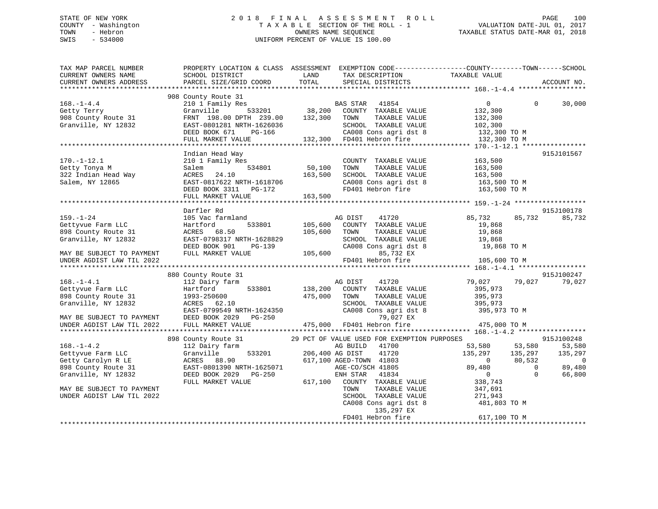## STATE OF NEW YORK 2 0 1 8 F I N A L A S S E S S M E N T R O L L PAGE 100 COUNTY - Washington T A X A B L E SECTION OF THE ROLL - 1 VALUATION DATE-JUL 01, 2017 TOWN - Hebron OWNERS NAME SEQUENCE TAXABLE STATUS DATE-MAR 01, 2018 SWIS - 534000 UNIFORM PERCENT OF VALUE IS 100.00

| TAX MAP PARCEL NUMBER<br>CURRENT OWNERS NAME<br>CURRENT OWNERS ADDRESS                                    | PROPERTY LOCATION & CLASS ASSESSMENT EXEMPTION CODE---------------COUNTY-------TOWN-----SCHOOL<br>SCHOOL DISTRICT<br>PARCEL SIZE/GRID COORD       | LAND<br>TOTAL      | TAX DESCRIPTION<br>SPECIAL DISTRICTS                                                                                                              | TAXABLE VALUE                                                              |                                                     | ACCOUNT NO.                                             |
|-----------------------------------------------------------------------------------------------------------|---------------------------------------------------------------------------------------------------------------------------------------------------|--------------------|---------------------------------------------------------------------------------------------------------------------------------------------------|----------------------------------------------------------------------------|-----------------------------------------------------|---------------------------------------------------------|
|                                                                                                           |                                                                                                                                                   |                    |                                                                                                                                                   |                                                                            |                                                     |                                                         |
| $168. - 1 - 4.4$<br>Getty Terry<br>908 County Route 31<br>Granville, NY 12832                             | 908 County Route 31<br>210 1 Family Res<br>533201<br>Granville<br>FRNT 198.00 DPTH 239.00<br>EAST-0801281 NRTH-1626036<br>DEED BOOK 671<br>PG-166 | 132,300 TOWN       | <b>BAS STAR</b><br>41854<br>38,200 COUNTY TAXABLE VALUE<br>TAXABLE VALUE<br>SCHOOL TAXABLE VALUE<br>CA008 Cons agri dst 8                         | $\overline{0}$<br>132,300<br>132,300<br>102,300<br>132,300 TO M            | $\Omega$                                            | 30,000                                                  |
|                                                                                                           | FULL MARKET VALUE                                                                                                                                 |                    | 132,300 FD401 Hebron fire                                                                                                                         | 132,300 TO M                                                               |                                                     |                                                         |
|                                                                                                           | Indian Head Way                                                                                                                                   |                    |                                                                                                                                                   |                                                                            |                                                     | 915J101567                                              |
| $170. - 1 - 12.1$<br>Getty Tonya M<br>322 Indian Head Way<br>Salem, NY 12865                              | 210 1 Family Res<br>Salem<br>534801<br>ACRES<br>24.10<br>EAST-0817622 NRTH-1618706<br>DEED BOOK 3311 PG-172                                       | 50,100<br>163,500  | COUNTY TAXABLE VALUE<br>TOWN<br>TAXABLE VALUE<br>SCHOOL TAXABLE VALUE<br>CA008 Cons agri dst 8<br>FD401 Hebron fire                               | 163,500<br>163,500<br>163,500<br>163,500 TO M<br>163,500 TO M              |                                                     |                                                         |
|                                                                                                           | FULL MARKET VALUE                                                                                                                                 | 163,500            |                                                                                                                                                   |                                                                            |                                                     |                                                         |
|                                                                                                           |                                                                                                                                                   |                    |                                                                                                                                                   |                                                                            |                                                     |                                                         |
| $159. - 1 - 24$                                                                                           | Darfler Rd<br>105 Vac farmland                                                                                                                    |                    | AG DIST<br>41720                                                                                                                                  | 85,732                                                                     | 85,732                                              | 915J100178<br>85,732                                    |
| Gettyvue Farm LLC<br>898 County Route 31<br>Granville, NY 12832                                           | Hartford<br>533801<br>ACRES 68.50<br>EAST-0798317 NRTH-1628829<br>DEED BOOK 901<br>PG-139                                                         | 105,600<br>105,600 | COUNTY TAXABLE VALUE<br>TAXABLE VALUE<br>TOWN<br>SCHOOL TAXABLE VALUE<br>CA008 Cons agri dst 8                                                    | 19,868<br>19,868<br>19,868<br>19,868 TO M                                  |                                                     |                                                         |
| MAY BE SUBJECT TO PAYMENT<br>UNDER AGDIST LAW TIL 2022                                                    | FULL MARKET VALUE                                                                                                                                 | 105,600            | 85,732 EX<br>FD401 Hebron fire                                                                                                                    | 105,600 TO M                                                               |                                                     |                                                         |
|                                                                                                           |                                                                                                                                                   |                    |                                                                                                                                                   |                                                                            |                                                     |                                                         |
|                                                                                                           | 880 County Route 31                                                                                                                               |                    |                                                                                                                                                   |                                                                            |                                                     | 915J100247                                              |
| $168. - 1 - 4.1$<br>Gettyvue Farm LLC<br>898 County Route 31<br>Granville, NY 12832                       | 112 Dairy farm<br>Hartford<br>533801<br>1993-250600<br>ACRES 62.10<br>EAST-0799549 NRTH-1624350                                                   | 138,200<br>475,000 | AG DIST<br>41720<br>COUNTY TAXABLE VALUE<br>TOWN<br>TAXABLE VALUE<br>SCHOOL TAXABLE VALUE<br>CA008 Cons agri dst 8                                | 79,027<br>395,973<br>395,973<br>395,973<br>395,973 TO M                    | 79,027                                              | 79,027                                                  |
| MAY BE SUBJECT TO PAYMENT                                                                                 | DEED BOOK 2029<br>PG-250                                                                                                                          |                    | 79,027 EX                                                                                                                                         |                                                                            |                                                     |                                                         |
| UNDER AGDIST LAW TIL 2022                                                                                 | FULL MARKET VALUE                                                                                                                                 |                    | 475,000 FD401 Hebron fire                                                                                                                         | 475,000 TO M                                                               |                                                     |                                                         |
|                                                                                                           | 898 County Route 31                                                                                                                               |                    | 29 PCT OF VALUE USED FOR EXEMPTION PURPOSES                                                                                                       |                                                                            |                                                     | 915J100248                                              |
| $168. - 1 - 4.2$<br>Gettyvue Farm LLC<br>Getty Carolyn R LE<br>898 County Route 31<br>Granville, NY 12832 | 112 Dairy farm<br>533201<br>Granville<br>ACRES 88.90<br>EAST-0801390 NRTH-1625071<br>DEED BOOK 2029 PG-250<br>FULL MARKET VALUE                   |                    | AG BUILD<br>41700<br>206,400 AG DIST<br>41720<br>617,100 AGED-TOWN 41803<br>AGE-CO/SCH 41805<br>ENH STAR<br>41834<br>617,100 COUNTY TAXABLE VALUE | 53,580<br>135,297<br>$\overline{0}$<br>89,480<br>$\overline{0}$<br>338,743 | 53,580<br>135,297<br>80,532<br>$\Omega$<br>$\Omega$ | 53,580<br>135,297<br>$\overline{0}$<br>89,480<br>66,800 |
| MAY BE SUBJECT TO PAYMENT<br>UNDER AGDIST LAW TIL 2022                                                    |                                                                                                                                                   |                    | TOWN<br>TAXABLE VALUE<br>SCHOOL TAXABLE VALUE<br>CA008 Cons agri dst 8<br>135,297 EX<br>FD401 Hebron fire                                         | 347,691<br>271,943<br>481,803 TO M<br>617,100 TO M                         |                                                     |                                                         |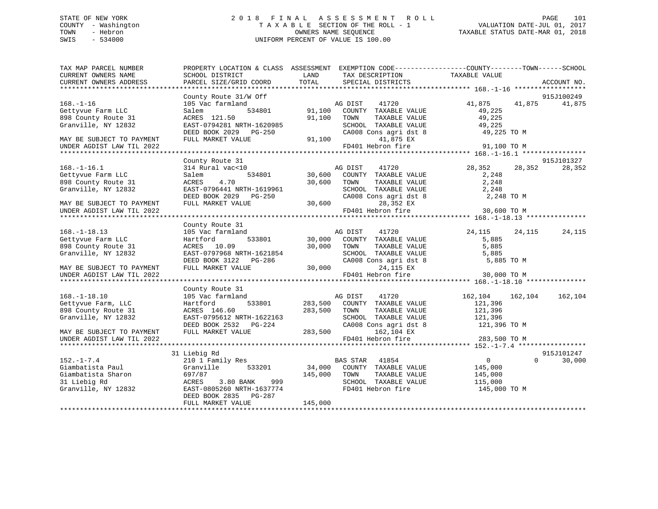## STATE OF NEW YORK 2 0 1 8 F I N A L A S S E S S M E N T R O L L PAGE 101 COUNTY - Washington T A X A B L E SECTION OF THE ROLL - 1 VALUATION DATE-JUL 01, 2017 TOWN - Hebron OWNERS NAME SEQUENCE TAXABLE STATUS DATE-MAR 01, 2018 SWIS - 534000 UNIFORM PERCENT OF VALUE IS 100.00

| TOTAL<br>CURRENT OWNERS ADDRESS<br>PARCEL SIZE/GRID COORD<br>SPECIAL DISTRICTS                                                                                                                                                                                                                                                                                                                                                                                                                                                                                                                                                                                                                                                                                                                                                                                                     | ACCOUNT NO.                                               |
|------------------------------------------------------------------------------------------------------------------------------------------------------------------------------------------------------------------------------------------------------------------------------------------------------------------------------------------------------------------------------------------------------------------------------------------------------------------------------------------------------------------------------------------------------------------------------------------------------------------------------------------------------------------------------------------------------------------------------------------------------------------------------------------------------------------------------------------------------------------------------------|-----------------------------------------------------------|
|                                                                                                                                                                                                                                                                                                                                                                                                                                                                                                                                                                                                                                                                                                                                                                                                                                                                                    |                                                           |
|                                                                                                                                                                                                                                                                                                                                                                                                                                                                                                                                                                                                                                                                                                                                                                                                                                                                                    | 915J100249                                                |
| County Route 31/W Off<br>AG DIST<br>105 Vac farmland<br>41,875<br>$168. - 1 - 16$<br>41720<br>534801<br>Gettyvue Farm LLC<br>91,100 COUNTY TAXABLE VALUE<br>Salem<br>898 County Route 31<br>ACRES 121.50<br>91,100 TOWN<br>TAXABLE VALUE                                                                                                                                                                                                                                                                                                                                                                                                                                                                                                                                                                                                                                           | 41,875<br>41,875<br>49,225<br>49,225                      |
| EAST-0794281 NRTH-1620985<br>Granville, NY 12832<br>SCHOOL TAXABLE VALUE<br>DEED BOOK 2029 PG-250<br>CA008 Cons agri dst 8                                                                                                                                                                                                                                                                                                                                                                                                                                                                                                                                                                                                                                                                                                                                                         | 49,225<br>49,225 TO M                                     |
| FULL MARKET VALUE<br>91,100<br>41,875 EX<br>MAY BE SUBJECT TO PAYMENT<br>FD401 Hebron fire<br>UNDER AGDIST LAW TIL 2022                                                                                                                                                                                                                                                                                                                                                                                                                                                                                                                                                                                                                                                                                                                                                            | 91,100 TO M                                               |
| County Route 31                                                                                                                                                                                                                                                                                                                                                                                                                                                                                                                                                                                                                                                                                                                                                                                                                                                                    | 915J101327                                                |
| 28,352<br>314 Rural vac<10<br>41720<br>$168. - 1 - 16.1$<br>AG DIST<br>30,600 COUNTY TAXABLE VALUE<br>534801<br>Gettyvue Farm LLC<br>Salem<br>30,600 TOWN<br>898 County Route 31<br>4.70<br>TAXABLE VALUE<br>ACRES<br>SCHOOL TAXABLE VALUE<br>Granville, NY 12832<br>EAST-0796441 NRTH-1619961<br>DEED BOOK 2029    PG-250<br>CA008 Cons agri dst 8<br>FULL MARKET VALUE<br>30,600<br>28,352 EX<br>MAY BE SUBJECT TO PAYMENT                                                                                                                                                                                                                                                                                                                                                                                                                                                       | 28,352<br>28,352<br>2,248<br>2,248<br>2,248<br>2,248 TO M |
| FD401 Hebron fire<br>UNDER AGDIST LAW TIL 2022                                                                                                                                                                                                                                                                                                                                                                                                                                                                                                                                                                                                                                                                                                                                                                                                                                     | 30,600 TO M                                               |
|                                                                                                                                                                                                                                                                                                                                                                                                                                                                                                                                                                                                                                                                                                                                                                                                                                                                                    |                                                           |
| County Route 31                                                                                                                                                                                                                                                                                                                                                                                                                                                                                                                                                                                                                                                                                                                                                                                                                                                                    |                                                           |
| $168. - 1 - 18.13$<br>105 Vac farmland<br>24,115<br>$\begin{tabular}{ccccc} & & \multicolumn{2}{c}{\text{AG DIST}} & & \multicolumn{2}{c}{41 /20} \\ \multicolumn{2}{c}{30,000} & \multicolumn{2}{c}{\text{COUNTY}} & \multicolumn{2}{c}{\text{TXABLE VALUE}} \\ & & \multicolumn{2}{c}{\text{YALUE}} & & \multicolumn{2}{c}{\text{TALUE}} \\ & \multicolumn{2}{c}{\text{TALUE}} & & \multicolumn{2}{c}{\text{TALUE}} \\ \multicolumn{2}{c}{\text{TALUE}} & & \multicolumn{2}{c}{\text{TALUE}} \\ \multicolumn{2}{c}{\text{TALUE}} & &$<br>533801<br>Gettyvue Farm LLC<br>Hartford<br>898 County Route 31<br>30,000 TOWN<br>ACRES 10.09<br>TAXABLE VALUE<br>Granville, NY 12832<br>EAST-0797968 NRTH-1621854<br>SCHOOL TAXABLE VALUE<br>30 <sup>o</sup><br>DEED BOOK 3122 PG-286<br>CA008 Cons agri dst 8<br>FULL MARKET VALUE<br>30,000<br>24,115 EX<br>MAY BE SUBJECT TO PAYMENT | 24,115<br>24,115<br>5,885<br>5,885<br>5,885<br>5,885 TO M |
| FD401 Hebron fire<br>UNDER AGDIST LAW TIL 2022                                                                                                                                                                                                                                                                                                                                                                                                                                                                                                                                                                                                                                                                                                                                                                                                                                     | 30,000 TO M                                               |
|                                                                                                                                                                                                                                                                                                                                                                                                                                                                                                                                                                                                                                                                                                                                                                                                                                                                                    |                                                           |
| County Route 31<br>$168. - 1 - 18.10$<br>105 Vac farmland<br>AG DIST<br>41720<br>162,104<br>Gettyvue Farm, LLC<br>533801<br>283,500<br>COUNTY TAXABLE VALUE<br>Hartford<br>121,396<br>898 County Route 31<br>283,500<br>TAXABLE VALUE<br>121,396<br>ACRES 146.60<br>TOWN<br>121,396<br>Granville, NY 12832<br>EAST-0795612 NRTH-1622163<br>SCHOOL TAXABLE VALUE<br>CA008 Cons agri dst 8<br>121,396 TO M<br>DEED BOOK 2532 PG-224                                                                                                                                                                                                                                                                                                                                                                                                                                                  | 162,104<br>162,104                                        |
| 283,500<br>FULL MARKET VALUE<br>162,104 EX<br>MAY BE SUBJECT TO PAYMENT<br>FD401 Hebron fire<br>UNDER AGDIST LAW TIL 2022                                                                                                                                                                                                                                                                                                                                                                                                                                                                                                                                                                                                                                                                                                                                                          | 283,500 TO M                                              |
|                                                                                                                                                                                                                                                                                                                                                                                                                                                                                                                                                                                                                                                                                                                                                                                                                                                                                    |                                                           |
| 31 Liebig Rd<br>$152. - 1 - 7.4$<br>210 1 Family Res<br>BAS STAR 41854<br>$\overline{0}$<br>Giambatista Paul<br>533201<br>34,000 COUNTY TAXABLE VALUE<br>Granville<br>145,000                                                                                                                                                                                                                                                                                                                                                                                                                                                                                                                                                                                                                                                                                                      | 915J101247<br>$\Omega$<br>30,000                          |
| Giambatista Sharon<br>697/87<br>145,000<br>TOWN<br>TAXABLE VALUE<br>145,000<br>31 Liebig Rd<br>3.80 BANK<br>999<br>SCHOOL TAXABLE VALUE<br>ACRES<br>115,000                                                                                                                                                                                                                                                                                                                                                                                                                                                                                                                                                                                                                                                                                                                        |                                                           |
| Granville, NY 12832<br>FD401 Hebron fire<br>EAST-0805260 NRTH-1637774<br>DEED BOOK 2835 PG-287<br>145,000<br>FULL MARKET VALUE                                                                                                                                                                                                                                                                                                                                                                                                                                                                                                                                                                                                                                                                                                                                                     | 145,000 TO M                                              |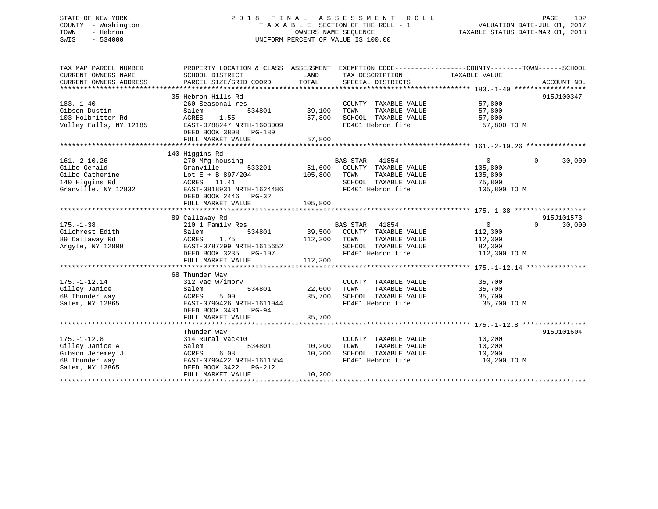## STATE OF NEW YORK 2 0 1 8 F I N A L A S S E S S M E N T R O L L PAGE 102 COUNTY - Washington T A X A B L E SECTION OF THE ROLL - 1 VALUATION DATE-JUL 01, 2017 TOWN - Hebron OWNERS NAME SEQUENCE TAXABLE STATUS DATE-MAR 01, 2018 SWIS - 534000 UNIFORM PERCENT OF VALUE IS 100.00

| TAX MAP PARCEL NUMBER  | PROPERTY LOCATION & CLASS ASSESSMENT EXEMPTION CODE--------------COUNTY-------TOWN-----SCHOOL |         |                               |                |                    |
|------------------------|-----------------------------------------------------------------------------------------------|---------|-------------------------------|----------------|--------------------|
| CURRENT OWNERS NAME    | SCHOOL DISTRICT                                                                               | LAND    | TAX DESCRIPTION               | TAXABLE VALUE  |                    |
| CURRENT OWNERS ADDRESS | PARCEL SIZE/GRID COORD                                                                        | TOTAL   | SPECIAL DISTRICTS             |                | ACCOUNT NO.        |
|                        |                                                                                               |         |                               |                |                    |
|                        | 35 Hebron Hills Rd                                                                            |         |                               |                | 915J100347         |
| $183. - 1 - 40$        | 260 Seasonal res                                                                              |         | COUNTY TAXABLE VALUE          | 57,800         |                    |
| Gibson Dustin          | 534801<br>Salem                                                                               | 39,100  | TAXABLE VALUE<br>TOWN         | 57,800         |                    |
| 103 Holbritter Rd      | 1.55<br>ACRES                                                                                 | 57,800  | SCHOOL TAXABLE VALUE          | 57,800         |                    |
| Valley Falls, NY 12185 | EAST-0788247 NRTH-1603009                                                                     |         | FD401 Hebron fire             | 57,800 TO M    |                    |
|                        |                                                                                               |         |                               |                |                    |
|                        | DEED BOOK 3808 PG-189                                                                         |         |                               |                |                    |
|                        | FULL MARKET VALUE                                                                             | 57,800  |                               |                |                    |
|                        |                                                                                               |         |                               |                |                    |
|                        | 140 Higgins Rd                                                                                |         |                               |                |                    |
| $161. - 2 - 10.26$     | 270 Mfg housing                                                                               |         | BAS STAR 41854                | $\overline{0}$ | $\Omega$<br>30,000 |
| Gilbo Gerald           | 533201<br>Granville                                                                           |         | 51,600 COUNTY TAXABLE VALUE   | 105,800        |                    |
| Gilbo Catherine        | Lot E + B 897/204                                                                             | 105,800 | TAXABLE VALUE<br>TOWN         | 105,800        |                    |
| 140 Higgins Rd         | ACRES 11.41                                                                                   |         | SCHOOL TAXABLE VALUE          | 75,800         |                    |
| Granville, NY 12832    | EAST-0818931 NRTH-1624486                                                                     |         | FD401 Hebron fire             | 105,800 TO M   |                    |
|                        | DEED BOOK 2446 PG-32                                                                          |         |                               |                |                    |
|                        | FULL MARKET VALUE                                                                             | 105,800 |                               |                |                    |
|                        |                                                                                               |         |                               |                |                    |
|                        | 89 Callaway Rd                                                                                |         |                               |                | 915J101573         |
| $175. - 1 - 38$        | 210 1 Family Res                                                                              |         | BAS STAR 41854                | $\overline{0}$ | $\Omega$<br>30,000 |
| Gilchrest Edith        | 534801<br>Salem                                                                               |         | 39,500 COUNTY TAXABLE VALUE   | 112,300        |                    |
| 89 Callaway Rd         | 1.75<br>ACRES                                                                                 |         | 112,300 TOWN<br>TAXABLE VALUE | 112,300        |                    |
| Argyle, NY 12809       | EAST-0787299 NRTH-1615652                                                                     |         | SCHOOL TAXABLE VALUE          | 82,300         |                    |
|                        | DEED BOOK 3235<br>PG-107                                                                      |         | FD401 Hebron fire             | 112,300 TO M   |                    |
|                        | FULL MARKET VALUE                                                                             | 112,300 |                               |                |                    |
|                        |                                                                                               |         |                               |                |                    |
|                        | 68 Thunder Way                                                                                |         |                               |                |                    |
|                        |                                                                                               |         |                               |                |                    |
| $175. - 1 - 12.14$     | 312 Vac w/imprv                                                                               |         | COUNTY TAXABLE VALUE          | 35,700         |                    |
| Gilley Janice          | 534801<br>Salem                                                                               | 22,000  | TAXABLE VALUE<br>TOWN         | 35,700         |                    |
| 68 Thunder Way         | ACRES<br>5.00                                                                                 | 35,700  | SCHOOL TAXABLE VALUE          | 35,700         |                    |
| Salem, NY 12865        | EAST-0790426 NRTH-1611044                                                                     |         | FD401 Hebron fire             | 35,700 TO M    |                    |
|                        | DEED BOOK 3431 PG-94                                                                          |         |                               |                |                    |
|                        | FULL MARKET VALUE                                                                             | 35,700  |                               |                |                    |
|                        |                                                                                               |         |                               |                |                    |
|                        | Thunder Way                                                                                   |         |                               |                | 915J101604         |
| $175. - 1 - 12.8$      | 314 Rural vac<10                                                                              |         | COUNTY TAXABLE VALUE          | 10,200         |                    |
| Gilley Janice A        | 534801<br>Salem                                                                               | 10,200  | TOWN<br>TAXABLE VALUE         | 10,200         |                    |
| Gibson Jeremey J       | 6.08<br>ACRES                                                                                 | 10,200  | SCHOOL TAXABLE VALUE          | 10,200         |                    |
| 68 Thunder Way         | EAST-0790422 NRTH-1611554                                                                     |         | FD401 Hebron fire             | 10,200 TO M    |                    |
| Salem, NY 12865        | DEED BOOK 3422 PG-212                                                                         |         |                               |                |                    |
|                        | FULL MARKET VALUE                                                                             | 10,200  |                               |                |                    |
|                        |                                                                                               |         |                               |                |                    |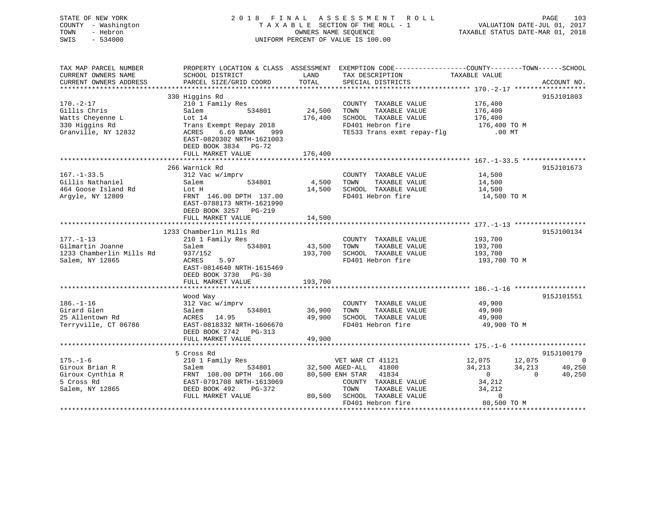| STATE OF NEW YORK<br>COUNTY - Washington<br>TOWN<br>- Hebron<br>$-534000$<br>SWIS |                                                                                                                    |         | 2018 FINAL ASSESSMENT ROLL<br>TAXABLE SECTION OF THE ROLL - 1<br>OWNERS NAME SEQUENCE<br>UNIFORM PERCENT OF VALUE IS 100.00 | VALUATION DATE-JUL 01, 2017<br>TAXABLE STATUS DATE-MAR 01, 2018 | PAGE<br>103 |
|-----------------------------------------------------------------------------------|--------------------------------------------------------------------------------------------------------------------|---------|-----------------------------------------------------------------------------------------------------------------------------|-----------------------------------------------------------------|-------------|
| TAX MAP PARCEL NUMBER<br>CURRENT OWNERS NAME                                      | PROPERTY LOCATION & CLASS ASSESSMENT EXEMPTION CODE---------------COUNTY-------TOWN------SCHOOL<br>SCHOOL DISTRICT | LAND    | TAX DESCRIPTION                                                                                                             | TAXABLE VALUE                                                   |             |
| CURRENT OWNERS ADDRESS                                                            | PARCEL SIZE/GRID COORD                                                                                             | TOTAL   | SPECIAL DISTRICTS                                                                                                           |                                                                 | ACCOUNT NO. |
| ***********************                                                           |                                                                                                                    |         |                                                                                                                             |                                                                 |             |
|                                                                                   | 330 Higgins Rd                                                                                                     |         |                                                                                                                             |                                                                 | 915J101803  |
| $170. - 2 - 17$                                                                   | 210 1 Family Res                                                                                                   |         | COUNTY TAXABLE VALUE                                                                                                        | 176,400                                                         |             |
| Gillis Chris                                                                      | Salem 534801                                                                                                       | 24,500  | TOWN<br>TAXABLE VALUE                                                                                                       | 176,400                                                         |             |
| Watts Cheyenne L                                                                  | Lot 14                                                                                                             |         | 176,400 SCHOOL TAXABLE VALUE                                                                                                | 176,400                                                         |             |
| 330 Higgins Rd                                                                    | Trans Exempt Repay 2018                                                                                            |         | FD401 Hebron fire                                                                                                           | 176,400 TO M                                                    |             |
| Granville, NY 12832                                                               | ACRES 6.69 BANK 999<br>EAST-0820302 NRTH-1621003<br>DEED BOOK 3834 PG-72                                           |         | TE533 Trans exmt repay-flg                                                                                                  | .00 MT                                                          |             |
|                                                                                   | FULL MARKET VALUE                                                                                                  | 176,400 |                                                                                                                             |                                                                 |             |
|                                                                                   | 266 Warnick Rd                                                                                                     |         |                                                                                                                             |                                                                 | 915J101673  |
| $167. - 1 - 33.5$                                                                 | 312 Vac w/imprv                                                                                                    |         | COUNTY TAXABLE VALUE                                                                                                        | 14,500                                                          |             |
| Gillis Nathaniel                                                                  | Salem<br>534801                                                                                                    | 4,500   | TOWN<br>TAXABLE VALUE                                                                                                       | 14,500                                                          |             |
| 464 Goose Island Rd                                                               | Lot H                                                                                                              |         | 14,500 SCHOOL TAXABLE VALUE                                                                                                 | 14,500                                                          |             |
| Argyle, NY 12809                                                                  | FRNT 146.00 DPTH 137.00                                                                                            |         | FD401 Hebron fire                                                                                                           | 14,500 TO M                                                     |             |
|                                                                                   | EAST-0788173 NRTH-1621990<br>DEED BOOK 3257 PG-219<br>FULL MARKET VALUE                                            | 14,500  |                                                                                                                             |                                                                 |             |
|                                                                                   |                                                                                                                    |         |                                                                                                                             |                                                                 |             |
|                                                                                   | 1233 Chamberlin Mills Rd                                                                                           |         |                                                                                                                             |                                                                 | 915J100134  |
| $177. - 1 - 13$                                                                   | 210 1 Family Res                                                                                                   |         | COUNTY TAXABLE VALUE                                                                                                        | 193,700                                                         |             |
| Gilmartin Joanne                                                                  | 534801<br>Salem                                                                                                    | 43,500  | TOWN<br>TAXABLE VALUE                                                                                                       | 193,700                                                         |             |
| 1233 Chamberlin Mills Rd                                                          | 937/152                                                                                                            |         | 193,700 SCHOOL TAXABLE VALUE                                                                                                | 193,700                                                         |             |
| Salem, NY 12865                                                                   | ACRES 5.97                                                                                                         |         | FD401 Hebron fire                                                                                                           | 193,700 TO M                                                    |             |
|                                                                                   | EAST-0814640 NRTH-1615469                                                                                          |         |                                                                                                                             |                                                                 |             |
|                                                                                   | DEED BOOK 3730 PG-30                                                                                               |         |                                                                                                                             |                                                                 |             |
|                                                                                   | FULL MARKET VALUE                                                                                                  | 193,700 |                                                                                                                             |                                                                 |             |
|                                                                                   |                                                                                                                    |         |                                                                                                                             |                                                                 | 915J101551  |
| $186. - 1 - 16$                                                                   | Wood Way                                                                                                           |         |                                                                                                                             |                                                                 |             |
| Girard Glen                                                                       | 312 Vac w/imprv<br>Salem<br>534801                                                                                 |         | COUNTY TAXABLE VALUE<br>TAXABLE VALUE<br>TOWN                                                                               | 49,900<br>49,900                                                |             |
| 25 Allentown Rd                                                                   | ACRES 14.95                                                                                                        | 36,900  | 49,900 SCHOOL TAXABLE VALUE                                                                                                 | 49,900                                                          |             |
| Terryville, CT 06786                                                              | EAST-0818332 NRTH-1606670                                                                                          |         | FD401 Hebron fire                                                                                                           | 49,900 TO M                                                     |             |
|                                                                                   | DEED BOOK 2742 PG-313                                                                                              |         |                                                                                                                             |                                                                 |             |
|                                                                                   | FULL MARKET VALUE                                                                                                  | 49,900  |                                                                                                                             |                                                                 |             |
|                                                                                   |                                                                                                                    |         |                                                                                                                             |                                                                 |             |
|                                                                                   | 5 Cross Rd                                                                                                         |         |                                                                                                                             |                                                                 | 915J100179  |
| $175. - 1 - 6$                                                                    | 210 1 Family Res                                                                                                   |         | VET WAR CT 41121                                                                                                            | 12,075<br>12,075                                                | $\sim$ 0    |
| Giroux Brian R                                                                    | Salem 534801                                                                                                       |         | 32,500 AGED-ALL 41800                                                                                                       | 34,213<br>34,213                                                | 40,250      |
| Giroux Cynthia R                                                                  | FRNT 108.00 DPTH 166.00                                                                                            |         | 80,500 ENH STAR 41834                                                                                                       | $\overline{0}$<br>$\overline{0}$                                | 40,250      |
| 5 Cross Rd                                                                        | EAST-0791708 NRTH-1613069                                                                                          |         | COUNTY TAXABLE VALUE                                                                                                        | 34,212                                                          |             |
| Salem, NY 12865                                                                   | DEED BOOK 492 PG-372                                                                                               |         | TOWN<br>TAXABLE VALUE                                                                                                       | 34,212                                                          |             |
|                                                                                   | FULL MARKET VALUE                                                                                                  |         | 80,500 SCHOOL TAXABLE VALUE                                                                                                 | $\overline{0}$                                                  |             |
|                                                                                   |                                                                                                                    |         | FD401 Hebron fire                                                                                                           | 80,500 TO M                                                     |             |
|                                                                                   |                                                                                                                    |         |                                                                                                                             |                                                                 |             |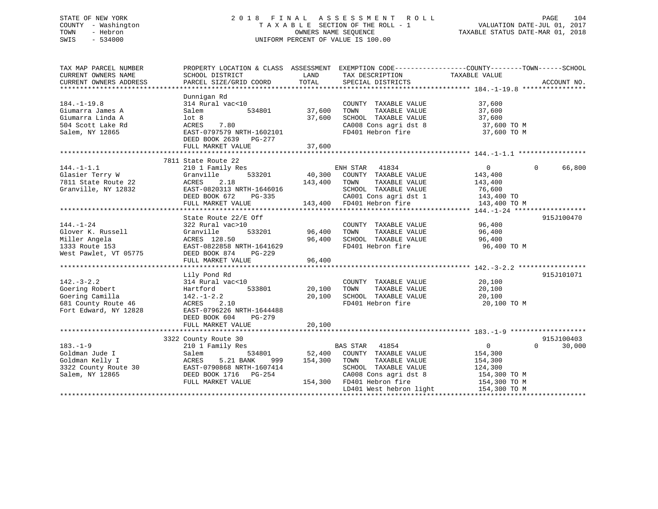## STATE OF NEW YORK 2 0 1 8 F I N A L A S S E S S M E N T R O L L PAGE 104 COUNTY - Washington T A X A B L E SECTION OF THE ROLL - 1 VALUATION DATE-JUL 01, 2017 TOWN - Hebron OWNERS NAME SEQUENCE TAXABLE STATUS DATE-MAR 01, 2018 SWIS - 534000 UNIFORM PERCENT OF VALUE IS 100.00

| TAX MAP PARCEL NUMBER<br>CURRENT OWNERS NAME                                                          | PROPERTY LOCATION & CLASS ASSESSMENT EXEMPTION CODE----------------COUNTY-------TOWN------SCHOOL<br>SCHOOL DISTRICT                                                                                                   | LAND                                  | TAX DESCRIPTION                                                                                                                                                                                                     | TAXABLE VALUE                                                                   |                                  |
|-------------------------------------------------------------------------------------------------------|-----------------------------------------------------------------------------------------------------------------------------------------------------------------------------------------------------------------------|---------------------------------------|---------------------------------------------------------------------------------------------------------------------------------------------------------------------------------------------------------------------|---------------------------------------------------------------------------------|----------------------------------|
| CURRENT OWNERS ADDRESS                                                                                | PARCEL SIZE/GRID COORD                                                                                                                                                                                                | TOTAL                                 | SPECIAL DISTRICTS                                                                                                                                                                                                   |                                                                                 | ACCOUNT NO.                      |
|                                                                                                       |                                                                                                                                                                                                                       |                                       |                                                                                                                                                                                                                     |                                                                                 |                                  |
| $184. - 1 - 19.8$<br>Giumarra James A<br>Giumarra Linda A<br>504 Scott Lake Rd<br>Salem, NY 12865     | Dunnigan Rd<br>314 Rural vac<10<br>534801<br>Salem<br>lot 8<br>7.80<br>ACRES<br>EAST-0797579 NRTH-1602101<br>DEED BOOK 2639 PG-277<br>FULL MARKET VALUE                                                               | COUNTY<br>37,600       TOWN<br>37,600 | COUNTY TAXABLE VALUE<br>37,600    TOWN      TAXABLE  VALUE<br>37,600    SCHOOL   TAXABLE  VALUE<br>CA008 Cons agri dst 8 37,600 TO M<br>FD401 Hebron fire                                                           | 37,600<br>37,600<br>37,600<br>37,600 TO M                                       |                                  |
|                                                                                                       | 7811 State Route 22                                                                                                                                                                                                   |                                       |                                                                                                                                                                                                                     |                                                                                 |                                  |
| $144. - 1 - 1.1$<br>Glasier Terry W<br>7811 State Route 22<br>Granville, NY 12832                     | 210 1 Family Res<br>Granville<br>ACRES 2.18 143,400 TOWN TAXABLE VALUE<br>EAST-0820313 NRTH-1646016 SCHOOL TAXABLE VALUE<br>DEED BOOK 672 PG-335 CA001 Cons agri dst 1<br>FULL MARKET VALUE 143,400 FD401 Hebron fire |                                       | ENH STAR 41834<br>533201 40,300 COUNTY TAXABLE VALUE<br>CA001 Cons agri dst 1 143,400 TO                                                                                                                            | $\overline{0}$<br>143,400<br>143,400<br>76,600<br>143,400 TO M                  | 66,800<br>$\Omega$               |
|                                                                                                       | State Route 22/E Off                                                                                                                                                                                                  |                                       |                                                                                                                                                                                                                     |                                                                                 | 915J100470                       |
| $144. - 1 - 24$<br>Glover K. Russell<br>Miller Angela<br>1333 Route 153<br>West Pawlet, VT 05775      | 322 Rural vac>10<br>Granville<br>ACRES 128.50<br>EAST-0822858 NRTH-1641629<br>DEED BOOK 874 PG-229<br>FULL MARKET VALUE                                                                                               | 533201 96,400<br>96,400               | COUNTY TAXABLE VALUE 96,400<br>TOWN<br>96,400 SCHOOL TAXABLE VALUE<br>FD401 Hebron fire                                                                                                                             | TAXABLE VALUE 96,400<br>96,400<br>96,400 TO M                                   |                                  |
|                                                                                                       |                                                                                                                                                                                                                       |                                       |                                                                                                                                                                                                                     |                                                                                 |                                  |
| $142. - 3 - 2.2$<br>Goering Robert<br>Goering Camilla<br>681 County Route 46<br>Fort Edward, NY 12828 | Lily Pond Rd<br>314 Rural vac<10<br>Hartford 533801<br>142.-1-2.2<br>ACRES 2.10<br>EAST-0796226 NRTH-1644488<br>DEED BOOK 604<br>PG-279                                                                               | 20,100 TOWN                           | COUNTY TAXABLE VALUE 20,100<br>TAXABLE VALUE<br>20,100 SCHOOL TAXABLE VALUE<br>FD401 Hebron fire                                                                                                                    | 20,100<br>20,100<br>20,100 TO M                                                 | 915J101071                       |
|                                                                                                       | FULL MARKET VALUE                                                                                                                                                                                                     | 20,100                                |                                                                                                                                                                                                                     |                                                                                 |                                  |
|                                                                                                       |                                                                                                                                                                                                                       |                                       |                                                                                                                                                                                                                     |                                                                                 |                                  |
| $183. - 1 - 9$<br>Goldman Jude I<br>Goldman Kelly I<br>3322 County Route 30<br>Salem, NY 12865        | 3322 County Route 30<br>210 1 Family Res<br>Salem<br>5.21 BANK<br>ACRES<br>EAST-0790868 NRTH-1607414<br>DEED BOOK 1716 PG-254<br>FULL MARKET VALUE                                                                    |                                       | <b>BAS STAR 41854</b><br>534801 52,400 COUNTY TAXABLE VALUE<br>999 154,300 TOWN TAXABLE VALUE<br>SCHOOL TAXABLE VALUE<br>CA008 Cons agri dst 8 154,300 TO M<br>154,300 FD401 Hebron fire<br>LD401 West hebron light | $\overline{0}$<br>154,300<br>154,300<br>124,300<br>154,300 TO M<br>154,300 TO M | 915J100403<br>$\Omega$<br>30,000 |
|                                                                                                       |                                                                                                                                                                                                                       |                                       |                                                                                                                                                                                                                     |                                                                                 |                                  |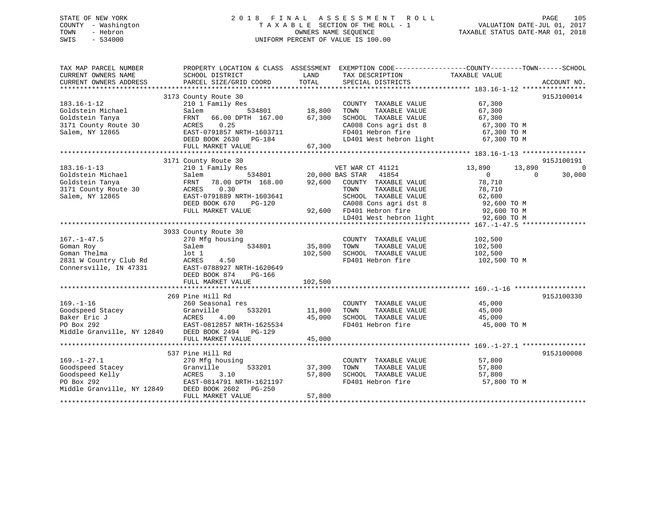## STATE OF NEW YORK 2 0 1 8 F I N A L A S S E S S M E N T R O L L PAGE 105 COUNTY - Washington T A X A B L E SECTION OF THE ROLL - 1 VALUATION DATE-JUL 01, 2017 TOWN - Hebron OWNERS NAME SEQUENCE TAXABLE STATUS DATE-MAR 01, 2018 SWIS - 534000 UNIFORM PERCENT OF VALUE IS 100.00

| TAX MAP PARCEL NUMBER<br>CURRENT OWNERS NAME<br>CURRENT OWNERS ADDRESS                                                  | PROPERTY LOCATION & CLASS ASSESSMENT<br>SCHOOL DISTRICT<br>PARCEL SIZE/GRID COORD                                                                                                                                                                                                                                                           | LAND<br>TOTAL                | EXEMPTION CODE-----------------COUNTY-------TOWN------SCHOOL<br>TAX DESCRIPTION<br>SPECIAL DISTRICTS                                                                                                                                                      | TAXABLE VALUE                                                         | ACCOUNT NO.                                  |
|-------------------------------------------------------------------------------------------------------------------------|---------------------------------------------------------------------------------------------------------------------------------------------------------------------------------------------------------------------------------------------------------------------------------------------------------------------------------------------|------------------------------|-----------------------------------------------------------------------------------------------------------------------------------------------------------------------------------------------------------------------------------------------------------|-----------------------------------------------------------------------|----------------------------------------------|
| 183.16-1-12<br>Goldstein Michael<br>Goldstein Tanya<br>3171 County Route 30<br>Salem, NY 12865                          | 3173 County Route 30<br>210 1 Family Res<br>534801 18,800<br>Salem<br>66.00 DPTH 167.00 67,300<br>FRNT<br>0.25<br>ACRES<br>EAST-0791857 NRTH-1603711<br>DEED BOOK 2630 PG-184<br>FULL MARKET VALUE                                                                                                                                          | 67,300                       | COUNTY TAXABLE VALUE<br>TOWN<br>TAXABLE VALUE<br>SCHOOL TAXABLE VALUE 67,300<br>CA008 Cons agri dst 8 67,300 TO M<br>FD401 Hebron fire<br>LD401 West hebron light                                                                                         | 67,300<br>67,300<br>67,300 TO M<br>67,300 TO M                        | 915J100014                                   |
| $183.16 - 1 - 13$<br>Goldstein Michael<br>Goldstein Tanya<br>Goldstein Tanya<br>3171 County Route 30<br>Salem, NY 12865 | 3171 County Route 30<br>210 1 Family Res<br>Salem<br>FRNT 78.00 DPTH 168.00 92,600 COUNTY TAXABLE VALUE<br>ACRES<br>0.30<br>EAST-0791889 NRTH-1603641<br>DEED BOOK 670<br>PG-120<br>FULL MARKET VALUE                                                                                                                                       |                              | VET WAR CT 41121<br>20,000 BAS STAR 41854<br>TOWN<br>TAXABLE VALUE<br>TOWN TAXABLE VALUE $62,600$<br>SCHOOL TAXABLE VALUE $62,600$ TO M<br>$32,600$ TO M<br>-120 CA008 Cons agri dst 8<br>92,600 FD401 Hebron fire<br>LD401 West hebron light 92,600 TO M | 13,890<br>13,890<br>$\overline{0}$<br>78,710<br>78,710<br>92,600 TO M | 915J100191<br>$\Omega$<br>30,000<br>$\Omega$ |
| $167. - 1 - 47.5$<br>Goman Roy<br>Goman Thelma<br>2831 W Country Club Rd<br>Connersville, IN 47331                      | 3933 County Route 30<br>270 Mfg housing<br>534801<br>Salem<br>lot 1<br>ACRES<br>4.50<br>EAST-0788927 NRTH-1620649<br>DEED BOOK 874<br>PG-166<br>FULL MARKET VALUE                                                                                                                                                                           | 35,800<br>102,500<br>102,500 | COUNTY TAXABLE VALUE<br>TOWN<br>TAXABLE VALUE<br>SCHOOL TAXABLE VALUE<br>FD401 Hebron fire                                                                                                                                                                | 102,500<br>102,500<br>102,500<br>102,500 TO M                         |                                              |
| $169. - 1 - 16$<br>Middle Granville, NY 12849                                                                           | 269 Pine Hill Rd<br>260 Seasonal res<br>Coodspeed Stacey<br>Baker Eric J<br>PO Box 292<br>PO Box 292<br>PO Box 292<br>PO Box 292<br>PO Box 292<br>PO Box 292<br>PO Box 292<br>PO Box 292<br>PO Box 292<br>PO Box 292<br>PO Box 292<br>PO Box 292<br>PO Box 292<br>PO Box 292<br>PO Box 292<br>DEED BOOK 2494    PG-129<br>FULL MARKET VALUE | 11,800<br>45,000<br>45,000   | COUNTY TAXABLE VALUE<br>TOWN<br>TAXABLE VALUE<br>SCHOOL TAXABLE VALUE<br>FD401 Hebron fire 45,000 TO M                                                                                                                                                    | 45,000<br>45,000<br>45,000                                            | 915J100330                                   |
| $169. - 1 - 27.1$<br>Goodspeed Stacey<br>Goodspeed Kelly<br>PO Box 292<br>Middle Granville, NY 12849                    | 537 Pine Hill Rd<br>270 Mfg housing<br>533201<br>Granville<br>ACRES<br>3.10<br>EAST-0814791 NRTH-1621197<br>DEED BOOK 2602 PG-250<br>FULL MARKET VALUE                                                                                                                                                                                      | 37,300<br>57,800<br>57,800   | COUNTY TAXABLE VALUE<br>TAXABLE VALUE<br>TOWN<br>SCHOOL TAXABLE VALUE<br>FD401 Hebron fire                                                                                                                                                                | 57,800<br>57,800<br>57,800<br>57,800<br>57,800 TO M                   | 915J100008                                   |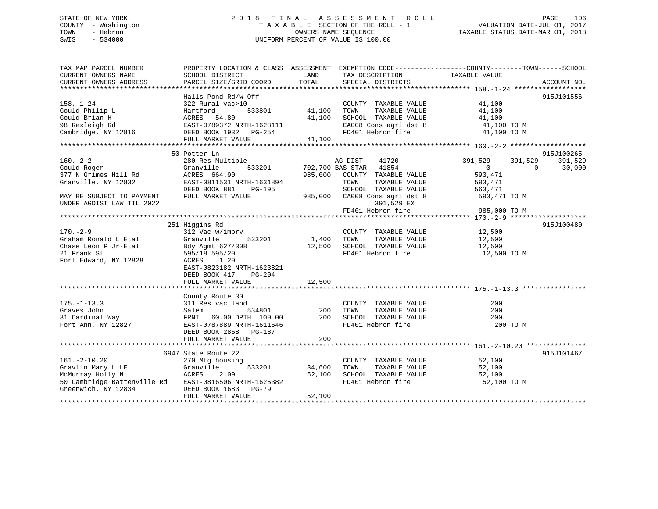## STATE OF NEW YORK 2 0 1 8 F I N A L A S S E S S M E N T R O L L PAGE 106 COUNTY - Washington T A X A B L E SECTION OF THE ROLL - 1 VALUATION DATE-JUL 01, 2017 TOWN - Hebron OWNERS NAME SEQUENCE TAXABLE STATUS DATE-MAR 01, 2018 SWIS - 534000 UNIFORM PERCENT OF VALUE IS 100.00

| TAX MAP PARCEL NUMBER                                                           |                                                                                                                                |            | PROPERTY LOCATION & CLASS ASSESSMENT EXEMPTION CODE---------------COUNTY-------TOWN-----SCHOOL |                                  |             |
|---------------------------------------------------------------------------------|--------------------------------------------------------------------------------------------------------------------------------|------------|------------------------------------------------------------------------------------------------|----------------------------------|-------------|
| CURRENT OWNERS NAME                                                             | SCHOOL DISTRICT                                                                                                                | LAND       | TAX DESCRIPTION                                                                                | TAXABLE VALUE                    |             |
| CURRENT OWNERS ADDRESS                                                          | PARCEL SIZE/GRID COORD                                                                                                         | TOTAL      | SPECIAL DISTRICTS                                                                              |                                  | ACCOUNT NO. |
|                                                                                 | Halls Pond Rd/w Off                                                                                                            |            |                                                                                                |                                  | 915J101556  |
| $158. - 1 - 24$                                                                 | 322 Rural vac>10                                                                                                               |            | COUNTY TAXABLE VALUE 41,100                                                                    |                                  |             |
| Gould Philip L                                                                  |                                                                                                                                |            | TAXABLE VALUE<br>TOWN                                                                          | 41,100                           |             |
| Gould Brian H                                                                   |                                                                                                                                |            |                                                                                                |                                  |             |
| 98 Rexleigh Rd                                                                  |                                                                                                                                |            | SCHOOL TAXABLE VALUE 41,100<br>CA008 Cons agri dst 8 41,100 TO M                               |                                  |             |
|                                                                                 | Cambridge, NY 12816 DEED BOOK 1932 PG-254                                                                                      |            | FD401 Hebron fire 41,100 TO M                                                                  |                                  |             |
|                                                                                 |                                                                                                                                |            |                                                                                                |                                  |             |
|                                                                                 | Hartford<br>ACRES 54.80 41,100<br>EAST-0789372 NRTH-1628111 (<br>DEED BOOK 1932 PG-254 41,100<br>ACRES BOOK 1932 PG-254 41,100 |            |                                                                                                |                                  |             |
|                                                                                 | 50 Potter Ln                                                                                                                   |            |                                                                                                |                                  | 915J100265  |
| $160. - 2 - 2$                                                                  | 280 Res Multiple                                                                                                               |            | AG DIST<br>41720                                                                               | 391,529<br>391,529               | 391,529     |
| Gould Roger                                                                     | Granville                                                                                                                      |            | 533201 702,700 BAS STAR 41854                                                                  | $\overline{0}$<br>$\overline{0}$ | 30,000      |
| 377 N Grimes Hill Rd                                                            | ACRES 664.90                                                                                                                   | 985,000    | COUNTY TAXABLE VALUE                                                                           | 593,471                          |             |
| Granville, NY 12832                                                             | EAST-0811531 NRTH-1631894                                                                                                      |            | TOWN<br>TAXABLE VALUE                                                                          | 593,471                          |             |
|                                                                                 | DEED BOOK 881 PG-195                                                                                                           |            | SCHOOL TAXABLE VALUE                                                                           | 563,471                          |             |
| MAY BE SUBJECT TO PAYMENT                                                       | FULL MARKET VALUE                                                                                                              |            | 985,000 CA008 Cons agri dst 8 593,471 TO M                                                     |                                  |             |
| UNDER AGDIST LAW TIL 2022                                                       |                                                                                                                                |            | 391,529 EX                                                                                     |                                  |             |
|                                                                                 |                                                                                                                                |            | 391,529 EX<br>FD401 Hebron fire                                                                | 985,000 TO M                     |             |
|                                                                                 |                                                                                                                                |            |                                                                                                |                                  |             |
|                                                                                 | 251 Higgins Rd                                                                                                                 |            |                                                                                                |                                  | 915J100480  |
| $170. - 2 - 9$                                                                  | 312 Vac w/imprv                                                                                                                |            |                                                                                                |                                  |             |
| Graham Ronald L Etal                                                            | 533201<br>Granville                                                                                                            | 1,400 TOWN | COUNTY TAXABLE VALUE 12,500<br>TOWN      TAXABLE VALUE 12,500                                  |                                  |             |
| Chase Leon P Jr-Etal                                                            | Bdy Agmt 627/308 12,500 SCHOOL TAXABLE VALUE 12,500                                                                            |            |                                                                                                |                                  |             |
| 21 Frank St                                                                     | 595/18 595/20                                                                                                                  |            | FD401 Hebron fire                                                                              | 12,500 TO M                      |             |
| Fort Edward, NY 12828                                                           | ACRES 1.20                                                                                                                     |            |                                                                                                |                                  |             |
|                                                                                 | EAST-0823182 NRTH-1623821                                                                                                      |            |                                                                                                |                                  |             |
|                                                                                 | DEED BOOK 417<br>PG-204                                                                                                        |            |                                                                                                |                                  |             |
|                                                                                 | FULL MARKET VALUE                                                                                                              | 12,500     |                                                                                                |                                  |             |
|                                                                                 |                                                                                                                                |            |                                                                                                |                                  |             |
|                                                                                 | County Route 30                                                                                                                |            |                                                                                                |                                  |             |
| $175. - 1 - 13.3$                                                               | 311 Res vac land                                                                                                               |            | COUNTY TAXABLE VALUE                                                                           | 200                              |             |
|                                                                                 | Salem                                                                                                                          | 534801 200 | TAXABLE VALUE<br>TOWN<br>TOWN IRANDEL<br>SCHOOL TAXABLE VALUE                                  | 200                              |             |
|                                                                                 | FRNT 60.00 DPTH 100.00 200<br>EAST-0787889 NRTH-1611646                                                                        |            |                                                                                                | 200                              |             |
| Graves John<br>31 Cardinal Way<br>Fort Ann, NY 12827                            |                                                                                                                                |            |                                                                                                | 200 TO M                         |             |
|                                                                                 | DEED BOOK 2868 PG-187                                                                                                          |            |                                                                                                |                                  |             |
|                                                                                 | FULL MARKET VALUE                                                                                                              | 200        |                                                                                                |                                  |             |
|                                                                                 |                                                                                                                                |            |                                                                                                |                                  |             |
|                                                                                 | 6947 State Route 22                                                                                                            |            |                                                                                                |                                  | 915J101467  |
|                                                                                 | 270 Mfg housing                                                                                                                |            | COUNTY TAXABLE VALUE                                                                           | 52,100                           |             |
| 161.-2-10.20 270 Mrg no Gravlin Mary L LE Granville<br>McMurrav Holly N ACRES 2 | 533201                                                                                                                         | 34,600     | TOWN<br>TAXABLE VALUE                                                                          | 52,100                           |             |
|                                                                                 | 2.09                                                                                                                           | 52,100     | SCHOOL TAXABLE VALUE                                                                           | 52,100                           |             |
|                                                                                 | 50 Cambridge Battenville Rd EAST-0816506 NRTH-1625382                                                                          |            | FD401 Hebron fire                                                                              | 52,100 TO M                      |             |
| Greenwich, NY 12834                                                             | DEED BOOK 1683 PG-79                                                                                                           |            |                                                                                                |                                  |             |
|                                                                                 | FULL MARKET VALUE                                                                                                              | 52,100     |                                                                                                |                                  |             |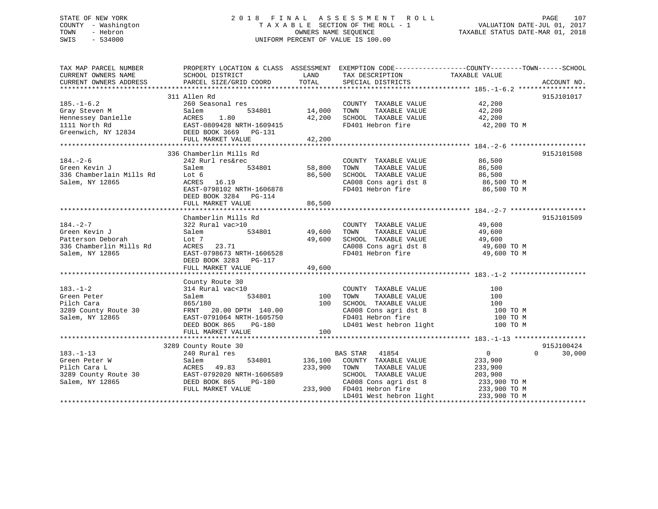## STATE OF NEW YORK 2 0 1 8 F I N A L A S S E S S M E N T R O L L PAGE 107 COUNTY - Washington T A X A B L E SECTION OF THE ROLL - 1 VALUATION DATE-JUL 01, 2017 TOWN - Hebron **CONNERS NAME SEQUENCE** TAXABLE STATUS DATE-MAR 01, 2018 SWIS - 534000 UNIFORM PERCENT OF VALUE IS 100.00

| TAX MAP PARCEL NUMBER    | PROPERTY LOCATION & CLASS ASSESSMENT EXEMPTION CODE---------------COUNTY-------TOWN------SCHOOL                                                                                                                                     |                |                                                                                                                                                                                                            |                            |                    |
|--------------------------|-------------------------------------------------------------------------------------------------------------------------------------------------------------------------------------------------------------------------------------|----------------|------------------------------------------------------------------------------------------------------------------------------------------------------------------------------------------------------------|----------------------------|--------------------|
|                          |                                                                                                                                                                                                                                     |                | TAX DESCRIPTION TAXABLE VALUE                                                                                                                                                                              |                            |                    |
|                          |                                                                                                                                                                                                                                     |                |                                                                                                                                                                                                            |                            |                    |
|                          |                                                                                                                                                                                                                                     |                |                                                                                                                                                                                                            |                            |                    |
|                          | 311 Allen Rd                                                                                                                                                                                                                        |                |                                                                                                                                                                                                            |                            | 915J101017         |
| $185. - 1 - 6.2$         | 260 Seasonal res                                                                                                                                                                                                                    |                | COUNTY TAXABLE VALUE 42,200                                                                                                                                                                                |                            |                    |
|                          |                                                                                                                                                                                                                                     | 534801 14,000  | TOWN<br>TAXABLE VALUE                                                                                                                                                                                      | 42,200                     |                    |
|                          |                                                                                                                                                                                                                                     | 42,200         | SCHOOL TAXABLE VALUE                                                                                                                                                                                       | 42,200                     |                    |
|                          | Gray Steven M<br>Hennessey Danielle<br>1.80<br>1111 North Rd<br>534801<br>1111 North Rd<br>569002 3669<br>56902 BRTH-1609415<br>56902 BRTH-1609415<br>56902 BRTH-1609415<br>56902 BRTH-1609415<br>56902 BRTH-1609415<br>5750 BC-131 |                | FD401 Hebron fire 42,200 TO M                                                                                                                                                                              |                            |                    |
|                          |                                                                                                                                                                                                                                     |                |                                                                                                                                                                                                            |                            |                    |
|                          | FULL MARKET VALUE                                                                                                                                                                                                                   | 42,200         |                                                                                                                                                                                                            |                            |                    |
|                          |                                                                                                                                                                                                                                     |                |                                                                                                                                                                                                            |                            |                    |
|                          | 336 Chamberlin Mills Rd                                                                                                                                                                                                             |                |                                                                                                                                                                                                            |                            | 915J101508         |
| $184. - 2 - 6$           | 242 Rurl res&rec                                                                                                                                                                                                                    |                | COUNTY TAXABLE VALUE                                                                                                                                                                                       |                            |                    |
| Green Kevin J            | Salem                                                                                                                                                                                                                               | 534801 58,800  | TAXABLE VALUE<br>TOWN                                                                                                                                                                                      | 86,500<br>86,500           |                    |
| 336 Chamberlain Mills Rd | Lot 6                                                                                                                                                                                                                               | 86,500         | SCHOOL TAXABLE VALUE                                                                                                                                                                                       | 86,500                     |                    |
| Salem, NY 12865          | ACRES 16.19                                                                                                                                                                                                                         |                |                                                                                                                                                                                                            |                            |                    |
|                          | EAST-0798102 NRTH-1606878                                                                                                                                                                                                           |                | $\begin{array}{llllll} \texttt{CA008} & \texttt{Cons}\ \texttt{agri}\ \texttt{dst}\ 8 & & & 86,500\ \texttt{TOM}\ \texttt{FP401} & \texttt{Hebron}\ \texttt{fire} & & & 86,500\ \texttt{TOM}\ \end{array}$ |                            |                    |
|                          | DEED BOOK 3284 PG-114                                                                                                                                                                                                               |                |                                                                                                                                                                                                            |                            |                    |
|                          | FULL MARKET VALUE                                                                                                                                                                                                                   | 86,500         |                                                                                                                                                                                                            |                            |                    |
|                          |                                                                                                                                                                                                                                     |                |                                                                                                                                                                                                            |                            |                    |
|                          | Chamberlin Mills Rd                                                                                                                                                                                                                 |                |                                                                                                                                                                                                            |                            | 915J101509         |
| $184. - 2 - 7$           | 322 Rural vac>10                                                                                                                                                                                                                    |                |                                                                                                                                                                                                            |                            |                    |
|                          |                                                                                                                                                                                                                                     |                | COUNTY TAXABLE VALUE                                                                                                                                                                                       | 49,600                     |                    |
| Green Kevin J            | Salem                                                                                                                                                                                                                               | 534801 49,600  | TAXABLE VALUE<br>TOWN                                                                                                                                                                                      | 49,600                     |                    |
| Patterson Deborah        | Lot 7                                                                                                                                                                                                                               | 49,600         | SCHOOL TAXABLE VALUE                                                                                                                                                                                       | 49,600                     |                    |
| 336 Chamberlin Mills Rd  | ACRES 23.71<br>$RAST-0798673$ NRTH-1606528                                                                                                                                                                                          |                | CA008 Cons agri dst 8                                                                                                                                                                                      | 49,600 TO M<br>49,600 TO M |                    |
| Salem, NY 12865          |                                                                                                                                                                                                                                     |                | FD401 Hebron fire                                                                                                                                                                                          |                            |                    |
|                          | DEED BOOK 3283 PG-117                                                                                                                                                                                                               |                |                                                                                                                                                                                                            |                            |                    |
|                          |                                                                                                                                                                                                                                     |                |                                                                                                                                                                                                            |                            |                    |
|                          |                                                                                                                                                                                                                                     |                |                                                                                                                                                                                                            |                            |                    |
|                          | County Route 30                                                                                                                                                                                                                     |                |                                                                                                                                                                                                            |                            |                    |
| $183. - 1 - 2$           | 314 Rural vac<10                                                                                                                                                                                                                    |                | COUNTY TAXABLE VALUE                                                                                                                                                                                       | 100                        |                    |
| Green Peter              | 534801<br>Salem                                                                                                                                                                                                                     | 100            | TOWN<br>TAXABLE VALUE                                                                                                                                                                                      | 100                        |                    |
| Pilch Cara               | 865/180                                                                                                                                                                                                                             | 100            | SCHOOL TAXABLE VALUE                                                                                                                                                                                       | 100                        |                    |
| 3289 County Route 30     | FRNT 20.00 DPTH 140.00<br>EAST-0791064 NRTH-1605750                                                                                                                                                                                 |                | CA008 Cons agri dst 8 100 TO M                                                                                                                                                                             |                            |                    |
| Salem, NY 12865          | EAST-0791064 NRTH-1605750<br>DEED BOOK 865 PG-180                                                                                                                                                                                   |                | FD401 Hebron fire                                                                                                                                                                                          | 100 TO M                   |                    |
|                          |                                                                                                                                                                                                                                     |                | LD401 West hebron light                                                                                                                                                                                    | 100 TO M                   |                    |
|                          | FULL MARKET VALUE                                                                                                                                                                                                                   | 100            |                                                                                                                                                                                                            |                            |                    |
|                          |                                                                                                                                                                                                                                     |                |                                                                                                                                                                                                            |                            |                    |
|                          | 3289 County Route 30                                                                                                                                                                                                                |                |                                                                                                                                                                                                            |                            | 915J100424         |
| $183. - 1 - 13$          | 240 Rural res                                                                                                                                                                                                                       |                | BAS STAR 41854                                                                                                                                                                                             | $\overline{0}$             | $\Omega$<br>30,000 |
| Green Peter W            | Salem                                                                                                                                                                                                                               | 534801 136,100 | COUNTY TAXABLE VALUE                                                                                                                                                                                       | 233,900                    |                    |
| Pilch Cara L             | ACRES 49.83                                                                                                                                                                                                                         | 233,900        | TOWN<br>TAXABLE VALUE                                                                                                                                                                                      | 233,900                    |                    |
|                          | 3289 County Route 30 EAST-0792020 NRTH-1606589                                                                                                                                                                                      |                | SCHOOL TAXABLE VALUE                                                                                                                                                                                       | 203,900                    |                    |
| Salem, NY 12865          | DEED BOOK 865<br>PG-180                                                                                                                                                                                                             |                | CA008 Cons agri dst 8 233,900 TO M                                                                                                                                                                         |                            |                    |
|                          | FULL MARKET VALUE                                                                                                                                                                                                                   | 233,900        | FD401 Hebron fire                                                                                                                                                                                          | 233,900 TO M               |                    |
|                          |                                                                                                                                                                                                                                     |                | LD401 West hebron light                                                                                                                                                                                    | 233,900 TO M               |                    |
|                          |                                                                                                                                                                                                                                     |                |                                                                                                                                                                                                            |                            |                    |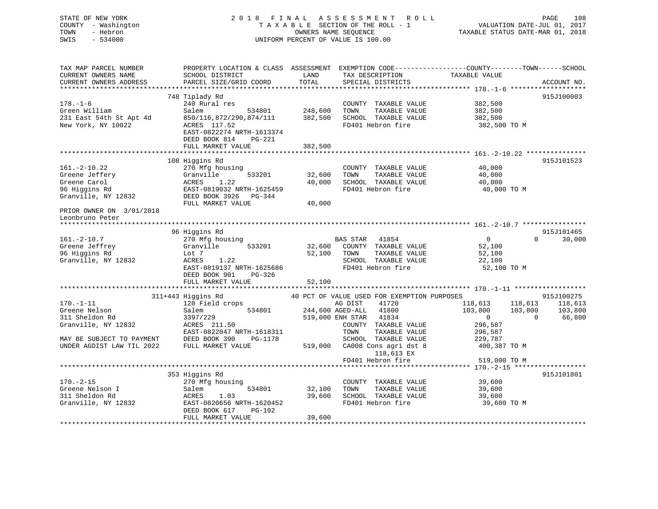STATE OF NEW YORK 2 0 1 8 F I N A L A S S E S S M E N T R O L L PAGE 108 COUNTY - Washington T A X A B L E SECTION OF THE ROLL - 1 VALUATION DATE-JUL 01, 2017 TOWN - Hebron OWNERS NAME SEQUENCE TAXABLE STATUS DATE-MAR 01, 2018 SWIS - 534000 UNIFORM PERCENT OF VALUE IS 100.00

TAX MAP PARCEL NUMBER PROPERTY LOCATION & CLASS ASSESSMENT EXEMPTION CODE------------------COUNTY--------TOWN------SCHOOL CURRENT OWNERS NAME SCHOOL DISTRICT THE LAND TAX DESCRIPTION TAXABLE VALUE CURRENT OWNERS ADDRESS PARCEL SIZE/GRID COORD TOTAL SPECIAL DISTRICTS ACCOUNT NO. \*\*\*\*\*\*\*\*\*\*\*\*\*\*\*\*\*\*\*\*\*\*\*\*\*\*\*\*\*\*\*\*\*\*\*\*\*\*\*\*\*\*\*\*\*\*\*\*\*\*\*\*\*\*\*\*\*\*\*\*\*\*\*\*\*\*\*\*\*\*\*\*\*\*\*\*\*\*\*\*\*\*\*\*\*\*\*\*\*\*\*\*\*\*\*\*\*\*\*\*\*\*\* 178.-1-6 \*\*\*\*\*\*\*\*\*\*\*\*\*\*\*\*\*\*\* 748 Tiplady Rd 915J100003 178.-1-6 240 Rural res COUNTY TAXABLE VALUE 382,500 Green William Salem 534801 248,600 TOWN TAXABLE VALUE 382,500 231 East 54th St Apt 4d 850/116,872/290,874/111 382,500 SCHOOL TAXABLE VALUE 382,500 New York, NY 10022 ACRES 117.52 FD401 Hebron fire 382,500 TO M EAST-0822274 NRTH-1613374 DEED BOOK 814 PG-221FULL MARKET VALUE 382,500 \*\*\*\*\*\*\*\*\*\*\*\*\*\*\*\*\*\*\*\*\*\*\*\*\*\*\*\*\*\*\*\*\*\*\*\*\*\*\*\*\*\*\*\*\*\*\*\*\*\*\*\*\*\*\*\*\*\*\*\*\*\*\*\*\*\*\*\*\*\*\*\*\*\*\*\*\*\*\*\*\*\*\*\*\*\*\*\*\*\*\*\*\*\*\*\*\*\*\*\*\*\*\* 161.-2-10.22 \*\*\*\*\*\*\*\*\*\*\*\*\*\*\* 108 Higgins Rd 915J101523 161.-2-10.22 270 Mfg housing COUNTY TAXABLE VALUE 40,000 Greene Jeffery Granville 533201 32,600 TOWN TAXABLE VALUE 40,000 Greene Carol ACRES 1.22 40,000 SCHOOL TAXABLE VALUE 40,000 96 Higgins Rd EAST-0819032 NRTH-1625459 FD401 Hebron fire 40,000 TO M Granville, NY 12832 DEED BOOK 3926 PG-344 FULL MARKET VALUE 40,000 PRIOR OWNER ON 3/01/2018 Leonbruno Peter \*\*\*\*\*\*\*\*\*\*\*\*\*\*\*\*\*\*\*\*\*\*\*\*\*\*\*\*\*\*\*\*\*\*\*\*\*\*\*\*\*\*\*\*\*\*\*\*\*\*\*\*\*\*\*\*\*\*\*\*\*\*\*\*\*\*\*\*\*\*\*\*\*\*\*\*\*\*\*\*\*\*\*\*\*\*\*\*\*\*\*\*\*\*\*\*\*\*\*\*\*\*\* 161.-2-10.7 \*\*\*\*\*\*\*\*\*\*\*\*\*\*\*\* 96 Higgins Rd 915J101465 161.-2-10.7 270 Mfg housing BAS STAR 41854 0 0 30,000 Greene Jeffrey Granville 533201 32,600 COUNTY TAXABLE VALUE 52,100 96 Higgins Rd Lot 7 52,100 TOWN TAXABLE VALUE 52,100 Granville, NY 12832 ACRES 1.22 SCHOOL TAXABLE VALUE 22,100 EAST-0819137 NRTH-1625686 FD401 Hebron fire 52,100 TO M DEED BOOK 901 PG-326FULL MARKET VALUE 52,100 \*\*\*\*\*\*\*\*\*\*\*\*\*\*\*\*\*\*\*\*\*\*\*\*\*\*\*\*\*\*\*\*\*\*\*\*\*\*\*\*\*\*\*\*\*\*\*\*\*\*\*\*\*\*\*\*\*\*\*\*\*\*\*\*\*\*\*\*\*\*\*\*\*\*\*\*\*\*\*\*\*\*\*\*\*\*\*\*\*\*\*\*\*\*\*\*\*\*\*\*\*\*\* 170.-1-11 \*\*\*\*\*\*\*\*\*\*\*\*\*\*\*\*\*\* 311+443 Higgins Rd 40 PCT OF VALUE USED FOR EXEMPTION PURPOSES 915J100275 170.-1-11 120 Field crops AG DIST 41720 118,613 118,613 118,613 Greene Nelson Salem 534801 244,600 AGED-ALL 41800 103,800 103,800 103,800 311 Sheldon Rd 3397/229 519,000 ENH STAR 41834 519,000 ENH STAR 41834 0 0 66,800<br>Granville, NY 12832 ACRES 211.50 COUNTY TAXABLE VALUE 296 587 Granville, NY 12832 ACRES 211.50 COUNTY TAXABLE VALUE 296.587 EAST-0822047 NRTH-1618311 TOWN TAXABLE VALUE 296,587 MAY BE SUBJECT TO PAYMENT DEED BOOK 390 PG-1178 SCHOOL TAXABLE VALUE 229,787 UNDER AGDIST LAW TIL 2022 FULL MARKET VALUE 519,000 CA008 Cons agri dst 8 400,387 TO M 118,613 EX FD401 Hebron fire 519,000 TO M \*\*\*\*\*\*\*\*\*\*\*\*\*\*\*\*\*\*\*\*\*\*\*\*\*\*\*\*\*\*\*\*\*\*\*\*\*\*\*\*\*\*\*\*\*\*\*\*\*\*\*\*\*\*\*\*\*\*\*\*\*\*\*\*\*\*\*\*\*\*\*\*\*\*\*\*\*\*\*\*\*\*\*\*\*\*\*\*\*\*\*\*\*\*\*\*\*\*\*\*\*\*\* 170.-2-15 \*\*\*\*\*\*\*\*\*\*\*\*\*\*\*\*\*\*353 Higgins Rd 915J101801 (270 Mfg housing 1980) (270 Mfg housing 1980) (270 Mfg housing 1980) (270 Mfg housing 1980) 170.-2-15 270 Mfg housing COUNTY TAXABLE VALUE 39,600 Greene Nelson I Salem 534801 32,100 TOWN TAXABLE VALUE 39,600 311 Sheldon Rd ACRES 1.03 39,600 SCHOOL TAXABLE VALUE 39,600 Granville, NY 12832 **EAST-0820656 NRTH-1620452** FD401 Hebron fire 39,600 TO M DEED BOOK 617 PG-102FULL MARKET VALUE 39,600 \*\*\*\*\*\*\*\*\*\*\*\*\*\*\*\*\*\*\*\*\*\*\*\*\*\*\*\*\*\*\*\*\*\*\*\*\*\*\*\*\*\*\*\*\*\*\*\*\*\*\*\*\*\*\*\*\*\*\*\*\*\*\*\*\*\*\*\*\*\*\*\*\*\*\*\*\*\*\*\*\*\*\*\*\*\*\*\*\*\*\*\*\*\*\*\*\*\*\*\*\*\*\*\*\*\*\*\*\*\*\*\*\*\*\*\*\*\*\*\*\*\*\*\*\*\*\*\*\*\*\*\*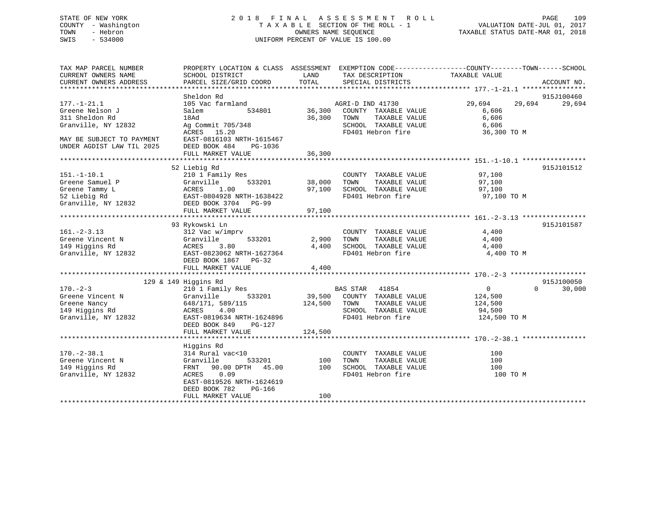## STATE OF NEW YORK 2 0 1 8 F I N A L A S S E S S M E N T R O L L PAGE 109 COUNTY - Washington T A X A B L E SECTION OF THE ROLL - 1 VALUATION DATE-JUL 01, 2017 TOWN - Hebron OWNERS NAME SEQUENCE TAXABLE STATUS DATE-MAR 01, 2018 SWIS - 534000 UNIFORM PERCENT OF VALUE IS 100.00

| TAX MAP PARCEL NUMBER     | PROPERTY LOCATION & CLASS ASSESSMENT EXEMPTION CODE---------------COUNTY-------TOWN-----SCHOOL |              |                             |                  |                    |
|---------------------------|------------------------------------------------------------------------------------------------|--------------|-----------------------------|------------------|--------------------|
| CURRENT OWNERS NAME       | SCHOOL DISTRICT                                                                                | LAND         | TAX DESCRIPTION             | TAXABLE VALUE    |                    |
| CURRENT OWNERS ADDRESS    | PARCEL SIZE/GRID COORD                                                                         | TOTAL        | SPECIAL DISTRICTS           |                  | ACCOUNT NO.        |
| ************************* |                                                                                                |              |                             |                  |                    |
|                           | Sheldon Rd                                                                                     |              |                             |                  | 915J100460         |
| $177. - 1 - 21.1$         | 105 Vac farmland                                                                               |              | AGRI-D IND 41730            | 29,694<br>29,694 | 29,694             |
| Greene Nelson J           | 534801<br>Salem                                                                                | 36,300       | COUNTY TAXABLE VALUE        | 6,606            |                    |
| 311 Sheldon Rd            | 18Ad                                                                                           | 36,300       | TAXABLE VALUE<br>TOWN       | 6,606            |                    |
| Granville, NY 12832       | Ag Commit 705/348                                                                              |              | SCHOOL TAXABLE VALUE        | 6,606            |                    |
|                           | ACRES<br>15.20                                                                                 |              | FD401 Hebron fire           | 36,300 TO M      |                    |
|                           |                                                                                                |              |                             |                  |                    |
| MAY BE SUBJECT TO PAYMENT | EAST-0816103 NRTH-1615467                                                                      |              |                             |                  |                    |
| UNDER AGDIST LAW TIL 2025 | DEED BOOK 484<br>PG-1036                                                                       |              |                             |                  |                    |
|                           | FULL MARKET VALUE                                                                              | 36,300       |                             |                  |                    |
|                           |                                                                                                |              |                             |                  |                    |
|                           | 52 Liebig Rd                                                                                   |              |                             |                  | 915J101512         |
| $151.-1-10.1$             | 210 1 Family Res                                                                               |              | COUNTY TAXABLE VALUE        | 97,100           |                    |
| Greene Samuel P           | Granville<br>533201                                                                            | 38,000       | TAXABLE VALUE<br>TOWN       | 97,100           |                    |
| Greene Tammy L            | ACRES<br>1.00                                                                                  | 97,100       | SCHOOL TAXABLE VALUE        | 97,100           |                    |
| 52 Liebig Rd              | EAST-0804928 NRTH-1638422                                                                      |              | FD401 Hebron fire           | 97,100 TO M      |                    |
| Granville, NY 12832       | DEED BOOK 3704 PG-99                                                                           |              |                             |                  |                    |
|                           | FULL MARKET VALUE                                                                              | 97,100       |                             |                  |                    |
|                           |                                                                                                |              |                             |                  |                    |
|                           |                                                                                                |              |                             |                  |                    |
|                           | 93 Rykowski Ln                                                                                 |              |                             |                  | 915J101587         |
| $161. - 2 - 3.13$         | 312 Vac w/imprv                                                                                |              | COUNTY TAXABLE VALUE        | 4,400            |                    |
| Greene Vincent N          | 533201<br>Granville                                                                            | 2,900        | TOWN<br>TAXABLE VALUE       | 4,400            |                    |
| 149 Higgins Rd            | 3.80<br>ACRES                                                                                  | 4,400        | SCHOOL TAXABLE VALUE        | 4,400            |                    |
| Granville, NY 12832       | EAST-0823062 NRTH-1627364                                                                      |              | FD401 Hebron fire           | 4,400 TO M       |                    |
|                           | DEED BOOK 1867 PG-32                                                                           |              |                             |                  |                    |
|                           | FULL MARKET VALUE                                                                              | 4,400        |                             |                  |                    |
|                           |                                                                                                |              |                             |                  |                    |
|                           | 129 & 149 Higgins Rd                                                                           |              |                             |                  | 915J100050         |
| $170 - 2 - 3$             | 210 1 Family Res                                                                               |              | <b>BAS STAR</b> 41854       | $\overline{0}$   | 30,000<br>$\Omega$ |
| Greene Vincent N          | 533201<br>Granville                                                                            |              | 39,500 COUNTY TAXABLE VALUE | 124,500          |                    |
| Greene Nancy              |                                                                                                | 124,500 TOWN | TAXABLE VALUE               |                  |                    |
|                           | 648/171, 589/115                                                                               |              |                             | 124,500          |                    |
| 149 Higgins Rd            | 4.00<br>ACRES                                                                                  |              | SCHOOL TAXABLE VALUE        | 94,500           |                    |
| Granville, NY 12832       | EAST-0819634 NRTH-1624896                                                                      |              | FD401 Hebron fire           | 124,500 TO M     |                    |
|                           | DEED BOOK 849<br>PG-127                                                                        |              |                             |                  |                    |
|                           | FULL MARKET VALUE                                                                              | 124,500      |                             |                  |                    |
|                           |                                                                                                |              |                             |                  |                    |
|                           | Higgins Rd                                                                                     |              |                             |                  |                    |
| $170. - 2 - 38.1$         | 314 Rural vac<10                                                                               |              | COUNTY TAXABLE VALUE        | 100              |                    |
| Greene Vincent N          | 533201<br>Granville                                                                            | 100          | TAXABLE VALUE<br>TOWN       | 100              |                    |
| 149 Higgins Rd            | FRNT 90.00 DPTH 45.00                                                                          | 100          | SCHOOL TAXABLE VALUE        | 100              |                    |
| Granville, NY 12832       | 0.09<br>ACRES                                                                                  |              | FD401 Hebron fire           | 100 TO M         |                    |
|                           |                                                                                                |              |                             |                  |                    |
|                           | EAST-0819526 NRTH-1624619                                                                      |              |                             |                  |                    |
|                           | DEED BOOK 782<br>PG-166                                                                        |              |                             |                  |                    |
|                           | FULL MARKET VALUE                                                                              | 100          |                             |                  |                    |
|                           |                                                                                                |              |                             |                  |                    |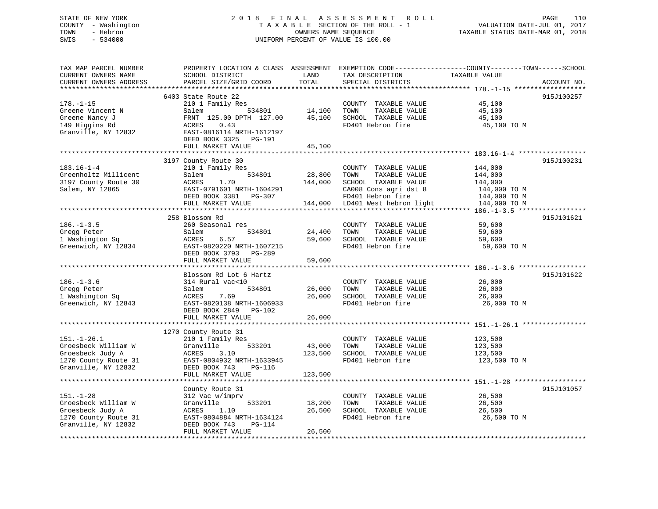## STATE OF NEW YORK 2 0 1 8 F I N A L A S S E S S M E N T R O L L PAGE 110 COUNTY - Washington T A X A B L E SECTION OF THE ROLL - 1 VALUATION DATE-JUL 01, 2017 TOWN - Hebron OWNERS NAME SEQUENCE TAXABLE STATUS DATE-MAR 01, 2018 SWIS - 534000 UNIFORM PERCENT OF VALUE IS 100.00

| TAX MAP PARCEL NUMBER<br>CURRENT OWNERS NAME<br>CURRENT OWNERS ADDRESS | SCHOOL DISTRICT<br>PARCEL SIZE/GRID COORD  | LAND<br>TOTAL    | TAX DESCRIPTION<br>SPECIAL DISTRICTS          | PROPERTY LOCATION & CLASS ASSESSMENT EXEMPTION CODE----------------COUNTY-------TOWN------SCHOOL<br>TAXABLE VALUE<br>ACCOUNT NO. |
|------------------------------------------------------------------------|--------------------------------------------|------------------|-----------------------------------------------|----------------------------------------------------------------------------------------------------------------------------------|
| *************************                                              |                                            |                  |                                               |                                                                                                                                  |
|                                                                        | 6403 State Route 22                        |                  |                                               | 915J100257                                                                                                                       |
| $178. - 1 - 15$                                                        | 210 1 Family Res                           |                  | COUNTY TAXABLE VALUE                          | 45,100                                                                                                                           |
| Greene Vincent N<br>Greene Nancy J                                     | Salem<br>534801<br>FRNT 125.00 DPTH 127.00 | 14,100<br>45,100 | TOWN<br>TAXABLE VALUE<br>SCHOOL TAXABLE VALUE | 45,100<br>45,100                                                                                                                 |
| 149 Higgins Rd                                                         | 0.43<br>ACRES                              |                  | FD401 Hebron fire                             | 45,100 TO M                                                                                                                      |
| Granville, NY 12832                                                    | EAST-0816114 NRTH-1612197                  |                  |                                               |                                                                                                                                  |
|                                                                        | DEED BOOK 3325<br>PG-191                   |                  |                                               |                                                                                                                                  |
|                                                                        | FULL MARKET VALUE                          | 45,100           |                                               |                                                                                                                                  |
|                                                                        |                                            | ************     |                                               |                                                                                                                                  |
|                                                                        | 3197 County Route 30                       |                  |                                               | 915J100231                                                                                                                       |
| $183.16 - 1 - 4$                                                       | 210 1 Family Res                           |                  | COUNTY TAXABLE VALUE                          | 144,000                                                                                                                          |
| Greenholtz Millicent                                                   | Salem<br>534801                            | 28,800           | TOWN<br>TAXABLE VALUE                         | 144,000                                                                                                                          |
| 3197 County Route 30                                                   | 1.70<br>ACRES                              | 144,000          | SCHOOL TAXABLE VALUE                          | 144,000                                                                                                                          |
| Salem, NY 12865                                                        | EAST-0791601 NRTH-1604291                  |                  | CA008 Cons agri dst 8                         | 144,000 TO M                                                                                                                     |
|                                                                        | DEED BOOK 3381<br>PG-307                   |                  | FD401 Hebron fire                             | 144,000 TO M                                                                                                                     |
|                                                                        | FULL MARKET VALUE                          | 144,000          | LD401 West hebron light                       | 144,000 TO M                                                                                                                     |
|                                                                        | 258 Blossom Rd                             |                  |                                               | $186, -1-3.5$ ******************                                                                                                 |
| $186. - 1 - 3.5$                                                       | 260 Seasonal res                           |                  | COUNTY TAXABLE VALUE                          | 915J101621<br>59,600                                                                                                             |
| Gregg Peter                                                            | Salem<br>534801                            | 24,400           | TOWN<br>TAXABLE VALUE                         | 59,600                                                                                                                           |
| 1 Washington Sq                                                        | ACRES<br>6.57                              | 59,600           | SCHOOL TAXABLE VALUE                          | 59,600                                                                                                                           |
| Greenwich, NY 12834                                                    | EAST-0820220 NRTH-1607215                  |                  | FD401 Hebron fire                             | 59,600 TO M                                                                                                                      |
|                                                                        | DEED BOOK 3793 PG-289                      |                  |                                               |                                                                                                                                  |
|                                                                        | FULL MARKET VALUE                          | 59,600           |                                               |                                                                                                                                  |
|                                                                        |                                            |                  |                                               |                                                                                                                                  |
|                                                                        | Blossom Rd Lot 6 Hartz                     |                  |                                               | 915J101622                                                                                                                       |
| $186. - 1 - 3.6$                                                       | 314 Rural vac<10                           |                  | COUNTY TAXABLE VALUE                          | 26,000                                                                                                                           |
| Gregg Peter                                                            | 534801<br>Salem                            | 26,000           | TOWN<br>TAXABLE VALUE                         | 26,000                                                                                                                           |
| 1 Washington Sq                                                        | 7.69<br>ACRES                              | 26,000           | SCHOOL TAXABLE VALUE                          | 26,000                                                                                                                           |
| Greenwich, NY 12843                                                    | EAST-0820138 NRTH-1606933                  |                  | FD401 Hebron fire                             | 26,000 TO M                                                                                                                      |
|                                                                        | DEED BOOK 2849<br>PG-102                   |                  |                                               |                                                                                                                                  |
|                                                                        | FULL MARKET VALUE                          | 26,000           |                                               |                                                                                                                                  |
|                                                                        |                                            |                  |                                               |                                                                                                                                  |
| $151. - 1 - 26.1$                                                      | 1270 County Route 31<br>210 1 Family Res   |                  | COUNTY TAXABLE VALUE                          | 123,500                                                                                                                          |
| Groesbeck William W                                                    | Granville<br>533201                        | 43,000           | TOWN<br>TAXABLE VALUE                         | 123,500                                                                                                                          |
| Groesbeck Judy A                                                       | 3.10<br>ACRES                              | 123,500          | SCHOOL TAXABLE VALUE                          | 123,500                                                                                                                          |
| 1270 County Route 31                                                   | EAST-0804932 NRTH-1633945                  |                  | FD401 Hebron fire                             | 123,500 TO M                                                                                                                     |
| Granville, NY 12832                                                    | DEED BOOK 743<br>PG-116                    |                  |                                               |                                                                                                                                  |
|                                                                        | FULL MARKET VALUE                          | 123,500          |                                               |                                                                                                                                  |
|                                                                        | <b>+++++++++++++++++++</b>                 | ************     |                                               |                                                                                                                                  |
|                                                                        | County Route 31                            |                  |                                               | 915J101057                                                                                                                       |
| $151. - 1 - 28$                                                        | 312 Vac w/imprv                            |                  | COUNTY TAXABLE VALUE                          | 26,500                                                                                                                           |
| Groesbeck William W                                                    | Granville<br>533201                        | 18,200           | TOWN<br>TAXABLE VALUE                         | 26,500                                                                                                                           |
| Groesbeck Judy A                                                       | ACRES<br>1.10                              | 26,500           | SCHOOL TAXABLE VALUE                          | 26,500                                                                                                                           |
| 1270 County Route 31                                                   | EAST-0804884 NRTH-1634124                  |                  | FD401 Hebron fire                             | 26,500 TO M                                                                                                                      |
| Granville, NY 12832                                                    | DEED BOOK 743<br>PG-114                    |                  |                                               |                                                                                                                                  |
|                                                                        | FULL MARKET VALUE                          | 26,500           |                                               |                                                                                                                                  |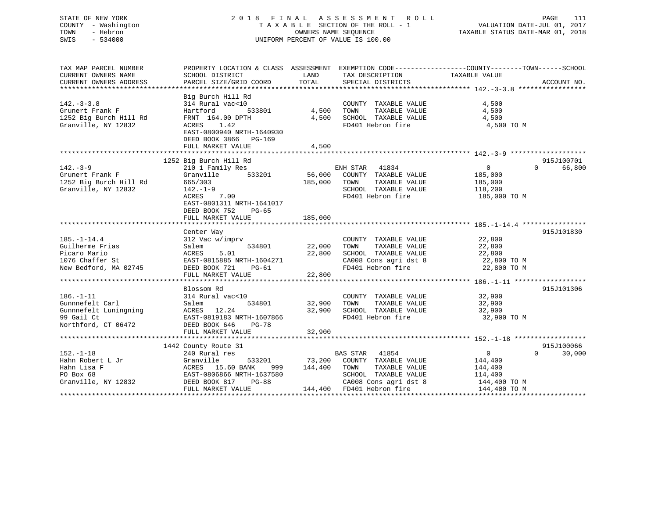## STATE OF NEW YORK 2 0 1 8 F I N A L A S S E S S M E N T R O L L PAGE 111 COUNTY - Washington T A X A B L E SECTION OF THE ROLL - 1 VALUATION DATE-JUL 01, 2017 TOWN - Hebron OWNERS NAME SEQUENCE TAXABLE STATUS DATE-MAR 01, 2018 SWIS - 534000 UNIFORM PERCENT OF VALUE IS 100.00

| TAX MAP PARCEL NUMBER             | PROPERTY LOCATION & CLASS ASSESSMENT EXEMPTION CODE---------------COUNTY-------TOWN-----SCHOOL |                  |                                    |                   |                    |
|-----------------------------------|------------------------------------------------------------------------------------------------|------------------|------------------------------------|-------------------|--------------------|
| CURRENT OWNERS NAME               | SCHOOL DISTRICT                                                                                | LAND             | TAX DESCRIPTION                    | TAXABLE VALUE     |                    |
| CURRENT OWNERS ADDRESS            | PARCEL SIZE/GRID COORD                                                                         | TOTAL            | SPECIAL DISTRICTS                  |                   | ACCOUNT NO.        |
|                                   |                                                                                                |                  |                                    |                   |                    |
|                                   | Big Burch Hill Rd                                                                              |                  |                                    |                   |                    |
| $142. - 3 - 3.8$                  | 314 Rural vac<10                                                                               |                  | COUNTY TAXABLE VALUE               | 4,500             |                    |
| Grunert Frank F                   | 533801<br>Hartford                                                                             | 4,500            | TAXABLE VALUE<br>TOWN              | 4,500             |                    |
| 1252 Big Burch Hill Rd            | FRNT 164.00 DPTH                                                                               | 4,500            | SCHOOL TAXABLE VALUE               | 4,500             |                    |
| Granville, NY 12832               | ACRES 1.42                                                                                     |                  | FD401 Hebron fire                  | 4,500 TO M        |                    |
|                                   | EAST-0800940 NRTH-1640930                                                                      |                  |                                    |                   |                    |
|                                   | DEED BOOK 3866 PG-169                                                                          |                  |                                    |                   |                    |
|                                   | FULL MARKET VALUE                                                                              | 4,500            |                                    |                   |                    |
|                                   |                                                                                                |                  |                                    |                   |                    |
|                                   | 1252 Big Burch Hill Rd                                                                         |                  |                                    |                   | 915J100701         |
| $142. - 3 - 9$                    | 210 1 Family Res                                                                               |                  | ENH STAR<br>41834                  | $\overline{0}$    | 66,800<br>$\Omega$ |
| Grunert Frank F                   | 533201<br>Granville                                                                            |                  | 56,000 COUNTY TAXABLE VALUE        | 185,000           |                    |
| 1252 Big Burch Hill Rd            | 665/303                                                                                        | 185,000          | TAXABLE VALUE<br>TOWN              | 185,000           |                    |
| Granville, NY 12832               | 142.-1-9                                                                                       |                  | SCHOOL TAXABLE VALUE               | 118,200           |                    |
|                                   | ACRES<br>7.00                                                                                  |                  | FD401 Hebron fire                  | 185,000 TO M      |                    |
|                                   | EAST-0801311 NRTH-1641017                                                                      |                  |                                    |                   |                    |
|                                   | DEED BOOK 752<br>PG-65                                                                         |                  |                                    |                   |                    |
|                                   | FULL MARKET VALUE                                                                              | 185,000          |                                    |                   |                    |
|                                   |                                                                                                |                  |                                    |                   |                    |
|                                   | Center Way                                                                                     |                  |                                    |                   | 915J101830         |
| $185. - 1 - 14.4$                 | 312 Vac w/imprv                                                                                |                  | COUNTY TAXABLE VALUE               | 22,800            |                    |
| Guilherme Frias                   | Salem<br>534801                                                                                | 22,000           | TAXABLE VALUE<br>TOWN              | 22,800            |                    |
| Picaro Mario                      | 5.01<br>ACRES                                                                                  | 22,800           | SCHOOL TAXABLE VALUE               | 22,800            |                    |
| 1076 Chaffer St                   | EAST-0815885 NRTH-1604271                                                                      |                  | CA008 Cons agri dst 8 22,800 TO M  |                   |                    |
| New Bedford, MA 02745             | DEED BOOK 721<br>$PG-61$                                                                       |                  | FD401 Hebron fire                  | 22,800 TO M       |                    |
|                                   | FULL MARKET VALUE                                                                              | 22,800           |                                    |                   |                    |
|                                   |                                                                                                |                  |                                    |                   |                    |
|                                   | Blossom Rd                                                                                     |                  |                                    |                   | 915J101306         |
| $186. - 1 - 11$                   | 314 Rural vac<10                                                                               |                  | COUNTY TAXABLE VALUE               | 32,900            |                    |
| Gunnnefelt Carl                   | 534801<br>Salem                                                                                |                  | 32,900 TOWN<br>TAXABLE VALUE       | 32,900            |                    |
| Gunnnefelt Luningning MCRES 12.24 |                                                                                                | 32,900           | SCHOOL TAXABLE VALUE 32,900        |                   |                    |
| 99 Gail Ct                        | EAST-0819183 NRTH-1607866                                                                      |                  | FD401 Hebron fire                  | 32,900 TO M       |                    |
| Northford, CT 06472               | DEED BOOK 646<br>$PG-78$                                                                       |                  |                                    |                   |                    |
|                                   | FULL MARKET VALUE                                                                              | 32,900           |                                    |                   |                    |
|                                   |                                                                                                |                  |                                    |                   |                    |
|                                   | 1442 County Route 31                                                                           |                  |                                    |                   | 915J100066         |
| $152. - 1 - 18$                   | 240 Rural res                                                                                  |                  | BAS STAR 41854                     | $0 \qquad \qquad$ | $\Omega$<br>30,000 |
| Hahn Robert L Jr                  | Granville                                                                                      |                  | 533201 73,200 COUNTY TAXABLE VALUE | 144,400           |                    |
| Hahn Lisa F                       | ACRES 15.60 BANK                                                                               | 999 144,400 TOWN | TAXABLE VALUE                      | 144,400           |                    |
| PO Box 68                         | EAST-0806866 NRTH-1637580                                                                      |                  | SCHOOL TAXABLE VALUE               | 114,400           |                    |
| Granville, NY 12832               | DEED BOOK 817<br>$PG-88$                                                                       |                  | CA008 Cons agri dst 8 144,400 TO M |                   |                    |
|                                   | FULL MARKET VALUE                                                                              |                  | 144,400 FD401 Hebron fire          | 144,400 TO M      |                    |
|                                   |                                                                                                |                  |                                    |                   |                    |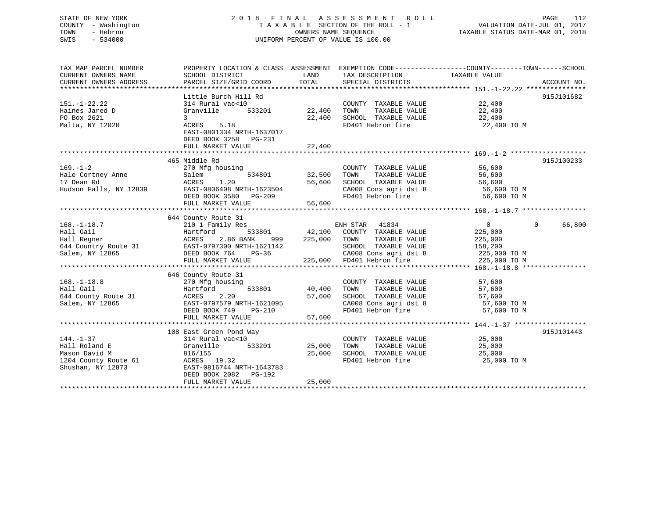## STATE OF NEW YORK 2 0 1 8 F I N A L A S S E S S M E N T R O L L PAGE 112 COUNTY - Washington T A X A B L E SECTION OF THE ROLL - 1 VALUATION DATE-JUL 01, 2017 TOWN - Hebron OWNERS NAME SEQUENCE TAXABLE STATUS DATE-MAR 01, 2018 SWIS - 534000 UNIFORM PERCENT OF VALUE IS 100.00

| TAX MAP PARCEL NUMBER                                                                                                                                                                                                          |                           |                     |                                                                                                                                                                 | PROPERTY LOCATION & CLASS ASSESSMENT EXEMPTION CODE---------------COUNTY-------TOWN-----SCHOOL |             |
|--------------------------------------------------------------------------------------------------------------------------------------------------------------------------------------------------------------------------------|---------------------------|---------------------|-----------------------------------------------------------------------------------------------------------------------------------------------------------------|------------------------------------------------------------------------------------------------|-------------|
| CURRENT OWNERS NAME                                                                                                                                                                                                            | SCHOOL DISTRICT           | LAND                | TAX DESCRIPTION                                                                                                                                                 | TAXABLE VALUE                                                                                  |             |
| CURRENT OWNERS ADDRESS                                                                                                                                                                                                         | PARCEL SIZE/GRID COORD    | TOTAL               | SPECIAL DISTRICTS                                                                                                                                               |                                                                                                | ACCOUNT NO. |
|                                                                                                                                                                                                                                |                           |                     |                                                                                                                                                                 |                                                                                                |             |
|                                                                                                                                                                                                                                | Little Burch Hill Rd      |                     |                                                                                                                                                                 |                                                                                                | 915J101682  |
| $151. - 1 - 22.22$                                                                                                                                                                                                             | 314 Rural vac<10          |                     | $\begin{array}{lll} \texttt{COUNTY} & \texttt{TAXABLE} & \texttt{VALUE} & & 22,400 \\ \texttt{max} & \texttt{maxair.} & \texttt{VALINE} & & 22,400 \end{array}$ |                                                                                                |             |
| Haines Jared D                                                                                                                                                                                                                 | Granville                 | 533201 22,400       | TOWN                                                                                                                                                            |                                                                                                |             |
| PO Box 2621                                                                                                                                                                                                                    | $\mathbf{3}$              | 22,400              | SCHOOL TAXABLE VALUE                                                                                                                                            | 22,400                                                                                         |             |
| Malta, NY 12020                                                                                                                                                                                                                | ACRES 5.18                |                     | FD401 Hebron fire                                                                                                                                               | 22,400 TO M                                                                                    |             |
|                                                                                                                                                                                                                                | EAST-0801334 NRTH-1637017 |                     |                                                                                                                                                                 |                                                                                                |             |
|                                                                                                                                                                                                                                | DEED BOOK 3258 PG-231     |                     |                                                                                                                                                                 |                                                                                                |             |
|                                                                                                                                                                                                                                |                           |                     |                                                                                                                                                                 |                                                                                                |             |
|                                                                                                                                                                                                                                |                           |                     |                                                                                                                                                                 |                                                                                                |             |
|                                                                                                                                                                                                                                | 465 Middle Rd             |                     |                                                                                                                                                                 |                                                                                                | 915J100233  |
| $169. - 1 - 2$                                                                                                                                                                                                                 | 270 Mfg housing           |                     | COUNTY TAXABLE VALUE                                                                                                                                            | 56,600                                                                                         |             |
| Hale Cortney Anne Salem                                                                                                                                                                                                        | 534801 32,500             |                     | TOWN                                                                                                                                                            | TAXABLE VALUE 56,600                                                                           |             |
| 17 Dean Rd                                                                                                                                                                                                                     |                           | 56,600              |                                                                                                                                                                 |                                                                                                |             |
|                                                                                                                                                                                                                                |                           |                     | SCHOOL TAXABLE VALUE 56,600<br>CA008 Cons agri dst 8 56,600 TO M                                                                                                |                                                                                                |             |
|                                                                                                                                                                                                                                | DEED BOOK 3580            | $PG-209$            |                                                                                                                                                                 | FD401 Hebron fire 56,600 TO M                                                                  |             |
|                                                                                                                                                                                                                                | FULL MARKET VALUE         | 56,600              |                                                                                                                                                                 |                                                                                                |             |
|                                                                                                                                                                                                                                |                           |                     |                                                                                                                                                                 |                                                                                                |             |
|                                                                                                                                                                                                                                | 644 County Route 31       |                     |                                                                                                                                                                 |                                                                                                |             |
| $168. - 1 - 18.7$                                                                                                                                                                                                              | 210 1 Family Res          |                     | ENH STAR 41834                                                                                                                                                  | $\overline{0}$                                                                                 | 0 66,800    |
| Hall Gail                                                                                                                                                                                                                      | Hartford                  |                     | 533801 42,100 COUNTY TAXABLE VALUE                                                                                                                              | 225,000                                                                                        |             |
|                                                                                                                                                                                                                                |                           |                     | 999 225,000 TOWN TAXABLE VALUE                                                                                                                                  |                                                                                                |             |
| Hall Regner                               ACRES     2.86 BANK       999       225,000<br>644 Country Route 31                     EAST-0797300 NRTH-1621142<br>Salem, NY 12865                         DEED BOOK 764     PG-36 |                           |                     | SCHOOL TAXABLE VALUE                                                                                                                                            | 225,000<br>158,200                                                                             |             |
|                                                                                                                                                                                                                                |                           |                     | CA008 Cons agri dst 8 225,000 TO M                                                                                                                              |                                                                                                |             |
|                                                                                                                                                                                                                                |                           |                     |                                                                                                                                                                 |                                                                                                |             |
|                                                                                                                                                                                                                                |                           |                     |                                                                                                                                                                 |                                                                                                |             |
|                                                                                                                                                                                                                                | 646 County Route 31       |                     |                                                                                                                                                                 |                                                                                                |             |
| $168. - 1 - 18.8$                                                                                                                                                                                                              | 270 Mfg housing           |                     |                                                                                                                                                                 |                                                                                                |             |
| Hall Gail                                                                                                                                                                                                                      | Hartford                  | 533801 40,400       | COUNTY TAXABLE VALUE 57,600<br>TOWN TAXABLE VALUE 57,600<br>TOWN                                                                                                |                                                                                                |             |
| 644 County Route 31                                                                                                                                                                                                            | ACRES<br>2.20             | 57,600              |                                                                                                                                                                 |                                                                                                |             |
| Salem, NY 12865                                                                                                                                                                                                                | EAST-0797579 NRTH-1621095 | H-1621095<br>PG-210 | SCHOOL TAXABLE VALUE 57,600<br>CA008 Cons agri dst 8 57,600 TO M                                                                                                |                                                                                                |             |
|                                                                                                                                                                                                                                | DEED BOOK 749             |                     | CA008 Cons agri dst 8<br>FD401 Hebron fire                                                                                                                      | 57,600 TO M                                                                                    |             |
|                                                                                                                                                                                                                                | FULL MARKET VALUE         | 57,600              |                                                                                                                                                                 |                                                                                                |             |
|                                                                                                                                                                                                                                |                           |                     |                                                                                                                                                                 |                                                                                                |             |
|                                                                                                                                                                                                                                | 108 East Green Pond Way   |                     |                                                                                                                                                                 |                                                                                                | 915J101443  |
| $144. - 1 - 37$                                                                                                                                                                                                                | 314 Rural vac<10          |                     | COUNTY TAXABLE VALUE                                                                                                                                            | 25,000                                                                                         |             |
| Hall Roland E                                                                                                                                                                                                                  | 533201<br>Granville       | 25,000              | TOWN<br>TAXABLE VALUE                                                                                                                                           | 25,000                                                                                         |             |
| Mason David M                                                                                                                                                                                                                  | 816/155                   | 25,000              | SCHOOL TAXABLE VALUE 25,000                                                                                                                                     |                                                                                                |             |
| 1204 County Route 61<br>Shushan, NY 12873                                                                                                                                                                                      | $ACRES$ 19.32             |                     | FD401 Hebron fire                                                                                                                                               | 25,000 TO M                                                                                    |             |
| Shushan, NY 12873                                                                                                                                                                                                              | EAST-0816744 NRTH-1643783 |                     |                                                                                                                                                                 |                                                                                                |             |
|                                                                                                                                                                                                                                | DEED BOOK 2082    PG-192  |                     |                                                                                                                                                                 |                                                                                                |             |
|                                                                                                                                                                                                                                | FULL MARKET VALUE         | 25,000              |                                                                                                                                                                 |                                                                                                |             |
|                                                                                                                                                                                                                                |                           |                     |                                                                                                                                                                 |                                                                                                |             |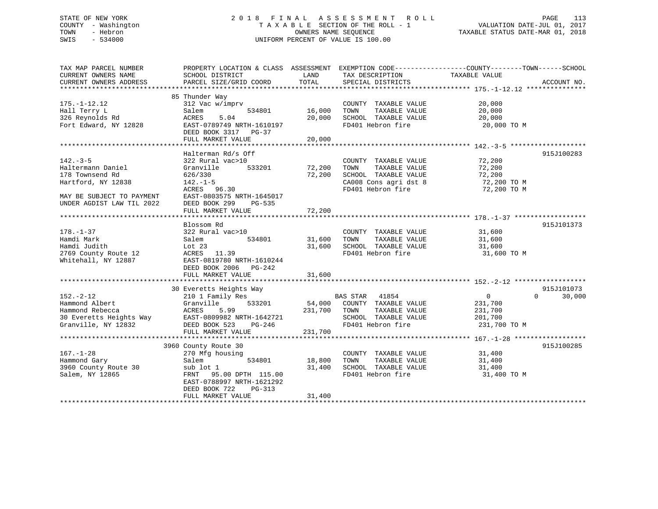## STATE OF NEW YORK 2 0 1 8 F I N A L A S S E S S M E N T R O L L PAGE 113 COUNTY - Washington T A X A B L E SECTION OF THE ROLL - 1 VALUATION DATE-JUL 01, 2017 TOWN - Hebron OWNERS NAME SEQUENCE TAXABLE STATUS DATE-MAR 01, 2018 SWIS - 534000 UNIFORM PERCENT OF VALUE IS 100.00

| TAX MAP PARCEL NUMBER<br>CURRENT OWNERS NAME<br>CURRENT OWNERS ADDRESS                                                                 | PROPERTY LOCATION & CLASS ASSESSMENT EXEMPTION CODE----------------COUNTY-------TOWN------SCHOOL<br>SCHOOL DISTRICT<br>PARCEL SIZE/GRID COORD                                          | LAND<br>TOTAL                | TAX DESCRIPTION<br>SPECIAL DISTRICTS                                                                                | TAXABLE VALUE                                             | ACCOUNT NO.                      |
|----------------------------------------------------------------------------------------------------------------------------------------|----------------------------------------------------------------------------------------------------------------------------------------------------------------------------------------|------------------------------|---------------------------------------------------------------------------------------------------------------------|-----------------------------------------------------------|----------------------------------|
| $175. - 1 - 12.12$<br>Hall Terry L<br>326 Reynolds Rd<br>Fort Edward, NY 12828                                                         | 85 Thunder Way<br>312 Vac w/imprv<br>534801<br>Salem<br>5.04<br>ACRES<br>EAST-0789749 NRTH-1610197<br>DEED BOOK 3317 PG-37<br>FULL MARKET VALUE                                        | 16,000<br>20,000<br>20,000   | COUNTY TAXABLE VALUE<br>TOWN<br>TAXABLE VALUE<br>SCHOOL TAXABLE VALUE<br>FD401 Hebron fire                          | 20,000<br>20,000<br>20,000<br>20,000 TO M                 |                                  |
| $142. - 3 - 5$<br>Haltermann Daniel<br>178 Townsend Rd<br>Hartford, NY 12838<br>MAY BE SUBJECT TO PAYMENT<br>UNDER AGDIST LAW TIL 2022 | Halterman Rd/s Off<br>322 Rural vac>10<br>Granville<br>533201<br>626/330<br>$142. - 1 - 5$<br>ACRES 96.30<br>EAST-0803575 NRTH-1645017<br>DEED BOOK 299<br>PG-535<br>FULL MARKET VALUE | 72,200<br>72,200<br>72,200   | COUNTY TAXABLE VALUE<br>TAXABLE VALUE<br>TOWN<br>SCHOOL TAXABLE VALUE<br>CA008 Cons agri dst 8<br>FD401 Hebron fire | 72,200<br>72,200<br>72,200<br>72,200 TO M<br>72,200 TO M  | 915J100283                       |
| $178. - 1 - 37$<br>Hamdi Mark<br>Hamdi Judith<br>2769 County Route 12<br>Whitehall, NY 12887                                           | Blossom Rd<br>322 Rural vac>10<br>534801<br>Salem<br>Lot $23$<br>ACRES 11.39<br>EAST-0819780 NRTH-1610244<br>DEED BOOK 2006 PG-242<br>FULL MARKET VALUE                                | 31,600<br>31,600<br>31,600   | COUNTY TAXABLE VALUE<br>TOWN<br>TAXABLE VALUE<br>SCHOOL TAXABLE VALUE<br>FD401 Hebron fire                          | 31,600<br>31,600<br>31,600<br>31,600 TO M                 | 915J101373                       |
| $152 - 2 - 12$<br>Hammond Albert<br>Hammond Rebecca<br>30 Everetts Heights Way<br>Granville, NY 12832                                  | 30 Everetts Heights Way<br>210 1 Family Res<br>Granville<br>533201<br>ACRES<br>5.99<br>EAST-0809982 NRTH-1642721<br>DEED BOOK 523<br>PG-246<br>FULL MARKET VALUE                       | 54,000<br>231,700<br>231,700 | BAS STAR 41854<br>COUNTY TAXABLE VALUE<br>TOWN<br>TAXABLE VALUE<br>SCHOOL TAXABLE VALUE<br>FD401 Hebron fire        | $\Omega$<br>231,700<br>231,700<br>201,700<br>231,700 TO M | 915J101073<br>$\Omega$<br>30,000 |
| $167. - 1 - 28$<br>Hammond Gary<br>3960 County Route 30<br>Salem, NY 12865                                                             | 3960 County Route 30<br>270 Mfg housing<br>534801<br>Salem<br>sub lot 1<br>FRNT 95.00 DPTH 115.00<br>EAST-0788997 NRTH-1621292<br>DEED BOOK 722<br>PG-313<br>FULL MARKET VALUE         | 18,800<br>31,400<br>31,400   | COUNTY TAXABLE VALUE<br>TAXABLE VALUE<br>TOWN<br>SCHOOL TAXABLE VALUE<br>FD401 Hebron fire                          | 31,400<br>31,400<br>31,400<br>31,400 TO M                 | 915J100285                       |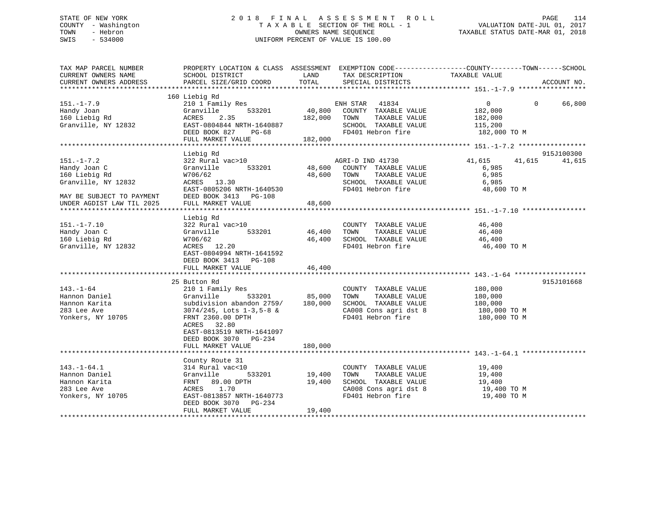## STATE OF NEW YORK 2 0 1 8 F I N A L A S S E S S M E N T R O L L PAGE 114 COUNTY - Washington T A X A B L E SECTION OF THE ROLL - 1 VALUATION DATE-JUL 01, 2017 TOWN - Hebron OWNERS NAME SEQUENCE TAXABLE STATUS DATE-MAR 01, 2018 SWIS - 534000 UNIFORM PERCENT OF VALUE IS 100.00UNIFORM PERCENT OF VALUE IS 100.00

| TAX MAP PARCEL NUMBER<br>CURRENT OWNERS NAME<br>CURRENT OWNERS ADDRESS                                | PROPERTY LOCATION & CLASS ASSESSMENT EXEMPTION CODE----------------COUNTY-------TOWN-----SCHOOL<br>SCHOOL DISTRICT<br>PARCEL SIZE/GRID COORD                                                                       | LAND<br>TOTAL                | TAX DESCRIPTION<br>SPECIAL DISTRICTS                                                                                | TAXABLE VALUE                                                   |          | ACCOUNT NO.          |
|-------------------------------------------------------------------------------------------------------|--------------------------------------------------------------------------------------------------------------------------------------------------------------------------------------------------------------------|------------------------------|---------------------------------------------------------------------------------------------------------------------|-----------------------------------------------------------------|----------|----------------------|
|                                                                                                       |                                                                                                                                                                                                                    |                              |                                                                                                                     |                                                                 |          |                      |
| $151. - 1 - 7.9$<br>Handy Joan<br>160 Liebig Rd<br>Granville, NY 12832                                | 160 Liebig Rd<br>210 1 Family Res<br>533201<br>Granville<br>ACRES<br>2.35<br>EAST-0804844 NRTH-1640887<br>DEED BOOK 827<br>$PG-68$<br>FULL MARKET VALUE                                                            | 40,800<br>182,000<br>182,000 | ENH STAR 41834<br>COUNTY TAXABLE VALUE<br>TAXABLE VALUE<br>TOWN<br>SCHOOL TAXABLE VALUE<br>FD401 Hebron fire        | $\overline{0}$<br>182,000<br>182,000<br>115,200<br>182,000 TO M | $\Omega$ | 66,800               |
|                                                                                                       |                                                                                                                                                                                                                    |                              |                                                                                                                     |                                                                 |          |                      |
| $151. - 1 - 7.2$<br>Handy Joan C<br>160 Liebig Rd<br>Granville, NY 12832<br>MAY BE SUBJECT TO PAYMENT | Liebig Rd<br>322 Rural vac>10<br>533201<br>Granville<br>W706/62<br>ACRES 13.30<br>EAST-0805206 NRTH-1640530<br>DEED BOOK 3413 PG-108                                                                               | 48,600<br>48,600             | AGRI-D IND 41730<br>COUNTY TAXABLE VALUE<br>TAXABLE VALUE<br>TOWN<br>SCHOOL TAXABLE VALUE<br>FD401 Hebron fire      | 41,615<br>6,985<br>6,985<br>6,985<br>48,600 TO M                | 41,615   | 915J100300<br>41,615 |
| UNDER AGDIST LAW TIL 2025                                                                             | FULL MARKET VALUE                                                                                                                                                                                                  | 48,600                       |                                                                                                                     |                                                                 |          |                      |
| $151. - 1 - 7.10$<br>Handy Joan C<br>160 Liebig Rd<br>Granville, NY 12832                             | Liebig Rd<br>322 Rural vac>10<br>533201<br>Granville<br>W706/62<br>ACRES 12.20<br>EAST-0804994 NRTH-1641592<br>DEED BOOK 3413 PG-108<br>FULL MARKET VALUE                                                          | 46,400<br>46,400<br>46,400   | COUNTY TAXABLE VALUE<br>TOWN<br>TAXABLE VALUE<br>SCHOOL TAXABLE VALUE<br>FD401 Hebron fire                          | 46,400<br>46,400<br>46,400<br>46,400 TO M                       |          |                      |
|                                                                                                       |                                                                                                                                                                                                                    |                              |                                                                                                                     |                                                                 |          |                      |
| $143. - 1 - 64$<br>Hannon Daniel<br>Hannon Karita<br>283 Lee Ave<br>Yonkers, NY 10705                 | 25 Button Rd<br>210 1 Family Res<br>533201<br>Granville<br>subdivision abandon 2759/<br>$3074/245$ , Lots $1-3,5-8$ &<br>FRNT 2360.00 DPTH<br>ACRES<br>32.80<br>EAST-0813519 NRTH-1641097<br>DEED BOOK 3070 PG-234 | 85,000<br>180,000            | COUNTY TAXABLE VALUE<br>TAXABLE VALUE<br>TOWN<br>SCHOOL TAXABLE VALUE<br>CA008 Cons agri dst 8<br>FD401 Hebron fire | 180,000<br>180,000<br>180,000<br>180,000 TO M<br>180,000 TO M   |          | 915J101668           |
|                                                                                                       | FULL MARKET VALUE                                                                                                                                                                                                  | 180,000                      |                                                                                                                     |                                                                 |          |                      |
| $143. - 1 - 64.1$<br>Hannon Daniel<br>Hannon Karita<br>283 Lee Ave                                    | County Route 31<br>314 Rural vac<10<br>533201<br>Granville<br>FRNT<br>89.00 DPTH<br>1.70<br>ACRES                                                                                                                  | 19,400<br>19,400             | COUNTY TAXABLE VALUE<br>TAXABLE VALUE<br>TOWN<br>SCHOOL TAXABLE VALUE<br>CA008 Cons agri dst 8                      | 19,400<br>19,400<br>19,400<br>19,400 TO M                       |          |                      |
| Yonkers, NY 10705                                                                                     | EAST-0813857 NRTH-1640773<br>DEED BOOK 3070<br>PG-234<br>FULL MARKET VALUE                                                                                                                                         | 19,400                       | FD401 Hebron fire                                                                                                   | 19,400 TO M                                                     |          |                      |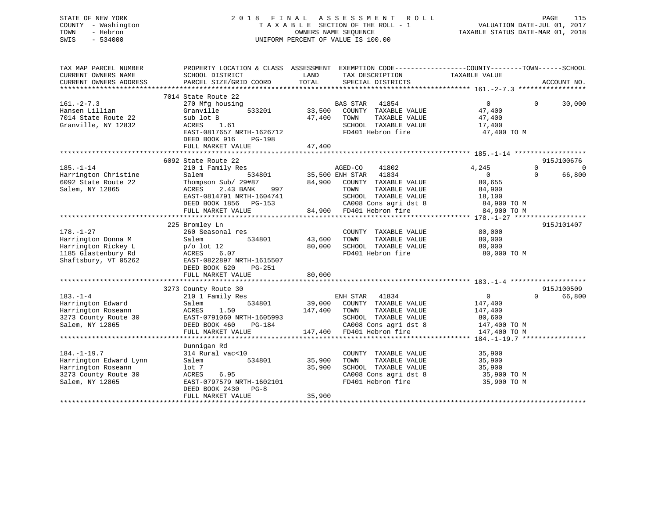## STATE OF NEW YORK 2 0 1 8 F I N A L A S S E S S M E N T R O L L PAGE 115 COUNTY - Washington T A X A B L E SECTION OF THE ROLL - 1 VALUATION DATE-JUL 01, 2017 TOWN - Hebron OWNERS NAME SEQUENCE TAXABLE STATUS DATE-MAR 01, 2018 SWIS - 534000 UNIFORM PERCENT OF VALUE IS 100.00

| TAX MAP PARCEL NUMBER<br>CURRENT OWNERS NAME<br>CURRENT OWNERS ADDRESS                                       | PROPERTY LOCATION & CLASS ASSESSMENT<br>SCHOOL DISTRICT<br>PARCEL SIZE/GRID COORD                                                                                                         | LAND<br>TAX DESCRIPTION<br>TOTAL<br>SPECIAL DISTRICTS                                                                                                                                               | EXEMPTION CODE-----------------COUNTY-------TOWN------SCHOOL<br>TAXABLE VALUE<br>ACCOUNT NO.                                                    |
|--------------------------------------------------------------------------------------------------------------|-------------------------------------------------------------------------------------------------------------------------------------------------------------------------------------------|-----------------------------------------------------------------------------------------------------------------------------------------------------------------------------------------------------|-------------------------------------------------------------------------------------------------------------------------------------------------|
| $161. - 2 - 7.3$<br>Hansen Lillian<br>7014 State Route 22<br>Granville, NY 12832                             | 7014 State Route 22<br>270 Mfg housing<br>533201<br>Granville<br>sub lot B<br>ACRES<br>1.61<br>EAST-0817657 NRTH-1626712<br>DEED BOOK 916<br>$PG-198$<br>FULL MARKET VALUE                | <b>BAS STAR</b><br>41854<br>33,500<br>COUNTY TAXABLE VALUE<br>47,400<br>TAXABLE VALUE<br>TOWN<br>SCHOOL TAXABLE VALUE<br>FD401 Hebron fire<br>47,400                                                | $\overline{0}$<br>30,000<br>$\Omega$<br>47,400<br>47,400<br>17,400<br>47,400 TO M                                                               |
|                                                                                                              |                                                                                                                                                                                           |                                                                                                                                                                                                     |                                                                                                                                                 |
| $185. - 1 - 14$<br>Harrington Christine<br>6092 State Route 22<br>Salem, NY 12865                            | 6092 State Route 22<br>210 1 Family Res<br>534801<br>Salem<br>Thompson Sub/ 29#87<br>ACRES<br>2.43 BANK<br>997<br>EAST-0814791 NRTH-1604741<br>DEED BOOK 1856 PG-153<br>FULL MARKET VALUE | 41802<br>AGED-CO<br>35,500 ENH STAR 41834<br>84,900 COUNTY TAXABLE VALUE<br>TAXABLE VALUE<br>TOWN<br>SCHOOL TAXABLE VALUE<br>CA008 Cons agri dst 8<br>FD401 Hebron fire<br>84,900 FD401 Hebron fire | 915J100676<br>$\Omega$<br>4,245<br>$\Omega$<br>$\overline{0}$<br>66,800<br>$\Omega$<br>80,655<br>84,900<br>18,100<br>84,900 TO M<br>84,900 TO M |
|                                                                                                              |                                                                                                                                                                                           |                                                                                                                                                                                                     |                                                                                                                                                 |
| $178. - 1 - 27$<br>Harrington Donna M<br>Harrington Rickey L<br>1185 Glastenbury Rd<br>Shaftsbury, VT 05262  | 225 Bromley Ln<br>260 Seasonal res<br>534801<br>Salem<br>$p/o$ lot 12<br>ACRES<br>6.07<br>EAST-0822897 NRTH-1615507<br>DEED BOOK 620<br>PG-251<br>FULL MARKET VALUE                       | COUNTY TAXABLE VALUE<br>43,600<br>TAXABLE VALUE<br>TOWN<br>80,000<br>SCHOOL TAXABLE VALUE<br>FD401 Hebron fire<br>80,000                                                                            | 915J101407<br>80,000<br>80,000<br>80,000<br>80,000 TO M                                                                                         |
|                                                                                                              |                                                                                                                                                                                           |                                                                                                                                                                                                     |                                                                                                                                                 |
| $183. - 1 - 4$<br>Harrington Edward<br>Harrington Roseann<br>3273 County Route 30<br>Salem, NY 12865         | 3273 County Route 30<br>210 1 Family Res<br>534801<br>Salem<br>ACRES<br>1.50<br>EAST-0791060 NRTH-1605993<br>DEED BOOK 460<br>$PG-184$<br>FULL MARKET VALUE                               | ENH STAR<br>41834<br>COUNTY TAXABLE VALUE<br>39,000<br>147,400<br>TOWN<br>TAXABLE VALUE<br>SCHOOL TAXABLE VALUE<br>CA008 Cons agri dst 8<br>147,400 FD401 Hebron fire                               | 915J100509<br>66,800<br>$\overline{0}$<br>$\Omega$<br>147,400<br>147,400<br>80,600<br>147,400 TO M<br>147,400 TO M                              |
|                                                                                                              |                                                                                                                                                                                           |                                                                                                                                                                                                     |                                                                                                                                                 |
| $184. - 1 - 19.7$<br>Harrington Edward Lynn<br>Harrington Roseann<br>3273 County Route 30<br>Salem, NY 12865 | Dunnigan Rd<br>314 Rural vac<10<br>534801<br>Salem<br>lot <sub>7</sub><br>6.95<br>ACRES<br>EAST-0797579 NRTH-1602101<br>DEED BOOK 2430<br>$PG-8$<br>FULL MARKET VALUE                     | COUNTY TAXABLE VALUE<br>35,900<br>TOWN<br>TAXABLE VALUE<br>35,900<br>SCHOOL TAXABLE VALUE<br>CA008 Cons agri dst 8<br>FD401 Hebron fire<br>35,900                                                   | 35,900<br>35,900<br>35,900<br>35,900 TO M<br>35,900 TO M                                                                                        |
|                                                                                                              |                                                                                                                                                                                           |                                                                                                                                                                                                     |                                                                                                                                                 |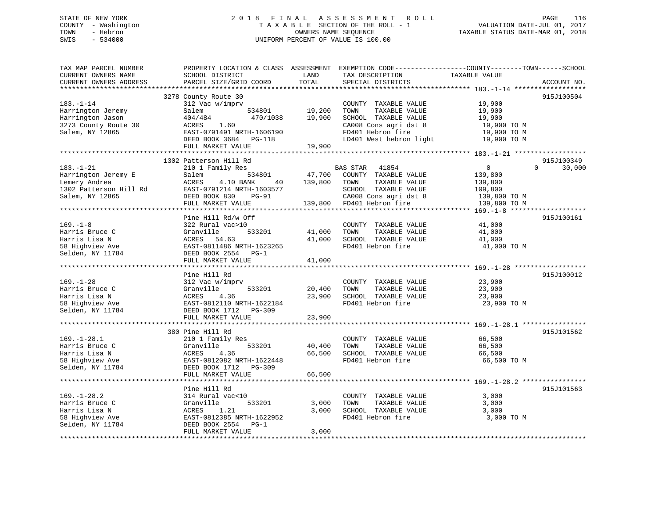## STATE OF NEW YORK 2 0 1 8 F I N A L A S S E S S M E N T R O L L PAGE 116 COUNTY - Washington T A X A B L E SECTION OF THE ROLL - 1 VALUATION DATE-JUL 01, 2017 TOWN - Hebron OWNERS NAME SEQUENCE TAXABLE STATUS DATE-MAR 01, 2018 SWIS - 534000 UNIFORM PERCENT OF VALUE IS 100.00

| TOTAL<br>PARCEL SIZE/GRID COORD<br>SPECIAL DISTRICTS<br>ACCOUNT NO.<br>***************************<br>*******************<br>915J100504<br>3278 County Route 30<br>$183. - 1 - 14$<br>312 Vac w/imprv<br>COUNTY TAXABLE VALUE<br>19,900<br>Harrington Jeremy<br>534801<br>19,200<br>TOWN<br>TAXABLE VALUE<br>19,900<br>Salem<br>470/1038<br>19,900<br>SCHOOL TAXABLE VALUE<br>Harrington Jason<br>404/484<br>19,900<br>CA008 Cons agri dst 8<br>3273 County Route 30<br>ACRES<br>1.60<br>19,900 TO M<br>FD401 Hebron fire<br>Salem, NY 12865<br>EAST-0791491 NRTH-1606190<br>19,900 TO M<br>LD401 West hebron light<br>DEED BOOK 3684 PG-118<br>19,900 TO M<br>19,900<br>FULL MARKET VALUE<br>1302 Patterson Hill Rd<br>915J100349<br>$\overline{0}$<br>30,000<br>$183. - 1 - 21$<br>210 1 Family Res<br>BAS STAR<br>41854<br>$\Omega$<br>47,700<br>COUNTY TAXABLE VALUE<br>Harrington Jeremy E<br>Salem<br>534801<br>139,800<br>ACRES<br>4.10 BANK<br>139,800<br>TOWN<br>TAXABLE VALUE<br>40<br>139,800<br>EAST-0791214 NRTH-1603577<br>SCHOOL TAXABLE VALUE<br>109,800<br>DEED BOOK 830<br>CA008 Cons agri dst 8<br><b>PG-91</b><br>139,800 TO M<br>FD401 Hebron fire<br>FULL MARKET VALUE<br>139,800<br>139,800 TO M<br>**************************<br>******************************<br>915J100161<br>Pine Hill Rd/w Off<br>$169. - 1 - 8$<br>322 Rural vac>10<br>41,000<br>COUNTY TAXABLE VALUE<br>Harris Bruce C<br>Granville<br>533201<br>41,000<br>TOWN<br>TAXABLE VALUE<br>41,000<br>SCHOOL TAXABLE VALUE<br>Harris Lisa N<br>ACRES 54.63<br>41,000<br>41,000<br>FD401 Hebron fire<br>58 Highview Ave<br>EAST-0811486 NRTH-1623265<br>41,000 TO M<br>Selden, NY 11784<br>DEED BOOK 2554<br>$PG-1$<br>FULL MARKET VALUE<br>41,000<br>***********************<br>Pine Hill Rd<br>915J100012<br>$169. - 1 - 28$<br>23,900<br>312 Vac w/imprv<br>COUNTY TAXABLE VALUE<br>Harris Bruce C<br>Granville<br>533201<br>20,400<br>TOWN<br>TAXABLE VALUE<br>23,900<br>Harris Lisa N<br>ACRES<br>4.36<br>23,900<br>SCHOOL TAXABLE VALUE<br>23,900<br>58 Highview Ave<br>FD401 Hebron fire<br>EAST-0812110 NRTH-1622184<br>23,900 TO M<br>Selden, NY 11784<br>DEED BOOK 1712 PG-309<br>23,900<br>FULL MARKET VALUE<br>**************************<br>915J101562<br>380 Pine Hill Rd<br>210 1 Family Res<br>COUNTY TAXABLE VALUE<br>66,500<br>Granville<br>533201<br>40,400<br>TAXABLE VALUE<br>66,500<br>TOWN<br>4.36<br>ACRES<br>66,500<br>SCHOOL TAXABLE VALUE<br>66,500<br>FD401 Hebron fire<br>EAST-0812082 NRTH-1622448<br>66,500 TO M<br>DEED BOOK 1712 PG-309<br>FULL MARKET VALUE<br>66,500<br>*****************<br>********** 169. -1-28.2 *************<br>Pine Hill Rd<br>915J101563<br>$169. - 1 - 28.2$<br>314 Rural vac<10<br>3,000<br>COUNTY TAXABLE VALUE<br>Granville<br>533201<br>3,000<br>TOWN<br>TAXABLE VALUE<br>3,000<br>Harris Lisa N<br>SCHOOL TAXABLE VALUE<br>ACRES<br>1.21<br>3,000<br>3,000<br>EAST-0812385 NRTH-1622952<br>FD401 Hebron fire<br>3,000 TO M<br>58 Highview Ave<br>Selden, NY 11784<br>DEED BOOK 2554<br>$PG-1$<br>FULL MARKET VALUE<br>3,000 | TAX MAP PARCEL NUMBER<br>CURRENT OWNERS NAME | PROPERTY LOCATION & CLASS ASSESSMENT<br>SCHOOL DISTRICT | LAND | EXEMPTION CODE-----------------COUNTY-------TOWN------SCHOOL<br>TAX DESCRIPTION | TAXABLE VALUE |  |
|------------------------------------------------------------------------------------------------------------------------------------------------------------------------------------------------------------------------------------------------------------------------------------------------------------------------------------------------------------------------------------------------------------------------------------------------------------------------------------------------------------------------------------------------------------------------------------------------------------------------------------------------------------------------------------------------------------------------------------------------------------------------------------------------------------------------------------------------------------------------------------------------------------------------------------------------------------------------------------------------------------------------------------------------------------------------------------------------------------------------------------------------------------------------------------------------------------------------------------------------------------------------------------------------------------------------------------------------------------------------------------------------------------------------------------------------------------------------------------------------------------------------------------------------------------------------------------------------------------------------------------------------------------------------------------------------------------------------------------------------------------------------------------------------------------------------------------------------------------------------------------------------------------------------------------------------------------------------------------------------------------------------------------------------------------------------------------------------------------------------------------------------------------------------------------------------------------------------------------------------------------------------------------------------------------------------------------------------------------------------------------------------------------------------------------------------------------------------------------------------------------------------------------------------------------------------------------------------------------------------------------------------------------------------------------------------------------------------------------------------------------------------------------------------------------------------------------------------------------------------------------------------------------------------------------------------------------------------------------------------------------------------------------------------------------------------------------|----------------------------------------------|---------------------------------------------------------|------|---------------------------------------------------------------------------------|---------------|--|
|                                                                                                                                                                                                                                                                                                                                                                                                                                                                                                                                                                                                                                                                                                                                                                                                                                                                                                                                                                                                                                                                                                                                                                                                                                                                                                                                                                                                                                                                                                                                                                                                                                                                                                                                                                                                                                                                                                                                                                                                                                                                                                                                                                                                                                                                                                                                                                                                                                                                                                                                                                                                                                                                                                                                                                                                                                                                                                                                                                                                                                                                                    | CURRENT OWNERS ADDRESS                       |                                                         |      |                                                                                 |               |  |
|                                                                                                                                                                                                                                                                                                                                                                                                                                                                                                                                                                                                                                                                                                                                                                                                                                                                                                                                                                                                                                                                                                                                                                                                                                                                                                                                                                                                                                                                                                                                                                                                                                                                                                                                                                                                                                                                                                                                                                                                                                                                                                                                                                                                                                                                                                                                                                                                                                                                                                                                                                                                                                                                                                                                                                                                                                                                                                                                                                                                                                                                                    |                                              |                                                         |      |                                                                                 |               |  |
|                                                                                                                                                                                                                                                                                                                                                                                                                                                                                                                                                                                                                                                                                                                                                                                                                                                                                                                                                                                                                                                                                                                                                                                                                                                                                                                                                                                                                                                                                                                                                                                                                                                                                                                                                                                                                                                                                                                                                                                                                                                                                                                                                                                                                                                                                                                                                                                                                                                                                                                                                                                                                                                                                                                                                                                                                                                                                                                                                                                                                                                                                    |                                              |                                                         |      |                                                                                 |               |  |
|                                                                                                                                                                                                                                                                                                                                                                                                                                                                                                                                                                                                                                                                                                                                                                                                                                                                                                                                                                                                                                                                                                                                                                                                                                                                                                                                                                                                                                                                                                                                                                                                                                                                                                                                                                                                                                                                                                                                                                                                                                                                                                                                                                                                                                                                                                                                                                                                                                                                                                                                                                                                                                                                                                                                                                                                                                                                                                                                                                                                                                                                                    |                                              |                                                         |      |                                                                                 |               |  |
|                                                                                                                                                                                                                                                                                                                                                                                                                                                                                                                                                                                                                                                                                                                                                                                                                                                                                                                                                                                                                                                                                                                                                                                                                                                                                                                                                                                                                                                                                                                                                                                                                                                                                                                                                                                                                                                                                                                                                                                                                                                                                                                                                                                                                                                                                                                                                                                                                                                                                                                                                                                                                                                                                                                                                                                                                                                                                                                                                                                                                                                                                    |                                              |                                                         |      |                                                                                 |               |  |
|                                                                                                                                                                                                                                                                                                                                                                                                                                                                                                                                                                                                                                                                                                                                                                                                                                                                                                                                                                                                                                                                                                                                                                                                                                                                                                                                                                                                                                                                                                                                                                                                                                                                                                                                                                                                                                                                                                                                                                                                                                                                                                                                                                                                                                                                                                                                                                                                                                                                                                                                                                                                                                                                                                                                                                                                                                                                                                                                                                                                                                                                                    |                                              |                                                         |      |                                                                                 |               |  |
|                                                                                                                                                                                                                                                                                                                                                                                                                                                                                                                                                                                                                                                                                                                                                                                                                                                                                                                                                                                                                                                                                                                                                                                                                                                                                                                                                                                                                                                                                                                                                                                                                                                                                                                                                                                                                                                                                                                                                                                                                                                                                                                                                                                                                                                                                                                                                                                                                                                                                                                                                                                                                                                                                                                                                                                                                                                                                                                                                                                                                                                                                    |                                              |                                                         |      |                                                                                 |               |  |
|                                                                                                                                                                                                                                                                                                                                                                                                                                                                                                                                                                                                                                                                                                                                                                                                                                                                                                                                                                                                                                                                                                                                                                                                                                                                                                                                                                                                                                                                                                                                                                                                                                                                                                                                                                                                                                                                                                                                                                                                                                                                                                                                                                                                                                                                                                                                                                                                                                                                                                                                                                                                                                                                                                                                                                                                                                                                                                                                                                                                                                                                                    |                                              |                                                         |      |                                                                                 |               |  |
|                                                                                                                                                                                                                                                                                                                                                                                                                                                                                                                                                                                                                                                                                                                                                                                                                                                                                                                                                                                                                                                                                                                                                                                                                                                                                                                                                                                                                                                                                                                                                                                                                                                                                                                                                                                                                                                                                                                                                                                                                                                                                                                                                                                                                                                                                                                                                                                                                                                                                                                                                                                                                                                                                                                                                                                                                                                                                                                                                                                                                                                                                    |                                              |                                                         |      |                                                                                 |               |  |
|                                                                                                                                                                                                                                                                                                                                                                                                                                                                                                                                                                                                                                                                                                                                                                                                                                                                                                                                                                                                                                                                                                                                                                                                                                                                                                                                                                                                                                                                                                                                                                                                                                                                                                                                                                                                                                                                                                                                                                                                                                                                                                                                                                                                                                                                                                                                                                                                                                                                                                                                                                                                                                                                                                                                                                                                                                                                                                                                                                                                                                                                                    |                                              |                                                         |      |                                                                                 |               |  |
|                                                                                                                                                                                                                                                                                                                                                                                                                                                                                                                                                                                                                                                                                                                                                                                                                                                                                                                                                                                                                                                                                                                                                                                                                                                                                                                                                                                                                                                                                                                                                                                                                                                                                                                                                                                                                                                                                                                                                                                                                                                                                                                                                                                                                                                                                                                                                                                                                                                                                                                                                                                                                                                                                                                                                                                                                                                                                                                                                                                                                                                                                    |                                              |                                                         |      |                                                                                 |               |  |
|                                                                                                                                                                                                                                                                                                                                                                                                                                                                                                                                                                                                                                                                                                                                                                                                                                                                                                                                                                                                                                                                                                                                                                                                                                                                                                                                                                                                                                                                                                                                                                                                                                                                                                                                                                                                                                                                                                                                                                                                                                                                                                                                                                                                                                                                                                                                                                                                                                                                                                                                                                                                                                                                                                                                                                                                                                                                                                                                                                                                                                                                                    |                                              |                                                         |      |                                                                                 |               |  |
|                                                                                                                                                                                                                                                                                                                                                                                                                                                                                                                                                                                                                                                                                                                                                                                                                                                                                                                                                                                                                                                                                                                                                                                                                                                                                                                                                                                                                                                                                                                                                                                                                                                                                                                                                                                                                                                                                                                                                                                                                                                                                                                                                                                                                                                                                                                                                                                                                                                                                                                                                                                                                                                                                                                                                                                                                                                                                                                                                                                                                                                                                    |                                              |                                                         |      |                                                                                 |               |  |
|                                                                                                                                                                                                                                                                                                                                                                                                                                                                                                                                                                                                                                                                                                                                                                                                                                                                                                                                                                                                                                                                                                                                                                                                                                                                                                                                                                                                                                                                                                                                                                                                                                                                                                                                                                                                                                                                                                                                                                                                                                                                                                                                                                                                                                                                                                                                                                                                                                                                                                                                                                                                                                                                                                                                                                                                                                                                                                                                                                                                                                                                                    | Lemery Andrea                                |                                                         |      |                                                                                 |               |  |
|                                                                                                                                                                                                                                                                                                                                                                                                                                                                                                                                                                                                                                                                                                                                                                                                                                                                                                                                                                                                                                                                                                                                                                                                                                                                                                                                                                                                                                                                                                                                                                                                                                                                                                                                                                                                                                                                                                                                                                                                                                                                                                                                                                                                                                                                                                                                                                                                                                                                                                                                                                                                                                                                                                                                                                                                                                                                                                                                                                                                                                                                                    | 1302 Patterson Hill Rd                       |                                                         |      |                                                                                 |               |  |
|                                                                                                                                                                                                                                                                                                                                                                                                                                                                                                                                                                                                                                                                                                                                                                                                                                                                                                                                                                                                                                                                                                                                                                                                                                                                                                                                                                                                                                                                                                                                                                                                                                                                                                                                                                                                                                                                                                                                                                                                                                                                                                                                                                                                                                                                                                                                                                                                                                                                                                                                                                                                                                                                                                                                                                                                                                                                                                                                                                                                                                                                                    | Salem, NY 12865                              |                                                         |      |                                                                                 |               |  |
|                                                                                                                                                                                                                                                                                                                                                                                                                                                                                                                                                                                                                                                                                                                                                                                                                                                                                                                                                                                                                                                                                                                                                                                                                                                                                                                                                                                                                                                                                                                                                                                                                                                                                                                                                                                                                                                                                                                                                                                                                                                                                                                                                                                                                                                                                                                                                                                                                                                                                                                                                                                                                                                                                                                                                                                                                                                                                                                                                                                                                                                                                    |                                              |                                                         |      |                                                                                 |               |  |
|                                                                                                                                                                                                                                                                                                                                                                                                                                                                                                                                                                                                                                                                                                                                                                                                                                                                                                                                                                                                                                                                                                                                                                                                                                                                                                                                                                                                                                                                                                                                                                                                                                                                                                                                                                                                                                                                                                                                                                                                                                                                                                                                                                                                                                                                                                                                                                                                                                                                                                                                                                                                                                                                                                                                                                                                                                                                                                                                                                                                                                                                                    |                                              |                                                         |      |                                                                                 |               |  |
|                                                                                                                                                                                                                                                                                                                                                                                                                                                                                                                                                                                                                                                                                                                                                                                                                                                                                                                                                                                                                                                                                                                                                                                                                                                                                                                                                                                                                                                                                                                                                                                                                                                                                                                                                                                                                                                                                                                                                                                                                                                                                                                                                                                                                                                                                                                                                                                                                                                                                                                                                                                                                                                                                                                                                                                                                                                                                                                                                                                                                                                                                    |                                              |                                                         |      |                                                                                 |               |  |
|                                                                                                                                                                                                                                                                                                                                                                                                                                                                                                                                                                                                                                                                                                                                                                                                                                                                                                                                                                                                                                                                                                                                                                                                                                                                                                                                                                                                                                                                                                                                                                                                                                                                                                                                                                                                                                                                                                                                                                                                                                                                                                                                                                                                                                                                                                                                                                                                                                                                                                                                                                                                                                                                                                                                                                                                                                                                                                                                                                                                                                                                                    |                                              |                                                         |      |                                                                                 |               |  |
|                                                                                                                                                                                                                                                                                                                                                                                                                                                                                                                                                                                                                                                                                                                                                                                                                                                                                                                                                                                                                                                                                                                                                                                                                                                                                                                                                                                                                                                                                                                                                                                                                                                                                                                                                                                                                                                                                                                                                                                                                                                                                                                                                                                                                                                                                                                                                                                                                                                                                                                                                                                                                                                                                                                                                                                                                                                                                                                                                                                                                                                                                    |                                              |                                                         |      |                                                                                 |               |  |
|                                                                                                                                                                                                                                                                                                                                                                                                                                                                                                                                                                                                                                                                                                                                                                                                                                                                                                                                                                                                                                                                                                                                                                                                                                                                                                                                                                                                                                                                                                                                                                                                                                                                                                                                                                                                                                                                                                                                                                                                                                                                                                                                                                                                                                                                                                                                                                                                                                                                                                                                                                                                                                                                                                                                                                                                                                                                                                                                                                                                                                                                                    |                                              |                                                         |      |                                                                                 |               |  |
|                                                                                                                                                                                                                                                                                                                                                                                                                                                                                                                                                                                                                                                                                                                                                                                                                                                                                                                                                                                                                                                                                                                                                                                                                                                                                                                                                                                                                                                                                                                                                                                                                                                                                                                                                                                                                                                                                                                                                                                                                                                                                                                                                                                                                                                                                                                                                                                                                                                                                                                                                                                                                                                                                                                                                                                                                                                                                                                                                                                                                                                                                    |                                              |                                                         |      |                                                                                 |               |  |
|                                                                                                                                                                                                                                                                                                                                                                                                                                                                                                                                                                                                                                                                                                                                                                                                                                                                                                                                                                                                                                                                                                                                                                                                                                                                                                                                                                                                                                                                                                                                                                                                                                                                                                                                                                                                                                                                                                                                                                                                                                                                                                                                                                                                                                                                                                                                                                                                                                                                                                                                                                                                                                                                                                                                                                                                                                                                                                                                                                                                                                                                                    |                                              |                                                         |      |                                                                                 |               |  |
|                                                                                                                                                                                                                                                                                                                                                                                                                                                                                                                                                                                                                                                                                                                                                                                                                                                                                                                                                                                                                                                                                                                                                                                                                                                                                                                                                                                                                                                                                                                                                                                                                                                                                                                                                                                                                                                                                                                                                                                                                                                                                                                                                                                                                                                                                                                                                                                                                                                                                                                                                                                                                                                                                                                                                                                                                                                                                                                                                                                                                                                                                    |                                              |                                                         |      |                                                                                 |               |  |
|                                                                                                                                                                                                                                                                                                                                                                                                                                                                                                                                                                                                                                                                                                                                                                                                                                                                                                                                                                                                                                                                                                                                                                                                                                                                                                                                                                                                                                                                                                                                                                                                                                                                                                                                                                                                                                                                                                                                                                                                                                                                                                                                                                                                                                                                                                                                                                                                                                                                                                                                                                                                                                                                                                                                                                                                                                                                                                                                                                                                                                                                                    |                                              |                                                         |      |                                                                                 |               |  |
|                                                                                                                                                                                                                                                                                                                                                                                                                                                                                                                                                                                                                                                                                                                                                                                                                                                                                                                                                                                                                                                                                                                                                                                                                                                                                                                                                                                                                                                                                                                                                                                                                                                                                                                                                                                                                                                                                                                                                                                                                                                                                                                                                                                                                                                                                                                                                                                                                                                                                                                                                                                                                                                                                                                                                                                                                                                                                                                                                                                                                                                                                    |                                              |                                                         |      |                                                                                 |               |  |
|                                                                                                                                                                                                                                                                                                                                                                                                                                                                                                                                                                                                                                                                                                                                                                                                                                                                                                                                                                                                                                                                                                                                                                                                                                                                                                                                                                                                                                                                                                                                                                                                                                                                                                                                                                                                                                                                                                                                                                                                                                                                                                                                                                                                                                                                                                                                                                                                                                                                                                                                                                                                                                                                                                                                                                                                                                                                                                                                                                                                                                                                                    |                                              |                                                         |      |                                                                                 |               |  |
|                                                                                                                                                                                                                                                                                                                                                                                                                                                                                                                                                                                                                                                                                                                                                                                                                                                                                                                                                                                                                                                                                                                                                                                                                                                                                                                                                                                                                                                                                                                                                                                                                                                                                                                                                                                                                                                                                                                                                                                                                                                                                                                                                                                                                                                                                                                                                                                                                                                                                                                                                                                                                                                                                                                                                                                                                                                                                                                                                                                                                                                                                    |                                              |                                                         |      |                                                                                 |               |  |
|                                                                                                                                                                                                                                                                                                                                                                                                                                                                                                                                                                                                                                                                                                                                                                                                                                                                                                                                                                                                                                                                                                                                                                                                                                                                                                                                                                                                                                                                                                                                                                                                                                                                                                                                                                                                                                                                                                                                                                                                                                                                                                                                                                                                                                                                                                                                                                                                                                                                                                                                                                                                                                                                                                                                                                                                                                                                                                                                                                                                                                                                                    |                                              |                                                         |      |                                                                                 |               |  |
|                                                                                                                                                                                                                                                                                                                                                                                                                                                                                                                                                                                                                                                                                                                                                                                                                                                                                                                                                                                                                                                                                                                                                                                                                                                                                                                                                                                                                                                                                                                                                                                                                                                                                                                                                                                                                                                                                                                                                                                                                                                                                                                                                                                                                                                                                                                                                                                                                                                                                                                                                                                                                                                                                                                                                                                                                                                                                                                                                                                                                                                                                    |                                              |                                                         |      |                                                                                 |               |  |
|                                                                                                                                                                                                                                                                                                                                                                                                                                                                                                                                                                                                                                                                                                                                                                                                                                                                                                                                                                                                                                                                                                                                                                                                                                                                                                                                                                                                                                                                                                                                                                                                                                                                                                                                                                                                                                                                                                                                                                                                                                                                                                                                                                                                                                                                                                                                                                                                                                                                                                                                                                                                                                                                                                                                                                                                                                                                                                                                                                                                                                                                                    |                                              |                                                         |      |                                                                                 |               |  |
|                                                                                                                                                                                                                                                                                                                                                                                                                                                                                                                                                                                                                                                                                                                                                                                                                                                                                                                                                                                                                                                                                                                                                                                                                                                                                                                                                                                                                                                                                                                                                                                                                                                                                                                                                                                                                                                                                                                                                                                                                                                                                                                                                                                                                                                                                                                                                                                                                                                                                                                                                                                                                                                                                                                                                                                                                                                                                                                                                                                                                                                                                    |                                              |                                                         |      |                                                                                 |               |  |
|                                                                                                                                                                                                                                                                                                                                                                                                                                                                                                                                                                                                                                                                                                                                                                                                                                                                                                                                                                                                                                                                                                                                                                                                                                                                                                                                                                                                                                                                                                                                                                                                                                                                                                                                                                                                                                                                                                                                                                                                                                                                                                                                                                                                                                                                                                                                                                                                                                                                                                                                                                                                                                                                                                                                                                                                                                                                                                                                                                                                                                                                                    |                                              |                                                         |      |                                                                                 |               |  |
|                                                                                                                                                                                                                                                                                                                                                                                                                                                                                                                                                                                                                                                                                                                                                                                                                                                                                                                                                                                                                                                                                                                                                                                                                                                                                                                                                                                                                                                                                                                                                                                                                                                                                                                                                                                                                                                                                                                                                                                                                                                                                                                                                                                                                                                                                                                                                                                                                                                                                                                                                                                                                                                                                                                                                                                                                                                                                                                                                                                                                                                                                    | $169. - 1 - 28.1$                            |                                                         |      |                                                                                 |               |  |
|                                                                                                                                                                                                                                                                                                                                                                                                                                                                                                                                                                                                                                                                                                                                                                                                                                                                                                                                                                                                                                                                                                                                                                                                                                                                                                                                                                                                                                                                                                                                                                                                                                                                                                                                                                                                                                                                                                                                                                                                                                                                                                                                                                                                                                                                                                                                                                                                                                                                                                                                                                                                                                                                                                                                                                                                                                                                                                                                                                                                                                                                                    | Harris Bruce C                               |                                                         |      |                                                                                 |               |  |
|                                                                                                                                                                                                                                                                                                                                                                                                                                                                                                                                                                                                                                                                                                                                                                                                                                                                                                                                                                                                                                                                                                                                                                                                                                                                                                                                                                                                                                                                                                                                                                                                                                                                                                                                                                                                                                                                                                                                                                                                                                                                                                                                                                                                                                                                                                                                                                                                                                                                                                                                                                                                                                                                                                                                                                                                                                                                                                                                                                                                                                                                                    | Harris Lisa N                                |                                                         |      |                                                                                 |               |  |
|                                                                                                                                                                                                                                                                                                                                                                                                                                                                                                                                                                                                                                                                                                                                                                                                                                                                                                                                                                                                                                                                                                                                                                                                                                                                                                                                                                                                                                                                                                                                                                                                                                                                                                                                                                                                                                                                                                                                                                                                                                                                                                                                                                                                                                                                                                                                                                                                                                                                                                                                                                                                                                                                                                                                                                                                                                                                                                                                                                                                                                                                                    | 58 Highview Ave                              |                                                         |      |                                                                                 |               |  |
|                                                                                                                                                                                                                                                                                                                                                                                                                                                                                                                                                                                                                                                                                                                                                                                                                                                                                                                                                                                                                                                                                                                                                                                                                                                                                                                                                                                                                                                                                                                                                                                                                                                                                                                                                                                                                                                                                                                                                                                                                                                                                                                                                                                                                                                                                                                                                                                                                                                                                                                                                                                                                                                                                                                                                                                                                                                                                                                                                                                                                                                                                    | Selden, NY 11784                             |                                                         |      |                                                                                 |               |  |
|                                                                                                                                                                                                                                                                                                                                                                                                                                                                                                                                                                                                                                                                                                                                                                                                                                                                                                                                                                                                                                                                                                                                                                                                                                                                                                                                                                                                                                                                                                                                                                                                                                                                                                                                                                                                                                                                                                                                                                                                                                                                                                                                                                                                                                                                                                                                                                                                                                                                                                                                                                                                                                                                                                                                                                                                                                                                                                                                                                                                                                                                                    |                                              |                                                         |      |                                                                                 |               |  |
|                                                                                                                                                                                                                                                                                                                                                                                                                                                                                                                                                                                                                                                                                                                                                                                                                                                                                                                                                                                                                                                                                                                                                                                                                                                                                                                                                                                                                                                                                                                                                                                                                                                                                                                                                                                                                                                                                                                                                                                                                                                                                                                                                                                                                                                                                                                                                                                                                                                                                                                                                                                                                                                                                                                                                                                                                                                                                                                                                                                                                                                                                    |                                              |                                                         |      |                                                                                 |               |  |
|                                                                                                                                                                                                                                                                                                                                                                                                                                                                                                                                                                                                                                                                                                                                                                                                                                                                                                                                                                                                                                                                                                                                                                                                                                                                                                                                                                                                                                                                                                                                                                                                                                                                                                                                                                                                                                                                                                                                                                                                                                                                                                                                                                                                                                                                                                                                                                                                                                                                                                                                                                                                                                                                                                                                                                                                                                                                                                                                                                                                                                                                                    |                                              |                                                         |      |                                                                                 |               |  |
|                                                                                                                                                                                                                                                                                                                                                                                                                                                                                                                                                                                                                                                                                                                                                                                                                                                                                                                                                                                                                                                                                                                                                                                                                                                                                                                                                                                                                                                                                                                                                                                                                                                                                                                                                                                                                                                                                                                                                                                                                                                                                                                                                                                                                                                                                                                                                                                                                                                                                                                                                                                                                                                                                                                                                                                                                                                                                                                                                                                                                                                                                    |                                              |                                                         |      |                                                                                 |               |  |
|                                                                                                                                                                                                                                                                                                                                                                                                                                                                                                                                                                                                                                                                                                                                                                                                                                                                                                                                                                                                                                                                                                                                                                                                                                                                                                                                                                                                                                                                                                                                                                                                                                                                                                                                                                                                                                                                                                                                                                                                                                                                                                                                                                                                                                                                                                                                                                                                                                                                                                                                                                                                                                                                                                                                                                                                                                                                                                                                                                                                                                                                                    | Harris Bruce C                               |                                                         |      |                                                                                 |               |  |
|                                                                                                                                                                                                                                                                                                                                                                                                                                                                                                                                                                                                                                                                                                                                                                                                                                                                                                                                                                                                                                                                                                                                                                                                                                                                                                                                                                                                                                                                                                                                                                                                                                                                                                                                                                                                                                                                                                                                                                                                                                                                                                                                                                                                                                                                                                                                                                                                                                                                                                                                                                                                                                                                                                                                                                                                                                                                                                                                                                                                                                                                                    |                                              |                                                         |      |                                                                                 |               |  |
|                                                                                                                                                                                                                                                                                                                                                                                                                                                                                                                                                                                                                                                                                                                                                                                                                                                                                                                                                                                                                                                                                                                                                                                                                                                                                                                                                                                                                                                                                                                                                                                                                                                                                                                                                                                                                                                                                                                                                                                                                                                                                                                                                                                                                                                                                                                                                                                                                                                                                                                                                                                                                                                                                                                                                                                                                                                                                                                                                                                                                                                                                    |                                              |                                                         |      |                                                                                 |               |  |
|                                                                                                                                                                                                                                                                                                                                                                                                                                                                                                                                                                                                                                                                                                                                                                                                                                                                                                                                                                                                                                                                                                                                                                                                                                                                                                                                                                                                                                                                                                                                                                                                                                                                                                                                                                                                                                                                                                                                                                                                                                                                                                                                                                                                                                                                                                                                                                                                                                                                                                                                                                                                                                                                                                                                                                                                                                                                                                                                                                                                                                                                                    |                                              |                                                         |      |                                                                                 |               |  |
|                                                                                                                                                                                                                                                                                                                                                                                                                                                                                                                                                                                                                                                                                                                                                                                                                                                                                                                                                                                                                                                                                                                                                                                                                                                                                                                                                                                                                                                                                                                                                                                                                                                                                                                                                                                                                                                                                                                                                                                                                                                                                                                                                                                                                                                                                                                                                                                                                                                                                                                                                                                                                                                                                                                                                                                                                                                                                                                                                                                                                                                                                    |                                              |                                                         |      |                                                                                 |               |  |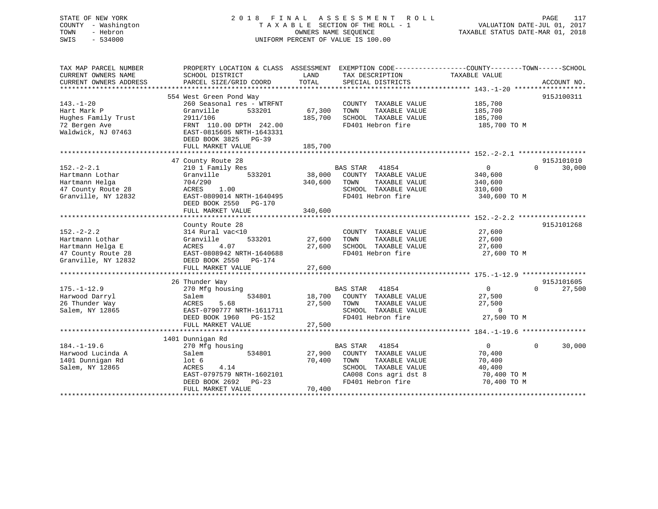## STATE OF NEW YORK 2 0 1 8 F I N A L A S S E S S M E N T R O L L PAGE 117 COUNTY - Washington T A X A B L E SECTION OF THE ROLL - 1 VALUATION DATE-JUL 01, 2017 TOWN - Hebron OWNERS NAME SEQUENCE TAXABLE STATUS DATE-MAR 01, 2018 SWIS - 534000 UNIFORM PERCENT OF VALUE IS 100.00

| TAX MAP PARCEL NUMBER<br>CURRENT OWNERS NAME                                                        | PROPERTY LOCATION & CLASS ASSESSMENT<br>SCHOOL DISTRICT                                                                                               | LAND              | EXEMPTION CODE-----------------COUNTY-------TOWN------SCHOOL<br>TAX DESCRIPTION                                                                 | TAXABLE VALUE                                                              |                    |
|-----------------------------------------------------------------------------------------------------|-------------------------------------------------------------------------------------------------------------------------------------------------------|-------------------|-------------------------------------------------------------------------------------------------------------------------------------------------|----------------------------------------------------------------------------|--------------------|
| CURRENT OWNERS ADDRESS                                                                              | PARCEL SIZE/GRID COORD                                                                                                                                | TOTAL             | SPECIAL DISTRICTS                                                                                                                               |                                                                            | ACCOUNT NO.        |
|                                                                                                     |                                                                                                                                                       |                   |                                                                                                                                                 |                                                                            |                    |
| $143. - 1 - 20$<br>Hart Mark P<br>Hughes Family Trust<br>72 Bergen Ave<br>Waldwick, NJ 07463        | 554 West Green Pond Way<br>260 Seasonal res - WTRFNT<br>Granville<br>533201<br>2911/106<br>FRNT 110.00 DPTH 242.00<br>EAST-0815605 NRTH-1643331       | 67,300<br>185,700 | COUNTY TAXABLE VALUE<br>TOWN<br>TAXABLE VALUE<br>SCHOOL TAXABLE VALUE<br>FD401 Hebron fire                                                      | 185,700<br>185,700<br>185,700<br>185,700 TO M                              | 915J100311         |
|                                                                                                     | DEED BOOK 3825 PG-39<br>FULL MARKET VALUE                                                                                                             | 185,700           |                                                                                                                                                 |                                                                            |                    |
|                                                                                                     |                                                                                                                                                       |                   |                                                                                                                                                 |                                                                            |                    |
|                                                                                                     | 47 County Route 28                                                                                                                                    |                   |                                                                                                                                                 |                                                                            | 915J101010         |
| $152. - 2 - 2.1$<br>Hartmann Lothar<br>Hartmann Helga<br>47 County Route 28<br>Granville, NY 12832  | 210 1 Family Res<br>533201<br>Granville<br>704/290<br>1.00<br>ACRES<br>EAST-0809014 NRTH-1640495<br>DEED BOOK 2550 PG-170                             | 38,000<br>340,600 | 41854<br><b>BAS STAR</b><br>COUNTY TAXABLE VALUE<br>TOWN<br>TAXABLE VALUE<br>SCHOOL TAXABLE VALUE<br>FD401 Hebron fire                          | $\mathbf{0}$<br>340,600<br>340,600<br>310,600<br>340,600 TO M              | $\Omega$<br>30,000 |
|                                                                                                     | FULL MARKET VALUE                                                                                                                                     | 340,600           |                                                                                                                                                 |                                                                            |                    |
|                                                                                                     | County Route 28                                                                                                                                       |                   |                                                                                                                                                 |                                                                            | 915J101268         |
| $152 - 2 - 2.2$<br>Hartmann Lothar<br>Hartmann Helga E<br>47 County Route 28<br>Granville, NY 12832 | 314 Rural vac<10<br>Granville<br>533201<br>4.07<br>ACRES<br>EAST-0808942 NRTH-1640688<br>DEED BOOK 2550<br>PG-174                                     | 27,600<br>27,600  | COUNTY TAXABLE VALUE<br>TOWN<br>TAXABLE VALUE<br>SCHOOL TAXABLE VALUE<br>FD401 Hebron fire                                                      | 27,600<br>27,600<br>27,600<br>27,600 TO M                                  |                    |
|                                                                                                     | FULL MARKET VALUE                                                                                                                                     | 27,600            |                                                                                                                                                 |                                                                            |                    |
|                                                                                                     | 26 Thunder Way                                                                                                                                        |                   |                                                                                                                                                 |                                                                            | 915J101605         |
| $175. - 1 - 12.9$<br>Harwood Darryl<br>26 Thunder Way<br>Salem, NY 12865                            | 270 Mfg housing<br>534801<br>Salem<br>5.68<br>ACRES<br>EAST-0790777 NRTH-1611711<br>DEED BOOK 1960 PG-152<br>FULL MARKET VALUE                        | 27,500<br>27,500  | 41854<br><b>BAS STAR</b><br>18,700 COUNTY TAXABLE VALUE<br>TAXABLE VALUE<br>TOWN<br>SCHOOL TAXABLE VALUE<br>FD401 Hebron fire                   | $\overline{0}$<br>27,500<br>27,500<br>$\Omega$<br>27,500 TO M              | 27,500<br>$\Omega$ |
|                                                                                                     |                                                                                                                                                       |                   |                                                                                                                                                 |                                                                            |                    |
| $184. - 1 - 19.6$<br>Harwood Lucinda A<br>1401 Dunnigan Rd<br>Salem, NY 12865                       | 1401 Dunnigan Rd<br>270 Mfg housing<br>534801<br>Salem<br>lot <sub>6</sub><br>ACRES<br>4.14<br>EAST-0797579 NRTH-1602101<br>DEED BOOK 2692<br>$PG-23$ | 27,900<br>70,400  | <b>BAS STAR</b><br>41854<br>COUNTY TAXABLE VALUE<br>TOWN<br>TAXABLE VALUE<br>SCHOOL TAXABLE VALUE<br>CA008 Cons agri dst 8<br>FD401 Hebron fire | $\overline{0}$<br>70,400<br>70,400<br>40,400<br>70,400 TO M<br>70,400 TO M | $\Omega$<br>30,000 |
|                                                                                                     | FULL MARKET VALUE                                                                                                                                     | 70,400            |                                                                                                                                                 |                                                                            |                    |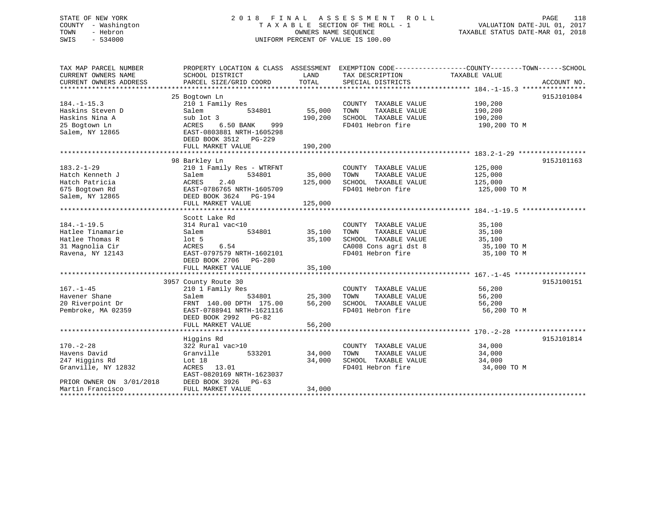| STATE OF NEW YORK<br>- Washington<br>COUNTY<br>- Hebron<br>TOWN<br>$-534000$<br>SWIS        |                                                                                                                                                                        |                              | 2018 FINAL ASSESSMENT ROLL<br>TAXABLE SECTION OF THE ROLL - 1<br>OWNERS NAME SEOUENCE<br>UNIFORM PERCENT OF VALUE IS 100.00 | 118<br>PAGE<br>PAGE 118<br>710, VALUATION DATE-JUL 01 سلسا<br>TAXABLE STATUS DATE-MAR 01, 2018                    |
|---------------------------------------------------------------------------------------------|------------------------------------------------------------------------------------------------------------------------------------------------------------------------|------------------------------|-----------------------------------------------------------------------------------------------------------------------------|-------------------------------------------------------------------------------------------------------------------|
| TAX MAP PARCEL NUMBER<br>CURRENT OWNERS NAME<br>CURRENT OWNERS ADDRESS                      | SCHOOL DISTRICT                                                                                                                                                        | LAND                         | TAX DESCRIPTION                                                                                                             | PROPERTY LOCATION & CLASS ASSESSMENT EXEMPTION CODE----------------COUNTY-------TOWN------SCHOOL<br>TAXABLE VALUE |
| $184. - 1 - 15.3$<br>Haskins Steven D<br>Haskins Nina A<br>25 Bogtown Ln<br>Salem, NY 12865 | 25 Bogtown Ln<br>210 1 Family Res<br>Salem<br>534801<br>sub lot 3<br>ACRES 6.50 BANK 999<br>EAST-0803881 NRTH-1605298<br>DEED BOOK 3512<br>PG-229<br>FULL MARKET VALUE | 55,000<br>190,200<br>190,200 | COUNTY TAXABLE VALUE<br>TOWN<br>TAXABLE VALUE<br>SCHOOL TAXABLE VALUE<br>FD401 Hebron fire                                  | 915J101084<br>190,200<br>190,200<br>190,200<br>190,200 TO M                                                       |
| $183.2 - 1 - 29$<br>Hatch Kenneth J<br>Hatch Patricia<br>675 Bogtown Rd<br>Salem, NY 12865  | 98 Barkley Ln<br>210 1 Family Res - WTRFNT<br>534801<br>Salem<br>ACRES 2.40<br>EAST-0786765 NRTH-1605709<br>DEED BOOK 3624 PG-194<br>FULL MARKET VALUE                 | 35,000 TOWN<br>125,000       | COUNTY TAXABLE VALUE<br>TAXABLE VALUE<br>125,000 SCHOOL TAXABLE VALUE<br>FD401 Hebron fire                                  | 915J101163<br>125,000<br>125,000<br>125,000<br>125,000 TO M                                                       |
| $184. - 1 - 19.5$<br>Hatlee Tinamarie                                                       | Scott Lake Rd<br>314 Rural vac<10<br>Salem<br>534801                                                                                                                   | 35,100                       | COUNTY TAXABLE VALUE<br>TOWN<br>TAXABLE VALUE                                                                               | 35,100<br>35,100                                                                                                  |

| Hatlee Thomas R          | lot 5                     | 35,100 | SCHOOL TAXABLE VALUE    | 35,100      |
|--------------------------|---------------------------|--------|-------------------------|-------------|
| 31 Magnolia Cir          | 6.54<br>ACRES             |        | CA008 Cons agri dst 8   | 35,100 TO M |
| Ravena, NY 12143         | EAST-0797579 NRTH-1602101 |        | FD401 Hebron fire       | 35,100 TO M |
|                          | DEED BOOK 2706 PG-280     |        |                         |             |
|                          | FULL MARKET VALUE         | 35,100 |                         |             |
|                          |                           |        |                         |             |
|                          | 3957 County Route 30      |        |                         | 915J100151  |
| $167. - 1 - 45$          | 210 1 Family Res          |        | COUNTY<br>TAXABLE VALUE | 56,200      |
| Havener Shane            | Salem<br>534801           | 25,300 | TOWN<br>TAXABLE VALUE   | 56,200      |
| 20 Riverpoint Dr         | FRNT 140.00 DPTH 175.00   | 56,200 | SCHOOL TAXABLE VALUE    | 56,200      |
| Pembroke, MA 02359       | EAST-0788941 NRTH-1621116 |        | FD401 Hebron fire       | 56,200 TO M |
|                          | DEED BOOK 2992 PG-82      |        |                         |             |
|                          | FULL MARKET VALUE         | 56,200 |                         |             |
|                          |                           |        |                         |             |
|                          | Higgins Rd                |        |                         | 915J101814  |
| $170. - 2 - 28$          | 322 Rural vac>10          |        | COUNTY<br>TAXABLE VALUE | 34,000      |
| Havens David             | Granville<br>533201       | 34,000 | TOWN<br>TAXABLE VALUE   | 34,000      |
| 247 Higgins Rd           | Lot 18                    | 34,000 | SCHOOL TAXABLE VALUE    | 34,000      |
| Granville, NY 12832      | ACRES 13.01               |        | FD401 Hebron fire       | 34,000 TO M |
|                          | EAST-0820169 NRTH-1623037 |        |                         |             |
| PRIOR OWNER ON 3/01/2018 | DEED BOOK 3926 PG-63      |        |                         |             |
| Martin Francisco         | FULL MARKET VALUE         | 34,000 |                         |             |
|                          |                           |        |                         |             |
|                          |                           |        |                         |             |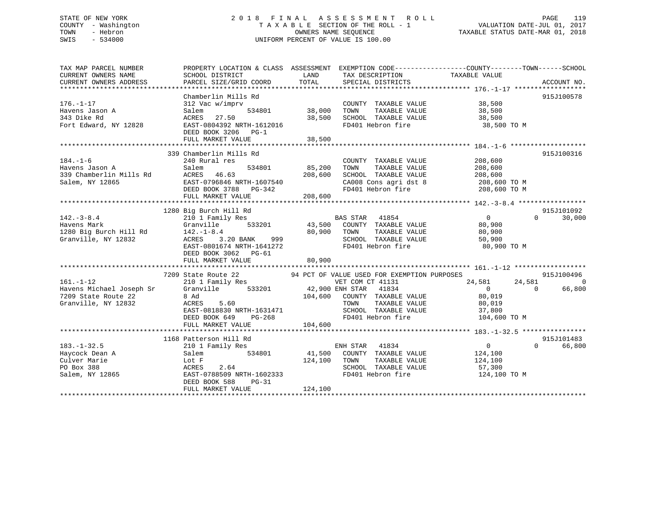## STATE OF NEW YORK 2 0 1 8 F I N A L A S S E S S M E N T R O L L PAGE 119 COUNTY - Washington T A X A B L E SECTION OF THE ROLL - 1 VALUATION DATE-JUL 01, 2017 TOWN - Hebron OWNERS NAME SEQUENCE TAXABLE STATUS DATE-MAR 01, 2018 SWIS - 534000 UNIFORM PERCENT OF VALUE IS 100.00

| TAX MAP PARCEL NUMBER             |                                                                 | PROPERTY LOCATION & CLASS ASSESSMENT EXEMPTION CODE---------------COUNTY-------TOWN------SCHOOL |                                         |
|-----------------------------------|-----------------------------------------------------------------|-------------------------------------------------------------------------------------------------|-----------------------------------------|
| CURRENT OWNERS NAME               | SCHOOL DISTRICT                                                 | LAND<br>TAX DESCRIPTION                                                                         | TAXABLE VALUE                           |
| CURRENT OWNERS ADDRESS            | PARCEL SIZE/GRID COORD                                          | TOTAL<br>SPECIAL DISTRICTS                                                                      | ACCOUNT NO.                             |
|                                   |                                                                 |                                                                                                 |                                         |
| $176. - 1 - 17$                   | Chamberlin Mills Rd<br>312 Vac w/imprv                          | COUNTY TAXABLE VALUE 38,500                                                                     | 915J100578                              |
|                                   |                                                                 | 534801 38,000 TOWN                                                                              |                                         |
| Havens Jason A<br>343 Dike Rd     | Salem                                                           |                                                                                                 | TAXABLE VALUE 38,500                    |
| Fort Edward, NY 12828             | ACRES 27.50 38,50<br>EAST-0804392 NRTH-1612016 38,50            | 38,500 SCHOOL TAXABLE VALUE<br>FD401 Hebron fire                                                | 38,500<br>38,500 TO M                   |
|                                   | DEED BOOK 3206 PG-1                                             |                                                                                                 |                                         |
|                                   |                                                                 |                                                                                                 |                                         |
|                                   |                                                                 |                                                                                                 |                                         |
|                                   | 339 Chamberlin Mills Rd                                         |                                                                                                 | 915J100316                              |
| $184. - 1 - 6$                    | 240 Rural res                                                   | COUNTY TAXABLE VALUE                                                                            | 208,600                                 |
| Havens Jason A                    | Salem                                                           | 534801 85,200<br>TAXABLE VALUE<br>TOWN                                                          | 208,600                                 |
| 339 Chamberlin Mills Rd           | Saiem<br>ACRES 46.63                                            | 208,600<br>SCHOOL TAXABLE VALUE                                                                 | 208,600                                 |
| Salem, NY 12865                   | EAST-0796846 NRTH-1607540                                       | CA008 Cons agri dst 8 208,600 TO M                                                              |                                         |
|                                   | DEED BOOK 3788 PG-342                                           | FD401 Hebron fire                                                                               | 208,600 TO M                            |
|                                   | FULL MARKET VALUE                                               | 208,600                                                                                         |                                         |
|                                   |                                                                 |                                                                                                 |                                         |
|                                   | 1280 Big Burch Hill Rd                                          |                                                                                                 | 915J101092                              |
| $142. - 3 - 8.4$                  | 210 1 Family Res                                                | BAS STAR 41854                                                                                  | $\overline{0}$<br>$\Omega$<br>30,000    |
| Havens Mark                       | Granville 533201                                                | 43,500 COUNTY TAXABLE VALUE                                                                     | 80,900                                  |
| 1280 Big Burch Hill Rd 142.-1-8.4 |                                                                 | 80,900 TOWN<br>TAXABLE VALUE                                                                    | 80,900                                  |
| Granville, NY 12832               | ACRES                                                           | SCHOOL TAXABLE VALUE                                                                            | 50,900                                  |
|                                   | $-8.4$<br>3.20 BANK 999<br>EAST-0801674 NRTH-1641272            | FD401 Hebron fire                                                                               | 80,900 TO M                             |
|                                   | DEED BOOK 3062 PG-61                                            |                                                                                                 |                                         |
|                                   | FULL MARKET VALUE                                               | 80,900                                                                                          |                                         |
|                                   |                                                                 |                                                                                                 |                                         |
|                                   |                                                                 |                                                                                                 | 915J100496                              |
| $161. - 1 - 12$                   |                                                                 |                                                                                                 | 24,581<br>24,581<br>$\Omega$            |
|                                   | Havens Michael Joseph Sr Granville 533201 42,900 ENH STAR 41834 |                                                                                                 | 66,800<br>$\overline{0}$<br>$\Omega$    |
| 7209 State Route 22               | 8 Ad                                                            | 104,600 COUNTY TAXABLE VALUE                                                                    | 80,019                                  |
| Granville, NY 12832               | 5.60<br>ACRES                                                   | TOWN<br>TAXABLE VALUE                                                                           | 80,019                                  |
|                                   | EAST-0818830 NRTH-1631471                                       |                                                                                                 | 37,800                                  |
|                                   | EASI-0018830 NRTH-1631471<br>DEED BOOK 649 PG-268               | SCHOOL TAXABLE VALUE<br>FD401 Hebron fire                                                       | 104,600 TO M                            |
|                                   | FULL MARKET VALUE                                               | 104,600                                                                                         |                                         |
|                                   |                                                                 |                                                                                                 |                                         |
|                                   | 1168 Patterson Hill Rd                                          |                                                                                                 | 915J101483                              |
| $183. - 1 - 32.5$                 | 210 1 Family Res                                                | ENH STAR 41834                                                                                  | $0 \qquad \qquad$<br>66,800<br>$\Omega$ |
| Haycock Dean A                    | 534801<br>Salem                                                 | 41,500 COUNTY TAXABLE VALUE 124,100                                                             |                                         |
| Culver Marie                      | Lot F                                                           | 124,100 TOWN                                                                                    | TAXABLE VALUE 124,100                   |
| PO Box 388                        | 2.64<br>ACRES                                                   | SCHOOL TAXABLE VALUE                                                                            | 57,300                                  |
| Salem, NY 12865                   | EAST-0788509 NRTH-1602333                                       | FD401 Hebron fire                                                                               | 124,100 TO M                            |
|                                   | DEED BOOK 588<br>PG-31                                          |                                                                                                 |                                         |
|                                   | FULL MARKET VALUE                                               | 124,100                                                                                         |                                         |
|                                   |                                                                 |                                                                                                 |                                         |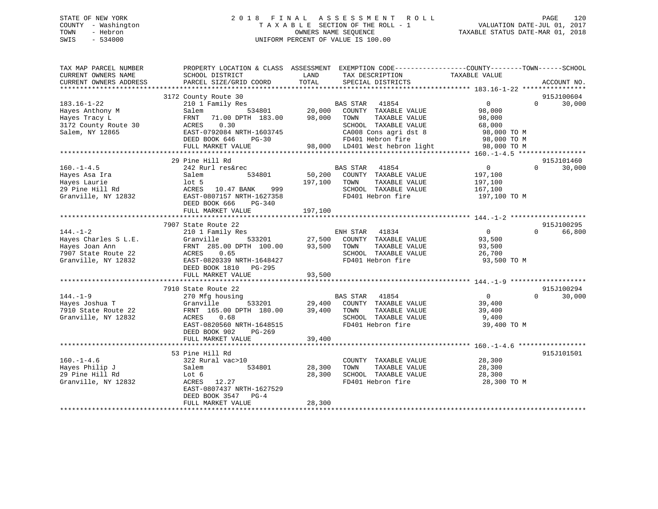## STATE OF NEW YORK 2 0 1 8 F I N A L A S S E S S M E N T R O L L PAGE 120 COUNTY - Washington T A X A B L E SECTION OF THE ROLL - 1 VALUATION DATE-JUL 01, 2017 TOWN - Hebron OWNERS NAME SEQUENCE TAXABLE STATUS DATE-MAR 01, 2018 SWIS - 534000 UNIFORM PERCENT OF VALUE IS 100.00

| SCHOOL DISTRICT                                                                                                                      | LAND                                                                                                                                                                                                 | TAX DESCRIPTION                                                                                                                                                        | TAXABLE VALUE                                                                                                                                                                                                                        |                                                                                                                                                                                                                                                                                                                                                   |
|--------------------------------------------------------------------------------------------------------------------------------------|------------------------------------------------------------------------------------------------------------------------------------------------------------------------------------------------------|------------------------------------------------------------------------------------------------------------------------------------------------------------------------|--------------------------------------------------------------------------------------------------------------------------------------------------------------------------------------------------------------------------------------|---------------------------------------------------------------------------------------------------------------------------------------------------------------------------------------------------------------------------------------------------------------------------------------------------------------------------------------------------|
|                                                                                                                                      |                                                                                                                                                                                                      |                                                                                                                                                                        |                                                                                                                                                                                                                                      | ACCOUNT NO.                                                                                                                                                                                                                                                                                                                                       |
|                                                                                                                                      |                                                                                                                                                                                                      |                                                                                                                                                                        |                                                                                                                                                                                                                                      | 915J100604                                                                                                                                                                                                                                                                                                                                        |
| 210 1 Family Res<br>Salem<br>FRNT 71.00 DPTH 183.00<br>ACRES 0.30<br>DEED BOOK 646<br>$PG-30$<br>FULL MARKET VALUE                   |                                                                                                                                                                                                      | SCHOOL TAXABLE VALUE                                                                                                                                                   | $\overline{0}$<br>98,000<br>98,000<br>68,000<br>98,000 TO M<br>98,000 TO M<br>98,000 TO M                                                                                                                                            | $\Omega$<br>30,000                                                                                                                                                                                                                                                                                                                                |
|                                                                                                                                      |                                                                                                                                                                                                      |                                                                                                                                                                        |                                                                                                                                                                                                                                      | 915J101460                                                                                                                                                                                                                                                                                                                                        |
| 242 Rurl res&rec<br>534801<br>Salem<br>$1$ ot 5<br>DEED BOOK 666<br>PG-340                                                           |                                                                                                                                                                                                      | 41854<br>TAXABLE VALUE<br>SCHOOL TAXABLE VALUE<br>FD401 Hebron fire                                                                                                    | $\overline{0}$<br>197,100<br>197,100<br>167,100<br>197,100 TO M                                                                                                                                                                      | $\Omega$<br>30,000                                                                                                                                                                                                                                                                                                                                |
|                                                                                                                                      |                                                                                                                                                                                                      |                                                                                                                                                                        |                                                                                                                                                                                                                                      |                                                                                                                                                                                                                                                                                                                                                   |
|                                                                                                                                      |                                                                                                                                                                                                      |                                                                                                                                                                        |                                                                                                                                                                                                                                      | 915J100295                                                                                                                                                                                                                                                                                                                                        |
| 210 1 Family Res<br>Granville<br>ACRES 0.65<br>DEED BOOK 1810 PG-295                                                                 |                                                                                                                                                                                                      | TAXABLE VALUE<br>SCHOOL TAXABLE VALUE<br>FD401 Hebron fire                                                                                                             | $\overline{0}$<br>93,500<br>93,500<br>26,700<br>93,500 TO M                                                                                                                                                                          | $\Omega$<br>66,800                                                                                                                                                                                                                                                                                                                                |
|                                                                                                                                      |                                                                                                                                                                                                      |                                                                                                                                                                        |                                                                                                                                                                                                                                      |                                                                                                                                                                                                                                                                                                                                                   |
| 270 Mfg housing<br>Granville<br>FRNT 165.00 DPTH 180.00<br>0.68<br>ACRES<br>DEED BOOK 902<br>PG-269<br>FULL MARKET VALUE             | 39,400                                                                                                                                                                                               | SCHOOL TAXABLE VALUE<br>FD401 Hebron fire                                                                                                                              | $\overline{0}$<br>39,400<br>39,400<br>9,400<br>39,400 TO M                                                                                                                                                                           | 915J100294<br>$\Omega$<br>30,000                                                                                                                                                                                                                                                                                                                  |
|                                                                                                                                      |                                                                                                                                                                                                      |                                                                                                                                                                        |                                                                                                                                                                                                                                      |                                                                                                                                                                                                                                                                                                                                                   |
| 322 Rural vac>10<br>534801<br>Salem<br>Lot 6<br>ACRES 12.27<br>EAST-0807437 NRTH-1627529<br>DEED BOOK 3547 PG-4<br>FULL MARKET VALUE | 28,300<br>28,300<br>28,300                                                                                                                                                                           | TOWN<br>TAXABLE VALUE<br>SCHOOL TAXABLE VALUE<br>FD401 Hebron fire                                                                                                     | 28,300<br>28,300<br>28,300 TO M                                                                                                                                                                                                      | 915J101501                                                                                                                                                                                                                                                                                                                                        |
|                                                                                                                                      | PARCEL SIZE/GRID COORD<br>3172 County Route 30<br>3172 County Route 30<br>29 Pine Hill Rd<br>FULL MARKET VALUE<br>7907 State Route 22<br>FULL MARKET VALUE<br>7910 State Route 22<br>53 Pine Hill Rd | TOTAL<br>EAST-0792084 NRTH-1603745<br>ACRES 10.47 BANK 999<br>EAST-0807157 NRTH-1627358<br>197,100<br>EAST-0820339 NRTH-1648427<br>93,500<br>EAST-0820560 NRTH-1648515 | PROPERTY LOCATION & CLASS ASSESSMENT<br>SPECIAL DISTRICTS<br><b>BAS STAR 41854</b><br>98,000 TOWN<br>BAS STAR<br>50,200 COUNTY TAXABLE VALUE<br>197,100 TOWN<br>FRNT 285.00 DPTH 100.00 93,500 TOWN<br>BAS STAR 41854<br>39,400 TOWN | EXEMPTION CODE-----------------COUNTY-------TOWN------SCHOOL<br>534801 20,000 COUNTY TAXABLE VALUE<br>TAXABLE VALUE<br>CA008 Cons agri dst 8<br>FD401 Hebron fire<br>98,000 LD401 West hebron light<br>ENH STAR 41834<br>533201 27,500 COUNTY TAXABLE VALUE<br>533201 29,400 COUNTY TAXABLE VALUE<br>TAXABLE VALUE<br>COUNTY TAXABLE VALUE 28,300 |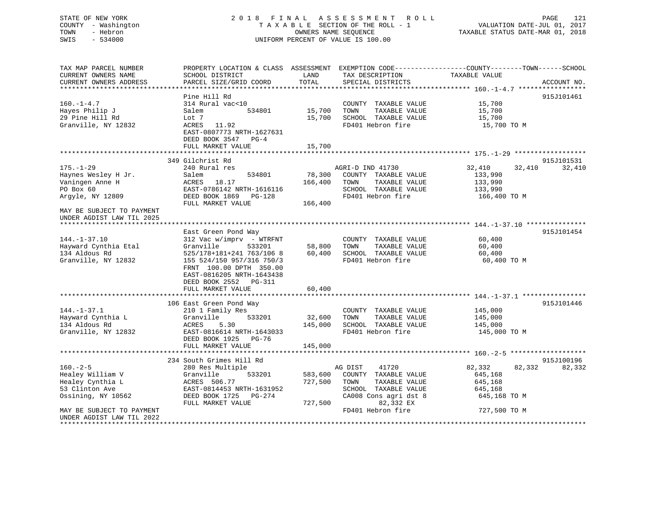## STATE OF NEW YORK 2 0 1 8 F I N A L A S S E S S M E N T R O L L PAGE 121 COUNTY - Washington T A X A B L E SECTION OF THE ROLL - 1 VALUATION DATE-JUL 01, 2017 TOWN - Hebron **CONNERS NAME SEQUENCE** TAXABLE STATUS DATE-MAR 01, 2018 SWIS - 534000 UNIFORM PERCENT OF VALUE IS 100.00

| TAX MAP PARCEL NUMBER<br>CURRENT OWNERS NAME<br>CURRENT OWNERS ADDRESS                         | PROPERTY LOCATION & CLASS ASSESSMENT<br>SCHOOL DISTRICT<br>PARCEL SIZE/GRID COORD                                                                                                          | LAND<br>TOTAL                 | TAX DESCRIPTION<br>SPECIAL DISTRICTS                                                                                            | EXEMPTION CODE-----------------COUNTY-------TOWN------SCHOOL<br>TAXABLE VALUE | ACCOUNT NO.          |
|------------------------------------------------------------------------------------------------|--------------------------------------------------------------------------------------------------------------------------------------------------------------------------------------------|-------------------------------|---------------------------------------------------------------------------------------------------------------------------------|-------------------------------------------------------------------------------|----------------------|
|                                                                                                |                                                                                                                                                                                            |                               |                                                                                                                                 |                                                                               |                      |
| $160. - 1 - 4.7$<br>Hayes Philip J<br>29 Pine Hill Rd<br>Granville, NY 12832                   | Pine Hill Rd<br>314 Rural vac<10<br>Salem<br>534801<br>Lot 7<br>ACRES 11.92                                                                                                                | 15,700<br>15,700              | COUNTY TAXABLE VALUE<br>TOWN<br>TAXABLE VALUE<br>SCHOOL TAXABLE VALUE<br>FD401 Hebron fire                                      | 15,700<br>15,700<br>15,700<br>15,700 TO M                                     | 915J101461           |
|                                                                                                | EAST-0807773 NRTH-1627631<br>DEED BOOK 3547 PG-4<br>FULL MARKET VALUE                                                                                                                      | 15,700                        |                                                                                                                                 |                                                                               |                      |
|                                                                                                |                                                                                                                                                                                            |                               |                                                                                                                                 |                                                                               |                      |
| $175. - 1 - 29$<br>Haynes Wesley H Jr.<br>Vaningen Anne H<br>PO Box 60<br>Argyle, NY 12809     | 349 Gilchrist Rd<br>240 Rural res<br>534801<br>Salem<br>ACRES 18.17<br>EAST-0786142 NRTH-1616116<br>DEED BOOK 1869<br>$PG-128$<br>FULL MARKET VALUE                                        | 78,300<br>166,400<br>166,400  | AGRI-D IND 41730<br>COUNTY TAXABLE VALUE<br>TOWN<br>TAXABLE VALUE<br>SCHOOL TAXABLE VALUE<br>FD401 Hebron fire                  | 32,410<br>32,410<br>133,990<br>133,990<br>133,990<br>166,400 TO M             | 915J101531<br>32,410 |
| MAY BE SUBJECT TO PAYMENT<br>UNDER AGDIST LAW TIL 2025                                         |                                                                                                                                                                                            |                               |                                                                                                                                 |                                                                               |                      |
|                                                                                                | East Green Pond Way                                                                                                                                                                        |                               |                                                                                                                                 |                                                                               | 915J101454           |
| $144. - 1 - 37.10$<br>Hayward Cynthia Etal<br>134 Aldous Rd<br>Granville, NY 12832             | 312 Vac w/imprv - WTRFNT<br>Granville<br>533201<br>525/178+181+241 763/106 8<br>155 524/150 957/316 750/3<br>FRNT 100.00 DPTH 350.00<br>EAST-0816205 NRTH-1643438<br>DEED BOOK 2552 PG-311 | 58,800<br>60,400              | COUNTY TAXABLE VALUE<br>TOWN<br>TAXABLE VALUE<br>SCHOOL TAXABLE VALUE<br>FD401 Hebron fire                                      | 60,400<br>60,400<br>60,400<br>60,400 TO M                                     |                      |
|                                                                                                | FULL MARKET VALUE                                                                                                                                                                          | 60,400                        |                                                                                                                                 |                                                                               |                      |
| $144. - 1 - 37.1$<br>Hayward Cynthia L<br>134 Aldous Rd<br>Granville, NY 12832                 | 106 East Green Pond Way<br>210 1 Family Res<br>Granville<br>533201<br>ACRES<br>5.30<br>EAST-0816614 NRTH-1643033<br>DEED BOOK 1925 PG-76                                                   | 32,600<br>145,000             | COUNTY TAXABLE VALUE<br>TAXABLE VALUE<br>TOWN<br>SCHOOL TAXABLE VALUE<br>FD401 Hebron fire                                      | 145,000<br>145,000<br>145,000<br>145,000 TO M                                 | 915J101446           |
|                                                                                                | FULL MARKET VALUE                                                                                                                                                                          | 145,000                       |                                                                                                                                 |                                                                               |                      |
|                                                                                                | 234 South Grimes Hill Rd                                                                                                                                                                   |                               |                                                                                                                                 |                                                                               | 915J100196           |
| $160. - 2 - 5$<br>Healey William V<br>Healey Cynthia L<br>53 Clinton Ave<br>Ossining, NY 10562 | 280 Res Multiple<br>Granville<br>533201<br>ACRES 506.77<br>EAST-0814453 NRTH-1631952<br>DEED BOOK 1725 PG-274<br>FULL MARKET VALUE                                                         | 583,600<br>727,500<br>727,500 | 41720<br>AG DIST<br>COUNTY TAXABLE VALUE<br>TOWN<br>TAXABLE VALUE<br>SCHOOL TAXABLE VALUE<br>CA008 Cons agri dst 8<br>82,332 EX | 82,332<br>82,332<br>645,168<br>645,168<br>645,168<br>645,168 TO M             | 82,332               |
| MAY BE SUBJECT TO PAYMENT<br>UNDER AGDIST LAW TIL 2022                                         |                                                                                                                                                                                            |                               | FD401 Hebron fire                                                                                                               | 727,500 TO M                                                                  |                      |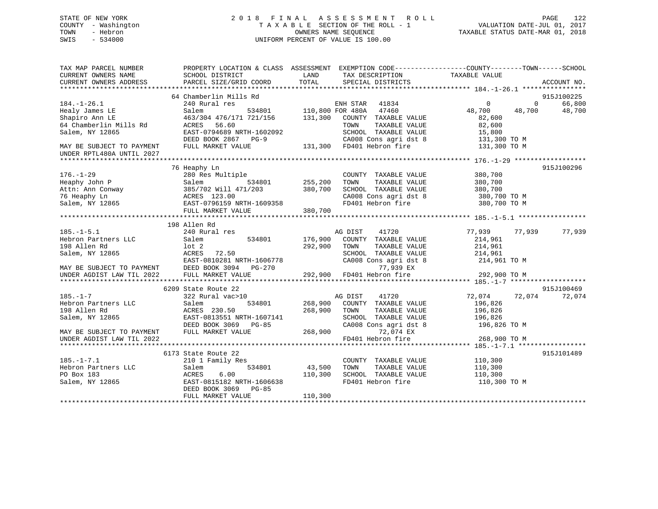## STATE OF NEW YORK 2 0 1 8 F I N A L A S S E S S M E N T R O L L PAGE 122 COUNTY - Washington T A X A B L E SECTION OF THE ROLL - 1 VALUATION DATE-JUL 01, 2017 TOWN - Hebron OWNERS NAME SEQUENCE TAXABLE STATUS DATE-MAR 01, 2018 SWIS - 534000 UNIFORM PERCENT OF VALUE IS 100.00

| TAX MAP PARCEL NUMBER<br>CURRENT OWNERS NAME           | PROPERTY LOCATION & CLASS ASSESSMENT<br>SCHOOL DISTRICT      | LAND<br>TAX DESCRIPTION                 | EXEMPTION CODE----------------COUNTY-------TOWN-----SCHOOL<br>TAXABLE VALUE |
|--------------------------------------------------------|--------------------------------------------------------------|-----------------------------------------|-----------------------------------------------------------------------------|
| CURRENT OWNERS ADDRESS                                 | PARCEL SIZE/GRID COORD                                       | TOTAL<br>SPECIAL DISTRICTS              | ACCOUNT NO.                                                                 |
|                                                        | 64 Chamberlin Mills Rd                                       |                                         | 915J100225                                                                  |
| $184. - 1 - 26.1$                                      | 240 Rural res                                                | ENH STAR 41834                          | 66,800<br>$\Omega$<br>$\Omega$                                              |
| Healy James LE                                         | Salem                                                        | 534801 110,800 FOR 480A<br>47460        | 48,700<br>48,700<br>48,700                                                  |
| Shapiro Ann LE                                         | 463/304 476/171 721/156                                      | 131,300<br>COUNTY TAXABLE VALUE         | 82,600                                                                      |
| 64 Chamberlin Mills Rd                                 | 56.60<br>ACRES                                               | TAXABLE VALUE<br>TOWN                   | 82,600                                                                      |
| Salem, NY 12865                                        | EAST-0794689 NRTH-1602092                                    | SCHOOL TAXABLE VALUE                    | 15,800                                                                      |
|                                                        | DEED BOOK 2867<br>$PG-9$                                     | CA008 Cons agri dst 8                   | 131,300 TO M                                                                |
| MAY BE SUBJECT TO PAYMENT<br>UNDER RPTL480A UNTIL 2027 | FULL MARKET VALUE                                            | 131,300 FD401 Hebron fire               | 131,300 TO M                                                                |
|                                                        | 76 Heaphy Ln                                                 |                                         | 915J100296                                                                  |
| $176. - 1 - 29$                                        | 280 Res Multiple                                             | COUNTY TAXABLE VALUE                    | 380,700                                                                     |
| Heaphy John P                                          | 534801<br>Salem                                              | 255,200<br>TAXABLE VALUE<br>TOWN        | 380,700                                                                     |
| Attn: Ann Conway                                       | 385/702 Will 471/203                                         | 380,700<br>SCHOOL TAXABLE VALUE         | 380,700                                                                     |
|                                                        |                                                              | CA008 Cons agri dst 8                   | 380,700 TO M                                                                |
|                                                        | 76 Heaphy Ln<br>Salem, NY 12865<br>EAST-0796159 NRTH-1609358 | FD401 Hebron fire                       | 380,700 TO M                                                                |
|                                                        | FULL MARKET VALUE                                            | 380,700                                 |                                                                             |
|                                                        |                                                              |                                         |                                                                             |
|                                                        | 198 Allen Rd                                                 |                                         |                                                                             |
| $185. - 1 - 5.1$                                       | 240 Rural res                                                | AG DIST<br>41720                        | 77,939<br>77,939<br>77,939                                                  |
| Hebron Partners LLC                                    | 534801<br>Salem                                              | 176,900<br>COUNTY TAXABLE VALUE         | 214,961                                                                     |
| 198 Allen Rd                                           | lot 2                                                        | 292,900<br>TOWN<br>TAXABLE VALUE        | 214,961<br>214,961                                                          |
| Salem, NY 12865                                        | ACRES<br>72.50<br>EAST-0810281 NRTH-1606778                  | SCHOOL TAXABLE VALUE                    |                                                                             |
| MAY BE SUBJECT TO PAYMENT                              | DEED BOOK 3094 PG-270                                        | CA008 Cons agri dst 8<br>77,939 EX      | 214,961 TO M                                                                |
| UNDER AGDIST LAW TIL 2022                              | FULL MARKET VALUE                                            | 292,900 FD401 Hebron fire               | 292,900 TO M                                                                |
|                                                        |                                                              |                                         |                                                                             |
|                                                        | 6209 State Route 22                                          |                                         | 915J100469                                                                  |
| $185. - 1 - 7$                                         | 322 Rural vac>10                                             | 41720<br>AG DIST                        | 72,074 72,074<br>72,074                                                     |
| Hebron Partners LLC                                    | Salem<br>534801                                              | 268,900<br>COUNTY TAXABLE VALUE         | 196,826                                                                     |
| 198 Allen Rd                                           | ACRES 230.50                                                 | 268,900<br>TOWN<br>TAXABLE VALUE        | 196,826                                                                     |
| Salem, NY 12865                                        | EAST-0813551 NRTH-1607141                                    | SCHOOL TAXABLE VALUE                    | 196,826                                                                     |
|                                                        | DEED BOOK 3069 PG-85                                         | CA008 Cons agri dst 8                   | 196,826 TO M                                                                |
| MAY BE SUBJECT TO PAYMENT                              | FULL MARKET VALUE                                            | 268,900<br>72,074 EX                    |                                                                             |
| UNDER AGDIST LAW TIL 2022                              |                                                              | FD401 Hebron fire                       | 268,900 TO M                                                                |
|                                                        |                                                              |                                         |                                                                             |
| $185. - 1 - 7.1$                                       | 6173 State Route 22<br>210 1 Family Res                      | COUNTY TAXABLE VALUE                    | 915J101489                                                                  |
| Hebron Partners LLC                                    | 534801                                                       | 43,500<br>TAXABLE VALUE                 | 110,300                                                                     |
| PO Box 183                                             | Salem<br>6.00<br>ACRES                                       | TOWN<br>110,300<br>SCHOOL TAXABLE VALUE | 110,300<br>110,300                                                          |
| Salem, NY 12865                                        | EAST-0815182 NRTH-1606638                                    | FD401 Hebron fire                       | 110,300 TO M                                                                |
|                                                        | DEED BOOK 3069 PG-85                                         |                                         |                                                                             |
|                                                        | FULL MARKET VALUE                                            | 110,300                                 |                                                                             |
|                                                        |                                                              |                                         |                                                                             |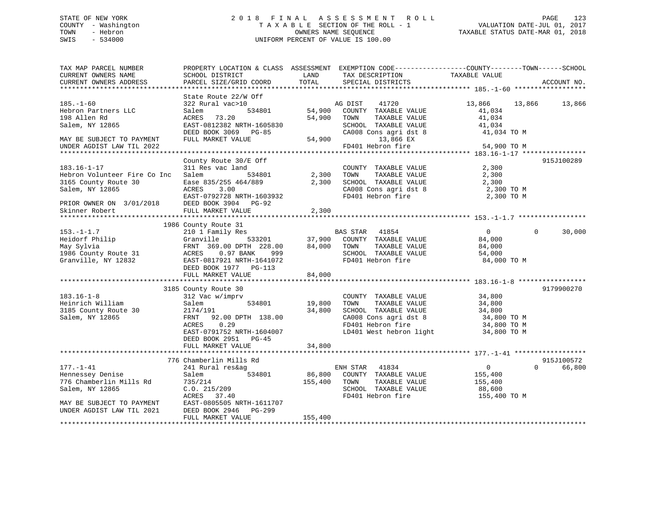## STATE OF NEW YORK 2 0 1 8 F I N A L A S S E S S M E N T R O L L PAGE 123 COUNTY - Washington T A X A B L E SECTION OF THE ROLL - 1 VALUATION DATE-JUL 01, 2017 TOWN - Hebron **CONNERS NAME SEQUENCE** TAXABLE STATUS DATE-MAR 01, 2018 SWIS - 534000 UNIFORM PERCENT OF VALUE IS 100.00

| TAX MAP PARCEL NUMBER<br>CURRENT OWNERS NAME<br>CURRENT OWNERS ADDRESS                          | SCHOOL DISTRICT<br>PARCEL SIZE/GRID COORD                                                                                                             | LAND<br>TOTAL     | TAX DESCRIPTION<br>SPECIAL DISTRICTS                                                                                                           | PROPERTY LOCATION & CLASS ASSESSMENT EXEMPTION CODE---------------COUNTY-------TOWN-----SCHOOL<br>TAXABLE VALUE | ACCOUNT NO.          |
|-------------------------------------------------------------------------------------------------|-------------------------------------------------------------------------------------------------------------------------------------------------------|-------------------|------------------------------------------------------------------------------------------------------------------------------------------------|-----------------------------------------------------------------------------------------------------------------|----------------------|
|                                                                                                 | State Route 22/W Off                                                                                                                                  |                   |                                                                                                                                                |                                                                                                                 |                      |
| $185. - 1 - 60$<br>Hebron Partners LLC<br>198 Allen Rd<br>Salem, NY 12865                       | 322 Rural vac>10<br>534801<br>Salem<br>73.20<br>ACRES<br>EAST-0812382 NRTH-1605830<br>DEED BOOK 3069 PG-85                                            | 54,900<br>54,900  | 41720<br>AG DIST<br>COUNTY TAXABLE VALUE<br>TOWN<br>TAXABLE VALUE<br>SCHOOL TAXABLE VALUE<br>CA008 Cons agri dst 8                             | 13,866<br>13,866<br>41,034<br>41,034<br>41,034<br>41,034 TO M                                                   | 13,866               |
| MAY BE SUBJECT TO PAYMENT<br>UNDER AGDIST LAW TIL 2022                                          | FULL MARKET VALUE                                                                                                                                     | 54,900            | 13,866 EX<br>FD401 Hebron fire                                                                                                                 | 54,900 TO M                                                                                                     |                      |
|                                                                                                 |                                                                                                                                                       |                   |                                                                                                                                                |                                                                                                                 |                      |
|                                                                                                 | County Route 30/E Off                                                                                                                                 |                   |                                                                                                                                                |                                                                                                                 | 915J100289           |
| $183.16 - 1 - 17$<br>Hebron Volunteer Fire Co Inc<br>3165 County Route 30<br>Salem, NY 12865    | 311 Res vac land<br>Salem<br>534801<br>Ease 835/255 464/889<br>ACRES<br>3.00<br>EAST-0792728 NRTH-1603932                                             | 2,300<br>2,300    | COUNTY TAXABLE VALUE<br>TAXABLE VALUE<br>TOWN<br>SCHOOL TAXABLE VALUE<br>CA008 Cons agri dst 8<br>FD401 Hebron fire                            | 2,300<br>2,300<br>2,300<br>2,300 TO M<br>2,300 TO M                                                             |                      |
| PRIOR OWNER ON 3/01/2018                                                                        | DEED BOOK 3904 PG-92                                                                                                                                  |                   |                                                                                                                                                |                                                                                                                 |                      |
| Skinner Robert                                                                                  | FULL MARKET VALUE                                                                                                                                     | 2,300             |                                                                                                                                                |                                                                                                                 |                      |
|                                                                                                 |                                                                                                                                                       |                   |                                                                                                                                                |                                                                                                                 |                      |
|                                                                                                 | 1986 County Route 31                                                                                                                                  |                   |                                                                                                                                                |                                                                                                                 |                      |
| $153. - 1 - 1.7$<br>Heidorf Philip<br>May Sylvia<br>1986 County Route 31<br>Granville, NY 12832 | 210 1 Family Res<br>Granville<br>533201<br>FRNT 369.00 DPTH 228.00<br>0.97 BANK<br>ACRES<br>999<br>EAST-0817921 NRTH-1641072<br>DEED BOOK 1977 PG-113 | 37,900<br>84,000  | BAS STAR 41854<br>COUNTY TAXABLE VALUE<br>TOWN<br>TAXABLE VALUE<br>SCHOOL TAXABLE VALUE<br>FD401 Hebron fire                                   | $\overline{0}$<br>$\Omega$<br>84,000<br>84,000<br>54,000<br>84,000 TO M                                         | 30,000               |
|                                                                                                 | FULL MARKET VALUE                                                                                                                                     | 84,000            |                                                                                                                                                |                                                                                                                 |                      |
|                                                                                                 | ***************************                                                                                                                           | ************      |                                                                                                                                                |                                                                                                                 |                      |
|                                                                                                 | 3185 County Route 30                                                                                                                                  |                   |                                                                                                                                                |                                                                                                                 | 9179900270           |
| $183.16 - 1 - 8$<br>Heinrich William<br>3185 County Route 30<br>Salem, NY 12865                 | 312 Vac w/imprv<br>534801<br>Salem<br>2174/191<br>FRNT<br>92.00 DPTH 138.00<br>0.29<br>ACRES<br>EAST-0791752 NRTH-1604007<br>DEED BOOK 2951 PG-45     | 19,800<br>34,800  | COUNTY TAXABLE VALUE<br>TAXABLE VALUE<br>TOWN<br>SCHOOL TAXABLE VALUE<br>CA008 Cons agri dst 8<br>FD401 Hebron fire<br>LD401 West hebron light | 34,800<br>34,800<br>34,800<br>34,800 TO M<br>34,800 TO M<br>34,800 TO M                                         |                      |
|                                                                                                 | FULL MARKET VALUE                                                                                                                                     | 34,800            |                                                                                                                                                |                                                                                                                 |                      |
|                                                                                                 |                                                                                                                                                       |                   |                                                                                                                                                |                                                                                                                 |                      |
| $177. - 1 - 41$                                                                                 | 776 Chamberlin Mills Rd<br>241 Rural res&ag                                                                                                           |                   | ENH STAR 41834                                                                                                                                 | $\mathbf 0$<br>$\Omega$                                                                                         | 915J100572<br>66,800 |
| Hennessey Denise<br>776 Chamberlin Mills Rd<br>Salem, NY 12865<br>MAY BE SUBJECT TO PAYMENT     | 534801<br>Salem<br>735/214<br>C.0.215/209<br>ACRES<br>37.40<br>EAST-0805505 NRTH-1611707                                                              | 86,800<br>155,400 | COUNTY TAXABLE VALUE<br>TOWN<br>TAXABLE VALUE<br>SCHOOL TAXABLE VALUE<br>FD401 Hebron fire                                                     | 155,400<br>155,400<br>88,600<br>155,400 TO M                                                                    |                      |
| UNDER AGDIST LAW TIL 2021                                                                       | DEED BOOK 2946<br>PG-299<br>FULL MARKET VALUE                                                                                                         | 155,400           |                                                                                                                                                |                                                                                                                 |                      |
|                                                                                                 |                                                                                                                                                       |                   |                                                                                                                                                |                                                                                                                 |                      |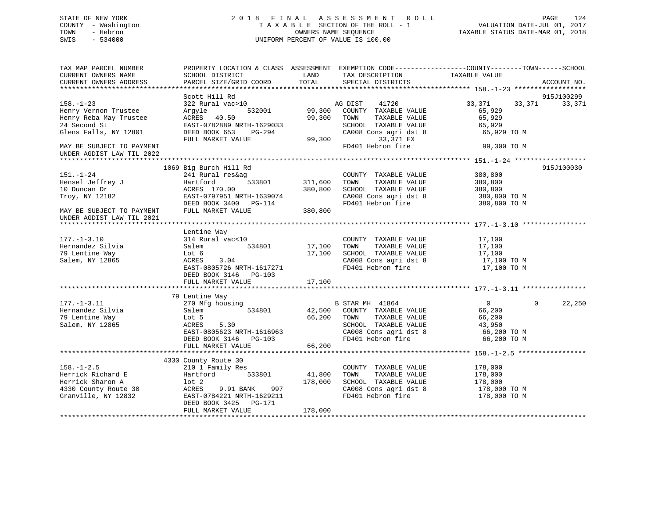## STATE OF NEW YORK 2 0 1 8 F I N A L A S S E S S M E N T R O L L PAGE 124 COUNTY - Washington T A X A B L E SECTION OF THE ROLL - 1 VALUATION DATE-JUL 01, 2017 TOWN - Hebron OWNERS NAME SEQUENCE TAXABLE STATUS DATE-MAR 01, 2018 SWIS - 534000 UNIFORM PERCENT OF VALUE IS 100.00

| TAX MAP PARCEL NUMBER<br>CURRENT OWNERS NAME<br>CURRENT OWNERS ADDRESS                                                          | PROPERTY LOCATION & CLASS ASSESSMENT EXEMPTION CODE----------------COUNTY-------TOWN------SCHOOL<br>SCHOOL DISTRICT<br>PARCEL SIZE/GRID COORD                   | LAND<br>TOTAL                 | TAX DESCRIPTION<br>SPECIAL DISTRICTS                                                                                                   | TAXABLE VALUE                                                              | ACCOUNT NO.          |
|---------------------------------------------------------------------------------------------------------------------------------|-----------------------------------------------------------------------------------------------------------------------------------------------------------------|-------------------------------|----------------------------------------------------------------------------------------------------------------------------------------|----------------------------------------------------------------------------|----------------------|
|                                                                                                                                 |                                                                                                                                                                 |                               |                                                                                                                                        |                                                                            |                      |
| $158. - 1 - 23$<br>Henry Vernon Trustee<br>Henry Reba May Trustee<br>24 Second St                                               | Scott Hill Rd<br>322 Rural vac>10<br>532001<br>Argyle<br>ACRES<br>40.50<br>EAST-0782889 NRTH-1629033                                                            | 99,300<br>99,300              | AG DIST<br>41720<br>COUNTY TAXABLE VALUE<br>TOWN<br>TAXABLE VALUE<br>SCHOOL TAXABLE VALUE                                              | 33,371<br>33,371<br>65,929<br>65,929<br>65,929                             | 915J100299<br>33,371 |
| Glens Falls, NY 12801<br>MAY BE SUBJECT TO PAYMENT<br>UNDER AGDIST LAW TIL 2022                                                 | DEED BOOK 653<br>PG-294<br>FULL MARKET VALUE                                                                                                                    | 99,300                        | CA008 Cons agri dst 8<br>33,371 EX<br>FD401 Hebron fire                                                                                | 65,929 TO M<br>99,300 TO M                                                 |                      |
|                                                                                                                                 |                                                                                                                                                                 |                               |                                                                                                                                        |                                                                            |                      |
| $151. - 1 - 24$<br>Hensel Jeffrey J<br>10 Duncan Dr<br>Troy, NY 12182<br>MAY BE SUBJECT TO PAYMENT<br>UNDER AGDIST LAW TIL 2021 | 1069 Big Burch Hill Rd<br>241 Rural res&ag<br>Hartford<br>533801<br>ACRES 170.00<br>EAST-0797951 NRTH-1639074<br>DEED BOOK 3400 PG-114<br>FULL MARKET VALUE     | 311,600<br>380,800<br>380,800 | COUNTY TAXABLE VALUE<br>TAXABLE VALUE<br>TOWN<br>SCHOOL TAXABLE VALUE<br>CA008 Cons agri dst 8<br>FD401 Hebron fire                    | 380,800<br>380,800<br>380,800<br>380,800 TO M<br>380,800 TO M              | 915J100030           |
|                                                                                                                                 | Lentine Way                                                                                                                                                     |                               |                                                                                                                                        |                                                                            |                      |
| $177. - 1 - 3.10$<br>Hernandez Silvia<br>79 Lentine Way<br>Salem, NY 12865                                                      | 314 Rural vac<10<br>Salem<br>534801<br>Lot 6<br>3.04<br>ACRES<br>EAST-0805726 NRTH-1617271<br>DEED BOOK 3146<br>PG-103                                          | 17,100<br>17,100              | COUNTY TAXABLE VALUE<br>TAXABLE VALUE<br>TOWN<br>SCHOOL TAXABLE VALUE<br>CA008 Cons agri dst 8<br>FD401 Hebron fire                    | 17,100<br>17,100<br>17,100<br>17,100 TO M<br>17,100 TO M                   |                      |
|                                                                                                                                 | FULL MARKET VALUE                                                                                                                                               | 17,100                        |                                                                                                                                        |                                                                            |                      |
|                                                                                                                                 |                                                                                                                                                                 |                               |                                                                                                                                        |                                                                            |                      |
| $177. - 1 - 3.11$<br>Hernandez Silvia<br>79 Lentine Way<br>Salem, NY 12865                                                      | 79 Lentine Way<br>270 Mfg housing<br>534801<br>Salem<br>Lot 5<br>ACRES<br>5.30<br>EAST-0805623 NRTH-1616963<br>DEED BOOK 3146 PG-103                            | 42,500<br>66,200              | B STAR MH 41864<br>COUNTY TAXABLE VALUE<br>TAXABLE VALUE<br>TOWN<br>SCHOOL TAXABLE VALUE<br>CA008 Cons agri dst 8<br>FD401 Hebron fire | $\overline{0}$<br>66,200<br>66,200<br>43,950<br>66,200 TO M<br>66,200 TO M | 22,250<br>$\Omega$   |
|                                                                                                                                 | FULL MARKET VALUE<br>******************************                                                                                                             | 66,200                        |                                                                                                                                        |                                                                            |                      |
|                                                                                                                                 | 4330 County Route 30                                                                                                                                            |                               |                                                                                                                                        |                                                                            |                      |
| $158. - 1 - 2.5$<br>Herrick Richard E<br>Herrick Sharon A<br>4330 County Route 30<br>Granville, NY 12832                        | 210 1 Family Res<br>Hartford<br>533801<br>$1$ ot $2$<br>ACRES<br>997<br>9.91 BANK<br>EAST-0784221 NRTH-1629211<br>DEED BOOK 3425<br>PG-171<br>FULL MARKET VALUE | 41,800<br>178,000<br>178,000  | COUNTY TAXABLE VALUE<br>TOWN<br>TAXABLE VALUE<br>SCHOOL TAXABLE VALUE<br>CA008 Cons agri dst 8<br>FD401 Hebron fire                    | 178,000<br>178,000<br>178,000<br>178,000 TO M<br>178,000 TO M              |                      |
|                                                                                                                                 |                                                                                                                                                                 |                               |                                                                                                                                        |                                                                            |                      |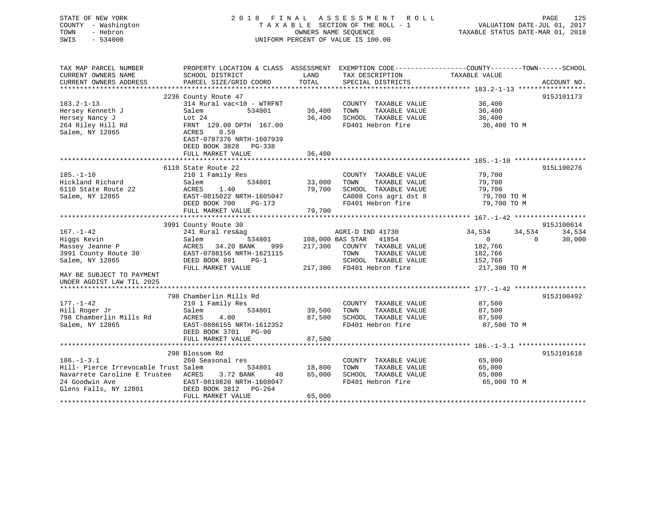| STATE OF NEW YORK<br>COUNTY - Washington<br>- Hebron<br>TOWN<br>$-534000$<br>SWIS | 2018 FINAL                                                                                                          | OWNERS NAME SEQUENCE        | A S S E S S M E N T<br>ROLL<br>TAXABLE SECTION OF THE ROLL - 1<br>UNIFORM PERCENT OF VALUE IS 100.00 | TAXABLE STATUS DATE-MAR 01, 2018            | PAGE<br>125<br>VALUATION DATE-JUL 01, 2017 |
|-----------------------------------------------------------------------------------|---------------------------------------------------------------------------------------------------------------------|-----------------------------|------------------------------------------------------------------------------------------------------|---------------------------------------------|--------------------------------------------|
| TAX MAP PARCEL NUMBER<br>CURRENT OWNERS NAME                                      | PROPERTY LOCATION & CLASS ASSESSMENT EXEMPTION CODE----------------COUNTY-------TOWN------SCHOOL<br>SCHOOL DISTRICT | LAND                        | TAX DESCRIPTION                                                                                      | TAXABLE VALUE                               |                                            |
| CURRENT OWNERS ADDRESS                                                            | PARCEL SIZE/GRID COORD                                                                                              | TOTAL                       | SPECIAL DISTRICTS                                                                                    |                                             | ACCOUNT NO.                                |
|                                                                                   | 2236 County Route 47                                                                                                |                             |                                                                                                      |                                             | 915J101173                                 |
| $183.2 - 1 - 13$                                                                  | 314 Rural vac<10 - WTRFNT                                                                                           |                             | COUNTY TAXABLE VALUE                                                                                 | 36,400                                      |                                            |
| Hersey Kenneth J                                                                  | Salem<br>534801                                                                                                     | 36,400                      | TOWN<br>TAXABLE VALUE                                                                                | 36,400                                      |                                            |
| Hersey Nancy J                                                                    | Lot $24$                                                                                                            | 36,400                      | SCHOOL TAXABLE VALUE                                                                                 | 36,400                                      |                                            |
| 264 Riley Hill Rd                                                                 | FRNT 129.00 DPTH 167.00                                                                                             |                             | FD401 Hebron fire                                                                                    | 36,400 TO M                                 |                                            |
| Salem, NY 12865                                                                   | ACRES<br>0.59<br>EAST-0787376 NRTH-1607939<br>DEED BOOK 3828<br>PG-338                                              |                             |                                                                                                      |                                             |                                            |
|                                                                                   | FULL MARKET VALUE                                                                                                   | 36,400                      |                                                                                                      |                                             |                                            |
|                                                                                   |                                                                                                                     |                             |                                                                                                      |                                             |                                            |
|                                                                                   | 6110 State Route 22                                                                                                 |                             |                                                                                                      |                                             | 915L100276                                 |
| $185. - 1 - 10$<br>Hickland Richard                                               | 210 1 Family Res<br>534801                                                                                          |                             | COUNTY TAXABLE VALUE<br>TAXABLE VALUE                                                                | 79,700                                      |                                            |
| 6110 State Route 22                                                               | Salem<br>ACRES<br>1.40                                                                                              | 33,000<br>79,700            | TOWN<br>SCHOOL TAXABLE VALUE                                                                         | 79,700<br>79,700                            |                                            |
| Salem, NY 12865                                                                   | EAST-0815022 NRTH-1605047                                                                                           |                             | CA008 Cons agri dst 8                                                                                | 79,700 TO M                                 |                                            |
|                                                                                   | DEED BOOK 700<br>PG-173                                                                                             |                             | FD401 Hebron fire                                                                                    | 79,700 TO M                                 |                                            |
|                                                                                   | FULL MARKET VALUE                                                                                                   | 79,700                      |                                                                                                      |                                             |                                            |
|                                                                                   | .                                                                                                                   | *********                   |                                                                                                      | ************* 167.-1-42 ******************* |                                            |
|                                                                                   | 3991 County Route 30                                                                                                |                             |                                                                                                      |                                             | 915J100614                                 |
| $167. - 1 - 42$                                                                   | 241 Rural res&ag                                                                                                    |                             | AGRI-D IND 41730                                                                                     | 34,534                                      | 34,534<br>34,534                           |
| Higgs Kevin                                                                       | 534801<br>Salem                                                                                                     | 108,000 BAS STAR            | 41854                                                                                                | $\overline{0}$                              | $\Omega$<br>30,000                         |
| Massey Jeanne P<br>3991 County Route 30                                           | 34.20 BANK<br>ACRES<br>999<br>EAST-0788156 NRTH-1621115                                                             | 217,300                     | COUNTY TAXABLE VALUE<br>TOWN<br>TAXABLE VALUE                                                        | 182,766<br>182,766                          |                                            |
| Salem, NY 12865                                                                   | DEED BOOK 891<br>$PG-1$                                                                                             |                             | SCHOOL TAXABLE VALUE                                                                                 | 152,766                                     |                                            |
|                                                                                   | FULL MARKET VALUE                                                                                                   |                             | 217,300 FD401 Hebron fire                                                                            | 217,300 TO M                                |                                            |
| MAY BE SUBJECT TO PAYMENT<br>UNDER AGDIST LAW TIL 2025                            |                                                                                                                     |                             |                                                                                                      |                                             |                                            |
|                                                                                   |                                                                                                                     |                             |                                                                                                      |                                             |                                            |
|                                                                                   | 798 Chamberlin Mills Rd                                                                                             |                             |                                                                                                      |                                             | 915J100492                                 |
| $177. - 1 - 42$                                                                   | 210 1 Family Res                                                                                                    |                             | COUNTY TAXABLE VALUE                                                                                 | 87,500                                      |                                            |
| Hill Roger Jr                                                                     | 534801<br>Salem                                                                                                     | 39,500                      | TOWN<br>TAXABLE VALUE                                                                                | 87,500                                      |                                            |
| 798 Chamberlin Mills Rd                                                           | ACRES<br>4.00                                                                                                       | 87,500                      | SCHOOL TAXABLE VALUE                                                                                 | 87,500                                      |                                            |
| Salem, NY 12865                                                                   | EAST-0806155 NRTH-1612352<br>DEED BOOK 3701 PG-90                                                                   |                             | FD401 Hebron fire                                                                                    | 87,500 TO M                                 |                                            |
|                                                                                   | FULL MARKET VALUE                                                                                                   | 87,500                      |                                                                                                      |                                             |                                            |
|                                                                                   | 298 Blossom Rd                                                                                                      |                             |                                                                                                      |                                             | 915J101618                                 |
| $186. - 1 - 3.1$                                                                  | 260 Seasonal res                                                                                                    |                             | COUNTY TAXABLE VALUE                                                                                 | 65,000                                      |                                            |
| Hill- Pierce Irrevocable Trust Salem                                              | 534801                                                                                                              | 18,800                      | TOWN<br>TAXABLE VALUE                                                                                | 65,000                                      |                                            |
| Navarrete Caroline E Trustee ACRES                                                | 3.72 BANK<br>40                                                                                                     | 65,000                      | SCHOOL TAXABLE VALUE                                                                                 | 65,000                                      |                                            |
| 24 Goodwin Ave                                                                    | EAST-0819820 NRTH-1608047                                                                                           |                             | FD401 Hebron fire                                                                                    | 65,000 TO M                                 |                                            |
| Glens Falls, NY 12801                                                             | DEED BOOK 3812<br>PG-264                                                                                            |                             |                                                                                                      |                                             |                                            |
|                                                                                   | FULL MARKET VALUE                                                                                                   | 65,000<br><b>++++++++++</b> |                                                                                                      |                                             |                                            |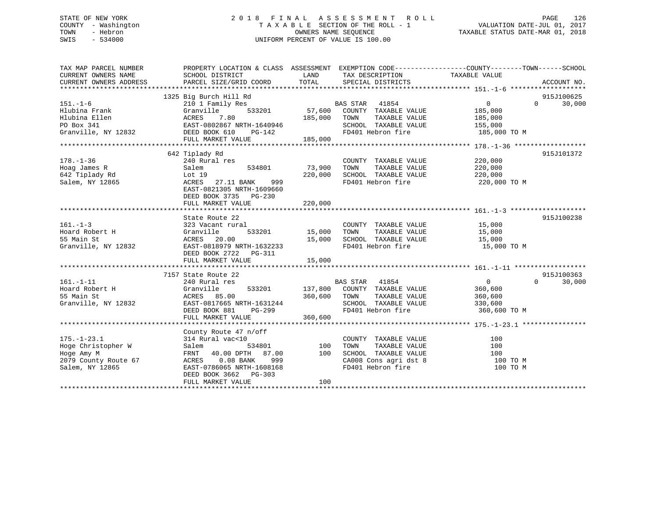## STATE OF NEW YORK 2 0 1 8 F I N A L A S S E S S M E N T R O L L PAGE 126 COUNTY - Washington T A X A B L E SECTION OF THE ROLL - 1 VALUATION DATE-JUL 01, 2017 TOWN - Hebron OWNERS NAME SEQUENCE TAXABLE STATUS DATE-MAR 01, 2018 SWIS - 534000 UNIFORM PERCENT OF VALUE IS 100.00

| TAX MAP PARCEL NUMBER  | PROPERTY LOCATION & CLASS ASSESSMENT EXEMPTION CODE----------------COUNTY-------TOWN------SCHOOL |                |                                                                    |                                |                             |
|------------------------|--------------------------------------------------------------------------------------------------|----------------|--------------------------------------------------------------------|--------------------------------|-----------------------------|
| CURRENT OWNERS NAME    | SCHOOL DISTRICT                                                                                  | LAND           | TAX DESCRIPTION                                                    | TAXABLE VALUE                  |                             |
| CURRENT OWNERS ADDRESS | PARCEL SIZE/GRID COORD                                                                           | TOTAL          | SPECIAL DISTRICTS                                                  |                                | ACCOUNT NO.                 |
|                        |                                                                                                  |                |                                                                    |                                |                             |
|                        | 1325 Big Burch Hill Rd                                                                           |                |                                                                    |                                | 915J100625                  |
| $151. - 1 - 6$         | 210 1 Family Res                                                                                 |                | BAS STAR 41854                                                     | $\overline{0}$                 | $0 \t 30,000$               |
| Hlubina Frank          | Granville<br>533201                                                                              |                | 57,600 COUNTY TAXABLE VALUE                                        | 185,000                        |                             |
|                        |                                                                                                  |                | TAXABLE VALUE                                                      |                                |                             |
|                        |                                                                                                  |                | SCHOOL TAXABLE VALUE                                               | 185,000<br>155,000             |                             |
|                        |                                                                                                  |                |                                                                    | FD401 Hebron fire 185,000 TO M |                             |
|                        | FULL MARKET VALUE 185,000                                                                        |                |                                                                    |                                |                             |
|                        |                                                                                                  |                |                                                                    |                                |                             |
|                        | 642 Tiplady Rd                                                                                   |                |                                                                    |                                | 915J101372                  |
| $178. - 1 - 36$        | 240 Rural res                                                                                    |                | COUNTY TAXABLE VALUE                                               |                                |                             |
| Hoag James R           | 534801<br>Salem                                                                                  | 73,900         | TOWN<br>TAXABLE VALUE                                              | 220,000<br>220,000             |                             |
| $642$ Tiplady Rd       |                                                                                                  | 220,000        | SCHOOL TAXABLE VALUE                                               | 220,000                        |                             |
| Salem, NY 12865        | Lot 19<br>ACRES<br>ACRES 27.11 BANK<br>999 —                                                     |                | FD401 Hebron fire                                                  | 220,000 TO M                   |                             |
|                        | EAST-0821305 NRTH-1609660                                                                        |                |                                                                    |                                |                             |
|                        | DEED BOOK 3735 PG-230                                                                            |                |                                                                    |                                |                             |
|                        | FULL MARKET VALUE                                                                                | 220,000        |                                                                    |                                |                             |
|                        |                                                                                                  |                |                                                                    |                                |                             |
|                        | State Route 22                                                                                   |                |                                                                    |                                | 915J100238                  |
| $161. - 1 - 3$         | 323 Vacant rural                                                                                 |                | COUNTY TAXABLE VALUE 15,000                                        |                                |                             |
| Hoard Robert H         |                                                                                                  | 533201 15,000  | TOWN<br>TAXABLE VALUE                                              | 15,000                         |                             |
| 55 Main St             | Granville<br>ACRES 20.00                                                                         |                |                                                                    |                                |                             |
|                        |                                                                                                  |                |                                                                    | 15,000                         |                             |
| Granville, NY 12832    |                                                                                                  |                | FD401 Hebron fire                                                  | 15,000 TO M                    |                             |
|                        | DEED BOOK 2722    PG-311                                                                         |                |                                                                    |                                |                             |
|                        | FULL MARKET VALUE                                                                                | 15,000         |                                                                    |                                |                             |
|                        |                                                                                                  |                |                                                                    |                                |                             |
|                        | 7157 State Route 22                                                                              |                |                                                                    |                                | 915J100363                  |
| $161. - 1 - 11$        | 240 Rural res                                                                                    |                | BAS STAR 41854                                                     | $\overline{0}$                 | $0 \qquad \qquad$<br>30,000 |
| Hoard Robert H         | Granville                                                                                        | 533201 137,800 | COUNTY TAXABLE VALUE 360,600                                       |                                |                             |
| 55 Main St             | ACRES 85.00                                                                                      | 360,600        | TAXABLE VALUE<br>TOWN                                              | 360,600                        |                             |
| Granville, NY 12832    | EAST-0817665 NRTH-1631244                                                                        |                | SCHOOL TAXABLE VALUE                                               | 330,600                        |                             |
|                        | DEED BOOK 881<br>PG-299                                                                          |                | FD401 Hebron fire                                                  | 360,600 TO M                   |                             |
|                        | FULL MARKET VALUE                                                                                | 360,600        |                                                                    |                                |                             |
|                        |                                                                                                  |                |                                                                    |                                |                             |
|                        | County Route 47 n/off                                                                            |                |                                                                    |                                |                             |
| $175. - 1 - 23.1$      | 314 Rural vac<10                                                                                 |                | COUNTY TAXABLE VALUE                                               | 100                            |                             |
| Hoge Christopher W     | Salem                                                                                            | 534801 100     | TAXABLE VALUE<br>TOWN                                              | 100                            |                             |
| Hoge Amy M             |                                                                                                  |                |                                                                    | 100                            |                             |
| 2079 County Route 67   |                                                                                                  |                | SCHOOL TAXABLE VALUE<br>CA008 Cons agri dst 8<br>FD401 Hebron fire | 100 TO M                       |                             |
| Salem, NY 12865        | EAST-0786065 NRTH-1608168                                                                        |                |                                                                    | 100 TO M                       |                             |
|                        | DEED BOOK 3662 PG-303                                                                            |                |                                                                    |                                |                             |
|                        | FULL MARKET VALUE                                                                                | 100            |                                                                    |                                |                             |
|                        |                                                                                                  |                |                                                                    |                                |                             |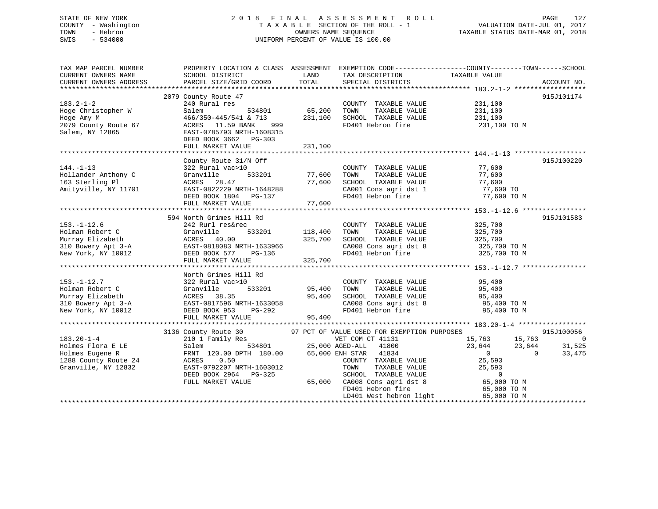# STATE OF NEW YORK 2018 FINAL ASSESSMENT ROLL PAGE 127 COUNTY - Washington  $T A X A B L E$  SECTION OF THE ROLL - 1<br>TOWN - Hebron DATE-JUL 000NERS NAME SEQUENCE SWIS - 534000 UNIFORM PERCENT OF VALUE IS 100.00

VALUATION DATE-JUL 01, 2017

TAXABLE STATUS DATE-MAR 01, 2018

| TAX MAP PARCEL NUMBER  | PROPERTY LOCATION & CLASS ASSESSMENT EXEMPTION CODE---------------COUNTY-------TOWN------SCHOOL                                                       |                     |                                                                                                                                                                                                                     |                                  |                |
|------------------------|-------------------------------------------------------------------------------------------------------------------------------------------------------|---------------------|---------------------------------------------------------------------------------------------------------------------------------------------------------------------------------------------------------------------|----------------------------------|----------------|
| CURRENT OWNERS NAME    | SCHOOL DISTRICT                                                                                                                                       | LAND                | TAX DESCRIPTION TAXABLE VALUE                                                                                                                                                                                       |                                  |                |
| CURRENT OWNERS ADDRESS | PARCEL SIZE/GRID COORD                                                                                                                                | TOTAL               | SPECIAL DISTRICTS                                                                                                                                                                                                   |                                  | ACCOUNT NO.    |
|                        |                                                                                                                                                       |                     |                                                                                                                                                                                                                     |                                  |                |
|                        | 2079 County Route 47                                                                                                                                  |                     |                                                                                                                                                                                                                     |                                  | 915J101174     |
| $183.2 - 1 - 2$        | 240 Rural res                                                                                                                                         |                     | COUNTY TAXABLE VALUE                                                                                                                                                                                                | 231,100                          |                |
| Hoge Christopher W     | Salem<br>534801                                                                                                                                       | 65,200              | TAXABLE VALUE<br>TOWN                                                                                                                                                                                               | 231,100                          |                |
| Hoge Amy M             | 466/350-445/541 & 713                                                                                                                                 | 231,100             | SCHOOL TAXABLE VALUE 231,100                                                                                                                                                                                        |                                  |                |
| 2079 County Route 67   | ACRES 11.59 BANK 999                                                                                                                                  |                     | FD401 Hebron fire 231,100 TO M                                                                                                                                                                                      |                                  |                |
| Salem, NY 12865        | EAST-0785793 NRTH-1608315                                                                                                                             |                     |                                                                                                                                                                                                                     |                                  |                |
|                        | DEED BOOK 3662 PG-303                                                                                                                                 |                     |                                                                                                                                                                                                                     |                                  |                |
|                        | FULL MARKET VALUE                                                                                                                                     | 231,100             |                                                                                                                                                                                                                     |                                  |                |
|                        |                                                                                                                                                       |                     |                                                                                                                                                                                                                     |                                  |                |
|                        | County Route 31/N Off                                                                                                                                 |                     |                                                                                                                                                                                                                     |                                  | 915J100220     |
| $144. - 1 - 13$        | 322 Rural vac>10                                                                                                                                      |                     | COUNTY TAXABLE VALUE                                                                                                                                                                                                | 77,600                           |                |
| Hollander Anthony C    | 533201<br>Granville                                                                                                                                   | 77,600              | TOWN<br>TAXABLE VALUE                                                                                                                                                                                               | 77,600                           |                |
| 163 Sterling Pl        | ACRES 28.47                                                                                                                                           | 77,600              | SCHOOL TAXABLE VALUE                                                                                                                                                                                                | 77,600                           |                |
| Amityville, NY 11701   | EAST-0822229 NRTH-1648288                                                                                                                             |                     |                                                                                                                                                                                                                     | 77,600 TO                        |                |
|                        | DEED BOOK 1804 PG-137                                                                                                                                 |                     | CA001 Cons agri dst 1<br>FD401 Hebron fire                                                                                                                                                                          | 77,600 TO M                      |                |
|                        | FULL MARKET VALUE                                                                                                                                     | 77,600              |                                                                                                                                                                                                                     |                                  |                |
|                        |                                                                                                                                                       |                     |                                                                                                                                                                                                                     |                                  |                |
|                        | 594 North Grimes Hill Rd                                                                                                                              |                     |                                                                                                                                                                                                                     |                                  | 915J101583     |
| $153. - 1 - 12.6$      | 242 Rurl res&rec                                                                                                                                      |                     | COUNTY TAXABLE VALUE                                                                                                                                                                                                | 325,700                          |                |
| Holman Robert C        | Granville                                                                                                                                             | 533201 118,400      | TOWN<br>TAXABLE VALUE                                                                                                                                                                                               | 325,700                          |                |
|                        |                                                                                                                                                       |                     |                                                                                                                                                                                                                     |                                  |                |
|                        |                                                                                                                                                       |                     | SCHOOL TAXABLE VALUE 325,700<br>CA008 Cons agri dst 8 325,700 TO M                                                                                                                                                  |                                  |                |
|                        | Murray Elizabeth<br>310 Bowery Apt 3-A<br>310 Bowery Apt 3-A<br>2006 - EAST-0818083 NRTH-1633966<br>REFERENCE BOOK 577 PG-136<br>DEED BOOK 577 PG-136 |                     | FD401 Hebron fire 325,700 TO M                                                                                                                                                                                      |                                  |                |
|                        | FULL MARKET VALUE                                                                                                                                     | 325,700             |                                                                                                                                                                                                                     |                                  |                |
|                        |                                                                                                                                                       |                     |                                                                                                                                                                                                                     |                                  |                |
|                        | North Grimes Hill Rd                                                                                                                                  |                     |                                                                                                                                                                                                                     |                                  |                |
| $153. - 1 - 12.7$      | 322 Rural vac>10                                                                                                                                      |                     | COUNTY TAXABLE VALUE                                                                                                                                                                                                | 95,400                           |                |
| Holman Robert C        | 533201<br>Granville                                                                                                                                   | 95,400              | TAXABLE VALUE<br>TOWN                                                                                                                                                                                               | 95,400                           |                |
| Murray Elizabeth       | ACRES 38.35                                                                                                                                           | 95,400              | SCHOOL TAXABLE VALUE                                                                                                                                                                                                | 95,400                           |                |
| 310 Bowery Apt 3-A     |                                                                                                                                                       |                     |                                                                                                                                                                                                                     |                                  |                |
| New York, NY 10012     | EAST-0817596 NRTH-1633058<br>DEED BOOK 953 PG-292                                                                                                     | H-1633058<br>PG-292 | $\begin{array}{lllllll} \texttt{CA008} & \texttt{Cons}\ \texttt{agri}\ \texttt{dst}\ 8 & & & \texttt{95,400}\ \texttt{TO1} & \texttt{Hebron}\ \texttt{fire} & & & \texttt{95,400}\ \texttt{TO M} & & & \end{array}$ |                                  |                |
|                        | FULL MARKET VALUE                                                                                                                                     | 95,400              |                                                                                                                                                                                                                     |                                  |                |
|                        |                                                                                                                                                       |                     |                                                                                                                                                                                                                     |                                  |                |
|                        | 3136 County Route 30                                                                                                                                  |                     | 97 PCT OF VALUE USED FOR EXEMPTION PURPOSES                                                                                                                                                                         |                                  | 915J100056     |
| $183.20 - 1 - 4$       | 210 1 Family Res                                                                                                                                      |                     | VET COM CT 41131                                                                                                                                                                                                    | 15,763 15,763                    | $\overline{0}$ |
| Holmes Flora E LE      | Salem                                                                                                                                                 |                     | FOR THE STRICT VET COM CT 41131<br>534801 25,000 AGED-ALL 41800                                                                                                                                                     | 23,644 23,644                    | 31,525         |
| Holmes Eugene R        | FRNT 120.00 DPTH 180.00                                                                                                                               |                     | 65,000 ENH STAR 41834                                                                                                                                                                                               | $\overline{0}$<br>$\overline{0}$ | 33,475         |
| 1288 County Route 24   | 0.50<br>ACRES                                                                                                                                         |                     | COUNTY TAXABLE VALUE 25,593                                                                                                                                                                                         |                                  |                |
| Granville, NY 12832    | EAST-0792207 NRTH-1603012                                                                                                                             |                     | TOWN                                                                                                                                                                                                                | 25,593                           |                |
|                        | DEED BOOK 2964 PG-325                                                                                                                                 |                     | TAXABLE VALUE<br>TAXABLE VALUE<br>SCHOOL TAXABLE VALUE                                                                                                                                                              | $\overline{0}$                   |                |
|                        | FULL MARKET VALUE                                                                                                                                     |                     | 65,000 CA008 Cons agri dst 8                                                                                                                                                                                        | 65,000 TO M                      |                |
|                        |                                                                                                                                                       |                     | FD401 Hebron fire                                                                                                                                                                                                   | 65,000 TO M                      |                |
|                        |                                                                                                                                                       |                     | LD401 West hebron light                                                                                                                                                                                             | 65,000 TO M                      |                |
|                        |                                                                                                                                                       |                     |                                                                                                                                                                                                                     |                                  |                |
|                        |                                                                                                                                                       |                     |                                                                                                                                                                                                                     |                                  |                |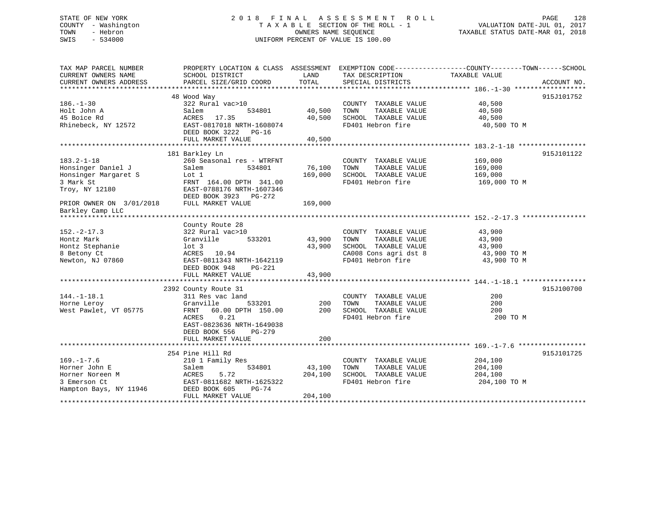## STATE OF NEW YORK 2 0 1 8 F I N A L A S S E S S M E N T R O L L PAGE 128 COUNTY - Washington T A X A B L E SECTION OF THE ROLL - 1 VALUATION DATE-JUL 01, 2017 TOWN - Hebron OWNERS NAME SEQUENCE TAXABLE STATUS DATE-MAR 01, 2018 SWIS - 534000 UNIFORM PERCENT OF VALUE IS 100.00

| TAX MAP PARCEL NUMBER    | PROPERTY LOCATION & CLASS ASSESSMENT |         |                                    | EXEMPTION CODE-----------------COUNTY-------TOWN------SCHOOL |             |
|--------------------------|--------------------------------------|---------|------------------------------------|--------------------------------------------------------------|-------------|
| CURRENT OWNERS NAME      | SCHOOL DISTRICT                      | LAND    | TAX DESCRIPTION                    | TAXABLE VALUE                                                |             |
| CURRENT OWNERS ADDRESS   | PARCEL SIZE/GRID COORD               | TOTAL   | SPECIAL DISTRICTS                  |                                                              | ACCOUNT NO. |
|                          |                                      |         |                                    |                                                              |             |
|                          | 48 Wood Way                          |         |                                    |                                                              | 915J101752  |
| $186. - 1 - 30$          | 322 Rural vac>10                     |         | COUNTY TAXABLE VALUE               | 40,500                                                       |             |
| Holt John A              | Salem<br>534801                      | 40,500  | TAXABLE VALUE<br>TOWN              | 40,500                                                       |             |
| 45 Boice Rd              | ACRES<br>17.35                       | 40,500  | SCHOOL TAXABLE VALUE               | 40,500                                                       |             |
| Rhinebeck, NY 12572      | EAST-0817018 NRTH-1608074            |         | FD401 Hebron fire                  | 40,500 TO M                                                  |             |
|                          | DEED BOOK 3222 PG-16                 |         |                                    |                                                              |             |
|                          | FULL MARKET VALUE                    | 40,500  |                                    |                                                              |             |
|                          |                                      |         |                                    |                                                              |             |
|                          | 181 Barkley Ln                       |         |                                    |                                                              | 915J101122  |
| $183.2 - 1 - 18$         |                                      |         |                                    |                                                              |             |
|                          | 260 Seasonal res - WTRFNT            |         | COUNTY TAXABLE VALUE               | 169,000                                                      |             |
| Honsinger Daniel J       | Salem<br>534801                      | 76,100  | TAXABLE VALUE<br>TOWN              | 169,000                                                      |             |
| Honsinger Margaret S     | Lot 1                                | 169,000 | SCHOOL TAXABLE VALUE               | 169,000                                                      |             |
| 3 Mark St                | FRNT 164.00 DPTH 341.00              |         | FD401 Hebron fire                  | 169,000 TO M                                                 |             |
| Troy, NY 12180           | EAST-0788176 NRTH-1607346            |         |                                    |                                                              |             |
|                          | DEED BOOK 3923 PG-272                |         |                                    |                                                              |             |
| PRIOR OWNER ON 3/01/2018 | FULL MARKET VALUE                    | 169,000 |                                    |                                                              |             |
| Barkley Camp LLC         |                                      |         |                                    |                                                              |             |
|                          |                                      |         |                                    |                                                              |             |
|                          | County Route 28                      |         |                                    |                                                              |             |
| $152 - 2 - 17.3$         | 322 Rural vac>10                     |         | COUNTY TAXABLE VALUE               | 43,900                                                       |             |
| Hontz Mark               | 533201<br>Granville                  | 43,900  | TOWN<br>TAXABLE VALUE              | 43,900                                                       |             |
| Hontz Stephanie          | lot 3                                | 43,900  | SCHOOL TAXABLE VALUE               | 43,900                                                       |             |
| 8 Betony Ct              | ACRES 10.94                          |         | CA008 Cons agri dst 8<br>En401 w ' | 43,900 TO M                                                  |             |
| Newton, NJ 07860         | EAST-0811343 NRTH-1642119            |         | FD401 Hebron fire                  | 43,900 TO M                                                  |             |
|                          | DEED BOOK 948<br>PG-221              |         |                                    |                                                              |             |
|                          | FULL MARKET VALUE                    | 43,900  |                                    |                                                              |             |
|                          |                                      |         |                                    |                                                              |             |
|                          | 2392 County Route 31                 |         |                                    |                                                              | 915J100700  |
| $144. - 1 - 18.1$        | 311 Res vac land                     |         | COUNTY TAXABLE VALUE               | 200                                                          |             |
| Horne Leroy              | Granville<br>533201                  | 200     | TAXABLE VALUE<br>TOWN              | 200                                                          |             |
| West Pawlet, VT 05775    | 60.00 DPTH 150.00<br>FRNT            | 200     | SCHOOL TAXABLE VALUE               | 200                                                          |             |
|                          | ACRES<br>0.21                        |         | FD401 Hebron fire                  | 200 TO M                                                     |             |
|                          |                                      |         |                                    |                                                              |             |
|                          | EAST-0823636 NRTH-1649038            |         |                                    |                                                              |             |
|                          | DEED BOOK 556<br>PG-279              |         |                                    |                                                              |             |
|                          | FULL MARKET VALUE                    | 200     |                                    |                                                              |             |
|                          |                                      |         |                                    |                                                              |             |
|                          | 254 Pine Hill Rd                     |         |                                    |                                                              | 915J101725  |
| $169. - 1 - 7.6$         | 210 1 Family Res                     |         | COUNTY TAXABLE VALUE               | 204,100                                                      |             |
| Horner John E            | Salem<br>534801                      | 43,100  | TAXABLE VALUE<br>TOWN              | 204,100                                                      |             |
| Horner Noreen M          | 5.72<br>ACRES                        | 204,100 | SCHOOL TAXABLE VALUE               | 204,100                                                      |             |
| 3 Emerson Ct             | EAST-0811682 NRTH-1625322            |         | FD401 Hebron fire                  | 204,100 TO M                                                 |             |
| Hampton Bays, NY 11946   | DEED BOOK 605<br>$PG-74$             |         |                                    |                                                              |             |
|                          | FULL MARKET VALUE                    | 204,100 |                                    |                                                              |             |
|                          |                                      |         |                                    |                                                              |             |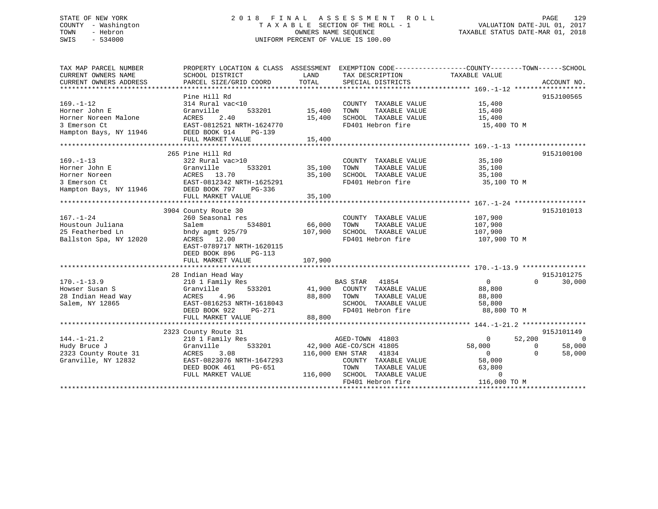# STATE OF NEW YORK 2018 FINAL ASSESSMENT ROLL PAGE 129 COUNTY - Washington  $T A X A B L E$  SECTION OF THE ROLL - 1<br>TOWN - Hebron DATE-JUL 000NERS NAME SEQUENCE SWIS - 534000 UNIFORM PERCENT OF VALUE IS 100.00

TAXABLE STATUS DATE-MAR 01, 2018

| TAX MAP PARCEL NUMBER                |                           |                                 | PROPERTY LOCATION & CLASS ASSESSMENT EXEMPTION CODE--------------COUNTY-------TOWN-----SCHOOL |
|--------------------------------------|---------------------------|---------------------------------|-----------------------------------------------------------------------------------------------|
| CURRENT OWNERS NAME                  | SCHOOL DISTRICT           | LAND<br>TAX DESCRIPTION         | TAXABLE VALUE                                                                                 |
| CURRENT OWNERS ADDRESS               | PARCEL SIZE/GRID COORD    | TOTAL<br>SPECIAL DISTRICTS      | ACCOUNT NO.                                                                                   |
| ***********************              |                           |                                 |                                                                                               |
|                                      | Pine Hill Rd              |                                 | 915J100565                                                                                    |
| $169. - 1 - 12$                      | 314 Rural vac<10          | COUNTY TAXABLE VALUE            | 15,400                                                                                        |
| Horner John E                        | Granville<br>533201       | 15,400<br>TOWN<br>TAXABLE VALUE | 15,400                                                                                        |
| Horner Noreen Malone                 | ACRES<br>2.40             | 15,400<br>SCHOOL TAXABLE VALUE  | 15,400                                                                                        |
| 3 Emerson Ct                         | EAST-0812521 NRTH-1624770 | FD401 Hebron fire               | 15,400 TO M                                                                                   |
| Hampton Bays, NY 11946               | DEED BOOK 914<br>PG-139   |                                 |                                                                                               |
|                                      | FULL MARKET VALUE         | 15,400                          |                                                                                               |
|                                      |                           |                                 |                                                                                               |
|                                      | 265 Pine Hill Rd          |                                 |                                                                                               |
|                                      |                           |                                 | 915J100100                                                                                    |
| $169. - 1 - 13$                      | 322 Rural vac>10          | COUNTY TAXABLE VALUE            | 35,100                                                                                        |
| Horner John E                        | Granville<br>533201       | 35,100<br>TOWN<br>TAXABLE VALUE | 35,100                                                                                        |
| Horner Noreen                        | ACRES 13.70               | 35,100<br>SCHOOL TAXABLE VALUE  | 35,100                                                                                        |
| 3 Emerson Ct                         | EAST-0812342 NRTH-1625291 | FD401 Hebron fire               | 35,100 TO M                                                                                   |
| Hampton Bays, NY 11946 DEED BOOK 797 | PG-336                    |                                 |                                                                                               |
|                                      | FULL MARKET VALUE         | 35,100                          |                                                                                               |
|                                      |                           |                                 |                                                                                               |
|                                      | 3904 County Route 30      |                                 | 915J101013                                                                                    |
| $167. - 1 - 24$                      | 260 Seasonal res          | COUNTY TAXABLE VALUE            | 107,900                                                                                       |
| Houstoun Juliana                     | 534801<br>Salem           | 66,000<br>TOWN<br>TAXABLE VALUE | 107,900                                                                                       |
| 25 Featherbed Ln                     | bndy agmt 925/79          | 107,900<br>SCHOOL TAXABLE VALUE | 107,900                                                                                       |
| Ballston Spa, NY 12020               | ACRES 12.00               | FD401 Hebron fire               | 107,900 TO M                                                                                  |
|                                      | EAST-0789717 NRTH-1620115 |                                 |                                                                                               |
|                                      | DEED BOOK 896<br>PG-113   |                                 |                                                                                               |
|                                      | FULL MARKET VALUE         | 107,900                         |                                                                                               |
|                                      |                           |                                 |                                                                                               |
|                                      | 28 Indian Head Way        |                                 | 915J101275                                                                                    |
| $170. - 1 - 13.9$                    | 210 1 Family Res          | BAS STAR<br>41854               | $\mathbf{0}$<br>$\Omega$<br>30,000                                                            |
|                                      | 533201                    | COUNTY TAXABLE VALUE            | 88,800                                                                                        |
| Howser Susan S                       | Granville                 | 41,900                          |                                                                                               |
| 28 Indian Head Way                   | 4.96<br>ACRES             | 88,800<br>TOWN<br>TAXABLE VALUE | 88,800                                                                                        |
| Salem, NY 12865                      | EAST-0816253 NRTH-1618043 | SCHOOL TAXABLE VALUE            | 58,800                                                                                        |
|                                      | DEED BOOK 922<br>PG-271   | FD401 Hebron fire               | 88,800 TO M                                                                                   |
|                                      | FULL MARKET VALUE         | 88,800                          |                                                                                               |
|                                      |                           |                                 |                                                                                               |
|                                      | 2323 County Route 31      |                                 | 915J101149                                                                                    |
| $144. - 1 - 21.2$                    | 210 1 Family Res          | AGED-TOWN 41803                 | 52,200<br>$\overline{0}$<br>$\Omega$                                                          |
| Hudy Bruce J                         | 533201<br>Granville       | 42,900 AGE-CO/SCH 41805         | 58,000<br>58,000<br>$\Omega$                                                                  |
| 2323 County Route 31                 | ACRES<br>3.08             | 116,000 ENH STAR 41834          | $\overline{0}$<br>$\Omega$<br>58,000                                                          |
| Granville, NY 12832                  | EAST-0823076 NRTH-1647293 | COUNTY TAXABLE VALUE            | 58,000                                                                                        |
|                                      | DEED BOOK 461<br>PG-651   | TOWN<br>TAXABLE VALUE           | 63,800                                                                                        |
|                                      | FULL MARKET VALUE         | 116,000 SCHOOL TAXABLE VALUE    | $\Omega$                                                                                      |
|                                      |                           | FD401 Hebron fire               | 116,000 TO M                                                                                  |
|                                      |                           |                                 |                                                                                               |
|                                      |                           |                                 |                                                                                               |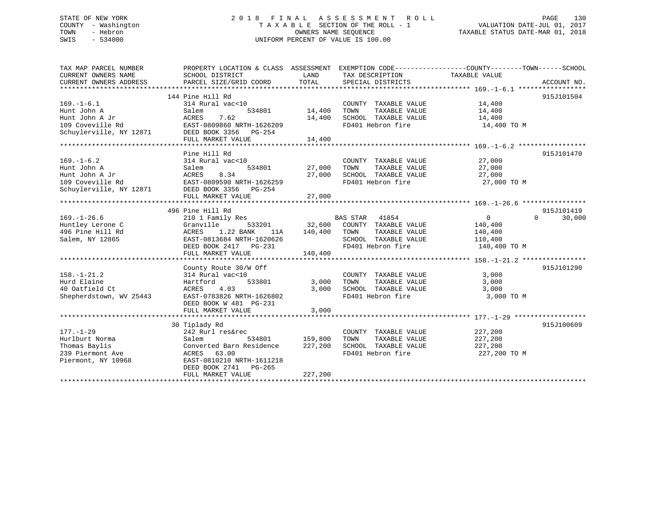## STATE OF NEW YORK 2 0 1 8 F I N A L A S S E S S M E N T R O L L PAGE 130 COUNTY - Washington T A X A B L E SECTION OF THE ROLL - 1 VALUATION DATE-JUL 01, 2017 TOWN - Hebron **CONNERS NAME SEQUENCE** TAXABLE STATUS DATE-MAR 01, 2018 SWIS - 534000 UNIFORM PERCENT OF VALUE IS 100.00

| CURRENT OWNERS NAME<br>SCHOOL DISTRICT<br>LAND<br>TAX DESCRIPTION<br>TAXABLE VALUE<br>TOTAL<br>SPECIAL DISTRICTS<br>CURRENT OWNERS ADDRESS<br>PARCEL SIZE/GRID COORD<br>ACCOUNT NO.<br>144 Pine Hill Rd<br>915J101504<br>$169. - 1 - 6.1$<br>314 Rural vac<10<br>COUNTY TAXABLE VALUE<br>14,400<br>Hunt John A<br>Salem<br>534801<br>14,400<br>TOWN<br>TAXABLE VALUE<br>14,400<br>7.62<br>ACRES<br>14,400<br>SCHOOL TAXABLE VALUE<br>Hunt John A Jr<br>14,400<br>FD401 Hebron fire<br>109 Coveville Rd<br>EAST-0809860 NRTH-1626209<br>14,400 TO M<br>Schuylerville, NY 12871<br>DEED BOOK 3356 PG-254<br>14,400<br>FULL MARKET VALUE<br>Pine Hill Rd<br>915J101470<br>$169. - 1 - 6.2$<br>314 Rural vac<10<br>27,000<br>COUNTY TAXABLE VALUE<br>534801<br>27,000<br>TOWN<br>TAXABLE VALUE<br>27,000<br>Hunt John A<br>Salem<br>Hunt John A Jr<br>8.34<br>27,000<br>SCHOOL TAXABLE VALUE<br>ACRES<br>27,000<br>109 Coveville Rd<br>EAST-0809590 NRTH-1626259<br>FD401 Hebron fire<br>27,000 TO M<br>Schuylerville, NY 12871<br>DEED BOOK 3356 PG-254<br>FULL MARKET VALUE<br>27,000<br>496 Pine Hill Rd<br>915J101419<br>$169. - 1 - 26.6$<br>$\overline{0}$<br>$\Omega$<br>30,000<br>210 1 Family Res<br>BAS STAR 41854<br>32,600<br>Huntley Lerone C<br>533201<br>COUNTY TAXABLE VALUE<br>Granville<br>140,400<br>1.22 BANK<br>140,400<br>496 Pine Hill Rd<br>ACRES<br>TOWN<br>TAXABLE VALUE<br>140,400<br>11A<br>SCHOOL TAXABLE VALUE<br>Salem, NY 12865<br>EAST-0813684 NRTH-1620626<br>110,400<br>FD401 Hebron fire<br>140,400 TO M<br>DEED BOOK 2417 PG-231<br>140,400<br>FULL MARKET VALUE<br>County Route 30/W Off<br>915J101290<br>314 Rural vac<10<br>COUNTY TAXABLE VALUE<br>3,000<br>533801<br>TAXABLE VALUE<br>3,000<br>Hartford<br>3,000<br>TOWN<br>40 Oatfield Ct<br>ACRES<br>4.03<br>3,000<br>SCHOOL TAXABLE VALUE<br>3,000<br>EAST-0783826 NRTH-1626802<br>FD401 Hebron fire<br>3,000 TO M<br>DEED BOOK W 481 PG-231<br>3,000<br>FULL MARKET VALUE<br>915J100609<br>30 Tiplady Rd<br>$177. - 1 - 29$<br>227,200<br>242 Rurl res&rec<br>COUNTY TAXABLE VALUE<br>Hurlburt Norma<br>159,800<br>Salem<br>534801<br>TOWN<br>TAXABLE VALUE<br>227,200<br>Thomas Baylis<br>227,200<br>SCHOOL TAXABLE VALUE<br>Converted Barn Residence<br>227,200<br>FD401 Hebron fire<br>239 Piermont Ave<br>ACRES 63.00<br>227,200 TO M<br>Piermont, NY 10968<br>EAST-0810210 NRTH-1611218<br>DEED BOOK 2741 PG-265<br>227,200<br>FULL MARKET VALUE | TAX MAP PARCEL NUMBER   | PROPERTY LOCATION & CLASS ASSESSMENT EXEMPTION CODE----------------COUNTY-------TOWN------SCHOOL |  |  |
|-------------------------------------------------------------------------------------------------------------------------------------------------------------------------------------------------------------------------------------------------------------------------------------------------------------------------------------------------------------------------------------------------------------------------------------------------------------------------------------------------------------------------------------------------------------------------------------------------------------------------------------------------------------------------------------------------------------------------------------------------------------------------------------------------------------------------------------------------------------------------------------------------------------------------------------------------------------------------------------------------------------------------------------------------------------------------------------------------------------------------------------------------------------------------------------------------------------------------------------------------------------------------------------------------------------------------------------------------------------------------------------------------------------------------------------------------------------------------------------------------------------------------------------------------------------------------------------------------------------------------------------------------------------------------------------------------------------------------------------------------------------------------------------------------------------------------------------------------------------------------------------------------------------------------------------------------------------------------------------------------------------------------------------------------------------------------------------------------------------------------------------------------------------------------------------------------------------------------------------------------------------------------------------------------------------------------------------------------------------------------------------------------------------------------------------------------|-------------------------|--------------------------------------------------------------------------------------------------|--|--|
|                                                                                                                                                                                                                                                                                                                                                                                                                                                                                                                                                                                                                                                                                                                                                                                                                                                                                                                                                                                                                                                                                                                                                                                                                                                                                                                                                                                                                                                                                                                                                                                                                                                                                                                                                                                                                                                                                                                                                                                                                                                                                                                                                                                                                                                                                                                                                                                                                                                 |                         |                                                                                                  |  |  |
|                                                                                                                                                                                                                                                                                                                                                                                                                                                                                                                                                                                                                                                                                                                                                                                                                                                                                                                                                                                                                                                                                                                                                                                                                                                                                                                                                                                                                                                                                                                                                                                                                                                                                                                                                                                                                                                                                                                                                                                                                                                                                                                                                                                                                                                                                                                                                                                                                                                 |                         |                                                                                                  |  |  |
|                                                                                                                                                                                                                                                                                                                                                                                                                                                                                                                                                                                                                                                                                                                                                                                                                                                                                                                                                                                                                                                                                                                                                                                                                                                                                                                                                                                                                                                                                                                                                                                                                                                                                                                                                                                                                                                                                                                                                                                                                                                                                                                                                                                                                                                                                                                                                                                                                                                 |                         |                                                                                                  |  |  |
|                                                                                                                                                                                                                                                                                                                                                                                                                                                                                                                                                                                                                                                                                                                                                                                                                                                                                                                                                                                                                                                                                                                                                                                                                                                                                                                                                                                                                                                                                                                                                                                                                                                                                                                                                                                                                                                                                                                                                                                                                                                                                                                                                                                                                                                                                                                                                                                                                                                 |                         |                                                                                                  |  |  |
|                                                                                                                                                                                                                                                                                                                                                                                                                                                                                                                                                                                                                                                                                                                                                                                                                                                                                                                                                                                                                                                                                                                                                                                                                                                                                                                                                                                                                                                                                                                                                                                                                                                                                                                                                                                                                                                                                                                                                                                                                                                                                                                                                                                                                                                                                                                                                                                                                                                 |                         |                                                                                                  |  |  |
|                                                                                                                                                                                                                                                                                                                                                                                                                                                                                                                                                                                                                                                                                                                                                                                                                                                                                                                                                                                                                                                                                                                                                                                                                                                                                                                                                                                                                                                                                                                                                                                                                                                                                                                                                                                                                                                                                                                                                                                                                                                                                                                                                                                                                                                                                                                                                                                                                                                 |                         |                                                                                                  |  |  |
|                                                                                                                                                                                                                                                                                                                                                                                                                                                                                                                                                                                                                                                                                                                                                                                                                                                                                                                                                                                                                                                                                                                                                                                                                                                                                                                                                                                                                                                                                                                                                                                                                                                                                                                                                                                                                                                                                                                                                                                                                                                                                                                                                                                                                                                                                                                                                                                                                                                 |                         |                                                                                                  |  |  |
|                                                                                                                                                                                                                                                                                                                                                                                                                                                                                                                                                                                                                                                                                                                                                                                                                                                                                                                                                                                                                                                                                                                                                                                                                                                                                                                                                                                                                                                                                                                                                                                                                                                                                                                                                                                                                                                                                                                                                                                                                                                                                                                                                                                                                                                                                                                                                                                                                                                 |                         |                                                                                                  |  |  |
|                                                                                                                                                                                                                                                                                                                                                                                                                                                                                                                                                                                                                                                                                                                                                                                                                                                                                                                                                                                                                                                                                                                                                                                                                                                                                                                                                                                                                                                                                                                                                                                                                                                                                                                                                                                                                                                                                                                                                                                                                                                                                                                                                                                                                                                                                                                                                                                                                                                 |                         |                                                                                                  |  |  |
|                                                                                                                                                                                                                                                                                                                                                                                                                                                                                                                                                                                                                                                                                                                                                                                                                                                                                                                                                                                                                                                                                                                                                                                                                                                                                                                                                                                                                                                                                                                                                                                                                                                                                                                                                                                                                                                                                                                                                                                                                                                                                                                                                                                                                                                                                                                                                                                                                                                 |                         |                                                                                                  |  |  |
|                                                                                                                                                                                                                                                                                                                                                                                                                                                                                                                                                                                                                                                                                                                                                                                                                                                                                                                                                                                                                                                                                                                                                                                                                                                                                                                                                                                                                                                                                                                                                                                                                                                                                                                                                                                                                                                                                                                                                                                                                                                                                                                                                                                                                                                                                                                                                                                                                                                 |                         |                                                                                                  |  |  |
|                                                                                                                                                                                                                                                                                                                                                                                                                                                                                                                                                                                                                                                                                                                                                                                                                                                                                                                                                                                                                                                                                                                                                                                                                                                                                                                                                                                                                                                                                                                                                                                                                                                                                                                                                                                                                                                                                                                                                                                                                                                                                                                                                                                                                                                                                                                                                                                                                                                 |                         |                                                                                                  |  |  |
|                                                                                                                                                                                                                                                                                                                                                                                                                                                                                                                                                                                                                                                                                                                                                                                                                                                                                                                                                                                                                                                                                                                                                                                                                                                                                                                                                                                                                                                                                                                                                                                                                                                                                                                                                                                                                                                                                                                                                                                                                                                                                                                                                                                                                                                                                                                                                                                                                                                 |                         |                                                                                                  |  |  |
|                                                                                                                                                                                                                                                                                                                                                                                                                                                                                                                                                                                                                                                                                                                                                                                                                                                                                                                                                                                                                                                                                                                                                                                                                                                                                                                                                                                                                                                                                                                                                                                                                                                                                                                                                                                                                                                                                                                                                                                                                                                                                                                                                                                                                                                                                                                                                                                                                                                 |                         |                                                                                                  |  |  |
|                                                                                                                                                                                                                                                                                                                                                                                                                                                                                                                                                                                                                                                                                                                                                                                                                                                                                                                                                                                                                                                                                                                                                                                                                                                                                                                                                                                                                                                                                                                                                                                                                                                                                                                                                                                                                                                                                                                                                                                                                                                                                                                                                                                                                                                                                                                                                                                                                                                 |                         |                                                                                                  |  |  |
|                                                                                                                                                                                                                                                                                                                                                                                                                                                                                                                                                                                                                                                                                                                                                                                                                                                                                                                                                                                                                                                                                                                                                                                                                                                                                                                                                                                                                                                                                                                                                                                                                                                                                                                                                                                                                                                                                                                                                                                                                                                                                                                                                                                                                                                                                                                                                                                                                                                 |                         |                                                                                                  |  |  |
|                                                                                                                                                                                                                                                                                                                                                                                                                                                                                                                                                                                                                                                                                                                                                                                                                                                                                                                                                                                                                                                                                                                                                                                                                                                                                                                                                                                                                                                                                                                                                                                                                                                                                                                                                                                                                                                                                                                                                                                                                                                                                                                                                                                                                                                                                                                                                                                                                                                 |                         |                                                                                                  |  |  |
|                                                                                                                                                                                                                                                                                                                                                                                                                                                                                                                                                                                                                                                                                                                                                                                                                                                                                                                                                                                                                                                                                                                                                                                                                                                                                                                                                                                                                                                                                                                                                                                                                                                                                                                                                                                                                                                                                                                                                                                                                                                                                                                                                                                                                                                                                                                                                                                                                                                 |                         |                                                                                                  |  |  |
|                                                                                                                                                                                                                                                                                                                                                                                                                                                                                                                                                                                                                                                                                                                                                                                                                                                                                                                                                                                                                                                                                                                                                                                                                                                                                                                                                                                                                                                                                                                                                                                                                                                                                                                                                                                                                                                                                                                                                                                                                                                                                                                                                                                                                                                                                                                                                                                                                                                 |                         |                                                                                                  |  |  |
|                                                                                                                                                                                                                                                                                                                                                                                                                                                                                                                                                                                                                                                                                                                                                                                                                                                                                                                                                                                                                                                                                                                                                                                                                                                                                                                                                                                                                                                                                                                                                                                                                                                                                                                                                                                                                                                                                                                                                                                                                                                                                                                                                                                                                                                                                                                                                                                                                                                 |                         |                                                                                                  |  |  |
|                                                                                                                                                                                                                                                                                                                                                                                                                                                                                                                                                                                                                                                                                                                                                                                                                                                                                                                                                                                                                                                                                                                                                                                                                                                                                                                                                                                                                                                                                                                                                                                                                                                                                                                                                                                                                                                                                                                                                                                                                                                                                                                                                                                                                                                                                                                                                                                                                                                 |                         |                                                                                                  |  |  |
|                                                                                                                                                                                                                                                                                                                                                                                                                                                                                                                                                                                                                                                                                                                                                                                                                                                                                                                                                                                                                                                                                                                                                                                                                                                                                                                                                                                                                                                                                                                                                                                                                                                                                                                                                                                                                                                                                                                                                                                                                                                                                                                                                                                                                                                                                                                                                                                                                                                 |                         |                                                                                                  |  |  |
|                                                                                                                                                                                                                                                                                                                                                                                                                                                                                                                                                                                                                                                                                                                                                                                                                                                                                                                                                                                                                                                                                                                                                                                                                                                                                                                                                                                                                                                                                                                                                                                                                                                                                                                                                                                                                                                                                                                                                                                                                                                                                                                                                                                                                                                                                                                                                                                                                                                 |                         |                                                                                                  |  |  |
|                                                                                                                                                                                                                                                                                                                                                                                                                                                                                                                                                                                                                                                                                                                                                                                                                                                                                                                                                                                                                                                                                                                                                                                                                                                                                                                                                                                                                                                                                                                                                                                                                                                                                                                                                                                                                                                                                                                                                                                                                                                                                                                                                                                                                                                                                                                                                                                                                                                 |                         |                                                                                                  |  |  |
|                                                                                                                                                                                                                                                                                                                                                                                                                                                                                                                                                                                                                                                                                                                                                                                                                                                                                                                                                                                                                                                                                                                                                                                                                                                                                                                                                                                                                                                                                                                                                                                                                                                                                                                                                                                                                                                                                                                                                                                                                                                                                                                                                                                                                                                                                                                                                                                                                                                 |                         |                                                                                                  |  |  |
|                                                                                                                                                                                                                                                                                                                                                                                                                                                                                                                                                                                                                                                                                                                                                                                                                                                                                                                                                                                                                                                                                                                                                                                                                                                                                                                                                                                                                                                                                                                                                                                                                                                                                                                                                                                                                                                                                                                                                                                                                                                                                                                                                                                                                                                                                                                                                                                                                                                 |                         |                                                                                                  |  |  |
|                                                                                                                                                                                                                                                                                                                                                                                                                                                                                                                                                                                                                                                                                                                                                                                                                                                                                                                                                                                                                                                                                                                                                                                                                                                                                                                                                                                                                                                                                                                                                                                                                                                                                                                                                                                                                                                                                                                                                                                                                                                                                                                                                                                                                                                                                                                                                                                                                                                 |                         |                                                                                                  |  |  |
|                                                                                                                                                                                                                                                                                                                                                                                                                                                                                                                                                                                                                                                                                                                                                                                                                                                                                                                                                                                                                                                                                                                                                                                                                                                                                                                                                                                                                                                                                                                                                                                                                                                                                                                                                                                                                                                                                                                                                                                                                                                                                                                                                                                                                                                                                                                                                                                                                                                 | $158. - 1 - 21.2$       |                                                                                                  |  |  |
|                                                                                                                                                                                                                                                                                                                                                                                                                                                                                                                                                                                                                                                                                                                                                                                                                                                                                                                                                                                                                                                                                                                                                                                                                                                                                                                                                                                                                                                                                                                                                                                                                                                                                                                                                                                                                                                                                                                                                                                                                                                                                                                                                                                                                                                                                                                                                                                                                                                 | Hurd Elaine             |                                                                                                  |  |  |
|                                                                                                                                                                                                                                                                                                                                                                                                                                                                                                                                                                                                                                                                                                                                                                                                                                                                                                                                                                                                                                                                                                                                                                                                                                                                                                                                                                                                                                                                                                                                                                                                                                                                                                                                                                                                                                                                                                                                                                                                                                                                                                                                                                                                                                                                                                                                                                                                                                                 |                         |                                                                                                  |  |  |
|                                                                                                                                                                                                                                                                                                                                                                                                                                                                                                                                                                                                                                                                                                                                                                                                                                                                                                                                                                                                                                                                                                                                                                                                                                                                                                                                                                                                                                                                                                                                                                                                                                                                                                                                                                                                                                                                                                                                                                                                                                                                                                                                                                                                                                                                                                                                                                                                                                                 | Shepherdstown, WV 25443 |                                                                                                  |  |  |
|                                                                                                                                                                                                                                                                                                                                                                                                                                                                                                                                                                                                                                                                                                                                                                                                                                                                                                                                                                                                                                                                                                                                                                                                                                                                                                                                                                                                                                                                                                                                                                                                                                                                                                                                                                                                                                                                                                                                                                                                                                                                                                                                                                                                                                                                                                                                                                                                                                                 |                         |                                                                                                  |  |  |
|                                                                                                                                                                                                                                                                                                                                                                                                                                                                                                                                                                                                                                                                                                                                                                                                                                                                                                                                                                                                                                                                                                                                                                                                                                                                                                                                                                                                                                                                                                                                                                                                                                                                                                                                                                                                                                                                                                                                                                                                                                                                                                                                                                                                                                                                                                                                                                                                                                                 |                         |                                                                                                  |  |  |
|                                                                                                                                                                                                                                                                                                                                                                                                                                                                                                                                                                                                                                                                                                                                                                                                                                                                                                                                                                                                                                                                                                                                                                                                                                                                                                                                                                                                                                                                                                                                                                                                                                                                                                                                                                                                                                                                                                                                                                                                                                                                                                                                                                                                                                                                                                                                                                                                                                                 |                         |                                                                                                  |  |  |
|                                                                                                                                                                                                                                                                                                                                                                                                                                                                                                                                                                                                                                                                                                                                                                                                                                                                                                                                                                                                                                                                                                                                                                                                                                                                                                                                                                                                                                                                                                                                                                                                                                                                                                                                                                                                                                                                                                                                                                                                                                                                                                                                                                                                                                                                                                                                                                                                                                                 |                         |                                                                                                  |  |  |
|                                                                                                                                                                                                                                                                                                                                                                                                                                                                                                                                                                                                                                                                                                                                                                                                                                                                                                                                                                                                                                                                                                                                                                                                                                                                                                                                                                                                                                                                                                                                                                                                                                                                                                                                                                                                                                                                                                                                                                                                                                                                                                                                                                                                                                                                                                                                                                                                                                                 |                         |                                                                                                  |  |  |
|                                                                                                                                                                                                                                                                                                                                                                                                                                                                                                                                                                                                                                                                                                                                                                                                                                                                                                                                                                                                                                                                                                                                                                                                                                                                                                                                                                                                                                                                                                                                                                                                                                                                                                                                                                                                                                                                                                                                                                                                                                                                                                                                                                                                                                                                                                                                                                                                                                                 |                         |                                                                                                  |  |  |
|                                                                                                                                                                                                                                                                                                                                                                                                                                                                                                                                                                                                                                                                                                                                                                                                                                                                                                                                                                                                                                                                                                                                                                                                                                                                                                                                                                                                                                                                                                                                                                                                                                                                                                                                                                                                                                                                                                                                                                                                                                                                                                                                                                                                                                                                                                                                                                                                                                                 |                         |                                                                                                  |  |  |
|                                                                                                                                                                                                                                                                                                                                                                                                                                                                                                                                                                                                                                                                                                                                                                                                                                                                                                                                                                                                                                                                                                                                                                                                                                                                                                                                                                                                                                                                                                                                                                                                                                                                                                                                                                                                                                                                                                                                                                                                                                                                                                                                                                                                                                                                                                                                                                                                                                                 |                         |                                                                                                  |  |  |
|                                                                                                                                                                                                                                                                                                                                                                                                                                                                                                                                                                                                                                                                                                                                                                                                                                                                                                                                                                                                                                                                                                                                                                                                                                                                                                                                                                                                                                                                                                                                                                                                                                                                                                                                                                                                                                                                                                                                                                                                                                                                                                                                                                                                                                                                                                                                                                                                                                                 |                         |                                                                                                  |  |  |
|                                                                                                                                                                                                                                                                                                                                                                                                                                                                                                                                                                                                                                                                                                                                                                                                                                                                                                                                                                                                                                                                                                                                                                                                                                                                                                                                                                                                                                                                                                                                                                                                                                                                                                                                                                                                                                                                                                                                                                                                                                                                                                                                                                                                                                                                                                                                                                                                                                                 |                         |                                                                                                  |  |  |
|                                                                                                                                                                                                                                                                                                                                                                                                                                                                                                                                                                                                                                                                                                                                                                                                                                                                                                                                                                                                                                                                                                                                                                                                                                                                                                                                                                                                                                                                                                                                                                                                                                                                                                                                                                                                                                                                                                                                                                                                                                                                                                                                                                                                                                                                                                                                                                                                                                                 |                         |                                                                                                  |  |  |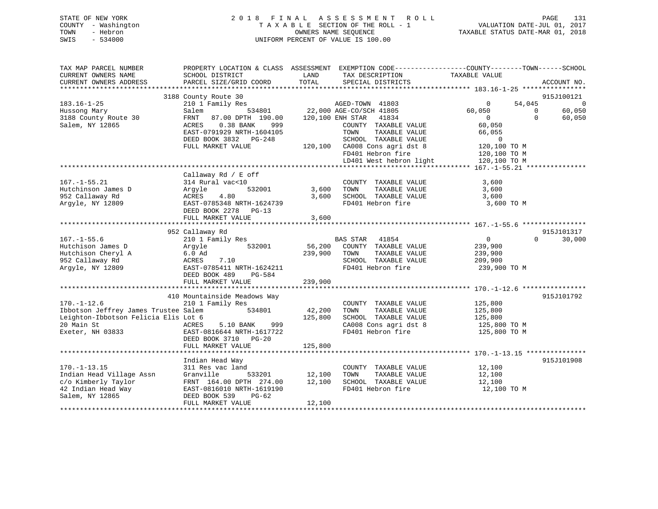## STATE OF NEW YORK 2 0 1 8 F I N A L A S S E S S M E N T R O L L PAGE 131 COUNTY - Washington T A X A B L E SECTION OF THE ROLL - 1 VALUATION DATE-JUL 01, 2017 TOWN - Hebron OWNERS NAME SEQUENCE TAXABLE STATUS DATE-MAR 01, 2018 SWIS - 534000 UNIFORM PERCENT OF VALUE IS 100.00

| TAX MAP PARCEL NUMBER<br>CURRENT OWNERS NAME | SCHOOL DISTRICT<br>PARCEL SIZE/GRID COORD | LAND<br>TOTAL    | PROPERTY LOCATION & CLASS ASSESSMENT EXEMPTION CODE---------------COUNTY-------TOWN-----SCHOOL<br>TAX DESCRIPTION | TAXABLE VALUE  |          | ACCOUNT NO.    |
|----------------------------------------------|-------------------------------------------|------------------|-------------------------------------------------------------------------------------------------------------------|----------------|----------|----------------|
| CURRENT OWNERS ADDRESS                       |                                           |                  | SPECIAL DISTRICTS                                                                                                 |                |          |                |
|                                              | 3188 County Route 30                      |                  |                                                                                                                   |                |          | 915J100121     |
| $183.16 - 1 - 25$                            | 210 1 Family Res                          |                  | AGED-TOWN 41803                                                                                                   | $\overline{0}$ | 54,045   | $\overline{0}$ |
| Hussong Mary                                 | Salem                                     |                  | 534801 22,000 AGE-CO/SCH 41805                                                                                    | 60,050         | $\Omega$ | 60,050         |
| 3188 County Route 30                         | FRNT<br>87.00 DPTH 190.00                 | 120,100 ENH STAR | 41834                                                                                                             | $\overline{0}$ | $\Omega$ | 60,050         |
| Salem, NY 12865                              | ACRES<br>$0.38$ BANK<br>999               |                  | COUNTY TAXABLE VALUE                                                                                              | 60,050         |          |                |
|                                              | EAST-0791929 NRTH-1604105                 |                  | TAXABLE VALUE<br>TOWN                                                                                             | 66,055         |          |                |
|                                              | DEED BOOK 3832 PG-248                     |                  | SCHOOL TAXABLE VALUE                                                                                              | $\overline{0}$ |          |                |
|                                              | FULL MARKET VALUE                         |                  | 120,100 CA008 Cons agri dst 8                                                                                     | 120,100 TO M   |          |                |
|                                              |                                           |                  | FD401 Hebron fire                                                                                                 | 120,100 TO M   |          |                |
|                                              |                                           |                  | LD401 West hebron light                                                                                           | 120,100 TO M   |          |                |
|                                              |                                           |                  |                                                                                                                   |                |          |                |
|                                              | Callaway Rd / E off                       |                  |                                                                                                                   |                |          |                |
| $167. - 1 - 55.21$                           | 314 Rural vac<10                          |                  | COUNTY TAXABLE VALUE                                                                                              | 3,600          |          |                |
| Hutchinson James D                           | 532001<br>Arqyle                          | 3,600            | TOWN<br>TAXABLE VALUE                                                                                             | 3,600          |          |                |
| 952 Callaway Rd                              | ACRES<br>4.80                             | 3,600            | SCHOOL TAXABLE VALUE                                                                                              | 3,600          |          |                |
| Argyle, NY 12809                             | EAST-0785348 NRTH-1624739                 |                  | FD401 Hebron fire                                                                                                 | 3,600 TO M     |          |                |
|                                              | DEED BOOK 2278 PG-13                      |                  |                                                                                                                   |                |          |                |
|                                              | FULL MARKET VALUE                         | 3,600            |                                                                                                                   |                |          |                |
|                                              |                                           |                  |                                                                                                                   |                |          |                |
|                                              | 952 Callaway Rd                           |                  |                                                                                                                   |                |          | 915J101317     |
| $167. - 1 - 55.6$                            | 210 1 Family Res                          |                  | BAS STAR 41854                                                                                                    | $\overline{0}$ | $\Omega$ | 30,000         |
| Hutchison James D                            | 532001<br>Argyle                          | 56,200           | COUNTY TAXABLE VALUE                                                                                              | 239,900        |          |                |
| Hutchison Cheryl A                           | $6.0$ Ad                                  | 239,900          | TAXABLE VALUE<br>TOWN                                                                                             | 239,900        |          |                |
| 952 Callaway Rd                              | ACRES<br>7.10                             |                  | SCHOOL TAXABLE VALUE                                                                                              | 209,900        |          |                |
| Argyle, NY 12809                             | EAST-0785411 NRTH-1624211                 |                  | FD401 Hebron fire                                                                                                 | 239,900 TO M   |          |                |
|                                              | PG-584<br>DEED BOOK 489                   |                  |                                                                                                                   |                |          |                |
|                                              | FULL MARKET VALUE                         | 239,900          |                                                                                                                   |                |          |                |
|                                              | 410 Mountainside Meadows Way              |                  |                                                                                                                   |                |          | 915J101792     |
| $170. - 1 - 12.6$                            | 210 1 Family Res                          |                  | COUNTY TAXABLE VALUE                                                                                              | 125,800        |          |                |
| Ibbotson Jeffrey James Trustee Salem         | 534801                                    | 42,200           | TAXABLE VALUE<br>TOWN                                                                                             | 125,800        |          |                |
| Leighton-Ibbotson Felicia Elis Lot 6         |                                           | 125,800          | SCHOOL TAXABLE VALUE                                                                                              | 125,800        |          |                |
| 20 Main St                                   | ACRES<br>5.10 BANK<br>999                 |                  | CA008 Cons agri dst 8                                                                                             | 125,800 TO M   |          |                |
| Exeter, NH 03833                             | EAST-0816644 NRTH-1617722                 |                  | FD401 Hebron fire                                                                                                 | 125,800 TO M   |          |                |
|                                              | DEED BOOK 3710 PG-20                      |                  |                                                                                                                   |                |          |                |
|                                              | FULL MARKET VALUE                         | 125,800          |                                                                                                                   |                |          |                |
|                                              |                                           |                  |                                                                                                                   |                |          |                |
|                                              | Indian Head Way                           |                  |                                                                                                                   |                |          | 915J101908     |
| $170. - 1 - 13.15$                           | 311 Res vac land                          |                  | COUNTY TAXABLE VALUE                                                                                              | 12,100         |          |                |
| Indian Head Village Assn                     | Granville<br>533201                       | 12,100           | TOWN<br>TAXABLE VALUE                                                                                             | 12,100         |          |                |
| c/o Kimberly Taylor                          | FRNT 164.00 DPTH 274.00                   | 12,100           | SCHOOL TAXABLE VALUE                                                                                              | 12,100         |          |                |
| 42 Indian Head Way                           | EAST-0816010 NRTH-1619190                 |                  | FD401 Hebron fire                                                                                                 | 12,100 TO M    |          |                |
| Salem, NY 12865                              | PG-62<br>DEED BOOK 539                    |                  |                                                                                                                   |                |          |                |
|                                              | FULL MARKET VALUE                         | 12,100           |                                                                                                                   |                |          |                |
|                                              |                                           |                  |                                                                                                                   |                |          |                |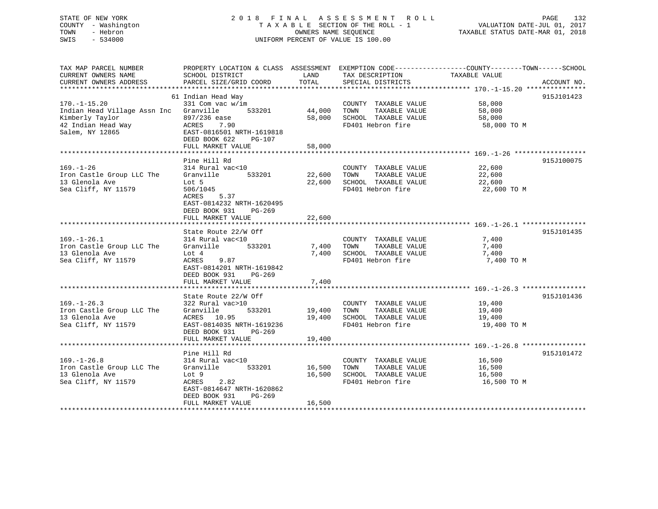## STATE OF NEW YORK 2 0 1 8 F I N A L A S S E S S M E N T R O L L PAGE 132 COUNTY - Washington T A X A B L E SECTION OF THE ROLL - 1 VALUATION DATE-JUL 01, 2017 TOWN - Hebron OWNERS NAME SEQUENCE TAXABLE STATUS DATE-MAR 01, 2018 SWIS - 534000 UNIFORM PERCENT OF VALUE IS 100.00

| TAX MAP PARCEL NUMBER<br>CURRENT OWNERS NAME<br>CURRENT OWNERS ADDRESS          | PROPERTY LOCATION & CLASS ASSESSMENT<br>SCHOOL DISTRICT<br>PARCEL SIZE/GRID COORD            | LAND<br>TOTAL    | TAX DESCRIPTION<br>SPECIAL DISTRICTS                                  | EXEMPTION CODE-----------------COUNTY--------TOWN------SCHOOL<br>TAXABLE VALUE<br>ACCOUNT NO. |
|---------------------------------------------------------------------------------|----------------------------------------------------------------------------------------------|------------------|-----------------------------------------------------------------------|-----------------------------------------------------------------------------------------------|
|                                                                                 |                                                                                              |                  |                                                                       |                                                                                               |
|                                                                                 | 61 Indian Head Way                                                                           |                  |                                                                       | 915J101423                                                                                    |
| $170. - 1 - 15.20$<br>Indian Head Village Assn Inc Granville<br>Kimberly Taylor | 331 Com vac w/im<br>533201<br>897/236 ease                                                   | 44,000<br>58,000 | COUNTY TAXABLE VALUE<br>TOWN<br>TAXABLE VALUE<br>SCHOOL TAXABLE VALUE | 58,000<br>58,000<br>58,000                                                                    |
| 42 Indian Head Way<br>Salem, NY 12865                                           | ACRES<br>7.90<br>EAST-0816501 NRTH-1619818<br>DEED BOOK 622<br>$PG-107$<br>FULL MARKET VALUE | 58,000           | FD401 Hebron fire                                                     | 58,000 TO M                                                                                   |
|                                                                                 |                                                                                              |                  |                                                                       |                                                                                               |
|                                                                                 | Pine Hill Rd                                                                                 |                  |                                                                       | 915J100075                                                                                    |
| $169. - 1 - 26$                                                                 | 314 Rural vac<10                                                                             |                  | COUNTY TAXABLE VALUE                                                  | 22,600                                                                                        |
| Iron Castle Group LLC The                                                       | Granville 533201                                                                             | 22,600           | TOWN<br>TAXABLE VALUE                                                 | 22,600                                                                                        |
| 13 Glenola Ave                                                                  | Lot 5                                                                                        | 22,600           | SCHOOL TAXABLE VALUE                                                  | 22,600                                                                                        |
| Sea Cliff, NY 11579                                                             | 506/1045                                                                                     |                  | FD401 Hebron fire                                                     | 22,600 TO M                                                                                   |
|                                                                                 | 5.37<br>ACRES                                                                                |                  |                                                                       |                                                                                               |
|                                                                                 | EAST-0814232 NRTH-1620495                                                                    |                  |                                                                       |                                                                                               |
|                                                                                 | DEED BOOK 931<br>PG-269                                                                      |                  |                                                                       |                                                                                               |
|                                                                                 | FULL MARKET VALUE                                                                            | 22,600           |                                                                       |                                                                                               |
|                                                                                 |                                                                                              |                  |                                                                       |                                                                                               |
| $169. - 1 - 26.1$                                                               | State Route 22/W Off<br>314 Rural vac<10                                                     |                  | COUNTY TAXABLE VALUE                                                  | 915J101435<br>7,400                                                                           |
| Iron Castle Group LLC The                                                       | 533201<br>Granville                                                                          | 7,400            | TAXABLE VALUE<br>TOWN                                                 | 7,400                                                                                         |
| 13 Glenola Ave                                                                  | Lot 4                                                                                        | 7,400            | SCHOOL TAXABLE VALUE                                                  | 7,400                                                                                         |
| Sea Cliff, NY 11579                                                             | 9.87<br>ACRES                                                                                |                  | FD401 Hebron fire                                                     | 7,400 TO M                                                                                    |
|                                                                                 | EAST-0814201 NRTH-1619842                                                                    |                  |                                                                       |                                                                                               |
|                                                                                 | DEED BOOK 931<br>PG-269                                                                      |                  |                                                                       |                                                                                               |
|                                                                                 | FULL MARKET VALUE                                                                            | 7,400            |                                                                       |                                                                                               |
|                                                                                 |                                                                                              |                  |                                                                       |                                                                                               |
|                                                                                 | State Route 22/W Off                                                                         |                  |                                                                       | 915J101436                                                                                    |
| $169. - 1 - 26.3$                                                               | 322 Rural vac>10                                                                             |                  | COUNTY TAXABLE VALUE                                                  | 19,400                                                                                        |
| Iron Castle Group LLC The<br>13 Glenola Ave                                     | Granville<br>533201<br>ACRES 10.95                                                           | 19,400<br>19,400 | TAXABLE VALUE<br>TOWN<br>SCHOOL TAXABLE VALUE                         | 19,400<br>19,400                                                                              |
| Sea Cliff, NY 11579                                                             | EAST-0814035 NRTH-1619236                                                                    |                  | FD401 Hebron fire                                                     | 19,400 TO M                                                                                   |
|                                                                                 | DEED BOOK 931<br>PG-269                                                                      |                  |                                                                       |                                                                                               |
|                                                                                 | FULL MARKET VALUE                                                                            | 19,400           |                                                                       |                                                                                               |
|                                                                                 |                                                                                              |                  |                                                                       |                                                                                               |
|                                                                                 | Pine Hill Rd                                                                                 |                  |                                                                       | 915J101472                                                                                    |
| $169. - 1 - 26.8$                                                               | 314 Rural vac<10                                                                             |                  | COUNTY TAXABLE VALUE                                                  | 16,500                                                                                        |
| Iron Castle Group LLC The Granville                                             | 533201                                                                                       | 16,500           | TOWN<br>TAXABLE VALUE                                                 | 16,500                                                                                        |
| 13 Glenola Ave                                                                  | Lot 9                                                                                        | 16,500           | SCHOOL TAXABLE VALUE                                                  | 16,500                                                                                        |
| Sea Cliff, NY 11579                                                             | 2.82<br>ACRES                                                                                |                  | FD401 Hebron fire                                                     | 16,500 TO M                                                                                   |
|                                                                                 | EAST-0814647 NRTH-1620862                                                                    |                  |                                                                       |                                                                                               |
|                                                                                 | DEED BOOK 931<br>$PG-269$                                                                    |                  |                                                                       |                                                                                               |
|                                                                                 | FULL MARKET VALUE                                                                            | 16,500           |                                                                       |                                                                                               |
|                                                                                 |                                                                                              |                  |                                                                       |                                                                                               |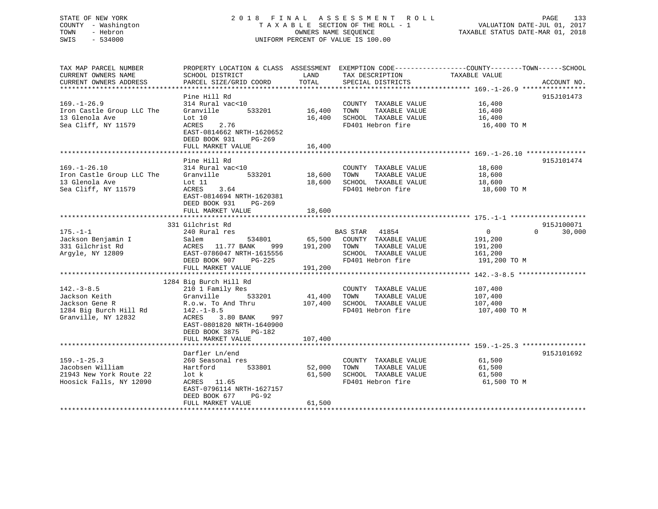## STATE OF NEW YORK 2 0 1 8 F I N A L A S S E S S M E N T R O L L PAGE 133 COUNTY - Washington T A X A B L E SECTION OF THE ROLL - 1 VALUATION DATE-JUL 01, 2017 TOWN - Hebron OWNERS NAME SEQUENCE TAXABLE STATUS DATE-MAR 01, 2018 SWIS - 534000 UNIFORM PERCENT OF VALUE IS 100.00

TAX MAP PARCEL NUMBER PROPERTY LOCATION & CLASS ASSESSMENT EXEMPTION CODE------------------COUNTY--------TOWN------SCHOOL

CURRENT OWNERS NAME SCHOOL DISTRICT THE LAND TAX DESCRIPTION TAXABLE VALUE CURRENT OWNERS ADDRESS PARCEL SIZE/GRID COORD TOTAL SPECIAL DISTRICTS ACCOUNT NO. \*\*\*\*\*\*\*\*\*\*\*\*\*\*\*\*\*\*\*\*\*\*\*\*\*\*\*\*\*\*\*\*\*\*\*\*\*\*\*\*\*\*\*\*\*\*\*\*\*\*\*\*\*\*\*\*\*\*\*\*\*\*\*\*\*\*\*\*\*\*\*\*\*\*\*\*\*\*\*\*\*\*\*\*\*\*\*\*\*\*\*\*\*\*\*\*\*\*\*\*\*\*\* 169.-1-26.9 \*\*\*\*\*\*\*\*\*\*\*\*\*\*\*\* Pine Hill Rd 915J101473 169.-1-26.9 314 Rural vac<10 COUNTY TAXABLE VALUE 16,400 Iron Castle Group LLC The Granville 533201 16,400 TOWN TAXABLE VALUE 16,400 13 Glenola Ave Lot 10 16,400 SCHOOL TAXABLE VALUE 16,400 Sea Cliff, NY 11579 **ACRES** 2.76 FD401 Hebron fire 16,400 FD401 Hebron fire 16,400 TO M<br>FD401 Hebron fire 16,400 TO M EAST-0814662 NRTH-1620652 DEED BOOK 931 PG-269FULL MARKET VALUE 16,400 \*\*\*\*\*\*\*\*\*\*\*\*\*\*\*\*\*\*\*\*\*\*\*\*\*\*\*\*\*\*\*\*\*\*\*\*\*\*\*\*\*\*\*\*\*\*\*\*\*\*\*\*\*\*\*\*\*\*\*\*\*\*\*\*\*\*\*\*\*\*\*\*\*\*\*\*\*\*\*\*\*\*\*\*\*\*\*\*\*\*\*\*\*\*\*\*\*\*\*\*\*\*\* 169.-1-26.10 \*\*\*\*\*\*\*\*\*\*\*\*\*\*\*Pine Hill Rd 915J101474 169.-1-26.10 314 Rural vac<10 COUNTY TAXABLE VALUE 18,600 Iron Castle Group LLC The Granville 533201 18,600 TOWN TAXABLE VALUE 18,600 13 Glenola Ave 18,600 Lot 11 18,600 13 Glenola Ave Lot 11 18,600 SCHOOL TAXABLE VALUE 18,600 Sea Cliff, NY 11579 ACRES 3.64 FD401 Hebron fire 18,600 TO M EAST-0814694 NRTH-1620381 DEED BOOK 931 PG-269FULL MARKET VALUE 18,600 \*\*\*\*\*\*\*\*\*\*\*\*\*\*\*\*\*\*\*\*\*\*\*\*\*\*\*\*\*\*\*\*\*\*\*\*\*\*\*\*\*\*\*\*\*\*\*\*\*\*\*\*\*\*\*\*\*\*\*\*\*\*\*\*\*\*\*\*\*\*\*\*\*\*\*\*\*\*\*\*\*\*\*\*\*\*\*\*\*\*\*\*\*\*\*\*\*\*\*\*\*\*\* 175.-1-1 \*\*\*\*\*\*\*\*\*\*\*\*\*\*\*\*\*\*\* 331 Gilchrist Rd 915J100071175.-1-1 240 Rural res BAS STAR 41854 0 0 30,000 Jackson Benjamin I Salem 534801 65,500 COUNTY TAXABLE VALUE 191,200 331 Gilchrist Rd ACRES 11.77 BANK 999 191,200 TOWN TAXABLE VALUE 191,200 Argyle, NY 12809 EAST-0786047 NRTH-1615556 SCHOOL TAXABLE VALUE 161,200 DEED BOOK 907 PG-225 FD401 Hebron fire 191,200 TO M FULL MARKET VALUE 191,200 \*\*\*\*\*\*\*\*\*\*\*\*\*\*\*\*\*\*\*\*\*\*\*\*\*\*\*\*\*\*\*\*\*\*\*\*\*\*\*\*\*\*\*\*\*\*\*\*\*\*\*\*\*\*\*\*\*\*\*\*\*\*\*\*\*\*\*\*\*\*\*\*\*\*\*\*\*\*\*\*\*\*\*\*\*\*\*\*\*\*\*\*\*\*\*\*\*\*\*\*\*\*\* 142.-3-8.5 \*\*\*\*\*\*\*\*\*\*\*\*\*\*\*\*\* 1284 Big Burch Hill Rd 142.-3-8.5 210 1 Family Res COUNTY TAXABLE VALUE 107,400 Jackson Keith Granville 533201 41,400 TOWN TAXABLE VALUE 107,400 Jackson Gene R R.o.w. To And Thru 107,400 SCHOOL TAXABLE VALUE 107,400 1284 Big Burch Hill Rd 142.-1-8.5 FD401 Hebron fire 107,400 TO M Granville, NY 12832 ACRES 3.80 BANK 997 EAST-0801820 NRTH-1640900 DEED BOOK 3875 PG-182FULL MARKET VALUE 107,400 \*\*\*\*\*\*\*\*\*\*\*\*\*\*\*\*\*\*\*\*\*\*\*\*\*\*\*\*\*\*\*\*\*\*\*\*\*\*\*\*\*\*\*\*\*\*\*\*\*\*\*\*\*\*\*\*\*\*\*\*\*\*\*\*\*\*\*\*\*\*\*\*\*\*\*\*\*\*\*\*\*\*\*\*\*\*\*\*\*\*\*\*\*\*\*\*\*\*\*\*\*\*\* 159.-1-25.3 \*\*\*\*\*\*\*\*\*\*\*\*\*\*\*\* Darfler Ln/end 915J101692 159.-1-25.3 260 Seasonal res COUNTY TAXABLE VALUE 61,500 Jacobsen William Hartford 533801 52,000 TOWN TAXABLE VALUE 61,500 21943 New York Route 22 lot k 61,500 SCHOOL TAXABLE VALUE 61,500 Hoosick Falls, NY 12090 ACRES 11.65 FD401 Hebron fire 61,500 TO M EAST-0796114 NRTH-1627157 DEED BOOK 677 PG-92 FULL MARKET VALUE 61,500 \*\*\*\*\*\*\*\*\*\*\*\*\*\*\*\*\*\*\*\*\*\*\*\*\*\*\*\*\*\*\*\*\*\*\*\*\*\*\*\*\*\*\*\*\*\*\*\*\*\*\*\*\*\*\*\*\*\*\*\*\*\*\*\*\*\*\*\*\*\*\*\*\*\*\*\*\*\*\*\*\*\*\*\*\*\*\*\*\*\*\*\*\*\*\*\*\*\*\*\*\*\*\*\*\*\*\*\*\*\*\*\*\*\*\*\*\*\*\*\*\*\*\*\*\*\*\*\*\*\*\*\*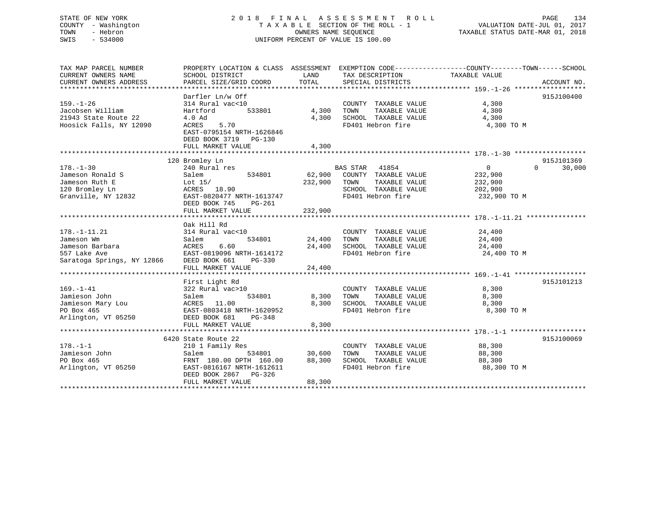## STATE OF NEW YORK 2 0 1 8 F I N A L A S S E S S M E N T R O L L PAGE 134 COUNTY - Washington T A X A B L E SECTION OF THE ROLL - 1 VALUATION DATE-JUL 01, 2017 TOWN - Hebron OWNERS NAME SEQUENCE TAXABLE STATUS DATE-MAR 01, 2018 SWIS - 534000 UNIFORM PERCENT OF VALUE IS 100.00

| TAX MAP PARCEL NUMBER      | PROPERTY LOCATION & CLASS ASSESSMENT EXEMPTION CODE----------------COUNTY-------TOWN------SCHOOL |               |                             |                |                    |
|----------------------------|--------------------------------------------------------------------------------------------------|---------------|-----------------------------|----------------|--------------------|
| CURRENT OWNERS NAME        | SCHOOL DISTRICT                                                                                  | LAND          | TAX DESCRIPTION             | TAXABLE VALUE  |                    |
| CURRENT OWNERS ADDRESS     | PARCEL SIZE/GRID COORD                                                                           | TOTAL         | SPECIAL DISTRICTS           |                | ACCOUNT NO.        |
|                            |                                                                                                  |               |                             |                |                    |
|                            | Darfler Ln/w Off                                                                                 |               |                             |                | 915J100400         |
| $159. - 1 - 26$            | 314 Rural vac<10                                                                                 |               | COUNTY TAXABLE VALUE        | 4,300          |                    |
| Jacobsen William           | 533801<br>Hartford                                                                               |               | 4,300 TOWN<br>TAXABLE VALUE | 4,300          |                    |
| 21943 State Route 22       | 4.0 Ad                                                                                           | 4,300         | SCHOOL TAXABLE VALUE        | 4,300          |                    |
| Hoosick Falls, NY 12090    | ACRES<br>5.70                                                                                    |               | FD401 Hebron fire           | 4,300 TO M     |                    |
|                            | EAST-0795154 NRTH-1626846                                                                        |               |                             |                |                    |
|                            | DEED BOOK 3719 PG-130                                                                            |               |                             |                |                    |
|                            | FULL MARKET VALUE                                                                                | 4,300         |                             |                |                    |
|                            |                                                                                                  |               |                             |                |                    |
|                            | 120 Bromley Ln                                                                                   |               |                             |                | 915J101369         |
| $178. - 1 - 30$            | 240 Rural res                                                                                    |               | BAS STAR 41854              | $\overline{0}$ | $\Omega$<br>30,000 |
| Jameson Ronald S           | 534801<br>Salem                                                                                  | 62,900        | COUNTY TAXABLE VALUE        | 232,900        |                    |
| Jameson Ruth E             | Lot 15/                                                                                          | 232,900       | TOWN<br>TAXABLE VALUE       | 232,900        |                    |
| 120 Bromley Ln             | ACRES 18.90                                                                                      |               | SCHOOL TAXABLE VALUE        | 202,900        |                    |
| Granville, NY 12832        | EAST-0820477 NRTH-1613747                                                                        |               | FD401 Hebron fire           | 232,900 TO M   |                    |
|                            | DEED BOOK 745<br>PG-261                                                                          |               |                             |                |                    |
|                            | FULL MARKET VALUE                                                                                | 232,900       |                             |                |                    |
|                            |                                                                                                  |               |                             |                |                    |
|                            | Oak Hill Rd                                                                                      |               |                             |                |                    |
| $178. - 1 - 11.21$         | 314 Rural vac<10                                                                                 |               | COUNTY TAXABLE VALUE        | 24,400         |                    |
| Jameson Wm                 | 534801<br>Salem                                                                                  | 24,400 TOWN   | TAXABLE VALUE               | 24,400         |                    |
| Jameson Barbara            | 6.60<br>ACRES                                                                                    |               | 24,400 SCHOOL TAXABLE VALUE | 24,400         |                    |
| 557 Lake Ave               | EAST-0819096 NRTH-1614172                                                                        |               | FD401 Hebron fire           | 24,400 TO M    |                    |
| Saratoga Springs, NY 12866 | DEED BOOK 661<br>PG-330                                                                          |               |                             |                |                    |
|                            | FULL MARKET VALUE                                                                                | 24,400        |                             |                |                    |
|                            |                                                                                                  |               |                             |                |                    |
|                            | First Light Rd                                                                                   |               |                             |                | 915J101213         |
| $169. - 1 - 41$            | 322 Rural vac>10                                                                                 |               | COUNTY TAXABLE VALUE        | 8,300          |                    |
| Jamieson John              | 534801                                                                                           | 8,300         | TOWN<br>TAXABLE VALUE       | 8,300          |                    |
| Jamieson Mary Lou          | Salem<br>ACRES 11.00                                                                             | 8,300         | SCHOOL TAXABLE VALUE        | 8,300          |                    |
| PO Box 465                 | EAST-0803418 NRTH-1620952                                                                        |               | FD401 Hebron fire           | 8,300 TO M     |                    |
| Arlington, VT 05250        | DEED BOOK 681<br>PG-348                                                                          |               |                             |                |                    |
|                            | FULL MARKET VALUE                                                                                | 8,300         |                             |                |                    |
|                            |                                                                                                  |               |                             |                |                    |
|                            | 6420 State Route 22                                                                              |               |                             |                | 915J100069         |
| $178. - 1 - 1$             | 210 1 Family Res                                                                                 |               | COUNTY TAXABLE VALUE        | 88,300         |                    |
| Jamieson John              | Salem                                                                                            | 534801 30,600 | TOWN<br>TAXABLE VALUE       | 88,300         |                    |
| PO Box 465                 | FRNT 180.00 DPTH 160.00                                                                          |               | 88,300 SCHOOL TAXABLE VALUE | 88,300         |                    |
| Arlington, VT 05250        | EAST-0816167 NRTH-1612611                                                                        |               | FD401 Hebron fire           | 88,300 TO M    |                    |
|                            | DEED BOOK 2867 PG-326                                                                            |               |                             |                |                    |
|                            | FULL MARKET VALUE                                                                                | 88,300        |                             |                |                    |
|                            |                                                                                                  |               |                             |                |                    |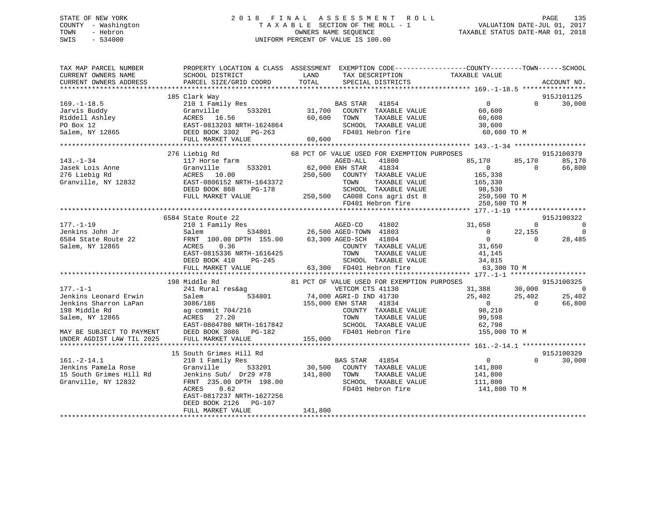## STATE OF NEW YORK 2 0 1 8 F I N A L A S S E S S M E N T R O L L PAGE 135 COUNTY - Washington T A X A B L E SECTION OF THE ROLL - 1 VALUATION DATE-JUL 01, 2017 TOWN - Hebron OWNERS NAME SEQUENCE TAXABLE STATUS DATE-MAR 01, 2018 SWIS - 534000 UNIFORM PERCENT OF VALUE IS 100.00

| 915J101125<br>185 Clark Way<br>210 1 Family Res<br>$\overline{0}$<br>$169. - 1 - 18.5$<br>BAS STAR 41854<br>$0 \qquad \qquad$<br>30,000<br>31,700 COUNTY TAXABLE VALUE<br>60,600 TOWN TAXABLE VALUE<br>533201<br>Granville<br>60,600<br>60,600<br>SCHOOL TAXABLE VALUE<br>30,600<br>FD401 Hebron fire<br>60,600 TO M<br>FULL MARKET VALUE<br>60,600<br>68 PCT OF VALUE USED FOR EXEMPTION PURPOSES<br>276 Liebig Rd<br>915J100379<br>117 Horse farm<br>$143. - 1 - 34$<br>AGED-ALL 41800<br>533201 62,000 ENH STAR 41834<br>250,500 COUNTY TAXABLE VALUE<br>85,170 85,170<br>85,170<br>$\overline{0}$<br>$\sim$ 0<br>66,800<br>165,330<br>EAST-0806152 NRTH-1643372<br>TAXABLE VALUE<br>TOWN<br>165,330<br>SCHOOL TAXABLE VALUE 788,530<br>DEED BOOK 868<br>PG-178<br>250,500 CA008 Cons agri dst 8 250,500 TO M<br>FD401 Hebron fire 250,500 TO M<br>FULL MARKET VALUE<br>6584 State Route 22<br>915J100322<br>210 1 Family Res<br>3 AGED-CO 41802<br>534801 26,500 AGED-TOWN 41803<br>31,650<br>$\overline{0}$<br>$\overline{0}$<br>$\begin{matrix}0&&&22\,,155\0&&&0\end{matrix}$<br>Jenkins John Jr<br>$\overline{0}$<br>Salem<br>$\overline{0}$<br>28,485<br>6584 State Route 22<br>FRNT 100.00 DPTH 155.00 63,300 AGED-SCH 41804<br>COUNTY TAXABLE VALUE 31,650<br>0.36<br>Salem, NY 12865<br>ACRES<br>EAST-0815336 NRTH-1616425<br>DEED BOOK 410<br>EAST-0815336 NRTH-1616425<br>DEED BOOK 410 PG-245<br>FULL MARKET VALUE 63,300 FD401 Hebron fire 63,300 63,300<br>FULL MARKET VALUE 63,300 FD401 Hebron fire<br>63,300 TO M<br>81 PCT OF VALUE USED FOR EXEMPTION PURPOSES<br>198 Middle Rd<br>915J100325<br>31,388 30,000<br>241 Rural res&ag<br>$\sim$ 0<br>ral res&ag<br>534801 74,000 AGRI-D IND 41730<br>86 155,000 ENH STAR 41834<br>$25,402$<br>0 $25,402$<br>0<br>Jenkins Leonard Erwin<br>Salem<br>25,402<br>Jenkins Sharron LaPan<br>66,800<br>3086/186<br>3086/186<br>ag commit 704/216<br>COUNTY TAXABLE VALUE<br>198 Middle Rd<br>98,210<br>TAXABLE VALUE<br>99,598<br>Salem, NY 12865<br>TOWN<br>EAST-0804780 NRTH-1617842<br>DEED BOOK 3086 PG-182<br>SCHOOL TAXABLE VALUE 62,798<br>FD401 Hebron fire 155,000 TO M<br>FD401 Hebron fire<br>MAY BE SUBJECT TO PAYMENT<br>155,000<br>UNDER AGDIST LAW TIL 2025<br>FULL MARKET VALUE<br>915J100329<br>15 South Grimes Hill Rd<br>$\overline{0}$<br>$\Omega$<br>210 1 Family Res<br>BAS STAR<br>41854<br>30,000<br>30,500 COUNTY TAXABLE VALUE<br>141,800<br>Jenkins Pamela Rose<br>Granville 533201<br>Jenkins Sub/ Dr29 #78 141,800 TOWN<br>TAXABLE VALUE 141,800<br>FRNT 235.00 DPTH 198.00<br>SCHOOL TAXABLE VALUE<br>111,800<br>141,800 TO M<br>0.62<br>FD401 Hebron fire<br>ACRES<br>EAST-0817237 NRTH-1627256<br>DEED BOOK 2126   PG-107 | TAX MAP PARCEL NUMBER<br>CURRENT OWNERS NAME<br>CURRENT OWNERS ADDRESS | SCHOOL DISTRICT<br>PARCEL SIZE/GRID COORD | PROPERTY LOCATION & CLASS ASSESSMENT EXEMPTION CODE----------------COUNTY-------TOWN------SCHOOL<br>LAND<br>TAX DESCRIPTION<br>TOTAL<br>SPECIAL DISTRICTS | TAXABLE VALUE | ACCOUNT NO. |
|-----------------------------------------------------------------------------------------------------------------------------------------------------------------------------------------------------------------------------------------------------------------------------------------------------------------------------------------------------------------------------------------------------------------------------------------------------------------------------------------------------------------------------------------------------------------------------------------------------------------------------------------------------------------------------------------------------------------------------------------------------------------------------------------------------------------------------------------------------------------------------------------------------------------------------------------------------------------------------------------------------------------------------------------------------------------------------------------------------------------------------------------------------------------------------------------------------------------------------------------------------------------------------------------------------------------------------------------------------------------------------------------------------------------------------------------------------------------------------------------------------------------------------------------------------------------------------------------------------------------------------------------------------------------------------------------------------------------------------------------------------------------------------------------------------------------------------------------------------------------------------------------------------------------------------------------------------------------------------------------------------------------------------------------------------------------------------------------------------------------------------------------------------------------------------------------------------------------------------------------------------------------------------------------------------------------------------------------------------------------------------------------------------------------------------------------------------------------------------------------------------------------------------------------------------------------------------------------------------------------------------------------------------------------------------------------------------------------------|------------------------------------------------------------------------|-------------------------------------------|-----------------------------------------------------------------------------------------------------------------------------------------------------------|---------------|-------------|
|                                                                                                                                                                                                                                                                                                                                                                                                                                                                                                                                                                                                                                                                                                                                                                                                                                                                                                                                                                                                                                                                                                                                                                                                                                                                                                                                                                                                                                                                                                                                                                                                                                                                                                                                                                                                                                                                                                                                                                                                                                                                                                                                                                                                                                                                                                                                                                                                                                                                                                                                                                                                                                                                                                                       |                                                                        |                                           |                                                                                                                                                           |               |             |
|                                                                                                                                                                                                                                                                                                                                                                                                                                                                                                                                                                                                                                                                                                                                                                                                                                                                                                                                                                                                                                                                                                                                                                                                                                                                                                                                                                                                                                                                                                                                                                                                                                                                                                                                                                                                                                                                                                                                                                                                                                                                                                                                                                                                                                                                                                                                                                                                                                                                                                                                                                                                                                                                                                                       |                                                                        |                                           |                                                                                                                                                           |               |             |
|                                                                                                                                                                                                                                                                                                                                                                                                                                                                                                                                                                                                                                                                                                                                                                                                                                                                                                                                                                                                                                                                                                                                                                                                                                                                                                                                                                                                                                                                                                                                                                                                                                                                                                                                                                                                                                                                                                                                                                                                                                                                                                                                                                                                                                                                                                                                                                                                                                                                                                                                                                                                                                                                                                                       | Jarvis Buddy                                                           |                                           |                                                                                                                                                           |               |             |
|                                                                                                                                                                                                                                                                                                                                                                                                                                                                                                                                                                                                                                                                                                                                                                                                                                                                                                                                                                                                                                                                                                                                                                                                                                                                                                                                                                                                                                                                                                                                                                                                                                                                                                                                                                                                                                                                                                                                                                                                                                                                                                                                                                                                                                                                                                                                                                                                                                                                                                                                                                                                                                                                                                                       |                                                                        |                                           |                                                                                                                                                           |               |             |
|                                                                                                                                                                                                                                                                                                                                                                                                                                                                                                                                                                                                                                                                                                                                                                                                                                                                                                                                                                                                                                                                                                                                                                                                                                                                                                                                                                                                                                                                                                                                                                                                                                                                                                                                                                                                                                                                                                                                                                                                                                                                                                                                                                                                                                                                                                                                                                                                                                                                                                                                                                                                                                                                                                                       |                                                                        |                                           |                                                                                                                                                           |               |             |
|                                                                                                                                                                                                                                                                                                                                                                                                                                                                                                                                                                                                                                                                                                                                                                                                                                                                                                                                                                                                                                                                                                                                                                                                                                                                                                                                                                                                                                                                                                                                                                                                                                                                                                                                                                                                                                                                                                                                                                                                                                                                                                                                                                                                                                                                                                                                                                                                                                                                                                                                                                                                                                                                                                                       |                                                                        |                                           |                                                                                                                                                           |               |             |
|                                                                                                                                                                                                                                                                                                                                                                                                                                                                                                                                                                                                                                                                                                                                                                                                                                                                                                                                                                                                                                                                                                                                                                                                                                                                                                                                                                                                                                                                                                                                                                                                                                                                                                                                                                                                                                                                                                                                                                                                                                                                                                                                                                                                                                                                                                                                                                                                                                                                                                                                                                                                                                                                                                                       | Granville, NY 12832                                                    |                                           |                                                                                                                                                           |               |             |
|                                                                                                                                                                                                                                                                                                                                                                                                                                                                                                                                                                                                                                                                                                                                                                                                                                                                                                                                                                                                                                                                                                                                                                                                                                                                                                                                                                                                                                                                                                                                                                                                                                                                                                                                                                                                                                                                                                                                                                                                                                                                                                                                                                                                                                                                                                                                                                                                                                                                                                                                                                                                                                                                                                                       |                                                                        |                                           |                                                                                                                                                           |               |             |
|                                                                                                                                                                                                                                                                                                                                                                                                                                                                                                                                                                                                                                                                                                                                                                                                                                                                                                                                                                                                                                                                                                                                                                                                                                                                                                                                                                                                                                                                                                                                                                                                                                                                                                                                                                                                                                                                                                                                                                                                                                                                                                                                                                                                                                                                                                                                                                                                                                                                                                                                                                                                                                                                                                                       |                                                                        |                                           |                                                                                                                                                           |               |             |
|                                                                                                                                                                                                                                                                                                                                                                                                                                                                                                                                                                                                                                                                                                                                                                                                                                                                                                                                                                                                                                                                                                                                                                                                                                                                                                                                                                                                                                                                                                                                                                                                                                                                                                                                                                                                                                                                                                                                                                                                                                                                                                                                                                                                                                                                                                                                                                                                                                                                                                                                                                                                                                                                                                                       |                                                                        |                                           |                                                                                                                                                           |               |             |
|                                                                                                                                                                                                                                                                                                                                                                                                                                                                                                                                                                                                                                                                                                                                                                                                                                                                                                                                                                                                                                                                                                                                                                                                                                                                                                                                                                                                                                                                                                                                                                                                                                                                                                                                                                                                                                                                                                                                                                                                                                                                                                                                                                                                                                                                                                                                                                                                                                                                                                                                                                                                                                                                                                                       | $177. - 1 - 19$                                                        |                                           |                                                                                                                                                           |               |             |
|                                                                                                                                                                                                                                                                                                                                                                                                                                                                                                                                                                                                                                                                                                                                                                                                                                                                                                                                                                                                                                                                                                                                                                                                                                                                                                                                                                                                                                                                                                                                                                                                                                                                                                                                                                                                                                                                                                                                                                                                                                                                                                                                                                                                                                                                                                                                                                                                                                                                                                                                                                                                                                                                                                                       |                                                                        |                                           |                                                                                                                                                           |               |             |
|                                                                                                                                                                                                                                                                                                                                                                                                                                                                                                                                                                                                                                                                                                                                                                                                                                                                                                                                                                                                                                                                                                                                                                                                                                                                                                                                                                                                                                                                                                                                                                                                                                                                                                                                                                                                                                                                                                                                                                                                                                                                                                                                                                                                                                                                                                                                                                                                                                                                                                                                                                                                                                                                                                                       |                                                                        |                                           |                                                                                                                                                           |               |             |
|                                                                                                                                                                                                                                                                                                                                                                                                                                                                                                                                                                                                                                                                                                                                                                                                                                                                                                                                                                                                                                                                                                                                                                                                                                                                                                                                                                                                                                                                                                                                                                                                                                                                                                                                                                                                                                                                                                                                                                                                                                                                                                                                                                                                                                                                                                                                                                                                                                                                                                                                                                                                                                                                                                                       |                                                                        |                                           |                                                                                                                                                           |               |             |
|                                                                                                                                                                                                                                                                                                                                                                                                                                                                                                                                                                                                                                                                                                                                                                                                                                                                                                                                                                                                                                                                                                                                                                                                                                                                                                                                                                                                                                                                                                                                                                                                                                                                                                                                                                                                                                                                                                                                                                                                                                                                                                                                                                                                                                                                                                                                                                                                                                                                                                                                                                                                                                                                                                                       |                                                                        |                                           |                                                                                                                                                           |               |             |
|                                                                                                                                                                                                                                                                                                                                                                                                                                                                                                                                                                                                                                                                                                                                                                                                                                                                                                                                                                                                                                                                                                                                                                                                                                                                                                                                                                                                                                                                                                                                                                                                                                                                                                                                                                                                                                                                                                                                                                                                                                                                                                                                                                                                                                                                                                                                                                                                                                                                                                                                                                                                                                                                                                                       |                                                                        |                                           |                                                                                                                                                           |               |             |
|                                                                                                                                                                                                                                                                                                                                                                                                                                                                                                                                                                                                                                                                                                                                                                                                                                                                                                                                                                                                                                                                                                                                                                                                                                                                                                                                                                                                                                                                                                                                                                                                                                                                                                                                                                                                                                                                                                                                                                                                                                                                                                                                                                                                                                                                                                                                                                                                                                                                                                                                                                                                                                                                                                                       |                                                                        |                                           |                                                                                                                                                           |               |             |
|                                                                                                                                                                                                                                                                                                                                                                                                                                                                                                                                                                                                                                                                                                                                                                                                                                                                                                                                                                                                                                                                                                                                                                                                                                                                                                                                                                                                                                                                                                                                                                                                                                                                                                                                                                                                                                                                                                                                                                                                                                                                                                                                                                                                                                                                                                                                                                                                                                                                                                                                                                                                                                                                                                                       |                                                                        |                                           |                                                                                                                                                           |               |             |
|                                                                                                                                                                                                                                                                                                                                                                                                                                                                                                                                                                                                                                                                                                                                                                                                                                                                                                                                                                                                                                                                                                                                                                                                                                                                                                                                                                                                                                                                                                                                                                                                                                                                                                                                                                                                                                                                                                                                                                                                                                                                                                                                                                                                                                                                                                                                                                                                                                                                                                                                                                                                                                                                                                                       | $177. - 1 - 1$                                                         |                                           |                                                                                                                                                           |               |             |
|                                                                                                                                                                                                                                                                                                                                                                                                                                                                                                                                                                                                                                                                                                                                                                                                                                                                                                                                                                                                                                                                                                                                                                                                                                                                                                                                                                                                                                                                                                                                                                                                                                                                                                                                                                                                                                                                                                                                                                                                                                                                                                                                                                                                                                                                                                                                                                                                                                                                                                                                                                                                                                                                                                                       |                                                                        |                                           |                                                                                                                                                           |               |             |
|                                                                                                                                                                                                                                                                                                                                                                                                                                                                                                                                                                                                                                                                                                                                                                                                                                                                                                                                                                                                                                                                                                                                                                                                                                                                                                                                                                                                                                                                                                                                                                                                                                                                                                                                                                                                                                                                                                                                                                                                                                                                                                                                                                                                                                                                                                                                                                                                                                                                                                                                                                                                                                                                                                                       |                                                                        |                                           |                                                                                                                                                           |               |             |
|                                                                                                                                                                                                                                                                                                                                                                                                                                                                                                                                                                                                                                                                                                                                                                                                                                                                                                                                                                                                                                                                                                                                                                                                                                                                                                                                                                                                                                                                                                                                                                                                                                                                                                                                                                                                                                                                                                                                                                                                                                                                                                                                                                                                                                                                                                                                                                                                                                                                                                                                                                                                                                                                                                                       |                                                                        |                                           |                                                                                                                                                           |               |             |
|                                                                                                                                                                                                                                                                                                                                                                                                                                                                                                                                                                                                                                                                                                                                                                                                                                                                                                                                                                                                                                                                                                                                                                                                                                                                                                                                                                                                                                                                                                                                                                                                                                                                                                                                                                                                                                                                                                                                                                                                                                                                                                                                                                                                                                                                                                                                                                                                                                                                                                                                                                                                                                                                                                                       |                                                                        |                                           |                                                                                                                                                           |               |             |
|                                                                                                                                                                                                                                                                                                                                                                                                                                                                                                                                                                                                                                                                                                                                                                                                                                                                                                                                                                                                                                                                                                                                                                                                                                                                                                                                                                                                                                                                                                                                                                                                                                                                                                                                                                                                                                                                                                                                                                                                                                                                                                                                                                                                                                                                                                                                                                                                                                                                                                                                                                                                                                                                                                                       |                                                                        |                                           |                                                                                                                                                           |               |             |
|                                                                                                                                                                                                                                                                                                                                                                                                                                                                                                                                                                                                                                                                                                                                                                                                                                                                                                                                                                                                                                                                                                                                                                                                                                                                                                                                                                                                                                                                                                                                                                                                                                                                                                                                                                                                                                                                                                                                                                                                                                                                                                                                                                                                                                                                                                                                                                                                                                                                                                                                                                                                                                                                                                                       |                                                                        |                                           |                                                                                                                                                           |               |             |
|                                                                                                                                                                                                                                                                                                                                                                                                                                                                                                                                                                                                                                                                                                                                                                                                                                                                                                                                                                                                                                                                                                                                                                                                                                                                                                                                                                                                                                                                                                                                                                                                                                                                                                                                                                                                                                                                                                                                                                                                                                                                                                                                                                                                                                                                                                                                                                                                                                                                                                                                                                                                                                                                                                                       |                                                                        |                                           |                                                                                                                                                           |               |             |
|                                                                                                                                                                                                                                                                                                                                                                                                                                                                                                                                                                                                                                                                                                                                                                                                                                                                                                                                                                                                                                                                                                                                                                                                                                                                                                                                                                                                                                                                                                                                                                                                                                                                                                                                                                                                                                                                                                                                                                                                                                                                                                                                                                                                                                                                                                                                                                                                                                                                                                                                                                                                                                                                                                                       |                                                                        |                                           |                                                                                                                                                           |               |             |
|                                                                                                                                                                                                                                                                                                                                                                                                                                                                                                                                                                                                                                                                                                                                                                                                                                                                                                                                                                                                                                                                                                                                                                                                                                                                                                                                                                                                                                                                                                                                                                                                                                                                                                                                                                                                                                                                                                                                                                                                                                                                                                                                                                                                                                                                                                                                                                                                                                                                                                                                                                                                                                                                                                                       | $161.-2-14.1$                                                          |                                           |                                                                                                                                                           |               |             |
|                                                                                                                                                                                                                                                                                                                                                                                                                                                                                                                                                                                                                                                                                                                                                                                                                                                                                                                                                                                                                                                                                                                                                                                                                                                                                                                                                                                                                                                                                                                                                                                                                                                                                                                                                                                                                                                                                                                                                                                                                                                                                                                                                                                                                                                                                                                                                                                                                                                                                                                                                                                                                                                                                                                       |                                                                        |                                           |                                                                                                                                                           |               |             |
|                                                                                                                                                                                                                                                                                                                                                                                                                                                                                                                                                                                                                                                                                                                                                                                                                                                                                                                                                                                                                                                                                                                                                                                                                                                                                                                                                                                                                                                                                                                                                                                                                                                                                                                                                                                                                                                                                                                                                                                                                                                                                                                                                                                                                                                                                                                                                                                                                                                                                                                                                                                                                                                                                                                       | 15 South Grimes Hill Rd                                                |                                           |                                                                                                                                                           |               |             |
|                                                                                                                                                                                                                                                                                                                                                                                                                                                                                                                                                                                                                                                                                                                                                                                                                                                                                                                                                                                                                                                                                                                                                                                                                                                                                                                                                                                                                                                                                                                                                                                                                                                                                                                                                                                                                                                                                                                                                                                                                                                                                                                                                                                                                                                                                                                                                                                                                                                                                                                                                                                                                                                                                                                       | Granville, NY 12832                                                    |                                           |                                                                                                                                                           |               |             |
|                                                                                                                                                                                                                                                                                                                                                                                                                                                                                                                                                                                                                                                                                                                                                                                                                                                                                                                                                                                                                                                                                                                                                                                                                                                                                                                                                                                                                                                                                                                                                                                                                                                                                                                                                                                                                                                                                                                                                                                                                                                                                                                                                                                                                                                                                                                                                                                                                                                                                                                                                                                                                                                                                                                       |                                                                        |                                           |                                                                                                                                                           |               |             |
|                                                                                                                                                                                                                                                                                                                                                                                                                                                                                                                                                                                                                                                                                                                                                                                                                                                                                                                                                                                                                                                                                                                                                                                                                                                                                                                                                                                                                                                                                                                                                                                                                                                                                                                                                                                                                                                                                                                                                                                                                                                                                                                                                                                                                                                                                                                                                                                                                                                                                                                                                                                                                                                                                                                       |                                                                        | FULL MARKET VALUE                         | 141,800                                                                                                                                                   |               |             |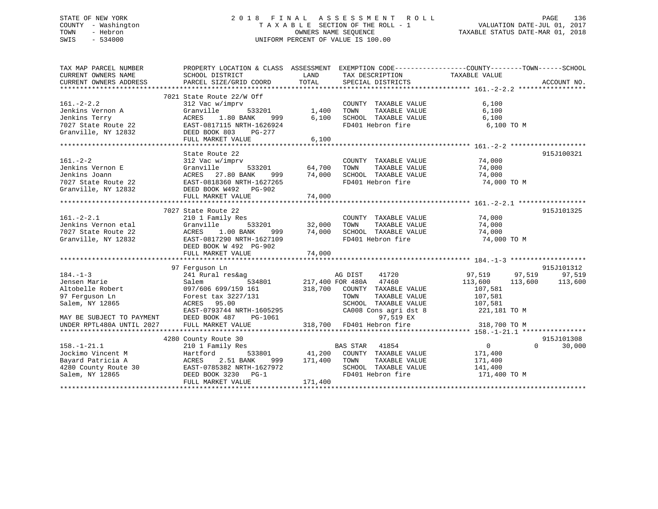## STATE OF NEW YORK 2 0 1 8 F I N A L A S S E S S M E N T R O L L PAGE 136 COUNTY - Washington T A X A B L E SECTION OF THE ROLL - 1 VALUATION DATE-JUL 01, 2017 TOWN - Hebron OWNERS NAME SEQUENCE TAXABLE STATUS DATE-MAR 01, 2018 SWIS - 534000 UNIFORM PERCENT OF VALUE IS 100.00

| PARCEL SIZE/GRID COORD<br>7021 State Route 22/W Off<br>$161. - 2 - 2.2$<br>312 Vac w/imprv<br>6,100<br>COUNTY TAXABLE VALUE<br>Jenkins Vernon A<br>Granville<br>6,100<br>$533201$ 1,400<br>TOWN<br>TAXABLE VALUE<br>Jenkins Terry<br>ACRES<br>1.80 BANK<br>6,100<br>SCHOOL TAXABLE VALUE<br>6,100<br>999<br>FD401 Hebron fire<br>6,100 TO M<br>7027 State Route 22<br>EAST-0817115 NRTH-1626924<br>Granville, NY 12832<br>DEED BOOK 803<br>PG-277<br>FULL MARKET VALUE<br>6,100<br>915J100321<br>State Route 22<br>$161. - 2 - 2$<br>312 Vac w/imprv<br>COUNTY TAXABLE VALUE 74,000<br>64,700<br>Jenkins Vernon E<br>533201<br>TOWN<br>TAXABLE VALUE<br>74,000<br>Granville<br>$\frac{77}{74}$ , 000<br>ACRES 27.80 BANK<br>74,000<br>Jenkins Joann<br>SCHOOL TAXABLE VALUE 74,000<br>FD401 Hebron fire 74,000 TO M<br>999<br>7027 State Route 22<br>EAST-0818360 NRTH-1627265<br>Granville, NY 12832<br>DEED BOOK W492 PG-902<br>915J101325<br>7027 State Route 22<br>$161. - 2 - 2.1$<br>210 1 Family Res<br>COUNTY TAXABLE VALUE<br>74,000<br>533201 32,000<br>Jenkins Vernon etal<br>TAXABLE VALUE<br>74,000<br>Granville<br>TOWN<br>7027 State Route 22<br>ACRES 1.00 BANK<br>74,000<br>SCHOOL TAXABLE VALUE<br>74,000<br>999<br>EAST-0817290 NRTH-1627109<br>FD401 Hebron fire<br>74,000 TO M<br>Granville, NY 12832<br>DEED BOOK W 492 PG-902<br>74,000<br>FULL MARKET VALUE<br>915J101312<br>97 Ferguson Ln<br>97,519 97,519<br>$184. - 1 - 3$<br>241 Rural res&ag<br>AG DIST<br>41720<br>97,519<br>Jensen Marie<br>534801 217,400 FOR 480A 47460<br>113,600<br>Salem<br>113,600 113,600<br>318,700 COUNTY TAXABLE VALUE<br>Altobelle Robert<br>97 Ferguson In<br>097/606 699/159 161<br>107,581<br>107,581<br>97 Ferquson Ln<br>TAXABLE VALUE<br>Forest tax 3227/131<br>TOWN<br>Salem, NY 12865<br>ACRES 95.00<br>SCHOOL TAXABLE VALUE<br>107,581<br>CA008 Cons agri dst 8<br>EAST-0793744 NRTH-1605295<br>221,181 TO M<br>97,519 EX<br>DEED BOOK 487<br>PG-1061<br>MAY BE SUBJECT TO PAYMENT<br>318,700 FD401 Hebron fire<br>UNDER RPTL480A UNTIL 2027<br>FULL MARKET VALUE<br>318,700 TO M<br>4280 County Route 30<br>915J101308<br>$\overline{0}$<br>$\Omega$<br>30,000<br>$158. - 1 - 21.1$<br>210 1 Family Res<br>BAS STAR 41854<br>533801 41,200 COUNTY TAXABLE VALUE<br>Jockimo Vincent M<br>171,400<br>Hartford<br>Bayard Patricia A<br>2.51 BANK<br>ACRES<br>999 171,400 TOWN<br>TAXABLE VALUE<br>171,400<br>4280 County Route 30<br>SCHOOL TAXABLE VALUE<br>EAST-0785382 NRTH-1627972<br>141,400<br>FD401 Hebron fire<br>Salem, NY 12865<br>DEED BOOK 3230 PG-1<br>171,400 TO M<br>171,400<br>FULL MARKET VALUE | TAX MAP PARCEL NUMBER<br>CURRENT OWNERS NAME | PROPERTY LOCATION & CLASS ASSESSMENT EXEMPTION CODE----------------COUNTY-------TOWN------SCHOOL<br>SCHOOL DISTRICT | LAND  | TAX DESCRIPTION TAXABLE VALUE SPECIAL DISTRICTS |             |
|------------------------------------------------------------------------------------------------------------------------------------------------------------------------------------------------------------------------------------------------------------------------------------------------------------------------------------------------------------------------------------------------------------------------------------------------------------------------------------------------------------------------------------------------------------------------------------------------------------------------------------------------------------------------------------------------------------------------------------------------------------------------------------------------------------------------------------------------------------------------------------------------------------------------------------------------------------------------------------------------------------------------------------------------------------------------------------------------------------------------------------------------------------------------------------------------------------------------------------------------------------------------------------------------------------------------------------------------------------------------------------------------------------------------------------------------------------------------------------------------------------------------------------------------------------------------------------------------------------------------------------------------------------------------------------------------------------------------------------------------------------------------------------------------------------------------------------------------------------------------------------------------------------------------------------------------------------------------------------------------------------------------------------------------------------------------------------------------------------------------------------------------------------------------------------------------------------------------------------------------------------------------------------------------------------------------------------------------------------------------------------------------------------------------------------------------------------------------------------------------------------------------------------------------------------------------------------------------------------------------------------|----------------------------------------------|---------------------------------------------------------------------------------------------------------------------|-------|-------------------------------------------------|-------------|
|                                                                                                                                                                                                                                                                                                                                                                                                                                                                                                                                                                                                                                                                                                                                                                                                                                                                                                                                                                                                                                                                                                                                                                                                                                                                                                                                                                                                                                                                                                                                                                                                                                                                                                                                                                                                                                                                                                                                                                                                                                                                                                                                                                                                                                                                                                                                                                                                                                                                                                                                                                                                                                    | CURRENT OWNERS ADDRESS                       |                                                                                                                     | TOTAL |                                                 | ACCOUNT NO. |
|                                                                                                                                                                                                                                                                                                                                                                                                                                                                                                                                                                                                                                                                                                                                                                                                                                                                                                                                                                                                                                                                                                                                                                                                                                                                                                                                                                                                                                                                                                                                                                                                                                                                                                                                                                                                                                                                                                                                                                                                                                                                                                                                                                                                                                                                                                                                                                                                                                                                                                                                                                                                                                    |                                              |                                                                                                                     |       |                                                 |             |
|                                                                                                                                                                                                                                                                                                                                                                                                                                                                                                                                                                                                                                                                                                                                                                                                                                                                                                                                                                                                                                                                                                                                                                                                                                                                                                                                                                                                                                                                                                                                                                                                                                                                                                                                                                                                                                                                                                                                                                                                                                                                                                                                                                                                                                                                                                                                                                                                                                                                                                                                                                                                                                    |                                              |                                                                                                                     |       |                                                 |             |
|                                                                                                                                                                                                                                                                                                                                                                                                                                                                                                                                                                                                                                                                                                                                                                                                                                                                                                                                                                                                                                                                                                                                                                                                                                                                                                                                                                                                                                                                                                                                                                                                                                                                                                                                                                                                                                                                                                                                                                                                                                                                                                                                                                                                                                                                                                                                                                                                                                                                                                                                                                                                                                    |                                              |                                                                                                                     |       |                                                 |             |
|                                                                                                                                                                                                                                                                                                                                                                                                                                                                                                                                                                                                                                                                                                                                                                                                                                                                                                                                                                                                                                                                                                                                                                                                                                                                                                                                                                                                                                                                                                                                                                                                                                                                                                                                                                                                                                                                                                                                                                                                                                                                                                                                                                                                                                                                                                                                                                                                                                                                                                                                                                                                                                    |                                              |                                                                                                                     |       |                                                 |             |
|                                                                                                                                                                                                                                                                                                                                                                                                                                                                                                                                                                                                                                                                                                                                                                                                                                                                                                                                                                                                                                                                                                                                                                                                                                                                                                                                                                                                                                                                                                                                                                                                                                                                                                                                                                                                                                                                                                                                                                                                                                                                                                                                                                                                                                                                                                                                                                                                                                                                                                                                                                                                                                    |                                              |                                                                                                                     |       |                                                 |             |
|                                                                                                                                                                                                                                                                                                                                                                                                                                                                                                                                                                                                                                                                                                                                                                                                                                                                                                                                                                                                                                                                                                                                                                                                                                                                                                                                                                                                                                                                                                                                                                                                                                                                                                                                                                                                                                                                                                                                                                                                                                                                                                                                                                                                                                                                                                                                                                                                                                                                                                                                                                                                                                    |                                              |                                                                                                                     |       |                                                 |             |
|                                                                                                                                                                                                                                                                                                                                                                                                                                                                                                                                                                                                                                                                                                                                                                                                                                                                                                                                                                                                                                                                                                                                                                                                                                                                                                                                                                                                                                                                                                                                                                                                                                                                                                                                                                                                                                                                                                                                                                                                                                                                                                                                                                                                                                                                                                                                                                                                                                                                                                                                                                                                                                    |                                              |                                                                                                                     |       |                                                 |             |
|                                                                                                                                                                                                                                                                                                                                                                                                                                                                                                                                                                                                                                                                                                                                                                                                                                                                                                                                                                                                                                                                                                                                                                                                                                                                                                                                                                                                                                                                                                                                                                                                                                                                                                                                                                                                                                                                                                                                                                                                                                                                                                                                                                                                                                                                                                                                                                                                                                                                                                                                                                                                                                    |                                              |                                                                                                                     |       |                                                 |             |
|                                                                                                                                                                                                                                                                                                                                                                                                                                                                                                                                                                                                                                                                                                                                                                                                                                                                                                                                                                                                                                                                                                                                                                                                                                                                                                                                                                                                                                                                                                                                                                                                                                                                                                                                                                                                                                                                                                                                                                                                                                                                                                                                                                                                                                                                                                                                                                                                                                                                                                                                                                                                                                    |                                              |                                                                                                                     |       |                                                 |             |
|                                                                                                                                                                                                                                                                                                                                                                                                                                                                                                                                                                                                                                                                                                                                                                                                                                                                                                                                                                                                                                                                                                                                                                                                                                                                                                                                                                                                                                                                                                                                                                                                                                                                                                                                                                                                                                                                                                                                                                                                                                                                                                                                                                                                                                                                                                                                                                                                                                                                                                                                                                                                                                    |                                              |                                                                                                                     |       |                                                 |             |
|                                                                                                                                                                                                                                                                                                                                                                                                                                                                                                                                                                                                                                                                                                                                                                                                                                                                                                                                                                                                                                                                                                                                                                                                                                                                                                                                                                                                                                                                                                                                                                                                                                                                                                                                                                                                                                                                                                                                                                                                                                                                                                                                                                                                                                                                                                                                                                                                                                                                                                                                                                                                                                    |                                              |                                                                                                                     |       |                                                 |             |
|                                                                                                                                                                                                                                                                                                                                                                                                                                                                                                                                                                                                                                                                                                                                                                                                                                                                                                                                                                                                                                                                                                                                                                                                                                                                                                                                                                                                                                                                                                                                                                                                                                                                                                                                                                                                                                                                                                                                                                                                                                                                                                                                                                                                                                                                                                                                                                                                                                                                                                                                                                                                                                    |                                              |                                                                                                                     |       |                                                 |             |
|                                                                                                                                                                                                                                                                                                                                                                                                                                                                                                                                                                                                                                                                                                                                                                                                                                                                                                                                                                                                                                                                                                                                                                                                                                                                                                                                                                                                                                                                                                                                                                                                                                                                                                                                                                                                                                                                                                                                                                                                                                                                                                                                                                                                                                                                                                                                                                                                                                                                                                                                                                                                                                    |                                              |                                                                                                                     |       |                                                 |             |
|                                                                                                                                                                                                                                                                                                                                                                                                                                                                                                                                                                                                                                                                                                                                                                                                                                                                                                                                                                                                                                                                                                                                                                                                                                                                                                                                                                                                                                                                                                                                                                                                                                                                                                                                                                                                                                                                                                                                                                                                                                                                                                                                                                                                                                                                                                                                                                                                                                                                                                                                                                                                                                    |                                              |                                                                                                                     |       |                                                 |             |
|                                                                                                                                                                                                                                                                                                                                                                                                                                                                                                                                                                                                                                                                                                                                                                                                                                                                                                                                                                                                                                                                                                                                                                                                                                                                                                                                                                                                                                                                                                                                                                                                                                                                                                                                                                                                                                                                                                                                                                                                                                                                                                                                                                                                                                                                                                                                                                                                                                                                                                                                                                                                                                    |                                              |                                                                                                                     |       |                                                 |             |
|                                                                                                                                                                                                                                                                                                                                                                                                                                                                                                                                                                                                                                                                                                                                                                                                                                                                                                                                                                                                                                                                                                                                                                                                                                                                                                                                                                                                                                                                                                                                                                                                                                                                                                                                                                                                                                                                                                                                                                                                                                                                                                                                                                                                                                                                                                                                                                                                                                                                                                                                                                                                                                    |                                              |                                                                                                                     |       |                                                 |             |
|                                                                                                                                                                                                                                                                                                                                                                                                                                                                                                                                                                                                                                                                                                                                                                                                                                                                                                                                                                                                                                                                                                                                                                                                                                                                                                                                                                                                                                                                                                                                                                                                                                                                                                                                                                                                                                                                                                                                                                                                                                                                                                                                                                                                                                                                                                                                                                                                                                                                                                                                                                                                                                    |                                              |                                                                                                                     |       |                                                 |             |
|                                                                                                                                                                                                                                                                                                                                                                                                                                                                                                                                                                                                                                                                                                                                                                                                                                                                                                                                                                                                                                                                                                                                                                                                                                                                                                                                                                                                                                                                                                                                                                                                                                                                                                                                                                                                                                                                                                                                                                                                                                                                                                                                                                                                                                                                                                                                                                                                                                                                                                                                                                                                                                    |                                              |                                                                                                                     |       |                                                 |             |
|                                                                                                                                                                                                                                                                                                                                                                                                                                                                                                                                                                                                                                                                                                                                                                                                                                                                                                                                                                                                                                                                                                                                                                                                                                                                                                                                                                                                                                                                                                                                                                                                                                                                                                                                                                                                                                                                                                                                                                                                                                                                                                                                                                                                                                                                                                                                                                                                                                                                                                                                                                                                                                    |                                              |                                                                                                                     |       |                                                 |             |
|                                                                                                                                                                                                                                                                                                                                                                                                                                                                                                                                                                                                                                                                                                                                                                                                                                                                                                                                                                                                                                                                                                                                                                                                                                                                                                                                                                                                                                                                                                                                                                                                                                                                                                                                                                                                                                                                                                                                                                                                                                                                                                                                                                                                                                                                                                                                                                                                                                                                                                                                                                                                                                    |                                              |                                                                                                                     |       |                                                 |             |
|                                                                                                                                                                                                                                                                                                                                                                                                                                                                                                                                                                                                                                                                                                                                                                                                                                                                                                                                                                                                                                                                                                                                                                                                                                                                                                                                                                                                                                                                                                                                                                                                                                                                                                                                                                                                                                                                                                                                                                                                                                                                                                                                                                                                                                                                                                                                                                                                                                                                                                                                                                                                                                    |                                              |                                                                                                                     |       |                                                 |             |
|                                                                                                                                                                                                                                                                                                                                                                                                                                                                                                                                                                                                                                                                                                                                                                                                                                                                                                                                                                                                                                                                                                                                                                                                                                                                                                                                                                                                                                                                                                                                                                                                                                                                                                                                                                                                                                                                                                                                                                                                                                                                                                                                                                                                                                                                                                                                                                                                                                                                                                                                                                                                                                    |                                              |                                                                                                                     |       |                                                 |             |
|                                                                                                                                                                                                                                                                                                                                                                                                                                                                                                                                                                                                                                                                                                                                                                                                                                                                                                                                                                                                                                                                                                                                                                                                                                                                                                                                                                                                                                                                                                                                                                                                                                                                                                                                                                                                                                                                                                                                                                                                                                                                                                                                                                                                                                                                                                                                                                                                                                                                                                                                                                                                                                    |                                              |                                                                                                                     |       |                                                 |             |
|                                                                                                                                                                                                                                                                                                                                                                                                                                                                                                                                                                                                                                                                                                                                                                                                                                                                                                                                                                                                                                                                                                                                                                                                                                                                                                                                                                                                                                                                                                                                                                                                                                                                                                                                                                                                                                                                                                                                                                                                                                                                                                                                                                                                                                                                                                                                                                                                                                                                                                                                                                                                                                    |                                              |                                                                                                                     |       |                                                 |             |
|                                                                                                                                                                                                                                                                                                                                                                                                                                                                                                                                                                                                                                                                                                                                                                                                                                                                                                                                                                                                                                                                                                                                                                                                                                                                                                                                                                                                                                                                                                                                                                                                                                                                                                                                                                                                                                                                                                                                                                                                                                                                                                                                                                                                                                                                                                                                                                                                                                                                                                                                                                                                                                    |                                              |                                                                                                                     |       |                                                 |             |
|                                                                                                                                                                                                                                                                                                                                                                                                                                                                                                                                                                                                                                                                                                                                                                                                                                                                                                                                                                                                                                                                                                                                                                                                                                                                                                                                                                                                                                                                                                                                                                                                                                                                                                                                                                                                                                                                                                                                                                                                                                                                                                                                                                                                                                                                                                                                                                                                                                                                                                                                                                                                                                    |                                              |                                                                                                                     |       |                                                 |             |
|                                                                                                                                                                                                                                                                                                                                                                                                                                                                                                                                                                                                                                                                                                                                                                                                                                                                                                                                                                                                                                                                                                                                                                                                                                                                                                                                                                                                                                                                                                                                                                                                                                                                                                                                                                                                                                                                                                                                                                                                                                                                                                                                                                                                                                                                                                                                                                                                                                                                                                                                                                                                                                    |                                              |                                                                                                                     |       |                                                 |             |
|                                                                                                                                                                                                                                                                                                                                                                                                                                                                                                                                                                                                                                                                                                                                                                                                                                                                                                                                                                                                                                                                                                                                                                                                                                                                                                                                                                                                                                                                                                                                                                                                                                                                                                                                                                                                                                                                                                                                                                                                                                                                                                                                                                                                                                                                                                                                                                                                                                                                                                                                                                                                                                    |                                              |                                                                                                                     |       |                                                 |             |
|                                                                                                                                                                                                                                                                                                                                                                                                                                                                                                                                                                                                                                                                                                                                                                                                                                                                                                                                                                                                                                                                                                                                                                                                                                                                                                                                                                                                                                                                                                                                                                                                                                                                                                                                                                                                                                                                                                                                                                                                                                                                                                                                                                                                                                                                                                                                                                                                                                                                                                                                                                                                                                    |                                              |                                                                                                                     |       |                                                 |             |
|                                                                                                                                                                                                                                                                                                                                                                                                                                                                                                                                                                                                                                                                                                                                                                                                                                                                                                                                                                                                                                                                                                                                                                                                                                                                                                                                                                                                                                                                                                                                                                                                                                                                                                                                                                                                                                                                                                                                                                                                                                                                                                                                                                                                                                                                                                                                                                                                                                                                                                                                                                                                                                    |                                              |                                                                                                                     |       |                                                 |             |
|                                                                                                                                                                                                                                                                                                                                                                                                                                                                                                                                                                                                                                                                                                                                                                                                                                                                                                                                                                                                                                                                                                                                                                                                                                                                                                                                                                                                                                                                                                                                                                                                                                                                                                                                                                                                                                                                                                                                                                                                                                                                                                                                                                                                                                                                                                                                                                                                                                                                                                                                                                                                                                    |                                              |                                                                                                                     |       |                                                 |             |
|                                                                                                                                                                                                                                                                                                                                                                                                                                                                                                                                                                                                                                                                                                                                                                                                                                                                                                                                                                                                                                                                                                                                                                                                                                                                                                                                                                                                                                                                                                                                                                                                                                                                                                                                                                                                                                                                                                                                                                                                                                                                                                                                                                                                                                                                                                                                                                                                                                                                                                                                                                                                                                    |                                              |                                                                                                                     |       |                                                 |             |
|                                                                                                                                                                                                                                                                                                                                                                                                                                                                                                                                                                                                                                                                                                                                                                                                                                                                                                                                                                                                                                                                                                                                                                                                                                                                                                                                                                                                                                                                                                                                                                                                                                                                                                                                                                                                                                                                                                                                                                                                                                                                                                                                                                                                                                                                                                                                                                                                                                                                                                                                                                                                                                    |                                              |                                                                                                                     |       |                                                 |             |
|                                                                                                                                                                                                                                                                                                                                                                                                                                                                                                                                                                                                                                                                                                                                                                                                                                                                                                                                                                                                                                                                                                                                                                                                                                                                                                                                                                                                                                                                                                                                                                                                                                                                                                                                                                                                                                                                                                                                                                                                                                                                                                                                                                                                                                                                                                                                                                                                                                                                                                                                                                                                                                    |                                              |                                                                                                                     |       |                                                 |             |
|                                                                                                                                                                                                                                                                                                                                                                                                                                                                                                                                                                                                                                                                                                                                                                                                                                                                                                                                                                                                                                                                                                                                                                                                                                                                                                                                                                                                                                                                                                                                                                                                                                                                                                                                                                                                                                                                                                                                                                                                                                                                                                                                                                                                                                                                                                                                                                                                                                                                                                                                                                                                                                    |                                              |                                                                                                                     |       |                                                 |             |
|                                                                                                                                                                                                                                                                                                                                                                                                                                                                                                                                                                                                                                                                                                                                                                                                                                                                                                                                                                                                                                                                                                                                                                                                                                                                                                                                                                                                                                                                                                                                                                                                                                                                                                                                                                                                                                                                                                                                                                                                                                                                                                                                                                                                                                                                                                                                                                                                                                                                                                                                                                                                                                    |                                              |                                                                                                                     |       |                                                 |             |
|                                                                                                                                                                                                                                                                                                                                                                                                                                                                                                                                                                                                                                                                                                                                                                                                                                                                                                                                                                                                                                                                                                                                                                                                                                                                                                                                                                                                                                                                                                                                                                                                                                                                                                                                                                                                                                                                                                                                                                                                                                                                                                                                                                                                                                                                                                                                                                                                                                                                                                                                                                                                                                    |                                              |                                                                                                                     |       |                                                 |             |
|                                                                                                                                                                                                                                                                                                                                                                                                                                                                                                                                                                                                                                                                                                                                                                                                                                                                                                                                                                                                                                                                                                                                                                                                                                                                                                                                                                                                                                                                                                                                                                                                                                                                                                                                                                                                                                                                                                                                                                                                                                                                                                                                                                                                                                                                                                                                                                                                                                                                                                                                                                                                                                    |                                              |                                                                                                                     |       |                                                 |             |
|                                                                                                                                                                                                                                                                                                                                                                                                                                                                                                                                                                                                                                                                                                                                                                                                                                                                                                                                                                                                                                                                                                                                                                                                                                                                                                                                                                                                                                                                                                                                                                                                                                                                                                                                                                                                                                                                                                                                                                                                                                                                                                                                                                                                                                                                                                                                                                                                                                                                                                                                                                                                                                    |                                              |                                                                                                                     |       |                                                 |             |
|                                                                                                                                                                                                                                                                                                                                                                                                                                                                                                                                                                                                                                                                                                                                                                                                                                                                                                                                                                                                                                                                                                                                                                                                                                                                                                                                                                                                                                                                                                                                                                                                                                                                                                                                                                                                                                                                                                                                                                                                                                                                                                                                                                                                                                                                                                                                                                                                                                                                                                                                                                                                                                    |                                              |                                                                                                                     |       |                                                 |             |
|                                                                                                                                                                                                                                                                                                                                                                                                                                                                                                                                                                                                                                                                                                                                                                                                                                                                                                                                                                                                                                                                                                                                                                                                                                                                                                                                                                                                                                                                                                                                                                                                                                                                                                                                                                                                                                                                                                                                                                                                                                                                                                                                                                                                                                                                                                                                                                                                                                                                                                                                                                                                                                    |                                              |                                                                                                                     |       |                                                 |             |
|                                                                                                                                                                                                                                                                                                                                                                                                                                                                                                                                                                                                                                                                                                                                                                                                                                                                                                                                                                                                                                                                                                                                                                                                                                                                                                                                                                                                                                                                                                                                                                                                                                                                                                                                                                                                                                                                                                                                                                                                                                                                                                                                                                                                                                                                                                                                                                                                                                                                                                                                                                                                                                    |                                              |                                                                                                                     |       |                                                 |             |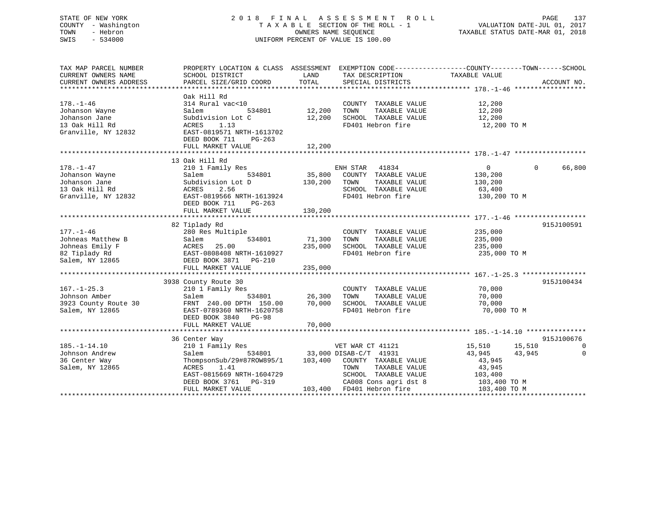## STATE OF NEW YORK 2 0 1 8 F I N A L A S S E S S M E N T R O L L PAGE 137 COUNTY - Washington T A X A B L E SECTION OF THE ROLL - 1 VALUATION DATE-JUL 01, 2017 TOWN - Hebron OWNERS NAME SEQUENCE TAXABLE STATUS DATE-MAR 01, 2018 SWIS - 534000 UNIFORM PERCENT OF VALUE IS 100.00

| TAX MAP PARCEL NUMBER<br>CURRENT OWNERS NAME<br>CURRENT OWNERS ADDRESS                      | PROPERTY LOCATION & CLASS ASSESSMENT<br>SCHOOL DISTRICT<br>PARCEL SIZE/GRID COORD                                                                                | LAND<br>TOTAL                | TAX DESCRIPTION TAXABLE VALUE<br>SPECIAL DISTRICTS                                                                                                                               | EXEMPTION CODE-----------------COUNTY-------TOWN------SCHOOL                                          | ACCOUNT NO.                      |
|---------------------------------------------------------------------------------------------|------------------------------------------------------------------------------------------------------------------------------------------------------------------|------------------------------|----------------------------------------------------------------------------------------------------------------------------------------------------------------------------------|-------------------------------------------------------------------------------------------------------|----------------------------------|
| $178. - 1 - 46$<br>Johanson Wayne<br>Johanson Jane<br>13 Oak Hill Rd<br>Granville, NY 12832 | Oak Hill Rd<br>314 Rural vac<10<br>Salem<br>534801<br>Subdivision Lot C<br>ACRES<br>1.13<br>EAST-0819571 NRTH-1613702<br>DEED BOOK 711<br>PG-263                 | 12,200<br>12,200             | COUNTY TAXABLE VALUE<br>TAXABLE VALUE<br>TOWN<br>SCHOOL TAXABLE VALUE<br>FD401 Hebron fire                                                                                       | 12,200<br>12,200<br>12,200<br>12,200 TO M                                                             |                                  |
|                                                                                             | FULL MARKET VALUE                                                                                                                                                | 12,200                       |                                                                                                                                                                                  |                                                                                                       |                                  |
|                                                                                             |                                                                                                                                                                  |                              |                                                                                                                                                                                  |                                                                                                       |                                  |
| $178. - 1 - 47$<br>Johanson Wayne<br>Johanson Jane<br>13 Oak Hill Rd<br>Granville, NY 12832 | 13 Oak Hill Rd<br>210 1 Family Res<br>534801<br>Salem<br>Subdivision Lot D<br>2.56<br>ACRES<br>EAST-0819566 NRTH-1613924<br>DEED BOOK 711<br>PG-263              | 35,800<br>130,200            | ENH STAR 41834<br>COUNTY TAXABLE VALUE<br>TAXABLE VALUE<br>TOWN<br>SCHOOL TAXABLE VALUE<br>FD401 Hebron fire                                                                     | $\overline{0}$<br>130,200<br>130,200<br>63,400<br>130,200 TO M                                        | $\Omega$<br>66,800               |
|                                                                                             | FULL MARKET VALUE                                                                                                                                                | 130,200                      |                                                                                                                                                                                  |                                                                                                       |                                  |
| $177. - 1 - 46$<br>Johneas Matthew B<br>Johneas Emily F<br>82 Tiplady Rd<br>Salem, NY 12865 | 82 Tiplady Rd<br>280 Res Multiple<br>534801<br>Salem<br>ACRES<br>25.00<br>EAST-0808408 NRTH-1610927<br>DEED BOOK 3871 PG-210<br>FULL MARKET VALUE                | 71,300<br>235,000<br>235,000 | COUNTY TAXABLE VALUE<br>TOWN<br>TAXABLE VALUE<br>SCHOOL TAXABLE VALUE<br>FD401 Hebron fire                                                                                       | 235,000<br>235,000<br>235,000<br>235,000 TO M                                                         | 915J100591                       |
| $167. - 1 - 25.3$<br>Johnson Amber<br>3923 County Route 30<br>Salem, NY 12865               | 3938 County Route 30<br>210 1 Family Res<br>Salem<br>534801<br>FRNT 240.00 DPTH 150.00<br>EAST-0789360 NRTH-1620758<br>DEED BOOK 3840 PG-98<br>FULL MARKET VALUE | 26,300<br>70,000<br>70,000   | COUNTY TAXABLE VALUE<br>TAXABLE VALUE<br>TOWN<br>SCHOOL TAXABLE VALUE<br>FD401 Hebron fire                                                                                       | 70,000<br>70,000<br>70,000<br>70,000 TO M                                                             | 915J100434                       |
|                                                                                             | 36 Center Way                                                                                                                                                    |                              |                                                                                                                                                                                  |                                                                                                       | 915J100676                       |
| $185. - 1 - 14.10$<br>Johnson Andrew<br>36 Center Way<br>Salem, NY 12865                    | 210 1 Family Res<br>Salem<br>ThompsonSub/29#87ROW895/1<br>ACRES<br>1.41<br>EAST-0815669 NRTH-1604729<br>DEED BOOK 3761 PG-319<br>FULL MARKET VALUE               | 103,400                      | VET WAR CT 41121<br>534801 33,000 DISAB-C/T 41931<br>COUNTY TAXABLE VALUE<br>TOWN<br>TAXABLE VALUE<br>SCHOOL TAXABLE VALUE<br>CA008 Cons agri dst 8<br>103,400 FD401 Hebron fire | 15,510<br>15,510<br>43,945<br>43,945<br>43,945<br>43,945<br>103,400<br>$103,400$ TO M<br>103,400 TO M | $\overline{0}$<br>$\overline{0}$ |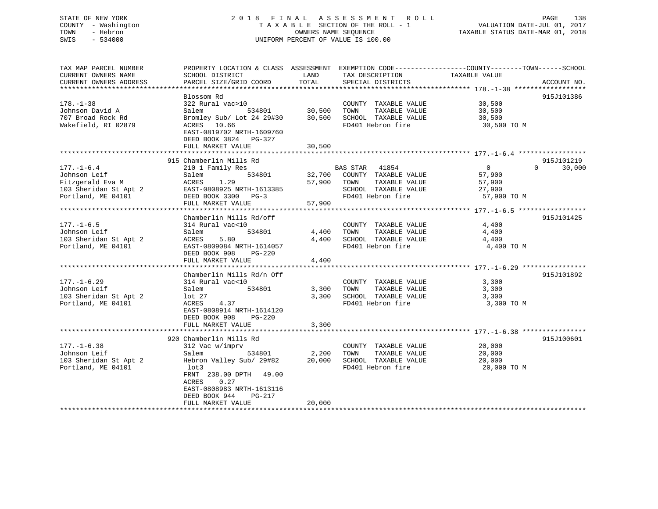## STATE OF NEW YORK 2 0 1 8 F I N A L A S S E S S M E N T R O L L PAGE 138 COUNTY - Washington T A X A B L E SECTION OF THE ROLL - 1 VALUATION DATE-JUL 01, 2017 TOWN - Hebron OWNERS NAME SEQUENCE TAXABLE STATUS DATE-MAR 01, 2018 SWIS - 534000 UNIFORM PERCENT OF VALUE IS 100.00

| TAX MAP PARCEL NUMBER<br>CURRENT OWNERS NAME<br>CURRENT OWNERS ADDRESS                              | PROPERTY LOCATION & CLASS ASSESSMENT EXEMPTION CODE----------------COUNTY-------TOWN------SCHOOL<br>SCHOOL DISTRICT<br>PARCEL SIZE/GRID COORD                                                                             | LAND<br>TOTAL              | TAX DESCRIPTION<br>SPECIAL DISTRICTS                                                                         | TAXABLE VALUE                                               | ACCOUNT NO.                      |
|-----------------------------------------------------------------------------------------------------|---------------------------------------------------------------------------------------------------------------------------------------------------------------------------------------------------------------------------|----------------------------|--------------------------------------------------------------------------------------------------------------|-------------------------------------------------------------|----------------------------------|
| $178. - 1 - 38$<br>Johnson David A<br>707 Broad Rock Rd<br>Wakefield, RI 02879                      | Blossom Rd<br>322 Rural vac>10<br>Salem<br>534801<br>Bromley Sub/ Lot 24 29#30<br>ACRES 10.66<br>EAST-0819702 NRTH-1609760<br>DEED BOOK 3824<br>PG-327<br>FULL MARKET VALUE                                               | 30,500<br>30,500<br>30,500 | COUNTY TAXABLE VALUE<br>TOWN<br>TAXABLE VALUE<br>SCHOOL TAXABLE VALUE<br>FD401 Hebron fire                   | 30,500<br>30,500<br>30,500<br>30,500 TO M                   | 915J101386                       |
| $177. - 1 - 6.4$<br>Johnson Leif<br>Fitzgerald Eva M<br>103 Sheridan St Apt 2<br>Portland, ME 04101 | 915 Chamberlin Mills Rd<br>210 1 Family Res<br>534801<br>Salem<br>ACRES<br>1.29<br>EAST-0808925 NRTH-1613385<br>DEED BOOK 3300 PG-3<br>FULL MARKET VALUE                                                                  | 32,700<br>57,900<br>57,900 | BAS STAR 41854<br>COUNTY TAXABLE VALUE<br>TAXABLE VALUE<br>TOWN<br>SCHOOL TAXABLE VALUE<br>FD401 Hebron fire | $\overline{0}$<br>57,900<br>57,900<br>27,900<br>57,900 TO M | 915J101219<br>30,000<br>$\Omega$ |
| $177. - 1 - 6.5$<br>Johnson Leif<br>103 Sheridan St Apt 2<br>Portland, ME 04101                     | Chamberlin Mills Rd/off<br>314 Rural vac<10<br>534801<br>Salem<br>ACRES<br>5.80<br>EAST-0809084 NRTH-1614057<br>DEED BOOK 908<br>$PG-220$<br>FULL MARKET VALUE                                                            | 4,400<br>4,400<br>4,400    | COUNTY TAXABLE VALUE<br>TOWN<br>TAXABLE VALUE<br>SCHOOL TAXABLE VALUE<br>FD401 Hebron fire                   | 4,400<br>4,400<br>4,400<br>4,400 TO M                       | 915J101425                       |
| $177. - 1 - 6.29$<br>Johnson Leif<br>103 Sheridan St Apt 2<br>Portland, ME 04101                    | Chamberlin Mills Rd/n Off<br>314 Rural vac<10<br>Salem<br>534801<br>lot 27<br>ACRES<br>4.37<br>EAST-0808914 NRTH-1614120<br>DEED BOOK 908<br>$PG-220$<br>FULL MARKET VALUE                                                | 3,300<br>3,300<br>3,300    | COUNTY TAXABLE VALUE<br>TAXABLE VALUE<br>TOWN<br>SCHOOL TAXABLE VALUE<br>FD401 Hebron fire                   | 3,300<br>3,300<br>3,300<br>3,300 TO M                       | 915J101892                       |
| $177. - 1 - 6.38$<br>Johnson Leif<br>103 Sheridan St Apt 2<br>Portland, ME 04101                    | 920 Chamberlin Mills Rd<br>312 Vac w/imprv<br>534801<br>Salem<br>Hebron Valley Sub/ 29#82<br>lot3<br>FRNT 238.00 DPTH 49.00<br>ACRES<br>0.27<br>EAST-0808983 NRTH-1613116<br>DEED BOOK 944<br>PG-217<br>FULL MARKET VALUE | 2,200<br>20,000<br>20,000  | COUNTY TAXABLE VALUE<br>TOWN<br>TAXABLE VALUE<br>SCHOOL TAXABLE VALUE<br>FD401 Hebron fire                   | 20,000<br>20,000<br>20,000<br>20,000 TO M                   | 915J100601                       |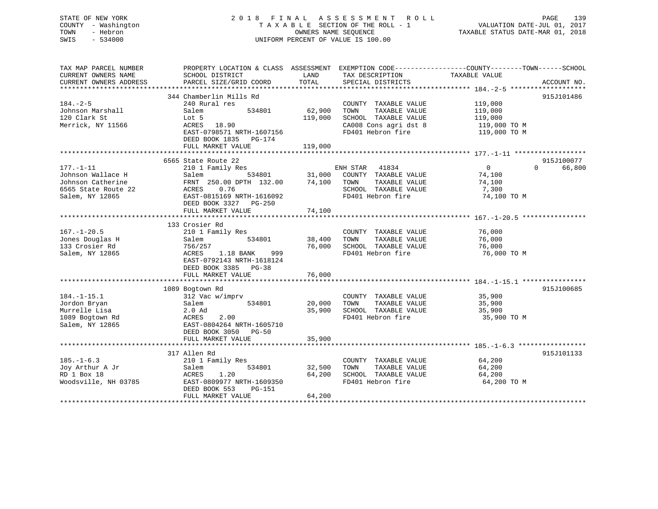## STATE OF NEW YORK 2 0 1 8 F I N A L A S S E S S M E N T R O L L PAGE 139 COUNTY - Washington T A X A B L E SECTION OF THE ROLL - 1 VALUATION DATE-JUL 01, 2017 TOWN - Hebron OWNERS NAME SEQUENCE TAXABLE STATUS DATE-MAR 01, 2018 SWIS - 534000 UNIFORM PERCENT OF VALUE IS 100.00

| TAX MAP PARCEL NUMBER | PROPERTY LOCATION & CLASS ASSESSMENT EXEMPTION CODE---------------COUNTY-------TOWN------SCHOOL |         |                                                                                |                              |                    |
|-----------------------|-------------------------------------------------------------------------------------------------|---------|--------------------------------------------------------------------------------|------------------------------|--------------------|
| CURRENT OWNERS NAME   | SCHOOL DISTRICT                                                                                 | LAND    | TAX DESCRIPTION                                                                | TAXABLE VALUE                |                    |
|                       |                                                                                                 |         |                                                                                |                              |                    |
|                       | 344 Chamberlin Mills Rd                                                                         |         |                                                                                |                              | 915J101486         |
| $184. - 2 - 5$        | 240 Rural res                                                                                   |         | COUNTY TAXABLE VALUE 119,000                                                   |                              |                    |
| Johnson Marshall      | 534801<br>Salem                                                                                 | 62,900  | TAXABLE VALUE<br>TOWN                                                          |                              |                    |
| 120 Clark St          | Lot 5                                                                                           | 119,000 | SCHOOL TAXABLE VALUE                                                           | 119,000<br>119,000           |                    |
| Merrick, NY 11566     | ACRES 18.90                                                                                     |         | CA008 Cons agri dst 8                                                          |                              |                    |
|                       | EAST-0798571 NRTH-1607156                                                                       |         | FD401 Hebron fire                                                              | 119,000 TO M<br>119,000 TO M |                    |
|                       | DEED BOOK 1835 PG-174                                                                           |         |                                                                                |                              |                    |
|                       | FULL MARKET VALUE                                                                               | 119,000 |                                                                                |                              |                    |
|                       |                                                                                                 |         |                                                                                |                              |                    |
|                       | 6565 State Route 22                                                                             |         |                                                                                |                              | 915J100077         |
| $177. - 1 - 11$       | 210 1 Family Res                                                                                |         | s<br>534801 31,000 COUNTY TAXABLE VALUE<br>TH 132.00 74,100 TOWN TAXABLE VALUE | $\overline{0}$               | $\Omega$<br>66,800 |
| Johnson Wallace H     | Salem                                                                                           |         |                                                                                | 74,100                       |                    |
| Johnson Catherine     | FRNT 250.00 DPTH 132.00                                                                         |         |                                                                                | 74,100                       |                    |
| 6565 State Route 22   | ACRES<br>0.76                                                                                   |         | SCHOOL TAXABLE VALUE                                                           | 7,300                        |                    |
| Salem, NY 12865       | EAST-0815169 NRTH-1616092                                                                       |         | FD401 Hebron fire                                                              | 74,100 TO M                  |                    |
|                       | DEED BOOK 3327 PG-250                                                                           |         |                                                                                |                              |                    |
|                       | FULL MARKET VALUE                                                                               | 74,100  |                                                                                |                              |                    |
|                       |                                                                                                 |         |                                                                                |                              |                    |
|                       | 133 Crosier Rd                                                                                  |         |                                                                                |                              |                    |
| $167. - 1 - 20.5$     | 210 1 Family Res                                                                                |         | COUNTY TAXABLE VALUE                                                           | 76,000                       |                    |
| Jones Douglas H       | 534801<br>Salem                                                                                 | 38,400  | TOWN<br>TAXABLE VALUE                                                          | 76,000                       |                    |
| 133 Crosier Rd        | 756/257                                                                                         |         | 76,000 SCHOOL TAXABLE VALUE                                                    | 76,000                       |                    |
| Salem, NY 12865       | ACRES<br>1.18 BANK<br>999                                                                       |         | FD401 Hebron fire                                                              | 76,000 TO M                  |                    |
|                       | EAST-0792143 NRTH-1618124                                                                       |         |                                                                                |                              |                    |
|                       | DEED BOOK 3385 PG-38                                                                            |         |                                                                                |                              |                    |
|                       | FULL MARKET VALUE                                                                               | 76,000  |                                                                                |                              |                    |
|                       |                                                                                                 |         |                                                                                |                              |                    |
|                       | 1089 Bogtown Rd                                                                                 |         |                                                                                |                              | 915J100685         |
| $184. - 1 - 15.1$     | 312 Vac w/imprv                                                                                 |         | COUNTY TAXABLE VALUE                                                           | 35,900                       |                    |
| Jordon Bryan          | 534801<br>Salem                                                                                 | 20,000  | TOWN<br>TAXABLE VALUE                                                          | 35,900                       |                    |
| Murrelle Lisa         | 2.0 Ad                                                                                          | 35,900  | SCHOOL TAXABLE VALUE                                                           | 35,900                       |                    |
| 1089 Bogtown Rd       | 2.00<br>ACRES                                                                                   |         | FD401 Hebron fire                                                              | 35,900 TO M                  |                    |
| Salem, NY 12865       | EAST-0804264 NRTH-1605710                                                                       |         |                                                                                |                              |                    |
|                       | DEED BOOK 3050 PG-50                                                                            |         |                                                                                |                              |                    |
|                       | FULL MARKET VALUE                                                                               | 35,900  |                                                                                |                              |                    |
|                       |                                                                                                 |         |                                                                                |                              |                    |
|                       | 317 Allen Rd                                                                                    |         |                                                                                |                              | 915J101133         |
| $185. - 1 - 6.3$      | 210 1 Family Res                                                                                |         | COUNTY TAXABLE VALUE                                                           | 64,200                       |                    |
| Joy Arthur A Jr       | 534801<br>Salem                                                                                 | 32,500  | TAXABLE VALUE<br>TOWN                                                          | 64,200                       |                    |
| RD 1 Box 18           | ACRES<br>1.20                                                                                   | 64,200  | SCHOOL TAXABLE VALUE                                                           | 64,200                       |                    |
| Woodsville, NH 03785  | EAST-0809977 NRTH-1609350                                                                       |         | FD401 Hebron fire                                                              | 64,200 TO M                  |                    |
|                       | DEED BOOK 553<br>PG-151<br>FULL MARKET VALUE                                                    | 64,200  |                                                                                |                              |                    |
|                       |                                                                                                 |         |                                                                                |                              |                    |
|                       |                                                                                                 |         |                                                                                |                              |                    |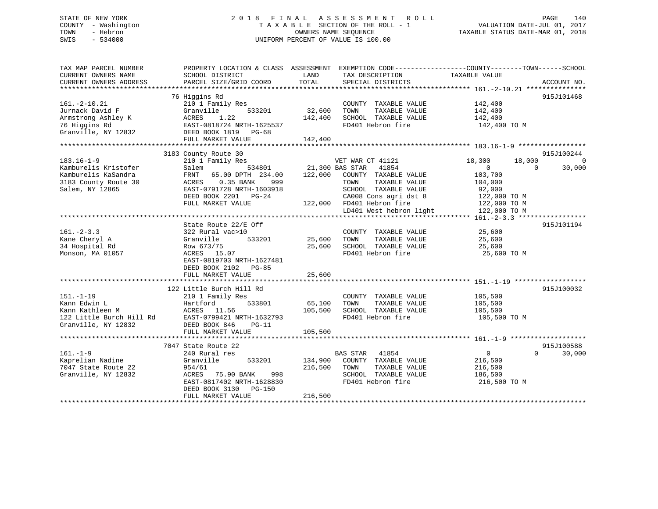## STATE OF NEW YORK 2 0 1 8 F I N A L A S S E S S M E N T R O L L PAGE 140 COUNTY - Washington T A X A B L E SECTION OF THE ROLL - 1 VALUATION DATE-JUL 01, 2017 TOWN - Hebron OWNERS NAME SEQUENCE TAXABLE STATUS DATE-MAR 01, 2018 SWIS - 534000 UNIFORM PERCENT OF VALUE IS 100.00

| TAX MAP PARCEL NUMBER<br>CURRENT OWNERS NAME<br>CURRENT OWNERS ADDRESS | SCHOOL DISTRICT<br>PARCEL SIZE/GRID COORD                             | LAND<br>TOTAL | PROPERTY LOCATION & CLASS ASSESSMENT EXEMPTION CODE---------------COUNTY-------TOWN-----SCHOOL<br>TAX DESCRIPTION<br>SPECIAL DISTRICTS | TAXABLE VALUE              | ACCOUNT NO.        |
|------------------------------------------------------------------------|-----------------------------------------------------------------------|---------------|----------------------------------------------------------------------------------------------------------------------------------------|----------------------------|--------------------|
|                                                                        |                                                                       |               |                                                                                                                                        |                            |                    |
|                                                                        | 76 Higgins Rd                                                         |               |                                                                                                                                        |                            | 915J101468         |
| $161. - 2 - 10.21$                                                     | 210 1 Family Res                                                      |               | COUNTY TAXABLE VALUE                                                                                                                   | 142,400                    |                    |
| Jurnack David F                                                        | 533201<br>Granville                                                   | 32,600        | TAXABLE VALUE<br>TOWN                                                                                                                  | 142,400                    |                    |
| Armstrong Ashley K                                                     | ACRES<br>1.22                                                         | 142,400       | SCHOOL TAXABLE VALUE                                                                                                                   | 142,400                    |                    |
| 76 Higgins Rd                                                          | EAST-0818724 NRTH-1625537                                             |               | FD401 Hebron fire                                                                                                                      | 142,400 TO M               |                    |
| Granville, NY 12832                                                    | DEED BOOK 1819 PG-68                                                  |               |                                                                                                                                        |                            |                    |
|                                                                        | FULL MARKET VALUE                                                     | 142,400       |                                                                                                                                        |                            |                    |
|                                                                        |                                                                       |               |                                                                                                                                        |                            |                    |
|                                                                        | 3183 County Route 30                                                  |               |                                                                                                                                        |                            | 915J100244         |
| $183.16 - 1 - 9$                                                       | 210 1 Family Res                                                      |               | VET WAR CT 41121                                                                                                                       | 18,300<br>18,000           | $\mathbf 0$        |
| Kamburelis Kristofer                                                   | Salem                                                                 |               | 534801 21,300 BAS STAR 41854                                                                                                           | $\overline{0}$<br>$\Omega$ | 30,000             |
| Kamburelis KaSandra                                                    | FRNT 65.00 DPTH 234.00                                                | 122,000       | COUNTY TAXABLE VALUE                                                                                                                   | 103,700                    |                    |
| 3183 County Route 30                                                   | ACRES<br>0.35 BANK<br>999                                             |               | TAXABLE VALUE<br>TOWN                                                                                                                  | 104,000                    |                    |
| Salem, NY 12865                                                        | EAST-0791728 NRTH-1603918                                             |               | SCHOOL TAXABLE VALUE                                                                                                                   | 92,000                     |                    |
|                                                                        | DEED BOOK 2201 PG-24                                                  |               | CA008 Cons agri dst 8 122,000 TO M                                                                                                     |                            |                    |
|                                                                        | FULL MARKET VALUE                                                     |               | 122,000 FD401 Hebron fire                                                                                                              | 122,000 TO M               |                    |
|                                                                        |                                                                       |               | LD401 West hebron light                                                                                                                | 122,000 TO M               |                    |
|                                                                        |                                                                       |               |                                                                                                                                        |                            |                    |
|                                                                        | State Route 22/E Off                                                  |               |                                                                                                                                        |                            | 915J101194         |
| $161. - 2 - 3.3$                                                       | 322 Rural vac>10                                                      |               | COUNTY TAXABLE VALUE                                                                                                                   | 25,600                     |                    |
| Kane Cheryl A                                                          | 533201<br>Granville                                                   | 25,600 TOWN   | TAXABLE VALUE                                                                                                                          | 25,600                     |                    |
| 34 Hospital Rd                                                         | Row 673/75                                                            | 25,600        | SCHOOL TAXABLE VALUE                                                                                                                   | 25,600                     |                    |
| Monson, MA 01057                                                       | ACRES 15.07                                                           |               | FD401 Hebron fire                                                                                                                      | 25,600 TO M                |                    |
|                                                                        | EAST-0819703 NRTH-1627481                                             |               |                                                                                                                                        |                            |                    |
|                                                                        | DEED BOOK 2102 PG-85                                                  |               |                                                                                                                                        |                            |                    |
|                                                                        | FULL MARKET VALUE                                                     | 25,600        |                                                                                                                                        |                            |                    |
|                                                                        |                                                                       |               |                                                                                                                                        |                            |                    |
|                                                                        | 122 Little Burch Hill Rd                                              |               |                                                                                                                                        |                            | 915J100032         |
| $151. - 1 - 19$                                                        | 210 1 Family Res                                                      |               | COUNTY TAXABLE VALUE                                                                                                                   | 105,500<br>105,500         |                    |
| Kann Edwin L                                                           | 533801<br>Hartford                                                    | 65,100        | TAXABLE VALUE<br>TOWN                                                                                                                  |                            |                    |
|                                                                        | Exam Kathleen M<br>122 Little Burch Hill Rd EAST-0799421 NRTH-1632793 | 105,500       | SCHOOL TAXABLE VALUE                                                                                                                   | 105,500                    |                    |
|                                                                        |                                                                       |               | FD401 Hebron fire                                                                                                                      | 105,500 TO M               |                    |
| Granville, NY 12832                                                    | DEED BOOK 846<br>$PG-11$                                              |               |                                                                                                                                        |                            |                    |
|                                                                        | FULL MARKET VALUE                                                     | 105,500       |                                                                                                                                        |                            |                    |
|                                                                        |                                                                       |               |                                                                                                                                        |                            |                    |
|                                                                        | 7047 State Route 22                                                   |               |                                                                                                                                        |                            | 915J100588         |
| $161. - 1 - 9$                                                         | 240 Rural res                                                         |               | <b>BAS STAR</b><br>41854                                                                                                               | $\overline{0}$             | $\Omega$<br>30,000 |
| Kaprelian Nadine                                                       | 533201<br>Granville                                                   | 134,900       | COUNTY TAXABLE VALUE                                                                                                                   | 216,500                    |                    |
| 7047 State Route 22                                                    | 954/61                                                                | 216,500       | TOWN<br>TAXABLE VALUE                                                                                                                  | 216,500                    |                    |
| Granville, NY 12832                                                    | ACRES<br>75.90 BANK<br>998                                            |               | SCHOOL TAXABLE VALUE                                                                                                                   | 186,500                    |                    |
|                                                                        | EAST-0817402 NRTH-1628830                                             |               | FD401 Hebron fire                                                                                                                      | 216,500 TO M               |                    |
|                                                                        | DEED BOOK 3130 PG-150                                                 |               |                                                                                                                                        |                            |                    |
|                                                                        | FULL MARKET VALUE                                                     | 216,500       |                                                                                                                                        |                            |                    |
|                                                                        |                                                                       |               |                                                                                                                                        |                            |                    |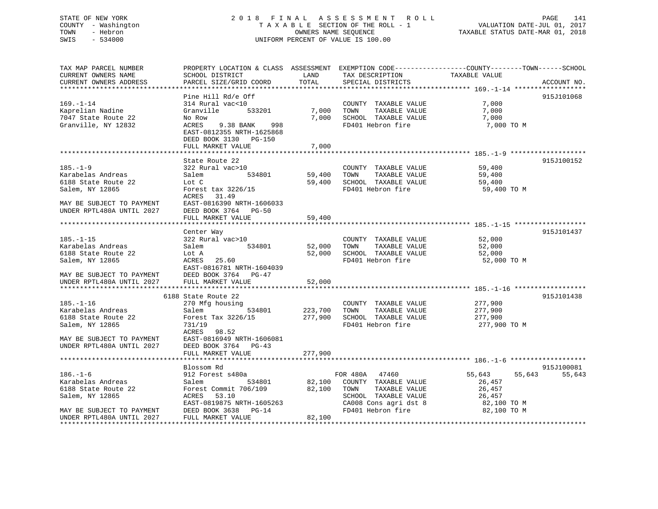## STATE OF NEW YORK 2 0 1 8 F I N A L A S S E S S M E N T R O L L PAGE 141 COUNTY - Washington T A X A B L E SECTION OF THE ROLL - 1 VALUATION DATE-JUL 01, 2017 TOWN - Hebron OWNERS NAME SEQUENCE TAXABLE STATUS DATE-MAR 01, 2018 SWIS - 534000 UNIFORM PERCENT OF VALUE IS 100.00

| TAX MAP PARCEL NUMBER                          | PROPERTY LOCATION & CLASS ASSESSMENT EXEMPTION CODE----------------COUNTY-------TOWN------SCHOOL |         |                                            |                            |             |
|------------------------------------------------|--------------------------------------------------------------------------------------------------|---------|--------------------------------------------|----------------------------|-------------|
| CURRENT OWNERS NAME                            | SCHOOL DISTRICT                                                                                  | LAND    | TAX DESCRIPTION                            | TAXABLE VALUE              |             |
| CURRENT OWNERS ADDRESS                         | PARCEL SIZE/GRID COORD                                                                           | TOTAL   | SPECIAL DISTRICTS                          |                            | ACCOUNT NO. |
| ***********************                        |                                                                                                  |         |                                            |                            |             |
|                                                | Pine Hill Rd/e Off                                                                               |         |                                            |                            | 915J101068  |
| $169. - 1 - 14$                                | 314 Rural vac<10                                                                                 |         | COUNTY TAXABLE VALUE                       | 7,000                      |             |
| Kaprelian Nadine                               | Granville<br>533201                                                                              | 7,000   | TOWN<br>TAXABLE VALUE                      | 7,000                      |             |
| 7047 State Route 22                            | No Row                                                                                           | 7,000   | SCHOOL TAXABLE VALUE                       | 7,000                      |             |
| Granville, NY 12832                            | 9.38 BANK<br>998<br>ACRES                                                                        |         | FD401 Hebron fire                          | 7,000 TO M                 |             |
|                                                | EAST-0812355 NRTH-1625868                                                                        |         |                                            |                            |             |
|                                                | DEED BOOK 3130 PG-150                                                                            | 7,000   |                                            |                            |             |
|                                                | FULL MARKET VALUE                                                                                |         |                                            |                            |             |
|                                                | State Route 22                                                                                   |         |                                            |                            | 915J100152  |
| $185. - 1 - 9$                                 | 322 Rural vac>10                                                                                 |         | COUNTY TAXABLE VALUE                       | 59,400                     |             |
| Karabelas Andreas                              | 534801<br>Salem                                                                                  | 59,400  | TAXABLE VALUE<br>TOWN                      | 59,400                     |             |
| 6188 State Route 22                            | Lot C                                                                                            | 59,400  | SCHOOL TAXABLE VALUE                       | 59,400                     |             |
| Salem, NY 12865                                | Forest tax 3226/15                                                                               |         | FD401 Hebron fire                          | 59,400 TO M                |             |
|                                                | ACRES<br>31.49                                                                                   |         |                                            |                            |             |
| MAY BE SUBJECT TO PAYMENT                      | EAST-0816390 NRTH-1606033                                                                        |         |                                            |                            |             |
| UNDER RPTL480A UNTIL 2027                      | DEED BOOK 3764 PG-50                                                                             |         |                                            |                            |             |
|                                                | FULL MARKET VALUE                                                                                | 59,400  |                                            |                            |             |
|                                                |                                                                                                  |         |                                            |                            |             |
|                                                | Center Way                                                                                       |         |                                            |                            | 915J101437  |
| $185. - 1 - 15$                                | 322 Rural vac>10                                                                                 |         | COUNTY TAXABLE VALUE                       | 52,000                     |             |
| Karabelas Andreas                              | 534801<br>Salem                                                                                  | 52,000  | TOWN<br>TAXABLE VALUE                      | 52,000                     |             |
| 6188 State Route 22                            | Lot A                                                                                            | 52,000  | SCHOOL TAXABLE VALUE                       | 52,000                     |             |
| Salem, NY 12865                                | ACRES 25.60                                                                                      |         | FD401 Hebron fire                          | 52,000 TO M                |             |
|                                                | EAST-0816781 NRTH-1604039                                                                        |         |                                            |                            |             |
| MAY BE SUBJECT TO PAYMENT DEED BOOK 3764 PG-47 |                                                                                                  |         |                                            |                            |             |
| UNDER RPTL480A UNTIL 2027                      | FULL MARKET VALUE                                                                                | 52,000  |                                            |                            |             |
|                                                |                                                                                                  |         |                                            |                            |             |
|                                                | 6188 State Route 22                                                                              |         |                                            |                            | 915J101438  |
| $185. - 1 - 16$                                | 270 Mfg housing                                                                                  |         | COUNTY TAXABLE VALUE                       | 277,900                    |             |
| Karabelas Andreas                              | Salem<br>534801                                                                                  | 223,700 | TAXABLE VALUE<br>TOWN                      | 277,900                    |             |
| 6188 State Route 22                            | Forest Tax 3226/15                                                                               | 277,900 | SCHOOL TAXABLE VALUE                       | 277,900                    |             |
| Salem, NY 12865                                | 731/19                                                                                           |         | FD401 Hebron fire                          | 277,900 TO M               |             |
|                                                | ACRES<br>98.52                                                                                   |         |                                            |                            |             |
| MAY BE SUBJECT TO PAYMENT                      | EAST-0816949 NRTH-1606081                                                                        |         |                                            |                            |             |
| UNDER RPTL480A UNTIL 2027                      | DEED BOOK 3764 PG-43                                                                             |         |                                            |                            |             |
|                                                | FULL MARKET VALUE                                                                                | 277,900 |                                            |                            |             |
|                                                |                                                                                                  |         |                                            |                            |             |
|                                                | Blossom Rd                                                                                       |         |                                            |                            | 915J100081  |
| $186. - 1 - 6$                                 | 912 Forest s480a                                                                                 |         | FOR 480A 47460                             | 55,643<br>55,643           | 55,643      |
| Karabelas Andreas                              | 534801<br>Salem                                                                                  |         | 82,100 COUNTY TAXABLE VALUE                | 26,457                     |             |
| 6188 State Route 22                            | Forest Commit 706/109                                                                            | 82,100  | TOWN<br>TAXABLE VALUE                      | 26,457                     |             |
| Salem, NY 12865                                | ACRES<br>53.10                                                                                   |         | SCHOOL TAXABLE VALUE                       | 26,457                     |             |
| MAY BE SUBJECT TO PAYMENT                      | EAST-0819875 NRTH-1605263<br>DEED BOOK 3638 PG-14                                                |         | CA008 Cons agri dst 8<br>FD401 Hebron fire | 82,100 TO M<br>82,100 TO M |             |
| UNDER RPTL480A UNTIL 2027                      | FULL MARKET VALUE                                                                                | 82,100  |                                            |                            |             |
|                                                |                                                                                                  |         |                                            |                            |             |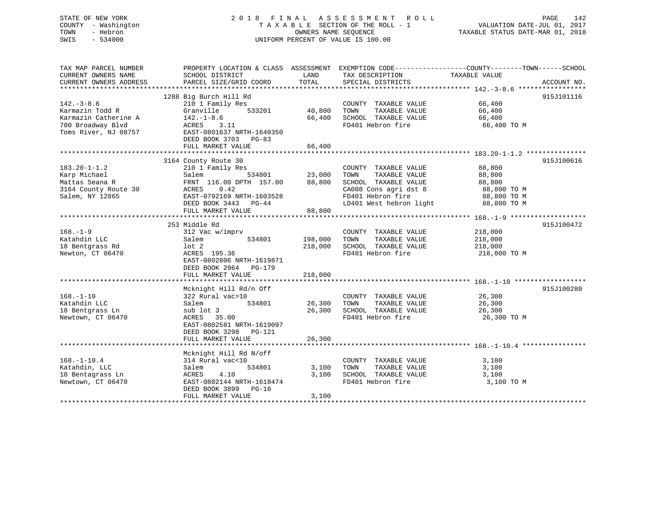## STATE OF NEW YORK 2 0 1 8 F I N A L A S S E S S M E N T R O L L PAGE 142 COUNTY - Washington T A X A B L E SECTION OF THE ROLL - 1 VALUATION DATE-JUL 01, 2017 TOWN - Hebron OWNERS NAME SEQUENCE TAXABLE STATUS DATE-MAR 01, 2018 SWIS - 534000 UNIFORM PERCENT OF VALUE IS 100.00

| TAX MAP PARCEL NUMBER<br>CURRENT OWNERS NAME<br>CURRENT OWNERS ADDRESS                                   | PROPERTY LOCATION & CLASS ASSESSMENT EXEMPTION CODE----------------COUNTY-------TOWN------SCHOOL<br>SCHOOL DISTRICT<br>PARCEL SIZE/GRID COORD                                            | LAND<br>TOTAL                 | TAX DESCRIPTION<br>SPECIAL DISTRICTS                                                                                                           | TAXABLE VALUE                                                           | ACCOUNT NO. |
|----------------------------------------------------------------------------------------------------------|------------------------------------------------------------------------------------------------------------------------------------------------------------------------------------------|-------------------------------|------------------------------------------------------------------------------------------------------------------------------------------------|-------------------------------------------------------------------------|-------------|
| $142. - 3 - 8.6$<br>Karmazin Todd R<br>Karmazin Catherine A<br>700 Broadway Blvd<br>Toms River, NJ 08757 | 1288 Big Burch Hill Rd<br>210 1 Family Res<br>533201<br>Granville<br>$142.-1-8.6$<br>ACRES 3.11<br>EAST-0801637 NRTH-1640350<br>DEED BOOK 3703 PG-83<br>FULL MARKET VALUE                | 40,800<br>66,400<br>66,400    | COUNTY TAXABLE VALUE<br>TAXABLE VALUE<br>TOWN<br>SCHOOL TAXABLE VALUE 66,400<br>FD401 Hebron fire                                              | 66,400<br>66,400<br>66,400 TO M                                         | 915J101116  |
| $183.20 - 1 - 1.2$<br>Karp Michael<br>Mattas Seana R<br>3164 County Route 30<br>Salem, NY 12865          | 3164 County Route 30<br>210 1 Family Res<br>534801<br>Salem<br>FRNT 116.00 DPTH 157.00 88,800<br>0.42<br>ACRES<br>EAST-0792169 NRTH-1603528<br>DEED BOOK 3443 PG-44<br>FULL MARKET VALUE | 23,000<br>88,800              | COUNTY TAXABLE VALUE<br>TAXABLE VALUE<br>TOWN<br>SCHOOL TAXABLE VALUE<br>CA008 Cons agri dst 8<br>FD401 Hebron fire<br>LD401 West hebron light | 88,800<br>88,800<br>88,800<br>88,800 TO M<br>88,800 TO M<br>88,800 TO M | 915J100616  |
| $168. - 1 - 9$<br>Katahdin LLC<br>18 Bentgrass Rd<br>Newton, CT 06470                                    | 253 Middle Rd<br>312 Vac w/imprv<br>534801<br>Salem<br>lot 2<br>ACRES 195.36<br>EAST-0802806 NRTH-1619871<br>DEED BOOK 2964<br><b>PG-179</b><br>FULL MARKET VALUE                        | 198,000<br>218,000<br>218,000 | COUNTY TAXABLE VALUE<br>TAXABLE VALUE<br>TOWN<br>SCHOOL TAXABLE VALUE<br>FD401 Hebron fire                                                     | 218,000<br>218,000<br>218,000<br>218,000 TO M                           | 915J100472  |
| $168. - 1 - 10$<br>Katahdin LLC<br>18 Bentgrass Ln<br>Newtown, CT 06470                                  | Mcknight Hill Rd/n Off<br>322 Rural vac>10<br>534801<br>Salem<br>sub lot 3<br>ACRES 35.00<br>EAST-0802581 NRTH-1619097<br>DEED BOOK 3298<br>PG-121<br>FULL MARKET VALUE                  | 26,300<br>26,300<br>26,300    | COUNTY TAXABLE VALUE 26,300<br>TOWN<br>TAXABLE VALUE<br>SCHOOL TAXABLE VALUE<br>FD401 Hebron fire                                              | 26,300<br>26,300<br>26,300 TO M                                         | 915J100280  |
| $168. - 1 - 10.4$<br>Katahdin, LLC<br>18 Bentagrass Ln<br>Newtown, CT 06470                              | Mcknight Hill Rd N/off<br>314 Rural vac<10<br>534801<br>Salem<br>4.10<br>ACRES<br>EAST-0802144 NRTH-1618474<br>DEED BOOK 3899 PG-16<br>FULL MARKET VALUE                                 | 3,100<br>3,100<br>3,100       | COUNTY TAXABLE VALUE<br>TAXABLE VALUE<br>TOWN<br>SCHOOL TAXABLE VALUE<br>FD401 Hebron fire                                                     | 3,100<br>3,100<br>3,100<br>3,100 TO M                                   |             |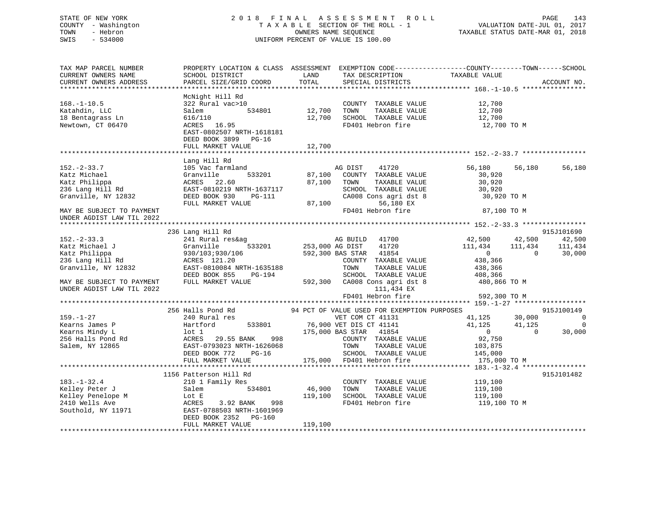## STATE OF NEW YORK 2 0 1 8 F I N A L A S S E S S M E N T R O L L PAGE 143 COUNTY - Washington T A X A B L E SECTION OF THE ROLL - 1 VALUATION DATE-JUL 01, 2017 TOWN - Hebron OWNERS NAME SEQUENCE TAXABLE STATUS DATE-MAR 01, 2018 SWIS - 534000 UNIFORM PERCENT OF VALUE IS 100.00

| TAX MAP PARCEL NUMBER<br>CURRENT OWNERS NAME<br>CURRENT OWNERS ADDRESS                           | SCHOOL DISTRICT<br>PARCEL SIZE/GRID COORD                                                                                                                      | LAND<br>TOTAL              | TAX DESCRIPTION<br>SPECIAL DISTRICTS                                                                                      | PROPERTY LOCATION & CLASS ASSESSMENT EXEMPTION CODE----------------COUNTY-------TOWN-----SCHOOL<br>TAXABLE VALUE | ACCOUNT NO.                    |
|--------------------------------------------------------------------------------------------------|----------------------------------------------------------------------------------------------------------------------------------------------------------------|----------------------------|---------------------------------------------------------------------------------------------------------------------------|------------------------------------------------------------------------------------------------------------------|--------------------------------|
| $168. - 1 - 10.5$<br>Katahdin, LLC<br>18 Bentagrass Ln<br>Newtown, CT 06470                      | McNight Hill Rd<br>322 Rural vac>10<br>534801<br>Salem<br>616/110<br>ACRES 16.95<br>EAST-0802507 NRTH-1618181<br>DEED BOOK 3899 PG-16<br>FULL MARKET VALUE     | 12,700<br>12,700<br>12,700 | COUNTY TAXABLE VALUE<br>TOWN<br>TAXABLE VALUE<br>SCHOOL TAXABLE VALUE<br>FD401 Hebron fire                                | 12,700<br>12,700<br>12,700<br>12,700 TO M                                                                        |                                |
|                                                                                                  | Lang Hill Rd                                                                                                                                                   |                            |                                                                                                                           |                                                                                                                  |                                |
| $152. - 2 - 33.7$<br>Katz Michael<br>Katz Philippa<br>236 Lang Hill Rd<br>Granville, NY 12832    | 105 Vac farmland<br>Granville<br>533201<br>ACRES 22.60<br>EAST-0810219 NRTH-1637117<br>DEED BOOK 930<br>PG-111                                                 | 87,100<br>87,100           | AG DIST<br>41720<br>COUNTY TAXABLE VALUE<br>TOWN<br>TAXABLE VALUE<br>SCHOOL TAXABLE VALUE<br>CA008 Cons agri dst 8        | 56,180<br>56,180<br>30,920<br>30,920<br>30,920<br>30,920 TO M                                                    | 56,180                         |
| MAY BE SUBJECT TO PAYMENT<br>UNDER AGDIST LAW TIL 2022                                           | FULL MARKET VALUE                                                                                                                                              | 87,100                     | 56,180 EX<br>FD401 Hebron fire                                                                                            | 87,100 TO M                                                                                                      |                                |
|                                                                                                  |                                                                                                                                                                |                            |                                                                                                                           |                                                                                                                  |                                |
|                                                                                                  | 236 Lang Hill Rd                                                                                                                                               |                            |                                                                                                                           |                                                                                                                  | 915J101690                     |
| $152. - 2 - 33.3$<br>Katz Michael J<br>Katz Philippa<br>236 Lang Hill Rd                         | 241 Rural res&ag<br>533201<br>Granville<br>930/103;930/106<br>ACRES 121.20                                                                                     | 253,000 AG DIST            | AG BUILD 41700<br>41720<br>592,300 BAS STAR<br>41854<br>COUNTY TAXABLE VALUE                                              | 42,500<br>42,500<br>111,434<br>111,434<br>$\overline{0}$<br>$\Omega$<br>438,366                                  | 42,500<br>111,434<br>30,000    |
| Granville, NY 12832                                                                              | EAST-0810084 NRTH-1635188<br>DEED BOOK 855<br>PG-194                                                                                                           |                            | TOWN<br>TAXABLE VALUE<br>SCHOOL TAXABLE VALUE                                                                             | 438,366<br>408,366                                                                                               |                                |
| MAY BE SUBJECT TO PAYMENT<br>UNDER AGDIST LAW TIL 2022                                           | FULL MARKET VALUE                                                                                                                                              |                            | 592,300 CA008 Cons agri dst 8<br>111,434 EX<br>FD401 Hebron fire                                                          | 480,866 TO M<br>592,300 TO M                                                                                     |                                |
|                                                                                                  | ************************************                                                                                                                           |                            |                                                                                                                           |                                                                                                                  |                                |
|                                                                                                  | 256 Halls Pond Rd                                                                                                                                              |                            | 94 PCT OF VALUE USED FOR EXEMPTION PURPOSES                                                                               |                                                                                                                  | 915J100149                     |
| $159. - 1 - 27$<br>Kearns James P<br>Kearns Mindy L<br>256 Halls Pond Rd<br>Salem, NY 12865      | 240 Rural res<br>Hartford<br>533801<br>$1$ ot $1$<br>ACRES<br>29.55 BANK<br>998<br>EAST-0793023 NRTH-1626068                                                   |                            | VET COM CT 41131<br>76,900 VET DIS CT 41141<br>175,000 BAS STAR<br>41854<br>COUNTY TAXABLE VALUE<br>TAXABLE VALUE<br>TOWN | 41,125<br>30,000<br>41,125<br>41,125<br>$\overline{0}$<br>$\Omega$<br>92,750<br>103,875                          | $\Omega$<br>$\Omega$<br>30,000 |
|                                                                                                  | DEED BOOK 772<br>$PG-16$<br>FULL MARKET VALUE                                                                                                                  | 175,000                    | SCHOOL TAXABLE VALUE<br>FD401 Hebron fire                                                                                 | 145,000<br>175,000 TO M                                                                                          |                                |
|                                                                                                  |                                                                                                                                                                |                            |                                                                                                                           |                                                                                                                  |                                |
| $183. - 1 - 32.4$<br>Kelley Peter J<br>Kelley Penelope M<br>2410 Wells Ave<br>Southold, NY 11971 | 1156 Patterson Hill Rd<br>210 1 Family Res<br>534801<br>Salem<br>Lot E<br>ACRES<br>3.92 BANK<br>998<br>EAST-0788503 NRTH-1601969<br>DEED BOOK 2352<br>$PG-160$ | 46,900<br>119,100          | COUNTY TAXABLE VALUE<br>TOWN<br>TAXABLE VALUE<br>SCHOOL TAXABLE VALUE<br>FD401 Hebron fire                                | 119,100<br>119,100<br>119,100<br>119,100 TO M                                                                    | 915J101482                     |
|                                                                                                  | FULL MARKET VALUE                                                                                                                                              | 119,100                    |                                                                                                                           |                                                                                                                  |                                |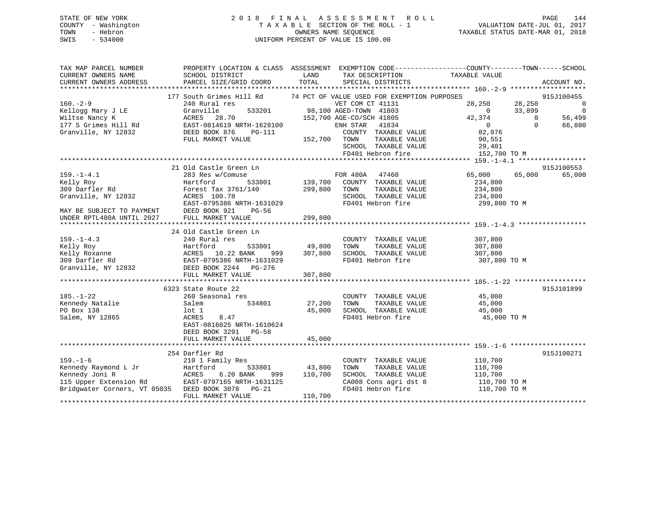## STATE OF NEW YORK 2 0 1 8 F I N A L A S S E S S M E N T R O L L PAGE 144 COUNTY - Washington T A X A B L E SECTION OF THE ROLL - 1 VALUATION DATE-JUL 01, 2017 TOWN - Hebron OWNERS NAME SEQUENCE TAXABLE STATUS DATE-MAR 01, 2018 SWIS - 534000 UNIFORM PERCENT OF VALUE IS 100.00

| LAND<br>TAXABLE VALUE<br>CURRENT OWNERS NAME<br>SCHOOL DISTRICT<br>TAX DESCRIPTION<br>TOTAL<br>PARCEL SIZE/GRID COORD<br>CURRENT OWNERS ADDRESS<br>SPECIAL DISTRICTS<br>ACCOUNT NO.<br>177 South Grimes Hill Rd<br>74 PCT OF VALUE USED FOR EXEMPTION PURPOSES<br>915J100455 |                |
|------------------------------------------------------------------------------------------------------------------------------------------------------------------------------------------------------------------------------------------------------------------------------|----------------|
|                                                                                                                                                                                                                                                                              |                |
|                                                                                                                                                                                                                                                                              |                |
| $160 - 2 - 9$<br>VET COM CT 41131<br>28,250<br>28,250<br>240 Rural res                                                                                                                                                                                                       | $\overline{0}$ |
| 33,899<br>98,100 AGED-TOWN 41803<br>533201<br>Kellogg Mary J LE<br>Granville<br>$\cap$                                                                                                                                                                                       | $\overline{0}$ |
| 42,374<br>Wiltse Nancy K<br>ACRES 28.70<br>152,700 AGE-CO/SCH 41805<br>$\overline{0}$                                                                                                                                                                                        | 56,499         |
| EAST-0814619 NRTH-1628100<br>177 S Grimes Hill Rd<br>41834<br>$\overline{0}$<br>$\Omega$<br>ENH STAR                                                                                                                                                                         | 66,800         |
| Granville, NY 12832<br>DEED BOOK 876<br>COUNTY TAXABLE VALUE<br>82,076<br>PG-111                                                                                                                                                                                             |                |
| FULL MARKET VALUE<br>152,700 TOWN<br>TAXABLE VALUE<br>90,551                                                                                                                                                                                                                 |                |
| SCHOOL TAXABLE VALUE<br>29,401                                                                                                                                                                                                                                               |                |
| FD401 Hebron fire<br>152,700 TO M                                                                                                                                                                                                                                            |                |
|                                                                                                                                                                                                                                                                              |                |
| 21 Old Castle Green Ln<br>915J100553                                                                                                                                                                                                                                         |                |
| $159. - 1 - 4.1$<br>FOR 480A 47460<br>65,000<br>65,000<br>283 Res w/Comuse                                                                                                                                                                                                   | 65,000         |
| 533801 139,700 COUNTY TAXABLE VALUE<br>Kelly Roy<br>Hartford<br>234,800                                                                                                                                                                                                      |                |
| 309 Darfler Rd<br>299,800<br>Forest Tax 3761/140<br>TOWN<br>TAXABLE VALUE<br>234,800                                                                                                                                                                                         |                |
| SCHOOL TAXABLE VALUE<br>234,800                                                                                                                                                                                                                                              |                |
| FD401 Hebron fire<br>299,800 TO M                                                                                                                                                                                                                                            |                |
| $Granville$ , NY 12832<br>$Granville$ , NY 12832<br>$EAST-0795386$ NRTH-1631029<br>$T = \frac{1631029}{1256}$<br>MAY BE SUBJECT TO PAYMENT<br>DEED BOOK 921<br>$PG-56$                                                                                                       |                |
| 299,800<br>UNDER RPTL480A UNTIL 2027<br>FULL MARKET VALUE                                                                                                                                                                                                                    |                |
|                                                                                                                                                                                                                                                                              |                |
| 24 Old Castle Green Ln                                                                                                                                                                                                                                                       |                |
| $159. - 1 - 4.3$<br>COUNTY TAXABLE VALUE<br>307,800<br>240 Rural res                                                                                                                                                                                                         |                |
| 533801 49,800<br>TAXABLE VALUE                                                                                                                                                                                                                                               |                |
| TOWN<br>307,800<br>307,800                                                                                                                                                                                                                                                   |                |
| SCHOOL TAXABLE VALUE<br>307,800                                                                                                                                                                                                                                              |                |
| Example 19 Example 10.22 BANK 10.23 BANK 10.22 BANK 999<br>10.22 BANK 999<br>109 Darfler Rd 10.22 BANK 999<br>109 BAST-0795386 NRTH-1631029<br>109 BEED BOOK 2244 PG-276<br>FD401 Hebron fire<br>307,800 TO M                                                                |                |
|                                                                                                                                                                                                                                                                              |                |
| 307,800<br>FULL MARKET VALUE                                                                                                                                                                                                                                                 |                |
|                                                                                                                                                                                                                                                                              |                |
| 915J101899<br>6323 State Route 22                                                                                                                                                                                                                                            |                |
| $185. - 1 - 22$<br>COUNTY TAXABLE VALUE<br>45,000<br>45.000<br>260 Seasonal res                                                                                                                                                                                              |                |
| Kennedy Natalie<br>TAXABLE VALUE<br>Salem<br>534801<br>27,200<br>TOWN<br>45,000                                                                                                                                                                                              |                |
| PO Box 138<br>45,000<br>lot 1<br>SCHOOL TAXABLE VALUE<br>45,000                                                                                                                                                                                                              |                |
| FD401 Hebron fire<br>Salem, NY 12865<br>ACRES<br>8.47<br>45,000 TO M                                                                                                                                                                                                         |                |
| EAST-0816025 NRTH-1610624                                                                                                                                                                                                                                                    |                |
| DEED BOOK 3291 PG-58                                                                                                                                                                                                                                                         |                |
| 45,000<br>FULL MARKET VALUE                                                                                                                                                                                                                                                  |                |
|                                                                                                                                                                                                                                                                              |                |
| 254 Darfler Rd<br>915J100271                                                                                                                                                                                                                                                 |                |
| $159. - 1 - 6$<br>110,700<br>210 1 Family Res<br>COUNTY TAXABLE VALUE                                                                                                                                                                                                        |                |
| Kennedy Raymond L Jr<br>Hartford<br>533801<br>43,800<br>TOWN<br>TAXABLE VALUE<br>110,700                                                                                                                                                                                     |                |
| 6.20 BANK<br>SCHOOL TAXABLE VALUE<br>Kennedy Joni R<br>ACRES<br>110,700<br>110,700<br>999                                                                                                                                                                                    |                |
| CA008 Cons agri dst 8                                                                                                                                                                                                                                                        |                |
| 115 Upper Extension Rd<br>EAST-0797165 NRTH-1631125<br>110,700 TO M                                                                                                                                                                                                          |                |
| FD401 Hebron fire<br>Bridqwater Corners, VT 05035 DEED BOOK 3078 PG-21<br>110,700 TO M                                                                                                                                                                                       |                |
| FULL MARKET VALUE<br>110,700                                                                                                                                                                                                                                                 |                |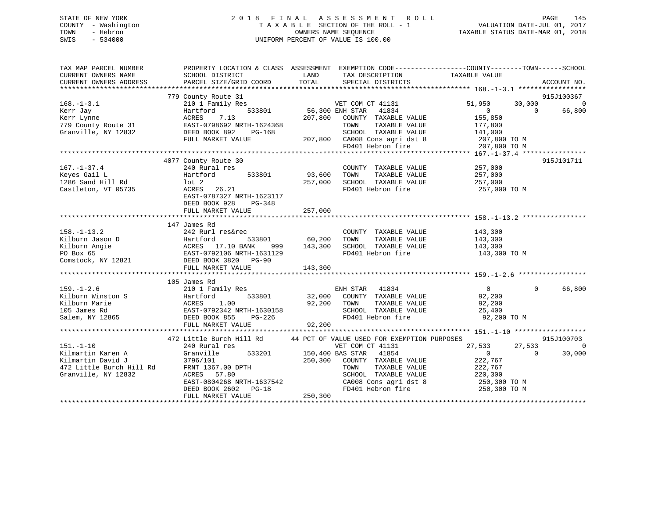## STATE OF NEW YORK 2 0 1 8 F I N A L A S S E S S M E N T R O L L PAGE 145 COUNTY - Washington T A X A B L E SECTION OF THE ROLL - 1 VALUATION DATE-JUL 01, 2017 TOWN - Hebron OWNERS NAME SEQUENCE TAXABLE STATUS DATE-MAR 01, 2018 SWIS - 534000 UNIFORM PERCENT OF VALUE IS 100.00

| TAX MAP PARCEL NUMBER<br>CURRENT OWNERS NAME<br>CURRENT OWNERS ADDRESS                                       | SCHOOL DISTRICT<br>PARCEL SIZE/GRID COORD                                                                                                                                        | LAND<br>TAX DESCRIPTION<br>TOTAL<br>SPECIAL DISTRICTS                                                                                                                                                                                            | PROPERTY LOCATION & CLASS ASSESSMENT EXEMPTION CODE----------------COUNTY-------TOWN------SCHOOL<br>TAXABLE VALUE<br>ACCOUNT NO.                           |
|--------------------------------------------------------------------------------------------------------------|----------------------------------------------------------------------------------------------------------------------------------------------------------------------------------|--------------------------------------------------------------------------------------------------------------------------------------------------------------------------------------------------------------------------------------------------|------------------------------------------------------------------------------------------------------------------------------------------------------------|
| $168. - 1 - 3.1$<br>Kerr Jay<br>Kerr Lynne<br>779 County Route 31<br>Granville, NY 12832                     | 779 County Route 31<br>210 1 Family Res<br>533801<br>Hartford<br>ACRES<br>7.13<br>EAST-0798692 NRTH-1624368<br>DEED BOOK 892<br>PG-168<br>FULL MARKET VALUE                      | VET COM CT 41131<br>56,300 ENH STAR<br>41834<br>207,800<br>COUNTY TAXABLE VALUE<br>TOWN<br>TAXABLE VALUE<br>SCHOOL TAXABLE VALUE<br>207,800 CA008 Cons agri dst 8<br>FD401 Hebron fire                                                           | 915J100367<br>51,950<br>30,000<br>$\Omega$<br>$\Omega$<br>$\Omega$<br>66,800<br>155,850<br>177,800<br>141,000<br>207,800 TO M<br>207,800 TO M              |
| $167. - 1 - 37.4$<br>Keyes Gail L<br>1286 Sand Hill Rd<br>Castleton, VT 05735                                | 4077 County Route 30<br>240 Rural res<br>Hartford<br>lot 2<br>ACRES 26.21<br>EAST-0787327 NRTH-1623117<br>DEED BOOK 928<br>PG-348<br>FULL MARKET VALUE                           | COUNTY TAXABLE VALUE<br>533801 93,600<br>TOWN<br>TAXABLE VALUE<br>SCHOOL TAXABLE VALUE<br>257,000<br>FD401 Hebron fire<br>257,000                                                                                                                | 915J101711<br>257,000<br>257,000<br>257,000<br>257,000 TO M                                                                                                |
| $158. - 1 - 13.2$<br>Kilburn Jason D<br>Kilburn Angie<br>PO Box 65<br>Comstock, NY 12821                     | 147 James Rd<br>242 Rurl res&rec<br>DEED BOOK 3820 PG-90<br>FULL MARKET VALUE                                                                                                    | COUNTY TAXABLE VALUE<br>60,200<br>TAXABLE VALUE<br>TOWN<br>999 143,300<br>SCHOOL TAXABLE VALUE<br>FD401 Hebron fire<br>143,300                                                                                                                   | 143,300<br>143,300<br>143,300<br>143,300 TO M                                                                                                              |
| $159. - 1 - 2.6$<br>Kilburn Winston S<br>Kilburn Marie<br>105 James Rd<br>Salem, NY 12865                    | 105 James Rd<br>210 1 Family Res<br>Hartford<br>533801<br>1.00<br>ACRES<br>EAST-0792342 NRTH-1630158<br>DEED BOOK 855 PG-226<br>FULL MARKET VALUE                                | ENH STAR<br>41834<br>32,000 COUNTY TAXABLE VALUE<br>92,200<br>TOWN<br>TAXABLE VALUE<br>SCHOOL TAXABLE VALUE<br>FD401 Hebron fire<br>92,200                                                                                                       | 66,800<br>$\Omega$<br>$\Omega$<br>92,200<br>92,200<br>25,400<br>92,200 TO M                                                                                |
| $151. - 1 - 10$<br>Kilmartin Karen A<br>Kilmartin David J<br>472 Little Burch Hill Rd<br>Granville, NY 12832 | 472 Little Burch Hill Rd<br>240 Rural res<br>Granville<br>3796/101<br>FRNT 1367.00 DPTH<br>ACRES 57.80<br>EAST-0804268 NRTH-1637542<br>DEED BOOK 2602 PG-18<br>FULL MARKET VALUE | 44 PCT OF VALUE USED FOR EXEMPTION PURPOSES<br>VET COM CT 41131<br>533201 150,400 BAS STAR<br>41854<br>250,300<br>COUNTY TAXABLE VALUE<br>TAXABLE VALUE<br>TOWN<br>SCHOOL TAXABLE VALUE<br>CA008 Cons agri dst 8<br>FD401 Hebron fire<br>250,300 | 915J100703<br>27,533<br>$\mathbf 0$<br>27,533<br>$\overline{0}$<br>30,000<br>$\mathbf{0}$<br>222,767<br>222,767<br>220,300<br>250,300 TO M<br>250,300 TO M |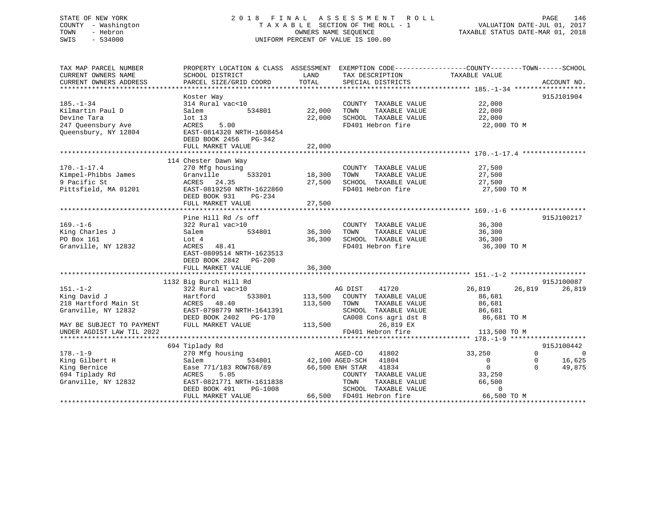## STATE OF NEW YORK 2 0 1 8 F I N A L A S S E S S M E N T R O L L PAGE 146 COUNTY - Washington T A X A B L E SECTION OF THE ROLL - 1 VALUATION DATE-JUL 01, 2017 TOWN - Hebron OWNERS NAME SEQUENCE TAXABLE STATUS DATE-MAR 01, 2018 SWIS - 534000 UNIFORM PERCENT OF VALUE IS 100.00

| TAX MAP PARCEL NUMBER                         |                                           |                 |                                               | PROPERTY LOCATION & CLASS ASSESSMENT EXEMPTION CODE--------------COUNTY-------TOWN-----SCHOOL |                |
|-----------------------------------------------|-------------------------------------------|-----------------|-----------------------------------------------|-----------------------------------------------------------------------------------------------|----------------|
| CURRENT OWNERS NAME<br>CURRENT OWNERS ADDRESS | SCHOOL DISTRICT<br>PARCEL SIZE/GRID COORD | LAND<br>TOTAL   | TAX DESCRIPTION<br>SPECIAL DISTRICTS          | TAXABLE VALUE                                                                                 |                |
|                                               |                                           |                 |                                               |                                                                                               | ACCOUNT NO.    |
|                                               | Koster Way                                |                 |                                               |                                                                                               | 915J101904     |
| $185. - 1 - 34$                               | 314 Rural vac<10                          |                 | COUNTY TAXABLE VALUE                          | 22,000                                                                                        |                |
| Kilmartin Paul D                              | 534801<br>Salem                           | 22,000          | TOWN<br>TAXABLE VALUE                         | 22,000                                                                                        |                |
| Devine Tara                                   | lot <sub>13</sub>                         | 22,000          | SCHOOL TAXABLE VALUE                          | 22,000                                                                                        |                |
| 247 Queensbury Ave                            | 5.00<br>ACRES                             |                 | FD401 Hebron fire                             | 22,000 TO M                                                                                   |                |
| Queensbury, NY 12804                          | EAST-0814320 NRTH-1608454                 |                 |                                               |                                                                                               |                |
|                                               | DEED BOOK 2456 PG-342                     |                 |                                               |                                                                                               |                |
|                                               | FULL MARKET VALUE                         | 22,000          |                                               |                                                                                               |                |
|                                               |                                           | *************** |                                               |                                                                                               |                |
|                                               | 114 Chester Dawn Way                      |                 |                                               |                                                                                               |                |
| $170. - 1 - 17.4$                             | 270 Mfg housing<br>533201                 | 18,300          | COUNTY TAXABLE VALUE                          | 27,500                                                                                        |                |
| Kimpel-Phibbs James<br>9 Pacific St           | Granville<br>ACRES 24.35                  | 27,500          | TOWN<br>TAXABLE VALUE<br>SCHOOL TAXABLE VALUE | 27,500<br>27,500                                                                              |                |
| Pittsfield, MA 01201                          | EAST-0819250 NRTH-1622860                 |                 | FD401 Hebron fire                             | 27,500 TO M                                                                                   |                |
|                                               | DEED BOOK 931<br>PG-234                   |                 |                                               |                                                                                               |                |
|                                               | FULL MARKET VALUE                         | 27,500          |                                               |                                                                                               |                |
|                                               |                                           |                 |                                               |                                                                                               |                |
|                                               | Pine Hill Rd /s off                       |                 |                                               |                                                                                               | 915J100217     |
| $169. - 1 - 6$                                | 322 Rural vac>10                          |                 | COUNTY TAXABLE VALUE                          | 36,300                                                                                        |                |
| King Charles J                                | 534801<br>Salem                           | 36,300          | TAXABLE VALUE<br>TOWN                         | 36,300                                                                                        |                |
| PO Box 161                                    | Lot 4                                     | 36,300          | SCHOOL TAXABLE VALUE                          | 36,300                                                                                        |                |
| Granville, NY 12832                           | ACRES 48.41                               |                 | FD401 Hebron fire                             | 36,300 TO M                                                                                   |                |
|                                               | EAST-0809514 NRTH-1623513                 |                 |                                               |                                                                                               |                |
|                                               | DEED BOOK 2842 PG-200                     |                 |                                               |                                                                                               |                |
|                                               | FULL MARKET VALUE                         | 36,300          |                                               |                                                                                               |                |
|                                               | 1132 Big Burch Hill Rd                    |                 |                                               |                                                                                               | 915J100087     |
| $151. - 1 - 2$                                | 322 Rural vac>10                          |                 | AG DIST<br>41720                              | 26,819<br>26,819                                                                              | 26,819         |
| King David J                                  | Hartford<br>533801                        | 113,500         | COUNTY TAXABLE VALUE                          | 86,681                                                                                        |                |
| 218 Hartford Main St                          | ACRES 48.40                               | 113,500         | TOWN<br>TAXABLE VALUE                         | 86,681                                                                                        |                |
| Granville, NY 12832                           | EAST-0798779 NRTH-1641391                 |                 | SCHOOL TAXABLE VALUE                          | 86,681                                                                                        |                |
|                                               | DEED BOOK 2402    PG-170                  |                 | CA008 Cons agri dst 8                         | 86,681 TO M                                                                                   |                |
| MAY BE SUBJECT TO PAYMENT                     | FULL MARKET VALUE                         | 113,500         | 26,819 EX                                     |                                                                                               |                |
| UNDER AGDIST LAW TIL 2022                     |                                           |                 | FD401 Hebron fire                             | 113,500 TO M                                                                                  |                |
|                                               |                                           |                 |                                               |                                                                                               |                |
|                                               | 694 Tiplady Rd                            |                 |                                               |                                                                                               | 915J100442     |
| $178. - 1 - 9$                                | 270 Mfg housing                           |                 | AGED-CO<br>41802                              | 33,250<br>$\Omega$                                                                            | $\overline{0}$ |
| King Gilbert H                                | Salem<br>534801                           |                 | 42,100 AGED-SCH 41804                         | 0<br>0<br>$\cap$                                                                              | 16,625         |
| King Bernice                                  | Ease 771/183 ROW768/89<br>ACRES<br>5.05   |                 | 66,500 ENH STAR<br>41834                      | $\overline{0}$                                                                                | 49,875         |
| 694 Tiplady Rd<br>Granville, NY 12832         | EAST-0821771 NRTH-1611838                 |                 | COUNTY TAXABLE VALUE<br>TOWN<br>TAXABLE VALUE | 33,250<br>66,500                                                                              |                |
|                                               | DEED BOOK 491<br>PG-1008                  |                 | SCHOOL TAXABLE VALUE                          | $\mathbf 0$                                                                                   |                |
|                                               | FULL MARKET VALUE                         |                 | 66,500 FD401 Hebron fire                      | 66,500 TO M                                                                                   |                |
|                                               |                                           |                 |                                               |                                                                                               |                |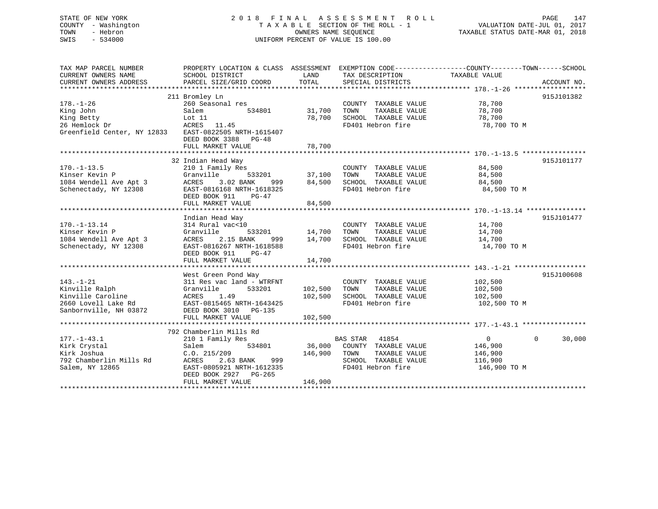## STATE OF NEW YORK 2 0 1 8 F I N A L A S S E S S M E N T R O L L PAGE 147 COUNTY - Washington T A X A B L E SECTION OF THE ROLL - 1 VALUATION DATE-JUL 01, 2017 TOWN - Hebron **CONNERS NAME SEQUENCE** TAXABLE STATUS DATE-MAR 01, 2018 SWIS - 534000 UNIFORM PERCENT OF VALUE IS 100.00

| TAX MAP PARCEL NUMBER<br>CURRENT OWNERS NAME<br>CURRENT OWNERS ADDRESS | SCHOOL DISTRICT<br>PARCEL SIZE/GRID COORD | LAND<br>TOTAL | TAX DESCRIPTION<br>SPECIAL DISTRICTS | PROPERTY LOCATION & CLASS ASSESSMENT EXEMPTION CODE---------------COUNTY-------TOWN------SCHOOL<br>TAXABLE VALUE | ACCOUNT NO. |
|------------------------------------------------------------------------|-------------------------------------------|---------------|--------------------------------------|------------------------------------------------------------------------------------------------------------------|-------------|
|                                                                        |                                           |               |                                      |                                                                                                                  |             |
|                                                                        | 211 Bromley Ln                            |               |                                      |                                                                                                                  | 915J101382  |
| $178. - 1 - 26$                                                        | 260 Seasonal res                          |               | COUNTY TAXABLE VALUE                 | 78,700                                                                                                           |             |
| King John                                                              | Salem<br>534801                           | 31,700        | TAXABLE VALUE<br>TOWN                | 78,700                                                                                                           |             |
| King Betty                                                             | Lot 11                                    | 78,700        | SCHOOL TAXABLE VALUE                 | 78,700                                                                                                           |             |
| 26 Hemlock Dr                                                          | ACRES 11.45                               |               | FD401 Hebron fire                    | 78,700 TO M                                                                                                      |             |
| Greenfield Center, NY 12833 EAST-0822505 NRTH-1615407                  |                                           |               |                                      |                                                                                                                  |             |
|                                                                        | DEED BOOK 3388 PG-48                      |               |                                      |                                                                                                                  |             |
|                                                                        | FULL MARKET VALUE                         | 78,700        |                                      |                                                                                                                  |             |
|                                                                        |                                           |               |                                      |                                                                                                                  |             |
|                                                                        | 32 Indian Head Way                        |               |                                      |                                                                                                                  | 915J101177  |
| $170. - 1 - 13.5$                                                      | 210 1 Family Res                          |               | COUNTY TAXABLE VALUE                 | 84,500                                                                                                           |             |
| Kinser Kevin P                                                         | Granville                                 |               | TOWN<br>TAXABLE VALUE                | 84,500                                                                                                           |             |
| 1084 Wendell Ave Apt 3                                                 | ACRES<br>3.02 BANK<br>999                 | 84,500        | SCHOOL TAXABLE VALUE 84,500          |                                                                                                                  |             |
| Schenectady, NY 12308                                                  | EAST-0816168 NRTH-1618325                 |               | FD401 Hebron fire                    | 84,500 TO M                                                                                                      |             |
|                                                                        | DEED BOOK 911<br>$PG-47$                  |               |                                      |                                                                                                                  |             |
|                                                                        | FULL MARKET VALUE                         | 84,500        |                                      |                                                                                                                  |             |
|                                                                        |                                           |               |                                      |                                                                                                                  |             |
|                                                                        | Indian Head Way                           |               |                                      |                                                                                                                  | 915J101477  |
| $170. - 1 - 13.14$                                                     | 314 Rural vac<10                          |               | COUNTY TAXABLE VALUE                 | 14,700                                                                                                           |             |
| Kinser Kevin P                                                         | Granville                                 | 533201 14,700 | TAXABLE VALUE<br>TOWN                | 14,700                                                                                                           |             |
| 1084 Wendell Ave Apt 3                                                 | 2.15 BANK<br>ACRES                        | 999 14,700    | SCHOOL TAXABLE VALUE                 | 14,700                                                                                                           |             |
| Schenectady, NY 12308                                                  | EAST-0816267 NRTH-1618588                 |               | FD401 Hebron fire                    | 14,700 TO M                                                                                                      |             |
|                                                                        | DEED BOOK 911<br>$PG-47$                  |               |                                      |                                                                                                                  |             |
|                                                                        | FULL MARKET VALUE                         | 14,700        |                                      |                                                                                                                  |             |
|                                                                        |                                           |               |                                      |                                                                                                                  |             |
|                                                                        | West Green Pond Way                       |               |                                      |                                                                                                                  | 915J100608  |
| $143. - 1 - 21$                                                        | 311 Res vac land - WTRFNT                 |               | COUNTY TAXABLE VALUE                 | 102,500                                                                                                          |             |
| Kinville Ralph                                                         | 533201<br>Granville                       | 102,500       | TOWN<br>TAXABLE VALUE                | 102,500                                                                                                          |             |
| Kinville Caroline                                                      | ACRES<br>1.49                             | 102,500       | SCHOOL TAXABLE VALUE 102,500         |                                                                                                                  |             |
| 2660 Lovell Lake Rd                                                    | EAST-0815465 NRTH-1643425                 |               | FD401 Hebron fire                    | 102,500 TO M                                                                                                     |             |
| Sanbornville, NH 03872                                                 | DEED BOOK 3010 PG-135                     |               |                                      |                                                                                                                  |             |
|                                                                        | FULL MARKET VALUE                         | 102,500       |                                      |                                                                                                                  |             |
|                                                                        |                                           |               |                                      |                                                                                                                  |             |
|                                                                        | 792 Chamberlin Mills Rd                   |               |                                      |                                                                                                                  |             |
|                                                                        |                                           |               |                                      |                                                                                                                  |             |
| $177. - 1 - 43.1$                                                      | 210 1 Family Res                          |               | <b>BAS STAR</b><br>41854             | $\overline{0}$<br>$\Omega$                                                                                       | 30,000      |
| Kirk Crystal                                                           | Salem<br>534801                           |               | 36,000 COUNTY TAXABLE VALUE          | 146,900                                                                                                          |             |
| Kirk Joshua                                                            | C.0.215/209                               | 146,900       | TOWN<br>TAXABLE VALUE                | 146,900                                                                                                          |             |
| 792 Chamberlin Mills Rd                                                | ACRES<br>2.63 BANK<br>999                 |               | SCHOOL TAXABLE VALUE                 | 116,900                                                                                                          |             |
| Salem, NY 12865                                                        | EAST-0805921 NRTH-1612335                 |               | FD401 Hebron fire                    | 146,900 TO M                                                                                                     |             |
|                                                                        | DEED BOOK 2927 PG-265                     |               |                                      |                                                                                                                  |             |
|                                                                        | FULL MARKET VALUE                         | 146,900       |                                      |                                                                                                                  |             |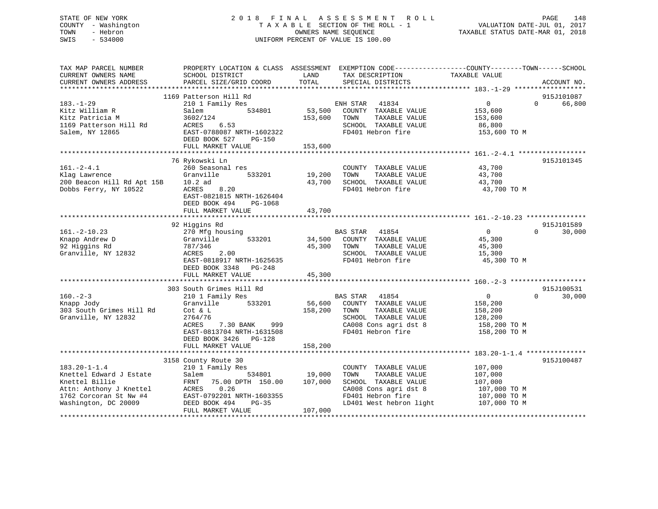## STATE OF NEW YORK 2 0 1 8 F I N A L A S S E S S M E N T R O L L PAGE 148 COUNTY - Washington T A X A B L E SECTION OF THE ROLL - 1 VALUATION DATE-JUL 01, 2017 TOWN - Hebron OWNERS NAME SEQUENCE TAXABLE STATUS DATE-MAR 01, 2018 SWIS - 534000 UNIFORM PERCENT OF VALUE IS 100.00

| TAX MAP PARCEL NUMBER<br>CURRENT OWNERS NAME<br>CURRENT OWNERS ADDRESS                                                                       | SCHOOL DISTRICT<br>PARCEL SIZE/GRID COORD                                                                                                                                                      | LAND<br>TOTAL<br>SPECIAL DISTRICTS                                                                                                                                         | PROPERTY LOCATION & CLASS ASSESSMENT EXEMPTION CODE---------------COUNTY-------TOWN-----SCHOOL<br>TAX DESCRIPTION TAXABLE VALUE<br>SPECIAL DISTRICTS<br>ACCOUNT NO. |
|----------------------------------------------------------------------------------------------------------------------------------------------|------------------------------------------------------------------------------------------------------------------------------------------------------------------------------------------------|----------------------------------------------------------------------------------------------------------------------------------------------------------------------------|---------------------------------------------------------------------------------------------------------------------------------------------------------------------|
| $183. - 1 - 29$<br>Kitz William R<br>Kitz Patricia M<br>1169 Patterson Hill Rd<br>Salem, NY 12865                                            | 1169 Patterson Hill Rd<br>210 1 Family Res<br>534801<br>Salem<br>3602/124<br>ACRES<br>6.53<br>EAST-0788087 NRTH-1602322<br>DEED BOOK 527<br>PG-150<br>FULL MARKET VALUE                        | ENH STAR 41834<br>53,500<br>COUNTY TAXABLE VALUE<br>153,600<br>TOWN<br>TAXABLE VALUE<br>SCHOOL TAXABLE VALUE<br>FD401 Hebron fire<br>153,600                               | 915J101087<br>$0 \qquad \qquad$<br>$\Omega$<br>66,800<br>153,600<br>153,600<br>86,800<br>153,600 TO M                                                               |
| $161. - 2 - 4.1$<br>Klag Lawrence<br>200 Beacon Hill Rd Apt 15B 10.2 ad<br>Dobbs Ferry, NY 10522                                             | 76 Rykowski Ln<br>260 Seasonal res<br>Granville 533201<br>8.20<br>ACRES<br>EAST-0821815 NRTH-1626404<br>DEED BOOK 494<br>PG-1068<br>FULL MARKET VALUE                                          | COUNTY TAXABLE VALUE<br>19,200<br>TOWN<br>TAXABLE VALUE<br>43,700<br>SCHOOL TAXABLE VALUE<br>FD401 Hebron fire<br>43,700                                                   | 915J101345<br>43,700<br>43,700<br>43,700<br>43,700 TO M                                                                                                             |
| $161. - 2 - 10.23$<br>Knapp Andrew D<br>92 Higgins Rd<br>Granville, NY 12832                                                                 | 92 Higgins Rd<br>270 Mfg housing<br>533201<br>Granville<br>787/346<br>2.00<br>ACRES<br>EAST-0818917 NRTH-1625635<br>DEED BOOK 3348 PG-248<br>FULL MARKET VALUE                                 | BAS STAR 41854<br>34,500<br>COUNTY TAXABLE VALUE<br>45,300<br>TOWN<br>TAXABLE VALUE<br>SCHOOL TAXABLE VALUE<br>FD401 Hebron fire<br>45,300                                 | 915J101589<br>$\overline{0}$<br>$\Omega$<br>30,000<br>45,300<br>45,300<br>15,300<br>45,300 TO M                                                                     |
| $160 - 2 - 3$<br>Knapp Jody<br>303 South Grimes Hill Rd<br>Granville, NY 12832                                                               | 303 South Grimes Hill Rd<br>210 1 Family Res<br>533201<br>Granville<br>Cot & L<br>2764/76<br>7.30 BANK 999<br>ACRES<br>EAST-0813704 NRTH-1631508<br>DEED BOOK 3426 PG-128<br>FULL MARKET VALUE | BAS STAR 41854<br>56,600<br>COUNTY TAXABLE VALUE<br>158,200<br>TAXABLE VALUE<br>TOWN<br>SCHOOL TAXABLE VALUE<br>CA008 Cons agri dst 8<br>FD401 Hebron fire<br>158,200      | 915J100531<br>$\Omega$<br>$\Omega$<br>30,000<br>158,200<br>158,200<br>128,200<br>158,200 TO M<br>158,200 TO M                                                       |
| $183.20 - 1 - 1.4$<br>Knettel Edward J Estate<br>Knettel Billie<br>Attn: Anthony J Knettel<br>1762 Corcoran St Nw #4<br>Washington, DC 20009 | 3158 County Route 30<br>210 1 Family Res<br>Salem<br>FRNT 75.00 DPTH 150.00 107,000<br>ACRES 0.26<br>EAST-0792201 NRTH-1603355<br>$PG-35$<br>DEED BOOK 494<br>FULL MARKET VALUE                | COUNTY TAXABLE VALUE<br>534801 19,000<br>TAXABLE VALUE<br>TOWN<br>SCHOOL TAXABLE VALUE<br>CA008 Cons agri dst 8<br>FD401 Hebron fire<br>LD401 West hebron light<br>107,000 | 915J100487<br>107,000<br>107,000<br>107,000<br>$107,000$ TO M<br>107,000 ТО М<br>107,000 ТО М                                                                       |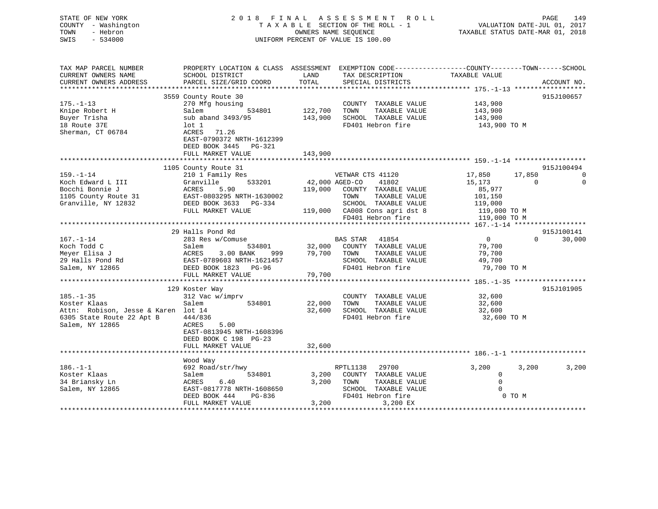| STATE OF NEW YORK<br>COUNTY - Washington<br>TOWN<br>- Hebron<br>SWIS<br>$-534000$      | 2018 FINAL ASSESSMENT ROLL<br>TAXABLE SECTION OF THE ROLL - 1<br>UNIFORM PERCENT OF VALUE IS 100.00                                                                   | VALUATION DATE-JUL 01, 2017<br>TAXABLE STATUS DATE-MAR 01, 2018 | PAGE                                                                                       | 149                                           |             |                |
|----------------------------------------------------------------------------------------|-----------------------------------------------------------------------------------------------------------------------------------------------------------------------|-----------------------------------------------------------------|--------------------------------------------------------------------------------------------|-----------------------------------------------|-------------|----------------|
| TAX MAP PARCEL NUMBER<br>CURRENT OWNERS NAME<br>CURRENT OWNERS ADDRESS                 | PROPERTY LOCATION & CLASS ASSESSMENT EXEMPTION CODE---------------COUNTY-------TOWN-----SCHOOL<br>SCHOOL DISTRICT<br>PARCEL SIZE/GRID COORD                           | LAND<br>TOTAL                                                   | TAX DESCRIPTION TAXABLE VALUE<br>SPECIAL DISTRICTS                                         |                                               |             | ACCOUNT NO.    |
|                                                                                        |                                                                                                                                                                       |                                                                 |                                                                                            |                                               |             |                |
| $175. - 1 - 13$<br>Knipe Robert H<br>Buyer Trisha<br>18 Route 37E<br>Sherman, CT 06784 | 3559 County Route 30<br>270 Mfg housing<br>Salem<br>534801<br>sub aband 3493/95<br>$1$ ot $1$<br>ACRES<br>71.26<br>EAST-0790372 NRTH-1612399<br>DEED BOOK 3445 PG-321 | 122,700<br>143,900                                              | COUNTY TAXABLE VALUE<br>TAXABLE VALUE<br>TOWN<br>SCHOOL TAXABLE VALUE<br>FD401 Hebron fire | 143,900<br>143,900<br>143,900<br>143,900 TO M |             | 915J100657     |
|                                                                                        | FULL MARKET VALUE                                                                                                                                                     | 143,900                                                         |                                                                                            |                                               |             |                |
|                                                                                        |                                                                                                                                                                       |                                                                 |                                                                                            |                                               |             | 915J100494     |
| $159. - 1 - 14$                                                                        | 1105 County Route 31<br>210 1 Family Res                                                                                                                              |                                                                 | VETWAR CTS 41120                                                                           | 17,850                                        | 17,850      | $\overline{0}$ |
| Koch Edward L III                                                                      | 533201<br>Granville                                                                                                                                                   | 42,000 AGED-CO                                                  | 41802                                                                                      | 15,173                                        | $\mathbf 0$ | $\mathbf 0$    |
| Bocchi Bonnie J                                                                        | ACRES<br>5.90                                                                                                                                                         |                                                                 | 119,000 COUNTY TAXABLE VALUE                                                               | 85,977                                        |             |                |
| 1105 County Route 31<br>Granville, NY 12832                                            | EAST-0803295 NRTH-1630002<br>DEED BOOK 3633 PG-334                                                                                                                    |                                                                 | TAXABLE VALUE<br>TOWN<br>SCHOOL TAXABLE VALUE                                              | 101,150                                       |             |                |
|                                                                                        | FULL MARKET VALUE                                                                                                                                                     |                                                                 | 119,000 CA008 Cons agri dst 8                                                              | 119,000<br>119,000 TO M                       |             |                |
|                                                                                        |                                                                                                                                                                       |                                                                 | FD401 Hebron fire                                                                          | 119,000 TO M                                  |             |                |
|                                                                                        |                                                                                                                                                                       |                                                                 |                                                                                            |                                               |             |                |
|                                                                                        | 29 Halls Pond Rd                                                                                                                                                      |                                                                 |                                                                                            |                                               |             | 915J100141     |
| $167. - 1 - 14$                                                                        | 283 Res w/Comuse                                                                                                                                                      |                                                                 | BAS STAR 41854                                                                             | $\overline{0}$                                | $\Omega$    | 30,000         |
| Koch Todd C                                                                            | 534801<br>ANK 999<br>Salem                                                                                                                                            |                                                                 | 32,000 COUNTY TAXABLE VALUE                                                                | 79,700                                        |             |                |
| Meyer Elisa J                                                                          | ACRES<br>3.00 BANK<br>EAST-0789603 NRTH-1621457                                                                                                                       |                                                                 | 79,700 TOWN<br>TAXABLE VALUE<br>SCHOOL TAXABLE VALUE                                       | 79,700<br>49,700                              |             |                |
| 29 Halls Pond Rd<br>Salem, NY 12865                                                    | DEED BOOK 1823 PG-96                                                                                                                                                  |                                                                 | FD401 Hebron fire                                                                          | 79,700 TO M                                   |             |                |
|                                                                                        | FULL MARKET VALUE                                                                                                                                                     | 79,700                                                          |                                                                                            |                                               |             |                |
|                                                                                        |                                                                                                                                                                       |                                                                 |                                                                                            |                                               |             |                |
|                                                                                        | 129 Koster Way                                                                                                                                                        |                                                                 |                                                                                            |                                               |             | 915J101905     |
| $185. - 1 - 35$                                                                        | 312 Vac w/imprv                                                                                                                                                       |                                                                 | COUNTY TAXABLE VALUE                                                                       | 32,600                                        |             |                |
| Koster Klaas                                                                           | 534801<br>Salem                                                                                                                                                       | 22,000                                                          | TOWN<br>TAXABLE VALUE                                                                      | 32,600                                        |             |                |
| Attn: Robison, Jesse & Karen lot 14                                                    |                                                                                                                                                                       | 32,600                                                          | SCHOOL TAXABLE VALUE<br>FD401 Hebron fire                                                  | 32,600                                        |             |                |
| 6305 State Route 22 Apt B<br>Salem, NY 12865                                           | 444/836<br>ACRES<br>5.00                                                                                                                                              |                                                                 |                                                                                            | 32,600 TO M                                   |             |                |
|                                                                                        | EAST-0813945 NRTH-1608396                                                                                                                                             |                                                                 |                                                                                            |                                               |             |                |
|                                                                                        | DEED BOOK C 198 PG-23                                                                                                                                                 |                                                                 |                                                                                            |                                               |             |                |
|                                                                                        | FULL MARKET VALUE                                                                                                                                                     | 32,600                                                          |                                                                                            |                                               |             |                |
|                                                                                        |                                                                                                                                                                       |                                                                 |                                                                                            |                                               |             |                |
|                                                                                        | Wood Way                                                                                                                                                              |                                                                 |                                                                                            |                                               |             |                |
| $186. - 1 - 1$                                                                         | 692 Road/str/hwy                                                                                                                                                      |                                                                 | 29700<br>RPTL1138                                                                          | 3,200<br>$\mathbf 0$                          | 3,200       | 3,200          |
| Koster Klaas<br>34 Briansky Ln                                                         | Salem<br>534801<br>ACRES<br>6.40                                                                                                                                      | 3,200<br>3,200                                                  | COUNTY TAXABLE VALUE<br>TOWN<br>TAXABLE VALUE                                              | $\mathbf 0$                                   |             |                |
| Salem, NY 12865                                                                        | EAST-0817778 NRTH-1608650                                                                                                                                             |                                                                 | SCHOOL TAXABLE VALUE                                                                       | $\Omega$                                      |             |                |
|                                                                                        | DEED BOOK 444<br>PG-836                                                                                                                                               |                                                                 | FD401 Hebron fire                                                                          |                                               | 0 TO M      |                |
|                                                                                        | FULL MARKET VALUE                                                                                                                                                     | 3,200                                                           | 3,200 EX                                                                                   |                                               |             |                |

\*\*\*\*\*\*\*\*\*\*\*\*\*\*\*\*\*\*\*\*\*\*\*\*\*\*\*\*\*\*\*\*\*\*\*\*\*\*\*\*\*\*\*\*\*\*\*\*\*\*\*\*\*\*\*\*\*\*\*\*\*\*\*\*\*\*\*\*\*\*\*\*\*\*\*\*\*\*\*\*\*\*\*\*\*\*\*\*\*\*\*\*\*\*\*\*\*\*\*\*\*\*\*\*\*\*\*\*\*\*\*\*\*\*\*\*\*\*\*\*\*\*\*\*\*\*\*\*\*\*\*\*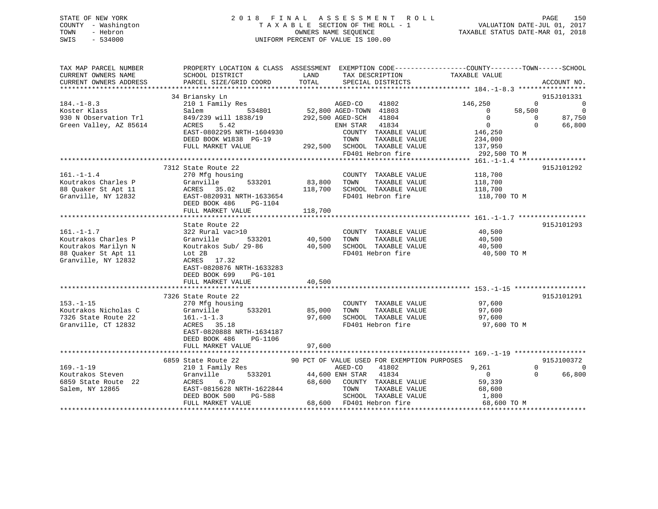|      | STATE OF NEW YORK   | 2018 FINAL ASSESSMENT ROLL                               | PAGE                        | 150 |
|------|---------------------|----------------------------------------------------------|-----------------------------|-----|
|      | COUNTY - Washington | TAXABLE SECTION OF THE ROLL - 1                          | VALUATION DATE-JUL 01, 2017 |     |
| TOWN | - Hebron            | TAXABLE STATUS DATE-MAR 01, 2018<br>OWNERS NAME SEOUENCE |                             |     |
| SWIS | - 534000            | UNIFORM PERCENT OF VALUE IS 100.00                       |                             |     |
|      |                     |                                                          |                             |     |

| TAX MAP PARCEL NUMBER  | PROPERTY LOCATION & CLASS ASSESSMENT EXEMPTION CODE--------------COUNTY-------TOWN-----SCHOOL |             |                                             |                                    |                            |
|------------------------|-----------------------------------------------------------------------------------------------|-------------|---------------------------------------------|------------------------------------|----------------------------|
| CURRENT OWNERS NAME    | SCHOOL DISTRICT                                                                               | LAND        | TAX DESCRIPTION                             | TAXABLE VALUE                      |                            |
| CURRENT OWNERS ADDRESS | PARCEL SIZE/GRID COORD                                                                        | TOTAL       | SPECIAL DISTRICTS                           |                                    | ACCOUNT NO.                |
|                        |                                                                                               |             |                                             |                                    |                            |
|                        | 34 Briansky Ln                                                                                |             |                                             |                                    | 915J101331                 |
| $184. - 1 - 8.3$       | 210 1 Family Res                                                                              |             | AGED-CO<br>41802                            | 146,250                            | $\Omega$<br>$\overline{0}$ |
| Koster Klass           | 534801<br>Salem                                                                               |             | $52,800$ AGED-TOWN 41803                    | 58,500<br>$\overline{\phantom{0}}$ | $\overline{0}$             |
| 930 N Observation Trl  | 849/239 will 1838/19                                                                          |             | 292,500 AGED-SCH<br>41804                   | $\Omega$                           | 87,750<br>$\Omega$         |
| Green Valley, AZ 85614 | 5.42<br>ACRES                                                                                 |             | ENH STAR 41834                              | $\overline{0}$                     | $\Omega$<br>66,800         |
|                        | EAST-0802295 NRTH-1604930                                                                     |             | COUNTY TAXABLE VALUE                        | 146,250                            |                            |
|                        | DEED BOOK W1838 PG-19                                                                         |             | TOWN<br>TAXABLE VALUE                       | 234,000                            |                            |
|                        | FULL MARKET VALUE                                                                             |             | 292,500 SCHOOL TAXABLE VALUE                | 137,950                            |                            |
|                        |                                                                                               |             | FD401 Hebron fire                           | 292,500 TO M                       |                            |
|                        |                                                                                               |             |                                             |                                    |                            |
|                        | 7312 State Route 22                                                                           |             |                                             |                                    | 915J101292                 |
| $161. - 1 - 1.4$       | 270 Mfg housing                                                                               |             | COUNTY TAXABLE VALUE                        | 118,700                            |                            |
| Koutrakos Charles P    | 533201<br>Granville                                                                           | 83,800      | TAXABLE VALUE<br>TOWN                       | 118,700                            |                            |
| 88 Quaker St Apt 11    | ACRES 35.02                                                                                   | 118,700     | SCHOOL TAXABLE VALUE                        | 118,700                            |                            |
| Granville, NY 12832    | EAST-0820931 NRTH-1633654                                                                     |             | FD401 Hebron fire                           | 118,700 TO M                       |                            |
|                        | DEED BOOK 486<br>PG-1104                                                                      |             |                                             |                                    |                            |
|                        | FULL MARKET VALUE                                                                             | 118,700     |                                             |                                    |                            |
|                        |                                                                                               |             |                                             |                                    |                            |
|                        | State Route 22                                                                                |             |                                             |                                    | 915J101293                 |
| $161. - 1 - 1.7$       | 322 Rural vac>10                                                                              |             | COUNTY TAXABLE VALUE                        | 40,500                             |                            |
| Koutrakos Charles P    | Granville<br>533201                                                                           | 40,500 TOWN | TAXABLE VALUE                               | 40,500                             |                            |
| Koutrakos Marilyn N    | Koutrakos Sub/ 29-86                                                                          | 40,500      | SCHOOL TAXABLE VALUE                        | 40,500                             |                            |
| 88 Quaker St Apt 11    | Lot 2B                                                                                        |             | FD401 Hebron fire                           | 40,500 TO M                        |                            |
| Granville, NY 12832    | ACRES 17.32                                                                                   |             |                                             |                                    |                            |
|                        | EAST-0820876 NRTH-1633283                                                                     |             |                                             |                                    |                            |
|                        | DEED BOOK 699<br>$PG-101$                                                                     |             |                                             |                                    |                            |
|                        |                                                                                               | 40,500      |                                             |                                    |                            |
|                        | FULL MARKET VALUE                                                                             |             |                                             |                                    |                            |
|                        |                                                                                               |             |                                             |                                    | 915J101291                 |
| $153. - 1 - 15$        | 7326 State Route 22                                                                           |             |                                             |                                    |                            |
|                        | 270 Mfg housing                                                                               |             | COUNTY TAXABLE VALUE                        | 97,600                             |                            |
| Koutrakos Nicholas C   | 533201<br>Granville                                                                           | 85,000      | TAXABLE VALUE<br>TOWN                       | 97,600                             |                            |
| 7326 State Route 22    | $161. - 1 - 1.3$                                                                              | 97,600      | SCHOOL TAXABLE VALUE                        | 97,600                             |                            |
| Granville, CT 12832    | ACRES 35.18                                                                                   |             | FD401 Hebron fire                           | 97,600 TO M                        |                            |
|                        | EAST-0820888 NRTH-1634187                                                                     |             |                                             |                                    |                            |
|                        | DEED BOOK 486<br>PG-1106                                                                      |             |                                             |                                    |                            |
|                        | FULL MARKET VALUE                                                                             | 97,600      |                                             |                                    |                            |
|                        |                                                                                               |             |                                             |                                    |                            |
|                        | 6859 State Route 22                                                                           |             | 90 PCT OF VALUE USED FOR EXEMPTION PURPOSES |                                    | 915J100372                 |
| $169. - 1 - 19$        | 210 1 Family Res                                                                              |             | AGED-CO<br>41802                            | 9,261                              | $\Omega$                   |
| Koutrakos Steven       | 533201<br>Granville                                                                           |             | 44,600 ENH STAR 41834                       | $\overline{0}$                     | 66,800<br>$\Omega$         |
| 6859 State Route 22    | ACRES<br>6.70                                                                                 | 68,600      | COUNTY TAXABLE VALUE                        | 59,339                             |                            |
| Salem, NY 12865        | EAST-0815628 NRTH-1622844                                                                     |             | TOWN<br>TAXABLE VALUE                       |                                    |                            |
|                        | DEED BOOK 500<br>PG-588                                                                       |             | SCHOOL TAXABLE VALUE                        | 68,600<br>1,800                    |                            |
|                        | FULL MARKET VALUE                                                                             |             | 68,600 FD401 Hebron fire                    | 68,600 TO M                        |                            |
|                        |                                                                                               |             |                                             |                                    |                            |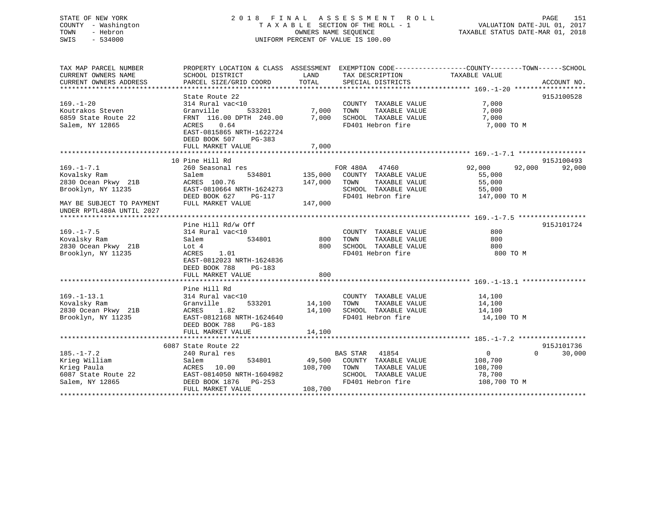## STATE OF NEW YORK 2 0 1 8 F I N A L A S S E S S M E N T R O L L PAGE 151 COUNTY - Washington T A X A B L E SECTION OF THE ROLL - 1 VALUATION DATE-JUL 01, 2017 TOWN - Hebron OWNERS NAME SEQUENCE TAXABLE STATUS DATE-MAR 01, 2018 SWIS - 534000 UNIFORM PERCENT OF VALUE IS 100.00

| TAX MAP PARCEL NUMBER                                     | PROPERTY LOCATION & CLASS ASSESSMENT EXEMPTION CODE---------------COUNTY-------TOWN------SCHOOL |                              |                                                                                    |                       |                    |
|-----------------------------------------------------------|-------------------------------------------------------------------------------------------------|------------------------------|------------------------------------------------------------------------------------|-----------------------|--------------------|
| CURRENT OWNERS NAME                                       | SCHOOL DISTRICT                                                                                 | LAND                         | TAX DESCRIPTION                                                                    | TAXABLE VALUE         |                    |
| CURRENT OWNERS ADDRESS                                    | PARCEL SIZE/GRID COORD                                                                          | TOTAL                        | SPECIAL DISTRICTS                                                                  |                       | ACCOUNT NO.        |
|                                                           |                                                                                                 |                              |                                                                                    |                       |                    |
| $169. - 1 - 20$                                           | State Route 22                                                                                  |                              |                                                                                    |                       | 915J100528         |
|                                                           | 314 Rural vac<10                                                                                | 533201 7,000                 | COUNTY TAXABLE VALUE                                                               | 7,000                 |                    |
| Koutrakos Steven                                          | Granville                                                                                       |                              | TAXABLE VALUE<br>TOWN                                                              | 7,000                 |                    |
| 6859 State Route 22<br>Salem. NY 12865                    | FRNT 116.00 DPTH 240.00 7,000 SCHOOL TAXABLE VALUE                                              |                              |                                                                                    | 7,000                 |                    |
| Salem, NY 12865                                           | ACRES 0.64                                                                                      |                              | FD401 Hebron fire                                                                  | 7,000 TO M            |                    |
|                                                           | EAST-0815865 NRTH-1622724<br>DEED BOOK 507 PG-383                                               |                              |                                                                                    |                       |                    |
|                                                           | FULL MARKET VALUE                                                                               | 7,000                        |                                                                                    |                       |                    |
|                                                           |                                                                                                 |                              |                                                                                    |                       |                    |
|                                                           | 10 Pine Hill Rd                                                                                 |                              |                                                                                    |                       | 915J100493         |
| $169. - 1 - 7.1$                                          | 260 Seasonal res                                                                                |                              | FOR 480A 47460                                                                     | 92,000<br>92,000      | 92,000             |
| Kovalsky Ram                                              | Salem                                                                                           |                              | 534801 135,000 COUNTY TAXABLE VALUE                                                | 55,000                |                    |
| 2830 Ocean Pkwy 21B                                       | ACRES 100.76                                                                                    |                              | 147,000 TOWN<br>TAXABLE VALUE                                                      | 55,000                |                    |
| Brooklyn, NY 11235                                        | EAST-0810664 NRTH-1624273                                                                       |                              |                                                                                    |                       |                    |
|                                                           | ANJI-VOIVOO4 NKTH-1624273<br>DEED BOOK 627 PG-117                                               |                              | SCHOOL TAXABLE VALUE 55,000<br>FD401 Hebron fire 147,000 TO M<br>FD401 Hebron fire |                       |                    |
| MAY BE SUBJECT TO PAYMENT                                 | FULL MARKET VALUE                                                                               | 147,000                      |                                                                                    |                       |                    |
| UNDER RPTL480A UNTIL 2027                                 |                                                                                                 |                              |                                                                                    |                       |                    |
|                                                           |                                                                                                 |                              |                                                                                    |                       |                    |
|                                                           | Pine Hill Rd/w Off                                                                              |                              |                                                                                    |                       | 915J101724         |
| $169. - 1 - 7.5$                                          | 314 Rural vac<10                                                                                |                              | COUNTY TAXABLE VALUE                                                               | 800                   |                    |
| Kovalsky Ram                                              | Salem                                                                                           | <sub>534801</sub> 800        | TAXABLE VALUE<br>TOWN                                                              | 800                   |                    |
| 2830 Ocean Pkwy 21B                                       | Lot 4                                                                                           | 800                          | SCHOOL TAXABLE VALUE                                                               | 800                   |                    |
| Brooklyn, NY 11235                                        | 1.01<br>ACRES                                                                                   |                              | FD401 Hebron fire                                                                  | 800 TO M              |                    |
|                                                           | EAST-0812023 NRTH-1624836                                                                       |                              |                                                                                    |                       |                    |
|                                                           | DEED BOOK 788<br>PG-183                                                                         |                              |                                                                                    |                       |                    |
|                                                           | FULL MARKET VALUE                                                                               | 800                          |                                                                                    |                       |                    |
|                                                           |                                                                                                 |                              |                                                                                    |                       |                    |
|                                                           | Pine Hill Rd                                                                                    |                              |                                                                                    |                       |                    |
| $169. - 1 - 13.1$                                         | 314 Rural vac<10                                                                                |                              | COUNTY TAXABLE VALUE 14,100                                                        |                       |                    |
|                                                           | Granville                                                                                       | COUNTY<br>533201 14,100 TOWN | TAXABLE VALUE                                                                      | 14,100                |                    |
| Kovalsky Ram Granvi<br>2830 Ocean Pkwy 21B ACRES          | 1.82                                                                                            |                              | 14,100 SCHOOL TAXABLE VALUE 14,100                                                 |                       |                    |
| Brooklyn, NY 11235                                        | EAST-0812168 NRTH-1624640                                                                       |                              | FD401 Hebron fire                                                                  | 14,100 TO M           |                    |
|                                                           | DEED BOOK 788<br>PG-183                                                                         |                              |                                                                                    |                       |                    |
|                                                           | FULL MARKET VALUE                                                                               | 14,100                       |                                                                                    |                       |                    |
|                                                           |                                                                                                 |                              |                                                                                    |                       |                    |
|                                                           | 6087 State Route 22                                                                             |                              |                                                                                    |                       | 915J101736         |
| $185. - 1 - 7.2$                                          | 240 Rural res                                                                                   |                              | BAS STAR 41854                                                                     | $\Omega$              | $\Omega$<br>30,000 |
| Krieg William                                             | Salem                                                                                           |                              | 534801 49,500 COUNTY TAXABLE VALUE                                                 | 108,700               |                    |
| Krieg Paula                                               | ACRES 10.00                                                                                     | 108,700 TOWN                 |                                                                                    | TAXABLE VALUE 108,700 |                    |
|                                                           | ACRES 10.00<br>EAST-0814050 NRTH-1604982<br>DEED BOOK 1876 PG-253                               |                              |                                                                                    | 78,700                |                    |
| 6087 State Route 22<br>Salem, NY 12865<br>Salem, NY 12865 | EASI-0814050 NRTH-1604982<br>DEED BOOK 1876 PG-253                                              |                              | SCHOOL TAXABLE VALUE<br>FD401 Hebron fire                                          | 108,700 TO M          |                    |
|                                                           | FULL MARKET VALUE                                                                               | 108,700                      |                                                                                    |                       |                    |
|                                                           |                                                                                                 |                              |                                                                                    |                       |                    |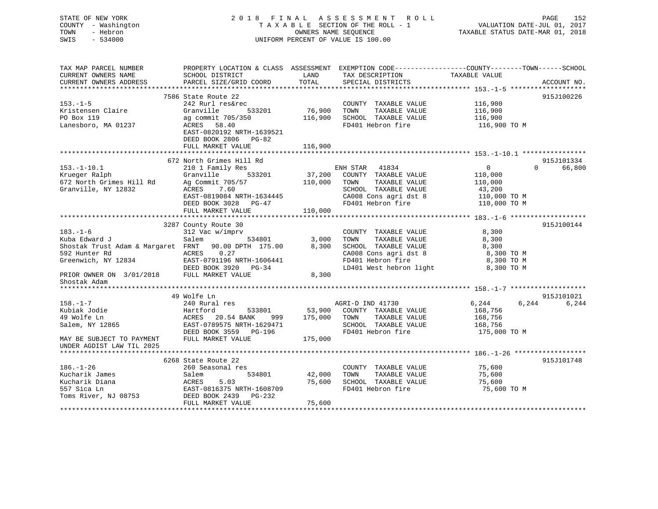# STATE OF NEW YORK 2018 FINAL ASSESSMENT ROLL PAGE 152 COUNTY - Washington  $T A X A B L E$  SECTION OF THE ROLL - 1<br>TOWN - Hebron DATE-JUL 000NERS NAME SEQUENCE SWIS - 534000 UNIFORM PERCENT OF VALUE IS 100.00

VALUATION DATE-JUL 01, 2017

TAXABLE STATUS DATE-MAR 01, 2018

| TAX MAP PARCEL NUMBER                                | PROPERTY LOCATION & CLASS ASSESSMENT |         | EXEMPTION CODE-----------------COUNTY-------TOWN------SCHOOL |                |                    |
|------------------------------------------------------|--------------------------------------|---------|--------------------------------------------------------------|----------------|--------------------|
| CURRENT OWNERS NAME                                  | SCHOOL DISTRICT                      | LAND    | TAX DESCRIPTION                                              | TAXABLE VALUE  |                    |
| CURRENT OWNERS ADDRESS                               | PARCEL SIZE/GRID COORD               | TOTAL   | SPECIAL DISTRICTS                                            |                | ACCOUNT NO.        |
|                                                      |                                      |         |                                                              |                |                    |
|                                                      | 7586 State Route 22                  |         |                                                              |                | 915J100226         |
| $153. - 1 - 5$                                       | 242 Rurl res&rec                     |         | COUNTY TAXABLE VALUE                                         | 116,900        |                    |
| Kristensen Claire                                    | Granville<br>533201                  | 76,900  | TOWN<br>TAXABLE VALUE                                        | 116,900        |                    |
| PO Box 119                                           | ag commit 705/350                    | 116,900 | SCHOOL TAXABLE VALUE                                         | 116,900        |                    |
| Lanesboro, MA 01237                                  | 58.40<br>ACRES                       |         | FD401 Hebron fire                                            | 116,900 TO M   |                    |
|                                                      | EAST-0820192 NRTH-1639521            |         |                                                              |                |                    |
|                                                      | DEED BOOK 2806<br>$PG-82$            |         |                                                              |                |                    |
|                                                      | FULL MARKET VALUE                    | 116,900 |                                                              |                |                    |
|                                                      |                                      |         |                                                              |                |                    |
|                                                      | 672 North Grimes Hill Rd             |         |                                                              |                | 915J101334         |
| $153. - 1 - 10.1$                                    | 210 1 Family Res                     |         | ENH STAR 41834                                               | $\overline{0}$ | 66,800<br>$\Omega$ |
| Krueger Ralph                                        | 533201<br>Granville                  | 37,200  | COUNTY TAXABLE VALUE                                         | 110,000        |                    |
| 672 North Grimes Hill Rd                             | Ag Commit 705/57                     | 110,000 | TOWN<br>TAXABLE VALUE                                        | 110,000        |                    |
| Granville, NY 12832                                  | ACRES<br>7.60                        |         | SCHOOL TAXABLE VALUE                                         | 43,200         |                    |
|                                                      | EAST-0819084 NRTH-1634445            |         | CA008 Cons agri dst 8                                        | 110,000 TO M   |                    |
|                                                      | DEED BOOK 3028<br>$PG-47$            |         | FD401 Hebron fire                                            | 110,000 TO M   |                    |
|                                                      | FULL MARKET VALUE                    | 110,000 |                                                              |                |                    |
|                                                      |                                      |         |                                                              |                |                    |
|                                                      | 3287 County Route 30                 |         |                                                              |                | 915J100144         |
| $183. - 1 - 6$                                       | 312 Vac w/imprv                      |         | COUNTY TAXABLE VALUE                                         | 8,300          |                    |
| Kuba Edward J                                        | Salem<br>534801                      | 3,000   | TOWN<br>TAXABLE VALUE                                        | 8,300          |                    |
| Shostak Trust Adam & Margaret FRNT 90.00 DPTH 175.00 |                                      | 8,300   | SCHOOL TAXABLE VALUE                                         | 8,300          |                    |
| 592 Hunter Rd                                        | 0.27<br>ACRES                        |         | CA008 Cons agri dst 8                                        | 8,300 TO M     |                    |
| Greenwich, NY 12834                                  | EAST-0791196 NRTH-1606441            |         | FD401 Hebron fire                                            | 8,300 TO M     |                    |
|                                                      | DEED BOOK 3920 PG-34                 |         | LD401 West hebron light                                      | 8,300 TO M     |                    |
| PRIOR OWNER ON 3/01/2018                             | FULL MARKET VALUE                    | 8,300   |                                                              |                |                    |
| Shostak Adam                                         |                                      |         |                                                              |                |                    |
|                                                      |                                      |         |                                                              |                |                    |
|                                                      | 49 Wolfe Ln                          |         |                                                              |                | 915J101021         |
| $158. - 1 - 7$                                       | 240 Rural res                        |         | AGRI-D IND 41730                                             | 6,244<br>6,244 | 6,244              |
| Kubiak Jodie                                         | 533801<br>Hartford                   | 53,900  | COUNTY TAXABLE VALUE                                         | 168,756        |                    |
| 49 Wolfe Ln                                          | 20.54 BANK<br>ACRES<br>999           | 175,000 | TAXABLE VALUE<br>TOWN                                        | 168,756        |                    |
| Salem, NY 12865                                      | EAST-0789575 NRTH-1629471            |         | SCHOOL TAXABLE VALUE                                         | 168,756        |                    |
|                                                      | DEED BOOK 3559 PG-196                |         | FD401 Hebron fire                                            | 175,000 TO M   |                    |
| MAY BE SUBJECT TO PAYMENT                            | FULL MARKET VALUE                    | 175,000 |                                                              |                |                    |
| UNDER AGDIST LAW TIL 2025                            |                                      |         |                                                              |                |                    |
|                                                      |                                      |         |                                                              |                |                    |
|                                                      | 6268 State Route 22                  |         |                                                              |                | 915J101748         |
| $186. - 1 - 26$                                      | 260 Seasonal res                     |         | COUNTY TAXABLE VALUE                                         | 75,600         |                    |
| Kucharik James                                       | Salem<br>534801                      | 42,000  | TAXABLE VALUE<br>TOWN                                        | 75,600         |                    |
| Kucharik Diana                                       | 5.03<br>ACRES                        | 75,600  | SCHOOL TAXABLE VALUE                                         | 75,600         |                    |
| 557 Sica Ln                                          | EAST-0816375 NRTH-1608709            |         | FD401 Hebron fire                                            | 75,600 TO M    |                    |
| Toms River, NJ 08753                                 | DEED BOOK 2439<br>PG-232             |         |                                                              |                |                    |
|                                                      | FULL MARKET VALUE                    | 75,600  |                                                              |                |                    |
|                                                      |                                      |         |                                                              |                |                    |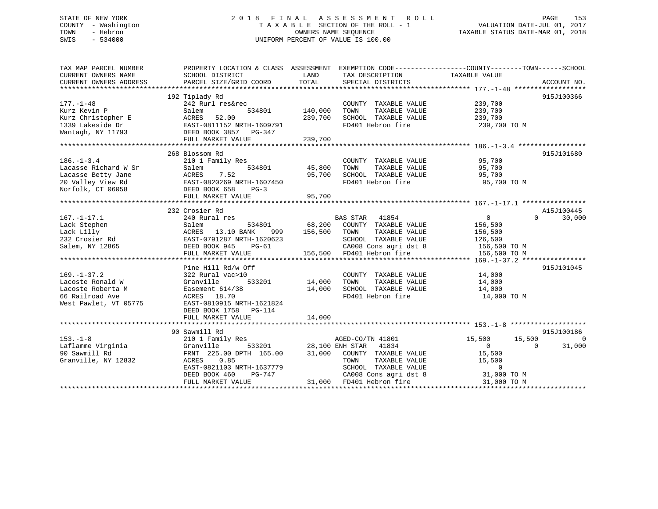## STATE OF NEW YORK 2 0 1 8 F I N A L A S S E S S M E N T R O L L PAGE 153 COUNTY - Washington T A X A B L E SECTION OF THE ROLL - 1 VALUATION DATE-JUL 01, 2017 TOWN - Hebron OWNERS NAME SEQUENCE TAXABLE STATUS DATE-MAR 01, 2018 SWIS - 534000 UNIFORM PERCENT OF VALUE IS 100.00

| TAX MAP PARCEL NUMBER<br>CURRENT OWNERS NAME | PROPERTY LOCATION & CLASS ASSESSMENT EXEMPTION CODE---------------COUNTY-------TOWN------SCHOOL<br>SCHOOL DISTRICT | LAND    | TAX DESCRIPTION                                       | TAXABLE VALUE              |                    |
|----------------------------------------------|--------------------------------------------------------------------------------------------------------------------|---------|-------------------------------------------------------|----------------------------|--------------------|
| CURRENT OWNERS ADDRESS                       | PARCEL SIZE/GRID COORD                                                                                             | TOTAL   | SPECIAL DISTRICTS                                     |                            | ACCOUNT NO.        |
|                                              |                                                                                                                    |         |                                                       |                            |                    |
|                                              | 192 Tiplady Rd                                                                                                     |         |                                                       |                            | 915J100366         |
| $177. - 1 - 48$                              | 242 Rurl res&rec                                                                                                   |         | COUNTY TAXABLE VALUE                                  | 239,700                    |                    |
| Kurz Kevin P                                 | Salem<br>534801                                                                                                    | 140,000 | TAXABLE VALUE<br>TOWN                                 | 239,700                    |                    |
| Kurz Christopher E                           | 52.00<br>ACRES                                                                                                     | 239,700 | SCHOOL TAXABLE VALUE                                  | 239,700                    |                    |
| 1339 Lakeside Dr                             | EAST-0811152 NRTH-1609791<br>DEED BOOK 3857 PG-347                                                                 |         | FD401 Hebron fire                                     | 239,700 TO M               |                    |
| Wantagh, NY 11793                            |                                                                                                                    |         |                                                       |                            |                    |
|                                              | FULL MARKET VALUE                                                                                                  | 239,700 |                                                       |                            |                    |
|                                              |                                                                                                                    |         |                                                       |                            |                    |
|                                              | 268 Blossom Rd                                                                                                     |         |                                                       |                            | 915J101680         |
| $186. - 1 - 3.4$                             | 210 1 Family Res                                                                                                   |         | COUNTY TAXABLE VALUE                                  | 95,700                     |                    |
| Lacasse Richard W Sr                         | 534801<br>Salem                                                                                                    | 45,800  | TOWN       TAXABLE  VALUE<br>SCHOOL    TAXABLE  VALUE | 95,700                     |                    |
| Lacasse Betty Jane                           | ACRES<br>7.52                                                                                                      | 95,700  |                                                       | 95,700                     |                    |
| 20 Valley View Rd                            | EAST-0820269 NRTH-1607450<br>DEED BOOK 658 PG-3                                                                    |         | FD401 Hebron fire                                     | 95,700 TO M                |                    |
| Norfolk, CT 06058                            | DEED BOOK 658<br>$PG-3$                                                                                            |         |                                                       |                            |                    |
|                                              | FULL MARKET VALUE                                                                                                  | 95,700  |                                                       |                            |                    |
|                                              |                                                                                                                    |         |                                                       |                            |                    |
|                                              | 232 Crosier Rd                                                                                                     |         |                                                       |                            | A15J100445         |
| $167. - 1 - 17.1$                            | 240 Rural res                                                                                                      |         | <b>BAS STAR</b><br>41854                              | $\overline{0}$             | $\Omega$<br>30,000 |
| Lack Stephen                                 | Salem                                                                                                              |         | 534801 68,200 COUNTY TAXABLE VALUE                    | 156,500                    |                    |
| Lack Lilly                                   | ACRES 13.10 BANK<br>999                                                                                            | 156,500 | TOWN<br>TAXABLE VALUE                                 | 156,500                    |                    |
| 232 Crosier Rd                               | EAST-0791287 NRTH-1620623                                                                                          |         | SCHOOL TAXABLE VALUE                                  | 126,500                    |                    |
| Salem, NY 12865                              | DEED BOOK 945<br>PG-61                                                                                             |         | CA008 Cons agri dst 8<br>156,500 FD401 Hebron fire    | 156,500 TO M               |                    |
|                                              | FULL MARKET VALUE                                                                                                  |         |                                                       | 156,500 TO M               |                    |
|                                              |                                                                                                                    |         |                                                       |                            |                    |
|                                              | Pine Hill Rd/w Off                                                                                                 |         |                                                       |                            | 915J101045         |
| $169. - 1 - 37.2$                            | 322 Rural vac>10                                                                                                   |         | COUNTY TAXABLE VALUE 14,000                           |                            |                    |
| Lacoste Ronald W                             | 533201<br>Granville                                                                                                | 14,000  | TOWN<br>TAXABLE VALUE                                 | 14,000                     |                    |
| Lacoste Roberta M                            | Easement 614/38                                                                                                    | 14,000  | SCHOOL TAXABLE VALUE                                  | 14,000                     |                    |
| 66 Railroad Ave                              | ACRES 18.70                                                                                                        |         | FD401 Hebron fire                                     | 14,000 TO M                |                    |
| West Pawlet, VT 05775                        | EAST-0810915 NRTH-1621824                                                                                          |         |                                                       |                            |                    |
|                                              | DEED BOOK 1758 PG-114                                                                                              |         |                                                       |                            |                    |
|                                              | FULL MARKET VALUE                                                                                                  | 14,000  |                                                       |                            |                    |
|                                              |                                                                                                                    |         |                                                       |                            |                    |
|                                              | 90 Sawmill Rd                                                                                                      |         |                                                       |                            | 915J100186         |
| $153. - 1 - 8$                               | 210 1 Family Res                                                                                                   |         |                                                       | 15,500<br>15,500           | - 0                |
| Laflamme Virginia                            | Granville                                                                                                          |         | AGED-CO/TN 41801<br>533201 28,100 ENH STAR 41834      | $\overline{0}$<br>$\Omega$ | 31,000             |
| 90 Sawmill Rd                                | FRNT 225.00 DPTH 165.00                                                                                            |         | 31,000 COUNTY TAXABLE VALUE                           | 15,500                     |                    |
| Granville, NY 12832                          | ACRES 0.85                                                                                                         |         | TOWN<br>TAXABLE VALUE<br>TAXABLE VALUE                | 15,500                     |                    |
|                                              | EAST-0821103 NRTH-1637779                                                                                          |         | SCHOOL TAXABLE VALUE                                  | $\mathbf 0$                |                    |
|                                              | DEED BOOK 460<br>PG-747                                                                                            |         | CA008 Cons agri dst 8                                 | 31,000 TO M                |                    |
|                                              | FULL MARKET VALUE                                                                                                  |         | 31,000 FD401 Hebron fire                              | 31,000 TO M                |                    |
|                                              |                                                                                                                    |         |                                                       |                            |                    |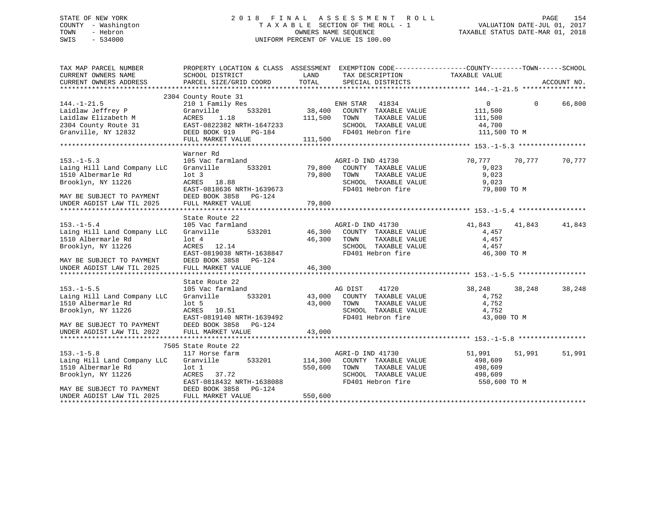## STATE OF NEW YORK 2 0 1 8 F I N A L A S S E S S M E N T R O L L PAGE 154 COUNTY - Washington T A X A B L E SECTION OF THE ROLL - 1 VALUATION DATE-JUL 01, 2017 TOWN - Hebron OWNERS NAME SEQUENCE TAXABLE STATUS DATE-MAR 01, 2018 SWIS - 534000 UNIFORM PERCENT OF VALUE IS 100.00

| TAX MAP PARCEL NUMBER<br>CURRENT OWNERS NAME<br>CURRENT OWNERS ADDRESS | PROPERTY LOCATION & CLASS ASSESSMENT EXEMPTION CODE---------------COUNTY-------TOWN------SCHOOL<br>SCHOOL DISTRICT<br>PARCEL SIZE/GRID COORD | LAND<br>TOTAL | TAX DESCRIPTION<br>SPECIAL DISTRICTS | TAXABLE VALUE |          | ACCOUNT NO. |
|------------------------------------------------------------------------|----------------------------------------------------------------------------------------------------------------------------------------------|---------------|--------------------------------------|---------------|----------|-------------|
|                                                                        |                                                                                                                                              |               |                                      |               |          |             |
| $144. - 1 - 21.5$                                                      | 2304 County Route 31<br>210 1 Family Res                                                                                                     |               | ENH STAR<br>41834                    | $\Omega$      | $\Omega$ | 66,800      |
| Laidlaw Jeffrey P                                                      | 533201<br>Granville                                                                                                                          | 38,400        | COUNTY TAXABLE VALUE                 | 111,500       |          |             |
| Laidlaw Elizabeth M                                                    | 1.18<br>ACRES                                                                                                                                | 111,500       | TAXABLE VALUE<br>TOWN                | 111,500       |          |             |
| 2304 County Route 31                                                   | EAST-0822382 NRTH-1647233                                                                                                                    |               | SCHOOL TAXABLE VALUE                 | 44,700        |          |             |
| Granville, NY 12832                                                    | DEED BOOK 919<br>PG-184                                                                                                                      |               | FD401 Hebron fire                    | 111,500 TO M  |          |             |
|                                                                        | FULL MARKET VALUE                                                                                                                            | 111,500       |                                      |               |          |             |
|                                                                        |                                                                                                                                              |               |                                      |               |          |             |
|                                                                        | Warner Rd                                                                                                                                    |               |                                      |               |          |             |
| $153. - 1 - 5.3$                                                       | 105 Vac farmland                                                                                                                             |               | AGRI-D IND 41730                     | 70,777        | 70,777   | 70,777      |
| Laing Hill Land Company LLC                                            | Granville<br>533201                                                                                                                          | 79,800        | COUNTY TAXABLE VALUE                 | 9,023         |          |             |
| 1510 Albermarle Rd                                                     | $1$ ot $3$                                                                                                                                   | 79,800        | TAXABLE VALUE<br>TOWN                | 9,023         |          |             |
| Brooklyn, NY 11226                                                     | ACRES 18.88                                                                                                                                  |               | SCHOOL TAXABLE VALUE                 | 9,023         |          |             |
|                                                                        | EAST-0818636 NRTH-1639673                                                                                                                    |               | FD401 Hebron fire                    | 79,800 TO M   |          |             |
| MAY BE SUBJECT TO PAYMENT                                              | DEED BOOK 3858 PG-124                                                                                                                        |               |                                      |               |          |             |
| UNDER AGDIST LAW TIL 2025                                              | FULL MARKET VALUE                                                                                                                            | 79,800        |                                      |               |          |             |
|                                                                        |                                                                                                                                              |               |                                      |               |          |             |
|                                                                        | State Route 22                                                                                                                               |               |                                      |               |          |             |
| $153. - 1 - 5.4$                                                       | 105 Vac farmland                                                                                                                             |               | AGRI-D IND 41730                     | 41,843        | 41,843   | 41,843      |
| Laing Hill Land Company LLC                                            | Granville<br>533201                                                                                                                          | 46,300        | COUNTY TAXABLE VALUE                 | 4,457         |          |             |
| 1510 Albermarle Rd                                                     | $1$ ot $4$                                                                                                                                   | 46,300        | TOWN<br>TAXABLE VALUE                | 4,457         |          |             |
| Brooklyn, NY 11226                                                     | ACRES 12.14                                                                                                                                  |               | SCHOOL TAXABLE VALUE                 | 4,457         |          |             |
|                                                                        | EAST-0819038 NRTH-1638847                                                                                                                    |               | FD401 Hebron fire                    | 46,300 TO M   |          |             |
| MAY BE SUBJECT TO PAYMENT                                              | DEED BOOK 3858 PG-124                                                                                                                        |               |                                      |               |          |             |
| UNDER AGDIST LAW TIL 2025                                              | FULL MARKET VALUE                                                                                                                            | 46,300        |                                      |               |          |             |
|                                                                        |                                                                                                                                              |               |                                      |               |          |             |
|                                                                        | State Route 22                                                                                                                               |               |                                      |               |          |             |
| $153. - 1 - 5.5$                                                       | 105 Vac farmland                                                                                                                             |               | 41720<br>AG DIST                     | 38,248        | 38,248   | 38,248      |
| Laing Hill Land Company LLC                                            | 533201<br>Granville                                                                                                                          | 43,000        | COUNTY TAXABLE VALUE                 | 4,752         |          |             |
| 1510 Albermarle Rd                                                     | $1$ ot 5                                                                                                                                     | 43,000        | TAXABLE VALUE<br>TOWN                | 4,752         |          |             |
| Brooklyn, NY 11226                                                     | ACRES 10.51                                                                                                                                  |               | SCHOOL TAXABLE VALUE                 | 4,752         |          |             |
|                                                                        | EAST-0819140 NRTH-1639492                                                                                                                    |               | FD401 Hebron fire                    | 43,000 TO M   |          |             |
| MAY BE SUBJECT TO PAYMENT                                              | DEED BOOK 3858 PG-124                                                                                                                        |               |                                      |               |          |             |
| UNDER AGDIST LAW TIL 2022                                              | FULL MARKET VALUE                                                                                                                            | 43,000        |                                      |               |          |             |
|                                                                        |                                                                                                                                              |               |                                      |               |          |             |
|                                                                        | 7505 State Route 22                                                                                                                          |               |                                      |               |          |             |
| $153. - 1 - 5.8$                                                       | 117 Horse farm                                                                                                                               |               | AGRI-D IND 41730                     | 51,991        | 51,991   | 51,991      |
| Laing Hill Land Company LLC                                            | Granville<br>533201                                                                                                                          | 114,300       | COUNTY TAXABLE VALUE                 | 498,609       |          |             |
| 1510 Albermarle Rd                                                     | $1$ ot $1$                                                                                                                                   | 550,600       | TAXABLE VALUE<br>TOWN                | 498,609       |          |             |
| Brooklyn, NY 11226                                                     | 37.72<br>ACRES                                                                                                                               |               | SCHOOL TAXABLE VALUE                 | 498,609       |          |             |
|                                                                        | EAST-0818432 NRTH-1638088                                                                                                                    |               | FD401 Hebron fire                    | 550,600 TO M  |          |             |
| MAY BE SUBJECT TO PAYMENT                                              | DEED BOOK 3858<br>PG-124                                                                                                                     |               |                                      |               |          |             |
| UNDER AGDIST LAW TIL 2025                                              | FULL MARKET VALUE                                                                                                                            | 550,600       |                                      |               |          |             |
|                                                                        |                                                                                                                                              |               |                                      |               |          |             |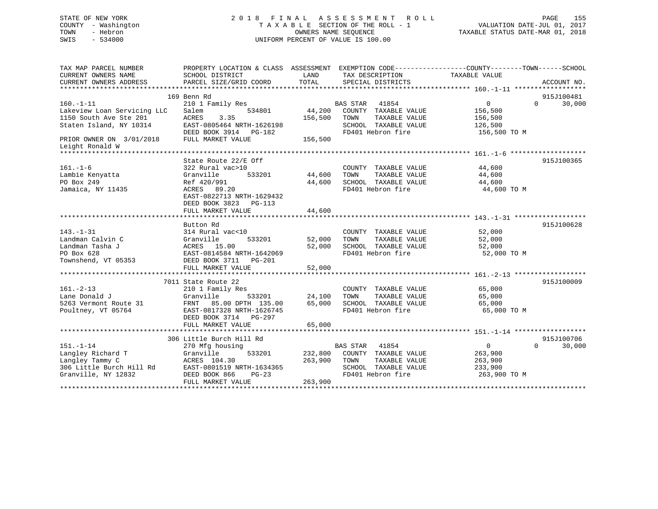## STATE OF NEW YORK 2 0 1 8 F I N A L A S S E S S M E N T R O L L PAGE 155 COUNTY - Washington T A X A B L E SECTION OF THE ROLL - 1 VALUATION DATE-JUL 01, 2017 TOWN - Hebron OWNERS NAME SEQUENCE TAXABLE STATUS DATE-MAR 01, 2018 SWIS - 534000 UNIFORM PERCENT OF VALUE IS 100.00

| TAX MAP PARCEL NUMBER       | PROPERTY LOCATION & CLASS ASSESSMENT EXEMPTION CODE----------------COUNTY-------TOWN-----SCHOOL |         |                          |                |                    |
|-----------------------------|-------------------------------------------------------------------------------------------------|---------|--------------------------|----------------|--------------------|
| CURRENT OWNERS NAME         | SCHOOL DISTRICT                                                                                 | LAND    | TAX DESCRIPTION          | TAXABLE VALUE  |                    |
| CURRENT OWNERS ADDRESS      | PARCEL SIZE/GRID COORD                                                                          | TOTAL   | SPECIAL DISTRICTS        |                | ACCOUNT NO.        |
|                             |                                                                                                 |         |                          |                |                    |
|                             | 169 Benn Rd                                                                                     |         |                          |                | 915J100481         |
| $160. - 1 - 11$             | 210 1 Family Res                                                                                |         | <b>BAS STAR</b><br>41854 | $\overline{0}$ | 30,000<br>$\Omega$ |
| Lakeview Loan Servicing LLC | 534801<br>Salem                                                                                 | 44,200  | COUNTY TAXABLE VALUE     | 156,500        |                    |
| 1150 South Ave Ste 201      | ACRES<br>3.35                                                                                   | 156,500 | TAXABLE VALUE<br>TOWN    | 156,500        |                    |
| Staten Island, NY 10314     | EAST-0805464 NRTH-1626198                                                                       |         | SCHOOL TAXABLE VALUE     | 126,500        |                    |
|                             | DEED BOOK 3914 PG-182                                                                           |         | FD401 Hebron fire        | 156,500 TO M   |                    |
| PRIOR OWNER ON 3/01/2018    | FULL MARKET VALUE                                                                               | 156,500 |                          |                |                    |
| Leight Ronald W             |                                                                                                 |         |                          |                |                    |
|                             |                                                                                                 |         |                          |                |                    |
|                             | State Route 22/E Off                                                                            |         |                          |                | 915J100365         |
| $161. - 1 - 6$              | 322 Rural vac>10                                                                                |         | COUNTY TAXABLE VALUE     | 44,600         |                    |
| Lambie Kenyatta             | Granville<br>533201                                                                             | 44,600  | TAXABLE VALUE<br>TOWN    | 44,600         |                    |
| PO Box 249                  | Ref 420/991                                                                                     | 44,600  | SCHOOL TAXABLE VALUE     | 44,600         |                    |
| Jamaica, NY 11435           | ACRES 89.20                                                                                     |         | FD401 Hebron fire        | 44,600 TO M    |                    |
|                             | EAST-0822713 NRTH-1629432                                                                       |         |                          |                |                    |
|                             | DEED BOOK 3823 PG-113                                                                           |         |                          |                |                    |
|                             | FULL MARKET VALUE                                                                               | 44,600  |                          |                |                    |
|                             |                                                                                                 |         |                          |                |                    |
|                             | Button Rd                                                                                       |         |                          |                | 915J100628         |
| $143. - 1 - 31$             | 314 Rural vac<10                                                                                |         | COUNTY TAXABLE VALUE     | 52,000         |                    |
| Landman Calvin C            | 533201<br>Granville                                                                             | 52,000  | TOWN<br>TAXABLE VALUE    | 52,000         |                    |
| Landman Tasha J             | ACRES 15.00                                                                                     | 52,000  | SCHOOL TAXABLE VALUE     | 52,000         |                    |
| PO Box 628                  | EAST-0814584 NRTH-1642069                                                                       |         | FD401 Hebron fire        | 52,000 TO M    |                    |
| Townshend, VT 05353         | DEED BOOK 3711 PG-201                                                                           |         |                          |                |                    |
|                             | FULL MARKET VALUE                                                                               | 52,000  |                          |                |                    |
|                             |                                                                                                 |         |                          |                |                    |
|                             | 7011 State Route 22                                                                             |         |                          |                | 915J100009         |
| $161. - 2 - 13$             | 210 1 Family Res                                                                                |         | COUNTY TAXABLE VALUE     | 65,000         |                    |
| Lane Donald J               | Granville<br>533201                                                                             | 24,100  | TOWN<br>TAXABLE VALUE    | 65,000         |                    |
| 5263 Vermont Route 31       | FRNT 85.00 DPTH 135.00                                                                          | 65,000  | SCHOOL TAXABLE VALUE     | 65,000         |                    |
| Poultney, VT 05764          | EAST-0817328 NRTH-1626745                                                                       |         | FD401 Hebron fire        | 65,000 TO M    |                    |
|                             | DEED BOOK 3714 PG-297                                                                           |         |                          |                |                    |
|                             | FULL MARKET VALUE                                                                               | 65,000  |                          |                |                    |
|                             |                                                                                                 |         |                          |                |                    |
|                             | 306 Little Burch Hill Rd                                                                        |         |                          |                | 915J100706         |
| $151. - 1 - 14$             | 270 Mfg housing                                                                                 |         | BAS STAR 41854           | $\overline{0}$ | 30,000<br>$\Omega$ |
| Langley Richard T           | 533201<br>Granville                                                                             | 232,800 | COUNTY TAXABLE VALUE     | 263,900        |                    |
| Langley Tammy C             | ACRES 104.30                                                                                    | 263,900 | TAXABLE VALUE<br>TOWN    | 263,900        |                    |
| 306 Little Burch Hill Rd    | EAST-0801519 NRTH-1634365                                                                       |         | SCHOOL TAXABLE VALUE     | 233,900        |                    |
| Granville, NY 12832         | DEED BOOK 866<br>$PG-23$                                                                        |         | FD401 Hebron fire        | 263,900 TO M   |                    |
|                             | FULL MARKET VALUE                                                                               | 263,900 |                          |                |                    |
|                             |                                                                                                 |         |                          |                |                    |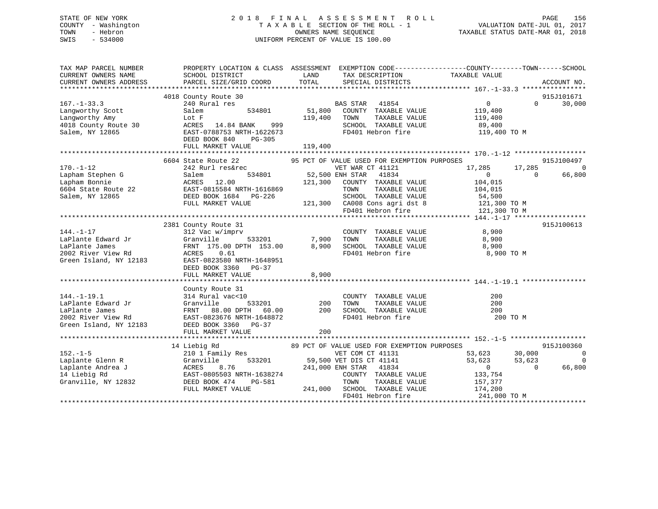## STATE OF NEW YORK 2 0 1 8 F I N A L A S S E S S M E N T R O L L PAGE 156 COUNTY - Washington T A X A B L E SECTION OF THE ROLL - 1 VALUATION DATE-JUL 01, 2017 TOWN - Hebron OWNERS NAME SEQUENCE TAXABLE STATUS DATE-MAR 01, 2018 SWIS - 534000 UNIFORM PERCENT OF VALUE IS 100.00

| TAX MAP PARCEL NUMBER<br>CURRENT OWNERS NAME<br>CURRENT OWNERS ADDRESS   | SCHOOL DISTRICT<br>PARCEL SIZE/GRID COORD                                                    | LAND<br>TAX DESCRIPTION<br>TOTAL<br>SPECIAL DISTRICTS              | PROPERTY LOCATION & CLASS ASSESSMENT EXEMPTION CODE---------------COUNTY-------TOWN-----SCHOOL<br>TAXABLE VALUE<br>ACCOUNT NO. |
|--------------------------------------------------------------------------|----------------------------------------------------------------------------------------------|--------------------------------------------------------------------|--------------------------------------------------------------------------------------------------------------------------------|
|                                                                          |                                                                                              |                                                                    |                                                                                                                                |
|                                                                          | 4018 County Route 30                                                                         |                                                                    | 915J101671                                                                                                                     |
| $167. - 1 - 33.3$                                                        | 240 Rural res                                                                                | BAS STAR<br>41854                                                  | 30,000<br>$\overline{0}$<br>$\Omega$                                                                                           |
| Langworthy Scott                                                         | Salem<br>534801                                                                              | 51,800<br>COUNTY TAXABLE VALUE                                     | 119,400                                                                                                                        |
| Langworthy Amy                                                           | Lot F                                                                                        | 119,400<br>TOWN<br>TAXABLE VALUE                                   | 119,400                                                                                                                        |
| 4018 County Route 30                                                     | ACRES 14.84 BANK<br>999                                                                      | SCHOOL TAXABLE VALUE                                               | 89,400                                                                                                                         |
| Salem, NY 12865                                                          | EAST-0788753 NRTH-1622673                                                                    | FD401 Hebron fire                                                  | 119,400 TO M                                                                                                                   |
|                                                                          | DEED BOOK 840<br>$PG-305$                                                                    |                                                                    |                                                                                                                                |
|                                                                          | FULL MARKET VALUE                                                                            | 119,400                                                            |                                                                                                                                |
|                                                                          |                                                                                              |                                                                    |                                                                                                                                |
|                                                                          | 6604 State Route 22                                                                          | 95 PCT OF VALUE USED FOR EXEMPTION PURPOSES                        | 915J100497                                                                                                                     |
| $170. - 1 - 12$                                                          | 242 Rurl res&rec                                                                             | VET WAR CT 41121                                                   | 17,285<br>17,285<br>$\overline{0}$                                                                                             |
| Lapham Stephen G                                                         | Salem                                                                                        | 534801 52,500 ENH STAR<br>41834                                    | 66,800<br>$\overline{0}$<br>$\Omega$                                                                                           |
|                                                                          | ACRES 12.00                                                                                  | 121,300<br>COUNTY TAXABLE VALUE                                    | 104,015                                                                                                                        |
|                                                                          | EAST-0815584 NRTH-1616869                                                                    | TOWN<br>TAXABLE VALUE                                              | 104,015                                                                                                                        |
| Lapham Stephen<br>Lapham Bonnie<br>6604 State Route 22<br>- ' - NV 12865 | DEED BOOK 1684 PG-226                                                                        |                                                                    |                                                                                                                                |
|                                                                          | FULL MARKET VALUE                                                                            |                                                                    | SCHOOL TAXABLE VALUE 54,500<br>CA008 Cons agri dst 8 121,300 TO M                                                              |
|                                                                          |                                                                                              | 121,300 CA008 Cons agri dst 8<br>FD401 Hebron fire                 | 121,300 TO M                                                                                                                   |
|                                                                          |                                                                                              |                                                                    |                                                                                                                                |
|                                                                          | 2381 County Route 31                                                                         |                                                                    | 915J100613                                                                                                                     |
| $144. - 1 - 17$                                                          | 312 Vac w/imprv                                                                              |                                                                    | 8,900                                                                                                                          |
| LaPlante Edward Jr                                                       | Granville                                                                                    | COUNTY TAXABLE VALUE<br>TOWN TAXABLE VALUE<br>533201 7,900<br>TOWN | 8,900                                                                                                                          |
| LaPlante James                                                           | FRNT 175.00 DPTH 153.00 8,900                                                                | SCHOOL TAXABLE VALUE                                               | 8,900                                                                                                                          |
| 2002 River View Rd                                                       | ACRES 0.61                                                                                   | FD401 Hebron fire                                                  | 8,900 TO M                                                                                                                     |
| Green Island, NY 12183                                                   | EAST-0823580 NRTH-1648951                                                                    |                                                                    |                                                                                                                                |
|                                                                          | DEED BOOK 3360 PG-37                                                                         |                                                                    |                                                                                                                                |
|                                                                          | FULL MARKET VALUE                                                                            | 8,900                                                              |                                                                                                                                |
|                                                                          |                                                                                              |                                                                    |                                                                                                                                |
|                                                                          | County Route 31                                                                              |                                                                    |                                                                                                                                |
| $144. - 1 - 19.1$                                                        | 314 Rural vac<10                                                                             | COUNTY TAXABLE VALUE                                               | 200                                                                                                                            |
| LaPlante Edward Jr                                                       | 533201<br>Granville                                                                          | 200<br>TAXABLE VALUE<br>TOWN                                       | 200                                                                                                                            |
| LaPlante James                                                           | FRNT                                                                                         | 200<br>SCHOOL TAXABLE VALUE                                        | 200                                                                                                                            |
| 2002 River View Rd                                                       | EAST-0823676 NRTH-1648872                                                                    | FD401 Hebron fire                                                  | 200 TO M                                                                                                                       |
| Green Island, NY 12183                                                   | DEED BOOK 3360 PG-37                                                                         |                                                                    |                                                                                                                                |
|                                                                          | FULL MARKET VALUE                                                                            | 200                                                                |                                                                                                                                |
|                                                                          |                                                                                              |                                                                    |                                                                                                                                |
|                                                                          | 14 Liebig Rd                                                                                 | 89 PCT OF VALUE USED FOR EXEMPTION PURPOSES                        | 915J100360                                                                                                                     |
| $152. - 1 - 5$                                                           | 210 1 Family Res                                                                             | VET COM CT 41131                                                   | 53,623<br>30,000<br>$\overline{0}$                                                                                             |
| Laplante Glenn R                                                         |                                                                                              | 533201 59,500 VET DIS CT 41141                                     | 53,623<br>53,623<br>$\Omega$                                                                                                   |
| Laplante Andrea J                                                        | 2 Granville 533201<br>J ACRES 8.76<br>EAST-0805503 NRTH-1638274<br>2832 DEED BOOK 474 PG-581 | 241,000 ENH STAR 41834                                             | $\overline{0}$<br>$\overline{0}$<br>66,800                                                                                     |
| 14 Liebig Rd                                                             |                                                                                              | COUNTY TAXABLE VALUE                                               | 133,754                                                                                                                        |
| Granville, NY 12832                                                      |                                                                                              | TOWN<br>TAXABLE VALUE                                              | 157,377                                                                                                                        |
|                                                                          | FULL MARKET VALUE                                                                            | 241,000 SCHOOL TAXABLE VALUE                                       | 174,200                                                                                                                        |
|                                                                          |                                                                                              | FD401 Hebron fire                                                  | 241,000 TO M                                                                                                                   |
|                                                                          |                                                                                              |                                                                    |                                                                                                                                |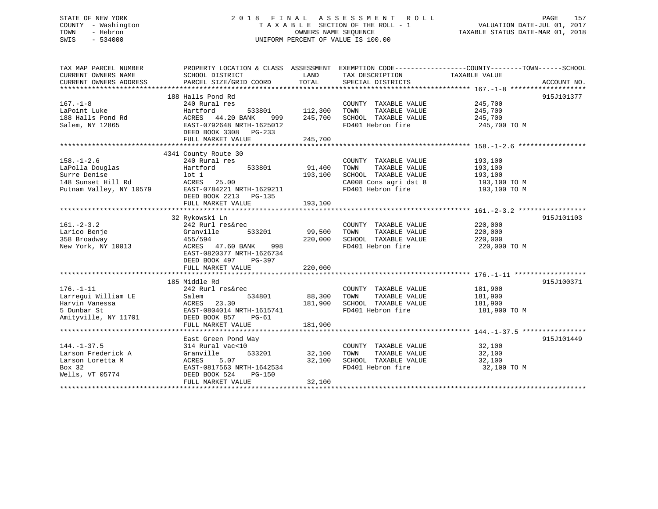## STATE OF NEW YORK 2 0 1 8 F I N A L A S S E S S M E N T R O L L PAGE 157 COUNTY - Washington T A X A B L E SECTION OF THE ROLL - 1 VALUATION DATE-JUL 01, 2017 TOWN - Hebron **CONNERS NAME SEQUENCE** TAXABLE STATUS DATE-MAR 01, 2018 SWIS - 534000 UNIFORM PERCENT OF VALUE IS 100.00

| TAX MAP PARCEL NUMBER              | PROPERTY LOCATION & CLASS ASSESSMENT EXEMPTION CODE----------------COUNTY-------TOWN------SCHOOL                                                            |               |                                            |               |            |
|------------------------------------|-------------------------------------------------------------------------------------------------------------------------------------------------------------|---------------|--------------------------------------------|---------------|------------|
| CURRENT OWNERS NAME                | SCHOOL DISTRICT                                                                                                                                             | LAND          | TAX DESCRIPTION                            | TAXABLE VALUE |            |
|                                    |                                                                                                                                                             |               |                                            |               |            |
|                                    |                                                                                                                                                             |               |                                            |               |            |
|                                    | 188 Halls Pond Rd                                                                                                                                           |               |                                            |               | 915J101377 |
| $167. - 1 - 8$                     | 240 Rural res                                                                                                                                               |               | COUNTY TAXABLE VALUE                       | 245,700       |            |
| LaPoint Luke                       | 533801 112,300<br>Hartford                                                                                                                                  |               | TOWN<br>TAXABLE VALUE                      | 245,700       |            |
|                                    |                                                                                                                                                             |               | SCHOOL TAXABLE VALUE                       | 245,700       |            |
|                                    |                                                                                                                                                             |               | FD401 Hebron fire                          | 245,700 TO M  |            |
|                                    | DEED BOOK 3308 PG-233                                                                                                                                       |               |                                            |               |            |
|                                    |                                                                                                                                                             |               |                                            |               |            |
|                                    |                                                                                                                                                             |               |                                            |               |            |
|                                    | 4341 County Route 30                                                                                                                                        |               |                                            |               |            |
| $158. - 1 - 2.6$                   | 240 Rural res                                                                                                                                               |               | COUNTY TAXABLE VALUE                       | 193,100       |            |
|                                    | res<br>533801 91,400                                                                                                                                        |               | TAXABLE VALUE<br>TOWN                      | 193,100       |            |
|                                    |                                                                                                                                                             | 193,100       | SCHOOL TAXABLE VALUE                       | 193,100       |            |
|                                    |                                                                                                                                                             |               |                                            | 193,100 TO M  |            |
|                                    |                                                                                                                                                             |               | CA008 Cons agri dst 8<br>FD401 Hebron fire | 193,100 TO M  |            |
|                                    | DEED BOOK 2213<br>PG-135                                                                                                                                    |               |                                            |               |            |
|                                    | FULL MARKET VALUE                                                                                                                                           | 193,100       |                                            |               |            |
|                                    |                                                                                                                                                             |               |                                            |               |            |
|                                    |                                                                                                                                                             |               |                                            |               | 915J101103 |
| $161. - 2 - 3.2$                   | 32 Rykowski Ln<br>242 Rurl res&rec                                                                                                                          |               | COUNTY TAXABLE VALUE 220,000               |               |            |
|                                    |                                                                                                                                                             | 99,500        |                                            | 220,000       |            |
| Larico Benje                       |                                                                                                                                                             |               | TOWN<br>TAXABLE VALUE                      |               |            |
| 358 Broadway<br>New York, NY 10013 | Granville 533201<br>455/594<br>113 ACRES 47.60 BANK 998                                                                                                     |               | 220,000 SCHOOL TAXABLE VALUE               | 220,000       |            |
|                                    |                                                                                                                                                             |               | FD401 Hebron fire                          | 220,000 TO M  |            |
|                                    | EAST-0820377 NRTH-1626734                                                                                                                                   |               |                                            |               |            |
|                                    | DEED BOOK 497 PG-397                                                                                                                                        |               |                                            |               |            |
|                                    |                                                                                                                                                             |               |                                            |               |            |
|                                    |                                                                                                                                                             |               |                                            |               |            |
|                                    | 185 Middle Rd                                                                                                                                               |               |                                            |               | 915J100371 |
| $176. - 1 - 11$                    | 242 Rurl res&rec                                                                                                                                            |               | COUNTY TAXABLE VALUE 181,900               |               |            |
| Larregui William LE                | 534801 88,300<br>Salem                                                                                                                                      |               | TAXABLE VALUE<br>TOWN                      | 181,900       |            |
| Harvin Vanessa                     | ACRES 23.30<br>EAST-0804014 NRTH-1615741                                                                                                                    | 181,900       | SCHOOL TAXABLE VALUE                       | 181,900       |            |
| 5 Dunbar St                        |                                                                                                                                                             |               | FD401 Hebron fire                          | 181,900 TO M  |            |
| Amityville, NY 11701 DEED BOOK 857 | PG-61                                                                                                                                                       |               |                                            |               |            |
|                                    | FULL MARKET VALUE                                                                                                                                           | 181,900       |                                            |               |            |
|                                    |                                                                                                                                                             |               |                                            |               |            |
|                                    | East Green Pond Way                                                                                                                                         |               |                                            |               | 915J101449 |
| $144. - 1 - 37.5$                  | 314 Rural vac<10                                                                                                                                            |               | COUNTY TAXABLE VALUE 32,100                |               |            |
|                                    | 144.-1-37.5<br>Larson Frederick A (1997)<br>Larson Loretta M (1997)<br>Pox 32,100<br>Rox 32 (1998)<br>EAST-0817563 NRTH-1642534<br>Pox 32,100<br>Pox 32,100 | 533201 32,100 | TOWN<br>TAXABLE VALUE                      | 32,100        |            |
|                                    |                                                                                                                                                             |               | 32,100 SCHOOL TAXABLE VALUE                | 32,100        |            |
|                                    |                                                                                                                                                             |               | FD401 Hebron fire                          | 32,100 TO M   |            |
| Wells, VT 05774 DEED BOOK 524      | PG-150                                                                                                                                                      |               |                                            |               |            |
|                                    | FULL MARKET VALUE                                                                                                                                           | 32,100        |                                            |               |            |
|                                    |                                                                                                                                                             |               |                                            |               |            |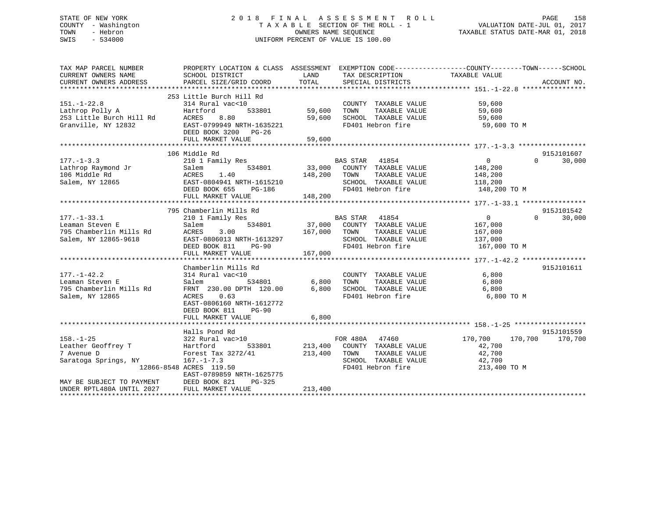## STATE OF NEW YORK 2 0 1 8 F I N A L A S S E S S M E N T R O L L PAGE 158 COUNTY - Washington T A X A B L E SECTION OF THE ROLL - 1 VALUATION DATE-JUL 01, 2017 TOWN - Hebron OWNERS NAME SEQUENCE TAXABLE STATUS DATE-MAR 01, 2018 SWIS - 534000 UNIFORM PERCENT OF VALUE IS 100.00

| TAX MAP PARCEL NUMBER<br>CURRENT OWNERS NAME<br>CURRENT OWNERS ADDRESS                                   | PROPERTY LOCATION & CLASS ASSESSMENT<br>SCHOOL DISTRICT<br>PARCEL SIZE/GRID COORD                                                                                                    | LAND<br>TOTAL                | TAX DESCRIPTION<br>SPECIAL DISTRICTS                                                                            | EXEMPTION CODE-----------------COUNTY-------TOWN------SCHOOL<br>TAXABLE VALUE | ACCOUNT NO.          |
|----------------------------------------------------------------------------------------------------------|--------------------------------------------------------------------------------------------------------------------------------------------------------------------------------------|------------------------------|-----------------------------------------------------------------------------------------------------------------|-------------------------------------------------------------------------------|----------------------|
| $151. - 1 - 22.8$<br>Lathrop Polly A<br>253 Little Burch Hill Rd<br>Granville, NY 12832                  | 253 Little Burch Hill Rd<br>314 Rural vac<10<br>Hartford<br>533801<br>ACRES<br>8.80<br>EAST-0799949 NRTH-1635221<br>DEED BOOK 3200 PG-26<br>FULL MARKET VALUE                        | 59,600<br>59,600<br>59,600   | COUNTY TAXABLE VALUE<br>TOWN<br>TAXABLE VALUE<br>SCHOOL TAXABLE VALUE<br>FD401 Hebron fire                      | 59,600<br>59,600<br>59,600<br>59,600 TO M                                     |                      |
|                                                                                                          |                                                                                                                                                                                      |                              |                                                                                                                 |                                                                               |                      |
| $177. - 1 - 3.3$<br>Lathrop Raymond Jr<br>106 Middle Rd<br>Salem, NY 12865                               | 106 Middle Rd<br>210 1 Family Res<br>534801<br>Salem<br>ACRES<br>1.40<br>EAST-0804941 NRTH-1615210<br>DEED BOOK 655<br>PG-186<br>FULL MARKET VALUE                                   | 33,000<br>148,200<br>148,200 | BAS STAR 41854<br>COUNTY TAXABLE VALUE<br>TOWN<br>TAXABLE VALUE<br>SCHOOL TAXABLE VALUE<br>FD401 Hebron fire    | $\overline{0}$<br>$\Omega$<br>148,200<br>148,200<br>118,200<br>148,200 TO M   | 915J101607<br>30,000 |
|                                                                                                          |                                                                                                                                                                                      |                              |                                                                                                                 |                                                                               |                      |
|                                                                                                          | 795 Chamberlin Mills Rd                                                                                                                                                              |                              |                                                                                                                 |                                                                               | 915J101542           |
| $177. - 1 - 33.1$<br>Leaman Steven E<br>795 Chamberlin Mills Rd<br>Salem, NY 12865-9618                  | 210 1 Family Res<br>534801<br>Salem<br>ACRES<br>3.00<br>EAST-0806013 NRTH-1613297<br>DEED BOOK 811<br><b>PG-90</b><br>FULL MARKET VALUE                                              | 37,000<br>167,000<br>167,000 | BAS STAR<br>41854<br>COUNTY TAXABLE VALUE<br>TAXABLE VALUE<br>TOWN<br>SCHOOL TAXABLE VALUE<br>FD401 Hebron fire | $\Omega$<br>$\overline{0}$<br>167,000<br>167,000<br>137,000<br>167,000 TO M   | 30,000               |
|                                                                                                          |                                                                                                                                                                                      |                              |                                                                                                                 |                                                                               |                      |
| $177. - 1 - 42.2$<br>Leaman Steven E<br>795 Chamberlin Mills Rd<br>Salem, NY 12865                       | Chamberlin Mills Rd<br>314 Rural vac<10<br>Salem<br>534801<br>FRNT 230.00 DPTH 120.00<br>ACRES<br>0.63<br>EAST-0806160 NRTH-1612772<br>DEED BOOK 811<br>$PG-90$<br>FULL MARKET VALUE | 6,800<br>6,800<br>6,800      | COUNTY TAXABLE VALUE<br>TAXABLE VALUE<br>TOWN<br>SCHOOL TAXABLE VALUE<br>FD401 Hebron fire                      | 6,800<br>6,800<br>6,800<br>6,800 TO M                                         | 915J101611           |
|                                                                                                          | Halls Pond Rd                                                                                                                                                                        |                              |                                                                                                                 |                                                                               | 915J101559           |
| $158. - 1 - 25$<br>Leather Geoffrey T<br>7 Avenue D<br>Saratoga Springs, NY<br>MAY BE SUBJECT TO PAYMENT | 322 Rural vac>10<br>533801<br>Hartford<br>Forest Tax 3272/41<br>$167. - 1 - 7.3$<br>12866-8548 ACRES 119.50<br>EAST-0789859 NRTH-1625775<br>DEED BOOK 821<br>PG-325                  | 213,400<br>213,400           | FOR 480A 47460<br>COUNTY TAXABLE VALUE<br>TOWN<br>TAXABLE VALUE<br>SCHOOL TAXABLE VALUE<br>FD401 Hebron fire    | 170,700<br>170,700<br>42,700<br>42,700<br>42,700<br>213,400 TO M              | 170,700              |
| UNDER RPTL480A UNTIL 2027                                                                                | FULL MARKET VALUE                                                                                                                                                                    | 213,400                      |                                                                                                                 |                                                                               |                      |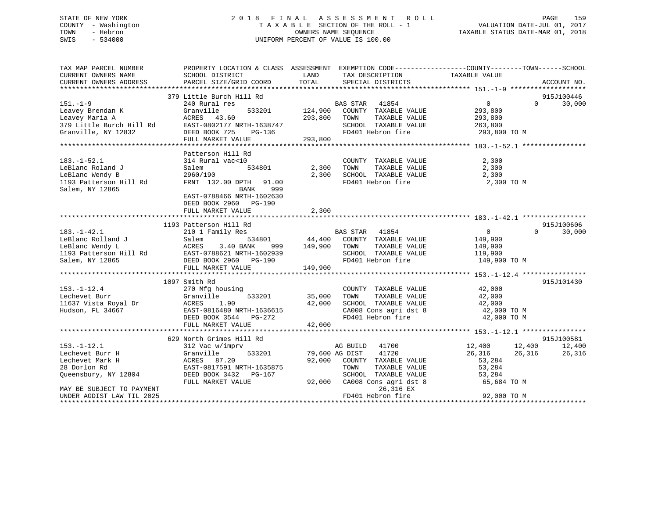## STATE OF NEW YORK 2 0 1 8 F I N A L A S S E S S M E N T R O L L PAGE 159 COUNTY - Washington T A X A B L E SECTION OF THE ROLL - 1 VALUATION DATE-JUL 01, 2017 TOWN - Hebron OWNERS NAME SEQUENCE TAXABLE STATUS DATE-MAR 01, 2018 SWIS - 534000 UNIFORM PERCENT OF VALUE IS 100.00

| TAX MAP PARCEL NUMBER<br>CURRENT OWNERS NAME<br>CURRENT OWNERS ADDRESS                                                                                    | SCHOOL DISTRICT<br>PARCEL SIZE/GRID COORD                                                                                                                                                     | LAND<br>TAX DESCRIPTION<br>TOTAL<br>SPECIAL DISTRICTS                                                                                                                                                                                                                                                                                                                     | PROPERTY LOCATION & CLASS ASSESSMENT EXEMPTION CODE---------------COUNTY-------TOWN-----SCHOOL<br>TAXABLE VALUE<br>ACCOUNT NO.              |
|-----------------------------------------------------------------------------------------------------------------------------------------------------------|-----------------------------------------------------------------------------------------------------------------------------------------------------------------------------------------------|---------------------------------------------------------------------------------------------------------------------------------------------------------------------------------------------------------------------------------------------------------------------------------------------------------------------------------------------------------------------------|---------------------------------------------------------------------------------------------------------------------------------------------|
| $151. - 1 - 9$<br>Leavey Brendan K<br>Leavey Maria A                                                                                                      | 379 Little Burch Hill Rd<br>240 Rural res<br>Granville<br>ACRES 43.60<br>379 Little Burch Hill Rd<br>ST-0802177 NRTH-1638747<br>Granville, NY 12832 DEED BOOK 725 PG-136<br>FULL MARKET VALUE | $\overline{\text{BAS}}$ $\overline{\text{S1AR}}$ $\overline{\text{A1854}}$<br>533201 124,900 COUNTY TAXABLE VALUE<br>293,800 TOWN<br>TAXABLE VALUE<br>SCHOOL TAXABLE VALUE 263,800<br>FD401 Hebron fire 293,800 TO M<br>293,800                                                                                                                                           | 915J100446<br>$\overline{0}$<br>$\Omega$<br>30,000<br>293,800<br>293,800                                                                    |
| $183. - 1 - 52.1$<br>LeBlanc Roland J<br>LeBlanc Wendy B<br>1193 Patterson Hill Rd<br>Salem, NY 12865                                                     | Patterson Hill Rd<br>314 Rural vac<10<br>Salem<br>534801<br>2960/190<br>FRNT 132.00 DPTH 91.00<br>999<br>BANK<br>EAST-0788466 NRTH-1602630<br>DEED BOOK 2960 PG-190<br>FULL MARKET VALUE      | COUNTY TAXABLE VALUE<br>TAXABLE VALUE<br>2,300 TOWN<br>2,300<br>SCHOOL TAXABLE VALUE<br>FD401 Hebron fire<br>2,300                                                                                                                                                                                                                                                        | 2,300<br>2,300<br>2,300<br>2,300 TO M                                                                                                       |
| $183. - 1 - 42.1$<br>LeBlanc Rolland J                                                                                                                    | 1193 Patterson Hill Rd<br>210 1 Family Res<br>Salem                                                                                                                                           | <b>BAS STAR 41854</b><br>534801 44,400 COUNTY TAXABLE VALUE 149,900<br>LeBlanc Wendy L<br>LeBlanc Wendy L<br>1193 Patterson Hill Rd<br>Salem, NY 12865 CEULL MARKET VALUE<br>FULL MARKET VALUE<br>FULL MARKET VALUE<br>FULL MARKET VALUE<br>149,900<br>2960 PG-190<br>2960 PG-190<br>297<br>297<br>297<br>297<br>297<br>297<br>297<br>2<br>FD401 Hebron fire 149,900 TO M | 915J100606<br>30,000<br>$\overline{0}$<br>$\Omega$<br>149,900<br>119,900                                                                    |
| $153. - 1 - 12.4$<br>Lechevet Burr<br>11637 Vista Royal Dr<br>Hudson, FL 34667                                                                            | 1097 Smith Rd<br>270 Mfg housing<br>270 Mf<br>Granvi<br>ACRES<br>533201 35,000<br>Granville<br>1.90<br>EAST-0816480 NRTH-1636615<br>DEED BOOK 3544 PG-272<br>FULL MARKET VALUE                | COUNTY TAXABLE VALUE 42,000<br>TOWN      TAXABLE VALUE<br>SCHOOL   TAXABLE VALUE<br>42,000<br>CA008 Cons agri dst 8 42,000 TO M<br>FD401 Hebron fire<br>42,000                                                                                                                                                                                                            | 915J101430<br>42,000<br>42,000<br>42,000 TO M                                                                                               |
| $153. - 1 - 12.1$<br>Lechevet Burr H<br>Lechevet Mark H<br>28 Dorlon Rd<br>Queensbury, NY 12804<br>MAY BE SUBJECT TO PAYMENT<br>UNDER AGDIST LAW TIL 2025 | 629 North Grimes Hill Rd<br>312 Vac w/imprv<br>Granville<br>533201<br>ACRES 87.20<br>EAST-0817591 NRTH-1635875<br>DEED BOOK 3432 PG-167<br>FULL MARKET VALUE                                  | AG BUILD 41700<br>79,600 AG DIST<br>92,000 COUNTY TAXABLE VALUE<br>TAXABLE VALUE<br>TOWN<br>SCHOOL TAXABLE VALUE<br>92,000 CA008 Cons agri dst 8<br>26,316 EX<br>FD401 Hebron fire                                                                                                                                                                                        | 915J100581<br>12,400 12,400<br>26,316 26,316<br>12,400<br>26,316<br>$\frac{1}{53}$ , 284<br>53, 284<br>53,284<br>65,684 TO M<br>92,000 TO M |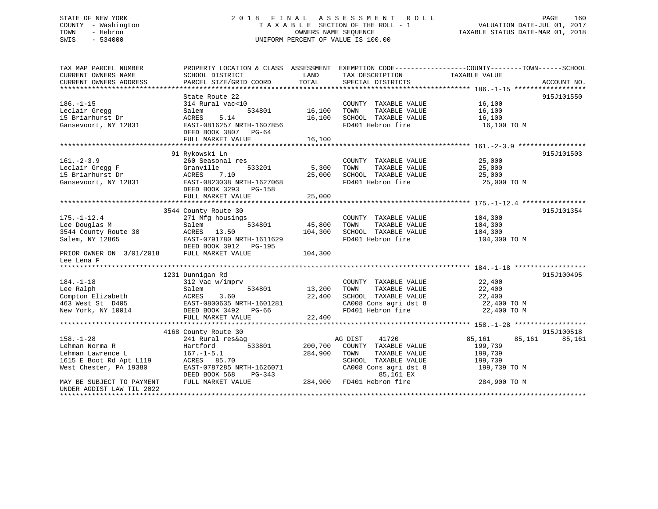## STATE OF NEW YORK 2 0 1 8 F I N A L A S S E S S M E N T R O L L PAGE 160 COUNTY - Washington T A X A B L E SECTION OF THE ROLL - 1 VALUATION DATE-JUL 01, 2017 TOWN - Hebron OWNERS NAME SEQUENCE TAXABLE STATUS DATE-MAR 01, 2018 SWIS - 534000 UNIFORM PERCENT OF VALUE IS 100.00

| TAX MAP PARCEL NUMBER     | PROPERTY LOCATION & CLASS ASSESSMENT EXEMPTION CODE---------------COUNTY-------TOWN-----SCHOOL |         |                           |                                |             |
|---------------------------|------------------------------------------------------------------------------------------------|---------|---------------------------|--------------------------------|-------------|
| CURRENT OWNERS NAME       | SCHOOL DISTRICT                                                                                | LAND    | TAX DESCRIPTION           | TAXABLE VALUE                  |             |
| CURRENT OWNERS ADDRESS    | PARCEL SIZE/GRID COORD                                                                         | TOTAL   | SPECIAL DISTRICTS         |                                | ACCOUNT NO. |
|                           |                                                                                                |         |                           |                                |             |
|                           | State Route 22                                                                                 |         |                           |                                | 915J101550  |
| $186. - 1 - 15$           | 314 Rural vac<10                                                                               |         | COUNTY TAXABLE VALUE      | 16,100                         |             |
| Leclair Gregg             | 534801<br>Salem                                                                                | 16,100  | TAXABLE VALUE<br>TOWN     | 16,100                         |             |
| 15 Briarhurst Dr          | ACRES<br>5.14                                                                                  | 16,100  | SCHOOL TAXABLE VALUE      | 16,100                         |             |
| Gansevoort, NY 12831      | EAST-0816257 NRTH-1607856                                                                      |         | FD401 Hebron fire         | 16,100 TO M                    |             |
|                           | DEED BOOK 3807 PG-64                                                                           |         |                           |                                |             |
|                           | FULL MARKET VALUE                                                                              | 16,100  |                           |                                |             |
|                           |                                                                                                |         |                           |                                |             |
|                           | 91 Rykowski Ln                                                                                 |         |                           |                                | 915J101503  |
| $161. - 2 - 3.9$          | 260 Seasonal res                                                                               |         | COUNTY TAXABLE VALUE      | 25,000                         |             |
| Leclair Gregg F           | 533201<br>Granville                                                                            | 5,300   | TOWN<br>TAXABLE VALUE     | 25,000                         |             |
| 15 Briarhurst Dr          | ACRES<br>7.10                                                                                  | 25,000  | SCHOOL TAXABLE VALUE      | 25,000                         |             |
|                           | EAST-0823038 NRTH-1627068                                                                      |         | FD401 Hebron fire         | 25,000 TO M                    |             |
| Gansevoort, NY 12831      |                                                                                                |         |                           |                                |             |
|                           | DEED BOOK 3293 PG-158                                                                          |         |                           |                                |             |
|                           | FULL MARKET VALUE                                                                              | 25,000  |                           |                                |             |
|                           |                                                                                                |         |                           |                                |             |
|                           | 3544 County Route 30                                                                           |         |                           |                                | 915J101354  |
| $175. - 1 - 12.4$         | 271 Mfg housings                                                                               |         | COUNTY TAXABLE VALUE      | 104,300                        |             |
| Lee Douglas M             | 534801<br>Salem                                                                                | 45,800  | TOWN<br>TAXABLE VALUE     | 104,300                        |             |
| 3544 County Route 30      | ACRES 13.50                                                                                    | 104,300 | SCHOOL TAXABLE VALUE      | 104,300                        |             |
| Salem, NY 12865           | EAST-0791780 NRTH-1611629                                                                      |         | FD401 Hebron fire         | 104,300 TO M                   |             |
|                           | DEED BOOK 3912 PG-195                                                                          |         |                           |                                |             |
| PRIOR OWNER ON 3/01/2018  | FULL MARKET VALUE                                                                              | 104,300 |                           |                                |             |
| Lee Lena F                |                                                                                                |         |                           |                                |             |
|                           |                                                                                                |         |                           |                                |             |
|                           | 1231 Dunnigan Rd                                                                               |         |                           |                                | 915J100495  |
| $184. - 1 - 18$           | 312 Vac w/imprv                                                                                |         | COUNTY TAXABLE VALUE      | 22,400                         |             |
| Lee Ralph                 | 534801<br>Salem                                                                                | 13,200  | TOWN<br>TAXABLE VALUE     | 22,400                         |             |
| Compton Elizabeth         | 3.60<br>ACRES                                                                                  | 22,400  | SCHOOL TAXABLE VALUE      | 22,400                         |             |
| 463 West St D405          | EAST-0800635 NRTH-1601281                                                                      |         | CA008 Cons agri dst 8     | $22,400$ TO M<br>$22,400$ TO M |             |
| New York, NY 10014        | DEED BOOK 3492 PG-66                                                                           |         | FD401 Hebron fire         | 22,400 TO M                    |             |
|                           | FULL MARKET VALUE                                                                              | 22,400  |                           |                                |             |
|                           |                                                                                                |         |                           |                                |             |
|                           | 4168 County Route 30                                                                           |         |                           |                                | 915J100518  |
| $158. - 1 - 28$           | 241 Rural res&ag                                                                               |         | 41720<br>AG DIST          | 85,161<br>85,161               | 85,161      |
| Lehman Norma R            | 533801<br>Hartford                                                                             | 200,700 | COUNTY TAXABLE VALUE      | 199,739                        |             |
| Lehman Lawrence L         | $167. - 1 - 5.1$                                                                               | 284,900 | TAXABLE VALUE<br>TOWN     | 199,739                        |             |
| 1615 E Boot Rd Apt L119   | ACRES 85.70                                                                                    |         | SCHOOL TAXABLE VALUE      | 199,739                        |             |
| West Chester, PA 19380    | EAST-0787285 NRTH-1626071                                                                      |         | CA008 Cons agri dst 8     | 199,739 TO M                   |             |
|                           | DEED BOOK 568<br>PG-343                                                                        |         | 85,161 EX                 |                                |             |
| MAY BE SUBJECT TO PAYMENT | FULL MARKET VALUE                                                                              |         | 284,900 FD401 Hebron fire | 284,900 TO M                   |             |
| UNDER AGDIST LAW TIL 2022 |                                                                                                |         |                           |                                |             |
|                           |                                                                                                |         |                           |                                |             |
|                           |                                                                                                |         |                           |                                |             |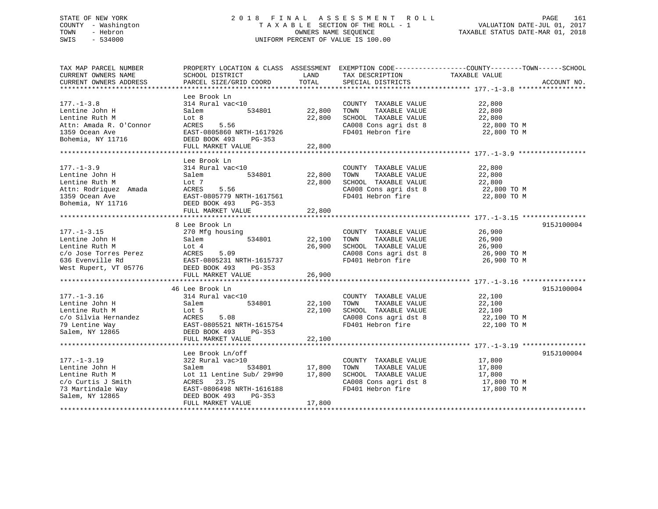## STATE OF NEW YORK 2 0 1 8 F I N A L A S S E S S M E N T R O L L PAGE 161 COUNTY - Washington T A X A B L E SECTION OF THE ROLL - 1 VALUATION DATE-JUL 01, 2017 TOWN - Hebron OWNERS NAME SEQUENCE TAXABLE STATUS DATE-MAR 01, 2018 SWIS - 534000 UNIFORM PERCENT OF VALUE IS 100.00

TAX MAP PARCEL NUMBER PROPERTY LOCATION & CLASS ASSESSMENT EXEMPTION CODE------------------COUNTY--------TOWN------SCHOOL CURRENT OWNERS NAME SCHOOL DISTRICT LAND TAX DESCRIPTION TAXABLE VALUE CURRENT OWNERS ADDRESS PARCEL SIZE/GRID COORD TOTAL SPECIAL DISTRICTS ACCOUNT NO. \*\*\*\*\*\*\*\*\*\*\*\*\*\*\*\*\*\*\*\*\*\*\*\*\*\*\*\*\*\*\*\*\*\*\*\*\*\*\*\*\*\*\*\*\*\*\*\*\*\*\*\*\*\*\*\*\*\*\*\*\*\*\*\*\*\*\*\*\*\*\*\*\*\*\*\*\*\*\*\*\*\*\*\*\*\*\*\*\*\*\*\*\*\*\*\*\*\*\*\*\*\*\* 177.-1-3.8 \*\*\*\*\*\*\*\*\*\*\*\*\*\*\*\*\* Lee Brook Ln177.-1-3.8 314 Rural vac<10 COUNTY TAXABLE VALUE 22,800 Lentine John H Salem 534801 22,800 TOWN TAXABLE VALUE 22,800 Lentine Ruth M Lot 8 22,800 SCHOOL TAXABLE VALUE 22,800 Attn: Amada R. O'Connor ACRES 5.56 CA008 Cons agri dst 8 22,800 TO M 1359 Ocean Ave EAST-0805860 NRTH-1617926 FD401 Hebron fire 22,800 TO M Bohemia, NY 11716 DEED BOOK 493 PG-353 FULL MARKET VALUE 22,800 \*\*\*\*\*\*\*\*\*\*\*\*\*\*\*\*\*\*\*\*\*\*\*\*\*\*\*\*\*\*\*\*\*\*\*\*\*\*\*\*\*\*\*\*\*\*\*\*\*\*\*\*\*\*\*\*\*\*\*\*\*\*\*\*\*\*\*\*\*\*\*\*\*\*\*\*\*\*\*\*\*\*\*\*\*\*\*\*\*\*\*\*\*\*\*\*\*\*\*\*\*\*\* 177.-1-3.9 \*\*\*\*\*\*\*\*\*\*\*\*\*\*\*\*\* Lee Brook Ln177.-1-3.9 314 Rural vac<10 COUNTY TAXABLE VALUE 22,800 Lentine John H Salem 534801 22,800 TOWN TAXABLE VALUE 22,800 Lentine Ruth M Lot 7 22,800 SCHOOL TAXABLE VALUE 22,800 Attn: Rodriquez Amada ACRES 5.56 CA008 Cons agri dst 8 22,800 TO M 1359 Ocean Ave EAST-0805779 NRTH-1617561 FD401 Hebron fire 22,800 TO M Bohemia, NY 11716 DEED BOOK 493 PG-353 FULL MARKET VALUE 22,800 \*\*\*\*\*\*\*\*\*\*\*\*\*\*\*\*\*\*\*\*\*\*\*\*\*\*\*\*\*\*\*\*\*\*\*\*\*\*\*\*\*\*\*\*\*\*\*\*\*\*\*\*\*\*\*\*\*\*\*\*\*\*\*\*\*\*\*\*\*\*\*\*\*\*\*\*\*\*\*\*\*\*\*\*\*\*\*\*\*\*\*\*\*\*\*\*\*\*\*\*\*\*\* 177.-1-3.15 \*\*\*\*\*\*\*\*\*\*\*\*\*\*\*\* 8 Lee Brook Ln 915J100004177.-1-3.15 270 Mfg housing COUNTY TAXABLE VALUE 26,900 Lentine John H Salem 534801 22,100 TOWN TAXABLE VALUE 26,900 Lentine Ruth M Lot 4 26,900 SCHOOL TAXABLE VALUE 26,900 c/o Jose Torres Perez ACRES 5.09 CA008 Cons agri dst 8 26,900 TO M 636 Evenville Rd EAST-0805231 NRTH-1615737 FD401 Hebron fire 26,900 TO M West Rupert, VT 05776 DEED BOOK 493 PG-353 FULL MARKET VALUE 26,900 \*\*\*\*\*\*\*\*\*\*\*\*\*\*\*\*\*\*\*\*\*\*\*\*\*\*\*\*\*\*\*\*\*\*\*\*\*\*\*\*\*\*\*\*\*\*\*\*\*\*\*\*\*\*\*\*\*\*\*\*\*\*\*\*\*\*\*\*\*\*\*\*\*\*\*\*\*\*\*\*\*\*\*\*\*\*\*\*\*\*\*\*\*\*\*\*\*\*\*\*\*\*\* 177.-1-3.16 \*\*\*\*\*\*\*\*\*\*\*\*\*\*\*\* 46 Lee Brook Ln 915J100004177.-1-3.16 314 Rural vac<10 COUNTY TAXABLE VALUE 22,100 Lentine John H Salem 534801 22,100 TOWN TAXABLE VALUE 22,100 Lentine Ruth M Lot 5 22,100<br>
22,100 SCHOOL TAXABLE VALUE 22,100<br>
22,100 SCHOOL TAXABLE VALUE 22,100<br>
22,100 SCHOOL TAXABLE VALUE<br>
22,100 SCHOOL TAXABLE VALUE<br>
22,100 SCHOOL TAXABLE VALUE c/o Silvia Hernandez ACRES 5.08 CA008 Cons agri dst 8 22,100 TO M 79 Lentine Way  $EAST-0805521 NRTH-1615754$ Salem, NY 12865 DEED BOOK 493 PG-353 FULL MARKET VALUE 22,100 \*\*\*\*\*\*\*\*\*\*\*\*\*\*\*\*\*\*\*\*\*\*\*\*\*\*\*\*\*\*\*\*\*\*\*\*\*\*\*\*\*\*\*\*\*\*\*\*\*\*\*\*\*\*\*\*\*\*\*\*\*\*\*\*\*\*\*\*\*\*\*\*\*\*\*\*\*\*\*\*\*\*\*\*\*\*\*\*\*\*\*\*\*\*\*\*\*\*\*\*\*\*\* 177.-1-3.19 \*\*\*\*\*\*\*\*\*\*\*\*\*\*\*\* Lee Brook Ln/off 915J100004 177.-1-3.19 322 Rural vac>10 COUNTY TAXABLE VALUE 17,800 Lentine John H Salem 534801 17,800 TOWN TAXABLE VALUE 17,800 Lentine Ruth M Lot 11 Lentine Sub/ 29#90 17,800 SCHOOL TAXABLE VALUE 17,800 c/o Curtis J Smith ACRES 23.75 CA008 Cons agri dst 8 17,800 TO M EAST-0806498 NRTH-1616188 Salem, NY 12865 DEED BOOK 493 PG-353 FULL MARKET VALUE 17,800 \*\*\*\*\*\*\*\*\*\*\*\*\*\*\*\*\*\*\*\*\*\*\*\*\*\*\*\*\*\*\*\*\*\*\*\*\*\*\*\*\*\*\*\*\*\*\*\*\*\*\*\*\*\*\*\*\*\*\*\*\*\*\*\*\*\*\*\*\*\*\*\*\*\*\*\*\*\*\*\*\*\*\*\*\*\*\*\*\*\*\*\*\*\*\*\*\*\*\*\*\*\*\*\*\*\*\*\*\*\*\*\*\*\*\*\*\*\*\*\*\*\*\*\*\*\*\*\*\*\*\*\*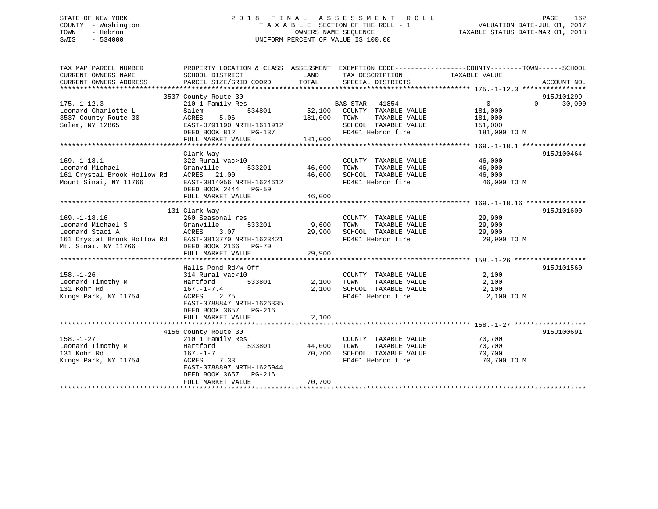## STATE OF NEW YORK 2 0 1 8 F I N A L A S S E S S M E N T R O L L PAGE 162 COUNTY - Washington T A X A B L E SECTION OF THE ROLL - 1 VALUATION DATE-JUL 01, 2017 TOWN - Hebron OWNERS NAME SEQUENCE TAXABLE STATUS DATE-MAR 01, 2018 SWIS - 534000 UNIFORM PERCENT OF VALUE IS 100.00

| TAX MAP PARCEL NUMBER                                         | PROPERTY LOCATION & CLASS ASSESSMENT EXEMPTION CODE----------------COUNTY-------TOWN------SCHOOL |                        |                                                        |                |                    |
|---------------------------------------------------------------|--------------------------------------------------------------------------------------------------|------------------------|--------------------------------------------------------|----------------|--------------------|
| CURRENT OWNERS NAME                                           | SCHOOL DISTRICT                                                                                  | <b>Example 12</b> LAND | TAX DESCRIPTION                                        | TAXABLE VALUE  |                    |
| CURRENT OWNERS ADDRESS                                        | PARCEL SIZE/GRID COORD TOTAL                                                                     |                        | SPECIAL DISTRICTS                                      |                | ACCOUNT NO.        |
|                                                               | 3537 County Route 30                                                                             |                        |                                                        |                | 915J101299         |
| $175. - 1 - 12.3$                                             | 210 1 Family Res                                                                                 |                        |                                                        | $\overline{0}$ | 30,000<br>$\Omega$ |
| Leonard Charlotte L                                           | s<br>534801<br>Salem                                                                             |                        | BAS STAR 41854<br>52,100 COUNTY TAXABLE VALUE          | 181,000        |                    |
| 3537 County Route 30                                          | ACRES<br>5.06                                                                                    | 181,000 TOWN           | TAXABLE VALUE                                          | 181,000        |                    |
| Salem, NY 12865                                               | EAST-0791190 NRTH-1611912                                                                        |                        |                                                        | 151,000        |                    |
|                                                               | DEED BOOK 812 PG-137                                                                             |                        | SCHOOL TAXABLE VALUE<br>FD401 Hebron fire              | 181,000 TO M   |                    |
|                                                               | FULL MARKET VALUE                                                                                | 181,000                |                                                        |                |                    |
|                                                               |                                                                                                  |                        |                                                        |                |                    |
|                                                               | Clark Way                                                                                        |                        |                                                        |                | 915J100464         |
| $169. - 1 - 18.1$                                             | 322 Rural vac>10                                                                                 | $46,000$ TOWN          | COUNTY TAXABLE VALUE 46,000                            |                |                    |
| Leonard Michael                                               | Granville<br>533201                                                                              |                        | TAXABLE VALUE                                          | 46,000         |                    |
| 161 Crystal Brook Hollow Rd                                   | ACRES 21.00                                                                                      |                        | 46,000 SCHOOL TAXABLE VALUE 46,000                     |                |                    |
| Mount Sinai, NY 11766                                         | EAST-0814056 NRTH-1624612<br>DEED BOOK 2444 PG-59                                                |                        | FD401 Hebron fire 46,000 TO M                          |                |                    |
|                                                               | FULL MARKET VALUE                                                                                | 46,000                 |                                                        |                |                    |
|                                                               |                                                                                                  |                        |                                                        |                |                    |
|                                                               | 131 Clark Way                                                                                    |                        |                                                        |                | 915J101600         |
| $169. - 1 - 18.16$                                            | 260 Seasonal res                                                                                 |                        | COUNTY TAXABLE VALUE 29,900                            |                |                    |
|                                                               | 533201<br>Granville                                                                              | 9,600 TOWN             | TAXABLE VALUE                                          | 29,900         |                    |
| Leonard Michael S<br>Ionard Staci A (Stanville Record Staci A | 3.07                                                                                             |                        | 29,900 SCHOOL TAXABLE VALUE                            | 29,900         |                    |
| 161 Crystal Brook Hollow Rd EAST-0813770 NRTH-1623421         |                                                                                                  |                        | FD401 Hebron fire 29,900 TO M                          |                |                    |
| Mt. Sinai, NY 11766                                           | DEED BOOK 2166 PG-70                                                                             |                        |                                                        |                |                    |
|                                                               | FULL MARKET VALUE                                                                                | 29,900                 |                                                        |                |                    |
|                                                               |                                                                                                  |                        |                                                        |                |                    |
|                                                               | Halls Pond Rd/w Off                                                                              |                        |                                                        |                | 915J101560         |
| $158. - 1 - 26$                                               | 314 Rural vac<10                                                                                 |                        | COUNTY TAXABLE VALUE                                   | 2,100          |                    |
| Leonard Timothy M                                             | Hartford 533801                                                                                  |                        | 2,100 TOWN TAXABLE VALUE<br>2,100 SCHOOL TAXABLE VALUE | 2,100          |                    |
| 131 Kohr Rd                                                   | $167. - 1 - 7.4$                                                                                 |                        |                                                        | 2,100          |                    |
| Kings Park, NY 11754                                          | ACRES<br>2.75<br>EAST-0788847 NRTH-1626335                                                       |                        | FD401 Hebron fire                                      | 2,100 TO M     |                    |
|                                                               | DEED BOOK 3657 PG-216                                                                            |                        |                                                        |                |                    |
|                                                               | FULL MARKET VALUE                                                                                | 2,100                  |                                                        |                |                    |
|                                                               |                                                                                                  |                        |                                                        |                |                    |
|                                                               | 4156 County Route 30                                                                             |                        |                                                        |                | 915J100691         |
| $158. - 1 - 27$                                               | 210 1 Family Res                                                                                 |                        | COUNTY TAXABLE VALUE                                   | 70,700         |                    |
| Leonard Timothy M                                             | Hartford 533801                                                                                  | 44,000                 | TAXABLE VALUE<br>TOWN                                  | 70,700         |                    |
| 131 Kohr Rd                                                   | 167.-1-7                                                                                         | 70,700                 | SCHOOL TAXABLE VALUE                                   | 70,700         |                    |
| Kings Park, NY 11754                                          | ACRES 7.33                                                                                       |                        | FD401 Hebron fire                                      | 70,700 TO M    |                    |
|                                                               | EAST-0788897 NRTH-1625944                                                                        |                        |                                                        |                |                    |
|                                                               | DEED BOOK 3657 PG-216                                                                            |                        |                                                        |                |                    |
|                                                               | FULL MARKET VALUE                                                                                | 70,700                 |                                                        |                |                    |
|                                                               |                                                                                                  |                        |                                                        |                |                    |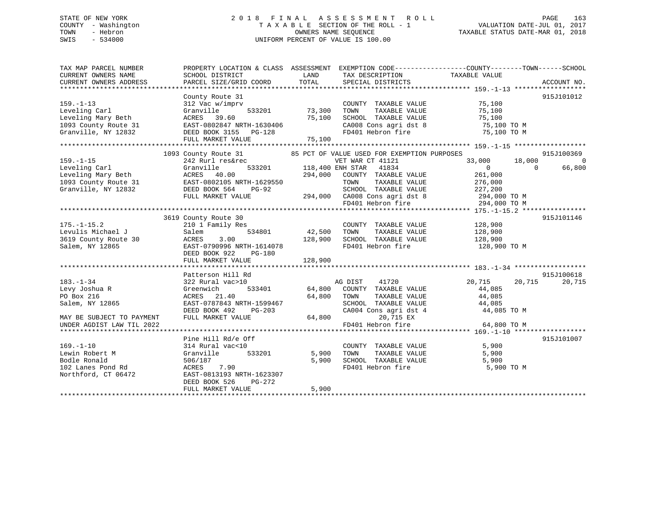## STATE OF NEW YORK 2 0 1 8 F I N A L A S S E S S M E N T R O L L PAGE 163 COUNTY - Washington T A X A B L E SECTION OF THE ROLL - 1 VALUATION DATE-JUL 01, 2017 TOWN - Hebron OWNERS NAME SEQUENCE TAXABLE STATUS DATE-MAR 01, 2018 SWIS - 534000 UNIFORM PERCENT OF VALUE IS 100.00

| TAX MAP PARCEL NUMBER<br>CURRENT OWNERS NAME | SCHOOL DISTRICT                          | LAND    | TAX DESCRIPTION                                    | PROPERTY LOCATION & CLASS ASSESSMENT EXEMPTION CODE----------------COUNTY-------TOWN-----SCHOOL<br>TAXABLE VALUE |             |
|----------------------------------------------|------------------------------------------|---------|----------------------------------------------------|------------------------------------------------------------------------------------------------------------------|-------------|
| CURRENT OWNERS ADDRESS                       | PARCEL SIZE/GRID COORD                   | TOTAL   | SPECIAL DISTRICTS                                  |                                                                                                                  | ACCOUNT NO. |
|                                              |                                          |         |                                                    |                                                                                                                  |             |
|                                              | County Route 31                          |         |                                                    |                                                                                                                  | 915J101012  |
| $159. - 1 - 13$                              | 312 Vac w/imprv                          |         | COUNTY TAXABLE VALUE                               | 75,100                                                                                                           |             |
| Leveling Carl                                | 533201<br>Granville                      | 73,300  | TOWN<br>TAXABLE VALUE                              | 75,100                                                                                                           |             |
| Leveling Mary Beth                           | ACRES 39.60                              | 75,100  | SCHOOL TAXABLE VALUE                               | 75,100                                                                                                           |             |
| 1093 County Route 31                         | EAST-0802847 NRTH-1630406                |         | CA008 Cons agri dst 8                              | 75,100 TO M                                                                                                      |             |
| Granville, NY 12832                          | DEED BOOK 3155 PG-128                    |         | FD401 Hebron fire                                  | 75,100 TO M                                                                                                      |             |
|                                              | FULL MARKET VALUE                        | 75,100  |                                                    |                                                                                                                  |             |
|                                              |                                          |         |                                                    |                                                                                                                  |             |
|                                              | 1093 County Route 31                     |         | 85 PCT OF VALUE USED FOR EXEMPTION PURPOSES        |                                                                                                                  | 915J100369  |
| $159. - 1 - 15$                              | 242 Rurl res&rec                         |         | VET WAR CT 41121                                   | 33,000<br>18,000                                                                                                 | $\Omega$    |
| Leveling Carl                                | 533201<br>Granville                      |         | 118,400 ENH STAR 41834                             | $\Omega$<br>$\Omega$                                                                                             | 66,800      |
| Leveling Mary Beth                           |                                          | 294,000 | COUNTY TAXABLE VALUE                               | 261,000                                                                                                          |             |
| 1093 County Route 31                         | ACRES 40.00<br>EAST-0802105 NRTH-1629550 |         | TOWN<br>TAXABLE VALUE                              | 276,000                                                                                                          |             |
| Granville, NY 12832                          | DEED BOOK 564<br>PG-92                   |         |                                                    |                                                                                                                  |             |
|                                              | FULL MARKET VALUE                        |         | SCHOOL TAXABLE VALUE 227, 200                      | 294,000 TO M                                                                                                     |             |
|                                              |                                          |         | 294,000 CA008 Cons agri dst 8<br>FD401 Hebron fire | 294,000 TO M                                                                                                     |             |
|                                              |                                          |         |                                                    |                                                                                                                  |             |
|                                              | 3619 County Route 30                     |         |                                                    |                                                                                                                  | 915J101146  |
| $175. - 1 - 15.2$                            | 210 1 Family Res                         |         | COUNTY TAXABLE VALUE                               | 128,900                                                                                                          |             |
| Levulis Michael J                            | 534801<br>Salem                          | 42,500  | TAXABLE VALUE<br>TOWN                              | 128,900                                                                                                          |             |
| 3619 County Route 30                         | ACRES<br>3.00                            | 128,900 | SCHOOL TAXABLE VALUE                               | 128,900                                                                                                          |             |
| Salem, NY 12865                              | EAST-0790996 NRTH-1614078                |         | FD401 Hebron fire                                  | 128,900 TO M                                                                                                     |             |
|                                              | DEED BOOK 922<br>PG-180                  |         |                                                    |                                                                                                                  |             |
|                                              | FULL MARKET VALUE                        | 128,900 |                                                    |                                                                                                                  |             |
|                                              |                                          |         |                                                    |                                                                                                                  |             |
|                                              | Patterson Hill Rd                        |         |                                                    |                                                                                                                  | 915J100618  |
| $183. - 1 - 34$                              | 322 Rural vac>10                         |         | AG DIST 41720                                      | 20,715<br>20,715                                                                                                 | 20,715      |
| Levy Joshua R                                | Greenwich                                |         | 533401 64,800 COUNTY TAXABLE VALUE                 | 44,085                                                                                                           |             |
| PO Box 216                                   | ACRES 21.40                              |         | 64,800 TOWN                                        | 44,085                                                                                                           |             |
| Salem, NY 12865                              | EAST-0787843 NRTH-1599467                |         | TOWN TAXABLE VALUE<br>SCHOOL TAXABLE VALUE         | 44,085                                                                                                           |             |
|                                              | DEED BOOK 492<br>PG-203                  |         | CA004 Cons agri dst 4                              | 44,085 TO M                                                                                                      |             |
|                                              |                                          |         | 20,715 EX                                          |                                                                                                                  |             |
| MAY BE SUBJECT TO PAYMENT                    | FULL MARKET VALUE                        | 64,800  | FD401 Hebron fire                                  | 64,800 TO M                                                                                                      |             |
| UNDER AGDIST LAW TIL 2022                    |                                          |         |                                                    |                                                                                                                  |             |
|                                              | Pine Hill Rd/e Off                       |         |                                                    |                                                                                                                  | 915J101007  |
| $169. - 1 - 10$                              |                                          |         |                                                    | 5,900                                                                                                            |             |
|                                              | 314 Rural vac<10<br>533201               | 5,900   | COUNTY TAXABLE VALUE                               | 5,900                                                                                                            |             |
| Lewin Robert M                               | Granville                                |         | TAXABLE VALUE<br>TOWN                              |                                                                                                                  |             |
| Bodle Ronald                                 | 506/187                                  | 5,900   | SCHOOL TAXABLE VALUE                               | 5,900                                                                                                            |             |
| 102 Lanes Pond Rd                            | ACRES 7.90                               |         | FD401 Hebron fire                                  | 5,900 TO M                                                                                                       |             |
| Northford, CT 06472                          | EAST-0813193 NRTH-1623307                |         |                                                    |                                                                                                                  |             |
|                                              | DEED BOOK 526<br>PG-272                  |         |                                                    |                                                                                                                  |             |
|                                              | FULL MARKET VALUE                        | 5,900   |                                                    |                                                                                                                  |             |
|                                              |                                          |         |                                                    |                                                                                                                  |             |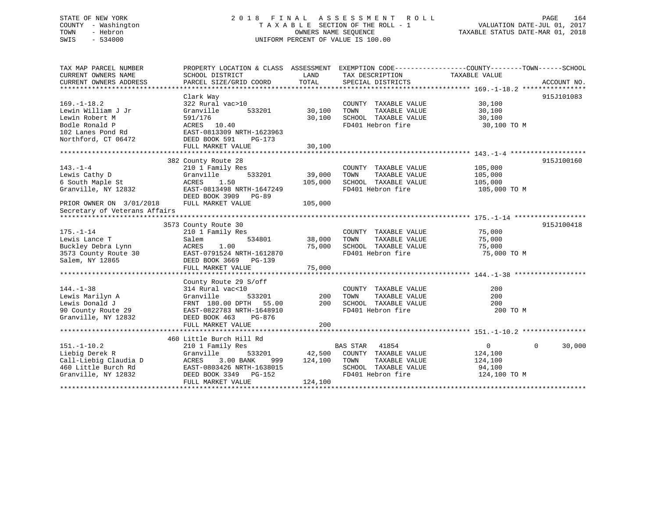## STATE OF NEW YORK 2 0 1 8 F I N A L A S S E S S M E N T R O L L PAGE 164 COUNTY - Washington T A X A B L E SECTION OF THE ROLL - 1 VALUATION DATE-JUL 01, 2017 TOWN - Hebron OWNERS NAME SEQUENCE TAXABLE STATUS DATE-MAR 01, 2018 SWIS - 534000 UNIFORM PERCENT OF VALUE IS 100.00

| TAX MAP PARCEL NUMBER                                          | PROPERTY LOCATION & CLASS ASSESSMENT EXEMPTION CODE---------------COUNTY-------TOWN-----SCHOOL |               |                                                                       |               |                    |
|----------------------------------------------------------------|------------------------------------------------------------------------------------------------|---------------|-----------------------------------------------------------------------|---------------|--------------------|
| CURRENT OWNERS NAME                                            | SCHOOL DISTRICT                                                                                | LAND          | TAX DESCRIPTION                                                       | TAXABLE VALUE |                    |
|                                                                |                                                                                                |               |                                                                       |               |                    |
|                                                                |                                                                                                |               |                                                                       |               |                    |
|                                                                | Clark Way                                                                                      |               |                                                                       |               | 915J101083         |
| $169. - 1 - 18.2$                                              | 322 Rural vac>10                                                                               |               | COUNTY TAXABLE VALUE                                                  | 30,100        |                    |
| Lewin William J Jr                                             | 533201<br>Granville                                                                            | 30,100        | TOWN<br>TAXABLE VALUE                                                 | 30,100        |                    |
| Lewin Robert M                                                 | 591/176                                                                                        | 30,100        | SCHOOL TAXABLE VALUE                                                  | 30,100        |                    |
| Bodle Ronald P                                                 | ACRES 10.40                                                                                    |               | FD401 Hebron fire                                                     | 30,100 TO M   |                    |
| 102 Lanes Pond Rd                                              | EAST-0813309 NRTH-1623963                                                                      |               |                                                                       |               |                    |
| Northford, CT 06472                                            | DEED BOOK 591<br>PG-173                                                                        |               |                                                                       |               |                    |
|                                                                |                                                                                                |               |                                                                       |               |                    |
|                                                                |                                                                                                |               |                                                                       |               |                    |
|                                                                | 382 County Route 28                                                                            |               |                                                                       |               | 915J100160         |
| $143. - 1 - 4$                                                 | 210 1 Family Res                                                                               |               | COUNTY TAXABLE VALUE                                                  | 105,000       |                    |
| Lewis Cathy D                                                  | Granville                                                                                      | 533201 39,000 | TOWN<br>TAXABLE VALUE                                                 | 105,000       |                    |
| 6 South Maple St                                               | ACRES<br>1.50                                                                                  | 105,000       | SCHOOL TAXABLE VALUE                                                  | 105,000       |                    |
| Granville, NY 12832                                            | EAST-0813498 NRTH-1647249                                                                      |               | FD401 Hebron fire                                                     | 105,000 TO M  |                    |
|                                                                | DEED BOOK 3909 PG-89                                                                           |               |                                                                       |               |                    |
| PRIOR OWNER ON 3/01/2018                                       | FULL MARKET VALUE                                                                              | 105,000       |                                                                       |               |                    |
| Secretary of Veterans Affairs                                  |                                                                                                |               |                                                                       |               |                    |
|                                                                |                                                                                                |               |                                                                       |               |                    |
|                                                                | 3573 County Route 30                                                                           |               |                                                                       |               | 915J100418         |
| $175. - 1 - 14$                                                | 210 1 Family Res                                                                               |               | COUNTY TAXABLE VALUE                                                  | 75,000        |                    |
| Lewis Lance T                                                  | 534801<br>Salem                                                                                | 38,000        | TOWN<br>TAXABLE VALUE                                                 | 75,000        |                    |
| Buckley Debra Lynn                                             | 1.00<br>ACRES                                                                                  |               |                                                                       | 75,000        |                    |
| $3573$ County Route 30 EAST-0791524 NRTH-1612870               |                                                                                                |               | 75,000 SCHOOL TAXABLE VALUE<br>FD401 Hebron fire<br>FD401 Hebron fire | 75,000 TO M   |                    |
| Salem, NY 12865                                                | DEED BOOK 3669 PG-139                                                                          |               |                                                                       |               |                    |
|                                                                |                                                                                                |               |                                                                       |               |                    |
|                                                                |                                                                                                |               |                                                                       |               |                    |
|                                                                | County Route 29 S/off                                                                          |               |                                                                       |               |                    |
| $144. - 1 - 38$                                                | 314 Rural vac<10                                                                               |               | COUNTY TAXABLE VALUE                                                  | 200           |                    |
| Lewis Marilyn A                                                | Granville<br>533201                                                                            | 200           | TAXABLE VALUE<br>TOWN                                                 | 200           |                    |
| Lewis Donald J                                                 | FRNT 180.00 DPTH 55.00                                                                         | 200           | SCHOOL TAXABLE VALUE                                                  | 200           |                    |
| Lewis Donald J<br>90 County Route 29 EAST-0822783 NRTH-1648910 |                                                                                                |               | FD401 Hebron fire                                                     | 200 TO M      |                    |
| Granville, NY 12832                                            | DEED BOOK 463<br>PG-876                                                                        |               |                                                                       |               |                    |
|                                                                |                                                                                                |               |                                                                       |               |                    |
|                                                                | FULL MARKET VALUE                                                                              | 200           |                                                                       |               |                    |
|                                                                |                                                                                                |               |                                                                       |               |                    |
|                                                                | 460 Little Burch Hill Rd                                                                       |               | <b>BAS STAR</b> 41854                                                 |               |                    |
| $151. - 1 - 10.2$                                              | 210 1 Family Res                                                                               |               |                                                                       | $\Omega$      | $\Omega$<br>30,000 |
| Liebig Derek R                                                 | Granville                                                                                      |               | 533201 42,500 COUNTY TAXABLE VALUE                                    | 124,100       |                    |
| Call-Liebig Claudia D<br>460 Little Burch Rd                   | 3.00 BANK<br>ACRES<br>999 —                                                                    | 124,100       | TOWN<br>TAXABLE VALUE                                                 | 124,100       |                    |
|                                                                | EAST-0803426 NRTH-1638015                                                                      |               | SCHOOL TAXABLE VALUE                                                  | 94,100        |                    |
| Granville, NY 12832                                            | DEED BOOK 3349 PG-152                                                                          |               | FD401 Hebron fire                                                     | 124,100 TO M  |                    |
|                                                                | FULL MARKET VALUE                                                                              | 124,100       |                                                                       |               |                    |
|                                                                |                                                                                                |               |                                                                       |               |                    |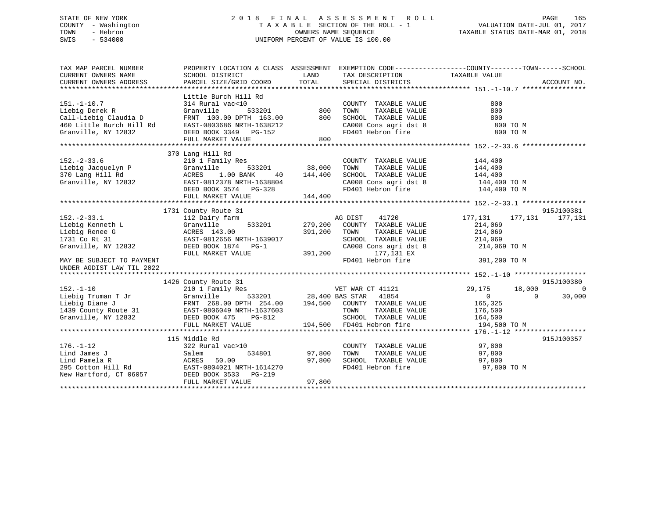## STATE OF NEW YORK 2 0 1 8 F I N A L A S S E S S M E N T R O L L PAGE 165 COUNTY - Washington T A X A B L E SECTION OF THE ROLL - 1 VALUATION DATE-JUL 01, 2017 TOWN - Hebron **CONNERS NAME SEQUENCE** TAXABLE STATUS DATE-MAR 01, 2018 SWIS - 534000 UNIFORM PERCENT OF VALUE IS 100.00

| TAX MAP PARCEL NUMBER                                                                                                                                                                                                                                                                                                                                                                                                             | PROPERTY LOCATION & CLASS ASSESSMENT EXEMPTION CODE---------------COUNTY-------TOWN-----SCHOOL |               |                                                                                                                                                                                              |                         |                |                |
|-----------------------------------------------------------------------------------------------------------------------------------------------------------------------------------------------------------------------------------------------------------------------------------------------------------------------------------------------------------------------------------------------------------------------------------|------------------------------------------------------------------------------------------------|---------------|----------------------------------------------------------------------------------------------------------------------------------------------------------------------------------------------|-------------------------|----------------|----------------|
| CURRENT OWNERS NAME                                                                                                                                                                                                                                                                                                                                                                                                               | SCHOOL DISTRICT<br><b>LAND</b>                                                                 |               | TAX DESCRIPTION TAXABLE VALUE                                                                                                                                                                |                         |                |                |
| CURRENT OWNERS ADDRESS                                                                                                                                                                                                                                                                                                                                                                                                            | PARCEL SIZE/GRID COORD                                                                         | TOTAL         | SPECIAL DISTRICTS                                                                                                                                                                            |                         | ACCOUNT NO.    |                |
|                                                                                                                                                                                                                                                                                                                                                                                                                                   |                                                                                                |               |                                                                                                                                                                                              |                         |                |                |
|                                                                                                                                                                                                                                                                                                                                                                                                                                   | Little Burch Hill Rd                                                                           |               |                                                                                                                                                                                              |                         |                |                |
| $151.-1-10.7$                                                                                                                                                                                                                                                                                                                                                                                                                     | 314 Rural vac<10                                                                               |               | COUNTY TAXABLE VALUE                                                                                                                                                                         | 800                     |                |                |
| Liebig Derek R                                                                                                                                                                                                                                                                                                                                                                                                                    | Granville                                                                                      |               | TAXABLE VALUE                                                                                                                                                                                | 800                     |                |                |
|                                                                                                                                                                                                                                                                                                                                                                                                                                   |                                                                                                |               |                                                                                                                                                                                              |                         |                |                |
|                                                                                                                                                                                                                                                                                                                                                                                                                                   |                                                                                                |               |                                                                                                                                                                                              |                         |                |                |
|                                                                                                                                                                                                                                                                                                                                                                                                                                   |                                                                                                |               |                                                                                                                                                                                              |                         |                |                |
|                                                                                                                                                                                                                                                                                                                                                                                                                                   | FULL MARKET VALUE                                                                              | 800           |                                                                                                                                                                                              |                         |                |                |
|                                                                                                                                                                                                                                                                                                                                                                                                                                   |                                                                                                |               |                                                                                                                                                                                              |                         |                |                |
|                                                                                                                                                                                                                                                                                                                                                                                                                                   | 370 Lang Hill Rd                                                                               |               |                                                                                                                                                                                              |                         |                |                |
| $152 - 2 - 33.6$                                                                                                                                                                                                                                                                                                                                                                                                                  | 210 1 Family Res                                                                               |               |                                                                                                                                                                                              |                         |                |                |
|                                                                                                                                                                                                                                                                                                                                                                                                                                   |                                                                                                |               | $\begin{tabular}{llllll} \multicolumn{2}{c}{\textbf{COUNTY}} & \textbf{TAXABLE VALUE} & & & 144,400 \\ \multicolumn{2}{c}{\textbf{TONN}} & \textbf{TAXABLE VALUE} & & 144,400 \end{tabular}$ |                         |                |                |
| 210 1 Famil<br>Liebig Jacquelyn P Granville<br>370 Lang Hill Rd ACRES 1.<br>Granville, NY 12832 BAST-081237<br>DEED ROOK 3                                                                                                                                                                                                                                                                                                        | 1.00 BANK                                                                                      |               | 40 144,400 SCHOOL TAXABLE VALUE 144,400                                                                                                                                                      |                         |                |                |
|                                                                                                                                                                                                                                                                                                                                                                                                                                   | EAST-0812378 NRTH-1638804                                                                      |               |                                                                                                                                                                                              |                         |                |                |
|                                                                                                                                                                                                                                                                                                                                                                                                                                   | EAST-0812378 NRTH-1638804<br>DEED BOOK 3574 PG-328                                             |               | CA008 Cons agri dst 8 $144,400$ TO M<br>FD401 Hebron fire 144,400 TO M                                                                                                                       |                         |                |                |
|                                                                                                                                                                                                                                                                                                                                                                                                                                   | FULL MARKET VALUE                                                                              | 144,400       |                                                                                                                                                                                              |                         |                |                |
|                                                                                                                                                                                                                                                                                                                                                                                                                                   |                                                                                                |               |                                                                                                                                                                                              |                         |                |                |
|                                                                                                                                                                                                                                                                                                                                                                                                                                   | 1731 County Route 31                                                                           |               |                                                                                                                                                                                              |                         | 915J100381     |                |
| $152. - 2 - 33.1$                                                                                                                                                                                                                                                                                                                                                                                                                 |                                                                                                |               | AG DIST<br>41720                                                                                                                                                                             | 177,131 177,131 177,131 |                |                |
|                                                                                                                                                                                                                                                                                                                                                                                                                                   | 112 Dairy farm<br>Granville 533201 279,200 COUNTY TAXABLE VALUE                                |               |                                                                                                                                                                                              | 214,069                 |                |                |
| Liebig Kenneth L                                                                                                                                                                                                                                                                                                                                                                                                                  | Granville<br>ACRES 143.00<br>--- 7 0912656 1                                                   |               |                                                                                                                                                                                              |                         |                |                |
| Liebig Renee G                                                                                                                                                                                                                                                                                                                                                                                                                    |                                                                                                | 391,200       | TOWN<br>TAXABLE VALUE                                                                                                                                                                        | 214,069                 |                |                |
| 1731 Co Rt 31<br>Granville, NY 12832                                                                                                                                                                                                                                                                                                                                                                                              | EAST-0812656 NRTH-1639017<br>DEED BOOK 1874 PG-1                                               |               | SCHOOL TAXABLE VALUE 214,069<br>CA008 Cons agri dst 8 214,069                                                                                                                                |                         |                |                |
|                                                                                                                                                                                                                                                                                                                                                                                                                                   |                                                                                                |               |                                                                                                                                                                                              | 214,069 TO M            |                |                |
|                                                                                                                                                                                                                                                                                                                                                                                                                                   | FULL MARKET VALUE                                                                              | 391,200       | 177,131 EX                                                                                                                                                                                   |                         |                |                |
| MAY BE SUBJECT TO PAYMENT                                                                                                                                                                                                                                                                                                                                                                                                         |                                                                                                |               | FD401 Hebron fire 391,200 TO M                                                                                                                                                               |                         |                |                |
| UNDER AGDIST LAW TIL 2022                                                                                                                                                                                                                                                                                                                                                                                                         |                                                                                                |               |                                                                                                                                                                                              |                         |                |                |
|                                                                                                                                                                                                                                                                                                                                                                                                                                   |                                                                                                |               |                                                                                                                                                                                              |                         |                |                |
|                                                                                                                                                                                                                                                                                                                                                                                                                                   | 1426 County Route 31                                                                           |               |                                                                                                                                                                                              |                         | 915J100380     |                |
|                                                                                                                                                                                                                                                                                                                                                                                                                                   |                                                                                                |               |                                                                                                                                                                                              | 29,175 18,000           |                | $\overline{0}$ |
|                                                                                                                                                                                                                                                                                                                                                                                                                                   |                                                                                                |               |                                                                                                                                                                                              | $\sim$ 0 $\sim$         | $\overline{0}$ | 30,000         |
|                                                                                                                                                                                                                                                                                                                                                                                                                                   |                                                                                                |               |                                                                                                                                                                                              | 165,325                 |                |                |
|                                                                                                                                                                                                                                                                                                                                                                                                                                   |                                                                                                |               |                                                                                                                                                                                              | TAXABLE VALUE 176,500   |                |                |
|                                                                                                                                                                                                                                                                                                                                                                                                                                   |                                                                                                |               | SCHOOL TAXABLE VALUE 164,500                                                                                                                                                                 |                         |                |                |
| $\begin{tabular}{lllllllllllllll} \texttt{152.-1-10} & & & & & & 1426 \text{ County Route } 31 & & & & & & \text{VET WAR CT 41121} \\ \texttt{Liebig Truman T Jr} & & & & & & & & \text{Graniv} \text{ Res} & & & & \text{VET WAR CT 41121} \\ \texttt{Liebig piano T Jr} & & & & & & \text{Granvi11e} & & & & \text{533201} & & 28,400 BAS STAR & 41854 \\ \texttt{Liebig Diana} & & & & & & & \text{FRNT 268.00 DPTH 254.00} &$ |                                                                                                |               |                                                                                                                                                                                              | 194,500 TO M            |                |                |
|                                                                                                                                                                                                                                                                                                                                                                                                                                   |                                                                                                |               |                                                                                                                                                                                              |                         |                |                |
|                                                                                                                                                                                                                                                                                                                                                                                                                                   | 115 Middle Rd                                                                                  |               |                                                                                                                                                                                              |                         | 915J100357     |                |
| $176. - 1 - 12$                                                                                                                                                                                                                                                                                                                                                                                                                   | $322$ Rural vac > 10                                                                           |               | COUNTY TAXABLE VALUE 97,800                                                                                                                                                                  |                         |                |                |
| 1 1 1 1 3 34801 534801 514801 57,80<br>1 1 2 3 5 6 6 6 6 7,80<br>295 7,80<br>295 7,80<br>295 7,80<br>295 7,80<br>295 7,80                                                                                                                                                                                                                                                                                                         |                                                                                                | 534801 97,800 | TOWN                                                                                                                                                                                         | TAXABLE VALUE 97,800    |                |                |
|                                                                                                                                                                                                                                                                                                                                                                                                                                   |                                                                                                | 97,800        | SCHOOL TAXABLE VALUE<br>FD401 Hebron fire                                                                                                                                                    | 97,800                  |                |                |
|                                                                                                                                                                                                                                                                                                                                                                                                                                   |                                                                                                |               |                                                                                                                                                                                              | 97,800 TO M             |                |                |
| New Hartford, CT 06057 DEED BOOK 3533 PG-219                                                                                                                                                                                                                                                                                                                                                                                      |                                                                                                |               |                                                                                                                                                                                              |                         |                |                |
|                                                                                                                                                                                                                                                                                                                                                                                                                                   | FULL MARKET VALUE                                                                              | 97,800        |                                                                                                                                                                                              |                         |                |                |
|                                                                                                                                                                                                                                                                                                                                                                                                                                   |                                                                                                |               |                                                                                                                                                                                              |                         |                |                |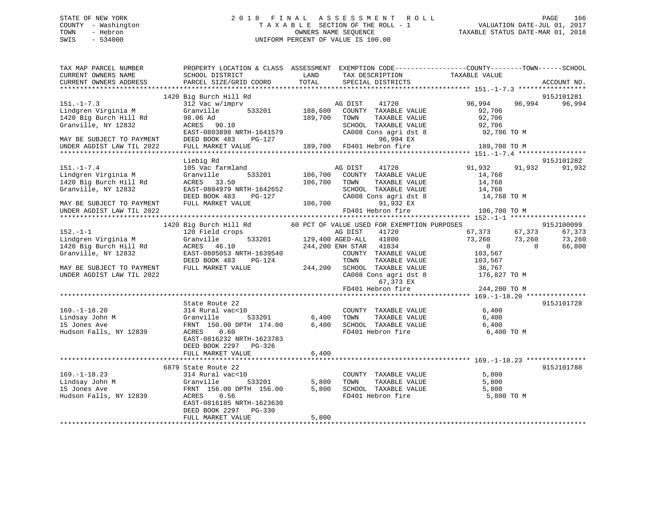## STATE OF NEW YORK 2 0 1 8 F I N A L A S S E S S M E N T R O L L PAGE 166 COUNTY - Washington T A X A B L E SECTION OF THE ROLL - 1 VALUATION DATE-JUL 01, 2017 TOWN - Hebron OWNERS NAME SEQUENCE TAXABLE STATUS DATE-MAR 01, 2018 SWIS - 534000 UNIFORM PERCENT OF VALUE IS 100.00

| TAX MAP PARCEL NUMBER<br>CURRENT OWNERS NAME           | PROPERTY LOCATION & CLASS ASSESSMENT EXEMPTION CODE---------------COUNTY-------TOWN------SCHOOL<br>SCHOOL DISTRICT | LAND           | TAX DESCRIPTION                                                        | TAXABLE VALUE                     |                  |
|--------------------------------------------------------|--------------------------------------------------------------------------------------------------------------------|----------------|------------------------------------------------------------------------|-----------------------------------|------------------|
| CURRENT OWNERS ADDRESS                                 | PARCEL SIZE/GRID COORD                                                                                             | TOTAL          | SPECIAL DISTRICTS                                                      |                                   | ACCOUNT NO.      |
|                                                        | 1420 Big Burch Hill Rd                                                                                             |                |                                                                        |                                   | 915J101281       |
| $151. - 1 - 7.3$<br>Lindgren Virginia M                | 312 Vac w/imprv<br>533201<br>Granville                                                                             | 188,600        | AG DIST<br>41720<br>COUNTY TAXABLE VALUE                               | 96,994<br>92,706                  | 96,994<br>96,994 |
| 1420 Big Burch Hill Rd<br>Granville, NY 12832          | 98.06 Ad<br>ACRES 90.10<br>EAST-0803898 NRTH-1641579                                                               | 189,700        | TAXABLE VALUE<br>TOWN<br>SCHOOL TAXABLE VALUE<br>CA008 Cons agri dst 8 | 92,706<br>92,706<br>92,706 TO M   |                  |
| MAY BE SUBJECT TO PAYMENT<br>UNDER AGDIST LAW TIL 2022 | DEED BOOK 483<br>PG-127<br>FULL MARKET VALUE                                                                       |                | 96,994 EX<br>189,700 FD401 Hebron fire                                 | 189,700 TO M                      |                  |
|                                                        |                                                                                                                    |                |                                                                        |                                   |                  |
|                                                        | Liebig Rd                                                                                                          |                |                                                                        |                                   | 915J101282       |
| $151. - 1 - 7.4$<br>Lindgren Virginia M                | 105 Vac farmland<br>533201<br>Granville                                                                            | 106,700        | 41720<br>AG DIST<br>COUNTY TAXABLE VALUE                               | 91,932<br>14,768                  | 91,932<br>91,932 |
| 1420 Big Burch Hill Rd<br>Granville, NY 12832          | ACRES 33.50<br>EAST-0804979 NRTH-1642652<br>DEED BOOK 483<br>PG-127                                                | 106,700        | TOWN<br>TAXABLE VALUE<br>SCHOOL TAXABLE VALUE<br>CA008 Cons agri dst 8 | 14,768<br>14,768<br>14,768 TO M   |                  |
| MAY BE SUBJECT TO PAYMENT<br>UNDER AGDIST LAW TIL 2022 | FULL MARKET VALUE                                                                                                  | 106,700        | 91,932 EX<br>FD401 Hebron fire                                         | 106,700 TO M                      |                  |
|                                                        |                                                                                                                    |                |                                                                        |                                   |                  |
|                                                        | 1420 Big Burch Hill Rd                                                                                             |                | 60 PCT OF VALUE USED FOR EXEMPTION PURPOSES                            |                                   | 915J100099       |
| $152. - 1 - 1$<br>Lindgren Virginia M                  | 120 Field crops<br>533201<br>Granville                                                                             |                | AG DIST<br>41720<br>129,400 AGED-ALL<br>41800                          | 67,373 67,373<br>73,260<br>73,260 | 67,373<br>73,260 |
| 1420 Big Burch Hill Rd                                 | ACRES 46.10                                                                                                        |                | 244,200 ENH STAR 41834                                                 | $\overline{0}$<br>$\overline{0}$  | 66,800           |
| Granville, NY 12832                                    | EAST-0805053 NRTH-1639540<br>DEED BOOK 483<br>PG-124                                                               |                | COUNTY TAXABLE VALUE<br>TOWN<br>TAXABLE VALUE                          | 103,567<br>103,567                |                  |
| MAY BE SUBJECT TO PAYMENT<br>UNDER AGDIST LAW TIL 2022 | FULL MARKET VALUE                                                                                                  | 244,200        | SCHOOL TAXABLE VALUE<br>CA008 Cons agri dst 8                          | 36,767<br>176,827 TO M            |                  |
|                                                        |                                                                                                                    |                | 67,373 EX<br>FD401 Hebron fire                                         | 244,200 TO M                      |                  |
|                                                        |                                                                                                                    |                |                                                                        |                                   |                  |
|                                                        | State Route 22                                                                                                     |                |                                                                        |                                   | 915J101728       |
| $169. - 1 - 18.20$                                     | 314 Rural vac<10                                                                                                   |                | COUNTY TAXABLE VALUE                                                   | 6,400                             |                  |
| Lindsay John M<br>15 Jones Ave                         | Granville<br>533201                                                                                                | 6,400<br>6,400 | TOWN<br>TAXABLE VALUE                                                  | 6,400                             |                  |
| Hudson Falls, NY 12839                                 | FRNT 150.00 DPTH 174.00<br>0.60<br>ACRES<br>EAST-0816232 NRTH-1623783<br>DEED BOOK 2297<br>PG-326                  | 6,400          | SCHOOL TAXABLE VALUE<br>FD401 Hebron fire                              | 6,400<br>6,400 TO M               |                  |
|                                                        | FULL MARKET VALUE                                                                                                  | *************  |                                                                        |                                   |                  |
|                                                        | 6879 State Route 22                                                                                                |                |                                                                        |                                   | 915J101788       |
| $169. - 1 - 18.23$                                     | 314 Rural vac<10                                                                                                   |                | COUNTY TAXABLE VALUE                                                   | 5,800                             |                  |
| Lindsay John M                                         | 533201<br>Granville                                                                                                | 5,800          | TOWN<br>TAXABLE VALUE                                                  | 5,800                             |                  |
| 15 Jones Ave                                           | FRNT 156.00 DPTH 156.00                                                                                            | 5,800          | SCHOOL TAXABLE VALUE                                                   | 5,800                             |                  |
| Hudson Falls, NY 12839                                 | 0.56<br>ACRES<br>EAST-0816185 NRTH-1623630<br>DEED BOOK 2297<br>$PG-330$                                           |                | FD401 Hebron fire                                                      | 5,800 TO M                        |                  |
|                                                        | FULL MARKET VALUE                                                                                                  | 5,800          |                                                                        |                                   |                  |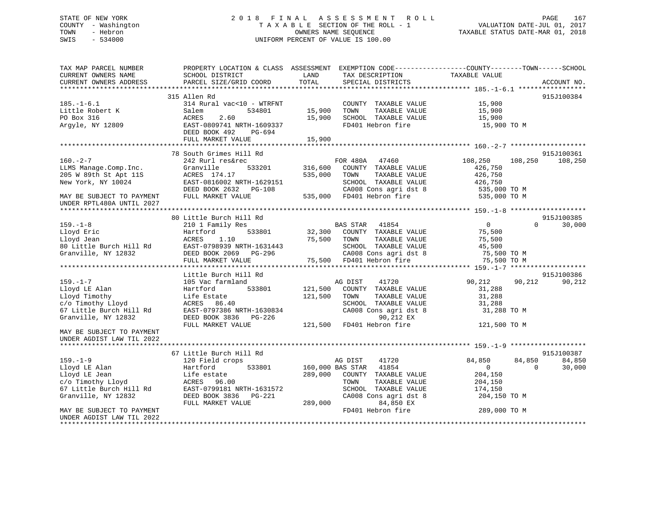## STATE OF NEW YORK 2 0 1 8 F I N A L A S S E S S M E N T R O L L PAGE 167 COUNTY - Washington T A X A B L E SECTION OF THE ROLL - 1 VALUATION DATE-JUL 01, 2017 TOWN - Hebron OWNERS NAME SEQUENCE TAXABLE STATUS DATE-MAR 01, 2018 SWIS - 534000 UNIFORM PERCENT OF VALUE IS 100.00

| TAX MAP PARCEL NUMBER<br>CURRENT OWNERS NAME<br>CURRENT OWNERS ADDRESS | PROPERTY LOCATION & CLASS ASSESSMENT EXEMPTION CODE----------------COUNTY-------TOWN-----SCHOOL<br>SCHOOL DISTRICT<br>PARCEL SIZE/GRID COORD | LAND<br>TOTAL    | TAX DESCRIPTION<br>SPECIAL DISTRICTS          | TAXABLE VALUE    |          | ACCOUNT NO. |
|------------------------------------------------------------------------|----------------------------------------------------------------------------------------------------------------------------------------------|------------------|-----------------------------------------------|------------------|----------|-------------|
|                                                                        |                                                                                                                                              |                  |                                               |                  |          |             |
|                                                                        | 315 Allen Rd                                                                                                                                 |                  |                                               |                  |          | 915J100384  |
| $185. - 1 - 6.1$                                                       | 314 Rural vac<10 - WTRFNT                                                                                                                    |                  | COUNTY TAXABLE VALUE                          | 15,900           |          |             |
| Little Robert K                                                        | Salem<br>534801                                                                                                                              | 15,900           | TOWN<br>TAXABLE VALUE                         | 15,900           |          |             |
| PO Box 316                                                             | ACRES<br>2.60                                                                                                                                | 15,900           | SCHOOL TAXABLE VALUE                          | 15,900           |          |             |
| Argyle, NY 12809                                                       | EAST-0809741 NRTH-1609337                                                                                                                    |                  | FD401 Hebron fire                             | 15,900 TO M      |          |             |
|                                                                        | DEED BOOK 492<br>PG-694                                                                                                                      |                  |                                               |                  |          |             |
|                                                                        | FULL MARKET VALUE                                                                                                                            | 15,900           |                                               |                  |          |             |
|                                                                        |                                                                                                                                              |                  |                                               |                  |          |             |
|                                                                        | 78 South Grimes Hill Rd                                                                                                                      |                  |                                               |                  |          | 915J100361  |
| $160. - 2 - 7$                                                         | 242 Rurl res&rec                                                                                                                             |                  | FOR 480A<br>47460                             | 108,250          | 108,250  | 108,250     |
| LLMS Manage.Comp.Inc.                                                  | Granville<br>533201                                                                                                                          | 316,600          | COUNTY TAXABLE VALUE                          | 426,750          |          |             |
| 205 W 89th St Apt 11S                                                  | ACRES 174.17                                                                                                                                 | 535,000          | TAXABLE VALUE<br>TOWN                         | 426,750          |          |             |
| New York, NY 10024                                                     | EAST-0816002 NRTH-1629151                                                                                                                    |                  | SCHOOL TAXABLE VALUE                          | 426,750          |          |             |
|                                                                        | DEED BOOK 2632 PG-108                                                                                                                        |                  | CA008 Cons agri dst 8                         | 535,000 TO M     |          |             |
| MAY BE SUBJECT TO PAYMENT                                              | FULL MARKET VALUE                                                                                                                            |                  | 535,000 FD401 Hebron fire                     | 535,000 TO M     |          |             |
| UNDER RPTL480A UNTIL 2027                                              |                                                                                                                                              |                  |                                               |                  |          |             |
|                                                                        |                                                                                                                                              |                  |                                               |                  |          |             |
|                                                                        | 80 Little Burch Hill Rd                                                                                                                      |                  |                                               |                  |          | 915J100385  |
| $159. - 1 - 8$                                                         | 210 1 Family Res                                                                                                                             |                  | <b>BAS STAR</b><br>41854                      | $\overline{0}$   | $\Omega$ | 30,000      |
| Lloyd Eric                                                             | Hartford<br>533801                                                                                                                           | 32,300           | COUNTY TAXABLE VALUE                          | 75,500           |          |             |
| Lloyd Jean                                                             | ACRES<br>1.10                                                                                                                                | 75,500           | TOWN<br>TAXABLE VALUE                         | 75,500           |          |             |
| 80 Little Burch Hill Rd                                                | EAST-0798939 NRTH-1631443                                                                                                                    |                  | SCHOOL TAXABLE VALUE                          | 45,500           |          |             |
| Granville, NY 12832                                                    | DEED BOOK 2069 PG-296                                                                                                                        |                  | CA008 Cons agri dst 8                         | 75,500 TO M      |          |             |
|                                                                        | FULL MARKET VALUE                                                                                                                            |                  | 75,500 FD401 Hebron fire                      | 75,500 TO M      |          |             |
|                                                                        |                                                                                                                                              |                  |                                               |                  |          |             |
|                                                                        | Little Burch Hill Rd                                                                                                                         |                  |                                               |                  |          | 915J100386  |
| $159. - 1 - 7$                                                         | 105 Vac farmland                                                                                                                             |                  | AG DIST<br>41720                              | 90,212           | 90,212   | 90,212      |
| Lloyd LE Alan                                                          | Hartford<br>533801                                                                                                                           | 121,500          | COUNTY TAXABLE VALUE                          | 31,288           |          |             |
| Lloyd Timothy                                                          | Life Estate<br>ACRES 86.40                                                                                                                   | 121,500          | TOWN<br>TAXABLE VALUE<br>SCHOOL TAXABLE VALUE | 31,288<br>31,288 |          |             |
| c/o Timothy Lloyd                                                      | EAST-0797386 NRTH-1630834                                                                                                                    |                  |                                               |                  |          |             |
| 67 Little Burch Hill Rd<br>Granville, NY 12832                         | DEED BOOK 3836 PG-226                                                                                                                        |                  | CA008 Cons agri dst 8<br>90,212 EX            | 31,288 TO M      |          |             |
|                                                                        | FULL MARKET VALUE                                                                                                                            |                  | 121,500 FD401 Hebron fire                     | 121,500 TO M     |          |             |
| MAY BE SUBJECT TO PAYMENT                                              |                                                                                                                                              |                  |                                               |                  |          |             |
| UNDER AGDIST LAW TIL 2022                                              |                                                                                                                                              |                  |                                               |                  |          |             |
|                                                                        |                                                                                                                                              |                  |                                               |                  |          |             |
|                                                                        | 67 Little Burch Hill Rd                                                                                                                      |                  |                                               |                  |          | 915J100387  |
| $159. - 1 - 9$                                                         | 120 Field crops                                                                                                                              |                  | AG DIST<br>41720                              | 84,850           | 84,850   | 84,850      |
| Lloyd LE Alan                                                          | Hartford<br>533801                                                                                                                           | 160,000 BAS STAR | 41854                                         | $\overline{0}$   | $\Omega$ | 30,000      |
| Lloyd LE Jean                                                          | Life estate                                                                                                                                  | 289,000          | COUNTY TAXABLE VALUE                          | 204,150          |          |             |
| c/o Timothy Lloyd                                                      | ACRES 96.00                                                                                                                                  |                  | TOWN<br>TAXABLE VALUE                         | 204,150          |          |             |
| 67 Little Burch Hill Rd                                                | EAST-0799181 NRTH-1631572                                                                                                                    |                  | SCHOOL TAXABLE VALUE                          | 174,150          |          |             |
| Granville, NY 12832                                                    | DEED BOOK 3836 PG-221                                                                                                                        |                  | CA008 Cons agri dst 8                         | 204,150 TO M     |          |             |
|                                                                        | FULL MARKET VALUE                                                                                                                            | 289,000          | 84,850 EX                                     |                  |          |             |
| MAY BE SUBJECT TO PAYMENT                                              |                                                                                                                                              |                  | FD401 Hebron fire                             | 289,000 TO M     |          |             |
| UNDER AGDIST LAW TIL 2022                                              |                                                                                                                                              |                  |                                               |                  |          |             |
| ********************                                                   |                                                                                                                                              |                  |                                               |                  |          |             |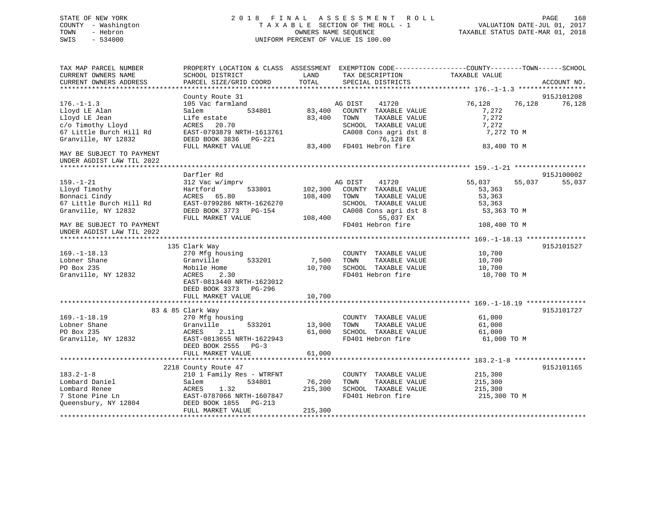## STATE OF NEW YORK 2 0 1 8 F I N A L A S S E S S M E N T R O L L PAGE 168 COUNTY - Washington T A X A B L E SECTION OF THE ROLL - 1 VALUATION DATE-JUL 01, 2017 TOWN - Hebron OWNERS NAME SEQUENCE TAXABLE STATUS DATE-MAR 01, 2018 SWIS - 534000 UNIFORM PERCENT OF VALUE IS 100.00

| TAX MAP PARCEL NUMBER     | PROPERTY LOCATION & CLASS ASSESSMENT |         | EXEMPTION CODE-----------------COUNTY-------TOWN------SCHOOL |               |                  |  |
|---------------------------|--------------------------------------|---------|--------------------------------------------------------------|---------------|------------------|--|
| CURRENT OWNERS NAME       | SCHOOL DISTRICT                      | LAND    | TAX DESCRIPTION                                              | TAXABLE VALUE |                  |  |
| CURRENT OWNERS ADDRESS    | PARCEL SIZE/GRID COORD               | TOTAL   | SPECIAL DISTRICTS                                            |               | ACCOUNT NO.      |  |
|                           | County Route 31                      |         |                                                              |               | 915J101208       |  |
| $176. - 1 - 1.3$          | 105 Vac farmland                     |         | 41720<br>AG DIST                                             | 76,128        | 76,128<br>76,128 |  |
| Lloyd LE Alan             | 534801<br>Salem                      | 83,400  | COUNTY TAXABLE VALUE                                         | 7,272         |                  |  |
| Lloyd LE Jean             | Life estate                          | 83,400  | TOWN<br>TAXABLE VALUE                                        | 7,272         |                  |  |
| c/o Timothy Lloyd         | 20.70<br>ACRES                       |         | SCHOOL TAXABLE VALUE                                         | 7,272         |                  |  |
| 67 Little Burch Hill Rd   | EAST-0793879 NRTH-1613761            |         | CA008 Cons agri dst 8                                        | 7,272 TO M    |                  |  |
| Granville, NY 12832       | DEED BOOK 3836 PG-221                |         | 76,128 EX                                                    |               |                  |  |
|                           | FULL MARKET VALUE                    | 83,400  | FD401 Hebron fire                                            | 83,400 TO M   |                  |  |
| MAY BE SUBJECT TO PAYMENT |                                      |         |                                                              |               |                  |  |
| UNDER AGDIST LAW TIL 2022 |                                      |         |                                                              |               |                  |  |
|                           |                                      |         |                                                              |               |                  |  |
|                           | Darfler Rd                           |         |                                                              |               | 915J100002       |  |
| $159. - 1 - 21$           | 312 Vac w/imprv                      |         | AG DIST<br>41720                                             | 55,037        | 55,037<br>55,037 |  |
| Lloyd Timothy             | Hartford<br>533801                   | 102,300 | COUNTY TAXABLE VALUE                                         | 53,363        |                  |  |
| Bonnaci Cindy             | ACRES 65.80                          | 108,400 | TAXABLE VALUE<br>TOWN                                        | 53,363        |                  |  |
| 67 Little Burch Hill Rd   | EAST-0799286 NRTH-1626270            |         | SCHOOL TAXABLE VALUE                                         | 53,363        |                  |  |
| Granville, NY 12832       | DEED BOOK 3773 PG-154                |         | CA008 Cons agri dst 8                                        | 53,363 TO M   |                  |  |
|                           | FULL MARKET VALUE                    | 108,400 | 55,037 EX                                                    |               |                  |  |
| MAY BE SUBJECT TO PAYMENT |                                      |         | FD401 Hebron fire                                            | 108,400 TO M  |                  |  |
| UNDER AGDIST LAW TIL 2022 |                                      |         |                                                              |               |                  |  |
|                           |                                      |         |                                                              |               |                  |  |
|                           | 135 Clark Way                        |         |                                                              |               | 915J101527       |  |
| $169. - 1 - 18.13$        | 270 Mfg housing                      |         | COUNTY TAXABLE VALUE                                         | 10,700        |                  |  |
| Lobner Shane              | Granville<br>533201                  | 7,500   | TOWN<br>TAXABLE VALUE                                        | 10,700        |                  |  |
| PO Box 235                | Mobile Home                          | 10,700  | SCHOOL TAXABLE VALUE                                         | 10,700        |                  |  |
| Granville, NY 12832       | ACRES<br>2.30                        |         | FD401 Hebron fire                                            | 10,700 TO M   |                  |  |
|                           | EAST-0813440 NRTH-1623012            |         |                                                              |               |                  |  |
|                           | DEED BOOK 3373 PG-296                |         |                                                              |               |                  |  |
|                           | FULL MARKET VALUE                    | 10,700  |                                                              |               |                  |  |
|                           |                                      |         |                                                              |               |                  |  |
|                           | 83 & 85 Clark Way                    |         |                                                              |               | 915J101727       |  |
| $169. - 1 - 18.19$        | 270 Mfg housing                      |         | COUNTY TAXABLE VALUE                                         | 61,000        |                  |  |
| Lobner Shane              | Granville<br>533201                  | 13,900  | TAXABLE VALUE<br>TOWN                                        | 61,000        |                  |  |
| PO Box 235                | 2.11<br>ACRES                        | 61,000  | SCHOOL TAXABLE VALUE                                         | 61,000        |                  |  |
| Granville, NY 12832       | EAST-0813655 NRTH-1622943            |         | FD401 Hebron fire                                            | 61,000 TO M   |                  |  |
|                           | DEED BOOK 2555<br>$PG-3$             |         |                                                              |               |                  |  |
|                           | FULL MARKET VALUE                    | 61,000  |                                                              |               |                  |  |
|                           |                                      |         |                                                              |               |                  |  |
|                           | 2218 County Route 47                 |         |                                                              |               | 915J101165       |  |
| $183.2 - 1 - 8$           | 210 1 Family Res - WTRFNT            |         | COUNTY TAXABLE VALUE                                         | 215,300       |                  |  |
| Lombard Daniel            | 534801<br>Salem                      | 76,200  | TOWN<br>TAXABLE VALUE                                        | 215,300       |                  |  |
| Lombard Renee             | 1.32<br>ACRES                        | 215,300 | SCHOOL TAXABLE VALUE                                         | 215,300       |                  |  |
| 7 Stone Pine Ln           | EAST-0787066 NRTH-1607847            |         | FD401 Hebron fire                                            | 215,300 TO M  |                  |  |
| Queensbury, NY 12804      | DEED BOOK 1855<br>PG-213             |         |                                                              |               |                  |  |
|                           | FULL MARKET VALUE                    | 215,300 |                                                              |               |                  |  |
|                           |                                      |         |                                                              |               |                  |  |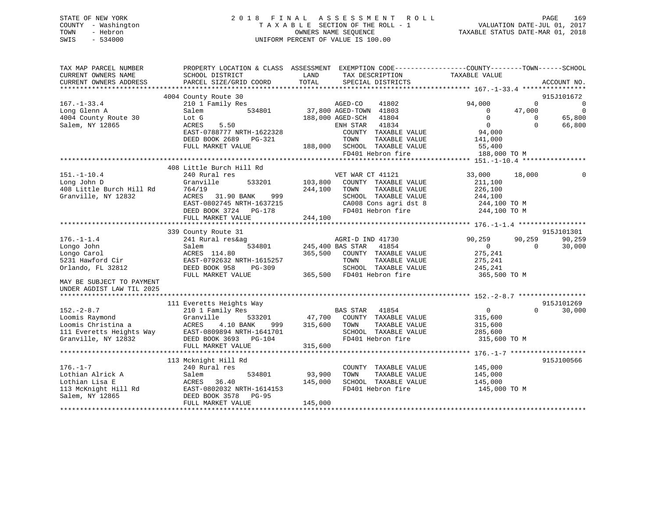| STATE OF NEW YORK   | 2018 FINAL ASSESSMENT ROLL         | 169<br>PAGE                      |
|---------------------|------------------------------------|----------------------------------|
| COUNTY - Washington | TAXABLE SECTION OF THE ROLL - 1    | VALUATION DATE-JUL 01, 2017      |
| TOWN<br>- Hebron    | OWNERS NAME SEOUENCE               | TAXABLE STATUS DATE-MAR 01, 2018 |
| $-534000$<br>SWIS   | UNIFORM PERCENT OF VALUE IS 100.00 |                                  |
|                     |                                    |                                  |

| TAX MAP PARCEL NUMBER                |                                                                                                                                                                                                                                                                                                                                                                                                                 | PROPERTY LOCATION & CLASS ASSESSMENT EXEMPTION CODE----------------COUNTY-------TOWN------SCHOOL                                                                                                                                       |                                                                                        |
|--------------------------------------|-----------------------------------------------------------------------------------------------------------------------------------------------------------------------------------------------------------------------------------------------------------------------------------------------------------------------------------------------------------------------------------------------------------------|----------------------------------------------------------------------------------------------------------------------------------------------------------------------------------------------------------------------------------------|----------------------------------------------------------------------------------------|
| CURRENT OWNERS NAME                  | SCHOOL DISTRICT                                                                                                                                                                                                                                                                                                                                                                                                 | LAND<br>TAX DESCRIPTION                                                                                                                                                                                                                | TAXABLE VALUE                                                                          |
|                                      |                                                                                                                                                                                                                                                                                                                                                                                                                 |                                                                                                                                                                                                                                        | ACCOUNT NO.                                                                            |
|                                      |                                                                                                                                                                                                                                                                                                                                                                                                                 |                                                                                                                                                                                                                                        |                                                                                        |
| $167. - 1 - 33.4$                    | 4004 County Route 30<br>210 1 Family Res                                                                                                                                                                                                                                                                                                                                                                        | Route 30<br>Family Res 534801 MGED-CO 41802<br>534801 11804 1200 105 106 105 106 106 106 107 11804                                                                                                                                     | 915J101672<br>$\overline{0}$<br>94,000                                                 |
| Long Glenn A                         | Salem                                                                                                                                                                                                                                                                                                                                                                                                           |                                                                                                                                                                                                                                        | $\overline{a}$<br>$\overline{0}$                                                       |
| Nong Glenn A<br>4004 County Route 30 | Lot G                                                                                                                                                                                                                                                                                                                                                                                                           | 188,000 AGED-SCH 41804                                                                                                                                                                                                                 | $\begin{matrix} 0 & 47,000 \end{matrix}$<br>$\overline{0}$<br>65,800<br>$\overline{0}$ |
| Salem, NY 12865                      | 5.50<br>ACRES                                                                                                                                                                                                                                                                                                                                                                                                   | ENH STAR 41834                                                                                                                                                                                                                         | $\overline{0}$<br>$\bigcirc$<br>66,800                                                 |
|                                      | EAST-0788777 NRTH-1622328                                                                                                                                                                                                                                                                                                                                                                                       | COUNTY TAXABLE VALUE                                                                                                                                                                                                                   | 94,000                                                                                 |
|                                      | DEED BOOK 2689    PG-321                                                                                                                                                                                                                                                                                                                                                                                        | TAXABLE VALUE 141,000                                                                                                                                                                                                                  |                                                                                        |
|                                      | FULL MARKET VALUE                                                                                                                                                                                                                                                                                                                                                                                               | $\begin{tabular}{lllllll} \bf G-321 & & & \tt TOWN & & \tt TAXABLE & \tt VALUE \\ & & \tt 188,000 & \tt SCHOOL & \tt TAXABLE & \tt VALUE \end{tabular}$                                                                                | 55,400                                                                                 |
|                                      |                                                                                                                                                                                                                                                                                                                                                                                                                 | FD401 Hebron fire                                                                                                                                                                                                                      | 188,000 TO M                                                                           |
|                                      |                                                                                                                                                                                                                                                                                                                                                                                                                 |                                                                                                                                                                                                                                        |                                                                                        |
|                                      | 408 Little Burch Hill Rd                                                                                                                                                                                                                                                                                                                                                                                        |                                                                                                                                                                                                                                        |                                                                                        |
| $151.-1-10.4$                        | 240 Rural res                                                                                                                                                                                                                                                                                                                                                                                                   | VET WAR CT 41121                                                                                                                                                                                                                       | 33,000<br>18,000<br>$\Omega$                                                           |
| Long John D                          | Granville                                                                                                                                                                                                                                                                                                                                                                                                       | 533201 103,800 COUNTY TAXABLE VALUE                                                                                                                                                                                                    | 211,100                                                                                |
| 408 Little Burch Hill Rd             | 764/19                                                                                                                                                                                                                                                                                                                                                                                                          | 244,100 TOWN<br>TAXABLE VALUE                                                                                                                                                                                                          | 226,100                                                                                |
|                                      |                                                                                                                                                                                                                                                                                                                                                                                                                 |                                                                                                                                                                                                                                        |                                                                                        |
|                                      |                                                                                                                                                                                                                                                                                                                                                                                                                 |                                                                                                                                                                                                                                        |                                                                                        |
|                                      |                                                                                                                                                                                                                                                                                                                                                                                                                 |                                                                                                                                                                                                                                        |                                                                                        |
|                                      |                                                                                                                                                                                                                                                                                                                                                                                                                 |                                                                                                                                                                                                                                        |                                                                                        |
|                                      |                                                                                                                                                                                                                                                                                                                                                                                                                 | Granville, NY 12832 ACRES 31.90 BANK 999<br>Granville, NY 12832 ACRES 31.90 BANK 999<br>EAST-0802745 NRTH-1637215 CA008 CONS agri dst 8 244,100 TO M<br>EED BOOK 3724 PG-178 PD401 Hebron fire 244,100 TO M<br>FULL MARKET VALUE 244,1 |                                                                                        |
|                                      | 339 County Route 31                                                                                                                                                                                                                                                                                                                                                                                             |                                                                                                                                                                                                                                        | 915J101301                                                                             |
| $176. - 1 - 1.4$                     | 241 Rural res&ag                                                                                                                                                                                                                                                                                                                                                                                                | AGRI-D IND 41730                                                                                                                                                                                                                       | 90,259<br>90,259<br>90,259                                                             |
|                                      |                                                                                                                                                                                                                                                                                                                                                                                                                 |                                                                                                                                                                                                                                        | 30,000                                                                                 |
|                                      |                                                                                                                                                                                                                                                                                                                                                                                                                 | 365,500 COUNTY TAXABLE VALUE                                                                                                                                                                                                           | 275,241                                                                                |
|                                      |                                                                                                                                                                                                                                                                                                                                                                                                                 | TOWN<br>TAXABLE VALUE                                                                                                                                                                                                                  | 275,241                                                                                |
|                                      |                                                                                                                                                                                                                                                                                                                                                                                                                 | SCHOOL TAXABLE VALUE                                                                                                                                                                                                                   | 245,241                                                                                |
|                                      | 176.-1-1.1<br>Longo John Salem<br>Longo Carol ACRES 114.80 305,500<br>5231 Hawford Cir EAST-0792632 NRTH-1615257<br>DEED BOOK 958 PG-309<br>TILL BLED BOOK 958 PG-309<br>TILL BLED BOOK 958 PG-309<br>TILL BLED BOOK 958 PG-309                                                                                                                                                                                 | 365,500 FD401 Hebron fire 365,500 TO M                                                                                                                                                                                                 |                                                                                        |
| MAY BE SUBJECT TO PAYMENT            |                                                                                                                                                                                                                                                                                                                                                                                                                 |                                                                                                                                                                                                                                        |                                                                                        |
| UNDER AGDIST LAW TIL 2025            |                                                                                                                                                                                                                                                                                                                                                                                                                 |                                                                                                                                                                                                                                        |                                                                                        |
|                                      | The Communication of the Communication of the Communication of the Communication of the Communication of the Communication of the Communication of the Communication of the Communication of the Communication of the Communic                                                                                                                                                                                  |                                                                                                                                                                                                                                        | 915J101269                                                                             |
|                                      |                                                                                                                                                                                                                                                                                                                                                                                                                 |                                                                                                                                                                                                                                        | $\overline{0}$<br>$\Omega$<br>30,000                                                   |
| $152 - 2 - 8.7$                      |                                                                                                                                                                                                                                                                                                                                                                                                                 |                                                                                                                                                                                                                                        |                                                                                        |
|                                      |                                                                                                                                                                                                                                                                                                                                                                                                                 |                                                                                                                                                                                                                                        |                                                                                        |
|                                      |                                                                                                                                                                                                                                                                                                                                                                                                                 |                                                                                                                                                                                                                                        |                                                                                        |
|                                      |                                                                                                                                                                                                                                                                                                                                                                                                                 |                                                                                                                                                                                                                                        |                                                                                        |
|                                      |                                                                                                                                                                                                                                                                                                                                                                                                                 | FD401 Hebron fire 315,600 TO M                                                                                                                                                                                                         |                                                                                        |
|                                      |                                                                                                                                                                                                                                                                                                                                                                                                                 | 152.-2-8./<br>Loomis Raymond Granville (10 BANK 999 315,600 TOWN TAXABLE VALUE 315,600<br>111 Everetts Heights Way EAST-0809894 NRTH-1641701 SCHOOL TAXABLE VALUE 285,600<br>315,600 SCHOOL TAXABLE VALUE 285,600<br>47,700 COUNTI IAR |                                                                                        |
|                                      | 113 Mcknight Hill Rd                                                                                                                                                                                                                                                                                                                                                                                            |                                                                                                                                                                                                                                        | 915J100566                                                                             |
|                                      |                                                                                                                                                                                                                                                                                                                                                                                                                 | COUNTY TAXABLE VALUE                                                                                                                                                                                                                   |                                                                                        |
|                                      |                                                                                                                                                                                                                                                                                                                                                                                                                 | 534801 93,900<br>TOWN<br>TAXABLE VALUE                                                                                                                                                                                                 | 145,000<br>145,000                                                                     |
|                                      | 145,000                                                                                                                                                                                                                                                                                                                                                                                                         | SCHOOL TAXABLE VALUE 145,000                                                                                                                                                                                                           |                                                                                        |
|                                      |                                                                                                                                                                                                                                                                                                                                                                                                                 | FD401 Hebron fire                                                                                                                                                                                                                      | 145,000 TO M                                                                           |
|                                      |                                                                                                                                                                                                                                                                                                                                                                                                                 |                                                                                                                                                                                                                                        |                                                                                        |
|                                      | $\begin{tabular}{lllllllllllll} \rule{0pt}{0pt} \rule{0pt}{2pt} \rule{0pt}{2pt} \rule{0pt}{2pt} \rule{0pt}{2pt} \rule{0pt}{2pt} \rule{0pt}{2pt} \rule{0pt}{2pt} \rule{0pt}{2pt} \rule{0pt}{2pt} \rule{0pt}{2pt} \rule{0pt}{2pt} \rule{0pt}{2pt} \rule{0pt}{2pt} \rule{0pt}{2pt} \rule{0pt}{2pt} \rule{0pt}{2pt} \rule{0pt}{2pt} \rule{0pt}{2pt} \rule{0pt}{2pt} \rule{0pt}{2pt} \rule{0pt}{2pt} \rule{0pt}{2pt$ | 145,000                                                                                                                                                                                                                                |                                                                                        |
|                                      |                                                                                                                                                                                                                                                                                                                                                                                                                 |                                                                                                                                                                                                                                        |                                                                                        |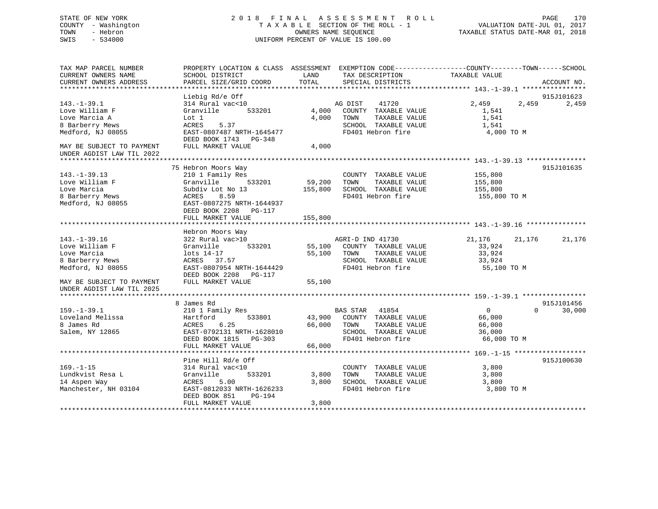## STATE OF NEW YORK 2 0 1 8 F I N A L A S S E S S M E N T R O L L PAGE 170 COUNTY - Washington T A X A B L E SECTION OF THE ROLL - 1 VALUATION DATE-JUL 01, 2017 TOWN - Hebron OWNERS NAME SEQUENCE TAXABLE STATUS DATE-MAR 01, 2018 SWIS - 534000 UNIFORM PERCENT OF VALUE IS 100.00

| TAX MAP PARCEL NUMBER<br>CURRENT OWNERS NAME | SCHOOL DISTRICT           | LAND    | PROPERTY LOCATION & CLASS ASSESSMENT EXEMPTION CODE----------------COUNTY-------TOWN------SCHOOL<br>TAX DESCRIPTION | TAXABLE VALUE  |          |             |
|----------------------------------------------|---------------------------|---------|---------------------------------------------------------------------------------------------------------------------|----------------|----------|-------------|
| CURRENT OWNERS ADDRESS                       | PARCEL SIZE/GRID COORD    | TOTAL   | SPECIAL DISTRICTS                                                                                                   |                |          | ACCOUNT NO. |
|                                              |                           |         |                                                                                                                     |                |          |             |
|                                              | Liebig Rd/e Off           |         |                                                                                                                     |                |          | 915J101623  |
| $143. - 1 - 39.1$                            | 314 Rural vac<10          |         | AG DIST<br>41720                                                                                                    | 2,459          | 2,459    | 2,459       |
| Love William F                               | 533201<br>Granville       | 4,000   | COUNTY TAXABLE VALUE                                                                                                | 1,541          |          |             |
| Love Marcia A                                | Lot 1                     | 4,000   | TAXABLE VALUE<br>TOWN                                                                                               | 1,541          |          |             |
| 8 Barberry Mews                              | 5.37<br>ACRES             |         | SCHOOL TAXABLE VALUE                                                                                                | 1,541          |          |             |
| Medford, NJ 08055                            | EAST-0807487 NRTH-1645477 |         | FD401 Hebron fire                                                                                                   | 4,000 TO M     |          |             |
|                                              | DEED BOOK 1743 PG-348     |         |                                                                                                                     |                |          |             |
| MAY BE SUBJECT TO PAYMENT                    | FULL MARKET VALUE         | 4,000   |                                                                                                                     |                |          |             |
| UNDER AGDIST LAW TIL 2022                    |                           |         |                                                                                                                     |                |          |             |
|                                              |                           |         |                                                                                                                     |                |          |             |
|                                              | 75 Hebron Moors Way       |         |                                                                                                                     |                |          | 915J101635  |
| $143. - 1 - 39.13$                           | 210 1 Family Res          |         | COUNTY TAXABLE VALUE                                                                                                | 155,800        |          |             |
| Love William F                               | Granville<br>533201       | 59,200  | TOWN<br>TAXABLE VALUE                                                                                               | 155,800        |          |             |
| Love Marcia                                  | Subdiv Lot No 13          | 155,800 | SCHOOL TAXABLE VALUE                                                                                                | 155,800        |          |             |
| 8 Barberry Mews                              | 8.59<br>ACRES             |         | FD401 Hebron fire                                                                                                   | 155,800 TO M   |          |             |
| Medford, NJ 08055                            | EAST-0807275 NRTH-1644937 |         |                                                                                                                     |                |          |             |
|                                              | DEED BOOK 2208 PG-117     |         |                                                                                                                     |                |          |             |
|                                              | FULL MARKET VALUE         | 155,800 |                                                                                                                     |                |          |             |
|                                              | Hebron Moors Way          |         |                                                                                                                     |                |          |             |
| $143. - 1 - 39.16$                           | 322 Rural vac>10          |         | AGRI-D IND 41730                                                                                                    | 21,176         | 21,176   | 21,176      |
| Love William F                               | 533201<br>Granville       |         | 55,100 COUNTY TAXABLE VALUE                                                                                         | 33,924         |          |             |
| Love Marcia                                  | lots 14-17                | 55,100  | TOWN<br>TAXABLE VALUE                                                                                               | 33,924         |          |             |
| 8 Barberry Mews                              | ACRES 37.57               |         | SCHOOL TAXABLE VALUE                                                                                                | 33,924         |          |             |
| Medford, NJ 08055                            | EAST-0807954 NRTH-1644429 |         | FD401 Hebron fire                                                                                                   | 55,100 TO M    |          |             |
|                                              | DEED BOOK 2208 PG-117     |         |                                                                                                                     |                |          |             |
| MAY BE SUBJECT TO PAYMENT                    | FULL MARKET VALUE         | 55,100  |                                                                                                                     |                |          |             |
| UNDER AGDIST LAW TIL 2025                    |                           |         |                                                                                                                     |                |          |             |
|                                              |                           |         |                                                                                                                     |                |          |             |
|                                              | 8 James Rd                |         |                                                                                                                     |                |          | 915J101456  |
| $159. - 1 - 39.1$                            | 210 1 Family Res          |         | BAS STAR 41854                                                                                                      | $\overline{0}$ | $\Omega$ | 30,000      |
| Loveland Melissa                             | 533801<br>Hartford        |         | 43,900 COUNTY TAXABLE VALUE                                                                                         | 66,000         |          |             |
| 8 James Rd                                   | 6.25<br>ACRES             | 66,000  | TOWN<br>TAXABLE VALUE                                                                                               | 66,000         |          |             |
| Salem, NY 12865                              | EAST-0792131 NRTH-1628010 |         | SCHOOL TAXABLE VALUE                                                                                                | 36,000         |          |             |
|                                              | DEED BOOK 1815 PG-303     |         | FD401 Hebron fire                                                                                                   | 66,000 TO M    |          |             |
|                                              | FULL MARKET VALUE         | 66,000  |                                                                                                                     |                |          |             |
|                                              |                           |         |                                                                                                                     |                |          |             |
|                                              | Pine Hill Rd/e Off        |         |                                                                                                                     |                |          | 915J100630  |
| $169. - 1 - 15$                              | 314 Rural vac<10          |         | COUNTY TAXABLE VALUE                                                                                                | 3,800          |          |             |
| Lundkvist Resa L                             | Granville<br>533201       | 3,800   | TAXABLE VALUE<br>TOWN                                                                                               | 3,800          |          |             |
| 14 Aspen Way                                 | 5.00<br>ACRES             | 3,800   | SCHOOL TAXABLE VALUE                                                                                                | 3,800          |          |             |
| Manchester, NH 03104                         | EAST-0812033 NRTH-1626233 |         | FD401 Hebron fire                                                                                                   | 3,800 TO M     |          |             |
|                                              | DEED BOOK 851<br>PG-194   |         |                                                                                                                     |                |          |             |
|                                              | FULL MARKET VALUE         | 3,800   |                                                                                                                     |                |          |             |
|                                              |                           |         |                                                                                                                     |                |          |             |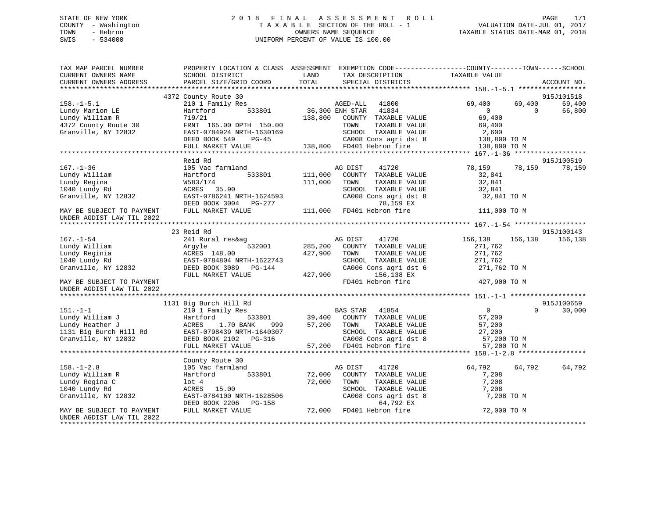## STATE OF NEW YORK 2 0 1 8 F I N A L A S S E S S M E N T R O L L PAGE 171 COUNTY - Washington T A X A B L E SECTION OF THE ROLL - 1 VALUATION DATE-JUL 01, 2017 TOWN - Hebron OWNERS NAME SEQUENCE TAXABLE STATUS DATE-MAR 01, 2018 SWIS - 534000 UNIFORM PERCENT OF VALUE IS 100.00

| TAX MAP PARCEL NUMBER                                                             |                                                    | PROPERTY LOCATION & CLASS ASSESSMENT EXEMPTION CODE----------------COUNTY-------TOWN------SCHOOL                                                                                                                                                 |                         |             |
|-----------------------------------------------------------------------------------|----------------------------------------------------|--------------------------------------------------------------------------------------------------------------------------------------------------------------------------------------------------------------------------------------------------|-------------------------|-------------|
| CURRENT OWNERS NAME                                                               | SCHOOL DISTRICT                                    | LAND<br>TAX DESCRIPTION                                                                                                                                                                                                                          | TAXABLE VALUE           |             |
| CURRENT OWNERS ADDRESS                                                            | PARCEL SIZE/GRID COORD                             | TOTAL<br>SPECIAL DISTRICTS                                                                                                                                                                                                                       |                         | ACCOUNT NO. |
|                                                                                   |                                                    |                                                                                                                                                                                                                                                  |                         | 915J101518  |
|                                                                                   | 4372 County Route 30                               |                                                                                                                                                                                                                                                  | 69,400<br>69,400        | 69,400      |
| $158. - 1 - 5.1$                                                                  |                                                    |                                                                                                                                                                                                                                                  | $\Omega$<br>$\bigcap$   | 66,800      |
|                                                                                   |                                                    |                                                                                                                                                                                                                                                  | 69,400                  |             |
|                                                                                   |                                                    |                                                                                                                                                                                                                                                  |                         |             |
| Lundy Marion LE<br>Lundy William R<br>4372 County Route 30<br>Granville, NY 12832 |                                                    |                                                                                                                                                                                                                                                  |                         |             |
|                                                                                   |                                                    |                                                                                                                                                                                                                                                  |                         |             |
|                                                                                   |                                                    |                                                                                                                                                                                                                                                  |                         |             |
|                                                                                   |                                                    | 4372 County Route 30<br>FRNT 165.00 DPTH 150.00<br>Granville, NY 12832 EAST-0784924 NRTH-1630169 SCHOOL TAXABLE VALUE 2,600<br>DEED BOOK 549 PG-45 CA008 Cons agri dst 8 138,800 TO M<br>FULL MARKET VALUE 138,800 FD401 Hebron fire 1           |                         |             |
|                                                                                   | Reid Rd                                            |                                                                                                                                                                                                                                                  |                         | 915J100519  |
| $167. - 1 - 36$                                                                   | 105 Vac farmland                                   | AG DIST 41720                                                                                                                                                                                                                                    | 78,159<br>78,159 78,159 |             |
|                                                                                   | 533801 111,000<br>Hartford                         | COUNTY TAXABLE VALUE                                                                                                                                                                                                                             | 32,841                  |             |
|                                                                                   | W583/174                                           | 111,000<br>TOWN<br>TAXABLE VALUE                                                                                                                                                                                                                 | 32,841                  |             |
|                                                                                   | W583/174<br>ACRES 35.90                            |                                                                                                                                                                                                                                                  | 32,841                  |             |
| Lundy William<br>Lundy Regina<br>1040 Lundy Rd<br>Granville, NY 12832             |                                                    | SCHOOL TAXABLE VALUE<br>CA008 Cons agri dst 8                                                                                                                                                                                                    | 32,841 TO M             |             |
|                                                                                   |                                                    |                                                                                                                                                                                                                                                  |                         |             |
| MAY BE SUBJECT TO PAYMENT                                                         |                                                    | ACRES<br>EAST-0786241 NRTH-1624593<br>DEED BOOK 3004 PG-277 111,000 FD401 HAABLE BAST<br>TULL MARKET VALUE 111,000 FD401 Hebron fire                                                                                                             | 111,000 TO M            |             |
| UNDER AGDIST LAW TIL 2022                                                         |                                                    |                                                                                                                                                                                                                                                  |                         |             |
|                                                                                   |                                                    |                                                                                                                                                                                                                                                  |                         |             |
|                                                                                   | 23 Reid Rd                                         |                                                                                                                                                                                                                                                  |                         | 915J100143  |
|                                                                                   |                                                    |                                                                                                                                                                                                                                                  | 41720 156,138 156,138   | 156,138     |
|                                                                                   |                                                    |                                                                                                                                                                                                                                                  | 271,762                 |             |
|                                                                                   |                                                    | TAXABLE VALUE                                                                                                                                                                                                                                    | 271,762                 |             |
|                                                                                   |                                                    |                                                                                                                                                                                                                                                  |                         |             |
|                                                                                   |                                                    | SCHOOL TAXABLE VALUE 271,762<br>CA006 Cons agri dst 6 271,762 TO M                                                                                                                                                                               |                         |             |
|                                                                                   |                                                    |                                                                                                                                                                                                                                                  |                         |             |
|                                                                                   |                                                    | 156,138 EX<br>FD401 Hebron fire 427,900 TO M                                                                                                                                                                                                     |                         |             |
| UNDER AGDIST LAW TIL 2022                                                         |                                                    |                                                                                                                                                                                                                                                  |                         |             |
|                                                                                   |                                                    |                                                                                                                                                                                                                                                  |                         |             |
|                                                                                   | 1131 Big Burch Hill Rd                             |                                                                                                                                                                                                                                                  |                         | 915J100659  |
|                                                                                   |                                                    |                                                                                                                                                                                                                                                  | $\Omega$                | 30,000      |
|                                                                                   |                                                    |                                                                                                                                                                                                                                                  |                         |             |
|                                                                                   |                                                    |                                                                                                                                                                                                                                                  |                         |             |
|                                                                                   |                                                    |                                                                                                                                                                                                                                                  |                         |             |
|                                                                                   |                                                    |                                                                                                                                                                                                                                                  |                         |             |
|                                                                                   |                                                    | 1131 Big Burch Hill Rd<br>1131 Big Burch Hill Rd<br>1210 1 Family Res<br>1210 1 Family Res<br>131 Big Burch Hill Rd<br>132 10 EAST-0798439 NRTH-1640307<br>1331 Big Burch Hill Rd<br>1331 Big Burch Hill Rd<br>1331 Big Burch Hill Rd<br>1331 Bi |                         |             |
|                                                                                   |                                                    |                                                                                                                                                                                                                                                  |                         |             |
|                                                                                   | County Route 30                                    |                                                                                                                                                                                                                                                  |                         |             |
| $158. - 1 - 2.8$                                                                  | 105 Vac farmland                                   | AG DIST<br>41720                                                                                                                                                                                                                                 | 64,792<br>64,792        | 64,792      |
| Lundy William R                                                                   | Hartford 533801 72,000                             | COUNTY TAXABLE VALUE                                                                                                                                                                                                                             | 7,208                   |             |
| Lundy Regina C                                                                    | lot 4                                              | 72,000 TOWN<br>TAXABLE VALUE                                                                                                                                                                                                                     | 7,208                   |             |
| 1040 Lundy Rd                                                                     | ACRES 15.00                                        | SCHOOL TAXABLE VALUE 7,208                                                                                                                                                                                                                       |                         |             |
| Granville, NY 12832                                                               | EAST-0784100 NRTH-1628506<br>DEED BOOK 2206 PG-158 | CA008 Cons agri dst 8                                                                                                                                                                                                                            | 7,208 TO M              |             |
|                                                                                   |                                                    | 64,792 EX                                                                                                                                                                                                                                        |                         |             |
| MAY BE SUBJECT TO PAYMENT                                                         | FULL MARKET VALUE                                  | 72,000 FD401 Hebron fire                                                                                                                                                                                                                         | 72,000 TO M             |             |
| UNDER AGDIST LAW TIL 2022                                                         |                                                    |                                                                                                                                                                                                                                                  |                         |             |
|                                                                                   |                                                    |                                                                                                                                                                                                                                                  |                         |             |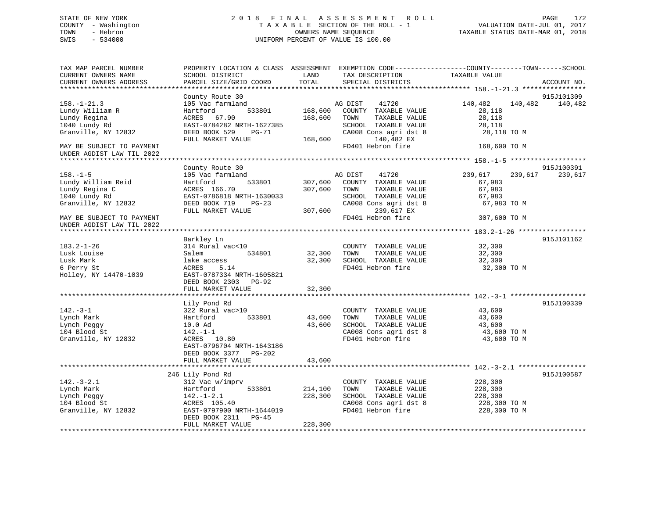## STATE OF NEW YORK 2 0 1 8 F I N A L A S S E S S M E N T R O L L PAGE 172 COUNTY - Washington T A X A B L E SECTION OF THE ROLL - 1 VALUATION DATE-JUL 01, 2017 TOWN - Hebron OWNERS NAME SEQUENCE TAXABLE STATUS DATE-MAR 01, 2018 SWIS - 534000 UNIFORM PERCENT OF VALUE IS 100.00

| TAX MAP PARCEL NUMBER<br>CURRENT OWNERS NAME<br>CURRENT OWNERS ADDRESS                                                      | PROPERTY LOCATION & CLASS ASSESSMENT EXEMPTION CODE----------------COUNTY-------TOWN-----SCHOOL<br>SCHOOL DISTRICT<br>PARCEL SIZE/GRID COORD            | LAND<br>TOTAL                 | TAX DESCRIPTION<br>SPECIAL DISTRICTS                                                                                                                       | TAXABLE VALUE                                                                   | ACCOUNT NO.           |
|-----------------------------------------------------------------------------------------------------------------------------|---------------------------------------------------------------------------------------------------------------------------------------------------------|-------------------------------|------------------------------------------------------------------------------------------------------------------------------------------------------------|---------------------------------------------------------------------------------|-----------------------|
|                                                                                                                             |                                                                                                                                                         |                               |                                                                                                                                                            |                                                                                 |                       |
| $158. - 1 - 21.3$<br>Lundy William R<br>Lundy Regina<br>1040 Lundy Rd<br>Granville, NY 12832                                | County Route 30<br>105 Vac farmland<br>Hartford<br>533801<br>ACRES 67.90<br>EAST-0784282 NRTH-1627385<br>DEED BOOK 529<br>PG-71<br>FULL MARKET VALUE    | 168,600<br>168,600<br>168,600 | 41720<br>AG DIST<br>COUNTY TAXABLE VALUE<br>TOWN<br>TAXABLE VALUE<br>SCHOOL TAXABLE VALUE<br>CA008 Cons agri dst 8<br>140,482 EX                           | 140,482<br>140,482<br>28,118<br>28,118<br>28,118<br>28,118 TO M                 | 915J101309<br>140,482 |
| MAY BE SUBJECT TO PAYMENT<br>UNDER AGDIST LAW TIL 2022                                                                      |                                                                                                                                                         |                               | FD401 Hebron fire                                                                                                                                          | 168,600 TO M                                                                    |                       |
|                                                                                                                             | County Route 30                                                                                                                                         |                               |                                                                                                                                                            |                                                                                 | 915J100391            |
| $158. - 1 - 5$<br>Lundy William Reid<br>Lundy Regina C<br>1040 Lundy Rd<br>Granville, NY 12832<br>MAY BE SUBJECT TO PAYMENT | 105 Vac farmland<br>533801<br>Hartford<br>ACRES 166.70<br>EAST-0786818 NRTH-1630033<br>DEED BOOK 719<br>$PG-23$<br>FULL MARKET VALUE                    | 307,600<br>307,600            | AG DIST 41720<br>307,600 COUNTY TAXABLE VALUE<br>TOWN<br>TAXABLE VALUE<br>SCHOOL TAXABLE VALUE<br>CA008 Cons agri dst 8<br>239,617 EX<br>FD401 Hebron fire | 239,617<br>239,617<br>67,983<br>67,983<br>67,983<br>67,983 TO M<br>307,600 TO M | 239,617               |
| UNDER AGDIST LAW TIL 2022                                                                                                   |                                                                                                                                                         |                               |                                                                                                                                                            |                                                                                 |                       |
| $183.2 - 1 - 26$<br>Lusk Louise<br>Lusk Mark<br>6 Perry St                                                                  | Barkley Ln<br>314 Rural vac<10<br>534801<br>Salem<br>lake access<br>ACRES<br>5.14                                                                       | 32,300                        | COUNTY TAXABLE VALUE<br>TAXABLE VALUE<br>TOWN<br>32,300 SCHOOL TAXABLE VALUE<br>FD401 Hebron fire                                                          | 32,300<br>32,300<br>32,300<br>32,300 TO M                                       | 915J101162            |
| Holley, NY 14470-1039                                                                                                       | EAST-0787334 NRTH-1605821<br>DEED BOOK 2303 PG-92<br>FULL MARKET VALUE                                                                                  | 32,300<br>************        |                                                                                                                                                            |                                                                                 |                       |
|                                                                                                                             | Lily Pond Rd                                                                                                                                            |                               |                                                                                                                                                            |                                                                                 | 915J100339            |
| $142. - 3 - 1$<br>Lynch Mark<br>Lynch Peggy<br>104 Blood St<br>Granville, NY 12832                                          | 322 Rural vac>10<br>533801<br>Hartford<br>10.0 Ad<br>142.-1-1<br>ACRES 10.80<br>EAST-0796704 NRTH-1643186<br>DEED BOOK 3377 PG-202<br>FULL MARKET VALUE | 43,600<br>43,600<br>43,600    | COUNTY TAXABLE VALUE<br>TOWN<br>TAXABLE VALUE<br>SCHOOL TAXABLE VALUE<br>CA008 Cons agri dst 8<br>FD401 Hebron fire                                        | 43,600<br>43,600<br>43,600<br>43,600 TO M<br>43,600 TO M                        |                       |
|                                                                                                                             |                                                                                                                                                         |                               |                                                                                                                                                            |                                                                                 |                       |
| $142. - 3 - 2.1$<br>Lynch Mark<br>Lynch Peggy<br>104 Blood St<br>Granville, NY 12832                                        | 246 Lily Pond Rd<br>312 Vac w/imprv<br>533801<br>Hartford<br>$142. - 1 - 2.1$<br>ACRES 105.40<br>EAST-0797900 NRTH-1644019<br>DEED BOOK 2311 PG-45      | 214,100<br>228,300            | COUNTY TAXABLE VALUE<br>TOWN<br>TAXABLE VALUE<br>SCHOOL TAXABLE VALUE<br>CA008 Cons agri dst 8<br>FD401 Hebron fire                                        | 228,300<br>228,300<br>228,300<br>228,300 TO M<br>228,300 TO M                   | 915J100587            |
|                                                                                                                             | FULL MARKET VALUE                                                                                                                                       | 228,300                       |                                                                                                                                                            |                                                                                 |                       |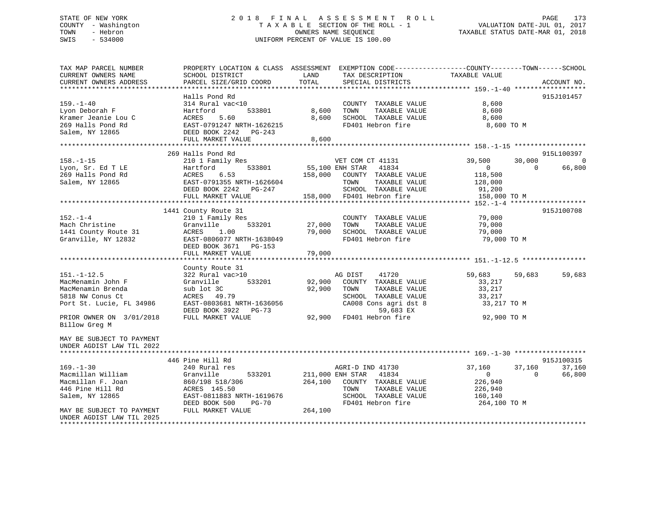# STATE OF NEW YORK 2 0 1 8 F I N A L A S S E S S M E N T R O L L PAGE 173COUNTY - Washington  $T A X A B L E$  SECTION OF THE ROLL - 1 TOWN - Hebron SWIS - 534000 UNIFORM PERCENT OF VALUE IS 100.00

TAXABLE STATUS DATE-MAR 01, 2018

| TAX MAP PARCEL NUMBER     |                           | PROPERTY LOCATION & CLASS ASSESSMENT EXEMPTION CODE----------------COUNTY-------TOWN------SCHOOL |                            |          |
|---------------------------|---------------------------|--------------------------------------------------------------------------------------------------|----------------------------|----------|
| CURRENT OWNERS NAME       | SCHOOL DISTRICT           | LAND<br>TAX DESCRIPTION                                                                          | TAXABLE VALUE              |          |
| CURRENT OWNERS ADDRESS    | PARCEL SIZE/GRID COORD    | TOTAL<br>SPECIAL DISTRICTS                                                                       | ACCOUNT NO.                |          |
|                           |                           |                                                                                                  |                            |          |
|                           | Halls Pond Rd             |                                                                                                  | 915J101457                 |          |
| $159. - 1 - 40$           | 314 Rural vac<10          | COUNTY TAXABLE VALUE                                                                             | 8,600                      |          |
| Lyon Deborah F            | Hartford<br>533801        | 8,600<br>TAXABLE VALUE<br>TOWN                                                                   | 8,600                      |          |
| Kramer Jeanie Lou C       | 5.60<br>ACRES             | 8,600<br>SCHOOL TAXABLE VALUE                                                                    | 8,600                      |          |
| 269 Halls Pond Rd         | EAST-0791247 NRTH-1626215 | FD401 Hebron fire                                                                                | 8,600 TO M                 |          |
| Salem, NY 12865           | DEED BOOK 2242 PG-243     |                                                                                                  |                            |          |
|                           | FULL MARKET VALUE         | 8,600                                                                                            |                            |          |
|                           |                           |                                                                                                  |                            |          |
|                           | 269 Halls Pond Rd         |                                                                                                  | 915L100397                 |          |
| $158. - 1 - 15$           | 210 1 Family Res          | VET COM CT 41131                                                                                 | 39,500<br>30,000           | $\Omega$ |
| Lyon, Sr. Ed T LE         | 533801<br>Hartford        | 55,100 ENH STAR<br>41834                                                                         | $\overline{0}$<br>$\Omega$ | 66,800   |
| 269 Halls Pond Rd         | ACRES<br>6.53             | 158,000 COUNTY TAXABLE VALUE                                                                     | 118,500                    |          |
| Salem, NY 12865           | EAST-0791355 NRTH-1626604 | TAXABLE VALUE<br>TOWN                                                                            | 128,000                    |          |
|                           | DEED BOOK 2242 PG-247     | SCHOOL TAXABLE VALUE                                                                             | 91,200                     |          |
|                           | FULL MARKET VALUE         | 158,000 FD401 Hebron fire                                                                        | 158,000 TO M               |          |
|                           |                           |                                                                                                  |                            |          |
|                           | 1441 County Route 31      |                                                                                                  | 915J100708                 |          |
| $152. - 1 - 4$            | 210 1 Family Res          | COUNTY TAXABLE VALUE                                                                             | 79,000                     |          |
| Mach Christine            | 533201<br>Granville       | 27,000<br>TOWN<br>TAXABLE VALUE                                                                  | 79,000                     |          |
| 1441 County Route 31      | ACRES<br>1.00             | 79,000 SCHOOL TAXABLE VALUE                                                                      | 79,000                     |          |
| Granville, NY 12832       | EAST-0806077 NRTH-1638049 | FD401 Hebron fire                                                                                | 79,000 TO M                |          |
|                           | DEED BOOK 3671 PG-153     |                                                                                                  |                            |          |
|                           | FULL MARKET VALUE         | 79,000                                                                                           |                            |          |
|                           |                           |                                                                                                  |                            |          |
|                           | County Route 31           |                                                                                                  |                            |          |
| $151. - 1 - 12.5$         | 322 Rural vac>10          | 41720<br>AG DIST                                                                                 | 59,683<br>59,683           | 59,683   |
| MacMenamin John F         | 533201<br>Granville       | 92,900<br>COUNTY TAXABLE VALUE                                                                   | 33,217                     |          |
| MacMenamin Brenda         | sub lot 3C                | 92,900<br>TOWN<br>TAXABLE VALUE                                                                  | 33,217                     |          |
| 5818 NW Conus Ct          | ACRES 49.79               | SCHOOL TAXABLE VALUE                                                                             | 33,217                     |          |
| Port St. Lucie, FL 34986  | EAST-0803681 NRTH-1636056 | CA008 Cons agri dst 8                                                                            | 33,217 TO M                |          |
|                           | DEED BOOK 3922 PG-73      | 59,683 EX                                                                                        |                            |          |
| PRIOR OWNER ON 3/01/2018  | FULL MARKET VALUE         | 92,900 FD401 Hebron fire                                                                         | 92,900 TO M                |          |
| Billow Greg M             |                           |                                                                                                  |                            |          |
|                           |                           |                                                                                                  |                            |          |
| MAY BE SUBJECT TO PAYMENT |                           |                                                                                                  |                            |          |
| UNDER AGDIST LAW TIL 2022 |                           |                                                                                                  |                            |          |
|                           |                           |                                                                                                  |                            |          |
|                           | 446 Pine Hill Rd          |                                                                                                  | 915J100315                 |          |
| $169. - 1 - 30$           | 240 Rural res             | AGRI-D IND 41730                                                                                 | 37,160<br>37,160           | 37,160   |
| Macmillan William         | Granville<br>533201       | 211,000 ENH STAR<br>41834                                                                        | $\overline{0}$<br>$\Omega$ | 66,800   |
| Macmillan F. Joan         | 860/198 518/306           | 264,100 COUNTY TAXABLE VALUE                                                                     | 226,940                    |          |
| 446 Pine Hill Rd          | ACRES 145.50              | TOWN<br>TAXABLE VALUE                                                                            | 226,940                    |          |
| Salem, NY 12865           | EAST-0811883 NRTH-1619676 | SCHOOL TAXABLE VALUE                                                                             | 160,140                    |          |
|                           | DEED BOOK 500<br>PG-70    | FD401 Hebron fire                                                                                | 264,100 TO M               |          |
| MAY BE SUBJECT TO PAYMENT | FULL MARKET VALUE         | 264,100                                                                                          |                            |          |
| UNDER AGDIST LAW TIL 2025 |                           |                                                                                                  |                            |          |
|                           |                           |                                                                                                  |                            |          |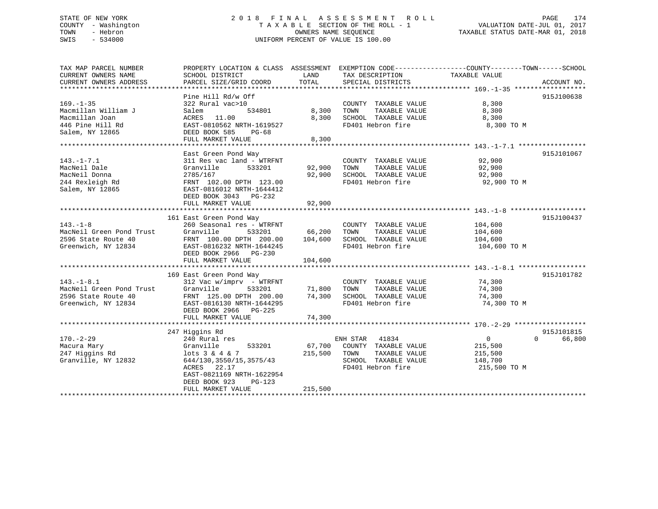## STATE OF NEW YORK 2 0 1 8 F I N A L A S S E S S M E N T R O L L PAGE 174 COUNTY - Washington T A X A B L E SECTION OF THE ROLL - 1 VALUATION DATE-JUL 01, 2017 TOWN - Hebron OWNERS NAME SEQUENCE TAXABLE STATUS DATE-MAR 01, 2018 SWIS - 534000 UNIFORM PERCENT OF VALUE IS 100.00

| TAX MAP PARCEL NUMBER    | PROPERTY LOCATION & CLASS ASSESSMENT EXEMPTION CODE---------------COUNTY-------TOWN-----SCHOOL |         |                       |                |                    |
|--------------------------|------------------------------------------------------------------------------------------------|---------|-----------------------|----------------|--------------------|
| CURRENT OWNERS NAME      | SCHOOL DISTRICT                                                                                | LAND    | TAX DESCRIPTION       | TAXABLE VALUE  |                    |
| CURRENT OWNERS ADDRESS   | PARCEL SIZE/GRID COORD                                                                         | TOTAL   | SPECIAL DISTRICTS     |                | ACCOUNT NO.        |
|                          |                                                                                                |         |                       |                |                    |
|                          | Pine Hill Rd/w Off                                                                             |         |                       |                | 915J100638         |
| $169. - 1 - 35$          | 322 Rural vac>10                                                                               |         | COUNTY TAXABLE VALUE  | 8,300          |                    |
| Macmillan William J      | 534801<br>Salem                                                                                | 8,300   | TAXABLE VALUE<br>TOWN | 8,300          |                    |
| Macmillan Joan           | ACRES 11.00                                                                                    | 8,300   | SCHOOL TAXABLE VALUE  | 8,300          |                    |
| 446 Pine Hill Rd         | EAST-0810562 NRTH-1619527                                                                      |         | FD401 Hebron fire     | 8,300 TO M     |                    |
| Salem, NY 12865          | DEED BOOK 585<br>PG-68                                                                         |         |                       |                |                    |
|                          | FULL MARKET VALUE                                                                              | 8,300   |                       |                |                    |
|                          |                                                                                                |         |                       |                |                    |
|                          | East Green Pond Way                                                                            |         |                       |                | 915J101067         |
| $143. - 1 - 7.1$         | 311 Res vac land - WTRFNT                                                                      |         | COUNTY TAXABLE VALUE  | 92,900         |                    |
| MacNeil Dale             | 533201<br>Granville                                                                            | 92,900  | TAXABLE VALUE<br>TOWN | 92,900         |                    |
| MacNeil Donna            | 2785/167                                                                                       | 92,900  | SCHOOL TAXABLE VALUE  | 92,900         |                    |
| 244 Rexleigh Rd          | FRNT 102.00 DPTH 123.00                                                                        |         | FD401 Hebron fire     | 92,900 TO M    |                    |
| Salem, NY 12865          | EAST-0816012 NRTH-1644412                                                                      |         |                       |                |                    |
|                          | DEED BOOK 3043 PG-232                                                                          |         |                       |                |                    |
|                          | FULL MARKET VALUE                                                                              | 92,900  |                       |                |                    |
|                          |                                                                                                |         |                       |                |                    |
|                          | 161 East Green Pond Way                                                                        |         |                       |                | 915J100437         |
| $143. - 1 - 8$           | 260 Seasonal res - WTRFNT                                                                      |         | COUNTY TAXABLE VALUE  | 104,600        |                    |
| MacNeil Green Pond Trust | Granville<br>533201                                                                            | 66,200  | TOWN<br>TAXABLE VALUE | 104,600        |                    |
| 2596 State Route 40      | FRNT 100.00 DPTH 200.00                                                                        | 104,600 | SCHOOL TAXABLE VALUE  | 104,600        |                    |
| Greenwich, NY 12834      | EAST-0816232 NRTH-1644245                                                                      |         | FD401 Hebron fire     | 104,600 TO M   |                    |
|                          |                                                                                                |         |                       |                |                    |
|                          | DEED BOOK 2966 PG-230                                                                          |         |                       |                |                    |
|                          | FULL MARKET VALUE                                                                              | 104,600 |                       |                |                    |
|                          |                                                                                                |         |                       |                |                    |
|                          | 169 East Green Pond Way                                                                        |         |                       | 74,300         | 915J101782         |
| $143. - 1 - 8.1$         | $312$ Vac w/imprv - WTRFNT                                                                     |         | COUNTY TAXABLE VALUE  |                |                    |
| MacNeil Green Pond Trust | Granville<br>533201                                                                            | 71,800  | TAXABLE VALUE<br>TOWN | 74,300         |                    |
| 2596 State Route 40      | FRNT 125.00 DPTH 200.00                                                                        | 74,300  | SCHOOL TAXABLE VALUE  | 74,300         |                    |
| Greenwich, NY 12834      | EAST-0816130 NRTH-1644295                                                                      |         | FD401 Hebron fire     | 74,300 TO M    |                    |
|                          | DEED BOOK 2966 PG-225                                                                          |         |                       |                |                    |
|                          | FULL MARKET VALUE                                                                              | 74,300  |                       |                |                    |
|                          |                                                                                                |         |                       |                |                    |
|                          | 247 Higgins Rd                                                                                 |         |                       |                | 915J101815         |
| $170. - 2 - 29$          | 240 Rural res                                                                                  |         | ENH STAR<br>41834     | $\overline{0}$ | $\Omega$<br>66,800 |
| Macura Mary              | Granville<br>533201                                                                            | 67,700  | COUNTY TAXABLE VALUE  | 215,500        |                    |
| 247 Higgins Rd           | $lots$ 3 & 4 & 7                                                                               | 215,500 | TOWN<br>TAXABLE VALUE | 215,500        |                    |
| Granville, NY 12832      | 644/130, 3550/15, 3575/43                                                                      |         | SCHOOL TAXABLE VALUE  | 148,700        |                    |
|                          | 22.17<br>ACRES                                                                                 |         | FD401 Hebron fire     | 215,500 TO M   |                    |
|                          | EAST-0821169 NRTH-1622954                                                                      |         |                       |                |                    |
|                          | DEED BOOK 923<br>$PG-123$                                                                      |         |                       |                |                    |
|                          | FULL MARKET VALUE                                                                              | 215,500 |                       |                |                    |
|                          |                                                                                                |         |                       |                |                    |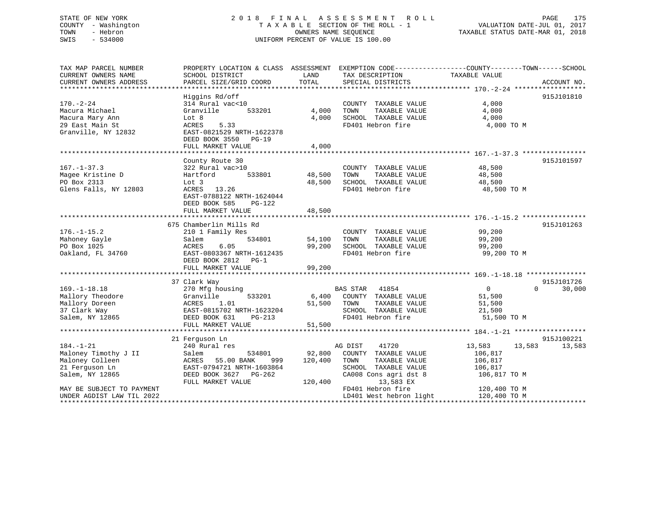## STATE OF NEW YORK 2 0 1 8 F I N A L A S S E S S M E N T R O L L PAGE 175 COUNTY - Washington T A X A B L E SECTION OF THE ROLL - 1 VALUATION DATE-JUL 01, 2017 TOWN - Hebron OWNERS NAME SEQUENCE TAXABLE STATUS DATE-MAR 01, 2018 SWIS - 534000 UNIFORM PERCENT OF VALUE IS 100.00

| TAX MAP PARCEL NUMBER              | PROPERTY LOCATION & CLASS ASSESSMENT EXEMPTION CODE----------------COUNTY-------TOWN------SCHOOL |               |                                                  |                  |                    |
|------------------------------------|--------------------------------------------------------------------------------------------------|---------------|--------------------------------------------------|------------------|--------------------|
| CURRENT OWNERS NAME                | SCHOOL DISTRICT                                                                                  | LAND          | TAX DESCRIPTION                                  | TAXABLE VALUE    |                    |
|                                    |                                                                                                  |               |                                                  |                  |                    |
|                                    |                                                                                                  |               |                                                  |                  |                    |
|                                    | Higgins Rd/off                                                                                   |               |                                                  |                  | 915J101810         |
| $170. - 2 - 24$                    | 314 Rural vac<10                                                                                 |               | COUNTY TAXABLE VALUE                             | 4,000            |                    |
| Macura Michael                     | Granville<br>533201                                                                              | 4,000         | TOWN<br>TAXABLE VALUE                            | 4,000            |                    |
| Macura Mary Ann                    | Lot 8                                                                                            | 4,000         | SCHOOL TAXABLE VALUE                             | 4,000            |                    |
| 29 East Main St                    | 5.33<br>ACRES                                                                                    |               | FD401 Hebron fire                                | 4,000 TO M       |                    |
| Granville, NY 12832                | EAST-0821529 NRTH-1622378                                                                        |               |                                                  |                  |                    |
|                                    | DEED BOOK 3550 PG-19                                                                             |               |                                                  |                  |                    |
|                                    | FULL MARKET VALUE                                                                                | 4,000         |                                                  |                  |                    |
|                                    |                                                                                                  |               |                                                  |                  |                    |
|                                    |                                                                                                  |               |                                                  |                  |                    |
|                                    | County Route 30                                                                                  |               |                                                  |                  | 915J101597         |
| $167. - 1 - 37.3$                  | 322 Rural vac>10                                                                                 |               | COUNTY TAXABLE VALUE 48,500                      |                  |                    |
| Magee Kristine D                   | Hartford                                                                                         | 533801 48,500 | TOWN<br>TAXABLE VALUE                            | 48,500           |                    |
| PO Box 2313                        | Lot 3                                                                                            |               | 48,500 SCHOOL TAXABLE VALUE<br>FD401 Hebron fire | 48,500           |                    |
| Glens Falls, NY 12803              | ACRES 13.26                                                                                      |               |                                                  | 48,500 TO M      |                    |
|                                    | EAST-0788122 NRTH-1624044                                                                        |               |                                                  |                  |                    |
|                                    | DEED BOOK 585<br>$PG-122$                                                                        |               |                                                  |                  |                    |
|                                    | FULL MARKET VALUE                                                                                | 48,500        |                                                  |                  |                    |
|                                    |                                                                                                  |               |                                                  |                  |                    |
|                                    | 675 Chamberlin Mills Rd                                                                          |               |                                                  |                  | 915J101263         |
| $176. - 1 - 15.2$                  | 210 1 Family Res                                                                                 |               | COUNTY TAXABLE VALUE                             | 99,200           |                    |
| Mahoney Gayle                      | 534801<br>Salem                                                                                  | 54,100        | TAXABLE VALUE<br>TOWN                            | 99,200           |                    |
| PO Box 1025                        | 6.05<br>ACRES                                                                                    |               | 99,200 SCHOOL TAXABLE VALUE                      | 99,200           |                    |
| Oakland, FL 34760                  | EAST-0803367 NRTH-1612435                                                                        |               | FD401 Hebron fire                                | 99,200 TO M      |                    |
|                                    | DEED BOOK 2812 PG-1                                                                              |               |                                                  |                  |                    |
|                                    | FULL MARKET VALUE                                                                                | 99,200        |                                                  |                  |                    |
|                                    |                                                                                                  |               |                                                  |                  |                    |
|                                    | 37 Clark Way                                                                                     |               |                                                  |                  | 915J101726         |
| $169. - 1 - 18.18$                 | 270 Mfg housing                                                                                  |               | BAS STAR 41854                                   | $\overline{0}$   | $\Omega$<br>30,000 |
| Mallory Theodore<br>Mallory Doreen | 533201<br>Granville                                                                              |               | 6,400 COUNTY TAXABLE VALUE                       | 51,500           |                    |
|                                    | Granvi<br>ACRES<br>1.01                                                                          | 51,500 TOWN   | TAXABLE VALUE                                    | 51,500           |                    |
| 37 Clark Way                       |                                                                                                  |               | SCHOOL TAXABLE VALUE                             | 21,500           |                    |
| Salem, NY 12865                    | EAST-0815702 NRTH-1623204<br>DEED BOOK 631 PG-213<br>DEED BOOK 631<br>PG-213                     |               | FD401 Hebron fire                                | 51,500 TO M      |                    |
|                                    | FULL MARKET VALUE                                                                                | 51,500        |                                                  |                  |                    |
|                                    |                                                                                                  |               |                                                  |                  |                    |
|                                    | 21 Ferquson Ln                                                                                   |               |                                                  |                  | 915J100221         |
| $184. - 1 - 21$                    | 240 Rural res                                                                                    |               | 41720<br>AG DIST                                 | 13,583<br>13,583 | 13,583             |
| Maloney Timothy J II               | 534801<br>Salem                                                                                  |               | 92,800 COUNTY TAXABLE VALUE                      | 106,817          |                    |
|                                    |                                                                                                  |               |                                                  |                  |                    |
| Maloney Colleen                    | ACRES<br>55.00 BANK<br>999                                                                       | 120,400       | TOWN<br>TAXABLE VALUE                            | 106,817          |                    |
| 21 Ferguson Ln                     | EAST-0794721 NRTH-1603864                                                                        |               | SCHOOL TAXABLE VALUE                             | 106,817          |                    |
| Salem, NY 12865                    | DEED BOOK 3627 PG-262                                                                            |               | CA008 Cons agri dst 8                            | 106,817 TO M     |                    |
|                                    | FULL MARKET VALUE                                                                                | 120,400       | 13,583 EX                                        |                  |                    |
| MAY BE SUBJECT TO PAYMENT          |                                                                                                  |               | FD401 Hebron fire                                | 120,400 TO M     |                    |
| UNDER AGDIST LAW TIL 2022          |                                                                                                  |               | LD401 West hebron light                          | 120,400 TO M     |                    |
|                                    |                                                                                                  |               |                                                  |                  |                    |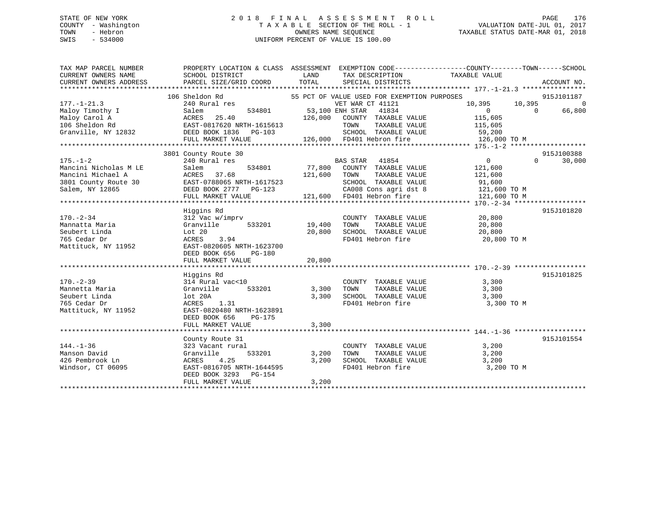## STATE OF NEW YORK 2 0 1 8 F I N A L A S S E S S M E N T R O L L PAGE 176 COUNTY - Washington T A X A B L E SECTION OF THE ROLL - 1 VALUATION DATE-JUL 01, 2017 TOWN - Hebron OWNERS NAME SEQUENCE TAXABLE STATUS DATE-MAR 01, 2018 SWIS - 534000 UNIFORM PERCENT OF VALUE IS 100.00

| TAX MAP PARCEL NUMBER  | PROPERTY LOCATION & CLASS ASSESSMENT EXEMPTION CODE---------------COUNTY-------TOWN-----SCHOOL |                |                                                                    |                            |          |             |
|------------------------|------------------------------------------------------------------------------------------------|----------------|--------------------------------------------------------------------|----------------------------|----------|-------------|
| CURRENT OWNERS NAME    | SCHOOL DISTRICT                                                                                | LAND           | TAX DESCRIPTION                                                    | TAXABLE VALUE              |          |             |
| CURRENT OWNERS ADDRESS | PARCEL SIZE/GRID COORD                                                                         | TOTAL          | SPECIAL DISTRICTS                                                  |                            |          | ACCOUNT NO. |
|                        |                                                                                                |                |                                                                    |                            |          |             |
|                        | 106 Sheldon Rd                                                                                 |                | 55 PCT OF VALUE USED FOR EXEMPTION PURPOSES                        |                            |          | 915J101187  |
| $177. - 1 - 21.3$      | 240 Rural res                                                                                  |                | VET WAR CT 41121                                                   | 10,395 10,395              |          | $\Omega$    |
| Maloy Timothy I        | Salem                                                                                          |                | 534801 53,100 ENH STAR 41834                                       | $\overline{0}$<br>$\sim$ 0 |          | 66,800      |
| Maloy Carol A          | ACRES 25.40<br>EAST-0817620 NRTH-1615613<br>DEED BOOK 1836 PG-103<br>126,000                   |                | 126,000 COUNTY TAXABLE VALUE                                       | 115,605                    |          |             |
| 106 Sheldon Rd         |                                                                                                |                | TOWN TAXABLE VALUE 115,605<br>SCHOOL TAXABLE VALUE 59,200          |                            |          |             |
| Granville, NY 12832    |                                                                                                |                |                                                                    |                            |          |             |
|                        |                                                                                                |                | 126,000 FD401 Hebron fire                                          | 126,000 TO M               |          |             |
|                        |                                                                                                |                |                                                                    |                            |          |             |
|                        | 3801 County Route 30                                                                           |                |                                                                    |                            |          | 915J100388  |
| $175. - 1 - 2$         | 240 Rural res                                                                                  |                | BAS STAR 41854<br>77,800 COUNTY TAXABLE VALUE                      | $\overline{0}$             | $\Omega$ | 30,000      |
| Mancini Nicholas M LE  | Salem<br>534801                                                                                |                |                                                                    | 121,600                    |          |             |
| Mancini Michael A      | ACRES 37.68                                                                                    | 121,600 TOWN   |                                                                    | TAXABLE VALUE 121,600      |          |             |
|                        |                                                                                                |                |                                                                    | 91,600<br>121,600 TO M     |          |             |
|                        |                                                                                                |                |                                                                    |                            |          |             |
|                        | FULL MARKET VALUE                                                                              |                | 121,600 FD401 Hebron fire                                          | 121,600 TO M               |          |             |
|                        |                                                                                                |                |                                                                    |                            |          |             |
|                        | Higgins Rd                                                                                     |                |                                                                    |                            |          | 915J101820  |
| $170. - 2 - 34$        | 312 Vac w/imprv                                                                                |                | COUNTY TAXABLE VALUE 20,800                                        |                            |          |             |
| Mannatta Maria         | Granville<br>533201                                                                            | 19,400         | TAXABLE VALUE<br>TOWN                                              | 20,800                     |          |             |
| Seubert Linda          | Lot 20                                                                                         | 20,800         | SCHOOL TAXABLE VALUE                                               | 20,800                     |          |             |
| 765 Cedar Dr           | 3.94<br>ACRES                                                                                  |                | FD401 Hebron fire                                                  | 20,800 TO M                |          |             |
| Mattituck, NY 11952    | EAST-0820605 NRTH-1623700                                                                      |                |                                                                    |                            |          |             |
|                        | DEED BOOK 656<br>PG-180                                                                        |                |                                                                    |                            |          |             |
|                        | FULL MARKET VALUE 20,800                                                                       |                |                                                                    |                            |          |             |
|                        |                                                                                                |                |                                                                    |                            |          |             |
| $170. - 2 - 39$        | Higgins Rd                                                                                     |                |                                                                    |                            |          | 915J101825  |
|                        | 314 Rural vac<10                                                                               |                | COUNTY TAXABLE VALUE                                               | 3,300                      |          |             |
| Mannetta Maria         | 533201<br>Granville                                                                            | 3,300<br>3,300 | TOWN<br>TAXABLE VALUE                                              | 3,300                      |          |             |
| Seubert Linda          | lot 20A                                                                                        |                | SCHOOL TAXABLE VALUE 3,300                                         |                            |          |             |
| 765 Cedar Dr           | ACRES 1.31                                                                                     |                | FD401 Hebron fire                                                  | 3,300 TO M                 |          |             |
| Mattituck, NY 11952    | EAST-0820480 NRTH-1623891                                                                      |                |                                                                    |                            |          |             |
|                        | DEED BOOK 656<br>PG-175                                                                        |                |                                                                    |                            |          |             |
|                        | FULL MARKET VALUE                                                                              | 3,300          |                                                                    |                            |          |             |
|                        |                                                                                                |                |                                                                    |                            |          |             |
|                        | County Route 31                                                                                |                |                                                                    |                            |          | 915J101554  |
| $144. - 1 - 36$        | 323 Vacant rural                                                                               |                | COUNTY TAXABLE VALUE 3,200                                         |                            |          |             |
| Manson David           | 533201<br>Granville                                                                            | 3,200          | TOWN<br>TAXABLE VALUE<br>TOWN LAARLE VALUE<br>SCHOOL TAXABLE VALUE | 3,200                      |          |             |
| 426 Pembrook Ln        | ACRES 4.25                                                                                     | 3,200          |                                                                    | 3,200                      |          |             |
| Windsor, CT 06095      | EAST-0816705 NRTH-1644595                                                                      |                |                                                                    | 3,200 TO M                 |          |             |
|                        | DEED BOOK 3293 PG-154<br>FULL MARKET VALUE                                                     | 3,200          |                                                                    |                            |          |             |
|                        |                                                                                                |                |                                                                    |                            |          |             |
|                        |                                                                                                |                |                                                                    |                            |          |             |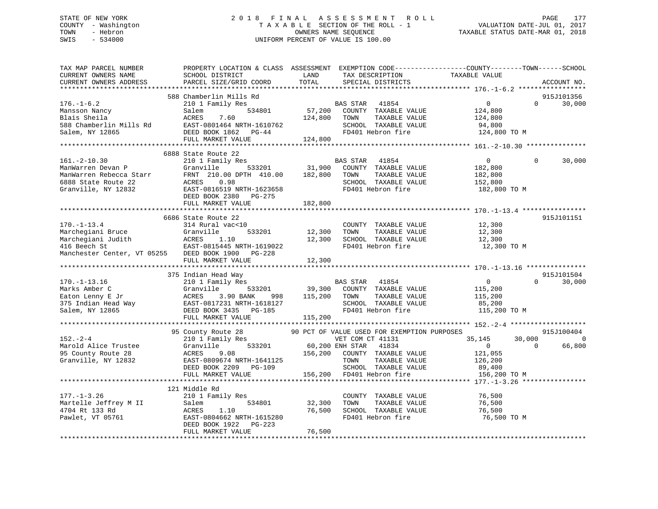## STATE OF NEW YORK 2 0 1 8 F I N A L A S S E S S M E N T R O L L PAGE 177 COUNTY - Washington T A X A B L E SECTION OF THE ROLL - 1 VALUATION DATE-JUL 01, 2017 TOWN - Hebron OWNERS NAME SEQUENCE TAXABLE STATUS DATE-MAR 01, 2018 SWIS - 534000 UNIFORM PERCENT OF VALUE IS 100.00

| CURRENT OWNERS NAME<br>SCHOOL DISTRICT<br>LAND<br>TAX DESCRIPTION<br>TAXABLE VALUE<br>TOTAL<br>CURRENT OWNERS ADDRESS<br>PARCEL SIZE/GRID COORD<br>SPECIAL DISTRICTS                                                                                                                                                                                                                                                                                                                                                                                                | ACCOUNT NO.               |
|---------------------------------------------------------------------------------------------------------------------------------------------------------------------------------------------------------------------------------------------------------------------------------------------------------------------------------------------------------------------------------------------------------------------------------------------------------------------------------------------------------------------------------------------------------------------|---------------------------|
|                                                                                                                                                                                                                                                                                                                                                                                                                                                                                                                                                                     |                           |
| 588 Chamberlin Mills Rd<br>$176. - 1 - 6.2$<br>210 1 Family Res<br>$\overline{0}$<br>$\Omega$<br>BAS STAR<br>41854<br>57,200<br>534801<br>COUNTY TAXABLE VALUE<br>Mansson Nancy<br>Salem<br>124,800<br>Blais Sheila<br>ACRES<br>7.60<br>124,800<br>TOWN<br>TAXABLE VALUE<br>124,800<br>588 Chamberlin Mills Rd<br>EAST-0801464 NRTH-1610762<br>SCHOOL TAXABLE VALUE<br>94,800<br>Salem, NY 12865<br>DEED BOOK 1862 PG-44<br>FD401 Hebron fire<br>124,800 TO M                                                                                                       | 915J101356<br>30,000      |
| 124,800<br>FULL MARKET VALUE                                                                                                                                                                                                                                                                                                                                                                                                                                                                                                                                        |                           |
|                                                                                                                                                                                                                                                                                                                                                                                                                                                                                                                                                                     |                           |
| 6888 State Route 22<br>$161. - 2 - 10.30$<br>210 1 Family Res<br>BAS STAR<br>41854<br>$\overline{0}$<br>$\Omega$<br>Granville 533201<br>31,900<br>ManWarren Devan P<br>COUNTY TAXABLE VALUE<br>182,800<br>FRNT 210.00 DPTH 410.00<br>182,800<br>TOWN<br>TAXABLE VALUE<br>ManWarren Rebecca Starr<br>182,800<br>SCHOOL TAXABLE VALUE<br>6888 State Route 22<br>ACRES 0.98<br>152,800<br>FD401 Hebron fire<br>Granville, NY 12832<br>EAST-0816519 NRTH-1623658<br>182,800 TO M<br>DEED BOOK 2380 PG-275                                                               | 30,000                    |
| FULL MARKET VALUE<br>182,800                                                                                                                                                                                                                                                                                                                                                                                                                                                                                                                                        |                           |
| 6686 State Route 22                                                                                                                                                                                                                                                                                                                                                                                                                                                                                                                                                 | 915J101151                |
| $170. - 1 - 13.4$<br>314 Rural vac<10<br>COUNTY TAXABLE VALUE<br>12,300<br>TAXABLE VALUE<br>Marchegiani Bruce<br>Granville<br>533201<br>12,300<br>TOWN<br>12,300<br>12,300<br>SCHOOL TAXABLE VALUE<br>12,300<br>FD401 Hebron fire<br>12,300 TO M<br>Manchester Center, VT 05255 DEED BOOK 1900 PG-228                                                                                                                                                                                                                                                               |                           |
| FULL MARKET VALUE<br>12,300                                                                                                                                                                                                                                                                                                                                                                                                                                                                                                                                         |                           |
| 375 Indian Head Way                                                                                                                                                                                                                                                                                                                                                                                                                                                                                                                                                 | 915J101504                |
| $170. - 1 - 13.16$<br>210 1 Family Res<br>BAS STAR<br>41854<br>$\overline{0}$<br>$\Omega$<br>39,300<br>Marks Amber C<br>533201<br>COUNTY TAXABLE VALUE<br>Granville<br>115,200<br>Faton Lenny E Jr<br>375 Indian Head Way<br>Salem, NY 12865<br>998 115,200<br>ACRES 3.90 BANK<br>TOWN<br>TAXABLE VALUE<br>115,200<br>EAST-0817231 NRTH-1618127<br>SCHOOL TAXABLE VALUE<br>85,200<br>FD401 Hebron fire<br>Salem, NY 12865<br>DEED BOOK 3435 PG-185<br>115,200 TO M<br>FULL MARKET VALUE<br>115,200                                                                  | 30,000                    |
|                                                                                                                                                                                                                                                                                                                                                                                                                                                                                                                                                                     |                           |
| 90 PCT OF VALUE USED FOR EXEMPTION PURPOSES<br>95 County Route 28<br>30,000<br>$152 - 2 - 4$<br>210 1 Family Res<br>VET COM CT 41131<br>35,145<br>533201<br>Marold Alice Trustee<br>201 60,200 ENH STAR 41834<br>156,200 COUNTY TAXABLE VALUE<br>$\overline{0}$<br>$\Omega$<br>Granville<br>95 County Route 28<br>ACRES<br>9.08<br>121,055<br>Granville, NY 12832<br>EAST-0809674 NRTH-1641125<br>PAST-0809674 NRTH-1641125<br>TOWN<br>TAXABLE VALUE<br>126,200<br>SCHOOL TAXABLE VALUE<br>89,400<br>FULL MARKET VALUE<br>156,200 FD401 Hebron fire<br>156,200 TO M | 915J100404<br>0<br>66,800 |
|                                                                                                                                                                                                                                                                                                                                                                                                                                                                                                                                                                     |                           |
| 121 Middle Rd<br>$177. - 1 - 3.26$<br>210 1 Family Res<br>COUNTY TAXABLE VALUE<br>76,500<br>534801<br>32,300<br>TOWN<br>TAXABLE VALUE<br>Martelle Jeffrey M II<br>76,500<br>4704 Rt 133 Rd<br>76,500<br>alem<br>ACRES<br>۱۳۸۰<br>1.10<br>SCHOOL TAXABLE VALUE<br>76,500<br>FD401 Hebron fire<br>EAST-0804662 NRTH-1615280<br>76,500 TO M<br>Pawlet, VT 05761<br>DEED BOOK 1922 PG-223                                                                                                                                                                               |                           |
| 76,500<br>FULL MARKET VALUE                                                                                                                                                                                                                                                                                                                                                                                                                                                                                                                                         |                           |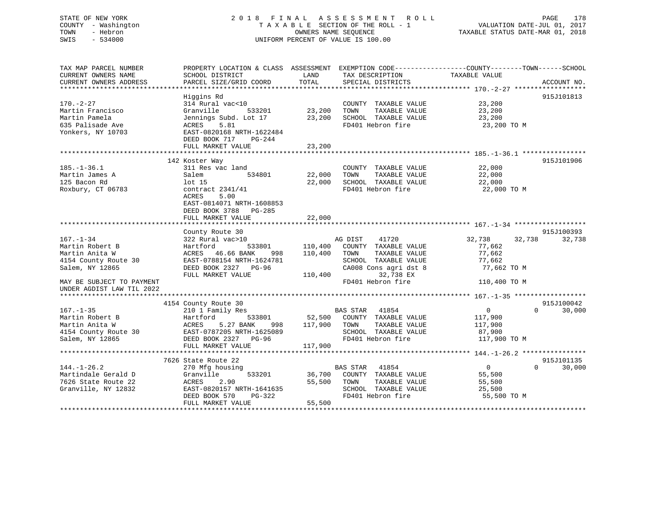# STATE OF NEW YORK 2018 FINAL ASSESSMENT ROLL PAGE 178 COUNTY - Washington  $T A X A B L E$  SECTION OF THE ROLL - 1<br>TOWN - Hebron DATE-JUL 000NERS NAME SEQUENCE SWIS - 534000 UNIFORM PERCENT OF VALUE IS 100.00

VALUATION DATE-JUL 01, 2017

TAXABLE STATUS DATE-MAR 01, 2018

| TAX MAP PARCEL NUMBER     |                           |                                   | PROPERTY LOCATION & CLASS ASSESSMENT EXEMPTION CODE----------------COUNTY-------TOWN------SCHOOL |
|---------------------------|---------------------------|-----------------------------------|--------------------------------------------------------------------------------------------------|
| CURRENT OWNERS NAME       | SCHOOL DISTRICT           | LAND<br>TAX DESCRIPTION           | TAXABLE VALUE                                                                                    |
| CURRENT OWNERS ADDRESS    | PARCEL SIZE/GRID COORD    | TOTAL<br>SPECIAL DISTRICTS        | ACCOUNT NO.                                                                                      |
|                           |                           |                                   |                                                                                                  |
|                           | Higgins Rd                |                                   | 915J101813                                                                                       |
| 170.-2-27                 | 314 Rural vac<10          | COUNTY TAXABLE VALUE              | 23,200                                                                                           |
| Martin Francisco          | 533201<br>Granville       | 23,200<br>TOWN<br>TAXABLE VALUE   | 23,200                                                                                           |
| Martin Pamela             | Jennings Subd. Lot 17     | 23,200<br>SCHOOL TAXABLE VALUE    | 23,200                                                                                           |
| 635 Palisade Ave          | ACRES 5.81                | FD401 Hebron fire                 | 23,200 TO M                                                                                      |
| Yonkers, NY 10703         | EAST-0820168 NRTH-1622484 |                                   |                                                                                                  |
|                           | DEED BOOK 717<br>PG-244   |                                   |                                                                                                  |
|                           | FULL MARKET VALUE         | 23,200                            |                                                                                                  |
|                           |                           |                                   |                                                                                                  |
|                           | 142 Koster Way            |                                   | 915J101906                                                                                       |
| $185. - 1 - 36.1$         | 311 Res vac land          | COUNTY TAXABLE VALUE              | 22,000                                                                                           |
| Martin James A            | 534801<br>Salem           | 22,000<br>TOWN<br>TAXABLE VALUE   | 22,000                                                                                           |
| 125 Bacon Rd              | lot <sub>15</sub>         | 22,000<br>SCHOOL TAXABLE VALUE    | 22,000                                                                                           |
| Roxbury, CT 06783         | contract 2341/41          | FD401 Hebron fire                 | 22,000 TO M                                                                                      |
|                           | ACRES<br>5.00             |                                   |                                                                                                  |
|                           | EAST-0814071 NRTH-1608853 |                                   |                                                                                                  |
|                           | DEED BOOK 3788 PG-285     |                                   |                                                                                                  |
|                           | FULL MARKET VALUE         | 22,000                            |                                                                                                  |
|                           |                           |                                   |                                                                                                  |
|                           | County Route 30           |                                   | 915J100393                                                                                       |
| $167. - 1 - 34$           | 322 Rural vac>10          | AG DIST<br>41720                  | 32,738<br>32,738<br>32,738                                                                       |
| Martin Robert B           | Hartford<br>533801        | 110,400<br>COUNTY TAXABLE VALUE   | 77,662                                                                                           |
| Martin Anita W            | ACRES 46.66 BANK<br>998   | 110,400<br>TOWN<br>TAXABLE VALUE  | 77,662                                                                                           |
| 4154 County Route 30      | EAST-0788154 NRTH-1624781 | SCHOOL TAXABLE VALUE              | 77,662                                                                                           |
| Salem, NY 12865           | DEED BOOK 2327 PG-96      | CA008 Cons agri dst 8             | 77,662 TO M                                                                                      |
|                           | FULL MARKET VALUE         | 32,738 EX<br>110,400              |                                                                                                  |
| MAY BE SUBJECT TO PAYMENT |                           | FD401 Hebron fire                 | 110,400 TO M                                                                                     |
| UNDER AGDIST LAW TIL 2022 |                           |                                   |                                                                                                  |
|                           |                           |                                   |                                                                                                  |
|                           | 4154 County Route 30      |                                   | 915J100042                                                                                       |
| $167. - 1 - 35$           | 210 1 Family Res          | <b>BAS STAR 41854</b>             | $\overline{0}$<br>$\Omega$<br>30,000                                                             |
| Martin Robert B           | Hartford<br>533801        | 52,500 COUNTY TAXABLE VALUE       | 117,900                                                                                          |
| Martin Anita W            | 5.27 BANK<br>ACRES        | 998 117,900 TOWN<br>TAXABLE VALUE | 117,900                                                                                          |
| 4154 County Route 30      | EAST-0787205 NRTH-1625089 | SCHOOL TAXABLE VALUE              | 87,900                                                                                           |
| Salem, NY 12865           | DEED BOOK 2327 PG-96      | FD401 Hebron fire                 | 117,900 TO M                                                                                     |
|                           | FULL MARKET VALUE         | 117,900                           |                                                                                                  |
|                           |                           |                                   |                                                                                                  |
|                           | 7626 State Route 22       |                                   | 915J101135                                                                                       |
| $144. - 1 - 26.2$         | 270 Mfg housing           | BAS STAR 41854                    | $\overline{0}$<br>$\Omega$<br>30,000                                                             |
| Martindale Gerald D       | Granville<br>533201       | 36,700 COUNTY TAXABLE VALUE       | 55,500                                                                                           |
| 7626 State Route 22       | ACRES<br>2.90             | 55,500 TOWN<br>TAXABLE VALUE      | 55,500                                                                                           |
| Granville, NY 12832       | EAST-0820157 NRTH-1641635 | SCHOOL TAXABLE VALUE              | 25,500                                                                                           |
|                           | DEED BOOK 570<br>PG-322   | FD401 Hebron fire                 | 55,500 TO M                                                                                      |
|                           | FULL MARKET VALUE         | 55,500                            |                                                                                                  |
|                           |                           |                                   |                                                                                                  |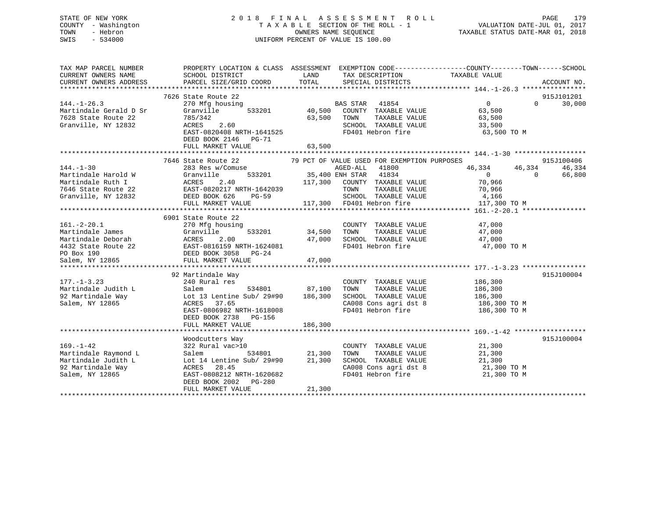## STATE OF NEW YORK 2 0 1 8 F I N A L A S S E S S M E N T R O L L PAGE 179 COUNTY - Washington T A X A B L E SECTION OF THE ROLL - 1 VALUATION DATE-JUL 01, 2017 TOWN - Hebron OWNERS NAME SEQUENCE TAXABLE STATUS DATE-MAR 01, 2018 SWIS - 534000 UNIFORM PERCENT OF VALUE IS 100.00

| SCHOOL DISTRICT<br>PARCEL SIZE/GRID COORD                                                                                                                                                                                                                                                  | LAND<br>TOTAL                                                                        | TAX DESCRIPTION<br>SPECIAL DISTRICTS                                                                                |                                                                                                                                                                                                                                                                                                                                                             | ACCOUNT NO.                                                                                                                                                                                                                                                                                                                                                                                                                                                                                                                                                                       |
|--------------------------------------------------------------------------------------------------------------------------------------------------------------------------------------------------------------------------------------------------------------------------------------------|--------------------------------------------------------------------------------------|---------------------------------------------------------------------------------------------------------------------|-------------------------------------------------------------------------------------------------------------------------------------------------------------------------------------------------------------------------------------------------------------------------------------------------------------------------------------------------------------|-----------------------------------------------------------------------------------------------------------------------------------------------------------------------------------------------------------------------------------------------------------------------------------------------------------------------------------------------------------------------------------------------------------------------------------------------------------------------------------------------------------------------------------------------------------------------------------|
| 7626 State Route 22<br>270 Mfg housing<br>Granville<br>785/342<br>ACRES 2.60<br>DEED BOOK 2146 PG-71<br>FULL MARKET VALUE                                                                                                                                                                  |                                                                                      | TAXABLE VALUE<br>FD401 Hebron fire                                                                                  | $\overline{0}$<br>63,500<br>63,500<br>33,500<br>63,500 TO M                                                                                                                                                                                                                                                                                                 | 915J101201<br>$\Omega$<br>30,000                                                                                                                                                                                                                                                                                                                                                                                                                                                                                                                                                  |
|                                                                                                                                                                                                                                                                                            |                                                                                      |                                                                                                                     |                                                                                                                                                                                                                                                                                                                                                             |                                                                                                                                                                                                                                                                                                                                                                                                                                                                                                                                                                                   |
| 7646 State Route 22<br>283 Res w/Comuse<br>Granville<br>FULL MARKET VALUE                                                                                                                                                                                                                  |                                                                                      | TOWN                                                                                                                | 46,334<br>$\overline{0}$<br>70,966<br>70,966<br>4,166<br>117,300 TO M                                                                                                                                                                                                                                                                                       | 915J100406<br>46,334<br>46,334<br>$\overline{0}$<br>66,800                                                                                                                                                                                                                                                                                                                                                                                                                                                                                                                        |
|                                                                                                                                                                                                                                                                                            |                                                                                      |                                                                                                                     |                                                                                                                                                                                                                                                                                                                                                             |                                                                                                                                                                                                                                                                                                                                                                                                                                                                                                                                                                                   |
| 270 Mfg housing<br>Martindale James<br>Martindale Deborah<br>1432 State Route 22<br>1432 State Route 22<br>1432 State Route 22<br>1432 State Route 22<br>1432 State Route 22<br>1432 State Route 22<br>1432 State Route 22<br>1432 State Route 22<br>1432 State Route<br>FULL MARKET VALUE |                                                                                      | TOWN                                                                                                                | 47,000<br>47,000 TO M                                                                                                                                                                                                                                                                                                                                       |                                                                                                                                                                                                                                                                                                                                                                                                                                                                                                                                                                                   |
|                                                                                                                                                                                                                                                                                            |                                                                                      |                                                                                                                     |                                                                                                                                                                                                                                                                                                                                                             | 915J100004                                                                                                                                                                                                                                                                                                                                                                                                                                                                                                                                                                        |
| 240 Rural res<br>Salem<br>ACRES<br>37.65<br>EAST-0806982 NRTH-1618008                                                                                                                                                                                                                      |                                                                                      | TAXABLE VALUE<br>TOWN                                                                                               | 186,300<br>186,300                                                                                                                                                                                                                                                                                                                                          |                                                                                                                                                                                                                                                                                                                                                                                                                                                                                                                                                                                   |
| FULL MARKET VALUE                                                                                                                                                                                                                                                                          |                                                                                      |                                                                                                                     |                                                                                                                                                                                                                                                                                                                                                             |                                                                                                                                                                                                                                                                                                                                                                                                                                                                                                                                                                                   |
|                                                                                                                                                                                                                                                                                            |                                                                                      |                                                                                                                     |                                                                                                                                                                                                                                                                                                                                                             |                                                                                                                                                                                                                                                                                                                                                                                                                                                                                                                                                                                   |
| 322 Rural vac>10<br>534801<br>Salem<br>Lot 14 Lentine Sub/ 29#90<br>ACRES 28.45<br>EAST-0808212 NRTH-1620682<br>DEED BOOK 2002 PG-280<br>FULL MARKET VALUE                                                                                                                                 | 21,300                                                                               | COUNTY TAXABLE VALUE<br>TAXABLE VALUE<br>TOWN<br>SCHOOL TAXABLE VALUE<br>CA008 Cons agri dst 8<br>FD401 Hebron fire | 21,300<br>21,300<br>21,300<br>21,300 TO M<br>21,300 TO M                                                                                                                                                                                                                                                                                                    | 915J100004                                                                                                                                                                                                                                                                                                                                                                                                                                                                                                                                                                        |
|                                                                                                                                                                                                                                                                                            | 6901 State Route 22<br>92 Martindale Way<br>DEED BOOK 2738 PG-156<br>Woodcutters Way | Granville 533201<br>ACRES 2.40<br>EAST-0820217 NRTH-1642039<br>DEED BOOK 626 PG-59<br>THE BOOK 626 PG-59            | 63,500 TOWN<br>EAST-0820408 NRTH-1641525<br>63,500<br>117.300 COUNTY TAXABLE 117.300 COUNTY TAXABLE<br>117,300 FD401 Hebron fire<br>533201 34,500<br>47,000<br>47,000<br>534801 87,100<br>92 Martindale Way $\begin{array}{ccc} \text{Lot 13 Lentine Sub/29#90} & 186,300 \\ \text{Coker} & \text{NTPS} & 27.65 \end{array}$<br>186,300<br>21,300<br>21,300 | PROPERTY LOCATION & CLASS ASSESSMENT EXEMPTION CODE----------------COUNTY-------TOWN-----SCHOOL<br>TAXABLE VALUE<br>BAS STAR 41854<br>533201 40,500 COUNTY TAXABLE VALUE<br>SCHOOL TAXABLE VALUE<br>FD401 Hebron fire<br>79 PCT OF VALUE USED FOR EXEMPTION PURPOSES<br>117,300 COUNTY TAXABLE VALUE<br>TAXABLE VALUE<br>SCHOOL TAXABLE VALUE<br>COUNTY TAXABLE VALUE 47,000<br>TAXABLE VALUE<br>SCHOOL TAXABLE VALUE 47,000<br>FD401 Hebron fire<br>COUNTY TAXABLE VALUE<br>SCHOOL TAXABLE VALUE 186,300<br>CA008 Cons agri dst 8 186,300 TO M<br>FD401 Hebron fire 186,300 TO M |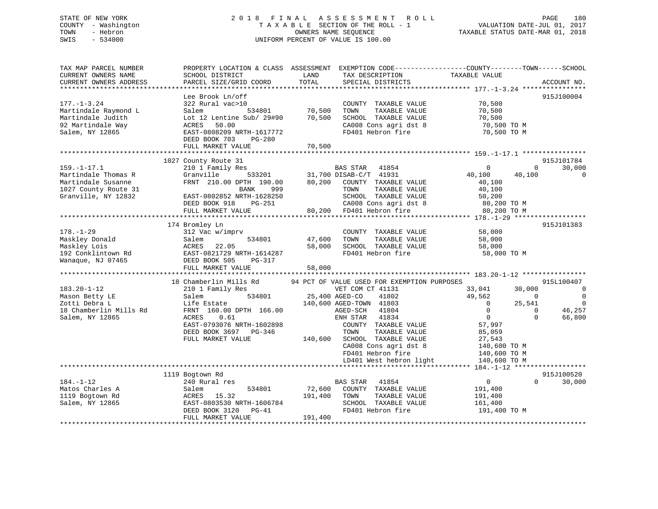## STATE OF NEW YORK 2 0 1 8 F I N A L A S S E S S M E N T R O L L PAGE 180 COUNTY - Washington T A X A B L E SECTION OF THE ROLL - 1 VALUATION DATE-JUL 01, 2017 TOWN - Hebron OWNERS NAME SEQUENCE TAXABLE STATUS DATE-MAR 01, 2018 SWIS - 534000 UNIFORM PERCENT OF VALUE IS 100.00

| TAX MAP PARCEL NUMBER<br>CURRENT OWNERS NAME<br>CURRENT OWNERS ADDRESS                                        | PROPERTY LOCATION & CLASS ASSESSMENT<br>SCHOOL DISTRICT<br>PARCEL SIZE/GRID COORD                                                                                                                   | LAND<br>TOTAL                | TAX DESCRIPTION<br>SPECIAL DISTRICTS                                                                                                                                                                                                                                                                              | EXEMPTION CODE-----------------COUNTY-------TOWN------SCHOOL<br>TAXABLE VALUE                                                                                                                           | ACCOUNT NO.                                                                    |
|---------------------------------------------------------------------------------------------------------------|-----------------------------------------------------------------------------------------------------------------------------------------------------------------------------------------------------|------------------------------|-------------------------------------------------------------------------------------------------------------------------------------------------------------------------------------------------------------------------------------------------------------------------------------------------------------------|---------------------------------------------------------------------------------------------------------------------------------------------------------------------------------------------------------|--------------------------------------------------------------------------------|
| ************************                                                                                      |                                                                                                                                                                                                     |                              |                                                                                                                                                                                                                                                                                                                   |                                                                                                                                                                                                         |                                                                                |
| $177. - 1 - 3.24$<br>Martindale Raymond L<br>Martindale Judith<br>92 Martindale Way<br>Salem, NY 12865        | Lee Brook Ln/off<br>322 Rural vac>10<br>Salem<br>534801<br>Lot 12 Lentine Sub/ 29#90<br>ACRES<br>50.00<br>EAST-0808209 NRTH-1617772<br>DEED BOOK 703<br>PG-280                                      | 70,500<br>70,500             | COUNTY TAXABLE VALUE<br>TOWN<br>TAXABLE VALUE<br>SCHOOL TAXABLE VALUE<br>CA008 Cons agri dst 8<br>FD401 Hebron fire                                                                                                                                                                                               | 70,500<br>70,500<br>70,500<br>70,500 TO M<br>70,500 TO M                                                                                                                                                | 915J100004                                                                     |
|                                                                                                               | FULL MARKET VALUE                                                                                                                                                                                   | 70,500                       |                                                                                                                                                                                                                                                                                                                   |                                                                                                                                                                                                         |                                                                                |
|                                                                                                               |                                                                                                                                                                                                     |                              |                                                                                                                                                                                                                                                                                                                   |                                                                                                                                                                                                         |                                                                                |
| $159. - 1 - 17.1$<br>Martindale Thomas R<br>Martindale Susanne<br>1027 County Route 31<br>Granville, NY 12832 | 1027 County Route 31<br>210 1 Family Res<br>Granville<br>533201<br>FRNT 210.00 DPTH 190.00<br>999<br><b>BANK</b><br>EAST-0802852 NRTH-1628250<br>DEED BOOK 918<br>PG-251<br>FULL MARKET VALUE       | 80,200<br>80,200             | BAS STAR<br>41854<br>31,700 DISAB-C/T 41931<br>COUNTY TAXABLE VALUE<br>TOWN<br>TAXABLE VALUE<br>SCHOOL TAXABLE VALUE<br>CA008 Cons agri dst 8<br>FD401 Hebron fire                                                                                                                                                | $\mathbf 0$<br>0<br>40,100<br>40,100<br>40,100<br>40,100<br>50,200<br>80,200 TO M<br>80,200 TO M                                                                                                        | 915J101784<br>30,000<br>$\Omega$                                               |
| 915J101383<br>174 Bromley Ln                                                                                  |                                                                                                                                                                                                     |                              |                                                                                                                                                                                                                                                                                                                   |                                                                                                                                                                                                         |                                                                                |
| $178. - 1 - 29$<br>Maskley Donald<br>Maskley Lois<br>192 Conklintown Rd<br>Wanaque, NJ 07465                  | 312 Vac w/imprv<br>534801<br>Salem<br>ACRES<br>22.05<br>EAST-0821729 NRTH-1614287<br>DEED BOOK 505<br>PG-317<br>FULL MARKET VALUE                                                                   | 47,600<br>58,000<br>58,000   | COUNTY TAXABLE VALUE<br>TOWN<br>TAXABLE VALUE<br>SCHOOL TAXABLE VALUE<br>FD401 Hebron fire                                                                                                                                                                                                                        | 58,000<br>58,000<br>58,000<br>58,000 TO M                                                                                                                                                               |                                                                                |
|                                                                                                               |                                                                                                                                                                                                     |                              |                                                                                                                                                                                                                                                                                                                   |                                                                                                                                                                                                         |                                                                                |
| $183.20 - 1 - 12$<br>Mason Betty LE<br>Zotti Debra L<br>18 Chamberlin Mills Rd<br>Salem, NY 12865             | 18 Chamberlin Mills Rd<br>210 1 Family Res<br>534801<br>Salem<br>Life Estate<br>FRNT 160.00 DPTH 166.00<br>ACRES<br>0.61<br>EAST-0793076 NRTH-1602898<br>DEED BOOK 3697 PG-346<br>FULL MARKET VALUE | 140,600                      | 94 PCT OF VALUE USED FOR EXEMPTION PURPOSES<br>VET COM CT 41131<br>25,400 AGED-CO<br>41802<br>140,600 AGED-TOWN 41803<br>41804<br>AGED-SCH<br>41834<br>ENH STAR<br>COUNTY TAXABLE VALUE<br>TOWN<br>TAXABLE VALUE<br>SCHOOL TAXABLE VALUE<br>CA008 Cons agri dst 8<br>FD401 Hebron fire<br>LD401 West hebron light | 33,041<br>30,000<br>49,562<br>$\mathbf{0}$<br>25,541<br>$\overline{0}$<br>$\mathbf 0$<br>$\Omega$<br>$\Omega$<br>$\Omega$<br>57,997<br>85,059<br>27,543<br>140,600 TO M<br>140,600 TO M<br>140,600 TO M | 915L100407<br>$\overline{0}$<br>$\mathbf 0$<br>$\mathbf 0$<br>46,257<br>66,800 |
|                                                                                                               |                                                                                                                                                                                                     |                              |                                                                                                                                                                                                                                                                                                                   |                                                                                                                                                                                                         |                                                                                |
| $184. - 1 - 12$<br>Matos Charles A<br>1119 Bogtown Rd<br>Salem, NY 12865                                      | 1119 Bogtown Rd<br>240 Rural res<br>534801<br>Salem<br>ACRES<br>15.32<br>EAST-0803530 NRTH-1606784<br>DEED BOOK 3120<br>$PG-41$<br>FULL MARKET VALUE                                                | 72,600<br>191,400<br>191,400 | BAS STAR<br>41854<br>COUNTY TAXABLE VALUE<br>TOWN<br>TAXABLE VALUE<br>SCHOOL TAXABLE VALUE<br>FD401 Hebron fire                                                                                                                                                                                                   | $\overline{0}$<br>$\Omega$<br>191,400<br>191,400<br>161,400<br>191,400 TO M                                                                                                                             | 915J100520<br>30,000                                                           |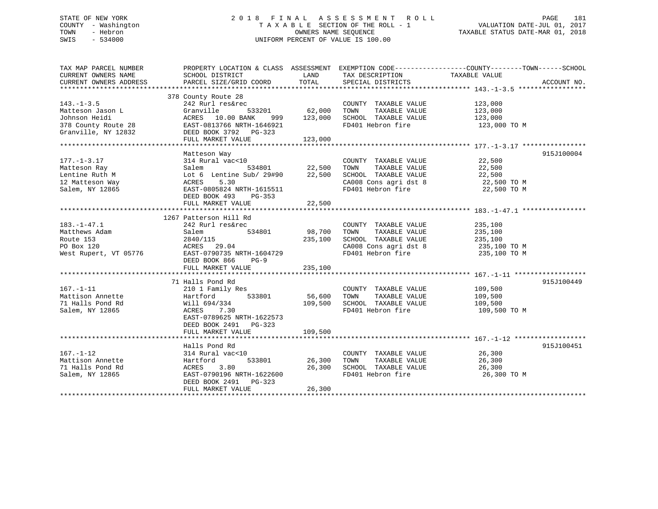# STATE OF NEW YORK 2 0 1 8 F I N A L A S S E S S M E N T R O L L PAGE 181 COUNTY - Washington T A X A B L E SECTION OF THE ROLL - 1 VALUATION DATE-JUL 01, 2017 TOWN - Hebron OWNERS NAME SEQUENCE TAXABLE STATUS DATE-MAR 01, 2018 SWIS - 534000 UNIFORM PERCENT OF VALUE IS 100.00

| TAX MAP PARCEL NUMBER                                        | PROPERTY LOCATION & CLASS ASSESSMENT EXEMPTION CODE----------------COUNTY-------TOWN-----SCHOOL |               |                                               |                         |             |
|--------------------------------------------------------------|-------------------------------------------------------------------------------------------------|---------------|-----------------------------------------------|-------------------------|-------------|
| CURRENT OWNERS NAME                                          | SCHOOL DISTRICT                                                                                 | LAND          | TAX DESCRIPTION                               | TAXABLE VALUE           |             |
| CURRENT OWNERS ADDRESS                                       | PARCEL SIZE/GRID COORD                                                                          | TOTAL         | SPECIAL DISTRICTS                             |                         | ACCOUNT NO. |
|                                                              |                                                                                                 |               |                                               |                         |             |
|                                                              | 378 County Route 28                                                                             |               |                                               |                         |             |
| $143. - 1 - 3.5$                                             | 242 Rurl res&rec                                                                                |               | COUNTY TAXABLE VALUE                          | 123,000                 |             |
| Matteson Jason L                                             | Granville<br>533201                                                                             | 62,000        | TOWN<br>TAXABLE VALUE                         | 123,000                 |             |
| Johnson Heidi                                                | ACRES 10.00 BANK                                                                                | 999 123,000   | SCHOOL TAXABLE VALUE                          | 123,000                 |             |
| 378 County Route 28                                          | EAST-0813766 NRTH-1646921                                                                       |               | FD401 Hebron fire                             | 123,000 TO M            |             |
| Granville, NY 12832                                          | DEED BOOK 3792 PG-323                                                                           |               |                                               |                         |             |
|                                                              | FULL MARKET VALUE                                                                               | 123,000       |                                               |                         |             |
|                                                              |                                                                                                 |               |                                               |                         |             |
|                                                              | Matteson Way                                                                                    |               |                                               |                         | 915J100004  |
| $177. - 1 - 3.17$                                            | 314 Rural vac<10                                                                                |               | COUNTY TAXABLE VALUE                          | 22,500                  |             |
| Matteson Ray                                                 |                                                                                                 | 534801 22,500 | TAXABLE VALUE<br>TOWN                         | 22,500                  |             |
| Lentine Ruth M                                               | Lot 6 Lentine Sub/ 29#90                                                                        | 22,500        | SCHOOL TAXABLE VALUE                          | 22,500                  |             |
| your Realer<br>Salem<br>My RCRES<br>ACRES<br>12 Matteson Way | 5.30                                                                                            |               | CA008 Cons agri dst 8 22,500 TO M             |                         |             |
| Salem, NY 12865                                              | EAST-0805824 NRTH-1615511                                                                       |               | FD401 Hebron fire                             | 22,500 TO M             |             |
|                                                              | DEED BOOK 493 PG-353                                                                            |               |                                               |                         |             |
|                                                              | FULL MARKET VALUE                                                                               | 22,500        |                                               |                         |             |
|                                                              |                                                                                                 |               |                                               |                         |             |
|                                                              | 1267 Patterson Hill Rd                                                                          |               |                                               |                         |             |
| $183. - 1 - 47.1$                                            | 242 Rurl res&rec                                                                                |               | COUNTY TAXABLE VALUE                          | 235,100                 |             |
| Matthews Adam                                                | 534801<br>Salem                                                                                 | 98,700        | TAXABLE VALUE<br>TOWN                         | 235,100                 |             |
| Route 153                                                    | 2840/115                                                                                        | 235,100       | SCHOOL TAXABLE VALUE                          |                         |             |
| PO Box 120                                                   | ACRES 29.04                                                                                     |               | CA008 Cons agri dst 8                         | 235,100<br>235,100 TO M |             |
| West Rupert, VT 05776                                        | EAST-0790735 NRTH-1604729                                                                       |               | FD401 Hebron fire                             | 235,100 TO M            |             |
|                                                              | DEED BOOK 866<br>$PG-9$                                                                         |               |                                               |                         |             |
|                                                              | FULL MARKET VALUE                                                                               | 235,100       |                                               |                         |             |
|                                                              |                                                                                                 |               |                                               |                         |             |
|                                                              | 71 Halls Pond Rd                                                                                |               |                                               |                         | 915J100449  |
| $167. - 1 - 11$                                              |                                                                                                 |               |                                               | 109,500                 |             |
| Mattison Annette                                             | 210 1 Family Res<br>533801<br>Hartford                                                          | 56,600        | COUNTY TAXABLE VALUE<br>TOWN<br>TAXABLE VALUE | 109,500                 |             |
|                                                              |                                                                                                 |               |                                               |                         |             |
| 71 Halls Pond Rd                                             | Will 694/334                                                                                    | 109,500       | SCHOOL TAXABLE VALUE<br>FD401 Hebron fire     | 109,500                 |             |
| Salem, NY 12865                                              | ACRES<br>7.30                                                                                   |               |                                               | 109,500 TO M            |             |
|                                                              | EAST-0789625 NRTH-1622573                                                                       |               |                                               |                         |             |
|                                                              | DEED BOOK 2491 PG-323                                                                           |               |                                               |                         |             |
|                                                              | FULL MARKET VALUE                                                                               | 109,500       |                                               |                         |             |
|                                                              |                                                                                                 |               |                                               |                         |             |
|                                                              | Halls Pond Rd                                                                                   |               |                                               |                         | 915J100451  |
| $167. - 1 - 12$                                              | 314 Rural vac<10                                                                                |               | COUNTY TAXABLE VALUE                          | 26,300                  |             |
| Mattison Annette                                             | Hartford                                                                                        | 533801 26,300 | TOWN<br>TAXABLE VALUE                         | 26,300                  |             |
| 71 Halls Pond Rd                                             | ACRES 3.80                                                                                      | 26,300        | SCHOOL TAXABLE VALUE                          | 26,300                  |             |
| Salem, NY 12865                                              | EAST-0790196 NRTH-1622600                                                                       |               | FD401 Hebron fire                             | 26,300 TO M             |             |
|                                                              | DEED BOOK 2491 PG-323                                                                           |               |                                               |                         |             |
|                                                              | FULL MARKET VALUE                                                                               | 26,300        |                                               |                         |             |
|                                                              |                                                                                                 |               |                                               |                         |             |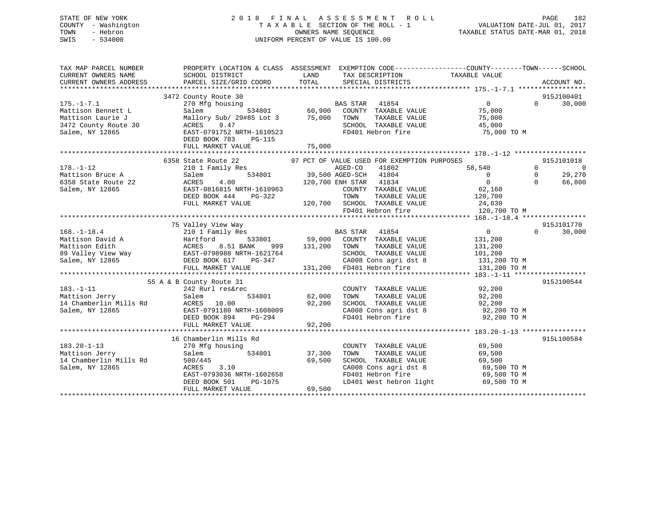# STATE OF NEW YORK 2 0 1 8 F I N A L A S S E S S M E N T R O L L PAGE 182 COUNTY - Washington T A X A B L E SECTION OF THE ROLL - 1 VALUATION DATE-JUL 01, 2017 TOWN - Hebron OWNERS NAME SEQUENCE TAXABLE STATUS DATE-MAR 01, 2018 SWIS - 534000 UNIFORM PERCENT OF VALUE IS 100.00

| TAX MAP PARCEL NUMBER<br>CURRENT OWNERS NAME<br>CURRENT OWNERS ADDRESS | PROPERTY LOCATION & CLASS ASSESSMENT EXEMPTION CODE---------------COUNTY-------TOWN------SCHOOL<br>SCHOOL DISTRICT<br>PARCEL SIZE/GRID COORD | LAND<br>TOTAL | TAX DESCRIPTION<br>SPECIAL DISTRICTS                                   | TAXABLE VALUE                    | ACCOUNT NO.                         |
|------------------------------------------------------------------------|----------------------------------------------------------------------------------------------------------------------------------------------|---------------|------------------------------------------------------------------------|----------------------------------|-------------------------------------|
|                                                                        |                                                                                                                                              |               |                                                                        |                                  |                                     |
|                                                                        | 3472 County Route 30                                                                                                                         |               |                                                                        |                                  | 915J100401                          |
| $175. - 1 - 7.1$                                                       | 270 Mfg housing                                                                                                                              |               | BAS STAR 41854<br>534801 60,900 COUNTY TAXABLE VALUE                   | $\overline{0}$                   | 30,000<br>$\Omega$                  |
| Mattison Bennett L                                                     | Salem                                                                                                                                        |               |                                                                        | 75,000                           |                                     |
| Mattison Laurie J                                                      | Mallory Sub/ 29#85 Lot 3 75,000 TOWN                                                                                                         |               | TAXABLE VALUE                                                          | 75,000                           |                                     |
| 3472 County Route 30                                                   | ACRES<br>9.47                                                                                                                                |               | SCHOOL TAXABLE VALUE                                                   | 45,000                           |                                     |
| Salem, NY 12865                                                        | EAST-0791752 NRTH-1610523                                                                                                                    |               | FD401 Hebron fire                                                      | 75,000 TO M                      |                                     |
|                                                                        | DEED BOOK 783<br>$PG-115$                                                                                                                    |               |                                                                        |                                  |                                     |
|                                                                        | FULL MARKET VALUE                                                                                                                            | 75,000        |                                                                        |                                  |                                     |
|                                                                        |                                                                                                                                              |               |                                                                        |                                  |                                     |
|                                                                        | 6358 State Route 22                                                                                                                          |               | 97 PCT OF VALUE USED FOR EXEMPTION PURPOSES                            |                                  | 915J101018                          |
| $178. - 1 - 12$                                                        | 210 1 Family Res                                                                                                                             |               | AGED-CO<br>41802<br>534801 39,500 AGED-SCH 41804                       | 58,540                           | $\Omega$<br>0<br>29,270<br>$\Omega$ |
| Mattison Bruce A                                                       | Salem<br>ACRES<br>4.00                                                                                                                       |               | 120,700 ENH STAR 41834                                                 | $\overline{0}$<br>$\overline{0}$ | 66,800<br>$\Omega$                  |
| 6358 State Route 22                                                    | EAST-0816815 NRTH-1610963                                                                                                                    |               |                                                                        | 62,160                           |                                     |
| Salem, NY 12865                                                        | DEED BOOK 444<br>PG-322                                                                                                                      |               | COUNTY TAXABLE VALUE<br>TOWN<br>TAXABLE VALUE                          | 120,700                          |                                     |
|                                                                        | FULL MARKET VALUE                                                                                                                            |               | 120,700 SCHOOL TAXABLE VALUE 24,630                                    |                                  |                                     |
|                                                                        |                                                                                                                                              |               | FD401 Hebron fire                                                      | 120,700 TO M                     |                                     |
|                                                                        |                                                                                                                                              |               |                                                                        |                                  |                                     |
|                                                                        | 75 Valley View Way                                                                                                                           |               |                                                                        |                                  | 915J101770                          |
| $168. - 1 - 18.4$                                                      | 210 1 Family Res                                                                                                                             |               | BAS STAR 41854                                                         | $\overline{0}$                   | 30,000<br>$\Omega$                  |
|                                                                        |                                                                                                                                              |               | 533801 59,000 COUNTY TAXABLE VALUE                                     | 131,200                          |                                     |
|                                                                        | Mattison David A<br>Mattison Edith (ACRES 8.51 BANK 999<br>89 Valley View Way (BAST-0798988 NRTH-1621764                                     | 131,200       | TOWN<br>TAXABLE VALUE                                                  | 131,200                          |                                     |
|                                                                        |                                                                                                                                              |               | SCHOOL TAXABLE VALUE                                                   | 101,200                          |                                     |
| Salem, NY 12865                                                        | PG-347<br>DEED BOOK 617                                                                                                                      |               | CA008 Cons agri dst 8                                                  | 131,200 TO M                     |                                     |
|                                                                        | FULL MARKET VALUE                                                                                                                            |               | 131,200 FD401 Hebron fire                                              | 131,200 TO M                     |                                     |
|                                                                        |                                                                                                                                              |               |                                                                        |                                  |                                     |
|                                                                        | 55 A & B County Route 31                                                                                                                     |               |                                                                        |                                  | 915J100544                          |
| $183. - 1 - 11$                                                        | 242 Rurl res&rec                                                                                                                             |               | COUNTY TAXABLE VALUE                                                   | 92, 200                          |                                     |
| Mattison Jerry                                                         | 534801<br>Salem                                                                                                                              | 62,000        | TAXABLE VALUE<br>TOWN                                                  | 92,200                           |                                     |
| 14 Chamberlin Mills Rd                                                 | ACRES 10.00                                                                                                                                  | 92,200        | SCHOOL TAXABLE VALUE                                                   | 92,200                           |                                     |
| Salem, NY 12865                                                        | EAST-0791180 NRTH-1608009                                                                                                                    |               | CA008 Cons agri dst 8 92,200 TO M                                      |                                  |                                     |
|                                                                        | DEED BOOK 894<br>PG-294                                                                                                                      |               | FD401 Hebron fire                                                      | 92,200 TO M                      |                                     |
|                                                                        | FULL MARKET VALUE                                                                                                                            | 92,200        |                                                                        |                                  |                                     |
|                                                                        |                                                                                                                                              |               |                                                                        |                                  |                                     |
|                                                                        | 16 Chamberlin Mills Rd                                                                                                                       |               |                                                                        |                                  | 915L100584                          |
| $183.20 - 1 - 13$                                                      | 270 Mfg housing                                                                                                                              |               | COUNTY TAXABLE VALUE                                                   | 69,500                           |                                     |
| Mattison Jerry                                                         | 534801<br>Salem                                                                                                                              | 37,300        | TAXABLE VALUE<br>TOWN                                                  | 69,500                           |                                     |
| 14 Chamberlin Mills Rd                                                 | 500/445                                                                                                                                      | 69,500        | SCHOOL TAXABLE VALUE<br>SCHOOL TAAADDE WALLET<br>CA008 Cons agri dst 8 | 69,500                           |                                     |
| Salem, NY 12865                                                        | ACRES<br>3.10                                                                                                                                |               |                                                                        | 69,500 TO M                      |                                     |
|                                                                        | EAST-0793036 NRTH-1602658                                                                                                                    |               |                                                                        | 69,500 TO M                      |                                     |
|                                                                        | PG-1075<br>DEED BOOK 501<br>FULL MARKET VALUE                                                                                                | 69,500        | LD401 West hebron light                                                | 69,500 TO M                      |                                     |
|                                                                        |                                                                                                                                              |               |                                                                        |                                  |                                     |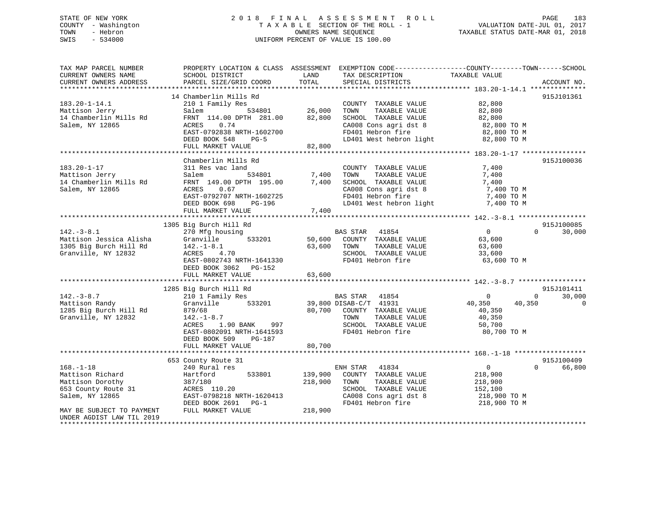# STATE OF NEW YORK 2 0 1 8 F I N A L A S S E S S M E N T R O L L PAGE 183 COUNTY - Washington T A X A B L E SECTION OF THE ROLL - 1 VALUATION DATE-JUL 01, 2017 TOWN - Hebron OWNERS NAME SEQUENCE TAXABLE STATUS DATE-MAR 01, 2018 SWIS - 534000 UNIFORM PERCENT OF VALUE IS 100.00

| TAX MAP PARCEL NUMBER<br>CURRENT OWNERS NAME<br>CURRENT OWNERS ADDRESS                                                                                                               | SCHOOL DISTRICT<br>PARCEL SIZE/GRID COORD                                                                                                                                                                 | LAND<br>TAX DESCRIPTION<br>TOTAL<br>SPECIAL DISTRICTS                                                                                                                        | PROPERTY LOCATION & CLASS ASSESSMENT EXEMPTION CODE----------------COUNTY-------TOWN------SCHOOL<br>TAXABLE VALUE<br>ACCOUNT NO. |
|--------------------------------------------------------------------------------------------------------------------------------------------------------------------------------------|-----------------------------------------------------------------------------------------------------------------------------------------------------------------------------------------------------------|------------------------------------------------------------------------------------------------------------------------------------------------------------------------------|----------------------------------------------------------------------------------------------------------------------------------|
| $183.20 - 1 - 14.1$<br>Mattison Jerry<br>14 Chamberlin Mills Rd<br>Salem, NY 12865                                                                                                   | 14 Chamberlin Mills Rd<br>210 1 Family Res<br>534801<br>Salem<br>FRNT 114.00 DPTH 281.00<br>ACRES<br>0.74<br>EAST-0792838 NRTH-1602700<br>DEED BOOK 548<br>$PG-5$<br>FULL MARKET VALUE                    | COUNTY TAXABLE VALUE<br>26,000<br>TOWN<br>TAXABLE VALUE<br>82,800<br>SCHOOL TAXABLE VALUE<br>CA008 Cons agri dst 8<br>FD401 Hebron fire<br>LD401 West hebron light<br>82,800 | 915J101361<br>82,800<br>82,800<br>82,800<br>82,800 TO M<br>82,800 TO M<br>82,800 TO M                                            |
| $183.20 - 1 - 17$<br>Mattison Jerry<br>14 Chamberlin Mills Rd<br>Salem, NY 12865                                                                                                     | Chamberlin Mills Rd<br>311 Res vac land<br>Salem<br>534801<br>FRNT 149.00 DPTH 195.00<br>0.67<br>ACRES<br>EAST-0792707 NRTH-1602725<br>DEED BOOK 698<br>PG-196<br>FULL MARKET VALUE                       | COUNTY TAXABLE VALUE<br>7,400<br>TOWN<br>TAXABLE VALUE<br>7,400<br>SCHOOL TAXABLE VALUE<br>CA008 Cons agri dst 8<br>FD401 Hebron fire<br>LD401 West hebron light<br>7,400    | 915J100036<br>7,400<br>7,400<br>7,400<br>7,400 TO M<br>7,400 TO M<br>7,400 TO M                                                  |
| $142. - 3 - 8.1$<br>Mattison Jessica Alisha<br>1305 Big Burch Hill Rd<br>Granville, NY 12832                                                                                         | 1305 Big Burch Hill Rd<br>270 Mfg housing<br>533201<br>Granville<br>$142. - 1 - 8.1$<br>4.70<br>ACRES<br>EAST-0802743 NRTH-1641330<br>DEED BOOK 3062 PG-152<br>FULL MARKET VALUE                          | BAS STAR 41854<br>50,600<br>COUNTY TAXABLE VALUE<br>63,600<br>TOWN<br>TAXABLE VALUE<br>SCHOOL TAXABLE VALUE<br>FD401 Hebron fire<br>63,600                                   | 915J100085<br>$\overline{0}$<br>$\Omega$<br>30,000<br>63,600<br>63,600<br>33,600<br>63,600 TO M                                  |
| $142. - 3 - 8.7$<br>Mattison Randy<br>1285 Big Burch Hill Rd<br>Granville, NY 12832                                                                                                  | 1285 Big Burch Hill Rd<br>210 1 Family Res<br>Granville<br>533201<br>879/68<br>$142. - 1 - 8.7$<br>ACRES<br>1.90 BANK<br>997<br>EAST-0802091 NRTH-1641593<br>DEED BOOK 509<br>PG-187<br>FULL MARKET VALUE | BAS STAR<br>41854<br>39,800 DISAB-C/T 41931<br>80,700<br>COUNTY TAXABLE VALUE<br>TOWN<br>TAXABLE VALUE<br>SCHOOL TAXABLE VALUE<br>FD401 Hebron fire<br>80,700                | 915J101411<br>$\mathbf{0}$<br>30,000<br>$\mathbf 0$<br>40,350<br>0<br>40,350<br>40,350<br>40,350<br>50,700<br>80,700 TO M        |
| $168. - 1 - 18$<br>Mattison Richard<br>Mattison Dorothy<br>653 County Route 31<br>Salem, NY 12865<br>MAY BE SUBJECT TO PAYMENT<br>UNDER AGDIST LAW TIL 2019<br>********************* | 653 County Route 31<br>240 Rural res<br>533801<br>Hartford<br>387/180<br>ACRES 110.20<br>EAST-0798218 NRTH-1620413<br>DEED BOOK 2691 PG-1<br>FULL MARKET VALUE                                            | ENH STAR 41834<br>139,900<br>COUNTY TAXABLE VALUE<br>218,900<br>TAXABLE VALUE<br>TOWN<br>SCHOOL TAXABLE VALUE<br>CA008 Cons agri dst 8<br>FD401 Hebron fire<br>218,900       | 915J100409<br>$\overline{0}$<br>$\Omega$<br>66,800<br>218,900<br>218,900<br>152,100<br>218,900 TO M<br>218,900 TO M              |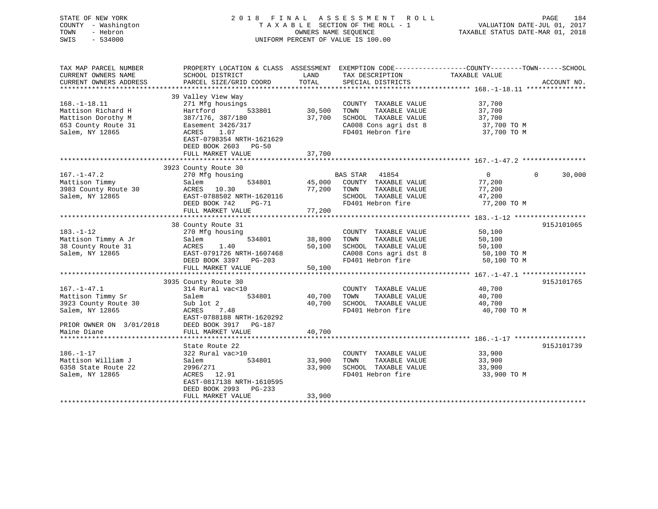STATE OF NEW YORK 2 0 1 8 F I N A L A S S E S S M E N T R O L L PAGE 184 COUNTY - Washington T A X A B L E SECTION OF THE ROLL - 1 VALUATION DATE-JUL 01, 2017 TOWN - Hebron OWNERS NAME SEQUENCE TAXABLE STATUS DATE-MAR 01, 2018 SWIS - 534000 UNIFORM PERCENT OF VALUE IS 100.00 TAX MAP PARCEL NUMBER PROPERTY LOCATION & CLASS ASSESSMENT EXEMPTION CODE------------------COUNTY--------TOWN------SCHOOL CURRENT OWNERS NAME SCHOOL DISTRICT LAND TAX DESCRIPTION TAXABLE VALUE CURRENT OWNERS ADDRESS PARCEL SIZE/GRID COORD TOTAL SPECIAL DISTRICTS ACCOUNT NO. \*\*\*\*\*\*\*\*\*\*\*\*\*\*\*\*\*\*\*\*\*\*\*\*\*\*\*\*\*\*\*\*\*\*\*\*\*\*\*\*\*\*\*\*\*\*\*\*\*\*\*\*\*\*\*\*\*\*\*\*\*\*\*\*\*\*\*\*\*\*\*\*\*\*\*\*\*\*\*\*\*\*\*\*\*\*\*\*\*\*\*\*\*\*\*\*\*\*\*\*\*\*\* 168.-1-18.11 \*\*\*\*\*\*\*\*\*\*\*\*\*\*\* 39 Valley View Way 168.-1-18.11 271 Mfg housings COUNTY TAXABLE VALUE 37,700 Mattison Richard H Hartford 533801 30,500 TOWN TAXABLE VALUE 37,700 Mattison Dorothy M 387/176, 387/180 37,700 SCHOOL TAXABLE VALUE 37,700 653 County Route 31 Easement 3426/317 CA008 Cons agri dst 8 37,700 TO M Salem, NY 12865 ACRES 1.07 FD401 Hebron fire 37,700 TO M EAST-0798354 NRTH-1621629 DEED BOOK 2603 PG-50 FULL MARKET VALUE 37,700 \*\*\*\*\*\*\*\*\*\*\*\*\*\*\*\*\*\*\*\*\*\*\*\*\*\*\*\*\*\*\*\*\*\*\*\*\*\*\*\*\*\*\*\*\*\*\*\*\*\*\*\*\*\*\*\*\*\*\*\*\*\*\*\*\*\*\*\*\*\*\*\*\*\*\*\*\*\*\*\*\*\*\*\*\*\*\*\*\*\*\*\*\*\*\*\*\*\*\*\*\*\*\* 167.-1-47.2 \*\*\*\*\*\*\*\*\*\*\*\*\*\*\*\*

| 3923 County Route 30<br>$167. - 1 - 47.2$<br>$\overline{0}$<br>$\Omega$<br>30,000<br>270 Mfg housing<br>BAS STAR<br>41854<br>Mattison Timmy<br>Salem<br>534801<br>45,000 COUNTY TAXABLE VALUE<br>77,200<br>3983 County Route 30<br>ACRES 10.30<br>77,200<br>77,200<br>TOWN<br>TAXABLE VALUE<br>EAST-0788502 NRTH-1620116<br>Salem, NY 12865<br>SCHOOL TAXABLE VALUE<br>47,200<br>FD401 Hebron fire<br>77,200 TO M<br>DEED BOOK 742<br>PG-71<br>77,200<br>FULL MARKET VALUE<br>****************** 183.-1-12 ******************<br>*******************<br>915J101065<br>38 County Route 31<br>$183. - 1 - 12$<br>270 Mfg housing<br>50,100<br>COUNTY TAXABLE VALUE<br>38,800<br>50,100<br>534801<br>Mattison Timmy A Jr<br>Salem<br>TOWN<br>TAXABLE VALUE<br>38 County Route 31<br>ACRES 1.40<br>50,100<br>SCHOOL TAXABLE VALUE<br>50,100<br>Salem, NY 12865<br>EAST-0791726 NRTH-1607468<br>CA008 Cons agri dst 8<br>50,100 TO M<br>DEED BOOK 3397 PG-203<br>FD401 Hebron fire<br>50,100 TO M<br>FULL MARKET VALUE<br>50,100<br>915J101765<br>3935 County Route 30<br>$167. - 1 - 47.1$<br>314 Rural vac<10<br>COUNTY TAXABLE VALUE<br>40,700<br>Mattison Timmy Sr<br>40,700<br>Salem<br>534801<br>TAXABLE VALUE<br>40,700<br>TOWN<br>40,700<br>3923 County Route 30<br>Sub lot 2<br>40,700<br>SCHOOL TAXABLE VALUE<br>FD401 Hebron fire<br>Salem, NY 12865<br>ACRES 7.48<br>40,700 TO M<br>EAST-0788188 NRTH-1620292<br>DEED BOOK 3917<br>PRIOR OWNER ON 3/01/2018<br><b>PG-187</b><br>FULL MARKET VALUE<br>40,700<br>Maine Diane<br>915J101739<br>State Route 22<br>$186. - 1 - 17$<br>322 Rural vac>10<br>COUNTY TAXABLE VALUE<br>33,900<br>Mattison William J<br>Salem<br>534801<br>33,900<br>TAXABLE VALUE<br>33,900<br>TOWN<br>6358 State Route 22<br>33,900<br>SCHOOL TAXABLE VALUE<br>33,900<br>2996/271<br>FD401 Hebron fire<br>Salem, NY 12865<br>ACRES 12.91<br>33,900 TO M<br>EAST-0817138 NRTH-1610595<br>DEED BOOK 2993<br>PG-233<br>33,900<br>FULL MARKET VALUE |  |  |
|-------------------------------------------------------------------------------------------------------------------------------------------------------------------------------------------------------------------------------------------------------------------------------------------------------------------------------------------------------------------------------------------------------------------------------------------------------------------------------------------------------------------------------------------------------------------------------------------------------------------------------------------------------------------------------------------------------------------------------------------------------------------------------------------------------------------------------------------------------------------------------------------------------------------------------------------------------------------------------------------------------------------------------------------------------------------------------------------------------------------------------------------------------------------------------------------------------------------------------------------------------------------------------------------------------------------------------------------------------------------------------------------------------------------------------------------------------------------------------------------------------------------------------------------------------------------------------------------------------------------------------------------------------------------------------------------------------------------------------------------------------------------------------------------------------------------------------------------------------------------------------------------------------------------------------------------------------------------------------|--|--|
|                                                                                                                                                                                                                                                                                                                                                                                                                                                                                                                                                                                                                                                                                                                                                                                                                                                                                                                                                                                                                                                                                                                                                                                                                                                                                                                                                                                                                                                                                                                                                                                                                                                                                                                                                                                                                                                                                                                                                                               |  |  |
|                                                                                                                                                                                                                                                                                                                                                                                                                                                                                                                                                                                                                                                                                                                                                                                                                                                                                                                                                                                                                                                                                                                                                                                                                                                                                                                                                                                                                                                                                                                                                                                                                                                                                                                                                                                                                                                                                                                                                                               |  |  |
|                                                                                                                                                                                                                                                                                                                                                                                                                                                                                                                                                                                                                                                                                                                                                                                                                                                                                                                                                                                                                                                                                                                                                                                                                                                                                                                                                                                                                                                                                                                                                                                                                                                                                                                                                                                                                                                                                                                                                                               |  |  |
|                                                                                                                                                                                                                                                                                                                                                                                                                                                                                                                                                                                                                                                                                                                                                                                                                                                                                                                                                                                                                                                                                                                                                                                                                                                                                                                                                                                                                                                                                                                                                                                                                                                                                                                                                                                                                                                                                                                                                                               |  |  |
|                                                                                                                                                                                                                                                                                                                                                                                                                                                                                                                                                                                                                                                                                                                                                                                                                                                                                                                                                                                                                                                                                                                                                                                                                                                                                                                                                                                                                                                                                                                                                                                                                                                                                                                                                                                                                                                                                                                                                                               |  |  |
|                                                                                                                                                                                                                                                                                                                                                                                                                                                                                                                                                                                                                                                                                                                                                                                                                                                                                                                                                                                                                                                                                                                                                                                                                                                                                                                                                                                                                                                                                                                                                                                                                                                                                                                                                                                                                                                                                                                                                                               |  |  |
|                                                                                                                                                                                                                                                                                                                                                                                                                                                                                                                                                                                                                                                                                                                                                                                                                                                                                                                                                                                                                                                                                                                                                                                                                                                                                                                                                                                                                                                                                                                                                                                                                                                                                                                                                                                                                                                                                                                                                                               |  |  |
|                                                                                                                                                                                                                                                                                                                                                                                                                                                                                                                                                                                                                                                                                                                                                                                                                                                                                                                                                                                                                                                                                                                                                                                                                                                                                                                                                                                                                                                                                                                                                                                                                                                                                                                                                                                                                                                                                                                                                                               |  |  |
|                                                                                                                                                                                                                                                                                                                                                                                                                                                                                                                                                                                                                                                                                                                                                                                                                                                                                                                                                                                                                                                                                                                                                                                                                                                                                                                                                                                                                                                                                                                                                                                                                                                                                                                                                                                                                                                                                                                                                                               |  |  |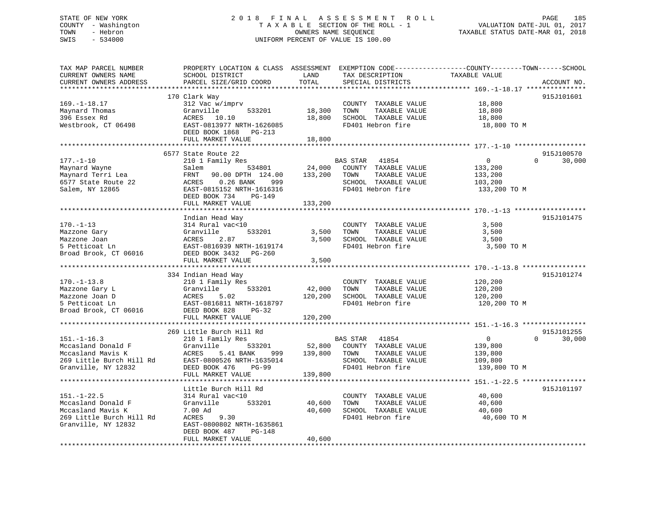# STATE OF NEW YORK 2 0 1 8 F I N A L A S S E S S M E N T R O L L PAGE 185 COUNTY - Washington T A X A B L E SECTION OF THE ROLL - 1 VALUATION DATE-JUL 01, 2017 TOWN - Hebron OWNERS NAME SEQUENCE TAXABLE STATUS DATE-MAR 01, 2018 SWIS - 534000 UNIFORM PERCENT OF VALUE IS 100.00

| TAX MAP PARCEL NUMBER<br>CURRENT OWNERS NAME<br>CURRENT OWNERS ADDRESS | PROPERTY LOCATION & CLASS ASSESSMENT EXEMPTION CODE---------------COUNTY-------TOWN-----SCHOOL<br>SCHOOL DISTRICT<br>PARCEL SIZE/GRID COORD                                                                                                      | LAND<br>TOTAL    | TAX DESCRIPTION<br>SPECIAL DISTRICTS          | TAXABLE VALUE    | ACCOUNT NO.        |
|------------------------------------------------------------------------|--------------------------------------------------------------------------------------------------------------------------------------------------------------------------------------------------------------------------------------------------|------------------|-----------------------------------------------|------------------|--------------------|
|                                                                        |                                                                                                                                                                                                                                                  |                  |                                               |                  |                    |
|                                                                        | 170 Clark Way                                                                                                                                                                                                                                    |                  |                                               |                  | 915J101601         |
| $169. - 1 - 18.17$                                                     | 312 Vac w/imprv                                                                                                                                                                                                                                  |                  | COUNTY TAXABLE VALUE                          | 18,800           |                    |
| Maynard Thomas                                                         | Granville<br>533201                                                                                                                                                                                                                              | 18,300           | TOWN<br>TAXABLE VALUE                         | 18,800           |                    |
| 396 Essex Rd                                                           | ACRES 10.10                                                                                                                                                                                                                                      | 18,800           | SCHOOL TAXABLE VALUE                          | 18,800           |                    |
| Westbrook, CT 06498                                                    | EAST-0813977 NRTH-1626085                                                                                                                                                                                                                        |                  | FD401 Hebron fire                             | 18,800 TO M      |                    |
|                                                                        | DEED BOOK 1868 PG-213                                                                                                                                                                                                                            |                  |                                               |                  |                    |
|                                                                        | FULL MARKET VALUE                                                                                                                                                                                                                                | 18,800           |                                               |                  |                    |
|                                                                        | 6577 State Route 22                                                                                                                                                                                                                              |                  |                                               |                  | 915J100570         |
| $177. - 1 - 10$                                                        | 210 1 Family Res                                                                                                                                                                                                                                 |                  | BAS STAR 41854                                | $\overline{0}$   | 30,000<br>$\Omega$ |
| Maynard Wayne                                                          | Salem<br>534801                                                                                                                                                                                                                                  | 24,000           | COUNTY TAXABLE VALUE                          | 133,200          |                    |
| Maynard Terri Lea                                                      | FRNT 90.00 DPTH 124.00                                                                                                                                                                                                                           | 133,200          | TOWN<br>TAXABLE VALUE                         | 133,200          |                    |
| 6577 State Route 22                                                    | ACRES 0.26 BANK<br>999                                                                                                                                                                                                                           |                  | SCHOOL TAXABLE VALUE                          | 103,200          |                    |
| Salem, NY 12865                                                        | EAST-0815152 NRTH-1616316                                                                                                                                                                                                                        |                  | FD401 Hebron fire                             | 133,200 TO M     |                    |
|                                                                        | DEED BOOK 734<br>PG-149                                                                                                                                                                                                                          |                  |                                               |                  |                    |
|                                                                        | FULL MARKET VALUE                                                                                                                                                                                                                                | 133,200          |                                               |                  |                    |
|                                                                        |                                                                                                                                                                                                                                                  |                  |                                               |                  |                    |
|                                                                        | Indian Head Way                                                                                                                                                                                                                                  |                  |                                               |                  | 915J101475         |
| $170. - 1 - 13$                                                        | 314 Rural vac<10<br>533201                                                                                                                                                                                                                       |                  | COUNTY TAXABLE VALUE<br>TOWN                  | 3,500<br>3,500   |                    |
| Mazzone Gary<br>Mazzone Joan                                           | Granville<br>ACRES<br>2.87                                                                                                                                                                                                                       | 3,500<br>3,500   | TAXABLE VALUE<br>SCHOOL TAXABLE VALUE         | 3,500            |                    |
| 5 Petticoat Ln                                                         | EAST-0816939 NRTH-1619174                                                                                                                                                                                                                        |                  | FD401 Hebron fire                             | 3,500 TO M       |                    |
| Broad Brook, CT 06016                                                  | DEED BOOK 3432 PG-260                                                                                                                                                                                                                            |                  |                                               |                  |                    |
|                                                                        | FULL MARKET VALUE                                                                                                                                                                                                                                | 3,500            |                                               |                  |                    |
|                                                                        |                                                                                                                                                                                                                                                  |                  |                                               |                  |                    |
|                                                                        | 334 Indian Head Way                                                                                                                                                                                                                              |                  |                                               |                  | 915J101274         |
| $170. - 1 - 13.8$                                                      | 210 1 Family Res                                                                                                                                                                                                                                 |                  | COUNTY TAXABLE VALUE                          | 120,200          |                    |
| Mazzone Gary L                                                         | Granville<br>533201                                                                                                                                                                                                                              | 42,000           | TOWN<br>TAXABLE VALUE                         | 120,200          |                    |
| Mazzone Joan D                                                         | ACRES<br>5.02                                                                                                                                                                                                                                    | 120,200          | SCHOOL TAXABLE VALUE                          | 120,200          |                    |
| 5 Petticoat Ln                                                         | EAST-0816811 NRTH-1618797                                                                                                                                                                                                                        |                  | FD401 Hebron fire                             | 120,200 TO M     |                    |
| Broad Brook, CT 06016                                                  | DEED BOOK 828<br>$PG-32$<br>FULL MARKET VALUE                                                                                                                                                                                                    | 120,200          |                                               |                  |                    |
|                                                                        |                                                                                                                                                                                                                                                  |                  |                                               |                  |                    |
|                                                                        | 269 Little Burch Hill Rd                                                                                                                                                                                                                         |                  |                                               |                  | 915J101255         |
| $151. - 1 - 16.3$                                                      | 210 1 Family Res                                                                                                                                                                                                                                 |                  | BAS STAR 41854                                | $\overline{0}$   | $\Omega$<br>30,000 |
|                                                                        |                                                                                                                                                                                                                                                  |                  | 52,800 COUNTY TAXABLE VALUE                   | 139,800          |                    |
|                                                                        |                                                                                                                                                                                                                                                  | 139,800          | TOWN<br>TAXABLE VALUE                         | 139,800          |                    |
|                                                                        | Mccasland Donald F<br>Mccasland Mavis K<br>269 Little Burch Hill Rd<br>269 Little Burch Hill Rd<br>269 Little Burch Hill Rd<br>269 Little Burch Hill Rd<br>269 Little Burch Hill Rd<br>269 Little Burch Hill Rd<br>269 Little Burch Hill Rd<br>2 |                  | SCHOOL TAXABLE VALUE                          | 109,800          |                    |
|                                                                        |                                                                                                                                                                                                                                                  |                  | FD401 Hebron fire                             | 139,800 TO M     |                    |
|                                                                        | FULL MARKET VALUE                                                                                                                                                                                                                                | 139,800          |                                               |                  |                    |
|                                                                        |                                                                                                                                                                                                                                                  |                  |                                               |                  |                    |
|                                                                        | Little Burch Hill Rd                                                                                                                                                                                                                             |                  |                                               |                  | 915J101197         |
| $151. - 1 - 22.5$                                                      | 314 Rural vac<10<br>533201                                                                                                                                                                                                                       |                  | COUNTY TAXABLE VALUE                          | 40,600           |                    |
| Mccasland Donald F<br>Mccasland Mavis K                                | Granville<br>7.00 Ad                                                                                                                                                                                                                             | 40,600<br>40,600 | TOWN<br>TAXABLE VALUE<br>SCHOOL TAXABLE VALUE | 40,600<br>40,600 |                    |
| 269 Little Burch Hill Rd                                               | ACRES<br>9.30                                                                                                                                                                                                                                    |                  | FD401 Hebron fire                             | 40,600 TO M      |                    |
| Granville, NY 12832                                                    | EAST-0800802 NRTH-1635861                                                                                                                                                                                                                        |                  |                                               |                  |                    |
|                                                                        | DEED BOOK 487<br>PG-148                                                                                                                                                                                                                          |                  |                                               |                  |                    |
|                                                                        | FULL MARKET VALUE                                                                                                                                                                                                                                | 40,600           |                                               |                  |                    |
|                                                                        |                                                                                                                                                                                                                                                  |                  |                                               |                  |                    |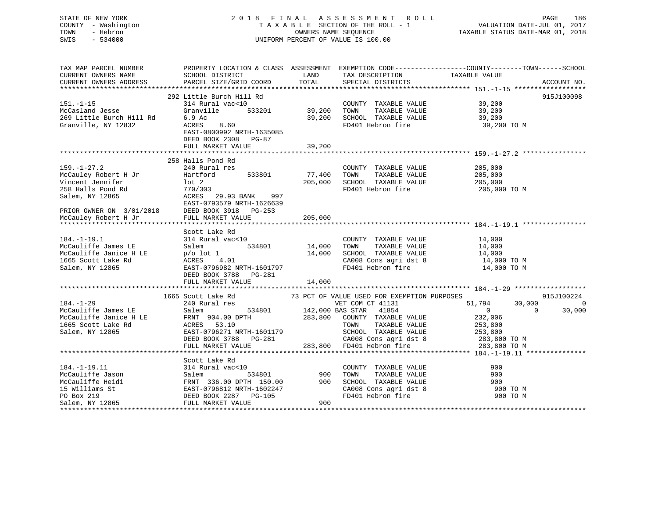# STATE OF NEW YORK 2 0 1 8 F I N A L A S S E S S M E N T R O L L PAGE 186 COUNTY - Washington T A X A B L E SECTION OF THE ROLL - 1 VALUATION DATE-JUL 01, 2017 TOWN - Hebron OWNERS NAME SEQUENCE TAXABLE STATUS DATE-MAR 01, 2018 SWIS - 534000 UNIFORM PERCENT OF VALUE IS 100.00

| TAX MAP PARCEL NUMBER                                        | PROPERTY LOCATION & CLASS  ASSESSMENT  EXEMPTION CODE------------------COUNTY-------TOWN------SCHOOL                                                                                                                                                              |        |                                                                                                                                                                                                 |                                  |                |
|--------------------------------------------------------------|-------------------------------------------------------------------------------------------------------------------------------------------------------------------------------------------------------------------------------------------------------------------|--------|-------------------------------------------------------------------------------------------------------------------------------------------------------------------------------------------------|----------------------------------|----------------|
| CURRENT OWNERS NAME                                          | SCHOOL DISTRICT                                                                                                                                                                                                                                                   | LAND   | TAX DESCRIPTION                                                                                                                                                                                 | TAXABLE VALUE                    |                |
| CURRENT OWNERS ADDRESS PARCEL SIZE/GRID COORD                |                                                                                                                                                                                                                                                                   | TOTAL  | SPECIAL DISTRICTS                                                                                                                                                                               |                                  | ACCOUNT NO.    |
|                                                              |                                                                                                                                                                                                                                                                   |        |                                                                                                                                                                                                 |                                  |                |
|                                                              | 292 Little Burch Hill Rd                                                                                                                                                                                                                                          |        |                                                                                                                                                                                                 |                                  | 915J100098     |
| $151. - 1 - 15$                                              | 314 Rural vac<10                                                                                                                                                                                                                                                  |        |                                                                                                                                                                                                 |                                  |                |
| McCasland Jesse                                              | Granville                                                                                                                                                                                                                                                         |        | $\begin{tabular}{lllllllllll} \multicolumn{2}{c}{\textbf{COUNTY}} & \textbf{TXABLE VALUE} & & & 39,200 \\ \multicolumn{2}{c}{\textbf{TOWN}} & \textbf{TXABLE VALUE} & & & 39,200 \end{tabular}$ |                                  |                |
|                                                              |                                                                                                                                                                                                                                                                   |        |                                                                                                                                                                                                 |                                  |                |
| 269 Little Burch Hill Rd 6.9 Ac<br>Granville, NY 12832 ACRES | 8.60                                                                                                                                                                                                                                                              | 39,200 | SCHOOL TAXABLE VALUE 39,200                                                                                                                                                                     |                                  |                |
|                                                              | ACRES                                                                                                                                                                                                                                                             |        | FD401 Hebron fire                                                                                                                                                                               | 39,200 TO M                      |                |
|                                                              | EAST-0800992 NRTH-1635085                                                                                                                                                                                                                                         |        |                                                                                                                                                                                                 |                                  |                |
|                                                              | DEED BOOK 2308 PG-87                                                                                                                                                                                                                                              |        |                                                                                                                                                                                                 |                                  |                |
|                                                              | FULL MARKET VALUE                                                                                                                                                                                                                                                 | 39,200 |                                                                                                                                                                                                 |                                  |                |
|                                                              |                                                                                                                                                                                                                                                                   |        |                                                                                                                                                                                                 |                                  |                |
|                                                              | 258 Halls Pond Rd                                                                                                                                                                                                                                                 |        |                                                                                                                                                                                                 |                                  |                |
|                                                              |                                                                                                                                                                                                                                                                   |        | COUNTY TAXABLE VALUE<br>TOWN TAXABLE VALUE 7000 205,000                                                                                                                                         |                                  |                |
|                                                              | 533801 77,400 TOWN                                                                                                                                                                                                                                                |        |                                                                                                                                                                                                 |                                  |                |
|                                                              |                                                                                                                                                                                                                                                                   |        |                                                                                                                                                                                                 |                                  |                |
|                                                              |                                                                                                                                                                                                                                                                   |        | 205,000 SCHOOL TAXABLE VALUE 205,000<br>FD401 Hebron fire 205,000 PD401 Hebron fire                                                                                                             | 205,000 TO M                     |                |
|                                                              |                                                                                                                                                                                                                                                                   |        |                                                                                                                                                                                                 |                                  |                |
|                                                              |                                                                                                                                                                                                                                                                   |        |                                                                                                                                                                                                 |                                  |                |
|                                                              |                                                                                                                                                                                                                                                                   |        |                                                                                                                                                                                                 |                                  |                |
|                                                              |                                                                                                                                                                                                                                                                   |        |                                                                                                                                                                                                 |                                  |                |
|                                                              |                                                                                                                                                                                                                                                                   |        |                                                                                                                                                                                                 |                                  |                |
|                                                              |                                                                                                                                                                                                                                                                   |        |                                                                                                                                                                                                 |                                  |                |
|                                                              | Scott Lake Rd                                                                                                                                                                                                                                                     |        |                                                                                                                                                                                                 |                                  |                |
|                                                              |                                                                                                                                                                                                                                                                   |        | COUNTY TAXABLE VALUE 14,000                                                                                                                                                                     |                                  |                |
|                                                              | 184.-1-19.1<br>McCauliffe James LE Salem 534801 14,000<br>McCauliffe Jamice H LE $p/o$ lot 1 14,000<br>14,000<br>14,000<br>14,000<br>14,000<br>14,000<br>14,000<br>14,000<br>534801 14,000<br>14,000<br>534801 14,000<br>14,000<br>534801 14,000<br>534801 14,000 |        |                                                                                                                                                                                                 |                                  |                |
|                                                              |                                                                                                                                                                                                                                                                   | 14,000 |                                                                                                                                                                                                 |                                  |                |
|                                                              |                                                                                                                                                                                                                                                                   |        | CA008 Cons agri dst 8 14,000 TO M                                                                                                                                                               |                                  |                |
|                                                              |                                                                                                                                                                                                                                                                   |        | FD401 Hebron fire                                                                                                                                                                               | 14,000 TO M                      |                |
|                                                              | DEED BOOK 3788 PG-281                                                                                                                                                                                                                                             |        |                                                                                                                                                                                                 |                                  |                |
|                                                              |                                                                                                                                                                                                                                                                   |        |                                                                                                                                                                                                 |                                  |                |
|                                                              |                                                                                                                                                                                                                                                                   |        |                                                                                                                                                                                                 |                                  |                |
|                                                              |                                                                                                                                                                                                                                                                   |        |                                                                                                                                                                                                 |                                  |                |
|                                                              |                                                                                                                                                                                                                                                                   |        |                                                                                                                                                                                                 |                                  | 915J100224     |
| $184. - 1 - 29$                                              |                                                                                                                                                                                                                                                                   |        |                                                                                                                                                                                                 | 51,794<br>30,000                 | $\overline{0}$ |
|                                                              |                                                                                                                                                                                                                                                                   |        |                                                                                                                                                                                                 | $\overline{0}$<br>$\overline{0}$ | 30,000         |
|                                                              |                                                                                                                                                                                                                                                                   |        |                                                                                                                                                                                                 | 232,006                          |                |
|                                                              |                                                                                                                                                                                                                                                                   |        |                                                                                                                                                                                                 |                                  |                |
|                                                              | McCauliffe James LE Salem 534801 142,000 BAS STAR 41854<br>McCauliffe Janice H LE FRNT 904.00 DPTH 283,800 COUNTY TAXABLE VALUE<br>1665 Scott Lake Rd ACRES 53.10 TOWN TAXABLE VALUE<br>Salem, NY 12865 EAST-0796271 NRTH-1601179 SC                              |        | TAXABLE VALUE 253,800<br>TAXABLE VALUE 253,800                                                                                                                                                  |                                  |                |
|                                                              |                                                                                                                                                                                                                                                                   |        |                                                                                                                                                                                                 |                                  |                |
|                                                              | DEED BOOK 3788 PG-281 283,800 FD401 Hebron fire 283,800 TO M<br>FULL MARKET VALUE 283,800 FD401 Hebron fire 283,800 TO M                                                                                                                                          |        |                                                                                                                                                                                                 |                                  |                |
|                                                              |                                                                                                                                                                                                                                                                   |        |                                                                                                                                                                                                 |                                  |                |
|                                                              | Scott Lake Rd                                                                                                                                                                                                                                                     |        |                                                                                                                                                                                                 |                                  |                |
|                                                              |                                                                                                                                                                                                                                                                   |        |                                                                                                                                                                                                 | 900                              |                |
|                                                              |                                                                                                                                                                                                                                                                   |        |                                                                                                                                                                                                 | 900                              |                |
|                                                              |                                                                                                                                                                                                                                                                   |        |                                                                                                                                                                                                 |                                  |                |
|                                                              |                                                                                                                                                                                                                                                                   |        |                                                                                                                                                                                                 | 900                              |                |
|                                                              |                                                                                                                                                                                                                                                                   |        | COUNTY TAXABLE VALUE<br>TOWN TAXABLE VALUE<br>SCHOOL TAXABLE VALUE<br>CA008 Cons agri dst 8                                                                                                     | 900 TO M                         |                |
|                                                              | 184.-1-19.11<br>McCauliffe Jason 314 Rural vac<10<br>McCauliffe Heidi 534801 900<br>McCauliffe Heidi FRNT 336.00 DPTH 150.00 900<br>15 Williams St EAST-0796812 NRTH-1602247<br>PO Box 219 DEED BOOK 2287 PG-105<br>*********************                         |        | FD401 Hebron fire                                                                                                                                                                               | 900 TO M                         |                |
|                                                              |                                                                                                                                                                                                                                                                   |        |                                                                                                                                                                                                 |                                  |                |
|                                                              |                                                                                                                                                                                                                                                                   |        |                                                                                                                                                                                                 |                                  |                |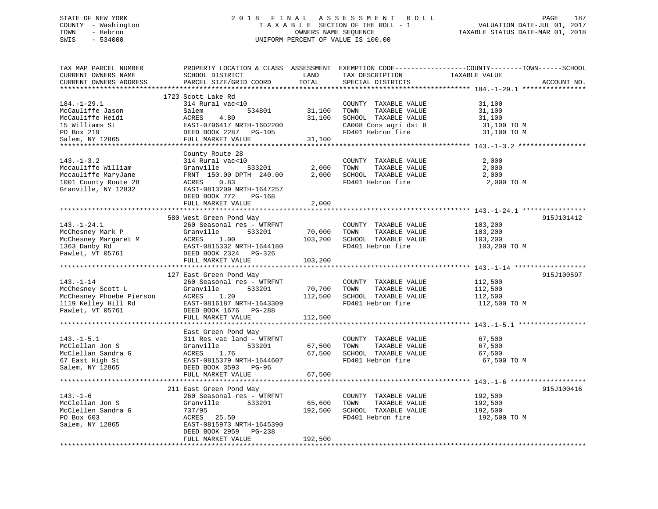# STATE OF NEW YORK 2 0 1 8 F I N A L A S S E S S M E N T R O L L PAGE 187 COUNTY - Washington T A X A B L E SECTION OF THE ROLL - 1 VALUATION DATE-JUL 01, 2017 TOWN - Hebron OWNERS NAME SEQUENCE TAXABLE STATUS DATE-MAR 01, 2018 SWIS - 534000 UNIFORM PERCENT OF VALUE IS 100.00

| TAX MAP PARCEL NUMBER<br>CURRENT OWNERS NAME<br>CURRENT OWNERS ADDRESS                                       | SCHOOL DISTRICT<br>PARCEL SIZE/GRID COORD                                                                                                                                                                                                                           | LAND<br>TOTAL                            | TAX DESCRIPTION<br>SPECIAL DISTRICTS                                                                                | PROPERTY LOCATION & CLASS ASSESSMENT EXEMPTION CODE----------------COUNTY-------TOWN------SCHOOL<br>TAXABLE VALUE<br>ACCOUNT NO. |
|--------------------------------------------------------------------------------------------------------------|---------------------------------------------------------------------------------------------------------------------------------------------------------------------------------------------------------------------------------------------------------------------|------------------------------------------|---------------------------------------------------------------------------------------------------------------------|----------------------------------------------------------------------------------------------------------------------------------|
| $184. - 1 - 29.1$                                                                                            | 1723 Scott Lake Rd<br>314 Rural vac<10<br>McCauliffe Jason 534801<br>McCauliffe Heidi ACRES 4.80<br>15 Williams St EAST-0796417 NRTH-1602200<br>PO Box 219 DEED BOOK 2287 PG-105<br>Salem, NY 12865 FULL MARKET VALUE                                               | 534801 31,100<br>31,100<br>31,100        | COUNTY TAXABLE VALUE<br>TAXABLE VALUE<br>TOWN<br>SCHOOL TAXABLE VALUE<br>CA008 Cons agri dst 8<br>FD401 Hebron fire | 31,100<br>31,100<br>31,100<br>31,100 TO M<br>31,100 TO M                                                                         |
| $143. - 1 - 3.2$<br>Mccauliffe William<br>Mccauliffe MaryJane<br>1001 County Route 28<br>Granville, NY 12832 | County Route 28<br>314 Rural vac<10<br>533201<br>Granville<br>FRNT 150.00 DPTH 240.00<br>ACRES 0.83<br>EAST-0813209 NRTH-1647257<br>DEED BOOK 772 PG-168<br>FULL MARKET VALUE                                                                                       | 2,000                                    | COUNTY TAXABLE VALUE<br>2,000 TOWN<br>TAXABLE VALUE                                                                 | 2,000<br>2,000<br>$2,000$ SCHOOL TAXABLE VALUE $2,000$<br>FD401 Hebron fire $2,000$ TO M                                         |
|                                                                                                              | 580 West Green Pond Way<br>Example 2018 and the Same Corrections of the Southern Correction of the Same Correction of the Same Correction<br>1363 Danby Rd Fast - 0815332 NRTH-1644180<br>Pawlet, VT 05761<br>Past - 0815332 NRTH-1644180<br>Pawlet, VT 05761<br>Pa | 70,000 TOWN<br>103,200<br>103,200        | COUNTY TAXABLE VALUE<br>TAXABLE VALUE<br>SCHOOL TAXABLE VALUE<br>FD401 Hebron fire                                  | 915J101412<br>103,200<br>103,200<br>103,200<br>103,200 TO M                                                                      |
|                                                                                                              |                                                                                                                                                                                                                                                                     |                                          |                                                                                                                     |                                                                                                                                  |
| 143.-1-14<br>McChesney Scott L<br>McChesney Phoebe Pierson<br>1119 Kelley Hill Rd<br>Pawlet, VT 05761        | 127 East Green Pond Way<br>260 Seasonal res - WTRFNT<br>533201<br>Granville<br>ACRES<br>1.20<br>EAST-0816187 NRTH-1643309<br>DEED BOOK 1676 PG-288<br>FULL MARKET VALUE                                                                                             | 70,700 TOWN<br>112,500 SCHOOL<br>112,500 | COUNTY TAXABLE VALUE<br>FD401 Hebron fire                                                                           | 915J100597<br>112,500<br>112,500 TO M                                                                                            |
|                                                                                                              |                                                                                                                                                                                                                                                                     |                                          |                                                                                                                     |                                                                                                                                  |
| $143. - 1 - 5.1$<br>McClellan Jon S<br>McClellan Sandra G<br>67 East High St<br>Salem, NY 12865              | East Green Pond Way<br>311 Res vac land - WTRFNT<br>Granville<br>533201<br>ACRES<br>1.76<br>EAST-0815379 NRTH-1644607<br>DEED BOOK 3593 PG-96<br>FULL MARKET VALUE                                                                                                  | 67,500<br>67,500<br>67,500               | COUNTY TAXABLE VALUE<br>TAXABLE VALUE<br>TOWN<br>67,500 SCHOOL TAXABLE VALUE<br>FD401 Hebron fire                   | 67,500<br>67,500<br>67,500<br>67,500 TO M                                                                                        |
|                                                                                                              |                                                                                                                                                                                                                                                                     |                                          |                                                                                                                     |                                                                                                                                  |
| $143. - 1 - 6$<br>McClellan Jon S<br>McClellen Sandra G<br>PO Box 603<br>Salem, NY 12865                     | 211 East Green Pond Way<br>260 Seasonal res - WTRFNT<br>Granville<br>533201<br>737/95<br>ACRES 25.50<br>EAST-0815973 NRTH-1645390<br>DEED BOOK 2959 PG-238<br>FULL MARKET VALUE                                                                                     | 65,600 TOWN<br>192,500                   | COUNTY TAXABLE VALUE<br>TAXABLE VALUE<br>192,500 SCHOOL TAXABLE VALUE<br>FD401 Hebron fire                          | 915J100416<br>192,500<br>192,500<br>192,500<br>192,500 TO M                                                                      |
|                                                                                                              |                                                                                                                                                                                                                                                                     |                                          |                                                                                                                     |                                                                                                                                  |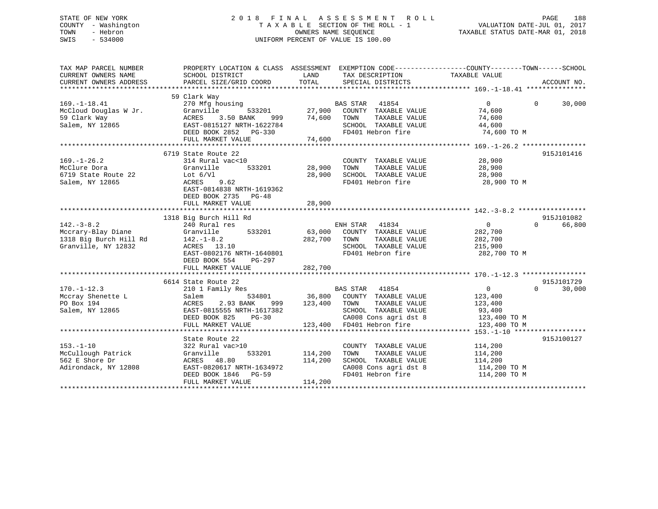# STATE OF NEW YORK 2 0 1 8 F I N A L A S S E S S M E N T R O L L PAGE 188 COUNTY - Washington T A X A B L E SECTION OF THE ROLL - 1 VALUATION DATE-JUL 01, 2017 TOWN - Hebron OWNERS NAME SEQUENCE TAXABLE STATUS DATE-MAR 01, 2018 SWIS - 534000 UNIFORM PERCENT OF VALUE IS 100.00

| TAX MAP PARCEL NUMBER<br>CURRENT OWNERS NAME<br>CURRENT OWNERS ADDRESS | PROPERTY LOCATION & CLASS ASSESSMENT EXEMPTION CODE---------------COUNTY-------TOWN-----SCHOOL<br>SCHOOL DISTRICT<br>PARCEL SIZE/GRID COORD | LAND<br>TOTAL | TAX DESCRIPTION<br>SPECIAL DISTRICTS | TAXABLE VALUE     | ACCOUNT NO.        |
|------------------------------------------------------------------------|---------------------------------------------------------------------------------------------------------------------------------------------|---------------|--------------------------------------|-------------------|--------------------|
|                                                                        |                                                                                                                                             |               |                                      |                   |                    |
| $169. - 1 - 18.41$                                                     | 59 Clark Way<br>270 Mfg housing                                                                                                             |               | <b>BAS STAR</b><br>41854             | $\Omega$          | $\Omega$<br>30,000 |
| McCloud Douglas W Jr.                                                  | Granville<br>533201                                                                                                                         | 27,900        | COUNTY TAXABLE VALUE                 | 74,600            |                    |
| 59 Clark Way                                                           | ACRES<br>3.50 BANK<br>999                                                                                                                   | 74,600        | TAXABLE VALUE<br>TOWN                | 74,600            |                    |
| Salem, NY 12865                                                        | EAST-0815127 NRTH-1622784                                                                                                                   |               | SCHOOL TAXABLE VALUE                 | 44,600            |                    |
|                                                                        | DEED BOOK 2852 PG-330                                                                                                                       |               | FD401 Hebron fire                    | 74,600 TO M       |                    |
|                                                                        | FULL MARKET VALUE                                                                                                                           | 74,600        |                                      |                   |                    |
|                                                                        |                                                                                                                                             |               |                                      |                   |                    |
|                                                                        | 6719 State Route 22                                                                                                                         |               |                                      |                   | 915J101416         |
| $169. - 1 - 26.2$                                                      | 314 Rural vac<10                                                                                                                            |               | COUNTY TAXABLE VALUE                 | 28,900            |                    |
| McClure Dora                                                           | 533201<br>Granville                                                                                                                         | 28,900        | TAXABLE VALUE<br>TOWN                | 28,900            |                    |
| 6719 State Route 22                                                    | Lot $6/V1$                                                                                                                                  | 28,900        | SCHOOL TAXABLE VALUE                 | 28,900            |                    |
| Salem, NY 12865                                                        | ACRES<br>9.62                                                                                                                               |               | FD401 Hebron fire                    | 28,900 TO M       |                    |
|                                                                        | EAST-0814838 NRTH-1619362                                                                                                                   |               |                                      |                   |                    |
|                                                                        | DEED BOOK 2735 PG-48                                                                                                                        |               |                                      |                   |                    |
|                                                                        | FULL MARKET VALUE                                                                                                                           | 28,900        |                                      |                   |                    |
|                                                                        |                                                                                                                                             |               |                                      |                   |                    |
|                                                                        | 1318 Big Burch Hill Rd                                                                                                                      |               |                                      |                   | 915J101082         |
| $142. - 3 - 8.2$                                                       | 240 Rural res                                                                                                                               |               | ENH STAR 41834                       | $\overline{0}$    | $\Omega$<br>66,800 |
| Mccrary-Blay Diane                                                     | Granville<br>533201                                                                                                                         |               | 63,000 COUNTY TAXABLE VALUE          | 282,700           |                    |
| 1318 Big Burch Hill Rd                                                 | $142. - 1 - 8.2$                                                                                                                            | 282,700       | TOWN<br>TAXABLE VALUE                | 282,700           |                    |
| Granville, NY 12832                                                    | ACRES 13.10                                                                                                                                 |               | SCHOOL TAXABLE VALUE                 | 215,900           |                    |
|                                                                        | EAST-0802176 NRTH-1640801                                                                                                                   |               | FD401 Hebron fire                    | 282,700 TO M      |                    |
|                                                                        | DEED BOOK 554<br>PG-297                                                                                                                     |               |                                      |                   |                    |
|                                                                        | FULL MARKET VALUE                                                                                                                           | 282,700       |                                      |                   |                    |
|                                                                        |                                                                                                                                             |               |                                      |                   |                    |
|                                                                        | 6614 State Route 22                                                                                                                         |               |                                      |                   | 915J101729         |
| $170. - 1 - 12.3$                                                      | 210 1 Family Res                                                                                                                            |               | BAS STAR 41854                       | $0 \qquad \qquad$ | $\Omega$<br>30,000 |
| Mccray Shenette L                                                      | 534801<br>Salem                                                                                                                             |               | 36,800 COUNTY TAXABLE VALUE          | 123,400           |                    |
| PO Box 194                                                             | 2.93 BANK<br>ACRES<br>999                                                                                                                   | 123,400       | TOWN<br>TAXABLE VALUE                | 123,400           |                    |
| Salem, NY 12865                                                        | EAST-0815555 NRTH-1617382                                                                                                                   |               | SCHOOL TAXABLE VALUE                 | 93,400            |                    |
|                                                                        | DEED BOOK 825<br>$PG-30$                                                                                                                    |               | CA008 Cons agri dst 8                | 123,400 TO M      |                    |
|                                                                        | FULL MARKET VALUE                                                                                                                           |               | 123,400 FD401 Hebron fire            | 123,400 TO M      |                    |
|                                                                        |                                                                                                                                             |               |                                      |                   |                    |
|                                                                        | State Route 22                                                                                                                              |               |                                      |                   | 915J100127         |
| $153. - 1 - 10$                                                        | 322 Rural vac>10                                                                                                                            |               | COUNTY TAXABLE VALUE                 | 114,200           |                    |
| McCullough Patrick                                                     | Granville<br>533201                                                                                                                         | 114,200       | TAXABLE VALUE<br>TOWN                | 114,200           |                    |
| 562 E Shore Dr                                                         | ACRES 48.80                                                                                                                                 | 114,200       | SCHOOL TAXABLE VALUE                 | 114,200           |                    |
| Adirondack, NY 12808                                                   | EAST-0820617 NRTH-1634972                                                                                                                   |               | CA008 Cons agri dst 8                | 114,200 TO M      |                    |
|                                                                        | DEED BOOK 1846 PG-59                                                                                                                        |               | FD401 Hebron fire                    | 114,200 TO M      |                    |
|                                                                        | FULL MARKET VALUE                                                                                                                           | 114,200       |                                      |                   |                    |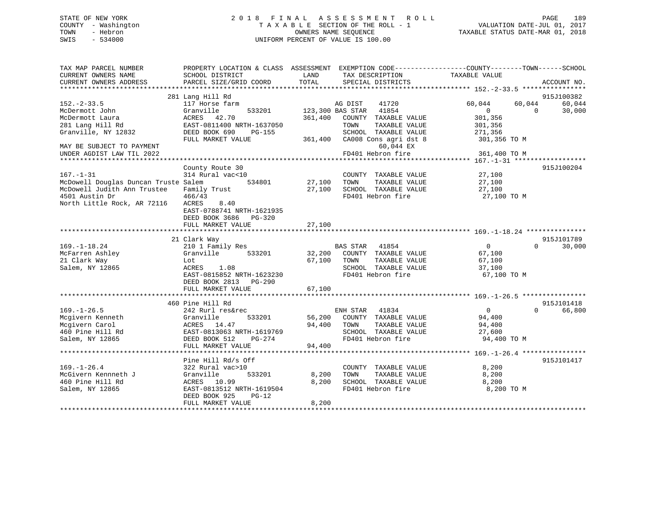# STATE OF NEW YORK 2 0 1 8 F I N A L A S S E S S M E N T R O L L PAGE 189 COUNTY - Washington T A X A B L E SECTION OF THE ROLL - 1 VALUATION DATE-JUL 01, 2017 TOWN - Hebron OWNERS NAME SEQUENCE TAXABLE STATUS DATE-MAR 01, 2018 SWIS - 534000 UNIFORM PERCENT OF VALUE IS 100.00

| TAX MAP PARCEL NUMBER<br>CURRENT OWNERS NAME | PROPERTY LOCATION & CLASS ASSESSMENT<br>SCHOOL DISTRICT | LAND             | TAX DESCRIPTION           | EXEMPTION CODE-----------------COUNTY-------TOWN------SCHOOL<br>TAXABLE VALUE |                      |
|----------------------------------------------|---------------------------------------------------------|------------------|---------------------------|-------------------------------------------------------------------------------|----------------------|
| CURRENT OWNERS ADDRESS                       | PARCEL SIZE/GRID COORD                                  | TOTAL            | SPECIAL DISTRICTS         |                                                                               | ACCOUNT NO.          |
|                                              |                                                         |                  |                           |                                                                               |                      |
| $152 - 2 - 33.5$                             | 281 Lang Hill Rd<br>117 Horse farm                      |                  | 41720<br>AG DIST          | 60,044<br>60,044                                                              | 915J100382<br>60,044 |
| McDermott John                               | Granville<br>533201                                     |                  | 123,300 BAS STAR<br>41854 | $\Omega$<br>$\Omega$                                                          | 30,000               |
| McDermott Laura                              | ACRES 42.70                                             | 361,400          | COUNTY TAXABLE VALUE      | 301,356                                                                       |                      |
| 281 Lang Hill Rd                             | EAST-0811400 NRTH-1637050                               |                  | TAXABLE VALUE<br>TOWN     | 301,356                                                                       |                      |
| Granville, NY 12832                          | DEED BOOK 690<br><b>PG-155</b>                          |                  | SCHOOL TAXABLE VALUE      | 271,356                                                                       |                      |
|                                              | FULL MARKET VALUE                                       | 361,400          | CA008 Cons agri dst 8     | 301,356 TO M                                                                  |                      |
| MAY BE SUBJECT TO PAYMENT                    |                                                         |                  | 60,044 EX                 |                                                                               |                      |
| UNDER AGDIST LAW TIL 2022                    |                                                         |                  | FD401 Hebron fire         | 361,400 TO M                                                                  |                      |
|                                              |                                                         |                  |                           |                                                                               |                      |
|                                              | County Route 30                                         |                  |                           |                                                                               | 915J100204           |
| $167. - 1 - 31$                              | 314 Rural vac<10                                        |                  | COUNTY TAXABLE VALUE      | 27,100                                                                        |                      |
| McDowell Douglas Duncan Truste Salem         | 534801                                                  | 27,100           | TAXABLE VALUE<br>TOWN     | 27,100                                                                        |                      |
| McDowell Judith Ann Trustee                  | Family Trust                                            | 27,100           | SCHOOL TAXABLE VALUE      | 27,100                                                                        |                      |
| 4501 Austin Dr                               | 466/43                                                  |                  | FD401 Hebron fire         | 27,100 TO M                                                                   |                      |
| North Little Rock, AR 72116                  | 8.40<br>ACRES                                           |                  |                           |                                                                               |                      |
|                                              | EAST-0788741 NRTH-1621935                               |                  |                           |                                                                               |                      |
|                                              | DEED BOOK 3686 PG-320                                   |                  |                           |                                                                               |                      |
|                                              | FULL MARKET VALUE                                       | 27,100           |                           |                                                                               |                      |
|                                              |                                                         |                  |                           |                                                                               |                      |
| $169. - 1 - 18.24$                           | 21 Clark Way                                            |                  | <b>BAS STAR</b><br>41854  | $\overline{0}$<br>$\Omega$                                                    | 915J101789           |
| McFarren Ashley                              | 210 1 Family Res                                        |                  | COUNTY TAXABLE VALUE      |                                                                               | 30,000               |
| 21 Clark Way                                 | Granville<br>533201                                     | 32,200<br>67,100 | TAXABLE VALUE<br>TOWN     | 67,100<br>67,100                                                              |                      |
| Salem, NY 12865                              | Lot<br>ACRES<br>1.08                                    |                  | SCHOOL TAXABLE VALUE      |                                                                               |                      |
|                                              | EAST-0815852 NRTH-1623230                               |                  | FD401 Hebron fire         | 37,100<br>67,100 TO M                                                         |                      |
|                                              | DEED BOOK 2813 PG-290                                   |                  |                           |                                                                               |                      |
|                                              | FULL MARKET VALUE                                       | 67,100           |                           |                                                                               |                      |
|                                              |                                                         |                  |                           |                                                                               |                      |
|                                              | 460 Pine Hill Rd                                        |                  |                           |                                                                               | 915J101418           |
| $169. - 1 - 26.5$                            | 242 Rurl res&rec                                        |                  | 41834<br>ENH STAR         | $\overline{0}$<br>$\Omega$                                                    | 66,800               |
| Mcgivern Kenneth                             | Granville<br>533201                                     | 56,200           | COUNTY TAXABLE VALUE      | 94,400                                                                        |                      |
| Mcgivern Carol                               | ACRES 14.47                                             | 94,400           | TOWN<br>TAXABLE VALUE     | 94,400                                                                        |                      |
| 460 Pine Hill Rd                             | EAST-0813063 NRTH-1619769                               |                  | SCHOOL TAXABLE VALUE      | 27,600                                                                        |                      |
| Salem, NY 12865                              | PG-274<br>DEED BOOK 512                                 |                  | FD401 Hebron fire         | 94,400 TO M                                                                   |                      |
|                                              | FULL MARKET VALUE                                       | 94,400           |                           |                                                                               |                      |
|                                              |                                                         |                  |                           |                                                                               |                      |
|                                              | Pine Hill Rd/s Off                                      |                  |                           |                                                                               | 915J101417           |
| $169. - 1 - 26.4$                            | 322 Rural vac>10                                        |                  | COUNTY TAXABLE VALUE      | 8,200                                                                         |                      |
| McGivern Kennneth J                          | Granville<br>533201                                     | 8,200            | TOWN<br>TAXABLE VALUE     | 8,200                                                                         |                      |
| 460 Pine Hill Rd                             | ACRES 10.99                                             | 8,200            | SCHOOL TAXABLE VALUE      | 8,200                                                                         |                      |
| Salem, NY 12865                              | EAST-0813512 NRTH-1619504                               |                  | FD401 Hebron fire         | 8,200 TO M                                                                    |                      |
|                                              | DEED BOOK 925<br>$PG-12$                                |                  |                           |                                                                               |                      |
|                                              | FULL MARKET VALUE                                       | 8,200            |                           |                                                                               |                      |
|                                              |                                                         |                  |                           |                                                                               |                      |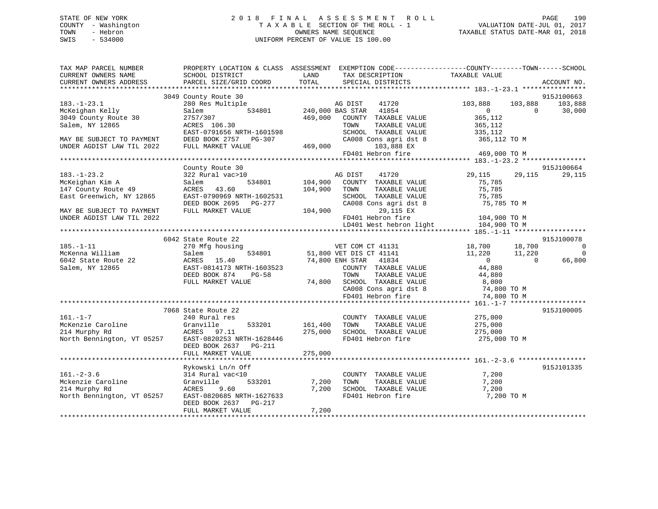# STATE OF NEW YORK 2 0 1 8 F I N A L A S S E S S M E N T R O L L PAGE 190 COUNTY - Washington T A X A B L E SECTION OF THE ROLL - 1 VALUATION DATE-JUL 01, 2017 TOWN - Hebron OWNERS NAME SEQUENCE TAXABLE STATUS DATE-MAR 01, 2018 SWIS - 534000 UNIFORM PERCENT OF VALUE IS 100.00

| TAX MAP PARCEL NUMBER      |                            |         | PROPERTY LOCATION & CLASS ASSESSMENT EXEMPTION CODE----------------COUNTY-------TOWN------SCHOOL |                |                          |
|----------------------------|----------------------------|---------|--------------------------------------------------------------------------------------------------|----------------|--------------------------|
| CURRENT OWNERS NAME        | SCHOOL DISTRICT            | LAND    | TAX DESCRIPTION                                                                                  | TAXABLE VALUE  |                          |
| CURRENT OWNERS ADDRESS     | PARCEL SIZE/GRID COORD     | TOTAL   | SPECIAL DISTRICTS                                                                                |                | ACCOUNT NO.              |
|                            |                            |         |                                                                                                  |                |                          |
|                            | 3049 County Route 30       |         |                                                                                                  |                | 915J100663               |
| $183. - 1 - 23.1$          | 280 Res Multiple           |         | AG DIST<br>41720                                                                                 | 103,888        | 103,888<br>103,888       |
| McKeighan Kelly            | 534801<br>Salem            |         | 41854<br>240,000 BAS STAR                                                                        | $\overline{0}$ | $\Omega$<br>30,000       |
| 3049 County Route 30       | 2757/307                   | 469,000 | COUNTY TAXABLE VALUE                                                                             | 365,112        |                          |
| Salem, NY 12865            | ACRES 106.30               |         | TOWN<br>TAXABLE VALUE                                                                            | 365,112        |                          |
|                            | EAST-0791656 NRTH-1601598  |         | SCHOOL TAXABLE VALUE                                                                             | 335,112        |                          |
| MAY BE SUBJECT TO PAYMENT  | DEED BOOK 2757 PG-307      |         | CA008 Cons agri dst 8                                                                            | 365,112 TO M   |                          |
| UNDER AGDIST LAW TIL 2022  | FULL MARKET VALUE          | 469,000 | 103,888 EX                                                                                       |                |                          |
|                            |                            |         | FD401 Hebron fire                                                                                | 469,000 TO M   |                          |
|                            |                            |         |                                                                                                  |                |                          |
|                            | County Route 30            |         |                                                                                                  |                | 915J100664               |
| $183. - 1 - 23.2$          | 322 Rural vac>10           |         | 41720<br>AG DIST                                                                                 | 29,115         | 29,115<br>29,115         |
| McKeighan Kim A            | 534801<br>Salem            | 104,900 | COUNTY TAXABLE VALUE                                                                             | 75,785         |                          |
| 147 County Route 49        | ACRES<br>43.60             | 104,900 | TOWN<br>TAXABLE VALUE                                                                            | 75,785         |                          |
| East Greenwich, NY 12865   | EAST-0790969 NRTH-1602531  |         | SCHOOL TAXABLE VALUE                                                                             | 75,785         |                          |
|                            | DEED BOOK 2695 PG-277      |         | CA008 Cons agri dst 8                                                                            | 75,785 TO M    |                          |
| MAY BE SUBJECT TO PAYMENT  | FULL MARKET VALUE          | 104,900 | 29,115 EX                                                                                        |                |                          |
| UNDER AGDIST LAW TIL 2022  |                            |         | FD401 Hebron fire                                                                                | 104,900 TO M   |                          |
|                            |                            |         | LD401 West hebron light                                                                          | 104,900 TO M   |                          |
|                            | 6042 State Route 22        |         |                                                                                                  |                | 915J100078               |
| $185. - 1 - 11$            | 270 Mfg housing            |         | VET COM CT 41131 18,700                                                                          |                | 18,700<br>$\bigcirc$     |
| McKenna William            | 534801<br>Salem            |         | 51,800 VET DIS CT 41141                                                                          | 11,220         | 11,220<br>$\overline{0}$ |
| 6042 State Route 22        | ACRES 15.40                |         | 74,800 ENH STAR<br>41834                                                                         | $\overline{0}$ | 66,800<br>$\Omega$       |
| Salem, NY 12865            | EAST-0814173 NRTH-1603523  |         | COUNTY TAXABLE VALUE                                                                             | 44,880         |                          |
|                            | DEED BOOK 874<br>$PG-58$   |         | TOWN<br>TAXABLE VALUE                                                                            | 44,880         |                          |
|                            | FULL MARKET VALUE          | 74,800  |                                                                                                  |                |                          |
|                            |                            |         | SCHOOL TAXABLE VALUE 8,000<br>CA008 Cons agri dst 8 74,800 TO M                                  |                |                          |
|                            |                            |         | FD401 Hebron fire                                                                                | 74,800 TO M    |                          |
|                            |                            |         |                                                                                                  |                |                          |
|                            | 7068 State Route 22        |         |                                                                                                  |                | 915J100005               |
| $161. - 1 - 7$             | 240 Rural res              |         | COUNTY TAXABLE VALUE                                                                             | 275,000        |                          |
| McKenzie Caroline          | Granville<br>533201        | 161,400 | TAXABLE VALUE<br>TOWN                                                                            | 275,000        |                          |
| 214 Murphy Rd              | ACRES<br>97.11             | 275,000 | SCHOOL TAXABLE VALUE                                                                             | 275,000        |                          |
| North Bennington, VT 05257 | EAST-0820253 NRTH-1628446  |         | FD401 Hebron fire                                                                                | 275,000 TO M   |                          |
|                            | DEED BOOK 2637 PG-211      |         |                                                                                                  |                |                          |
|                            | FULL MARKET VALUE          | 275,000 |                                                                                                  |                |                          |
|                            |                            |         |                                                                                                  |                |                          |
|                            | Rykowski Ln/n Off          |         |                                                                                                  |                | 915J101335               |
| $161. - 2 - 3.6$           | 314 Rural vac<10           |         | COUNTY TAXABLE VALUE                                                                             | 7,200          |                          |
| Mckenzie Caroline          | Granville<br>533201        | 7,200   | TOWN<br>TAXABLE VALUE                                                                            | 7,200          |                          |
| 214 Murphy Rd              | ACRES<br>9.60              | 7,200   | SCHOOL TAXABLE VALUE                                                                             | 7,200          |                          |
| North Bennington, VT 05257 | EAST-0820685 NRTH-1627633  |         | FD401 Hebron fire                                                                                | 7,200 TO M     |                          |
|                            | DEED BOOK 2637<br>$PG-217$ |         |                                                                                                  |                |                          |
|                            | FULL MARKET VALUE          | 7,200   |                                                                                                  |                |                          |
|                            |                            |         |                                                                                                  |                |                          |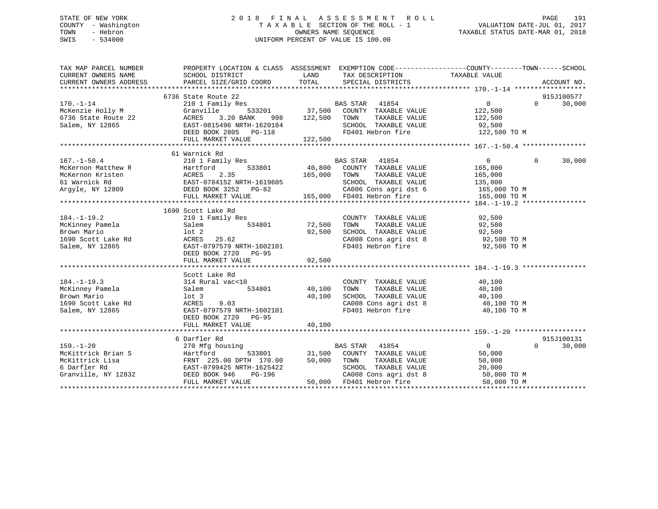# STATE OF NEW YORK 2 0 1 8 F I N A L A S S E S S M E N T R O L L PAGE 191 COUNTY - Washington T A X A B L E SECTION OF THE ROLL - 1 VALUATION DATE-JUL 01, 2017 TOWN - Hebron OWNERS NAME SEQUENCE TAXABLE STATUS DATE-MAR 01, 2018 SWIS - 534000 UNIFORM PERCENT OF VALUE IS 100.00

| TAX MAP PARCEL NUMBER<br>CURRENT OWNERS NAME                                                                                                                                                                                           | PROPERTY LOCATION & CLASS ASSESSMENT EXEMPTION CODE----------------COUNTY-------TOWN------SCHOOL<br>SCHOOL DISTRICT | LAND          | TAX DESCRIPTION                                                                                                                                                                          | TAXABLE VALUE              |                    |
|----------------------------------------------------------------------------------------------------------------------------------------------------------------------------------------------------------------------------------------|---------------------------------------------------------------------------------------------------------------------|---------------|------------------------------------------------------------------------------------------------------------------------------------------------------------------------------------------|----------------------------|--------------------|
| CURRENT OWNERS ADDRESS                                                                                                                                                                                                                 | PARCEL SIZE/GRID COORD                                                                                              | TOTAL         | SPECIAL DISTRICTS                                                                                                                                                                        |                            | ACCOUNT NO.        |
|                                                                                                                                                                                                                                        | 6736 State Route 22                                                                                                 |               |                                                                                                                                                                                          |                            | 915J100577         |
| $170. - 1 - 14$                                                                                                                                                                                                                        | 210 1 Family Res                                                                                                    |               |                                                                                                                                                                                          | $0 \qquad \qquad$          | $\Omega$<br>30,000 |
|                                                                                                                                                                                                                                        | Granville                                                                                                           |               | $\begin{tabular}{lllllllll} \texttt{BAS STAR} & 41854 \\ \texttt{533201} & 37,500 & \texttt{COUNTY} & \texttt{TAXABLE VALUE} \end{tabular}$                                              |                            |                    |
| McKenzie Holly M<br>6736 State Route 22                                                                                                                                                                                                | ACRES<br>3.20 BANK<br>998                                                                                           | 122,500       | TOWN<br>TAXABLE VALUE                                                                                                                                                                    | 122,500<br>122,500         |                    |
| Salem, NY 12865                                                                                                                                                                                                                        | EAST-0815496 NRTH-1620184                                                                                           |               | SCHOOL TAXABLE VALUE 92,500                                                                                                                                                              |                            |                    |
|                                                                                                                                                                                                                                        | DEED BOOK 2805 PG-118                                                                                               |               | FD401 Hebron fire                                                                                                                                                                        | 122,500 TO M               |                    |
|                                                                                                                                                                                                                                        | FULL MARKET VALUE                                                                                                   | 122,500       |                                                                                                                                                                                          |                            |                    |
|                                                                                                                                                                                                                                        |                                                                                                                     |               |                                                                                                                                                                                          |                            |                    |
|                                                                                                                                                                                                                                        | 61 Warnick Rd                                                                                                       |               |                                                                                                                                                                                          |                            |                    |
| $167. - 1 - 50.4$                                                                                                                                                                                                                      | 210 1 Family Res                                                                                                    |               | BAS STAR 41854                                                                                                                                                                           | $\overline{0}$<br>$\Omega$ | 30,000             |
|                                                                                                                                                                                                                                        |                                                                                                                     |               |                                                                                                                                                                                          |                            |                    |
|                                                                                                                                                                                                                                        |                                                                                                                     |               |                                                                                                                                                                                          |                            |                    |
|                                                                                                                                                                                                                                        |                                                                                                                     |               |                                                                                                                                                                                          |                            |                    |
|                                                                                                                                                                                                                                        |                                                                                                                     |               |                                                                                                                                                                                          |                            |                    |
|                                                                                                                                                                                                                                        |                                                                                                                     |               |                                                                                                                                                                                          |                            |                    |
| MCKernon Matthew R<br>MCKernon Matthew R<br>MCKernon Kristen (165,000 EXAMPLE VALUE 165,000<br>MCKernon Kristen (165,000 EAST-0784152 NRTH-1619605 165,000 TOWN TAXABLE VALUE 165,000<br>Argyle, NY 12809 DEED BOOK 3252 PG-82 (2.35 C |                                                                                                                     |               |                                                                                                                                                                                          |                            |                    |
|                                                                                                                                                                                                                                        | 1690 Scott Lake Rd                                                                                                  |               |                                                                                                                                                                                          |                            |                    |
| $184. - 1 - 19.2$                                                                                                                                                                                                                      | 210 1 Family Res                                                                                                    |               | COUNTY TAXABLE VALUE                                                                                                                                                                     | 92,500                     |                    |
| McKinney Pamela                                                                                                                                                                                                                        | Salem                                                                                                               | 534801 72,500 | TOWN                                                                                                                                                                                     | TAXABLE VALUE 92,500       |                    |
| Brown Mario                                                                                                                                                                                                                            | $1$ ot $2$                                                                                                          | 92,500        | SCHOOL TAXABLE VALUE 92,500<br>CA008 Cons agri dst 8 92,500 TO M                                                                                                                         |                            |                    |
| 1690 Scott Lake Rd                                                                                                                                                                                                                     | ACRES 25.62                                                                                                         |               |                                                                                                                                                                                          |                            |                    |
| Salem, NY 12865                                                                                                                                                                                                                        | EAST-0797579 NRTH-1602101                                                                                           |               | FD401 Hebron fire                                                                                                                                                                        | 92,500 TO M                |                    |
|                                                                                                                                                                                                                                        | DEED BOOK 2720 PG-95                                                                                                |               |                                                                                                                                                                                          |                            |                    |
|                                                                                                                                                                                                                                        | FULL MARKET VALUE                                                                                                   | 92,500        |                                                                                                                                                                                          |                            |                    |
|                                                                                                                                                                                                                                        | Scott Lake Rd                                                                                                       |               |                                                                                                                                                                                          |                            |                    |
| $184. - 1 - 19.3$                                                                                                                                                                                                                      | 314 Rural vac<10                                                                                                    |               |                                                                                                                                                                                          |                            |                    |
|                                                                                                                                                                                                                                        | 534801<br>Salem                                                                                                     | 40,100        | COUNTY TAXABLE VALUE 40,100<br>TOWN                                                                                                                                                      |                            |                    |
| McKinney Pamela<br>Brown Mario                                                                                                                                                                                                         | lot 3                                                                                                               | 40,100        | $\begin{tabular}{lllllllll} \textsc{TOWN} & \textsc{TXABLE} & \textsc{VALUE} & \textsc{40,100} \\ \textsc{SCHOOD} & \textsc{TXABLE} & \textsc{VALUE} & \textsc{40,100} \\ \end{tabular}$ |                            |                    |
|                                                                                                                                                                                                                                        | ACRES<br>9.03                                                                                                       |               | CA008 Cons agri dst 8 40,100 TO M                                                                                                                                                        |                            |                    |
| Brown Mallo<br>1690 Scott Lake Rd<br>Salem, NY 12865                                                                                                                                                                                   | EAST-0797579 NRTH-1602101                                                                                           |               | FD401 Hebron fire                                                                                                                                                                        | 40,100 TO M                |                    |
|                                                                                                                                                                                                                                        | DEED BOOK 2720 PG-95                                                                                                |               |                                                                                                                                                                                          |                            |                    |
|                                                                                                                                                                                                                                        | FULL MARKET VALUE                                                                                                   | 40,100        |                                                                                                                                                                                          |                            |                    |
|                                                                                                                                                                                                                                        |                                                                                                                     |               |                                                                                                                                                                                          |                            |                    |
|                                                                                                                                                                                                                                        | 6 Darfler Rd                                                                                                        |               |                                                                                                                                                                                          |                            | 915J100131         |
| $159. - 1 - 20$                                                                                                                                                                                                                        | 270 Mfg housing                                                                                                     |               | BAS STAR 41854                                                                                                                                                                           | $\overline{0}$             | 30,000<br>$\Omega$ |
| McKittrick Brian S                                                                                                                                                                                                                     | 270 mig i<br>Hartford                                                                                               |               | 533801 31,500 COUNTY TAXABLE VALUE                                                                                                                                                       | 50,000                     |                    |
|                                                                                                                                                                                                                                        |                                                                                                                     |               | 50,000 TOWN<br>TAXABLE VALUE                                                                                                                                                             | 50,000                     |                    |
|                                                                                                                                                                                                                                        |                                                                                                                     |               |                                                                                                                                                                                          | 20,000                     |                    |
| McKittrick Lisa<br>6 Darfler Rd<br>6 Darfler Rd<br>6 Granville, NY 12832<br>2008 DEED BOOK 946 PG-196                                                                                                                                  | $PG-196$                                                                                                            |               | SCHOOL TAXABLE VALUE 20,000<br>CA008 Cons agri dst 8 50,000 TO M                                                                                                                         |                            |                    |
|                                                                                                                                                                                                                                        | FULL MARKET VALUE                                                                                                   |               | 50,000 FD401 Hebron fire                                                                                                                                                                 | 50,000 TO M                |                    |
|                                                                                                                                                                                                                                        |                                                                                                                     |               |                                                                                                                                                                                          |                            |                    |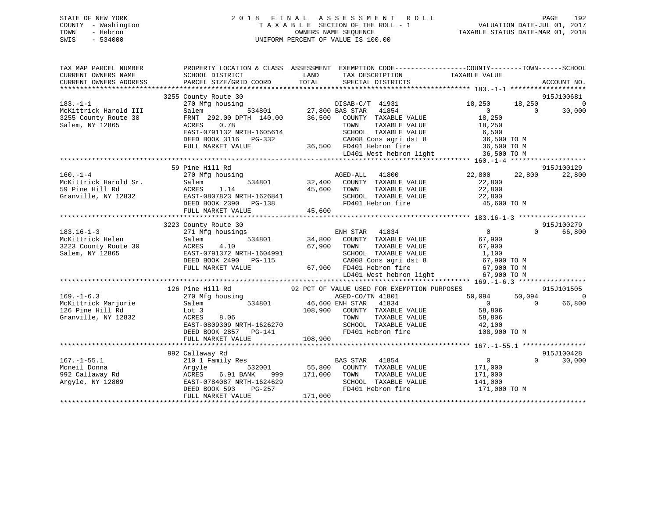# STATE OF NEW YORK 2 0 1 8 F I N A L A S S E S S M E N T R O L L PAGE 192 COUNTY - Washington T A X A B L E SECTION OF THE ROLL - 1 VALUATION DATE-JUL 01, 2017 TOWN - Hebron OWNERS NAME SEQUENCE TAXABLE STATUS DATE-MAR 01, 2018 SWIS - 534000 UNIFORM PERCENT OF VALUE IS 100.00

| TAX MAP PARCEL NUMBER<br>CURRENT OWNERS NAME<br>CURRENT OWNERS ADDRESS | SCHOOL DISTRICT<br>PARCEL SIZE/GRID COORD | PROPERTY LOCATION & CLASS ASSESSMENT EXEMPTION CODE----------------COUNTY-------TOWN------SCHOOL<br>LAND<br>TAX DESCRIPTION TAXABLE VALUE<br>TOTAL<br>SPECIAL DISTRICTS | ACCOUNT NO.                          |
|------------------------------------------------------------------------|-------------------------------------------|-------------------------------------------------------------------------------------------------------------------------------------------------------------------------|--------------------------------------|
|                                                                        |                                           |                                                                                                                                                                         |                                      |
|                                                                        | 3255 County Route 30                      |                                                                                                                                                                         | 915J100681                           |
| $183. - 1 - 1$                                                         | 270 Mfg housing                           |                                                                                                                                                                         | 18,250<br>18,250<br>$\Omega$         |
| McKittrick Harold III                                                  | Salem                                     | DISAB-C/T 41931<br>534801 27,800 BAS STAR 41854                                                                                                                         | $\overline{0}$<br>$\Omega$<br>30,000 |
| 3255 County Route 30                                                   |                                           | FRNT 292.00 DPTH 140.00 36,500 COUNTY TAXABLE VALUE                                                                                                                     | 18,250                               |
| Salem, NY 12865                                                        | ACRES<br>0.78                             | TOWN<br>TAXABLE VALUE                                                                                                                                                   | 18,250                               |
|                                                                        | EAST-0791132 NRTH-1605614                 | SCHOOL TAXABLE VALUE 6,500                                                                                                                                              |                                      |
|                                                                        | DEED BOOK 3116 PG-332                     |                                                                                                                                                                         |                                      |
|                                                                        | FULL MARKET VALUE                         | CA008 Cons agri dst 8 36,500 TO M<br>36,500 FD401 Hebron fire 36,500 TO M                                                                                               |                                      |
|                                                                        |                                           | LD401 West hebron light                                                                                                                                                 | 36,500 TO M                          |
|                                                                        |                                           |                                                                                                                                                                         |                                      |
|                                                                        | 59 Pine Hill Rd                           |                                                                                                                                                                         | 915J100129                           |
| $160. - 1 - 4$                                                         | 270 Mfg housing                           | AGED-ALL 41800                                                                                                                                                          | 22,800 22,800<br>22,800              |
| McKittrick Harold Sr.                                                  | 534801<br>Salem                           | 32,400 COUNTY TAXABLE VALUE                                                                                                                                             | 22,800                               |
| 59 Pine Hill Rd                                                        | ACRES<br>1.14                             | TAXABLE VALUE                                                                                                                                                           | 22,800                               |
| Granville, NY 12832                                                    |                                           | $\begin{array}{cc} 45,600 & \text{TOWN} \\ 1 & \text{SCHO01} \\ 45,600 & \text{FD401} \end{array}$                                                                      |                                      |
|                                                                        | EAST-0807823 NRTH-1626841                 | SCHOOL TAXABLE VALUE 22,800                                                                                                                                             |                                      |
|                                                                        | DEED BOOK 2390 PG-138                     | FD401 Hebron fire 45,600 TO M                                                                                                                                           |                                      |
|                                                                        | FULL MARKET VALUE                         |                                                                                                                                                                         |                                      |
|                                                                        |                                           |                                                                                                                                                                         |                                      |
|                                                                        | 3223 County Route 30                      |                                                                                                                                                                         | 915J100279                           |
| $183.16 - 1 - 3$                                                       | 271 Mfg housings                          | ENH STAR 41834                                                                                                                                                          | $\overline{0}$<br>$\Omega$<br>66,800 |
| McKittrick Helen                                                       | 534801<br>Salem                           | 34,800 COUNTY TAXABLE VALUE                                                                                                                                             | 67,900                               |
| 3223 County Route 30                                                   | ACRES<br>4.10                             | 67,900 TOWN<br>TAXABLE VALUE                                                                                                                                            | 67,900                               |
| Salem, NY 12865                                                        | EAST-0791372 NRTH-1604991                 | SCHOOL TAXABLE VALUE                                                                                                                                                    | 1,100                                |
|                                                                        | DEED BOOK 2490 PG-115                     | CA008 Cons agri dst 8 67,900 TO M                                                                                                                                       |                                      |
|                                                                        | FULL MARKET VALUE                         | 67,900 FD401 Hebron fire                                                                                                                                                |                                      |
|                                                                        |                                           | FD401 Hebron fire 67,900 TO M<br>LD401 West hebron light 67,900 TO M                                                                                                    |                                      |
|                                                                        |                                           |                                                                                                                                                                         |                                      |
|                                                                        | 126 Pine Hill Rd                          | 92 PCT OF VALUE USED FOR EXEMPTION PURPOSES                                                                                                                             | 915J101505                           |
| $169. - 1 - 6.3$                                                       | 270 Mfg housing                           | AGED-CO/TN 41801                                                                                                                                                        | 50,094<br>50,094<br>$\Omega$         |
| McKittrick Marjorie                                                    | Salem                                     | 534801 46,600 ENH STAR 41834                                                                                                                                            | $\overline{0}$<br>66,800<br>$\Omega$ |
| 126 Pine Hill Rd                                                       | Lot 3                                     | 108,900 COUNTY TAXABLE VALUE                                                                                                                                            | 58,806                               |
| Granville, NY 12832                                                    | ACRES<br>8.06                             | TOWN<br>TAXABLE VALUE                                                                                                                                                   | 58,806                               |
|                                                                        | EAST-0809309 NRTH-1626270                 |                                                                                                                                                                         |                                      |
|                                                                        | DEED BOOK 2857 PG-141                     |                                                                                                                                                                         | 108,900 TO M                         |
|                                                                        |                                           |                                                                                                                                                                         |                                      |
|                                                                        | FULL MARKET VALUE                         | 108,900                                                                                                                                                                 |                                      |
|                                                                        |                                           |                                                                                                                                                                         | 915J100428                           |
|                                                                        | 992 Callaway Rd                           |                                                                                                                                                                         |                                      |
| $167. - 1 - 55.1$                                                      | 210 1 Family Res                          | <b>BAS STAR</b><br>41854                                                                                                                                                | $\overline{0}$<br>$\Omega$<br>30,000 |
| Mcneil Donna                                                           | Arqyle<br>532001                          | 55,800 COUNTY TAXABLE VALUE                                                                                                                                             | 171,000                              |
| 992 Callaway Rd                                                        | ACRES<br>6.91 BANK                        | 999 171,000<br>TAXABLE VALUE<br>TOWN                                                                                                                                    | 171,000                              |
| Arqyle, NY 12809                                                       | EAST-0784087 NRTH-1624629                 | SCHOOL TAXABLE VALUE                                                                                                                                                    | 141,000                              |
|                                                                        | DEED BOOK 593<br>PG-257                   | FD401 Hebron fire                                                                                                                                                       | 171,000 TO M                         |
|                                                                        | FULL MARKET VALUE                         | 171,000                                                                                                                                                                 |                                      |
|                                                                        |                                           |                                                                                                                                                                         |                                      |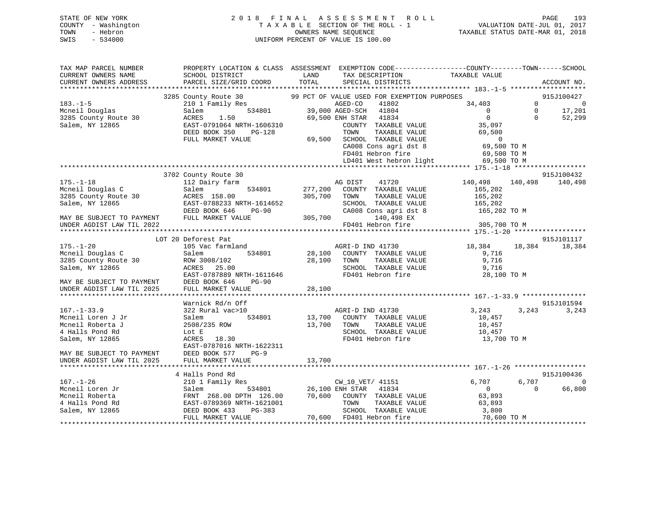# STATE OF NEW YORK 2 0 1 8 F I N A L A S S E S S M E N T R O L L PAGE 193 COUNTY - Washington T A X A B L E SECTION OF THE ROLL - 1 VALUATION DATE-JUL 01, 2017 TOWN - Hebron OWNERS NAME SEQUENCE TAXABLE STATUS DATE-MAR 01, 2018 SWIS - 534000 UNIFORM PERCENT OF VALUE IS 100.00

| TAX MAP PARCEL NUMBER                                                                                                                                   | PROPERTY LOCATION & CLASS ASSESSMENT EXEMPTION CODE----------------COUNTY-------TOWN------SCHOOL |                                           |                       |                                                                           |                                               |              |                                                  |
|---------------------------------------------------------------------------------------------------------------------------------------------------------|--------------------------------------------------------------------------------------------------|-------------------------------------------|-----------------------|---------------------------------------------------------------------------|-----------------------------------------------|--------------|--------------------------------------------------|
| CURRENT OWNERS NAME                                                                                                                                     | SCHOOL DISTRICT                                                                                  | LAND                                      |                       | TAX DESCRIPTION                                                           | TAXABLE VALUE                                 |              |                                                  |
| CURRENT OWNERS ADDRESS                                                                                                                                  | PARCEL SIZE/GRID COORD                                                                           | TOTAL                                     |                       | SPECIAL DISTRICTS                                                         |                                               |              | ACCOUNT NO.                                      |
|                                                                                                                                                         |                                                                                                  |                                           |                       |                                                                           |                                               |              |                                                  |
|                                                                                                                                                         | 3285 County Route 30                                                                             |                                           |                       | 99 PCT OF VALUE USED FOR EXEMPTION PURPOSES                               |                                               |              |                                                  |
| $183. - 1 - 5$                                                                                                                                          | 210 1 Family Res                                                                                 | 3 MGED-CO<br>534801 39,000 AGED-SCH 41804 |                       |                                                                           | 34,403                                        | $\Omega$     |                                                  |
| Mcneil Douglas                                                                                                                                          | Salem                                                                                            |                                           |                       |                                                                           | $\overline{0}$                                | $\mathbf{0}$ |                                                  |
| 3285 County Route 30<br>Salem, NY 12865                                                                                                                 | ACRES<br>1.50                                                                                    |                                           | 69,500 ENH STAR 41834 |                                                                           | $\Omega$                                      | $\Omega$     | $\begin{array}{c}\n 2.100427 \\  0\n\end{array}$ |
| Salem, NY 12865                                                                                                                                         | EAST-0791064 NRTH-1606310                                                                        |                                           |                       | COUNTY TAXABLE VALUE                                                      | 35,097                                        |              |                                                  |
|                                                                                                                                                         | DEED BOOK 350<br>PG-128                                                                          |                                           | TOWN                  | TAXABLE VALUE                                                             | 69,500                                        |              |                                                  |
|                                                                                                                                                         | FULL MARKET VALUE                                                                                |                                           |                       | 69,500 SCHOOL TAXABLE VALUE                                               | $\overline{0}$                                |              |                                                  |
|                                                                                                                                                         |                                                                                                  |                                           |                       | CA008 Cons agri dst 8<br>FD401 Uebren fixe                                | 69,500 TO M                                   |              |                                                  |
|                                                                                                                                                         |                                                                                                  |                                           |                       | FD401 Hebron fire                                                         | 69,500 TO M                                   |              |                                                  |
|                                                                                                                                                         |                                                                                                  |                                           |                       |                                                                           | LD401 West hebron light 69,500 TO M           |              |                                                  |
|                                                                                                                                                         |                                                                                                  |                                           |                       |                                                                           |                                               |              |                                                  |
|                                                                                                                                                         | 3702 County Route 30                                                                             |                                           |                       |                                                                           |                                               |              | 915J100432                                       |
| $175. - 1 - 18$                                                                                                                                         | 112 Dairy farm                                                                                   |                                           | AG DIST               | 41720                                                                     | 140,498 140,498                               |              | 140,498                                          |
|                                                                                                                                                         |                                                                                                  |                                           |                       | 534801 277,200 COUNTY TAXABLE VALUE                                       | 165,202<br>165,202                            |              |                                                  |
|                                                                                                                                                         |                                                                                                  | 305,700                                   | TOWN                  | TAXABLE VALUE                                                             |                                               |              |                                                  |
|                                                                                                                                                         | EAST-0788233 NRTH-1614652                                                                        |                                           |                       | SCHOOL TAXABLE VALUE                                                      | 165,202<br>CA008 Cons agri dst 8 165,202 TO M |              |                                                  |
|                                                                                                                                                         | $PG-90$                                                                                          |                                           |                       |                                                                           |                                               |              |                                                  |
| 175.-1-18<br>Mcneil Douglas C<br>3285 County Route 30<br>Salem, NY 12865<br>MAY BE SUBJECT TO PAYMENT<br>MAY BE SUBJECT TO PAYMENT<br>TULL MARKET VALUE |                                                                                                  | 305,700                                   |                       | 140,498 EX<br>FD401 Hebron fire                                           | 305,700 TO M                                  |              |                                                  |
|                                                                                                                                                         |                                                                                                  |                                           |                       |                                                                           |                                               |              |                                                  |
|                                                                                                                                                         | LOT 20 Deforest Pat                                                                              |                                           |                       |                                                                           |                                               |              | 915J101117                                       |
| $175. - 1 - 20$                                                                                                                                         | 105 Vac farmland                                                                                 |                                           | AGRI-D IND 41730      |                                                                           | 18,384 18,384                                 |              | 18,384                                           |
| Mcneil Douglas C                                                                                                                                        | Salem                                                                                            |                                           |                       | 534801 28,100 COUNTY TAXABLE VALUE                                        | 9,716                                         |              |                                                  |
| 3285 County Route 30                                                                                                                                    | ROW 3008/102                                                                                     | 28,100                                    | TOWN                  | TAXABLE VALUE                                                             | 9,716                                         |              |                                                  |
| Salem, NY 12865                                                                                                                                         |                                                                                                  |                                           |                       | SCHOOL TAXABLE VALUE                                                      | 9,716                                         |              |                                                  |
|                                                                                                                                                         | AURES 25.00<br>EAST-0787889 NRTH-1611646<br>DEED DOOU 111                                        |                                           |                       | FD401 Hebron fire                                                         | 28,100 TO M                                   |              |                                                  |
|                                                                                                                                                         |                                                                                                  |                                           |                       |                                                                           |                                               |              |                                                  |
|                                                                                                                                                         |                                                                                                  |                                           |                       |                                                                           |                                               |              |                                                  |
|                                                                                                                                                         |                                                                                                  |                                           |                       |                                                                           |                                               |              |                                                  |
|                                                                                                                                                         | Warnick Rd/n Off                                                                                 |                                           |                       |                                                                           |                                               |              | 915J101594                                       |
| $167. - 1 - 33.9$                                                                                                                                       | 322 Rural vac>10                                                                                 |                                           | AGRI-D IND 41730      |                                                                           | 3,243                                         |              | 3, 243 3, 243                                    |
| Mcneil Loren J Jr                                                                                                                                       | 534801<br>Salem                                                                                  |                                           |                       | 13,700 COUNTY TAXABLE VALUE                                               | 10,457                                        |              |                                                  |
| Mcneil Roberta J                                                                                                                                        | 2508/235 ROW                                                                                     |                                           |                       | 13,700 TOWN TAXABLE VALUE                                                 | 10,457                                        |              |                                                  |
| 4 Halls Pond Rd                                                                                                                                         | Lot E                                                                                            |                                           |                       | SCHOOL TAXABLE VALUE                                                      | 10,457                                        |              |                                                  |
| Salem, NY 12865                                                                                                                                         | ACRES 18.30                                                                                      |                                           |                       | FD401 Hebron fire                                                         | 13,700 TO M                                   |              |                                                  |
|                                                                                                                                                         |                                                                                                  |                                           |                       |                                                                           |                                               |              |                                                  |
|                                                                                                                                                         |                                                                                                  |                                           |                       |                                                                           |                                               |              |                                                  |
|                                                                                                                                                         |                                                                                                  |                                           |                       |                                                                           |                                               |              |                                                  |
|                                                                                                                                                         |                                                                                                  |                                           |                       |                                                                           |                                               |              |                                                  |
|                                                                                                                                                         | 4 Halls Pond Rd                                                                                  |                                           |                       |                                                                           |                                               |              | 915J100436                                       |
| $167. - 1 - 26$                                                                                                                                         | 210 1 Family Res                                                                                 | 3<br>534801 26,100 ENH STAR 41834         | CW_10_VET/ 41151      |                                                                           | 6,707                                         | 6,707        | $\overline{0}$                                   |
| Mcneil Loren Jr                                                                                                                                         | Salem                                                                                            |                                           |                       |                                                                           | $\overline{0}$                                | $\Omega$     | 66,800                                           |
| Mcneil Roberta                                                                                                                                          | FRNT 268.00 DPTH 126.00                                                                          |                                           |                       |                                                                           | 63,893                                        |              |                                                  |
| 4 Halls Pond Rd                                                                                                                                         | EAST-0789369 NRTH-1621001                                                                        |                                           |                       | 70,600 COUNTY TAXABLE VALUE<br>TOWN TAXABLE VALUE<br>SCHOOL TAXABLE VALUE | 63,893                                        |              |                                                  |
| Salem, NY 12865                                                                                                                                         | DEED BOOK 433<br>PG-383                                                                          |                                           |                       | SCHOOL TAXABLE VALUE                                                      | THE 3,800<br>70,600 TO M                      |              |                                                  |
|                                                                                                                                                         | FULL MARKET VALUE                                                                                | 70,600 FD401 Hebron fire                  |                       |                                                                           |                                               |              |                                                  |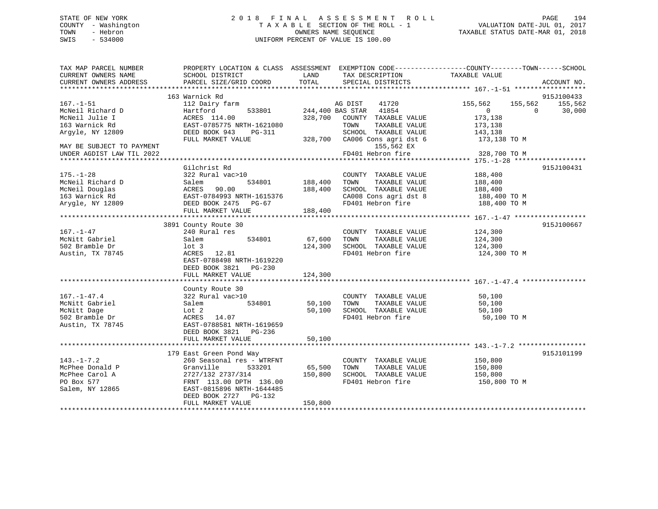# STATE OF NEW YORK 2 0 1 8 F I N A L A S S E S S M E N T R O L L PAGE 194 COUNTY - Washington T A X A B L E SECTION OF THE ROLL - 1 VALUATION DATE-JUL 01, 2017 TOWN - Hebron OWNERS NAME SEQUENCE TAXABLE STATUS DATE-MAR 01, 2018 SWIS - 534000 UNIFORM PERCENT OF VALUE IS 100.00

| TAX MAP PARCEL NUMBER     | PROPERTY LOCATION & CLASS ASSESSMENT EXEMPTION CODE-----------------COUNTY--------TOWN------SCHOOL |                |                                                                       |                |                    |
|---------------------------|----------------------------------------------------------------------------------------------------|----------------|-----------------------------------------------------------------------|----------------|--------------------|
| CURRENT OWNERS NAME       | SCHOOL DISTRICT                                                                                    | LAND           | TAX DESCRIPTION                                                       | TAXABLE VALUE  |                    |
| CURRENT OWNERS ADDRESS    | PARCEL SIZE/GRID COORD                                                                             | TOTAL          | SPECIAL DISTRICTS                                                     |                | ACCOUNT NO.        |
|                           |                                                                                                    |                |                                                                       |                |                    |
|                           | 163 Warnick Rd                                                                                     |                |                                                                       |                | 915J100433         |
| $167. - 1 - 51$           | 112 Dairy farm                                                                                     |                | 41720<br>AG DIST                                                      | 155,562        | 155,562 155,562    |
| McNeil Richard D          | 533801<br>Hartford                                                                                 |                | 244,400 BAS STAR 41854                                                | $\overline{0}$ | $\Omega$<br>30,000 |
| McNeil Julie I            | ACRES 114.00                                                                                       |                | 328,700 COUNTY TAXABLE VALUE                                          | 173,138        |                    |
| 163 Warnick Rd            | EAST-0785//3 NATH CHEST DEED BOOK 943 PG-311<br>EAST-0785775 NRTH-1621080                          |                | TOWN<br>TAXABLE VALUE                                                 | 173,138        |                    |
| Arqyle, NY 12809          |                                                                                                    |                | SCHOOL TAXABLE VALUE                                                  | 143,138        |                    |
|                           |                                                                                                    |                | 328,700 CA006 Cons agri dst 6 173,138 TO M                            |                |                    |
| MAY BE SUBJECT TO PAYMENT |                                                                                                    |                | 155,562 EX                                                            |                |                    |
| UNDER AGDIST LAW TIL 2022 |                                                                                                    |                | FD401 Hebron fire                                                     | 328,700 TO M   |                    |
|                           |                                                                                                    |                |                                                                       |                |                    |
|                           | Gilchrist Rd                                                                                       |                |                                                                       |                | 915J100431         |
| $175. - 1 - 28$           | 322 Rural vac>10                                                                                   |                | COUNTY TAXABLE VALUE                                                  | 188,400        |                    |
| McNeil Richard D          | Salem<br>ACRES 90.00<br>EAST-0784993 NRTH-1615376                                                  | 534801 188,400 | TOWN<br>TAXABLE VALUE                                                 | 188,400        |                    |
| McNeil Douglas            |                                                                                                    | 188,400        | SCHOOL TAXABLE VALUE<br>SCHOOL TAXABLE VALUE<br>CA008 Cons agri dst 8 | 188,400        |                    |
| 163 Warnick Rd            |                                                                                                    |                |                                                                       | 188,400 TO M   |                    |
| Arygle, NY 12809          | DEED BOOK 2475 PG-67                                                                               |                | FD401 Hebron fire                                                     | 188,400 TO M   |                    |
|                           | FULL MARKET VALUE                                                                                  | 188,400        |                                                                       |                |                    |
|                           |                                                                                                    |                |                                                                       |                |                    |
|                           | 3891 County Route 30                                                                               |                |                                                                       |                | 915J100667         |
| $167. - 1 - 47$           | 240 Rural res                                                                                      |                | COUNTY TAXABLE VALUE                                                  | 124,300        |                    |
| McNitt Gabriel            | Salem<br>534801                                                                                    | 67,600 TOWN    | TAXABLE VALUE                                                         | 124,300        |                    |
| 502 Bramble Dr            | $1$ ot 3                                                                                           | 124,300        | SCHOOL TAXABLE VALUE                                                  | 124,300        |                    |
| Austin, TX 78745          | ACRES 12.81                                                                                        |                | FD401 Hebron fire                                                     | 124,300 TO M   |                    |
|                           | EAST-0788498 NRTH-1619220                                                                          |                |                                                                       |                |                    |
|                           | DEED BOOK 3821 PG-230                                                                              |                |                                                                       |                |                    |
|                           | FULL MARKET VALUE                                                                                  | 124,300        |                                                                       |                |                    |
|                           |                                                                                                    |                |                                                                       |                |                    |
|                           | County Route 30                                                                                    |                |                                                                       |                |                    |
| $167. - 1 - 47.4$         | 322 Rural vac>10                                                                                   |                | COUNTY TAXABLE VALUE                                                  | 50,100         |                    |
| McNitt Gabriel            | 534801<br>Salem                                                                                    | 50,100 TOWN    | TAXABLE VALUE                                                         | 50,100         |                    |
| McNitt Dage               | Lot 2                                                                                              | 50,100         | SCHOOL TAXABLE VALUE                                                  | 50,100         |                    |
| 502 Bramble Dr            | ACRES 14.07                                                                                        |                | FD401 Hebron fire                                                     | 50,100 TO M    |                    |
| Austin, TX 78745          | EAST-0788581 NRTH-1619659                                                                          |                |                                                                       |                |                    |
|                           | DEED BOOK 3821 PG-236                                                                              |                |                                                                       |                |                    |
|                           | FULL MARKET VALUE                                                                                  | 50,100         |                                                                       |                |                    |
|                           |                                                                                                    |                |                                                                       |                |                    |
|                           | 179 East Green Pond Way                                                                            |                |                                                                       |                | 915J101199         |
| $143. - 1 - 7.2$          | 260 Seasonal res - WTRFNT                                                                          |                | COUNTY TAXABLE VALUE                                                  | 150,800        |                    |
| McPhee Donald P           | Granville                                                                                          | 533201 65,500  | TOWN<br>TAXABLE VALUE                                                 | 150,800        |                    |
| McPhee Carol A            | 2727/132 2737/314                                                                                  | 150,800        | SCHOOL TAXABLE VALUE                                                  | 150,800        |                    |
| PO Box 577                | FRNT 113.00 DPTH 136.00                                                                            |                | FD401 Hebron fire                                                     | 150,800 TO M   |                    |
| Salem, NY 12865           | EAST-0815896 NRTH-1644485                                                                          |                |                                                                       |                |                    |
|                           | DEED BOOK 2727 PG-132                                                                              |                |                                                                       |                |                    |
|                           | FULL MARKET VALUE                                                                                  | 150,800        |                                                                       |                |                    |
|                           |                                                                                                    |                |                                                                       |                |                    |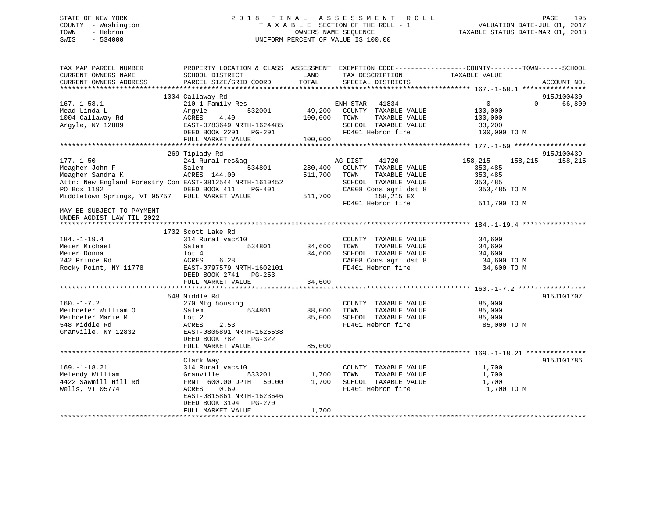# STATE OF NEW YORK 2 0 1 8 F I N A L A S S E S S M E N T R O L L PAGE 195 COUNTY - Washington T A X A B L E SECTION OF THE ROLL - 1 VALUATION DATE-JUL 01, 2017 TOWN - Hebron OWNERS NAME SEQUENCE TAXABLE STATUS DATE-MAR 01, 2018 SWIS - 534000 UNIFORM PERCENT OF VALUE IS 100.00

| TAX MAP PARCEL NUMBER<br>CURRENT OWNERS NAME<br>CURRENT OWNERS ADDRESS<br>*******************                                                                                      | PROPERTY LOCATION & CLASS ASSESSMENT<br>SCHOOL DISTRICT<br>PARCEL SIZE/GRID COORD                                                                                                           | LAND<br>TOTAL                 | TAX DESCRIPTION<br>SPECIAL DISTRICTS                                                                                                                  | EXEMPTION CODE-----------------COUNTY-------TOWN------SCHOOL<br>TAXABLE VALUE       | ACCOUNT NO.           |
|------------------------------------------------------------------------------------------------------------------------------------------------------------------------------------|---------------------------------------------------------------------------------------------------------------------------------------------------------------------------------------------|-------------------------------|-------------------------------------------------------------------------------------------------------------------------------------------------------|-------------------------------------------------------------------------------------|-----------------------|
| $167. - 1 - 58.1$<br>Mead Linda L<br>1004 Callaway Rd<br>Arqyle, NY 12809                                                                                                          | 1004 Callaway Rd<br>210 1 Family Res<br>Arqyle<br>532001<br>ACRES<br>4.40<br>EAST-0783649 NRTH-1624485<br>DEED BOOK 2291 PG-291<br>FULL MARKET VALUE                                        | 49,200<br>100,000<br>100,000  | 41834<br>ENH STAR<br>COUNTY TAXABLE VALUE<br>TOWN<br>TAXABLE VALUE<br>SCHOOL TAXABLE VALUE<br>FD401 Hebron fire                                       | $\overline{0}$<br>$\Omega$<br>100,000<br>100,000<br>33,200<br>100,000 TO M          | 915J100430<br>66,800  |
| $177. - 1 - 50$<br>Meagher John F<br>Meagher Sandra K<br>Attn: New England Forestry Con EAST-0812544 NRTH-1610452<br>PO Box 1192<br>Middletown Springs, VT 05757 FULL MARKET VALUE | 269 Tiplady Rd<br>241 Rural res&ag<br>534801<br>Salem<br>ACRES 144.00<br>DEED BOOK 411<br><b>PG-401</b>                                                                                     | 280,400<br>511,700<br>511,700 | AG DIST<br>41720<br>COUNTY TAXABLE VALUE<br>TAXABLE VALUE<br>TOWN<br>SCHOOL TAXABLE VALUE<br>CA008 Cons agri dst 8<br>158,215 EX<br>FD401 Hebron fire | 158,215<br>158,215<br>353,485<br>353,485<br>353,485<br>353,485 TO M<br>511,700 TO M | 915J100439<br>158,215 |
| MAY BE SUBJECT TO PAYMENT<br>UNDER AGDIST LAW TIL 2022<br>$184. - 1 - 19.4$<br>Meier Michael<br>Meier Donna<br>242 Prince Rd<br>Rocky Point, NY 11778                              | 1702 Scott Lake Rd<br>314 Rural vac<10<br>Salem<br>534801<br>$1$ ot $4$<br>ACRES<br>6.28<br>EAST-0797579 NRTH-1602101<br>DEED BOOK 2741<br>$PG-253$<br>FULL MARKET VALUE                    | 34,600<br>34,600<br>34,600    | COUNTY TAXABLE VALUE<br>TOWN<br>TAXABLE VALUE<br>SCHOOL TAXABLE VALUE<br>CA008 Cons agri dst 8<br>FD401 Hebron fire                                   | 34,600<br>34,600<br>34,600<br>34,600 TO M<br>34,600 TO M                            |                       |
| $160. - 1 - 7.2$<br>Meihoefer William O<br>Meihoefer Marie M<br>548 Middle Rd<br>Granville, NY 12832                                                                               | *****************************<br>548 Middle Rd<br>270 Mfg housing<br>Salem<br>534801<br>Lot 2<br>ACRES<br>2.53<br>EAST-0806891 NRTH-1625538<br>DEED BOOK 782<br>PG-322<br>FULL MARKET VALUE | 38,000<br>85,000<br>85,000    | COUNTY TAXABLE VALUE<br>TOWN<br>TAXABLE VALUE<br>SCHOOL TAXABLE VALUE<br>FD401 Hebron fire                                                            | 85,000<br>85,000<br>85,000<br>85,000 TO M                                           | 915J101707            |
| $169. - 1 - 18.21$<br>Melendy William<br>4422 Sawmill Hill Rd<br>Wells, VT 05774                                                                                                   | Clark Way<br>314 Rural vac<10<br>Granville<br>533201<br>FRNT 600.00 DPTH<br>50.00<br>ACRES<br>0.69<br>EAST-0815861 NRTH-1623646<br>DEED BOOK 3194<br>$PG-270$<br>FULL MARKET VALUE          | 1,700<br>1,700<br>1,700       | COUNTY TAXABLE VALUE<br>TOWN<br>TAXABLE VALUE<br>SCHOOL TAXABLE VALUE<br>FD401 Hebron fire                                                            | 1,700<br>1,700<br>1,700<br>1,700 TO M                                               | 915J101786            |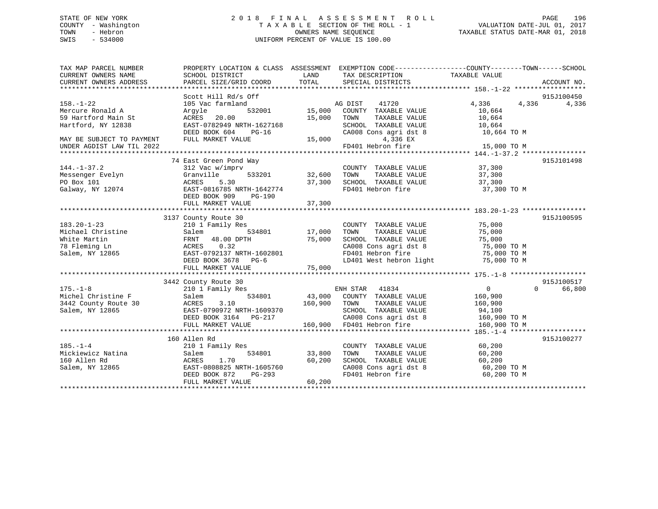# STATE OF NEW YORK 2 0 1 8 F I N A L A S S E S S M E N T R O L L PAGE 196 COUNTY - Washington T A X A B L E SECTION OF THE ROLL - 1 VALUATION DATE-JUL 01, 2017 TOWN - Hebron OWNERS NAME SEQUENCE TAXABLE STATUS DATE-MAR 01, 2018 SWIS - 534000 UNIFORM PERCENT OF VALUE IS 100.00

| TAX MAP PARCEL NUMBER<br>CURRENT OWNERS NAME<br>CURRENT OWNERS ADDRESS | PROPERTY LOCATION & CLASS ASSESSMENT EXEMPTION CODE---------------COUNTY-------TOWN-----SCHOOL<br>SCHOOL DISTRICT<br>PARCEL SIZE/GRID COORD | LAND<br>TOTAL | TAX DESCRIPTION<br>SPECIAL DISTRICTS | TAXABLE VALUE  | ACCOUNT NO.        |
|------------------------------------------------------------------------|---------------------------------------------------------------------------------------------------------------------------------------------|---------------|--------------------------------------|----------------|--------------------|
|                                                                        |                                                                                                                                             |               |                                      |                |                    |
|                                                                        | Scott Hill Rd/s Off                                                                                                                         |               |                                      |                | 915J100450         |
| $158. - 1 - 22$                                                        | 105 Vac farmland                                                                                                                            |               | AG DIST<br>41720                     | 4,336<br>4,336 | 4,336              |
| Mercure Ronald A                                                       | 532001<br>Argyle                                                                                                                            | 15,000        | COUNTY TAXABLE VALUE                 | 10,664         |                    |
| 59 Hartford Main St                                                    | ACRES<br>20.00                                                                                                                              | 15,000        | TOWN<br>TAXABLE VALUE                | 10,664         |                    |
| Hartford, NY 12838                                                     | EAST-0782949 NRTH-1627168                                                                                                                   |               | SCHOOL TAXABLE VALUE                 | 10,664         |                    |
|                                                                        | DEED BOOK 604<br>$PG-16$                                                                                                                    |               | CA008 Cons agri dst 8                | 10,664 TO M    |                    |
| MAY BE SUBJECT TO PAYMENT                                              | FULL MARKET VALUE                                                                                                                           | 15,000        | 4,336 EX                             |                |                    |
| UNDER AGDIST LAW TIL 2022                                              |                                                                                                                                             |               | FD401 Hebron fire                    | 15,000 TO M    |                    |
|                                                                        |                                                                                                                                             |               |                                      |                |                    |
|                                                                        | 74 East Green Pond Way                                                                                                                      |               |                                      |                | 915J101498         |
| $144. - 1 - 37.2$                                                      | 312 Vac w/imprv                                                                                                                             |               | COUNTY TAXABLE VALUE                 | 37,300         |                    |
| Messenger Evelyn                                                       | Granville<br>533201                                                                                                                         | 32,600        | TOWN<br>TAXABLE VALUE                | 37,300         |                    |
| PO Box 101                                                             | 5.30<br>ACRES                                                                                                                               | 37,300        | SCHOOL TAXABLE VALUE                 | 37,300         |                    |
| Galway, NY 12074                                                       | EAST-0816785 NRTH-1642774                                                                                                                   |               | FD401 Hebron fire                    | 37,300 TO M    |                    |
|                                                                        | DEED BOOK 909<br><b>PG-190</b>                                                                                                              |               |                                      |                |                    |
|                                                                        | FULL MARKET VALUE                                                                                                                           | 37,300        |                                      |                |                    |
|                                                                        |                                                                                                                                             |               |                                      |                |                    |
|                                                                        | 3137 County Route 30                                                                                                                        |               |                                      |                | 915J100595         |
| $183.20 - 1 - 23$                                                      | 210 1 Family Res                                                                                                                            |               | COUNTY TAXABLE VALUE                 | 75,000         |                    |
| Michael Christine                                                      | 534801<br>Salem                                                                                                                             | 17,000        | TAXABLE VALUE<br>TOWN                | 75,000         |                    |
| White Martin                                                           | FRNT 48.00 DPTH                                                                                                                             | 75,000        | SCHOOL TAXABLE VALUE                 | 75,000         |                    |
| 78 Fleming Ln                                                          | 0.32<br>ACRES                                                                                                                               |               | CA008 Cons agri dst 8                | 75,000 TO M    |                    |
| Salem, NY 12865                                                        | EAST-0792137 NRTH-1602801                                                                                                                   |               | FD401 Hebron fire                    | 75,000 TO M    |                    |
|                                                                        | DEED BOOK 3678 PG-6                                                                                                                         |               | LD401 West hebron light              | 75,000 TO M    |                    |
|                                                                        |                                                                                                                                             |               |                                      |                |                    |
|                                                                        |                                                                                                                                             |               |                                      |                |                    |
|                                                                        | 3442 County Route 30                                                                                                                        |               |                                      |                | 915J100517         |
| $175. - 1 - 8$                                                         | 210 1 Family Res                                                                                                                            |               | ENH STAR 41834                       | $\overline{0}$ | $\Omega$<br>66,800 |
| Michel Christine F                                                     | 534801<br>Salem                                                                                                                             | 43,000        | COUNTY TAXABLE VALUE                 | 160,900        |                    |
| 3442 County Route 30                                                   | ACRES<br>3.10                                                                                                                               | 160,900       | TOWN<br>TAXABLE VALUE                | 160,900        |                    |
| Salem, NY 12865                                                        | EAST-0790972 NRTH-1609370                                                                                                                   |               | SCHOOL TAXABLE VALUE                 | 94,100         |                    |
|                                                                        | DEED BOOK 3164 PG-217                                                                                                                       |               | CA008 Cons agri dst 8                | 160,900 TO M   |                    |
|                                                                        | FULL MARKET VALUE                                                                                                                           |               | 160,900 FD401 Hebron fire            | 160,900 TO M   |                    |
|                                                                        |                                                                                                                                             |               |                                      |                |                    |
|                                                                        | 160 Allen Rd                                                                                                                                |               |                                      |                | 915J100277         |
| $185. - 1 - 4$                                                         | 210 1 Family Res                                                                                                                            |               | COUNTY TAXABLE VALUE                 | 60,200         |                    |
| Mickiewicz Natina                                                      | 534801<br>Salem                                                                                                                             | 33,800        | TOWN<br>TAXABLE VALUE                | 60,200         |                    |
| 160 Allen Rd                                                           | 1.70<br>ACRES                                                                                                                               | 60,200        | SCHOOL TAXABLE VALUE                 | 60,200         |                    |
| Salem, NY 12865                                                        | EAST-0808825 NRTH-1605760                                                                                                                   |               | CA008 Cons agri dst 8                | 60,200 TO M    |                    |
|                                                                        | DEED BOOK 872<br>PG-293                                                                                                                     |               | FD401 Hebron fire                    | 60,200 TO M    |                    |
|                                                                        | FULL MARKET VALUE                                                                                                                           | 60,200        |                                      |                |                    |
|                                                                        |                                                                                                                                             |               |                                      |                |                    |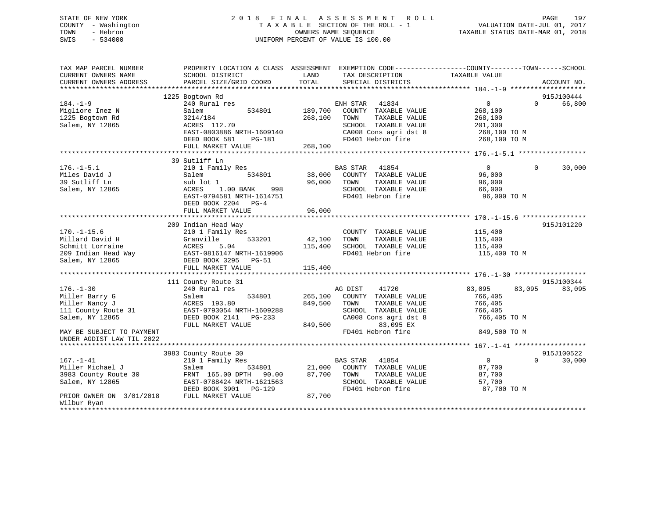# STATE OF NEW YORK 2 0 1 8 F I N A L A S S E S S M E N T R O L L PAGE 197 COUNTY - Washington T A X A B L E SECTION OF THE ROLL - 1 VALUATION DATE-JUL 01, 2017 TOWN - Hebron OWNERS NAME SEQUENCE TAXABLE STATUS DATE-MAR 01, 2018 SWIS - 534000 UNIFORM PERCENT OF VALUE IS 100.00

| TAX MAP PARCEL NUMBER<br>CURRENT OWNERS NAME<br>CURRENT OWNERS ADDRESS | SCHOOL DISTRICT<br>PARCEL SIZE/GRID COORD | LAND<br>TAX DESCRIPTION<br>TOTAL<br>SPECIAL DISTRICTS | PROPERTY LOCATION & CLASS ASSESSMENT EXEMPTION CODE---------------COUNTY-------TOWN-----SCHOOL<br>TAXABLE VALUE<br>ACCOUNT NO. |
|------------------------------------------------------------------------|-------------------------------------------|-------------------------------------------------------|--------------------------------------------------------------------------------------------------------------------------------|
|                                                                        |                                           |                                                       |                                                                                                                                |
|                                                                        | 1225 Bogtown Rd                           |                                                       | 915J100444                                                                                                                     |
| $184. - 1 - 9$                                                         | 240 Rural res                             | ENH STAR 41834                                        | $0 \qquad \qquad$<br>66,800<br>$\Omega$                                                                                        |
| Migliore Inez N                                                        | 534801<br>Salem                           | 189,700<br>COUNTY TAXABLE VALUE                       | 268,100                                                                                                                        |
| 1225 Bogtown Rd                                                        | 3214/184                                  | 268,100<br>TOWN<br>TAXABLE VALUE                      | 268,100                                                                                                                        |
| Salem, NY 12865                                                        | ACRES 112.70                              | SCHOOL TAXABLE VALUE                                  | 201,300                                                                                                                        |
|                                                                        | EAST-0803886 NRTH-1609140                 | CA008 Cons agri dst 8                                 | 268,100 TO M                                                                                                                   |
|                                                                        | DEED BOOK 581<br>PG-181                   | FD401 Hebron fire                                     | 268,100 TO M                                                                                                                   |
|                                                                        | FULL MARKET VALUE                         | 268,100                                               |                                                                                                                                |
|                                                                        | 39 Sutliff Ln                             |                                                       |                                                                                                                                |
| $176. - 1 - 5.1$                                                       | 210 1 Family Res                          | <b>BAS STAR</b><br>41854                              | 30,000<br>$\overline{0}$<br>$\Omega$                                                                                           |
| Miles David J                                                          | 534801<br>Salem                           | 38,000 COUNTY TAXABLE VALUE                           | 96,000                                                                                                                         |
| 39 Sutliff Ln                                                          | sub lot 1                                 | 96,000<br>TOWN<br>TAXABLE VALUE                       | 96,000                                                                                                                         |
| Salem, NY 12865                                                        | 1.00 BANK<br>998<br>ACRES                 | SCHOOL TAXABLE VALUE                                  | 66,000                                                                                                                         |
|                                                                        | EAST-0794581 NRTH-1614751                 | FD401 Hebron fire                                     | 96,000 TO M                                                                                                                    |
|                                                                        | DEED BOOK 2204 PG-4                       |                                                       |                                                                                                                                |
|                                                                        | FULL MARKET VALUE                         | 96,000                                                |                                                                                                                                |
|                                                                        |                                           |                                                       |                                                                                                                                |
|                                                                        | 209 Indian Head Way                       |                                                       | 915J101220                                                                                                                     |
| $170. - 1 - 15.6$                                                      | 210 1 Family Res                          | COUNTY TAXABLE VALUE                                  | 115,400                                                                                                                        |
| Millard David H                                                        | 533201<br>Granville                       | 42,100<br>TOWN<br>TAXABLE VALUE                       | 115,400                                                                                                                        |
| Schmitt Lorraine                                                       | 5.04<br>ACRES                             | 115,400<br>SCHOOL TAXABLE VALUE                       | 115,400                                                                                                                        |
| 209 Indian Head Way                                                    | EAST-0816147 NRTH-1619906                 | FD401 Hebron fire                                     | 115,400 TO M                                                                                                                   |
| Salem, NY 12865                                                        | DEED BOOK 3295 PG-51                      |                                                       |                                                                                                                                |
|                                                                        | FULL MARKET VALUE                         | 115,400                                               |                                                                                                                                |
|                                                                        |                                           |                                                       |                                                                                                                                |
|                                                                        | 111 County Route 31                       |                                                       | 915J100344                                                                                                                     |
| $176. - 1 - 30$<br>Miller Barry G                                      | 240 Rural res<br>534801                   | 41720<br>AG DIST<br>265,100<br>COUNTY TAXABLE VALUE   | 83,095<br>83,095<br>83,095<br>766,405                                                                                          |
| Miller Nancy J                                                         | Salem<br>ACRES 193.80                     | 849,500<br>TOWN<br>TAXABLE VALUE                      | 766,405                                                                                                                        |
| 111 County Route 31                                                    | EAST-0793054 NRTH-1609288                 | SCHOOL TAXABLE VALUE                                  | 766,405                                                                                                                        |
| Salem, NY 12865                                                        | DEED BOOK 2141 PG-233                     | CA008 Cons agri dst 8                                 | 766,405 TO M                                                                                                                   |
|                                                                        | FULL MARKET VALUE                         | 849,500<br>83,095 EX                                  |                                                                                                                                |
| MAY BE SUBJECT TO PAYMENT                                              |                                           | FD401 Hebron fire                                     | 849,500 TO M                                                                                                                   |
| UNDER AGDIST LAW TIL 2022                                              |                                           |                                                       |                                                                                                                                |
|                                                                        |                                           |                                                       |                                                                                                                                |
|                                                                        | 3983 County Route 30                      |                                                       | 915J100522                                                                                                                     |
| $167. - 1 - 41$                                                        | 210 1 Family Res                          | BAS STAR<br>41854                                     | $\overline{0}$<br>$\Omega$<br>30,000                                                                                           |
| Miller Michael J                                                       | Salem<br>534801                           | 21,000<br>COUNTY TAXABLE VALUE                        | 87,700                                                                                                                         |
| 3983 County Route 30                                                   | FRNT 165.00 DPTH 90.00                    | 87,700<br>TOWN<br>TAXABLE VALUE                       | 87,700                                                                                                                         |
| Salem, NY 12865                                                        | EAST-0788424 NRTH-1621563                 | SCHOOL TAXABLE VALUE                                  | 57,700                                                                                                                         |
|                                                                        | DEED BOOK 3901 PG-129                     | FD401 Hebron fire                                     | 87,700 TO M                                                                                                                    |
| PRIOR OWNER ON 3/01/2018                                               | FULL MARKET VALUE                         | 87,700                                                |                                                                                                                                |
| Wilbur Ryan                                                            |                                           |                                                       |                                                                                                                                |
|                                                                        |                                           |                                                       |                                                                                                                                |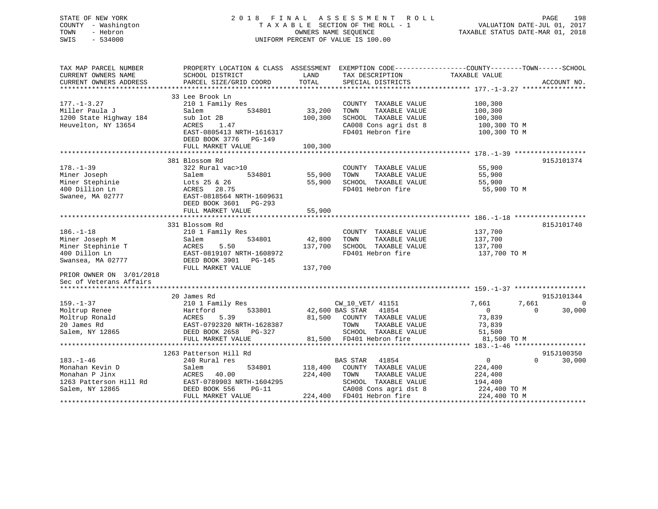# STATE OF NEW YORK 2 0 1 8 F I N A L A S S E S S M E N T R O L L PAGE 198 COUNTY - Washington T A X A B L E SECTION OF THE ROLL - 1 VALUATION DATE-JUL 01, 2017 TOWN - Hebron OWNERS NAME SEQUENCE TAXABLE STATUS DATE-MAR 01, 2018 SWIS - 534000 UNIFORM PERCENT OF VALUE IS 100.00

| TAX MAP PARCEL NUMBER                          |                                                                                            |         |                                           | PROPERTY LOCATION & CLASS ASSESSMENT EXEMPTION CODE----------------COUNTY-------TOWN------SCHOOL |
|------------------------------------------------|--------------------------------------------------------------------------------------------|---------|-------------------------------------------|--------------------------------------------------------------------------------------------------|
| CURRENT OWNERS NAME                            | SCHOOL DISTRICT                                                                            | LAND    | TAX DESCRIPTION                           | TAXABLE VALUE                                                                                    |
|                                                |                                                                                            |         |                                           |                                                                                                  |
|                                                |                                                                                            |         |                                           |                                                                                                  |
|                                                | 33 Lee Brook Ln                                                                            |         |                                           |                                                                                                  |
| $177. - 1 - 3.27$                              | 210 1 Family Res                                                                           |         | COUNTY TAXABLE VALUE                      | 100,300                                                                                          |
| Miller Paula J                                 | 534801<br>Salem                                                                            | 33,200  | TOWN<br>TAXABLE VALUE                     | 100,300                                                                                          |
| 1200 State Highway 184                         | sub lot 2B                                                                                 | 100,300 | SCHOOL TAXABLE VALUE                      | 100,300                                                                                          |
| Heuvelton, NY 13654                            | ACRES<br>1.47                                                                              |         | CA008 Cons agri dst 8                     |                                                                                                  |
|                                                |                                                                                            |         |                                           | 100,300 TO M                                                                                     |
|                                                | EAST-0805413 NRTH-1616317                                                                  |         | FD401 Hebron fire                         | 100,300 TO M                                                                                     |
|                                                | DEED BOOK 3776 PG-149                                                                      |         |                                           |                                                                                                  |
|                                                | FULL MARKET VALUE                                                                          | 100,300 |                                           |                                                                                                  |
|                                                |                                                                                            |         |                                           |                                                                                                  |
|                                                | 381 Blossom Rd                                                                             |         |                                           | 915J101374                                                                                       |
| $178. - 1 - 39$                                | 322 Rural vac>10                                                                           |         | COUNTY TAXABLE VALUE 55,900               |                                                                                                  |
| Miner Joseph                                   | 534801                                                                                     | 55,900  | TAXABLE VALUE<br>TOWN                     | 55,900                                                                                           |
| Miner Stephinie                                | Salem 534801<br>Lots 25 & 26<br>ACRES 28.75<br>EAST-0818564 NRTH-1609631<br>DEED BOOK 3601 | 55,900  | SCHOOL TAXABLE VALUE<br>FD401 Hebron fire | 55,900                                                                                           |
| 400 Dillion Ln                                 |                                                                                            |         |                                           | 55,900 TO M                                                                                      |
| Swanee, MA 02777                               |                                                                                            |         |                                           |                                                                                                  |
|                                                |                                                                                            |         |                                           |                                                                                                  |
|                                                | FULL MARKET VALUE                                                                          | 55,900  |                                           |                                                                                                  |
|                                                |                                                                                            |         |                                           |                                                                                                  |
|                                                | 331 Blossom Rd                                                                             |         |                                           | 815J101740                                                                                       |
| $186. - 1 - 18$                                |                                                                                            |         |                                           | 137,700                                                                                          |
|                                                | 210 1 Family Res                                                                           |         | COUNTY TAXABLE VALUE                      |                                                                                                  |
| Miner Joseph M                                 | 534801<br>Salem                                                                            | 42,800  | TOWN<br>TAXABLE VALUE                     | 137,700                                                                                          |
| Miner Stephinie T<br>400 Dillon In             | ACRES 5.50<br>EAST-0819107 NRTH-1608972                                                    | 137,700 | SCHOOL TAXABLE VALUE                      | 137,700                                                                                          |
| 400 Dillon Ln                                  |                                                                                            |         | FD401 Hebron fire                         | 137,700 TO M                                                                                     |
| Swansea, MA 02777                              | DEED BOOK 3901 PG-145                                                                      |         |                                           |                                                                                                  |
|                                                | FULL MARKET VALUE                                                                          | 137,700 |                                           |                                                                                                  |
| PRIOR OWNER ON 3/01/2018                       |                                                                                            |         |                                           |                                                                                                  |
| Sec of Veterans Affairs                        |                                                                                            |         |                                           |                                                                                                  |
|                                                |                                                                                            |         |                                           |                                                                                                  |
|                                                | 20 James Rd                                                                                |         |                                           | 915J101344                                                                                       |
| $159. - 1 - 37$                                | 210 1 Family Res                                                                           |         | CW_10_VET/ 41151                          | 7,661<br>7.661<br>$\overline{0}$                                                                 |
|                                                | 533801                                                                                     |         | 42,600 BAS STAR 41854                     | 30,000<br>$\overline{0}$<br>$\Omega$                                                             |
| Moltrup Renee<br>Moltrup Ronald<br>20 James Rd | Hartford<br>ACRES<br>5.39                                                                  |         | 81,500 COUNTY TAXABLE VALUE               | 73,839                                                                                           |
|                                                |                                                                                            |         | TOWN<br>TAXABLE VALUE                     | 73,839                                                                                           |
| Salem, NY 12865                                | EAST-0792320 NRTH-1628387<br>DEED BOOK 2658 PG-327                                         |         | SCHOOL TAXABLE VALUE                      | 51,500                                                                                           |
|                                                | FULL MARKET VALUE                                                                          |         | 81,500 FD401 Hebron fire                  | 81,500 TO M                                                                                      |
|                                                |                                                                                            |         |                                           |                                                                                                  |
|                                                |                                                                                            |         |                                           | 915J100350                                                                                       |
|                                                | 1263 Patterson Hill Rd                                                                     |         |                                           |                                                                                                  |
| $183. - 1 - 46$                                | 240 Rural res                                                                              |         | BAS STAR 41854                            | $\overline{0}$<br>$\Omega$<br>30,000                                                             |
| Monahan Kevin D                                | 534801                                                                                     | 118,400 | COUNTY TAXABLE VALUE                      | 224,400                                                                                          |
|                                                |                                                                                            | 224,400 | TOWN<br>TAXABLE VALUE                     | 224,400                                                                                          |
|                                                |                                                                                            |         | SCHOOL TAXABLE VALUE                      | 194,400                                                                                          |
|                                                |                                                                                            |         | CA008 Cons agri dst 8 224,400 TO M        |                                                                                                  |
|                                                |                                                                                            |         | 224,400 FD401 Hebron fire                 | 224,400 TO M                                                                                     |
|                                                |                                                                                            |         |                                           |                                                                                                  |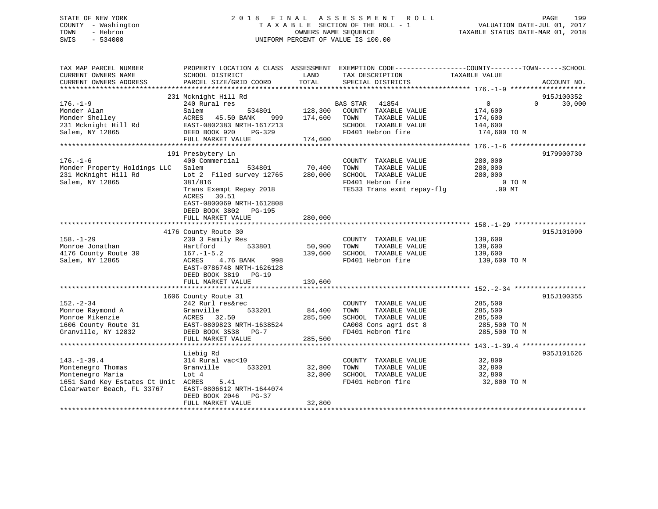# STATE OF NEW YORK 2 0 1 8 F I N A L A S S E S S M E N T R O L L PAGE 199 COUNTY - Washington T A X A B L E SECTION OF THE ROLL - 1 VALUATION DATE-JUL 01, 2017 TOWN - Hebron OWNERS NAME SEQUENCE TAXABLE STATUS DATE-MAR 01, 2018 SWIS - 534000 UNIFORM PERCENT OF VALUE IS 100.00

| TAX MAP PARCEL NUMBER<br>CURRENT OWNERS NAME<br>CURRENT OWNERS ADDRESS                                                          | PROPERTY LOCATION & CLASS ASSESSMENT EXEMPTION CODE---------------COUNTY-------TOWN-----SCHOOL<br>SCHOOL DISTRICT<br>PARCEL SIZE/GRID COORD                                 | LAND<br>TOTAL                 | TAX DESCRIPTION<br>SPECIAL DISTRICTS                                                                                     | TAXABLE VALUE                                                      | ACCOUNT NO.                      |
|---------------------------------------------------------------------------------------------------------------------------------|-----------------------------------------------------------------------------------------------------------------------------------------------------------------------------|-------------------------------|--------------------------------------------------------------------------------------------------------------------------|--------------------------------------------------------------------|----------------------------------|
|                                                                                                                                 |                                                                                                                                                                             |                               |                                                                                                                          |                                                                    |                                  |
| $176. - 1 - 9$<br>Monder Alan<br>Monder Shelley<br>231 Mcknight Hill Rd<br>Salem, NY 12865                                      | 231 Mcknight Hill Rd<br>240 Rural res<br>Salem<br>534801<br>ACRES<br>45.50 BANK<br>999<br>EAST-0802383 NRTH-1617213<br>DEED BOOK 920<br>PG-329<br>FULL MARKET VALUE         | 128,300<br>174,600<br>174,600 | BAS STAR 41854<br>COUNTY TAXABLE VALUE<br>TOWN<br>TAXABLE VALUE<br>SCHOOL TAXABLE VALUE<br>FD401 Hebron fire             | $0 \qquad \qquad$<br>174,600<br>174,600<br>144,600<br>174,600 TO M | 915J100352<br>30,000<br>$\Omega$ |
|                                                                                                                                 | 191 Presbytery Ln                                                                                                                                                           |                               |                                                                                                                          |                                                                    | 9179900730                       |
| $176. - 1 - 6$<br>Monder Property Holdings LLC<br>231 McKnight Hill Rd<br>Salem, NY 12865                                       | 400 Commercial<br>Salem<br>534801<br>Lot 2 Filed survey 12765<br>381/816<br>Trans Exempt Repay 2018<br>ACRES<br>30.51<br>EAST-0800069 NRTH-1612808<br>DEED BOOK 3802 PG-195 | 70,400<br>280,000             | COUNTY TAXABLE VALUE<br>TAXABLE VALUE<br>TOWN<br>SCHOOL TAXABLE VALUE<br>FD401 Hebron fire<br>TE533 Trans exmt repay-flg | 280,000<br>280,000<br>280,000<br>0 TO M<br>$.00$ MT                |                                  |
|                                                                                                                                 | FULL MARKET VALUE                                                                                                                                                           | 280,000                       |                                                                                                                          |                                                                    |                                  |
| $158. - 1 - 29$<br>Monroe Jonathan<br>4176 County Route 30<br>Salem, NY 12865                                                   | 4176 County Route 30<br>230 3 Family Res<br>Hartford<br>533801<br>$167. - 1 - 5.2$<br>998<br>ACRES<br>4.76 BANK<br>EAST-0786748 NRTH-1626128<br>DEED BOOK 3819 PG-19        | 50,900<br>139,600             | COUNTY TAXABLE VALUE<br>TOWN<br>TAXABLE VALUE<br>SCHOOL TAXABLE VALUE<br>FD401 Hebron fire                               | 139,600<br>139,600<br>139,600<br>139,600 TO M                      | 915J101090                       |
|                                                                                                                                 | FULL MARKET VALUE                                                                                                                                                           | 139,600                       |                                                                                                                          |                                                                    |                                  |
|                                                                                                                                 |                                                                                                                                                                             |                               |                                                                                                                          |                                                                    |                                  |
| $152. - 2 - 34$<br>Monroe Raymond A<br>Monroe Mikenzie<br>1606 County Route 31<br>Granville, NY 12832                           | 1606 County Route 31<br>242 Rurl res&rec<br>533201<br>Granville<br>ACRES 32.50<br>EAST-0809823 NRTH-1638524<br>DEED BOOK 3538 PG-7<br>FULL MARKET VALUE                     | 84,400<br>285,500<br>285,500  | COUNTY TAXABLE VALUE<br>TOWN<br>TAXABLE VALUE<br>SCHOOL TAXABLE VALUE<br>CA008 Cons agri dst 8<br>FD401 Hebron fire      | 285,500<br>285,500<br>285,500<br>285,500 TO M<br>285,500 TO M      | 915J100355                       |
|                                                                                                                                 |                                                                                                                                                                             |                               |                                                                                                                          |                                                                    |                                  |
| $143. - 1 - 39.4$<br>Montenegro Thomas<br>Montenegro Maria<br>1651 Sand Key Estates Ct Unit ACRES<br>Clearwater Beach, FL 33767 | Liebig Rd<br>314 Rural vac<10<br>Granville<br>533201<br>Lot 4<br>5.41<br>EAST-0806612 NRTH-1644074<br>DEED BOOK 2046<br>$PG-37$<br>FULL MARKET VALUE                        | 32,800<br>32,800<br>32,800    | COUNTY TAXABLE VALUE<br>TOWN<br>TAXABLE VALUE<br>SCHOOL TAXABLE VALUE<br>FD401 Hebron fire                               | 32,800<br>32,800<br>32,800<br>32,800 TO M                          | 935J101626                       |
|                                                                                                                                 |                                                                                                                                                                             |                               |                                                                                                                          |                                                                    |                                  |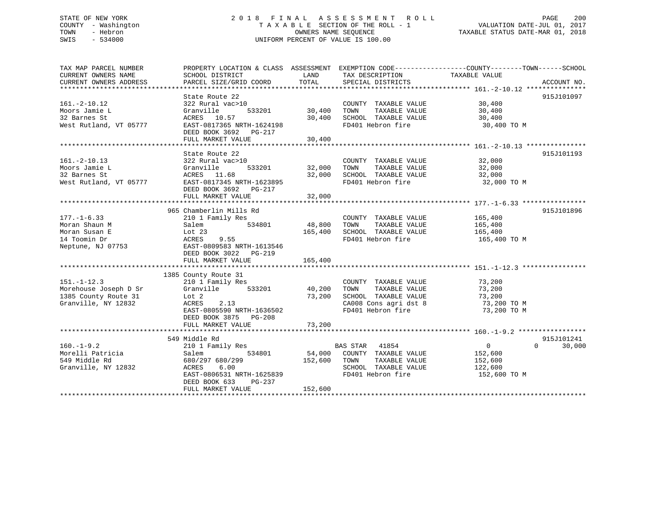# STATE OF NEW YORK 2 0 1 8 F I N A L A S S E S S M E N T R O L L PAGE 200 COUNTY - Washington T A X A B L E SECTION OF THE ROLL - 1 VALUATION DATE-JUL 01, 2017 TOWN - Hebron OWNERS NAME SEQUENCE TAXABLE STATUS DATE-MAR 01, 2018 SWIS - 534000 UNIFORM PERCENT OF VALUE IS 100.00

| TAX MAP PARCEL NUMBER<br>CURRENT OWNERS NAME<br>CURRENT OWNERS ADDRESS | PROPERTY LOCATION & CLASS ASSESSMENT EXEMPTION CODE----------------COUNTY-------TOWN------SCHOOL<br>SCHOOL DISTRICT<br>PARCEL SIZE/GRID COORD | LAND<br>TOTAL | TAX DESCRIPTION<br>SPECIAL DISTRICTS | TAXABLE VALUE  | ACCOUNT NO.        |
|------------------------------------------------------------------------|-----------------------------------------------------------------------------------------------------------------------------------------------|---------------|--------------------------------------|----------------|--------------------|
|                                                                        |                                                                                                                                               |               |                                      |                |                    |
|                                                                        | State Route 22                                                                                                                                |               |                                      |                | 915J101097         |
| $161. - 2 - 10.12$                                                     | 322 Rural vac>10                                                                                                                              |               | COUNTY TAXABLE VALUE                 | 30,400         |                    |
| Moors Jamie L                                                          | 533201<br>Granville                                                                                                                           | 30,400        | TAXABLE VALUE<br>TOWN                | 30,400         |                    |
| 32 Barnes St                                                           | ACRES 10.57                                                                                                                                   | 30,400        | SCHOOL TAXABLE VALUE                 | 30,400         |                    |
| West Rutland, VT 05777                                                 | EAST-0817365 NRTH-1624198                                                                                                                     |               | FD401 Hebron fire                    | 30,400 TO M    |                    |
|                                                                        | DEED BOOK 3692 PG-217                                                                                                                         |               |                                      |                |                    |
|                                                                        | FULL MARKET VALUE                                                                                                                             | 30,400        |                                      |                |                    |
|                                                                        |                                                                                                                                               |               |                                      |                |                    |
|                                                                        | State Route 22                                                                                                                                |               |                                      |                | 915J101193         |
| $161. - 2 - 10.13$                                                     | 322 Rural vac>10                                                                                                                              |               | COUNTY TAXABLE VALUE                 | 32,000         |                    |
| Moors Jamie L                                                          | Granville                                                                                                                                     | 533201 32,000 | TOWN<br>TAXABLE VALUE                | 32,000         |                    |
| 32 Barnes St                                                           | ACRES 11.68                                                                                                                                   | 32,000        | SCHOOL TAXABLE VALUE                 | 32,000         |                    |
| West Rutland, VT 05777                                                 | EAST-0817345 NRTH-1623895                                                                                                                     |               | FD401 Hebron fire                    | 32,000 TO M    |                    |
|                                                                        | DEED BOOK 3692 PG-217                                                                                                                         |               |                                      |                |                    |
|                                                                        | FULL MARKET VALUE                                                                                                                             | 32,000        |                                      |                |                    |
|                                                                        |                                                                                                                                               |               |                                      |                |                    |
|                                                                        | 965 Chamberlin Mills Rd                                                                                                                       |               |                                      |                | 915J101896         |
| $177. - 1 - 6.33$                                                      | 210 1 Family Res                                                                                                                              |               | COUNTY TAXABLE VALUE                 | 165,400        |                    |
| Moran Shaun M                                                          | 534801<br>Salem                                                                                                                               | 48,800        | TOWN<br>TAXABLE VALUE                | 165,400        |                    |
| Moran Susan E                                                          | Lot 23                                                                                                                                        | 165,400       | SCHOOL TAXABLE VALUE                 | 165,400        |                    |
| 14 Toomin Dr                                                           | 9.55<br>ACRES                                                                                                                                 |               | FD401 Hebron fire                    | 165,400 TO M   |                    |
| Neptune, NJ 07753                                                      | EAST-0809583 NRTH-1613546                                                                                                                     |               |                                      |                |                    |
|                                                                        | DEED BOOK 3022 PG-219                                                                                                                         |               |                                      |                |                    |
|                                                                        | FULL MARKET VALUE                                                                                                                             | 165,400       |                                      |                |                    |
|                                                                        |                                                                                                                                               |               |                                      |                |                    |
|                                                                        | 1385 County Route 31                                                                                                                          |               |                                      |                |                    |
| $151. - 1 - 12.3$                                                      | 210 1 Family Res                                                                                                                              |               | COUNTY TAXABLE VALUE                 | 73,200         |                    |
| Morehouse Joseph D Sr                                                  | 533201<br>Granville                                                                                                                           | 40,200        | TAXABLE VALUE<br>TOWN                | 73,200         |                    |
| 1385 County Route 31                                                   | Lot 2                                                                                                                                         | 73,200        | SCHOOL TAXABLE VALUE                 | 73,200         |                    |
| Granville, NY 12832                                                    | ACRES<br>2.13                                                                                                                                 |               | CA008 Cons agri dst 8                | 73,200 TO M    |                    |
|                                                                        | EAST-0805590 NRTH-1636502                                                                                                                     |               | FD401 Hebron fire                    | 73,200 TO M    |                    |
|                                                                        | DEED BOOK 3875 PG-208                                                                                                                         |               |                                      |                |                    |
|                                                                        | FULL MARKET VALUE                                                                                                                             | 73,200        |                                      |                |                    |
|                                                                        |                                                                                                                                               |               |                                      |                |                    |
|                                                                        | 549 Middle Rd                                                                                                                                 |               |                                      |                | 915J101241         |
| $160. - 1 - 9.2$                                                       | 210 1 Family Res                                                                                                                              |               | BAS STAR<br>41854                    | $\overline{0}$ | $\Omega$<br>30,000 |
| Morelli Patricia                                                       | 534801<br>Salem                                                                                                                               |               | 54,000 COUNTY TAXABLE VALUE          | 152,600        |                    |
| 549 Middle Rd                                                          | 680/297 680/299                                                                                                                               | 152,600       | TOWN<br>TAXABLE VALUE                | 152,600        |                    |
| Granville, NY 12832                                                    | ACRES<br>6.00                                                                                                                                 |               | SCHOOL TAXABLE VALUE                 | 122,600        |                    |
|                                                                        | EAST-0806531 NRTH-1625839                                                                                                                     |               | FD401 Hebron fire                    | 152,600 TO M   |                    |
|                                                                        | DEED BOOK 633<br>PG-237                                                                                                                       |               |                                      |                |                    |
|                                                                        | FULL MARKET VALUE                                                                                                                             | 152,600       |                                      |                |                    |
|                                                                        |                                                                                                                                               |               |                                      |                |                    |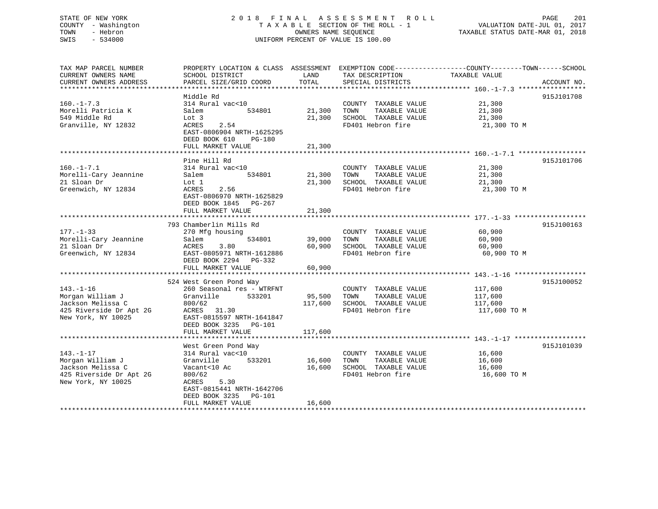# STATE OF NEW YORK 2 0 1 8 F I N A L A S S E S S M E N T R O L L PAGE 201 COUNTY - Washington T A X A B L E SECTION OF THE ROLL - 1 VALUATION DATE-JUL 01, 2017 TOWN - Hebron OWNERS NAME SEQUENCE TAXABLE STATUS DATE-MAR 01, 2018 SWIS - 534000 UNIFORM PERCENT OF VALUE IS 100.00

| TAX MAP PARCEL NUMBER                 | PROPERTY LOCATION & CLASS ASSESSMENT EXEMPTION CODE----------------COUNTY-------TOWN------SCHOOL |             |                                       |               |             |
|---------------------------------------|--------------------------------------------------------------------------------------------------|-------------|---------------------------------------|---------------|-------------|
| CURRENT OWNERS NAME                   | SCHOOL DISTRICT                                                                                  | LAND        | TAX DESCRIPTION                       | TAXABLE VALUE |             |
| CURRENT OWNERS ADDRESS                | PARCEL SIZE/GRID COORD                                                                           | TOTAL       | SPECIAL DISTRICTS                     |               | ACCOUNT NO. |
|                                       |                                                                                                  |             |                                       |               |             |
|                                       | Middle Rd                                                                                        |             |                                       |               | 915J101708  |
| $160. - 1 - 7.3$                      | 314 Rural vac<10                                                                                 |             | COUNTY TAXABLE VALUE                  | 21,300        |             |
| Morelli Patricia K                    | Salem<br>534801                                                                                  | 21,300      | TOWN<br>TAXABLE VALUE                 | 21,300        |             |
| 549 Middle Rd                         | Lot 3                                                                                            | 21,300      | SCHOOL TAXABLE VALUE                  | 21,300        |             |
| Granville, NY 12832                   | 2.54<br>ACRES                                                                                    |             | FD401 Hebron fire                     | 21,300 TO M   |             |
|                                       | EAST-0806904 NRTH-1625295                                                                        |             |                                       |               |             |
|                                       | DEED BOOK 610<br>PG-180                                                                          |             |                                       |               |             |
|                                       | FULL MARKET VALUE                                                                                | 21,300      |                                       |               |             |
|                                       |                                                                                                  |             |                                       |               |             |
|                                       | Pine Hill Rd                                                                                     |             |                                       |               | 915J101706  |
| $160. - 1 - 7.1$                      | 314 Rural vac<10                                                                                 |             | COUNTY TAXABLE VALUE                  | 21,300        |             |
| Morelli-Cary Jeannine                 | Salem<br>534801                                                                                  | 21,300 TOWN | TAXABLE VALUE                         | 21,300        |             |
| 21 Sloan Dr                           | Lot 1                                                                                            | 21,300      | SCHOOL TAXABLE VALUE                  | 21,300        |             |
| Greenwich, NY 12834                   | 2.56<br>ACRES                                                                                    |             | FD401 Hebron fire                     | 21,300 TO M   |             |
|                                       | EAST-0806970 NRTH-1625829                                                                        |             |                                       |               |             |
|                                       | DEED BOOK 1845 PG-267                                                                            |             |                                       |               |             |
|                                       | FULL MARKET VALUE                                                                                | 21,300      |                                       |               |             |
|                                       |                                                                                                  |             |                                       |               |             |
|                                       | 793 Chamberlin Mills Rd                                                                          |             |                                       |               | 915J100163  |
| $177. - 1 - 33$                       | 270 Mfg housing                                                                                  |             | COUNTY TAXABLE VALUE                  | 60,900        |             |
| Morelli-Cary Jeannine                 | 534801<br>Salem                                                                                  | 39,000      | TAXABLE VALUE<br>TOWN                 | 60,900        |             |
| 21 Sloan Dr                           | ACRES<br>3.80                                                                                    | 60,900      | SCHOOL TAXABLE VALUE                  | 60,900        |             |
| Greenwich, NY 12834                   | EAST-0805971 NRTH-1612886                                                                        |             | FD401 Hebron fire                     | 60,900 TO M   |             |
|                                       | DEED BOOK 2294 PG-332                                                                            |             |                                       |               |             |
|                                       | FULL MARKET VALUE                                                                                | 60,900      |                                       |               |             |
|                                       |                                                                                                  |             |                                       |               |             |
|                                       | 524 West Green Pond Way                                                                          |             |                                       |               | 915J100052  |
| $143. - 1 - 16$                       | 260 Seasonal res - WTRFNT                                                                        |             |                                       |               |             |
|                                       | Granville<br>533201                                                                              | 95,500 TOWN | COUNTY TAXABLE VALUE<br>TAXABLE VALUE | 117,600       |             |
| Morgan William J<br>Jackson Melissa C |                                                                                                  | 117,600     | SCHOOL TAXABLE VALUE                  | 117,600       |             |
|                                       | 800/62                                                                                           |             |                                       | 117,600       |             |
| 425 Riverside Dr Apt 2G               | ACRES 31.30                                                                                      |             | FD401 Hebron fire                     | 117,600 TO M  |             |
| New York, NY 10025                    | EAST-0815597 NRTH-1641847                                                                        |             |                                       |               |             |
|                                       | DEED BOOK 3235 PG-101                                                                            |             |                                       |               |             |
|                                       | FULL MARKET VALUE                                                                                | 117,600     |                                       |               |             |
|                                       |                                                                                                  |             |                                       |               |             |
|                                       | West Green Pond Way                                                                              |             |                                       |               | 915J101039  |
| $143. - 1 - 17$                       | 314 Rural vac<10                                                                                 |             | COUNTY TAXABLE VALUE                  | 16,600        |             |
| Morgan William J                      | Granville<br>533201                                                                              | 16,600      | TOWN<br>TAXABLE VALUE                 | 16,600        |             |
| Jackson Melissa C                     | Vacant<10 Ac                                                                                     | 16,600      | SCHOOL TAXABLE VALUE                  | 16,600        |             |
| 425 Riverside Dr Apt 2G               | 800/62                                                                                           |             | FD401 Hebron fire                     | 16,600 TO M   |             |
| New York, NY 10025                    | ACRES<br>5.30                                                                                    |             |                                       |               |             |
|                                       | EAST-0815441 NRTH-1642706                                                                        |             |                                       |               |             |
|                                       | DEED BOOK 3235 PG-101                                                                            |             |                                       |               |             |
|                                       | FULL MARKET VALUE                                                                                | 16,600      |                                       |               |             |
|                                       |                                                                                                  |             |                                       |               |             |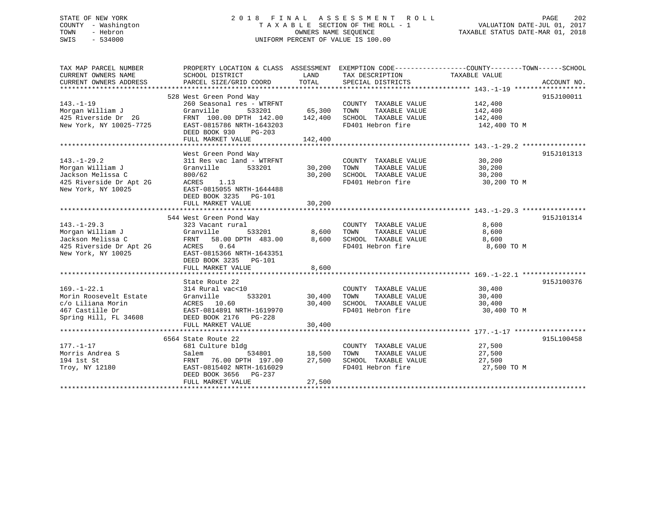# STATE OF NEW YORK 2 0 1 8 F I N A L A S S E S S M E N T R O L L PAGE 202 COUNTY - Washington T A X A B L E SECTION OF THE ROLL - 1 VALUATION DATE-JUL 01, 2017 TOWN - Hebron **CONNERS NAME SEQUENCE** TAXABLE STATUS DATE-MAR 01, 2018 SWIS - 534000 UNIFORM PERCENT OF VALUE IS 100.00

| TAX MAP PARCEL NUMBER<br>CURRENT OWNERS NAME | SCHOOL DISTRICT                                        | LAND                    | TAX DESCRIPTION       | PROPERTY LOCATION & CLASS ASSESSMENT EXEMPTION CODE--------------COUNTY-------TOWN-----SCHOOL<br>TAXABLE VALUE |             |
|----------------------------------------------|--------------------------------------------------------|-------------------------|-----------------------|----------------------------------------------------------------------------------------------------------------|-------------|
| CURRENT OWNERS ADDRESS                       | PARCEL SIZE/GRID COORD                                 | TOTAL                   | SPECIAL DISTRICTS     |                                                                                                                | ACCOUNT NO. |
| **********************                       | 528 West Green Pond Way                                |                         |                       |                                                                                                                | 915J100011  |
| $143. - 1 - 19$                              | 260 Seasonal res - WTRFNT                              |                         | COUNTY TAXABLE VALUE  | 142,400                                                                                                        |             |
| Morgan William J                             | Granville<br>533201                                    | 65,300                  | TOWN<br>TAXABLE VALUE | 142,400                                                                                                        |             |
| 425 Riverside Dr 2G                          | FRNT 100.00 DPTH 142.00                                | 142,400                 | SCHOOL TAXABLE VALUE  | 142,400                                                                                                        |             |
| New York, NY 10025-7725                      | EAST-0815786 NRTH-1643203<br>DEED BOOK 930<br>$PG-203$ |                         | FD401 Hebron fire     | 142,400 TO M                                                                                                   |             |
|                                              | FULL MARKET VALUE                                      | 142,400                 |                       |                                                                                                                |             |
|                                              | West Green Pond Way                                    |                         |                       |                                                                                                                | 915J101313  |
| $143. - 1 - 29.2$                            | 311 Res vac land - WTRFNT                              |                         | COUNTY TAXABLE VALUE  | 30,200                                                                                                         |             |
| Morgan William J                             | Granville<br>533201                                    | 30,200                  | TAXABLE VALUE<br>TOWN | 30,200                                                                                                         |             |
| Jackson Melissa C                            | 800/62                                                 | 30,200                  | SCHOOL TAXABLE VALUE  | 30,200                                                                                                         |             |
| 425 Riverside Dr Apt 2G                      | 1.13<br>ACRES                                          |                         | FD401 Hebron fire     | 30,200 TO M                                                                                                    |             |
| New York, NY 10025                           | EAST-0815055 NRTH-1644488<br>DEED BOOK 3235 PG-101     |                         |                       |                                                                                                                |             |
|                                              | FULL MARKET VALUE                                      | 30,200                  |                       |                                                                                                                |             |
|                                              |                                                        |                         |                       |                                                                                                                | 915J101314  |
| $143. - 1 - 29.3$                            | 544 West Green Pond Way<br>323 Vacant rural            |                         | COUNTY TAXABLE VALUE  | 8,600                                                                                                          |             |
| Morgan William J                             | Granville<br>533201                                    | 8,600                   | TOWN<br>TAXABLE VALUE | 8,600                                                                                                          |             |
| Jackson Melissa C                            | FRNT 58.00 DPTH 483.00                                 | 8,600                   | SCHOOL TAXABLE VALUE  | 8,600                                                                                                          |             |
| 425 Riverside Dr Apt 2G                      | ACRES 0.64                                             |                         | FD401 Hebron fire     | 8,600 TO M                                                                                                     |             |
| New York, NY 10025                           | EAST-0815366 NRTH-1643351<br>DEED BOOK 3235 PG-101     |                         |                       |                                                                                                                |             |
|                                              | FULL MARKET VALUE                                      | 8,600                   |                       |                                                                                                                |             |
|                                              |                                                        |                         |                       |                                                                                                                |             |
|                                              | State Route 22                                         |                         |                       |                                                                                                                | 915J100376  |
| $169. - 1 - 22.1$                            | 314 Rural vac<10                                       |                         | COUNTY TAXABLE VALUE  | 30,400                                                                                                         |             |
| Morin Roosevelt Estate                       | Granville<br>533201                                    | 30,400                  | TAXABLE VALUE<br>TOWN | 30,400                                                                                                         |             |
| c/o Liliana Morin                            | ACRES 10.60                                            | 30,400                  | SCHOOL TAXABLE VALUE  | 30,400                                                                                                         |             |
| 467 Castille Dr                              | EAST-0814891 NRTH-1619970                              |                         | FD401 Hebron fire     | 30,400 TO M                                                                                                    |             |
| Spring Hill, FL 34608                        | DEED BOOK 2176<br>PG-228                               |                         |                       |                                                                                                                |             |
|                                              | FULL MARKET VALUE                                      | 30,400                  |                       |                                                                                                                |             |
|                                              | ***************************                            | * * * * * * * * * * * * |                       |                                                                                                                |             |
|                                              | 6564 State Route 22                                    |                         |                       |                                                                                                                | 915L100458  |
| $177. - 1 - 17$                              | 681 Culture bldg                                       |                         | COUNTY TAXABLE VALUE  | 27,500                                                                                                         |             |
| Morris Andrea S                              | Salem<br>534801                                        | 18,500                  | TOWN<br>TAXABLE VALUE | 27,500                                                                                                         |             |
| 194 1st St                                   | FRNT 76.00 DPTH 197.00                                 | 27,500                  | SCHOOL TAXABLE VALUE  | 27,500                                                                                                         |             |
| Troy, NY 12180                               | EAST-0815402 NRTH-1616029<br>DEED BOOK 3656<br>PG-237  |                         | FD401 Hebron fire     | 27,500 TO M                                                                                                    |             |
|                                              | FULL MARKET VALUE                                      | 27,500                  |                       |                                                                                                                |             |
|                                              |                                                        |                         |                       |                                                                                                                |             |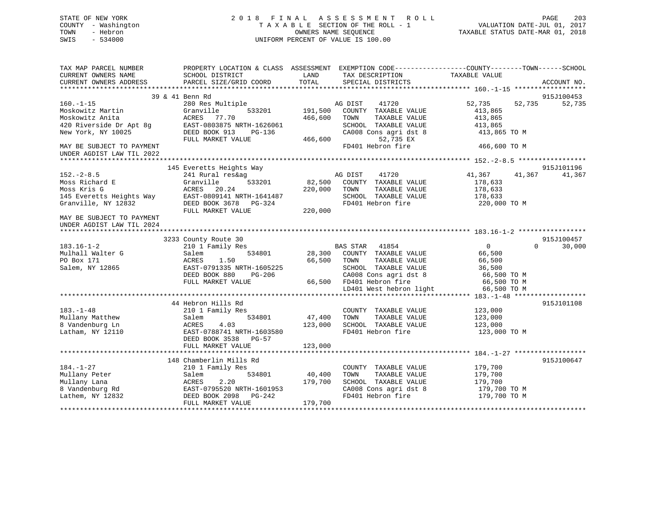# STATE OF NEW YORK 2 0 1 8 F I N A L A S S E S S M E N T R O L L PAGE 203 COUNTY - Washington T A X A B L E SECTION OF THE ROLL - 1 VALUATION DATE-JUL 01, 2017 TOWN - Hebron **CONNERS NAME SEQUENCE** TAXABLE STATUS DATE-MAR 01, 2018 SWIS - 534000 UNIFORM PERCENT OF VALUE IS 100.00

| CURRENT OWNERS NAME<br>SCHOOL DISTRICT<br>LAND<br>TAX DESCRIPTION<br>TAXABLE VALUE<br>TOTAL<br>CURRENT OWNERS ADDRESS<br>PARCEL SIZE/GRID COORD<br>SPECIAL DISTRICTS |             |
|----------------------------------------------------------------------------------------------------------------------------------------------------------------------|-------------|
|                                                                                                                                                                      | ACCOUNT NO. |
|                                                                                                                                                                      |             |
| 39 & 41 Benn Rd                                                                                                                                                      | 915J100453  |
| $160. - 1 - 15$<br>280 Res Multiple<br>41720<br>52,735<br>52,735<br>AG DIST                                                                                          | 52,735      |
| Moskowitz Martin<br>Granville<br>533201<br>191,500<br>COUNTY TAXABLE VALUE<br>413,865                                                                                |             |
| Moskowitz Anita<br>ACRES<br>77.70<br>466,600<br>TOWN<br>TAXABLE VALUE<br>413,865                                                                                     |             |
| 420 Riverside Dr Apt 8g<br>EAST-0803875 NRTH-1626061<br>SCHOOL TAXABLE VALUE<br>413,865                                                                              |             |
| New York, NY 10025<br>DEED BOOK 913<br>$PG-136$<br>CA008 Cons agri dst 8<br>413,865 TO M                                                                             |             |
| 52,735 EX<br>FULL MARKET VALUE<br>466,600                                                                                                                            |             |
| FD401 Hebron fire<br>466,600 TO M<br>MAY BE SUBJECT TO PAYMENT                                                                                                       |             |
| UNDER AGDIST LAW TIL 2022                                                                                                                                            |             |
|                                                                                                                                                                      |             |
| 145 Everetts Heights Way                                                                                                                                             | 915J101196  |
| $152 - 2 - 8.5$<br>41,367<br>41,367<br>241 Rural res&ag<br>AG DIST<br>41720                                                                                          | 41,367      |
| Granville<br>533201<br>82,500<br>COUNTY TAXABLE VALUE<br>178,633<br>Moss Richard E                                                                                   |             |
| Moss Kris G<br>ACRES<br>20.24<br>220,000<br>TOWN<br>TAXABLE VALUE<br>178,633                                                                                         |             |
| EAST-0809141 NRTH-1641487<br>145 Everetts Heights Way<br>SCHOOL TAXABLE VALUE<br>178,633                                                                             |             |
| Granville, NY 12832<br>FD401 Hebron fire<br>DEED BOOK 3678 PG-324<br>220,000 TO M                                                                                    |             |
| FULL MARKET VALUE<br>220,000                                                                                                                                         |             |
| MAY BE SUBJECT TO PAYMENT                                                                                                                                            |             |
| UNDER AGDIST LAW TIL 2024                                                                                                                                            |             |
|                                                                                                                                                                      |             |
| 3233 County Route 30                                                                                                                                                 | 915J100457  |
| $\mathbf 0$<br>$183.16 - 1 - 2$<br>210 1 Family Res<br>BAS STAR<br>41854<br>$\Omega$                                                                                 | 30,000      |
| Mulhall Walter G<br>534801<br>COUNTY TAXABLE VALUE<br>28,300<br>66,500<br>Salem                                                                                      |             |
| PO Box 171<br>66,500<br>TAXABLE VALUE<br>66,500<br>ACRES<br>1.50<br>TOWN                                                                                             |             |
| Salem, NY 12865<br>EAST-0791335 NRTH-1605225<br>SCHOOL TAXABLE VALUE<br>36,500                                                                                       |             |
| CA008 Cons agri dst 8<br>DEED BOOK 880<br>PG-206<br>66,500 TO M                                                                                                      |             |
| 66,500 FD401 Hebron fire<br>FULL MARKET VALUE<br>66,500 TO M                                                                                                         |             |
| LD401 West hebron light<br>66,500 TO M                                                                                                                               |             |
|                                                                                                                                                                      |             |
| 44 Hebron Hills Rd                                                                                                                                                   | 915J101108  |
| $183. - 1 - 48$<br>210 1 Family Res<br>123,000<br>COUNTY TAXABLE VALUE                                                                                               |             |
| Mullany Matthew<br>TAXABLE VALUE<br>534801<br>47,400<br>TOWN<br>123,000<br>Salem                                                                                     |             |
| 8 Vandenburg Ln<br>123,000<br>SCHOOL TAXABLE VALUE<br>ACRES<br>4.03<br>123,000                                                                                       |             |
| FD401 Hebron fire<br>Latham, NY 12110<br>EAST-0788741 NRTH-1603580<br>123,000 TO M                                                                                   |             |
| DEED BOOK 3538<br><b>PG-57</b>                                                                                                                                       |             |
| FULL MARKET VALUE<br>123,000                                                                                                                                         |             |
|                                                                                                                                                                      |             |
| 148 Chamberlin Mills Rd                                                                                                                                              | 915J100647  |
| $184. - 1 - 27$<br>210 1 Family Res<br>COUNTY TAXABLE VALUE<br>179,700                                                                                               |             |
| 534801<br>40,400<br>Mullany Peter<br>TOWN<br>TAXABLE VALUE<br>179,700<br>Salem                                                                                       |             |
| Mullany Lana<br>2.20<br>179,700<br>ACRES<br>SCHOOL TAXABLE VALUE<br>179,700                                                                                          |             |
| 8 Vandenburg Rd<br>CA008 Cons agri dst 8<br>179,700 TO M<br>EAST-0795520 NRTH-1601953                                                                                |             |
| Lathem, NY 12832<br>DEED BOOK 2098<br>PG-242<br>FD401 Hebron fire<br>179,700 TO M                                                                                    |             |
| FULL MARKET VALUE<br>179,700                                                                                                                                         |             |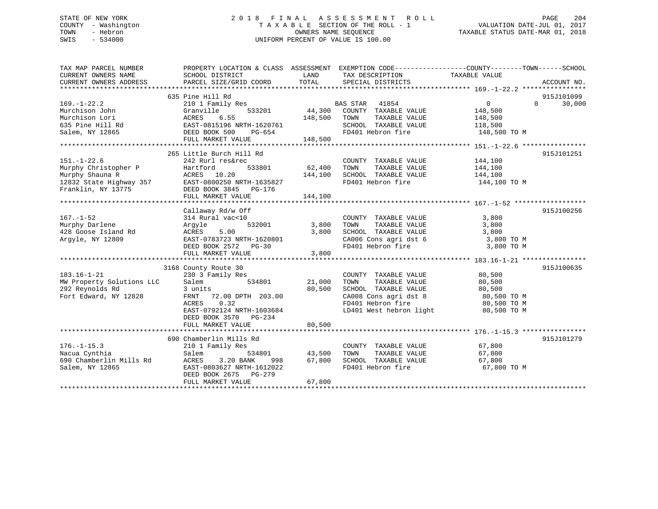# STATE OF NEW YORK 2 0 1 8 F I N A L A S S E S S M E N T R O L L PAGE 204 COUNTY - Washington T A X A B L E SECTION OF THE ROLL - 1 VALUATION DATE-JUL 01, 2017 TOWN - Hebron OWNERS NAME SEQUENCE TAXABLE STATUS DATE-MAR 01, 2018 SWIS - 534000 UNIFORM PERCENT OF VALUE IS 100.00

| TAX MAP PARCEL NUMBER                                           | PROPERTY LOCATION & CLASS ASSESSMENT EXEMPTION CODE----------------COUNTY-------TOWN------SCHOOL                                                                                                     |               |                                                                                                                                        |                    |               |
|-----------------------------------------------------------------|------------------------------------------------------------------------------------------------------------------------------------------------------------------------------------------------------|---------------|----------------------------------------------------------------------------------------------------------------------------------------|--------------------|---------------|
| CURRENT OWNERS NAME                                             | SCHOOL DISTRICT                                                                                                                                                                                      | LAND          | TAX DESCRIPTION                                                                                                                        | TAXABLE VALUE      |               |
| CURRENT OWNERS ADDRESS                                          | PARCEL SIZE/GRID COORD                                                                                                                                                                               | TOTAL         | SPECIAL DISTRICTS                                                                                                                      |                    | ACCOUNT NO.   |
|                                                                 |                                                                                                                                                                                                      |               |                                                                                                                                        |                    |               |
|                                                                 | 635 Pine Hill Rd                                                                                                                                                                                     |               |                                                                                                                                        |                    | 915J101099    |
| $169. - 1 - 22.2$                                               |                                                                                                                                                                                                      |               |                                                                                                                                        | $\overline{0}$     | $0 \t 30,000$ |
| Murchison John                                                  | Granville                                                                                                                                                                                            |               |                                                                                                                                        |                    |               |
|                                                                 |                                                                                                                                                                                                      |               |                                                                                                                                        |                    |               |
|                                                                 |                                                                                                                                                                                                      |               | TAXABLE VALUE 148,500<br>L TAXABLE VALUE 118,500<br>SCHOOL TAXABLE VALUE                                                               |                    |               |
|                                                                 |                                                                                                                                                                                                      |               | FD401 Hebron fire 148,500 TO M                                                                                                         |                    |               |
|                                                                 | FULL MARKET VALUE 148,500                                                                                                                                                                            |               |                                                                                                                                        |                    |               |
|                                                                 |                                                                                                                                                                                                      |               |                                                                                                                                        |                    |               |
|                                                                 | 265 Little Burch Hill Rd                                                                                                                                                                             |               |                                                                                                                                        |                    | 915J101251    |
| $151. - 1 - 22.6$                                               | 242 Rurl res&rec                                                                                                                                                                                     |               |                                                                                                                                        |                    |               |
|                                                                 |                                                                                                                                                                                                      |               | COUNTY TAXABLE VALUE<br>TOWN     TAXABLE VALUE                                                                                         | 144,100<br>144,100 |               |
|                                                                 |                                                                                                                                                                                                      | 144,100       | SCHOOL TAXABLE VALUE 144,100                                                                                                           |                    |               |
|                                                                 |                                                                                                                                                                                                      |               | FD401 Hebron fire                                                                                                                      | 144,100 TO M       |               |
|                                                                 | 151.-1-22.6 242 Rurl res&rec<br>Murphy Christopher P Hartford 533801<br>Murphy Shauna R ACRES 10.20<br>12832 State Highway 357 EAST-0800250 NRTH-1635827<br>Franklin, NY 13775 DEED BOOK 3845 PG-176 |               |                                                                                                                                        |                    |               |
|                                                                 | FULL MARKET VALUE                                                                                                                                                                                    | 144,100       |                                                                                                                                        |                    |               |
|                                                                 |                                                                                                                                                                                                      |               |                                                                                                                                        |                    |               |
|                                                                 | Callaway Rd/w Off                                                                                                                                                                                    |               |                                                                                                                                        |                    | 915J100256    |
| $167. - 1 - 52$                                                 | 314 Rural vac<10                                                                                                                                                                                     |               | COUNTY TAXABLE VALUE                                                                                                                   | 3,800              |               |
| Murphy Darlene                                                  | 532001 3,800<br>Argyle                                                                                                                                                                               |               |                                                                                                                                        | 3,800              |               |
| 428 Goose Island Rd                                             |                                                                                                                                                                                                      | 3,800         | TOWN TAXABLE VALUE<br>SCHOOL TAXABLE VALUE                                                                                             | 3,800              |               |
| Argyle, NY 12809                                                |                                                                                                                                                                                                      |               |                                                                                                                                        |                    |               |
|                                                                 | Argyle<br>ACRES 5.00 3,800<br>EAST-0783723 NRTH-1620801 3,800                                                                                                                                        |               | CA006 Cons agri dst 6 $\begin{array}{ccc} 3,800 \text{ TO M} \\ \text{FD401} \text{ Hebron fire} \end{array}$ 3,800 TO M               |                    |               |
|                                                                 | FULL MARKET VALUE                                                                                                                                                                                    | 3,800         |                                                                                                                                        |                    |               |
|                                                                 |                                                                                                                                                                                                      |               |                                                                                                                                        |                    |               |
|                                                                 | 3168 County Route 30                                                                                                                                                                                 |               |                                                                                                                                        |                    | 915J100635    |
| $183.16 - 1 - 21$                                               | 230 3 Family Res                                                                                                                                                                                     |               | COUNTY TAXABLE VALUE 80,500                                                                                                            |                    |               |
|                                                                 | 534801<br>Salem                                                                                                                                                                                      | 21,000        |                                                                                                                                        |                    |               |
| MW Property Solutions LLC<br>292 Peynolds Pd<br>292 Reynolds Rd | 3 units                                                                                                                                                                                              | 80,500        |                                                                                                                                        |                    |               |
| Fort Edward, NY 12828                                           | FRNT 72.00 DPTH 203.00                                                                                                                                                                               |               |                                                                                                                                        |                    |               |
|                                                                 | 0.32<br>ACRES                                                                                                                                                                                        |               | TOWN TAXABLE VALUE $80,500$<br>SCHOOL TAXABLE VALUE $80,500$<br>CA008 Cons agri dst 8 $80,500$ TO M<br>FD401 Hebron fire $80,500$ TO M |                    |               |
|                                                                 | EAST-0792124 NRTH-1603684                                                                                                                                                                            |               | LD401 West hebron light 80,500 TO M                                                                                                    |                    |               |
|                                                                 | DEED BOOK 3570 PG-234                                                                                                                                                                                |               |                                                                                                                                        |                    |               |
|                                                                 | FULL MARKET VALUE                                                                                                                                                                                    | 80,500        |                                                                                                                                        |                    |               |
|                                                                 |                                                                                                                                                                                                      |               |                                                                                                                                        |                    |               |
|                                                                 | 690 Chamberlin Mills Rd                                                                                                                                                                              |               |                                                                                                                                        |                    | 915J101279    |
| $176. - 1 - 15.3$                                               | 210 1 Family Res                                                                                                                                                                                     |               | COUNTY TAXABLE VALUE 67,800                                                                                                            |                    |               |
| Nacua Cynthia                                                   | Salem                                                                                                                                                                                                |               | TOWN                                                                                                                                   |                    |               |
| ills Rd<br>690 Chamberlin Mills Rd                              | ACRES<br>3.20 BANK                                                                                                                                                                                   | 534801 43,500 | TAXABLE VALUE 67,800<br>L TAXABLE VALUE 67,800<br>Hebron fire 67,800                                                                   |                    |               |
|                                                                 |                                                                                                                                                                                                      | 998 67,800    | SCHOOL TAXABLE VALUE<br>FD401 Hebron fire                                                                                              |                    |               |
| Salem, NY 12865                                                 | EAST-0803627 NRTH-1612022<br>DEED BOOK 2675 PG-279                                                                                                                                                   |               |                                                                                                                                        | 67,800 TO M        |               |
|                                                                 |                                                                                                                                                                                                      | 67,800        |                                                                                                                                        |                    |               |
|                                                                 | FULL MARKET VALUE                                                                                                                                                                                    |               |                                                                                                                                        |                    |               |
|                                                                 |                                                                                                                                                                                                      |               |                                                                                                                                        |                    |               |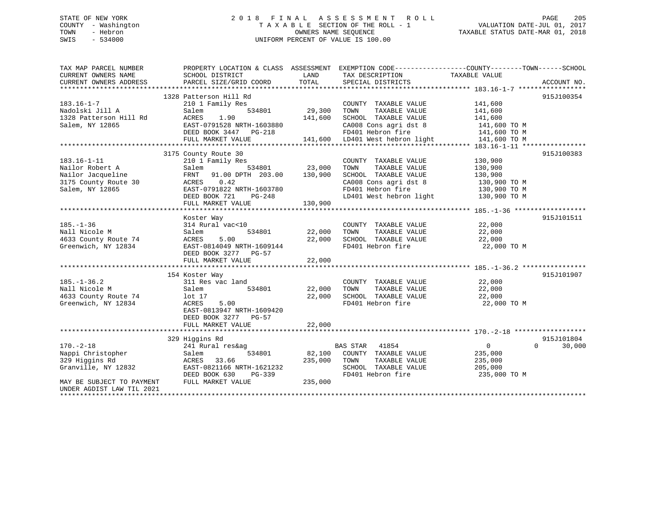# STATE OF NEW YORK 2 0 1 8 F I N A L A S S E S S M E N T R O L L PAGE 205 COUNTY - Washington T A X A B L E SECTION OF THE ROLL - 1 VALUATION DATE-JUL 01, 2017 TOWN - Hebron OWNERS NAME SEQUENCE TAXABLE STATUS DATE-MAR 01, 2018 SWIS - 534000 UNIFORM PERCENT OF VALUE IS 100.00

| TAX MAP PARCEL NUMBER<br>CURRENT OWNERS NAME | PROPERTY LOCATION & CLASS ASSESSMENT EXEMPTION CODE---------------COUNTY-------TOWN-----SCHOOL<br>SCHOOL DISTRICT | LAND    | TAX DESCRIPTION                 | TAXABLE VALUE  |                    |
|----------------------------------------------|-------------------------------------------------------------------------------------------------------------------|---------|---------------------------------|----------------|--------------------|
| CURRENT OWNERS ADDRESS                       | PARCEL SIZE/GRID COORD                                                                                            | TOTAL   | SPECIAL DISTRICTS               |                | ACCOUNT NO.        |
|                                              |                                                                                                                   |         |                                 |                |                    |
| $183.16 - 1 - 7$                             | 1328 Patterson Hill Rd<br>210 1 Family Res                                                                        |         | COUNTY TAXABLE VALUE            | 141,600        | 915J100354         |
| Nadolski Jill A                              | Salem<br>534801                                                                                                   | 29,300  | TAXABLE VALUE<br>TOWN           | 141,600        |                    |
| 1328 Patterson Hill Rd                       | ACRES<br>1.90                                                                                                     | 141,600 | SCHOOL TAXABLE VALUE            | 141,600        |                    |
| Salem, NY 12865                              | EAST-0791528 NRTH-1603880                                                                                         |         | CA008 Cons agri dst 8           | 141,600 TO M   |                    |
|                                              | DEED BOOK 3447 PG-218                                                                                             |         | FD401 Hebron fire               | 141,600 TO M   |                    |
|                                              | FULL MARKET VALUE                                                                                                 |         | 141,600 LD401 West hebron light | 141,600 TO M   |                    |
|                                              |                                                                                                                   |         |                                 |                |                    |
|                                              | 3175 County Route 30                                                                                              |         |                                 |                | 915J100383         |
| $183.16 - 1 - 11$                            | 210 1 Family Res                                                                                                  |         | COUNTY TAXABLE VALUE            | 130,900        |                    |
| Nailor Robert A                              | 534801<br>Salem                                                                                                   | 23,000  | TAXABLE VALUE<br>TOWN           | 130,900        |                    |
| Nailor Jacqueline                            | FRNT<br>91.00 DPTH 203.00                                                                                         | 130,900 | SCHOOL TAXABLE VALUE            | 130,900        |                    |
| 3175 County Route 30                         | 0.42<br>ACRES                                                                                                     |         | CA008 Cons agri dst 8           | 130,900 TO M   |                    |
| Salem, NY 12865                              | EAST-0791822 NRTH-1603780                                                                                         |         | FD401 Hebron fire               | 130,900 TO M   |                    |
|                                              | DEED BOOK 721<br>PG-248                                                                                           |         | LD401 West hebron light         | 130,900 TO M   |                    |
|                                              | FULL MARKET VALUE                                                                                                 | 130,900 |                                 |                |                    |
|                                              |                                                                                                                   |         |                                 |                |                    |
|                                              | Koster Way                                                                                                        |         |                                 |                | 915J101511         |
| $185. - 1 - 36$                              | 314 Rural vac<10                                                                                                  |         | COUNTY TAXABLE VALUE            | 22,000         |                    |
| Nall Nicole M                                | 534801<br>Salem                                                                                                   | 22,000  | TAXABLE VALUE<br>TOWN           | 22,000         |                    |
| 4633 County Route 74                         | ACRES<br>5.00                                                                                                     | 22,000  | SCHOOL TAXABLE VALUE            | 22,000         |                    |
| Greenwich, NY 12834                          | EAST-0814049 NRTH-1609144                                                                                         |         | FD401 Hebron fire               | 22,000 TO M    |                    |
|                                              | DEED BOOK 3277 PG-57                                                                                              |         |                                 |                |                    |
|                                              | FULL MARKET VALUE                                                                                                 | 22,000  |                                 |                |                    |
|                                              |                                                                                                                   |         |                                 |                |                    |
|                                              |                                                                                                                   |         |                                 |                | 915J101907         |
|                                              | 154 Koster Way                                                                                                    |         |                                 |                |                    |
| $185. - 1 - 36.2$                            | 311 Res vac land                                                                                                  |         | COUNTY TAXABLE VALUE            | 22,000         |                    |
| Nall Nicole M                                | 534801<br>Salem                                                                                                   | 22,000  | TAXABLE VALUE<br>TOWN           | 22,000         |                    |
| 4633 County Route 74                         | lot 17                                                                                                            | 22,000  | SCHOOL TAXABLE VALUE            | 22,000         |                    |
| Greenwich, NY 12834                          | ACRES<br>5.00                                                                                                     |         | FD401 Hebron fire               | 22,000 TO M    |                    |
|                                              | EAST-0813947 NRTH-1609420                                                                                         |         |                                 |                |                    |
|                                              | DEED BOOK 3277 PG-57                                                                                              |         |                                 |                |                    |
|                                              | FULL MARKET VALUE                                                                                                 | 22,000  |                                 |                |                    |
|                                              |                                                                                                                   |         |                                 |                |                    |
|                                              | 329 Higgins Rd                                                                                                    |         |                                 |                | 915J101804         |
| $170. - 2 - 18$                              | 241 Rural res&ag                                                                                                  |         | 41854<br>BAS STAR               | $\overline{0}$ | 30,000<br>$\Omega$ |
| Nappi Christopher                            | 534801<br>Salem                                                                                                   | 82,100  | COUNTY TAXABLE VALUE            | 235,000        |                    |
| 329 Higgins Rd                               | 33.66<br>ACRES                                                                                                    | 235,000 | TAXABLE VALUE<br>TOWN           | 235,000        |                    |
| Granville, NY 12832                          | EAST-0821166 NRTH-1621232                                                                                         |         | SCHOOL TAXABLE VALUE            | 205,000        |                    |
|                                              | DEED BOOK 630<br>PG-339                                                                                           |         | FD401 Hebron fire               | 235,000 TO M   |                    |
| MAY BE SUBJECT TO PAYMENT                    | FULL MARKET VALUE                                                                                                 | 235,000 |                                 |                |                    |
| UNDER AGDIST LAW TIL 2021                    |                                                                                                                   |         |                                 |                |                    |
|                                              |                                                                                                                   |         |                                 |                |                    |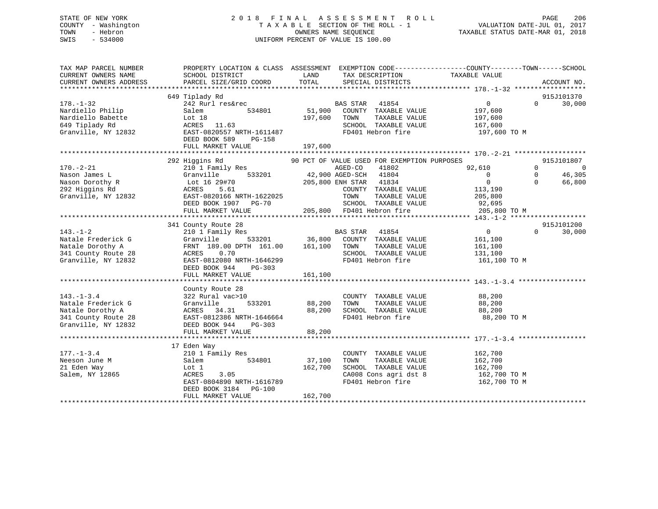# STATE OF NEW YORK 2 0 1 8 F I N A L A S S E S S M E N T R O L L PAGE 206 COUNTY - Washington T A X A B L E SECTION OF THE ROLL - 1 VALUATION DATE-JUL 01, 2017 TOWN - Hebron OWNERS NAME SEQUENCE TAXABLE STATUS DATE-MAR 01, 2018 SWIS - 534000 UNIFORM PERCENT OF VALUE IS 100.00

| TAX MAP PARCEL NUMBER<br>CURRENT OWNERS NAME                                                             | SCHOOL DISTRICT                                                                                                                                                                              | LAND<br>TAX DESCRIPTION<br>TOTAL                                                                                                                                                 | PROPERTY LOCATION & CLASS ASSESSMENT EXEMPTION CODE---------------COUNTY-------TOWN-----SCHOOL<br>TAXABLE VALUE                                                      |
|----------------------------------------------------------------------------------------------------------|----------------------------------------------------------------------------------------------------------------------------------------------------------------------------------------------|----------------------------------------------------------------------------------------------------------------------------------------------------------------------------------|----------------------------------------------------------------------------------------------------------------------------------------------------------------------|
| CURRENT OWNERS ADDRESS                                                                                   | PARCEL SIZE/GRID COORD                                                                                                                                                                       | SPECIAL DISTRICTS                                                                                                                                                                | ACCOUNT NO.                                                                                                                                                          |
|                                                                                                          | 649 Tiplady Rd                                                                                                                                                                               |                                                                                                                                                                                  | 915J101370                                                                                                                                                           |
| $178. - 1 - 32$<br>Nardiello Philip<br>Nardiello Babette<br>649 Tiplady Rd<br>Granville, NY 12832        | Salem<br>Lot 18<br>ACRES 11.63<br>EAST-0820557 NRTH-1611487<br>DEED BOOK 589<br>PG-158<br>FULL MARKET VALUE                                                                                  | 242 Rurl res&rec BAS STAR 41854<br>534801 51,900 COUNTY TAXABLE VALUE<br>197,600 TOWN<br>TAXABLE VALUE<br>SCHOOL TAXABLE VALUE 167,600<br>FD401 Hebron fire<br>197,600           | $\overline{0}$<br>$\Omega$<br>30,000<br>197,600<br>197,600<br>197,600 TO M                                                                                           |
|                                                                                                          | 292 Higgins Rd                                                                                                                                                                               | 90 PCT OF VALUE USED FOR EXEMPTION PURPOSES                                                                                                                                      | 915J101807                                                                                                                                                           |
| $170. - 2 - 21$<br>Nason James L<br>Nason Dorothy R<br>292 Higgins Rd<br>Granville, NY 12832             | Higgins Rd<br>210 1 Family Res<br>Granville<br>Lot 16 29#70<br>ACRES 5.61<br>EAST-0820166 NRTH-1622025<br>DEED BOOK 1907 PG-70<br>FULL MARKET VALUE                                          | AGED-CO<br>41802<br>533201 42,900 AGED-SCH 41804<br>205,800 ENH STAR 41834<br>COUNTY TAXABLE VALUE<br>TOWN<br>TAXABLE VALUE<br>SCHOOL TAXABLE VALUE<br>205,800 FD401 Hebron fire | $\overline{0}$<br>92,610<br>$\Omega$<br>46,305<br>$\overline{0}$<br>$\overline{0}$<br>$\Omega$<br>$\Omega$<br>66,800<br>113,190<br>205,800<br>92,695<br>205,800 TO M |
|                                                                                                          |                                                                                                                                                                                              |                                                                                                                                                                                  |                                                                                                                                                                      |
| $143. - 1 - 2$<br>Natale Frederick G<br>Natale Dorothy A<br>341 County Route 28<br>Granville, NY 12832   | 341 County Route 28<br>210 1 Family Res<br>Granville<br>FRNT 189.00 DPTH 161.00 161,100 TOWN<br>0.70<br>ACRES<br>EAST-0812080 NRTH-1646299<br>DEED BOOK 944<br>$PG-303$<br>FULL MARKET VALUE | <b>BAS STAR</b> 41854<br>533201 36,800 COUNTY TAXABLE VALUE<br>TAXABLE VALUE<br>SCHOOL TAXABLE VALUE<br>FD401 Hebron fire<br>161,100                                             | 915J101200<br>$\overline{0}$<br>$\Omega$<br>30,000<br>161,100<br>161,100<br>131,100<br>161,100 TO M                                                                  |
|                                                                                                          | County Route 28                                                                                                                                                                              |                                                                                                                                                                                  |                                                                                                                                                                      |
| $143. - 1 - 3.4$<br>Natale Frederick G<br>Natale Dorothy A<br>341 County Route 28<br>Granville, NY 12832 | 322 Rural vac>10<br>Granville<br>ACRES 34.31<br>EAST-0812386 NRTH-1646664<br>DEED BOOK 944 PG-303<br>FULL MARKET VALUE                                                                       | COUNTY TAXABLE VALUE<br>533201 88,200<br>TAXABLE VALUE<br>TOWN<br>88,200<br>SCHOOL TAXABLE VALUE<br>FD401 Hebron fire<br>88,200                                                  | 88,200<br>88,200<br>88,200<br>88,200 TO M                                                                                                                            |
|                                                                                                          |                                                                                                                                                                                              |                                                                                                                                                                                  |                                                                                                                                                                      |
| $177. - 1 - 3.4$<br>Neeson June M<br>21 Eden Way<br>Salem, NY 12865                                      | 17 Eden Way<br>210 1 Family Res<br>534801<br>Salem<br>Lot 1<br>3.05<br>ACRES<br>EAST-0804890 NRTH-1616789<br>DEED BOOK 3184 PG-100<br>FULL MARKET VALUE                                      | COUNTY TAXABLE VALUE<br>37,100<br>TAXABLE VALUE<br>TOWN<br>162,700<br>SCHOOL TAXABLE VALUE<br>CA008 Cons agri dst 8<br>FD401 Hebron fire<br>162,700                              | 162,700<br>162,700<br>162,700<br>162,700 TO M<br>162,700 TO M                                                                                                        |
|                                                                                                          |                                                                                                                                                                                              |                                                                                                                                                                                  |                                                                                                                                                                      |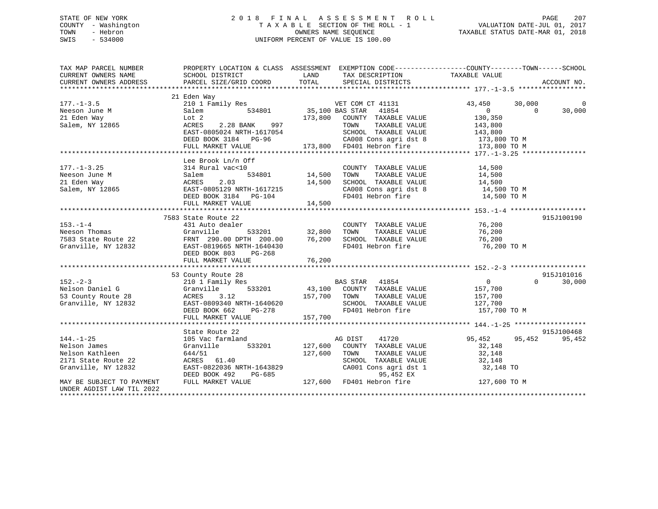# STATE OF NEW YORK 2 0 1 8 F I N A L A S S E S S M E N T R O L L PAGE 207 COUNTY - Washington T A X A B L E SECTION OF THE ROLL - 1 VALUATION DATE-JUL 01, 2017 TOWN - Hebron OWNERS NAME SEQUENCE TAXABLE STATUS DATE-MAR 01, 2018 SWIS - 534000 UNIFORM PERCENT OF VALUE IS 100.00

| TAX MAP PARCEL NUMBER<br>CURRENT OWNERS NAME                                                     | PROPERTY LOCATION & CLASS ASSESSMENT EXEMPTION CODE----------------COUNTY-------TOWN------SCHOOL<br>SCHOOL DISTRICT                                                                                                                        | <b>LAND</b>        | TAX DESCRIPTION                                                                                                                                                                                                                                                           | TAXABLE VALUE                                                                 |                          |                    |
|--------------------------------------------------------------------------------------------------|--------------------------------------------------------------------------------------------------------------------------------------------------------------------------------------------------------------------------------------------|--------------------|---------------------------------------------------------------------------------------------------------------------------------------------------------------------------------------------------------------------------------------------------------------------------|-------------------------------------------------------------------------------|--------------------------|--------------------|
| CURRENT OWNERS ADDRESS                                                                           | PARCEL SIZE/GRID COORD                                                                                                                                                                                                                     |                    | TOTAL SPECIAL DISTRICTS                                                                                                                                                                                                                                                   |                                                                               |                          | ACCOUNT NO.        |
|                                                                                                  |                                                                                                                                                                                                                                            |                    |                                                                                                                                                                                                                                                                           |                                                                               |                          |                    |
| $177. - 1 - 3.5$<br>Neeson June M                                                                | 21 Eden Way<br>210 1 Family Res<br>Salem 534801 35,100 BAS STAR 41854                                                                                                                                                                      |                    |                                                                                                                                                                                                                                                                           | 43,450<br>$\overline{0}$                                                      | 30,000<br>$\overline{0}$ | $\Omega$<br>30,000 |
| 21 Eden Way<br>Salem, NY 12865                                                                   | Lot 2                                                                                                                                                                                                                                      |                    | 173,800 COUNTY TAXABLE VALUE 130,350                                                                                                                                                                                                                                      |                                                                               |                          |                    |
|                                                                                                  | ACRES 2.28 BANK 997<br>EAST-0805024 NRTH-1617054                                                                                                                                                                                           |                    | TOWN TAXABLE VALUE 143,800<br>SCHOOL TAXABLE VALUE 143,800                                                                                                                                                                                                                |                                                                               |                          |                    |
|                                                                                                  |                                                                                                                                                                                                                                            |                    |                                                                                                                                                                                                                                                                           |                                                                               |                          |                    |
|                                                                                                  |                                                                                                                                                                                                                                            |                    |                                                                                                                                                                                                                                                                           |                                                                               |                          |                    |
| $177. - 1 - 3.25$                                                                                | Lee Brook Ln/n Off<br>314 Rural vac<10<br>534801 14,500<br>Salem                                                                                                                                                                           |                    | COUNTY TAXABLE VALUE                                                                                                                                                                                                                                                      | 14,500                                                                        |                          |                    |
| Neeson June M<br>21 Eden Way                                                                     | 2.03<br>ACRES                                                                                                                                                                                                                              | 14,500             |                                                                                                                                                                                                                                                                           |                                                                               |                          |                    |
| Salem, NY 12865                                                                                  | EAST-0805129 NRTH-1617215<br>DEED BOOK 3184    PG-104<br>FULL MARKET VALUE                                                                                                                                                                 | 14,500             | CA008 Cons agri dst 8 14,500 TO M<br>FD401 Hebron fire                                                                                                                                                                                                                    | 14,500 TO M                                                                   |                          |                    |
|                                                                                                  |                                                                                                                                                                                                                                            |                    |                                                                                                                                                                                                                                                                           |                                                                               |                          |                    |
|                                                                                                  | 7583 State Route 22                                                                                                                                                                                                                        |                    |                                                                                                                                                                                                                                                                           |                                                                               |                          | 915J100190         |
|                                                                                                  |                                                                                                                                                                                                                                            |                    | COUNTY TAXABLE VALUE 76,200                                                                                                                                                                                                                                               |                                                                               |                          |                    |
|                                                                                                  |                                                                                                                                                                                                                                            |                    |                                                                                                                                                                                                                                                                           |                                                                               |                          |                    |
|                                                                                                  |                                                                                                                                                                                                                                            |                    |                                                                                                                                                                                                                                                                           |                                                                               |                          |                    |
|                                                                                                  | DEED BOOK 803<br>PG-268                                                                                                                                                                                                                    |                    | FD401 Hebron fire                                                                                                                                                                                                                                                         | 76,200 TO M                                                                   |                          |                    |
|                                                                                                  |                                                                                                                                                                                                                                            |                    |                                                                                                                                                                                                                                                                           |                                                                               |                          |                    |
|                                                                                                  | 53 County Route 28                                                                                                                                                                                                                         |                    |                                                                                                                                                                                                                                                                           |                                                                               |                          | 915J101016         |
| $152 - 2 - 3$<br>Nelson Daniel G<br>53 County Route 28<br>Granville, NY 12832                    | County Route 28<br>210 1 Family Res<br>Granville 533201 43,100 COUNTY TAXABLE VALUE<br>ACRES 3.12 157,700 TOWN TAXABLE VALUE<br>EAST-0809340 NRTH-1640620 5CHOOL TAXABLE VALUE<br>DEED BOOK 662 PG-278 FD401 Hebron fire<br>FD401 Hebron f |                    | SCHOOL TAXABLE VALUE<br>FD401 Hebron fire                                                                                                                                                                                                                                 | $\overline{0}$<br>157,700<br>TAXABLE VALUE 157,700<br>127,700<br>157,700 TO M | $\Omega$                 | 30,000             |
|                                                                                                  |                                                                                                                                                                                                                                            |                    |                                                                                                                                                                                                                                                                           |                                                                               |                          |                    |
|                                                                                                  | State Route 22                                                                                                                                                                                                                             |                    |                                                                                                                                                                                                                                                                           |                                                                               |                          | 915J100468         |
| $144. - 1 - 25$<br>Nelson James<br>Nelson Kathleen<br>2171 State Route 22<br>Granville, NY 12832 | 105 Vac farmland<br>533201<br>Granville<br>644/51<br>ACRES 61.40<br>EAST-0822036 NRTH-1643829<br>DEED BOOK 492<br>PG-685                                                                                                                   | 127,600<br>127,600 | AG DIST 41720<br>COUNTY TAXABLE VALUE<br>TOWN<br>TAXABLE VALUE<br>$\begin{tabular}{lllllllll} \texttt{SCHODL} & \texttt{TAXABLE} & \texttt{VALUE} & & & 32,148 \\ \texttt{CA001} & \texttt{Cons}\ \texttt{agri}\ \texttt{dst}\ 1 && & 32,148 \ \texttt{TO} \end{tabular}$ | 95,452<br>32,148<br>32,148                                                    | 95,452                   | 95,452             |
| MAY BE SUBJECT TO PAYMENT<br>UNDER AGDIST LAW TIL 2022                                           | FULL MARKET VALUE                                                                                                                                                                                                                          |                    | 95,452 EX<br>127,600 FD401 Hebron fire<br>127,600 FD401 Hebron fire                                                                                                                                                                                                       | 127,600 TO M                                                                  |                          |                    |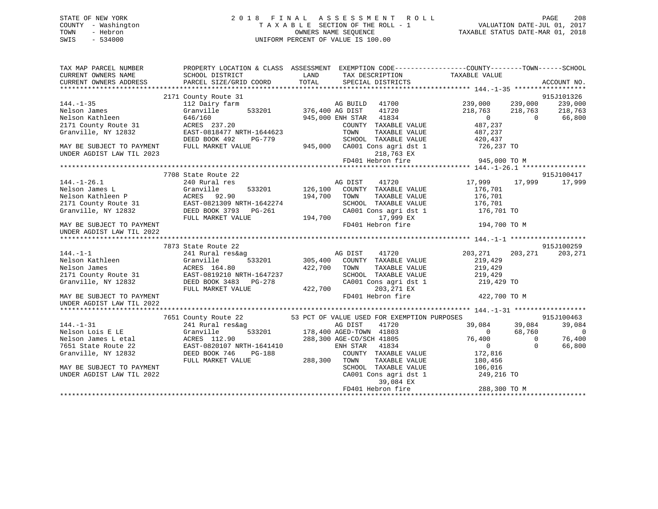# STATE OF NEW YORK 2 0 1 8 F I N A L A S S E S S M E N T R O L L PAGE 208 COUNTY - Washington T A X A B L E SECTION OF THE ROLL - 1 VALUATION DATE-JUL 01, 2017 TOWN - Hebron OWNERS NAME SEQUENCE TAXABLE STATUS DATE-MAR 01, 2018 SWIS - 534000 UNIFORM PERCENT OF VALUE IS 100.00

| TAX MAP PARCEL NUMBER<br>CURRENT OWNERS NAME<br>CURRENT OWNERS ADDRESS | SCHOOL DISTRICT<br>PARCEL SIZE/GRID COORD      | PROPERTY LOCATION & CLASS ASSESSMENT EXEMPTION CODE----------------COUNTY-------TOWN-----SCHOOL<br><b>EXAMPLE THE STATE OF STATE OF STATE</b><br>TAX DESCRIPTION<br>TOTAL<br>SPECIAL DISTRICTS | TAXABLE VALUE<br>ACCOUNT NO.               |
|------------------------------------------------------------------------|------------------------------------------------|------------------------------------------------------------------------------------------------------------------------------------------------------------------------------------------------|--------------------------------------------|
|                                                                        |                                                |                                                                                                                                                                                                |                                            |
|                                                                        | 2171 County Route 31                           |                                                                                                                                                                                                | 915J101326                                 |
| $144. - 1 - 35$                                                        | 112 Dairy farm                                 | AG BUILD 41700                                                                                                                                                                                 | 239,000 239,000<br>239,000                 |
| Nelson James                                                           | Granville                                      | 533201 376,400 AG DIST<br>41720                                                                                                                                                                | 218,763<br>218,763<br>218,763              |
| Nelson Kathleen                                                        | 646/160                                        | 945,000 ENH STAR 41834                                                                                                                                                                         | $\Omega$<br>66,800<br>$\overline{0}$       |
| 2171 County Route 31                                                   | ACRES 237.20                                   | COUNTY TAXABLE VALUE                                                                                                                                                                           | 487,237                                    |
| Granville, NY 12832                                                    | EAST-0818477 NRTH-1644623                      | TOWN<br>TAXABLE VALUE                                                                                                                                                                          | 487,237                                    |
|                                                                        | DEED BOOK 492<br>PG-779                        | SCHOOL TAXABLE VALUE                                                                                                                                                                           | 420,437                                    |
| MAY BE SUBJECT TO PAYMENT                                              | FULL MARKET VALUE                              | 945,000 CA001 Cons agri dst 1 726,237 TO                                                                                                                                                       |                                            |
| UNDER AGDIST LAW TIL 2023                                              |                                                | 218,763 EX                                                                                                                                                                                     |                                            |
|                                                                        |                                                | FD401 Hebron fire                                                                                                                                                                              | 945,000 TO M                               |
|                                                                        |                                                |                                                                                                                                                                                                |                                            |
|                                                                        | 7708 State Route 22                            |                                                                                                                                                                                                | 915J100417                                 |
| $144. - 1 - 26.1$                                                      | 240 Rural res                                  | 41720<br>AG DIST                                                                                                                                                                               | 17,999<br>17,999<br>17,999                 |
|                                                                        | Granville<br>533201                            | 126,100 COUNTY TAXABLE VALUE                                                                                                                                                                   | 176,701                                    |
| Nelson James L<br>Nelson Kathleen P                                    | ACRES 92.90                                    | 194,700<br>TOWN<br>TAXABLE VALUE                                                                                                                                                               | 176,701                                    |
|                                                                        | 2171 County Route 31 EAST-0821309 NRTH-1642274 | SCHOOL TAXABLE VALUE                                                                                                                                                                           | 176,701                                    |
| Granville, NY 12832                                                    | DEED BOOK 3793 PG-261                          | CA001 Cons agri dst 1                                                                                                                                                                          | 176,701 TO                                 |
|                                                                        | FULL MARKET VALUE                              | 194,700<br>17,999 EX                                                                                                                                                                           |                                            |
| MAY BE SUBJECT TO PAYMENT                                              |                                                | FD401 Hebron fire                                                                                                                                                                              | 194,700 TO M                               |
| UNDER AGDIST LAW TIL 2022                                              |                                                |                                                                                                                                                                                                |                                            |
|                                                                        |                                                |                                                                                                                                                                                                |                                            |
|                                                                        | 7873 State Route 22                            |                                                                                                                                                                                                | 915J100259                                 |
| $144. - 1 - 1$                                                         | 241 Rural res&ag                               | 41720<br>AG DIST                                                                                                                                                                               | 203,271<br>203,271<br>203,271              |
| Nelson Kathleen                                                        | Granville<br>533201                            | 305,400 COUNTY TAXABLE VALUE                                                                                                                                                                   | 219,429                                    |
| Nelson James                                                           | ACRES 164.80                                   | 422,700<br>TOWN<br>TAXABLE VALUE                                                                                                                                                               | 219,429                                    |
| 2171 County Route 31                                                   | EAST-0819210 NRTH-1647237                      | SCHOOL TAXABLE VALUE                                                                                                                                                                           | 219,429                                    |
| Granville, NY 12832                                                    | DEED BOOK 3483 PG-278                          | CA001 Cons agri dst 1                                                                                                                                                                          | 219,429 TO                                 |
|                                                                        | FULL MARKET VALUE                              | 422,700<br>203,271 EX                                                                                                                                                                          |                                            |
| MAY BE SUBJECT TO PAYMENT                                              |                                                | FD401 Hebron fire                                                                                                                                                                              | 422,700 TO M                               |
| UNDER AGDIST LAW TIL 2022                                              |                                                |                                                                                                                                                                                                |                                            |
|                                                                        |                                                |                                                                                                                                                                                                |                                            |
|                                                                        | 7651 County Route 22                           | 53 PCT OF VALUE USED FOR EXEMPTION PURPOSES                                                                                                                                                    | 915J100463                                 |
| $144. - 1 - 31$                                                        | 241 Rural res&ag                               | 9<br>533201 178,400 AGED TOWN 41803<br>178,400 AGED TOWN 41803                                                                                                                                 | 39,084<br>39,084<br>39,084                 |
| Nelson Lois E LE                                                       | Granville                                      |                                                                                                                                                                                                | 68,760<br>$\overline{0}$<br>$\overline{0}$ |
| Nelson James L etal                                                    | ACRES 112.90                                   | 288,300 AGE-CO/SCH 41805                                                                                                                                                                       | 76,400<br>76,400<br>$\Omega$               |
| 7651 State Route 22                                                    | EAST-0820107 NRTH-1641410                      | ENH STAR 41834                                                                                                                                                                                 | $\overline{0}$<br>$\Omega$<br>66,800       |
| Granville, NY 12832                                                    | DEED BOOK 746<br>PG-188                        | COUNTY TAXABLE VALUE                                                                                                                                                                           | 172,816                                    |
|                                                                        | FULL MARKET VALUE                              | 288,300<br>TOWN<br>TAXABLE VALUE                                                                                                                                                               |                                            |
|                                                                        |                                                | SCHOOL TAXABLE VALUE                                                                                                                                                                           | 180,456                                    |
| MAY BE SUBJECT TO PAYMENT<br>UNDER AGDIST LAW TIL 2022                 |                                                | CA001 Cons agri dst 1                                                                                                                                                                          | 106,016<br>249,216 TO                      |
|                                                                        |                                                | 39,084 EX                                                                                                                                                                                      |                                            |
|                                                                        |                                                |                                                                                                                                                                                                |                                            |
|                                                                        |                                                |                                                                                                                                                                                                |                                            |
|                                                                        |                                                |                                                                                                                                                                                                |                                            |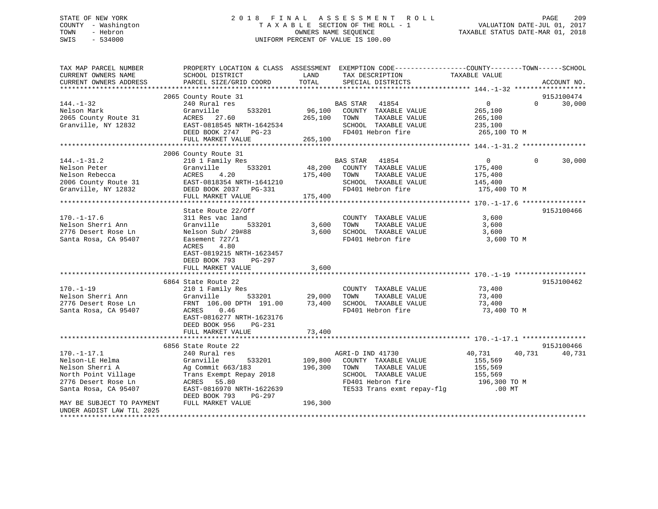# STATE OF NEW YORK 2 0 1 8 F I N A L A S S E S S M E N T R O L L PAGE 209 COUNTY - Washington T A X A B L E SECTION OF THE ROLL - 1 VALUATION DATE-JUL 01, 2017 TOWN - Hebron **CONNERS NAME SEQUENCE** TAXABLE STATUS DATE-MAR 01, 2018 SWIS - 534000 UNIFORM PERCENT OF VALUE IS 100.00

| TAX MAP PARCEL NUMBER                      |                                        |         | PROPERTY LOCATION & CLASS ASSESSMENT EXEMPTION CODE----------------COUNTY-------TOWN------SCHOOL |                         |          |             |
|--------------------------------------------|----------------------------------------|---------|--------------------------------------------------------------------------------------------------|-------------------------|----------|-------------|
| CURRENT OWNERS NAME                        | SCHOOL DISTRICT                        | LAND    | TAX DESCRIPTION                                                                                  | TAXABLE VALUE           |          |             |
| CURRENT OWNERS ADDRESS                     | PARCEL SIZE/GRID COORD                 | TOTAL   | SPECIAL DISTRICTS                                                                                |                         |          | ACCOUNT NO. |
|                                            |                                        |         |                                                                                                  |                         |          |             |
|                                            | 2065 County Route 31                   |         |                                                                                                  |                         |          | 915J100474  |
| $144. - 1 - 32$                            | 240 Rural res                          |         | BAS STAR 41854                                                                                   | $\overline{0}$          | $\Omega$ | 30,000      |
| Nelson Mark<br>2065 County Route 31        | Granville<br>533201<br>ACRES 27.60     | 265,100 | 96,100 COUNTY TAXABLE VALUE<br>TOWN<br>TAXABLE VALUE                                             | 265,100<br>265,100      |          |             |
| Granville, NY 12832                        | EAST-0818545 NRTH-1642534              |         | SCHOOL TAXABLE VALUE                                                                             | 235,100                 |          |             |
|                                            | DEED BOOK 2747 PG-23                   |         | FD401 Hebron fire                                                                                | 265,100 TO M            |          |             |
|                                            | FULL MARKET VALUE                      | 265,100 |                                                                                                  |                         |          |             |
|                                            |                                        |         |                                                                                                  |                         |          |             |
|                                            | 2006 County Route 31                   |         |                                                                                                  |                         |          |             |
| $144. - 1 - 31.2$                          | 210 1 Family Res                       |         | 41854<br>BAS STAR                                                                                | $\overline{0}$          | $\Omega$ | 30,000      |
| Nelson Peter                               | 533201<br>Granville                    |         | 48,200 COUNTY TAXABLE VALUE                                                                      | 175,400                 |          |             |
| Nelson Rebecca                             | ACRES<br>4.20                          | 175,400 | TAXABLE VALUE<br>TOWN                                                                            | 175,400                 |          |             |
| 2006 County Route 31                       | EAST-0818354 NRTH-1641210              |         | SCHOOL TAXABLE VALUE                                                                             | 145,400                 |          |             |
| Granville, NY 12832                        | DEED BOOK 2037 PG-331                  |         | FD401 Hebron fire                                                                                | 175,400 TO M            |          |             |
|                                            | FULL MARKET VALUE                      | 175,400 |                                                                                                  |                         |          |             |
|                                            |                                        |         |                                                                                                  |                         |          |             |
|                                            | State Route 22/Off                     |         |                                                                                                  |                         |          | 915J100466  |
| $170. - 1 - 17.6$                          | 311 Res vac land                       |         | COUNTY TAXABLE VALUE                                                                             | 3,600                   |          |             |
| Nelson Sherri Ann                          | Granville<br>533201                    | 3,600   | TOWN<br>TAXABLE VALUE                                                                            | 3,600                   |          |             |
| 2776 Desert Rose Ln                        | Nelson Sub/ 29#88                      | 3,600   | SCHOOL TAXABLE VALUE                                                                             | 3,600                   |          |             |
| Santa Rosa, CA 95407                       | Easement 727/1<br>ACRES<br>4.80        |         | FD401 Hebron fire                                                                                | 3,600 TO M              |          |             |
|                                            | EAST-0819215 NRTH-1623457              |         |                                                                                                  |                         |          |             |
|                                            | DEED BOOK 793<br>PG-297                |         |                                                                                                  |                         |          |             |
|                                            | FULL MARKET VALUE                      | 3,600   |                                                                                                  |                         |          |             |
|                                            |                                        |         |                                                                                                  |                         |          |             |
|                                            | 6864 State Route 22                    |         |                                                                                                  |                         |          | 915J100462  |
| $170. - 1 - 19$                            | 210 1 Family Res                       |         | COUNTY TAXABLE VALUE                                                                             | 73,400                  |          |             |
| Nelson Sherri Ann                          | Granville<br>533201                    | 29,000  | TOWN<br>TAXABLE VALUE                                                                            | 73,400                  |          |             |
| 2776 Desert Rose Ln                        | FRNT 106.00 DPTH 191.00                | 73,400  | SCHOOL TAXABLE VALUE                                                                             | 73,400                  |          |             |
| Santa Rosa, CA 95407                       | 0.46<br>ACRES                          |         | FD401 Hebron fire                                                                                | 73,400 TO M             |          |             |
|                                            | EAST-0816277 NRTH-1623176              |         |                                                                                                  |                         |          |             |
|                                            | DEED BOOK 956<br>PG-231                |         |                                                                                                  |                         |          |             |
|                                            | FULL MARKET VALUE                      | 73,400  |                                                                                                  |                         |          |             |
|                                            |                                        |         |                                                                                                  |                         |          |             |
|                                            | 6856 State Route 22                    |         |                                                                                                  |                         |          | 915J100466  |
| $170. - 1 - 17.1$                          | 240 Rural res                          |         | AGRI-D IND 41730                                                                                 | 40,731                  | 40,731   | 40,731      |
| Nelson-LE Helma                            | Granville<br>533201                    | 109,800 | COUNTY TAXABLE VALUE                                                                             | 155,569                 |          |             |
| Nelson Sherri A                            | Ag Commit 663/183                      | 196,300 | TOWN<br>TAXABLE VALUE                                                                            | 155,569                 |          |             |
| North Point Village<br>2776 Desert Rose Ln | Trans Exempt Repay 2018<br>ACRES 55.80 |         | SCHOOL TAXABLE VALUE<br>FD401 Hebron fire                                                        | 155,569<br>196,300 TO M |          |             |
| Santa Rosa, CA 95407                       | EAST-0816970 NRTH-1622639              |         | TE533 Trans exmt repay-flg                                                                       | $.00$ MT                |          |             |
|                                            | DEED BOOK 793<br>PG-297                |         |                                                                                                  |                         |          |             |
| MAY BE SUBJECT TO PAYMENT                  | FULL MARKET VALUE                      | 196,300 |                                                                                                  |                         |          |             |
| UNDER AGDIST LAW TIL 2025                  |                                        |         |                                                                                                  |                         |          |             |
| *********************                      |                                        |         |                                                                                                  |                         |          |             |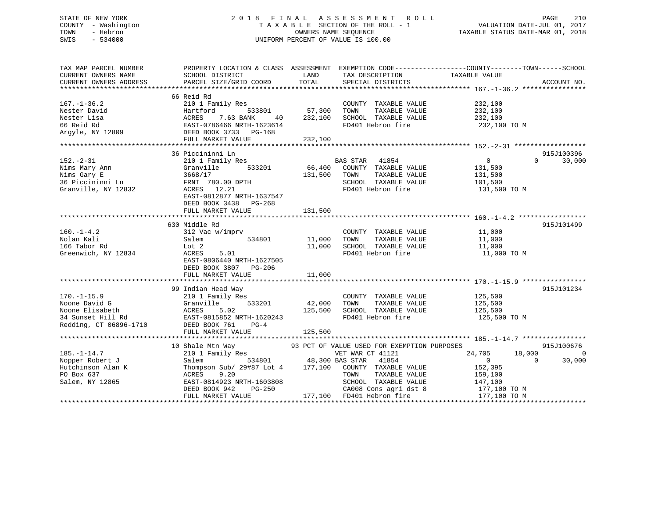# STATE OF NEW YORK 2 0 1 8 F I N A L A S S E S S M E N T R O L L PAGE 210 COUNTY - Washington T A X A B L E SECTION OF THE ROLL - 1 VALUATION DATE-JUL 01, 2017 TOWN - Hebron OWNERS NAME SEQUENCE TAXABLE STATUS DATE-MAR 01, 2018 SWIS - 534000 UNIFORM PERCENT OF VALUE IS 100.00

| TAX MAP PARCEL NUMBER<br>CURRENT OWNERS NAME<br>CURRENT OWNERS ADDRESS                               | PROPERTY LOCATION & CLASS ASSESSMENT EXEMPTION CODE----------------COUNTY-------TOWN------SCHOOL<br>SCHOOL DISTRICT<br>PARCEL SIZE/GRID COORD                                                                                                                                                                                                                                                       | LAND<br>TOTAL                       | TAX DESCRIPTION<br>SPECIAL DISTRICTS                                                                           | TAXABLE VALUE                                                                                                     | ACCOUNT NO.                            |
|------------------------------------------------------------------------------------------------------|-----------------------------------------------------------------------------------------------------------------------------------------------------------------------------------------------------------------------------------------------------------------------------------------------------------------------------------------------------------------------------------------------------|-------------------------------------|----------------------------------------------------------------------------------------------------------------|-------------------------------------------------------------------------------------------------------------------|----------------------------------------|
| $167. - 1 - 36.2$<br>Nester David                                                                    | 66 Reid Rd<br>210 1 Family Res<br>Hartford<br>FULL MARKET VALUE                                                                                                                                                                                                                                                                                                                                     | 533801 57,300<br>232,100<br>232,100 | COUNTY TAXABLE VALUE 232,100<br>TAXABLE VALUE<br>TOWN<br>SCHOOL TAXABLE VALUE<br>FD401 Hebron fire             | 232,100<br>232,100<br>232,100 TO M                                                                                |                                        |
| $152 - 2 - 31$<br>Nims Mary Ann<br>Nims Gary E<br>36 Piccininni Ln<br>Granville, NY 12832            | 36 Piccininni Ln<br>210 1 Family Res<br>533201<br>Granvill<br>3668/17<br>Granville<br>FRNT 780.00 DPTH<br>ACRES 12.21<br>EAST-0812877 NRTH-1637547<br>DEED BOOK 3438 PG-268<br>FULL MARKET VALUE                                                                                                                                                                                                    | 131,500 TOWN<br>131,500             | BAS STAR<br>41854<br>66,400 COUNTY TAXABLE VALUE<br>TAXABLE VALUE<br>SCHOOL TAXABLE VALUE<br>FD401 Hebron fire | $\overline{0}$<br>131,500<br>131,500<br>101,500<br>131,500 TO M                                                   | 915J100396<br>30,000<br>$\Omega$       |
| $160. - 1 - 4.2$<br>Nolan Kali<br>166 Tabor Rd<br>Greenwich, NY 12834                                | 630 Middle Rd<br>312 Vac w/imprv<br>Salem<br>Lot 2<br>5.01<br>ACRES<br>EAST-0806440 NRTH-1627505<br>DEED BOOK 3807 PG-206<br>FULL MARKET VALUE                                                                                                                                                                                                                                                      | 534801 11,000<br>11,000             | COUNTY TAXABLE VALUE<br>TOWN<br>TAXABLE VALUE<br>11,000 SCHOOL TAXABLE VALUE<br>FD401 Hebron fire              | 11,000<br>11,000<br>11,000<br>11,000 TO M                                                                         | 915J101499                             |
| $170. - 1 - 15.9$<br>Noone David G<br>Noone Elisabeth<br>34 Sunset Hill Rd<br>Redding, CT 06896-1710 | 99 Indian Head Way<br>210 1 Family Res<br>533201<br>Granville<br>ACRES 5.02<br>EAST-0815852 NRTH-1620243<br>FULL MARKET VALUE                                                                                                                                                                                                                                                                       | 42,000 TOWN<br>125,500<br>125,500   | COUNTY TAXABLE VALUE<br>TAXABLE VALUE<br>SCHOOL TAXABLE VALUE<br>FD401 Hebron fire                             | 125,500<br>125,500<br>125,500<br>125,500 TO M                                                                     | 915J101234                             |
| $185. - 1 - 14.7$<br>Nopper Robert J<br>Hutchinson Alan K<br>PO Box 637<br>Salem, NY 12865           | Shale Mtn Way<br>$\begin{array}{ll}\n 93 \text{ PCT OF VALUE ISBN FOR EXEMENTION PURPOSES}\n 210 1 Family Res\n 534801\n 534801\n 48,300 BAS STAR 41854\n 177,100 COUNT TAXABLE VALUE\n  Thompson Sub/ 29#87 Lot 4\n 177,100 COUNT TAXABLE VALUE\n  NIT WINTEN 171,100\n 177,100$<br>10 Shale Mtn Way<br>ACRES<br>9.20<br>EAST-0814923 NRTH-1603808<br>DEED BOOK 942<br>PG-250<br>FULL MARKET VALUE |                                     | TOWN<br>TAXABLE VALUE<br>SCHOOL TAXABLE VALUE<br>CA008 Cons agri dst 8<br>177,100 FD401 Hebron fire            | 24,705<br>18,000<br>$\overline{0}$<br>$\bigcirc$<br>152,395<br>159,100<br>147,100<br>177,100 TO M<br>177,100 TO M | 915J100676<br>$\overline{0}$<br>30,000 |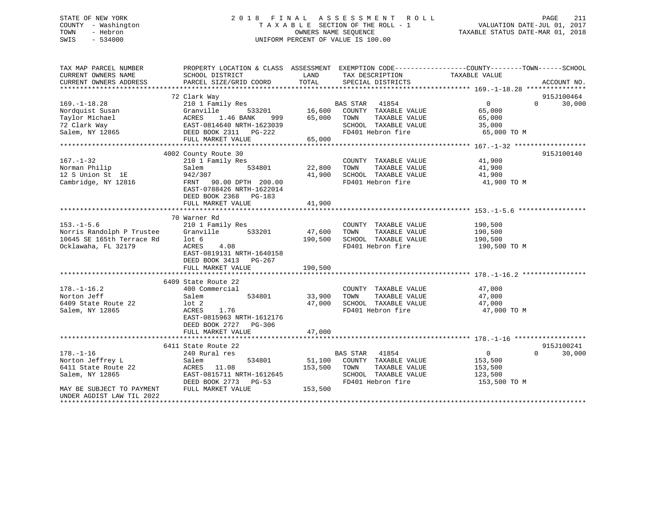# STATE OF NEW YORK 2 0 1 8 F I N A L A S S E S S M E N T R O L L PAGE 211 COUNTY - Washington T A X A B L E SECTION OF THE ROLL - 1 VALUATION DATE-JUL 01, 2017 TOWN - Hebron **CONNERS NAME SEQUENCE** TAXABLE STATUS DATE-MAR 01, 2018 SWIS - 534000 UNIFORM PERCENT OF VALUE IS 100.00

| TAX MAP PARCEL NUMBER                                                | PROPERTY LOCATION & CLASS ASSESSMENT EXEMPTION CODE----------------COUNTY-------TOWN------SCHOOL                                                                                   |         |                                    |                    |                    |
|----------------------------------------------------------------------|------------------------------------------------------------------------------------------------------------------------------------------------------------------------------------|---------|------------------------------------|--------------------|--------------------|
| CURRENT OWNERS NAME                                                  | SCHOOL DISTRICT                                                                                                                                                                    | LAND    | TAX DESCRIPTION                    | TAXABLE VALUE      |                    |
| CURRENT OWNERS ADDRESS                                               | PARCEL SIZE/GRID COORD                                                                                                                                                             | TOTAL   | SPECIAL DISTRICTS                  |                    | ACCOUNT NO.        |
|                                                                      |                                                                                                                                                                                    |         |                                    |                    |                    |
|                                                                      | 72 Clark Way                                                                                                                                                                       |         |                                    |                    | 915J100464         |
| $169. - 1 - 18.28$                                                   | 210 1 Family Res                                                                                                                                                                   |         | BAS STAR 41854                     | $\overline{0}$     | $0 \t 30,000$      |
|                                                                      |                                                                                                                                                                                    |         | 533201 16,600 COUNTY TAXABLE VALUE | 65,000             |                    |
|                                                                      |                                                                                                                                                                                    |         | TAXABLE VALUE                      | 65,000             |                    |
|                                                                      |                                                                                                                                                                                    |         | SCHOOL TAXABLE VALUE 35,000        |                    |                    |
|                                                                      | Nordquist Susan (Example 16,600 COUNTY<br>Taylor Michael (ACRES 1.46 BANK 999 65,000 TOWN<br>72 Clark Way (EAST-0814640 NRTH-1623039 SCHOOL Salem, NY 12865 (DEED BOOK 2311 PG-222 |         | FD401 Hebron fire 65,000 TO M      |                    |                    |
|                                                                      | FULL MARKET VALUE                                                                                                                                                                  | 65,000  |                                    |                    |                    |
|                                                                      |                                                                                                                                                                                    |         |                                    |                    |                    |
|                                                                      | 4002 County Route 30                                                                                                                                                               |         |                                    |                    | 915J100140         |
| $167. - 1 - 32$                                                      | 210 1 Family Res                                                                                                                                                                   |         | COUNTY TAXABLE VALUE               | 41,900             |                    |
| Norman Philip                                                        | Salem<br>534801                                                                                                                                                                    | 22,800  | TOWN<br>TAXABLE VALUE              | 41,900             |                    |
| 12 S Union St 1E                                                     | 942/307                                                                                                                                                                            | 41,900  | SCHOOL TAXABLE VALUE               | 41,900             |                    |
| Cambridge, NY 12816                                                  | FRNT 90.00 DPTH 200.00                                                                                                                                                             |         | FD401 Hebron fire                  | 41,900 TO M        |                    |
|                                                                      | EAST-0788426 NRTH-1622014                                                                                                                                                          |         |                                    |                    |                    |
|                                                                      | DEED BOOK 2368 PG-183                                                                                                                                                              |         |                                    |                    |                    |
|                                                                      |                                                                                                                                                                                    |         |                                    |                    |                    |
|                                                                      |                                                                                                                                                                                    |         |                                    |                    |                    |
|                                                                      | 70 Warner Rd                                                                                                                                                                       |         |                                    |                    |                    |
| $153. - 1 - 5.6$                                                     | 210 1 Family Res                                                                                                                                                                   |         | COUNTY TAXABLE VALUE               | 190,500            |                    |
|                                                                      | Granville<br>533201                                                                                                                                                                | 47,600  | TAXABLE VALUE<br>TOWN              |                    |                    |
| 153.-1-5.6<br>Norris Randolph P Trustee<br>10645 SE 165th Terrace Rd | lot 6                                                                                                                                                                              | 190,500 | SCHOOL TAXABLE VALUE               | 190,500<br>190,500 |                    |
| Ocklawaha, FL 32179                                                  | 4.08<br>ACRES                                                                                                                                                                      |         | FD401 Hebron fire                  | 190,500 TO M       |                    |
|                                                                      | EAST-0819131 NRTH-1640158                                                                                                                                                          |         |                                    |                    |                    |
|                                                                      | DEED BOOK 3413 PG-267                                                                                                                                                              |         |                                    |                    |                    |
|                                                                      | FULL MARKET VALUE                                                                                                                                                                  | 190,500 |                                    |                    |                    |
|                                                                      |                                                                                                                                                                                    |         |                                    |                    |                    |
|                                                                      | 6409 State Route 22                                                                                                                                                                |         |                                    |                    |                    |
| $178. - 1 - 16.2$                                                    | 400 Commercial                                                                                                                                                                     |         | COUNTY TAXABLE VALUE               |                    |                    |
|                                                                      | 534801                                                                                                                                                                             | 33,900  | TAXABLE VALUE                      | 47,000             |                    |
| Norton Jeff                                                          | Salem                                                                                                                                                                              |         | TOWN                               | 47,000             |                    |
| 6409 State Route 22                                                  | $1$ ot $2$                                                                                                                                                                         | 47,000  | SCHOOL TAXABLE VALUE               | 47,000             |                    |
| Salem, NY 12865                                                      | ACRES<br>1.76                                                                                                                                                                      |         | FD401 Hebron fire                  | 47,000 TO M        |                    |
|                                                                      | EAST-0815963 NRTH-1612176                                                                                                                                                          |         |                                    |                    |                    |
|                                                                      | DEED BOOK 2727 PG-306                                                                                                                                                              |         |                                    |                    |                    |
|                                                                      | FULL MARKET VALUE                                                                                                                                                                  | 47,000  |                                    |                    |                    |
|                                                                      |                                                                                                                                                                                    |         |                                    |                    |                    |
|                                                                      | 6411 State Route 22                                                                                                                                                                |         |                                    |                    | 915J100241         |
| $178. - 1 - 16$                                                      | 240 Rural res                                                                                                                                                                      |         | BAS STAR 41854                     | $\overline{0}$     | $\Omega$<br>30,000 |
| Norton Jeffrey L                                                     | 534801<br>Salem                                                                                                                                                                    | 51,100  | COUNTY TAXABLE VALUE 153,500       |                    |                    |
| 6411 State Route 22                                                  | ACRES 11.08                                                                                                                                                                        | 153,500 | TOWN<br>TAXABLE VALUE              | 153,500            |                    |
| Salem, NY 12865                                                      | EAST-0815711 NRTH-1612645                                                                                                                                                          |         | SCHOOL TAXABLE VALUE               | 123,500            |                    |
|                                                                      | DEED BOOK 2773 PG-53                                                                                                                                                               |         | FD401 Hebron fire                  | 153,500 TO M       |                    |
| MAY BE SUBJECT TO PAYMENT                                            | FULL MARKET VALUE                                                                                                                                                                  | 153,500 |                                    |                    |                    |
| UNDER AGDIST LAW TIL 2022                                            |                                                                                                                                                                                    |         |                                    |                    |                    |
|                                                                      |                                                                                                                                                                                    |         |                                    |                    |                    |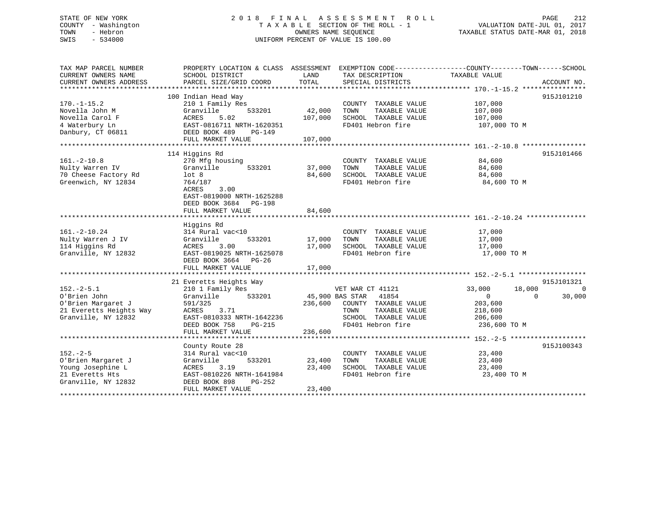# STATE OF NEW YORK 2 0 1 8 F I N A L A S S E S S M E N T R O L L PAGE 212 COUNTY - Washington T A X A B L E SECTION OF THE ROLL - 1 VALUATION DATE-JUL 01, 2017 TOWN - Hebron OWNERS NAME SEQUENCE TAXABLE STATUS DATE-MAR 01, 2018 SWIS - 534000 UNIFORM PERCENT OF VALUE IS 100.00UNIFORM PERCENT OF VALUE IS 100.00

TAX MAP PARCEL NUMBER PROPERTY LOCATION & CLASS ASSESSMENT EXEMPTION CODE------------------COUNTY--------TOWN------SCHOOL CURRENT OWNERS NAME SCHOOL DISTRICT LAND TAX DESCRIPTION TAXABLE VALUE CURRENT OWNERS ADDRESS PARCEL SIZE/GRID COORD TOTAL SPECIAL DISTRICTS ACCOUNT NO. \*\*\*\*\*\*\*\*\*\*\*\*\*\*\*\*\*\*\*\*\*\*\*\*\*\*\*\*\*\*\*\*\*\*\*\*\*\*\*\*\*\*\*\*\*\*\*\*\*\*\*\*\*\*\*\*\*\*\*\*\*\*\*\*\*\*\*\*\*\*\*\*\*\*\*\*\*\*\*\*\*\*\*\*\*\*\*\*\*\*\*\*\*\*\*\*\*\*\*\*\*\*\* 170.-1-15.2 \*\*\*\*\*\*\*\*\*\*\*\*\*\*\*\* 100 Indian Head Way 915J101210 170.-1-15.2 210 1 Family Res COUNTY TAXABLE VALUE 107,000

| Novella John M<br>Novella Carol F<br>4 Waterbury Ln | Granville<br>533201<br>ACRES<br>5.02<br>EAST-0816711 NRTH-1620351 | 42,000<br>107,000 | TAXABLE VALUE<br>TOWN<br>SCHOOL TAXABLE VALUE<br>FD401 Hebron fire | 107,000<br>107,000<br>107,000 TO M |                |
|-----------------------------------------------------|-------------------------------------------------------------------|-------------------|--------------------------------------------------------------------|------------------------------------|----------------|
| Danbury, CT 06811                                   | DEED BOOK 489<br>$PG-149$<br>FULL MARKET VALUE                    | 107,000           |                                                                    |                                    |                |
|                                                     |                                                                   |                   |                                                                    |                                    |                |
|                                                     | 114 Higgins Rd                                                    |                   |                                                                    |                                    | 915J101466     |
| $161. - 2 - 10.8$                                   | 270 Mfg housing                                                   |                   | COUNTY TAXABLE VALUE                                               | 84,600                             |                |
| Nulty Warren IV                                     | 533201<br>Granville                                               | 37,000            | TAXABLE VALUE<br>TOWN                                              | 84,600                             |                |
| 70 Cheese Factory Rd                                | lot <sub>8</sub>                                                  | 84,600            | SCHOOL TAXABLE VALUE                                               | 84,600                             |                |
| Greenwich, NY 12834                                 | 764/187                                                           |                   | FD401 Hebron fire                                                  | 84,600 TO M                        |                |
|                                                     | 3.00<br><b>ACRES</b>                                              |                   |                                                                    |                                    |                |
|                                                     | EAST-0819000 NRTH-1625288                                         |                   |                                                                    |                                    |                |
|                                                     | DEED BOOK 3684 PG-198                                             |                   |                                                                    |                                    |                |
|                                                     | FULL MARKET VALUE                                                 | 84,600            |                                                                    |                                    |                |
|                                                     |                                                                   |                   |                                                                    |                                    |                |
|                                                     | Higgins Rd                                                        |                   |                                                                    |                                    |                |
| $161. - 2 - 10.24$                                  | 314 Rural vac<10                                                  | 17,000            | COUNTY TAXABLE VALUE                                               | 17,000                             |                |
| Nulty Warren J IV                                   | 533201<br>Granville<br>3.00                                       |                   | TOWN<br>TAXABLE VALUE                                              | 17,000                             |                |
| 114 Higgins Rd<br>Granville, NY 12832               | ACRES<br>EAST-0819025 NRTH-1625078                                | 17,000            | SCHOOL TAXABLE VALUE<br>FD401 Hebron fire                          | 17,000                             |                |
|                                                     | DEED BOOK 3664 PG-26                                              |                   |                                                                    | 17,000 TO M                        |                |
|                                                     | FULL MARKET VALUE                                                 | 17,000            |                                                                    |                                    |                |
|                                                     | 21 Everetts Heights Way                                           |                   |                                                                    |                                    | 915J101321     |
| $152 - 2 - 5.1$                                     | 210 1 Family Res                                                  |                   | VET WAR CT 41121                                                   | 18,000<br>33,000                   | $\overline{0}$ |
| O'Brien John                                        | Granville<br>533201                                               | 45,900 BAS STAR   | 41854                                                              | $\overline{0}$<br>$\Omega$         | 30,000         |
| O'Brien Margaret J                                  | 591/325                                                           | 236,600           | COUNTY TAXABLE VALUE                                               | 203,600                            |                |
| 21 Everetts Heights Way                             | 3.71<br>ACRES                                                     |                   | TAXABLE VALUE<br>TOWN                                              | 218,600                            |                |
| Granville, NY 12832                                 | EAST-0810333 NRTH-1642236                                         |                   | SCHOOL TAXABLE VALUE                                               | 206,600                            |                |
|                                                     | DEED BOOK 758<br>PG-215                                           |                   | FD401 Hebron fire                                                  | 236,600 TO M                       |                |
|                                                     | FULL MARKET VALUE                                                 | 236,600           |                                                                    |                                    |                |
|                                                     |                                                                   |                   |                                                                    |                                    |                |
|                                                     | County Route 28                                                   |                   |                                                                    |                                    | 915J100343     |
| $152 - 2 - 5$                                       | 314 Rural vac<10                                                  |                   | COUNTY TAXABLE VALUE                                               | 23,400                             |                |
| O'Brien Margaret J                                  | 533201<br>Granville                                               | 23,400            | TOWN<br>TAXABLE VALUE                                              | 23,400                             |                |
| Young Josephine L                                   | ACRES<br>3.19                                                     | 23,400            | SCHOOL TAXABLE VALUE                                               | 23,400                             |                |
| 21 Everetts Hts                                     | EAST-0810226 NRTH-1641984                                         |                   | FD401 Hebron fire                                                  | 23,400 TO M                        |                |
| Granville, NY 12832                                 | DEED BOOK 898<br>$PG-252$                                         |                   |                                                                    |                                    |                |
|                                                     | FULL MARKET VALUE                                                 | 23,400            |                                                                    |                                    |                |
|                                                     |                                                                   |                   |                                                                    |                                    |                |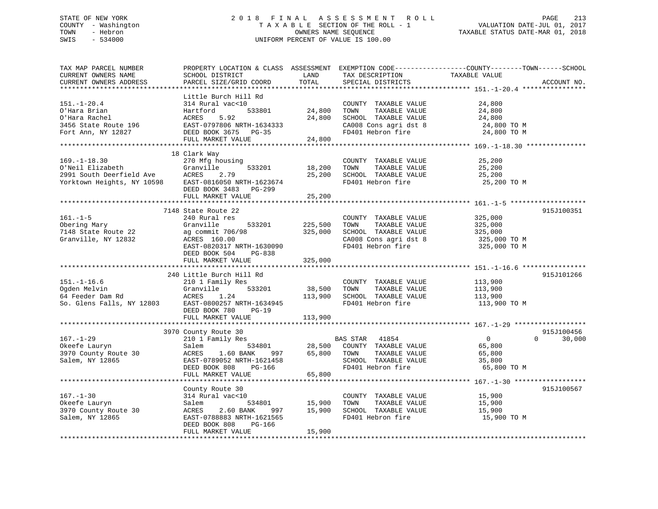# STATE OF NEW YORK 2 0 1 8 F I N A L A S S E S S M E N T R O L L PAGE 213 COUNTY - Washington T A X A B L E SECTION OF THE ROLL - 1 VALUATION DATE-JUL 01, 2017 TOWN - Hebron OWNERS NAME SEQUENCE TAXABLE STATUS DATE-MAR 01, 2018 SWIS - 534000 UNIFORM PERCENT OF VALUE IS 100.00

| TAX MAP PARCEL NUMBER<br>CURRENT OWNERS NAME<br>CURRENT OWNERS ADDRESS<br>********************** | PROPERTY LOCATION & CLASS ASSESSMENT EXEMPTION CODE----------------COUNTY-------TOWN-----SCHOOL<br>SCHOOL DISTRICT<br>PARCEL SIZE/GRID COORD<br>**********************                                           | LAND<br>TOTAL                     | TAX DESCRIPTION<br>SPECIAL DISTRICTS                                                                                | TAXABLE VALUE                                                 | ACCOUNT NO.        |
|--------------------------------------------------------------------------------------------------|------------------------------------------------------------------------------------------------------------------------------------------------------------------------------------------------------------------|-----------------------------------|---------------------------------------------------------------------------------------------------------------------|---------------------------------------------------------------|--------------------|
| $151.-1-20.4$<br>O'Hara Brian<br>O'Hara Rachel<br>3456 State Route 196<br>Fort Ann, NY 12827     | Little Burch Hill Rd<br>314 Rural vac<10<br>Hartford<br>533801<br>5.92<br>ACRES<br>EAST-0797806 NRTH-1634333<br>DEED BOOK 3675 PG-35<br>FULL MARKET VALUE                                                        | 24,800<br>24,800<br>24,800        | COUNTY TAXABLE VALUE<br>TAXABLE VALUE<br>TOWN<br>SCHOOL TAXABLE VALUE<br>CA008 Cons agri dst 8<br>FD401 Hebron fire | 24,800<br>24,800<br>24,800<br>24,800 TO M<br>24,800 TO M      |                    |
| $169. - 1 - 18.30$<br>O'Neil Elizabeth<br>2991 South Deerfield Ave<br>Yorktown Heights, NY 10598 | 18 Clark Way<br>270 Mfg housing<br>Granville<br>533201<br>ACRES<br>2.79<br>EAST-0816050 NRTH-1623674<br>DEED BOOK 3483 PG-299<br>FULL MARKET VALUE                                                               | 18,200<br>25,200<br>25,200        | COUNTY TAXABLE VALUE<br>TAXABLE VALUE<br>TOWN<br>SCHOOL TAXABLE VALUE<br>FD401 Hebron fire                          | 25,200<br>25,200<br>25,200<br>25,200 TO M                     |                    |
|                                                                                                  |                                                                                                                                                                                                                  |                                   |                                                                                                                     |                                                               |                    |
| $161. - 1 - 5$<br>Obering Mary<br>7148 State Route 22<br>Granville, NY 12832                     | 7148 State Route 22<br>240 Rural res<br>Granville<br>533201<br>ag commit 706/98<br>ACRES 160.00<br>EAST-0820317 NRTH-1630090<br>DEED BOOK 504 PG-838<br>FULL MARKET VALUE                                        | 225,500<br>325,000<br>325,000     | COUNTY TAXABLE VALUE<br>TOWN<br>TAXABLE VALUE<br>SCHOOL TAXABLE VALUE<br>CA008 Cons agri dst 8<br>FD401 Hebron fire | 325,000<br>325,000<br>325,000<br>325,000 TO M<br>325,000 TO M | 915J100351         |
|                                                                                                  |                                                                                                                                                                                                                  |                                   |                                                                                                                     |                                                               |                    |
| $151. - 1 - 16.6$<br>Ogden Melvin                                                                | 240 Little Burch Hill Rd<br>210 1 Family Res<br>Granville<br>533201<br>Sum neiven<br>64 Feeder Dam Rd<br>So. Glens Falls, NY 12803<br>EAST-0800257 NRTH-1634945<br>DEED BOOK 780<br>$PG-19$<br>FULL MARKET VALUE | 38,500<br>113,900<br>113,900      | COUNTY TAXABLE VALUE<br>TOWN<br>TAXABLE VALUE<br>SCHOOL TAXABLE VALUE<br>FD401 Hebron fire                          | 113,900<br>113,900<br>113,900<br>113,900 TO M                 | 915J101266         |
|                                                                                                  | 3970 County Route 30                                                                                                                                                                                             |                                   |                                                                                                                     |                                                               | 915J100456         |
| $167. - 1 - 29$<br>Okeefe Lauryn<br>3970 County Route 30<br>Salem, NY 12865                      | 210 1 Family Res<br>Salem<br>ACRES<br>1.60 BANK<br>EAST-0789052 NRTH-1621458<br>DEED BOOK 808<br>PG-166                                                                                                          | 534801 28,500<br>NNK 997 65,800   | BAS STAR 41854<br>COUNTY TAXABLE VALUE<br>TOWN<br>TAXABLE VALUE<br>SCHOOL TAXABLE VALUE<br>FD401 Hebron fire        | $\overline{0}$<br>65,800<br>65,800<br>35,800<br>65,800 TO M   | 30,000<br>$\Omega$ |
|                                                                                                  | FULL MARKET VALUE                                                                                                                                                                                                | 65,800                            |                                                                                                                     |                                                               |                    |
| $167. - 1 - 30$<br>Okeefe Lauryn<br>3970 County Route 30<br>Salem, NY 12865                      | County Route 30<br>314 Rural vac<10<br>Salem<br>ACRES<br>2.60 BANK<br>997<br>EAST-0788883 NRTH-1621565<br>DEED BOOK 808<br>PG-166<br>FULL MARKET VALUE                                                           | 534801 15,900<br>15,900<br>15,900 | COUNTY TAXABLE VALUE<br>TAXABLE VALUE<br>TOWN<br>SCHOOL TAXABLE VALUE<br>FD401 Hebron fire                          | 15,900<br>15,900<br>15,900<br>15,900 TO M                     | 915J100567         |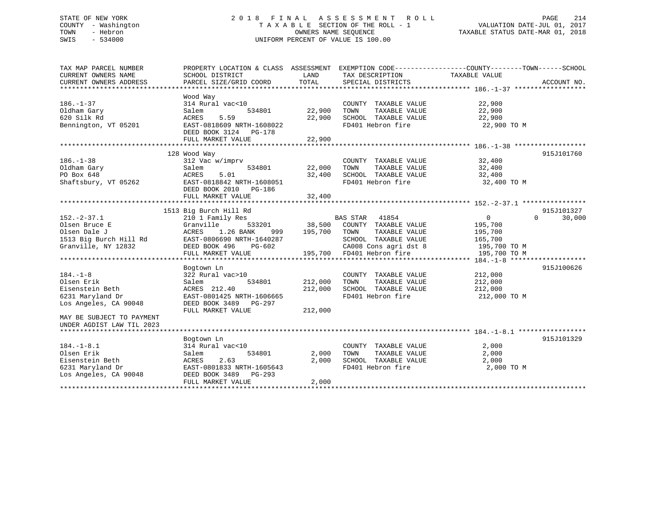# STATE OF NEW YORK 2 0 1 8 F I N A L A S S E S S M E N T R O L L PAGE 214 COUNTY - Washington T A X A B L E SECTION OF THE ROLL - 1 VALUATION DATE-JUL 01, 2017 TOWN - Hebron OWNERS NAME SEQUENCE TAXABLE STATUS DATE-MAR 01, 2018 SWIS - 534000 UNIFORM PERCENT OF VALUE IS 100.00

| TAX MAP PARCEL NUMBER                            | PROPERTY LOCATION & CLASS ASSESSMENT EXEMPTION CODE---------------COUNTY-------TOWN-----SCHOOL |         |                                                                              |                       |                    |
|--------------------------------------------------|------------------------------------------------------------------------------------------------|---------|------------------------------------------------------------------------------|-----------------------|--------------------|
| CURRENT OWNERS NAME                              | SCHOOL DISTRICT                                                                                | LAND    | TAX DESCRIPTION                                                              | TAXABLE VALUE         |                    |
| CURRENT OWNERS ADDRESS                           | PARCEL SIZE/GRID COORD                                                                         | TOTAL   | SPECIAL DISTRICTS                                                            |                       | ACCOUNT NO.        |
|                                                  |                                                                                                |         |                                                                              |                       |                    |
|                                                  | Wood Way                                                                                       |         |                                                                              |                       |                    |
| $186. - 1 - 37$                                  | 314 Rural vac<10                                                                               |         | COUNTY TAXABLE VALUE                                                         |                       |                    |
| Oldham Gary                                      | 534801<br>Salem                                                                                | 22,900  | TAXABLE VALUE<br>TOWN                                                        | 22,900<br>22,900      |                    |
| 620 Silk Rd                                      | 5.59<br>ACRES                                                                                  |         | 22,900 SCHOOL TAXABLE VALUE                                                  | 22,900                |                    |
| Bennington, VT 05201                             | EAST-0818609 NRTH-1608022                                                                      |         | FD401 Hebron fire                                                            | 22,900 TO M           |                    |
|                                                  | DEED BOOK 3124 PG-178                                                                          |         |                                                                              |                       |                    |
|                                                  | FULL MARKET VALUE                                                                              | 22,900  |                                                                              |                       |                    |
|                                                  |                                                                                                |         |                                                                              |                       |                    |
|                                                  | 128 Wood Way                                                                                   |         |                                                                              |                       | 915J101760         |
| $186. - 1 - 38$                                  | 312 Vac w/imprv                                                                                |         | COUNTY TAXABLE VALUE 32,400                                                  |                       |                    |
| Oldham Gary                                      | Salem                                                                                          |         | TAXABLE VALUE                                                                | 32,400                |                    |
| PO Box 648                                       | 5.01<br>ACRES                                                                                  |         | 32,400 SCHOOL TAXABLE VALUE 32,400                                           |                       |                    |
| Shaftsbury, VT 05262                             | EAST-0818842 NRTH-1608051                                                                      |         | FD401 Hebron fire 32,400 TO M                                                |                       |                    |
|                                                  | DEED BOOK 2010 PG-186                                                                          |         |                                                                              |                       |                    |
|                                                  | FULL MARKET VALUE                                                                              |         |                                                                              |                       |                    |
|                                                  |                                                                                                | 32,400  |                                                                              |                       |                    |
|                                                  | 1513 Big Burch Hill Rd                                                                         |         |                                                                              |                       | 915J101327         |
| $152. - 2 - 37.1$                                |                                                                                                |         | BAS STAR 41854                                                               | $0 \qquad \qquad$     | $\Omega$<br>30,000 |
|                                                  | 210 1 Family Res<br>Granville                                                                  |         |                                                                              |                       |                    |
| Olsen Bruce E                                    |                                                                                                |         |                                                                              | 195,700<br>195,700    |                    |
| Olsen Dale J                                     | ACRES 1.26 BANK                                                                                |         |                                                                              |                       |                    |
| 1513 Big Burch Hill Rd EAST-0806690 NRTH-1640287 |                                                                                                |         | SCHOOL TAXABLE VALUE 165,700                                                 |                       |                    |
| Granville, NY 12832                              | DEED BOOK 496 PG-602                                                                           |         | CA008 Cons agri dst 8 195,700 TO M<br>195,700 FD401 Hebron fire 195,700 TO M |                       |                    |
|                                                  | FULL MARKET VALUE                                                                              |         |                                                                              |                       |                    |
|                                                  |                                                                                                |         |                                                                              |                       |                    |
|                                                  | Bogtown Ln                                                                                     |         |                                                                              |                       | 915J100626         |
| $184. - 1 - 8$                                   | 322 Rural vac>10                                                                               |         | COUNTY TAXABLE VALUE 212,000                                                 |                       |                    |
| Olsen Erik                                       | 534801<br>Salem                                                                                | 212,000 | TOWN                                                                         | TAXABLE VALUE 212,000 |                    |
| Eisenstein Beth                                  | ACRES 212.40                                                                                   | 212,000 | SCHOOL TAXABLE VALUE<br>FD401 Hebron fire                                    | 212,000               |                    |
| 6231 Maryland Dr                                 | EAST-0801425 NRTH-1606665                                                                      |         |                                                                              | 212,000 TO M          |                    |
| Los Angeles, CA 90048                            | DEED BOOK 3489 PG-297                                                                          |         |                                                                              |                       |                    |
|                                                  | FULL MARKET VALUE                                                                              | 212,000 |                                                                              |                       |                    |
| MAY BE SUBJECT TO PAYMENT                        |                                                                                                |         |                                                                              |                       |                    |
| UNDER AGDIST LAW TIL 2023                        |                                                                                                |         |                                                                              |                       |                    |
|                                                  |                                                                                                |         |                                                                              |                       |                    |
|                                                  | Bogtown Ln                                                                                     |         |                                                                              |                       | 915J101329         |
| $184. - 1 - 8.1$                                 | 314 Rural vac<10                                                                               |         | COUNTY TAXABLE VALUE                                                         | 2,000                 |                    |
| Olsen Erik                                       | 534801<br>Salem                                                                                | 2,000   | TAXABLE VALUE<br>TOWN                                                        | 2,000                 |                    |
| Eisenstein Beth                                  | 2.63<br>ACRES                                                                                  | 2,000   | SCHOOL TAXABLE VALUE                                                         | 2,000                 |                    |
| 6231 Maryland Dr                                 | EAST-0801833 NRTH-1605643                                                                      |         | FD401 Hebron fire                                                            | 2,000 TO M            |                    |
| Los Angeles, CA 90048                            | DEED BOOK 3489 PG-293                                                                          |         |                                                                              |                       |                    |
|                                                  | FULL MARKET VALUE                                                                              | 2,000   |                                                                              |                       |                    |
|                                                  |                                                                                                |         |                                                                              |                       |                    |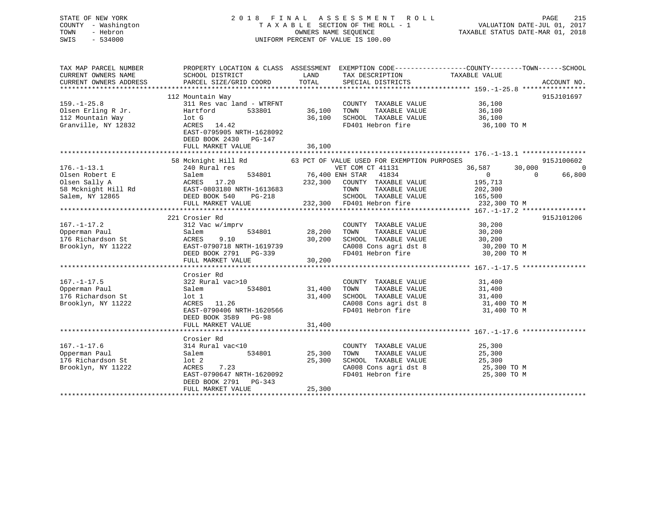# STATE OF NEW YORK 2 0 1 8 F I N A L A S S E S S M E N T R O L L PAGE 215 COUNTY - Washington T A X A B L E SECTION OF THE ROLL - 1 VALUATION DATE-JUL 01, 2017 TOWN - Hebron OWNERS NAME SEQUENCE TAXABLE STATUS DATE-MAR 01, 2018 SWIS - 534000 UNIFORM PERCENT OF VALUE IS 100.00

| TAX MAP PARCEL NUMBER<br>CURRENT OWNERS NAME<br>CURRENT OWNERS ADDRESS                         | PROPERTY LOCATION & CLASS ASSESSMENT<br>SCHOOL DISTRICT<br>PARCEL SIZE/GRID COORD                                                                                      | LAND<br>TOTAL              | TAX DESCRIPTION<br>SPECIAL DISTRICTS                                                                                                                   | EXEMPTION CODE-----------------COUNTY--------TOWN------SCHOOL<br>TAXABLE VALUE            | ACCOUNT NO.        |
|------------------------------------------------------------------------------------------------|------------------------------------------------------------------------------------------------------------------------------------------------------------------------|----------------------------|--------------------------------------------------------------------------------------------------------------------------------------------------------|-------------------------------------------------------------------------------------------|--------------------|
| $159. - 1 - 25.8$<br>Olsen Erling R Jr.<br>112 Mountain Way<br>Granville, NY 12832             | 112 Mountain Way<br>311 Res vac land - WTRFNT<br>533801<br>Hartford<br>lot G<br>ACRES 14.42<br>EAST-0795905 NRTH-1628092<br>DEED BOOK 2430 PG-147<br>FULL MARKET VALUE | 36,100<br>36,100<br>36,100 | COUNTY TAXABLE VALUE<br>TAXABLE VALUE<br>TOWN<br>SCHOOL TAXABLE VALUE<br>FD401 Hebron fire                                                             | 36,100<br>36,100<br>36,100<br>36,100 TO M                                                 | 915J101697         |
|                                                                                                | 58 Mcknight Hill Rd 63 PCT OF VALUE USED FOR EXEMPTION PURPOSES                                                                                                        |                            |                                                                                                                                                        |                                                                                           | 915J100602         |
| $176. - 1 - 13.1$<br>Olsen Robert E<br>Olsen Sally A<br>58 Mcknight Hill Rd<br>Salem, NY 12865 | 240 Rural res<br>Salem<br>ACRES 17.20<br>EAST-0803180 NRTH-1613683<br>DEED BOOK 540<br>PG-218<br>FULL MARKET VALUE                                                     | 232,300                    | VET COM CT 41131<br>534801 76,400 ENH STAR 41834<br>COUNTY TAXABLE VALUE<br>TOWN<br>TAXABLE VALUE<br>SCHOOL TAXABLE VALUE<br>232,300 FD401 Hebron fire | 36,587<br>30,000<br>$\Omega$<br>$\Omega$<br>195,713<br>202,300<br>165,500<br>232,300 TO M | $\Omega$<br>66,800 |
|                                                                                                | 221 Crosier Rd                                                                                                                                                         |                            |                                                                                                                                                        |                                                                                           | 915J101206         |
| $167. - 1 - 17.2$<br>Opperman Paul<br>176 Richardson St<br>Brooklyn, NY 11222                  | 312 Vac w/imprv<br>534801<br>Salem<br>ACRES<br>9.10<br>EAST-0790718 NRTH-1619739<br>DEED BOOK 2791 PG-339<br>FULL MARKET VALUE                                         | 28,200<br>30,200<br>30,200 | COUNTY TAXABLE VALUE<br>TAXABLE VALUE<br>TOWN<br>SCHOOL TAXABLE VALUE<br>CA008 Cons agri dst 8<br>FD401 Hebron fire                                    | 30, 200<br>30,200<br>30,200<br>30,200 TO M<br>30,200 TO M                                 |                    |
|                                                                                                | Crosier Rd                                                                                                                                                             |                            |                                                                                                                                                        |                                                                                           |                    |
| $167. - 1 - 17.5$<br>Opperman Paul<br>176 Richardson St<br>Brooklyn, NY 11222                  | 322 Rural vac>10<br>534801<br>Salem<br>lot 1<br>ACRES<br>11.26<br>EAST-0790406 NRTH-1620566<br>DEED BOOK 3589 PG-98                                                    | 31,400<br>31,400           | COUNTY TAXABLE VALUE<br>TOWN<br>TAXABLE VALUE<br>SCHOOL TAXABLE VALUE<br>CA008 Cons agri dst 8<br>FD401 Hebron fire                                    | 31,400<br>31,400<br>31,400<br>31,400 TO M<br>31,400 TO M                                  |                    |
|                                                                                                | FULL MARKET VALUE                                                                                                                                                      | 31,400                     |                                                                                                                                                        |                                                                                           |                    |
| $167. - 1 - 17.6$<br>Opperman Paul<br>176 Richardson St<br>Brooklyn, NY 11222                  | Crosier Rd<br>314 Rural vac<10<br>534801<br>Salem<br>lot 2<br>7.23<br>ACRES<br>EAST-0790647 NRTH-1620092<br>DEED BOOK 2791<br>$PG-343$<br>FULL MARKET VALUE            | 25,300<br>25,300<br>25,300 | COUNTY TAXABLE VALUE<br>TAXABLE VALUE<br>TOWN<br>SCHOOL TAXABLE VALUE<br>CA008 Cons agri dst 8<br>FD401 Hebron fire                                    | 25,300<br>25,300<br>25,300<br>25,300 TO M<br>25,300 TO M                                  |                    |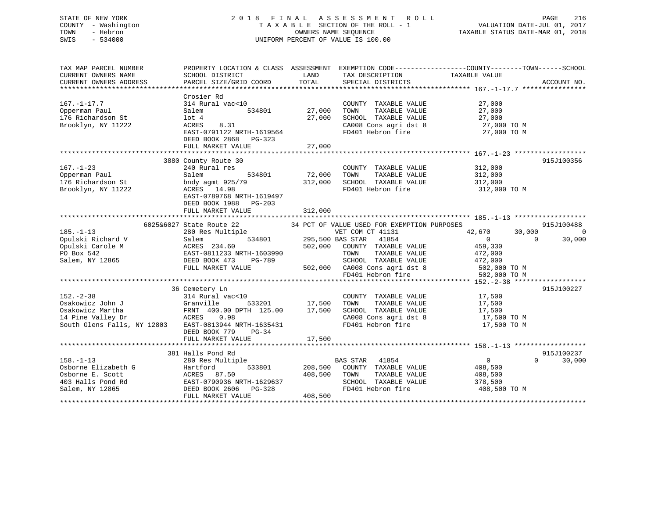# STATE OF NEW YORK 2 0 1 8 F I N A L A S S E S S M E N T R O L L PAGE 216 COUNTY - Washington T A X A B L E SECTION OF THE ROLL - 1 VALUATION DATE-JUL 01, 2017 TOWN - Hebron OWNERS NAME SEQUENCE TAXABLE STATUS DATE-MAR 01, 2018 SWIS - 534000 UNIFORM PERCENT OF VALUE IS 100.00

| TAX MAP PARCEL NUMBER       |                                              |                         |                                                    | PROPERTY LOCATION & CLASS ASSESSMENT EXEMPTION CODE----------------COUNTY-------TOWN------SCHOOL |                    |
|-----------------------------|----------------------------------------------|-------------------------|----------------------------------------------------|--------------------------------------------------------------------------------------------------|--------------------|
| CURRENT OWNERS NAME         | SCHOOL DISTRICT                              | LAND                    | TAX DESCRIPTION                                    | TAXABLE VALUE                                                                                    |                    |
| CURRENT OWNERS ADDRESS      | PARCEL SIZE/GRID COORD                       | TOTAL                   | SPECIAL DISTRICTS                                  |                                                                                                  | ACCOUNT NO.        |
|                             |                                              |                         |                                                    |                                                                                                  |                    |
|                             | Crosier Rd                                   |                         |                                                    |                                                                                                  |                    |
| $167. - 1 - 17.7$           | 314 Rural vac<10                             |                         | COUNTY TAXABLE VALUE                               | 27,000                                                                                           |                    |
| Opperman Paul               | Salem<br>534801                              | 27,000                  |                                                    | 27,000                                                                                           |                    |
| 176 Richardson St           | lot 4                                        | 27,000                  | TOWN TAXABLE VALUE<br>SCHOOL TAXABLE VALUE         | 27,000                                                                                           |                    |
| Brooklyn, NY 11222          | ACRES<br>8.31                                |                         | CA008 Cons agri dst 8                              | 27,000 TO M                                                                                      |                    |
|                             | EAST-0791122 NRTH-1619564                    |                         | FD401 Hebron fire                                  | 27,000 TO M                                                                                      |                    |
|                             | DEED BOOK 2868 PG-323                        |                         |                                                    |                                                                                                  |                    |
|                             | FULL MARKET VALUE                            | 27,000                  |                                                    |                                                                                                  |                    |
|                             |                                              |                         |                                                    |                                                                                                  |                    |
|                             | 3880 County Route 30                         |                         |                                                    |                                                                                                  | 915J100356         |
| $167. - 1 - 23$             | 240 Rural res                                |                         | COUNTY TAXABLE VALUE                               | 312,000                                                                                          |                    |
| Opperman Paul               | 534801<br>Salem                              | 72,000                  | TOWN<br>TAXABLE VALUE                              | 312,000                                                                                          |                    |
| 176 Richardson St           | bndy agmt 925/79                             | 312,000                 | SCHOOL TAXABLE VALUE                               | 312,000                                                                                          |                    |
| Brooklyn, NY 11222          | ACRES 14.98                                  |                         | FD401 Hebron fire                                  | 312,000 TO M                                                                                     |                    |
|                             |                                              |                         |                                                    |                                                                                                  |                    |
|                             | EAST-0789768 NRTH-1619497                    |                         |                                                    |                                                                                                  |                    |
|                             | DEED BOOK 1988<br>PG-203                     |                         |                                                    |                                                                                                  |                    |
|                             | FULL MARKET VALUE                            | 312,000                 |                                                    |                                                                                                  |                    |
|                             |                                              |                         |                                                    |                                                                                                  |                    |
|                             | 6025&6027 State Route 22                     |                         | 34 PCT OF VALUE USED FOR EXEMPTION PURPOSES        |                                                                                                  | 915J100488         |
| $185. - 1 - 13$             | 280 Res Multiple                             |                         | VET COM CT 41131                                   | 42,670<br>30,000                                                                                 | $\Omega$           |
| Opulski Richard V           | Salem                                        | 534801 295,500 BAS STAR | 41854                                              | $\Omega$                                                                                         | 30,000<br>$\Omega$ |
| Opulski Carole M            | ACRES 234.60                                 |                         | 502,000 COUNTY TAXABLE VALUE                       | 459,330                                                                                          |                    |
| PO Box 542                  | EAST-0811233 NRTH-1603990                    |                         | TOWN<br>TAXABLE VALUE                              | 472,000                                                                                          |                    |
| Salem, NY 12865             | DEED BOOK 473<br>PG-789                      |                         | SCHOOL TAXABLE VALUE                               | 472,000                                                                                          |                    |
|                             | FULL MARKET VALUE                            |                         | 502,000 CA008 Cons agri dst 8<br>FD401 Hebron fire | 502,000 TO M                                                                                     |                    |
|                             |                                              |                         |                                                    | 502,000 TO M                                                                                     |                    |
|                             |                                              |                         |                                                    |                                                                                                  |                    |
|                             | 36 Cemetery Ln                               |                         |                                                    |                                                                                                  | 915J100227         |
| $152. - 2 - 38$             | 314 Rural vac<10                             |                         | COUNTY TAXABLE VALUE                               | 17,500                                                                                           |                    |
| Osakowicz John J            | Granville                                    | 533201 17,500           | TAXABLE VALUE<br>TOWN                              | 17,500                                                                                           |                    |
| Osakowicz Martha            | FRNT 400.00 DPTH 125.00 17,500<br>ACRES 0.98 |                         | SCHOOL TAXABLE VALUE                               | 17,500                                                                                           |                    |
| 14 Pine Valley Dr           |                                              |                         | CA008 Cons agri dst 8                              | 17,500 TO M                                                                                      |                    |
| South Glens Falls, NY 12803 | EAST-0813944 NRTH-1635431                    |                         | FD401 Hebron fire                                  | 17,500 TO M                                                                                      |                    |
|                             | DEED BOOK 779 PG-34                          |                         |                                                    |                                                                                                  |                    |
|                             | FULL MARKET VALUE                            | 17,500                  |                                                    |                                                                                                  |                    |
|                             |                                              |                         |                                                    |                                                                                                  |                    |
|                             | 381 Halls Pond Rd                            |                         |                                                    |                                                                                                  | 915J100237         |
| $158. - 1 - 13$             | 280 Res Multiple                             |                         | BAS STAR<br>41854                                  | $\overline{0}$                                                                                   | 30,000<br>$\Omega$ |
| Osborne Elizabeth G         | Hartford<br>533801                           | 208,500                 | COUNTY TAXABLE VALUE                               | 408,500                                                                                          |                    |
| Osborne E. Scott            | ACRES 87.50                                  | 408,500                 | TOWN<br>TAXABLE VALUE                              | 408,500                                                                                          |                    |
| 403 Halls Pond Rd           | EAST-0790936 NRTH-1629637                    |                         | SCHOOL TAXABLE VALUE                               | 378,500                                                                                          |                    |
| Salem, NY 12865             | DEED BOOK 2606 PG-328                        |                         | FD401 Hebron fire                                  | 408,500 TO M                                                                                     |                    |
|                             | FULL MARKET VALUE                            | 408,500                 |                                                    |                                                                                                  |                    |
|                             |                                              |                         |                                                    |                                                                                                  |                    |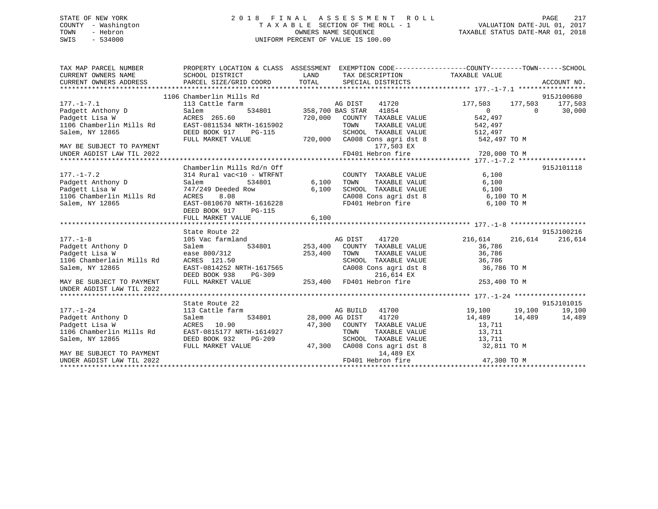## STATE OF NEW YORK 2 0 1 8 F I N A L A S S E S S M E N T R O L L PAGE 217 COUNTY - Washington T A X A B L E SECTION OF THE ROLL - 1 VALUATION DATE-JUL 01, 2017 TOWN - Hebron **CONNERS NAME SEQUENCE** TAXABLE STATUS DATE-MAR 01, 2018 SWIS - 534000 UNIFORM PERCENT OF VALUE IS 100.00

| TAX MAP PARCEL NUMBER                                                                                                                                                       | PROPERTY LOCATION & CLASS ASSESSMENT EXEMPTION CODE---------------COUNTY-------TOWN------SCHOOL                                   |         |                                                                                                                                                                                                                                                                           |                         |                          |
|-----------------------------------------------------------------------------------------------------------------------------------------------------------------------------|-----------------------------------------------------------------------------------------------------------------------------------|---------|---------------------------------------------------------------------------------------------------------------------------------------------------------------------------------------------------------------------------------------------------------------------------|-------------------------|--------------------------|
|                                                                                                                                                                             |                                                                                                                                   |         |                                                                                                                                                                                                                                                                           |                         |                          |
|                                                                                                                                                                             |                                                                                                                                   |         |                                                                                                                                                                                                                                                                           |                         |                          |
|                                                                                                                                                                             |                                                                                                                                   |         |                                                                                                                                                                                                                                                                           |                         |                          |
|                                                                                                                                                                             | 1106 Chamberlin Mills Rd                                                                                                          |         |                                                                                                                                                                                                                                                                           |                         | 915J100680               |
|                                                                                                                                                                             |                                                                                                                                   |         | AG DIST 41720                                                                                                                                                                                                                                                             | 177,503 177,503 177,503 |                          |
|                                                                                                                                                                             |                                                                                                                                   |         | AG DIST 41720<br>534801 358,700 BAS STAR 41854                                                                                                                                                                                                                            | $\overline{0}$          | 30,000<br>$\overline{0}$ |
|                                                                                                                                                                             |                                                                                                                                   | 720,000 | COUNTY TAXABLE VALUE 542,497                                                                                                                                                                                                                                              |                         |                          |
|                                                                                                                                                                             |                                                                                                                                   |         |                                                                                                                                                                                                                                                                           |                         |                          |
|                                                                                                                                                                             |                                                                                                                                   |         |                                                                                                                                                                                                                                                                           |                         |                          |
| 177.-1-7.1<br>Padgett Anthony D<br>Padgett Lisa W<br>1106 Chamberlin Mills Rd<br>Packers 265.60<br>1106 Chamberlin Mills Rd<br>PEED BOOK 917 PG-115<br>DEED BOOK 917 PG-115 | FULL MARKET VALUE                                                                                                                 |         | WRTH-1615902 TOWN TAXABLE VALUE 542,497<br>PG-115 SCHOOL TAXABLE VALUE 512,497<br>ALUE 720,000 CA008 Cons agri dst 8 542,497 TO M                                                                                                                                         |                         |                          |
| MAY BE SUBJECT TO PAYMENT                                                                                                                                                   |                                                                                                                                   |         | 177,503 EX                                                                                                                                                                                                                                                                |                         |                          |
| UNDER AGDIST LAW TIL 2022                                                                                                                                                   |                                                                                                                                   |         | FD401 Hebron fire                                                                                                                                                                                                                                                         | 720,000 TO M            |                          |
|                                                                                                                                                                             |                                                                                                                                   |         |                                                                                                                                                                                                                                                                           |                         |                          |
|                                                                                                                                                                             | Chamberlin Mills Rd/n Off                                                                                                         |         |                                                                                                                                                                                                                                                                           |                         | 915J101118               |
| $177. - 1 - 7.2$                                                                                                                                                            | 314 Rural vac<10 - WTRFNT                                                                                                         |         | COUNTY TAXABLE VALUE                                                                                                                                                                                                                                                      | 6,100                   |                          |
| Padgett Anthony D<br>Padgett Lisa W                                                                                                                                         | Salem                                                                                                                             |         | TOWN TAXABLE VALUE 6,100<br>SCHOOL TAXABLE VALUE 6,100<br>CA008 Cons agri dst 8 6,100 TO M<br>TOWN                                                                                                                                                                        |                         |                          |
|                                                                                                                                                                             |                                                                                                                                   |         |                                                                                                                                                                                                                                                                           |                         |                          |
| 1106 Chamberlin Mills Rd                                                                                                                                                    | Dair<br>747/249 Deeded Row<br>*^PFC 8 OR                                                                                          | 6,100   |                                                                                                                                                                                                                                                                           |                         |                          |
| Salem, NY 12865                                                                                                                                                             | EAST-0810670 NRTH-1616228                                                                                                         |         | FD401 Hebron fire                                                                                                                                                                                                                                                         | 6,100 TO M              |                          |
|                                                                                                                                                                             | DEED BOOK 917<br>PG-115                                                                                                           |         |                                                                                                                                                                                                                                                                           |                         |                          |
|                                                                                                                                                                             | FULL MARKET VALUE                                                                                                                 | 6,100   |                                                                                                                                                                                                                                                                           |                         |                          |
|                                                                                                                                                                             |                                                                                                                                   |         |                                                                                                                                                                                                                                                                           |                         |                          |
|                                                                                                                                                                             | State Route 22                                                                                                                    |         |                                                                                                                                                                                                                                                                           |                         | 915J100216               |
| 177.-1-8<br>Padgett Anthony D<br>Padgett Lisa W                                                                                                                             | state Route 22<br>105 Vac farmland                                                                                                |         |                                                                                                                                                                                                                                                                           | 216,614                 | 216,614 216,614          |
|                                                                                                                                                                             | Salem                                                                                                                             |         |                                                                                                                                                                                                                                                                           | 36,786                  |                          |
|                                                                                                                                                                             | ease 800/312                                                                                                                      | 253,400 | TOWN                                                                                                                                                                                                                                                                      | TAXABLE VALUE 36,786    |                          |
| 1106 Chamberlain Mills Rd                                                                                                                                                   | ACRES 121.50                                                                                                                      |         | SCHOOL TAXABLE VALUE 36,786                                                                                                                                                                                                                                               |                         |                          |
| Salem, NY 12865                                                                                                                                                             |                                                                                                                                   |         |                                                                                                                                                                                                                                                                           | 36,786 TO M             |                          |
|                                                                                                                                                                             |                                                                                                                                   |         |                                                                                                                                                                                                                                                                           |                         |                          |
| MAY BE SUBJECT TO PAYMENT                                                                                                                                                   | EAST-0814252 NRTH-1617565 CA008 Cons agri dst 8<br>DEED BOOK 938 PG-309 216,614 EX<br>FULL MARKET VALUE 253,400 FD401 Hebron fire |         |                                                                                                                                                                                                                                                                           | 253,400 TO M            |                          |
| UNDER AGDIST LAW TIL 2022                                                                                                                                                   |                                                                                                                                   |         |                                                                                                                                                                                                                                                                           |                         |                          |
|                                                                                                                                                                             |                                                                                                                                   |         |                                                                                                                                                                                                                                                                           |                         |                          |
|                                                                                                                                                                             | State Route 22                                                                                                                    |         |                                                                                                                                                                                                                                                                           |                         | 915J101015               |
| $177. - 1 - 24$                                                                                                                                                             | 113 Cattle farm                                                                                                                   |         | AG BUILD 41700 19,100 19,100                                                                                                                                                                                                                                              |                         | 19,100                   |
| Padgett Anthony D                                                                                                                                                           | Salem                                                                                                                             |         | 534801 28,000 AG DIST 41720 14,489 14,489 14,489                                                                                                                                                                                                                          |                         |                          |
| Padgett Lisa W                                                                                                                                                              | ACRES 10.90<br>Mills Rd EAST-0815177 NRTH-1614927                                                                                 |         | $\begin{array}{cccccc} & & & 47,300 & & \text{COUNTY} & \text{TAXABLE VALUE} & & & & 13,711\\ \text{IRTH--1614927} & & & & & & \text{TOWN} & & \text{TAXABLE VALUE} & & & & 13,711\\ \text{PG--209} & & & & & & \text{SCHOOL TAXABLE VALUE} & & & & 13,711\\ \end{array}$ |                         |                          |
| 1106 Chamberlin Mills Rd                                                                                                                                                    |                                                                                                                                   |         |                                                                                                                                                                                                                                                                           |                         |                          |
| Salem, NY 12865                                                                                                                                                             | DEED BOOK 932 PG-209                                                                                                              |         |                                                                                                                                                                                                                                                                           |                         |                          |
|                                                                                                                                                                             | FULL MARKET VALUE                                                                                                                 | 47,300  | CA008 Cons agri dst 8 $32,811$ TO M                                                                                                                                                                                                                                       |                         |                          |
| MAY BE SUBJECT TO PAYMENT                                                                                                                                                   |                                                                                                                                   |         | 14,489 EX                                                                                                                                                                                                                                                                 |                         |                          |
| UNDER AGDIST LAW TIL 2022                                                                                                                                                   |                                                                                                                                   |         |                                                                                                                                                                                                                                                                           |                         |                          |
|                                                                                                                                                                             |                                                                                                                                   |         |                                                                                                                                                                                                                                                                           |                         |                          |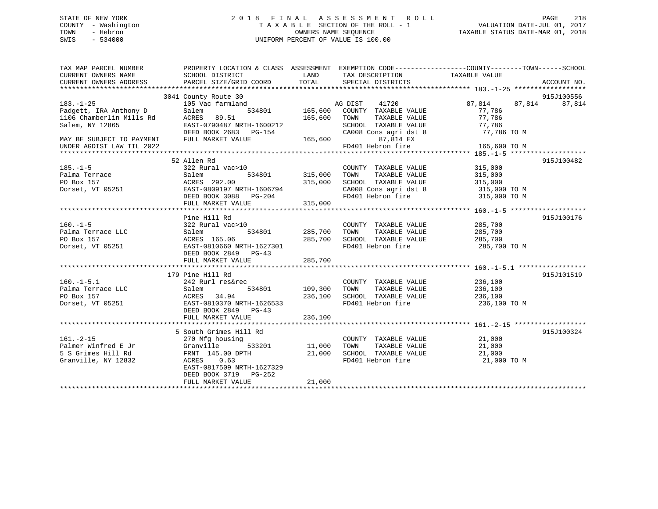## STATE OF NEW YORK 2 0 1 8 F I N A L A S S E S S M E N T R O L L PAGE 218 COUNTY - Washington T A X A B L E SECTION OF THE ROLL - 1 VALUATION DATE-JUL 01, 2017 TOWN - Hebron OWNERS NAME SEQUENCE TAXABLE STATUS DATE-MAR 01, 2018 SWIS - 534000 UNIFORM PERCENT OF VALUE IS 100.00

TAX MAP PARCEL NUMBER PROPERTY LOCATION & CLASS ASSESSMENT EXEMPTION CODE------------------COUNTY--------TOWN------SCHOOL

| CURRENT OWNERS NAME       | SCHOOL DISTRICT           | LAND        | TAX DESCRIPTION             | TAXABLE VALUE    |             |
|---------------------------|---------------------------|-------------|-----------------------------|------------------|-------------|
| CURRENT OWNERS ADDRESS    | PARCEL SIZE/GRID COORD    | TOTAL       | SPECIAL DISTRICTS           |                  | ACCOUNT NO. |
|                           |                           |             |                             |                  |             |
|                           | 3041 County Route 30      |             |                             |                  | 915J100556  |
| $183. - 1 - 25$           | 105 Vac farmland          |             | AG DIST<br>41720            | 87,814<br>87,814 | 87,814      |
| Padgett, IRA Anthony D    | Salem<br>534801           | 165,600     | COUNTY TAXABLE VALUE        | 77,786           |             |
| 1106 Chamberlin Mills Rd  | ACRES 89.51               | 165,600     | TOWN<br>TAXABLE VALUE       | 77,786           |             |
| Salem, NY 12865           | EAST-0790487 NRTH-1600212 |             | SCHOOL TAXABLE VALUE        | 77,786           |             |
|                           | DEED BOOK 2683 PG-154     |             | CA008 Cons agri dst 8       | 77,786 TO M      |             |
| MAY BE SUBJECT TO PAYMENT | FULL MARKET VALUE         | 165,600     | 87,814 EX                   |                  |             |
| UNDER AGDIST LAW TIL 2022 |                           |             | FD401 Hebron fire           | 165,600 TO M     |             |
|                           |                           |             |                             |                  |             |
|                           | 52 Allen Rd               |             |                             |                  | 915J100482  |
| $185. - 1 - 5$            | 322 Rural vac>10          |             | COUNTY TAXABLE VALUE        | 315,000          |             |
| Palma Terrace             | 534801<br>Salem           | 315,000     | TOWN<br>TAXABLE VALUE       | 315,000          |             |
| PO Box 157                | ACRES 292.00              | 315,000     | SCHOOL TAXABLE VALUE        | 315,000          |             |
| Dorset, VT 05251          | EAST-0809197 NRTH-1606794 |             | CA008 Cons agri dst 8       | 315,000 TO M     |             |
|                           | DEED BOOK 3088 PG-204     |             | FD401 Hebron fire           | 315,000 TO M     |             |
|                           | FULL MARKET VALUE         | 315,000     |                             |                  |             |
|                           |                           |             |                             |                  |             |
|                           | Pine Hill Rd              |             |                             |                  | 915J100176  |
| $160. - 1 - 5$            | 322 Rural vac>10          |             | COUNTY TAXABLE VALUE        | 285,700          |             |
| Palma Terrace LLC         | Salem<br>534801           | 285,700     | TAXABLE VALUE<br>TOWN       | 285,700          |             |
| PO Box 157                | ACRES 165.06              | 285,700     | SCHOOL TAXABLE VALUE        | 285,700          |             |
| Dorset, VT 05251          | EAST-0810660 NRTH-1627301 |             | FD401 Hebron fire           | 285,700 TO M     |             |
|                           | DEED BOOK 2849<br>$PG-43$ |             |                             |                  |             |
|                           | FULL MARKET VALUE         | 285,700     |                             |                  |             |
|                           |                           |             |                             |                  |             |
|                           | 179 Pine Hill Rd          |             |                             |                  | 915J101519  |
| $160. - 1 - 5.1$          | 242 Rurl res&rec          |             | COUNTY TAXABLE VALUE        | 236,100          |             |
| Palma Terrace LLC         | Salem<br>534801           | 109,300     | TOWN<br>TAXABLE VALUE       | 236,100          |             |
| PO Box 157                | 34.94<br>ACRES            | 236,100     | SCHOOL TAXABLE VALUE        | 236,100          |             |
| Dorset, VT 05251          | EAST-0810370 NRTH-1626533 |             | FD401 Hebron fire           | 236,100 TO M     |             |
|                           | DEED BOOK 2849 PG-43      |             |                             |                  |             |
|                           | FULL MARKET VALUE         | 236,100     |                             |                  |             |
|                           |                           |             |                             |                  |             |
|                           | 5 South Grimes Hill Rd    |             |                             |                  | 915J100324  |
| $161. - 2 - 15$           | 270 Mfg housing           |             | COUNTY TAXABLE VALUE        | 21,000           |             |
| Palmer Winfred E Jr       | Granville<br>533201       | 11,000 TOWN | TAXABLE VALUE               | 21,000           |             |
| 5 S Grimes Hill Rd        | FRNT 145.00 DPTH          |             | 21,000 SCHOOL TAXABLE VALUE | 21,000           |             |
| Granville, NY 12832       | ACRES<br>0.63             |             | FD401 Hebron fire           | 21,000 TO M      |             |
|                           | EAST-0817509 NRTH-1627329 |             |                             |                  |             |
|                           | DEED BOOK 3719 PG-252     |             |                             |                  |             |
|                           | FULL MARKET VALUE         | 21,000      |                             |                  |             |
|                           |                           |             |                             |                  |             |
|                           |                           |             |                             |                  |             |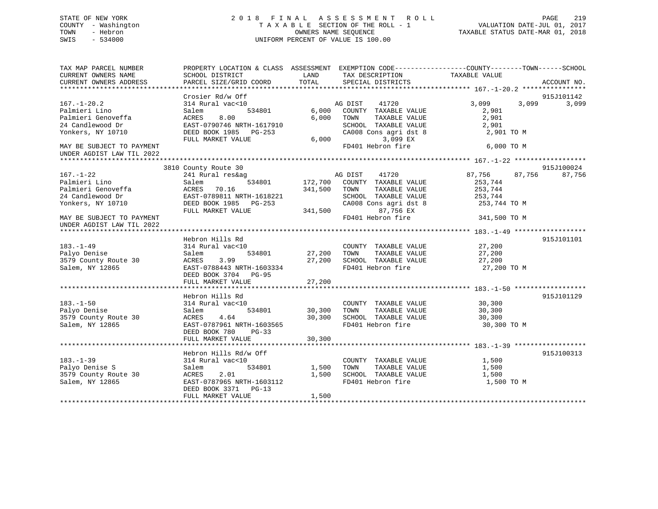## STATE OF NEW YORK 2 0 1 8 F I N A L A S S E S S M E N T R O L L PAGE 219 COUNTY - Washington T A X A B L E SECTION OF THE ROLL - 1 VALUATION DATE-JUL 01, 2017 TOWN - Hebron **CONNERS NAME SEQUENCE** TAXABLE STATUS DATE-MAR 01, 2018 SWIS - 534000 UNIFORM PERCENT OF VALUE IS 100.00

| TAX MAP PARCEL NUMBER     | PROPERTY LOCATION & CLASS ASSESSMENT EXEMPTION CODE----------------COUNTY-------TOWN------SCHOOL |             |                              |                  |                |
|---------------------------|--------------------------------------------------------------------------------------------------|-------------|------------------------------|------------------|----------------|
| CURRENT OWNERS NAME       | SCHOOL DISTRICT                                                                                  | LAND        | TAX DESCRIPTION              | TAXABLE VALUE    |                |
| CURRENT OWNERS ADDRESS    | PARCEL SIZE/GRID COORD                                                                           | TOTAL       | SPECIAL DISTRICTS            |                  | ACCOUNT NO.    |
|                           |                                                                                                  |             |                              |                  |                |
|                           | Crosier Rd/w Off                                                                                 |             |                              |                  | 915J101142     |
| $167. - 1 - 20.2$         | 314 Rural vac<10                                                                                 |             | 41720<br>AG DIST             | 3,099            | 3,099<br>3,099 |
| Palmieri Lino             | 534801<br>Salem                                                                                  |             | 6,000 COUNTY TAXABLE VALUE   | 2,901            |                |
| Palmieri Genoveffa        | ACRES<br>8.00                                                                                    | 6,000       | TAXABLE VALUE<br>TOWN        | 2,901            |                |
| 24 Candlewood Dr          | EAST-0790746 NRTH-1617910                                                                        |             | SCHOOL TAXABLE VALUE         | 2,901            |                |
| Yonkers, NY 10710         | DEED BOOK 1985 PG-253                                                                            |             | CA008 Cons agri dst 8        | 2,901 TO M       |                |
|                           | FULL MARKET VALUE                                                                                | 6,000       | 3,099 EX                     |                  |                |
| MAY BE SUBJECT TO PAYMENT |                                                                                                  |             | FD401 Hebron fire            | 6,000 TO M       |                |
| UNDER AGDIST LAW TIL 2022 |                                                                                                  |             |                              |                  |                |
|                           |                                                                                                  |             |                              |                  |                |
|                           | 3810 County Route 30                                                                             |             |                              |                  | 915J100024     |
| $167. - 1 - 22$           | 241 Rural res&ag                                                                                 |             | 41720<br>AG DIST             | 87,756<br>87,756 | 87,756         |
| Palmieri Lino             | Salem<br>534801                                                                                  |             | 172,700 COUNTY TAXABLE VALUE | 253,744          |                |
| Palmieri Genoveffa        | ACRES 70.16                                                                                      | 341,500     | TOWN<br>TAXABLE VALUE        | 253,744          |                |
| 24 Candlewood Dr          | EAST-0789811 NRTH-1618221                                                                        |             | SCHOOL TAXABLE VALUE         | 253,744          |                |
| Yonkers, NY 10710         | -- --<br>DEED BOOK 1985 PG-253                                                                   |             | CA008 Cons agri dst 8        | 253,744 TO M     |                |
|                           | FULL MARKET VALUE                                                                                | 341,500     | 87,756 EX                    |                  |                |
| MAY BE SUBJECT TO PAYMENT |                                                                                                  |             | FD401 Hebron fire            | 341,500 TO M     |                |
| UNDER AGDIST LAW TIL 2022 |                                                                                                  |             |                              |                  |                |
|                           |                                                                                                  |             |                              |                  |                |
|                           | Hebron Hills Rd                                                                                  |             |                              |                  | 915J101101     |
| $183. - 1 - 49$           | 314 Rural vac<10                                                                                 |             | COUNTY TAXABLE VALUE         | 27,200           |                |
| Palyo Denise              | 534801<br>Salem                                                                                  | 27,200 TOWN | TAXABLE VALUE                | 27,200           |                |
| 3579 County Route 30      | 3.99<br>ACRES                                                                                    |             | 27,200 SCHOOL TAXABLE VALUE  | 27,200           |                |
| Salem, NY 12865           | EAST-0788443 NRTH-1603334                                                                        |             | FD401 Hebron fire            | 27,200 TO M      |                |
|                           | DEED BOOK 3704 PG-95                                                                             |             |                              |                  |                |
|                           | FULL MARKET VALUE                                                                                | 27,200      |                              |                  |                |
|                           |                                                                                                  |             |                              |                  |                |
|                           | Hebron Hills Rd                                                                                  |             |                              |                  | 915J101129     |
| $183. - 1 - 50$           | 314 Rural vac<10                                                                                 |             | COUNTY TAXABLE VALUE         | 30, 300          |                |
| Palyo Denise              | 534801<br>Salem                                                                                  | 30,300      | TOWN TAXABLE VALUE           | 30,300           |                |
| 3579 County Route 30      | 4.64<br>ACRES                                                                                    | 30,300      | SCHOOL TAXABLE VALUE         | 30,300           |                |
| Salem, NY 12865           | EAST-0787961 NRTH-1603565                                                                        |             | FD401 Hebron fire            | 30,300 TO M      |                |
|                           | DEED BOOK 780<br>$PG-33$                                                                         |             |                              |                  |                |
|                           | FULL MARKET VALUE                                                                                | 30,300      |                              |                  |                |
|                           |                                                                                                  |             |                              |                  |                |
|                           | Hebron Hills Rd/w Off                                                                            |             |                              |                  | 915J100313     |
| $183. - 1 - 39$           | 314 Rural vac<10                                                                                 |             | COUNTY TAXABLE VALUE         | 1,500            |                |
| Palyo Denise S            | 534801<br>Salem                                                                                  | 1,500       | TAXABLE VALUE<br>TOWN        | 1,500            |                |
| 3579 County Route 30      | 2.01<br>ACRES                                                                                    | 1,500       | SCHOOL TAXABLE VALUE         | 1,500            |                |
| Salem, NY 12865           | EAST-0787965 NRTH-1603112                                                                        |             | FD401 Hebron fire            | 1,500 TO M       |                |
|                           | DEED BOOK 3371 PG-13                                                                             |             |                              |                  |                |
|                           | FULL MARKET VALUE                                                                                | 1,500       |                              |                  |                |
|                           |                                                                                                  |             |                              |                  |                |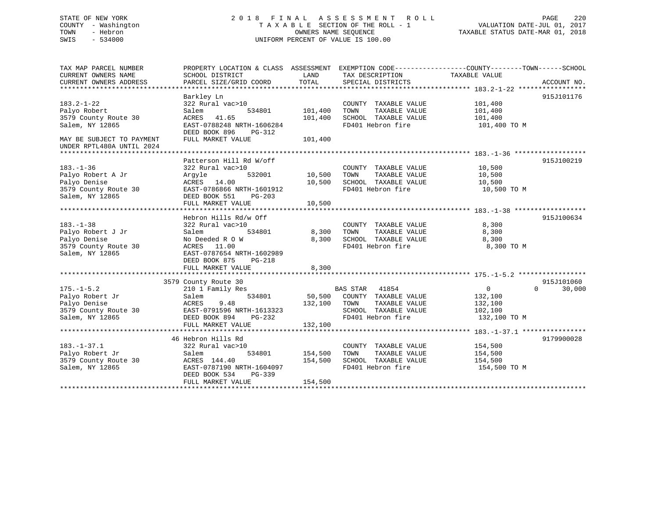## STATE OF NEW YORK 2 0 1 8 F I N A L A S S E S S M E N T R O L L PAGE 220 COUNTY - Washington T A X A B L E SECTION OF THE ROLL - 1 VALUATION DATE-JUL 01, 2017 TOWN - Hebron OWNERS NAME SEQUENCE TAXABLE STATUS DATE-MAR 01, 2018 SWIS - 534000 UNIFORM PERCENT OF VALUE IS 100.00

| TAX MAP PARCEL NUMBER<br>CURRENT OWNERS NAME<br>CURRENT OWNERS ADDRESS                          | PROPERTY LOCATION & CLASS ASSESSMENT EXEMPTION CODE----------------COUNTY-------TOWN-----SCHOOL<br>SCHOOL DISTRICT<br>PARCEL SIZE/GRID COORD                                  | LAND<br>TOTAL                 | TAX DESCRIPTION<br>SPECIAL DISTRICTS                                                                                   | TAXABLE VALUE                                      | ACCOUNT NO.        |
|-------------------------------------------------------------------------------------------------|-------------------------------------------------------------------------------------------------------------------------------------------------------------------------------|-------------------------------|------------------------------------------------------------------------------------------------------------------------|----------------------------------------------------|--------------------|
| $183.2 - 1 - 22$<br>Palyo Robert<br>3579 County Route 30<br>Salem, NY 12865                     | Barkley Ln<br>322 Rural vac>10<br>Salem<br>534801<br>ACRES 41.65<br>EAST-0788248 NRTH-1606284                                                                                 | 101,400<br>101,400            | COUNTY TAXABLE VALUE<br>TAXABLE VALUE<br>TOWN<br>SCHOOL TAXABLE VALUE<br>FD401 Hebron fire                             | 101,400<br>101,400<br>101,400<br>101,400 TO M      | 915J101176         |
| MAY BE SUBJECT TO PAYMENT<br>UNDER RPTL480A UNTIL 2024                                          | DEED BOOK 896<br>PG-312<br>FULL MARKET VALUE                                                                                                                                  | 101,400                       |                                                                                                                        |                                                    |                    |
| $183. - 1 - 36$<br>Palyo Robert A Jr<br>Palyo Denise<br>3579 County Route 30<br>Salem, NY 12865 | Patterson Hill Rd W/off<br>322 Rural vac>10<br>532001<br>Argyle<br>ACRES 14.00<br>EAST-0786866 NRTH-1601912<br>DEED BOOK 551<br>$PG-203$<br>FULL MARKET VALUE                 | 10,500<br>10,500<br>10,500    | COUNTY TAXABLE VALUE<br>TOWN<br>TAXABLE VALUE<br>SCHOOL TAXABLE VALUE<br>FD401 Hebron fire                             | 10,500<br>10,500<br>10,500<br>10,500 TO M          | 915J100219         |
| $183. - 1 - 38$<br>Palyo Robert J Jr<br>Palyo Denise<br>3579 County Route 30<br>Salem, NY 12865 | Hebron Hills Rd/w Off<br>322 Rural vac>10<br>Salem<br>534801<br>No Deeded R O W<br>ACRES 11.00<br>EAST-0787654 NRTH-1602989<br>DEED BOOK 875<br>$PG-218$<br>FULL MARKET VALUE | 8,300<br>8,300<br>8,300       | COUNTY TAXABLE VALUE<br>TAXABLE VALUE<br>TOWN<br>SCHOOL TAXABLE VALUE<br>FD401 Hebron fire                             | 8,300<br>8,300<br>8,300<br>8,300 TO M              | 915J100634         |
|                                                                                                 | 3579 County Route 30                                                                                                                                                          |                               |                                                                                                                        |                                                    | 915J101060         |
| $175. - 1 - 5.2$<br>Palyo Robert Jr<br>Palyo Denise<br>3579 County Route 30<br>Salem, NY 12865  | 210 1 Family Res<br>534801<br>Salem<br>ACRES<br>9.48<br>EAST-0791596 NRTH-1613323<br>DEED BOOK 894<br>PG-232<br>FULL MARKET VALUE                                             | 50,500<br>132,100<br>132,100  | <b>BAS STAR</b><br>41854<br>COUNTY TAXABLE VALUE<br>TOWN<br>TAXABLE VALUE<br>SCHOOL TAXABLE VALUE<br>FD401 Hebron fire | 0<br>132,100<br>132,100<br>102,100<br>132,100 TO M | 30,000<br>$\Omega$ |
|                                                                                                 |                                                                                                                                                                               |                               |                                                                                                                        |                                                    |                    |
| $183. - 1 - 37.1$<br>Palyo Robert Jr<br>3579 County Route 30<br>Salem, NY 12865                 | 46 Hebron Hills Rd<br>322 Rural vac>10<br>534801<br>Salem<br>ACRES 144.40<br>EAST-0787190 NRTH-1604097<br>DEED BOOK 534<br>$PG-339$<br>FULL MARKET VALUE                      | 154,500<br>154,500<br>154,500 | COUNTY TAXABLE VALUE<br>TAXABLE VALUE<br>TOWN<br>SCHOOL TAXABLE VALUE<br>FD401 Hebron fire                             | 154,500<br>154,500<br>154,500<br>154,500 TO M      | 9179900028         |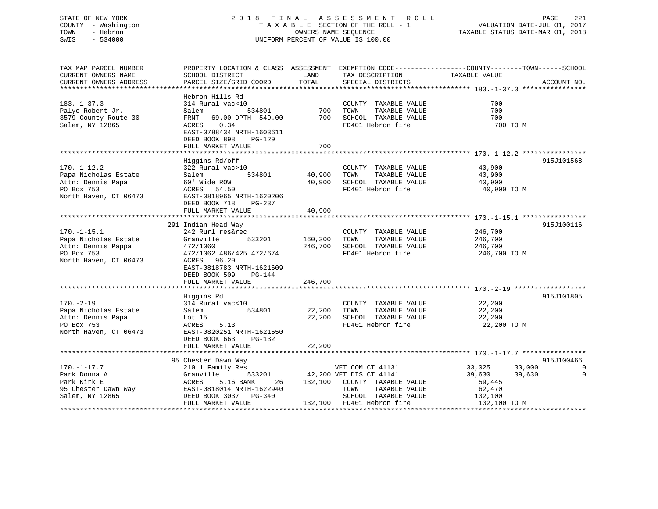## STATE OF NEW YORK 2 0 1 8 F I N A L A S S E S S M E N T R O L L PAGE 221 COUNTY - Washington T A X A B L E SECTION OF THE ROLL - 1 VALUATION DATE-JUL 01, 2017 TOWN - Hebron OWNERS NAME SEQUENCE TAXABLE STATUS DATE-MAR 01, 2018 SWIS - 534000 UNIFORM PERCENT OF VALUE IS 100.00

| TAX MAP PARCEL NUMBER<br>CURRENT OWNERS NAME<br>CURRENT OWNERS ADDRESS                                 | SCHOOL DISTRICT<br>PARCEL SIZE/GRID COORD                                                                                                                             | LAND<br>TOTAL      | TAX DESCRIPTION<br>SPECIAL DISTRICTS                                                                                                              | PROPERTY LOCATION & CLASS ASSESSMENT EXEMPTION CODE----------------COUNTY-------TOWN-----SCHOOL<br>TAXABLE VALUE<br>ACCOUNT NO. |                     |
|--------------------------------------------------------------------------------------------------------|-----------------------------------------------------------------------------------------------------------------------------------------------------------------------|--------------------|---------------------------------------------------------------------------------------------------------------------------------------------------|---------------------------------------------------------------------------------------------------------------------------------|---------------------|
|                                                                                                        |                                                                                                                                                                       |                    |                                                                                                                                                   |                                                                                                                                 |                     |
| $183. - 1 - 37.3$<br>Palyo Robert Jr.<br>3579 County Route 30<br>Salem, NY 12865                       | Hebron Hills Rd<br>314 Rural vac<10<br>534801<br>Salem<br>FRNT<br>69.00 DPTH 549.00<br>ACRES<br>0.34<br>EAST-0788434 NRTH-1603611<br>DEED BOOK 898<br>PG-129          | 700<br>700         | COUNTY TAXABLE VALUE<br>TOWN<br>TAXABLE VALUE<br>SCHOOL TAXABLE VALUE<br>FD401 Hebron fire                                                        | 700<br>700<br>700<br>700 TO M                                                                                                   |                     |
|                                                                                                        | FULL MARKET VALUE                                                                                                                                                     | 700                |                                                                                                                                                   |                                                                                                                                 |                     |
| $170. - 1 - 12.2$<br>Papa Nicholas Estate<br>Attn: Dennis Papa<br>PO Box 753<br>North Haven, CT 06473  | Higgins Rd/off<br>322 Rural vac>10<br>534801<br>Salem<br>60' Wide ROW<br>ACRES 54.50<br>EAST-0818965 NRTH-1620206<br>DEED BOOK 718<br>PG-237                          | 40,900<br>40,900   | COUNTY TAXABLE VALUE<br>TOWN<br>TAXABLE VALUE<br>SCHOOL TAXABLE VALUE<br>FD401 Hebron fire                                                        | 915J101568<br>40,900<br>40,900<br>40,900<br>40,900 TO M                                                                         |                     |
|                                                                                                        | FULL MARKET VALUE                                                                                                                                                     | 40,900             |                                                                                                                                                   |                                                                                                                                 |                     |
|                                                                                                        | 291 Indian Head Way                                                                                                                                                   |                    |                                                                                                                                                   | 915J100116                                                                                                                      |                     |
| $170. - 1 - 15.1$<br>Papa Nicholas Estate<br>Attn: Dennis Pappa<br>PO Box 753<br>North Haven, CT 06473 | 242 Rurl res&rec<br>Granville<br>533201<br>472/1060<br>472/1062 486/425 472/674<br>ACRES 96.20<br>EAST-0818783 NRTH-1621609<br>DEED BOOK 509<br>PG-144                | 160,300<br>246,700 | COUNTY TAXABLE VALUE<br>TOWN<br>TAXABLE VALUE<br>SCHOOL TAXABLE VALUE<br>FD401 Hebron fire                                                        | 246,700<br>246,700<br>246,700<br>246,700 TO M                                                                                   |                     |
|                                                                                                        | FULL MARKET VALUE                                                                                                                                                     | 246,700            |                                                                                                                                                   |                                                                                                                                 |                     |
| $170. - 2 - 19$<br>Papa Nicholas Estate<br>Attn: Dennis Papa<br>PO Box 753<br>North Haven, CT 06473    | Higgins Rd<br>314 Rural vac<10<br>534801<br>Salem<br>Lot $15$<br>ACRES<br>5.13<br>EAST-0820251 NRTH-1621550<br>DEED BOOK 663<br>$PG-132$                              | 22,200<br>22,200   | COUNTY TAXABLE VALUE<br>TOWN<br>TAXABLE VALUE<br>SCHOOL TAXABLE VALUE<br>FD401 Hebron fire                                                        | 915J101805<br>22,200<br>22,200<br>22,200<br>22,200 TO M                                                                         |                     |
|                                                                                                        | FULL MARKET VALUE                                                                                                                                                     | 22,200             |                                                                                                                                                   |                                                                                                                                 |                     |
|                                                                                                        |                                                                                                                                                                       |                    |                                                                                                                                                   |                                                                                                                                 |                     |
| $170. - 1 - 17.7$<br>Park Donna A<br>Park Kirk E<br>95 Chester Dawn Way<br>Salem, NY 12865             | 95 Chester Dawn Way<br>210 1 Family Res<br>Granville<br>533201<br>5.16 BANK<br>ACRES<br>26<br>EAST-0818014 NRTH-1622940<br>DEED BOOK 3037 PG-340<br>FULL MARKET VALUE | 132,100            | VET COM CT 41131<br>42,200 VET DIS CT 41141<br>COUNTY TAXABLE VALUE<br>TOWN<br>TAXABLE VALUE<br>SCHOOL TAXABLE VALUE<br>132,100 FD401 Hebron fire | 915J100466<br>33,025<br>30,000<br>39,630<br>39,630<br>59,445<br>62,470<br>132,100<br>132,100 TO M                               | $\overline{0}$<br>0 |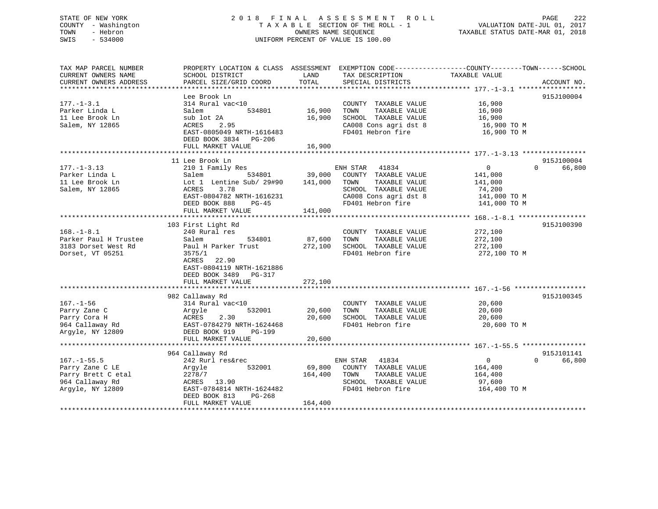## STATE OF NEW YORK 2 0 1 8 F I N A L A S S E S S M E N T R O L L PAGE 222 COUNTY - Washington T A X A B L E SECTION OF THE ROLL - 1 VALUATION DATE-JUL 01, 2017 TOWN - Hebron OWNERS NAME SEQUENCE TAXABLE STATUS DATE-MAR 01, 2018 SWIS - 534000 UNIFORM PERCENT OF VALUE IS 100.00

| TAX MAP PARCEL NUMBER<br>CURRENT OWNERS NAME<br>CURRENT OWNERS ADDRESS                            | PROPERTY LOCATION & CLASS ASSESSMENT<br>SCHOOL DISTRICT<br>PARCEL SIZE/GRID COORD                                                                                                    | LAND<br>TOTAL                | EXEMPTION CODE----------------COUNTY-------TOWN------SCHOOL<br>TAX DESCRIPTION<br>SPECIAL DISTRICTS                                      | TAXABLE VALUE                                                                  | ACCOUNT NO.                      |
|---------------------------------------------------------------------------------------------------|--------------------------------------------------------------------------------------------------------------------------------------------------------------------------------------|------------------------------|------------------------------------------------------------------------------------------------------------------------------------------|--------------------------------------------------------------------------------|----------------------------------|
| $177. - 1 - 3.1$<br>Parker Linda L<br>11 Lee Brook Ln<br>Salem, NY 12865                          | Lee Brook Ln<br>314 Rural vac<10<br>534801<br>Salem<br>sub lot 2A<br>ACRES<br>2.95<br>EAST-0805049 NRTH-1616483<br>DEED BOOK 3834<br>PG-206<br>FULL MARKET VALUE                     | 16,900<br>16,900<br>16,900   | COUNTY TAXABLE VALUE<br>TOWN<br>TAXABLE VALUE<br>SCHOOL TAXABLE VALUE<br>CA008 Cons agri dst 8<br>FD401 Hebron fire                      | 16,900<br>16,900<br>16,900<br>16,900 TO M<br>16,900 TO M                       | 915J100004                       |
| $177. - 1 - 3.13$<br>Parker Linda L<br>11 Lee Brook Ln<br>Salem, NY 12865                         | 11 Lee Brook Ln<br>210 1 Family Res<br>534801<br>Salem<br>Lot 1 Lentine Sub/ 29#90<br>3.78<br>ACRES<br>EAST-0804782 NRTH-1616231<br>DEED BOOK 888<br>$PG-45$<br>FULL MARKET VALUE    | 39,000<br>141,000<br>141,000 | ENH STAR<br>41834<br>COUNTY TAXABLE VALUE<br>TAXABLE VALUE<br>TOWN<br>SCHOOL TAXABLE VALUE<br>CA008 Cons agri dst 8<br>FD401 Hebron fire | $\overline{0}$<br>141,000<br>141,000<br>74,200<br>141,000 TO M<br>141,000 TO M | 915J100004<br>$\Omega$<br>66,800 |
| $168. - 1 - 8.1$<br>Parker Paul H Trustee<br>3183 Dorset West Rd<br>Dorset, VT 05251              | 103 First Light Rd<br>240 Rural res<br>Salem<br>534801<br>Paul H Parker Trust<br>3575/1<br>ACRES<br>22.90<br>EAST-0804119 NRTH-1621886<br>DEED BOOK 3489 PG-317<br>FULL MARKET VALUE | 87,600<br>272,100<br>272,100 | COUNTY TAXABLE VALUE<br>TOWN<br>TAXABLE VALUE<br>SCHOOL TAXABLE VALUE<br>FD401 Hebron fire                                               | 272,100<br>272,100<br>272,100<br>272,100 TO M                                  | 915J100390                       |
| $167. - 1 - 56$<br>Parry Zane C<br>Parry Cora H<br>964 Callaway Rd<br>Argyle, NY 12809            | 982 Callaway Rd<br>314 Rural vac<10<br>532001<br>Argyle<br>2.30<br>ACRES<br>EAST-0784279 NRTH-1624468<br>DEED BOOK 919<br>PG-199<br>FULL MARKET VALUE                                | 20,600<br>20,600<br>20,600   | COUNTY TAXABLE VALUE<br>TAXABLE VALUE<br>TOWN<br>SCHOOL TAXABLE VALUE<br>FD401 Hebron fire                                               | 20,600<br>20,600<br>20,600<br>20,600 TO M                                      | 915J100345                       |
| $167. - 1 - 55.5$<br>Parry Zane C LE<br>Parry Brett C etal<br>964 Callaway Rd<br>Argyle, NY 12809 | 964 Callaway Rd<br>242 Rurl res&rec<br>532001<br>Argyle<br>2278/7<br>ACRES 13.90<br>EAST-0784814 NRTH-1624482<br>DEED BOOK 813<br>PG-268<br>FULL MARKET VALUE                        | 69,800<br>164,400<br>164,400 | 41834<br>ENH STAR<br>COUNTY TAXABLE VALUE<br>TOWN<br>TAXABLE VALUE<br>SCHOOL TAXABLE VALUE<br>FD401 Hebron fire                          | $\mathbf{0}$<br>164,400<br>164,400<br>97,600<br>164,400 TO M                   | 915J101141<br>66,800<br>$\Omega$ |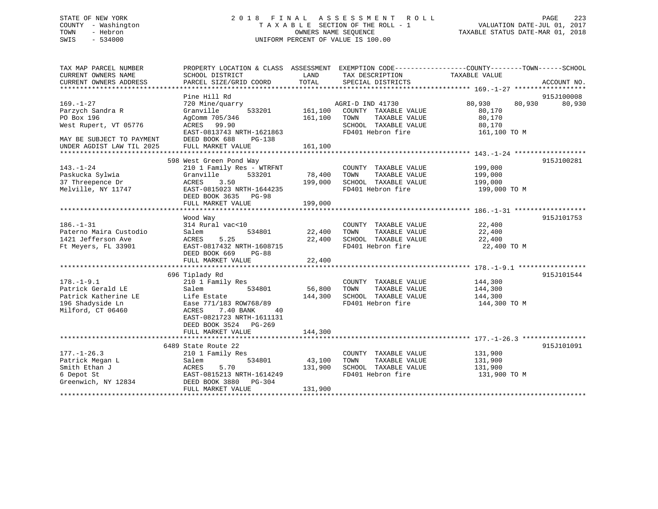## STATE OF NEW YORK 2 0 1 8 F I N A L A S S E S S M E N T R O L L PAGE 223 COUNTY - Washington T A X A B L E SECTION OF THE ROLL - 1 VALUATION DATE-JUL 01, 2017 TOWN - Hebron OWNERS NAME SEQUENCE TAXABLE STATUS DATE-MAR 01, 2018 SWIS - 534000 UNIFORM PERCENT OF VALUE IS 100.00

| TAX MAP PARCEL NUMBER     | PROPERTY LOCATION & CLASS ASSESSMENT EXEMPTION CODE---------------COUNTY-------TOWN------SCHOOL |                    |                                        |                    |             |
|---------------------------|-------------------------------------------------------------------------------------------------|--------------------|----------------------------------------|--------------------|-------------|
| CURRENT OWNERS NAME       | SCHOOL DISTRICT                                                                                 | LAND               | TAX DESCRIPTION                        | TAXABLE VALUE      |             |
| CURRENT OWNERS ADDRESS    | PARCEL SIZE/GRID COORD                                                                          | TOTAL              | SPECIAL DISTRICTS                      |                    | ACCOUNT NO. |
|                           |                                                                                                 |                    |                                        |                    |             |
|                           | Pine Hill Rd                                                                                    |                    |                                        |                    | 915J100008  |
| $169. - 1 - 27$           | 720 Mine/quarry                                                                                 |                    | AGRI-D IND 41730                       | 80,930<br>80,930   | 80,930      |
| Parzych Sandra R          | Granville                                                                                       |                    | 533201 161,100 COUNTY TAXABLE VALUE    | 80,170             |             |
| PO Box 196                | AgComm 705/346                                                                                  | 161,100 TOWN       | TAXABLE VALUE                          | 80,170             |             |
| West Rupert, VT 05776     | ACRES 99.90                                                                                     |                    | SCHOOL TAXABLE VALUE                   | 80,170             |             |
|                           | EAST-0813743 NRTH-1621863                                                                       |                    | FD401 Hebron fire                      | 161,100 TO M       |             |
| MAY BE SUBJECT TO PAYMENT | DEED BOOK 688<br>PG-138                                                                         |                    |                                        |                    |             |
| UNDER AGDIST LAW TIL 2025 | FULL MARKET VALUE                                                                               | 161,100            |                                        |                    |             |
|                           |                                                                                                 |                    |                                        |                    |             |
|                           | 598 West Green Pond Way                                                                         |                    |                                        |                    | 915J100281  |
| $143. - 1 - 24$           | 210 1 Family Res - WTRFNT                                                                       |                    | COUNTY TAXABLE VALUE                   |                    |             |
| Paskucka Sylwia           | 533201 78,400 TOWN<br>Granville                                                                 |                    | TAXABLE VALUE                          | 199,000<br>199,000 |             |
| 37 Threepence Dr          |                                                                                                 |                    | SCHOOL TAXABLE VALUE                   | 199,000            |             |
| Melville, NY 11747        | ACRES 3.50 199,000<br>EAST-0815023 NRTH-1644235 199,000                                         |                    | FD401 Hebron fire                      | 199,000 TO M       |             |
|                           | DEED BOOK 3635 PG-98                                                                            |                    |                                        |                    |             |
|                           | FULL MARKET VALUE                                                                               | 199,000            |                                        |                    |             |
|                           |                                                                                                 |                    |                                        |                    |             |
|                           | Wood Way                                                                                        |                    |                                        |                    | 915J101753  |
| $186. - 1 - 31$           | 314 Rural vac<10                                                                                |                    | COUNTY TAXABLE VALUE                   | 22,400             |             |
| Paterno Maira Custodio    | Salem                                                                                           | 534801 22,400 TOWN | TAXABLE VALUE                          | 22,400             |             |
| 1421 Jefferson Ave        | 5.25<br>ACRES                                                                                   | 22,400             | SCHOOL TAXABLE VALUE                   | 22,400             |             |
| Ft Meyers, FL 33901       | EAST-0817432 NRTH-1608715                                                                       |                    | FD401 Hebron fire<br>FD401 Hebron fire | 22,400 TO M        |             |
|                           | DEED BOOK 669<br>PG-88                                                                          |                    |                                        |                    |             |
|                           | FULL MARKET VALUE                                                                               | 22,400             |                                        |                    |             |
|                           |                                                                                                 |                    |                                        |                    |             |
|                           |                                                                                                 |                    |                                        |                    | 915J101544  |
|                           | 696 Tiplady Rd                                                                                  |                    |                                        |                    |             |
| $178. - 1 - 9.1$          | 210 1 Family Res                                                                                |                    | COUNTY TAXABLE VALUE 144,300           |                    |             |
| Patrick Gerald LE         | 534801<br>Salem                                                                                 | 56,800             | TOWN<br>TAXABLE VALUE                  | 144,300            |             |
| Patrick Katherine LE      | Life Estate                                                                                     |                    | 144,300 SCHOOL TAXABLE VALUE           | 144,300            |             |
| 196 Shadyside Ln          | Ease 771/183 ROW768/89                                                                          |                    | FD401 Hebron fire                      | 144,300 TO M       |             |
| Milford, CT 06460         | 7.40 BANK<br>ACRES<br>40                                                                        |                    |                                        |                    |             |
|                           | EAST-0821723 NRTH-1611131                                                                       |                    |                                        |                    |             |
|                           | DEED BOOK 3524 PG-269                                                                           |                    |                                        |                    |             |
|                           | FULL MARKET VALUE                                                                               | 144,300            |                                        |                    |             |
|                           |                                                                                                 |                    |                                        |                    |             |
|                           | 6489 State Route 22                                                                             |                    |                                        |                    | 915J101091  |
| $177. - 1 - 26.3$         | 210 1 Family Res                                                                                |                    | COUNTY TAXABLE VALUE                   | 131,900            |             |
| Patrick Megan L           | 534801<br>Salem                                                                                 | 43,100             | TOWN<br>TAXABLE VALUE                  | 131,900            |             |
| Smith Ethan J             | ACRES<br>5.70                                                                                   |                    | 131,900 SCHOOL TAXABLE VALUE           | 131,900            |             |
| 6 Depot St                | EAST-0815213 NRTH-1614249                                                                       |                    | FD401 Hebron fire                      | 131,900 TO M       |             |
| Greenwich, NY 12834       | DEED BOOK 3880 PG-304                                                                           |                    |                                        |                    |             |
|                           | FULL MARKET VALUE                                                                               | 131,900            |                                        |                    |             |
|                           |                                                                                                 |                    |                                        |                    |             |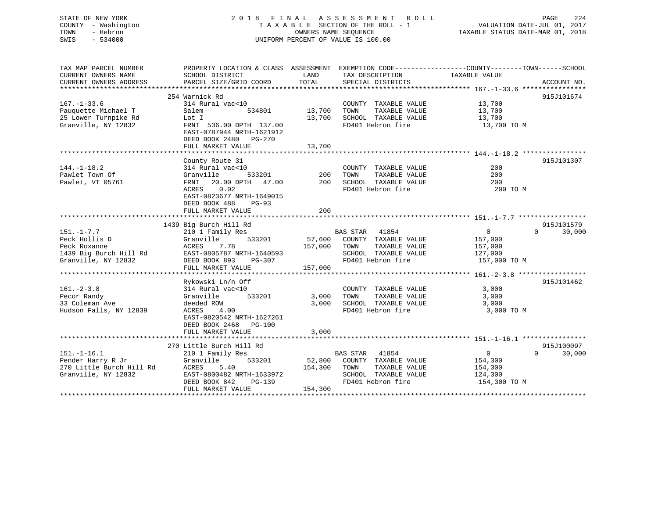STATE OF NEW YORK 2 0 1 8 F I N A L A S S E S S M E N T R O L L PAGE 224 COUNTY - Washington T A X A B L E SECTION OF THE ROLL - 1 VALUATION DATE-JUL 01, 2017 SWIS - 534000 UNIFORM PERCENT OF VALUE IS 100.00

# TOWN - Hebron OWNERS NAME SEQUENCE TAXABLE STATUS DATE-MAR 01, 2018

| TAX MAP PARCEL NUMBER               | PROPERTY LOCATION & CLASS ASSESSMENT EXEMPTION CODE---------------COUNTY-------TOWN-----SCHOOL     |               |                                           |                |                             |
|-------------------------------------|----------------------------------------------------------------------------------------------------|---------------|-------------------------------------------|----------------|-----------------------------|
| CURRENT OWNERS NAME                 | SCHOOL DISTRICT                                                                                    | LAND          | TAX DESCRIPTION                           | TAXABLE VALUE  |                             |
| CURRENT OWNERS ADDRESS              | PARCEL SIZE/GRID COORD                                                                             | TOTAL         | SPECIAL DISTRICTS                         |                | ACCOUNT NO.                 |
|                                     |                                                                                                    |               |                                           |                |                             |
|                                     | 254 Warnick Rd                                                                                     |               |                                           |                | 915J101674                  |
| $167. - 1 - 33.6$                   | 314 Rural vac<10                                                                                   |               | COUNTY TAXABLE VALUE 13,700               |                |                             |
| Pauquette Michael T                 | Salem                                                                                              | 534801 13,700 | TOWN<br>TAXABLE VALUE                     | 13,700         |                             |
| 25 Lower Turnpike Rd                | Lot I                                                                                              |               | 13,700 SCHOOL TAXABLE VALUE               | 13,700         |                             |
| Granville, NY 12832                 | FRNT 536.00 DPTH 137.00<br>EAST-0787944 NRTH-1621912<br>DEED BOOK 2480 PG-270<br>FULL MARKET VALUE | 13,700        | FD401 Hebron fire                         | 13,700 TO M    |                             |
|                                     |                                                                                                    |               |                                           |                |                             |
|                                     |                                                                                                    |               |                                           |                |                             |
|                                     | County Route 31                                                                                    |               |                                           | 200            | 915J101307                  |
| $144. - 1 - 18.2$<br>Pawlet Town Of | 314 Rural vac<10<br>533201<br>Granville                                                            | $200$ TOWN    | COUNTY TAXABLE VALUE<br>TAXABLE VALUE     | 200            |                             |
| Pawlet, VT 05761                    | FRNT                                                                                               |               | 20.00 DPTH 47.00 200 SCHOOL TAXABLE VALUE | 200            |                             |
|                                     | 0.02                                                                                               |               | FD401 Hebron fire                         |                |                             |
|                                     | ACRES<br>EAST-0823677 NRTH-1649015<br>DEED BOOK 488<br>PG-93<br>FULL MARKET VALUE                  | 200           |                                           | 200 TO M       |                             |
|                                     |                                                                                                    |               |                                           |                |                             |
|                                     | 1439 Big Burch Hill Rd                                                                             |               |                                           |                | 915J101579                  |
| $151. - 1 - 7.7$                    | 210 1 Family Res                                                                                   |               | BAS STAR 41854                            | $\overline{0}$ | $0 \qquad \qquad$<br>30,000 |
| Peck Hollis D                       | 533201<br>Granville                                                                                |               | 57,600 COUNTY TAXABLE VALUE               | 157,000        |                             |
| Peck Roxanne                        | 7.78<br>ACRES                                                                                      | 157,000 TOWN  | TAXABLE VALUE                             | 157,000        |                             |
| 1439 Big Burch Hill Rd              | EAST-0805787 NRTH-1640593                                                                          |               | SCHOOL TAXABLE VALUE                      | 127,000        |                             |
| Granville, NY 12832                 | DEED BOOK 893<br>PG-307                                                                            |               | FD401 Hebron fire                         | 157,000 TO M   |                             |
|                                     | FULL MARKET VALUE                                                                                  | 157,000       |                                           |                |                             |
|                                     |                                                                                                    |               |                                           |                |                             |
|                                     | Rykowski Ln/n Off                                                                                  |               |                                           |                | 915J101462                  |
| $161. - 2 - 3.8$                    | 314 Rural vac<10                                                                                   |               | COUNTY TAXABLE VALUE                      | 3,000          |                             |
| Pecor Randy                         | 533201<br>Granville                                                                                |               | 3,000 TOWN<br>TAXABLE VALUE               | 3,000          |                             |
| 33 Coleman Ave                      | deeded ROW                                                                                         |               | 3,000 SCHOOL TAXABLE VALUE                | 3,000          |                             |
| Hudson Falls, NY 12839              | 4.00<br>ACRES                                                                                      |               | FD401 Hebron fire                         | 3,000 TO M     |                             |
|                                     | EAST-0820542 NRTH-1627261<br>DEED BOOK 2468 PG-100<br>FULL MARKET VALUE                            | 3,000         |                                           |                |                             |
|                                     |                                                                                                    |               |                                           |                |                             |
|                                     | 270 Little Burch Hill Rd                                                                           |               |                                           |                | 915J100097                  |
| $151. - 1 - 16.1$                   | 210 1 Family Res                                                                                   |               | BAS STAR 41854                            | $\overline{0}$ | $\Omega$<br>30,000          |
| Pender Harry R Jr                   | 533201<br>Granville                                                                                |               | 52,800 COUNTY TAXABLE VALUE               | 154,300        |                             |
| 270 Little Burch Hill Rd            | ACRES<br>5.40                                                                                      |               | 154,300 TOWN<br>TAXABLE VALUE             | 154,300        |                             |
| Granville, NY 12832                 | EAST-0800482 NRTH-1633972                                                                          |               | SCHOOL TAXABLE VALUE                      | 124,300        |                             |
|                                     | DEED BOOK 842<br>PG-139                                                                            |               | FD401 Hebron fire                         | 154,300 TO M   |                             |
|                                     | FULL MARKET VALUE                                                                                  | 154,300       |                                           |                |                             |
|                                     |                                                                                                    |               |                                           |                |                             |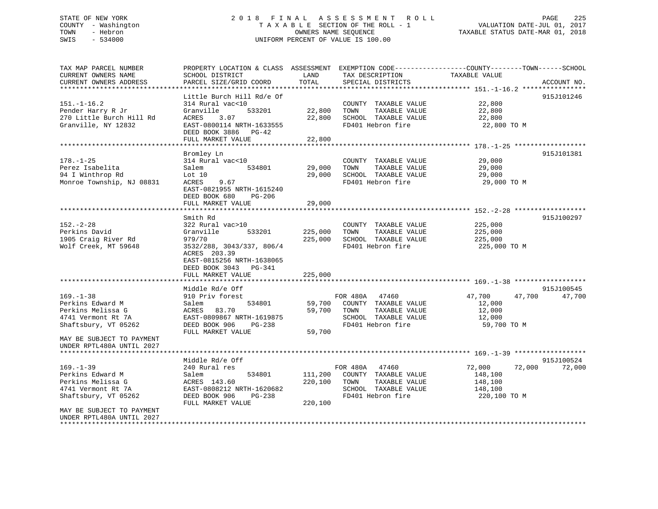## STATE OF NEW YORK 2 0 1 8 F I N A L A S S E S S M E N T R O L L PAGE 225 COUNTY - Washington T A X A B L E SECTION OF THE ROLL - 1 VALUATION DATE-JUL 01, 2017 TOWN - Hebron OWNERS NAME SEQUENCE TAXABLE STATUS DATE-MAR 01, 2018 SWIS - 534000 UNIFORM PERCENT OF VALUE IS 100.00

| TAX MAP PARCEL NUMBER<br>CURRENT OWNERS NAME<br>CURRENT OWNERS ADDRESS                                 | PROPERTY LOCATION & CLASS ASSESSMENT EXEMPTION CODE----------------COUNTY-------TOWN------SCHOOL<br>SCHOOL DISTRICT<br>PARCEL SIZE/GRID COORD                                         | LAND<br>TOTAL                 | TAX DESCRIPTION<br>SPECIAL DISTRICTS                                                                         | TAXABLE VALUE                                                     | ACCOUNT NO. |
|--------------------------------------------------------------------------------------------------------|---------------------------------------------------------------------------------------------------------------------------------------------------------------------------------------|-------------------------------|--------------------------------------------------------------------------------------------------------------|-------------------------------------------------------------------|-------------|
|                                                                                                        |                                                                                                                                                                                       |                               |                                                                                                              |                                                                   |             |
| $151. - 1 - 16.2$<br>Pender Harry R Jr<br>270 Little Burch Hill Rd<br>Granville, NY 12832              | Little Burch Hill Rd/e Of<br>314 Rural vac<10<br>Granville<br>533201<br>ACRES<br>3.07<br>EAST-0800114 NRTH-1633555<br>DEED BOOK 3886 PG-42<br>FULL MARKET VALUE                       | 22,800<br>22,800<br>22,800    | COUNTY TAXABLE VALUE<br>TOWN<br>TAXABLE VALUE<br>SCHOOL TAXABLE VALUE<br>FD401 Hebron fire                   | 22,800<br>22,800<br>22,800<br>22,800 TO M                         | 915J101246  |
|                                                                                                        | ******************************                                                                                                                                                        | ***********                   |                                                                                                              |                                                                   |             |
| $178. - 1 - 25$<br>Perez Isabelita<br>94 I Winthrop Rd<br>Monroe Township, NJ 08831                    | Bromley Ln<br>314 Rural vac<10<br>Salem<br>534801<br>Lot $10$<br>9.67<br>ACRES<br>EAST-0821955 NRTH-1615240<br>DEED BOOK 680<br>$PG-206$<br>FULL MARKET VALUE                         | 29,000<br>29,000<br>29,000    | COUNTY TAXABLE VALUE<br>TOWN<br>TAXABLE VALUE<br>SCHOOL TAXABLE VALUE<br>FD401 Hebron fire                   | 29,000<br>29,000<br>29,000<br>29,000 TO M                         | 915J101381  |
|                                                                                                        |                                                                                                                                                                                       |                               |                                                                                                              |                                                                   |             |
| $152. - 2 - 28$<br>Perkins David<br>1905 Craig River Rd<br>Wolf Creek, MT 59648                        | Smith Rd<br>322 Rural vac>10<br>Granville<br>533201<br>979/70<br>3532/288, 3043/337, 806/4<br>ACRES 203.39<br>EAST-0815256 NRTH-1638065<br>DEED BOOK 3043 PG-341<br>FULL MARKET VALUE | 225,000<br>225,000<br>225,000 | COUNTY TAXABLE VALUE<br>TAXABLE VALUE<br>TOWN<br>SCHOOL TAXABLE VALUE<br>FD401 Hebron fire                   | 225,000<br>225,000<br>225,000<br>225,000 TO M                     | 915J100297  |
|                                                                                                        | Middle Rd/e Off                                                                                                                                                                       |                               |                                                                                                              |                                                                   | 915J100545  |
| $169. - 1 - 38$<br>Perkins Edward M<br>Perkins Melissa G<br>4741 Vermont Rt 7A<br>Shaftsbury, VT 05262 | 910 Priv forest<br>534801<br>Salem<br>ACRES 83.70<br>EAST-0809867 NRTH-1619875<br>DEED BOOK 906<br>PG-238<br>FULL MARKET VALUE                                                        | 59,700<br>59,700<br>59,700    | FOR 480A 47460<br>COUNTY TAXABLE VALUE<br>TOWN<br>TAXABLE VALUE<br>SCHOOL TAXABLE VALUE<br>FD401 Hebron fire | 47,700<br>47,700<br>12,000<br>12,000<br>12,000<br>59,700 TO M     | 47,700      |
| MAY BE SUBJECT TO PAYMENT<br>UNDER RPTL480A UNTIL 2027                                                 |                                                                                                                                                                                       |                               |                                                                                                              |                                                                   |             |
|                                                                                                        | Middle Rd/e Off                                                                                                                                                                       |                               |                                                                                                              |                                                                   | 915J100524  |
| $169. - 1 - 39$<br>Perkins Edward M<br>Perkins Melissa G<br>4741 Vermont Rt 7A<br>Shaftsbury, VT 05262 | 240 Rural res<br>Salem<br>534801<br>ACRES 143.60<br>EAST-0808212 NRTH-1620682<br>DEED BOOK 906<br>PG-238<br>FULL MARKET VALUE                                                         | 111,200<br>220,100<br>220,100 | FOR 480A 47460<br>COUNTY TAXABLE VALUE<br>TOWN<br>TAXABLE VALUE<br>SCHOOL TAXABLE VALUE<br>FD401 Hebron fire | 72,000<br>72,000<br>148,100<br>148,100<br>148,100<br>220,100 TO M | 72,000      |
| MAY BE SUBJECT TO PAYMENT<br>UNDER RPTL480A UNTIL 2027                                                 |                                                                                                                                                                                       |                               |                                                                                                              |                                                                   |             |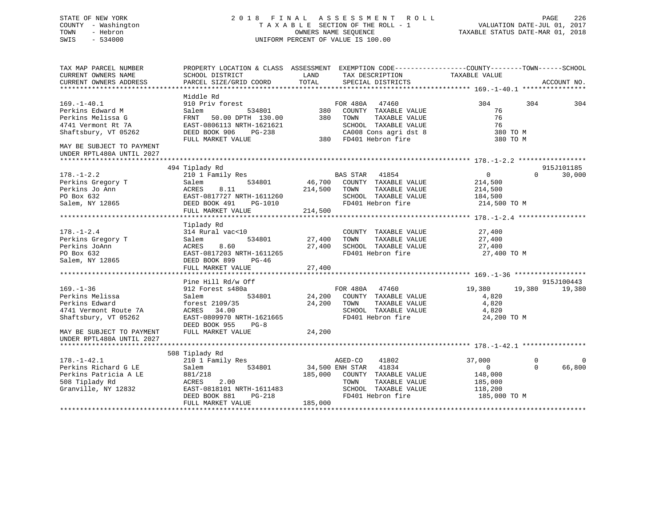## STATE OF NEW YORK 2 0 1 8 F I N A L A S S E S S M E N T R O L L PAGE 226 COUNTY - Washington T A X A B L E SECTION OF THE ROLL - 1 VALUATION DATE-JUL 01, 2017 TOWN - Hebron OWNERS NAME SEQUENCE TAXABLE STATUS DATE-MAR 01, 2018 SWIS - 534000 UNIFORM PERCENT OF VALUE IS 100.00

| TAX MAP PARCEL NUMBER     | PROPERTY LOCATION & CLASS ASSESSMENT EXEMPTION CODE---------------COUNTY-------TOWN-----SCHOOL |         |                             |               |          |             |
|---------------------------|------------------------------------------------------------------------------------------------|---------|-----------------------------|---------------|----------|-------------|
| CURRENT OWNERS NAME       | SCHOOL DISTRICT                                                                                | LAND    | TAX DESCRIPTION             | TAXABLE VALUE |          |             |
| CURRENT OWNERS ADDRESS    | PARCEL SIZE/GRID COORD                                                                         | TOTAL   | SPECIAL DISTRICTS           |               |          | ACCOUNT NO. |
|                           |                                                                                                |         |                             |               |          |             |
|                           | Middle Rd                                                                                      |         |                             | 304           | 304      |             |
| $169. - 1 - 40.1$         | 910 Priv forest                                                                                |         | FOR 480A 47460              |               |          | 304         |
| Perkins Edward M          | 534801<br>Salem                                                                                |         | 380 COUNTY TAXABLE VALUE    | 76<br>76      |          |             |
| Perkins Melissa G         | FRNT 50.00 DPTH 130.00                                                                         |         | 380 TOWN<br>TAXABLE VALUE   |               |          |             |
| 4741 Vermont Rt 7A        | EAST-0806113 NRTH-1621621                                                                      |         | SCHOOL TAXABLE VALUE        | 76            |          |             |
| Shaftsbury, VT 05262      | DEED BOOK 906<br>PG-238                                                                        |         | CA008 Cons agri dst 8       | 380 TO M      |          |             |
|                           | FULL MARKET VALUE                                                                              |         | 380 FD401 Hebron fire       | 380 TO M      |          |             |
| MAY BE SUBJECT TO PAYMENT |                                                                                                |         |                             |               |          |             |
| UNDER RPTL480A UNTIL 2027 |                                                                                                |         |                             |               |          |             |
|                           |                                                                                                |         |                             |               |          |             |
|                           | 494 Tiplady Rd                                                                                 |         |                             |               |          | 915J101185  |
| $178. - 1 - 2.2$          | 210 1 Family Res                                                                               |         | BAS STAR 41854              | $\Omega$      | $\Omega$ | 30,000      |
| Perkins Gregory T         | 534801<br>Salem                                                                                |         | 46,700 COUNTY TAXABLE VALUE | 214,500       |          |             |
| Perkins Jo Ann            | ACRES<br>8.11                                                                                  | 214,500 | TOWN<br>TAXABLE VALUE       | 214,500       |          |             |
| PO Box 632                | EAST-0817727 NRTH-1611260                                                                      |         | SCHOOL TAXABLE VALUE        | 184,500       |          |             |
| Salem, NY 12865           | DEED BOOK 491<br>PG-1010                                                                       |         | FD401 Hebron fire           | 214,500 TO M  |          |             |
|                           | FULL MARKET VALUE                                                                              | 214,500 |                             |               |          |             |
|                           |                                                                                                |         |                             |               |          |             |
|                           | Tiplady Rd                                                                                     |         |                             |               |          |             |
| $178. - 1 - 2.4$          | 314 Rural vac<10                                                                               |         | COUNTY TAXABLE VALUE        | 27,400        |          |             |
| Perkins Gregory T         | Salem<br>534801                                                                                | 27,400  | TAXABLE VALUE<br>TOWN       | 27,400        |          |             |
| Perkins JoAnn             | ACRES<br>8.60                                                                                  | 27,400  | SCHOOL TAXABLE VALUE        | 27,400        |          |             |
| PO Box 632                | EAST-0817203 NRTH-1611265                                                                      |         | FD401 Hebron fire           | 27,400 TO M   |          |             |
| Salem, NY 12865           | DEED BOOK 899<br>$PG-46$                                                                       |         |                             |               |          |             |
|                           | FULL MARKET VALUE                                                                              | 27,400  |                             |               |          |             |
|                           |                                                                                                |         |                             |               |          |             |
|                           | Pine Hill Rd/w Off                                                                             |         |                             |               |          | 915J100443  |
| $169. - 1 - 36$           | 912 Forest s480a                                                                               |         | FOR 480A 47460              | 19,380        | 19,380   | 19,380      |
| Perkins Melissa           | 534801<br>Salem                                                                                |         | 24,200 COUNTY TAXABLE VALUE | 4,820         |          |             |
| Perkins Edward            | forest 2109/35                                                                                 | 24,200  | TAXABLE VALUE<br>TOWN       | 4,820         |          |             |
| 4741 Vermont Route 7A     | ACRES 34.00                                                                                    |         | SCHOOL TAXABLE VALUE        | 4,820         |          |             |
| Shaftsbury, VT 05262      | EAST-0809970 NRTH-1621665                                                                      |         | FD401 Hebron fire           | 24,200 TO M   |          |             |
|                           | DEED BOOK 955<br>$PG-8$                                                                        |         |                             |               |          |             |
|                           |                                                                                                | 24,200  |                             |               |          |             |
| MAY BE SUBJECT TO PAYMENT | FULL MARKET VALUE                                                                              |         |                             |               |          |             |
| UNDER RPTL480A UNTIL 2027 |                                                                                                |         |                             |               |          |             |
|                           |                                                                                                |         |                             |               |          |             |
|                           | 508 Tiplady Rd                                                                                 |         |                             |               |          |             |
| $178. - 1 - 42.1$         | 210 1 Family Res                                                                               |         | AGED-CO<br>41802            | 37,000        | $\Omega$ | $\Omega$    |
| Perkins Richard G LE      | 534801<br>Salem                                                                                |         | 34,500 ENH STAR 41834       | $\Omega$      | $\Omega$ | 66,800      |
| Perkins Patricia A LE     | 881/218                                                                                        | 185,000 | COUNTY TAXABLE VALUE        | 148,000       |          |             |
| 508 Tiplady Rd            | 2.00<br>ACRES                                                                                  |         | TAXABLE VALUE<br>TOWN       | 185,000       |          |             |
| Granville, NY 12832       | EAST-0818101 NRTH-1611483                                                                      |         | SCHOOL TAXABLE VALUE        | 118,200       |          |             |
|                           | PG-218<br>DEED BOOK 881                                                                        |         | FD401 Hebron fire           | 185,000 TO M  |          |             |
|                           | FULL MARKET VALUE                                                                              | 185,000 |                             |               |          |             |
|                           |                                                                                                |         |                             |               |          |             |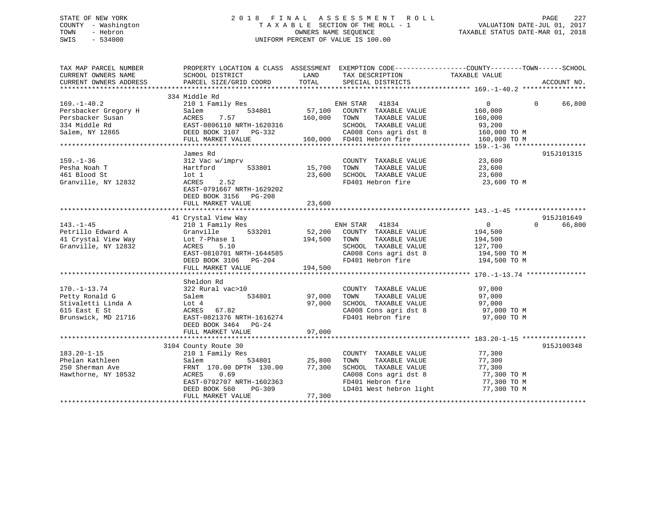## STATE OF NEW YORK 2 0 1 8 F I N A L A S S E S S M E N T R O L L PAGE 227 COUNTY - Washington T A X A B L E SECTION OF THE ROLL - 1 VALUATION DATE-JUL 01, 2017 TOWN - Hebron OWNERS NAME SEQUENCE TAXABLE STATUS DATE-MAR 01, 2018 SWIS - 534000 UNIFORM PERCENT OF VALUE IS 100.00

| TAX MAP PARCEL NUMBER<br>CURRENT OWNERS NAME                                                       | PROPERTY LOCATION & CLASS ASSESSMENT EXEMPTION CODE---------------COUNTY-------TOWN-----SCHOOL<br>SCHOOL DISTRICT                                                                                                                               | LAND                         | TAX DESCRIPTION                                                                                                                                | TAXABLE VALUE                                                             |                                  |
|----------------------------------------------------------------------------------------------------|-------------------------------------------------------------------------------------------------------------------------------------------------------------------------------------------------------------------------------------------------|------------------------------|------------------------------------------------------------------------------------------------------------------------------------------------|---------------------------------------------------------------------------|----------------------------------|
| CURRENT OWNERS ADDRESS                                                                             | PARCEL SIZE/GRID COORD                                                                                                                                                                                                                          | TOTAL                        | SPECIAL DISTRICTS                                                                                                                              |                                                                           | ACCOUNT NO.                      |
|                                                                                                    | 334 Middle Rd                                                                                                                                                                                                                                   |                              |                                                                                                                                                |                                                                           |                                  |
| $169. - 1 - 40.2$<br>Persbacker Gregory H<br>Persbacker Susan                                      | 210 1 Family Res<br>534801<br>Salem                                                                                                                                                                                                             | 57,100                       | ENH STAR 41834<br>COUNTY TAXABLE VALUE                                                                                                         | $\overline{0}$<br>160,000<br>160,000                                      | $\Omega$<br>66,800               |
| 334 Middle Rd<br>Salem, NY 12865                                                                   | ACRES 7.57<br>EAST-0806110 NRTH-1620316 SCHOOL TAXABLE VALUE<br>DEED BOOK 3107 PG-332 (2008 Cons agri dst 8<br>FULL MARKET VALUE 160,000 FD401 Hebron fire                                                                                      |                              | CA008 Cons agri dst 8 160,000 TO M                                                                                                             | 93,200<br>160,000 TO M                                                    |                                  |
|                                                                                                    |                                                                                                                                                                                                                                                 |                              |                                                                                                                                                |                                                                           |                                  |
| $159. - 1 - 36$<br>Pesha Noah T<br>461 Blood St<br>Granville, NY 12832                             | James Rd<br>312 Vac w/imprv<br>Hartford<br>533801<br>$1$ ot $1$<br>2.52<br>ACRES<br>EAST-0791667 NRTH-1629202<br>DEED BOOK 3156 PG-208                                                                                                          | 15,700<br>23,600             | COUNTY TAXABLE VALUE<br>TAXABLE VALUE<br>TOWN<br>SCHOOL TAXABLE VALUE<br>FD401 Hebron fire                                                     | 23,600<br>23,600<br>23,600<br>23,600 TO M                                 | 915J101315                       |
|                                                                                                    |                                                                                                                                                                                                                                                 |                              |                                                                                                                                                |                                                                           |                                  |
| $143. - 1 - 45$<br>Petrillo Edward A<br>41 Crystal View Way<br>Granville, NY 12832                 | 41 Crystal View Way<br>210 1 Family Res<br>533201<br>Granville<br>Lot 7-Phase 1<br>ACRES<br>5.10<br>EAST-0810701 NRTH-1644585<br>DEED BOOK 2106<br>EAST-0810701 NRTH-1644585<br>DEED BOOK 3106 PG-204<br>FULL MARKET VALUE<br>FULL MARKET VALUE | 52,200<br>194,500<br>194,500 | ENH STAR 41834<br>COUNTY TAXABLE VALUE<br>TAXABLE VALUE<br>TOWN<br>SCHOOL TAXABLE VALUE<br>CA008 Cons agri dst 8<br>En401 Hebron fire          | $\Omega$<br>194,500<br>194,500<br>127,700<br>194,500 TO M<br>194,500 TO M | 915J101649<br>66,800<br>$\Omega$ |
|                                                                                                    | Sheldon Rd                                                                                                                                                                                                                                      |                              |                                                                                                                                                |                                                                           |                                  |
| $170. - 1 - 13.74$<br>Petty Ronald G<br>Stivaletti Linda A<br>615 East E St<br>Brunswick, MD 21716 | 322 Rural vac>10<br>Salem<br>534801<br>Lot 4<br>ACRES 67.82<br>EAST-0821376 NRTH-1616274<br>DEED BOOK 3464 PG-24                                                                                                                                | 97,000<br>97,000             | COUNTY TAXABLE VALUE<br>TOWN<br>TAXABLE VALUE<br>SCHOOL TAXABLE VALUE<br>CA008 Cons agri dst 8<br>FD401 Hebron fire                            | 97,000<br>97,000<br>97,000<br>97,000 TO M<br>97,000 TO M                  |                                  |
|                                                                                                    | FULL MARKET VALUE                                                                                                                                                                                                                               | 97,000                       |                                                                                                                                                |                                                                           |                                  |
|                                                                                                    | 3104 County Route 30                                                                                                                                                                                                                            |                              |                                                                                                                                                |                                                                           | 915J100348                       |
| $183.20 - 1 - 15$<br>Phelan Kathleen<br>250 Sherman Ave<br>Hawthorne, NY 10532                     | 210 1 Family Res<br>534801<br>Salem<br>FRNT 170.00 DPTH 130.00<br>0.69<br>ACRES<br>EAST-0792707 NRTH-1602363<br>DEED BOOK 560<br>PG-309<br>FULL MARKET VALUE                                                                                    | 25,800<br>77,300<br>77,300   | COUNTY TAXABLE VALUE<br>TOWN<br>TAXABLE VALUE<br>SCHOOL TAXABLE VALUE<br>CA008 Cons agri dst 8<br>FD401 Hebron fire<br>LD401 West hebron light | 77,300<br>77,300<br>77,300<br>77,300 TO M<br>77,300 TO M<br>77,300 TO M   |                                  |
|                                                                                                    |                                                                                                                                                                                                                                                 |                              |                                                                                                                                                |                                                                           |                                  |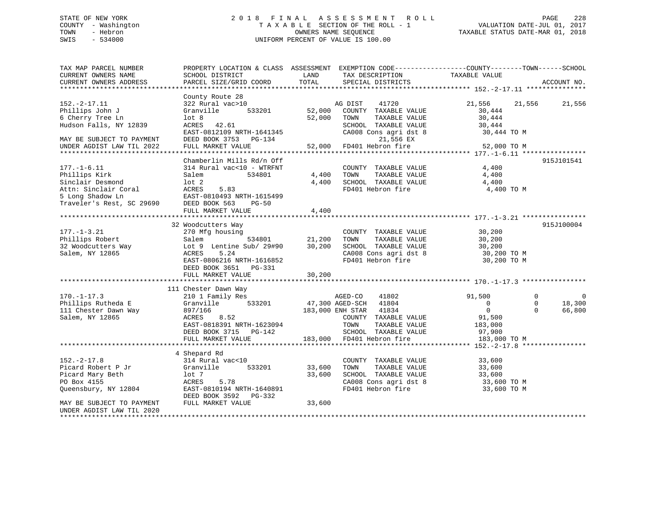## STATE OF NEW YORK 2 0 1 8 F I N A L A S S E S S M E N T R O L L PAGE 228 COUNTY - Washington T A X A B L E SECTION OF THE ROLL - 1 VALUATION DATE-JUL 01, 2017 TOWN - Hebron OWNERS NAME SEQUENCE TAXABLE STATUS DATE-MAR 01, 2018 SWIS - 534000 UNIFORM PERCENT OF VALUE IS 100.00

TAX MAP PARCEL NUMBER PROPERTY LOCATION & CLASS ASSESSMENT EXEMPTION CODE------------------COUNTY--------TOWN------SCHOOL CURRENT OWNERS NAME SCHOOL DISTRICT LAND TAX DESCRIPTION TAXABLE VALUE CURRENT OWNERS ADDRESS PARCEL SIZE/GRID COORD TOTAL SPECIAL DISTRICTS ACCOUNT NO. \*\*\*\*\*\*\*\*\*\*\*\*\*\*\*\*\*\*\*\*\*\*\*\*\*\*\*\*\*\*\*\*\*\*\*\*\*\*\*\*\*\*\*\*\*\*\*\*\*\*\*\*\*\*\*\*\*\*\*\*\*\*\*\*\*\*\*\*\*\*\*\*\*\*\*\*\*\*\*\*\*\*\*\*\*\*\*\*\*\*\*\*\*\*\*\*\*\*\*\*\*\*\* 152.-2-17.11 \*\*\*\*\*\*\*\*\*\*\*\*\*\*\* County Route 28 152.-2-17.11 322 Rural vac>10 AG DIST 41720 21,556 21,556 21,556 Phillips John J Granville 533201 52,000 COUNTY TAXABLE VALUE 30,444 6 Cherry Tree Ln lot 8 52,000 TOWN TAXABLE VALUE 30,444 Hudson Falls, NY 12839 ACRES 42.61 SCHOOL TAXABLE VALUE 30,444 EAST-0812109 NRTH-1641345 CA008 Cons agri dst 8 30,444 TO M MAY BE SUBJECT TO PAYMENT DEED BOOK 3753 PG-134 21,556 EX UNDER AGDIST LAW TIL 2022 FULL MARKET VALUE 52,000 FD401 Hebron fire 52,000 TO M \*\*\*\*\*\*\*\*\*\*\*\*\*\*\*\*\*\*\*\*\*\*\*\*\*\*\*\*\*\*\*\*\*\*\*\*\*\*\*\*\*\*\*\*\*\*\*\*\*\*\*\*\*\*\*\*\*\*\*\*\*\*\*\*\*\*\*\*\*\*\*\*\*\*\*\*\*\*\*\*\*\*\*\*\*\*\*\*\*\*\*\*\*\*\*\*\*\*\*\*\*\*\* 177.-1-6.11 \*\*\*\*\*\*\*\*\*\*\*\*\*\*\*\* Chamberlin Mills Rd/n Off 915J101541 177.-1-6.11 314 Rural vac<10 - WTRFNT COUNTY TAXABLE VALUE 4,400 Phillips Kirk Salem 534801 4,400 TOWN TAXABLE VALUE 4,400 Sinclair Desmond lot 2 4,400 SCHOOL TAXABLE VALUE 4,400 Attn: Sinclair Coral ACRES 5.83 FD401 Hebron fire 4,400 TO M Example 10 External Corrections of the Same Correction of the Same Correction of the Shadow Ln EAST-0810493 NRTH-1615499<br>
Traveler's Rest of 206000 Fraction of the Correction of the Correction of the Correction of the Corr Traveler's Rest, SC 29690 DEED BOOK 563 PG-50 FULL MARKET VALUE 4,400 \*\*\*\*\*\*\*\*\*\*\*\*\*\*\*\*\*\*\*\*\*\*\*\*\*\*\*\*\*\*\*\*\*\*\*\*\*\*\*\*\*\*\*\*\*\*\*\*\*\*\*\*\*\*\*\*\*\*\*\*\*\*\*\*\*\*\*\*\*\*\*\*\*\*\*\*\*\*\*\*\*\*\*\*\*\*\*\*\*\*\*\*\*\*\*\*\*\*\*\*\*\*\* 177.-1-3.21 \*\*\*\*\*\*\*\*\*\*\*\*\*\*\*\* 32 Woodcutters Way 915J100004 177.-1-3.21 270 Mfg housing COUNTY TAXABLE VALUE 30,200 Phillips Robert Salem 534801 21,200 TOWN TAXABLE VALUE 30,200 32 Woodcutters Way Lot 9 Lentine Sub/ 29#90 30,200 SCHOOL TAXABLE VALUE 30,200 Salem, NY 12865 ACRES 5.24 CA008 Cons agri dst 8 30,200 TO M EAST-0806216 NRTH-1616852 FD401 Hebron fire 30,200 TO M DEED BOOK 3651 PG-331 FULL MARKET VALUE 30,200 \*\*\*\*\*\*\*\*\*\*\*\*\*\*\*\*\*\*\*\*\*\*\*\*\*\*\*\*\*\*\*\*\*\*\*\*\*\*\*\*\*\*\*\*\*\*\*\*\*\*\*\*\*\*\*\*\*\*\*\*\*\*\*\*\*\*\*\*\*\*\*\*\*\*\*\*\*\*\*\*\*\*\*\*\*\*\*\*\*\*\*\*\*\*\*\*\*\*\*\*\*\*\* 170.-1-17.3 \*\*\*\*\*\*\*\*\*\*\*\*\*\*\*\* 111 Chester Dawn Way 170.-1-17.3 210 1 Family Res AGED-CO 41802 91,500 0 0 Phillips Rutheda E Granville 533201 47,300 AGED-SCH 41804 0 0 18,300 111 Chester Dawn Way 897/166 183,000 ENH STAR 41834 0 0 66,800 Salem, NY 12865 ACRES 8.52 COUNTY TAXABLE VALUE 91,500 EAST-0818391 NRTH-1623094 TOWN TAXABLE VALUE 183,000 DEED BOOK 3715 PG-142 SCHOOL TAXABLE VALUE 97,900 EAST-0818391 NRTH-1623094<br>
DEED BOOK 3715 PG-142 SCHOOL TAXABLE VALUE 183,000 TO M<br>
FULL MARKET VALUE 183,000 FD401 Hebron fire 183,000 TO M \*\*\*\*\*\*\*\*\*\*\*\*\*\*\*\*\*\*\*\*\*\*\*\*\*\*\*\*\*\*\*\*\*\*\*\*\*\*\*\*\*\*\*\*\*\*\*\*\*\*\*\*\*\*\*\*\*\*\*\*\*\*\*\*\*\*\*\*\*\*\*\*\*\*\*\*\*\*\*\*\*\*\*\*\*\*\*\*\*\*\*\*\*\*\*\*\*\*\*\*\*\*\* 152.-2-17.8 \*\*\*\*\*\*\*\*\*\*\*\*\*\*\*\* 4 Shepard Rd 152.-2-17.8 314 Rural vac<10 COUNTY TAXABLE VALUE 33,600 Picard Robert P Jr Granville 533201 33,600 TOWN TAXABLE VALUE 33,600 Picard Mary Beth lot 7 33,600 SCHOOL TAXABLE VALUE 33,600 PO Box 4155 ACRES 5.78 CA008 Cons agri dst 8 33,600 TO M Queensbury, NY 12804 **EAST-0810194 NRTH-1640891** FD401 Hebron fire 33,600 TO M DEED BOOK 3592 PG-332MAY BE SUBJECT TO PAYMENT FULL MARKET VALUE 33,600 UNDER AGDIST LAW TIL 2020\*\*\*\*\*\*\*\*\*\*\*\*\*\*\*\*\*\*\*\*\*\*\*\*\*\*\*\*\*\*\*\*\*\*\*\*\*\*\*\*\*\*\*\*\*\*\*\*\*\*\*\*\*\*\*\*\*\*\*\*\*\*\*\*\*\*\*\*\*\*\*\*\*\*\*\*\*\*\*\*\*\*\*\*\*\*\*\*\*\*\*\*\*\*\*\*\*\*\*\*\*\*\*\*\*\*\*\*\*\*\*\*\*\*\*\*\*\*\*\*\*\*\*\*\*\*\*\*\*\*\*\*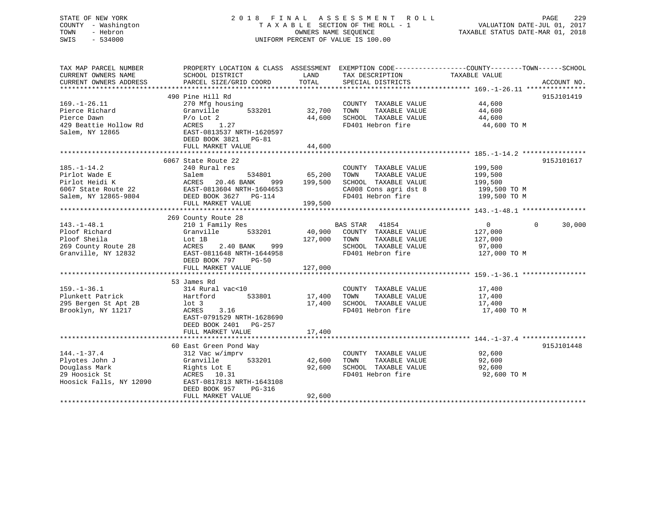## STATE OF NEW YORK 2 0 1 8 F I N A L A S S E S S M E N T R O L L PAGE 229 COUNTY - Washington T A X A B L E SECTION OF THE ROLL - 1 VALUATION DATE-JUL 01, 2017 TOWN - Hebron OWNERS NAME SEQUENCE TAXABLE STATUS DATE-MAR 01, 2018 SWIS - 534000 UNIFORM PERCENT OF VALUE IS 100.00

| TAX MAP PARCEL NUMBER<br>CURRENT OWNERS NAME<br>CURRENT OWNERS ADDRESS                              | PROPERTY LOCATION & CLASS ASSESSMENT<br>SCHOOL DISTRICT<br>PARCEL SIZE/GRID COORD                                                                                                                                | LAND<br>TOTAL                | TAX DESCRIPTION<br>SPECIAL DISTRICTS                                                                                | EXEMPTION CODE----------------COUNTY-------TOWN------SCHOOL<br>TAXABLE VALUE<br>ACCOUNT NO. |
|-----------------------------------------------------------------------------------------------------|------------------------------------------------------------------------------------------------------------------------------------------------------------------------------------------------------------------|------------------------------|---------------------------------------------------------------------------------------------------------------------|---------------------------------------------------------------------------------------------|
| $169. - 1 - 26.11$<br>Pierce Richard<br>Pierce Dawn<br>429 Beattie Hollow Rd<br>Salem, NY 12865     | 490 Pine Hill Rd<br>270 Mfg housing<br>533201<br>Granville<br>$P/O$ Lot $2$<br>ACRES<br>1.27<br>EAST-0813537 NRTH-1620597<br>DEED BOOK 3821<br>$PG-81$<br>FULL MARKET VALUE                                      | 32,700<br>44,600<br>44,600   | COUNTY TAXABLE VALUE<br>TAXABLE VALUE<br>TOWN<br>SCHOOL TAXABLE VALUE<br>FD401 Hebron fire                          | 915J101419<br>44,600<br>44,600<br>44,600<br>44,600 TO M                                     |
| $185. - 1 - 14.2$<br>Pirlot Wade E<br>Pirlot Heidi K<br>6067 State Route 22<br>Salem, NY 12865-9804 | 6067 State Route 22<br>240 Rural res<br>Salem<br>534801<br>ACRES<br>20.46 BANK<br>999<br>EAST-0813604 NRTH-1604653<br>DEED BOOK 3627 PG-114<br>FULL MARKET VALUE                                                 | 65,200<br>199,500<br>199,500 | COUNTY TAXABLE VALUE<br>TAXABLE VALUE<br>TOWN<br>SCHOOL TAXABLE VALUE<br>CA008 Cons agri dst 8<br>FD401 Hebron fire | 915J101617<br>199,500<br>199,500<br>199,500<br>199,500 TO M<br>199,500 TO M                 |
| $143. - 1 - 48.1$<br>Ploof Richard<br>Ploof Sheila<br>269 County Route 28<br>Granville, NY 12832    | 269 County Route 28<br>210 1 Family Res<br>Granville<br>533201<br>Lot 1B<br>999<br>ACRES<br>2.40 BANK<br>EAST-0811648 NRTH-1644958<br>DEED BOOK 797<br>$PG-50$<br>FULL MARKET VALUE                              | 40,900<br>127,000<br>127,000 | BAS STAR<br>41854<br>COUNTY TAXABLE VALUE<br>TOWN<br>TAXABLE VALUE<br>SCHOOL TAXABLE VALUE<br>FD401 Hebron fire     | $\overline{0}$<br>0<br>30,000<br>127,000<br>127,000<br>97,000<br>127,000 TO M               |
| $159. - 1 - 36.1$<br>Plunkett Patrick<br>295 Bergen St Apt 2B<br>Brooklyn, NY 11217                 | 53 James Rd<br>314 Rural vac<10<br>533801<br>Hartford<br>$1$ ot 3<br>3.16<br>ACRES<br>EAST-0791529 NRTH-1628690<br>DEED BOOK 2401<br>PG-257<br>FULL MARKET VALUE                                                 | 17,400<br>17,400<br>17,400   | COUNTY TAXABLE VALUE<br>TAXABLE VALUE<br>TOWN<br>SCHOOL TAXABLE VALUE<br>FD401 Hebron fire                          | 17,400<br>17,400<br>17,400<br>17,400 TO M                                                   |
| $144. - 1 - 37.4$<br>Plyotes John J<br>Douglass Mark<br>29 Hoosick St<br>Hoosick Falls, NY 12090    | 60 East Green Pond Way<br>312 Vac w/imprv<br>Granville<br>533201<br>Rights Lot E<br>ACRES 10.31<br>EAST-0817813 NRTH-1643108<br>DEED BOOK 957<br>$PG-316$<br>FULL MARKET VALUE<br>****************************** | 42,600<br>92,600<br>92,600   | COUNTY TAXABLE VALUE<br>TAXABLE VALUE<br>TOWN<br>SCHOOL TAXABLE VALUE<br>FD401 Hebron fire                          | 915J101448<br>92,600<br>92,600<br>92,600<br>92,600 TO M                                     |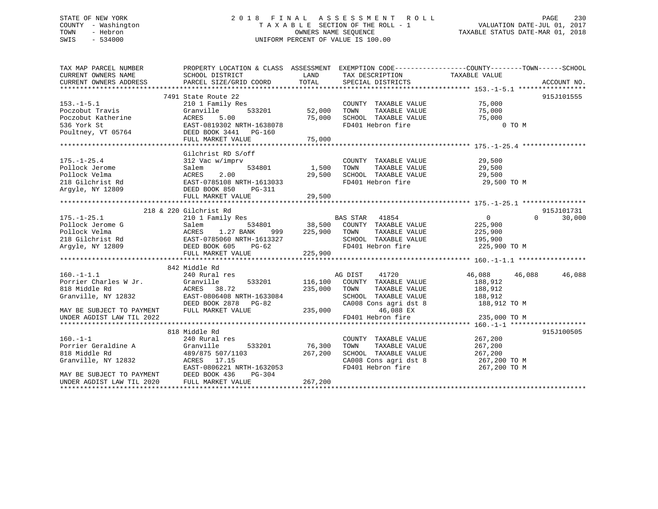## STATE OF NEW YORK 2 0 1 8 F I N A L A S S E S S M E N T R O L L PAGE 230 COUNTY - Washington T A X A B L E SECTION OF THE ROLL - 1 VALUATION DATE-JUL 01, 2017 TOWN - Hebron **CONNERS NAME SEQUENCE** TAXABLE STATUS DATE-MAR 01, 2018 SWIS - 534000 UNIFORM PERCENT OF VALUE IS 100.00

| TAX MAP PARCEL NUMBER                                                                                                                                                                                                                                                                                                                                                  | PROPERTY LOCATION & CLASS ASSESSMENT EXEMPTION CODE-----------------COUNTY-------TOWN------SCHOOL |                                                                                                                                       |              |                          |
|------------------------------------------------------------------------------------------------------------------------------------------------------------------------------------------------------------------------------------------------------------------------------------------------------------------------------------------------------------------------|---------------------------------------------------------------------------------------------------|---------------------------------------------------------------------------------------------------------------------------------------|--------------|--------------------------|
| CURRENT OWNERS NAME                                                                                                                                                                                                                                                                                                                                                    | SCHOOL DISTRICT<br>LAND                                                                           | TAX DESCRIPTION TAXABLE VALUE                                                                                                         |              |                          |
|                                                                                                                                                                                                                                                                                                                                                                        |                                                                                                   |                                                                                                                                       |              |                          |
|                                                                                                                                                                                                                                                                                                                                                                        |                                                                                                   |                                                                                                                                       |              |                          |
|                                                                                                                                                                                                                                                                                                                                                                        | 7491 State Route 22                                                                               |                                                                                                                                       |              | 915J101555               |
| $153. - 1 - 5.1$                                                                                                                                                                                                                                                                                                                                                       |                                                                                                   | COUNTY TAXABLE VALUE 75,000                                                                                                           |              |                          |
|                                                                                                                                                                                                                                                                                                                                                                        |                                                                                                   |                                                                                                                                       |              |                          |
|                                                                                                                                                                                                                                                                                                                                                                        |                                                                                                   |                                                                                                                                       |              |                          |
|                                                                                                                                                                                                                                                                                                                                                                        |                                                                                                   |                                                                                                                                       | 0 TO M       |                          |
|                                                                                                                                                                                                                                                                                                                                                                        |                                                                                                   |                                                                                                                                       |              |                          |
|                                                                                                                                                                                                                                                                                                                                                                        |                                                                                                   |                                                                                                                                       |              |                          |
| $\begin{array}{lllllllllllll} 153.-1-5.1 & \mbox{\sc210} & \mbox{\sc210} & \mbox{\sc210} & \mbox{\sc210} & \mbox{\sc210} & \mbox{\sc210} & \mbox{\sc210} & \mbox{\sc210} & \mbox{\sc210} & \mbox{\sc210} & \mbox{\sc210} & \mbox{\sc210} & \mbox{\sc210} & \mbox{\sc210} & \mbox{\sc210} & \mbox{\sc210} & \mbox{\sc210} & \mbox{\sc210} & \mbox{\sc210} & \mbox{\sc2$ |                                                                                                   |                                                                                                                                       |              |                          |
|                                                                                                                                                                                                                                                                                                                                                                        | Gilchrist RD S/off                                                                                |                                                                                                                                       |              |                          |
|                                                                                                                                                                                                                                                                                                                                                                        |                                                                                                   |                                                                                                                                       |              |                          |
|                                                                                                                                                                                                                                                                                                                                                                        |                                                                                                   |                                                                                                                                       |              |                          |
|                                                                                                                                                                                                                                                                                                                                                                        |                                                                                                   |                                                                                                                                       |              |                          |
|                                                                                                                                                                                                                                                                                                                                                                        |                                                                                                   |                                                                                                                                       | 29,500 TO M  |                          |
|                                                                                                                                                                                                                                                                                                                                                                        |                                                                                                   |                                                                                                                                       |              |                          |
| 175.-1-25.4<br>Pollock Jerome 312 Wac w/imprv<br>Pollock Jerome 534801<br>Pollock Velma ACRES 2.00<br>218 Gilchrist Rd EAST-0785108 NRTH-1613033<br>Argyle, NY 12809 DEED BOOK 850 PG-311<br>POLL MARKET VALUE 29,500<br>TOMN TAXABLE VALUE                                                                                                                            |                                                                                                   |                                                                                                                                       |              |                          |
|                                                                                                                                                                                                                                                                                                                                                                        |                                                                                                   |                                                                                                                                       |              |                          |
|                                                                                                                                                                                                                                                                                                                                                                        | 218 & 220 Gilchrist Rd                                                                            |                                                                                                                                       |              | 915J101731               |
|                                                                                                                                                                                                                                                                                                                                                                        |                                                                                                   | VAS STAR 41854<br>COUNTY TAXABLE VALUE 225,900<br>TOWN TAXABLE VALUE 225,900<br>SCHOOL TAXABLE VALUE 195,900<br>FD401 Hebron fire 335 |              | $\overline{0}$<br>30,000 |
|                                                                                                                                                                                                                                                                                                                                                                        |                                                                                                   |                                                                                                                                       |              |                          |
|                                                                                                                                                                                                                                                                                                                                                                        |                                                                                                   |                                                                                                                                       |              |                          |
|                                                                                                                                                                                                                                                                                                                                                                        |                                                                                                   |                                                                                                                                       |              |                          |
|                                                                                                                                                                                                                                                                                                                                                                        |                                                                                                   | FD401 Hebron fire                                                                                                                     | 225,900 TO M |                          |
|                                                                                                                                                                                                                                                                                                                                                                        |                                                                                                   |                                                                                                                                       |              |                          |
|                                                                                                                                                                                                                                                                                                                                                                        |                                                                                                   |                                                                                                                                       |              |                          |
|                                                                                                                                                                                                                                                                                                                                                                        | 842 Middle Rd                                                                                     |                                                                                                                                       |              |                          |
| 342 Middle Rd<br>Porrier Charles W Jr.<br>2008 Middle Rd<br>36.912 (Granville, NY 12832 EAST-0806408 NRTH-1633084 (235,000 TOWN TAXABLE VALUE 188,912<br>36.912 EAST-0806408 NRTH-1633084 (235,000 TOWN TAXABLE VALUE 188,912<br>36.912                                                                                                                                |                                                                                                   |                                                                                                                                       |              |                          |
|                                                                                                                                                                                                                                                                                                                                                                        |                                                                                                   |                                                                                                                                       |              |                          |
|                                                                                                                                                                                                                                                                                                                                                                        |                                                                                                   |                                                                                                                                       |              |                          |
|                                                                                                                                                                                                                                                                                                                                                                        |                                                                                                   |                                                                                                                                       |              |                          |
|                                                                                                                                                                                                                                                                                                                                                                        |                                                                                                   |                                                                                                                                       | 188,912 TO M |                          |
|                                                                                                                                                                                                                                                                                                                                                                        |                                                                                                   |                                                                                                                                       |              |                          |
| UNDER AGDIST LAW TIL 2022                                                                                                                                                                                                                                                                                                                                              |                                                                                                   | FD401 Hebron fire                                                                                                                     | 235,000 TO M |                          |
|                                                                                                                                                                                                                                                                                                                                                                        |                                                                                                   |                                                                                                                                       |              |                          |
|                                                                                                                                                                                                                                                                                                                                                                        | 818 Middle Rd                                                                                     |                                                                                                                                       |              | 915J100505               |
|                                                                                                                                                                                                                                                                                                                                                                        |                                                                                                   |                                                                                                                                       |              |                          |
|                                                                                                                                                                                                                                                                                                                                                                        |                                                                                                   |                                                                                                                                       |              |                          |
| 160.-1-1<br>Porrier Geraldine A 3489/875 507/1103 76,300<br>818 Middle Rd 489/875 507/1103 267,200<br>Granville, NY 12832 ACRES 17.15<br>MAY BE SUBJECT TO PAYMENT DEED BOOK 436 PG-304<br>UNDER AGDIST LAW TIL 2020 FULL MARKET VALUE .                                                                                                                               |                                                                                                   | COUNTY TAXABLE VALUE $267, 200$<br>TOWN TAXABLE VALUE $267, 200$<br>SCHOOL TAXABLE VALUE $267, 200$                                   |              |                          |
|                                                                                                                                                                                                                                                                                                                                                                        |                                                                                                   | CA008 Cons agri dst 8 267,200 TO M<br>FD401 Hebron fire 267,200 TO M                                                                  |              |                          |
|                                                                                                                                                                                                                                                                                                                                                                        |                                                                                                   |                                                                                                                                       |              |                          |
|                                                                                                                                                                                                                                                                                                                                                                        |                                                                                                   |                                                                                                                                       |              |                          |
|                                                                                                                                                                                                                                                                                                                                                                        |                                                                                                   |                                                                                                                                       |              |                          |
|                                                                                                                                                                                                                                                                                                                                                                        |                                                                                                   |                                                                                                                                       |              |                          |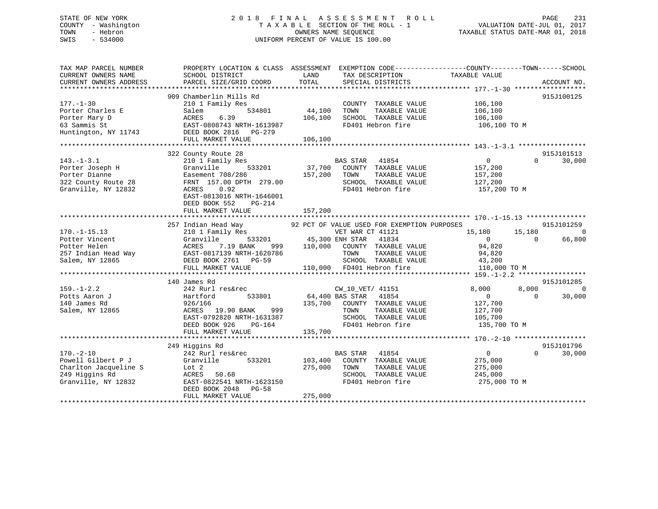## STATE OF NEW YORK 2 0 1 8 F I N A L A S S E S S M E N T R O L L PAGE 231 COUNTY - Washington T A X A B L E SECTION OF THE ROLL - 1 VALUATION DATE-JUL 01, 2017 TOWN - Hebron OWNERS NAME SEQUENCE TAXABLE STATUS DATE-MAR 01, 2018 SWIS - 534000 UNIFORM PERCENT OF VALUE IS 100.00

| TAX MAP PARCEL NUMBER<br>CURRENT OWNERS NAME<br>CURRENT OWNERS ADDRESS                                  | SCHOOL DISTRICT<br>PARCEL SIZE/GRID COORD                                                                                                                                                                   | PROPERTY LOCATION & CLASS ASSESSMENT EXEMPTION CODE----------------COUNTY-------TOWN------SCHOOL<br>LAND<br>TAX DESCRIPTION<br>TOTAL<br>SPECIAL DISTRICTS                                                                                                                                                                                       | TAXABLE VALUE<br>ACCOUNT NO.                                                                                                            |
|---------------------------------------------------------------------------------------------------------|-------------------------------------------------------------------------------------------------------------------------------------------------------------------------------------------------------------|-------------------------------------------------------------------------------------------------------------------------------------------------------------------------------------------------------------------------------------------------------------------------------------------------------------------------------------------------|-----------------------------------------------------------------------------------------------------------------------------------------|
| $177. - 1 - 30$<br>Porter Charles E<br>Porter Mary D<br>63 Sammis St<br>Huntington, NY 11743            | 909 Chamberlin Mills Rd<br>210 1 Family Res<br>534801<br>Salem<br>6.39<br>ACRES<br>EAST-0808743 NRTH-1613987<br>DEED BOOK 2816 PG-279<br>FULL MARKET VALUE                                                  | COUNTY TAXABLE VALUE<br>44,100<br>TOWN<br>TAXABLE VALUE<br>106,100<br>SCHOOL TAXABLE VALUE<br>FD401 Hebron fire<br>106,100                                                                                                                                                                                                                      | 915J100125<br>106,100<br>106,100<br>106,100<br>106,100 TO M                                                                             |
| $143. - 1 - 3.1$<br>Porter Joseph H<br>Porter Dianne<br>322 County Route 28<br>Granville, NY 12832      | 322 County Route 28<br>210 1 Family Res<br>533201<br>Granville<br>Easement 708/286<br>FRNT 157.00 DPTH 279.00<br>ACRES<br>0.92<br>EAST-0813016 NRTH-1646001<br>DEED BOOK 552<br>PG-214<br>FULL MARKET VALUE | BAS STAR<br>41854<br>$37,700$ $700$ $700$ $700$ $700$ $700$ $700$ $700$ $700$ $700$ $700$ $700$ $700$ $700$ $700$ $700$ $700$ $700$ $700$ $700$ $700$ $700$ $700$ $700$ $700$ $700$ $700$ $700$ $700$ $700$ $700$ $700$ $700$ $700$ $700$ $700$ $7$<br>157,200<br>TOWN<br>TAXABLE VALUE<br>SCHOOL TAXABLE VALUE<br>FD401 Hebron fire<br>157,200 | 915J101513<br>$\Omega$<br>30,000<br>$\overline{0}$<br>157,200<br>157,200<br>127,200<br>157,200 TO M                                     |
| $170. - 1 - 15.13$<br>Potter Vincent                                                                    | 257 Indian Head Way<br>210 1 Family Res<br>Granville<br>Potter Helen<br>Potter Helen<br>257 Indian Head Way<br>Salem, NY 12865<br>26. DEED BOOK 2761 PG-59<br>27. PG-59<br>FULL MARKET VALUE                | 92 PCT OF VALUE USED FOR EXEMPTION PURPOSES<br>VET WAR CT 41121<br>533201 45,300 ENH STAR<br>41834<br>999 110,000 COUNTY TAXABLE VALUE<br>TOWN<br>TAXABLE VALUE<br>TOWN TAXABLE VA<br>SCHOOL TAXABLE VA<br>110,000 FD401 Hebron fire<br>SCHOOL TAXABLE VALUE                                                                                    | 915J101259<br>15,180<br>$\overline{0}$<br>15,180<br>$\sim$ 0 $\sim$<br>66,800<br>$\Omega$<br>94,820<br>94,820<br>43,200<br>110,000 TO M |
| $159. - 1 - 2.2$<br>Potts Aaron J<br>140 James Rd<br>Salem, NY 12865                                    | 140 James Rd<br>242 Rurl res&rec<br>Hartford<br>533801<br>926/166<br>ACRES 19.90 BANK 999<br>EAST-0792820 NRTH-1631387<br>DEED BOOK 926<br>PG-164<br>FULL MARKET VALUE                                      | CW_10_VET/ 41151<br>64,400 BAS STAR 41854<br>135,700<br>COUNTY TAXABLE VALUE<br>TOWN<br>TAXABLE VALUE<br>SCHOOL TAXABLE VALUE<br>FD401 Hebron fire<br>135,700                                                                                                                                                                                   | 915J101285<br>8,000<br>8,000<br>$\overline{0}$<br>$\Omega$<br>30,000<br>$\overline{0}$<br>127,700<br>127,700<br>105,700<br>135,700 TO M |
| $170. - 2 - 10$<br>Powell Gilbert P J<br>Charlton Jacqueline S<br>249 Higgins Rd<br>Granville, NY 12832 | 249 Higgins Rd<br>242 Rurl res&rec<br>Granville<br>533201<br>Lot 2<br>ACRES<br>50.68<br>EAST-0822541 NRTH-1623150<br>DEED BOOK 2048<br>PG-58<br>FULL MARKET VALUE                                           | <b>BAS STAR</b><br>41854<br>103,400<br>COUNTY TAXABLE VALUE<br>275,000<br>TOWN<br>TAXABLE VALUE<br>SCHOOL TAXABLE VALUE<br>FD401 Hebron fire<br>275,000                                                                                                                                                                                         | 915J101796<br>$\overline{0}$<br>$0 \qquad \qquad$<br>30,000<br>275,000<br>275,000<br>245,000<br>275,000 TO M                            |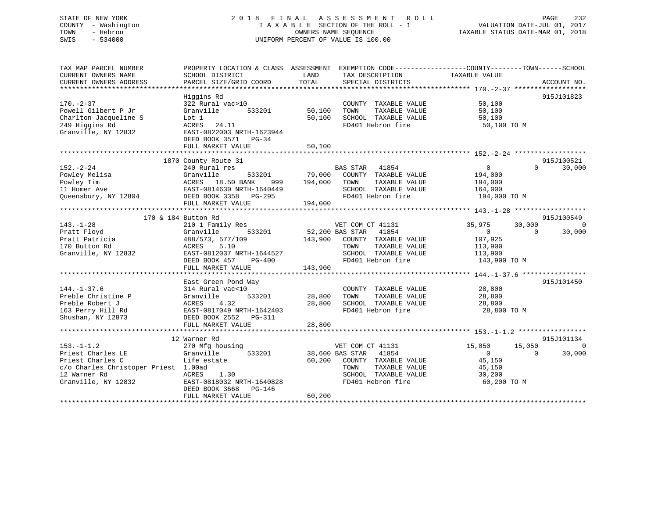## STATE OF NEW YORK 2 0 1 8 F I N A L A S S E S S M E N T R O L L PAGE 232 COUNTY - Washington T A X A B L E SECTION OF THE ROLL - 1 VALUATION DATE-JUL 01, 2017 TOWN - Hebron OWNERS NAME SEQUENCE TAXABLE STATUS DATE-MAR 01, 2018 SWIS - 534000 UNIFORM PERCENT OF VALUE IS 100.00

| TAX MAP PARCEL NUMBER<br>CURRENT OWNERS NAME<br>CURRENT OWNERS ADDRESS                                                                   | PROPERTY LOCATION & CLASS ASSESSMENT EXEMPTION CODE---------------COUNTY-------TOWN-----SCHOOL<br>SCHOOL DISTRICT<br>PARCEL SIZE/GRID COORD                          | LAND<br>TOTAL               | TAX DESCRIPTION<br>SPECIAL DISTRICTS                                                                                                    | TAXABLE VALUE                                                                                   | ACCOUNT NO.                      |
|------------------------------------------------------------------------------------------------------------------------------------------|----------------------------------------------------------------------------------------------------------------------------------------------------------------------|-----------------------------|-----------------------------------------------------------------------------------------------------------------------------------------|-------------------------------------------------------------------------------------------------|----------------------------------|
|                                                                                                                                          |                                                                                                                                                                      |                             |                                                                                                                                         |                                                                                                 |                                  |
| $170. - 2 - 37$<br>Powell Gilbert P Jr<br>Charlton Jacqueline S<br>249 Higgins Rd<br>Granville, NY 12832                                 | Higgins Rd<br>322 Rural vac>10<br>533201<br>Granville<br>Lot 1<br>ACRES<br>24.11<br>EAST-0822003 NRTH-1623944<br>DEED BOOK 3571 PG-34<br>FULL MARKET VALUE           | 50,100<br>50,100<br>50,100  | COUNTY TAXABLE VALUE<br>TOWN<br>TAXABLE VALUE<br>SCHOOL TAXABLE VALUE<br>FD401 Hebron fire                                              | 50,100<br>50,100<br>50,100<br>50,100 TO M                                                       | 915J101823                       |
|                                                                                                                                          | 1870 County Route 31                                                                                                                                                 |                             |                                                                                                                                         |                                                                                                 | 915J100521                       |
| $152 - 2 - 24$<br>Powley Melisa<br>Powley Tim<br>11 Homer Ave<br>Queensbury, NY 12804                                                    | 240 Rural res<br>Granville<br>ACRES 18.50 DANAL<br>EAST-0814630 NRTH-1640449<br>COLLOCATE 2250 DG-295<br>DEED BOOK 3358 PG-295<br>FULL MARKET VALUE                  | 999 194,000 TOWN<br>194,000 | BAS STAR 41854<br>533201 79,000 COUNTY TAXABLE VALUE<br>TAXABLE VALUE<br>SCHOOL TAXABLE VALUE<br>FD401 Hebron fire                      | $0 \qquad \qquad$<br>$\Omega$<br>194,000<br>194,000<br>164,000<br>194,000 TO M                  | 30,000                           |
|                                                                                                                                          | 170 & 184 Button Rd                                                                                                                                                  |                             |                                                                                                                                         |                                                                                                 | 915J100549                       |
| $143. - 1 - 28$<br>Pratt Floyd<br>Pratt Patricia<br>170 Button Rd<br>Granville, NY 12832                                                 | 210 1 Family Res<br>Granville<br>533201<br>488/573, 577/109<br>ACRES<br>5.10<br>EAST-0812037 NRTH-1644527<br>$PG-400$<br>DEED BOOK 457<br>FULL MARKET VALUE          | 143,900<br>143,900          | VET COM CT 41131<br>52,200 BAS STAR 41854<br>COUNTY TAXABLE VALUE<br>TAXABLE VALUE<br>TOWN<br>SCHOOL TAXABLE VALUE<br>FD401 Hebron fire | 35,975<br>30,000<br>$\Omega$<br>$\overline{0}$<br>107,925<br>113,900<br>113,900<br>143,900 TO M | $\overline{0}$<br>30,000         |
|                                                                                                                                          | East Green Pond Way                                                                                                                                                  |                             |                                                                                                                                         |                                                                                                 | 915J101450                       |
| $144. - 1 - 37.6$<br>Preble Christine P<br>Preble Robert J<br>163 Perry Hill Rd<br>Shushan, NY 12873                                     | 314 Rural vac<10<br>533201<br>Granville<br>4.32<br>ACRES<br>EAST-0817049 NRTH-1642403<br>DEED BOOK 2552 PG-311<br>FULL MARKET VALUE                                  | 28,800<br>28,800<br>28,800  | COUNTY TAXABLE VALUE<br>TAXABLE VALUE<br>TOWN<br>SCHOOL TAXABLE VALUE<br>FD401 Hebron fire                                              | 28,800<br>28,800<br>28,800<br>28,800 TO M                                                       |                                  |
|                                                                                                                                          |                                                                                                                                                                      |                             |                                                                                                                                         |                                                                                                 |                                  |
| $153. - 1 - 1.2$<br>Priest Charles LE<br>Priest Charles C<br>c/o Charles Christoper Priest 1.00ad<br>12 Warner Rd<br>Granville, NY 12832 | 12 Warner Rd<br>270 Mfg housing<br>533201<br>Granville<br>Life estate<br>ACRES<br>1.30<br>EAST-0818032 NRTH-1640828<br>DEED BOOK 3668<br>PG-146<br>FULL MARKET VALUE | 60,200<br>60,200            | VET COM CT 41131<br>38,600 BAS STAR 41854<br>COUNTY TAXABLE VALUE<br>TAXABLE VALUE<br>TOWN<br>SCHOOL TAXABLE VALUE<br>FD401 Hebron fire | 15,050<br>15,050<br>$\overline{0}$<br>$\Omega$<br>45,150<br>45,150<br>30,200<br>60,200 TO M     | 915J101134<br>$\Omega$<br>30,000 |
|                                                                                                                                          |                                                                                                                                                                      |                             |                                                                                                                                         |                                                                                                 |                                  |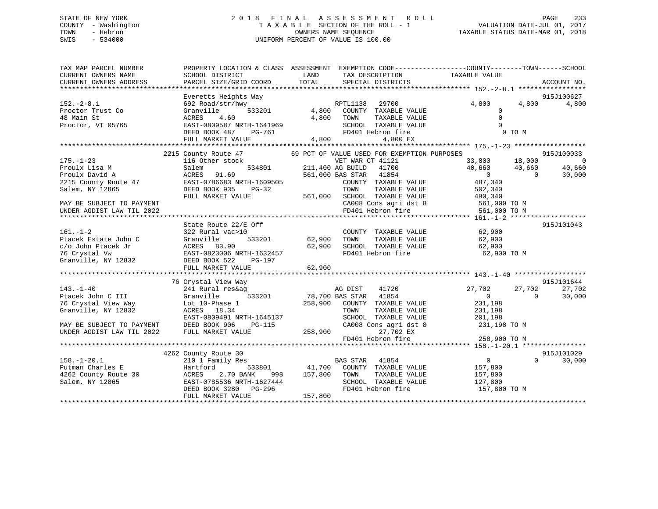## STATE OF NEW YORK 2 0 1 8 F I N A L A S S E S S M E N T R O L L PAGE 233 COUNTY - Washington T A X A B L E SECTION OF THE ROLL - 1 VALUATION DATE-JUL 01, 2017 TOWN - Hebron OWNERS NAME SEQUENCE TAXABLE STATUS DATE-MAR 01, 2018 SWIS - 534000 UNIFORM PERCENT OF VALUE IS 100.00

TAX MAP PARCEL NUMBER PROPERTY LOCATION & CLASS ASSESSMENT EXEMPTION CODE------------------COUNTY--------TOWN------SCHOOL CURRENT OWNERS NAME SCHOOL DISTRICT LAND TAX DESCRIPTION TAXABLE VALUE CURRENT OWNERS ADDRESS PARCEL SIZE/GRID COORD TOTAL SPECIAL DISTRICTS ACCOUNT NO. \*\*\*\*\*\*\*\*\*\*\*\*\*\*\*\*\*\*\*\*\*\*\*\*\*\*\*\*\*\*\*\*\*\*\*\*\*\*\*\*\*\*\*\*\*\*\*\*\*\*\*\*\*\*\*\*\*\*\*\*\*\*\*\*\*\*\*\*\*\*\*\*\*\*\*\*\*\*\*\*\*\*\*\*\*\*\*\*\*\*\*\*\*\*\*\*\*\*\*\*\*\*\* 152.-2-8.1 \*\*\*\*\*\*\*\*\*\*\*\*\*\*\*\*\* Everetts Heights Way 915J100627 152.-2-8.1 692 Road/str/hwy RPTL1138 29700 4,800 4,800 4,800 Proctor Trust Co Granville 533201 4,800 COUNTY TAXABLE VALUE 0 48 Main St ACRES 4.60 4,800 TOWN TAXABLE VALUE 0 Proctor, VT 05765 EAST-0809587 NRTH-1641969 SCHOOL TAXABLE VALUE 0 DEED BOOK 487 PG-761 FD401 Hebron fire 0 TO M $0$ <br>0 TO M FULL MARKET VALUE 4,800 4,800 EX \*\*\*\*\*\*\*\*\*\*\*\*\*\*\*\*\*\*\*\*\*\*\*\*\*\*\*\*\*\*\*\*\*\*\*\*\*\*\*\*\*\*\*\*\*\*\*\*\*\*\*\*\*\*\*\*\*\*\*\*\*\*\*\*\*\*\*\*\*\*\*\*\*\*\*\*\*\*\*\*\*\*\*\*\*\*\*\*\*\*\*\*\*\*\*\*\*\*\*\*\*\*\* 175.-1-23 \*\*\*\*\*\*\*\*\*\*\*\*\*\*\*\*\*\* 2215 County Route 47 69 PCT OF VALUE USED FOR EXEMPTION PURPOSES 915J100033 175.-1-23 116 Other stock VET WAR CT 41121 33,000 18,000 0 Proulx Lisa M Salem 534801 211,400 AG BUILD 41700 40,660 40,660 40,660 Proulx David A ACRES 91.69 561,000 BAS STAR 41854 0 0 30,000 2215 County Route 47 EAST-0786683 NRTH-1609505 COUNTY TAXABLE VALUE 487,340 Salem, NY 12865 DEED BOOK 935 PG-32 TOWN TAXABLE VALUE 502,340 FULL MARKET VALUE 561,000 SCHOOL TAXABLE VALUE 490,340 MAY BE SUBJECT TO PAYMENT CA008 Cons agri dst 8 561,000 TO M UNDER AGDIST LAW TIL 2022 FD401 Hebron fire 561,000 TO M \*\*\*\*\*\*\*\*\*\*\*\*\*\*\*\*\*\*\*\*\*\*\*\*\*\*\*\*\*\*\*\*\*\*\*\*\*\*\*\*\*\*\*\*\*\*\*\*\*\*\*\*\*\*\*\*\*\*\*\*\*\*\*\*\*\*\*\*\*\*\*\*\*\*\*\*\*\*\*\*\*\*\*\*\*\*\*\*\*\*\*\*\*\*\*\*\*\*\*\*\*\*\* 161.-1-2 \*\*\*\*\*\*\*\*\*\*\*\*\*\*\*\*\*\*\* State Route 22/E Off 915J101043 161.-1-2 322 Rural vac>10 COUNTY TAXABLE VALUE 62,900 Ptacek Estate John C Granville 533201 62,900 TOWN TAXABLE VALUE 62,900 c/o John Ptacek Jr ACRES 83.90 62,900 SCHOOL TAXABLE VALUE 62,900 76 Crystal Vw EAST-0823006 NRTH-1632457 FD401 Hebron fire 62,900 TO M Granville, NY 12832 DEED BOOK 522 PG-197 FULL MARKET VALUE 62,900 \*\*\*\*\*\*\*\*\*\*\*\*\*\*\*\*\*\*\*\*\*\*\*\*\*\*\*\*\*\*\*\*\*\*\*\*\*\*\*\*\*\*\*\*\*\*\*\*\*\*\*\*\*\*\*\*\*\*\*\*\*\*\*\*\*\*\*\*\*\*\*\*\*\*\*\*\*\*\*\*\*\*\*\*\*\*\*\*\*\*\*\*\*\*\*\*\*\*\*\*\*\*\* 143.-1-40 \*\*\*\*\*\*\*\*\*\*\*\*\*\*\*\*\*\* 76 Crystal View Way 915J101644 143.-1-40 241 Rural res&ag AG DIST 41720 27,702 27,702 27,702 Ptacek John C III Granville 533201 78,700 BAS STAR 41854 0 0 30,000 76 Crystal View Way Lot 10-Phase 1 258,900 COUNTY TAXABLE VALUE 231,198 Granville, NY 12832 ACRES 18.34 TOWN TAXABLE VALUE 231,198 EAST-0809491 NRTH-1645137 SCHOOL TAXABLE VALUE 201,198 MAY BE SUBJECT TO PAYMENT DEED BOOK 906 PG-115 CA008 Cons agri dst 8 231,198 TO M UNDER AGDIST LAW TIL 2022 FULL MARKET VALUE 258,900 27,702 EX FD401 Hebron fire 258,900 TO M \*\*\*\*\*\*\*\*\*\*\*\*\*\*\*\*\*\*\*\*\*\*\*\*\*\*\*\*\*\*\*\*\*\*\*\*\*\*\*\*\*\*\*\*\*\*\*\*\*\*\*\*\*\*\*\*\*\*\*\*\*\*\*\*\*\*\*\*\*\*\*\*\*\*\*\*\*\*\*\*\*\*\*\*\*\*\*\*\*\*\*\*\*\*\*\*\*\*\*\*\*\*\* 158.-1-20.1 \*\*\*\*\*\*\*\*\*\*\*\*\*\*\*\*915-1101029 4262 County Route 30 915J101029 158.-1-20.1 210 1 Family Res BAS STAR 41854 0 0 30,000 Putman Charles E Hartford 533801 41,700 COUNTY TAXABLE VALUE 157,800 4262 County Route 30 ACRES 2.70 BANK 998 157,800 TOWN TAXABLE VALUE 157,800 Salem, NY 12865 EAST-0785536 NRTH-1627444 SCHOOL TAXABLE VALUE 127,800 DEED BOOK 3280 PG-296 FD401 Hebron fire 157,800 TO M DEED BOOK 3280 PG-296<br>FULL MARKET VALUE 157,800 \*\*\*\*\*\*\*\*\*\*\*\*\*\*\*\*\*\*\*\*\*\*\*\*\*\*\*\*\*\*\*\*\*\*\*\*\*\*\*\*\*\*\*\*\*\*\*\*\*\*\*\*\*\*\*\*\*\*\*\*\*\*\*\*\*\*\*\*\*\*\*\*\*\*\*\*\*\*\*\*\*\*\*\*\*\*\*\*\*\*\*\*\*\*\*\*\*\*\*\*\*\*\*\*\*\*\*\*\*\*\*\*\*\*\*\*\*\*\*\*\*\*\*\*\*\*\*\*\*\*\*\*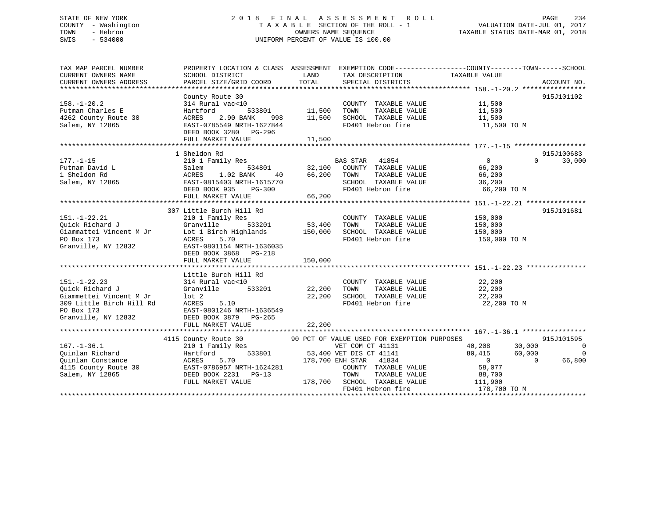## STATE OF NEW YORK 2 0 1 8 F I N A L A S S E S S M E N T R O L L PAGE 234 COUNTY - Washington T A X A B L E SECTION OF THE ROLL - 1 VALUATION DATE-JUL 01, 2017 TOWN - Hebron OWNERS NAME SEQUENCE TAXABLE STATUS DATE-MAR 01, 2018 SWIS - 534000 UNIFORM PERCENT OF VALUE IS 100.00

| TAX MAP PARCEL NUMBER                         | PROPERTY LOCATION & CLASS ASSESSMENT EXEMPTION CODE----------------COUNTY-------TOWN------SCHOOL                                                                                                                                                                                                                                                             |         |                                                  |                                                                                    |                    |
|-----------------------------------------------|--------------------------------------------------------------------------------------------------------------------------------------------------------------------------------------------------------------------------------------------------------------------------------------------------------------------------------------------------------------|---------|--------------------------------------------------|------------------------------------------------------------------------------------|--------------------|
| CURRENT OWNERS NAME<br>CURRENT OWNERS ADDRESS | SCHOOL DISTRICT<br>PARCEL SIZE/GRID COORD                                                                                                                                                                                                                                                                                                                    | TOTAL   | LAND TAX DESCRIPTION<br>SPECIAL DISTRICTS        | TAXABLE VALUE                                                                      | ACCOUNT NO.        |
|                                               |                                                                                                                                                                                                                                                                                                                                                              |         |                                                  |                                                                                    |                    |
|                                               | County Route 30                                                                                                                                                                                                                                                                                                                                              |         |                                                  |                                                                                    | 915J101102         |
| $158. - 1 - 20.2$                             | County Route 30<br>314 Rural vac<10<br>314 Rural vac<10 $314$ Rural vac<10 $533801$ $11,500$ TOWN                                                                                                                                                                                                                                                            |         | COUNTY TAXABLE VALUE 11,500                      |                                                                                    |                    |
| Putman Charles E                              |                                                                                                                                                                                                                                                                                                                                                              |         |                                                  |                                                                                    |                    |
| 4262 County Route 30                          |                                                                                                                                                                                                                                                                                                                                                              |         |                                                  |                                                                                    |                    |
| Salem, NY 12865                               | ACRES 2.90 BANK 998 11,500 SCHOOL TAXABLE VALUE<br>EAST-0785549 NRTH-1627844 FD401 Hebron fire                                                                                                                                                                                                                                                               |         |                                                  | TAXABLE VALUE<br>TAXABLE VALUE 11,500<br>TAXABLE VALUE 11,500<br>FALUE 11,500 TO M |                    |
|                                               | DEED BOOK 3280 PG-296                                                                                                                                                                                                                                                                                                                                        |         |                                                  |                                                                                    |                    |
|                                               |                                                                                                                                                                                                                                                                                                                                                              |         |                                                  |                                                                                    |                    |
|                                               |                                                                                                                                                                                                                                                                                                                                                              |         |                                                  |                                                                                    |                    |
|                                               | $\begin{tabular}{lcccc} 177.-1-15 & 15 \end{tabular} \begin{tabular}{lcccc} 177.-1-15 & 15 \end{tabular} & 18 heldon Rd & 1810210 1 Family Res & 32,100 COUNTY TAXABLE VALUE & 66,2001 Sheldon Rd & 534801 & 32,100 COUNTY TAXABLE VALUE & 66,20056,200 TOWN TAXABLE VALUE & 66,20056,200 TAXABLE VALUE & 66,20036,20036,2000000 TAXABLE VALUE & 36,20036,2$ |         |                                                  |                                                                                    | 915J100683         |
|                                               |                                                                                                                                                                                                                                                                                                                                                              |         |                                                  |                                                                                    | 30,000<br>$\Omega$ |
|                                               |                                                                                                                                                                                                                                                                                                                                                              |         |                                                  |                                                                                    |                    |
|                                               |                                                                                                                                                                                                                                                                                                                                                              |         |                                                  |                                                                                    |                    |
|                                               |                                                                                                                                                                                                                                                                                                                                                              |         |                                                  |                                                                                    |                    |
|                                               |                                                                                                                                                                                                                                                                                                                                                              |         |                                                  | 66,200 TO M                                                                        |                    |
|                                               | FULL MARKET VALUE                                                                                                                                                                                                                                                                                                                                            | 66,200  |                                                  |                                                                                    |                    |
|                                               |                                                                                                                                                                                                                                                                                                                                                              |         |                                                  |                                                                                    |                    |
|                                               | 307 Little Burch Hill Rd                                                                                                                                                                                                                                                                                                                                     |         |                                                  |                                                                                    | 915J101681         |
|                                               |                                                                                                                                                                                                                                                                                                                                                              |         |                                                  |                                                                                    |                    |
|                                               |                                                                                                                                                                                                                                                                                                                                                              |         |                                                  |                                                                                    |                    |
|                                               |                                                                                                                                                                                                                                                                                                                                                              |         |                                                  |                                                                                    |                    |
|                                               |                                                                                                                                                                                                                                                                                                                                                              |         | FD401 Hebron fire 150,000 TO M                   |                                                                                    |                    |
|                                               | 151.-1-22.21 210 1 Family Res<br>Quick Richard J Granville 533201 53,400 TOWN TAXABLE VALUE 150,000<br>Giammattei Vincent M Jr Lot 1 Birch Highlands 150,000 SCHOOL TAXABLE VALUE 150,000<br>PO Box 173 ACRES 5.70 FD401 Hebron fire                                                                                                                         |         |                                                  |                                                                                    |                    |
|                                               | DEED BOOK 3868 PG-218                                                                                                                                                                                                                                                                                                                                        |         |                                                  |                                                                                    |                    |
|                                               | FULL MARKET VALUE                                                                                                                                                                                                                                                                                                                                            | 150,000 |                                                  |                                                                                    |                    |
|                                               |                                                                                                                                                                                                                                                                                                                                                              |         |                                                  |                                                                                    |                    |
|                                               | Little Burch Hill Rd                                                                                                                                                                                                                                                                                                                                         |         |                                                  |                                                                                    |                    |
| $151. - 1 - 22.23$                            |                                                                                                                                                                                                                                                                                                                                                              |         | COUNTY TAXABLE VALUE 22,200                      |                                                                                    |                    |
|                                               |                                                                                                                                                                                                                                                                                                                                                              |         | TAXABLE VALUE                                    |                                                                                    |                    |
|                                               |                                                                                                                                                                                                                                                                                                                                                              |         |                                                  | $\frac{22}{22}$ , 200<br>22, 200<br>22, 200                                        |                    |
|                                               | Puick Richard J<br>Ciammettei Vincent M Jr<br>Ciammettei Vincent M Jr<br>309 Little Birch Hill Rd<br>22,200 SCHOO:<br>309 Little Birch Hill Rd<br>PO Box 173 EAST-0801246 NRTH-1636549<br>Granville, NY 12832 DEED BOOK 3879 PG-265                                                                                                                          |         | 22,200 SCHOOL TAXABLE VALUE<br>FD401 Hebron fire | 22,200 TO M                                                                        |                    |
|                                               |                                                                                                                                                                                                                                                                                                                                                              |         |                                                  |                                                                                    |                    |
|                                               |                                                                                                                                                                                                                                                                                                                                                              |         |                                                  |                                                                                    |                    |
|                                               | FULL MARKET VALUE                                                                                                                                                                                                                                                                                                                                            | 22,200  |                                                  |                                                                                    |                    |
|                                               |                                                                                                                                                                                                                                                                                                                                                              |         |                                                  |                                                                                    |                    |
|                                               | 4115 County Route 30 90 PCT OF VALUE USED FOR EXEMPTION PURPOSES                                                                                                                                                                                                                                                                                             |         |                                                  |                                                                                    | 915J101595         |
| $167. - 1 - 36.1$                             |                                                                                                                                                                                                                                                                                                                                                              |         |                                                  | 40,208<br>30,000                                                                   | $\overline{0}$     |
| Quinlan Richard                               | 210 1 Family Res<br>Hartford 533801 53,400 VET DIS CT 41141<br>Family Res<br>53,400 VET DIS CT 41141<br>Hartford                                                                                                                                                                                                                                             |         |                                                  | 80,415<br>60,000                                                                   | 0                  |
|                                               | 5.70 178,700 ENH STAR 41834<br>Quinlan Constance<br>4115 County Route 30<br>5.70<br>5.70<br>5.70<br>5.70<br>5.70<br>5.70<br>5.70<br>5.70<br>5.70<br>5.70<br>5.70<br>5.70<br>5.70<br>5.70<br>5.70<br>5.70<br>5.70<br>5.70<br>5.70<br>5.71<br>5.21<br>5.71<br>5.21                                                                                             |         |                                                  | 0<br>58,077                                                                        | $\Omega$<br>66,800 |
|                                               |                                                                                                                                                                                                                                                                                                                                                              |         | COUNTY TAXABLE VALUE                             |                                                                                    |                    |
|                                               |                                                                                                                                                                                                                                                                                                                                                              |         | TOWN                                             | TAXABLE VALUE 88,700                                                               |                    |
|                                               | FULL MARKET VALUE                                                                                                                                                                                                                                                                                                                                            |         | 178,700 SCHOOL TAXABLE VALUE 111,900             |                                                                                    |                    |
|                                               |                                                                                                                                                                                                                                                                                                                                                              |         | FD401 Hebron fire                                | 178,700 TO M                                                                       |                    |
|                                               |                                                                                                                                                                                                                                                                                                                                                              |         |                                                  |                                                                                    |                    |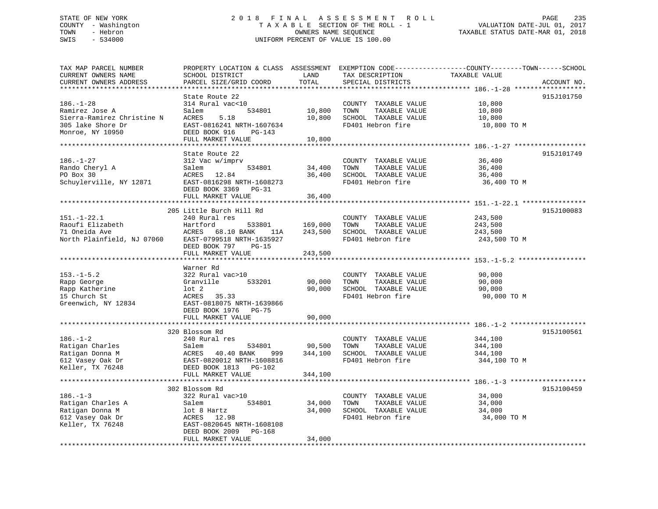## STATE OF NEW YORK 2 0 1 8 F I N A L A S S E S S M E N T R O L L PAGE 235 COUNTY - Washington T A X A B L E SECTION OF THE ROLL - 1 VALUATION DATE-JUL 01, 2017 TOWN - Hebron OWNERS NAME SEQUENCE TAXABLE STATUS DATE-MAR 01, 2018 SWIS - 534000 UNIFORM PERCENT OF VALUE IS 100.00

TAX MAP PARCEL NUMBER PROPERTY LOCATION & CLASS ASSESSMENT EXEMPTION CODE------------------COUNTY--------TOWN------SCHOOL CURRENT OWNERS NAME SCHOOL DISTRICT LAND TAX DESCRIPTION TAXABLE VALUE CURRENT OWNERS ADDRESS PARCEL SIZE/GRID COORD TOTAL SPECIAL DISTRICTS ACCOUNT NO. \*\*\*\*\*\*\*\*\*\*\*\*\*\*\*\*\*\*\*\*\*\*\*\*\*\*\*\*\*\*\*\*\*\*\*\*\*\*\*\*\*\*\*\*\*\*\*\*\*\*\*\*\*\*\*\*\*\*\*\*\*\*\*\*\*\*\*\*\*\*\*\*\*\*\*\*\*\*\*\*\*\*\*\*\*\*\*\*\*\*\*\*\*\*\*\*\*\*\*\*\*\*\* 186.-1-28 \*\*\*\*\*\*\*\*\*\*\*\*\*\*\*\*\*\* State Route 22 915J101750186.-1-28 314 Rural vac<10 COUNTY TAXABLE VALUE 10,800 Ramirez Jose A Salem 534801 10,800 TOWN TAXABLE VALUE 10,800 Sierra-Ramirez Christine N ACRES 5.18 10,800 SCHOOL TAXABLE VALUE 10,800 305 lake Shore Dr EAST-0816241 NRTH-1607634 FD401 Hebron fire 10,800 TO M Monroe, NY 10950 DEED BOOK 916 PG-143 FULL MARKET VALUE 10,800 \*\*\*\*\*\*\*\*\*\*\*\*\*\*\*\*\*\*\*\*\*\*\*\*\*\*\*\*\*\*\*\*\*\*\*\*\*\*\*\*\*\*\*\*\*\*\*\*\*\*\*\*\*\*\*\*\*\*\*\*\*\*\*\*\*\*\*\*\*\*\*\*\*\*\*\*\*\*\*\*\*\*\*\*\*\*\*\*\*\*\*\*\*\*\*\*\*\*\*\*\*\*\* 186.-1-27 \*\*\*\*\*\*\*\*\*\*\*\*\*\*\*\*\*\*State Route 22 915J101749 186.-1-27 312 Vac w/imprv COUNTY TAXABLE VALUE 36,400 Rando Cheryl A Salem 534801 34,400 TOWN TAXABLE VALUE 36,400 PO Box 30 ACRES 12.84 36,400 SCHOOL TAXABLE VALUE 36,400 Schuylerville, NY 12871 EAST-0816298 NRTH-1608273 FD401 Hebron fire 36,400 TO M DEED BOOK 3369 PG-31 FULL MARKET VALUE 36,400 \*\*\*\*\*\*\*\*\*\*\*\*\*\*\*\*\*\*\*\*\*\*\*\*\*\*\*\*\*\*\*\*\*\*\*\*\*\*\*\*\*\*\*\*\*\*\*\*\*\*\*\*\*\*\*\*\*\*\*\*\*\*\*\*\*\*\*\*\*\*\*\*\*\*\*\*\*\*\*\*\*\*\*\*\*\*\*\*\*\*\*\*\*\*\*\*\*\*\*\*\*\*\* 151.-1-22.1 \*\*\*\*\*\*\*\*\*\*\*\*\*\*\*\*915-T100083 205 Little Burch Hill Rd 151.-1-22.1 240 Rural res COUNTY TAXABLE VALUE 243,500 Raoufi Elizabeth Hartford 533801 169,000 TOWN TAXABLE VALUE 243,500 71 Oneida Ave ACRES 68.10 BANK 11A 243,500 SCHOOL TAXABLE VALUE 243,500 North Plainfield, NJ 07060 EAST-0799518 NRTH-1635927 FO401 Hebron fire 243,500 TO M DEED BOOK 797 PG-15FULL MARKET VALUE 243,500 \*\*\*\*\*\*\*\*\*\*\*\*\*\*\*\*\*\*\*\*\*\*\*\*\*\*\*\*\*\*\*\*\*\*\*\*\*\*\*\*\*\*\*\*\*\*\*\*\*\*\*\*\*\*\*\*\*\*\*\*\*\*\*\*\*\*\*\*\*\*\*\*\*\*\*\*\*\*\*\*\*\*\*\*\*\*\*\*\*\*\*\*\*\*\*\*\*\*\*\*\*\*\* 153.-1-5.2 \*\*\*\*\*\*\*\*\*\*\*\*\*\*\*\*\* Warner Rd322 Rural vac>10 153.-1-5.2 322 Rural vac>10 COUNTY TAXABLE VALUE 90,000 Rapp George Granville 533201 90,000 TOWN TAXABLE VALUE 90,000 Rapp Katherine lot 2 90,000 SCHOOL TAXABLE VALUE 90,000 15 Church St ACRES 35.33 FD401 Hebron fire 90,000 TO M Greenwich, NY 12834 EAST-0818075 NRTH-1639866 DEED BOOK 1976 PG-75 FULL MARKET VALUE 90,000 \*\*\*\*\*\*\*\*\*\*\*\*\*\*\*\*\*\*\*\*\*\*\*\*\*\*\*\*\*\*\*\*\*\*\*\*\*\*\*\*\*\*\*\*\*\*\*\*\*\*\*\*\*\*\*\*\*\*\*\*\*\*\*\*\*\*\*\*\*\*\*\*\*\*\*\*\*\*\*\*\*\*\*\*\*\*\*\*\*\*\*\*\*\*\*\*\*\*\*\*\*\*\* 186.-1-2 \*\*\*\*\*\*\*\*\*\*\*\*\*\*\*\*\*\*\* 320 Blossom Rd 915J100561186.-1-2 240 Rural res COUNTY TAXABLE VALUE 344,100 Ratigan Charles Salem 534801 90,500 TOWN TAXABLE VALUE 344,100 Ratigan Donna M ACRES 40.40 BANK 999 344,100 SCHOOL TAXABLE VALUE 344,100 612 Vasey Oak Dr EAST-0820012 NRTH-1608816 FD401 Hebron fire 344,100 TO M Keller, TX 76248 DEED BOOK 1813 PG-102 FULL MARKET VALUE 344,100 \*\*\*\*\*\*\*\*\*\*\*\*\*\*\*\*\*\*\*\*\*\*\*\*\*\*\*\*\*\*\*\*\*\*\*\*\*\*\*\*\*\*\*\*\*\*\*\*\*\*\*\*\*\*\*\*\*\*\*\*\*\*\*\*\*\*\*\*\*\*\*\*\*\*\*\*\*\*\*\*\*\*\*\*\*\*\*\*\*\*\*\*\*\*\*\*\*\*\*\*\*\*\* 186.-1-3 \*\*\*\*\*\*\*\*\*\*\*\*\*\*\*\*\*\*\*915.T100459 المحمد Rd<br>322 Rural vac>10<br>Salem 186.-1-3 322 Rural vac>10 COUNTY TAXABLE VALUE 34,000 Ratigan Charles A Salem 534801 34,000 TOWN TAXABLE VALUE 34,000 Ratigan Donna M lot 8 Hartz 34,000 SCHOOL TAXABLE VALUE 34,000 612 Vasey Oak Dr ACRES 12.98 FD401 Hebron fire 34,000 TO M Keller, TX 76248 EAST-0820645 NRTH-1608108 DEED BOOK 2009 PG-168 FULL MARKET VALUE 34,000 \*\*\*\*\*\*\*\*\*\*\*\*\*\*\*\*\*\*\*\*\*\*\*\*\*\*\*\*\*\*\*\*\*\*\*\*\*\*\*\*\*\*\*\*\*\*\*\*\*\*\*\*\*\*\*\*\*\*\*\*\*\*\*\*\*\*\*\*\*\*\*\*\*\*\*\*\*\*\*\*\*\*\*\*\*\*\*\*\*\*\*\*\*\*\*\*\*\*\*\*\*\*\*\*\*\*\*\*\*\*\*\*\*\*\*\*\*\*\*\*\*\*\*\*\*\*\*\*\*\*\*\*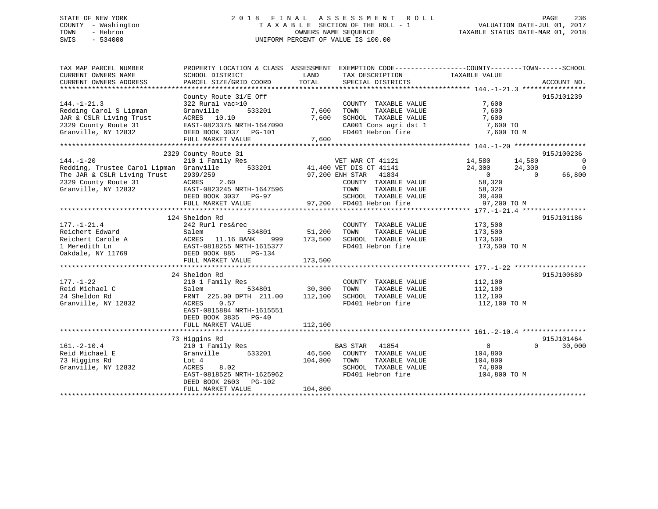## STATE OF NEW YORK 2 0 1 8 F I N A L A S S E S S M E N T R O L L PAGE 236 COUNTY - Washington T A X A B L E SECTION OF THE ROLL - 1 VALUATION DATE-JUL 01, 2017 TOWN - Hebron OWNERS NAME SEQUENCE TAXABLE STATUS DATE-MAR 01, 2018 SWIS - 534000 UNIFORM PERCENT OF VALUE IS 100.00

| TAX MAP PARCEL NUMBER<br>CURRENT OWNERS NAME                                                                        | SCHOOL DISTRICT           | LAND<br>TAX DESCRIPTION                                                                        | PROPERTY LOCATION & CLASS ASSESSMENT EXEMPTION CODE---------------COUNTY-------TOWN-----SCHOOL<br>TAXABLE VALUE |
|---------------------------------------------------------------------------------------------------------------------|---------------------------|------------------------------------------------------------------------------------------------|-----------------------------------------------------------------------------------------------------------------|
| CURRENT OWNERS ADDRESS                                                                                              | PARCEL SIZE/GRID COORD    | TOTAL<br>SPECIAL DISTRICTS                                                                     | ACCOUNT NO.                                                                                                     |
|                                                                                                                     |                           |                                                                                                |                                                                                                                 |
|                                                                                                                     | County Route $31/E$ Off   |                                                                                                | 915J101239                                                                                                      |
| $144. - 1 - 21.3$                                                                                                   | 322 Rural vac>10          | COUNTY TAXABLE VALUE                                                                           | 7,600                                                                                                           |
| Redding Carol S Lipman                                                                                              | Granville<br>533201       | 7,600<br>TOWN<br>TAXABLE VALUE                                                                 | 7,600                                                                                                           |
| JAR & CSLR Living Trust                                                                                             | ACRES 10.10               | 7,600                                                                                          |                                                                                                                 |
| 2329 County Route 31                                                                                                | EAST-0823375 NRTH-1647090 |                                                                                                |                                                                                                                 |
| Granville, NY 12832                                                                                                 | DEED BOOK 3037 PG-101     | SCHOOL TAXABLE VALUE 7,600<br>CA001 Cons agri dst 1 7,600 TO<br>FD401 Hebron fire 7,600 TO M   |                                                                                                                 |
|                                                                                                                     | FULL MARKET VALUE         | 7,600                                                                                          |                                                                                                                 |
|                                                                                                                     |                           |                                                                                                |                                                                                                                 |
|                                                                                                                     | 2329 County Route 31      |                                                                                                | 915J100236                                                                                                      |
| $144. - 1 - 20$                                                                                                     | 210 1 Family Res          | VET WAR CT 41121                                                                               | 14,580<br>14,580<br>$\overline{0}$                                                                              |
| Redding, Trustee Carol Lipman Granville                                                                             |                           |                                                                                                | 24,300<br>24,300<br>$\overline{0}$                                                                              |
| The JAR & CSLR Living Trust                                                                                         | 2939/259                  | $41,400$ VET DIS CT 41141<br>533201 41,400 VET DIS CT 41141                                    | $\overline{0}$<br>$\bigcap$<br>66,800                                                                           |
| 2329 County Route 31                                                                                                | ACRES<br>2.60             | COUNTY TAXABLE VALUE                                                                           | 58,320                                                                                                          |
| Granville, NY 12832                                                                                                 |                           |                                                                                                |                                                                                                                 |
|                                                                                                                     | EAST-0823245 NRTH-1647596 | TOWN<br>TAXABLE VALUE<br>SCHOOL TAXABLE VALUE 30,400                                           | 58,320                                                                                                          |
|                                                                                                                     | DEED BOOK 3037 PG-97      |                                                                                                |                                                                                                                 |
|                                                                                                                     | FULL MARKET VALUE         | 97,200 FD401 Hebron fire                                                                       | 97,200 TO M                                                                                                     |
|                                                                                                                     |                           |                                                                                                |                                                                                                                 |
|                                                                                                                     | 124 Sheldon Rd            |                                                                                                | 915J101186                                                                                                      |
| $177. - 1 - 21.4$                                                                                                   | 242 Rurl res&rec          | COUNTY TAXABLE VALUE                                                                           | 173,500                                                                                                         |
|                                                                                                                     |                           | 534801 51,200<br>TOWN<br>TAXABLE VALUE                                                         | 173,500                                                                                                         |
| Reichert Edward<br>Reichert Carole A<br>Reichert Carole A<br>EAST-0818255 NRTH-1615377<br>EAST-0818255 NRTH-1615377 | 999                       | SCHOOL TAXABLE VALUE<br>173,500                                                                | 173,500                                                                                                         |
|                                                                                                                     |                           | FD401 Hebron fire                                                                              | 173,500 TO M                                                                                                    |
| Oakdale, NY 11769                                                                                                   | DEED BOOK 885<br>PG-134   |                                                                                                |                                                                                                                 |
|                                                                                                                     | FULL MARKET VALUE         | 173,500                                                                                        |                                                                                                                 |
|                                                                                                                     |                           |                                                                                                |                                                                                                                 |
|                                                                                                                     | 24 Sheldon Rd             |                                                                                                | 915J100689                                                                                                      |
| $177. - 1 - 22$                                                                                                     | 210 1 Family Res          | COUNTY TAXABLE VALUE 112,100                                                                   |                                                                                                                 |
| Reid Michael C                                                                                                      |                           |                                                                                                |                                                                                                                 |
| 24 Sheldon Rd                                                                                                       |                           | Salem 534801 30,300 TOWN TAXABLE VALUE<br>FRNT 225.00 DPTH 211.00 112,100 SCHOOL TAXABLE VALUE | 112,100<br>112,100                                                                                              |
| Granville, NY 12832                                                                                                 | ACRES<br>0.57             | FD401 Hebron fire                                                                              | 112,100 TO M                                                                                                    |
|                                                                                                                     | EAST-0815884 NRTH-1615551 |                                                                                                |                                                                                                                 |
|                                                                                                                     |                           |                                                                                                |                                                                                                                 |
|                                                                                                                     | DEED BOOK 3835 PG-40      |                                                                                                |                                                                                                                 |
|                                                                                                                     | FULL MARKET VALUE         | 112,100                                                                                        |                                                                                                                 |
|                                                                                                                     |                           |                                                                                                |                                                                                                                 |
|                                                                                                                     | 73 Higgins Rd             |                                                                                                | 915J101464                                                                                                      |
| $161. - 2 - 10.4$                                                                                                   | 210 1 Family Res          | BAS STAR 41854                                                                                 | $\Omega$<br>$\Omega$<br>30,000                                                                                  |
| Reid Michael E                                                                                                      | Granville<br>533201       | 46,500 COUNTY TAXABLE VALUE                                                                    | 104,800                                                                                                         |
| 73 Higgins Rd                                                                                                       | Lot 4                     | 104,800 TOWN<br>TAXABLE VALUE                                                                  | 104,800                                                                                                         |
| Granville, NY 12832                                                                                                 | ACRES<br>8.02             | SCHOOL TAXABLE VALUE                                                                           | 74,800                                                                                                          |
|                                                                                                                     | EAST-0818525 NRTH-1625962 | FD401 Hebron fire                                                                              | 104,800 TO M                                                                                                    |
|                                                                                                                     | DEED BOOK 2603 PG-102     |                                                                                                |                                                                                                                 |
|                                                                                                                     | FULL MARKET VALUE         | 104,800                                                                                        |                                                                                                                 |
|                                                                                                                     |                           |                                                                                                |                                                                                                                 |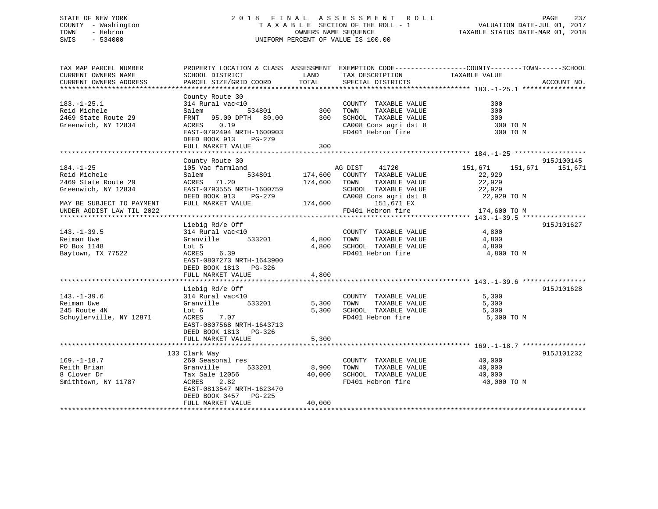## STATE OF NEW YORK 2 0 1 8 F I N A L A S S E S S M E N T R O L L PAGE 237 COUNTY - Washington T A X A B L E SECTION OF THE ROLL - 1 VALUATION DATE-JUL 01, 2017 TOWN - Hebron OWNERS NAME SEQUENCE TAXABLE STATUS DATE-MAR 01, 2018 SWIS - 534000 UNIFORM PERCENT OF VALUE IS 100.00

| TAX MAP PARCEL NUMBER<br>CURRENT OWNERS NAME | PROPERTY LOCATION & CLASS ASSESSMENT EXEMPTION CODE----------------COUNTY-------TOWN-----SCHOOL<br>SCHOOL DISTRICT | LAND    | TAX DESCRIPTION              | TAXABLE VALUE      |             |
|----------------------------------------------|--------------------------------------------------------------------------------------------------------------------|---------|------------------------------|--------------------|-------------|
| CURRENT OWNERS ADDRESS                       | PARCEL SIZE/GRID COORD                                                                                             | TOTAL   | SPECIAL DISTRICTS            |                    | ACCOUNT NO. |
| **************************                   |                                                                                                                    |         |                              |                    |             |
|                                              | County Route 30                                                                                                    |         |                              |                    |             |
| $183. - 1 - 25.1$                            | 314 Rural vac<10                                                                                                   |         | COUNTY TAXABLE VALUE         | 300                |             |
| Reid Michele                                 | 534801<br>Salem                                                                                                    | 300     | TAXABLE VALUE<br>TOWN        | 300                |             |
| 2469 State Route 29                          | FRNT 95.00 DPTH 80.00                                                                                              | 300     | SCHOOL TAXABLE VALUE         | 300                |             |
| Greenwich, NY 12834                          | ACRES 0.19                                                                                                         |         | CA008 Cons agri dst 8        | 300 TO M           |             |
|                                              | EAST-0792494 NRTH-1600903                                                                                          |         | FD401 Hebron fire            | 300 TO M           |             |
|                                              | DEED BOOK 913<br>PG-279                                                                                            |         |                              |                    |             |
|                                              | FULL MARKET VALUE<br>******************************                                                                | 300     |                              |                    |             |
|                                              |                                                                                                                    |         |                              |                    | 915J100145  |
| $184. - 1 - 25$                              | County Route 30<br>105 Vac farmland                                                                                |         | AG DIST<br>41720             | 151,671<br>151,671 |             |
| Reid Michele                                 | 534801<br>Salem                                                                                                    |         | 174,600 COUNTY TAXABLE VALUE | 22,929             | 151,671     |
| 2469 State Route 29                          | ACRES<br>71.20                                                                                                     | 174,600 | TAXABLE VALUE<br>TOWN        | 22,929             |             |
| Greenwich, NY 12834                          | EAST-0793555 NRTH-1600759                                                                                          |         | SCHOOL TAXABLE VALUE         | 22,929             |             |
|                                              | DEED BOOK 913<br>$PG-279$                                                                                          |         | CA008 Cons agri dst 8        | 22,929 TO M        |             |
| MAY BE SUBJECT TO PAYMENT                    | FULL MARKET VALUE                                                                                                  | 174,600 | 151,671 EX                   |                    |             |
| UNDER AGDIST LAW TIL 2022                    |                                                                                                                    |         | FD401 Hebron fire            | 174,600 TO M       |             |
|                                              |                                                                                                                    |         |                              |                    |             |
|                                              | Liebig Rd/e Off                                                                                                    |         |                              |                    | 915J101627  |
| $143. - 1 - 39.5$                            | 314 Rural vac<10                                                                                                   |         | COUNTY TAXABLE VALUE         | 4,800              |             |
| Reiman Uwe                                   | Granville<br>533201                                                                                                | 4,800   | TOWN<br>TAXABLE VALUE        | 4,800              |             |
| PO Box 1148                                  | Lot 5                                                                                                              | 4,800   | SCHOOL TAXABLE VALUE         | 4,800              |             |
| Baytown, TX 77522                            | 6.39<br>ACRES                                                                                                      |         | FD401 Hebron fire            | 4,800 TO M         |             |
|                                              | EAST-0807273 NRTH-1643900                                                                                          |         |                              |                    |             |
|                                              | DEED BOOK 1813 PG-326                                                                                              |         |                              |                    |             |
|                                              | FULL MARKET VALUE                                                                                                  | 4,800   |                              |                    |             |
|                                              |                                                                                                                    |         |                              |                    |             |
| $143. - 1 - 39.6$                            | Liebig Rd/e Off<br>314 Rural vac<10                                                                                |         | COUNTY TAXABLE VALUE         | 5,300              | 915J101628  |
| Reiman Uwe                                   | Granville<br>533201                                                                                                | 5,300   | TOWN<br>TAXABLE VALUE        | 5,300              |             |
| 245 Route 4N                                 | Lot 6                                                                                                              | 5,300   | SCHOOL TAXABLE VALUE         | 5,300              |             |
| Schuylerville, NY 12871                      | ACRES<br>7.07                                                                                                      |         | FD401 Hebron fire            | 5,300 TO M         |             |
|                                              | EAST-0807568 NRTH-1643713                                                                                          |         |                              |                    |             |
|                                              | DEED BOOK 1813 PG-326                                                                                              |         |                              |                    |             |
|                                              | FULL MARKET VALUE                                                                                                  | 5,300   |                              |                    |             |
|                                              |                                                                                                                    |         |                              |                    |             |
|                                              | 133 Clark Way                                                                                                      |         |                              |                    | 915J101232  |
| $169. - 1 - 18.7$                            | 260 Seasonal res                                                                                                   |         | COUNTY TAXABLE VALUE         | 40,000             |             |
| Reith Brian                                  | 533201<br>Granville                                                                                                | 8,900   | TAXABLE VALUE<br>TOWN        | 40,000             |             |
| 8 Clover Dr                                  | Tax Sale 12056                                                                                                     | 40,000  | SCHOOL TAXABLE VALUE         | 40,000             |             |
| Smithtown, NY 11787                          | ACRES<br>2.82                                                                                                      |         | FD401 Hebron fire            | 40,000 TO M        |             |
|                                              | EAST-0813547 NRTH-1623470                                                                                          |         |                              |                    |             |
|                                              | DEED BOOK 3457<br>PG-225                                                                                           |         |                              |                    |             |
|                                              | FULL MARKET VALUE                                                                                                  | 40,000  |                              |                    |             |
|                                              |                                                                                                                    |         |                              |                    |             |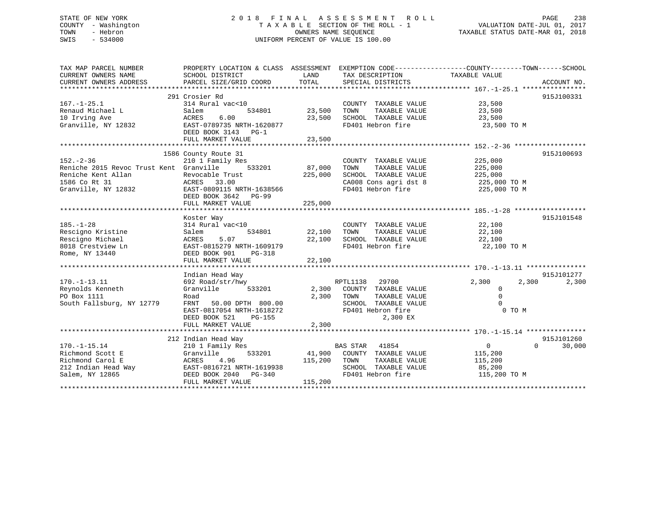## STATE OF NEW YORK 2 0 1 8 F I N A L A S S E S S M E N T R O L L PAGE 238 COUNTY - Washington T A X A B L E SECTION OF THE ROLL - 1 VALUATION DATE-JUL 01, 2017 TOWN - Hebron **CONNERS NAME SEQUENCE** TAXABLE STATUS DATE-MAR 01, 2018 SWIS - 534000 UNIFORM PERCENT OF VALUE IS 100.00

| TAX MAP PARCEL NUMBER                   | PROPERTY LOCATION & CLASS ASSESSMENT EXEMPTION CODE----------------COUNTY-------TOWN------SCHOOL |         |                                            |                      |             |
|-----------------------------------------|--------------------------------------------------------------------------------------------------|---------|--------------------------------------------|----------------------|-------------|
| CURRENT OWNERS NAME                     | SCHOOL DISTRICT                                                                                  | LAND    | TAX DESCRIPTION                            | TAXABLE VALUE        |             |
| CURRENT OWNERS ADDRESS                  | PARCEL SIZE/GRID COORD                                                                           | TOTAL   | SPECIAL DISTRICTS                          |                      | ACCOUNT NO. |
|                                         |                                                                                                  |         |                                            |                      |             |
|                                         | 291 Crosier Rd                                                                                   |         |                                            |                      | 915J100331  |
| $167. - 1 - 25.1$                       | 314 Rural vac<10                                                                                 |         | COUNTY TAXABLE VALUE 23,500                |                      |             |
| Renaud Michael L                        | 534801<br>Salem                                                                                  | 23,500  | TOWN<br>TAXABLE VALUE                      | 23,500               |             |
| 10 Irving Ave                           | 6.00<br>ACRES                                                                                    | 23,500  | SCHOOL TAXABLE VALUE                       | 23,500               |             |
| Granville, NY 12832                     | EAST-0789735 NRTH-1620877                                                                        |         | FD401 Hebron fire                          | 23,500 TO M          |             |
|                                         | DEED BOOK 3143 PG-1                                                                              |         |                                            |                      |             |
|                                         | FULL MARKET VALUE                                                                                | 23,500  |                                            |                      |             |
|                                         |                                                                                                  |         |                                            |                      |             |
|                                         | 1586 County Route 31                                                                             |         |                                            |                      | 915J100693  |
| $152 - 2 - 36$                          | 210 1 Family Res                                                                                 |         | COUNTY TAXABLE VALUE                       | 225,000              |             |
| Reniche 2015 Revoc Trust Kent Granville |                                                                                                  |         | TOWN<br>TAXABLE VALUE                      | 225,000              |             |
| Reniche Kent Allan                      |                                                                                                  | 225,000 | SCHOOL TAXABLE VALUE                       | 225,000              |             |
| 1586 Co Rt 31                           |                                                                                                  |         |                                            | 225,000 TO M         |             |
| Granville, NY 12832                     | Revocable Trust<br>ACRES 33.00<br>EAST-0809115 NRTH-1638566                                      |         | CA008 Cons agri dst 8<br>FD401 Hebron fire | 225,000 TO M         |             |
|                                         | DEED BOOK 3642 PG-99                                                                             |         |                                            |                      |             |
|                                         | FULL MARKET VALUE                                                                                | 225,000 |                                            |                      |             |
|                                         |                                                                                                  |         |                                            |                      |             |
|                                         | Koster Way                                                                                       |         |                                            |                      | 915J101548  |
| $185. - 1 - 28$                         | 314 Rural vac<10                                                                                 |         | COUNTY TAXABLE VALUE                       | 22,100               |             |
| Rescigno Kristine                       | Salem<br>534801                                                                                  | 22,100  | TAXABLE VALUE<br>TOWN                      | 22,100               |             |
| Rescigno Michael                        | 5.07<br>ACRES                                                                                    | 22,100  | SCHOOL TAXABLE VALUE                       | 22,100               |             |
| 8018 Crestview Ln                       | EAST-0815279 NRTH-1609179                                                                        |         | FD401 Hebron fire                          | 22,100 TO M          |             |
| Rome, NY 13440                          | DEED BOOK 901<br>PG-318                                                                          |         |                                            |                      |             |
|                                         |                                                                                                  |         |                                            |                      |             |
|                                         |                                                                                                  |         |                                            |                      |             |
|                                         | Indian Head Way                                                                                  |         |                                            |                      | 915J101277  |
| $170. - 1 - 13.11$                      | 692 Road/str/hwy                                                                                 |         | RPTL1138 29700                             | 2,300<br>2,300       | 2,300       |
| Reynolds Kenneth                        | 533201<br>Granville                                                                              |         | 2,300 COUNTY TAXABLE VALUE                 | $\overline{0}$       |             |
| PO Box 1111                             | Road                                                                                             | 2,300   | TOWN<br>TAXABLE VALUE                      | $\Omega$             |             |
| South Fallsburg, NY 12779               | FRNT 50.00 DPTH 800.00                                                                           |         | SCHOOL TAXABLE VALUE                       |                      |             |
|                                         | EAST-0817054 NRTH-1618272                                                                        |         | FD401 Hebron fire                          | 0 TO M               |             |
|                                         | DEED BOOK 521<br>PG-155                                                                          |         | 2,300 EX                                   |                      |             |
|                                         | FULL MARKET VALUE                                                                                | 2,300   |                                            |                      |             |
|                                         |                                                                                                  |         |                                            |                      |             |
|                                         | 212 Indian Head Way                                                                              |         |                                            |                      | 915J101260  |
| $170. - 1 - 15.14$                      | 210 1 Family Res                                                                                 |         | BAS STAR 41854                             | $\sim$ 0<br>$\Omega$ | 30,000      |
| Richmond Scott E                        | Granville                                                                                        |         | 533201 41,900 COUNTY TAXABLE VALUE         | 115,200              |             |
| Richmond Carol E                        | 115,200 TOWN<br>ACRES 4.96                                                                       |         | TAXABLE VALUE                              | 115,200              |             |
| 212 Indian Head Way                     |                                                                                                  |         | SCHOOL TAXABLE VALUE                       | 85,200               |             |
| Salem, NY 12865                         | ACRES 4.96<br>EAST-0816721 NRTH-1619938<br>DEED BOOK 2040 PG-340                                 |         | FD401 Hebron fire                          | 115,200 TO M         |             |
|                                         | FULL MARKET VALUE                                                                                | 115,200 |                                            |                      |             |
|                                         |                                                                                                  |         |                                            |                      |             |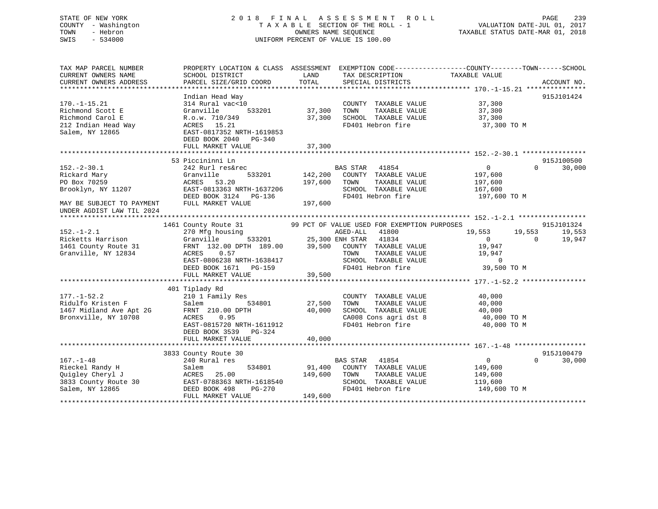## STATE OF NEW YORK 2 0 1 8 F I N A L A S S E S S M E N T R O L L PAGE 239 COUNTY - Washington T A X A B L E SECTION OF THE ROLL - 1 VALUATION DATE-JUL 01, 2017 TOWN - Hebron OWNERS NAME SEQUENCE TAXABLE STATUS DATE-MAR 01, 2018 SWIS - 534000 UNIFORM PERCENT OF VALUE IS 100.00

| TAX MAP PARCEL NUMBER<br>CURRENT OWNERS NAME<br>CURRENT OWNERS ADDRESS                               | SCHOOL DISTRICT<br>PARCEL SIZE/GRID COORD                                                                                                                                     | LAND<br>TAX DESCRIPTION<br>TOTAL<br>SPECIAL DISTRICTS                                                                                                                                                                                                                                                          | PROPERTY LOCATION & CLASS ASSESSMENT EXEMPTION CODE---------------COUNTY-------TOWN-----SCHOOL<br>TAXABLE VALUE<br>ACCOUNT NO.  |
|------------------------------------------------------------------------------------------------------|-------------------------------------------------------------------------------------------------------------------------------------------------------------------------------|----------------------------------------------------------------------------------------------------------------------------------------------------------------------------------------------------------------------------------------------------------------------------------------------------------------|---------------------------------------------------------------------------------------------------------------------------------|
| $170. - 1 - 15.21$<br>Richmond Scott E<br>Richmond Carol E<br>212 Indian Head Way<br>Salem, NY 12865 | Indian Head Way<br>314 Rural vac<10<br>533201 37,300<br>Granville<br>R.o.w. 710/349<br>ACRES 15.21<br>EAST-0817352 NRTH-1619853<br>DEED BOOK 2040 PG-340<br>FULL MARKET VALUE | COUNTY TAXABLE VALUE 37,300<br>37,300 TOWN TAXABLE VALUE 37,300<br>37,300 SCHOOL TAXABLE VALUE 37,300<br>FD401 Hebron fire 37,300 TO M<br>37,300                                                                                                                                                               | 915J101424                                                                                                                      |
| $152 - 2 - 30.1$<br>Rickard Mary<br>UNDER AGDIST LAW TIL 2024                                        | 53 Piccininni Ln<br>Granville                                                                                                                                                 | 533201 142,200 COUNTY TAXABLE VALUE 197,600<br>TAXABLE VALUE<br>SCHOOL TAXABLE VALUE 167,600<br>FD401 Hebron fire 197,600 TO M                                                                                                                                                                                 | 915J100500<br>$\overline{0}$<br>$\Omega$<br>30,000<br>197,600                                                                   |
| $152. - 1 - 2.1$                                                                                     | EAST-0806238 NRTH-1638417<br>DEED BOOK 1671 PG-159<br>FULL MARKET VALUE                                                                                                       | 1461 County Route 31 99 PCT OF VALUE USED FOR EXEMPTION PURPOSES<br>270 Mfg housing 60 BOS AGED-ALL 41800<br>RICKELLS Harrison<br>1461 County Route 31 FRNT 132.00 DPTH 189.00 39,500 ENH STAR 41834<br>Granville, NY 12834 ACRES 0.57<br>TAXABLE VALUE<br>SCHOOL TAXABLE VALUE<br>FD401 Hebron fire<br>39,500 | 915J101324<br>19,553<br>19,553<br>19,553<br>$\overline{0}$<br>$\Omega$<br>19,947<br>19,947<br>19,947<br>$\Omega$<br>39,500 TO M |
| $177. - 1 - 52.2$<br>Ridulfo Kristen F<br>Bronxville, NY 10708                                       | 401 Tiplady Rd<br>$210$ 1 Family Res<br>Salem<br>ACRES<br>0.95<br>EAST-0815720 NRTH-1611912<br>DEED BOOK 3539 PG-324<br>FULL MARKET VALUE                                     | COUNTY TAXABLE VALUE<br>534801 27,500<br>TOWN<br>SCHOOL TAXABLE VALUE $40,000$<br>CA008 Cons agri dst 8 $40,000$ TO M<br>FD401 Hebron fire $40,000$ TO M<br>40,000                                                                                                                                             | 40,000<br>TAXABLE VALUE 40,000                                                                                                  |
| $167. - 1 - 48$<br>Rieckel Randy H                                                                   | 3833 County Route 30<br>240 Rural res<br>240 Rural res<br>Salem<br>FULL MARKET VALUE                                                                                          | BAS STAR 41854<br>534801 91,400 COUNTY TAXABLE VALUE 149,600<br>Cuigley Cheryl J<br>2833 County Route 30<br>Salem, NY 12865<br>2833 County Route 30<br>28498 PG-270<br>29401 Hebron fire<br>29401 Hebron fire<br>29401 Hebron fire<br>29401 Hebron fire<br>FD401 Hebron fire 149,600 TO M<br>149,600           | 915J100479<br>$\overline{0}$<br>$\Omega$<br>30,000<br>149,600<br>119,600                                                        |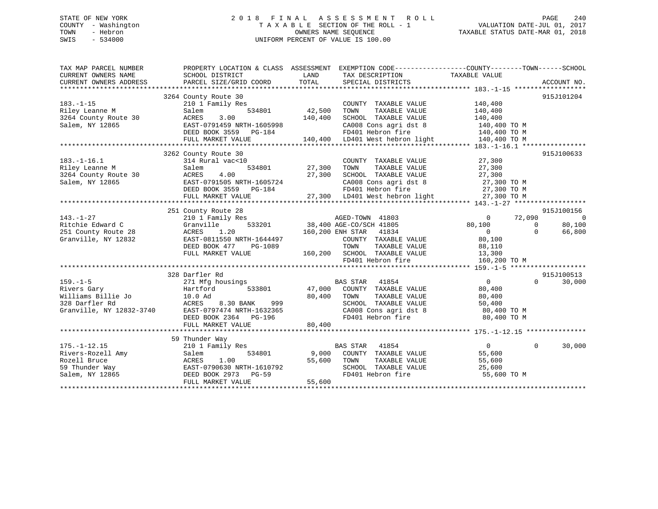## STATE OF NEW YORK 2 0 1 8 F I N A L A S S E S S M E N T R O L L PAGE 240 COUNTY - Washington T A X A B L E SECTION OF THE ROLL - 1 VALUATION DATE-JUL 01, 2017 TOWN - Hebron OWNERS NAME SEQUENCE TAXABLE STATUS DATE-MAR 01, 2018 SWIS - 534000 UNIFORM PERCENT OF VALUE IS 100.00

| PARCEL SIZE/GRID COORD<br>SPECIAL DISTRICTS<br>CURRENT OWNERS ADDRESS<br>ACCOUNT NO.<br>915J101204<br>3264 County Route 30<br>$183. - 1 - 15$<br>210 1 Family Res<br>COUNTY TAXABLE VALUE<br>140,400<br>534801<br>Riley Leanne M<br>42,500<br>TAXABLE VALUE<br>140,400<br>Salem<br>TOWN<br>140,400<br>3264 County Route 30<br>ACRES<br>3.00<br>SCHOOL TAXABLE VALUE<br>140,400<br>Salem, NY 12865<br>EAST-0791459 NRTH-1605998<br>CA008 Cons agri dst 8<br>140,400 TO M<br>FD401 Hebron fire<br>DEED BOOK 3559 PG-184<br>140,400 TO M<br>140,400 LD401 West hebron light 140,400 TO M<br>FULL MARKET VALUE<br>915J100633<br>3262 County Route 30<br>$183. - 1 - 16.1$<br>314 Rural vac<10<br>27,300<br>COUNTY TAXABLE VALUE<br>534801<br>27,300<br>Riley Leanne M<br>Salem<br>TOWN<br>TAXABLE VALUE<br>27,300<br>3264 County Route 30<br>ACRES<br>4.00<br>27,300<br>SCHOOL TAXABLE VALUE<br>27,300 | TAX MAP PARCEL NUMBER<br>CURRENT OWNERS NAME | PROPERTY LOCATION & CLASS ASSESSMENT EXEMPTION CODE---------------COUNTY-------TOWN-----SCHOOL<br>SCHOOL DISTRICT | LAND  | TAX DESCRIPTION | TAXABLE VALUE |                |
|----------------------------------------------------------------------------------------------------------------------------------------------------------------------------------------------------------------------------------------------------------------------------------------------------------------------------------------------------------------------------------------------------------------------------------------------------------------------------------------------------------------------------------------------------------------------------------------------------------------------------------------------------------------------------------------------------------------------------------------------------------------------------------------------------------------------------------------------------------------------------------------------------|----------------------------------------------|-------------------------------------------------------------------------------------------------------------------|-------|-----------------|---------------|----------------|
|                                                                                                                                                                                                                                                                                                                                                                                                                                                                                                                                                                                                                                                                                                                                                                                                                                                                                                    |                                              |                                                                                                                   | TOTAL |                 |               |                |
|                                                                                                                                                                                                                                                                                                                                                                                                                                                                                                                                                                                                                                                                                                                                                                                                                                                                                                    |                                              |                                                                                                                   |       |                 |               |                |
|                                                                                                                                                                                                                                                                                                                                                                                                                                                                                                                                                                                                                                                                                                                                                                                                                                                                                                    |                                              |                                                                                                                   |       |                 |               |                |
|                                                                                                                                                                                                                                                                                                                                                                                                                                                                                                                                                                                                                                                                                                                                                                                                                                                                                                    |                                              |                                                                                                                   |       |                 |               |                |
|                                                                                                                                                                                                                                                                                                                                                                                                                                                                                                                                                                                                                                                                                                                                                                                                                                                                                                    |                                              |                                                                                                                   |       |                 |               |                |
|                                                                                                                                                                                                                                                                                                                                                                                                                                                                                                                                                                                                                                                                                                                                                                                                                                                                                                    |                                              |                                                                                                                   |       |                 |               |                |
|                                                                                                                                                                                                                                                                                                                                                                                                                                                                                                                                                                                                                                                                                                                                                                                                                                                                                                    |                                              |                                                                                                                   |       |                 |               |                |
|                                                                                                                                                                                                                                                                                                                                                                                                                                                                                                                                                                                                                                                                                                                                                                                                                                                                                                    |                                              |                                                                                                                   |       |                 |               |                |
|                                                                                                                                                                                                                                                                                                                                                                                                                                                                                                                                                                                                                                                                                                                                                                                                                                                                                                    |                                              |                                                                                                                   |       |                 |               |                |
|                                                                                                                                                                                                                                                                                                                                                                                                                                                                                                                                                                                                                                                                                                                                                                                                                                                                                                    |                                              |                                                                                                                   |       |                 |               |                |
|                                                                                                                                                                                                                                                                                                                                                                                                                                                                                                                                                                                                                                                                                                                                                                                                                                                                                                    |                                              |                                                                                                                   |       |                 |               |                |
|                                                                                                                                                                                                                                                                                                                                                                                                                                                                                                                                                                                                                                                                                                                                                                                                                                                                                                    |                                              |                                                                                                                   |       |                 |               |                |
|                                                                                                                                                                                                                                                                                                                                                                                                                                                                                                                                                                                                                                                                                                                                                                                                                                                                                                    |                                              |                                                                                                                   |       |                 |               |                |
|                                                                                                                                                                                                                                                                                                                                                                                                                                                                                                                                                                                                                                                                                                                                                                                                                                                                                                    |                                              |                                                                                                                   |       |                 |               |                |
| 27,300 TO M<br>Salem, NY 12865<br>EAST-0791505 NRTH-1605724<br>CA008 Cons agri dst 8                                                                                                                                                                                                                                                                                                                                                                                                                                                                                                                                                                                                                                                                                                                                                                                                               |                                              |                                                                                                                   |       |                 |               |                |
| FD401 Hebron fire<br>27,300 TO M<br>DEED BOOK 3559 PG-184                                                                                                                                                                                                                                                                                                                                                                                                                                                                                                                                                                                                                                                                                                                                                                                                                                          |                                              |                                                                                                                   |       |                 |               |                |
| $\begin{array}{ccccccccccc}\n & \text{Lieb} & \text{Coc} & \text{Coc} & \text{Coc} & \text{Coc} & \text{Coc} & \text{Coc} & \text{Coc} & \text{Coc} & \text{Coc} & \text{Coc} & \text{Coc} & \text{Coc} & \text{Coc} & \text{Coc} & \text{Coc} & \text{Coc} & \text{Coc} & \text{Coc} & \text{Coc} & \text{Coc} & \text{Coc} & \text{Coc} & \text{Coc} & \text{Coc} & \text{Coc} & \text{Coc} & \text{Coc} & \text{Coc} & \text{Coc$                                                                                                                                                                                                                                                                                                                                                                                                                                                               |                                              |                                                                                                                   |       |                 |               |                |
|                                                                                                                                                                                                                                                                                                                                                                                                                                                                                                                                                                                                                                                                                                                                                                                                                                                                                                    |                                              |                                                                                                                   |       |                 |               |                |
| 915J100156<br>251 County Route 28                                                                                                                                                                                                                                                                                                                                                                                                                                                                                                                                                                                                                                                                                                                                                                                                                                                                  |                                              |                                                                                                                   |       |                 |               |                |
| 72,090<br>$143. - 1 - 27$<br>210 1 Family Res<br>AGED-TOWN 41803<br>$\mathbf{0}$                                                                                                                                                                                                                                                                                                                                                                                                                                                                                                                                                                                                                                                                                                                                                                                                                   |                                              |                                                                                                                   |       |                 |               | $\overline{0}$ |
| Ritchie Edward C<br>533201<br>38,400 AGE-CO/SCH 41805<br>Granville<br>80,100<br>$\Omega$                                                                                                                                                                                                                                                                                                                                                                                                                                                                                                                                                                                                                                                                                                                                                                                                           |                                              |                                                                                                                   |       |                 |               | 80,100         |
| 251 County Route 28<br>ACRES<br>1.20<br>160,200 ENH STAR 41834<br>$\Omega$<br>$\Omega$                                                                                                                                                                                                                                                                                                                                                                                                                                                                                                                                                                                                                                                                                                                                                                                                             |                                              |                                                                                                                   |       |                 |               | 66,800         |
| Granville, NY 12832<br>EAST-0811550 NRTH-1644497<br>COUNTY TAXABLE VALUE<br>80,100                                                                                                                                                                                                                                                                                                                                                                                                                                                                                                                                                                                                                                                                                                                                                                                                                 |                                              |                                                                                                                   |       |                 |               |                |
| DEED BOOK 477<br>PG-1089<br>TOWN<br>TAXABLE VALUE<br>88,110                                                                                                                                                                                                                                                                                                                                                                                                                                                                                                                                                                                                                                                                                                                                                                                                                                        |                                              |                                                                                                                   |       |                 |               |                |
| FULL MARKET VALUE<br>160,200 SCHOOL TAXABLE VALUE<br>13,300                                                                                                                                                                                                                                                                                                                                                                                                                                                                                                                                                                                                                                                                                                                                                                                                                                        |                                              |                                                                                                                   |       |                 |               |                |
| FD401 Hebron fire<br>160,200 TO M                                                                                                                                                                                                                                                                                                                                                                                                                                                                                                                                                                                                                                                                                                                                                                                                                                                                  |                                              |                                                                                                                   |       |                 |               |                |
|                                                                                                                                                                                                                                                                                                                                                                                                                                                                                                                                                                                                                                                                                                                                                                                                                                                                                                    |                                              |                                                                                                                   |       |                 |               |                |
| 915J100513<br>328 Darfler Rd                                                                                                                                                                                                                                                                                                                                                                                                                                                                                                                                                                                                                                                                                                                                                                                                                                                                       |                                              |                                                                                                                   |       |                 |               |                |
| $159. - 1 - 5$<br><b>BAS STAR</b><br>41854<br>$\overline{0}$<br>271 Mfg housings<br>$\Omega$                                                                                                                                                                                                                                                                                                                                                                                                                                                                                                                                                                                                                                                                                                                                                                                                       |                                              |                                                                                                                   |       |                 |               | 30,000         |
| 533801<br>47,000 COUNTY TAXABLE VALUE<br>Rivers Gary<br>Hartford<br>80,400                                                                                                                                                                                                                                                                                                                                                                                                                                                                                                                                                                                                                                                                                                                                                                                                                         |                                              |                                                                                                                   |       |                 |               |                |
| Williams Billie Jo<br>80,400<br>10.0 Ad<br>TAXABLE VALUE<br>80,400<br>TOWN                                                                                                                                                                                                                                                                                                                                                                                                                                                                                                                                                                                                                                                                                                                                                                                                                         |                                              |                                                                                                                   |       |                 |               |                |
| 328 Darfler Rd<br>ACRES<br>8.30 BANK<br>999<br>SCHOOL TAXABLE VALUE<br>50,400                                                                                                                                                                                                                                                                                                                                                                                                                                                                                                                                                                                                                                                                                                                                                                                                                      |                                              |                                                                                                                   |       |                 |               |                |
| Granville, NY 12832-3740<br>EAST-0797474 NRTH-1632365<br>CA008 Cons agri dst 8<br>80,400 TO M                                                                                                                                                                                                                                                                                                                                                                                                                                                                                                                                                                                                                                                                                                                                                                                                      |                                              |                                                                                                                   |       |                 |               |                |
| DEED BOOK 2364 PG-196<br>FD401 Hebron fire<br>80,400 TO M                                                                                                                                                                                                                                                                                                                                                                                                                                                                                                                                                                                                                                                                                                                                                                                                                                          |                                              |                                                                                                                   |       |                 |               |                |
| 80,400<br>FULL MARKET VALUE                                                                                                                                                                                                                                                                                                                                                                                                                                                                                                                                                                                                                                                                                                                                                                                                                                                                        |                                              |                                                                                                                   |       |                 |               |                |
|                                                                                                                                                                                                                                                                                                                                                                                                                                                                                                                                                                                                                                                                                                                                                                                                                                                                                                    |                                              |                                                                                                                   |       |                 |               |                |
| 59 Thunder Way                                                                                                                                                                                                                                                                                                                                                                                                                                                                                                                                                                                                                                                                                                                                                                                                                                                                                     |                                              |                                                                                                                   |       |                 |               |                |
| $175. - 1 - 12.15$<br>$\overline{0}$<br>BAS STAR 41854<br>$\Omega$<br>210 1 Family Res                                                                                                                                                                                                                                                                                                                                                                                                                                                                                                                                                                                                                                                                                                                                                                                                             |                                              |                                                                                                                   |       |                 |               | 30,000         |
| Rivers-Rozell Amy<br>534801<br>9,000<br>COUNTY TAXABLE VALUE<br>55,600<br>Salem                                                                                                                                                                                                                                                                                                                                                                                                                                                                                                                                                                                                                                                                                                                                                                                                                    |                                              |                                                                                                                   |       |                 |               |                |
| Rozell Bruce<br>1.00<br>55,600<br>TOWN<br>TAXABLE VALUE<br>55,600<br>ACRES                                                                                                                                                                                                                                                                                                                                                                                                                                                                                                                                                                                                                                                                                                                                                                                                                         |                                              |                                                                                                                   |       |                 |               |                |
| 59 Thunder Way<br>SCHOOL TAXABLE VALUE<br>EAST-0790630 NRTH-1610792<br>25,600                                                                                                                                                                                                                                                                                                                                                                                                                                                                                                                                                                                                                                                                                                                                                                                                                      |                                              |                                                                                                                   |       |                 |               |                |
| Salem, NY 12865<br>DEED BOOK 2973<br>$PG-59$<br>FD401 Hebron fire<br>55,600 TO M                                                                                                                                                                                                                                                                                                                                                                                                                                                                                                                                                                                                                                                                                                                                                                                                                   |                                              |                                                                                                                   |       |                 |               |                |
| 55,600<br>FULL MARKET VALUE                                                                                                                                                                                                                                                                                                                                                                                                                                                                                                                                                                                                                                                                                                                                                                                                                                                                        |                                              |                                                                                                                   |       |                 |               |                |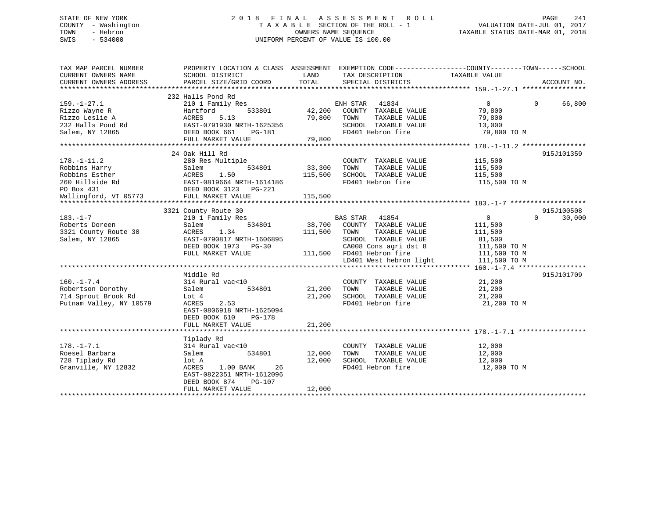## STATE OF NEW YORK 2 0 1 8 F I N A L A S S E S S M E N T R O L L PAGE 241 COUNTY - Washington T A X A B L E SECTION OF THE ROLL - 1 VALUATION DATE-JUL 01, 2017 TOWN - Hebron OWNERS NAME SEQUENCE TAXABLE STATUS DATE-MAR 01, 2018 SWIS - 534000 UNIFORM PERCENT OF VALUE IS 100.00

| TAX MAP PARCEL NUMBER<br>CURRENT OWNERS NAME | PROPERTY LOCATION & CLASS ASSESSMENT EXEMPTION CODE---------------COUNTY-------TOWN-----SCHOOL<br>SCHOOL DISTRICT | LAND    | TAX DESCRIPTION                      | TAXABLE VALUE  |                    |
|----------------------------------------------|-------------------------------------------------------------------------------------------------------------------|---------|--------------------------------------|----------------|--------------------|
| CURRENT OWNERS ADDRESS                       | PARCEL SIZE/GRID COORD                                                                                            | TOTAL   | SPECIAL DISTRICTS                    |                | ACCOUNT NO.        |
|                                              |                                                                                                                   |         |                                      |                |                    |
|                                              | 232 Halls Pond Rd                                                                                                 |         |                                      |                |                    |
| $159. - 1 - 27.1$                            | 210 1 Family Res                                                                                                  |         | ENH STAR<br>41834                    | $\overline{0}$ | $\Omega$<br>66,800 |
| Rizzo Wayne R                                | Hartford<br>533801                                                                                                | 42,200  | COUNTY TAXABLE VALUE                 | 79,800         |                    |
| Rizzo Leslie A                               | 5.13<br>ACRES                                                                                                     | 79,800  | TAXABLE VALUE<br>TOWN                | 79,800         |                    |
| 232 Halls Pond Rd                            | EAST-0791930 NRTH-1625356                                                                                         |         | SCHOOL TAXABLE VALUE                 | 13,000         |                    |
| Salem, NY 12865                              | DEED BOOK 661<br>PG-181                                                                                           |         | FD401 Hebron fire                    | 79,800 TO M    |                    |
|                                              | FULL MARKET VALUE                                                                                                 | 79,800  |                                      |                |                    |
|                                              |                                                                                                                   |         |                                      |                |                    |
|                                              | 24 Oak Hill Rd                                                                                                    |         |                                      |                | 915J101359         |
| $178. - 1 - 11.2$                            | 280 Res Multiple                                                                                                  |         | COUNTY TAXABLE VALUE                 | 115,500        |                    |
| Robbins Harry                                | Salem<br>534801                                                                                                   | 33,300  | TOWN<br>TAXABLE VALUE                | 115,500        |                    |
| Robbins Esther                               | ACRES<br>1.50                                                                                                     | 115,500 | SCHOOL TAXABLE VALUE                 | 115,500        |                    |
| 260 Hillside Rd                              | EAST-0819664 NRTH-1614186                                                                                         |         | FD401 Hebron fire                    | 115,500 TO M   |                    |
| PO Box 431                                   | DEED BOOK 3123<br>PG-221                                                                                          |         |                                      |                |                    |
| Wallingford, VT 05773                        | FULL MARKET VALUE                                                                                                 | 115,500 |                                      |                |                    |
|                                              |                                                                                                                   |         |                                      |                |                    |
|                                              | 3321 County Route 30                                                                                              |         |                                      |                | 915J100508         |
| $183. - 1 - 7$                               | 210 1 Family Res                                                                                                  |         | <b>BAS STAR</b><br>41854             | $\overline{0}$ | $\Omega$<br>30,000 |
| Roberts Doreen                               | 534801<br>Salem                                                                                                   | 38,700  | COUNTY TAXABLE VALUE                 | 111,500        |                    |
| 3321 County Route 30                         | ACRES<br>1.34                                                                                                     | 111,500 | TAXABLE VALUE<br>TOWN                | 111,500        |                    |
| Salem, NY 12865                              | EAST-0790817 NRTH-1606895                                                                                         |         | SCHOOL TAXABLE VALUE                 | 81,500         |                    |
|                                              | DEED BOOK 1973 PG-30                                                                                              |         | CA008 Cons agri dst 8                | 111,500 TO M   |                    |
|                                              | FULL MARKET VALUE                                                                                                 |         | 111,500 FD401 Hebron fire            |                |                    |
|                                              |                                                                                                                   |         |                                      | 111,500 TO M   |                    |
|                                              |                                                                                                                   |         | LD401 West hebron light              | 111,500 TO M   |                    |
|                                              |                                                                                                                   |         |                                      |                |                    |
|                                              | Middle Rd                                                                                                         |         |                                      |                | 915J101709         |
| $160. - 1 - 7.4$                             | 314 Rural vac<10                                                                                                  |         | COUNTY TAXABLE VALUE                 | 21,200         |                    |
| Robertson Dorothy                            | 534801<br>Salem                                                                                                   | 21,200  | TAXABLE VALUE<br>TOWN                | 21,200         |                    |
| 714 Sprout Brook Rd                          | Lot 4                                                                                                             | 21,200  | SCHOOL TAXABLE VALUE                 | 21,200         |                    |
| Putnam Valley, NY 10579                      | ACRES<br>2.53                                                                                                     |         | FD401 Hebron fire                    | 21,200 TO M    |                    |
|                                              | EAST-0806918 NRTH-1625094                                                                                         |         |                                      |                |                    |
|                                              | DEED BOOK 610<br>PG-178                                                                                           |         |                                      |                |                    |
|                                              | FULL MARKET VALUE                                                                                                 | 21,200  |                                      |                |                    |
|                                              |                                                                                                                   |         |                                      |                |                    |
|                                              | Tiplady Rd                                                                                                        |         |                                      |                |                    |
| $178. - 1 - 7.1$                             | 314 Rural vac<10                                                                                                  |         | COUNTY TAXABLE VALUE                 | 12,000         |                    |
| Roesel Barbara                               | Salem<br>534801                                                                                                   | 12,000  | TAXABLE VALUE<br>TOWN                | 12,000         |                    |
| 728 Tiplady Rd                               | lot A                                                                                                             | 12,000  | SCHOOL TAXABLE VALUE                 | 12,000         |                    |
| Granville, NY 12832                          | ACRES<br>1.00 BANK<br>26                                                                                          |         | FD401 Hebron fire                    | 12,000 TO M    |                    |
|                                              | EAST-0822351 NRTH-1612096                                                                                         |         |                                      |                |                    |
|                                              | DEED BOOK 874<br>PG-107                                                                                           |         |                                      |                |                    |
|                                              | FULL MARKET VALUE                                                                                                 | 12,000  |                                      |                |                    |
|                                              |                                                                                                                   |         | ************************************ |                |                    |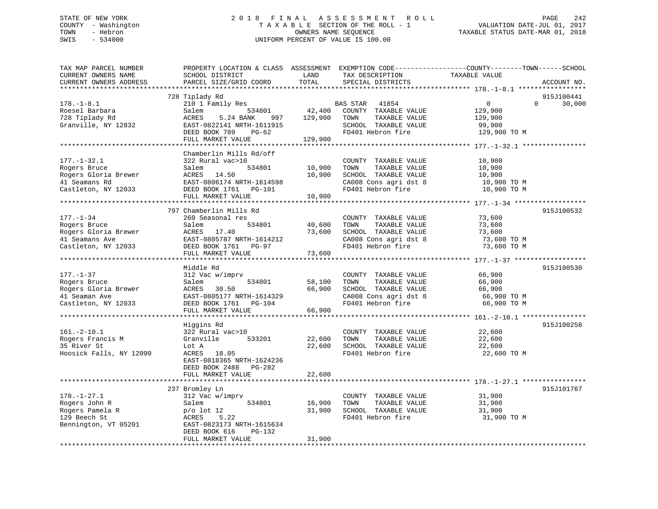## STATE OF NEW YORK 2 0 1 8 F I N A L A S S E S S M E N T R O L L PAGE 242 COUNTY - Washington T A X A B L E SECTION OF THE ROLL - 1 VALUATION DATE-JUL 01, 2017 TOWN - Hebron OWNERS NAME SEQUENCE TAXABLE STATUS DATE-MAR 01, 2018 SWIS - 534000 UNIFORM PERCENT OF VALUE IS 100.00

| TAX MAP PARCEL NUMBER<br>CURRENT OWNERS NAME<br>CURRENT OWNERS ADDRESS     | PROPERTY LOCATION & CLASS ASSESSMENT EXEMPTION CODE----------------COUNTY-------TOWN------SCHOOL<br>SCHOOL DISTRICT<br>PARCEL SIZE/GRID COORD | LAND<br>TOTAL     | TAX DESCRIPTION<br>SPECIAL DISTRICTS                                                           | TAXABLE VALUE                                    | ACCOUNT NO.          |
|----------------------------------------------------------------------------|-----------------------------------------------------------------------------------------------------------------------------------------------|-------------------|------------------------------------------------------------------------------------------------|--------------------------------------------------|----------------------|
|                                                                            |                                                                                                                                               |                   |                                                                                                |                                                  |                      |
| $178. - 1 - 8.1$<br>Roesel Barbara<br>728 Tiplady Rd                       | 728 Tiplady Rd<br>210 1 Family Res<br>Salem<br>534801<br>ACRES<br>5.24 BANK<br>997                                                            | 42,400<br>129,900 | BAS STAR<br>41854<br>COUNTY TAXABLE VALUE<br>TOWN<br>TAXABLE VALUE                             | $\overline{0}$<br>$\Omega$<br>129,900<br>129,900 | 915J100441<br>30,000 |
| Granville, NY 12832                                                        | EAST-0822141 NRTH-1611915<br>DEED BOOK 789<br>PG-62<br>FULL MARKET VALUE                                                                      | 129,900           | SCHOOL TAXABLE VALUE<br>FD401 Hebron fire                                                      | 99,900<br>129,900 TO M                           |                      |
|                                                                            |                                                                                                                                               |                   |                                                                                                |                                                  |                      |
|                                                                            | Chamberlin Mills Rd/off                                                                                                                       |                   |                                                                                                |                                                  |                      |
| $177. - 1 - 32.1$<br>Rogers Bruce<br>Rogers Gloria Brewer<br>41 Seamans Rd | 322 Rural vac>10<br>534801<br>Salem<br>ACRES 14.50<br>EAST-0806174 NRTH-1614598                                                               | 10,900<br>10,900  | COUNTY TAXABLE VALUE<br>TOWN<br>TAXABLE VALUE<br>SCHOOL TAXABLE VALUE<br>CA008 Cons agri dst 8 | 10,900<br>10,900<br>10,900<br>10,900 TO M        |                      |
| Castleton, NY 12033                                                        | DEED BOOK 1761    PG-101                                                                                                                      |                   | FD401 Hebron fire                                                                              | 10,900 TO M                                      |                      |
|                                                                            | FULL MARKET VALUE                                                                                                                             | 10,900            |                                                                                                |                                                  |                      |
|                                                                            |                                                                                                                                               |                   |                                                                                                |                                                  |                      |
|                                                                            | 797 Chamberlin Mills Rd                                                                                                                       |                   |                                                                                                |                                                  | 915J100532           |
| $177. - 1 - 34$                                                            | 260 Seasonal res                                                                                                                              |                   | COUNTY TAXABLE VALUE                                                                           | 73,600                                           |                      |
| Rogers Bruce                                                               | Salem<br>534801                                                                                                                               | 40,600            | TOWN<br>TAXABLE VALUE                                                                          | 73,600                                           |                      |
| Rogers Gloria Brewer                                                       | ACRES 17.40                                                                                                                                   | 73,600            | SCHOOL TAXABLE VALUE                                                                           | 73,600                                           |                      |
| 41 Seamans Ave                                                             | EAST-0805787 NRTH-1614212                                                                                                                     |                   | CA008 Cons agri dst 8                                                                          | 73,600 TO M                                      |                      |
| Castleton, NY 12033                                                        | DEED BOOK 1761 PG-97<br>FULL MARKET VALUE                                                                                                     | 73,600            | FD401 Hebron fire                                                                              | 73,600 TO M                                      |                      |
|                                                                            |                                                                                                                                               |                   |                                                                                                |                                                  |                      |
|                                                                            | Middle Rd                                                                                                                                     |                   |                                                                                                |                                                  | 915J100530           |
| $177. - 1 - 37$                                                            | 312 Vac w/imprv                                                                                                                               |                   | COUNTY TAXABLE VALUE                                                                           | 66,900                                           |                      |
| Rogers Bruce                                                               | 534801<br>Salem                                                                                                                               | 58,100            | TOWN<br>TAXABLE VALUE                                                                          | 66,900                                           |                      |
| Rogers Gloria Brewer                                                       | ACRES 30.50                                                                                                                                   | 66,900            | SCHOOL TAXABLE VALUE                                                                           | 66,900                                           |                      |
| 41 Seaman Ave                                                              | EAST-0805177 NRTH-1614329                                                                                                                     |                   | CA008 Cons agri dst 8                                                                          | 66,900 TO M                                      |                      |
| Castleton, NY 12033                                                        | DEED BOOK 1761 PG-104                                                                                                                         | 66,900            | FD401 Hebron fire                                                                              | 66,900 TO M                                      |                      |
|                                                                            | FULL MARKET VALUE                                                                                                                             |                   |                                                                                                |                                                  |                      |
|                                                                            | Higgins Rd                                                                                                                                    |                   |                                                                                                |                                                  | 915J100258           |
| $161.-2-10.1$                                                              | 322 Rural vac>10                                                                                                                              |                   | COUNTY TAXABLE VALUE                                                                           | 22,600                                           |                      |
| Rogers Francis M                                                           | Granville<br>533201                                                                                                                           | 22,600            | TOWN<br>TAXABLE VALUE                                                                          | 22,600                                           |                      |
| 35 River St                                                                | Lot A                                                                                                                                         | 22,600            | SCHOOL TAXABLE VALUE                                                                           | 22,600                                           |                      |
| Hoosick Falls, NY 12090                                                    | ACRES 18.05<br>EAST-0818365 NRTH-1624236<br>DEED BOOK 2488 PG-282<br>FULL MARKET VALUE                                                        | 22,600            | FD401 Hebron fire                                                                              | 22,600 TO M                                      |                      |
|                                                                            | ***********************                                                                                                                       |                   |                                                                                                |                                                  |                      |
|                                                                            | 237 Bromley Ln                                                                                                                                |                   |                                                                                                |                                                  | 915J101767           |
| $178. - 1 - 27.1$                                                          | 312 Vac w/imprv                                                                                                                               |                   | COUNTY TAXABLE VALUE                                                                           | 31,900                                           |                      |
| Rogers John R                                                              | 534801<br>Salem                                                                                                                               | 16,900            | TOWN<br>TAXABLE VALUE                                                                          | 31,900                                           |                      |
| Rogers Pamela R                                                            | $p$ o lot 12                                                                                                                                  | 31,900            | SCHOOL TAXABLE VALUE                                                                           | 31,900                                           |                      |
| 129 Beech St                                                               | 5.22<br>ACRES                                                                                                                                 |                   | FD401 Hebron fire                                                                              | 31,900 TO M                                      |                      |
| Bennington, VT 05201                                                       | EAST-0823173 NRTH-1615634<br>DEED BOOK 616<br>$PG-132$                                                                                        |                   |                                                                                                |                                                  |                      |
|                                                                            | FULL MARKET VALUE                                                                                                                             | 31,900            |                                                                                                |                                                  |                      |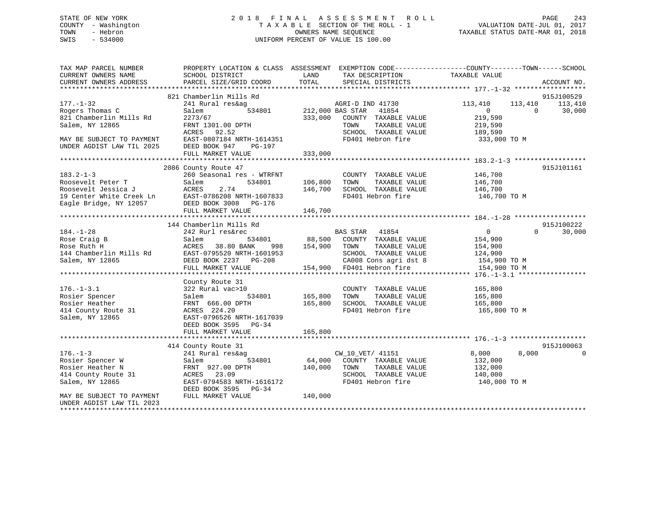## STATE OF NEW YORK 2 0 1 8 F I N A L A S S E S S M E N T R O L L PAGE 243 COUNTY - Washington T A X A B L E SECTION OF THE ROLL - 1 VALUATION DATE-JUL 01, 2017 TOWN - Hebron OWNERS NAME SEQUENCE TAXABLE STATUS DATE-MAR 01, 2018 SWIS - 534000 UNIFORM PERCENT OF VALUE IS 100.00

| TAX MAP PARCEL NUMBER<br>CURRENT OWNERS NAME<br>CURRENT OWNERS ADDRESS                                                                                                              | <b>EXAMPLE THE STATE OF STATE OF STATE</b><br>SCHOOL DISTRICT<br>PARCEL SIZE/GRID COORD                                                                                                                                                                  | TAX DESCRIPTION<br>SDECIAL DISTRICTS<br>TOTAL<br>SPECIAL DISTRICTS                                                                                                          | PROPERTY LOCATION & CLASS ASSESSMENT EXEMPTION CODE----------------COUNTY-------TOWN------SCHOOL<br>TAXABLE VALUE<br>ACCOUNT NO.           |
|-------------------------------------------------------------------------------------------------------------------------------------------------------------------------------------|----------------------------------------------------------------------------------------------------------------------------------------------------------------------------------------------------------------------------------------------------------|-----------------------------------------------------------------------------------------------------------------------------------------------------------------------------|--------------------------------------------------------------------------------------------------------------------------------------------|
| $177. - 1 - 32$<br>Rogers Thomas C<br>821 Chamberlin Mills Rd<br>Salem, NY 12865<br>MAY BE SUBJECT TO PAYMENT<br>UNDER AGDIST LAW TIL 2025                                          | 821 Chamberlin Mills Rd<br>241 Rural res&ag<br>Salem<br>2273/67<br>FRNT 1301.00 DPTH<br>ACRES 92.52<br>EAST-0807184 NRTH-1614351<br>DEED BOOK 947<br>PG-197<br>FULL MARKET VALUE                                                                         | AGRI-D IND 41730<br>$\overline{212,000}$ BAS STAR<br>41854<br>333,000 COUNTY TAXABLE VALUE<br>TAXABLE VALUE<br>TOWN<br>SCHOOL TAXABLE VALUE<br>FD401 Hebron fire<br>333,000 | 915J100529<br>113,410<br>113,410<br>113,410<br>$\overline{0}$<br>$\overline{0}$<br>30,000<br>219,590<br>219,590<br>189,590<br>333,000 TO M |
| $183.2 - 1 - 3$                                                                                                                                                                     | 2086 County Route 47<br>260 Seasonal res - WTRFNT<br>Roosevelt Peter T<br>Roosevelt Jessica J<br>Roosevelt Jessica J<br>19 Center White Creek Ln<br>East-0786208 NRTH-1607833<br>Eagle Bridge, NY 12057<br>DEED BOOK 3008<br>PG-176<br>FULL MARKET VALUE | COUNTY TAXABLE VALUE<br>106,800 TOWN<br>TAXABLE VALUE<br>SCHOOL TAXABLE VALUE 146,700<br>146,700<br>FD401 Hebron fire<br>146,700                                            | 915J101161<br>146,700<br>146,700<br>146,700 TO M                                                                                           |
| $184. - 1 - 28$<br>Rose Craig B<br>Rose Ruth H<br>144 Chamberlin Mills Rd<br>Salem, NY 12865                                                                                        | 144 Chamberlin Mills Rd<br>242 Rurl res&rec<br>Salem<br>ACRES<br>38.80 BANK<br>998<br>EAST-0795520 NRTH-1601953<br>DEED BOOK 2237 PG-208<br>FULL MARKET VALUE                                                                                            | c<br>534801 68,500 COUNTY TAXABLE VALUE<br>154,900 TOWN<br>TAXABLE VALUE<br>SCHOOL TAXABLE VALUE<br>CA008 Cons agri dst 8<br>154,900 FD401 Hebron fire                      | 915J100222<br>$\overline{0}$<br>$\Omega$<br>30,000<br>154,900<br>154,900<br>124,900<br>154,900 TO M<br>154,900 TO M                        |
| 414 County Route 31<br>Salem. NY 12865<br>Salem, NY 12865                                                                                                                           | County Route 31<br>534801<br>ACRES 224.20<br>EAST-0796526 NRTH-1617039<br>Carl 2505 PG-34<br>FULL MARKET VALUE                                                                                                                                           | COUNTY TAXABLE VALUE 165,800<br>165,800<br>TAXABLE VALUE<br>TOWN<br>SCHOOL TAXABLE VALUE 165,800<br>165,800<br>FD401 Hebron fire<br>165,800                                 | 165,800<br>165,800 TO M                                                                                                                    |
| $176. - 1 - 3$<br>Rosier Spencer W<br>Rosier Heather N<br>414 County Route 31<br>Salem, NY 12865<br>MAY BE SUBJECT TO PAYMENT<br>UNDER AGDIST LAW TIL 2023<br>********************* | 414 County Route 31<br>241 Rural res&ag<br>534801<br>Salem<br>FRNT 927.00 DPTH<br>ACRES 23.09<br>EAST-0794583 NRTH-1616172<br>DEED BOOK 3595 PG-34<br>FULL MARKET VALUE                                                                                  | CV CV<br>CW_10_VET/ 41151<br>COUNTY TAXABLE VALUE<br>140,000<br>TOWN<br>TAXABLE VALUE<br>SCHOOL TAXABLE VALUE<br>FD401 Hebron fire<br>140,000                               | 915J100063<br>8,000<br>8,000<br>132,000<br>132,000<br>140,000<br>140,000 TO M                                                              |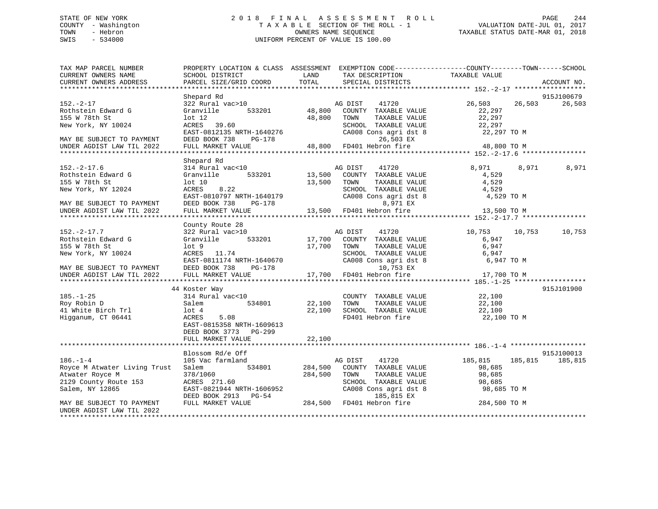## STATE OF NEW YORK 2 0 1 8 F I N A L A S S E S S M E N T R O L L PAGE 244 COUNTY - Washington T A X A B L E SECTION OF THE ROLL - 1 VALUATION DATE-JUL 01, 2017 TOWN - Hebron OWNERS NAME SEQUENCE TAXABLE STATUS DATE-MAR 01, 2018 SWIS - 534000 UNIFORM PERCENT OF VALUE IS 100.00

| TAX MAP PARCEL NUMBER<br>CURRENT OWNERS NAME<br>CURRENT OWNERS ADDRESS                      | PROPERTY LOCATION & CLASS ASSESSMENT EXEMPTION CODE----------------COUNTY-------TOWN------SCHOOL<br>SCHOOL DISTRICT<br>PARCEL SIZE/GRID COORD | LAND<br>TOTAL      | TAX DESCRIPTION<br>SPECIAL DISTRICTS                                                                               | TAXABLE VALUE                                           | ACCOUNT NO.           |
|---------------------------------------------------------------------------------------------|-----------------------------------------------------------------------------------------------------------------------------------------------|--------------------|--------------------------------------------------------------------------------------------------------------------|---------------------------------------------------------|-----------------------|
|                                                                                             |                                                                                                                                               |                    |                                                                                                                    |                                                         |                       |
|                                                                                             | Shepard Rd                                                                                                                                    |                    |                                                                                                                    |                                                         | 915J100679            |
| $152. - 2 - 17$<br>Rothstein Edward G<br>155 W 78th St<br>New York, NY 10024                | 322 Rural vac>10<br>533201<br>Granville<br>$1$ ot $12$<br>ACRES 39.60                                                                         | 48,800<br>48,800   | AG DIST<br>41720<br>COUNTY TAXABLE VALUE<br>TOWN<br>TAXABLE VALUE<br>SCHOOL TAXABLE VALUE                          | 26,503<br>26,503<br>22,297<br>22,297<br>22,297          | 26,503                |
| MAY BE SUBJECT TO PAYMENT                                                                   | EAST-0812135 NRTH-1640276<br>DEED BOOK 738<br>PG-178                                                                                          |                    | CA008 Cons agri dst 8<br>26,503 EX                                                                                 | 22,297 TO M                                             |                       |
| UNDER AGDIST LAW TIL 2022                                                                   | FULL MARKET VALUE                                                                                                                             | 48,800             | FD401 Hebron fire                                                                                                  | 48,800 TO M                                             |                       |
|                                                                                             |                                                                                                                                               |                    |                                                                                                                    |                                                         |                       |
| $152. - 2 - 17.6$<br>Rothstein Edward G<br>155 W 78th St<br>New York, NY 12024              | Shepard Rd<br>314 Rural vac<10<br>Granville<br>533201<br>$1$ ot $10$<br>ACRES<br>8.22<br>EAST-0810797 NRTH-1640179                            | 13,500<br>13,500   | AG DIST<br>41720<br>COUNTY TAXABLE VALUE<br>TOWN<br>TAXABLE VALUE<br>SCHOOL TAXABLE VALUE<br>CA008 Cons agri dst 8 | 8,971<br>8,971<br>4,529<br>4,529<br>4,529<br>4,529 TO M | 8,971                 |
| MAY BE SUBJECT TO PAYMENT<br>UNDER AGDIST LAW TIL 2022                                      | DEED BOOK 738<br>PG-178<br>FULL MARKET VALUE                                                                                                  |                    | 8,971 EX<br>13,500 FD401 Hebron fire                                                                               | 13,500 TO M                                             |                       |
|                                                                                             |                                                                                                                                               |                    |                                                                                                                    |                                                         |                       |
| $152. - 2 - 17.7$<br>Rothstein Edward G                                                     | County Route 28<br>322 Rural vac>10<br>533201<br>Granville                                                                                    | 17,700             | AG DIST<br>41720<br>COUNTY TAXABLE VALUE                                                                           | 10,753<br>10,753<br>6,947                               | 10,753                |
| 155 W 78th St<br>New York, NY 10024                                                         | $1$ ot $9$<br>ACRES 11.74                                                                                                                     | 17,700             | TOWN<br>TAXABLE VALUE<br>SCHOOL TAXABLE VALUE                                                                      | 6,947<br>6,947                                          |                       |
| MAY BE SUBJECT TO PAYMENT                                                                   | EAST-0811174 NRTH-1640670<br>DEED BOOK 738<br>PG-178                                                                                          |                    | CA008 Cons agri dst 8<br>10,753 EX                                                                                 | 6,947 TO M                                              |                       |
| UNDER AGDIST LAW TIL 2022                                                                   | FULL MARKET VALUE                                                                                                                             | 17,700             | FD401 Hebron fire                                                                                                  | 17,700 TO M                                             |                       |
|                                                                                             | 44 Koster Way                                                                                                                                 |                    |                                                                                                                    |                                                         | 915J101900            |
| $185. - 1 - 25$<br>Roy Robin D<br>41 White Birch Trl<br>Higganum, CT 06441                  | 314 Rural vac<10<br>534801<br>Salem<br>$1$ ot $4$<br>5.08<br>ACRES<br>EAST-0815358 NRTH-1609613<br>DEED BOOK 3773<br>$PG-299$                 | 22,100<br>22,100   | COUNTY TAXABLE VALUE<br>TAXABLE VALUE<br>TOWN<br>SCHOOL TAXABLE VALUE<br>FD401 Hebron fire                         | 22,100<br>22,100<br>22,100<br>22,100 TO M               |                       |
|                                                                                             | FULL MARKET VALUE                                                                                                                             | 22,100             |                                                                                                                    |                                                         |                       |
|                                                                                             |                                                                                                                                               |                    |                                                                                                                    |                                                         |                       |
| $186. - 1 - 4$                                                                              | Blossom Rd/e Off<br>105 Vac farmland                                                                                                          |                    | AG DIST<br>41720                                                                                                   | 185,815<br>185,815                                      | 915J100013<br>185,815 |
| Royce M Atwater Living Trust<br>Atwater Royce M<br>2129 County Route 153<br>Salem, NY 12865 | 534801<br>Salem<br>378/1060<br>ACRES 271.60<br>EAST-0821944 NRTH-1606952<br>DEED BOOK 2913 PG-54                                              | 284,500<br>284,500 | COUNTY TAXABLE VALUE<br>TAXABLE VALUE<br>TOWN<br>SCHOOL TAXABLE VALUE<br>CA008 Cons agri dst 8<br>185,815 EX       | 98,685<br>98,685<br>98,685<br>98,685 TO M               |                       |
| MAY BE SUBJECT TO PAYMENT<br>UNDER AGDIST LAW TIL 2022                                      | FULL MARKET VALUE                                                                                                                             |                    | 284,500 FD401 Hebron fire                                                                                          | 284,500 TO M                                            |                       |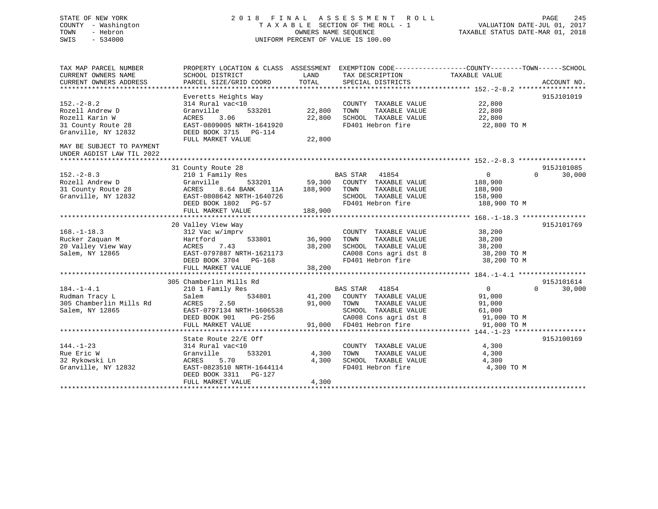## STATE OF NEW YORK 2 0 1 8 F I N A L A S S E S S M E N T R O L L PAGE 245 COUNTY - Washington T A X A B L E SECTION OF THE ROLL - 1 VALUATION DATE-JUL 01, 2017 TOWN - Hebron OWNERS NAME SEQUENCE TAXABLE STATUS DATE-MAR 01, 2018 SWIS - 534000 UNIFORM PERCENT OF VALUE IS 100.00

| TAX MAP PARCEL NUMBER<br>CURRENT OWNERS NAME<br>CURRENT OWNERS ADDRESS                                                                                                                      | PROPERTY LOCATION & CLASS ASSESSMENT EXEMPTION CODE---------------COUNTY-------TOWN-----SCHOOL<br>SCHOOL DISTRICT<br>PARCEL SIZE/GRID COORD                                      | LAND<br>TOTAL                     | TAX DESCRIPTION<br>SPECIAL DISTRICTS                                                                                   | TAXABLE VALUE                                                   | ACCOUNT NO.                      |
|---------------------------------------------------------------------------------------------------------------------------------------------------------------------------------------------|----------------------------------------------------------------------------------------------------------------------------------------------------------------------------------|-----------------------------------|------------------------------------------------------------------------------------------------------------------------|-----------------------------------------------------------------|----------------------------------|
| $152. - 2 - 8.2$<br>Rozell Andrew D<br>Rozell Karin W<br>31 County Route 28<br>Granville, NY 12832<br>MAY BE SUBJECT TO PAYMENT<br>UNDER AGDIST LAW TIL 2022<br>*************************** | Everetts Heights Way<br>314 Rural vac<10<br>Granville<br>533201<br>3.06<br>ACRES<br>EAST-0809005 NRTH-1641920<br>DEED BOOK 3715 PG-114<br>FULL MARKET VALUE                      | 22,800<br>22,800<br>22,800        | COUNTY TAXABLE VALUE<br>TOWN<br>TAXABLE VALUE<br>SCHOOL TAXABLE VALUE<br>FD401 Hebron fire                             | 22,800<br>22,800<br>22,800<br>22,800 TO M                       | 915J101019                       |
| $152 - 2 - 8.3$<br>Rozell Andrew D<br>31 County Route 28<br>Granville, NY 12832                                                                                                             | 31 County Route 28<br>210 1 Family Res<br>Granville<br>533201<br><b>ACRES</b><br>8.64 BANK<br>11A<br>EAST-0808642 NRTH-1640726<br>DEED BOOK 1802 PG-57<br>FULL MARKET VALUE      | 59,300<br>188,900<br>188,900      | <b>BAS STAR</b><br>41854<br>COUNTY TAXABLE VALUE<br>TAXABLE VALUE<br>TOWN<br>SCHOOL TAXABLE VALUE<br>FD401 Hebron fire | $\overline{0}$<br>188,900<br>188,900<br>158,900<br>188,900 TO M | 915J101085<br>30,000<br>$\Omega$ |
| $168. - 1 - 18.3$<br>Rucker Zaquan M<br>20 Valley View Way<br>Salem, NY 12865                                                                                                               | 20 Valley View Way<br>312 Vac w/imprv<br>533801<br>Hartford<br>7.43<br>ACRES<br>EAST-0797887 NRTH-1621173<br>DEED BOOK 3704 PG-168<br>FULL MARKET VALUE                          | 36,900<br>38,200<br>38,200        | COUNTY TAXABLE VALUE<br>TOWN<br>TAXABLE VALUE<br>SCHOOL TAXABLE VALUE<br>CA008 Cons agri dst 8<br>FD401 Hebron fire    | 38,200<br>38,200<br>38,200<br>38,200 TO M<br>38,200 TO M        | 915J101769                       |
| $184. - 1 - 4.1$<br>Rudman Tracy L<br>305 Chamberlin Mills Rd<br>Salem, NY 12865                                                                                                            | 305 Chamberlin Mills Rd<br>210 1 Family Res<br>534801<br>Salem<br>2.50<br>ACRES<br>EAST-0797134 NRTH-1606538<br>DEED BOOK 901<br>PG-256                                          | 41,200<br>91,000                  | BAS STAR<br>41854<br>COUNTY TAXABLE VALUE<br>TOWN<br>TAXABLE VALUE<br>SCHOOL TAXABLE VALUE<br>CA008 Cons agri dst 8    | $\mathbf{0}$<br>91,000<br>91,000<br>61,000<br>91,000 TO M       | 915J101614<br>30,000<br>$\Omega$ |
| $144. - 1 - 23$<br>Rue Eric W<br>32 Rykowski Ln<br>Granville, NY 12832                                                                                                                      | FULL MARKET VALUE<br>State Route 22/E Off<br>314 Rural vac<10<br>533201<br>Granville<br>5.70<br>ACRES<br>EAST-0823510 NRTH-1644114<br>DEED BOOK 3311 PG-127<br>FULL MARKET VALUE | 91,000<br>4,300<br>4,300<br>4,300 | FD401 Hebron fire<br>COUNTY TAXABLE VALUE<br>TOWN<br>TAXABLE VALUE<br>SCHOOL TAXABLE VALUE<br>FD401 Hebron fire        | 91,000 TO M<br>4,300<br>4,300<br>4,300<br>4,300 TO M            | 915J100169                       |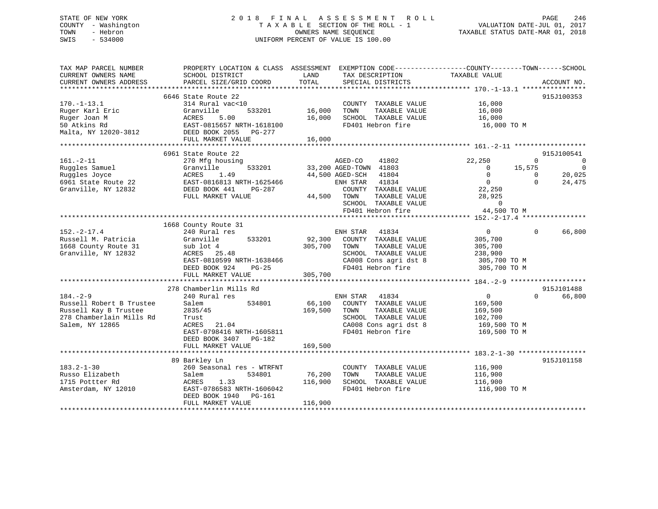## STATE OF NEW YORK 2 0 1 8 F I N A L A S S E S S M E N T R O L L PAGE 246 COUNTY - Washington T A X A B L E SECTION OF THE ROLL - 1 VALUATION DATE-JUL 01, 2017 TOWN - Hebron OWNERS NAME SEQUENCE TAXABLE STATUS DATE-MAR 01, 2018 SWIS - 534000 UNIFORM PERCENT OF VALUE IS 100.00

| TAX MAP PARCEL NUMBER<br>CURRENT OWNERS NAME<br>CURRENT OWNERS ADDRESS                                             | PROPERTY LOCATION & CLASS ASSESSMENT EXEMPTION CODE----------------COUNTY-------TOWN-----SCHOOL<br>SCHOOL DISTRICT<br>PARCEL SIZE/GRID COORD              | LAND<br>TOTAL                | TAX DESCRIPTION<br>SPECIAL DISTRICTS                                                                                                                                        | TAXABLE VALUE                                                                                                                           | ACCOUNT NO.                                                                  |
|--------------------------------------------------------------------------------------------------------------------|-----------------------------------------------------------------------------------------------------------------------------------------------------------|------------------------------|-----------------------------------------------------------------------------------------------------------------------------------------------------------------------------|-----------------------------------------------------------------------------------------------------------------------------------------|------------------------------------------------------------------------------|
|                                                                                                                    | 6646 State Route 22                                                                                                                                       |                              |                                                                                                                                                                             |                                                                                                                                         | 915J100353                                                                   |
| $170. - 1 - 13.1$<br>Ruger Karl Eric<br>Ruger Joan M<br>50 Atkins Rd<br>Malta, NY 12020-3812                       | 314 Rural vac<10<br>Granville<br>ACRES<br>5.00<br>EAST-0815657 NRTH-1618100<br>DEED BOOK 2055 PG-277                                                      | 533201 16,000<br>16,000      | COUNTY TAXABLE VALUE 16,000<br>TOWN<br>TAXABLE VALUE<br>SCHOOL TAXABLE VALUE<br>FD401 Hebron fire 16,000 TO M                                                               | 16,000<br>16,000                                                                                                                        |                                                                              |
|                                                                                                                    | FULL MARKET VALUE                                                                                                                                         | 16,000                       |                                                                                                                                                                             |                                                                                                                                         |                                                                              |
|                                                                                                                    | 6961 State Route 22                                                                                                                                       |                              |                                                                                                                                                                             |                                                                                                                                         | 915J100541                                                                   |
| $161. - 2 - 11$<br>Ruggles Samuel<br>Ruggles Joyce<br>6961 State Route 22<br>Granville, NY 12832                   | 270 Mfg housing<br>533201<br>Granville<br>ACRES 1.49<br>22 EAST-0816813 NRTH-1625466<br>832 DEED BOOK 441 PG-287<br>FULL MARKET VALUE                     | 44,500 TOWN                  | AGED-CO<br>41802<br>33,200 AGED-TOWN 41803<br>44,500 AGED-SCH 41804<br>ENH STAR 41834<br>COUNTY TAXABLE VALUE<br>TAXABLE VALUE<br>SCHOOL TAXABLE VALUE<br>FD401 Hebron fire | 22,250<br>15,575<br>$\sim$ 0<br>$\overline{0}$<br>$\overline{0}$<br>$\overline{0}$<br>22,250<br>28,925<br>$\overline{a}$<br>44,500 TO M | $\Omega$<br>$\overline{0}$<br>$\overline{0}$<br>20,025<br>$\Omega$<br>24,475 |
|                                                                                                                    | 1668 County Route 31                                                                                                                                      |                              |                                                                                                                                                                             |                                                                                                                                         |                                                                              |
| $152 - 2 - 17.4$<br>Russell M. Patricia<br>1668 County Route 31<br>Granville, NY 12832                             | 240 Rural res<br>Granville<br>533201<br>sub lot 4<br>ACRES 25.48<br>EAST-0810599 NRTH-1638466<br>DEED BOOK 924<br>$PG-25$                                 | 305,700 TOWN                 | ENH STAR<br>41834<br>92,300 COUNTY TAXABLE VALUE<br>TAXABLE VALUE<br>SCHOOL TAXABLE VALUE<br>CA008 Cons agri dst 8<br>FD401 Hebron fire                                     | $\overline{0}$<br>305,700<br>305,700<br>238,900<br>305,700 TO M<br>305,700 TO M                                                         | 66,800<br>$\Omega$                                                           |
|                                                                                                                    | FULL MARKET VALUE                                                                                                                                         | 305,700                      |                                                                                                                                                                             |                                                                                                                                         |                                                                              |
| $184. - 2 - 9$<br>Russell Robert B Trustee<br>Russell Kay B Trustee<br>278 Chamberlain Mills Rd<br>Salem, NY 12865 | 278 Chamberlin Mills Rd<br>240 Rural res<br>534801<br>Salem<br>2835/45<br>Trust<br>ACRES<br>21.04<br>EAST-0798416 NRTH-1605811<br>DEED BOOK 3407 PG-182   | 169,500<br>169,500           | ENH STAR 41054<br>66,100 COUNTY TAXABLE VALUE<br>COUNTY TAXABLE VALUE<br>TAXABLE VALUE<br>SCHOOL TAXABLE VALUE<br>CA008 Cons agri dst 8<br>FD401 Hebron fire                | $\overline{0}$<br>169,500<br>169,500<br>102,700<br>169,500 TO M<br>169,500 TO M                                                         | 915J101488<br>66,800<br>$\Omega$                                             |
|                                                                                                                    | FULL MARKET VALUE                                                                                                                                         |                              |                                                                                                                                                                             |                                                                                                                                         |                                                                              |
| $183.2 - 1 - 30$<br>Russo Elizabeth<br>1715 Pottter Rd<br>Amsterdam, NY 12010                                      | 89 Barkley Ln<br>260 Seasonal res - WTRFNT<br>534801<br>Salem<br>ACRES<br>1.33<br>EAST-0786583 NRTH-1606042<br>DEED BOOK 1940 PG-161<br>FULL MARKET VALUE | 76,200<br>116,900<br>116,900 | COUNTY TAXABLE VALUE<br>TOWN<br>TAXABLE VALUE<br>SCHOOL TAXABLE VALUE<br>FD401 Hebron fire                                                                                  | 116,900<br>116,900<br>116,900<br>116,900 TO M                                                                                           | 915J101158                                                                   |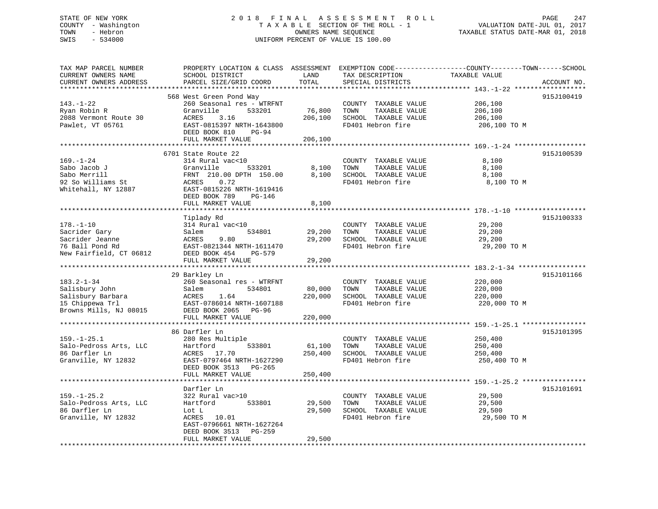## STATE OF NEW YORK 2 0 1 8 F I N A L A S S E S S M E N T R O L L PAGE 247 COUNTY - Washington T A X A B L E SECTION OF THE ROLL - 1 VALUATION DATE-JUL 01, 2017 TOWN - Hebron OWNERS NAME SEQUENCE TAXABLE STATUS DATE-MAR 01, 2018 SWIS - 534000 UNIFORM PERCENT OF VALUE IS 100.00

| TAX MAP PARCEL NUMBER   | PROPERTY LOCATION & CLASS ASSESSMENT EXEMPTION CODE---------------COUNTY-------TOWN------SCHOOL |         |                            |               |             |
|-------------------------|-------------------------------------------------------------------------------------------------|---------|----------------------------|---------------|-------------|
| CURRENT OWNERS NAME     | SCHOOL DISTRICT                                                                                 | LAND    | TAX DESCRIPTION            | TAXABLE VALUE |             |
| CURRENT OWNERS ADDRESS  | PARCEL SIZE/GRID COORD                                                                          | TOTAL   | SPECIAL DISTRICTS          |               | ACCOUNT NO. |
|                         |                                                                                                 |         |                            |               |             |
|                         | 568 West Green Pond Way                                                                         |         |                            |               | 915J100419  |
| $143. - 1 - 22$         | 260 Seasonal res - WTRFNT                                                                       |         | COUNTY TAXABLE VALUE       | 206,100       |             |
| Ryan Robin R            | Granville<br>533201                                                                             | 76,800  | TAXABLE VALUE<br>TOWN      | 206,100       |             |
| 2088 Vermont Route 30   | 3.16<br>ACRES                                                                                   | 206,100 | SCHOOL TAXABLE VALUE       | 206,100       |             |
| Pawlet, VT 05761        | EAST-0815397 NRTH-1643800                                                                       |         | FD401 Hebron fire          | 206,100 TO M  |             |
|                         | DEED BOOK 810<br>PG-94                                                                          |         |                            |               |             |
|                         | FULL MARKET VALUE                                                                               | 206,100 |                            |               |             |
|                         |                                                                                                 |         |                            |               |             |
|                         | 6701 State Route 22                                                                             |         |                            |               | 915J100539  |
| $169. - 1 - 24$         | 314 Rural vac<10                                                                                |         | COUNTY TAXABLE VALUE       | 8,100         |             |
| Sabo Jacob J            | 533201<br>Granville                                                                             | 8,100   | TOWN<br>TAXABLE VALUE      | 8,100         |             |
| Sabo Merrill            | FRNT 210.00 DPTH 150.00                                                                         |         | 8,100 SCHOOL TAXABLE VALUE | 8,100         |             |
| 92 So Williams St       | ACRES 0.72                                                                                      |         | FD401 Hebron fire          | 8,100 TO M    |             |
| Whitehall, NY 12887     | EAST-0815226 NRTH-1619416                                                                       |         |                            |               |             |
|                         | DEED BOOK 789<br>PG-146                                                                         |         |                            |               |             |
|                         | FULL MARKET VALUE                                                                               | 8,100   |                            |               |             |
|                         |                                                                                                 |         |                            |               |             |
|                         | Tiplady Rd                                                                                      |         |                            |               | 915J100333  |
| $178. - 1 - 10$         | 314 Rural vac<10                                                                                |         | COUNTY TAXABLE VALUE       | 29,200        |             |
| Sacrider Gary           | Salem<br>534801                                                                                 | 29,200  | TAXABLE VALUE<br>TOWN      | 29,200        |             |
| Sacrider Jeanne         | 9.80<br>ACRES                                                                                   | 29,200  | SCHOOL TAXABLE VALUE       | 29,200        |             |
| 76 Ball Pond Rd         | EAST-0821344 NRTH-1611470                                                                       |         | FD401 Hebron fire          | 29,200 TO M   |             |
| New Fairfield, CT 06812 | DEED BOOK 454<br>PG-579                                                                         |         |                            |               |             |
|                         | FULL MARKET VALUE                                                                               | 29,200  |                            |               |             |
|                         |                                                                                                 |         |                            |               |             |
|                         | 29 Barkley Ln                                                                                   |         |                            |               | 915J101166  |
| $183.2 - 1 - 34$        | 260 Seasonal res - WTRFNT                                                                       |         | COUNTY TAXABLE VALUE       | 220,000       |             |
| Salisbury John          | Salem<br>534801                                                                                 | 80,000  | TOWN<br>TAXABLE VALUE      | 220,000       |             |
| Salisbury Barbara       | <b>ACRES</b><br>1.64                                                                            | 220,000 | SCHOOL TAXABLE VALUE       | 220,000       |             |
| 15 Chippewa Trl         | EAST-0786014 NRTH-1607188                                                                       |         | FD401 Hebron fire          | 220,000 TO M  |             |
| Browns Mills, NJ 08015  | DEED BOOK 2065 PG-96                                                                            |         |                            |               |             |
|                         | FULL MARKET VALUE                                                                               | 220,000 |                            |               |             |
|                         |                                                                                                 |         |                            |               |             |
|                         | 86 Darfler Ln                                                                                   |         |                            |               | 915J101395  |
| $159. - 1 - 25.1$       | 280 Res Multiple                                                                                |         | COUNTY TAXABLE VALUE       | 250,400       |             |
| Salo-Pedross Arts, LLC  | Hartford<br>533801                                                                              | 61,100  | TAXABLE VALUE<br>TOWN      | 250,400       |             |
| 86 Darfler Ln           | ACRES 17.70                                                                                     | 250,400 | SCHOOL TAXABLE VALUE       | 250,400       |             |
| Granville, NY 12832     | EAST-0797464 NRTH-1627290                                                                       |         | FD401 Hebron fire          | 250,400 TO M  |             |
|                         | DEED BOOK 3513 PG-265                                                                           |         |                            |               |             |
|                         | FULL MARKET VALUE                                                                               | 250,400 |                            |               |             |
|                         |                                                                                                 |         |                            |               |             |
|                         | Darfler Ln                                                                                      |         |                            |               | 915J101691  |
| $159. - 1 - 25.2$       | 322 Rural vac>10                                                                                |         | COUNTY TAXABLE VALUE       | 29,500        |             |
| Salo-Pedross Arts, LLC  | 533801<br>Hartford                                                                              | 29,500  | TOWN<br>TAXABLE VALUE      | 29,500        |             |
| 86 Darfler Ln           | Lot L                                                                                           | 29,500  | SCHOOL TAXABLE VALUE       | 29,500        |             |
| Granville, NY 12832     | ACRES 10.01                                                                                     |         | FD401 Hebron fire          | 29,500 TO M   |             |
|                         | EAST-0796661 NRTH-1627264                                                                       |         |                            |               |             |
|                         | DEED BOOK 3513 PG-259                                                                           |         |                            |               |             |
|                         | FULL MARKET VALUE                                                                               | 29,500  |                            |               |             |
|                         |                                                                                                 |         |                            |               |             |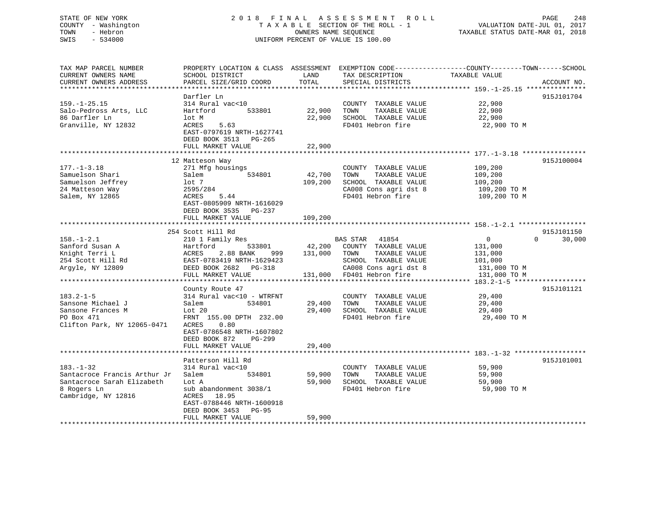## STATE OF NEW YORK 2 0 1 8 F I N A L A S S E S S M E N T R O L L PAGE 248 COUNTY - Washington T A X A B L E SECTION OF THE ROLL - 1 VALUATION DATE-JUL 01, 2017 TOWN - Hebron OWNERS NAME SEQUENCE TAXABLE STATUS DATE-MAR 01, 2018 SWIS - 534000 UNIFORM PERCENT OF VALUE IS 100.00

| TAX MAP PARCEL NUMBER                                                                                                                                              | PROPERTY LOCATION & CLASS ASSESSMENT EXEMPTION CODE----------------COUNTY-------TOWN-----SCHOOL |         |                                                    |                |                    |
|--------------------------------------------------------------------------------------------------------------------------------------------------------------------|-------------------------------------------------------------------------------------------------|---------|----------------------------------------------------|----------------|--------------------|
| CURRENT OWNERS NAME                                                                                                                                                | SCHOOL DISTRICT                                                                                 | LAND    | TAX DESCRIPTION                                    | TAXABLE VALUE  |                    |
| CURRENT OWNERS ADDRESS                                                                                                                                             | PARCEL SIZE/GRID COORD                                                                          | TOTAL   | SPECIAL DISTRICTS                                  |                | ACCOUNT NO.        |
|                                                                                                                                                                    |                                                                                                 |         |                                                    |                |                    |
|                                                                                                                                                                    | Darfler Ln                                                                                      |         |                                                    |                | 915J101704         |
| $159. - 1 - 25.15$                                                                                                                                                 | 314 Rural vac<10                                                                                |         | COUNTY TAXABLE VALUE                               | 22,900         |                    |
| Salo-Pedross Arts, LLC                                                                                                                                             | Hartford<br>533801                                                                              | 22,900  | TAXABLE VALUE<br>TOWN                              | 22,900         |                    |
| 86 Darfler Ln                                                                                                                                                      | lot M                                                                                           | 22,900  | SCHOOL TAXABLE VALUE                               | 22,900         |                    |
| Granville, NY 12832                                                                                                                                                | 5.63<br>ACRES                                                                                   |         | FD401 Hebron fire                                  | 22,900 TO M    |                    |
|                                                                                                                                                                    | EAST-0797619 NRTH-1627741                                                                       |         |                                                    |                |                    |
|                                                                                                                                                                    | DEED BOOK 3513 PG-265                                                                           |         |                                                    |                |                    |
|                                                                                                                                                                    | FULL MARKET VALUE                                                                               | 22,900  |                                                    |                |                    |
|                                                                                                                                                                    |                                                                                                 |         |                                                    |                |                    |
|                                                                                                                                                                    | 12 Matteson Way                                                                                 |         |                                                    |                | 915J100004         |
| $177. - 1 - 3.18$                                                                                                                                                  | 271 Mfg housings                                                                                |         | COUNTY TAXABLE VALUE                               | 109,200        |                    |
| Samuelson Shari                                                                                                                                                    | Salem 534801                                                                                    | 42,700  | TOWN<br>TAXABLE VALUE                              | 109,200        |                    |
| Samuelson Jeffrey                                                                                                                                                  | lot 7                                                                                           | 109,200 | SCHOOL TAXABLE VALUE                               | 109,200        |                    |
| 24 Matteson Way                                                                                                                                                    | 2595/284                                                                                        |         | CA008 Cons agri dst 8                              | 109,200 TO M   |                    |
| Salem, NY 12865                                                                                                                                                    | 5.44<br>ACRES                                                                                   |         | FD401 Hebron fire 109,200 TO M                     |                |                    |
|                                                                                                                                                                    | EAST-0805909 NRTH-1616029                                                                       |         |                                                    |                |                    |
|                                                                                                                                                                    | DEED BOOK 3535 PG-237                                                                           |         |                                                    |                |                    |
|                                                                                                                                                                    | FULL MARKET VALUE                                                                               | 109,200 |                                                    |                |                    |
|                                                                                                                                                                    |                                                                                                 |         |                                                    |                |                    |
|                                                                                                                                                                    | 254 Scott Hill Rd                                                                               |         |                                                    |                | 915J101150         |
| $158. - 1 - 2.1$                                                                                                                                                   | 210 1 Family Res                                                                                |         | BAS STAR 41854                                     | $\overline{0}$ | $\Omega$<br>30,000 |
| Examford Susan A<br>Hartford 533801<br>Xnight Terri L ACRES 2.88 BANK 999<br>254 Scott Hill Rd EAST-0783419 NRTH-1629423<br>Argyle, NY 12809 DEED BOOK 2682 PG-318 |                                                                                                 |         | 533801 42,200 COUNTY TAXABLE VALUE                 | 131,000        |                    |
|                                                                                                                                                                    | 999                                                                                             |         | TAXABLE VALUE<br>131,000 TOWN                      | 131,000        |                    |
|                                                                                                                                                                    |                                                                                                 |         | SCHOOL TAXABLE VALUE                               | 101,000        |                    |
|                                                                                                                                                                    |                                                                                                 |         | CA008 Cons agri dst 8<br>131,000 FD401 Hebron fire | 131,000 TO M   |                    |
|                                                                                                                                                                    | FULL MARKET VALUE                                                                               |         |                                                    | 131,000 TO M   |                    |
|                                                                                                                                                                    |                                                                                                 |         |                                                    |                |                    |
|                                                                                                                                                                    | County Route 47                                                                                 |         |                                                    |                | 915J101121         |
| $183.2 - 1 - 5$                                                                                                                                                    | 314 Rural vac<10 - WTRFNT                                                                       |         | COUNTY TAXABLE VALUE                               | 29,400         |                    |
| Sansone Michael J                                                                                                                                                  | Salem<br>534801                                                                                 | 29,400  | TAXABLE VALUE<br>TOWN                              | 29,400         |                    |
| Sansone Frances M                                                                                                                                                  |                                                                                                 | 29,400  | SCHOOL TAXABLE VALUE                               | 29,400         |                    |
| PO Box 471                                                                                                                                                         | FRNT 155.00 DPTH 232.00                                                                         |         | FD401 Hebron fire                                  | 29,400 TO M    |                    |
| Clifton Park, NY 12065-0471                                                                                                                                        | ACRES<br>0.80                                                                                   |         |                                                    |                |                    |
|                                                                                                                                                                    | EAST-0786548 NRTH-1607802                                                                       |         |                                                    |                |                    |
|                                                                                                                                                                    | DEED BOOK 872<br>$PG-299$                                                                       |         |                                                    |                |                    |
|                                                                                                                                                                    | FULL MARKET VALUE                                                                               | 29,400  |                                                    |                |                    |
|                                                                                                                                                                    |                                                                                                 |         |                                                    |                |                    |
|                                                                                                                                                                    | Patterson Hill Rd                                                                               |         |                                                    |                | 915J101001         |
| $183. - 1 - 32$                                                                                                                                                    | 314 Rural vac<10                                                                                |         | COUNTY TAXABLE VALUE                               | 59,900         |                    |
| Santacroce Francis Arthur Jr                                                                                                                                       | 534801<br>Salem                                                                                 | 59,900  | TAXABLE VALUE<br>TOWN                              | 59,900         |                    |
| Santacroce Sarah Elizabeth                                                                                                                                         | Lot A                                                                                           | 59,900  | SCHOOL TAXABLE VALUE                               | 59,900         |                    |
| 8 Rogers Ln                                                                                                                                                        | sub abandonment 3038/1                                                                          |         | FD401 Hebron fire                                  | 59,900 TO M    |                    |
| Cambridge, NY 12816                                                                                                                                                | ACRES<br>18.95                                                                                  |         |                                                    |                |                    |
|                                                                                                                                                                    | EAST-0788446 NRTH-1600918                                                                       |         |                                                    |                |                    |
|                                                                                                                                                                    | DEED BOOK 3453 PG-95                                                                            |         |                                                    |                |                    |
|                                                                                                                                                                    | FULL MARKET VALUE                                                                               | 59,900  |                                                    |                |                    |
|                                                                                                                                                                    |                                                                                                 |         |                                                    |                |                    |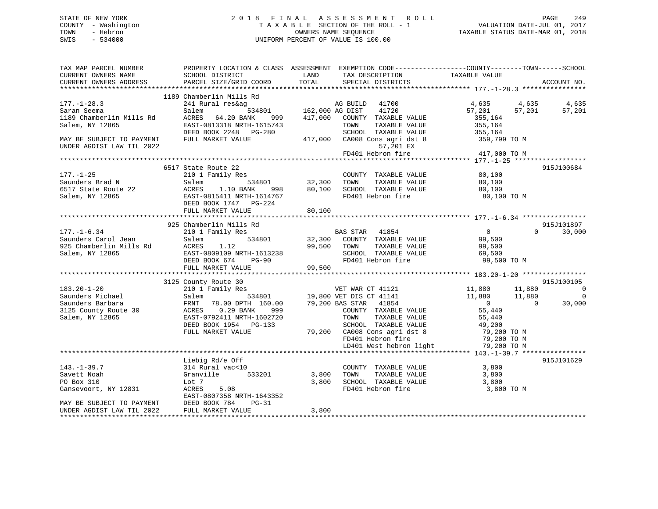## STATE OF NEW YORK 2 0 1 8 F I N A L A S S E S S M E N T R O L L PAGE 249 COUNTY - Washington T A X A B L E SECTION OF THE ROLL - 1 VALUATION DATE-JUL 01, 2017 TOWN - Hebron OWNERS NAME SEQUENCE TAXABLE STATUS DATE-MAR 01, 2018 SWIS - 534000 UNIFORM PERCENT OF VALUE IS 100.00

| TAX MAP PARCEL NUMBER<br>CURRENT OWNERS NAME<br>CURRENT OWNERS ADDRESS                 | PROPERTY LOCATION & CLASS ASSESSMENT<br>SCHOOL DISTRICT<br>PARCEL SIZE/GRID COORD                                                                      | LAND<br>TAX DESCRIPTION<br>TOTAL<br>SPECIAL DISTRICTS                                                                                                                                                     | EXEMPTION CODE-----------------COUNTY-------TOWN------SCHOOL<br>TAXABLE VALUE<br>ACCOUNT NO.                                        |
|----------------------------------------------------------------------------------------|--------------------------------------------------------------------------------------------------------------------------------------------------------|-----------------------------------------------------------------------------------------------------------------------------------------------------------------------------------------------------------|-------------------------------------------------------------------------------------------------------------------------------------|
|                                                                                        |                                                                                                                                                        |                                                                                                                                                                                                           |                                                                                                                                     |
| $177. - 1 - 28.3$                                                                      | 1189 Chamberlin Mills Rd<br>241 Rural res&ag                                                                                                           | 41700<br>AG BUILD                                                                                                                                                                                         | 4,635<br>4,635<br>4,635                                                                                                             |
| Saran Seema<br>1189 Chamberlin Mills Rd<br>Salem, NY 12865                             | Salem<br>534801<br>ACRES<br>64.20 BANK<br>999<br>EAST-0813318 NRTH-1615743                                                                             | 162,000 AG DIST<br>41720<br>417,000<br>COUNTY TAXABLE VALUE<br>TOWN<br>TAXABLE VALUE                                                                                                                      | 57,201<br>57,201<br>57,201<br>355,164<br>355,164                                                                                    |
| MAY BE SUBJECT TO PAYMENT<br>UNDER AGDIST LAW TIL 2022                                 | DEED BOOK 2248 PG-280<br>FULL MARKET VALUE                                                                                                             | SCHOOL TAXABLE VALUE<br>417,000<br>CA008 Cons agri dst 8<br>57,201 EX                                                                                                                                     | 355,164<br>359,799 TO M                                                                                                             |
|                                                                                        |                                                                                                                                                        | FD401 Hebron fire                                                                                                                                                                                         | 417,000 TO M<br>**************** 177.-1-25 *****                                                                                    |
|                                                                                        | 6517 State Route 22                                                                                                                                    |                                                                                                                                                                                                           | 915J100684                                                                                                                          |
| $177. - 1 - 25$<br>Saunders Brad N<br>6517 State Route 22<br>Salem, NY 12865           | 210 1 Family Res<br>Salem<br>534801<br>ACRES<br>1.10 BANK<br>998<br>EAST-0815411 NRTH-1614767<br>DEED BOOK 1747 PG-224<br>FULL MARKET VALUE            | COUNTY TAXABLE VALUE<br>TAXABLE VALUE<br>32,300<br>TOWN<br>SCHOOL TAXABLE VALUE<br>80,100<br>FD401 Hebron fire<br>80,100                                                                                  | 80,100<br>80,100<br>80,100<br>80,100 TO M                                                                                           |
|                                                                                        |                                                                                                                                                        |                                                                                                                                                                                                           |                                                                                                                                     |
|                                                                                        | 925 Chamberlin Mills Rd                                                                                                                                |                                                                                                                                                                                                           | 915J101897                                                                                                                          |
| $177. - 1 - 6.34$<br>Saunders Carol Jean<br>925 Chamberlin Mills Rd<br>Salem, NY 12865 | 210 1 Family Res<br>534801<br>Salem<br>1.12<br>ACRES<br>EAST-0809109 NRTH-1613238<br>DEED BOOK 674<br>$PG-90$<br>FULL MARKET VALUE                     | BAS STAR<br>41854<br>32,300<br>COUNTY TAXABLE VALUE<br>TAXABLE VALUE<br>99,500<br>TOWN<br>SCHOOL TAXABLE VALUE<br>FD401 Hebron fire<br>99,500                                                             | $\overline{0}$<br>$\Omega$<br>30,000<br>99,500<br>99,500<br>69,500<br>99,500 TO M                                                   |
|                                                                                        |                                                                                                                                                        |                                                                                                                                                                                                           |                                                                                                                                     |
| $183.20 - 1 - 20$                                                                      | 3125 County Route 30<br>210 1 Family Res                                                                                                               | VET WAR CT 41121                                                                                                                                                                                          | 915J100105<br>11,880<br>11,880<br>$\overline{0}$                                                                                    |
| Saunders Michael<br>Saunders Barbara<br>3125 County Route 30<br>Salem, NY 12865        | 534801<br>Salem<br>78.00 DPTH 160.00<br>FRNT<br>$0.29$ BANK<br>ACRES<br>999<br>EAST-0792411 NRTH-1602720<br>DEED BOOK 1954 PG-133<br>FULL MARKET VALUE | 19,800 VET DIS CT 41141<br>79,200 BAS STAR 41854<br>COUNTY TAXABLE VALUE<br>TAXABLE VALUE<br>TOWN<br>SCHOOL TAXABLE VALUE<br>79,200 CA008 Cons agri dst 8<br>FD401 Hebron fire<br>LD401 West hebron light | 11,880<br>11,880<br>$\overline{0}$<br>$\Omega$<br>30,000<br>55,440<br>55,440<br>49,200<br>79,200 TO M<br>79,200 TO M<br>79,200 TO M |
|                                                                                        |                                                                                                                                                        |                                                                                                                                                                                                           |                                                                                                                                     |
| $143. - 1 - 39.7$<br>Savett Noah<br>PO Box 310<br>Gansevoort, NY 12831                 | Liebig Rd/e Off<br>314 Rural vac<10<br>Granville<br>533201<br>Lot 7<br>5.08<br>ACRES<br>EAST-0807358 NRTH-1643352<br>$PG-31$                           | COUNTY TAXABLE VALUE<br>3,800<br>TAXABLE VALUE<br>TOWN<br>3,800<br>SCHOOL TAXABLE VALUE<br>FD401 Hebron fire                                                                                              | 915J101629<br>3,800<br>3,800<br>3,800<br>3,800 TO M                                                                                 |
| MAY BE SUBJECT TO PAYMENT<br>UNDER AGDIST LAW TIL 2022                                 | DEED BOOK 784<br>FULL MARKET VALUE                                                                                                                     | 3,800                                                                                                                                                                                                     |                                                                                                                                     |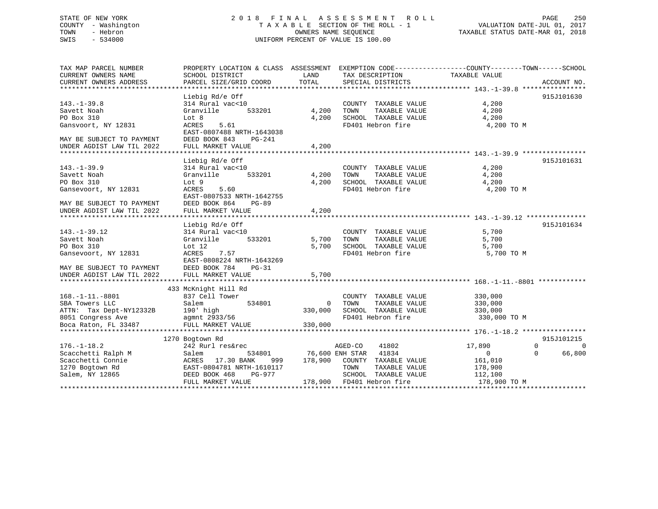## STATE OF NEW YORK 2 0 1 8 F I N A L A S S E S S M E N T R O L L PAGE 250 COUNTY - Washington T A X A B L E SECTION OF THE ROLL - 1 VALUATION DATE-JUL 01, 2017 TOWN - Hebron OWNERS NAME SEQUENCE TAXABLE STATUS DATE-MAR 01, 2018 SWIS - 534000 UNIFORM PERCENT OF VALUE IS 100.00

| TAX MAP PARCEL NUMBER<br>CURRENT OWNERS NAME<br>CURRENT OWNERS ADDRESS                                                      | PROPERTY LOCATION & CLASS ASSESSMENT EXEMPTION CODE---------------COUNTY-------TOWN------SCHOOL<br>SCHOOL DISTRICT<br>PARCEL SIZE/GRID COORD   | LAND<br>TOTAL                        | TAX DESCRIPTION TAXABLE VALUE<br>SPECIAL DISTRICTS                                                                                                                 |                                                                     | ACCOUNT NO.                                |
|-----------------------------------------------------------------------------------------------------------------------------|------------------------------------------------------------------------------------------------------------------------------------------------|--------------------------------------|--------------------------------------------------------------------------------------------------------------------------------------------------------------------|---------------------------------------------------------------------|--------------------------------------------|
| $143. - 1 - 39.8$<br>Savett Noah<br>PO Box 310<br>Gansvoort, NY 12831                                                       | Liebig Rd/e Off<br>314 Rural vac<10<br>Granville<br>533201<br>Lot 8<br>ACRES<br>5.61<br>EAST-0807488 NRTH-1643038                              | 4,200<br>4,200                       | COUNTY TAXABLE VALUE<br>TOWN<br>TAXABLE VALUE<br>SCHOOL TAXABLE VALUE<br>FD401 Hebron fire                                                                         | 4,200<br>4,200<br>4,200<br>4,200 TO M                               | 915J101630                                 |
| MAY BE SUBJECT TO PAYMENT<br>UNDER AGDIST LAW TIL 2022                                                                      | DEED BOOK 843<br>$PG-241$<br>FULL MARKET VALUE                                                                                                 | 4,200                                |                                                                                                                                                                    |                                                                     |                                            |
| $143. - 1 - 39.9$<br>Savett Noah<br>PO Box 310<br>Gansevoort, NY 12831                                                      | Liebig Rd/e Off<br>314 Rural vac<10<br>,<br>533201<br>Granville<br>Lot 9<br>ACRES<br>5.60<br>EAST-0807533 NRTH-1642755<br>DEED BOOK 864        | 4,200<br>4,200                       | COUNTY TAXABLE VALUE<br>TAXABLE VALUE<br>TAXABLE VALUE<br>TOWN<br>SCHOOL TAXABLE VALUE<br>FD401 Hebron fire                                                        | 4,200<br>4,200<br>4,200<br>4,200 TO M                               | 915J101631                                 |
| MAY BE SUBJECT TO PAYMENT<br>UNDER AGDIST LAW TIL 2022                                                                      | $PG-89$<br>FULL MARKET VALUE                                                                                                                   | 4,200                                |                                                                                                                                                                    |                                                                     |                                            |
| $143. - 1 - 39.12$<br>Savett Noah<br>PO Box 310<br>Gansevoort, NY 12831<br>MAY BE SUBJECT TO PAYMENT                        | Liebig Rd/e Off<br>314 Rural vac<10<br>533201<br>Granville<br>Lot 12<br>7.57<br>ACRES<br>EAST-0808224 NRTH-1643269<br>DEED BOOK 784<br>$PG-31$ | 5,700<br>5,700                       | COUNTY TAXABLE VALUE<br>TAXABLE VALUE<br>TOWN<br>SCHOOL TAXABLE VALUE<br>FD401 Hebron fire                                                                         | 5,700<br>5,700<br>5,700<br>5,700 TO M                               | 915J101634                                 |
| UNDER AGDIST LAW TIL 2022                                                                                                   | FULL MARKET VALUE                                                                                                                              | 5,700                                |                                                                                                                                                                    |                                                                     |                                            |
| $168. - 1 - 11. - 8801$<br>SBA Towers LLC<br>ATTN: Tax Dept-NY12332B 190' high<br>8051 Congress Ave<br>Boca Raton, FL 33487 | 433 McKnight Hill Rd<br>837 Cell Tower<br>534801<br>Salem<br>190' high<br>agmnt 2933/56<br>FULL MARKET VALUE                                   | $\overline{0}$<br>330,000<br>330,000 | COUNTY TAXABLE VALUE<br>TAXABLE VALUE<br>TOWN<br>SCHOOL TAXABLE VALUE<br>FD401 Hebron fire                                                                         | 330,000<br>330,000<br>330,000<br>330,000 TO M                       |                                            |
|                                                                                                                             | 1270 Bogtown Rd                                                                                                                                |                                      |                                                                                                                                                                    |                                                                     | 915J101215                                 |
| $176. - 1 - 18.2$<br>Scacchetti Ralph M<br>Scacchetti Connie<br>1270 Bogtown Rd<br>Salem, NY 12865                          | 242 Rurl res&rec<br>Salem<br>ACRES 17.30 BANK<br>EAST-0804781 NRTH-1610117<br>DEED BOOK 468<br>PG-977<br>FULL MARKET VALUE                     |                                      | AGED-CO<br>41802<br>534801 76,600 ENH STAR 41834<br>999 178,900 COUNTY TAXABLE VALUE<br>TOWN<br>TAXABLE VALUE<br>SCHOOL TAXABLE VALUE<br>178,900 FD401 Hebron fire | 17,890<br>$\Omega$<br>161,010<br>178,900<br>112,100<br>178,900 TO M | $\Omega$<br>$\Omega$<br>$\Omega$<br>66,800 |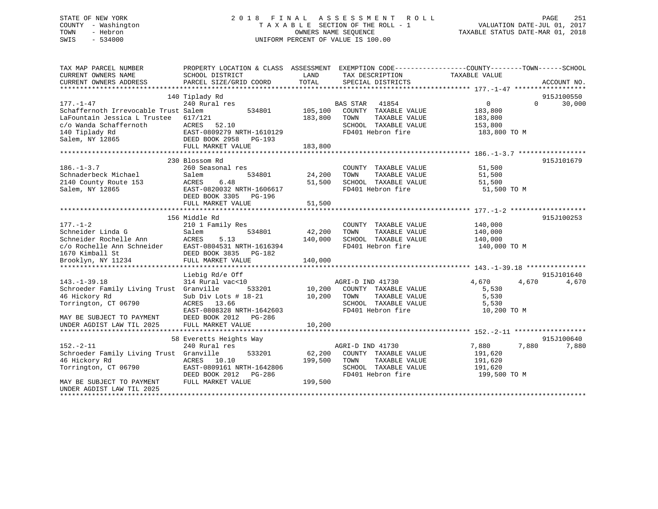## STATE OF NEW YORK 2 0 1 8 F I N A L A S S E S S M E N T R O L L PAGE 251 COUNTY - Washington T A X A B L E SECTION OF THE ROLL - 1 VALUATION DATE-JUL 01, 2017 TOWN - Hebron OWNERS NAME SEQUENCE TAXABLE STATUS DATE-MAR 01, 2018 SWIS - 534000 UNIFORM PERCENT OF VALUE IS 100.00

| TAX MAP PARCEL NUMBER<br>CURRENT OWNERS NAME<br>CURRENT OWNERS ADDRESS                                                                                           | PROPERTY LOCATION & CLASS ASSESSMENT EXEMPTION CODE----------------COUNTY-------TOWN-----SCHOOL<br>SCHOOL DISTRICT<br>PARCEL SIZE/GRID COORD                    | LAND<br>TOTAL                | TAX DESCRIPTION<br>SPECIAL DISTRICTS                                                                           | TAXABLE VALUE                                                   | ACCOUNT NO.                      |
|------------------------------------------------------------------------------------------------------------------------------------------------------------------|-----------------------------------------------------------------------------------------------------------------------------------------------------------------|------------------------------|----------------------------------------------------------------------------------------------------------------|-----------------------------------------------------------------|----------------------------------|
| $177. - 1 - 47$                                                                                                                                                  | 140 Tiplady Rd<br>240 Rural res                                                                                                                                 |                              | BAS STAR<br>41854                                                                                              | $\overline{0}$                                                  | 915J100550<br>30,000<br>$\Omega$ |
| Schaffernoth Irrevocable Trust Salem<br>LaFountain Jessica L Trustee<br>c/o Wanda Schaffernoth<br>140 Tiplady Rd<br>Salem, NY 12865                              | 534801<br>617/121<br>ACRES<br>52.10<br>EAST-0809279 NRTH-1610129<br>DEED BOOK 2958 PG-193                                                                       | 105,100<br>183,800           | COUNTY TAXABLE VALUE<br>TAXABLE VALUE<br>TOWN<br>SCHOOL TAXABLE VALUE<br>FD401 Hebron fire                     | 183,800<br>183,800<br>153,800<br>183,800 TO M                   |                                  |
|                                                                                                                                                                  | FULL MARKET VALUE                                                                                                                                               | 183,800                      |                                                                                                                |                                                                 |                                  |
|                                                                                                                                                                  |                                                                                                                                                                 |                              |                                                                                                                |                                                                 |                                  |
| $186. - 1 - 3.7$<br>Schnaderbeck Michael<br>2140 County Route 153<br>Salem, NY 12865                                                                             | 230 Blossom Rd<br>260 Seasonal res<br>534801<br>Salem<br>ACRES<br>6.48<br>EAST-0820032 NRTH-1606617<br>DEED BOOK 3305 PG-196<br>FULL MARKET VALUE               | 24,200<br>51,500<br>51,500   | COUNTY TAXABLE VALUE<br>TAXABLE VALUE<br>TOWN<br>SCHOOL TAXABLE VALUE<br>FD401 Hebron fire                     | 51,500<br>51,500<br>51,500<br>51,500 TO M                       | 915J101679                       |
|                                                                                                                                                                  |                                                                                                                                                                 |                              |                                                                                                                |                                                                 |                                  |
| $177. - 1 - 2$<br>Schneider Linda G<br>Schneider Rochelle Ann<br>c/o Rochelle Ann Schneider<br>1670 Kimball St<br>Brooklyn, NY 11234                             | 156 Middle Rd<br>210 1 Family Res<br>534801<br>Salem<br>ACRES<br>5.13<br>EAST-0804531 NRTH-1616394<br>DEED BOOK 3835 PG-182<br>FULL MARKET VALUE                | 42,200<br>140,000<br>140,000 | COUNTY TAXABLE VALUE<br>TAXABLE VALUE<br>TOWN<br>SCHOOL TAXABLE VALUE<br>FD401 Hebron fire                     | 140,000<br>140,000<br>140,000<br>140,000 TO M                   | 915J100253                       |
|                                                                                                                                                                  |                                                                                                                                                                 |                              |                                                                                                                |                                                                 | 915J101640                       |
| $143. - 1 - 39.18$<br>Schroeder Family Living Trust Granville<br>46 Hickory Rd<br>Torrington, CT 06790<br>MAY BE SUBJECT TO PAYMENT<br>UNDER AGDIST LAW TIL 2025 | Liebig Rd/e Off<br>314 Rural vac<10<br>533201<br>Sub Div Lots # 18-21<br>ACRES 13.66<br>EAST-0808328 NRTH-1642603<br>DEED BOOK 2012 PG-286<br>FULL MARKET VALUE | 10,200<br>10,200<br>10,200   | AGRI-D IND 41730<br>COUNTY TAXABLE VALUE<br>TOWN<br>TAXABLE VALUE<br>SCHOOL TAXABLE VALUE<br>FD401 Hebron fire | 4,670<br>4,670<br>5,530<br>5,530<br>5,530<br>10,200 TO M        | 4,670                            |
|                                                                                                                                                                  |                                                                                                                                                                 |                              |                                                                                                                |                                                                 |                                  |
| $152. - 2 - 11$<br>Schroeder Family Living Trust Granville<br>46 Hickory Rd<br>Torrington, CT 06790                                                              | 58 Everetts Heights Way<br>240 Rural res<br>533201<br>ACRES<br>10.10<br>EAST-0809161 NRTH-1642806<br>DEED BOOK 2012 PG-286                                      | 62,200<br>199,500            | AGRI-D IND 41730<br>COUNTY TAXABLE VALUE<br>TOWN<br>TAXABLE VALUE<br>SCHOOL TAXABLE VALUE<br>FD401 Hebron fire | 7,880<br>7,880<br>191,620<br>191,620<br>191,620<br>199,500 TO M | 915J100640<br>7,880              |
| MAY BE SUBJECT TO PAYMENT<br>UNDER AGDIST LAW TIL 2025                                                                                                           | FULL MARKET VALUE                                                                                                                                               | 199,500                      |                                                                                                                |                                                                 |                                  |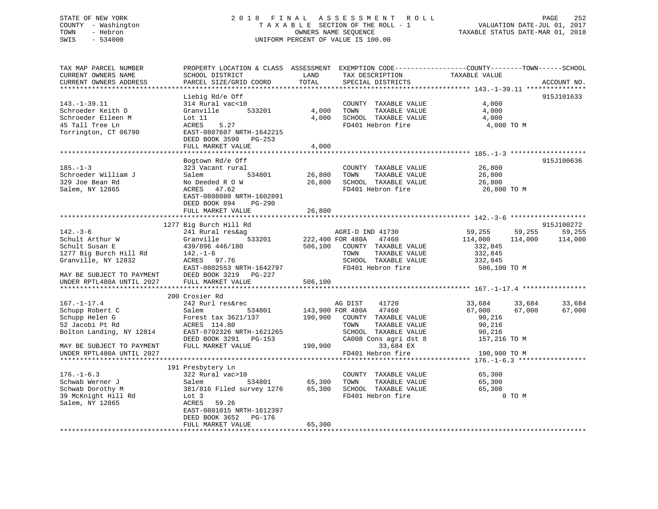## STATE OF NEW YORK 2 0 1 8 F I N A L A S S E S S M E N T R O L L PAGE 252 COUNTY - Washington T A X A B L E SECTION OF THE ROLL - 1 VALUATION DATE-JUL 01, 2017 TOWN - Hebron OWNERS NAME SEQUENCE TAXABLE STATUS DATE-MAR 01, 2018 SWIS - 534000 UNIFORM PERCENT OF VALUE IS 100.00

| TAX MAP PARCEL NUMBER<br>CURRENT OWNERS NAME<br>CURRENT OWNERS ADDRESS                                                                                         | SCHOOL DISTRICT<br>PARCEL SIZE/GRID COORD                                                                                                                                                             | LAND<br>TOTAL              | TAX DESCRIPTION<br>SPECIAL DISTRICTS                                                                                                             | PROPERTY LOCATION & CLASS ASSESSMENT EXEMPTION CODE----------------COUNTY-------TOWN------SCHOOL<br>TAXABLE VALUE | ACCOUNT NO.                     |
|----------------------------------------------------------------------------------------------------------------------------------------------------------------|-------------------------------------------------------------------------------------------------------------------------------------------------------------------------------------------------------|----------------------------|--------------------------------------------------------------------------------------------------------------------------------------------------|-------------------------------------------------------------------------------------------------------------------|---------------------------------|
| *********************<br>$143. - 1 - 39.11$<br>Schroeder Keith D<br>Schroeder Eileen M<br>45 Tall Tree Ln<br>Torrington, CT 06790                              | Liebig Rd/e Off<br>314 Rural vac<10<br>Granville<br>533201<br>Lot $11$<br>ACRES<br>5.27<br>EAST-0807607 NRTH-1642215<br>DEED BOOK 3590 PG-253<br>FULL MARKET VALUE                                    | 4,000<br>4,000<br>4,000    | COUNTY TAXABLE VALUE<br>TOWN<br>TAXABLE VALUE<br>SCHOOL TAXABLE VALUE<br>FD401 Hebron fire                                                       | 4,000<br>4,000<br>4,000<br>4,000 TO M                                                                             | 915J101633                      |
| $185. - 1 - 3$<br>Schroeder William J<br>329 Joe Bean Rd<br>Salem, NY 12865                                                                                    | Bogtown Rd/e Off<br>323 Vacant rural<br>534801<br>Salem<br>No Deeded R O W<br>47.62<br>ACRES<br>EAST-0808080 NRTH-1602891<br>DEED BOOK 894<br>$PG-290$<br>FULL MARKET VALUE                           | 26,800<br>26,800<br>26,800 | COUNTY TAXABLE VALUE<br>TAXABLE VALUE<br>TOWN<br>SCHOOL TAXABLE VALUE<br>FD401 Hebron fire                                                       | 26,800<br>26,800<br>26,800<br>26,800 TO M                                                                         | 915J100636                      |
|                                                                                                                                                                |                                                                                                                                                                                                       |                            |                                                                                                                                                  |                                                                                                                   |                                 |
| $142. - 3 - 6$<br>Schult Arthur W<br>Schult Susan E<br>1277 Big Burch Hill Rd<br>Granville, NY 12832<br>MAY BE SUBJECT TO PAYMENT<br>UNDER RPTL480A UNTIL 2027 | 1277 Big Burch Hill Rd<br>241 Rural res&ag<br>Granville<br>533201<br>439/896 446/180<br>$142. - 1 - 6$<br>ACRES 97.76<br>EAST-0802553 NRTH-1642797<br>DEED BOOK 3219 PG-227<br>FULL MARKET VALUE      | 506,100                    | AGRI-D IND 41730<br>222,400 FOR 480A 47460<br>506,100 COUNTY TAXABLE VALUE<br>TOWN<br>TAXABLE VALUE<br>SCHOOL TAXABLE VALUE<br>FD401 Hebron fire | 59,255<br>59,255<br>114,000<br>114,000<br>332,845<br>332,845<br>332,845<br>506,100 TO M                           | 915J100272<br>59,255<br>114,000 |
|                                                                                                                                                                | 200 Crosier Rd                                                                                                                                                                                        |                            |                                                                                                                                                  |                                                                                                                   |                                 |
| $167. - 1 - 17.4$<br>Schupp Robert C<br>Schupp Helen G<br>52 Jacobi Pt Rd<br>Bolton Landing, NY 12814                                                          | 242 Rurl res&rec<br>534801<br>Salem<br>Forest tax 3621/137 190,900 COUNTY TAXABLE VALUE<br>ACRES 114.80<br>EAST-0792326 NRTH-1621265<br>DEED BOOK 3291 PG-153                                         |                            | AG DIST<br>41720<br>143,900 FOR 480A 47460<br>TOWN<br>TAXABLE VALUE<br>SCHOOL TAXABLE VALUE<br>CA008 Cons agri dst 8                             | 33,684<br>33,684<br>67,000<br>67,000<br>90,216<br>90,216<br>90,216<br>157,216 TO M                                | 33,684<br>67,000                |
| MAY BE SUBJECT TO PAYMENT<br>UNDER RPTL480A UNTIL 2027                                                                                                         | FULL MARKET VALUE                                                                                                                                                                                     | 190,900                    | 33,684 EX<br>FD401 Hebron fire                                                                                                                   | 190,900 TO M                                                                                                      |                                 |
| $176. - 1 - 6.3$<br>Schwab Werner J<br>Schwab Dorothy M<br>39 McKnight Hill Rd<br>Salem, NY 12865                                                              | 191 Presbytery Ln<br>322 Rural vac>10<br>534801<br>Salem<br>381/816 Filed survey 1276<br>Lot 3<br><b>ACRES</b><br>59.26<br>EAST-0801015 NRTH-1612397<br>DEED BOOK 3652<br>PG-176<br>FULL MARKET VALUE | 65,300<br>65,300           | COUNTY TAXABLE VALUE<br>TOWN<br>TAXABLE VALUE<br>65,300 SCHOOL TAXABLE VALUE<br>FD401 Hebron fire                                                | 65,300<br>65,300<br>65,300<br>0 TO M                                                                              |                                 |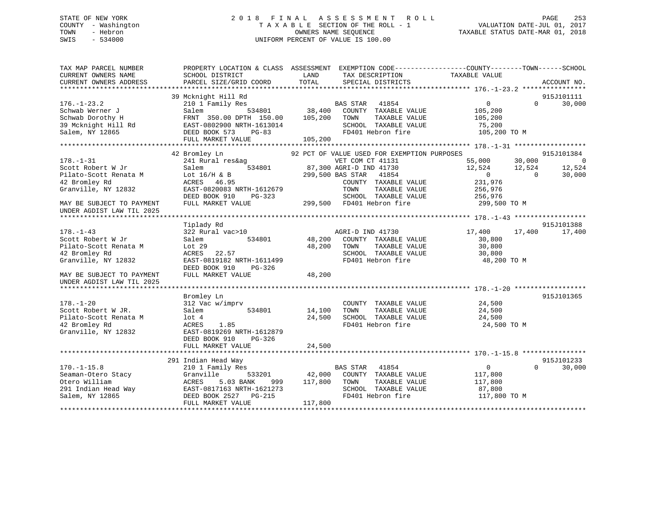# STATE OF NEW YORK 2 0 1 8 F I N A L A S S E S S M E N T R O L L PAGE 253 COUNTY - Washington T A X A B L E SECTION OF THE ROLL - 1 VALUATION DATE-JUL 01, 2017 TOWN - Hebron OWNERS NAME SEQUENCE TAXABLE STATUS DATE-MAR 01, 2018 SWIS - 534000 UNIFORM PERCENT OF VALUE IS 100.00

| TAX MAP PARCEL NUMBER<br>CURRENT OWNERS NAME<br>CURRENT OWNERS ADDRESS | SCHOOL DISTRICT<br>PARCEL SIZE/GRID COORD            | PROPERTY LOCATION & CLASS ASSESSMENT EXEMPTION CODE----------------COUNTY-------TOWN------SCHOOL<br>LAND<br>TAX DESCRIPTION<br>TOTAL<br>SPECIAL DISTRICTS | TAXABLE VALUE<br>ACCOUNT NO.         |
|------------------------------------------------------------------------|------------------------------------------------------|-----------------------------------------------------------------------------------------------------------------------------------------------------------|--------------------------------------|
|                                                                        |                                                      |                                                                                                                                                           |                                      |
|                                                                        | 39 Mcknight Hill Rd                                  |                                                                                                                                                           | 915J101111                           |
| $176. - 1 - 23.2$                                                      | 210 1 Family Res                                     | 41854<br>BAS STAR                                                                                                                                         | $\overline{0}$<br>30,000<br>$\Omega$ |
| Schwab Werner J                                                        | Salem<br>534801                                      | 38,400<br>COUNTY TAXABLE VALUE<br>105,200<br>TOWN                                                                                                         | 105,200                              |
| Schwab Dorothy H<br>39 Mcknight Hill Rd                                | FRNT 350.00 DPTH 150.00<br>EAST-0802900 NRTH-1613014 | TAXABLE VALUE<br>SCHOOL TAXABLE VALUE                                                                                                                     | 105,200<br>75,200                    |
| Salem, NY 12865                                                        | DEED BOOK 573<br>$PG-83$                             | FD401 Hebron fire                                                                                                                                         | 105,200 TO M                         |
|                                                                        | FULL MARKET VALUE                                    | 105,200                                                                                                                                                   |                                      |
|                                                                        |                                                      |                                                                                                                                                           |                                      |
|                                                                        | 42 Bromley Ln                                        | 92 PCT OF VALUE USED FOR EXEMPTION PURPOSES                                                                                                               | 915J101384                           |
| $178. - 1 - 31$                                                        | 241 Rural res&ag                                     | VET COM CT 41131                                                                                                                                          | 55,000<br>30,000<br>$\overline{0}$   |
| Scott Robert W Jr                                                      | Salem<br>534801                                      | 87,300 AGRI-D IND 41730                                                                                                                                   | 12,524<br>12,524<br>12,524           |
| Pilato-Scott Renata M                                                  | Lot $16/H$ & B                                       | 299,500 BAS STAR<br>41854                                                                                                                                 | 30,000<br>$\overline{0}$<br>$\Omega$ |
| 42 Bromley Rd                                                          | <b>ACRES</b><br>46.95                                | COUNTY TAXABLE VALUE                                                                                                                                      | 231,976                              |
| Granville, NY 12832                                                    | EAST-0820083 NRTH-1612679                            | TOWN<br>TAXABLE VALUE                                                                                                                                     | 256,976                              |
|                                                                        | DEED BOOK 910<br>PG-323                              | SCHOOL TAXABLE VALUE                                                                                                                                      | 256,976                              |
| MAY BE SUBJECT TO PAYMENT<br>UNDER AGDIST LAW TIL 2025                 | FULL MARKET VALUE                                    | 299,500 FD401 Hebron fire                                                                                                                                 | 299,500 TO M                         |
|                                                                        |                                                      |                                                                                                                                                           |                                      |
|                                                                        | Tiplady Rd                                           |                                                                                                                                                           | 915J101388                           |
| $178. - 1 - 43$                                                        | 322 Rural vac>10                                     | AGRI-D IND 41730                                                                                                                                          | 17,400<br>17,400<br>17,400           |
| Scott Robert W Jr                                                      | 534801<br>Salem                                      | 48,200<br>COUNTY TAXABLE VALUE                                                                                                                            | 30,800                               |
| Pilato-Scott Renata M                                                  | Lot 29                                               | 48,200<br>TOWN<br>TAXABLE VALUE                                                                                                                           | 30,800                               |
| 42 Bromley Rd<br>Granville, NY 12832                                   | ACRES 22.57<br>EAST-0819182 NRTH-1611499             | SCHOOL TAXABLE VALUE<br>FD401 Hebron fire                                                                                                                 | 30,800<br>48,200 TO M                |
|                                                                        | DEED BOOK 910<br>PG-326                              |                                                                                                                                                           |                                      |
| MAY BE SUBJECT TO PAYMENT                                              | FULL MARKET VALUE                                    | 48,200                                                                                                                                                    |                                      |
| UNDER AGDIST LAW TIL 2025                                              |                                                      |                                                                                                                                                           |                                      |
|                                                                        |                                                      |                                                                                                                                                           |                                      |
|                                                                        | Bromley Ln                                           |                                                                                                                                                           | 915J101365                           |
| $178. - 1 - 20$                                                        | 312 Vac w/imprv                                      | COUNTY TAXABLE VALUE                                                                                                                                      | 24,500                               |
| Scott Robert W JR.                                                     | Salem<br>534801                                      | 14,100<br>TOWN<br>TAXABLE VALUE                                                                                                                           | 24,500                               |
| Pilato-Scott Renata M                                                  | $1$ ot $4$                                           | 24,500<br>SCHOOL TAXABLE VALUE                                                                                                                            | 24,500                               |
| 42 Bromley Rd                                                          | ACRES<br>1.85                                        | FD401 Hebron fire                                                                                                                                         | 24,500 TO M                          |
| Granville, NY 12832                                                    | EAST-0819269 NRTH-1612879                            |                                                                                                                                                           |                                      |
|                                                                        | DEED BOOK 910<br>$PG-326$                            |                                                                                                                                                           |                                      |
|                                                                        | FULL MARKET VALUE                                    | 24,500                                                                                                                                                    |                                      |
|                                                                        | 291 Indian Head Way                                  |                                                                                                                                                           | 915J101233                           |
| $170. - 1 - 15.8$                                                      | 210 1 Family Res                                     | <b>BAS STAR</b><br>41854                                                                                                                                  | 30,000<br>$\mathbf 0$<br>$\Omega$    |
| Seaman-Otero Stacy                                                     | Granville<br>533201                                  | 42,000<br>COUNTY TAXABLE VALUE                                                                                                                            | 117,800                              |
| Otero William                                                          | 5.03 BANK<br>ACRES<br>999                            | 117,800<br>TOWN<br>TAXABLE VALUE                                                                                                                          | 117,800                              |
| 291 Indian Head Way                                                    | EAST-0817163 NRTH-1621273                            | SCHOOL TAXABLE VALUE                                                                                                                                      | 87,800                               |
| Salem, NY 12865                                                        | DEED BOOK 2527 PG-215                                | FD401 Hebron fire                                                                                                                                         | 117,800 TO M                         |
|                                                                        | FULL MARKET VALUE                                    | 117,800                                                                                                                                                   |                                      |
|                                                                        |                                                      |                                                                                                                                                           |                                      |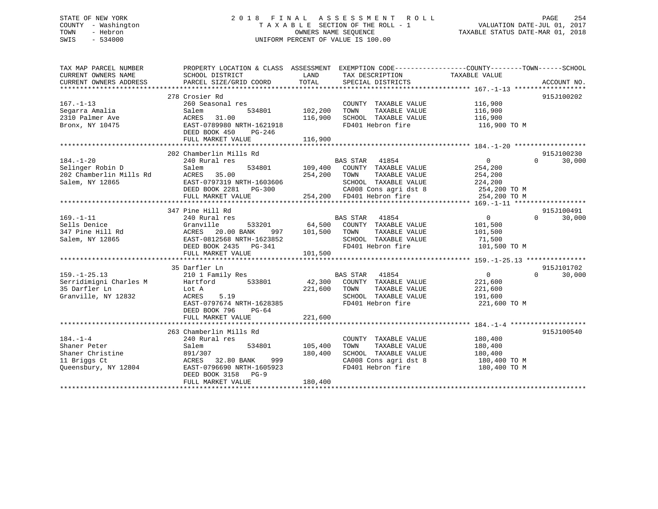# STATE OF NEW YORK 2 0 1 8 F I N A L A S S E S S M E N T R O L L PAGE 254 COUNTY - Washington T A X A B L E SECTION OF THE ROLL - 1 VALUATION DATE-JUL 01, 2017 TOWN - Hebron OWNERS NAME SEQUENCE TAXABLE STATUS DATE-MAR 01, 2018 SWIS - 534000 UNIFORM PERCENT OF VALUE IS 100.00

| TAX MAP PARCEL NUMBER<br>CURRENT OWNERS NAME | PROPERTY LOCATION & CLASS ASSESSMENT EXEMPTION CODE---------------COUNTY-------TOWN-----SCHOOL<br>SCHOOL DISTRICT | LAND    | TAX DESCRIPTION                                    | TAXABLE VALUE  |                    |
|----------------------------------------------|-------------------------------------------------------------------------------------------------------------------|---------|----------------------------------------------------|----------------|--------------------|
| CURRENT OWNERS ADDRESS                       | PARCEL SIZE/GRID COORD                                                                                            | TOTAL   | SPECIAL DISTRICTS                                  |                | ACCOUNT NO.        |
|                                              | 278 Crosier Rd                                                                                                    |         |                                                    |                | 915J100202         |
| $167. - 1 - 13$                              | 260 Seasonal res                                                                                                  |         | COUNTY TAXABLE VALUE                               | 116,900        |                    |
| Segarra Amalia                               | Salem<br>534801                                                                                                   | 102,200 | TAXABLE VALUE<br>TOWN                              | 116,900        |                    |
| 2310 Palmer Ave                              | 31.00<br>ACRES                                                                                                    | 116,900 | SCHOOL TAXABLE VALUE                               | 116,900        |                    |
| Bronx, NY 10475                              | EAST-0789980 NRTH-1621918                                                                                         |         | FD401 Hebron fire                                  | 116,900 TO M   |                    |
|                                              | DEED BOOK 450<br>PG-246                                                                                           |         |                                                    |                |                    |
|                                              | FULL MARKET VALUE                                                                                                 | 116,900 |                                                    |                |                    |
|                                              |                                                                                                                   |         |                                                    |                |                    |
|                                              | 202 Chamberlin Mills Rd                                                                                           |         |                                                    |                | 915J100230         |
| $184. - 1 - 20$                              | 240 Rural res                                                                                                     |         | <b>BAS STAR</b><br>41854                           | $\overline{0}$ | $\Omega$<br>30,000 |
| Selinger Robin D                             | 534801<br>Salem                                                                                                   |         | 109,400 COUNTY TAXABLE VALUE                       | 254,200        |                    |
| 202 Chamberlin Mills Rd                      | 35.00<br>ACRES                                                                                                    | 254,200 | TOWN<br>TAXABLE VALUE                              | 254,200        |                    |
| Salem, NY 12865                              | EAST-0797319 NRTH-1603606                                                                                         |         | SCHOOL TAXABLE VALUE                               | 224,200        |                    |
|                                              | DEED BOOK 2281 PG-300                                                                                             |         |                                                    | 254,200 TO M   |                    |
|                                              | FULL MARKET VALUE                                                                                                 |         | CA008 Cons agri dst 8<br>254,200 FD401 Hebron fire | 254,200 TO M   |                    |
|                                              |                                                                                                                   |         |                                                    |                |                    |
|                                              | 347 Pine Hill Rd                                                                                                  |         |                                                    |                | 915J100491         |
| $169. - 1 - 11$                              | 240 Rural res                                                                                                     |         | <b>BAS STAR</b><br>41854                           | 0              | $\Omega$<br>30,000 |
| Sells Denice                                 | Granville<br>533201                                                                                               | 64,500  | COUNTY TAXABLE VALUE                               | 101,500        |                    |
| 347 Pine Hill Rd                             | ACRES<br>20.00 BANK<br>997                                                                                        | 101,500 | TOWN<br>TAXABLE VALUE                              | 101,500        |                    |
| Salem, NY 12865                              | EAST-0812568 NRTH-1623852                                                                                         |         | SCHOOL TAXABLE VALUE                               | 71,500         |                    |
|                                              | DEED BOOK 2435 PG-341                                                                                             |         | FD401 Hebron fire                                  | 101,500 TO M   |                    |
|                                              | FULL MARKET VALUE                                                                                                 | 101,500 |                                                    |                |                    |
|                                              |                                                                                                                   |         |                                                    |                |                    |
|                                              | 35 Darfler Ln                                                                                                     |         |                                                    |                | 915J101702         |
| $159. - 1 - 25.13$                           | 210 1 Family Res                                                                                                  |         | <b>BAS STAR</b><br>41854                           | $\overline{0}$ | 30,000<br>$\Omega$ |
| Serridimigni Charles M                       | 533801<br>Hartford                                                                                                |         | 42,300 COUNTY TAXABLE VALUE                        | 221,600        |                    |
| 35 Darfler Ln                                | Lot A                                                                                                             | 221,600 | TAXABLE VALUE<br>TOWN                              | 221,600        |                    |
| Granville, NY 12832                          | ACRES<br>5.19                                                                                                     |         | SCHOOL TAXABLE VALUE                               | 191,600        |                    |
|                                              | EAST-0797674 NRTH-1628385                                                                                         |         | FD401 Hebron fire                                  | 221,600 TO M   |                    |
|                                              | DEED BOOK 796<br>$PG-64$                                                                                          |         |                                                    |                |                    |
|                                              | FULL MARKET VALUE                                                                                                 | 221,600 |                                                    |                |                    |
|                                              |                                                                                                                   |         |                                                    |                |                    |
|                                              | 263 Chamberlin Mills Rd                                                                                           |         |                                                    |                | 915J100540         |
| $184. - 1 - 4$                               | 240 Rural res                                                                                                     |         | COUNTY TAXABLE VALUE                               | 180,400        |                    |
| Shaner Peter                                 | Salem<br>534801                                                                                                   | 105,400 | TAXABLE VALUE<br>TOWN                              | 180,400        |                    |
| Shaner Christine                             | 891/307                                                                                                           | 180,400 | SCHOOL TAXABLE VALUE                               | 180,400        |                    |
| 11 Briggs Ct                                 | 32.80 BANK<br>999<br>ACRES                                                                                        |         | CA008 Cons agri dst 8                              | 180,400 TO M   |                    |
| Queensbury, NY 12804                         | EAST-0796690 NRTH-1605923                                                                                         |         | FD401 Hebron fire                                  | 180,400 TO M   |                    |
|                                              | DEED BOOK 3158 PG-9                                                                                               |         |                                                    |                |                    |
|                                              | FULL MARKET VALUE                                                                                                 | 180,400 |                                                    |                |                    |
|                                              |                                                                                                                   |         |                                                    |                |                    |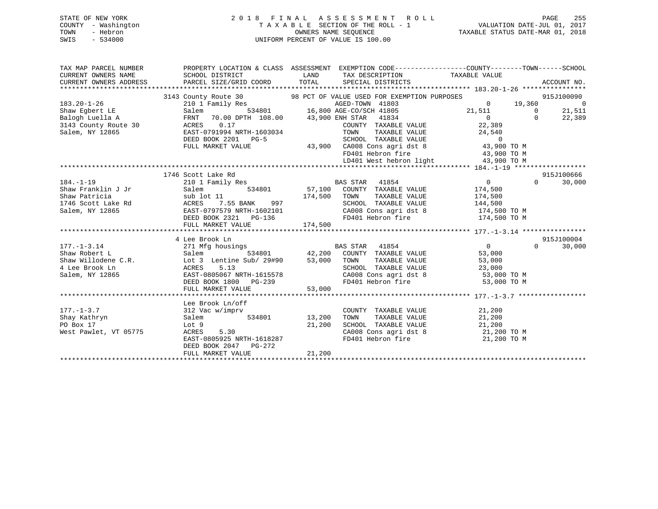| STATE OF NEW YORK   | 2018 FINAL ASSESSMENT ROLL         | 255<br>PAGE                      |
|---------------------|------------------------------------|----------------------------------|
| COUNTY - Washington | TAXABLE SECTION OF THE ROLL - 1    | VALUATION DATE-JUL 01, 2017      |
| TOWN<br>- Hebron    | OWNERS NAME SEOUENCE               | TAXABLE STATUS DATE-MAR 01, 2018 |
| $-534000$<br>SWIS   | UNIFORM PERCENT OF VALUE IS 100.00 |                                  |

| TAX MAP PARCEL NUMBER  | PROPERTY LOCATION & CLASS ASSESSMENT EXEMPTION CODE----------------COUNTY-------TOWN------SCHOOL                                                                                                                                                                                                                                                                                                                                                                                                                                                                                                                             |      |                                                            |                                                                                                         |          |            |
|------------------------|------------------------------------------------------------------------------------------------------------------------------------------------------------------------------------------------------------------------------------------------------------------------------------------------------------------------------------------------------------------------------------------------------------------------------------------------------------------------------------------------------------------------------------------------------------------------------------------------------------------------------|------|------------------------------------------------------------|---------------------------------------------------------------------------------------------------------|----------|------------|
| CURRENT OWNERS NAME    | SCHOOL DISTRICT                                                                                                                                                                                                                                                                                                                                                                                                                                                                                                                                                                                                              |      | LAND TAX DESCRIPTION TAXABLE VALUE                         |                                                                                                         |          |            |
| CURRENT OWNERS ADDRESS |                                                                                                                                                                                                                                                                                                                                                                                                                                                                                                                                                                                                                              |      |                                                            |                                                                                                         |          |            |
|                        |                                                                                                                                                                                                                                                                                                                                                                                                                                                                                                                                                                                                                              |      |                                                            |                                                                                                         |          |            |
|                        | 3143 COULT Resident NY 12865<br>Salem, NY 12865<br>FULL MARKET VALUE CONC 2011 PG-5<br>FULL MARKET VALUE 10<br>FULL MARKET VALUE 10<br>FULL MARKET VALUE 10<br>FULL MARKET VALUE 10<br>FULL MARKET VALUE 22, 309<br>FULL MARKET VALUE 22, 309<br>                                                                                                                                                                                                                                                                                                                                                                            |      |                                                            |                                                                                                         |          |            |
|                        |                                                                                                                                                                                                                                                                                                                                                                                                                                                                                                                                                                                                                              |      |                                                            |                                                                                                         |          |            |
|                        |                                                                                                                                                                                                                                                                                                                                                                                                                                                                                                                                                                                                                              |      |                                                            |                                                                                                         |          |            |
|                        |                                                                                                                                                                                                                                                                                                                                                                                                                                                                                                                                                                                                                              |      |                                                            |                                                                                                         |          |            |
|                        |                                                                                                                                                                                                                                                                                                                                                                                                                                                                                                                                                                                                                              |      |                                                            |                                                                                                         |          |            |
|                        |                                                                                                                                                                                                                                                                                                                                                                                                                                                                                                                                                                                                                              |      |                                                            |                                                                                                         |          |            |
|                        |                                                                                                                                                                                                                                                                                                                                                                                                                                                                                                                                                                                                                              |      |                                                            |                                                                                                         |          |            |
|                        |                                                                                                                                                                                                                                                                                                                                                                                                                                                                                                                                                                                                                              |      |                                                            |                                                                                                         |          |            |
|                        |                                                                                                                                                                                                                                                                                                                                                                                                                                                                                                                                                                                                                              |      |                                                            | FD401 Hebron fire 43,900 TO M                                                                           |          |            |
|                        |                                                                                                                                                                                                                                                                                                                                                                                                                                                                                                                                                                                                                              |      |                                                            |                                                                                                         |          |            |
|                        |                                                                                                                                                                                                                                                                                                                                                                                                                                                                                                                                                                                                                              |      |                                                            |                                                                                                         |          |            |
|                        | 1746 Scott Lake Rd                                                                                                                                                                                                                                                                                                                                                                                                                                                                                                                                                                                                           |      |                                                            |                                                                                                         |          | 915J100666 |
| $184. - 1 - 19$        | 210 1 Family Res BAS STAR 41854                                                                                                                                                                                                                                                                                                                                                                                                                                                                                                                                                                                              |      |                                                            | $\begin{array}{ccc} & & & 0 & \end{array}$                                                              |          | 30,000     |
|                        |                                                                                                                                                                                                                                                                                                                                                                                                                                                                                                                                                                                                                              |      | $534801$ $57,100$ COUNTY TAXABLE VALUE $174,500$           |                                                                                                         |          |            |
|                        |                                                                                                                                                                                                                                                                                                                                                                                                                                                                                                                                                                                                                              |      |                                                            |                                                                                                         |          |            |
|                        | Shaw Franklin J Jr Salem 534801 57,100 COUNT<br>Shaw Patricia sub lot 11 174,500 TOWN<br>1746 Scott Lake Rd ACRES 7.55 BANK 997 SCHOO<br>Salem, NY 12865 EAST-0797579 NRTH-1602101 CA008                                                                                                                                                                                                                                                                                                                                                                                                                                     |      | TOWN TAXABLE VALUE 174,500<br>SCHOOL TAXABLE VALUE 144,500 |                                                                                                         |          |            |
|                        |                                                                                                                                                                                                                                                                                                                                                                                                                                                                                                                                                                                                                              |      |                                                            | CA008 Cons agri dst 8 174,500 TO M                                                                      |          |            |
|                        | DEED BOOK 2321 PG-136                                                                                                                                                                                                                                                                                                                                                                                                                                                                                                                                                                                                        |      |                                                            | FD401 Hebron fire 174,500 TO M                                                                          |          |            |
|                        |                                                                                                                                                                                                                                                                                                                                                                                                                                                                                                                                                                                                                              |      |                                                            |                                                                                                         |          |            |
|                        |                                                                                                                                                                                                                                                                                                                                                                                                                                                                                                                                                                                                                              |      |                                                            |                                                                                                         |          |            |
|                        | 4 Lee Brook Ln                                                                                                                                                                                                                                                                                                                                                                                                                                                                                                                                                                                                               |      |                                                            |                                                                                                         |          | 915J100004 |
| $177. - 1 - 3.14$      | 271 Mfg housings<br>271 Mfg housings<br>271 Mfg housings<br>273 Mfg housings<br>274801<br>274 Mfg 1000<br>274 Mfg 1000<br>274 Mfg 1000<br>274 Mfg 1000<br>274 Mfg 1000<br>274 Mfg 1000<br>274 Mfg 1000<br>274 Mfg 1000<br>274 Mfg 1000<br>274 Mfg 1000<br>27                                                                                                                                                                                                                                                                                                                                                                 |      |                                                            | $\overline{0}$                                                                                          | $\Omega$ | 30,000     |
|                        |                                                                                                                                                                                                                                                                                                                                                                                                                                                                                                                                                                                                                              |      |                                                            |                                                                                                         |          |            |
|                        |                                                                                                                                                                                                                                                                                                                                                                                                                                                                                                                                                                                                                              |      |                                                            |                                                                                                         |          |            |
|                        |                                                                                                                                                                                                                                                                                                                                                                                                                                                                                                                                                                                                                              |      |                                                            |                                                                                                         |          |            |
|                        |                                                                                                                                                                                                                                                                                                                                                                                                                                                                                                                                                                                                                              |      |                                                            |                                                                                                         |          |            |
|                        | $\begin{tabular}{lllllllllllllllllllllll} \text{177.-1-3.14} & \text{21.113} & \text{22.1113} & \text{23.1801} & \text{24.200} & \text{COUNTY} & \text{ITXABLE VALUE} & \text{Value} & \text{25.000} \\ \text{Shaw Willoden C.R.} & \text{Lot 3 Lentine Sub/29\#90} & \text{53,000} & \text{TOWN} & \text{TXABLE VALUE} & \text{53,000} \\ \text{4 Lee Brook Ln} & \text{ACRES} & \text{5.13} & \text{SCHOOL TAXABLE VALUE} & \$<br>53,000 TO HAND PULL MARKET VALUE<br>FD401 Hebron fire 53,000 TO M<br>FD401 Hebron fire 53,000 TO M<br>FULL MARKET VALUE 53,000<br>FULL MARKET VALUE 53,000 FO401 Hebron fire 53,000 TO M |      |                                                            |                                                                                                         |          |            |
|                        |                                                                                                                                                                                                                                                                                                                                                                                                                                                                                                                                                                                                                              |      |                                                            |                                                                                                         |          |            |
|                        |                                                                                                                                                                                                                                                                                                                                                                                                                                                                                                                                                                                                                              |      |                                                            |                                                                                                         |          |            |
|                        | Lee Brook Ln/off                                                                                                                                                                                                                                                                                                                                                                                                                                                                                                                                                                                                             |      |                                                            |                                                                                                         |          |            |
| $177. - 1 - 3.7$       | 312 Vac w/imprv                                                                                                                                                                                                                                                                                                                                                                                                                                                                                                                                                                                                              |      | COUNTY TAXABLE VALUE                                       | 21,200                                                                                                  |          |            |
| Shay Kathryn           | Salem 534801 13,200                                                                                                                                                                                                                                                                                                                                                                                                                                                                                                                                                                                                          | TOWN |                                                            | TAXABLE VALUE 21,200                                                                                    |          |            |
|                        | PO Box 17 1.200<br>West Pawlet, VT 05775 1.30<br>ACRES 5.30                                                                                                                                                                                                                                                                                                                                                                                                                                                                                                                                                                  |      |                                                            |                                                                                                         |          |            |
|                        |                                                                                                                                                                                                                                                                                                                                                                                                                                                                                                                                                                                                                              |      |                                                            | SCHOOL TAXABLE VALUE $21,200$<br>CA008 Cons agri dst 8 $21,200$ TO M<br>FD401 Hebron fire $21,200$ TO M |          |            |
|                        | EAST-0805925 NRTH-1618287                                                                                                                                                                                                                                                                                                                                                                                                                                                                                                                                                                                                    |      |                                                            |                                                                                                         |          |            |
|                        | DEED BOOK 2047 PG-272                                                                                                                                                                                                                                                                                                                                                                                                                                                                                                                                                                                                        |      |                                                            |                                                                                                         |          |            |
|                        |                                                                                                                                                                                                                                                                                                                                                                                                                                                                                                                                                                                                                              |      |                                                            |                                                                                                         |          |            |
|                        |                                                                                                                                                                                                                                                                                                                                                                                                                                                                                                                                                                                                                              |      |                                                            |                                                                                                         |          |            |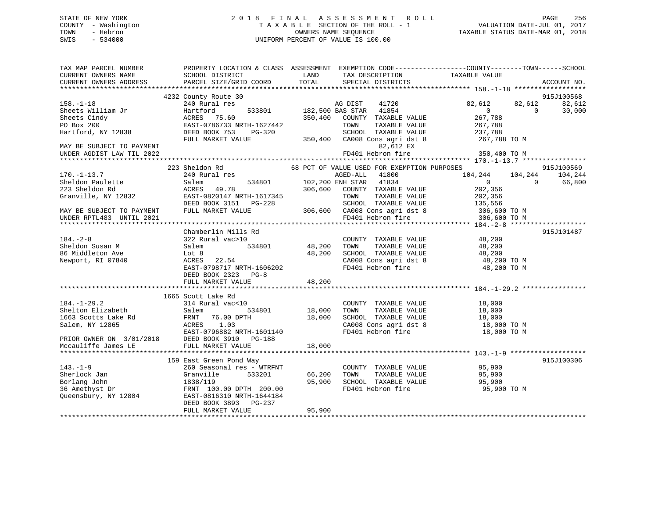# STATE OF NEW YORK 2 0 1 8 F I N A L A S S E S S M E N T R O L L PAGE 256 COUNTY - Washington T A X A B L E SECTION OF THE ROLL - 1 VALUATION DATE-JUL 01, 2017 TOWN - Hebron OWNERS NAME SEQUENCE TAXABLE STATUS DATE-MAR 01, 2018 SWIS - 534000 UNIFORM PERCENT OF VALUE IS 100.00

| TAX MAP PARCEL NUMBER<br>CURRENT OWNERS NAME                                 | PROPERTY LOCATION & CLASS ASSESSMENT EXEMPTION CODE---------------COUNTY-------TOWN-----SCHOOL<br>SCHOOL DISTRICT                                                                                                                                         | LAND             | TAX DESCRIPTION                                                                                                                            | TAXABLE VALUE                                           |                                                      |  |
|------------------------------------------------------------------------------|-----------------------------------------------------------------------------------------------------------------------------------------------------------------------------------------------------------------------------------------------------------|------------------|--------------------------------------------------------------------------------------------------------------------------------------------|---------------------------------------------------------|------------------------------------------------------|--|
| CURRENT OWNERS ADDRESS                                                       | PARCEL SIZE/GRID COORD                                                                                                                                                                                                                                    | TOTAL            | SPECIAL DISTRICTS                                                                                                                          |                                                         | ACCOUNT NO.                                          |  |
|                                                                              |                                                                                                                                                                                                                                                           |                  |                                                                                                                                            |                                                         |                                                      |  |
| $158. - 1 - 18$<br>Sheets William Jr                                         | 4232 County Route 30<br>240 Rural res<br>Hartford                                                                                                                                                                                                         |                  | AG DIST<br>41720<br>533801 182,500 BAS STAR 41854                                                                                          | 82,612<br>$\overline{0}$                                | 915J100568<br>82,612<br>82,612<br>$\Omega$<br>30,000 |  |
| Sheets Cindy<br>PO Box 200<br>Hartford, NY 12838                             | ACRES 75.60<br>EAST-0786733 NRTH-1627442<br>DEED BOOK 753<br>PG-320                                                                                                                                                                                       |                  | 350,400 COUNTY TAXABLE VALUE<br>TAXABLE VALUE<br>TOWN<br>SCHOOL TAXABLE VALUE                                                              | 267,788<br>267,788<br>237,788                           |                                                      |  |
| MAY BE SUBJECT TO PAYMENT                                                    | FULL MARKET VALUE                                                                                                                                                                                                                                         |                  | 350,400 CA008 Cons agri dst 8 267,788 TO M<br>82,612 EX                                                                                    |                                                         |                                                      |  |
|                                                                              |                                                                                                                                                                                                                                                           |                  |                                                                                                                                            |                                                         |                                                      |  |
|                                                                              | 223 Sheldon Rd                                                                                                                                                                                                                                            |                  | 68 PCT OF VALUE USED FOR EXEMPTION PURPOSES                                                                                                |                                                         | 915J100569                                           |  |
| $170. - 1 - 13.7$<br>Sheldon Paulette<br>223 Sheldon Rd                      | 240 Rural res<br>Salem<br>ACRES 49.78                                                                                                                                                                                                                     | 306,600          | AGED-ALL 41800<br>534801 102,200 ENH STAR 41834<br>COUNTY TAXABLE VALUE                                                                    | 104,244<br>$\overline{0}$<br>202,356                    | 104,244<br>104,244<br>$\Omega$<br>66,800             |  |
| Granville, NY 12832<br>MAY BE SUBJECT TO PAYMENT<br>UNDER RPTL483 UNTIL 2021 | FULL MARKET VALUE                                                                                                                                                                                                                                         |                  | TOWN TAXABLE VALUE 202,356<br>SCHOOL TAXABLE VALUE 135,556<br>306,600 CA008 Cons agri dst 8 306,600 TO M<br>FD401 Hebron fire 306,600 TO M |                                                         |                                                      |  |
| UNDER RPTL483 UNTIL 2021                                                     |                                                                                                                                                                                                                                                           |                  |                                                                                                                                            |                                                         |                                                      |  |
|                                                                              | Chamberlin Mills Rd                                                                                                                                                                                                                                       |                  |                                                                                                                                            |                                                         | 915J101487                                           |  |
| $184. - 2 - 8$                                                               | 322 Rural vac>10                                                                                                                                                                                                                                          |                  | COUNTY TAXABLE VALUE                                                                                                                       | 48,200                                                  |                                                      |  |
| Sheldon Susan M                                                              | Salem                                                                                                                                                                                                                                                     | 534801 48,200    | TOWN                                                                                                                                       | TAXABLE VALUE 48,200                                    |                                                      |  |
| 86 Middleton Ave                                                             | Lot 8                                                                                                                                                                                                                                                     | 48,200           | SCHOOL TAXABLE VALUE 48,200<br>CA008 Cons agri dst 8 48,200 TO M                                                                           |                                                         |                                                      |  |
| Newport, RI 07840                                                            | ACRES 22.54<br>EAST-0798717 NRTH-1606202<br>DEED BOOK 2323<br>$PG-8$                                                                                                                                                                                      |                  | FD401 Hebron fire                                                                                                                          | 48,200 TO M                                             |                                                      |  |
|                                                                              | FULL MARKET VALUE                                                                                                                                                                                                                                         | 48,200           |                                                                                                                                            |                                                         |                                                      |  |
|                                                                              |                                                                                                                                                                                                                                                           |                  |                                                                                                                                            |                                                         |                                                      |  |
|                                                                              | 1665 Scott Lake Rd                                                                                                                                                                                                                                        |                  |                                                                                                                                            |                                                         |                                                      |  |
|                                                                              |                                                                                                                                                                                                                                                           |                  | COUNTY TAXABLE VALUE 18,000<br>TAXABLE VALUE<br>TOWN                                                                                       | 18,000                                                  |                                                      |  |
|                                                                              |                                                                                                                                                                                                                                                           |                  | 10mm Incolar value<br>SCHOOL TAXABLE VALUE<br>CAOOL CONS ACT dst. 8 18,000                                                                 |                                                         |                                                      |  |
|                                                                              |                                                                                                                                                                                                                                                           |                  |                                                                                                                                            | 18,000 TO M                                             |                                                      |  |
|                                                                              |                                                                                                                                                                                                                                                           |                  | CA008 Cons agri dst 8<br>FD401 Hebron fire                                                                                                 | 18,000 TO M                                             |                                                      |  |
|                                                                              | 184.-1-29.2<br>Shelton Elizabeth 314 Rural vac<10<br>18,000<br>18,000<br>18,000<br>Salem, NY 12865<br>PRIOR OWNER ON 3/01/2018<br>PRIOR OWNER ON 3/01/2018<br>2020 DEED BOOK 3910<br>2020 DEED BOOK 3910<br>2020 PG-188<br>2020 PG-188<br>2020 PG-188<br> |                  |                                                                                                                                            |                                                         |                                                      |  |
|                                                                              |                                                                                                                                                                                                                                                           |                  |                                                                                                                                            |                                                         |                                                      |  |
| $143. - 1 - 9$<br>Sherlock Jan                                               | 159 East Green Pond Way<br>260 Seasonal res - WTRFNT<br>533201<br>Granville<br>DEED BOOK 3893 PG-237                                                                                                                                                      | 66,200<br>95,900 | COUNTY TAXABLE VALUE<br>TOWN<br>SCHOOL TAXABLE VALUE<br>FD401 Hebron fire                                                                  | 95,900<br>TAXABLE VALUE 95,900<br>95,900<br>95,900 TO M | 915J100306                                           |  |
|                                                                              | FULL MARKET VALUE                                                                                                                                                                                                                                         | 95,900           |                                                                                                                                            |                                                         |                                                      |  |
|                                                                              |                                                                                                                                                                                                                                                           |                  |                                                                                                                                            |                                                         |                                                      |  |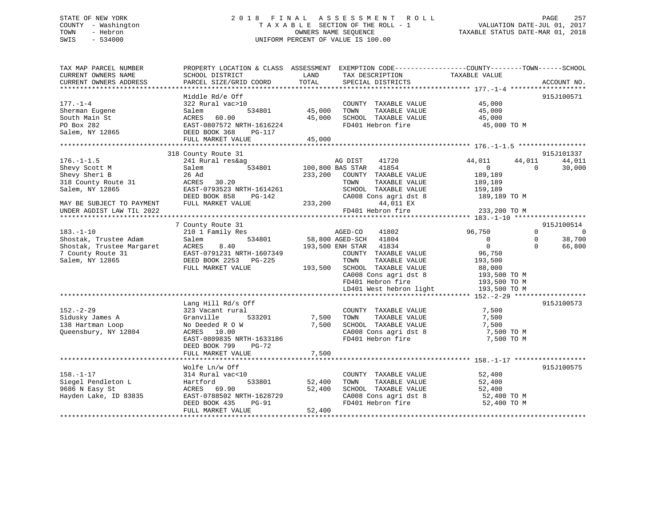# STATE OF NEW YORK 2 0 1 8 F I N A L A S S E S S M E N T R O L L PAGE 257 COUNTY - Washington T A X A B L E SECTION OF THE ROLL - 1 VALUATION DATE-JUL 01, 2017 TOWN - Hebron OWNERS NAME SEQUENCE TAXABLE STATUS DATE-MAR 01, 2018 SWIS - 534000 UNIFORM PERCENT OF VALUE IS 100.00

| TAX MAP PARCEL NUMBER<br>CURRENT OWNERS NAME<br>CURRENT OWNERS ADDRESS | PROPERTY LOCATION & CLASS ASSESSMENT EXEMPTION CODE----------------COUNTY-------TOWN------SCHOOL<br>SCHOOL DISTRICT<br>PARCEL SIZE/GRID COORD | LAND<br>TOTAL | TAX DESCRIPTION<br>SPECIAL DISTRICTS | TAXABLE VALUE    | ACCOUNT NO.          |
|------------------------------------------------------------------------|-----------------------------------------------------------------------------------------------------------------------------------------------|---------------|--------------------------------------|------------------|----------------------|
|                                                                        |                                                                                                                                               |               |                                      |                  |                      |
|                                                                        | Middle Rd/e Off                                                                                                                               |               |                                      |                  | 915J100571           |
| $177. - 1 - 4$                                                         | 322 Rural vac>10                                                                                                                              |               | COUNTY TAXABLE VALUE                 | 45,000           |                      |
| Sherman Eugene                                                         | 534801<br>Salem                                                                                                                               | 45,000        | TOWN<br>TAXABLE VALUE                | 45,000           |                      |
| South Main St                                                          | ACRES<br>60.00                                                                                                                                | 45,000        | SCHOOL TAXABLE VALUE                 | 45,000           |                      |
| PO Box 282                                                             | EAST-0807572 NRTH-1616224                                                                                                                     |               | FD401 Hebron fire                    | 45,000 TO M      |                      |
| Salem, NY 12865                                                        | DEED BOOK 368<br><b>PG-117</b>                                                                                                                |               |                                      |                  |                      |
|                                                                        | FULL MARKET VALUE                                                                                                                             | 45,000        |                                      |                  |                      |
|                                                                        |                                                                                                                                               |               |                                      |                  |                      |
|                                                                        | 318 County Route 31                                                                                                                           |               |                                      |                  | 915J101337           |
| $176. - 1 - 1.5$                                                       | 241 Rural res&ag                                                                                                                              |               | AG DIST<br>41720                     | 44,011<br>44,011 | 44,011               |
| Shevy Scott M                                                          | Salem<br>534801                                                                                                                               |               | 100,800 BAS STAR<br>41854            | $\Omega$         | 30,000<br>$\Omega$   |
| Shevy Sheri B                                                          | 26 Ad                                                                                                                                         | 233,200       | COUNTY TAXABLE VALUE                 | 189,189          |                      |
| 318 County Route 31                                                    | ACRES<br>30.20                                                                                                                                |               | TAXABLE VALUE<br>TOWN                | 189,189          |                      |
| Salem, NY 12865                                                        | EAST-0793523 NRTH-1614261                                                                                                                     |               | SCHOOL TAXABLE VALUE                 | 159,189          |                      |
|                                                                        | DEED BOOK 858<br>PG-142                                                                                                                       |               | CA008 Cons agri dst 8                | 189,189 TO M     |                      |
| MAY BE SUBJECT TO PAYMENT                                              | FULL MARKET VALUE                                                                                                                             | 233,200       | 44,011 EX                            |                  |                      |
| UNDER AGDIST LAW TIL 2022                                              |                                                                                                                                               |               | FD401 Hebron fire                    | 233,200 TO M     |                      |
|                                                                        |                                                                                                                                               |               |                                      |                  |                      |
|                                                                        | 7 County Route 31                                                                                                                             |               |                                      |                  | 915J100514           |
| $183. - 1 - 10$                                                        | 210 1 Family Res                                                                                                                              |               | AGED-CO<br>41802                     | 96,750           | $\Omega$<br>$\Omega$ |
| Shostak, Trustee Adam                                                  | 534801<br>Salem                                                                                                                               |               | 58,800 AGED-SCH<br>41804             | $\mathbf{0}$     | $\Omega$<br>38,700   |
| Shostak, Trustee Margaret                                              | ACRES<br>8.40                                                                                                                                 |               | 193,500 ENH STAR<br>41834            | $\mathbf 0$      | $\Omega$<br>66,800   |
| 7 County Route 31                                                      | EAST-0791231 NRTH-1607349                                                                                                                     |               | COUNTY TAXABLE VALUE                 | 96,750           |                      |
| Salem, NY 12865                                                        | DEED BOOK 2253 PG-225                                                                                                                         |               | TOWN<br>TAXABLE VALUE                | 193,500          |                      |
|                                                                        | FULL MARKET VALUE                                                                                                                             | 193,500       | SCHOOL TAXABLE VALUE                 | 88,000           |                      |
|                                                                        |                                                                                                                                               |               | CA008 Cons agri dst 8                | 193,500 TO M     |                      |
|                                                                        |                                                                                                                                               |               | FD401 Hebron fire                    | 193,500 TO M     |                      |
|                                                                        |                                                                                                                                               |               | LD401 West hebron light              | 193,500 TO M     |                      |
|                                                                        |                                                                                                                                               |               |                                      |                  |                      |
|                                                                        | Lang Hill Rd/s Off                                                                                                                            |               |                                      |                  | 915J100573           |
| $152. - 2 - 29$                                                        | 323 Vacant rural                                                                                                                              |               | COUNTY TAXABLE VALUE                 | 7,500            |                      |
| Sidusky James A                                                        | Granville<br>533201                                                                                                                           | 7,500         | TAXABLE VALUE<br>TOWN                | 7,500            |                      |
| 138 Hartman Loop                                                       | No Deeded R O W                                                                                                                               | 7,500         | SCHOOL TAXABLE VALUE                 | 7,500            |                      |
| Oueensbury, NY 12804                                                   | ACRES 10.00                                                                                                                                   |               | CA008 Cons agri dst 8                | 7,500 TO M       |                      |
|                                                                        | EAST-0809835 NRTH-1633186                                                                                                                     |               | FD401 Hebron fire                    | 7,500 TO M       |                      |
|                                                                        | DEED BOOK 799<br>PG-72                                                                                                                        |               |                                      |                  |                      |
|                                                                        | FULL MARKET VALUE                                                                                                                             | 7,500         |                                      |                  |                      |
|                                                                        |                                                                                                                                               |               |                                      |                  |                      |
|                                                                        | Wolfe Ln/w Off                                                                                                                                |               |                                      |                  | 915J100575           |
| $158. - 1 - 17$                                                        | 314 Rural vac<10                                                                                                                              |               | COUNTY TAXABLE VALUE                 | 52,400           |                      |
| Siegel Pendleton L                                                     | Hartford<br>533801                                                                                                                            | 52,400        | TOWN<br>TAXABLE VALUE                | 52,400           |                      |
| 9686 N Easy St                                                         | ACRES<br>69.90                                                                                                                                | 52,400        | SCHOOL TAXABLE VALUE                 | 52,400           |                      |
| Hayden Lake, ID 83835                                                  | EAST-0788502 NRTH-1628729                                                                                                                     |               | CA008 Cons agri dst 8                | 52,400 TO M      |                      |
|                                                                        | DEED BOOK 435<br>PG-91                                                                                                                        |               | FD401 Hebron fire                    | 52,400 TO M      |                      |
|                                                                        | FULL MARKET VALUE                                                                                                                             | 52,400        |                                      |                  |                      |
|                                                                        |                                                                                                                                               |               |                                      |                  |                      |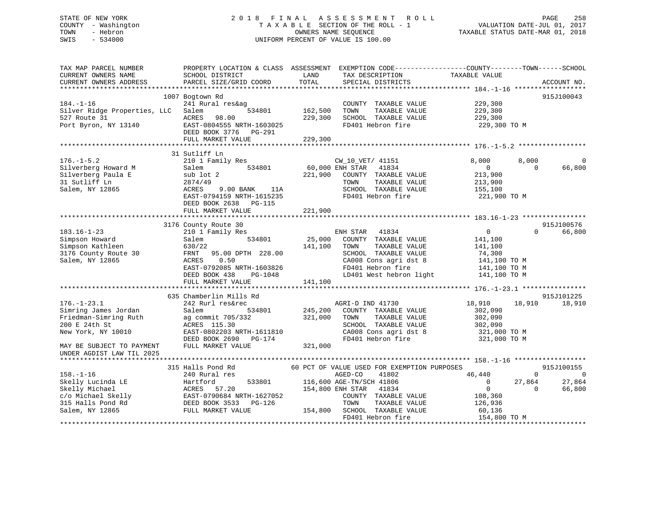# STATE OF NEW YORK 2 0 1 8 F I N A L A S S E S S M E N T R O L L PAGE 258 COUNTY - Washington T A X A B L E SECTION OF THE ROLL - 1 VALUATION DATE-JUL 01, 2017 TOWN - Hebron **CONNERS NAME SEQUENCE** TAXABLE STATUS DATE-MAR 01, 2018 SWIS - 534000 UNIFORM PERCENT OF VALUE IS 100.00

| TAX MAP PARCEL NUMBER<br>CURRENT OWNERS NAME<br>CURRENT OWNERS ADDRESS | SCHOOL DISTRICT<br>PARCEL SIZE/GRID COORD          | LAND<br>TAX DESCRIPTION<br>TOTAL<br>SPECIAL DISTRICTS | PROPERTY LOCATION & CLASS ASSESSMENT EXEMPTION CODE----------------COUNTY-------TOWN------SCHOOL<br>TAXABLE VALUE | ACCOUNT NO.          |
|------------------------------------------------------------------------|----------------------------------------------------|-------------------------------------------------------|-------------------------------------------------------------------------------------------------------------------|----------------------|
|                                                                        |                                                    |                                                       |                                                                                                                   |                      |
|                                                                        | 1007 Bogtown Rd                                    |                                                       |                                                                                                                   | 915J100043           |
| $184. - 1 - 16$                                                        | 241 Rural res&ag                                   | COUNTY TAXABLE VALUE                                  | 229,300                                                                                                           |                      |
| Silver Ridge Properties, LLC                                           | 534801<br>Salem                                    | 162,500<br>TOWN                                       | TAXABLE VALUE<br>229,300                                                                                          |                      |
| 527 Route 31                                                           | ACRES<br>98.00                                     | 229,300<br>SCHOOL TAXABLE VALUE                       | 229,300                                                                                                           |                      |
| Port Byron, NY 13140                                                   | EAST-0804555 NRTH-1603025<br>DEED BOOK 3776 PG-291 | FD401 Hebron fire                                     | 229,300 TO M                                                                                                      |                      |
|                                                                        | FULL MARKET VALUE                                  | 229,300                                               |                                                                                                                   |                      |
|                                                                        |                                                    |                                                       |                                                                                                                   |                      |
|                                                                        | 31 Sutliff Ln                                      |                                                       |                                                                                                                   |                      |
| $176. - 1 - 5.2$                                                       | 210 1 Family Res                                   | CW_10_VET/ 41151                                      | 8,000                                                                                                             | 8,000<br>$\Omega$    |
| Silverberg Howard M                                                    | 534801<br>Salem                                    | 60,000 ENH STAR<br>41834                              | $\mathbf 0$                                                                                                       | $\Omega$<br>66,800   |
| Silverberg Paula E                                                     | sub lot 2                                          | 221,900<br>COUNTY TAXABLE VALUE                       | 213,900                                                                                                           |                      |
| 31 Sutliff Ln                                                          | 2874/49                                            | TOWN                                                  | TAXABLE VALUE<br>213,900                                                                                          |                      |
| Salem, NY 12865                                                        | ACRES<br>9.00 BANK<br>11A                          | SCHOOL TAXABLE VALUE                                  | 155,100                                                                                                           |                      |
|                                                                        | EAST-0794159 NRTH-1615235                          | FD401 Hebron fire                                     | 221,900 TO M                                                                                                      |                      |
|                                                                        | DEED BOOK 2638 PG-115                              |                                                       |                                                                                                                   |                      |
|                                                                        | FULL MARKET VALUE                                  | 221,900                                               |                                                                                                                   |                      |
|                                                                        | 3176 County Route 30                               |                                                       |                                                                                                                   | 915J100576           |
| $183.16 - 1 - 23$                                                      | 210 1 Family Res                                   | ENH STAR<br>41834                                     | $\Omega$                                                                                                          | 66,800<br>$\Omega$   |
| Simpson Howard                                                         | Salem<br>534801                                    | 25,000<br>COUNTY TAXABLE VALUE                        | 141,100                                                                                                           |                      |
| Simpson Kathleen                                                       | 630/22                                             | 141,100<br>TOWN                                       | TAXABLE VALUE<br>141,100                                                                                          |                      |
| 3176 County Route 30                                                   | 95.00 DPTH 228.00<br>FRNT                          | SCHOOL TAXABLE VALUE                                  | 74,300                                                                                                            |                      |
| Salem, NY 12865                                                        | 0.50<br>ACRES                                      | CA008 Cons agri dst 8                                 | 141,100 TO M                                                                                                      |                      |
|                                                                        | EAST-0792085 NRTH-1603826                          | FD401 Hebron fire                                     | 141,100 TO M                                                                                                      |                      |
|                                                                        | DEED BOOK 438<br>PG-1048                           | LD401 West hebron light                               | 141,100 TO M                                                                                                      |                      |
|                                                                        | FULL MARKET VALUE                                  | 141,100                                               |                                                                                                                   |                      |
|                                                                        |                                                    |                                                       |                                                                                                                   |                      |
|                                                                        | 635 Chamberlin Mills Rd                            |                                                       |                                                                                                                   | 915J101225           |
| $176. - 1 - 23.1$                                                      | 242 Rurl res&rec                                   | AGRI-D IND 41730                                      | 18,910                                                                                                            | 18,910<br>18,910     |
| Simring James Jordan                                                   | Salem<br>534801                                    | 245,200<br>COUNTY TAXABLE VALUE                       | 302,090                                                                                                           |                      |
| Friedman-Simring Ruth                                                  | ag commit 705/332                                  | 321,000<br>TOWN                                       | TAXABLE VALUE<br>302,090                                                                                          |                      |
| 200 E 24th St                                                          | ACRES 115.30                                       | SCHOOL TAXABLE VALUE                                  | 302,090                                                                                                           |                      |
| New York, NY 10010                                                     | EAST-0802203 NRTH-1611810                          | CA008 Cons agri dst 8                                 | 321,000 TO M                                                                                                      |                      |
|                                                                        | DEED BOOK 2690 PG-174                              | FD401 Hebron fire                                     | 321,000 TO M                                                                                                      |                      |
| MAY BE SUBJECT TO PAYMENT<br>UNDER AGDIST LAW TIL 2025                 | FULL MARKET VALUE                                  | 321,000                                               |                                                                                                                   |                      |
|                                                                        |                                                    |                                                       |                                                                                                                   |                      |
|                                                                        | 315 Halls Pond Rd                                  | 60 PCT OF VALUE USED FOR EXEMPTION PURPOSES           |                                                                                                                   | 915J100155           |
| $158. - 1 - 16$                                                        | 240 Rural res                                      | 41802<br>AGED-CO                                      | 46,440                                                                                                            | $\Omega$<br>$\Omega$ |
| Skelly Lucinda LE                                                      | 533801<br>Hartford                                 | 116,600 AGE-TN/SCH 41806                              | $\Omega$                                                                                                          | 27,864<br>27,864     |
| Skelly Michael                                                         | 57.20<br>ACRES                                     | 154,800 ENH STAR<br>41834                             | $\mathbf 0$                                                                                                       | 66,800<br>$\Omega$   |
| c/o Michael Skelly                                                     | EAST-0790684 NRTH-1627052                          | COUNTY TAXABLE VALUE                                  | 108,360                                                                                                           |                      |
| 315 Halls Pond Rd                                                      | DEED BOOK 3533<br>PG-126                           | TOWN                                                  | TAXABLE VALUE<br>126,936                                                                                          |                      |
| Salem, NY 12865                                                        | FULL MARKET VALUE                                  | 154,800<br>SCHOOL TAXABLE VALUE                       | 60,136                                                                                                            |                      |
|                                                                        |                                                    | FD401 Hebron fire                                     | 154,800 TO M                                                                                                      |                      |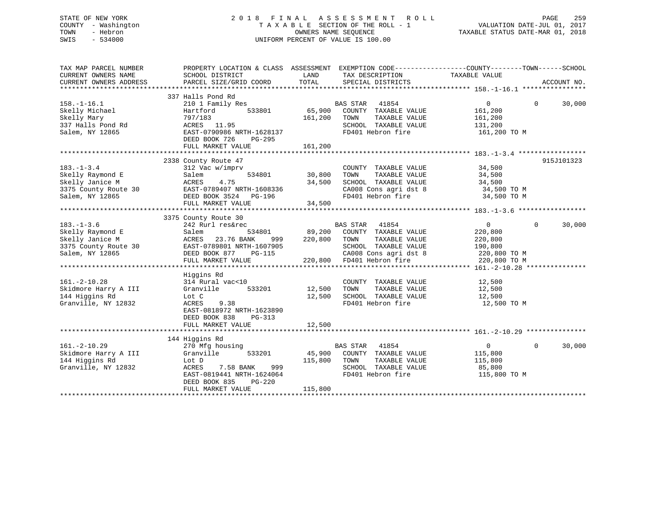# STATE OF NEW YORK 2 0 1 8 F I N A L A S S E S S M E N T R O L L PAGE 259 COUNTY - Washington T A X A B L E SECTION OF THE ROLL - 1 VALUATION DATE-JUL 01, 2017 TOWN - Hebron OWNERS NAME SEQUENCE TAXABLE STATUS DATE-MAR 01, 2018 SWIS - 534000 UNIFORM PERCENT OF VALUE IS 100.00

| TAX MAP PARCEL NUMBER<br>CURRENT OWNERS NAME<br>CURRENT OWNERS ADDRESS                             | PROPERTY LOCATION & CLASS ASSESSMENT EXEMPTION CODE----------------COUNTY-------TOWN-----SCHOOL<br>SCHOOL DISTRICT<br>PARCEL SIZE/GRID COORD                                  | LAND<br>TOTAL                     | TAX DESCRIPTION<br>SPECIAL DISTRICTS                                                                                                                                                    | TAXABLE VALUE                                                                               | ACCOUNT NO. |
|----------------------------------------------------------------------------------------------------|-------------------------------------------------------------------------------------------------------------------------------------------------------------------------------|-----------------------------------|-----------------------------------------------------------------------------------------------------------------------------------------------------------------------------------------|---------------------------------------------------------------------------------------------|-------------|
| $158. - 1 - 16.1$<br>Skelly Michael<br>Skelly Mary<br>337 Halls Pond Rd<br>Salem, NY 12865         | 337 Halls Pond Rd<br>210 1 Family Res<br>Hartford<br>533801<br>797/183<br>ACRES 11.95<br>EAST-0790986 NRTH-1628137<br>DEED BOOK 726<br>PG-295                                 | 65,900<br>161,200                 | <b>BAS STAR</b><br>41854<br>COUNTY TAXABLE VALUE<br>TAXABLE VALUE<br>TOWN<br>SCHOOL TAXABLE VALUE<br>FD401 Hebron fire                                                                  | $\overline{0}$<br>$\Omega$<br>161,200<br>161,200<br>131,200<br>161,200 TO M                 | 30,000      |
|                                                                                                    |                                                                                                                                                                               |                                   |                                                                                                                                                                                         |                                                                                             |             |
| $183. - 1 - 3.4$<br>Skelly Raymond E<br>Skelly Janice M<br>3375 County Route 30<br>Salem, NY 12865 | 2338 County Route 47<br>312 Vac w/imprv<br>Salem<br>ACRES<br>4.75<br>EAST-0789407 NRTH-1608336<br>DEED BOOK 3524 PG-196<br>FULL MARKET VALUE                                  | 534801 30,800<br>34,500<br>34,500 | COUNTY TAXABLE VALUE<br>TOWN<br>TAXABLE VALUE<br>SCHOOL TAXABLE VALUE<br>CA008 Cons agri dst 8 34,500 TO M<br>FD401 Hebron fire                                                         | 34,500<br>34,500<br>34,500<br>34,500 TO M                                                   | 915J101323  |
|                                                                                                    | 3375 County Route 30                                                                                                                                                          |                                   |                                                                                                                                                                                         |                                                                                             |             |
| $183. - 1 - 3.6$<br>Skelly Raymond E<br>Skelly Janice M<br>3375 County Route 30<br>Salem, NY 12865 | 242 Rurl res&rec<br>534801<br>Salem<br><b>ACRES</b><br>23.76 BANK<br>999<br>EAST-0789801 NRTH-1607905<br>DEED BOOK 877<br>PG-115<br>FULL MARKET VALUE                         | 220,800                           | <b>BAS STAR</b><br>41854<br>89,200 COUNTY TAXABLE VALUE<br>TOWN<br>TAXABLE VALUE<br>SCHOOL TAXABLE VALUE<br>CA008 Cons agri dst 8<br>CA008 Cons agri dst 8<br>220,800 FD401 Hebron fire | $\overline{0}$<br>$\Omega$<br>220,800<br>220,800<br>190,800<br>220,800 TO M<br>220,800 TO M | 30,000      |
|                                                                                                    | Higgins Rd                                                                                                                                                                    |                                   |                                                                                                                                                                                         |                                                                                             |             |
| $161. - 2 - 10.28$<br>Skidmore Harry A III<br>144 Higgins Rd<br>Granville, NY 12832                | 314 Rural vac<10<br>Granville<br>533201<br>Lot C<br>ACRES<br>9.38<br>EAST-0818972 NRTH-1623890<br>DEED BOOK 838<br>PG-313                                                     | 12,500<br>12,500                  | COUNTY TAXABLE VALUE<br>TAXABLE VALUE<br>TOWN<br>SCHOOL TAXABLE VALUE<br>FD401 Hebron fire                                                                                              | 12,500<br>12,500<br>12,500<br>12,500 TO M                                                   |             |
|                                                                                                    | FULL MARKET VALUE                                                                                                                                                             | 12,500                            |                                                                                                                                                                                         |                                                                                             |             |
| $161. - 2 - 10.29$<br>Skidmore Harry A III<br>144 Higgins Rd<br>Granville, NY 12832                | 144 Higgins Rd<br>270 Mfg housing<br>533201<br>Granville<br>Lot D<br>7.58 BANK<br>999<br>ACRES<br>EAST-0819441 NRTH-1624064<br>$PG-220$<br>DEED BOOK 835<br>FULL MARKET VALUE | 45,900<br>115,800<br>115,800      | BAS STAR 41854<br>COUNTY TAXABLE VALUE<br>TAXABLE VALUE<br>TOWN<br>SCHOOL TAXABLE VALUE<br>FD401 Hebron fire                                                                            | $\overline{0}$<br>$\Omega$<br>115,800<br>115,800<br>85,800<br>115,800 TO M                  | 30,000      |
|                                                                                                    |                                                                                                                                                                               |                                   |                                                                                                                                                                                         |                                                                                             |             |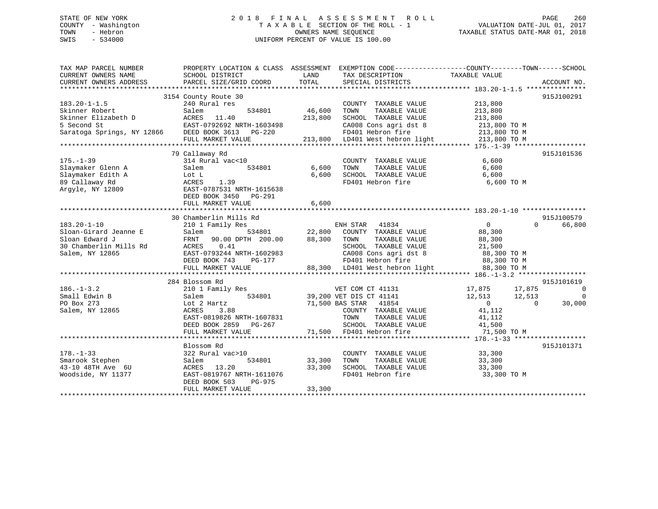# STATE OF NEW YORK 2 0 1 8 F I N A L A S S E S S M E N T R O L L PAGE 260 COUNTY - Washington T A X A B L E SECTION OF THE ROLL - 1 VALUATION DATE-JUL 01, 2017 TOWN - Hebron OWNERS NAME SEQUENCE TAXABLE STATUS DATE-MAR 01, 2018 SWIS - 534000 UNIFORM PERCENT OF VALUE IS 100.00

| CURRENT OWNERS NAME<br>SCHOOL DISTRICT<br>LAND<br>TAX DESCRIPTION<br>TAXABLE VALUE<br>PARCEL SIZE/GRID COORD<br>TOTAL<br>SPECIAL DISTRICTS<br>ACCOUNT NO.<br>3154 County Route 30<br>915J100291<br>213,800<br>240 Rural res<br>COUNTY TAXABLE VALUE<br>46,600<br>Skinner Robert<br>534801<br>TAXABLE VALUE<br>213,800<br>Salem<br>TOWN<br>213,800<br>SCHOOL TAXABLE VALUE<br>213,800<br>213,800<br>213,800 TO M<br>CA008 Cons agri dst 8<br>Saratoga Springs, NY 12866 DEED BOOK 3613 PG-220<br>Valid 20 13,800 FD401 Hebron fire 213,800 TO M<br>213,800 DD401 West hebron light 213,800 TO M<br>FULL MARKET VALUE<br>79 Callaway Rd<br>915J101536<br>314 Rural vac<10<br>6,600<br>COUNTY TAXABLE VALUE<br>534801 6,600<br>Slaymaker Glenn A<br>TOWN<br>TAXABLE VALUE<br>6,600<br>Salem<br>6,600<br>SCHOOL TAXABLE VALUE<br>Slaymaker Edith A<br>6,600<br>Lot L<br>ACRES 1.39<br>FD401 Hebron fire<br>6,600 TO M<br>89 Callaway Rd<br>Arqyle, NY 12809<br>EAST-0787531 NRTH-1615638<br>DEED BOOK 3450 PG-291<br>6,600<br>FULL MARKET VALUE<br>915J100579<br>30 Chamberlin Mills Rd<br>$183.20 - 1 - 10$<br>$\overline{0}$<br>66,800<br>210 1 Family Res<br>ENH STAR 41834<br>$\Omega$<br>22,800 COUNTY TAXABLE VALUE<br>Sloan-Girard Jeanne E<br>534801<br>Salem<br>88,300<br>88,300<br>Sloan Edward J<br>FRNT 90.00 DPTH 200.00<br>TOWN<br>TAXABLE VALUE<br>88,300<br>0.41<br>30 Chamberlin Mills Rd<br>ACRES<br>SCHOOL TAXABLE VALUE<br>21,500<br>CA008 Cons agri dst 8 88,300 TO M<br>EAST-0793244 NRTH-1602983<br>Salem, NY 12865<br>DEED BOOK 743<br>PG-177<br>88,300 LD401 West hebron light<br>FULL MARKET VALUE<br>915J101619<br>284 Blossom Rd<br>17,875 17,875<br>$186. - 1 - 3.2$<br>210 1 Family Res<br>VET COM CT 41131<br>$\overline{0}$<br>39,200 VET DIS CT 41141<br>71,500 BAS STAR 41854<br>$\overline{0}$<br>534801<br>12,513 12,513<br>Small Edwin B<br>Salem<br>$\overline{0}$<br>30,000<br>PO Box 273<br>Lot 2 Hartz<br>$\sim$ 0<br>COUNTY TAXABLE VALUE 41,112<br>Salem, NY 12865<br>ACRES<br>3.88<br>EAST-0819826 NRTH-1607831<br>TAXABLE VALUE<br>TOWN<br>41,112<br>DEED BOOK 2859<br>PG-267<br>SCHOOL TAXABLE VALUE<br>41,500<br>71,500 FD401 Hebron fire<br>FULL MARKET VALUE<br>71,500 TO M<br>Blossom Rd<br>915J101371<br>COUNTY TAXABLE VALUE<br>$178. - 1 - 33$<br>322 Rural vac>10<br>33,300<br>Smarook Stephen<br>534801<br>33,300<br>TOWN<br>TAXABLE VALUE<br>33,300<br>Salem<br>43-10 48TH Ave 6U<br>ACRES 13.20<br>33,300<br>SCHOOL TAXABLE VALUE<br>33,300<br>Woodside, NY 11377<br>EAST-0819767 NRTH-1611076<br>FD401 Hebron fire<br>33,300 TO M<br>DEED BOOK 503<br>PG-975<br>33,300<br>FULL MARKET VALUE | TAX MAP PARCEL NUMBER  | PROPERTY LOCATION & CLASS ASSESSMENT EXEMPTION CODE----------------COUNTY-------TOWN------SCHOOL |  |  |
|---------------------------------------------------------------------------------------------------------------------------------------------------------------------------------------------------------------------------------------------------------------------------------------------------------------------------------------------------------------------------------------------------------------------------------------------------------------------------------------------------------------------------------------------------------------------------------------------------------------------------------------------------------------------------------------------------------------------------------------------------------------------------------------------------------------------------------------------------------------------------------------------------------------------------------------------------------------------------------------------------------------------------------------------------------------------------------------------------------------------------------------------------------------------------------------------------------------------------------------------------------------------------------------------------------------------------------------------------------------------------------------------------------------------------------------------------------------------------------------------------------------------------------------------------------------------------------------------------------------------------------------------------------------------------------------------------------------------------------------------------------------------------------------------------------------------------------------------------------------------------------------------------------------------------------------------------------------------------------------------------------------------------------------------------------------------------------------------------------------------------------------------------------------------------------------------------------------------------------------------------------------------------------------------------------------------------------------------------------------------------------------------------------------------------------------------------------------------------------------------------------------------------------------------------------------------------------------------------------------------------------------------------|------------------------|--------------------------------------------------------------------------------------------------|--|--|
|                                                                                                                                                                                                                                                                                                                                                                                                                                                                                                                                                                                                                                                                                                                                                                                                                                                                                                                                                                                                                                                                                                                                                                                                                                                                                                                                                                                                                                                                                                                                                                                                                                                                                                                                                                                                                                                                                                                                                                                                                                                                                                                                                                                                                                                                                                                                                                                                                                                                                                                                                                                                                                                   |                        |                                                                                                  |  |  |
|                                                                                                                                                                                                                                                                                                                                                                                                                                                                                                                                                                                                                                                                                                                                                                                                                                                                                                                                                                                                                                                                                                                                                                                                                                                                                                                                                                                                                                                                                                                                                                                                                                                                                                                                                                                                                                                                                                                                                                                                                                                                                                                                                                                                                                                                                                                                                                                                                                                                                                                                                                                                                                                   | CURRENT OWNERS ADDRESS |                                                                                                  |  |  |
|                                                                                                                                                                                                                                                                                                                                                                                                                                                                                                                                                                                                                                                                                                                                                                                                                                                                                                                                                                                                                                                                                                                                                                                                                                                                                                                                                                                                                                                                                                                                                                                                                                                                                                                                                                                                                                                                                                                                                                                                                                                                                                                                                                                                                                                                                                                                                                                                                                                                                                                                                                                                                                                   |                        |                                                                                                  |  |  |
|                                                                                                                                                                                                                                                                                                                                                                                                                                                                                                                                                                                                                                                                                                                                                                                                                                                                                                                                                                                                                                                                                                                                                                                                                                                                                                                                                                                                                                                                                                                                                                                                                                                                                                                                                                                                                                                                                                                                                                                                                                                                                                                                                                                                                                                                                                                                                                                                                                                                                                                                                                                                                                                   |                        |                                                                                                  |  |  |
|                                                                                                                                                                                                                                                                                                                                                                                                                                                                                                                                                                                                                                                                                                                                                                                                                                                                                                                                                                                                                                                                                                                                                                                                                                                                                                                                                                                                                                                                                                                                                                                                                                                                                                                                                                                                                                                                                                                                                                                                                                                                                                                                                                                                                                                                                                                                                                                                                                                                                                                                                                                                                                                   | $183.20 - 1 - 1.5$     |                                                                                                  |  |  |
|                                                                                                                                                                                                                                                                                                                                                                                                                                                                                                                                                                                                                                                                                                                                                                                                                                                                                                                                                                                                                                                                                                                                                                                                                                                                                                                                                                                                                                                                                                                                                                                                                                                                                                                                                                                                                                                                                                                                                                                                                                                                                                                                                                                                                                                                                                                                                                                                                                                                                                                                                                                                                                                   |                        |                                                                                                  |  |  |
|                                                                                                                                                                                                                                                                                                                                                                                                                                                                                                                                                                                                                                                                                                                                                                                                                                                                                                                                                                                                                                                                                                                                                                                                                                                                                                                                                                                                                                                                                                                                                                                                                                                                                                                                                                                                                                                                                                                                                                                                                                                                                                                                                                                                                                                                                                                                                                                                                                                                                                                                                                                                                                                   |                        |                                                                                                  |  |  |
|                                                                                                                                                                                                                                                                                                                                                                                                                                                                                                                                                                                                                                                                                                                                                                                                                                                                                                                                                                                                                                                                                                                                                                                                                                                                                                                                                                                                                                                                                                                                                                                                                                                                                                                                                                                                                                                                                                                                                                                                                                                                                                                                                                                                                                                                                                                                                                                                                                                                                                                                                                                                                                                   |                        |                                                                                                  |  |  |
|                                                                                                                                                                                                                                                                                                                                                                                                                                                                                                                                                                                                                                                                                                                                                                                                                                                                                                                                                                                                                                                                                                                                                                                                                                                                                                                                                                                                                                                                                                                                                                                                                                                                                                                                                                                                                                                                                                                                                                                                                                                                                                                                                                                                                                                                                                                                                                                                                                                                                                                                                                                                                                                   |                        |                                                                                                  |  |  |
|                                                                                                                                                                                                                                                                                                                                                                                                                                                                                                                                                                                                                                                                                                                                                                                                                                                                                                                                                                                                                                                                                                                                                                                                                                                                                                                                                                                                                                                                                                                                                                                                                                                                                                                                                                                                                                                                                                                                                                                                                                                                                                                                                                                                                                                                                                                                                                                                                                                                                                                                                                                                                                                   |                        |                                                                                                  |  |  |
|                                                                                                                                                                                                                                                                                                                                                                                                                                                                                                                                                                                                                                                                                                                                                                                                                                                                                                                                                                                                                                                                                                                                                                                                                                                                                                                                                                                                                                                                                                                                                                                                                                                                                                                                                                                                                                                                                                                                                                                                                                                                                                                                                                                                                                                                                                                                                                                                                                                                                                                                                                                                                                                   |                        |                                                                                                  |  |  |
|                                                                                                                                                                                                                                                                                                                                                                                                                                                                                                                                                                                                                                                                                                                                                                                                                                                                                                                                                                                                                                                                                                                                                                                                                                                                                                                                                                                                                                                                                                                                                                                                                                                                                                                                                                                                                                                                                                                                                                                                                                                                                                                                                                                                                                                                                                                                                                                                                                                                                                                                                                                                                                                   |                        |                                                                                                  |  |  |
|                                                                                                                                                                                                                                                                                                                                                                                                                                                                                                                                                                                                                                                                                                                                                                                                                                                                                                                                                                                                                                                                                                                                                                                                                                                                                                                                                                                                                                                                                                                                                                                                                                                                                                                                                                                                                                                                                                                                                                                                                                                                                                                                                                                                                                                                                                                                                                                                                                                                                                                                                                                                                                                   | $175. - 1 - 39$        |                                                                                                  |  |  |
|                                                                                                                                                                                                                                                                                                                                                                                                                                                                                                                                                                                                                                                                                                                                                                                                                                                                                                                                                                                                                                                                                                                                                                                                                                                                                                                                                                                                                                                                                                                                                                                                                                                                                                                                                                                                                                                                                                                                                                                                                                                                                                                                                                                                                                                                                                                                                                                                                                                                                                                                                                                                                                                   |                        |                                                                                                  |  |  |
|                                                                                                                                                                                                                                                                                                                                                                                                                                                                                                                                                                                                                                                                                                                                                                                                                                                                                                                                                                                                                                                                                                                                                                                                                                                                                                                                                                                                                                                                                                                                                                                                                                                                                                                                                                                                                                                                                                                                                                                                                                                                                                                                                                                                                                                                                                                                                                                                                                                                                                                                                                                                                                                   |                        |                                                                                                  |  |  |
|                                                                                                                                                                                                                                                                                                                                                                                                                                                                                                                                                                                                                                                                                                                                                                                                                                                                                                                                                                                                                                                                                                                                                                                                                                                                                                                                                                                                                                                                                                                                                                                                                                                                                                                                                                                                                                                                                                                                                                                                                                                                                                                                                                                                                                                                                                                                                                                                                                                                                                                                                                                                                                                   |                        |                                                                                                  |  |  |
|                                                                                                                                                                                                                                                                                                                                                                                                                                                                                                                                                                                                                                                                                                                                                                                                                                                                                                                                                                                                                                                                                                                                                                                                                                                                                                                                                                                                                                                                                                                                                                                                                                                                                                                                                                                                                                                                                                                                                                                                                                                                                                                                                                                                                                                                                                                                                                                                                                                                                                                                                                                                                                                   |                        |                                                                                                  |  |  |
|                                                                                                                                                                                                                                                                                                                                                                                                                                                                                                                                                                                                                                                                                                                                                                                                                                                                                                                                                                                                                                                                                                                                                                                                                                                                                                                                                                                                                                                                                                                                                                                                                                                                                                                                                                                                                                                                                                                                                                                                                                                                                                                                                                                                                                                                                                                                                                                                                                                                                                                                                                                                                                                   |                        |                                                                                                  |  |  |
|                                                                                                                                                                                                                                                                                                                                                                                                                                                                                                                                                                                                                                                                                                                                                                                                                                                                                                                                                                                                                                                                                                                                                                                                                                                                                                                                                                                                                                                                                                                                                                                                                                                                                                                                                                                                                                                                                                                                                                                                                                                                                                                                                                                                                                                                                                                                                                                                                                                                                                                                                                                                                                                   |                        |                                                                                                  |  |  |
|                                                                                                                                                                                                                                                                                                                                                                                                                                                                                                                                                                                                                                                                                                                                                                                                                                                                                                                                                                                                                                                                                                                                                                                                                                                                                                                                                                                                                                                                                                                                                                                                                                                                                                                                                                                                                                                                                                                                                                                                                                                                                                                                                                                                                                                                                                                                                                                                                                                                                                                                                                                                                                                   |                        |                                                                                                  |  |  |
|                                                                                                                                                                                                                                                                                                                                                                                                                                                                                                                                                                                                                                                                                                                                                                                                                                                                                                                                                                                                                                                                                                                                                                                                                                                                                                                                                                                                                                                                                                                                                                                                                                                                                                                                                                                                                                                                                                                                                                                                                                                                                                                                                                                                                                                                                                                                                                                                                                                                                                                                                                                                                                                   |                        |                                                                                                  |  |  |
|                                                                                                                                                                                                                                                                                                                                                                                                                                                                                                                                                                                                                                                                                                                                                                                                                                                                                                                                                                                                                                                                                                                                                                                                                                                                                                                                                                                                                                                                                                                                                                                                                                                                                                                                                                                                                                                                                                                                                                                                                                                                                                                                                                                                                                                                                                                                                                                                                                                                                                                                                                                                                                                   |                        |                                                                                                  |  |  |
|                                                                                                                                                                                                                                                                                                                                                                                                                                                                                                                                                                                                                                                                                                                                                                                                                                                                                                                                                                                                                                                                                                                                                                                                                                                                                                                                                                                                                                                                                                                                                                                                                                                                                                                                                                                                                                                                                                                                                                                                                                                                                                                                                                                                                                                                                                                                                                                                                                                                                                                                                                                                                                                   |                        |                                                                                                  |  |  |
|                                                                                                                                                                                                                                                                                                                                                                                                                                                                                                                                                                                                                                                                                                                                                                                                                                                                                                                                                                                                                                                                                                                                                                                                                                                                                                                                                                                                                                                                                                                                                                                                                                                                                                                                                                                                                                                                                                                                                                                                                                                                                                                                                                                                                                                                                                                                                                                                                                                                                                                                                                                                                                                   |                        |                                                                                                  |  |  |
|                                                                                                                                                                                                                                                                                                                                                                                                                                                                                                                                                                                                                                                                                                                                                                                                                                                                                                                                                                                                                                                                                                                                                                                                                                                                                                                                                                                                                                                                                                                                                                                                                                                                                                                                                                                                                                                                                                                                                                                                                                                                                                                                                                                                                                                                                                                                                                                                                                                                                                                                                                                                                                                   |                        |                                                                                                  |  |  |
|                                                                                                                                                                                                                                                                                                                                                                                                                                                                                                                                                                                                                                                                                                                                                                                                                                                                                                                                                                                                                                                                                                                                                                                                                                                                                                                                                                                                                                                                                                                                                                                                                                                                                                                                                                                                                                                                                                                                                                                                                                                                                                                                                                                                                                                                                                                                                                                                                                                                                                                                                                                                                                                   |                        |                                                                                                  |  |  |
|                                                                                                                                                                                                                                                                                                                                                                                                                                                                                                                                                                                                                                                                                                                                                                                                                                                                                                                                                                                                                                                                                                                                                                                                                                                                                                                                                                                                                                                                                                                                                                                                                                                                                                                                                                                                                                                                                                                                                                                                                                                                                                                                                                                                                                                                                                                                                                                                                                                                                                                                                                                                                                                   |                        |                                                                                                  |  |  |
|                                                                                                                                                                                                                                                                                                                                                                                                                                                                                                                                                                                                                                                                                                                                                                                                                                                                                                                                                                                                                                                                                                                                                                                                                                                                                                                                                                                                                                                                                                                                                                                                                                                                                                                                                                                                                                                                                                                                                                                                                                                                                                                                                                                                                                                                                                                                                                                                                                                                                                                                                                                                                                                   |                        |                                                                                                  |  |  |
|                                                                                                                                                                                                                                                                                                                                                                                                                                                                                                                                                                                                                                                                                                                                                                                                                                                                                                                                                                                                                                                                                                                                                                                                                                                                                                                                                                                                                                                                                                                                                                                                                                                                                                                                                                                                                                                                                                                                                                                                                                                                                                                                                                                                                                                                                                                                                                                                                                                                                                                                                                                                                                                   |                        |                                                                                                  |  |  |
|                                                                                                                                                                                                                                                                                                                                                                                                                                                                                                                                                                                                                                                                                                                                                                                                                                                                                                                                                                                                                                                                                                                                                                                                                                                                                                                                                                                                                                                                                                                                                                                                                                                                                                                                                                                                                                                                                                                                                                                                                                                                                                                                                                                                                                                                                                                                                                                                                                                                                                                                                                                                                                                   |                        |                                                                                                  |  |  |
|                                                                                                                                                                                                                                                                                                                                                                                                                                                                                                                                                                                                                                                                                                                                                                                                                                                                                                                                                                                                                                                                                                                                                                                                                                                                                                                                                                                                                                                                                                                                                                                                                                                                                                                                                                                                                                                                                                                                                                                                                                                                                                                                                                                                                                                                                                                                                                                                                                                                                                                                                                                                                                                   |                        |                                                                                                  |  |  |
|                                                                                                                                                                                                                                                                                                                                                                                                                                                                                                                                                                                                                                                                                                                                                                                                                                                                                                                                                                                                                                                                                                                                                                                                                                                                                                                                                                                                                                                                                                                                                                                                                                                                                                                                                                                                                                                                                                                                                                                                                                                                                                                                                                                                                                                                                                                                                                                                                                                                                                                                                                                                                                                   |                        |                                                                                                  |  |  |
|                                                                                                                                                                                                                                                                                                                                                                                                                                                                                                                                                                                                                                                                                                                                                                                                                                                                                                                                                                                                                                                                                                                                                                                                                                                                                                                                                                                                                                                                                                                                                                                                                                                                                                                                                                                                                                                                                                                                                                                                                                                                                                                                                                                                                                                                                                                                                                                                                                                                                                                                                                                                                                                   |                        |                                                                                                  |  |  |
|                                                                                                                                                                                                                                                                                                                                                                                                                                                                                                                                                                                                                                                                                                                                                                                                                                                                                                                                                                                                                                                                                                                                                                                                                                                                                                                                                                                                                                                                                                                                                                                                                                                                                                                                                                                                                                                                                                                                                                                                                                                                                                                                                                                                                                                                                                                                                                                                                                                                                                                                                                                                                                                   |                        |                                                                                                  |  |  |
|                                                                                                                                                                                                                                                                                                                                                                                                                                                                                                                                                                                                                                                                                                                                                                                                                                                                                                                                                                                                                                                                                                                                                                                                                                                                                                                                                                                                                                                                                                                                                                                                                                                                                                                                                                                                                                                                                                                                                                                                                                                                                                                                                                                                                                                                                                                                                                                                                                                                                                                                                                                                                                                   |                        |                                                                                                  |  |  |
|                                                                                                                                                                                                                                                                                                                                                                                                                                                                                                                                                                                                                                                                                                                                                                                                                                                                                                                                                                                                                                                                                                                                                                                                                                                                                                                                                                                                                                                                                                                                                                                                                                                                                                                                                                                                                                                                                                                                                                                                                                                                                                                                                                                                                                                                                                                                                                                                                                                                                                                                                                                                                                                   |                        |                                                                                                  |  |  |
|                                                                                                                                                                                                                                                                                                                                                                                                                                                                                                                                                                                                                                                                                                                                                                                                                                                                                                                                                                                                                                                                                                                                                                                                                                                                                                                                                                                                                                                                                                                                                                                                                                                                                                                                                                                                                                                                                                                                                                                                                                                                                                                                                                                                                                                                                                                                                                                                                                                                                                                                                                                                                                                   |                        |                                                                                                  |  |  |
|                                                                                                                                                                                                                                                                                                                                                                                                                                                                                                                                                                                                                                                                                                                                                                                                                                                                                                                                                                                                                                                                                                                                                                                                                                                                                                                                                                                                                                                                                                                                                                                                                                                                                                                                                                                                                                                                                                                                                                                                                                                                                                                                                                                                                                                                                                                                                                                                                                                                                                                                                                                                                                                   |                        |                                                                                                  |  |  |
|                                                                                                                                                                                                                                                                                                                                                                                                                                                                                                                                                                                                                                                                                                                                                                                                                                                                                                                                                                                                                                                                                                                                                                                                                                                                                                                                                                                                                                                                                                                                                                                                                                                                                                                                                                                                                                                                                                                                                                                                                                                                                                                                                                                                                                                                                                                                                                                                                                                                                                                                                                                                                                                   |                        |                                                                                                  |  |  |
|                                                                                                                                                                                                                                                                                                                                                                                                                                                                                                                                                                                                                                                                                                                                                                                                                                                                                                                                                                                                                                                                                                                                                                                                                                                                                                                                                                                                                                                                                                                                                                                                                                                                                                                                                                                                                                                                                                                                                                                                                                                                                                                                                                                                                                                                                                                                                                                                                                                                                                                                                                                                                                                   |                        |                                                                                                  |  |  |
|                                                                                                                                                                                                                                                                                                                                                                                                                                                                                                                                                                                                                                                                                                                                                                                                                                                                                                                                                                                                                                                                                                                                                                                                                                                                                                                                                                                                                                                                                                                                                                                                                                                                                                                                                                                                                                                                                                                                                                                                                                                                                                                                                                                                                                                                                                                                                                                                                                                                                                                                                                                                                                                   |                        |                                                                                                  |  |  |
|                                                                                                                                                                                                                                                                                                                                                                                                                                                                                                                                                                                                                                                                                                                                                                                                                                                                                                                                                                                                                                                                                                                                                                                                                                                                                                                                                                                                                                                                                                                                                                                                                                                                                                                                                                                                                                                                                                                                                                                                                                                                                                                                                                                                                                                                                                                                                                                                                                                                                                                                                                                                                                                   |                        |                                                                                                  |  |  |
|                                                                                                                                                                                                                                                                                                                                                                                                                                                                                                                                                                                                                                                                                                                                                                                                                                                                                                                                                                                                                                                                                                                                                                                                                                                                                                                                                                                                                                                                                                                                                                                                                                                                                                                                                                                                                                                                                                                                                                                                                                                                                                                                                                                                                                                                                                                                                                                                                                                                                                                                                                                                                                                   |                        |                                                                                                  |  |  |
|                                                                                                                                                                                                                                                                                                                                                                                                                                                                                                                                                                                                                                                                                                                                                                                                                                                                                                                                                                                                                                                                                                                                                                                                                                                                                                                                                                                                                                                                                                                                                                                                                                                                                                                                                                                                                                                                                                                                                                                                                                                                                                                                                                                                                                                                                                                                                                                                                                                                                                                                                                                                                                                   |                        |                                                                                                  |  |  |
|                                                                                                                                                                                                                                                                                                                                                                                                                                                                                                                                                                                                                                                                                                                                                                                                                                                                                                                                                                                                                                                                                                                                                                                                                                                                                                                                                                                                                                                                                                                                                                                                                                                                                                                                                                                                                                                                                                                                                                                                                                                                                                                                                                                                                                                                                                                                                                                                                                                                                                                                                                                                                                                   |                        |                                                                                                  |  |  |
|                                                                                                                                                                                                                                                                                                                                                                                                                                                                                                                                                                                                                                                                                                                                                                                                                                                                                                                                                                                                                                                                                                                                                                                                                                                                                                                                                                                                                                                                                                                                                                                                                                                                                                                                                                                                                                                                                                                                                                                                                                                                                                                                                                                                                                                                                                                                                                                                                                                                                                                                                                                                                                                   |                        |                                                                                                  |  |  |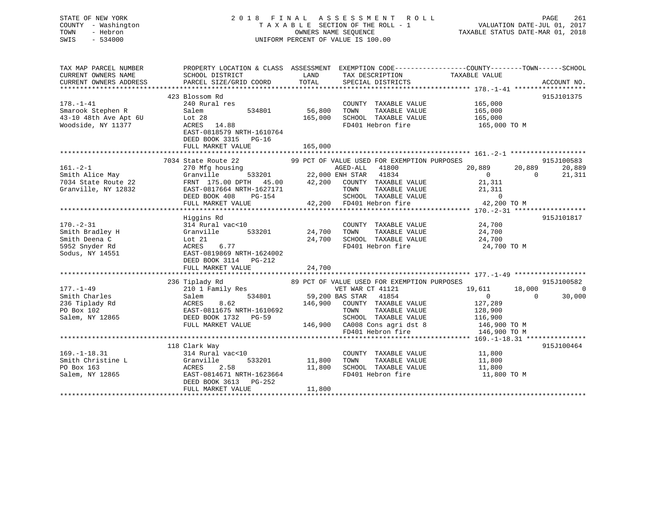| STATE OF NEW YORK<br>COUNTY - Washington<br>- Hebron<br>TOWN<br>SWIS<br>$-534000$        |                                                                                                                                                                                                                             |                   | 2018 FINAL ASSESSMENT ROLL<br>TAXABLE SECTION OF THE ROLL - 1<br>OWNERS NAME SEOUENCE<br>UNIFORM PERCENT OF VALUE IS 100.00                                                                        |                                                                           | PAGE 261<br>VALUATION DATE-JUL 01, 2017<br>TAXABLE STATUS DATE VIEW |
|------------------------------------------------------------------------------------------|-----------------------------------------------------------------------------------------------------------------------------------------------------------------------------------------------------------------------------|-------------------|----------------------------------------------------------------------------------------------------------------------------------------------------------------------------------------------------|---------------------------------------------------------------------------|---------------------------------------------------------------------|
| TAX MAP PARCEL NUMBER<br>CURRENT OWNERS NAME<br>CURRENT OWNERS ADDRESS                   | PROPERTY LOCATION & CLASS ASSESSMENT EXEMPTION CODE----------------COUNTY-------TOWN------SCHOOL<br>SCHOOL DISTRICT<br>PARCEL SIZE/GRID COORD                                                                               | LAND<br>TOTAL     | TAX DESCRIPTION<br>SPECIAL DISTRICTS                                                                                                                                                               | TAXABLE VALUE                                                             | ACCOUNT NO.                                                         |
|                                                                                          |                                                                                                                                                                                                                             |                   |                                                                                                                                                                                                    |                                                                           |                                                                     |
| $178. - 1 - 41$<br>Smarook Stephen R<br>43-10 48th Ave Apt 6U<br>Woodside, NY 11377      | 423 Blossom Rd<br>240 Rural res<br>Salem<br>534801<br>Lot 28<br>ACRES 14.88<br>EAST-0818579 NRTH-1610764<br>DEED BOOK 3315 PG-16                                                                                            | 56,800<br>165,000 | COUNTY TAXABLE VALUE<br>TAXABLE VALUE<br>TOWN<br>SCHOOL TAXABLE VALUE<br>FD401 Hebron fire                                                                                                         | 165,000<br>165,000<br>165,000<br>165,000 TO M                             | 915J101375                                                          |
|                                                                                          | FULL MARKET VALUE                                                                                                                                                                                                           | 165,000           |                                                                                                                                                                                                    |                                                                           |                                                                     |
| $161. - 2 - 1$<br>Smith Alice May<br>7034 State Route 22<br>Granville, NY 12832          | 7034 State Route 22<br>$\frac{1}{22,00}$<br>533201 22,00<br>270 Mfg housing<br>Granville<br>FRNT 175.00 DPTH 45.00 42,200 COUNTY TAXABLE VALUE<br>EAST-0817664 NRTH-1627171<br>DEED BOOK 408<br>PG-154<br>FULL MARKET VALUE |                   | 99 PCT OF VALUE USED FOR EXEMPTION PURPOSES<br>AGED-ALL 41800<br>22,000 ENH STAR 41834<br>TOWN<br>TAXABLE VALUE<br>SCHOOL TAXABLE VALUE<br>42,200 FD401 Hebron fire                                | 20,889<br>$\overline{0}$<br>21,311<br>21,311<br>$\Omega$<br>42,200 TO M   | 915J100583<br>20,889<br>20,889<br>$\Omega$<br>21,311                |
|                                                                                          |                                                                                                                                                                                                                             |                   |                                                                                                                                                                                                    |                                                                           |                                                                     |
| $170. - 2 - 31$<br>Smith Bradley H<br>Smith Deena C<br>5952 Snyder Rd<br>Sodus, NY 14551 | Higgins Rd<br>314 Rural vac<10<br>Granville<br>533201<br>Lot 21<br>ACRES<br>6.77<br>EAST-0819869 NRTH-1624002<br>DEED BOOK 3114 PG-212                                                                                      | 24,700<br>24,700  | COUNTY TAXABLE VALUE<br>TAXABLE VALUE<br>TOWN<br>SCHOOL TAXABLE VALUE<br>FD401 Hebron fire                                                                                                         | 24,700<br>24,700<br>24,700<br>24,700 TO M                                 | 915J101817                                                          |
|                                                                                          | FULL MARKET VALUE                                                                                                                                                                                                           | 24,700            |                                                                                                                                                                                                    |                                                                           |                                                                     |
| $177. - 1 - 49$<br>Smith Charles<br>236 Tiplady Rd<br>PO Box 102<br>Salem, NY 12865      | 236 Tiplady Rd<br>210 1 Family Res<br>Salem<br>534801<br>ACRES<br>8.62<br>EAST-0811675 NRTH-1610692<br>DEED BOOK 1732 PG-59<br>FULL MARKET VALUE                                                                            | 146,900           | 89 PCT OF VALUE USED FOR EXEMPTION PURPOSES<br>VET WAR CT 41121<br>59,200 BAS STAR 41854<br>COUNTY TAXABLE VALUE<br>TAXABLE VALUE<br>TOWN<br>SCHOOL TAXABLE VALUE<br>146,900 CA008 Cons agri dst 8 | 19,611<br>$\overline{0}$<br>127,289<br>128,900<br>116,900<br>146,900 TO M | 915J100582<br>18,000<br>$\overline{0}$<br>$\Omega$<br>30,000        |
|                                                                                          |                                                                                                                                                                                                                             |                   | FD401 Hebron fire                                                                                                                                                                                  | 146,900 TO M                                                              |                                                                     |
| $169. - 1 - 18.31$<br>Smith Christine L<br>PO Box 163                                    | 118 Clark Way<br>314 Rural vac<10<br>Granville<br>533201<br>2.58<br>ACRES                                                                                                                                                   | 11,800<br>11,800  | COUNTY TAXABLE VALUE<br>TOWN<br>TAXABLE VALUE<br>SCHOOL TAXABLE VALUE                                                                                                                              | 11,800<br>11,800<br>11,800                                                | 915J100464                                                          |
| Salem, NY 12865                                                                          | EAST-0814671 NRTH-1623664<br>DEED BOOK 3613 PG-252<br>FULL MARKET VALUE                                                                                                                                                     | 11,800            | FD401 Hebron fire                                                                                                                                                                                  | 11,800 TO M                                                               |                                                                     |

\*\*\*\*\*\*\*\*\*\*\*\*\*\*\*\*\*\*\*\*\*\*\*\*\*\*\*\*\*\*\*\*\*\*\*\*\*\*\*\*\*\*\*\*\*\*\*\*\*\*\*\*\*\*\*\*\*\*\*\*\*\*\*\*\*\*\*\*\*\*\*\*\*\*\*\*\*\*\*\*\*\*\*\*\*\*\*\*\*\*\*\*\*\*\*\*\*\*\*\*\*\*\*\*\*\*\*\*\*\*\*\*\*\*\*\*\*\*\*\*\*\*\*\*\*\*\*\*\*\*\*\*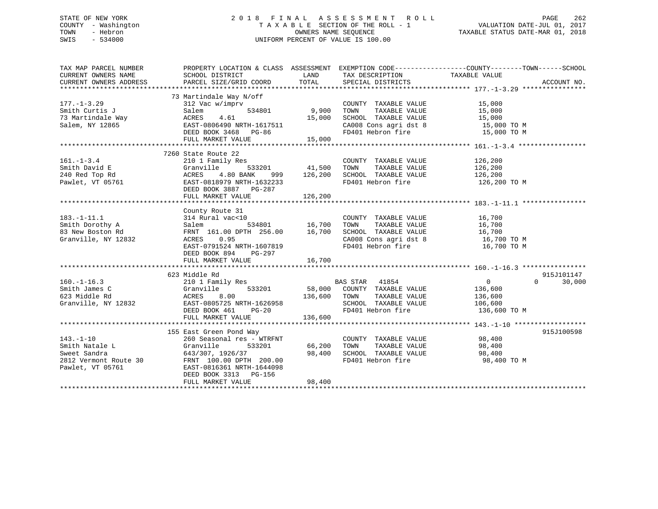# STATE OF NEW YORK 2 0 1 8 F I N A L A S S E S S M E N T R O L L PAGE 262 COUNTY - Washington T A X A B L E SECTION OF THE ROLL - 1 VALUATION DATE-JUL 01, 2017 TOWN - Hebron OWNERS NAME SEQUENCE TAXABLE STATUS DATE-MAR 01, 2018 SWIS - 534000 UNIFORM PERCENT OF VALUE IS 100.00

| TAX MAP PARCEL NUMBER                 |                                                                                                                                                                                                                                                          |         |                                                                | PROPERTY LOCATION & CLASS ASSESSMENT EXEMPTION CODE---------------COUNTY-------TOWN------SCHOOL |        |
|---------------------------------------|----------------------------------------------------------------------------------------------------------------------------------------------------------------------------------------------------------------------------------------------------------|---------|----------------------------------------------------------------|-------------------------------------------------------------------------------------------------|--------|
| CURRENT OWNERS NAME                   | SCHOOL DISTRICT                                                                                                                                                                                                                                          | LAND    | TAX DESCRIPTION                                                | TAXABLE VALUE                                                                                   |        |
|                                       |                                                                                                                                                                                                                                                          |         |                                                                |                                                                                                 |        |
|                                       |                                                                                                                                                                                                                                                          |         |                                                                |                                                                                                 |        |
|                                       |                                                                                                                                                                                                                                                          |         |                                                                |                                                                                                 |        |
| $177. - 1 - 3.29$                     | 73 Martindale Way N/off<br>312 Vac w/imprv<br>Salem 534801 9,900 TOWN                                                                                                                                                                                    |         |                                                                |                                                                                                 |        |
|                                       |                                                                                                                                                                                                                                                          |         | COUNTY TAXABLE VALUE 15,000                                    |                                                                                                 |        |
|                                       |                                                                                                                                                                                                                                                          |         |                                                                |                                                                                                 |        |
|                                       |                                                                                                                                                                                                                                                          |         |                                                                |                                                                                                 |        |
|                                       | Smith Curtis J<br>TAXABLE VALUE<br>TAXABLE VALUE<br>TAXABLE VALUE<br>Salem, NY 12865<br>Salem, NY 12865<br>Salem, NY 12865<br>SEED BOOK 3468<br>FD401 Hebron fire<br>FD401 Hebron fire<br>TAXABLE VALUE<br>TAXABLE VALUE<br>TAXABLE VALUE<br>TAXABLE VAL |         |                                                                |                                                                                                 |        |
|                                       |                                                                                                                                                                                                                                                          |         |                                                                |                                                                                                 |        |
|                                       |                                                                                                                                                                                                                                                          |         |                                                                |                                                                                                 |        |
|                                       |                                                                                                                                                                                                                                                          |         |                                                                |                                                                                                 |        |
|                                       | 7260 State Route 22                                                                                                                                                                                                                                      |         |                                                                |                                                                                                 |        |
| $161. - 1 - 3.4$                      | 210 1 Family Res<br>Granville 533201 41,500 TOWN<br>ACRES 4.80 BANK 999 126,200 SCHOO:<br>EAST-0818979 NPTH 163888                                                                                                                                       |         | COUNTY TAXABLE VALUE 126,200                                   |                                                                                                 |        |
|                                       |                                                                                                                                                                                                                                                          |         | TAXABLE VALUE 126,200                                          |                                                                                                 |        |
|                                       | Figure 1.1 Capacital Creativille<br>240 Red Top Rd<br>240 Red Top Rd<br>240 Red Top Rd<br>240 Red Top Rd<br>240 Red Top Rd<br>260 Red Red Red Red Red RAST-0818979 NRTH-1632233                                                                          |         |                                                                |                                                                                                 |        |
|                                       |                                                                                                                                                                                                                                                          |         | SCHOOL TAXABLE VALUE 126,200<br>FD401 Hebron fire 126,200 TO M |                                                                                                 |        |
|                                       |                                                                                                                                                                                                                                                          |         |                                                                |                                                                                                 |        |
|                                       | DEED BOOK 3887 PG-287                                                                                                                                                                                                                                    |         |                                                                |                                                                                                 |        |
|                                       | FULL MARKET VALUE                                                                                                                                                                                                                                        | 126,200 |                                                                |                                                                                                 |        |
|                                       |                                                                                                                                                                                                                                                          |         |                                                                |                                                                                                 |        |
|                                       | County Route 31                                                                                                                                                                                                                                          |         |                                                                |                                                                                                 |        |
| $183. - 1 - 11.1$                     |                                                                                                                                                                                                                                                          |         | COUNTY TAXABLE VALUE 16,700                                    |                                                                                                 |        |
| Smith Dorothy A                       |                                                                                                                                                                                                                                                          |         | TAXABLE VALUE 16,700                                           |                                                                                                 |        |
| 83 New Boston Rd                      | FRNT 161.00 DPTH 256.00 16,700 SCHOOL TAXABLE VALUE 16,700 16,700<br>ACRES 0.95 CA008 Cons agridst 8 16,700 TO M<br>EAST-0791524 NRTH-1607819 FD401 Hebron fire 16,700 TO M                                                                              |         |                                                                |                                                                                                 |        |
| Granville, NY 12832                   |                                                                                                                                                                                                                                                          |         |                                                                |                                                                                                 |        |
|                                       |                                                                                                                                                                                                                                                          |         |                                                                |                                                                                                 |        |
|                                       | DEED BOOK 894 PG-297                                                                                                                                                                                                                                     |         |                                                                |                                                                                                 |        |
|                                       |                                                                                                                                                                                                                                                          |         |                                                                |                                                                                                 |        |
|                                       |                                                                                                                                                                                                                                                          |         |                                                                |                                                                                                 |        |
|                                       |                                                                                                                                                                                                                                                          |         |                                                                |                                                                                                 |        |
|                                       | 623 Middle Rd                                                                                                                                                                                                                                            |         |                                                                | 915J101147                                                                                      |        |
|                                       |                                                                                                                                                                                                                                                          |         |                                                                | $\Omega$                                                                                        | 30,000 |
|                                       | $\begin{tabular}{lcccccc} 210 & 1 & Family & Res & & & BAS \mbox{ STAR} & 41854 & & & & 0 \\ \mbox{Granville} & & & & 533201 & & & 58,000 & COUNTY & TAXABLE \mbox{ VALUE} & & & 136,600 \end{tabular}$                                                  |         |                                                                |                                                                                                 |        |
|                                       |                                                                                                                                                                                                                                                          |         |                                                                |                                                                                                 |        |
|                                       |                                                                                                                                                                                                                                                          |         | TOWN TAXABLE VALUE 136,600<br>SCHOOL TAXABLE VALUE 106,600     |                                                                                                 |        |
|                                       |                                                                                                                                                                                                                                                          |         | FD401 Hebron fire 136,600 TO M                                 |                                                                                                 |        |
|                                       | 160.-1-16.3<br>Smith James C<br>Smith James C<br>623 Middle Rd<br>Granville, NY 12832<br>Smith Islam (Stanville, NY 12832<br>SCHOOL<br>DEED BOOK 461<br>PG-20<br>PD401 He<br>PG-20<br>PD401 He<br>PG-20<br>FULL MARKET VALUE                             | 136,600 |                                                                |                                                                                                 |        |
|                                       |                                                                                                                                                                                                                                                          |         |                                                                |                                                                                                 |        |
|                                       |                                                                                                                                                                                                                                                          |         |                                                                | 915J100598                                                                                      |        |
|                                       | 155 East Green Pond Way<br>$260$ Seasonal res - WTRFNT                                                                                                                                                                                                   |         | COUNTY TAXABLE VALUE 98,400                                    |                                                                                                 |        |
| $143. - 1 - 10$                       |                                                                                                                                                                                                                                                          |         |                                                                |                                                                                                 |        |
| Smith Natale L                        | 533201 66,200 TOWN<br>Granville                                                                                                                                                                                                                          |         | TAXABLE VALUE 98,400                                           |                                                                                                 |        |
| Sweet Sandra<br>2812 Vermont Route 30 |                                                                                                                                                                                                                                                          |         |                                                                |                                                                                                 |        |
|                                       | 643/307, 1926/37<br>FRNT 100.00 DPTH 200.00<br>FD401 Hebron fire 98,400<br>FD401 Hebron fire 98,400                                                                                                                                                      |         |                                                                | 98,400 TO M                                                                                     |        |
| Pawlet, VT 05761                      | EAST-0816361 NRTH-1644098                                                                                                                                                                                                                                |         |                                                                |                                                                                                 |        |
|                                       | DEED BOOK 3313 PG-156                                                                                                                                                                                                                                    |         |                                                                |                                                                                                 |        |
|                                       | FULL MARKET VALUE                                                                                                                                                                                                                                        | 98,400  |                                                                |                                                                                                 |        |
|                                       |                                                                                                                                                                                                                                                          |         |                                                                |                                                                                                 |        |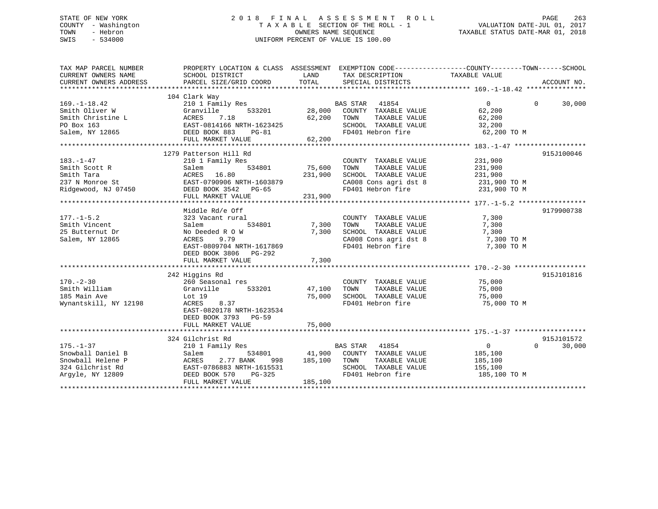# STATE OF NEW YORK 2 0 1 8 F I N A L A S S E S S M E N T R O L L PAGE 263 COUNTY - Washington T A X A B L E SECTION OF THE ROLL - 1 VALUATION DATE-JUL 01, 2017 TOWN - Hebron OWNERS NAME SEQUENCE TAXABLE STATUS DATE-MAR 01, 2018 SWIS - 534000 UNIFORM PERCENT OF VALUE IS 100.00

| TAX MAP PARCEL NUMBER                                                                                                                                                                 | PROPERTY LOCATION & CLASS ASSESSMENT EXEMPTION CODE---------------COUNTY-------TOWN-----SCHOOL |              |                                                                                                                                                            |              |                    |
|---------------------------------------------------------------------------------------------------------------------------------------------------------------------------------------|------------------------------------------------------------------------------------------------|--------------|------------------------------------------------------------------------------------------------------------------------------------------------------------|--------------|--------------------|
|                                                                                                                                                                                       |                                                                                                |              |                                                                                                                                                            |              |                    |
| $169. - 1 - 18.42$                                                                                                                                                                    | 104 Clark Way<br>210 1 Family Res                                                              |              | BAS STAR 41854                                                                                                                                             | $\Omega$     | $\Omega$<br>30,000 |
| Smith Oliver W                                                                                                                                                                        | Granville                                                                                      |              | 533201 28,000 COUNTY TAXABLE VALUE                                                                                                                         | 62,200       |                    |
| Smith Christine L                                                                                                                                                                     | Granvi<br>ACRES<br>7.18                                                                        | 62,200       | TAXABLE VALUE<br>TOWN                                                                                                                                      | 62,200       |                    |
|                                                                                                                                                                                       |                                                                                                |              | SCHOOL TAXABLE VALUE                                                                                                                                       | 32,200       |                    |
| PO Box 163<br>Salem, NY 12865<br>Salem, NY 12865<br>Salem, NY 12865<br>Salem, NY 12865<br>Salem, NY 12865<br>Salem, NY 12865<br>Salem, NY 12865<br>Salem, NY 12865<br>Salem, NY 12865 |                                                                                                |              | FD401 Hebron fire                                                                                                                                          | 62,200 TO M  |                    |
|                                                                                                                                                                                       | FULL MARKET VALUE                                                                              | 62,200       |                                                                                                                                                            |              |                    |
|                                                                                                                                                                                       |                                                                                                |              |                                                                                                                                                            |              |                    |
|                                                                                                                                                                                       | 1279 Patterson Hill Rd                                                                         |              |                                                                                                                                                            |              | 915J100046         |
| $183. - 1 - 47$                                                                                                                                                                       | 210 1 Family Res                                                                               |              | COUNTY TAXABLE VALUE                                                                                                                                       | 231,900      |                    |
| Smith Scott R                                                                                                                                                                         | 534801<br>Salem                                                                                | 75,600       | TOWN<br>TAXABLE VALUE                                                                                                                                      | 231,900      |                    |
| Smith Tara                                                                                                                                                                            | ACRES 16.80                                                                                    | 231,900      | SCHOOL TAXABLE VALUE                                                                                                                                       | 231,900      |                    |
| 237 N Monroe St                                                                                                                                                                       | ALRED 1990-1988<br>EAST-0790906 NRTH-1603879<br>--- --- --- 2542 PG-65                         |              | CA008 Cons agri dst 8 231,900 TO M                                                                                                                         |              |                    |
| Ridgewood, NJ 07450<br>DEED BOOK 3542<br>PG-65                                                                                                                                        |                                                                                                |              | FD401 Hebron fire 231,900 TO M                                                                                                                             |              |                    |
|                                                                                                                                                                                       | FULL MARKET VALUE                                                                              | 231,900      |                                                                                                                                                            |              |                    |
|                                                                                                                                                                                       |                                                                                                |              |                                                                                                                                                            |              |                    |
|                                                                                                                                                                                       | Middle Rd/e Off                                                                                |              |                                                                                                                                                            |              | 9179900738         |
| $177. - 1 - 5.2$                                                                                                                                                                      | 323 Vacant rural                                                                               |              | COUNTY TAXABLE VALUE                                                                                                                                       | 7,300        |                    |
| Smith Vincent                                                                                                                                                                         | Salem                                                                                          | 534801 7,300 | TOWN<br>TAXABLE VALUE                                                                                                                                      | 7,300        |                    |
| 25 Butternut Dr                                                                                                                                                                       | No Deeded R O W                                                                                | 7,300        | SCHOOL TAXABLE VALUE                                                                                                                                       | 7,300        |                    |
| Salem, NY 12865                                                                                                                                                                       | ACRES<br>9.79                                                                                  |              | CA008 Cons agri dst 8                                                                                                                                      | 7,300 TO M   |                    |
|                                                                                                                                                                                       | EAST-0809704 NRTH-1617869                                                                      |              | FD401 Hebron fire                                                                                                                                          | 7,300 TO M   |                    |
|                                                                                                                                                                                       | DEED BOOK 3806 PG-292                                                                          |              |                                                                                                                                                            |              |                    |
|                                                                                                                                                                                       | FULL MARKET VALUE                                                                              | 7,300        |                                                                                                                                                            |              |                    |
|                                                                                                                                                                                       |                                                                                                |              |                                                                                                                                                            |              |                    |
|                                                                                                                                                                                       | 242 Higgins Rd                                                                                 |              |                                                                                                                                                            |              | 915J101816         |
| $170. - 2 - 30$                                                                                                                                                                       | 260 Seasonal res                                                                               |              | COUNTY TAXABLE VALUE 75,000                                                                                                                                |              |                    |
| Smith William                                                                                                                                                                         | 533201<br>Granville                                                                            |              | $\begin{tabular}{lcccc} $47,100$ & $TOWN$ & $TAXABLE VALUE & $ & $75,000 \\ $75,000 & $SCHOOL & $TAXABLE VALUE & $ & $75,000 \end{tabular}$<br>47,100 TOWN |              |                    |
| 185 Main Ave                                                                                                                                                                          | Lot 19                                                                                         |              |                                                                                                                                                            |              |                    |
| Wynantskill, NY 12198                                                                                                                                                                 | 8.37<br>ACRES                                                                                  |              | FD401 Hebron fire                                                                                                                                          | 75,000 TO M  |                    |
|                                                                                                                                                                                       | EAST-0820178 NRTH-1623534                                                                      |              |                                                                                                                                                            |              |                    |
|                                                                                                                                                                                       | DEED BOOK 3793 PG-59                                                                           |              |                                                                                                                                                            |              |                    |
|                                                                                                                                                                                       | FULL MARKET VALUE                                                                              | 75,000       |                                                                                                                                                            |              |                    |
|                                                                                                                                                                                       | 324 Gilchrist Rd                                                                               |              |                                                                                                                                                            |              | 915J101572         |
| $175. - 1 - 37$                                                                                                                                                                       | 210 1 Family Res                                                                               |              | BAS STAR 41854                                                                                                                                             | $\Omega$     | 30,000<br>$\Omega$ |
| Snowball Daniel B                                                                                                                                                                     | 534801<br>Salem                                                                                |              | 41,900 COUNTY TAXABLE VALUE                                                                                                                                | 185,100      |                    |
| Snowball Helene P                                                                                                                                                                     | 2.77 BANK<br>ACRES<br>998                                                                      | 185,100 TOWN | TAXABLE VALUE                                                                                                                                              | 185,100      |                    |
| 324 Gilchrist Rd                                                                                                                                                                      | EAST-0786883 NRTH-1615531                                                                      |              | SCHOOL TAXABLE VALUE                                                                                                                                       | 155,100      |                    |
| Argyle, NY 12809                                                                                                                                                                      | DEED BOOK 570<br>$PG-325$                                                                      |              | FD401 Hebron fire                                                                                                                                          | 185,100 TO M |                    |
|                                                                                                                                                                                       | FULL MARKET VALUE                                                                              | 185,100      |                                                                                                                                                            |              |                    |
|                                                                                                                                                                                       |                                                                                                |              |                                                                                                                                                            |              |                    |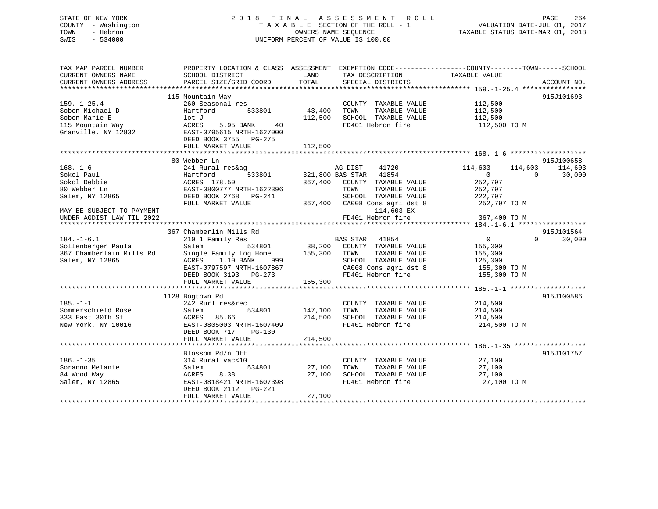# STATE OF NEW YORK 264 2018 FINAL ASSESSMENT ROLL PAGE 264 COUNTY - Washington  $T A X A B L E$  SECTION OF THE ROLL - 1<br>TOWN - Hebron DATE-JUL 000NERS NAME SEQUENCE SWIS - 534000 UNIFORM PERCENT OF VALUE IS 100.00

VALUATION DATE-JUL 01, 2017

TAXABLE STATUS DATE-MAR 01, 2018

| TAX MAP PARCEL NUMBER<br>CURRENT OWNERS NAME | SCHOOL DISTRICT           | LAND<br>TAX DESCRIPTION         | PROPERTY LOCATION & CLASS ASSESSMENT EXEMPTION CODE----------------COUNTY-------TOWN------SCHOOL<br>TAXABLE VALUE |
|----------------------------------------------|---------------------------|---------------------------------|-------------------------------------------------------------------------------------------------------------------|
| CURRENT OWNERS ADDRESS                       | PARCEL SIZE/GRID COORD    | TOTAL<br>SPECIAL DISTRICTS      | ACCOUNT NO.                                                                                                       |
|                                              |                           |                                 |                                                                                                                   |
|                                              | 115 Mountain Way          |                                 | 915J101693                                                                                                        |
| $159. - 1 - 25.4$                            | 260 Seasonal res          | COUNTY TAXABLE VALUE            | 112,500                                                                                                           |
| Sobon Michael D                              | Hartford<br>533801        | 43,400<br>TAXABLE VALUE<br>TOWN | 112,500                                                                                                           |
| Sobon Marie E                                | lot J                     | 112,500<br>SCHOOL TAXABLE VALUE | 112,500                                                                                                           |
| 115 Mountain Way                             | 40<br>ACRES<br>5.95 BANK  | FD401 Hebron fire               | 112,500 TO M                                                                                                      |
| Granville, NY 12832                          | EAST-0795615 NRTH-1627000 |                                 |                                                                                                                   |
|                                              |                           |                                 |                                                                                                                   |
|                                              | DEED BOOK 3755 PG-275     |                                 |                                                                                                                   |
|                                              | FULL MARKET VALUE         | 112,500                         |                                                                                                                   |
|                                              |                           |                                 |                                                                                                                   |
|                                              | 80 Webber Ln              |                                 | 915J100658                                                                                                        |
| $168. - 1 - 6$                               | 241 Rural res&ag          | AG DIST<br>41720                | 114,603<br>114,603<br>114,603                                                                                     |
| Sokol Paul                                   | 533801<br>Hartford        | 321,800 BAS STAR<br>41854       | $\overline{0}$<br>30,000<br>$\Omega$                                                                              |
| Sokol Debbie                                 | ACRES 178.50              | 367,400<br>COUNTY TAXABLE VALUE | 252,797                                                                                                           |
| 80 Webber Ln                                 | EAST-0800777 NRTH-1622396 | TAXABLE VALUE<br>TOWN           | 252,797                                                                                                           |
| Salem, NY 12865                              | DEED BOOK 2768 PG-241     | SCHOOL TAXABLE VALUE            | 222,797                                                                                                           |
|                                              | FULL MARKET VALUE         | 367,400 CA008 Cons agri dst 8   | 252,797 TO M                                                                                                      |
| MAY BE SUBJECT TO PAYMENT                    |                           | 114,603 EX                      |                                                                                                                   |
| UNDER AGDIST LAW TIL 2022                    |                           | FD401 Hebron fire               | 367,400 TO M                                                                                                      |
|                                              |                           |                                 |                                                                                                                   |
|                                              | 367 Chamberlin Mills Rd   |                                 | 915J101564                                                                                                        |
| $184. - 1 - 6.1$                             | 210 1 Family Res          | <b>BAS STAR</b> 41854           | $\overline{0}$<br>$\Omega$<br>30,000                                                                              |
| Sollenberger Paula                           | 534801<br>Salem           | 38,200 COUNTY TAXABLE VALUE     | 155,300                                                                                                           |
| 367 Chamberlain Mills Rd                     | Single Family Log Home    | 155,300 TOWN<br>TAXABLE VALUE   | 155,300                                                                                                           |
| Salem, NY 12865                              | 1.10 BANK<br>ACRES<br>999 | SCHOOL TAXABLE VALUE            | 125,300                                                                                                           |
|                                              | EAST-0797597 NRTH-1607867 | CA008 Cons agri dst 8           | 155,300 TO M                                                                                                      |
|                                              | DEED BOOK 3193 PG-273     | FD401 Hebron fire               | 155,300 TO M                                                                                                      |
|                                              | FULL MARKET VALUE         | 155,300                         |                                                                                                                   |
|                                              |                           |                                 |                                                                                                                   |
|                                              | 1128 Bogtown Rd           |                                 | 915J100586                                                                                                        |
| $185. - 1 - 1$                               | 242 Rurl res&rec          | COUNTY TAXABLE VALUE            | 214,500                                                                                                           |
|                                              | 534801                    | TOWN                            |                                                                                                                   |
| Sommerschield Rose                           | Salem                     | 147,100<br>TAXABLE VALUE        | 214,500                                                                                                           |
| 333 East 30Th St                             | ACRES 85.66               | 214,500<br>SCHOOL TAXABLE VALUE | 214,500                                                                                                           |
| New York, NY 10016                           | EAST-0805003 NRTH-1607409 | FD401 Hebron fire               | 214,500 TO M                                                                                                      |
|                                              | DEED BOOK 717<br>PG-130   |                                 |                                                                                                                   |
|                                              | FULL MARKET VALUE         | 214,500                         |                                                                                                                   |
|                                              |                           |                                 |                                                                                                                   |
|                                              | Blossom Rd/n Off          |                                 | 915J101757                                                                                                        |
| $186. - 1 - 35$                              | 314 Rural vac<10          | COUNTY TAXABLE VALUE            | 27,100                                                                                                            |
| Soranno Melanie                              | 534801<br>Salem           | 27,100<br>TAXABLE VALUE<br>TOWN | 27,100                                                                                                            |
| 84 Wood Way                                  | ACRES<br>8.38             | 27,100<br>SCHOOL TAXABLE VALUE  | 27,100                                                                                                            |
| Salem, NY 12865                              | EAST-0818421 NRTH-1607398 | FD401 Hebron fire               | 27,100 TO M                                                                                                       |
|                                              | DEED BOOK 2112 PG-221     |                                 |                                                                                                                   |
|                                              | FULL MARKET VALUE         | 27,100                          |                                                                                                                   |
|                                              |                           |                                 |                                                                                                                   |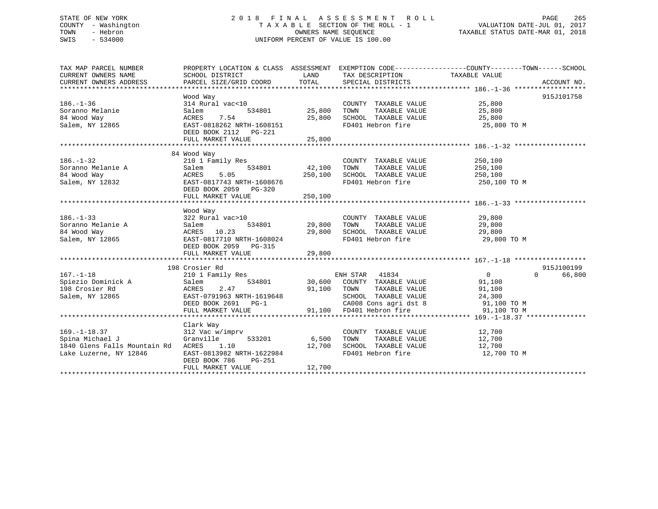# STATE OF NEW YORK 2 0 1 8 F I N A L A S S E S S M E N T R O L L PAGE 265 COUNTY - Washington T A X A B L E SECTION OF THE ROLL - 1 VALUATION DATE-JUL 01, 2017 TOWN - Hebron OWNERS NAME SEQUENCE TAXABLE STATUS DATE-MAR 01, 2018 SWIS - 534000 UNIFORM PERCENT OF VALUE IS 100.00

| TAX MAP PARCEL NUMBER<br>CURRENT OWNERS NAME<br>CURRENT OWNERS ADDRESS                          | PROPERTY LOCATION & CLASS ASSESSMENT<br>SCHOOL DISTRICT<br>PARCEL SIZE/GRID COORD                                                                 | LAND<br>TOTAL                       | TAX DESCRIPTION TAXABLE VALUE<br>SPECIAL DISTRICTS                                                                                                                                                                 | EXEMPTION CODE----------------COUNTY-------TOWN-----SCHOOL<br>ACCOUNT NO.          |
|-------------------------------------------------------------------------------------------------|---------------------------------------------------------------------------------------------------------------------------------------------------|-------------------------------------|--------------------------------------------------------------------------------------------------------------------------------------------------------------------------------------------------------------------|------------------------------------------------------------------------------------|
| $186. - 1 - 36$<br>Soranno Melanie<br>84 Wood Way<br>Salem, NY 12865                            | Wood Way<br>314 Rural vac<10<br>534801<br>Salem<br>7.54<br>ACRES<br>EAST-0818262 NRTH-1608151<br>DEED BOOK 2112    PG-221                         | 25,800<br>25,800                    | COUNTY TAXABLE VALUE<br>TAXABLE VALUE<br>TOWN<br>SCHOOL TAXABLE VALUE<br>FD401 Hebron fire                                                                                                                         | 915J101758<br>25,800<br>25,800<br>25,800<br>25,800 TO M                            |
| $186. - 1 - 32$<br>Soranno Melanie A<br>84 Wood Way<br>Salem, NY 12832                          | 84 Wood Way<br>210 1 Family Res<br>Salem<br>5.05<br>ACRES<br>EAST-0817743 NRTH-1608676<br>DEED BOOK 2059 PG-320<br>FULL MARKET VALUE              | 534801 42,100<br>250,100<br>250,100 | COUNTY TAXABLE VALUE<br>TAXABLE VALUE<br>TOWN<br>SCHOOL TAXABLE VALUE<br>FD401 Hebron fire                                                                                                                         | 250,100<br>250,100<br>250,100<br>250,100 TO M                                      |
| $186. - 1 - 33$<br>Soranno Melanie A<br>84 Wood Way<br>Salem, NY 12865                          | Wood Way<br>322 Rural vac>10<br>534801<br>Salem<br>10.23<br>ACRES<br>EAST-0817710 NRTH-1608024<br>DEED BOOK 2059 PG-315<br>FULL MARKET VALUE      | 29,800<br>29,800<br>29,800          | COUNTY TAXABLE VALUE<br>TAXABLE VALUE<br>TOWN<br>SCHOOL TAXABLE VALUE<br>FD401 Hebron fire                                                                                                                         | 29,800<br>29,800<br>29,800<br>29,800 TO M                                          |
| $167. - 1 - 18$<br>Spiezio Dominick A<br>198 Crosier Rd<br>Salem, NY 12865                      | 198 Crosier Rd<br>210 1 Family Res<br>534801<br>Salem<br>2.47<br>ACRES<br>EAST-0791963 NRTH-1619648<br>DEED BOOK 2691 PG-1<br>FULL MARKET VALUE   | 91,100                              | ENH STAR 41834<br>30,600 COUNTY TAXABLE VALUE<br>TAXABLE VALUE<br>TOWN<br>SCHOOL TAXABLE VALUE<br>SCHOOL TAXABLE VALUE<br>CA008 Cons agri dst 8<br>91,100 FD401 Hebron fire<br>CA008 Cons agri dst 8 $91,100$ TO M | 915J100199<br>0<br>$\Omega$<br>66,800<br>91,100<br>91,100<br>24,300<br>91,100 TO M |
| $169. - 1 - 18.37$<br>Spina Michael J<br>1840 Glens Falls Mountain Rd<br>Lake Luzerne, NY 12846 | Clark Way<br>312 Vac w/imprv<br>533201<br>Granville<br>ACRES<br>1.10<br>EAST-0813982 NRTH-1622984<br>DEED BOOK 786<br>PG-251<br>FULL MARKET VALUE | 6,500<br>12,700<br>12,700           | COUNTY TAXABLE VALUE<br>TAXABLE VALUE<br>TOWN<br>SCHOOL TAXABLE VALUE<br>FD401 Hebron fire                                                                                                                         | 12,700<br>12,700<br>12,700<br>12,700 TO M                                          |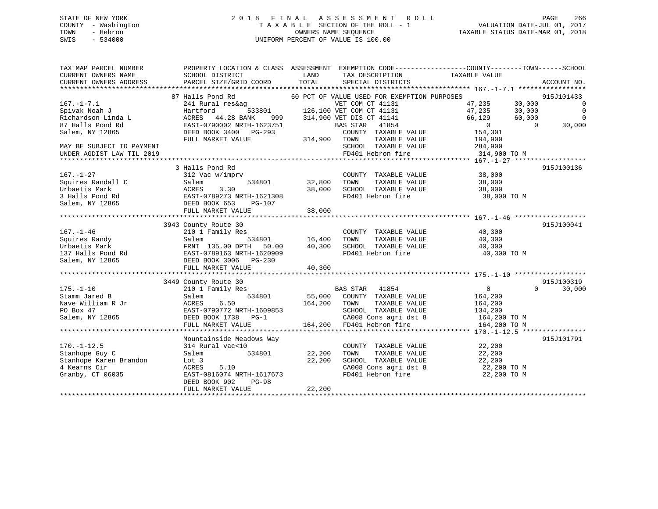# STATE OF NEW YORK 2 0 1 8 F I N A L A S S E S S M E N T R O L L PAGE 266 COUNTY - Washington T A X A B L E SECTION OF THE ROLL - 1 VALUATION DATE-JUL 01, 2017 TOWN - Hebron OWNERS NAME SEQUENCE TAXABLE STATUS DATE-MAR 01, 2018 SWIS - 534000 UNIFORM PERCENT OF VALUE IS 100.00

| TAX MAP PARCEL NUMBER<br>CURRENT OWNERS NAME<br>CURRENT OWNERS ADDRESS                                                                          | SCHOOL DISTRICT<br>PARCEL SIZE/GRID COORD                                                                                                   | LAND<br>TOTAL                                   | TAX DESCRIPTION TAXABLE VALUE<br>SPECIAL DISTRICTS                                                                                           | PROPERTY LOCATION & CLASS ASSESSMENT EXEMPTION CODE----------------COUNTY-------TOWN-----SCHOOL  | ACCOUNT NO.                                    |
|-------------------------------------------------------------------------------------------------------------------------------------------------|---------------------------------------------------------------------------------------------------------------------------------------------|-------------------------------------------------|----------------------------------------------------------------------------------------------------------------------------------------------|--------------------------------------------------------------------------------------------------|------------------------------------------------|
| $167. - 1 - 7.1$<br>Spivak Noah J                                                                                                               | 87 Halls Pond Rd<br>241 Rural res&ag<br>Hartford                                                                                            |                                                 | 60 PCT OF VALUE USED FOR EXEMPTION PURPOSES<br>VET COM CT 41131<br>533801 126,100 VET COM CT 41131                                           | 47,235<br>30,000<br>47,235<br>30,000                                                             | 915J101433<br>$\overline{0}$<br>$\overline{0}$ |
| Richardson Linda L<br>87 Halls Pond Rd                                                                                                          | ACRES 44.28 BANK<br>999<br>EAST-0790002 NRTH-1623751                                                                                        |                                                 | 314,900 VET DIS CT 41141<br>BAS STAR<br>41854                                                                                                | 66,129<br>60,000<br>$\overline{0}$<br>$\Omega$                                                   | $\overline{0}$<br>30,000                       |
| Salem, NY 12865                                                                                                                                 | DEED BOOK 3400 PG-293<br>FULL MARKET VALUE                                                                                                  | 314,900                                         | COUNTY TAXABLE VALUE<br>TAXABLE VALUE<br>TOWN                                                                                                | 154,301<br>194,900                                                                               |                                                |
| MAY BE SUBJECT TO PAYMENT<br>UNDER AGDIST LAW TIL 2019                                                                                          |                                                                                                                                             |                                                 | SCHOOL TAXABLE VALUE<br>FD401 Hebron fire                                                                                                    | 284,900<br>314,900 TO M                                                                          |                                                |
| $167. - 1 - 27$                                                                                                                                 | 3 Halls Pond Rd<br>312 Vac w/imprv                                                                                                          |                                                 | COUNTY TAXABLE VALUE                                                                                                                         | 38,000                                                                                           | 915J100136                                     |
| Squires Randall C<br>Urbaetis Mark<br>3 Halls Pond Rd                                                                                           | Salem<br>534801<br>ACRES<br>3.30<br>EAST-0789273 NRTH-1621308                                                                               | 32,800<br>38,000                                | TOWN<br>TAXABLE VALUE<br>SCHOOL TAXABLE VALUE<br>FD401 Hebron fire                                                                           | 38,000<br>38,000<br>38,000 TO M                                                                  |                                                |
| Salem, NY 12865                                                                                                                                 | DEED BOOK 653<br>PG-107<br>FULL MARKET VALUE                                                                                                | 38,000                                          |                                                                                                                                              |                                                                                                  |                                                |
|                                                                                                                                                 | 3943 County Route 30                                                                                                                        |                                                 |                                                                                                                                              |                                                                                                  | 915J100041                                     |
| $167. - 1 - 46$<br>Squires Randy<br>The Urbaetis Mark Chat (135.00 DPTH 50.00<br>137 Halls Pond Rd EAST-0789163 NRTH-1620909<br>Salem, NY 12865 | 210 1 Family Res<br>Salem<br>FRNT 135.00 DPTH 50.00<br>DEED BOOK 3006 PG-230                                                                | s<br>534801                    16,400<br>40,300 | COUNTY TAXABLE VALUE<br>TAXABLE VALUE<br>TOWN<br>SCHOOL TAXABLE VALUE<br>FD401 Hebron fire                                                   | 40,300<br>40,300<br>40,300<br>40,300 TO M                                                        |                                                |
|                                                                                                                                                 | FULL MARKET VALUE                                                                                                                           | 40,300                                          |                                                                                                                                              |                                                                                                  |                                                |
|                                                                                                                                                 | 3449 County Route 30                                                                                                                        |                                                 |                                                                                                                                              |                                                                                                  | 915J100319                                     |
| $175. - 1 - 10$<br>Stamm Jared B<br>Nave William R Jr<br>PO Box 47<br>Salem, NY 12865                                                           | 210 1 Family Res<br>534801<br>Salem<br>ACRES<br>6.50<br>EAST-0790772 NRTH-1609853<br>DEED BOOK 1738 PG-1<br>FULL MARKET VALUE               | 164,200 TOWN                                    | BAS STAR 41854<br>55,000 COUNTY TAXABLE VALUE<br>TAXABLE VALUE<br>SCHOOL TAXABLE VALUE<br>CA008 Cons agri dst 8<br>164,200 FD401 Hebron fire | $\overline{0}$<br>$\Omega$<br>164,200<br>164,200<br>134,200<br>t 8 164, 200 TO M<br>164 200 TO M | 30,000                                         |
|                                                                                                                                                 | Mountainside Meadows Way                                                                                                                    |                                                 |                                                                                                                                              |                                                                                                  | 915J101791                                     |
| $170. - 1 - 12.5$<br>Stanhope Guy C<br>Stanhope Karen Brandon<br>4 Kearns Cir<br>Granby, CT 06035                                               | 314 Rural vac<10<br>534801<br>Salem<br>Lot 3<br>ACRES<br>5.10<br>EAST-0816074 NRTH-1617673<br>DEED BOOK 902<br>$PG-98$<br>FULL MARKET VALUE | 22,200<br>22,200<br>22,200                      | COUNTY TAXABLE VALUE<br>TAXABLE VALUE<br>TOWN<br>SCHOOL TAXABLE VALUE<br>CA008 Cons agri dst 8<br>FD401 Hebron fire                          | 22,200<br>22,200<br>22,200<br>22,200 TO M<br>22,200 TO M                                         |                                                |
|                                                                                                                                                 |                                                                                                                                             |                                                 |                                                                                                                                              |                                                                                                  |                                                |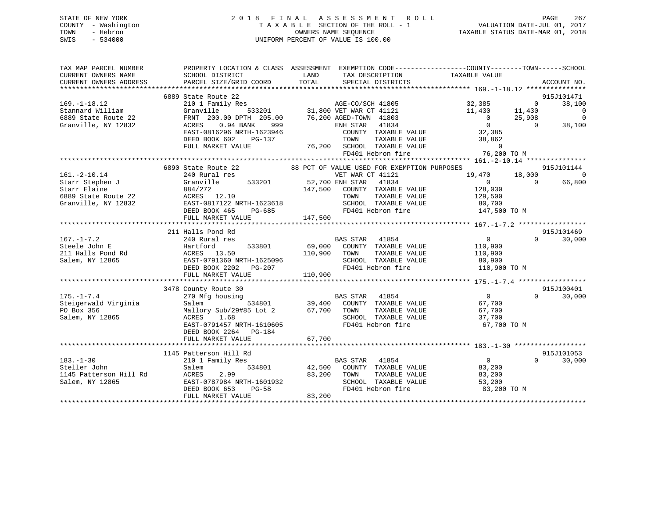|      | STATE OF NEW YORK   | 2018 FINAL ASSESSMENT ROLL         | 267<br>PAGE                      |
|------|---------------------|------------------------------------|----------------------------------|
|      | COUNTY - Washington | TAXABLE SECTION OF THE ROLL - 1    | VALUATION DATE-JUL 01, 2017      |
| TOWN | - Hebron            | OWNERS NAME SEOUENCE               | TAXABLE STATUS DATE-MAR 01, 2018 |
| SWIS | - 534000            | UNIFORM PERCENT OF VALUE IS 100.00 |                                  |
|      |                     |                                    |                                  |

| TAX MAP PARCEL NUMBER  |                                                                                                                                                                                                    | PROPERTY LOCATION & CLASS ASSESSMENT EXEMPTION CODE---------------COUNTY-------TOWN------SCHOOL                                                                                                                                                        |                            |                |
|------------------------|----------------------------------------------------------------------------------------------------------------------------------------------------------------------------------------------------|--------------------------------------------------------------------------------------------------------------------------------------------------------------------------------------------------------------------------------------------------------|----------------------------|----------------|
| CURRENT OWNERS NAME    |                                                                                                                                                                                                    | TAX DESCRIPTION TAXABLE VALUE                                                                                                                                                                                                                          |                            |                |
| CURRENT OWNERS ADDRESS |                                                                                                                                                                                                    |                                                                                                                                                                                                                                                        |                            | ACCOUNT NO.    |
|                        |                                                                                                                                                                                                    |                                                                                                                                                                                                                                                        |                            |                |
|                        | 6889 State Route 22                                                                                                                                                                                |                                                                                                                                                                                                                                                        |                            | 915J101471     |
|                        |                                                                                                                                                                                                    | 6889 State Route 22<br>210 1 Pamily Res<br>31,800 VET WAR CT 41121<br>6889 State Route 22<br>6889 State Route 22<br>6889 State Route 22<br>FRNT 200.00 DPTH 205.00<br>67.200 AGED-TOWN 41803<br>67.200 AGED-TOWN 41803<br>67.200 AGED-TOWN 41803       |                            | 38,100         |
|                        |                                                                                                                                                                                                    |                                                                                                                                                                                                                                                        |                            | $\overline{0}$ |
|                        |                                                                                                                                                                                                    |                                                                                                                                                                                                                                                        |                            | $\overline{0}$ |
|                        |                                                                                                                                                                                                    |                                                                                                                                                                                                                                                        |                            | 38,100         |
|                        |                                                                                                                                                                                                    |                                                                                                                                                                                                                                                        |                            |                |
|                        |                                                                                                                                                                                                    |                                                                                                                                                                                                                                                        |                            |                |
|                        |                                                                                                                                                                                                    |                                                                                                                                                                                                                                                        |                            |                |
|                        |                                                                                                                                                                                                    |                                                                                                                                                                                                                                                        |                            |                |
|                        |                                                                                                                                                                                                    |                                                                                                                                                                                                                                                        |                            |                |
|                        |                                                                                                                                                                                                    |                                                                                                                                                                                                                                                        |                            | 915J101144     |
| $161.-2-10.14$         |                                                                                                                                                                                                    |                                                                                                                                                                                                                                                        |                            | $\Omega$       |
|                        |                                                                                                                                                                                                    | VET WAR CT 41121<br>Granville 533201 52,700 ENH STAR 41834                                                                                                                                                                                             |                            | 66,800         |
|                        |                                                                                                                                                                                                    |                                                                                                                                                                                                                                                        |                            |                |
|                        |                                                                                                                                                                                                    |                                                                                                                                                                                                                                                        |                            |                |
|                        |                                                                                                                                                                                                    |                                                                                                                                                                                                                                                        |                            |                |
|                        |                                                                                                                                                                                                    |                                                                                                                                                                                                                                                        |                            |                |
|                        | FULL MARKET VALUE                                                                                                                                                                                  | FD401 Hebron fire 147,500 TO M<br>147,500                                                                                                                                                                                                              |                            |                |
|                        |                                                                                                                                                                                                    |                                                                                                                                                                                                                                                        |                            |                |
|                        |                                                                                                                                                                                                    |                                                                                                                                                                                                                                                        |                            | 915J101469     |
|                        | 211 Halls Pond Rd                                                                                                                                                                                  |                                                                                                                                                                                                                                                        | $\cap$                     | 30,000         |
|                        |                                                                                                                                                                                                    |                                                                                                                                                                                                                                                        |                            |                |
|                        |                                                                                                                                                                                                    |                                                                                                                                                                                                                                                        |                            |                |
|                        |                                                                                                                                                                                                    |                                                                                                                                                                                                                                                        |                            |                |
|                        |                                                                                                                                                                                                    | 167.-1-7.2<br>Steele John E<br>211 Aalls Pond Rd<br>211 Aalls Pond Rd<br>211 Aalls Pond Rd<br>211 Aalls Pond Rd<br>213 Aalem, NY 12865<br>213 Acres 13.50<br>213 Acres 13.50<br>214 Acres 13.50<br>214 Acres 13.50<br>214 Acres 13.50<br>214 Acres 13. |                            |                |
|                        |                                                                                                                                                                                                    |                                                                                                                                                                                                                                                        |                            |                |
|                        |                                                                                                                                                                                                    |                                                                                                                                                                                                                                                        |                            |                |
|                        |                                                                                                                                                                                                    |                                                                                                                                                                                                                                                        |                            |                |
|                        | 3478 County Route 30                                                                                                                                                                               | County Route 30<br>270 Mfg housing<br>Salem 534801 39,400 COUNTY TAXABLE VALUE 67,700<br>57.700                                                                                                                                                        | $\overline{0}$             | 915J100401     |
| $175. - 1 - 7.4$       |                                                                                                                                                                                                    |                                                                                                                                                                                                                                                        |                            | $0 \t 30,000$  |
| Steigerwald Virginia   |                                                                                                                                                                                                    |                                                                                                                                                                                                                                                        |                            |                |
|                        |                                                                                                                                                                                                    |                                                                                                                                                                                                                                                        |                            |                |
|                        | ACRES 1.68<br>EAST-0791457 NRTH-1610605                                                                                                                                                            |                                                                                                                                                                                                                                                        |                            |                |
|                        |                                                                                                                                                                                                    | FD401 Hebron fire 67,700 TO M                                                                                                                                                                                                                          |                            |                |
|                        | DEED BOOK 2264 PG-184                                                                                                                                                                              |                                                                                                                                                                                                                                                        |                            |                |
|                        | FULL MARKET VALUE                                                                                                                                                                                  | 67,700                                                                                                                                                                                                                                                 |                            |                |
|                        |                                                                                                                                                                                                    |                                                                                                                                                                                                                                                        |                            |                |
|                        | 1145 Patterson Hill Rd                                                                                                                                                                             |                                                                                                                                                                                                                                                        |                            | 915J101053     |
| $183. - 1 - 30$        | 210 1 Family Res                                                                                                                                                                                   | BAS STAR 41854                                                                                                                                                                                                                                         | $\overline{0}$<br>$\Omega$ | 30,000         |
| Steller John           | Salem                                                                                                                                                                                              | $\begin{array}{ccc}\n & \text{if } 0 \\ \text{if } 1000 \\ \text{if } 200\n\end{array}$                                                                                                                                                                |                            |                |
|                        |                                                                                                                                                                                                    |                                                                                                                                                                                                                                                        |                            |                |
|                        |                                                                                                                                                                                                    |                                                                                                                                                                                                                                                        |                            |                |
|                        | Steller John Steller John Steller Steller John Steller Steller Steller Steller Steller Steller Steller Steller<br>Salem, NY 12865 EAST-0787984 NRTH-1601932 SCHOOL<br>DEED BOOK 653 PG-58 FD401 He | TOWN TAXABLE VALUE 83,200<br>SCHOOL TAXABLE VALUE 53,200<br>FD401 Hebron fire 83,200 TO M                                                                                                                                                              |                            |                |
|                        | FULL MARKET VALUE                                                                                                                                                                                  | 83,200                                                                                                                                                                                                                                                 |                            |                |
|                        |                                                                                                                                                                                                    |                                                                                                                                                                                                                                                        |                            |                |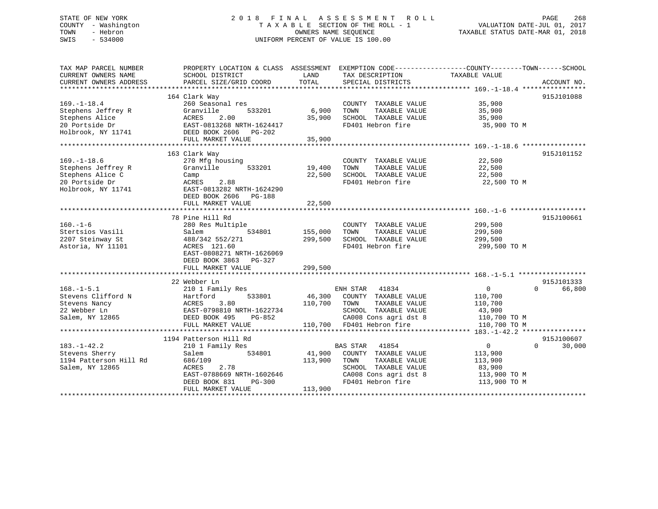# STATE OF NEW YORK 2 0 1 8 F I N A L A S S E S S M E N T R O L L PAGE 268 COUNTY - Washington T A X A B L E SECTION OF THE ROLL - 1 VALUATION DATE-JUL 01, 2017 TOWN - Hebron OWNERS NAME SEQUENCE TAXABLE STATUS DATE-MAR 01, 2018 SWIS - 534000 UNIFORM PERCENT OF VALUE IS 100.00

| TAX MAP PARCEL NUMBER  |                           |         |                               | PROPERTY LOCATION & CLASS ASSESSMENT EXEMPTION CODE----------------COUNTY-------TOWN-----SCHOOL |
|------------------------|---------------------------|---------|-------------------------------|-------------------------------------------------------------------------------------------------|
| CURRENT OWNERS NAME    | SCHOOL DISTRICT           | LAND    | TAX DESCRIPTION               | TAXABLE VALUE                                                                                   |
| CURRENT OWNERS ADDRESS | PARCEL SIZE/GRID COORD    | TOTAL   | SPECIAL DISTRICTS             | ACCOUNT NO.                                                                                     |
|                        |                           |         |                               |                                                                                                 |
| $169. - 1 - 18.4$      | 164 Clark Way             |         | COUNTY TAXABLE VALUE          | 915J101088                                                                                      |
|                        | 260 Seasonal res          |         |                               | 35,900                                                                                          |
| Stephens Jeffrey R     | Granville<br>533201       | 6,900   | TOWN<br>TAXABLE VALUE         | 35,900                                                                                          |
| Stephens Alice         | 2.00<br>ACRES             | 35,900  | SCHOOL TAXABLE VALUE          | 35,900                                                                                          |
| 20 Portside Dr         | EAST-0813268 NRTH-1624417 |         | FD401 Hebron fire             | 35,900 TO M                                                                                     |
| Holbrook, NY 11741     | DEED BOOK 2606 PG-202     |         |                               |                                                                                                 |
|                        | FULL MARKET VALUE         | 35,900  |                               |                                                                                                 |
|                        |                           |         |                               |                                                                                                 |
|                        | 163 Clark Way             |         |                               | 915J101152                                                                                      |
| $169. - 1 - 18.6$      | 270 Mfg housing           |         | COUNTY TAXABLE VALUE          | 22,500                                                                                          |
| Stephens Jeffrey R     | Granville<br>533201       | 19,400  | TAXABLE VALUE<br>TOWN         | 22,500                                                                                          |
| Stephens Alice C       | Camp                      | 22,500  | SCHOOL TAXABLE VALUE          | 22,500                                                                                          |
| 20 Portside Dr         | 2.88<br>ACRES             |         | FD401 Hebron fire             | 22,500 TO M                                                                                     |
| Holbrook, NY 11741     | EAST-0813282 NRTH-1624290 |         |                               |                                                                                                 |
|                        | DEED BOOK 2606 PG-188     |         |                               |                                                                                                 |
|                        | FULL MARKET VALUE         | 22,500  |                               |                                                                                                 |
|                        |                           |         |                               |                                                                                                 |
|                        | 78 Pine Hill Rd           |         |                               | 915J100661                                                                                      |
| $160. - 1 - 6$         | 280 Res Multiple          |         | COUNTY TAXABLE VALUE          | 299,500                                                                                         |
| Stertsios Vasili       | 534801<br>Salem           | 155,000 | TOWN<br>TAXABLE VALUE         | 299,500                                                                                         |
| 2207 Steinway St       | 488/342 552/271           | 299,500 | SCHOOL TAXABLE VALUE          | 299,500                                                                                         |
| Astoria, NY 11101      | ACRES 121.60              |         | FD401 Hebron fire             | 299,500 TO M                                                                                    |
|                        | EAST-0808271 NRTH-1626069 |         |                               |                                                                                                 |
|                        | DEED BOOK 3863 PG-327     |         |                               |                                                                                                 |
|                        | FULL MARKET VALUE         | 299,500 |                               |                                                                                                 |
|                        |                           |         |                               |                                                                                                 |
|                        | 22 Webber Ln              |         |                               | 915J101333                                                                                      |
| $168. - 1 - 5.1$       | 210 1 Family Res          |         | ENH STAR 41834                | $\overline{0}$<br>$\Omega$<br>66,800                                                            |
| Stevens Clifford N     | 533801<br>Hartford        |         | 46,300 COUNTY TAXABLE VALUE   | 110,700                                                                                         |
| Stevens Nancy          | ACRES<br>3.80             |         | 110,700 TOWN<br>TAXABLE VALUE | 110,700                                                                                         |
| 22 Webber Ln           | EAST-0798810 NRTH-1622734 |         | SCHOOL TAXABLE VALUE          | 43,900                                                                                          |
| Salem, NY 12865        | DEED BOOK 495<br>PG-852   |         | CA008 Cons agri dst 8         | 110,700 TO M                                                                                    |
|                        | FULL MARKET VALUE         |         | 110,700 FD401 Hebron fire     | 110,700 TO M                                                                                    |
|                        |                           |         |                               |                                                                                                 |
|                        | 1194 Patterson Hill Rd    |         |                               | 915J100607                                                                                      |
| $183. - 1 - 42.2$      | 210 1 Family Res          |         | BAS STAR<br>41854             | $\overline{0}$<br>$\Omega$<br>30,000                                                            |
| Stevens Sherry         | Salem<br>534801           | 41,900  | COUNTY TAXABLE VALUE          | 113,900                                                                                         |
| 1194 Patterson Hill Rd | 686/109                   | 113,900 | TOWN<br>TAXABLE VALUE         | 113,900                                                                                         |
| Salem, NY 12865        | ACRES<br>2.78             |         | SCHOOL TAXABLE VALUE          | 83,900                                                                                          |
|                        | EAST-0788669 NRTH-1602646 |         | CA008 Cons agri dst 8         | 113,900 TO M                                                                                    |
|                        | DEED BOOK 831<br>PG-300   |         | FD401 Hebron fire             | 113,900 TO M                                                                                    |
|                        | FULL MARKET VALUE         | 113,900 |                               |                                                                                                 |
|                        |                           |         |                               |                                                                                                 |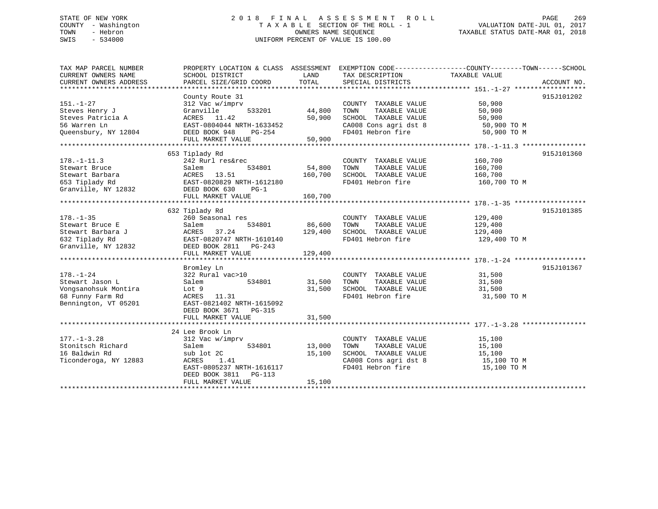# STATE OF NEW YORK 2 0 1 8 F I N A L A S S E S S M E N T R O L L PAGE 269 COUNTY - Washington T A X A B L E SECTION OF THE ROLL - 1 VALUATION DATE-JUL 01, 2017 TOWN - Hebron OWNERS NAME SEQUENCE TAXABLE STATUS DATE-MAR 01, 2018 SWIS - 534000 UNIFORM PERCENT OF VALUE IS 100.00

TAX MAP PARCEL NUMBER PROPERTY LOCATION & CLASS ASSESSMENT EXEMPTION CODE------------------COUNTY--------TOWN------SCHOOL CURRENT OWNERS NAME SCHOOL DISTRICT THE LAND TAX DESCRIPTION TAXABLE VALUE CURRENT OWNERS ADDRESS PARCEL SIZE/GRID COORD TOTAL SPECIAL DISTRICTS ACCOUNT NO. \*\*\*\*\*\*\*\*\*\*\*\*\*\*\*\*\*\*\*\*\*\*\*\*\*\*\*\*\*\*\*\*\*\*\*\*\*\*\*\*\*\*\*\*\*\*\*\*\*\*\*\*\*\*\*\*\*\*\*\*\*\*\*\*\*\*\*\*\*\*\*\*\*\*\*\*\*\*\*\*\*\*\*\*\*\*\*\*\*\*\*\*\*\*\*\*\*\*\*\*\*\*\* 151.-1-27 \*\*\*\*\*\*\*\*\*\*\*\*\*\*\*\*\*\* County Route 31 915J101202 151.-1-27 312 Vac w/imprv COUNTY TAXABLE VALUE 50,900 Steves Henry J Granville 533201 44,800 TOWN TAXABLE VALUE 50,900 Steves Patricia A ACRES 11.42 50,900 SCHOOL TAXABLE VALUE 50,900 56 Warren Ln EAST-0804044 NRTH-1633452 CA008 Cons agri dst 8 50,900 TO M Queensbury, NY 12804 DEED BOOK 948 PG-254 FD401 Hebron fire 50,900 TO M FULL MARKET VALUE 50,900 \*\*\*\*\*\*\*\*\*\*\*\*\*\*\*\*\*\*\*\*\*\*\*\*\*\*\*\*\*\*\*\*\*\*\*\*\*\*\*\*\*\*\*\*\*\*\*\*\*\*\*\*\*\*\*\*\*\*\*\*\*\*\*\*\*\*\*\*\*\*\*\*\*\*\*\*\*\*\*\*\*\*\*\*\*\*\*\*\*\*\*\*\*\*\*\*\*\*\*\*\*\*\* 178.-1-11.3 \*\*\*\*\*\*\*\*\*\*\*\*\*\*\*\* 653 Tiplady Rd 915J101360 178.-1-11.3 242 Rurl res&rec COUNTY TAXABLE VALUE 160,700 Stewart Bruce Salem 534801 54,800 TOWN TAXABLE VALUE 160,700 Stewart Barbara ACRES 13.51 160,700 SCHOOL TAXABLE VALUE 160,700 653 Tiplady Rd EAST-0820829 NRTH-1612180 FD401 Hebron fire 160,700 TO M Granville, NY 12832 DEED BOOK 630 PG-1 FULL MARKET VALUE 160,700 \*\*\*\*\*\*\*\*\*\*\*\*\*\*\*\*\*\*\*\*\*\*\*\*\*\*\*\*\*\*\*\*\*\*\*\*\*\*\*\*\*\*\*\*\*\*\*\*\*\*\*\*\*\*\*\*\*\*\*\*\*\*\*\*\*\*\*\*\*\*\*\*\*\*\*\*\*\*\*\*\*\*\*\*\*\*\*\*\*\*\*\*\*\*\*\*\*\*\*\*\*\*\* 178.-1-35 \*\*\*\*\*\*\*\*\*\*\*\*\*\*\*\*\*\*915J101385 632 Tiplady Rd 915J101385 178.-1-35 260 Seasonal res COUNTY TAXABLE VALUE 129,400 Stewart Bruce E Salem 534801 86,600 TOWN TAXABLE VALUE 129,400 Stewart Barbara J ACRES 37.24 129,400 SCHOOL TAXABLE VALUE 129,400 632 Tiplady Rd EAST-0820747 NRTH-1610140 FD401 Hebron fire 129,400 TO M Granville, NY 12832 DEED BOOK 2811 PG-243 FULL MARKET VALUE 129,400 \*\*\*\*\*\*\*\*\*\*\*\*\*\*\*\*\*\*\*\*\*\*\*\*\*\*\*\*\*\*\*\*\*\*\*\*\*\*\*\*\*\*\*\*\*\*\*\*\*\*\*\*\*\*\*\*\*\*\*\*\*\*\*\*\*\*\*\*\*\*\*\*\*\*\*\*\*\*\*\*\*\*\*\*\*\*\*\*\*\*\*\*\*\*\*\*\*\*\*\*\*\*\* 178.-1-24 \*\*\*\*\*\*\*\*\*\*\*\*\*\*\*\*\*\* Bromley Ln 915J101367 178.-1-24 322 Rural vac>10 COUNTY TAXABLE VALUE 31,500 Stewart Jason L Salem 534801 31,500 TOWN TAXABLE VALUE 31,500 Vongsanohsuk Montira Lot 9 31,500 SCHOOL TAXABLE VALUE 31,500 68 Funny Farm Rd ACRES 11.31 FD401 Hebron fire 31,500 TO M Bennington, VT 05201 EAST-0821402 NRTH-1615092 DEED BOOK 3671 PG-315 FULL MARKET VALUE 31,500 \*\*\*\*\*\*\*\*\*\*\*\*\*\*\*\*\*\*\*\*\*\*\*\*\*\*\*\*\*\*\*\*\*\*\*\*\*\*\*\*\*\*\*\*\*\*\*\*\*\*\*\*\*\*\*\*\*\*\*\*\*\*\*\*\*\*\*\*\*\*\*\*\*\*\*\*\*\*\*\*\*\*\*\*\*\*\*\*\*\*\*\*\*\*\*\*\*\*\*\*\*\*\* 177.-1-3.28 \*\*\*\*\*\*\*\*\*\*\*\*\*\*\*\* 24 Lee Brook Ln 177.-1-3.28 312 Vac w/imprv COUNTY TAXABLE VALUE 15,100 Stonitsch Richard Salem 534801 13,000 TOWN TAXABLE VALUE 15,100 16 Baldwin Rd sub lot 2C 15,100 SCHOOL TAXABLE VALUE 15,100 Ticonderoga, NY 12883 ACRES 1.41 CA008 Cons agri dst 8 15,100 TO M EAST-0805237 NRTH-1616117 FD401 Hebron fire 15,100 TO M DEED BOOK 3811 PG-113FULL MARKET VALUE 15,100 \*\*\*\*\*\*\*\*\*\*\*\*\*\*\*\*\*\*\*\*\*\*\*\*\*\*\*\*\*\*\*\*\*\*\*\*\*\*\*\*\*\*\*\*\*\*\*\*\*\*\*\*\*\*\*\*\*\*\*\*\*\*\*\*\*\*\*\*\*\*\*\*\*\*\*\*\*\*\*\*\*\*\*\*\*\*\*\*\*\*\*\*\*\*\*\*\*\*\*\*\*\*\*\*\*\*\*\*\*\*\*\*\*\*\*\*\*\*\*\*\*\*\*\*\*\*\*\*\*\*\*\*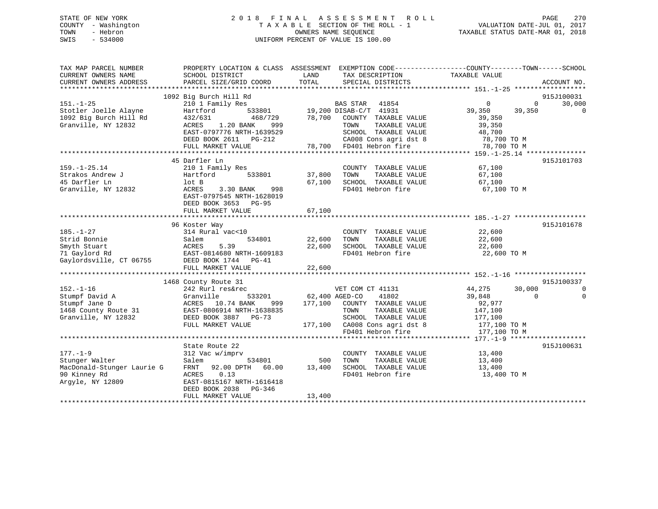# STATE OF NEW YORK 2 0 1 8 F I N A L A S S E S S M E N T R O L L PAGE 270 COUNTY - Washington T A X A B L E SECTION OF THE ROLL - 1 VALUATION DATE-JUL 01, 2017 TOWN - Hebron OWNERS NAME SEQUENCE TAXABLE STATUS DATE-MAR 01, 2018 SWIS - 534000 UNIFORM PERCENT OF VALUE IS 100.00

| TAX MAP PARCEL NUMBER<br>CURRENT OWNERS NAME                                                       | PROPERTY LOCATION & CLASS ASSESSMENT<br>SCHOOL DISTRICT                                                                                                                                        | LAND<br>TAX DESCRIPTION                                                                                                                                                                                            | EXEMPTION CODE-----------------COUNTY-------TOWN------SCHOOL<br>TAXABLE VALUE                                                                                                               |
|----------------------------------------------------------------------------------------------------|------------------------------------------------------------------------------------------------------------------------------------------------------------------------------------------------|--------------------------------------------------------------------------------------------------------------------------------------------------------------------------------------------------------------------|---------------------------------------------------------------------------------------------------------------------------------------------------------------------------------------------|
| CURRENT OWNERS ADDRESS                                                                             | PARCEL SIZE/GRID COORD                                                                                                                                                                         | TOTAL<br>SPECIAL DISTRICTS                                                                                                                                                                                         | ACCOUNT NO.                                                                                                                                                                                 |
| $151. - 1 - 25$<br>Stotler Joelle Alayne<br>1092 Big Burch Hill Rd<br>Granville, NY 12832          | 1092 Big Burch Hill Rd<br>210 1 Family Res<br>Hartford<br>533801<br>432/631<br>468/729<br>ACRES<br>1.20 BANK<br>999<br>EAST-0797776 NRTH-1639529<br>DEED BOOK 2611 PG-212<br>FULL MARKET VALUE | 41854<br>BAS STAR<br>19,200 DISAB-C/T 41931<br>78,700<br>COUNTY TAXABLE VALUE<br>TAXABLE VALUE<br>TOWN<br>SCHOOL TAXABLE VALUE<br>CA008 Cons agri dst 8<br>78,700 FD401 Hebron fire<br>*************************** | 915J100031<br>$\mathbf{0}$<br>30,000<br>0<br>39,350<br>$\mathbf 0$<br>39,350<br>39,350<br>39,350<br>48,700<br>78,700 TO M<br>78,700 TO M<br>***************** 159.-1-25.14 **************** |
| $159. - 1 - 25.14$<br>Strakos Andrew J<br>45 Darfler Ln<br>Granville, NY 12832                     | 45 Darfler Ln<br>210 1 Family Res<br>Hartford<br>533801<br>lot B<br>ACRES<br>3.30 BANK<br>998<br>EAST-0797545 NRTH-1628019<br>DEED BOOK 3653 PG-95<br>FULL MARKET VALUE                        | COUNTY TAXABLE VALUE<br>37,800<br>TAXABLE VALUE<br>TOWN<br>67,100<br>SCHOOL TAXABLE VALUE<br>FD401 Hebron fire<br>67,100                                                                                           | 915J101703<br>67,100<br>67,100<br>67,100<br>67,100 TO M                                                                                                                                     |
| $185. - 1 - 27$<br>Strid Bonnie<br>Smyth Stuart<br>71 Gaylord Rd<br>Gaylordsville, CT 06755        | 96 Koster Way<br>314 Rural vac<10<br>534801<br>Salem<br>ACRES<br>5.39<br>EAST-0814680 NRTH-1609183<br>DEED BOOK 1744 PG-41<br>FULL MARKET VALUE                                                | COUNTY TAXABLE VALUE<br>22,600<br>TAXABLE VALUE<br>TOWN<br>22,600<br>SCHOOL TAXABLE VALUE<br>FD401 Hebron fire<br>22,600                                                                                           | 915J101678<br>22,600<br>22,600<br>22,600<br>22,600 TO M                                                                                                                                     |
|                                                                                                    |                                                                                                                                                                                                |                                                                                                                                                                                                                    |                                                                                                                                                                                             |
| $152. - 1 - 16$<br>Stumpf David A<br>Stumpf Jane D<br>1468 County Route 31<br>Granville, NY 12832  | 1468 County Route 31<br>242 Rurl res&rec<br>Granville<br>533201<br>10.74 BANK<br>999<br>ACRES<br>EAST-0806914 NRTH-1638835<br>DEED BOOK 3887 PG-73<br>FULL MARKET VALUE                        | VET COM CT 41131<br>62,400 AGED-CO<br>41802<br>177,100<br>COUNTY TAXABLE VALUE<br>TOWN<br>TAXABLE VALUE<br>SCHOOL TAXABLE VALUE<br>177,100 CA008 Cons agri dst 8<br>FD401 Hebron fire                              | 915J100337<br>44,275<br>30,000<br>$\Omega$<br>39,848<br>$\Omega$<br>$\Omega$<br>92,977<br>147,100<br>177,100<br>177,100 TO M<br>177,100 TO M                                                |
| $177. - 1 - 9$<br>Stunger Walter<br>MacDonald-Stunger Laurie G<br>90 Kinney Rd<br>Argyle, NY 12809 | State Route 22<br>312 Vac w/imprv<br>534801<br>Salem<br>60.00<br>92.00 DPTH<br>FRNT<br>ACRES<br>0.13<br>EAST-0815167 NRTH-1616418<br>DEED BOOK 2038<br>PG-346<br>FULL MARKET VALUE             | COUNTY TAXABLE VALUE<br>500<br>TOWN<br>TAXABLE VALUE<br>13,400<br>SCHOOL TAXABLE VALUE<br>FD401 Hebron fire<br>13,400                                                                                              | 915J100631<br>13,400<br>13,400<br>13,400<br>13,400 TO M                                                                                                                                     |
|                                                                                                    |                                                                                                                                                                                                |                                                                                                                                                                                                                    |                                                                                                                                                                                             |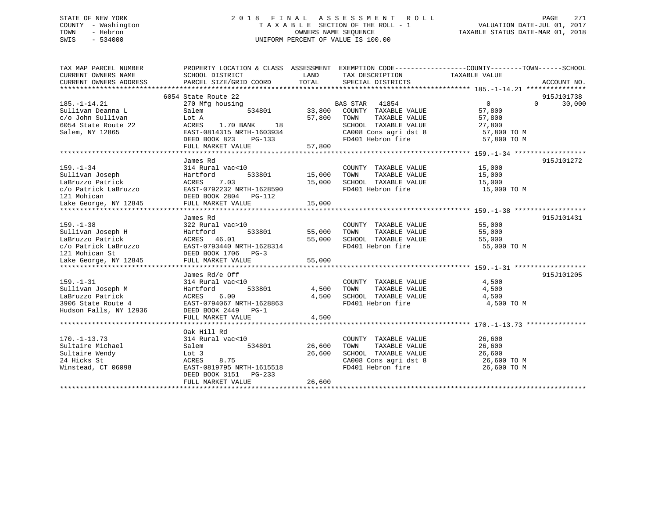# STATE OF NEW YORK 2 0 1 8 F I N A L A S S E S S M E N T R O L L PAGE 271 COUNTY - Washington T A X A B L E SECTION OF THE ROLL - 1 VALUATION DATE-JUL 01, 2017 TOWN - Hebron OWNERS NAME SEQUENCE TAXABLE STATUS DATE-MAR 01, 2018 SWIS - 534000 UNIFORM PERCENT OF VALUE IS 100.00

| TAX MAP PARCEL NUMBER                  | PROPERTY LOCATION & CLASS ASSESSMENT EXEMPTION CODE----------------COUNTY-------TOWN------SCHOOL |                  |                                                                    |                         |                    |
|----------------------------------------|--------------------------------------------------------------------------------------------------|------------------|--------------------------------------------------------------------|-------------------------|--------------------|
| CURRENT OWNERS NAME                    | SCHOOL DISTRICT                                                                                  | LAND             | TAX DESCRIPTION                                                    | TAXABLE VALUE           |                    |
| CURRENT OWNERS ADDRESS                 | PARCEL SIZE/GRID COORD                                                                           | TOTAL            | SPECIAL DISTRICTS                                                  |                         | ACCOUNT NO.        |
|                                        |                                                                                                  |                  |                                                                    |                         |                    |
|                                        | 6054 State Route 22                                                                              |                  |                                                                    |                         | 915J101738         |
| $185. - 1 - 14.21$                     | 270 Mfg housing                                                                                  |                  | BAS STAR 41854                                                     | $\overline{0}$          | 30,000<br>$\Omega$ |
| Sullivan Deanna L<br>c/o John Sullivan | Salem<br>534801                                                                                  | 33,800<br>57,800 | COUNTY TAXABLE VALUE<br>TAXABLE VALUE                              | 57,800                  |                    |
| 6054 State Route 22                    | Lot A<br>ACRES<br>18                                                                             |                  | TOWN<br>SCHOOL TAXABLE VALUE                                       | 57,800                  |                    |
| Salem, NY 12865                        | 1.70 BANK<br>EAST-0814315 NRTH-1603934                                                           |                  |                                                                    | 27,800<br>$57,800$ TO M |                    |
|                                        | DEED BOOK 823<br>$PG-133$                                                                        |                  | SCHOOL TAXABLE VALUE<br>CA008 Cons agri dst 8<br>FD401 Hebron fire | 57,800 TO M             |                    |
|                                        | FULL MARKET VALUE                                                                                | 57,800           |                                                                    |                         |                    |
|                                        |                                                                                                  |                  |                                                                    |                         |                    |
|                                        | James Rd                                                                                         |                  |                                                                    |                         | 915J101272         |
| $159. - 1 - 34$                        | 314 Rural vac<10                                                                                 |                  | COUNTY TAXABLE VALUE                                               | 15,000                  |                    |
| Sullivan Joseph                        | Hartford                                                                                         | 533801 15,000    | TAXABLE VALUE<br>TOWN                                              | 15,000                  |                    |
| LaBruzzo Patrick                       | 7.03<br>ACRES                                                                                    | 15,000           | SCHOOL TAXABLE VALUE                                               | 15,000                  |                    |
| c/o Patrick LaBruzzo                   | EAST-0792232 NRTH-1628590                                                                        |                  | FD401 Hebron fire                                                  | 15,000 TO M             |                    |
| 121 Mohican                            | DEED BOOK 2804 PG-112                                                                            |                  |                                                                    |                         |                    |
| Lake George, NY 12845                  | FULL MARKET VALUE                                                                                | 15,000           |                                                                    |                         |                    |
|                                        |                                                                                                  |                  |                                                                    |                         |                    |
|                                        | James Rd                                                                                         |                  |                                                                    |                         | 915J101431         |
| $159. - 1 - 38$                        | 322 Rural vac>10                                                                                 |                  | COUNTY TAXABLE VALUE                                               | 55,000                  |                    |
| Sullivan Joseph H                      | 533801<br>Hartford                                                                               | 55,000           | TOWN<br>TAXABLE VALUE                                              | 55,000                  |                    |
| LaBruzzo Patrick                       | ACRES 46.01                                                                                      | 55,000           | SCHOOL TAXABLE VALUE                                               | 55,000                  |                    |
|                                        |                                                                                                  |                  | FD401 Hebron fire                                                  | 55,000 TO M             |                    |
|                                        |                                                                                                  |                  |                                                                    |                         |                    |
|                                        |                                                                                                  | 55,000           |                                                                    |                         |                    |
|                                        |                                                                                                  |                  |                                                                    |                         |                    |
|                                        | James Rd/e Off                                                                                   |                  |                                                                    |                         | 915J101205         |
| $159. - 1 - 31$                        | 314 Rural vac<10                                                                                 |                  | COUNTY TAXABLE VALUE                                               | 4,500                   |                    |
| Sullivan Joseph M                      | Hartford<br>533801                                                                               | 4,500            | TAXABLE VALUE<br>TOWN                                              | 4,500                   |                    |
| LaBruzzo Patrick                       | 6.00<br>ACRES                                                                                    | 4,500            | SCHOOL TAXABLE VALUE 4,500                                         |                         |                    |
| 3906 State Route 4                     | EAST-0794067 NRTH-1628863                                                                        |                  | FD401 Hebron fire                                                  | 4,500 TO M              |                    |
| Hudson Falls, NY 12936                 | DEED BOOK 2449 PG-1                                                                              |                  |                                                                    |                         |                    |
|                                        | FULL MARKET VALUE                                                                                | 4,500            |                                                                    |                         |                    |
|                                        |                                                                                                  |                  |                                                                    |                         |                    |
|                                        | Oak Hill Rd                                                                                      |                  |                                                                    |                         |                    |
| $170. - 1 - 13.73$                     | 314 Rural vac<10                                                                                 |                  | COUNTY TAXABLE VALUE                                               | 26,600                  |                    |
| Sultaire Michael                       | 534801<br>Salem                                                                                  | 26,600           | TAXABLE VALUE<br>TOWN                                              | 26,600                  |                    |
| Sultaire Wendy                         | Lot 3                                                                                            | 26,600           | SCHOOL TAXABLE VALUE                                               | 26,600                  |                    |
| 24 Hicks St                            | 8.75<br>ACRES                                                                                    |                  | CA008 Cons agri dst 8                                              | 26,600 TO M             |                    |
| Winstead, CT 06098                     | EAST-0819795 NRTH-1615518                                                                        |                  | FD401 Hebron fire                                                  | 26,600 TO M             |                    |
|                                        | DEED BOOK 3151<br>PG-233                                                                         |                  |                                                                    |                         |                    |
|                                        | FULL MARKET VALUE                                                                                | 26,600           |                                                                    |                         |                    |
|                                        |                                                                                                  |                  |                                                                    |                         |                    |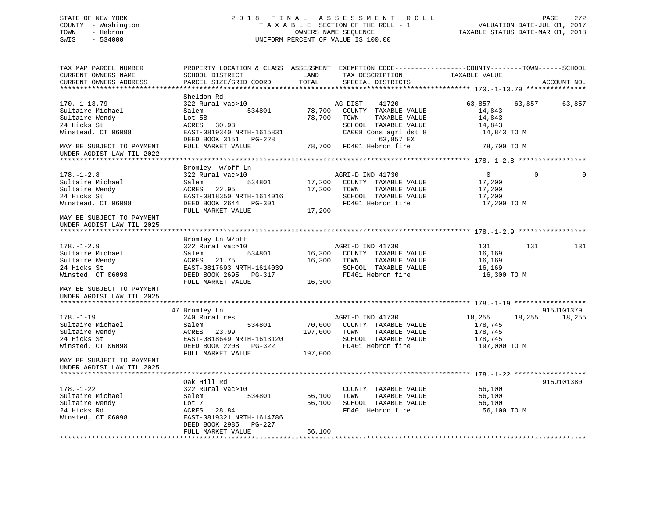# STATE OF NEW YORK 2 0 1 8 F I N A L A S S E S S M E N T R O L L PAGE 272 COUNTY - Washington T A X A B L E SECTION OF THE ROLL - 1 VALUATION DATE-JUL 01, 2017 TOWN - Hebron OWNERS NAME SEQUENCE TAXABLE STATUS DATE-MAR 01, 2018 SWIS - 534000 UNIFORM PERCENT OF VALUE IS 100.00

| TAX MAP PARCEL NUMBER<br>CURRENT OWNERS NAME<br>CURRENT OWNERS ADDRESS                                                 | PROPERTY LOCATION & CLASS ASSESSMENT EXEMPTION CODE---------------COUNTY-------TOWN-----SCHOOL<br>SCHOOL DISTRICT<br>PARCEL SIZE/GRID COORD       | LAND<br>TOTAL      | TAX DESCRIPTION<br>SPECIAL DISTRICTS                                                                                            | TAXABLE VALUE                                                                                                                                                                                                                                                                |             | ACCOUNT NO. |
|------------------------------------------------------------------------------------------------------------------------|---------------------------------------------------------------------------------------------------------------------------------------------------|--------------------|---------------------------------------------------------------------------------------------------------------------------------|------------------------------------------------------------------------------------------------------------------------------------------------------------------------------------------------------------------------------------------------------------------------------|-------------|-------------|
| ******************************                                                                                         |                                                                                                                                                   |                    |                                                                                                                                 |                                                                                                                                                                                                                                                                              |             |             |
| $170. - 1 - 13.79$<br>Sultaire Michael<br>Sultaire Wendy<br>24 Hicks St<br>Winstead, CT 06098                          | Sheldon Rd<br>322 Rural vac>10<br>534801<br>Salem<br>Lot 5B<br>ACRES 30.93<br>EAST-0819340 NRTH-1615831<br>DEED BOOK 3151 PG-228                  | 78,700<br>78,700   | AG DIST<br>41720<br>COUNTY TAXABLE VALUE<br>TOWN<br>TAXABLE VALUE<br>SCHOOL TAXABLE VALUE<br>CA008 Cons agri dst 8<br>63,857 EX | 63,857<br>14,843<br>14,843<br>14,843<br>14,843 TO M                                                                                                                                                                                                                          | 63,857      | 63,857      |
| MAY BE SUBJECT TO PAYMENT<br>UNDER AGDIST LAW TIL 2022                                                                 | FULL MARKET VALUE                                                                                                                                 |                    | 78,700 FD401 Hebron fire                                                                                                        | 78,700 TO M                                                                                                                                                                                                                                                                  |             |             |
|                                                                                                                        |                                                                                                                                                   |                    |                                                                                                                                 |                                                                                                                                                                                                                                                                              |             |             |
| $178. - 1 - 2.8$<br>Sultaire Michael<br>Sultaire Wendy<br>24 Hicks St<br>Winstead, CT 06098                            | Bromley w/off Ln<br>322 Rural vac>10<br>Salem<br>534801<br>ACRES 22.95<br>EAST-0818350 NRTH-1614016<br>DEED BOOK 2644 PG-301<br>FULL MARKET VALUE | 17,200<br>17,200   | AGRI-D IND 41730<br>17,200 COUNTY TAXABLE VALUE<br>TOWN<br>TAXABLE VALUE<br>SCHOOL TAXABLE VALUE<br>FD401 Hebron fire           | $\overline{0}$<br>17,200<br>17,200<br>17,200<br>17,200 TO M                                                                                                                                                                                                                  | $\mathbf 0$ |             |
| MAY BE SUBJECT TO PAYMENT                                                                                              |                                                                                                                                                   |                    |                                                                                                                                 |                                                                                                                                                                                                                                                                              |             |             |
| UNDER AGDIST LAW TIL 2025                                                                                              |                                                                                                                                                   |                    |                                                                                                                                 |                                                                                                                                                                                                                                                                              |             |             |
|                                                                                                                        | Bromley Ln W/off                                                                                                                                  |                    |                                                                                                                                 |                                                                                                                                                                                                                                                                              |             |             |
| $178. - 1 - 2.9$<br>Sultaire Michael<br>Sultaire Wendy<br>24 Hicks St<br>Winsted, CT 06098                             | 322 Rural vac>10<br>534801<br>Salem<br>ACRES<br>21.75<br>EAST-0817693 NRTH-1614039<br>DEED BOOK 2695 PG-317<br>FULL MARKET VALUE                  | 16,300<br>16,300   | AGRI-D IND 41730<br>16,300 COUNTY TAXABLE VALUE<br>TOWN<br>TAXABLE VALUE<br>SCHOOL TAXABLE VALUE<br>FD401 Hebron fire           | 131 — 131 — 131 — 131 — 131 — 131 — 131 — 131 — 131 — 131 — 132 — 132 — 132 — 132 — 132 — 132 — 132 — 132 — 132 — 132 — 132 — 132 — 132 — 132 — 132 — 133 — 133 — 133 — 133 — 133 — 133 — 133 — 133 — 133 — 133 — 133 — 133 — 1<br>16,169<br>16,169<br>16,169<br>16,300 TO M | 131         | 131         |
| MAY BE SUBJECT TO PAYMENT<br>UNDER AGDIST LAW TIL 2025                                                                 |                                                                                                                                                   |                    |                                                                                                                                 |                                                                                                                                                                                                                                                                              |             |             |
|                                                                                                                        |                                                                                                                                                   |                    |                                                                                                                                 |                                                                                                                                                                                                                                                                              |             | 915J101379  |
| $178. - 1 - 19$<br>Sultaire Michael<br>Sultaire Wendy<br>24 Hicks St<br>Winsted, CT 06098<br>MAY BE SUBJECT TO PAYMENT | 47 Bromley Ln<br>240 Rural res<br>Salem<br>534801<br>ACRES<br>23.99<br>EAST-0818649 NRTH-1613120<br>DEED BOOK 2208 PG-322<br>FULL MARKET VALUE    | 197,000<br>197,000 | AGRI-D IND 41730<br>70,000 COUNTY TAXABLE VALUE<br>TAXABLE VALUE<br>TOWN<br>SCHOOL TAXABLE VALUE<br>FD401 Hebron fire           | 18,255<br>178,745<br>178,745<br>178,745<br>197,000 TO M                                                                                                                                                                                                                      | 18,255      | 18,255      |
| UNDER AGDIST LAW TIL 2025                                                                                              |                                                                                                                                                   |                    |                                                                                                                                 |                                                                                                                                                                                                                                                                              |             |             |
|                                                                                                                        |                                                                                                                                                   |                    |                                                                                                                                 |                                                                                                                                                                                                                                                                              |             |             |
| $178. - 1 - 22$<br>Sultaire Michael<br>Sultaire Wendy<br>24 Hicks Rd<br>Winsted, CT 06098                              | Oak Hill Rd<br>322 Rural vac>10<br>534801<br>Salem<br>Lot 7<br>ACRES 28.84<br>EAST-0819321 NRTH-1614786<br>DEED BOOK 2985 PG-227                  | 56,100<br>56,100   | COUNTY TAXABLE VALUE<br>TOWN<br>TAXABLE VALUE<br>SCHOOL TAXABLE VALUE<br>FD401 Hebron fire                                      | 56,100<br>56,100<br>56,100<br>56,100 TO M                                                                                                                                                                                                                                    |             | 915J101380  |
|                                                                                                                        | FULL MARKET VALUE                                                                                                                                 | 56,100             |                                                                                                                                 |                                                                                                                                                                                                                                                                              |             |             |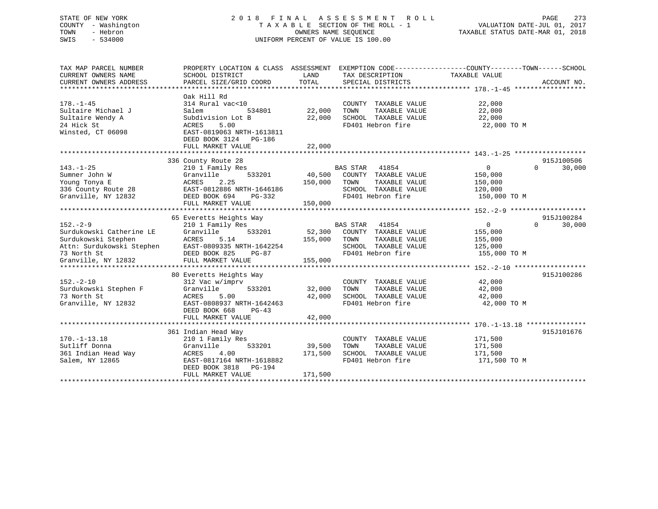# STATE OF NEW YORK 2 0 1 8 F I N A L A S S E S S M E N T R O L L PAGE 273 COUNTY - Washington T A X A B L E SECTION OF THE ROLL - 1 VALUATION DATE-JUL 01, 2017 TOWN - Hebron OWNERS NAME SEQUENCE TAXABLE STATUS DATE-MAR 01, 2018 SWIS - 534000 UNIFORM PERCENT OF VALUE IS 100.00

| TAX MAP PARCEL NUMBER<br>CURRENT OWNERS NAME<br>CURRENT OWNERS ADDRESS                                                              | PROPERTY LOCATION & CLASS ASSESSMENT<br>SCHOOL DISTRICT<br>PARCEL SIZE/GRID COORD                                                                                   | LAND<br>TOTAL                | TAX DESCRIPTION<br>SPECIAL DISTRICTS                                                                                   | EXEMPTION CODE----------------COUNTY-------TOWN-----SCHOOL<br>TAXABLE VALUE | ACCOUNT NO.          |
|-------------------------------------------------------------------------------------------------------------------------------------|---------------------------------------------------------------------------------------------------------------------------------------------------------------------|------------------------------|------------------------------------------------------------------------------------------------------------------------|-----------------------------------------------------------------------------|----------------------|
| $178. - 1 - 45$<br>Sultaire Michael J<br>Sultaire Wendy A<br>24 Hick St<br>Winsted, CT 06098                                        | Oak Hill Rd<br>314 Rural vac<10<br>Salem<br>534801<br>Subdivision Lot B<br>5.00<br>ACRES<br>EAST-0819063 NRTH-1613811<br>DEED BOOK 3124 PG-186<br>FULL MARKET VALUE | 22,000<br>22,000<br>22,000   | COUNTY TAXABLE VALUE<br>TAXABLE VALUE<br>TOWN<br>SCHOOL TAXABLE VALUE<br>FD401 Hebron fire                             | 22,000<br>22,000<br>22,000<br>22,000 TO M                                   |                      |
| $143. - 1 - 25$<br>Sumner John W<br>Young Tonya E<br>336 County Route 28<br>Granville, NY 12832                                     | 336 County Route 28<br>210 1 Family Res<br>533201<br>Granville<br>2.25<br>ACRES<br>EAST-0812886 NRTH-1646186<br>DEED BOOK 694<br>PG-332<br>FULL MARKET VALUE        | 40,500<br>150,000<br>150,000 | <b>BAS STAR</b><br>41854<br>COUNTY TAXABLE VALUE<br>TAXABLE VALUE<br>TOWN<br>SCHOOL TAXABLE VALUE<br>FD401 Hebron fire | $\overline{0}$<br>$\Omega$<br>150,000<br>150,000<br>120,000<br>150,000 TO M | 915J100506<br>30,000 |
| $152 - 2 - 9$<br>Surdukowski Catherine LE<br>Surdukowski Stephen<br>Attn: Surdukowski Stephen<br>73 North St<br>Granville, NY 12832 | 65 Everetts Heights Way<br>210 1 Family Res<br>Granville<br>533201<br>5.14<br>ACRES<br>EAST-0809335 NRTH-1642254<br>DEED BOOK 825<br>$PG-87$<br>FULL MARKET VALUE   | 52,300<br>155,000<br>155,000 | BAS STAR<br>41854<br>COUNTY TAXABLE VALUE<br>TOWN<br>TAXABLE VALUE<br>SCHOOL TAXABLE VALUE<br>FD401 Hebron fire        | $\overline{0}$<br>$\Omega$<br>155,000<br>155,000<br>125,000<br>155,000 TO M | 915J100284<br>30,000 |
| $152. - 2 - 10$<br>Surdukowski Stephen F<br>73 North St<br>Granville, NY 12832                                                      | 80 Everetts Heights Way<br>312 Vac w/imprv<br>Granville<br>533201<br>5.00<br>ACRES<br>EAST-0808937 NRTH-1642463<br>DEED BOOK 668<br>$PG-43$<br>FULL MARKET VALUE    | 32,000<br>42,000<br>42,000   | COUNTY TAXABLE VALUE<br>TAXABLE VALUE<br>TOWN<br>SCHOOL TAXABLE VALUE<br>FD401 Hebron fire                             | 42,000<br>42,000<br>42,000<br>42,000 TO M                                   | 915J100286           |
| $170. - 1 - 13.18$<br>Sutliff Donna<br>361 Indian Head Way<br>Salem, NY 12865                                                       | 361 Indian Head Way<br>210 1 Family Res<br>Granville<br>533201<br>ACRES<br>4.00<br>EAST-0817164 NRTH-1618882<br>DEED BOOK 3818<br>PG-194<br>FULL MARKET VALUE       | 39,500<br>171,500<br>171,500 | COUNTY TAXABLE VALUE<br>TOWN<br>TAXABLE VALUE<br>SCHOOL TAXABLE VALUE<br>FD401 Hebron fire                             | 171,500<br>171,500<br>171,500<br>171,500 TO M                               | 915J101676           |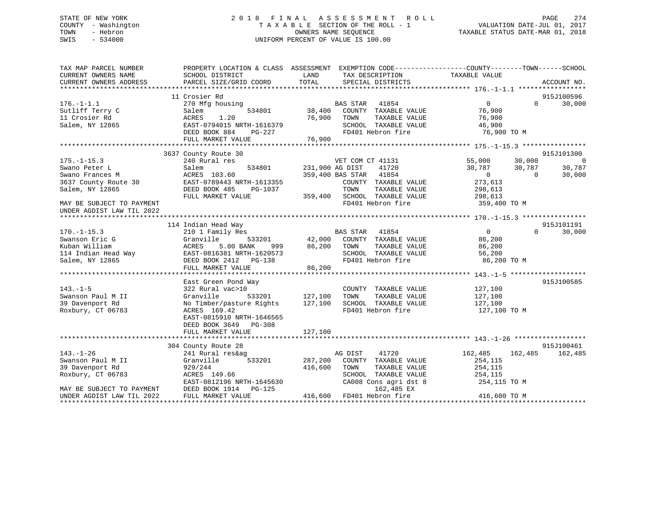# STATE OF NEW YORK 2 0 1 8 F I N A L A S S E S S M E N T R O L L PAGE 274 COUNTY - Washington T A X A B L E SECTION OF THE ROLL - 1 VALUATION DATE-JUL 01, 2017 TOWN - Hebron **CONNERS NAME SEQUENCE** TAXABLE STATUS DATE-MAR 01, 2018 SWIS - 534000 UNIFORM PERCENT OF VALUE IS 100.00

| TOTAL<br>PARCEL SIZE/GRID COORD<br>CURRENT OWNERS ADDRESS<br>SPECIAL DISTRICTS<br>ACCOUNT NO.<br>915J100596<br>11 Crosier Rd<br>$\overline{0}$<br>$\Omega$<br>30,000<br>$176. - 1 - 1.1$<br>BAS STAR 41854<br>270 Mfg housing<br>38,400<br>76,900<br>Sutliff Terry C<br>534801<br>COUNTY TAXABLE VALUE<br>Salem<br>76,900 TOWN<br>11 Crosier Rd<br>1.20<br>TAXABLE VALUE<br>76,900<br>ACRES<br>$Salem, NY 12865$<br>$SEB = 227$<br>EAST-0794015 NRTH-1616379<br>DEED BOOK 884 PG-227<br>FULL MARKET VALUE 76,900<br>FULL MARKET VALUE 76,900<br>TULL MARKET VALUE 76,900<br>THE 76,900<br>TO 11 Hebron fire 195.-1-15.3 ***************************<br>3637 County Route 30<br>915J101300<br>240 Rural res<br>55,000<br>30,000<br>$\overline{\phantom{0}}$<br>$175. - 1 - 15.3$<br>VET COM CT 41131<br>Swano Peter L<br>534801 231,900 AG DIST<br>41720<br>30,787<br>Salem<br>30,787<br>30,787<br>359,400 BAS STAR 41854<br>Swano Frances M<br>ACRES 103.60<br>$\overline{0}$<br>$\sim$ 0<br>30,000<br>3637 County Route 30<br>EAST-0789443 NRTH-1613355<br>COUNTY TAXABLE VALUE<br>273,613<br>Salem, NY 12865<br>DEED BOOK 485<br>PG-1037<br>TOWN<br>TAXABLE VALUE<br>298,613<br>359,400 SCHOOL TAXABLE VALUE<br>FULL MARKET VALUE<br>298,613<br>FD401 Hebron fire<br>359,400 TO M<br>MAY BE SUBJECT TO PAYMENT<br>UNDER AGDIST LAW TIL 2022<br>114 Indian Head Way<br>915J101191<br><sup>3</sup><br>533201   42,000   COUNTY TAXABLE VALUE<br>$\overline{0}$<br>$\Omega$<br>30,000<br>$170. - 1 - 15.3$<br>210 1 Family Res<br>Swanson Eric G<br>Granville<br>86,200<br>999<br>86,200 TOWN<br>Kuban William<br>ACRES<br>5.00 BANK<br>TAXABLE VALUE<br>86,200<br>Kuban William<br>114 Indian Head Way<br>Salem, NY 12865<br>SCHOOL TAXABLE VALUE<br>EAST-0816381 NRTH-1620573<br>DEED BOOK 2412 PG-138<br>56,200<br>FD401 Hebron fire<br>86,200 TO M<br>DEED BOOK 2412    PG-138<br>FULL MARKET VALUE<br>86,200 |
|------------------------------------------------------------------------------------------------------------------------------------------------------------------------------------------------------------------------------------------------------------------------------------------------------------------------------------------------------------------------------------------------------------------------------------------------------------------------------------------------------------------------------------------------------------------------------------------------------------------------------------------------------------------------------------------------------------------------------------------------------------------------------------------------------------------------------------------------------------------------------------------------------------------------------------------------------------------------------------------------------------------------------------------------------------------------------------------------------------------------------------------------------------------------------------------------------------------------------------------------------------------------------------------------------------------------------------------------------------------------------------------------------------------------------------------------------------------------------------------------------------------------------------------------------------------------------------------------------------------------------------------------------------------------------------------------------------------------------------------------------------------------------------------------------------------------------------------------------------------------------------------------------------------|
|                                                                                                                                                                                                                                                                                                                                                                                                                                                                                                                                                                                                                                                                                                                                                                                                                                                                                                                                                                                                                                                                                                                                                                                                                                                                                                                                                                                                                                                                                                                                                                                                                                                                                                                                                                                                                                                                                                                  |
|                                                                                                                                                                                                                                                                                                                                                                                                                                                                                                                                                                                                                                                                                                                                                                                                                                                                                                                                                                                                                                                                                                                                                                                                                                                                                                                                                                                                                                                                                                                                                                                                                                                                                                                                                                                                                                                                                                                  |
|                                                                                                                                                                                                                                                                                                                                                                                                                                                                                                                                                                                                                                                                                                                                                                                                                                                                                                                                                                                                                                                                                                                                                                                                                                                                                                                                                                                                                                                                                                                                                                                                                                                                                                                                                                                                                                                                                                                  |
|                                                                                                                                                                                                                                                                                                                                                                                                                                                                                                                                                                                                                                                                                                                                                                                                                                                                                                                                                                                                                                                                                                                                                                                                                                                                                                                                                                                                                                                                                                                                                                                                                                                                                                                                                                                                                                                                                                                  |
|                                                                                                                                                                                                                                                                                                                                                                                                                                                                                                                                                                                                                                                                                                                                                                                                                                                                                                                                                                                                                                                                                                                                                                                                                                                                                                                                                                                                                                                                                                                                                                                                                                                                                                                                                                                                                                                                                                                  |
|                                                                                                                                                                                                                                                                                                                                                                                                                                                                                                                                                                                                                                                                                                                                                                                                                                                                                                                                                                                                                                                                                                                                                                                                                                                                                                                                                                                                                                                                                                                                                                                                                                                                                                                                                                                                                                                                                                                  |
|                                                                                                                                                                                                                                                                                                                                                                                                                                                                                                                                                                                                                                                                                                                                                                                                                                                                                                                                                                                                                                                                                                                                                                                                                                                                                                                                                                                                                                                                                                                                                                                                                                                                                                                                                                                                                                                                                                                  |
|                                                                                                                                                                                                                                                                                                                                                                                                                                                                                                                                                                                                                                                                                                                                                                                                                                                                                                                                                                                                                                                                                                                                                                                                                                                                                                                                                                                                                                                                                                                                                                                                                                                                                                                                                                                                                                                                                                                  |
|                                                                                                                                                                                                                                                                                                                                                                                                                                                                                                                                                                                                                                                                                                                                                                                                                                                                                                                                                                                                                                                                                                                                                                                                                                                                                                                                                                                                                                                                                                                                                                                                                                                                                                                                                                                                                                                                                                                  |
|                                                                                                                                                                                                                                                                                                                                                                                                                                                                                                                                                                                                                                                                                                                                                                                                                                                                                                                                                                                                                                                                                                                                                                                                                                                                                                                                                                                                                                                                                                                                                                                                                                                                                                                                                                                                                                                                                                                  |
|                                                                                                                                                                                                                                                                                                                                                                                                                                                                                                                                                                                                                                                                                                                                                                                                                                                                                                                                                                                                                                                                                                                                                                                                                                                                                                                                                                                                                                                                                                                                                                                                                                                                                                                                                                                                                                                                                                                  |
|                                                                                                                                                                                                                                                                                                                                                                                                                                                                                                                                                                                                                                                                                                                                                                                                                                                                                                                                                                                                                                                                                                                                                                                                                                                                                                                                                                                                                                                                                                                                                                                                                                                                                                                                                                                                                                                                                                                  |
|                                                                                                                                                                                                                                                                                                                                                                                                                                                                                                                                                                                                                                                                                                                                                                                                                                                                                                                                                                                                                                                                                                                                                                                                                                                                                                                                                                                                                                                                                                                                                                                                                                                                                                                                                                                                                                                                                                                  |
|                                                                                                                                                                                                                                                                                                                                                                                                                                                                                                                                                                                                                                                                                                                                                                                                                                                                                                                                                                                                                                                                                                                                                                                                                                                                                                                                                                                                                                                                                                                                                                                                                                                                                                                                                                                                                                                                                                                  |
|                                                                                                                                                                                                                                                                                                                                                                                                                                                                                                                                                                                                                                                                                                                                                                                                                                                                                                                                                                                                                                                                                                                                                                                                                                                                                                                                                                                                                                                                                                                                                                                                                                                                                                                                                                                                                                                                                                                  |
|                                                                                                                                                                                                                                                                                                                                                                                                                                                                                                                                                                                                                                                                                                                                                                                                                                                                                                                                                                                                                                                                                                                                                                                                                                                                                                                                                                                                                                                                                                                                                                                                                                                                                                                                                                                                                                                                                                                  |
|                                                                                                                                                                                                                                                                                                                                                                                                                                                                                                                                                                                                                                                                                                                                                                                                                                                                                                                                                                                                                                                                                                                                                                                                                                                                                                                                                                                                                                                                                                                                                                                                                                                                                                                                                                                                                                                                                                                  |
|                                                                                                                                                                                                                                                                                                                                                                                                                                                                                                                                                                                                                                                                                                                                                                                                                                                                                                                                                                                                                                                                                                                                                                                                                                                                                                                                                                                                                                                                                                                                                                                                                                                                                                                                                                                                                                                                                                                  |
|                                                                                                                                                                                                                                                                                                                                                                                                                                                                                                                                                                                                                                                                                                                                                                                                                                                                                                                                                                                                                                                                                                                                                                                                                                                                                                                                                                                                                                                                                                                                                                                                                                                                                                                                                                                                                                                                                                                  |
|                                                                                                                                                                                                                                                                                                                                                                                                                                                                                                                                                                                                                                                                                                                                                                                                                                                                                                                                                                                                                                                                                                                                                                                                                                                                                                                                                                                                                                                                                                                                                                                                                                                                                                                                                                                                                                                                                                                  |
|                                                                                                                                                                                                                                                                                                                                                                                                                                                                                                                                                                                                                                                                                                                                                                                                                                                                                                                                                                                                                                                                                                                                                                                                                                                                                                                                                                                                                                                                                                                                                                                                                                                                                                                                                                                                                                                                                                                  |
|                                                                                                                                                                                                                                                                                                                                                                                                                                                                                                                                                                                                                                                                                                                                                                                                                                                                                                                                                                                                                                                                                                                                                                                                                                                                                                                                                                                                                                                                                                                                                                                                                                                                                                                                                                                                                                                                                                                  |
|                                                                                                                                                                                                                                                                                                                                                                                                                                                                                                                                                                                                                                                                                                                                                                                                                                                                                                                                                                                                                                                                                                                                                                                                                                                                                                                                                                                                                                                                                                                                                                                                                                                                                                                                                                                                                                                                                                                  |
|                                                                                                                                                                                                                                                                                                                                                                                                                                                                                                                                                                                                                                                                                                                                                                                                                                                                                                                                                                                                                                                                                                                                                                                                                                                                                                                                                                                                                                                                                                                                                                                                                                                                                                                                                                                                                                                                                                                  |
|                                                                                                                                                                                                                                                                                                                                                                                                                                                                                                                                                                                                                                                                                                                                                                                                                                                                                                                                                                                                                                                                                                                                                                                                                                                                                                                                                                                                                                                                                                                                                                                                                                                                                                                                                                                                                                                                                                                  |
|                                                                                                                                                                                                                                                                                                                                                                                                                                                                                                                                                                                                                                                                                                                                                                                                                                                                                                                                                                                                                                                                                                                                                                                                                                                                                                                                                                                                                                                                                                                                                                                                                                                                                                                                                                                                                                                                                                                  |
|                                                                                                                                                                                                                                                                                                                                                                                                                                                                                                                                                                                                                                                                                                                                                                                                                                                                                                                                                                                                                                                                                                                                                                                                                                                                                                                                                                                                                                                                                                                                                                                                                                                                                                                                                                                                                                                                                                                  |
| 915J100585<br>East Green Pond Way                                                                                                                                                                                                                                                                                                                                                                                                                                                                                                                                                                                                                                                                                                                                                                                                                                                                                                                                                                                                                                                                                                                                                                                                                                                                                                                                                                                                                                                                                                                                                                                                                                                                                                                                                                                                                                                                                |
| 127,100<br>$143. - 1 - 5$                                                                                                                                                                                                                                                                                                                                                                                                                                                                                                                                                                                                                                                                                                                                                                                                                                                                                                                                                                                                                                                                                                                                                                                                                                                                                                                                                                                                                                                                                                                                                                                                                                                                                                                                                                                                                                                                                        |
| 322 Rural vac>10<br>COUNTY TAXABLE VALUE                                                                                                                                                                                                                                                                                                                                                                                                                                                                                                                                                                                                                                                                                                                                                                                                                                                                                                                                                                                                                                                                                                                                                                                                                                                                                                                                                                                                                                                                                                                                                                                                                                                                                                                                                                                                                                                                         |
| 533201 127,100<br>Swanson Paul M II<br>TAXABLE VALUE<br>Granville<br>TOWN<br>127,100                                                                                                                                                                                                                                                                                                                                                                                                                                                                                                                                                                                                                                                                                                                                                                                                                                                                                                                                                                                                                                                                                                                                                                                                                                                                                                                                                                                                                                                                                                                                                                                                                                                                                                                                                                                                                             |
| 39 Davenport Rd<br>127,100<br>SCHOOL TAXABLE VALUE<br>127,100<br>No Timber/pasture Rights                                                                                                                                                                                                                                                                                                                                                                                                                                                                                                                                                                                                                                                                                                                                                                                                                                                                                                                                                                                                                                                                                                                                                                                                                                                                                                                                                                                                                                                                                                                                                                                                                                                                                                                                                                                                                        |
| Roxbury, CT 06783<br>FD401 Hebron fire<br>127,100 TO M<br>ACRES 169.42                                                                                                                                                                                                                                                                                                                                                                                                                                                                                                                                                                                                                                                                                                                                                                                                                                                                                                                                                                                                                                                                                                                                                                                                                                                                                                                                                                                                                                                                                                                                                                                                                                                                                                                                                                                                                                           |
| EAST-0815910 NRTH-1646565                                                                                                                                                                                                                                                                                                                                                                                                                                                                                                                                                                                                                                                                                                                                                                                                                                                                                                                                                                                                                                                                                                                                                                                                                                                                                                                                                                                                                                                                                                                                                                                                                                                                                                                                                                                                                                                                                        |
| DEED BOOK 3649 PG-308                                                                                                                                                                                                                                                                                                                                                                                                                                                                                                                                                                                                                                                                                                                                                                                                                                                                                                                                                                                                                                                                                                                                                                                                                                                                                                                                                                                                                                                                                                                                                                                                                                                                                                                                                                                                                                                                                            |
| 127,100<br>FULL MARKET VALUE                                                                                                                                                                                                                                                                                                                                                                                                                                                                                                                                                                                                                                                                                                                                                                                                                                                                                                                                                                                                                                                                                                                                                                                                                                                                                                                                                                                                                                                                                                                                                                                                                                                                                                                                                                                                                                                                                     |
|                                                                                                                                                                                                                                                                                                                                                                                                                                                                                                                                                                                                                                                                                                                                                                                                                                                                                                                                                                                                                                                                                                                                                                                                                                                                                                                                                                                                                                                                                                                                                                                                                                                                                                                                                                                                                                                                                                                  |
| 304 County Route 28<br>915J100461                                                                                                                                                                                                                                                                                                                                                                                                                                                                                                                                                                                                                                                                                                                                                                                                                                                                                                                                                                                                                                                                                                                                                                                                                                                                                                                                                                                                                                                                                                                                                                                                                                                                                                                                                                                                                                                                                |
| $143. - 1 - 26$<br>241 Rural res&ag<br>AG DIST<br>41720<br>162,485<br>162,485 162,485                                                                                                                                                                                                                                                                                                                                                                                                                                                                                                                                                                                                                                                                                                                                                                                                                                                                                                                                                                                                                                                                                                                                                                                                                                                                                                                                                                                                                                                                                                                                                                                                                                                                                                                                                                                                                            |
| 533201<br>Swanson Paul M II<br>Granville<br>287,200<br>COUNTY TAXABLE VALUE<br>254,115                                                                                                                                                                                                                                                                                                                                                                                                                                                                                                                                                                                                                                                                                                                                                                                                                                                                                                                                                                                                                                                                                                                                                                                                                                                                                                                                                                                                                                                                                                                                                                                                                                                                                                                                                                                                                           |
| 39 Davenport Rd<br>929/244<br>416,600<br>TAXABLE VALUE<br>254,115<br>TOWN                                                                                                                                                                                                                                                                                                                                                                                                                                                                                                                                                                                                                                                                                                                                                                                                                                                                                                                                                                                                                                                                                                                                                                                                                                                                                                                                                                                                                                                                                                                                                                                                                                                                                                                                                                                                                                        |
| 254,115<br>Roxbury, CT 06783<br>SCHOOL TAXABLE VALUE<br>ACRES 149.66                                                                                                                                                                                                                                                                                                                                                                                                                                                                                                                                                                                                                                                                                                                                                                                                                                                                                                                                                                                                                                                                                                                                                                                                                                                                                                                                                                                                                                                                                                                                                                                                                                                                                                                                                                                                                                             |
| EAST-0812196 NRTH-1645630<br>CA008 Cons agri dst 8<br>254,115 TO M                                                                                                                                                                                                                                                                                                                                                                                                                                                                                                                                                                                                                                                                                                                                                                                                                                                                                                                                                                                                                                                                                                                                                                                                                                                                                                                                                                                                                                                                                                                                                                                                                                                                                                                                                                                                                                               |
| DEED BOOK 1914    PG-125<br>162,485 EX<br>MAY BE SUBJECT TO PAYMENT                                                                                                                                                                                                                                                                                                                                                                                                                                                                                                                                                                                                                                                                                                                                                                                                                                                                                                                                                                                                                                                                                                                                                                                                                                                                                                                                                                                                                                                                                                                                                                                                                                                                                                                                                                                                                                              |
| 416,600 FD401 Hebron fire<br>416,600 TO M<br>UNDER AGDIST LAW TIL 2022<br>FULL MARKET VALUE                                                                                                                                                                                                                                                                                                                                                                                                                                                                                                                                                                                                                                                                                                                                                                                                                                                                                                                                                                                                                                                                                                                                                                                                                                                                                                                                                                                                                                                                                                                                                                                                                                                                                                                                                                                                                      |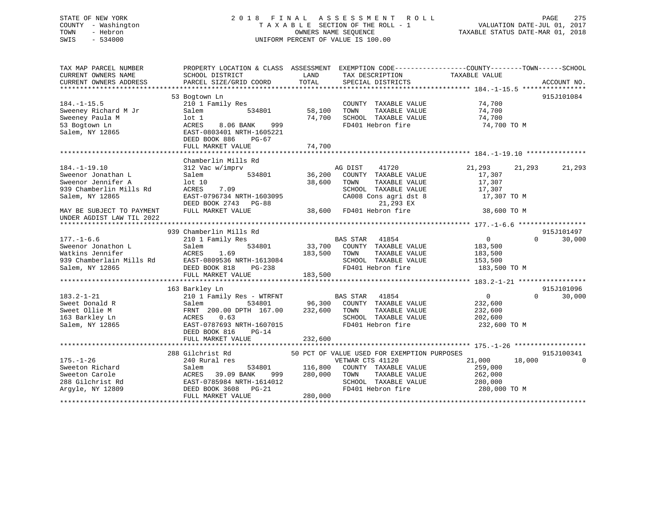# STATE OF NEW YORK 2 0 1 8 F I N A L A S S E S S M E N T R O L L PAGE 275 COUNTY - Washington T A X A B L E SECTION OF THE ROLL - 1 VALUATION DATE-JUL 01, 2017 TOWN - Hebron OWNERS NAME SEQUENCE TAXABLE STATUS DATE-MAR 01, 2018 SWIS - 534000 UNIFORM PERCENT OF VALUE IS 100.00

| TAX MAP PARCEL NUMBER<br>CURRENT OWNERS NAME<br>CURRENT OWNERS ADDRESS                                                                                                 | SCHOOL DISTRICT<br>PARCEL SIZE/GRID COORD                                                                                                                                                | LAND<br>TAX DESCRIPTION<br>TOTAL<br>SPECIAL DISTRICTS                                                                                                                                          | PROPERTY LOCATION & CLASS ASSESSMENT EXEMPTION CODE----------------COUNTY-------TOWN-----SCHOOL<br>TAXABLE VALUE<br>ACCOUNT NO. |
|------------------------------------------------------------------------------------------------------------------------------------------------------------------------|------------------------------------------------------------------------------------------------------------------------------------------------------------------------------------------|------------------------------------------------------------------------------------------------------------------------------------------------------------------------------------------------|---------------------------------------------------------------------------------------------------------------------------------|
| $184. - 1 - 15.5$<br>Sweeney Richard M Jr<br>Sweeney Paula M<br>53 Bogtown Ln<br>Salem, NY 12865                                                                       | 53 Bogtown Ln<br>210 1 Family Res<br>Salem<br>534801<br>$1$ ot $1$<br>ACRES<br>8.06 BANK<br>999<br>EAST-0803401 NRTH-1605221<br>DEED BOOK 886<br>$PG-67$<br>FULL MARKET VALUE            | COUNTY TAXABLE VALUE<br>58,100<br>TOWN<br>TAXABLE VALUE<br>74,700<br>SCHOOL TAXABLE VALUE<br>FD401 Hebron fire<br>74,700                                                                       | 915J101084<br>74,700<br>74,700<br>74,700<br>74,700 TO M                                                                         |
| $184. - 1 - 19.10$<br>Sweenor Jonathan L<br>Sweenor Jennifer A<br>939 Chamberlin Mills Rd<br>Salem, NY 12865<br>MAY BE SUBJECT TO PAYMENT<br>UNDER AGDIST LAW TIL 2022 | Chamberlin Mills Rd<br>312 Vac w/imprv<br>534801<br>Salem<br>lot 10<br>ACRES<br>7.09<br>EAST-0796734 NRTH-1603095<br>DEED BOOK 2743 PG-88<br>FULL MARKET VALUE                           | AG DIST<br>41720<br>36,200<br>COUNTY TAXABLE VALUE<br>38,600<br>TAXABLE VALUE<br>TOWN<br>SCHOOL TAXABLE VALUE<br>CA008 Cons agri dst 8<br>21,293 EX<br>FD401 Hebron fire<br>38,600             | 21,293<br>21,293<br>21,293<br>17,307<br>17,307<br>17,307<br>17,307 TO M<br>38,600 TO M                                          |
| $177. - 1 - 6.6$<br>Sweenor Jonathon L<br>Watkins Jennifer<br>939 Chamberlain Mills Rd<br>Salem, NY 12865                                                              | 939 Chamberlin Mills Rd<br>210 1 Family Res<br>534801<br>Salem<br>ACRES<br>1.69<br>EAST-0809536 NRTH-1613084<br>DEED BOOK 818<br>PG-238<br>FULL MARKET VALUE                             | BAS STAR<br>41854<br>33,700<br>COUNTY TAXABLE VALUE<br>183,500<br>TAXABLE VALUE<br>TOWN<br>SCHOOL TAXABLE VALUE<br>FD401 Hebron fire<br>183,500                                                | 915J101497<br>$\overline{0}$<br>$\Omega$<br>30,000<br>183,500<br>183,500<br>153,500<br>183,500 TO M                             |
| $183.2 - 1 - 21$<br>Sweet Donald R<br>Sweet Ollie M<br>163 Barkley Ln<br>Salem, NY 12865                                                                               | 163 Barkley Ln<br>210 1 Family Res - WTRFNT<br>534801<br>Salem<br>FRNT 200.00 DPTH 167.00<br>ACRES<br>0.63<br>EAST-0787693 NRTH-1607015<br>DEED BOOK 816<br>$PG-14$<br>FULL MARKET VALUE | <b>BAS STAR</b><br>41854<br>96,300<br>COUNTY TAXABLE VALUE<br>232,600<br>TOWN<br>TAXABLE VALUE<br>SCHOOL TAXABLE VALUE<br>FD401 Hebron fire<br>232,600                                         | 915J101096<br>$\Omega$<br>$\Omega$<br>30,000<br>232,600<br>232,600<br>202,600<br>232,600 ТО М                                   |
| $175. - 1 - 26$<br>Sweeton Richard<br>Sweeton Carole<br>288 Gilchrist Rd<br>Argyle, NY 12809                                                                           | 288 Gilchrist Rd<br>240 Rural res<br>Salem<br>534801<br>ACRES<br>39.09 BANK<br>999<br>EAST-0785984 NRTH-1614012<br>$PG-21$<br>DEED BOOK 3608<br>FULL MARKET VALUE                        | 50 PCT OF VALUE USED FOR EXEMPTION PURPOSES<br>VETWAR CTS 41120<br>116,800<br>COUNTY TAXABLE VALUE<br>280,000<br>TAXABLE VALUE<br>TOWN<br>SCHOOL TAXABLE VALUE<br>FD401 Hebron fire<br>280,000 | 915J100341<br>21,000<br>18,000<br>259,000<br>262,000<br>280,000<br>280,000 TO M                                                 |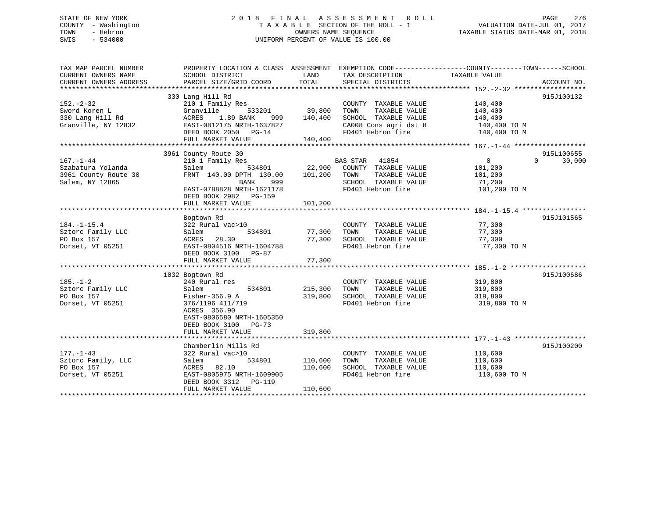# STATE OF NEW YORK 2 0 1 8 F I N A L A S S E S S M E N T R O L L PAGE 276 COUNTY - Washington T A X A B L E SECTION OF THE ROLL - 1 VALUATION DATE-JUL 01, 2017 TOWN - Hebron **CONNERS NAME SEQUENCE** TAXABLE STATUS DATE-MAR 01, 2018 SWIS - 534000 UNIFORM PERCENT OF VALUE IS 100.00

| TAX MAP PARCEL NUMBER  | PROPERTY LOCATION & CLASS ASSESSMENT EXEMPTION CODE---------------COUNTY-------TOWN------SCHOOL |             |                       |                |                    |
|------------------------|-------------------------------------------------------------------------------------------------|-------------|-----------------------|----------------|--------------------|
| CURRENT OWNERS NAME    | SCHOOL DISTRICT                                                                                 | LAND        | TAX DESCRIPTION       | TAXABLE VALUE  |                    |
| CURRENT OWNERS ADDRESS | PARCEL SIZE/GRID COORD                                                                          | TOTAL       | SPECIAL DISTRICTS     |                | ACCOUNT NO.        |
|                        | 330 Lang Hill Rd                                                                                |             |                       |                | 915J100132         |
| $152 - 2 - 32$         | 210 1 Family Res                                                                                |             | COUNTY TAXABLE VALUE  | 140,400        |                    |
| Sword Koren L          | 533201<br>Granville                                                                             | 39,800      | TAXABLE VALUE<br>TOWN | 140,400        |                    |
| 330 Lang Hill Rd       | ACRES 1.89 BANK                                                                                 | 999 140,400 | SCHOOL TAXABLE VALUE  | 140,400        |                    |
| Granville, NY 12832    | EAST-0812175 NRTH-1637827                                                                       |             | CA008 Cons agri dst 8 | 140,400 TO M   |                    |
|                        | DEED BOOK 2050 PG-14                                                                            |             | FD401 Hebron fire     |                |                    |
|                        | FULL MARKET VALUE                                                                               | 140,400     |                       | 140,400 TO M   |                    |
|                        |                                                                                                 |             |                       |                |                    |
|                        | 3961 County Route 30                                                                            |             |                       |                | 915L100655         |
| $167. - 1 - 44$        | 210 1 Family Res                                                                                |             | BAS STAR 41854        | $\overline{0}$ | $\Omega$<br>30,000 |
| Szabatura Yolanda      | 534801<br>Salem                                                                                 | 22,900      | COUNTY TAXABLE VALUE  | 101,200        |                    |
| 3961 County Route 30   | FRNT 140.00 DPTH 130.00                                                                         | 101,200     | TAXABLE VALUE<br>TOWN | 101,200        |                    |
| Salem, NY 12865        | BANK<br>999                                                                                     |             | SCHOOL TAXABLE VALUE  | 71,200         |                    |
|                        | EAST-0788828 NRTH-1621178                                                                       |             | FD401 Hebron fire     | 101,200 TO M   |                    |
|                        | DEED BOOK 2982 PG-159                                                                           |             |                       |                |                    |
|                        | FULL MARKET VALUE                                                                               | 101,200     |                       |                |                    |
|                        |                                                                                                 |             |                       |                |                    |
|                        | Bogtown Rd                                                                                      |             |                       |                | 915J101565         |
| $184. - 1 - 15.4$      | 322 Rural vac>10                                                                                |             | COUNTY TAXABLE VALUE  | 77,300         |                    |
| Sztorc Family LLC      | 534801<br>Salem                                                                                 | 77,300      | TOWN<br>TAXABLE VALUE | 77,300         |                    |
| PO Box 157             | ACRES 28.30                                                                                     | 77,300      | SCHOOL TAXABLE VALUE  | 77,300         |                    |
| Dorset, VT 05251       | EAST-0804516 NRTH-1604788                                                                       |             | FD401 Hebron fire     | 77,300 TO M    |                    |
|                        | DEED BOOK 3100<br>PG-87                                                                         |             |                       |                |                    |
|                        | FULL MARKET VALUE                                                                               | 77,300      |                       |                |                    |
|                        |                                                                                                 |             |                       |                |                    |
|                        | 1032 Bogtown Rd                                                                                 |             |                       |                | 915J100686         |
| $185. - 1 - 2$         | 240 Rural res                                                                                   |             | COUNTY TAXABLE VALUE  | 319,800        |                    |
| Sztorc Family LLC      | 534801<br>Salem                                                                                 | 215,300     | TOWN<br>TAXABLE VALUE | 319,800        |                    |
| PO Box 157             | Fisher-356.9 A                                                                                  | 319,800     | SCHOOL TAXABLE VALUE  | 319,800        |                    |
| Dorset, VT 05251       | 376/1196 411/719                                                                                |             | FD401 Hebron fire     | 319,800 TO M   |                    |
|                        | ACRES 356.90                                                                                    |             |                       |                |                    |
|                        | EAST-0806580 NRTH-1605350                                                                       |             |                       |                |                    |
|                        | DEED BOOK 3100<br>$PG-73$                                                                       |             |                       |                |                    |
|                        | FULL MARKET VALUE                                                                               | 319,800     |                       |                |                    |
|                        |                                                                                                 |             |                       |                |                    |
|                        | Chamberlin Mills Rd                                                                             |             |                       |                | 915J100200         |
| $177. - 1 - 43$        | 322 Rural vac>10                                                                                |             | COUNTY TAXABLE VALUE  | 110,600        |                    |
| Sztorc Family, LLC     | 534801<br>Salem                                                                                 | 110,600     | TOWN<br>TAXABLE VALUE | 110,600        |                    |
| PO Box 157             | ACRES 82.10                                                                                     | 110,600     | SCHOOL TAXABLE VALUE  | 110,600        |                    |
| Dorset, VT 05251       | EAST-0805975 NRTH-1609905                                                                       |             | FD401 Hebron fire     | 110,600 TO M   |                    |
|                        | DEED BOOK 3312 PG-119                                                                           |             |                       |                |                    |
|                        | FULL MARKET VALUE                                                                               | 110,600     |                       |                |                    |
|                        |                                                                                                 |             |                       |                |                    |
|                        |                                                                                                 |             |                       |                |                    |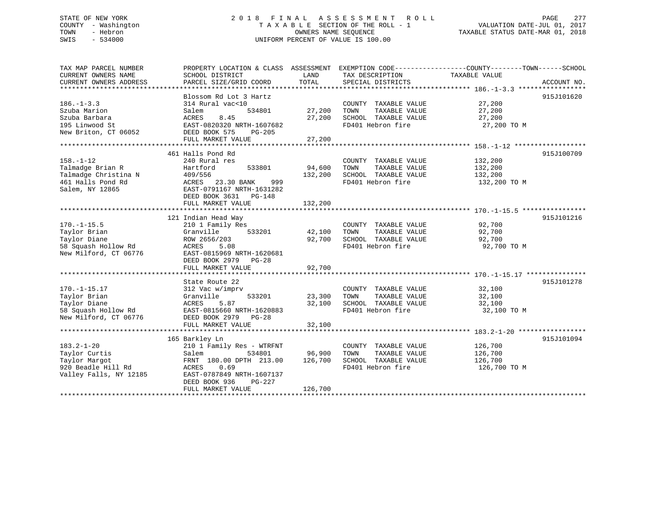# STATE OF NEW YORK 2 0 1 8 F I N A L A S S E S S M E N T R O L L PAGE 277 COUNTY - Washington T A X A B L E SECTION OF THE ROLL - 1 VALUATION DATE-JUL 01, 2017 TOWN - Hebron OWNERS NAME SEQUENCE TAXABLE STATUS DATE-MAR 01, 2018 SWIS - 534000 UNIFORM PERCENT OF VALUE IS 100.00

| TAX MAP PARCEL NUMBER  | PROPERTY LOCATION & CLASS ASSESSMENT EXEMPTION CODE----------------COUNTY-------TOWN-----SCHOOL |                         |                                                  |                       |             |
|------------------------|-------------------------------------------------------------------------------------------------|-------------------------|--------------------------------------------------|-----------------------|-------------|
| CURRENT OWNERS NAME    | SCHOOL DISTRICT                                                                                 | LAND                    | TAX DESCRIPTION                                  | TAXABLE VALUE         |             |
| CURRENT OWNERS ADDRESS | PARCEL SIZE/GRID COORD                                                                          | TOTAL                   | SPECIAL DISTRICTS                                |                       | ACCOUNT NO. |
|                        |                                                                                                 |                         |                                                  |                       |             |
|                        | Blossom Rd Lot 3 Hartz                                                                          |                         |                                                  |                       | 915J101620  |
| $186. - 1 - 3.3$       | 314 Rural vac<10                                                                                |                         | COUNTY TAXABLE VALUE 27,200                      |                       |             |
| Szuba Marion           | 534801<br>Salem                                                                                 | 27,200                  | TOWN<br>TAXABLE VALUE                            | 27,200                |             |
| Szuba Barbara          | ACRES<br>8.45                                                                                   |                         |                                                  | 27,200                |             |
| 195 Linwood St         | EAST-0820320 NRTH-1607682                                                                       |                         | 27,200 SCHOOL TAXABLE VALUE<br>FD401 Hebron fire | 27,200 TO M           |             |
| New Briton, CT 06052   | DEED BOOK 575<br>PG-205                                                                         |                         |                                                  |                       |             |
|                        | FULL MARKET VALUE                                                                               | 27,200                  |                                                  |                       |             |
|                        |                                                                                                 |                         |                                                  |                       |             |
|                        | 461 Halls Pond Rd                                                                               |                         |                                                  |                       | 915J100709  |
| $158. - 1 - 12$        | 240 Rural res                                                                                   |                         | COUNTY TAXABLE VALUE                             | 132,200               |             |
| Talmadge Brian R       | Hartford<br>533801                                                                              | 94,600                  | TAXABLE VALUE<br>TOWN                            | 132,200               |             |
| Talmadge Christina N   | 409/556                                                                                         | 132,200                 | SCHOOL TAXABLE VALUE                             | 132,200               |             |
| 461 Halls Pond Rd      | ACRES 23.30 BANK<br>999                                                                         |                         | FD401 Hebron fire                                | 132,200 TO M          |             |
| Salem, NY 12865        | EAST-0791167 NRTH-1631282                                                                       |                         |                                                  |                       |             |
|                        | DEED BOOK 3631 PG-148                                                                           |                         |                                                  |                       |             |
|                        | FULL MARKET VALUE                                                                               | 132,200                 |                                                  |                       |             |
|                        |                                                                                                 |                         |                                                  |                       |             |
|                        | 121 Indian Head Way                                                                             |                         |                                                  |                       | 915J101216  |
| $170. - 1 - 15.5$      | 210 1 Family Res                                                                                |                         | COUNTY TAXABLE VALUE                             | 92,700                |             |
| Taylor Brian           | 533201<br>Granville                                                                             |                         | TAXABLE VALUE                                    | 92,700                |             |
| Taylor Diane           | ROW 2656/203                                                                                    | $42,100$ TOWN<br>92,700 | SCHOOL TAXABLE VALUE                             |                       |             |
| 58 Squash Hollow Rd    | ACRES 5.08                                                                                      |                         | FD401 Hebron fire                                | 92,700<br>92,700 TO M |             |
| New Milford, CT 06776  |                                                                                                 |                         |                                                  |                       |             |
|                        | EAST-0815969 NRTH-1620681                                                                       |                         |                                                  |                       |             |
|                        | DEED BOOK 2979 PG-28                                                                            |                         |                                                  |                       |             |
|                        | FULL MARKET VALUE                                                                               | 92,700                  |                                                  |                       |             |
|                        |                                                                                                 |                         |                                                  |                       |             |
|                        | State Route 22                                                                                  |                         |                                                  |                       | 915J101278  |
| $170. - 1 - 15.17$     | 312 Vac w/imprv                                                                                 |                         | COUNTY TAXABLE VALUE 32,100                      |                       |             |
| Taylor Brian           | 533201<br>Granville                                                                             | 23,300                  | TAXABLE VALUE<br>TOWN                            | 32,100<br>32,100      |             |
| Taylor Diane           | 5.87<br>ACRES                                                                                   |                         | 32,100 SCHOOL TAXABLE VALUE                      |                       |             |
| 58 Squash Hollow Rd    | EAST-0815660 NRTH-1620883                                                                       |                         | FD401 Hebron fire                                | 32,100 TO M           |             |
| New Milford, CT 06776  | DEED BOOK 2979 PG-28                                                                            |                         |                                                  |                       |             |
|                        | FULL MARKET VALUE                                                                               | 32,100                  |                                                  |                       |             |
|                        |                                                                                                 |                         |                                                  |                       |             |
|                        | 165 Barkley Ln                                                                                  |                         |                                                  |                       | 915J101094  |
| $183.2 - 1 - 20$       | 210 1 Family Res - WTRFNT                                                                       |                         | COUNTY TAXABLE VALUE                             | 126,700               |             |
| Taylor Curtis          | Salem<br>534801                                                                                 | 96,900                  | TAXABLE VALUE<br>TOWN                            | 126,700               |             |
| Taylor Margot          | FRNT 180.00 DPTH 213.00 126,700                                                                 |                         | SCHOOL TAXABLE VALUE                             | 126,700               |             |
| 920 Beadle Hill Rd     | 0.69<br>ACRES                                                                                   |                         | FD401 Hebron fire                                | 126,700 TO M          |             |
| Valley Falls, NY 12185 | EAST-0787849 NRTH-1607137                                                                       |                         |                                                  |                       |             |
|                        | DEED BOOK 936<br>PG-227                                                                         |                         |                                                  |                       |             |
|                        | FULL MARKET VALUE                                                                               | 126,700                 |                                                  |                       |             |
|                        |                                                                                                 |                         |                                                  |                       |             |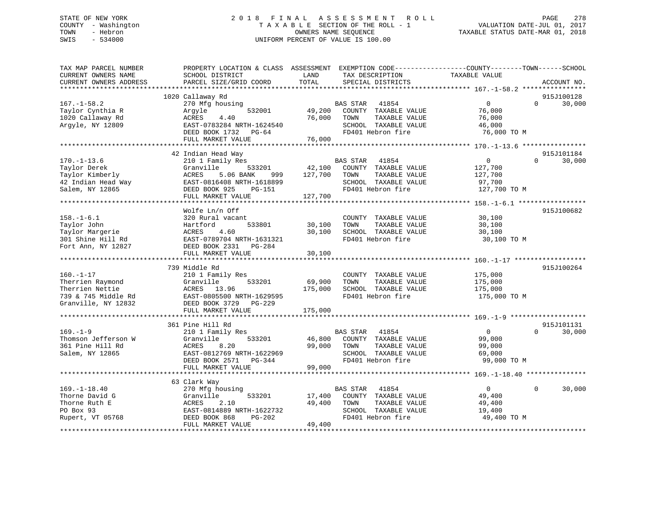# STATE OF NEW YORK 2 0 1 8 F I N A L A S S E S S M E N T R O L L PAGE 278 COUNTY - Washington T A X A B L E SECTION OF THE ROLL - 1 VALUATION DATE-JUL 01, 2017 TOWN - Hebron OWNERS NAME SEQUENCE TAXABLE STATUS DATE-MAR 01, 2018 SWIS - 534000 UNIFORM PERCENT OF VALUE IS 100.00

| TAX MAP PARCEL NUMBER<br>CURRENT OWNERS NAME<br>CURRENT OWNERS ADDRESS                               | PROPERTY LOCATION & CLASS ASSESSMENT EXEMPTION CODE----------------COUNTY-------TOWN------SCHOOL<br>SCHOOL DISTRICT<br>PARCEL SIZE/GRID COORD                           | LAND<br>TOTAL                | TAX DESCRIPTION<br>SPECIAL DISTRICTS                                                                                   | TAXABLE VALUE                                               | ACCOUNT NO.            |        |
|------------------------------------------------------------------------------------------------------|-------------------------------------------------------------------------------------------------------------------------------------------------------------------------|------------------------------|------------------------------------------------------------------------------------------------------------------------|-------------------------------------------------------------|------------------------|--------|
|                                                                                                      |                                                                                                                                                                         |                              |                                                                                                                        |                                                             |                        |        |
| $167. - 1 - 58.2$<br>Taylor Cynthia R<br>1020 Callaway Rd<br>Argyle, NY 12809                        | 1020 Callaway Rd<br>270 Mfg housing<br>532001<br>Argyle<br>ACRES<br>4.40<br>EAST-0783284 NRTH-1624540<br>DEED BOOK 1732 PG-64<br>FULL MARKET VALUE                      | 49,200<br>76,000<br>76,000   | <b>BAS STAR</b><br>41854<br>COUNTY TAXABLE VALUE<br>TOWN<br>TAXABLE VALUE<br>SCHOOL TAXABLE VALUE<br>FD401 Hebron fire | $\mathbf 0$<br>76,000<br>76,000<br>46,000<br>76,000 TO M    | 915J100128<br>$\Omega$ | 30,000 |
|                                                                                                      |                                                                                                                                                                         |                              |                                                                                                                        |                                                             |                        |        |
| $170. - 1 - 13.6$<br>Taylor Derek<br>Taylor Kimberly<br>42 Indian Head Way<br>Salem, NY 12865        | 42 Indian Head Way<br>210 1 Family Res<br>Granville<br>533201<br>ACRES<br>5.06 BANK<br>999<br>EAST-0816408 NRTH-1618899<br>DEED BOOK 925<br>PG-151<br>FULL MARKET VALUE | 42,100<br>127,700<br>127,700 | BAS STAR<br>41854<br>COUNTY TAXABLE VALUE<br>TOWN<br>TAXABLE VALUE<br>SCHOOL TAXABLE VALUE<br>FD401 Hebron fire        | $\Omega$<br>127,700<br>127,700<br>97,700<br>127,700 TO M    | 915J101184<br>$\Omega$ | 30,000 |
|                                                                                                      | Wolfe Ln/n Off                                                                                                                                                          |                              |                                                                                                                        |                                                             | 915J100682             |        |
| $158. - 1 - 6.1$<br>Taylor John<br>Taylor Margerie<br>301 Shine Hill Rd<br>Fort Ann, NY 12827        | 320 Rural vacant<br>533801<br>Hartford<br>4.60<br>ACRES<br>EAST-0789704 NRTH-1631321<br>DEED BOOK 2331 PG-284<br>FULL MARKET VALUE                                      | 30,100<br>30,100<br>30,100   | COUNTY TAXABLE VALUE<br>TAXABLE VALUE<br>TOWN<br>SCHOOL TAXABLE VALUE<br>FD401 Hebron fire                             | 30,100<br>30,100<br>30,100<br>30,100 TO M                   |                        |        |
|                                                                                                      |                                                                                                                                                                         |                              |                                                                                                                        |                                                             |                        |        |
| $160. - 1 - 17$<br>Therrien Raymond<br>Therrien Nettie<br>739 & 745 Middle Rd<br>Granville, NY 12832 | 739 Middle Rd<br>210 1 Family Res<br>533201<br>Granville<br>ACRES 13.96<br>EAST-0805500 NRTH-1629595<br>DEED BOOK 3729 PG-229<br>FULL MARKET VALUE                      | 69,900<br>175,000<br>175,000 | COUNTY TAXABLE VALUE<br>TAXABLE VALUE<br>TOWN<br>SCHOOL TAXABLE VALUE<br>FD401 Hebron fire                             | 175,000<br>175,000<br>175,000<br>175,000 TO M               | 915J100264             |        |
|                                                                                                      |                                                                                                                                                                         |                              |                                                                                                                        |                                                             | 915J101131             |        |
| $169. - 1 - 9$<br>Thomson Jefferson W<br>361 Pine Hill Rd<br>Salem, NY 12865                         | 361 Pine Hill Rd<br>210 1 Family Res<br>533201<br>Granville<br>ACRES<br>8.20<br>EAST-0812769 NRTH-1622969<br>DEED BOOK 2571 PG-344                                      | 46,800<br>99,000             | <b>BAS STAR</b><br>41854<br>COUNTY TAXABLE VALUE<br>TAXABLE VALUE<br>TOWN<br>SCHOOL TAXABLE VALUE<br>FD401 Hebron fire | $\overline{0}$<br>99,000<br>99,000<br>69,000<br>99,000 TO M | $\Omega$               | 30,000 |
|                                                                                                      | FULL MARKET VALUE                                                                                                                                                       | 99,000                       |                                                                                                                        |                                                             |                        |        |
|                                                                                                      |                                                                                                                                                                         |                              |                                                                                                                        |                                                             |                        |        |
| $169. - 1 - 18.40$<br>Thorne David G<br>Thorne Ruth E<br>PO Box 93<br>Rupert, VT 05768               | 63 Clark Way<br>270 Mfg housing<br>533201<br>Granville<br>ACRES<br>2.10<br>EAST-0814889 NRTH-1622732<br>DEED BOOK 868<br>PG-202                                         | 17,400<br>49,400             | <b>BAS STAR</b><br>41854<br>COUNTY TAXABLE VALUE<br>TAXABLE VALUE<br>TOWN<br>SCHOOL TAXABLE VALUE<br>FD401 Hebron fire | $\overline{0}$<br>49,400<br>49,400<br>19,400<br>49,400 TO M | $\Omega$               | 30,000 |
|                                                                                                      | FULL MARKET VALUE                                                                                                                                                       | 49,400                       |                                                                                                                        |                                                             |                        |        |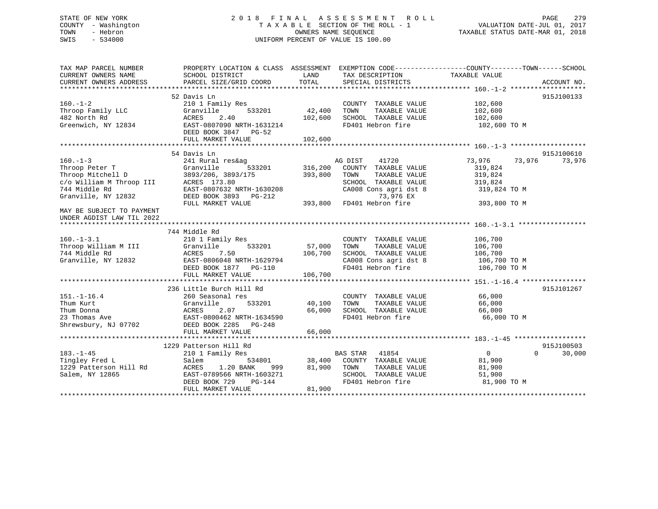# STATE OF NEW YORK 2 0 1 8 F I N A L A S S E S S M E N T R O L L PAGE 279 COUNTY - Washington T A X A B L E SECTION OF THE ROLL - 1 VALUATION DATE-JUL 01, 2017 TOWN - Hebron OWNERS NAME SEQUENCE TAXABLE STATUS DATE-MAR 01, 2018 SWIS - 534000 UNIFORM PERCENT OF VALUE IS 100.00

| TAX MAP PARCEL NUMBER<br>CURRENT OWNERS NAME<br>CURRENT OWNERS ADDRESS                                                                                                            | PROPERTY LOCATION & CLASS ASSESSMENT EXEMPTION CODE---------------COUNTY-------TOWN-----SCHOOL<br>SCHOOL DISTRICT<br>PARCEL SIZE/GRID COORD                        | LAND<br>TOTAL                               | TAX DESCRIPTION TAXABLE VALUE<br>SPECIAL DISTRICTS                                                                              |                                                               | ACCOUNT NO.                      |
|-----------------------------------------------------------------------------------------------------------------------------------------------------------------------------------|--------------------------------------------------------------------------------------------------------------------------------------------------------------------|---------------------------------------------|---------------------------------------------------------------------------------------------------------------------------------|---------------------------------------------------------------|----------------------------------|
| $160. - 1 - 2$<br>Throop Family LLC<br>482 North Rd<br>Greenwich, NY 12834                                                                                                        | 52 Davis Ln<br>210 1 Family Res<br>Granville<br>533201<br>2.40<br>ACRES<br>EAST-0807090 NRTH-1631214<br>DEED BOOK 3847 PG-52<br>FULL MARKET VALUE                  | 42,400<br>102,600<br>102,600                | COUNTY TAXABLE VALUE<br>TAXABLE VALUE<br>TOWN<br>SCHOOL TAXABLE VALUE<br>FD401 Hebron fire                                      | 102,600<br>102,600<br>102,600<br>102,600 TO M                 | 915J100133                       |
|                                                                                                                                                                                   |                                                                                                                                                                    |                                             |                                                                                                                                 |                                                               |                                  |
| $160. - 1 - 3$<br>Throop Peter T<br>Throop Mitchell D<br>Throop Mitchell D<br>c/o William M Throop III ACRES 173.80<br>744 Middle Rd<br>EAST-0807632 NRTH-<br>Granville, NY 12832 | 54 Davis Ln<br>241 Rural res&ag<br>Granville<br>533201<br>EAST-0807632 NRTH-1630208<br>DEED BOOK 3893 PG-212                                                       | 316,200<br>393,800<br>$\frac{2}{3}$ 393,800 | AG DIST<br>41720<br>COUNTY TAXABLE VALUE<br>TOWN<br>TAXABLE VALUE<br>SCHOOL TAXABLE VALUE<br>CA008 Cons agri dst 8<br>73,976 EX | 73,976<br>319,824<br>319,824<br>319,824<br>319,824 TO M       | 915J100610<br>73,976<br>73,976   |
| MAY BE SUBJECT TO PAYMENT<br>UNDER AGDIST LAW TIL 2022                                                                                                                            | FULL MARKET VALUE                                                                                                                                                  |                                             | FD401 Hebron fire                                                                                                               | 393,800 TO M                                                  |                                  |
| $160. -1 - 3.1$<br>Throop William M III<br>744 Middle Rd<br>Granville, NY 12832                                                                                                   | 744 Middle Rd<br>210 1 Family Res<br>533201<br>Granville<br>ACRES<br>7.50<br>EAST-0806048 NRTH-1629794<br>DEED BOOK 1877 PG-110<br>FULL MARKET VALUE               | 57,000<br>106,700<br>106,700                | COUNTY TAXABLE VALUE<br>TOWN<br>TAXABLE VALUE<br>SCHOOL TAXABLE VALUE<br>CA008 Cons agri dst 8<br>FD401 Hebron fire             | 106,700<br>106,700<br>106,700<br>106,700 TO M<br>106,700 TO M |                                  |
| $151.-1-16.4$<br>Thum Kurt<br>Thum Donna<br>23 Thomas Ave<br>Shrewsbury, NJ 07702                                                                                                 | 236 Little Burch Hill Rd<br>260 Seasonal res<br>533201<br>Granville<br>2.07<br>ACRES<br>EAST-0800462 NRTH-1634590<br>DEED BOOK 2285 PG-248<br>FULL MARKET VALUE    | 40,100<br>66,000<br>66,000                  | COUNTY TAXABLE VALUE<br>TAXABLE VALUE<br>TOWN<br>SCHOOL TAXABLE VALUE<br>FD401 Hebron fire                                      | 66,000<br>66,000<br>66,000<br>66,000 TO M                     | 915J101267                       |
| $183. - 1 - 45$<br>Tingley Fred L<br>1229 Patterson Hill Rd<br>Salem, NY 12865                                                                                                    | 1229 Patterson Hill Rd<br>210 1 Family Res<br>Salem<br>1.20 BANK<br>ACRES<br>999 — 10<br>EAST-0789566 NRTH-1603271<br>DEED BOOK 729<br>PG-144<br>FULL MARKET VALUE | 81,900<br>81,900                            | BAS STAR 41854<br>534801 38,400 COUNTY TAXABLE VALUE<br>TAXABLE VALUE<br>TOWN<br>SCHOOL TAXABLE VALUE<br>FD401 Hebron fire      | $\overline{0}$<br>81,900<br>81,900<br>51,900<br>81,900 TO M   | 915J100503<br>$\Omega$<br>30,000 |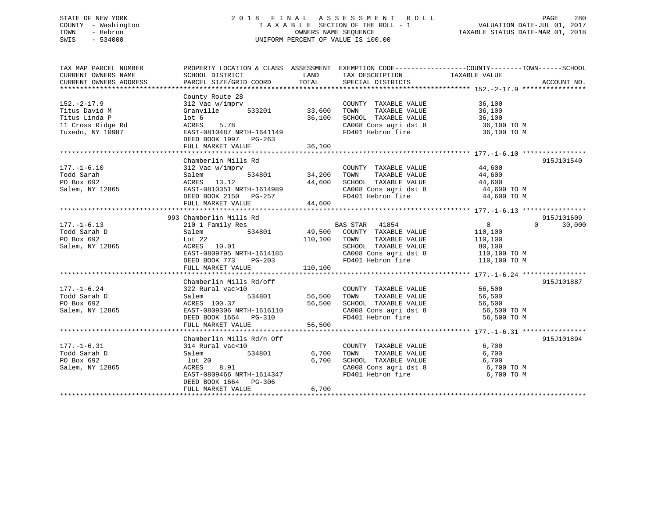# STATE OF NEW YORK 2 0 1 8 F I N A L A S S E S S M E N T R O L L PAGE 280 COUNTY - Washington T A X A B L E SECTION OF THE ROLL - 1 VALUATION DATE-JUL 01, 2017 TOWN - Hebron OWNERS NAME SEQUENCE TAXABLE STATUS DATE-MAR 01, 2018 SWIS - 534000 UNIFORM PERCENT OF VALUE IS 100.00

| TAX MAP PARCEL NUMBER  | PROPERTY LOCATION & CLASS ASSESSMENT EXEMPTION CODE----------------COUNTY-------TOWN------SCHOOL |                    |                                                                               |                         |                    |
|------------------------|--------------------------------------------------------------------------------------------------|--------------------|-------------------------------------------------------------------------------|-------------------------|--------------------|
| CURRENT OWNERS NAME    | SCHOOL DISTRICT                                                                                  | LAND               | TAX DESCRIPTION                                                               | TAXABLE VALUE           |                    |
| CURRENT OWNERS ADDRESS | PARCEL SIZE/GRID COORD                                                                           | TOTAL              | SPECIAL DISTRICTS                                                             |                         | ACCOUNT NO.        |
|                        |                                                                                                  |                    |                                                                               |                         |                    |
|                        | County Route 28                                                                                  |                    |                                                                               |                         |                    |
| $152 - 2 - 17.9$       | 312 Vac w/imprv                                                                                  |                    | COUNTY TAXABLE VALUE                                                          | 36,100                  |                    |
| Titus David M          | Granville 533201 33,600                                                                          |                    | TOWN<br>TAXABLE VALUE                                                         | 36,100                  |                    |
| Titus Linda P          | lot 6                                                                                            | 36,100             |                                                                               |                         |                    |
| 11 Cross Ridge Rd      |                                                                                                  |                    | SCHOOL TAXABLE VALUE 36,100<br>CA008 Cons agri dst 8 36,100 TO M              |                         |                    |
| Tuxedo, NY 10987       | EAST-0810487 NRTH-1641149                                                                        |                    | FD401 Hebron fire 36,100 TO M                                                 |                         |                    |
|                        | DEED BOOK 1997 PG-263                                                                            |                    |                                                                               |                         |                    |
|                        | FULL MARKET VALUE                                                                                | 36,100             |                                                                               |                         |                    |
|                        |                                                                                                  |                    |                                                                               |                         |                    |
|                        | Chamberlin Mills Rd                                                                              |                    |                                                                               |                         | 915J101540         |
| $177. - 1 - 6.10$      | 312 Vac w/imprv                                                                                  |                    | COUNTY TAXABLE VALUE                                                          |                         |                    |
| Todd Sarah             | Salem                                                                                            | 534801 34,200 TOWN | TAXABLE VALUE                                                                 | $\frac{44,600}{44,600}$ |                    |
| PO Box 692             | ACRES 13.12                                                                                      |                    | 44,600 SCHOOL TAXABLE VALUE 44,600                                            |                         |                    |
| Salem, NY 12865        |                                                                                                  |                    |                                                                               |                         |                    |
|                        | EAST-0810351 NRTH-1614989<br>DEED BOOK 2150 PG-257                                               |                    | CA008 Cons agri dst 8 44,600 TO M<br>FD401 Hebron fire 44,600 TO M            |                         |                    |
|                        | FULL MARKET VALUE                                                                                | 44,600             |                                                                               |                         |                    |
|                        |                                                                                                  |                    |                                                                               |                         |                    |
|                        | 993 Chamberlin Mills Rd                                                                          |                    |                                                                               |                         | 915J101609         |
| $177. - 1 - 6.13$      |                                                                                                  |                    |                                                                               | $\overline{0}$          | $\Omega$<br>30,000 |
| Todd Sarah D           |                                                                                                  |                    |                                                                               | 110,100                 |                    |
| PO Box 692             |                                                                                                  | 110,100 TOWN       |                                                                               |                         |                    |
| Salem, NY 12865        | Lot 22<br>ACRES 10.01                                                                            |                    | TAXABLE VALUE 110,100<br>SCHOOL TAXABLE VALUE                                 | 80,100                  |                    |
|                        | EAST-0809795 NRTH-1614185                                                                        |                    | CA008 Cons agri dst 8 110,100 TO M                                            |                         |                    |
|                        |                                                                                                  |                    |                                                                               |                         |                    |
|                        | DEED BOOK 773 PG-203                                                                             | 110,100            | FD401 Hebron fire                                                             | 110,100 TO M            |                    |
|                        | FULL MARKET VALUE                                                                                |                    |                                                                               |                         |                    |
|                        | Chamberlin Mills Rd/off                                                                          |                    |                                                                               |                         | 915J101887         |
|                        |                                                                                                  |                    |                                                                               |                         |                    |
| $177. - 1 - 6.24$      | 322 Rural vac>10                                                                                 |                    | COUNTY TAXABLE VALUE 56,500                                                   |                         |                    |
| Todd Sarah D           | Salem                                                                                            |                    | 534801 56,500 TOWN TAXABLE VALUE 56,500<br>56,500 SCHOOL TAXABLE VALUE 56,500 |                         |                    |
| PO Box 692             | ACRES 100.37                                                                                     |                    |                                                                               |                         |                    |
| Salem, NY 12865        | EAST-0809306 NRTH-1616110                                                                        |                    | CA008 Cons agri dst 8 56,500 TO M                                             |                         |                    |
|                        | DEED BOOK 1664 PG-310                                                                            |                    | FD401 Hebron fire                                                             | 56,500 TO M             |                    |
|                        | FULL MARKET VALUE                                                                                | 56,500             |                                                                               |                         |                    |
|                        |                                                                                                  |                    |                                                                               |                         |                    |
|                        | Chamberlin Mills Rd/n Off                                                                        |                    |                                                                               |                         | 915J101894         |
| $177. - 1 - 6.31$      | 314 Rural vac<10                                                                                 |                    | COUNTY TAXABLE VALUE                                                          | 6,700                   |                    |
| Todd Sarah D           | 534801<br>Salem                                                                                  |                    | 6,700 TOWN<br>TAXABLE VALUE                                                   | 6,700                   |                    |
| PO Box 692             | lot 20<br>ACRES 8.91                                                                             | 6,700              | SCHOOL TAXABLE VALUE                                                          | 6,700                   |                    |
| Salem, NY 12865        |                                                                                                  |                    | CA008 Cons agri dst 8                                                         | 6,700 TO M              |                    |
|                        | EAST-0809466 NRTH-1614347                                                                        |                    | FD401 Hebron fire                                                             | 6,700 TO M              |                    |
|                        | DEED BOOK 1664 PG-306                                                                            |                    |                                                                               |                         |                    |
|                        | FULL MARKET VALUE                                                                                | 6,700              |                                                                               |                         |                    |
|                        |                                                                                                  |                    |                                                                               |                         |                    |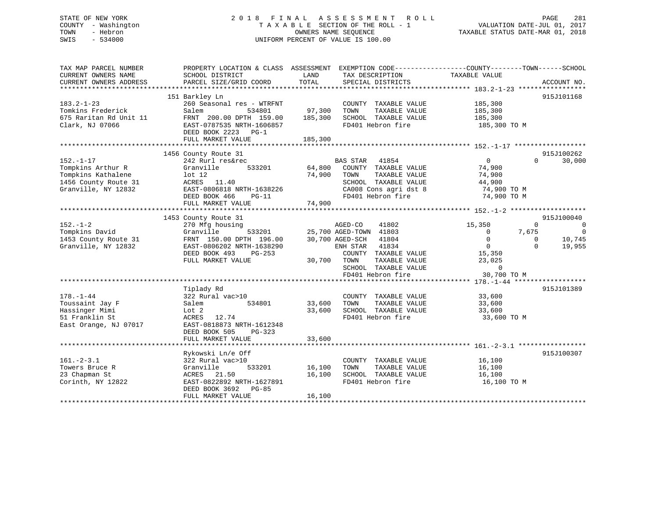# STATE OF NEW YORK 2 0 1 8 F I N A L A S S E S S M E N T R O L L PAGE 281 COUNTY - Washington T A X A B L E SECTION OF THE ROLL - 1 VALUATION DATE-JUL 01, 2017 TOWN - Hebron OWNERS NAME SEQUENCE TAXABLE STATUS DATE-MAR 01, 2018 SWIS - 534000 UNIFORM PERCENT OF VALUE IS 100.00

| TAX MAP PARCEL NUMBER<br>CURRENT OWNERS NAME<br>CURRENT OWNERS ADDRESS                                    | PROPERTY LOCATION & CLASS ASSESSMENT<br>SCHOOL DISTRICT<br>PARCEL SIZE/GRID COORD                                                                                      | LAND<br>TOTAL                | TAX DESCRIPTION<br>SPECIAL DISTRICTS                                                                                                                                                      | EXEMPTION CODE----------------COUNTY-------TOWN------SCHOOL<br>TAXABLE VALUE                                                     | ACCOUNT NO.                                                                          |
|-----------------------------------------------------------------------------------------------------------|------------------------------------------------------------------------------------------------------------------------------------------------------------------------|------------------------------|-------------------------------------------------------------------------------------------------------------------------------------------------------------------------------------------|----------------------------------------------------------------------------------------------------------------------------------|--------------------------------------------------------------------------------------|
| $183.2 - 1 - 23$<br>Tomkins Frederick<br>675 Raritan Rd Unit 11<br>Clark, NJ 07066                        | 151 Barkley Ln<br>260 Seasonal res - WTRFNT<br>Salem<br>534801<br>FRNT 200.00 DPTH 159.00<br>EAST-0787535 NRTH-1606857<br>DEED BOOK 2223 PG-1<br>FULL MARKET VALUE     | 97,300<br>185,300<br>185,300 | COUNTY TAXABLE VALUE<br>TOWN<br>TAXABLE VALUE<br>SCHOOL TAXABLE VALUE<br>FD401 Hebron fire                                                                                                | 185,300<br>185,300<br>185,300<br>185,300 TO M                                                                                    | 915J101168                                                                           |
| $152. - 1 - 17$<br>Tompkins Arthur R<br>Tompkins Kathalene<br>1456 County Route 31<br>Granville, NY 12832 | 1456 County Route 31<br>242 Rurl res&rec<br>Granville<br>533201<br>lot <sub>12</sub><br>ACRES 11.40<br>EAST-0806818 NRTH-1638226<br>DEED BOOK 466<br>$PG-11$           | 64,800<br>74,900             | <b>BAS STAR</b><br>41854<br>COUNTY TAXABLE VALUE<br>TAXABLE VALUE<br>TOWN<br>SCHOOL TAXABLE VALUE<br>CA008 Cons agri dst 8<br>FD401 Hebron fire                                           | $\overline{0}$<br>74,900<br>74,900<br>44,900<br>74,900 TO M<br>74,900 TO M                                                       | 915J100262<br>$\Omega$<br>30,000                                                     |
| $152. - 1 - 2$<br>Tompkins David<br>1453 County Route 31<br>Granville, NY 12832                           | 1453 County Route 31<br>270 Mfg housing<br>Granville<br>533201<br>FRNT 150.00 DPTH 196.00<br>EAST-0806202 NRTH-1638290<br>DEED BOOK 493<br>PG-253<br>FULL MARKET VALUE | 30,700                       | 41802<br>AGED-CO<br>25,700 AGED-TOWN 41803<br>30,700 AGED-SCH<br>41804<br>41834<br>ENH STAR<br>COUNTY TAXABLE VALUE<br>TOWN<br>TAXABLE VALUE<br>SCHOOL TAXABLE VALUE<br>FD401 Hebron fire | 15,350<br>$\Omega$<br>7,675<br>$\overline{0}$<br>$\overline{0}$<br>$\overline{0}$<br>15,350<br>23,025<br>$\Omega$<br>30,700 TO M | 915J100040<br>$\overline{0}$<br>$\Omega$<br>10,745<br>$\Omega$<br>$\Omega$<br>19,955 |
| $178. - 1 - 44$<br>Toussaint Jay F<br>Hassinger Mimi<br>51 Franklin St<br>East Orange, NJ 07017           | Tiplady Rd<br>322 Rural vac>10<br>534801<br>Salem<br>Lot 2<br>ACRES<br>12.74<br>EAST-0818873 NRTH-1612348<br>DEED BOOK 505<br>PG-323<br>FULL MARKET VALUE              | 33,600<br>33,600<br>33,600   | COUNTY TAXABLE VALUE<br>TAXABLE VALUE<br>TOWN<br>SCHOOL TAXABLE VALUE<br>FD401 Hebron fire                                                                                                | 33,600<br>33,600<br>33,600<br>33,600 TO M                                                                                        | 915J101389                                                                           |
| $161. - 2 - 3.1$<br>Towers Bruce R<br>23 Chapman St<br>Corinth, NY 12822                                  | Rykowski Ln/e Off<br>322 Rural vac>10<br>533201<br>Granville<br>ACRES<br>21.50<br>EAST-0822892 NRTH-1627891<br>DEED BOOK 3692<br>PG-85<br>FULL MARKET VALUE            | 16,100<br>16,100<br>16,100   | COUNTY TAXABLE VALUE<br>TAXABLE VALUE<br>TOWN<br>SCHOOL TAXABLE VALUE<br>FD401 Hebron fire                                                                                                | 16,100<br>16,100<br>16,100<br>16,100 TO M                                                                                        | 915J100307                                                                           |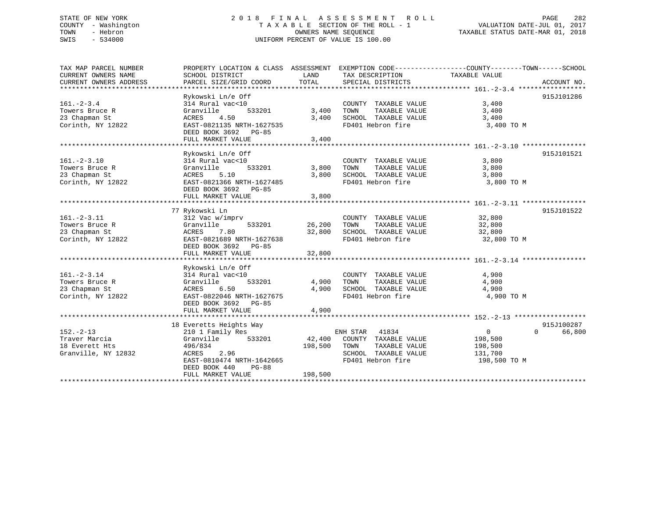# STATE OF NEW YORK 2 0 1 8 F I N A L A S S E S S M E N T R O L L PAGE 282 COUNTY - Washington T A X A B L E SECTION OF THE ROLL - 1 VALUATION DATE-JUL 01, 2017 TOWN - Hebron OWNERS NAME SEQUENCE TAXABLE STATUS DATE-MAR 01, 2018 SWIS - 534000 UNIFORM PERCENT OF VALUE IS 100.00

| TAX MAP PARCEL NUMBER<br>CURRENT OWNERS NAME<br>CURRENT OWNERS ADDRESS    | PROPERTY LOCATION & CLASS ASSESSMENT<br>SCHOOL DISTRICT<br>PARCEL SIZE/GRID COORD                                                                                            | LAND<br>TOTAL                | TAX DESCRIPTION<br>SPECIAL DISTRICTS                                                                            | EXEMPTION CODE----------------COUNTY-------TOWN-----SCHOOL<br>TAXABLE VALUE | ACCOUNT NO.          |
|---------------------------------------------------------------------------|------------------------------------------------------------------------------------------------------------------------------------------------------------------------------|------------------------------|-----------------------------------------------------------------------------------------------------------------|-----------------------------------------------------------------------------|----------------------|
| $161. - 2 - 3.4$<br>Towers Bruce R<br>23 Chapman St<br>Corinth, NY 12822  | Rykowski Ln/e Off<br>314 Rural vac<10<br>533201<br>Granville<br>ACRES<br>4.50<br>EAST-0821135 NRTH-1627535<br>DEED BOOK 3692<br>PG-85<br>FULL MARKET VALUE                   | 3,400<br>3,400<br>3,400      | COUNTY TAXABLE VALUE<br>TAXABLE VALUE<br>TOWN<br>SCHOOL TAXABLE VALUE<br>FD401 Hebron fire                      | 3,400<br>3,400<br>3,400<br>3,400 TO M                                       | 915J101286           |
| $161. - 2 - 3.10$<br>Towers Bruce R<br>23 Chapman St<br>Corinth, NY 12822 | Rykowski Ln/e Off<br>314 Rural vac<10<br>533201<br>Granville<br>ACRES<br>5.10<br>EAST-0821366 NRTH-1627485<br>DEED BOOK 3692 PG-85<br>FULL MARKET VALUE                      | 3,800<br>3,800<br>3,800      | COUNTY TAXABLE VALUE<br>TAXABLE VALUE<br>TOWN<br>SCHOOL TAXABLE VALUE<br>FD401 Hebron fire                      | 3,800<br>3,800<br>3,800<br>3,800 TO M                                       | 915J101521           |
| $161. - 2 - 3.11$<br>Towers Bruce R<br>23 Chapman St<br>Corinth, NY 12822 | 77 Rykowski Ln<br>312 Vac w/imprv<br>533201<br>Granville<br>ACRES<br>7.80<br>EAST-0821689 NRTH-1627638<br>DEED BOOK 3692 PG-85<br>FULL MARKET VALUE                          | 26,200<br>32,800<br>32,800   | COUNTY TAXABLE VALUE<br>TOWN<br>TAXABLE VALUE<br>SCHOOL TAXABLE VALUE<br>FD401 Hebron fire                      | 32,800<br>32,800<br>32,800<br>32,800 TO M                                   | 915J101522           |
| $161. - 2 - 3.14$<br>Towers Bruce R<br>23 Chapman St<br>Corinth, NY 12822 | Rykowski Ln/e Off<br>314 Rural vac<10<br>Granville<br>533201<br>6.50<br>ACRES<br>EAST-0822046 NRTH-1627675<br>DEED BOOK 3692 PG-85<br>FULL MARKET VALUE                      | 4,900<br>4,900<br>4,900      | COUNTY TAXABLE VALUE<br>TAXABLE VALUE<br>TOWN<br>SCHOOL TAXABLE VALUE<br>FD401 Hebron fire                      | 4,900<br>4,900<br>4,900<br>4,900 TO M                                       |                      |
| $152 - 2 - 13$<br>Traver Marcia<br>18 Everett Hts<br>Granville, NY 12832  | 18 Everetts Heights Way<br>210 1 Family Res<br>Granville<br>533201<br>496/834<br>ACRES<br>2.96<br>EAST-0810474 NRTH-1642665<br>DEED BOOK 440<br>$PG-88$<br>FULL MARKET VALUE | 42,400<br>198,500<br>198,500 | ENH STAR<br>41834<br>COUNTY TAXABLE VALUE<br>TAXABLE VALUE<br>TOWN<br>SCHOOL TAXABLE VALUE<br>FD401 Hebron fire | $\overline{0}$<br>$\Omega$<br>198,500<br>198,500<br>131,700<br>198,500 TO M | 915J100287<br>66,800 |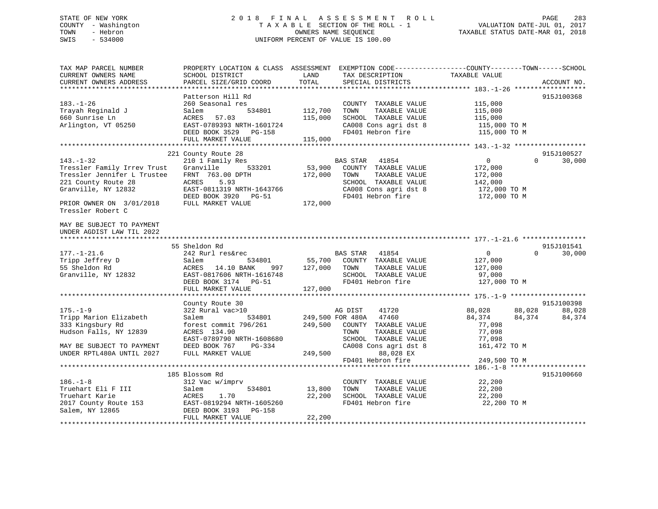# STATE OF NEW YORK 283 2018 FINAL ASSESSMENT ROLL 2012 PAGE 283 COUNTY - Washington  $T A X A B L E$  SECTION OF THE ROLL - 1<br>TOWN - Hebron DATE-JUL 000NERS NAME SEQUENCE SWIS - 534000 UNIFORM PERCENT OF VALUE IS 100.00

TAXABLE STATUS DATE-MAR 01, 2018

| TAX MAP PARCEL NUMBER       | PROPERTY LOCATION & CLASS ASSESSMENT EXEMPTION CODE----------------COUNTY-------TOWN------SCHOOL |               |                               |                |                    |
|-----------------------------|--------------------------------------------------------------------------------------------------|---------------|-------------------------------|----------------|--------------------|
| CURRENT OWNERS NAME         | SCHOOL DISTRICT                                                                                  | LAND          | TAX DESCRIPTION               | TAXABLE VALUE  |                    |
| CURRENT OWNERS ADDRESS      | PARCEL SIZE/GRID COORD                                                                           | TOTAL         | SPECIAL DISTRICTS             |                | ACCOUNT NO.        |
|                             | Patterson Hill Rd                                                                                |               |                               |                | 915J100368         |
| $183. - 1 - 26$             | 260 Seasonal res                                                                                 |               | COUNTY TAXABLE VALUE          | 115,000        |                    |
| Trayah Reginald J           | Salem<br>534801                                                                                  | 112,700       | TOWN<br>TAXABLE VALUE         | 115,000        |                    |
| 660 Sunrise Ln              | ACRES<br>57.03                                                                                   | 115,000       | SCHOOL TAXABLE VALUE          | 115,000        |                    |
| Arlington, VT 05250         | EAST-0789393 NRTH-1601724                                                                        |               | CA008 Cons agri dst 8         | 115,000 TO M   |                    |
|                             | DEED BOOK 3529 PG-158                                                                            |               | FD401 Hebron fire             | 115,000 TO M   |                    |
|                             | FULL MARKET VALUE                                                                                | 115,000       |                               |                |                    |
|                             |                                                                                                  |               |                               |                |                    |
|                             | 221 County Route 28                                                                              |               |                               |                | 915J100527         |
| $143. - 1 - 32$             | 210 1 Family Res                                                                                 |               | BAS STAR<br>41854             | $\overline{0}$ | $\Omega$<br>30,000 |
| Tressler Family Irrev Trust | Granville<br>533201                                                                              | 53,900        | COUNTY TAXABLE VALUE          | 172,000        |                    |
| Tressler Jennifer L Trustee | FRNT 763.00 DPTH                                                                                 | 172,000       | TAXABLE VALUE<br>TOWN         | 172,000        |                    |
| 221 County Route 28         | ACRES<br>5.93                                                                                    |               | SCHOOL TAXABLE VALUE          | 142,000        |                    |
| Granville, NY 12832         | EAST-0811319 NRTH-1643766                                                                        |               | CA008 Cons agri dst 8         | 172,000 TO M   |                    |
| PRIOR OWNER ON 3/01/2018    | DEED BOOK 3920 PG-51<br>FULL MARKET VALUE                                                        | 172,000       | FD401 Hebron fire             | 172,000 TO M   |                    |
| Tressler Robert C           |                                                                                                  |               |                               |                |                    |
|                             |                                                                                                  |               |                               |                |                    |
| MAY BE SUBJECT TO PAYMENT   |                                                                                                  |               |                               |                |                    |
| UNDER AGDIST LAW TIL 2022   |                                                                                                  |               |                               |                |                    |
|                             |                                                                                                  |               |                               |                |                    |
|                             | 55 Sheldon Rd                                                                                    |               |                               |                | 915J101541         |
| $177. - 1 - 21.6$           | 242 Rurl res&rec                                                                                 |               | BAS STAR 41854                | $\overline{0}$ | 30,000<br>$\Omega$ |
| Tripp Jeffrey D             | Salem<br>534801                                                                                  | 55,700        | COUNTY TAXABLE VALUE          | 127,000        |                    |
| 55 Sheldon Rd               | ACRES 14.10 BANK                                                                                 | 997 127,000   | TOWN<br>TAXABLE VALUE         | 127,000        |                    |
| Granville, NY 12832         | EAST-0817606 NRTH-1616748                                                                        |               | SCHOOL TAXABLE VALUE          | 97,000         |                    |
|                             | DEED BOOK 3174 PG-51                                                                             |               | FD401 Hebron fire             | 127,000 TO M   |                    |
|                             | FULL MARKET VALUE                                                                                | 127,000       |                               |                |                    |
|                             |                                                                                                  |               |                               |                | 915J100398         |
| $175. - 1 - 9$              | County Route 30<br>322 Rural vac>10                                                              |               | AG DIST<br>41720              | 88,028         | 88,028<br>88,028   |
| Tripp Marion Elizabeth      | Salem                                                                                            |               | 534801 249,500 FOR 480A 47460 | 84,374         | 84,374<br>84,374   |
| 333 Kingsbury Rd            | forest commit 796/261                                                                            |               | 249,500 COUNTY TAXABLE VALUE  | 77,098         |                    |
| Hudson Falls, NY 12839      | ACRES 134.90                                                                                     |               | TOWN<br>TAXABLE VALUE         | 77,098         |                    |
|                             | EAST-0789790 NRTH-1608680                                                                        |               | SCHOOL TAXABLE VALUE          | 77,098         |                    |
| MAY BE SUBJECT TO PAYMENT   | DEED BOOK 767<br>PG-334                                                                          |               | CA008 Cons agri dst 8         | 161,472 TO M   |                    |
| UNDER RPTL480A UNTIL 2027   | FULL MARKET VALUE                                                                                | 249,500       | 88,028 EX                     |                |                    |
|                             |                                                                                                  |               | FD401 Hebron fire             | 249,500 TO M   |                    |
|                             |                                                                                                  |               |                               |                |                    |
|                             | 185 Blossom Rd                                                                                   |               |                               |                | 915J100660         |
| $186. - 1 - 8$              | 312 Vac w/imprv                                                                                  |               | COUNTY TAXABLE VALUE          | 22,200         |                    |
| Truehart Eli F III          | Salem                                                                                            | 534801 13,800 | TOWN<br>TAXABLE VALUE         | 22,200         |                    |
| Truehart Karie              | 1.70<br>ACRES                                                                                    | 22,200        | SCHOOL TAXABLE VALUE          | 22,200         |                    |
| 2017 County Route 153       | EAST-0819294 NRTH-1605260                                                                        |               | FD401 Hebron fire             | 22,200 TO M    |                    |
| Salem, NY 12865             | DEED BOOK 3193 PG-158                                                                            |               |                               |                |                    |
|                             | FULL MARKET VALUE                                                                                | 22,200        |                               |                |                    |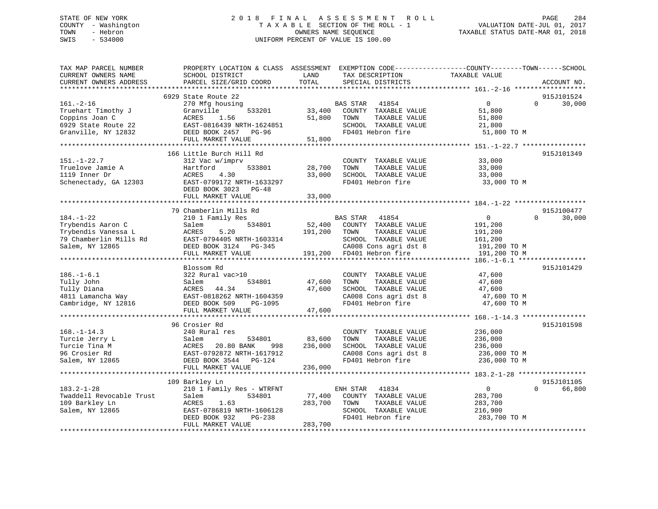# STATE OF NEW YORK 2 0 1 8 F I N A L A S S E S S M E N T R O L L PAGE 284 COUNTY - Washington T A X A B L E SECTION OF THE ROLL - 1 VALUATION DATE-JUL 01, 2017 TOWN - Hebron OWNERS NAME SEQUENCE TAXABLE STATUS DATE-MAR 01, 2018 SWIS - 534000 UNIFORM PERCENT OF VALUE IS 100.00

| TAX MAP PARCEL NUMBER<br>CURRENT OWNERS NAME<br>CURRENT OWNERS ADDRESS                                   | PROPERTY LOCATION & CLASS ASSESSMENT<br>SCHOOL DISTRICT<br>PARCEL SIZE/GRID COORD                                                                               | LAND<br>TOTAL                | EXEMPTION CODE-----------------COUNTY-------TOWN------SCHOOL<br>TAX DESCRIPTION<br>SPECIAL DISTRICTS                                            | TAXABLE VALUE                                                                 | ACCOUNT NO.                      |
|----------------------------------------------------------------------------------------------------------|-----------------------------------------------------------------------------------------------------------------------------------------------------------------|------------------------------|-------------------------------------------------------------------------------------------------------------------------------------------------|-------------------------------------------------------------------------------|----------------------------------|
| *************************                                                                                |                                                                                                                                                                 |                              |                                                                                                                                                 |                                                                               |                                  |
| $161. - 2 - 16$<br>Truehart Timothy J<br>Coppins Joan C<br>6929 State Route 22<br>Granville, NY 12832    | 6929 State Route 22<br>270 Mfg housing<br>Granville<br>533201<br>ACRES<br>1.56<br>EAST-0816439 NRTH-1624851<br>DEED BOOK 2457<br>PG-96<br>FULL MARKET VALUE     | 33,400<br>51,800<br>51,800   | <b>BAS STAR</b><br>41854<br>COUNTY TAXABLE VALUE<br>TAXABLE VALUE<br>TOWN<br>SCHOOL TAXABLE VALUE<br>FD401 Hebron fire                          | $\mathbf 0$<br>51,800<br>51,800<br>21,800<br>51,800 TO M                      | 915J101524<br>$\Omega$<br>30,000 |
|                                                                                                          |                                                                                                                                                                 |                              |                                                                                                                                                 |                                                                               |                                  |
| $151. - 1 - 22.7$<br>Truelove Jamie A<br>1119 Inner Dr<br>Schenectady, GA 12303                          | 166 Little Burch Hill Rd<br>312 Vac w/imprv<br>Hartford<br>533801<br>4.30<br>ACRES<br>EAST-0799172 NRTH-1633297<br>DEED BOOK 3023<br>PG-48<br>FULL MARKET VALUE | 28,700<br>33,000<br>33,000   | COUNTY TAXABLE VALUE<br>TOWN<br>TAXABLE VALUE<br>SCHOOL TAXABLE VALUE<br>FD401 Hebron fire                                                      | 33,000<br>33,000<br>33,000<br>33,000 TO M                                     | 915J101349                       |
|                                                                                                          |                                                                                                                                                                 |                              |                                                                                                                                                 |                                                                               |                                  |
|                                                                                                          | 79 Chamberlin Mills Rd                                                                                                                                          |                              |                                                                                                                                                 |                                                                               | 915J100477                       |
| $184. - 1 - 22$<br>Trybendis Aaron C<br>Trybendis Vanessa L<br>79 Chamberlin Mills Rd<br>Salem, NY 12865 | 210 1 Family Res<br>534801<br>Salem<br>5.20<br>ACRES<br>EAST-0794405 NRTH-1603314<br>DEED BOOK 3124 PG-345<br>FULL MARKET VALUE                                 | 52,400<br>191,200<br>191,200 | <b>BAS STAR</b><br>41854<br>COUNTY TAXABLE VALUE<br>TOWN<br>TAXABLE VALUE<br>SCHOOL TAXABLE VALUE<br>CA008 Cons agri dst 8<br>FD401 Hebron fire | $\mathbf{0}$<br>191,200<br>191,200<br>161,200<br>191,200 TO M<br>191,200 TO M | 30,000<br>$\Omega$               |
|                                                                                                          | ************************                                                                                                                                        |                              |                                                                                                                                                 |                                                                               |                                  |
| $186. - 1 - 6.1$<br>Tully John<br>Tully Diana<br>4811 Lamancha Way<br>Cambridge, NY 12816                | Blossom Rd<br>322 Rural vac>10<br>534801<br>Salem<br>ACRES 44.34<br>EAST-0818262 NRTH-1604359<br>DEED BOOK 509<br>PG-1095<br>FULL MARKET VALUE                  | 47,600<br>47,600<br>47,600   | COUNTY TAXABLE VALUE<br>TOWN<br>TAXABLE VALUE<br>SCHOOL TAXABLE VALUE<br>CA008 Cons agri dst 8<br>FD401 Hebron fire                             | 47,600<br>47,600<br>47,600<br>47,600 TO M<br>47,600 TO M                      | 915J101429                       |
|                                                                                                          | **************************                                                                                                                                      |                              |                                                                                                                                                 |                                                                               |                                  |
| $168. - 1 - 14.3$<br>Turcie Jerry L<br>Turcie Tina M<br>96 Crosier Rd<br>Salem, NY 12865                 | 96 Crosier Rd<br>240 Rural res<br>534801<br>Salem<br>ACRES<br>20.80 BANK<br>998<br>EAST-0792872 NRTH-1617912<br>DEED BOOK 3544 PG-124<br>FULL MARKET VALUE      | 83,600<br>236,000<br>236,000 | COUNTY TAXABLE VALUE<br>TOWN<br>TAXABLE VALUE<br>SCHOOL TAXABLE VALUE<br>CA008 Cons agri dst 8<br>FD401 Hebron fire                             | 236,000<br>236,000<br>236,000<br>236,000 ТО М<br>236,000 TO M                 | 915J101598                       |
|                                                                                                          |                                                                                                                                                                 |                              |                                                                                                                                                 |                                                                               |                                  |
| $183.2 - 1 - 28$<br>Twaddell Revocable Trust<br>109 Barkley Ln<br>Salem, NY 12865                        | 109 Barkley Ln<br>210 1 Family Res - WTRFNT<br>534801<br>Salem<br>ACRES<br>1.63<br>EAST-0786819 NRTH-1606128<br>DEED BOOK 932<br>PG-238<br>FULL MARKET VALUE    | 77,400<br>283,700<br>283,700 | ENH STAR<br>41834<br>COUNTY TAXABLE VALUE<br>TOWN<br>TAXABLE VALUE<br>SCHOOL TAXABLE VALUE<br>FD401 Hebron fire                                 | $\overline{0}$<br>283,700<br>283,700<br>216,900<br>283,700 TO M               | 915J101105<br>$\Omega$<br>66,800 |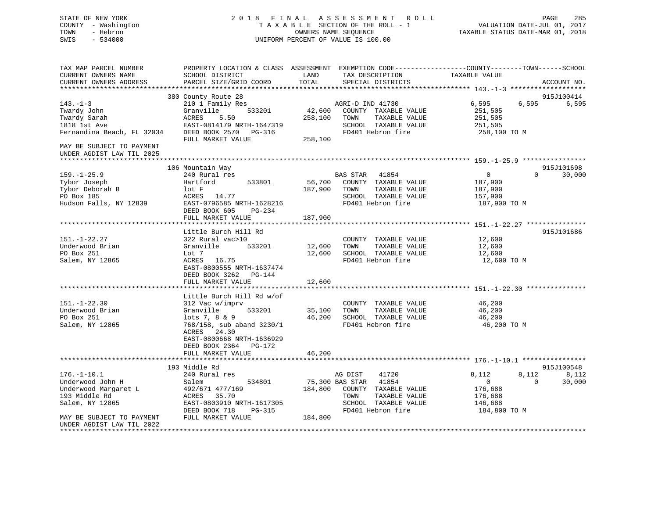# STATE OF NEW YORK 2 0 1 8 F I N A L A S S E S S M E N T R O L L PAGE 285 COUNTY - Washington T A X A B L E SECTION OF THE ROLL - 1 VALUATION DATE-JUL 01, 2017 TOWN - Hebron OWNERS NAME SEQUENCE TAXABLE STATUS DATE-MAR 01, 2018 SWIS - 534000 UNIFORM PERCENT OF VALUE IS 100.00

| 915J100414<br>380 County Route 28<br>6,595<br>6,595<br>$143. - 1 - 3$<br>210 1 Family Res<br>AGRI-D IND 41730<br>6,595<br>Twardy John<br>Granville<br>533201<br>42,600<br>COUNTY TAXABLE VALUE<br>251,505<br>ACRES<br>5.50<br>258,100<br>TAXABLE VALUE<br>251,505<br>Twardy Sarah<br>TOWN<br>EAST-0814179 NRTH-1647319<br>SCHOOL TAXABLE VALUE<br>251,505<br>1818 1st Ave<br>DEED BOOK 2570<br>FD401 Hebron fire<br>Fernandina Beach, FL 32034<br>258,100 TO M<br>PG-316<br>FULL MARKET VALUE<br>258,100<br>MAY BE SUBJECT TO PAYMENT<br>UNDER AGDIST LAW TIL 2025<br>915J101698<br>106 Mountain Way<br>$159. - 1 - 25.9$<br>240 Rural res<br><b>BAS STAR</b><br>41854<br>$\overline{0}$<br>$\Omega$<br>30,000<br>533801<br>56,700<br>COUNTY TAXABLE VALUE<br>Tybor Joseph<br>Hartford<br>187,900<br>Tybor Deborah B<br>187,900<br>TAXABLE VALUE<br>lot F<br>TOWN<br>187,900<br>PO Box 185<br>ACRES 14.77<br>SCHOOL TAXABLE VALUE<br>157,900<br>Hudson Falls, NY 12839<br>FD401 Hebron fire<br>EAST-0796585 NRTH-1628216<br>187,900 TO M<br>DEED BOOK 605<br>PG-234<br>187,900<br>FULL MARKET VALUE<br>Little Burch Hill Rd<br>915J101686<br>$151. - 1 - 22.27$<br>12,600<br>322 Rural vac>10<br>COUNTY TAXABLE VALUE<br>Underwood Brian<br>533201<br>TAXABLE VALUE<br>Granville<br>12,600<br>TOWN<br>12,600<br>PO Box 251<br>Lot 7<br>12,600<br>SCHOOL TAXABLE VALUE<br>12,600<br>16.75<br>FD401 Hebron fire<br>Salem, NY 12865<br>ACRES<br>12,600 TO M<br>EAST-0800555 NRTH-1637474<br>DEED BOOK 3262<br>PG-144<br>FULL MARKET VALUE<br>12,600<br>Little Burch Hill Rd w/of<br>$151. - 1 - 22.30$<br>312 Vac w/imprv<br>COUNTY TAXABLE VALUE<br>46,200<br>Underwood Brian<br>Granville<br>533201<br>35,100<br>TOWN<br>TAXABLE VALUE<br>46,200<br>PO Box 251<br>46,200<br>SCHOOL TAXABLE VALUE<br>$lots 7, 8 \& 9$<br>46,200<br>Salem, NY 12865<br>768/158, sub aband 3230/1<br>FD401 Hebron fire<br>46,200 TO M<br>ACRES<br>24.30<br>EAST-0800668 NRTH-1636929<br>DEED BOOK 2364 PG-172<br>46,200<br>FULL MARKET VALUE<br>915J100548<br>193 Middle Rd<br>$176. - 1 - 10.1$<br>41720<br>8,112<br>8,112<br>8,112<br>240 Rural res<br>AG DIST<br>Underwood John H<br>75,300 BAS STAR<br>41854<br>$\overline{0}$<br>$\Omega$<br>30,000<br>Salem<br>534801<br>184,800<br>COUNTY TAXABLE VALUE<br>Underwood Margaret L<br>492/671 477/169<br>176,688<br>193 Middle Rd<br>35.70<br>ACRES<br>TOWN<br>TAXABLE VALUE<br>176,688<br>Salem, NY 12865<br>EAST-0803910 NRTH-1617305<br>SCHOOL TAXABLE VALUE<br>146,688<br>DEED BOOK 718<br><b>PG-315</b><br>FD401 Hebron fire<br>184,800 TO M<br>184,800<br>MAY BE SUBJECT TO PAYMENT<br>FULL MARKET VALUE<br>UNDER AGDIST LAW TIL 2022 | TAX MAP PARCEL NUMBER<br>CURRENT OWNERS NAME<br>CURRENT OWNERS ADDRESS | SCHOOL DISTRICT<br>PARCEL SIZE/GRID COORD | LAND<br>TAX DESCRIPTION<br>TOTAL<br>SPECIAL DISTRICTS | PROPERTY LOCATION & CLASS ASSESSMENT EXEMPTION CODE----------------COUNTY-------TOWN------SCHOOL<br>TAXABLE VALUE<br>ACCOUNT NO. |
|-----------------------------------------------------------------------------------------------------------------------------------------------------------------------------------------------------------------------------------------------------------------------------------------------------------------------------------------------------------------------------------------------------------------------------------------------------------------------------------------------------------------------------------------------------------------------------------------------------------------------------------------------------------------------------------------------------------------------------------------------------------------------------------------------------------------------------------------------------------------------------------------------------------------------------------------------------------------------------------------------------------------------------------------------------------------------------------------------------------------------------------------------------------------------------------------------------------------------------------------------------------------------------------------------------------------------------------------------------------------------------------------------------------------------------------------------------------------------------------------------------------------------------------------------------------------------------------------------------------------------------------------------------------------------------------------------------------------------------------------------------------------------------------------------------------------------------------------------------------------------------------------------------------------------------------------------------------------------------------------------------------------------------------------------------------------------------------------------------------------------------------------------------------------------------------------------------------------------------------------------------------------------------------------------------------------------------------------------------------------------------------------------------------------------------------------------------------------------------------------------------------------------------------------------------------------------------------------------------------------------------------------------------------------------------|------------------------------------------------------------------------|-------------------------------------------|-------------------------------------------------------|----------------------------------------------------------------------------------------------------------------------------------|
|                                                                                                                                                                                                                                                                                                                                                                                                                                                                                                                                                                                                                                                                                                                                                                                                                                                                                                                                                                                                                                                                                                                                                                                                                                                                                                                                                                                                                                                                                                                                                                                                                                                                                                                                                                                                                                                                                                                                                                                                                                                                                                                                                                                                                                                                                                                                                                                                                                                                                                                                                                                                                                                                             |                                                                        |                                           |                                                       |                                                                                                                                  |
|                                                                                                                                                                                                                                                                                                                                                                                                                                                                                                                                                                                                                                                                                                                                                                                                                                                                                                                                                                                                                                                                                                                                                                                                                                                                                                                                                                                                                                                                                                                                                                                                                                                                                                                                                                                                                                                                                                                                                                                                                                                                                                                                                                                                                                                                                                                                                                                                                                                                                                                                                                                                                                                                             |                                                                        |                                           |                                                       |                                                                                                                                  |
|                                                                                                                                                                                                                                                                                                                                                                                                                                                                                                                                                                                                                                                                                                                                                                                                                                                                                                                                                                                                                                                                                                                                                                                                                                                                                                                                                                                                                                                                                                                                                                                                                                                                                                                                                                                                                                                                                                                                                                                                                                                                                                                                                                                                                                                                                                                                                                                                                                                                                                                                                                                                                                                                             |                                                                        |                                           |                                                       |                                                                                                                                  |
|                                                                                                                                                                                                                                                                                                                                                                                                                                                                                                                                                                                                                                                                                                                                                                                                                                                                                                                                                                                                                                                                                                                                                                                                                                                                                                                                                                                                                                                                                                                                                                                                                                                                                                                                                                                                                                                                                                                                                                                                                                                                                                                                                                                                                                                                                                                                                                                                                                                                                                                                                                                                                                                                             |                                                                        |                                           |                                                       |                                                                                                                                  |
|                                                                                                                                                                                                                                                                                                                                                                                                                                                                                                                                                                                                                                                                                                                                                                                                                                                                                                                                                                                                                                                                                                                                                                                                                                                                                                                                                                                                                                                                                                                                                                                                                                                                                                                                                                                                                                                                                                                                                                                                                                                                                                                                                                                                                                                                                                                                                                                                                                                                                                                                                                                                                                                                             |                                                                        |                                           |                                                       |                                                                                                                                  |
|                                                                                                                                                                                                                                                                                                                                                                                                                                                                                                                                                                                                                                                                                                                                                                                                                                                                                                                                                                                                                                                                                                                                                                                                                                                                                                                                                                                                                                                                                                                                                                                                                                                                                                                                                                                                                                                                                                                                                                                                                                                                                                                                                                                                                                                                                                                                                                                                                                                                                                                                                                                                                                                                             |                                                                        |                                           |                                                       |                                                                                                                                  |
|                                                                                                                                                                                                                                                                                                                                                                                                                                                                                                                                                                                                                                                                                                                                                                                                                                                                                                                                                                                                                                                                                                                                                                                                                                                                                                                                                                                                                                                                                                                                                                                                                                                                                                                                                                                                                                                                                                                                                                                                                                                                                                                                                                                                                                                                                                                                                                                                                                                                                                                                                                                                                                                                             |                                                                        |                                           |                                                       |                                                                                                                                  |
|                                                                                                                                                                                                                                                                                                                                                                                                                                                                                                                                                                                                                                                                                                                                                                                                                                                                                                                                                                                                                                                                                                                                                                                                                                                                                                                                                                                                                                                                                                                                                                                                                                                                                                                                                                                                                                                                                                                                                                                                                                                                                                                                                                                                                                                                                                                                                                                                                                                                                                                                                                                                                                                                             |                                                                        |                                           |                                                       |                                                                                                                                  |
|                                                                                                                                                                                                                                                                                                                                                                                                                                                                                                                                                                                                                                                                                                                                                                                                                                                                                                                                                                                                                                                                                                                                                                                                                                                                                                                                                                                                                                                                                                                                                                                                                                                                                                                                                                                                                                                                                                                                                                                                                                                                                                                                                                                                                                                                                                                                                                                                                                                                                                                                                                                                                                                                             |                                                                        |                                           |                                                       |                                                                                                                                  |
|                                                                                                                                                                                                                                                                                                                                                                                                                                                                                                                                                                                                                                                                                                                                                                                                                                                                                                                                                                                                                                                                                                                                                                                                                                                                                                                                                                                                                                                                                                                                                                                                                                                                                                                                                                                                                                                                                                                                                                                                                                                                                                                                                                                                                                                                                                                                                                                                                                                                                                                                                                                                                                                                             |                                                                        |                                           |                                                       |                                                                                                                                  |
|                                                                                                                                                                                                                                                                                                                                                                                                                                                                                                                                                                                                                                                                                                                                                                                                                                                                                                                                                                                                                                                                                                                                                                                                                                                                                                                                                                                                                                                                                                                                                                                                                                                                                                                                                                                                                                                                                                                                                                                                                                                                                                                                                                                                                                                                                                                                                                                                                                                                                                                                                                                                                                                                             |                                                                        |                                           |                                                       |                                                                                                                                  |
|                                                                                                                                                                                                                                                                                                                                                                                                                                                                                                                                                                                                                                                                                                                                                                                                                                                                                                                                                                                                                                                                                                                                                                                                                                                                                                                                                                                                                                                                                                                                                                                                                                                                                                                                                                                                                                                                                                                                                                                                                                                                                                                                                                                                                                                                                                                                                                                                                                                                                                                                                                                                                                                                             |                                                                        |                                           |                                                       |                                                                                                                                  |
|                                                                                                                                                                                                                                                                                                                                                                                                                                                                                                                                                                                                                                                                                                                                                                                                                                                                                                                                                                                                                                                                                                                                                                                                                                                                                                                                                                                                                                                                                                                                                                                                                                                                                                                                                                                                                                                                                                                                                                                                                                                                                                                                                                                                                                                                                                                                                                                                                                                                                                                                                                                                                                                                             |                                                                        |                                           |                                                       |                                                                                                                                  |
|                                                                                                                                                                                                                                                                                                                                                                                                                                                                                                                                                                                                                                                                                                                                                                                                                                                                                                                                                                                                                                                                                                                                                                                                                                                                                                                                                                                                                                                                                                                                                                                                                                                                                                                                                                                                                                                                                                                                                                                                                                                                                                                                                                                                                                                                                                                                                                                                                                                                                                                                                                                                                                                                             |                                                                        |                                           |                                                       |                                                                                                                                  |
|                                                                                                                                                                                                                                                                                                                                                                                                                                                                                                                                                                                                                                                                                                                                                                                                                                                                                                                                                                                                                                                                                                                                                                                                                                                                                                                                                                                                                                                                                                                                                                                                                                                                                                                                                                                                                                                                                                                                                                                                                                                                                                                                                                                                                                                                                                                                                                                                                                                                                                                                                                                                                                                                             |                                                                        |                                           |                                                       |                                                                                                                                  |
|                                                                                                                                                                                                                                                                                                                                                                                                                                                                                                                                                                                                                                                                                                                                                                                                                                                                                                                                                                                                                                                                                                                                                                                                                                                                                                                                                                                                                                                                                                                                                                                                                                                                                                                                                                                                                                                                                                                                                                                                                                                                                                                                                                                                                                                                                                                                                                                                                                                                                                                                                                                                                                                                             |                                                                        |                                           |                                                       |                                                                                                                                  |
|                                                                                                                                                                                                                                                                                                                                                                                                                                                                                                                                                                                                                                                                                                                                                                                                                                                                                                                                                                                                                                                                                                                                                                                                                                                                                                                                                                                                                                                                                                                                                                                                                                                                                                                                                                                                                                                                                                                                                                                                                                                                                                                                                                                                                                                                                                                                                                                                                                                                                                                                                                                                                                                                             |                                                                        |                                           |                                                       |                                                                                                                                  |
|                                                                                                                                                                                                                                                                                                                                                                                                                                                                                                                                                                                                                                                                                                                                                                                                                                                                                                                                                                                                                                                                                                                                                                                                                                                                                                                                                                                                                                                                                                                                                                                                                                                                                                                                                                                                                                                                                                                                                                                                                                                                                                                                                                                                                                                                                                                                                                                                                                                                                                                                                                                                                                                                             |                                                                        |                                           |                                                       |                                                                                                                                  |
|                                                                                                                                                                                                                                                                                                                                                                                                                                                                                                                                                                                                                                                                                                                                                                                                                                                                                                                                                                                                                                                                                                                                                                                                                                                                                                                                                                                                                                                                                                                                                                                                                                                                                                                                                                                                                                                                                                                                                                                                                                                                                                                                                                                                                                                                                                                                                                                                                                                                                                                                                                                                                                                                             |                                                                        |                                           |                                                       |                                                                                                                                  |
|                                                                                                                                                                                                                                                                                                                                                                                                                                                                                                                                                                                                                                                                                                                                                                                                                                                                                                                                                                                                                                                                                                                                                                                                                                                                                                                                                                                                                                                                                                                                                                                                                                                                                                                                                                                                                                                                                                                                                                                                                                                                                                                                                                                                                                                                                                                                                                                                                                                                                                                                                                                                                                                                             |                                                                        |                                           |                                                       |                                                                                                                                  |
|                                                                                                                                                                                                                                                                                                                                                                                                                                                                                                                                                                                                                                                                                                                                                                                                                                                                                                                                                                                                                                                                                                                                                                                                                                                                                                                                                                                                                                                                                                                                                                                                                                                                                                                                                                                                                                                                                                                                                                                                                                                                                                                                                                                                                                                                                                                                                                                                                                                                                                                                                                                                                                                                             |                                                                        |                                           |                                                       |                                                                                                                                  |
|                                                                                                                                                                                                                                                                                                                                                                                                                                                                                                                                                                                                                                                                                                                                                                                                                                                                                                                                                                                                                                                                                                                                                                                                                                                                                                                                                                                                                                                                                                                                                                                                                                                                                                                                                                                                                                                                                                                                                                                                                                                                                                                                                                                                                                                                                                                                                                                                                                                                                                                                                                                                                                                                             |                                                                        |                                           |                                                       |                                                                                                                                  |
|                                                                                                                                                                                                                                                                                                                                                                                                                                                                                                                                                                                                                                                                                                                                                                                                                                                                                                                                                                                                                                                                                                                                                                                                                                                                                                                                                                                                                                                                                                                                                                                                                                                                                                                                                                                                                                                                                                                                                                                                                                                                                                                                                                                                                                                                                                                                                                                                                                                                                                                                                                                                                                                                             |                                                                        |                                           |                                                       |                                                                                                                                  |
|                                                                                                                                                                                                                                                                                                                                                                                                                                                                                                                                                                                                                                                                                                                                                                                                                                                                                                                                                                                                                                                                                                                                                                                                                                                                                                                                                                                                                                                                                                                                                                                                                                                                                                                                                                                                                                                                                                                                                                                                                                                                                                                                                                                                                                                                                                                                                                                                                                                                                                                                                                                                                                                                             |                                                                        |                                           |                                                       |                                                                                                                                  |
|                                                                                                                                                                                                                                                                                                                                                                                                                                                                                                                                                                                                                                                                                                                                                                                                                                                                                                                                                                                                                                                                                                                                                                                                                                                                                                                                                                                                                                                                                                                                                                                                                                                                                                                                                                                                                                                                                                                                                                                                                                                                                                                                                                                                                                                                                                                                                                                                                                                                                                                                                                                                                                                                             |                                                                        |                                           |                                                       |                                                                                                                                  |
|                                                                                                                                                                                                                                                                                                                                                                                                                                                                                                                                                                                                                                                                                                                                                                                                                                                                                                                                                                                                                                                                                                                                                                                                                                                                                                                                                                                                                                                                                                                                                                                                                                                                                                                                                                                                                                                                                                                                                                                                                                                                                                                                                                                                                                                                                                                                                                                                                                                                                                                                                                                                                                                                             |                                                                        |                                           |                                                       |                                                                                                                                  |
|                                                                                                                                                                                                                                                                                                                                                                                                                                                                                                                                                                                                                                                                                                                                                                                                                                                                                                                                                                                                                                                                                                                                                                                                                                                                                                                                                                                                                                                                                                                                                                                                                                                                                                                                                                                                                                                                                                                                                                                                                                                                                                                                                                                                                                                                                                                                                                                                                                                                                                                                                                                                                                                                             |                                                                        |                                           |                                                       |                                                                                                                                  |
|                                                                                                                                                                                                                                                                                                                                                                                                                                                                                                                                                                                                                                                                                                                                                                                                                                                                                                                                                                                                                                                                                                                                                                                                                                                                                                                                                                                                                                                                                                                                                                                                                                                                                                                                                                                                                                                                                                                                                                                                                                                                                                                                                                                                                                                                                                                                                                                                                                                                                                                                                                                                                                                                             |                                                                        |                                           |                                                       |                                                                                                                                  |
|                                                                                                                                                                                                                                                                                                                                                                                                                                                                                                                                                                                                                                                                                                                                                                                                                                                                                                                                                                                                                                                                                                                                                                                                                                                                                                                                                                                                                                                                                                                                                                                                                                                                                                                                                                                                                                                                                                                                                                                                                                                                                                                                                                                                                                                                                                                                                                                                                                                                                                                                                                                                                                                                             |                                                                        |                                           |                                                       |                                                                                                                                  |
|                                                                                                                                                                                                                                                                                                                                                                                                                                                                                                                                                                                                                                                                                                                                                                                                                                                                                                                                                                                                                                                                                                                                                                                                                                                                                                                                                                                                                                                                                                                                                                                                                                                                                                                                                                                                                                                                                                                                                                                                                                                                                                                                                                                                                                                                                                                                                                                                                                                                                                                                                                                                                                                                             |                                                                        |                                           |                                                       |                                                                                                                                  |
|                                                                                                                                                                                                                                                                                                                                                                                                                                                                                                                                                                                                                                                                                                                                                                                                                                                                                                                                                                                                                                                                                                                                                                                                                                                                                                                                                                                                                                                                                                                                                                                                                                                                                                                                                                                                                                                                                                                                                                                                                                                                                                                                                                                                                                                                                                                                                                                                                                                                                                                                                                                                                                                                             |                                                                        |                                           |                                                       |                                                                                                                                  |
|                                                                                                                                                                                                                                                                                                                                                                                                                                                                                                                                                                                                                                                                                                                                                                                                                                                                                                                                                                                                                                                                                                                                                                                                                                                                                                                                                                                                                                                                                                                                                                                                                                                                                                                                                                                                                                                                                                                                                                                                                                                                                                                                                                                                                                                                                                                                                                                                                                                                                                                                                                                                                                                                             |                                                                        |                                           |                                                       |                                                                                                                                  |
|                                                                                                                                                                                                                                                                                                                                                                                                                                                                                                                                                                                                                                                                                                                                                                                                                                                                                                                                                                                                                                                                                                                                                                                                                                                                                                                                                                                                                                                                                                                                                                                                                                                                                                                                                                                                                                                                                                                                                                                                                                                                                                                                                                                                                                                                                                                                                                                                                                                                                                                                                                                                                                                                             |                                                                        |                                           |                                                       |                                                                                                                                  |
|                                                                                                                                                                                                                                                                                                                                                                                                                                                                                                                                                                                                                                                                                                                                                                                                                                                                                                                                                                                                                                                                                                                                                                                                                                                                                                                                                                                                                                                                                                                                                                                                                                                                                                                                                                                                                                                                                                                                                                                                                                                                                                                                                                                                                                                                                                                                                                                                                                                                                                                                                                                                                                                                             |                                                                        |                                           |                                                       |                                                                                                                                  |
|                                                                                                                                                                                                                                                                                                                                                                                                                                                                                                                                                                                                                                                                                                                                                                                                                                                                                                                                                                                                                                                                                                                                                                                                                                                                                                                                                                                                                                                                                                                                                                                                                                                                                                                                                                                                                                                                                                                                                                                                                                                                                                                                                                                                                                                                                                                                                                                                                                                                                                                                                                                                                                                                             |                                                                        |                                           |                                                       |                                                                                                                                  |
|                                                                                                                                                                                                                                                                                                                                                                                                                                                                                                                                                                                                                                                                                                                                                                                                                                                                                                                                                                                                                                                                                                                                                                                                                                                                                                                                                                                                                                                                                                                                                                                                                                                                                                                                                                                                                                                                                                                                                                                                                                                                                                                                                                                                                                                                                                                                                                                                                                                                                                                                                                                                                                                                             |                                                                        |                                           |                                                       |                                                                                                                                  |
|                                                                                                                                                                                                                                                                                                                                                                                                                                                                                                                                                                                                                                                                                                                                                                                                                                                                                                                                                                                                                                                                                                                                                                                                                                                                                                                                                                                                                                                                                                                                                                                                                                                                                                                                                                                                                                                                                                                                                                                                                                                                                                                                                                                                                                                                                                                                                                                                                                                                                                                                                                                                                                                                             |                                                                        |                                           |                                                       |                                                                                                                                  |
|                                                                                                                                                                                                                                                                                                                                                                                                                                                                                                                                                                                                                                                                                                                                                                                                                                                                                                                                                                                                                                                                                                                                                                                                                                                                                                                                                                                                                                                                                                                                                                                                                                                                                                                                                                                                                                                                                                                                                                                                                                                                                                                                                                                                                                                                                                                                                                                                                                                                                                                                                                                                                                                                             |                                                                        |                                           |                                                       |                                                                                                                                  |
|                                                                                                                                                                                                                                                                                                                                                                                                                                                                                                                                                                                                                                                                                                                                                                                                                                                                                                                                                                                                                                                                                                                                                                                                                                                                                                                                                                                                                                                                                                                                                                                                                                                                                                                                                                                                                                                                                                                                                                                                                                                                                                                                                                                                                                                                                                                                                                                                                                                                                                                                                                                                                                                                             |                                                                        |                                           |                                                       |                                                                                                                                  |
|                                                                                                                                                                                                                                                                                                                                                                                                                                                                                                                                                                                                                                                                                                                                                                                                                                                                                                                                                                                                                                                                                                                                                                                                                                                                                                                                                                                                                                                                                                                                                                                                                                                                                                                                                                                                                                                                                                                                                                                                                                                                                                                                                                                                                                                                                                                                                                                                                                                                                                                                                                                                                                                                             |                                                                        |                                           |                                                       |                                                                                                                                  |
|                                                                                                                                                                                                                                                                                                                                                                                                                                                                                                                                                                                                                                                                                                                                                                                                                                                                                                                                                                                                                                                                                                                                                                                                                                                                                                                                                                                                                                                                                                                                                                                                                                                                                                                                                                                                                                                                                                                                                                                                                                                                                                                                                                                                                                                                                                                                                                                                                                                                                                                                                                                                                                                                             |                                                                        |                                           |                                                       |                                                                                                                                  |
|                                                                                                                                                                                                                                                                                                                                                                                                                                                                                                                                                                                                                                                                                                                                                                                                                                                                                                                                                                                                                                                                                                                                                                                                                                                                                                                                                                                                                                                                                                                                                                                                                                                                                                                                                                                                                                                                                                                                                                                                                                                                                                                                                                                                                                                                                                                                                                                                                                                                                                                                                                                                                                                                             |                                                                        |                                           |                                                       |                                                                                                                                  |
|                                                                                                                                                                                                                                                                                                                                                                                                                                                                                                                                                                                                                                                                                                                                                                                                                                                                                                                                                                                                                                                                                                                                                                                                                                                                                                                                                                                                                                                                                                                                                                                                                                                                                                                                                                                                                                                                                                                                                                                                                                                                                                                                                                                                                                                                                                                                                                                                                                                                                                                                                                                                                                                                             |                                                                        |                                           |                                                       |                                                                                                                                  |
|                                                                                                                                                                                                                                                                                                                                                                                                                                                                                                                                                                                                                                                                                                                                                                                                                                                                                                                                                                                                                                                                                                                                                                                                                                                                                                                                                                                                                                                                                                                                                                                                                                                                                                                                                                                                                                                                                                                                                                                                                                                                                                                                                                                                                                                                                                                                                                                                                                                                                                                                                                                                                                                                             |                                                                        |                                           |                                                       |                                                                                                                                  |
|                                                                                                                                                                                                                                                                                                                                                                                                                                                                                                                                                                                                                                                                                                                                                                                                                                                                                                                                                                                                                                                                                                                                                                                                                                                                                                                                                                                                                                                                                                                                                                                                                                                                                                                                                                                                                                                                                                                                                                                                                                                                                                                                                                                                                                                                                                                                                                                                                                                                                                                                                                                                                                                                             |                                                                        |                                           |                                                       |                                                                                                                                  |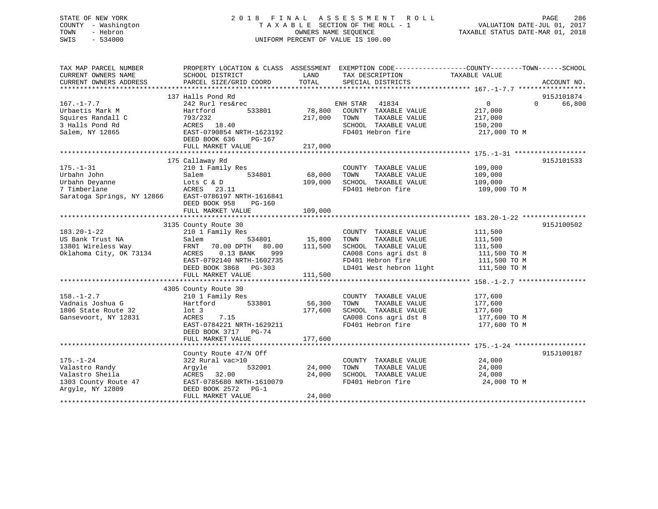# STATE OF NEW YORK 2 0 1 8 F I N A L A S S E S S M E N T R O L L PAGE 286 COUNTY - Washington T A X A B L E SECTION OF THE ROLL - 1 VALUATION DATE-JUL 01, 2017 TOWN - Hebron OWNERS NAME SEQUENCE TAXABLE STATUS DATE-MAR 01, 2018 SWIS - 534000 UNIFORM PERCENT OF VALUE IS 100.00

| TAX MAP PARCEL NUMBER<br>CURRENT OWNERS NAME<br>CURRENT OWNERS ADDRESS | PROPERTY LOCATION & CLASS ASSESSMENT<br>SCHOOL DISTRICT<br>PARCEL SIZE/GRID COORD | LAND<br>TOTAL | EXEMPTION CODE-----------------COUNTY-------TOWN------SCHOOL<br>TAX DESCRIPTION<br>SPECIAL DISTRICTS | TAXABLE VALUE | ACCOUNT NO.        |
|------------------------------------------------------------------------|-----------------------------------------------------------------------------------|---------------|------------------------------------------------------------------------------------------------------|---------------|--------------------|
|                                                                        |                                                                                   |               |                                                                                                      |               |                    |
|                                                                        | 137 Halls Pond Rd                                                                 |               |                                                                                                      |               | 915J101874         |
| $167. - 1 - 7.7$                                                       | 242 Rurl res&rec                                                                  |               | ENH STAR<br>41834                                                                                    | $\Omega$      | 66,800<br>$\Omega$ |
| Urbaetis Mark M                                                        | Hartford<br>533801                                                                | 78,800        | COUNTY TAXABLE VALUE                                                                                 | 217,000       |                    |
| Squires Randall C                                                      | 793/232                                                                           | 217,000       | TOWN<br>TAXABLE VALUE                                                                                | 217,000       |                    |
| 3 Halls Pond Rd                                                        | ACRES 18.40                                                                       |               | SCHOOL TAXABLE VALUE                                                                                 | 150,200       |                    |
| Salem, NY 12865                                                        | EAST-0790854 NRTH-1623192                                                         |               | FD401 Hebron fire                                                                                    | 217,000 TO M  |                    |
|                                                                        | DEED BOOK 636<br>PG-167                                                           |               |                                                                                                      |               |                    |
|                                                                        | FULL MARKET VALUE                                                                 | 217,000       |                                                                                                      |               |                    |
|                                                                        |                                                                                   |               |                                                                                                      |               |                    |
|                                                                        | 175 Callaway Rd                                                                   |               |                                                                                                      |               | 915J101533         |
| $175. - 1 - 31$                                                        | 210 1 Family Res                                                                  |               | COUNTY TAXABLE VALUE                                                                                 | 109,000       |                    |
| Urbahn John                                                            | 534801<br>Salem                                                                   | 68,000        | TAXABLE VALUE<br>TOWN                                                                                | 109,000       |                    |
| Urbahn Deyanne                                                         | Lots C & D                                                                        | 109,000       | SCHOOL TAXABLE VALUE                                                                                 | 109,000       |                    |
| 7 Timberlane                                                           | ACRES<br>23.11                                                                    |               | FD401 Hebron fire                                                                                    | 109,000 TO M  |                    |
| Saratoga Springs, NY 12866                                             | EAST-0786197 NRTH-1616841                                                         |               |                                                                                                      |               |                    |
|                                                                        | DEED BOOK 958                                                                     |               |                                                                                                      |               |                    |
|                                                                        | PG-160                                                                            |               |                                                                                                      |               |                    |
|                                                                        | FULL MARKET VALUE                                                                 | 109,000       |                                                                                                      |               |                    |
|                                                                        |                                                                                   |               |                                                                                                      |               |                    |
|                                                                        | 3135 County Route 30                                                              |               |                                                                                                      |               | 915J100502         |
| $183.20 - 1 - 22$                                                      | 210 1 Family Res                                                                  |               | COUNTY TAXABLE VALUE                                                                                 | 111,500       |                    |
| US Bank Trust NA                                                       | 534801<br>Salem                                                                   | 15,800        | TOWN<br>TAXABLE VALUE                                                                                | 111,500       |                    |
| 13801 Wireless Way                                                     | FRNT<br>70.00 DPTH<br>80.00                                                       | 111,500       | SCHOOL TAXABLE VALUE                                                                                 | 111,500       |                    |
| Oklahoma City, OK 73134                                                | ACRES<br>$0.13$ BANK<br>999                                                       |               | CA008 Cons agri dst 8                                                                                | 111,500 TO M  |                    |
|                                                                        | EAST-0792140 NRTH-1602735                                                         |               | FD401 Hebron fire                                                                                    | 111,500 TO M  |                    |
|                                                                        | DEED BOOK 3868 PG-303                                                             |               | LD401 West hebron light                                                                              | 111,500 TO M  |                    |
|                                                                        | FULL MARKET VALUE                                                                 | 111,500       |                                                                                                      |               |                    |
|                                                                        |                                                                                   |               |                                                                                                      |               |                    |
|                                                                        | 4305 County Route 30                                                              |               |                                                                                                      |               |                    |
| $158. - 1 - 2.7$                                                       | 210 1 Family Res                                                                  |               | COUNTY TAXABLE VALUE                                                                                 | 177,600       |                    |
| Vadnais Joshua G                                                       | 533801<br>Hartford                                                                | 56,300        | TAXABLE VALUE<br>TOWN                                                                                | 177,600       |                    |
| 1806 State Route 32                                                    | $1$ ot $3$                                                                        | 177,600       | SCHOOL TAXABLE VALUE                                                                                 | 177,600       |                    |
| Gansevoort, NY 12831                                                   | ACRES<br>7.15                                                                     |               | CA008 Cons agri dst 8                                                                                | 177,600 TO M  |                    |
|                                                                        | EAST-0784221 NRTH-1629211                                                         |               | FD401 Hebron fire                                                                                    | 177,600 TO M  |                    |
|                                                                        | DEED BOOK 3717 PG-74                                                              |               |                                                                                                      |               |                    |
|                                                                        | FULL MARKET VALUE                                                                 | 177,600       |                                                                                                      |               |                    |
|                                                                        |                                                                                   |               |                                                                                                      |               |                    |
|                                                                        |                                                                                   |               |                                                                                                      |               |                    |
|                                                                        | County Route 47/N Off                                                             |               |                                                                                                      |               | 915J100187         |
| $175. - 1 - 24$                                                        | 322 Rural vac>10                                                                  |               | COUNTY TAXABLE VALUE                                                                                 | 24,000        |                    |
| Valastro Randy                                                         | 532001<br>Argyle                                                                  | 24,000        | TAXABLE VALUE<br>TOWN                                                                                | 24,000        |                    |
| Valastro Sheila                                                        | 32.00<br>ACRES                                                                    | 24,000        | SCHOOL TAXABLE VALUE                                                                                 | 24,000        |                    |
| 1303 County Route 47                                                   | EAST-0785680 NRTH-1610079                                                         |               | FD401 Hebron fire                                                                                    | 24,000 TO M   |                    |
| Argyle, NY 12809                                                       | DEED BOOK 2572<br>$PG-1$                                                          |               |                                                                                                      |               |                    |
|                                                                        | FULL MARKET VALUE                                                                 | 24,000        |                                                                                                      |               |                    |
|                                                                        |                                                                                   |               |                                                                                                      |               |                    |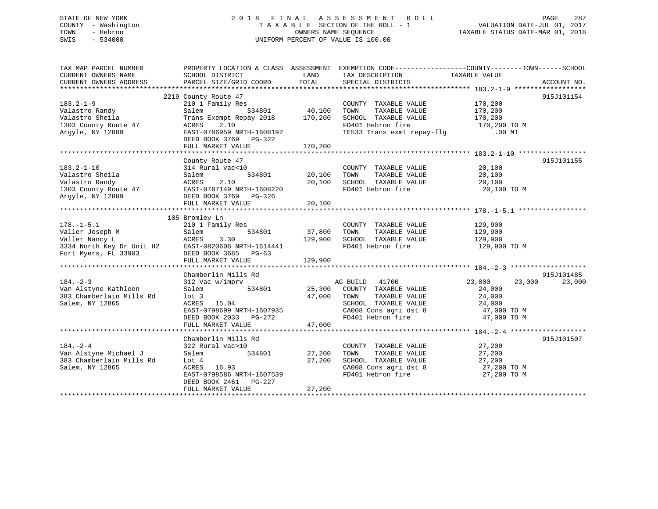#### STATE OF NEW YORK 2 0 1 8 F I N A L A S S E S S M E N T R O L L PAGE 287COUNTY - Washington T A X A B L E SECTION OF THE ROLL - 1 TOWN - Hebron **CONNERS NAME SEQUENCE** TAXABLE STATUS DATE-MAR 01, 2018 SWIS - 534000 UNIFORM PERCENT OF VALUE IS 100.00

VALUATION DATE-JUL 01, 2017

| TAX MAP PARCEL NUMBER                                                                                                                                                                                                                              |                                           |               |                                                    | PROPERTY LOCATION & CLASS ASSESSMENT EXEMPTION CODE----------------COUNTY-------TOWN------SCHOOL |             |
|----------------------------------------------------------------------------------------------------------------------------------------------------------------------------------------------------------------------------------------------------|-------------------------------------------|---------------|----------------------------------------------------|--------------------------------------------------------------------------------------------------|-------------|
| CURRENT OWNERS NAME<br>CURRENT OWNERS ADDRESS                                                                                                                                                                                                      | SCHOOL DISTRICT<br>PARCEL SIZE/GRID COORD | LAND<br>TOTAL | TAX DESCRIPTION TAXABLE VALUE<br>SPECIAL DISTRICTS |                                                                                                  | ACCOUNT NO. |
|                                                                                                                                                                                                                                                    |                                           |               |                                                    |                                                                                                  |             |
|                                                                                                                                                                                                                                                    | 2219 County Route 47                      |               |                                                    |                                                                                                  | 915J101154  |
| $183.2 - 1 - 9$                                                                                                                                                                                                                                    | 210 1 Family Res                          |               | COUNTY TAXABLE VALUE 170,200                       |                                                                                                  |             |
| Valastro Randy                                                                                                                                                                                                                                     | Salem                                     | 534801 40,100 | TOWN<br>TAXABLE VALUE                              | 170,200                                                                                          |             |
| Valastro Sheila                                                                                                                                                                                                                                    | Trans Exempt Repay 2018 170,200           |               | SCHOOL TAXABLE VALUE                               |                                                                                                  |             |
| 1303 County Route 47                                                                                                                                                                                                                               | 2.10<br>ACRES                             |               | FD401 Hebron fire                                  | 170,200<br>170,200 TO M                                                                          |             |
| Argyle, NY 12809                                                                                                                                                                                                                                   | EAST-0786959 NRTH-1608192                 |               | TE533 Trans exmt repay-flg .00 MT                  |                                                                                                  |             |
|                                                                                                                                                                                                                                                    | DEED BOOK 3769 PG-322                     |               |                                                    |                                                                                                  |             |
|                                                                                                                                                                                                                                                    | FULL MARKET VALUE                         | 170,200       |                                                    |                                                                                                  |             |
|                                                                                                                                                                                                                                                    |                                           |               |                                                    |                                                                                                  |             |
|                                                                                                                                                                                                                                                    | County Route 47                           |               |                                                    |                                                                                                  | 915J101155  |
| $183.2 - 1 - 10$                                                                                                                                                                                                                                   | 314 Rural vac<10                          |               | COUNTY TAXABLE VALUE                               | 20,100                                                                                           |             |
| Valastro Sheila                                                                                                                                                                                                                                    | 534801<br>Salem                           | 20,100        | TOWN<br>TAXABLE VALUE                              | 20,100                                                                                           |             |
| Valastro Randy                                                                                                                                                                                                                                     | 2.10<br>ACRES                             | 20,100        | SCHOOL TAXABLE VALUE                               | 20,100                                                                                           |             |
|                                                                                                                                                                                                                                                    |                                           |               | FD401 Hebron fire                                  | 20,100 TO M                                                                                      |             |
|                                                                                                                                                                                                                                                    |                                           |               |                                                    |                                                                                                  |             |
|                                                                                                                                                                                                                                                    | FULL MARKET VALUE                         | 20,100        |                                                    |                                                                                                  |             |
|                                                                                                                                                                                                                                                    |                                           |               |                                                    |                                                                                                  |             |
|                                                                                                                                                                                                                                                    | 105 Bromley Ln                            |               |                                                    |                                                                                                  |             |
|                                                                                                                                                                                                                                                    |                                           |               | COUNTY TAXABLE VALUE                               | 129,900<br>129,900                                                                               |             |
|                                                                                                                                                                                                                                                    |                                           |               | TOWN<br>TAXABLE VALUE                              |                                                                                                  |             |
|                                                                                                                                                                                                                                                    |                                           | 129,900       | SCHOOL TAXABLE VALUE                               | 129,900                                                                                          |             |
|                                                                                                                                                                                                                                                    |                                           |               | FD401 Hebron fire                                  | 129,900 TO M                                                                                     |             |
|                                                                                                                                                                                                                                                    |                                           |               |                                                    |                                                                                                  |             |
| Valler Joseph M<br>Valler Nancy L<br>Valler Nancy L<br>3334 North Key Dr Unit H2<br>Fort Myers, FL 33903<br>19334 North Key Dr Unit H2<br>Fort Myers, FL 33903<br>19320608 NRTH-1614441<br>1920608 NRTH-1614441<br>1920608 NRTH-1614441<br>1920608 |                                           | 129,900       |                                                    |                                                                                                  |             |
|                                                                                                                                                                                                                                                    |                                           |               |                                                    |                                                                                                  |             |
|                                                                                                                                                                                                                                                    | Chamberlin Mills Rd                       |               |                                                    |                                                                                                  | 915J101485  |
| $184. - 2 - 3$                                                                                                                                                                                                                                     | 312 Vac w/imprv                           |               | AG BUILD 41700                                     | 23,000 23,000                                                                                    | 23,000      |
| Van Alstyne Kathleen                                                                                                                                                                                                                               | Salem                                     |               | 534801 25,300 COUNTY TAXABLE VALUE                 | 24,000                                                                                           |             |
| 383 Chamberlain Mills Rd                                                                                                                                                                                                                           | $1$ ot 3                                  |               | 47,000 TOWN TAXABLE VALUE                          | 24,000                                                                                           |             |
| Salem, NY 12865                                                                                                                                                                                                                                    | ACRES 15.04                               |               | SCHOOL TAXABLE VALUE                               | 24,000                                                                                           |             |
|                                                                                                                                                                                                                                                    | EAST-0798699 NRTH-1607935                 |               | CA008 Cons agri dst 8 47,000 TO M                  |                                                                                                  |             |
|                                                                                                                                                                                                                                                    | DEED BOOK 2033 PG-272                     |               | FD401 Hebron fire                                  | 47,000 TO M                                                                                      |             |
|                                                                                                                                                                                                                                                    | FULL MARKET VALUE                         | 47,000        |                                                    |                                                                                                  |             |
|                                                                                                                                                                                                                                                    |                                           |               |                                                    |                                                                                                  |             |
|                                                                                                                                                                                                                                                    | Chamberlin Mills Rd                       |               |                                                    |                                                                                                  | 915J101507  |
| $184. - 2 - 4$                                                                                                                                                                                                                                     | 322 Rural vac>10                          |               | COUNTY TAXABLE VALUE                               | 27,200                                                                                           |             |
| Van Alstyne Michael J                                                                                                                                                                                                                              | Salem<br>534801                           | 27,200        | TOWN<br>TAXABLE VALUE                              | 27,200                                                                                           |             |
| 383 Chamberlain Mills Rd                                                                                                                                                                                                                           | Lot 4                                     | 27,200        | SCHOOL TAXABLE VALUE                               | 27,200                                                                                           |             |
| Salem, NY 12865                                                                                                                                                                                                                                    | ACRES 16.93                               |               | CA008 Cons agri dst 8                              | 27,200 TO M                                                                                      |             |
|                                                                                                                                                                                                                                                    | EAST-0798586 NRTH-1607539                 |               | FD401 Hebron fire                                  | 27,200 TO M                                                                                      |             |
|                                                                                                                                                                                                                                                    | DEED BOOK 2461 PG-227                     |               |                                                    |                                                                                                  |             |
|                                                                                                                                                                                                                                                    | FULL MARKET VALUE                         | 27,200        |                                                    |                                                                                                  |             |
|                                                                                                                                                                                                                                                    |                                           |               |                                                    |                                                                                                  |             |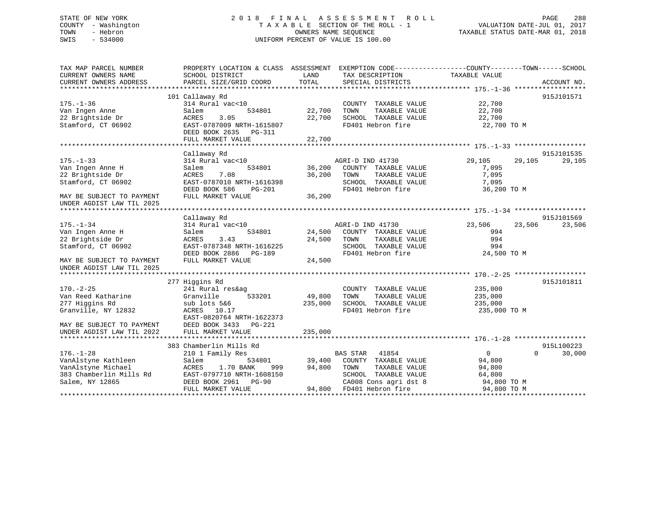# STATE OF NEW YORK 2 0 1 8 F I N A L A S S E S S M E N T R O L L PAGE 288 COUNTY - Washington T A X A B L E SECTION OF THE ROLL - 1 VALUATION DATE-JUL 01, 2017 TOWN - Hebron OWNERS NAME SEQUENCE TAXABLE STATUS DATE-MAR 01, 2018 SWIS - 534000 UNIFORM PERCENT OF VALUE IS 100.00

| TAX MAP PARCEL NUMBER<br>CURRENT OWNERS NAME           | PROPERTY LOCATION & CLASS ASSESSMENT EXEMPTION CODE----------------COUNTY-------TOWN-----SCHOOL<br>SCHOOL DISTRICT | LAND<br>TOTAL | TAX DESCRIPTION          | TAXABLE VALUE        |             |
|--------------------------------------------------------|--------------------------------------------------------------------------------------------------------------------|---------------|--------------------------|----------------------|-------------|
| CURRENT OWNERS ADDRESS                                 | PARCEL SIZE/GRID COORD                                                                                             |               | SPECIAL DISTRICTS        |                      | ACCOUNT NO. |
|                                                        | 101 Callaway Rd                                                                                                    |               |                          |                      | 915J101571  |
| $175. - 1 - 36$                                        | 314 Rural vac<10                                                                                                   |               | COUNTY TAXABLE VALUE     | 22,700               |             |
| Van Ingen Anne                                         | 534801<br>Salem                                                                                                    | 22,700        | TAXABLE VALUE<br>TOWN    | 22,700               |             |
| 22 Brightside Dr                                       | 3.05<br>ACRES                                                                                                      | 22,700        | SCHOOL TAXABLE VALUE     | 22,700               |             |
| Stamford, CT 06902                                     | EAST-0787009 NRTH-1615807                                                                                          |               | FD401 Hebron fire        | 22,700 TO M          |             |
|                                                        | DEED BOOK 2635 PG-311<br>FULL MARKET VALUE                                                                         | 22,700        |                          |                      |             |
|                                                        |                                                                                                                    |               |                          |                      |             |
|                                                        | Callaway Rd                                                                                                        |               |                          |                      | 915J101535  |
| $175. - 1 - 33$                                        | 314 Rural vac<10                                                                                                   |               | AGRI-D IND 41730         | 29,105<br>29,105     | 29,105      |
| Van Ingen Anne H                                       | 534801<br>Salem                                                                                                    | 36,200        | COUNTY TAXABLE VALUE     | 7,095                |             |
| 22 Brightside Dr                                       | ACRES<br>7.08                                                                                                      | 36,200        | TAXABLE VALUE<br>TOWN    | 7,095                |             |
| Stamford, CT 06902                                     | EAST-0787010 NRTH-1616398                                                                                          |               | SCHOOL TAXABLE VALUE     | 7,095                |             |
|                                                        | DEED BOOK 586<br>PG-201                                                                                            |               | FD401 Hebron fire        | 36,200 TO M          |             |
| MAY BE SUBJECT TO PAYMENT                              | FULL MARKET VALUE                                                                                                  | 36,200        |                          |                      |             |
| UNDER AGDIST LAW TIL 2025                              |                                                                                                                    |               |                          |                      |             |
|                                                        |                                                                                                                    |               |                          |                      |             |
|                                                        | Callaway Rd                                                                                                        |               |                          |                      | 915J101569  |
| $175. - 1 - 34$                                        | 314 Rural vac<10                                                                                                   |               | AGRI-D IND 41730         | 23,506<br>23,506     | 23,506      |
| Van Ingen Anne H                                       | 534801<br>Salem                                                                                                    | 24,500        | COUNTY TAXABLE VALUE     | 994                  |             |
| 22 Brightside Dr                                       | ACRES<br>3.43                                                                                                      | 24,500        | TAXABLE VALUE<br>TOWN    | 994                  |             |
| Stamford, CT 06902                                     | EAST-0787348 NRTH-1616225                                                                                          |               | SCHOOL TAXABLE VALUE     | 994                  |             |
|                                                        | DEED BOOK 2886<br>PG-189                                                                                           |               | FD401 Hebron fire        | 24,500 TO M          |             |
| MAY BE SUBJECT TO PAYMENT<br>UNDER AGDIST LAW TIL 2025 | FULL MARKET VALUE                                                                                                  | 24,500        |                          |                      |             |
|                                                        |                                                                                                                    |               |                          |                      |             |
|                                                        | 277 Higgins Rd                                                                                                     |               |                          |                      | 915J101811  |
| $170. - 2 - 25$                                        | 241 Rural res&ag                                                                                                   |               | COUNTY TAXABLE VALUE     | 235,000              |             |
| Van Reed Katharine                                     | 533201<br>Granville                                                                                                | 49,800        | TOWN<br>TAXABLE VALUE    | 235,000              |             |
| 277 Higgins Rd                                         | sub lots 5&6                                                                                                       | 235,000       | SCHOOL TAXABLE VALUE     | 235,000              |             |
| Granville, NY 12832                                    | ACRES 10.17                                                                                                        |               | FD401 Hebron fire        | 235,000 TO M         |             |
|                                                        | EAST-0820764 NRTH-1622373                                                                                          |               |                          |                      |             |
| MAY BE SUBJECT TO PAYMENT                              | DEED BOOK 3433 PG-221                                                                                              |               |                          |                      |             |
| UNDER AGDIST LAW TIL 2022                              | FULL MARKET VALUE                                                                                                  | 235,000       |                          |                      |             |
|                                                        |                                                                                                                    |               |                          |                      |             |
|                                                        | 383 Chamberlin Mills Rd                                                                                            |               |                          |                      | 915L100223  |
| $176. - 1 - 28$                                        | 210 1 Family Res                                                                                                   |               | <b>BAS STAR</b> 41854    | $\Omega$<br>$\Omega$ | 30,000      |
| VanAlstyne Kathleen                                    | 534801<br>Salem                                                                                                    | 39,400        | COUNTY TAXABLE VALUE     | 94,800               |             |
| VanAlstyne Michael                                     | 1.70 BANK<br>ACRES<br>999                                                                                          | 94,800        | TOWN<br>TAXABLE VALUE    | 94,800               |             |
| 383 Chamberlin Mills Rd                                | EAST-0797710 NRTH-1608150                                                                                          |               | SCHOOL TAXABLE VALUE     | 64,800               |             |
| Salem, NY 12865                                        | DEED BOOK 2961 PG-90                                                                                               |               | CA008 Cons agri dst 8    | 94,800 TO M          |             |
|                                                        | FULL MARKET VALUE                                                                                                  |               | 94,800 FD401 Hebron fire | 94,800 TO M          |             |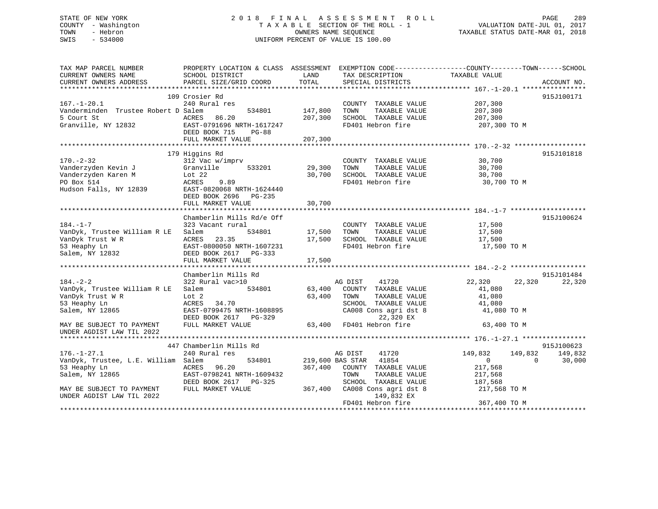## STATE OF NEW YORK 2 0 1 8 F I N A L A S S E S S M E N T R O L L PAGE 289 COUNTY - Washington T A X A B L E SECTION OF THE ROLL - 1 VALUATION DATE-JUL 01, 2017 TOWN - Hebron OWNERS NAME SEQUENCE TAXABLE STATUS DATE-MAR 01, 2018 SWIS - 534000 UNIFORM PERCENT OF VALUE IS 100.00

| TAX MAP PARCEL NUMBER               |                                        |         |                                       | PROPERTY LOCATION & CLASS ASSESSMENT EXEMPTION CODE----------------COUNTY-------TOWN------SCHOOL |             |
|-------------------------------------|----------------------------------------|---------|---------------------------------------|--------------------------------------------------------------------------------------------------|-------------|
| CURRENT OWNERS NAME                 | SCHOOL DISTRICT                        | LAND    | TAX DESCRIPTION                       | TAXABLE VALUE                                                                                    |             |
| CURRENT OWNERS ADDRESS              | PARCEL SIZE/GRID COORD                 | TOTAL   | SPECIAL DISTRICTS                     |                                                                                                  | ACCOUNT NO. |
|                                     |                                        |         |                                       |                                                                                                  |             |
|                                     | 109 Crosier Rd                         |         |                                       |                                                                                                  | 915J100171  |
| $167. - 1 - 20.1$                   | 240 Rural res                          |         | COUNTY TAXABLE VALUE                  | 207,300                                                                                          |             |
| Vanderminden Trustee Robert D Salem | 534801                                 | 147,800 | TOWN<br>TAXABLE VALUE                 | 207,300                                                                                          |             |
| 5 Court St                          | 86.20<br>ACRES                         | 207,300 | SCHOOL TAXABLE VALUE                  | 207,300                                                                                          |             |
| Granville, NY 12832                 | EAST-0791696 NRTH-1617247              |         | FD401 Hebron fire                     | 207,300 TO M                                                                                     |             |
|                                     | DEED BOOK 715<br><b>PG-88</b>          |         |                                       |                                                                                                  |             |
|                                     | FULL MARKET VALUE                      | 207,300 |                                       |                                                                                                  |             |
|                                     |                                        |         |                                       |                                                                                                  | 915J101818  |
| $170. - 2 - 32$                     | 179 Higgins Rd                         |         |                                       | 30,700                                                                                           |             |
| Vanderzyden Kevin J                 | 312 Vac w/imprv<br>Granville<br>533201 | 29,300  | COUNTY TAXABLE VALUE<br>TAXABLE VALUE | 30,700                                                                                           |             |
| Vanderzyden Karen M                 | Lot $22$                               | 30,700  | TOWN<br>SCHOOL TAXABLE VALUE          | 30,700                                                                                           |             |
| PO Box 514                          | ACRES<br>9.89                          |         | FD401 Hebron fire                     |                                                                                                  |             |
| Hudson Falls, NY 12839              | EAST-0820068 NRTH-1624440              |         |                                       | 30,700 TO M                                                                                      |             |
|                                     | DEED BOOK 2696<br>$PG-235$             |         |                                       |                                                                                                  |             |
|                                     | FULL MARKET VALUE                      | 30,700  |                                       |                                                                                                  |             |
|                                     |                                        |         |                                       |                                                                                                  |             |
|                                     | Chamberlin Mills Rd/e Off              |         |                                       |                                                                                                  | 915J100624  |
| $184. - 1 - 7$                      | 323 Vacant rural                       |         | COUNTY TAXABLE VALUE 17,500           |                                                                                                  |             |
| VanDyk, Trustee William R LE        | Salem<br>534801                        | 17,500  | TOWN<br>TAXABLE VALUE                 | 17,500                                                                                           |             |
| VanDyk Trust W R                    | 23.35<br>ACRES                         | 17,500  | SCHOOL TAXABLE VALUE                  | 17,500                                                                                           |             |
| 53 Heaphy Ln                        | EAST-0800050 NRTH-1607231              |         | FD401 Hebron fire                     | 17,500 TO M                                                                                      |             |
| Salem, NY 12832                     | DEED BOOK 2617 PG-333                  |         |                                       |                                                                                                  |             |
|                                     | FULL MARKET VALUE                      | 17,500  |                                       |                                                                                                  |             |
|                                     |                                        |         |                                       |                                                                                                  |             |
|                                     | Chamberlin Mills Rd                    |         |                                       |                                                                                                  | 915J101484  |
| $184. - 2 - 2$                      | 322 Rural vac>10                       |         | 41720<br>AG DIST                      | 22,320<br>22,320                                                                                 | 22,320      |
| VanDyk, Trustee William R LE        | Salem<br>534801                        | 63,400  | COUNTY TAXABLE VALUE                  | 41,080                                                                                           |             |
| VanDyk Trust W R                    | Lot 2                                  | 63,400  | TOWN<br>TAXABLE VALUE                 | 41,080                                                                                           |             |
| 53 Heaphy Ln                        | ACRES<br>34.70                         |         | SCHOOL TAXABLE VALUE                  | 41,080                                                                                           |             |
| Salem, NY 12865                     | EAST-0799475 NRTH-1608895              |         | CA008 Cons agri dst 8                 | 41,080 TO M                                                                                      |             |
|                                     | DEED BOOK 2617 PG-329                  |         | 22,320 EX                             |                                                                                                  |             |
| MAY BE SUBJECT TO PAYMENT           | FULL MARKET VALUE                      |         | 63,400 FD401 Hebron fire              | 63,400 TO M                                                                                      |             |
| UNDER AGDIST LAW TIL 2022           |                                        |         |                                       |                                                                                                  |             |
|                                     |                                        |         |                                       |                                                                                                  |             |
|                                     | 447 Chamberlin Mills Rd                |         |                                       |                                                                                                  | 915J100623  |
| $176. - 1 - 27.1$                   | 240 Rural res                          |         | 41720<br>AG DIST                      | 149,832<br>149,832                                                                               | 149,832     |
| VanDyk, Trustee, L.E. William Salem | 534801                                 |         | 219,600 BAS STAR 41854                | $\Omega$<br>$\Omega$                                                                             | 30,000      |
| 53 Heaphy Ln                        | ACRES 96.20                            | 367,400 | COUNTY TAXABLE VALUE                  | 217,568                                                                                          |             |
| Salem, NY 12865                     | EAST-0798241 NRTH-1609432              |         | TOWN<br>TAXABLE VALUE                 | 217,568                                                                                          |             |
|                                     | DEED BOOK 2617<br>PG-325               |         | SCHOOL TAXABLE VALUE                  | 187,568                                                                                          |             |
| MAY BE SUBJECT TO PAYMENT           | FULL MARKET VALUE                      | 367,400 | CA008 Cons agri dst 8                 | 217,568 TO M                                                                                     |             |
| UNDER AGDIST LAW TIL 2022           |                                        |         | 149,832 EX                            |                                                                                                  |             |
|                                     |                                        |         | FD401 Hebron fire                     | 367,400 TO M                                                                                     |             |
|                                     |                                        |         |                                       |                                                                                                  |             |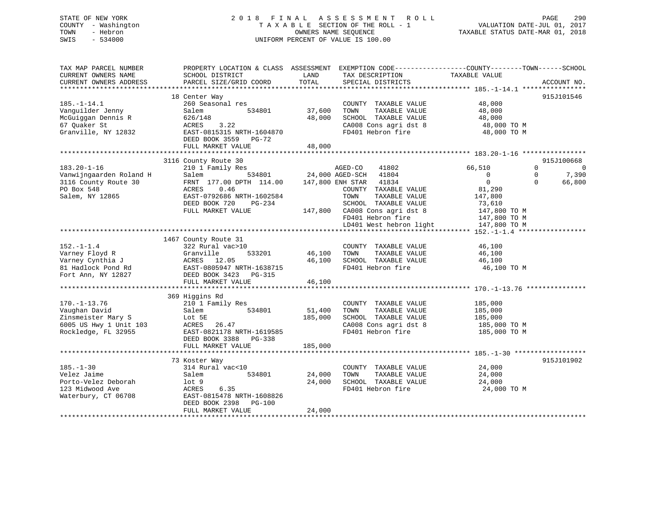## STATE OF NEW YORK 2 0 1 8 F I N A L A S S E S S M E N T R O L L PAGE 290 COUNTY - Washington T A X A B L E SECTION OF THE ROLL - 1 VALUATION DATE-JUL 01, 2017 TOWN - Hebron OWNERS NAME SEQUENCE TAXABLE STATUS DATE-MAR 01, 2018 SWIS - 534000 UNIFORM PERCENT OF VALUE IS 100.00

| TAX MAP PARCEL NUMBER<br>CURRENT OWNERS NAME | PROPERTY LOCATION & CLASS ASSESSMENT EXEMPTION CODE----------------COUNTY-------TOWN------SCHOOL<br>SCHOOL DISTRICT | LAND    | TAX DESCRIPTION               | TAXABLE VALUE  |                            |
|----------------------------------------------|---------------------------------------------------------------------------------------------------------------------|---------|-------------------------------|----------------|----------------------------|
| CURRENT OWNERS ADDRESS                       | PARCEL SIZE/GRID COORD                                                                                              | TOTAL   | SPECIAL DISTRICTS             |                | ACCOUNT NO.                |
|                                              |                                                                                                                     |         |                               |                |                            |
|                                              | 18 Center Way                                                                                                       |         |                               |                | 915J101546                 |
| $185. - 1 - 14.1$                            | 260 Seasonal res                                                                                                    |         | COUNTY TAXABLE VALUE          | 48,000         |                            |
| Vanguilder Jenny                             | Salem<br>534801                                                                                                     | 37,600  | TAXABLE VALUE<br>TOWN         | 48,000         |                            |
| McGuiggan Dennis R                           | 626/148                                                                                                             | 48,000  | SCHOOL TAXABLE VALUE          | 48,000         |                            |
| 67 Ouaker St                                 | 3.22<br>ACRES                                                                                                       |         | CA008 Cons agri dst 8         | 48,000 TO M    |                            |
| Granville, NY 12832                          | EAST-0815315 NRTH-1604870                                                                                           |         | FD401 Hebron fire             | 48,000 TO M    |                            |
|                                              | DEED BOOK 3559 PG-72                                                                                                |         |                               |                |                            |
|                                              | FULL MARKET VALUE                                                                                                   | 48,000  |                               |                |                            |
|                                              |                                                                                                                     |         |                               |                |                            |
|                                              | 3116 County Route 30                                                                                                |         |                               |                | 915J100668                 |
| $183.20 - 1 - 16$                            | 210 1 Family Res                                                                                                    |         | AGED-CO<br>41802              | 66,510         | $\Omega$<br>$\overline{0}$ |
| Vanwijngaarden Roland H                      | 534801 24,000 AGED-SCH<br>Salem                                                                                     |         | 41804                         | $\overline{0}$ | 7,390<br>$\Omega$          |
| 3116 County Route 30                         | FRNT 177.00 DPTH 114.00                                                                                             |         | 147,800 ENH STAR 41834        | $\overline{0}$ | 66,800<br>$\Omega$         |
| PO Box 548                                   | ACRES<br>0.46                                                                                                       |         | COUNTY TAXABLE VALUE          | 81,290         |                            |
| Salem, NY 12865                              | EAST-0792686 NRTH-1602584                                                                                           |         | TOWN<br>TAXABLE VALUE         | 147,800        |                            |
|                                              | DEED BOOK 720<br>PG-234                                                                                             |         | SCHOOL TAXABLE VALUE          | 73,610         |                            |
|                                              | FULL MARKET VALUE                                                                                                   |         | 147,800 CA008 Cons agri dst 8 | 147,800 TO M   |                            |
|                                              |                                                                                                                     |         | FD401 Hebron fire             | 147,800 TO M   |                            |
|                                              |                                                                                                                     |         | LD401 West hebron light       | 147,800 TO M   |                            |
|                                              |                                                                                                                     |         |                               |                |                            |
|                                              | 1467 County Route 31                                                                                                |         |                               |                |                            |
| $152. - 1 - 1.4$                             | 322 Rural vac>10                                                                                                    |         | COUNTY TAXABLE VALUE          | 46,100         |                            |
| Varney Floyd R                               | Granville<br>533201                                                                                                 | 46,100  | TAXABLE VALUE<br>TOWN         | 46,100         |                            |
| Varney Cynthia J                             | ACRES 12.05                                                                                                         | 46,100  | SCHOOL TAXABLE VALUE          | 46,100         |                            |
| 81 Hadlock Pond Rd                           | EAST-0805947 NRTH-1638715                                                                                           |         | FD401 Hebron fire             | 46,100 TO M    |                            |
| Fort Ann, NY 12827                           | DEED BOOK 3423 PG-315                                                                                               |         |                               |                |                            |
|                                              | FULL MARKET VALUE                                                                                                   | 46,100  |                               |                |                            |
|                                              |                                                                                                                     |         |                               |                |                            |
|                                              | 369 Higgins Rd                                                                                                      |         |                               |                |                            |
| $170. - 1 - 13.76$                           | 210 1 Family Res                                                                                                    |         | COUNTY TAXABLE VALUE          | 185,000        |                            |
| Vaughan David                                | 534801<br>Salem                                                                                                     | 51,400  | TAXABLE VALUE<br>TOWN         | 185,000        |                            |
| Zinsmeister Mary S                           | Lot 5E                                                                                                              | 185,000 | SCHOOL TAXABLE VALUE          | 185,000        |                            |
| 6005 US Hwy 1 Unit 103                       | ACRES 26.47                                                                                                         |         | CA008 Cons agri dst 8         | 185,000 TO M   |                            |
| Rockledge, FL 32955                          | EAST-0821178 NRTH-1619585                                                                                           |         | FD401 Hebron fire             | 185,000 TO M   |                            |
|                                              | DEED BOOK 3388 PG-338                                                                                               |         |                               |                |                            |
|                                              | FULL MARKET VALUE                                                                                                   | 185,000 |                               |                |                            |
|                                              |                                                                                                                     |         |                               |                |                            |
|                                              | 73 Koster Way                                                                                                       |         |                               |                | 915J101902                 |
| $185. - 1 - 30$                              | 314 Rural vac<10                                                                                                    |         | COUNTY TAXABLE VALUE          | 24,000         |                            |
| Velez Jaime                                  | 534801<br>Salem                                                                                                     | 24,000  | TOWN<br>TAXABLE VALUE         | 24,000         |                            |
| Porto-Velez Deborah                          | $1$ ot 9                                                                                                            | 24,000  | SCHOOL TAXABLE VALUE          | 24,000         |                            |
| 123 Midwood Ave                              | ACRES<br>6.35                                                                                                       |         | FD401 Hebron fire             | 24,000 TO M    |                            |
| Waterbury, CT 06708                          | EAST-0815478 NRTH-1608826                                                                                           |         |                               |                |                            |
|                                              | DEED BOOK 2398<br>$PG-100$                                                                                          |         |                               |                |                            |
|                                              | FULL MARKET VALUE                                                                                                   | 24,000  |                               |                |                            |
|                                              |                                                                                                                     |         |                               |                |                            |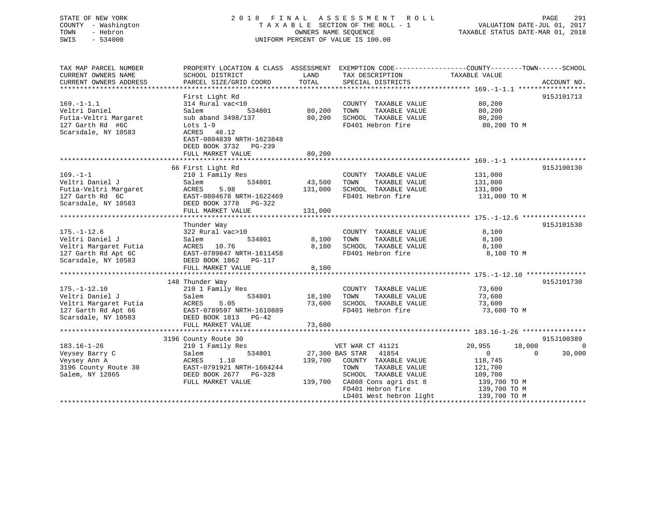## STATE OF NEW YORK 2 0 1 8 F I N A L A S S E S S M E N T R O L L PAGE 291 COUNTY - Washington T A X A B L E SECTION OF THE ROLL - 1 VALUATION DATE-JUL 01, 2017 TOWN - Hebron **CONNERS NAME SEQUENCE** TAXABLE STATUS DATE-MAR 01, 2018 SWIS - 534000 UNIFORM PERCENT OF VALUE IS 100.00

| TAX MAP PARCEL NUMBER                                                                    |                                                                                                                                                                                                    |         |                               | PROPERTY LOCATION & CLASS ASSESSMENT EXEMPTION CODE----------------COUNTY-------TOWN------SCHOOL |                |
|------------------------------------------------------------------------------------------|----------------------------------------------------------------------------------------------------------------------------------------------------------------------------------------------------|---------|-------------------------------|--------------------------------------------------------------------------------------------------|----------------|
| CURRENT OWNERS NAME                                                                      | SCHOOL DISTRICT                                                                                                                                                                                    | LAND    | TAX DESCRIPTION               | TAXABLE VALUE                                                                                    |                |
|                                                                                          |                                                                                                                                                                                                    |         |                               |                                                                                                  |                |
|                                                                                          |                                                                                                                                                                                                    |         |                               |                                                                                                  |                |
|                                                                                          | First Light Rd                                                                                                                                                                                     |         |                               |                                                                                                  | 915J101713     |
| $169. - 1 - 1.1$                                                                         | $314$ Rural vac< $10$                                                                                                                                                                              |         | COUNTY TAXABLE VALUE 80,200   |                                                                                                  |                |
| Veltri Daniel                                                                            | 534801<br>Salem                                                                                                                                                                                    | 80,200  | TOWN<br>TAXABLE VALUE         | 80,200                                                                                           |                |
| Futia-Veltri Margaret                                                                    | sub aband 3498/137                                                                                                                                                                                 | 80,200  | SCHOOL TAXABLE VALUE          | 80, 200                                                                                          |                |
| 127 Garth Rd #6C                                                                         | Lots $1-9$                                                                                                                                                                                         |         | FD401 Hebron fire             | 80,200 TO M                                                                                      |                |
| Scarsdale, NY 10583                                                                      | ACRES 48.12                                                                                                                                                                                        |         |                               |                                                                                                  |                |
|                                                                                          | EAST-0804839 NRTH-1623848                                                                                                                                                                          |         |                               |                                                                                                  |                |
|                                                                                          | DEED BOOK 3732 PG-239                                                                                                                                                                              |         |                               |                                                                                                  |                |
|                                                                                          |                                                                                                                                                                                                    |         |                               |                                                                                                  |                |
|                                                                                          | FULL MARKET VALUE                                                                                                                                                                                  | 80,200  |                               |                                                                                                  |                |
|                                                                                          |                                                                                                                                                                                                    |         |                               |                                                                                                  |                |
|                                                                                          | 66 First Light Rd                                                                                                                                                                                  |         |                               |                                                                                                  | 915J100130     |
| $169. - 1 - 1$                                                                           | 210 1 Family Res                                                                                                                                                                                   |         | COUNTY TAXABLE VALUE          | 131,000                                                                                          |                |
| Veltri Daniel J                                                                          | 534801<br>Salem                                                                                                                                                                                    | 43,500  | TOWN<br>TAXABLE VALUE         | 131,000                                                                                          |                |
| Futia-Veltri Margaret<br>127 Garth Rd 6C<br>Scarsdale, NY 10583<br>DEED BOOK 3778 PG-322 |                                                                                                                                                                                                    | 131,000 | SCHOOL TAXABLE VALUE 131,000  |                                                                                                  |                |
|                                                                                          | EAST-0804678 NRTH-1622469                                                                                                                                                                          |         | FD401 Hebron fire             | 131,000 TO M                                                                                     |                |
|                                                                                          |                                                                                                                                                                                                    |         |                               |                                                                                                  |                |
|                                                                                          | FULL MARKET VALUE                                                                                                                                                                                  | 131,000 |                               |                                                                                                  |                |
|                                                                                          |                                                                                                                                                                                                    |         |                               |                                                                                                  |                |
|                                                                                          | Thunder Way                                                                                                                                                                                        |         |                               |                                                                                                  | 915J101530     |
| $175. - 1 - 12.6$                                                                        | 322 Rural vac>10                                                                                                                                                                                   |         | COUNTY TAXABLE VALUE          | 8,100                                                                                            |                |
| Veltri Daniel J                                                                          | 534801<br>Salem                                                                                                                                                                                    | 8,100   | TAXABLE VALUE<br>TOWN         | 8,100                                                                                            |                |
|                                                                                          |                                                                                                                                                                                                    | 8,100   | SCHOOL TAXABLE VALUE          | 8,100                                                                                            |                |
|                                                                                          |                                                                                                                                                                                                    |         | FD401 Hebron fire             | 8,100 TO M                                                                                       |                |
|                                                                                          | Veltri Margaret Futia<br>127 Garth Rd Apt 6C<br>Scarsdale, NY 10583<br>2000 1862 DEED BOOK 1862<br>2000 10583<br>2000 1055 1056 1062 1062 1062 1062<br>2000 1055 1062 1062 1062 1062 1062 1062 107 |         |                               |                                                                                                  |                |
|                                                                                          | FULL MARKET VALUE                                                                                                                                                                                  | 8,100   |                               |                                                                                                  |                |
|                                                                                          |                                                                                                                                                                                                    |         |                               |                                                                                                  |                |
|                                                                                          | 148 Thunder Way                                                                                                                                                                                    |         |                               |                                                                                                  | 915J101730     |
| $175. - 1 - 12.10$                                                                       | 210 1 Family Res                                                                                                                                                                                   |         | COUNTY TAXABLE VALUE          | 73,600                                                                                           |                |
|                                                                                          | 534801 18,100                                                                                                                                                                                      |         | TOWN<br>TAXABLE VALUE         | 73,600                                                                                           |                |
|                                                                                          |                                                                                                                                                                                                    | 73,600  | SCHOOL TAXABLE VALUE          | 73,600                                                                                           |                |
|                                                                                          | Veltri Daniel J<br>Veltri Margaret Futia<br>127 Garth Rd Apt 66<br>127 Garth Rd Apt 66<br>127 Garth Rd Apt 66<br>127 Samuel Apt 66<br>128 September 2008 1813<br>128 DEED BOOK 1813<br>13 PG-42    |         | FD401 Hebron fire             | 73,600 TO M                                                                                      |                |
|                                                                                          |                                                                                                                                                                                                    |         |                               |                                                                                                  |                |
|                                                                                          | FULL MARKET VALUE                                                                                                                                                                                  | 73,600  |                               |                                                                                                  |                |
|                                                                                          |                                                                                                                                                                                                    |         |                               |                                                                                                  |                |
|                                                                                          | 3196 County Route 30                                                                                                                                                                               |         |                               |                                                                                                  | 915J100389     |
| 183.16-1-26                                                                              | 210 1 Family Res                                                                                                                                                                                   |         | VET WAR CT 41121              | 20,955<br>18,000                                                                                 | $\overline{0}$ |
|                                                                                          | 534801                                                                                                                                                                                             |         | 27,300 BAS STAR 41854         | $\overline{0}$<br>$\Omega$                                                                       | 30,000         |
| Veysey Barry C                                                                           | Salem                                                                                                                                                                                              |         |                               |                                                                                                  |                |
| Veysey Ann A                                                                             | ACRES<br>1.10                                                                                                                                                                                      |         | 139,700 COUNTY TAXABLE VALUE  | 118,745                                                                                          |                |
| 3196 County Route 30                                                                     | EAST-0791921 NRTH-1604244                                                                                                                                                                          |         | TOWN<br>TAXABLE VALUE         | 121,700                                                                                          |                |
| Salem, NY 12865                                                                          | DEED BOOK 2677 PG-328                                                                                                                                                                              |         | SCHOOL TAXABLE VALUE          | 109,700                                                                                          |                |
|                                                                                          | FULL MARKET VALUE                                                                                                                                                                                  |         | 139,700 CA008 Cons agri dst 8 | 139,700 ТО М<br>139,700 ТО М                                                                     |                |
|                                                                                          |                                                                                                                                                                                                    |         | FD401 Hebron fire             |                                                                                                  |                |
|                                                                                          |                                                                                                                                                                                                    |         | LD401 West hebron light       | 139,700 TO M                                                                                     |                |
|                                                                                          |                                                                                                                                                                                                    |         |                               |                                                                                                  |                |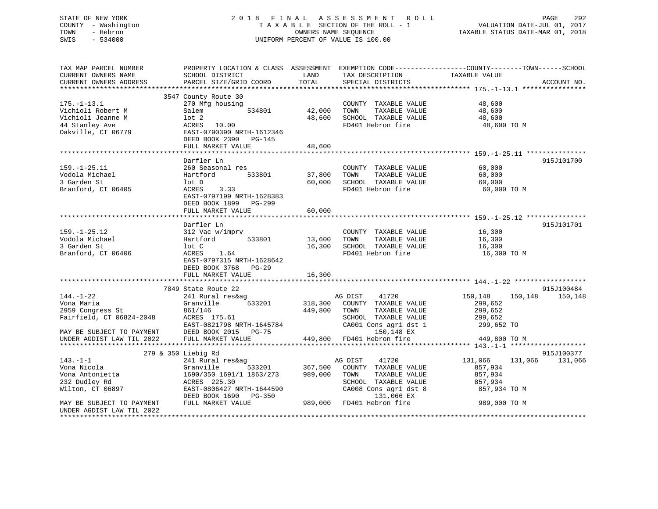# COUNTY - Washington  $T A X A B L E$  SECTION OF THE ROLL - 1<br>TOWN - Hebron DATE-JUL 000NERS NAME SEQUENCE SWIS - 534000 UNIFORM PERCENT OF VALUE IS 100.00

STATE OF NEW YORK 292 2018 FINAL ASSESSMENT ROLL 2012 PAGE 292 VALUATION DATE-JUL 01, 2017

TAXABLE STATUS DATE-MAR 01, 2018

| TAX MAP PARCEL NUMBER                                                                         | PROPERTY LOCATION & CLASS ASSESSMENT EXEMPTION CODE----------------COUNTY-------TOWN------SCHOOL                                                             |               |                                                                                                                                                                                                                           |                            |             |
|-----------------------------------------------------------------------------------------------|--------------------------------------------------------------------------------------------------------------------------------------------------------------|---------------|---------------------------------------------------------------------------------------------------------------------------------------------------------------------------------------------------------------------------|----------------------------|-------------|
| CURRENT OWNERS NAME                                                                           | SCHOOL DISTRICT                                                                                                                                              | LAND          | TAX DESCRIPTION                                                                                                                                                                                                           | TAXABLE VALUE              |             |
| CURRENT OWNERS ADDRESS                                                                        | PARCEL SIZE/GRID COORD                                                                                                                                       | TOTAL         | SPECIAL DISTRICTS                                                                                                                                                                                                         |                            | ACCOUNT NO. |
|                                                                                               |                                                                                                                                                              |               |                                                                                                                                                                                                                           |                            |             |
|                                                                                               | 3547 County Route 30                                                                                                                                         |               |                                                                                                                                                                                                                           |                            |             |
| $175. - 1 - 13.1$                                                                             | 270 Mfg housing                                                                                                                                              |               | COUNTY TAXABLE VALUE                                                                                                                                                                                                      | 48,600                     |             |
| Vichioli Robert M                                                                             | Salem                                                                                                                                                        | 534801 42,000 | TOWN                                                                                                                                                                                                                      | TAXABLE VALUE 48,600       |             |
| Vichioli Jeanne M                                                                             | $1$ ot $2$                                                                                                                                                   | 48,600        | SCHOOL TAXABLE VALUE                                                                                                                                                                                                      | 48,600                     |             |
|                                                                                               |                                                                                                                                                              |               |                                                                                                                                                                                                                           |                            |             |
| 44 Stanley Ave                                                                                | ACRES 10.00                                                                                                                                                  |               | FD401 Hebron fire 48,600 TO M                                                                                                                                                                                             |                            |             |
| Oakville, CT 06779                                                                            | EAST-0790390 NRTH-1612346                                                                                                                                    |               |                                                                                                                                                                                                                           |                            |             |
|                                                                                               | DEED BOOK 2390 PG-145                                                                                                                                        |               |                                                                                                                                                                                                                           |                            |             |
|                                                                                               | FULL MARKET VALUE                                                                                                                                            | 48,600        |                                                                                                                                                                                                                           |                            |             |
|                                                                                               |                                                                                                                                                              |               |                                                                                                                                                                                                                           |                            |             |
|                                                                                               | Darfler Ln                                                                                                                                                   |               |                                                                                                                                                                                                                           |                            | 915J101700  |
| $159. - 1 - 25.11$                                                                            | 260 Seasonal res                                                                                                                                             |               | COUNTY TAXABLE VALUE 60,000                                                                                                                                                                                               |                            |             |
| Vodola Michael                                                                                | Hartford<br>533801                                                                                                                                           | 37,800 TOWN   | TAXABLE VALUE                                                                                                                                                                                                             | 60,000                     |             |
| 3 Garden St                                                                                   | lot D                                                                                                                                                        |               | 60,000 SCHOOL TAXABLE VALUE                                                                                                                                                                                               | 60,000                     |             |
| Branford, CT 06405                                                                            | ACRES 3.33                                                                                                                                                   |               | FD401 Hebron fire                                                                                                                                                                                                         |                            |             |
|                                                                                               |                                                                                                                                                              |               |                                                                                                                                                                                                                           | 60,000 TO M                |             |
|                                                                                               | EAST-0797199 NRTH-1628383                                                                                                                                    |               |                                                                                                                                                                                                                           |                            |             |
|                                                                                               | DEED BOOK 1899 PG-299                                                                                                                                        |               |                                                                                                                                                                                                                           |                            |             |
|                                                                                               | FULL MARKET VALUE                                                                                                                                            | 60,000        |                                                                                                                                                                                                                           |                            |             |
|                                                                                               |                                                                                                                                                              |               |                                                                                                                                                                                                                           |                            |             |
|                                                                                               | Darfler Ln                                                                                                                                                   |               |                                                                                                                                                                                                                           |                            | 915J101701  |
| $159. - 1 - 25.12$                                                                            | 312 Vac w/imprv                                                                                                                                              |               | COUNTY TAXABLE VALUE                                                                                                                                                                                                      |                            |             |
| Vodola Michael                                                                                | Hartford 533801 13,600 TOWN                                                                                                                                  |               | TAXABLE VALUE                                                                                                                                                                                                             | 16,300<br>16,300<br>16,300 |             |
| 3 Garden St                                                                                   | lot C                                                                                                                                                        |               | 16,300 SCHOOL TAXABLE VALUE                                                                                                                                                                                               | 16,300                     |             |
| Branford, CT 06406                                                                            | 1.64<br>ACRES                                                                                                                                                |               | FD401 Hebron fire                                                                                                                                                                                                         | 16,300 TO M                |             |
|                                                                                               | EAST-0797315 NRTH-1628642                                                                                                                                    |               |                                                                                                                                                                                                                           |                            |             |
|                                                                                               | DEED BOOK 3768 PG-29                                                                                                                                         |               |                                                                                                                                                                                                                           |                            |             |
|                                                                                               |                                                                                                                                                              |               |                                                                                                                                                                                                                           |                            |             |
|                                                                                               | FULL MARKET VALUE                                                                                                                                            | 16,300        |                                                                                                                                                                                                                           |                            |             |
|                                                                                               |                                                                                                                                                              |               |                                                                                                                                                                                                                           |                            |             |
|                                                                                               | 7849 State Route 22                                                                                                                                          |               |                                                                                                                                                                                                                           |                            | 915J100484  |
| 144.-1-22                                                                                     | 241 Rural res&ag                                                                                                                                             |               | 41720<br>AG DIST                                                                                                                                                                                                          | 150,148 150,148 150,148    |             |
| Vona Maria                                                                                    | Granville 533201 318,300 COUNTY TAXABLE VALUE                                                                                                                |               |                                                                                                                                                                                                                           | 299,652                    |             |
| 2959 Congress St                                                                              | 861/146                                                                                                                                                      | 449,800 TOWN  | TAXABLE VALUE                                                                                                                                                                                                             | 299,652                    |             |
| Fairfield, CT 06824-2048                                                                      | ACRES 175.61                                                                                                                                                 |               | SCHOOL TAXABLE VALUE 299,652                                                                                                                                                                                              |                            |             |
|                                                                                               |                                                                                                                                                              |               | CA001 Cons agri dst 1                                                                                                                                                                                                     | 299,652 TO                 |             |
|                                                                                               | EAST-0821798 NRTH-1645784<br>DEED BOOK 2015 PG-75                                                                                                            |               | 150,148 EX                                                                                                                                                                                                                |                            |             |
| MAY BE SUBJECT TO PAYMENT DEED BOOK 2015 PG-75<br>UNDER AGDIST LAW TIL 2022 FULL MARKET VALUE |                                                                                                                                                              |               | 449,800 FD401 Hebron fire                                                                                                                                                                                                 | 449,800 TO M               |             |
|                                                                                               |                                                                                                                                                              |               |                                                                                                                                                                                                                           |                            |             |
|                                                                                               | 279 & 350 Liebig Rd                                                                                                                                          |               |                                                                                                                                                                                                                           |                            | 915J100377  |
| $143. - 1 - 1$                                                                                | 241 Rural res&ag                                                                                                                                             |               |                                                                                                                                                                                                                           | 131,066 131,066            |             |
|                                                                                               |                                                                                                                                                              |               | g<br>533201 - 367,500 COUNTY TAXABLE VALUE                                                                                                                                                                                |                            | 131,066     |
| Vona Nicola                                                                                   | Granville                                                                                                                                                    |               |                                                                                                                                                                                                                           | 857,934                    |             |
| Vona Antonietta<br>222 Pudlau Pd                                                              | 1690/350 1691/1 1863/273 989,000 TOWN                                                                                                                        |               | TAXABLE VALUE                                                                                                                                                                                                             | 857,934                    |             |
| 232 Dudley Rd                                                                                 | ACRES 225.30                                                                                                                                                 |               | $\begin{tabular}{lllllll} \multicolumn{2}{c}{\textbf{SCHODL}} & \textbf{TAXABLE} & \textbf{VALUE} & \textbf{857,934} \\ \textbf{CA008} & \textbf{Cons}\text{ agri}\text{ dist} & 8 & & 857,934\text{ TO M} \end{tabular}$ |                            |             |
| Wilton, CT 06897                                                                              |                                                                                                                                                              |               |                                                                                                                                                                                                                           |                            |             |
|                                                                                               |                                                                                                                                                              |               |                                                                                                                                                                                                                           |                            |             |
| MAY BE SUBJECT TO PAYMENT                                                                     | EAST-0806427 NRTH-1644590 CA008 Cons agri dst 8 857,934 TO M<br>DEED BOOK 1690 PG-350 131,066 EX<br>FULL MARKET VALUE 989,000 FD401 Hebron fire 989,000 TO M |               |                                                                                                                                                                                                                           |                            |             |
| UNDER AGDIST LAW TIL 2022                                                                     |                                                                                                                                                              |               |                                                                                                                                                                                                                           |                            |             |
|                                                                                               |                                                                                                                                                              |               |                                                                                                                                                                                                                           |                            |             |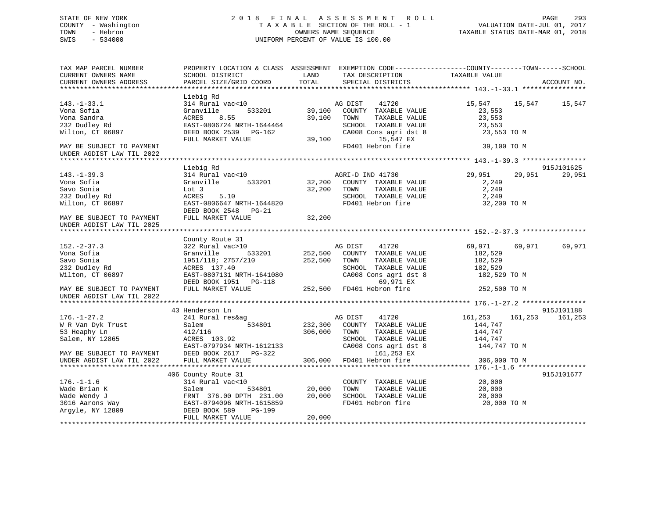## STATE OF NEW YORK 2 0 1 8 F I N A L A S S E S S M E N T R O L L PAGE 293 COUNTY - Washington T A X A B L E SECTION OF THE ROLL - 1 VALUATION DATE-JUL 01, 2017 TOWN - Hebron OWNERS NAME SEQUENCE TAXABLE STATUS DATE-MAR 01, 2018 SWIS - 534000 UNIFORM PERCENT OF VALUE IS 100.00

TAX MAP PARCEL NUMBER PROPERTY LOCATION & CLASS ASSESSMENT EXEMPTION CODE------------------COUNTY--------TOWN------SCHOOL

| CURRENT OWNERS NAME       | SCHOOL DISTRICT           | LAND    | TAX DESCRIPTION       | TAXABLE VALUE      |             |
|---------------------------|---------------------------|---------|-----------------------|--------------------|-------------|
| CURRENT OWNERS ADDRESS    | PARCEL SIZE/GRID COORD    | TOTAL   | SPECIAL DISTRICTS     |                    | ACCOUNT NO. |
|                           |                           |         |                       |                    |             |
|                           | Liebig Rd                 |         |                       |                    |             |
| $143. - 1 - 33.1$         | 314 Rural vac<10          |         | AG DIST<br>41720      | 15,547 15,547      | 15,547      |
| Vona Sofia                | Granville<br>533201       | 39,100  | COUNTY TAXABLE VALUE  | 23,553             |             |
| Vona Sandra               | ACRES<br>8.55             | 39,100  | TOWN<br>TAXABLE VALUE | 23,553             |             |
| 232 Dudley Rd             | EAST-0806724 NRTH-1644464 |         | SCHOOL TAXABLE VALUE  | 23,553             |             |
| Wilton, CT 06897          | DEED BOOK 2539 PG-162     |         | CA008 Cons agri dst 8 | 23,553 TO M        |             |
|                           | FULL MARKET VALUE         | 39,100  | 15,547 EX             |                    |             |
| MAY BE SUBJECT TO PAYMENT |                           |         | FD401 Hebron fire     | 39,100 TO M        |             |
| UNDER AGDIST LAW TIL 2022 |                           |         |                       |                    |             |
|                           |                           |         |                       |                    |             |
|                           | Liebig Rd                 |         |                       |                    | 915J101625  |
| $143. - 1 - 39.3$         | 314 Rural vac<10          |         | AGRI-D IND 41730      | 29,951<br>29,951   | 29,951      |
| Vona Sofia                | Granville<br>533201       | 32,200  | COUNTY TAXABLE VALUE  | 2,249              |             |
| Savo Sonia                | Lot 3                     | 32,200  | TOWN<br>TAXABLE VALUE | 2,249              |             |
| 232 Dudley Rd             | ACRES<br>5.10             |         | SCHOOL TAXABLE VALUE  | 2,249              |             |
| Wilton, CT 06897          | EAST-0806647 NRTH-1644820 |         | FD401 Hebron fire     | 32,200 TO M        |             |
|                           | DEED BOOK 2548<br>PG-21   |         |                       |                    |             |
| MAY BE SUBJECT TO PAYMENT | FULL MARKET VALUE         | 32,200  |                       |                    |             |
| UNDER AGDIST LAW TIL 2025 |                           |         |                       |                    |             |
|                           |                           |         |                       |                    |             |
|                           | County Route 31           |         |                       |                    |             |
| $152 - 2 - 37.3$          | 322 Rural vac>10          |         | AG DIST<br>41720      | 69,971<br>69,971   | 69,971      |
| Vona Sofia                | 533201<br>Granville       | 252,500 | COUNTY TAXABLE VALUE  | 182,529            |             |
| Savo Sonia                | 1951/118; 2757/210        | 252,500 | TAXABLE VALUE<br>TOWN | 182,529            |             |
| 232 Dudley Rd             | ACRES 137.40              |         | SCHOOL TAXABLE VALUE  | 182,529            |             |
| Wilton, CT 06897          | EAST-0807131 NRTH-1641080 |         | CA008 Cons agri dst 8 | 182,529 TO M       |             |
|                           | DEED BOOK 1951    PG-118  |         | 69,971 EX             |                    |             |
| MAY BE SUBJECT TO PAYMENT | FULL MARKET VALUE         | 252,500 | FD401 Hebron fire     | 252,500 TO M       |             |
| UNDER AGDIST LAW TIL 2022 |                           |         |                       |                    |             |
|                           |                           |         |                       |                    |             |
|                           | 43 Henderson Ln           |         |                       |                    | 915J101188  |
| $176. - 1 - 27.2$         | 241 Rural res&ag          |         | AG DIST<br>41720      | 161,253<br>161,253 | 161,253     |
| W R Van Dyk Trust         | Salem<br>534801           | 232,300 | COUNTY TAXABLE VALUE  | 144,747            |             |
| 53 Heaphy Ln              | 412/116                   | 306,000 | TAXABLE VALUE<br>TOWN | 144,747            |             |
| Salem, NY 12865           | ACRES 103.92              |         | SCHOOL TAXABLE VALUE  | 144,747            |             |
|                           | EAST-0797934 NRTH-1612133 |         | CA008 Cons agri dst 8 | 144,747 TO M       |             |
| MAY BE SUBJECT TO PAYMENT | DEED BOOK 2617 PG-322     |         | 161,253 EX            |                    |             |
| UNDER AGDIST LAW TIL 2022 | FULL MARKET VALUE         | 306,000 | FD401 Hebron fire     | 306,000 TO M       |             |
|                           |                           |         |                       |                    |             |
|                           | 406 County Route 31       |         |                       |                    | 915J101677  |
| $176. - 1 - 1.6$          | 314 Rural vac<10          |         | COUNTY TAXABLE VALUE  | 20,000             |             |
| Wade Brian K              | 534801<br>Salem           | 20,000  | TAXABLE VALUE<br>TOWN | 20,000             |             |
| Wade Wendy J              | FRNT 376.00 DPTH 231.00   | 20,000  | SCHOOL TAXABLE VALUE  | 20,000             |             |
| 3016 Aarons Way           | EAST-0794096 NRTH-1615859 |         | FD401 Hebron fire     | 20,000 TO M        |             |
| Argyle, NY 12809          | DEED BOOK 589<br>PG-199   |         |                       |                    |             |
|                           | FULL MARKET VALUE         | 20,000  |                       |                    |             |
|                           |                           |         |                       |                    |             |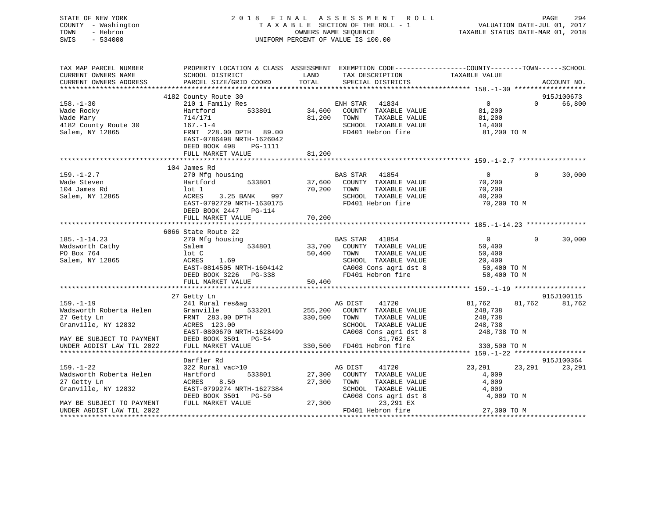| STATE OF NEW YORK<br>COUNTY - Washington<br>TOWN<br>- Hebron<br>SWIS<br>$-534000$                                                                                       |                                                                                                                                                                        |                               | 2018 FINAL ASSESSMENT ROLL<br>T A X A B L E SECTION OF THE ROLL - 1<br>OWNERS NAME SEQUENCE<br>UNIFORM PERCENT OF VALUE IS 100.00                    | VALUATION DATE-JUL 01, 2017<br>TAXABLE STATUS DATE-MAR 01, 2018            | PAGE     | 294                  |
|-------------------------------------------------------------------------------------------------------------------------------------------------------------------------|------------------------------------------------------------------------------------------------------------------------------------------------------------------------|-------------------------------|------------------------------------------------------------------------------------------------------------------------------------------------------|----------------------------------------------------------------------------|----------|----------------------|
| TAX MAP PARCEL NUMBER                                                                                                                                                   | PROPERTY LOCATION & CLASS ASSESSMENT EXEMPTION CODE----------------COUNTY-------TOWN------SCHOOL                                                                       |                               |                                                                                                                                                      |                                                                            |          |                      |
| CURRENT OWNERS NAME<br>CURRENT OWNERS ADDRESS                                                                                                                           | SCHOOL DISTRICT<br>PARCEL SIZE/GRID COORD                                                                                                                              | LAND<br>TOTAL                 | TAX DESCRIPTION<br>SPECIAL DISTRICTS                                                                                                                 | TAXABLE VALUE                                                              |          | ACCOUNT NO.          |
|                                                                                                                                                                         | 4182 County Route 30                                                                                                                                                   |                               |                                                                                                                                                      |                                                                            |          | 915J100673           |
| $158. - 1 - 30$<br>Wade Rocky<br>Wade Mary<br>4182 County Route 30<br>Salem, NY 12865                                                                                   | 210 1 Family Res<br>533801<br>Hartford<br>714/171<br>$167. - 1 - 4$<br>FRNT 228.00 DPTH 89.00<br>EAST-0786498 NRTH-1626042<br>DEED BOOK 498<br>PG-1111                 | 34,600<br>81,200              | ENH STAR 41834<br>COUNTY TAXABLE VALUE<br>TAXABLE VALUE<br>TOWN<br>SCHOOL TAXABLE VALUE<br>FD401 Hebron fire                                         | $\overline{0}$<br>81,200<br>81,200<br>14,400<br>81,200 TO M                | $\Omega$ | 66,800               |
|                                                                                                                                                                         | FULL MARKET VALUE                                                                                                                                                      | 81,200                        |                                                                                                                                                      |                                                                            |          |                      |
|                                                                                                                                                                         |                                                                                                                                                                        |                               |                                                                                                                                                      |                                                                            |          |                      |
| $159. - 1 - 2.7$<br>Wade Steven<br>104 James Rd<br>Salem, NY 12865                                                                                                      | 104 James Rd<br>270 Mfg housing<br>Hartford<br>533801<br>lot 1<br>ACRES<br>3.25 BANK<br>997<br>EAST-0792729 NRTH-1630175<br>DEED BOOK 2447 PG-114<br>FULL MARKET VALUE | 70,200<br>70,200              | BAS STAR 41854<br>37,600 COUNTY TAXABLE VALUE<br>TOWN<br>TAXABLE VALUE<br>SCHOOL TAXABLE VALUE<br>FD401 Hebron fire                                  | $\overline{0}$<br>70,200<br>70,200<br>40,200<br>70,200 TO M                | $\Omega$ | 30,000               |
|                                                                                                                                                                         |                                                                                                                                                                        |                               |                                                                                                                                                      |                                                                            |          |                      |
| $185. - 1 - 14.23$<br>Wadsworth Cathy<br>PO Box 764<br>Salem, NY 12865                                                                                                  | 6066 State Route 22<br>270 Mfg housing<br>534801<br>Salem<br>lot C<br>ACRES<br>1.69<br>EAST-0814505 NRTH-1604142<br>DEED BOOK 3226 PG-338<br>FULL MARKET VALUE         | 50,400<br>50,400              | BAS STAR<br>41854<br>33,700 COUNTY TAXABLE VALUE<br>TAXABLE VALUE<br>TOWN<br>SCHOOL TAXABLE VALUE<br>CA008 Cons agri dst 8<br>FD401 Hebron fire      | $\overline{0}$<br>50,400<br>50,400<br>20,400<br>50,400 TO M<br>50,400 TO M | $\Omega$ | 30,000               |
|                                                                                                                                                                         |                                                                                                                                                                        |                               |                                                                                                                                                      |                                                                            |          |                      |
| $159. - 1 - 19$<br>Wadsworth Roberta Helen<br>27 Getty Ln<br>Granville, NY 12832<br>MAY BE SUBJECT TO PAYMENT<br>UNDER AGDIST LAW TIL 2022<br>************************* | 27 Getty Ln<br>241 Rural res&ag<br>533201<br>Granville<br>FRNT 283.00 DPTH<br>ACRES 123.00<br>EAST-0800670 NRTH-1628499<br>DEED BOOK 3501 PG-54<br>FULL MARKET VALUE   | 255,200<br>330,500<br>330,500 | AG DIST<br>41720<br>COUNTY TAXABLE VALUE<br>TAXABLE VALUE<br>TOWN<br>SCHOOL TAXABLE VALUE<br>CA008 Cons agri dst 8<br>81,762 EX<br>FD401 Hebron fire | 81,762<br>248,738<br>248,738<br>248,738<br>248,738 TO M<br>330,500 TO M    | 81,762   | 915J100115<br>81,762 |
|                                                                                                                                                                         | Darfler Rd                                                                                                                                                             |                               |                                                                                                                                                      |                                                                            |          | 915J100364           |

159.-1-22 322 Rural vac>10 AG DIST 41720 23,291 23,291 23,291 Wadsworth Roberta Helen  $H$  Hartford 533801 27,300 COUNTY TAXABLE VALUE 4,009 27 Getty Ln ACRES 8.50 27,300 TOWN TAXABLE VALUE 4,009 MAY BE SUBJECT TO PAYMENT

UNDER AGDIST LAW TIL 2022 FD401 Hebron fire 27,300 TO M

\*\*\*\*\*\*\*\*\*\*\*\*\*\*\*\*\*\*\*\*\*\*\*\*\*\*\*\*\*\*\*\*\*\*\*\*\*\*\*\*\*\*\*\*\*\*\*\*\*\*\*\*\*\*\*\*\*\*\*\*\*\*\*\*\*\*\*\*\*\*\*\*\*\*\*\*\*\*\*\*\*\*\*\*\*\*\*\*\*\*\*\*\*\*\*\*\*\*\*\*\*\*\*\*\*\*\*\*\*\*\*\*\*\*\*\*\*\*\*\*\*\*\*\*\*\*\*\*\*\*\*\*

DEED BOOK 3501 PG-50 CA008 Cons agri dst 8 4,009 TO M<br>FULL MARKET VALUE 27,300 23,291 EX

EAST-0799274 NRTH-1627384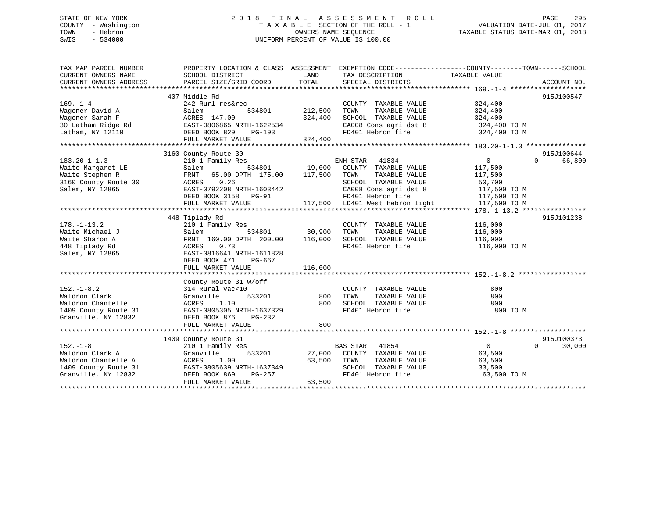## STATE OF NEW YORK 2 0 1 8 F I N A L A S S E S S M E N T R O L L PAGE 295 COUNTY - Washington T A X A B L E SECTION OF THE ROLL - 1 VALUATION DATE-JUL 01, 2017 TOWN - Hebron OWNERS NAME SEQUENCE TAXABLE STATUS DATE-MAR 01, 2018 SWIS - 534000 UNIFORM PERCENT OF VALUE IS 100.00

| TAX MAP PARCEL NUMBER<br>CURRENT OWNERS NAME<br>CURRENT OWNERS ADDRESS                                  | PROPERTY LOCATION & CLASS ASSESSMENT<br>SCHOOL DISTRICT<br>PARCEL SIZE/GRID COORD                                                                              | LAND<br>TOTAL              | EXEMPTION CODE-----------------COUNTY-------TOWN------SCHOOL<br>TAX DESCRIPTION<br>SPECIAL DISTRICTS                | TAXABLE VALUE                                                  | ACCOUNT NO.        |
|---------------------------------------------------------------------------------------------------------|----------------------------------------------------------------------------------------------------------------------------------------------------------------|----------------------------|---------------------------------------------------------------------------------------------------------------------|----------------------------------------------------------------|--------------------|
| $169. - 1 - 4$<br>Waqoner David A<br>Wagoner Sarah F<br>30 Latham Ridge Rd                              | 407 Middle Rd<br>242 Rurl res&rec<br>534801<br>Salem<br>ACRES 147.00<br>EAST-0806865 NRTH-1622534                                                              | 212,500<br>324,400         | COUNTY TAXABLE VALUE<br>TOWN<br>TAXABLE VALUE<br>SCHOOL TAXABLE VALUE<br>CA008 Cons agri dst 8                      | 324,400<br>324,400<br>324,400<br>324,400 TO M                  | 915J100547         |
| Latham, NY 12110                                                                                        | DEED BOOK 829<br>PG-193<br>FULL MARKET VALUE                                                                                                                   | 324,400                    | FD401 Hebron fire                                                                                                   | 324,400 TO M                                                   |                    |
|                                                                                                         | 3160 County Route 30                                                                                                                                           |                            |                                                                                                                     |                                                                | 915J100644         |
| $183.20 - 1 - 1.3$<br>Waite Margaret LE<br>Waite Stephen R<br>3160 County Route 30<br>Salem, NY 12865   | 210 1 Family Res<br>Salem<br>534801<br>FRNT<br>65.00 DPTH 175.00<br>0.26<br>ACRES<br>EAST-0792208 NRTH-1603442                                                 | 19,000<br>117,500          | ENH STAR<br>41834<br>COUNTY TAXABLE VALUE<br>TAXABLE VALUE<br>TOWN<br>SCHOOL TAXABLE VALUE<br>CA008 Cons agri dst 8 | $\overline{0}$<br>117,500<br>117,500<br>50,700<br>117,500 TO M | 66,800<br>$\Omega$ |
|                                                                                                         | DEED BOOK 3158 PG-91                                                                                                                                           |                            | FD401 Hebron fire                                                                                                   | 117,500 TO M                                                   |                    |
|                                                                                                         | FULL MARKET VALUE                                                                                                                                              |                            | 117,500 LD401 West hebron light                                                                                     | 117,500 TO M                                                   |                    |
|                                                                                                         |                                                                                                                                                                |                            |                                                                                                                     |                                                                |                    |
| $178. - 1 - 13.2$<br>Waite Michael J<br>Waite Sharon A<br>448 Tiplady Rd<br>Salem, NY 12865             | 448 Tiplady Rd<br>210 1 Family Res<br>534801<br>Salem<br>FRNT 160.00 DPTH 200.00<br>ACRES<br>0.73<br>EAST-0816641 NRTH-1611828<br>DEED BOOK 471<br>PG-667      | 30,900<br>116,000          | COUNTY TAXABLE VALUE<br>TAXABLE VALUE<br>TOWN<br>SCHOOL TAXABLE VALUE<br>FD401 Hebron fire                          | 116,000<br>116,000<br>116,000<br>116,000 TO M                  | 915J101238         |
|                                                                                                         | FULL MARKET VALUE                                                                                                                                              | 116,000                    |                                                                                                                     |                                                                |                    |
|                                                                                                         |                                                                                                                                                                |                            |                                                                                                                     |                                                                |                    |
| $152. - 1 - 8.2$<br>Waldron Clark<br>Waldron Chantelle<br>1409 County Route 31<br>Granville, NY 12832   | County Route 31 w/off<br>314 Rural vac<10<br>Granville<br>533201<br>1.10<br>ACRES<br>EAST-0805305 NRTH-1637329<br>DEED BOOK 876<br>PG-232<br>FULL MARKET VALUE | 800<br>800<br>800          | COUNTY TAXABLE VALUE<br>TAXABLE VALUE<br>TOWN<br>SCHOOL TAXABLE VALUE<br>FD401 Hebron fire                          | 800<br>800<br>800<br>800 TO M                                  |                    |
|                                                                                                         |                                                                                                                                                                |                            |                                                                                                                     |                                                                |                    |
|                                                                                                         | 1409 County Route 31                                                                                                                                           |                            |                                                                                                                     |                                                                | 915J100373         |
| $152. - 1 - 8$<br>Waldron Clark A<br>Waldron Chantelle A<br>1409 County Route 31<br>Granville, NY 12832 | 210 1 Family Res<br>Granville<br>533201<br>1.00<br>ACRES<br>EAST-0805639 NRTH-1637349<br>PG-257<br>DEED BOOK 869<br>FULL MARKET VALUE                          | 27,000<br>63,500<br>63,500 | BAS STAR 41854<br>COUNTY TAXABLE VALUE<br>TOWN<br>TAXABLE VALUE<br>SCHOOL TAXABLE VALUE<br>FD401 Hebron fire        | $\overline{0}$<br>63,500<br>63,500<br>33,500<br>63,500 TO M    | $\Omega$<br>30,000 |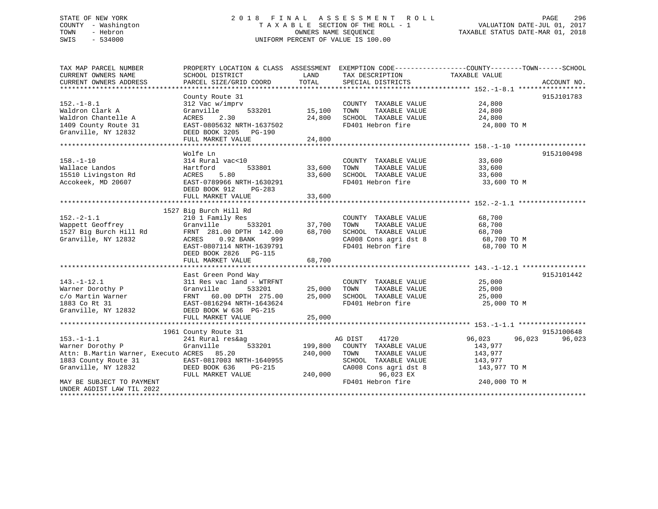## STATE OF NEW YORK 2 0 1 8 F I N A L A S S E S S M E N T R O L L PAGE 296 COUNTY - Washington T A X A B L E SECTION OF THE ROLL - 1 VALUATION DATE-JUL 01, 2017 TOWN - Hebron OWNERS NAME SEQUENCE TAXABLE STATUS DATE-MAR 01, 2018 SWIS - 534000 UNIFORM PERCENT OF VALUE IS 100.00

TAX MAP PARCEL NUMBER PROPERTY LOCATION & CLASS ASSESSMENT EXEMPTION CODE------------------COUNTY--------TOWN------SCHOOL

CURRENT OWNERS NAME SCHOOL DISTRICT THE LAND TAX DESCRIPTION TAXABLE VALUE CURRENT OWNERS ADDRESS PARCEL SIZE/GRID COORD TOTAL SPECIAL DISTRICTS ACCOUNT NO. \*\*\*\*\*\*\*\*\*\*\*\*\*\*\*\*\*\*\*\*\*\*\*\*\*\*\*\*\*\*\*\*\*\*\*\*\*\*\*\*\*\*\*\*\*\*\*\*\*\*\*\*\*\*\*\*\*\*\*\*\*\*\*\*\*\*\*\*\*\*\*\*\*\*\*\*\*\*\*\*\*\*\*\*\*\*\*\*\*\*\*\*\*\*\*\*\*\*\*\*\*\*\* 152.-1-8.1 \*\*\*\*\*\*\*\*\*\*\*\*\*\*\*\*\* County Route 31 915J101783 152.-1-8.1 312 Vac w/imprv COUNTY TAXABLE VALUE 24,800 Waldron Clark A Granville 533201 15,100 TOWN TAXABLE VALUE 24,800 Waldron Chantelle A ACRES 2.30 24,800 SCHOOL TAXABLE VALUE 24,800 1409 County Route 31 EAST-0805632 NRTH-1637502 FD401 Hebron fire 24,800 TO M Granville, NY 12832 DEED BOOK 3205 PG-190 FULL MARKET VALUE 24,800 \*\*\*\*\*\*\*\*\*\*\*\*\*\*\*\*\*\*\*\*\*\*\*\*\*\*\*\*\*\*\*\*\*\*\*\*\*\*\*\*\*\*\*\*\*\*\*\*\*\*\*\*\*\*\*\*\*\*\*\*\*\*\*\*\*\*\*\*\*\*\*\*\*\*\*\*\*\*\*\*\*\*\*\*\*\*\*\*\*\*\*\*\*\*\*\*\*\*\*\*\*\*\* 158.-1-10 \*\*\*\*\*\*\*\*\*\*\*\*\*\*\*\*\*\* Wolfe Ln 915J100498158.-1-10 314 Rural vac<10 COUNTY TAXABLE VALUE 33,600 Wallace Landos Hartford 533801 33,600 TOWN TAXABLE VALUE 33,600 15510 Livingston Rd ACRES 5.80 33,600 SCHOOL TAXABLE VALUE 33,600 Accokeek, MD 20607 EAST-0789966 NRTH-1630291 FD401 Hebron fire 33,600 TO M DEED BOOK 912 PG-283 FULL MARKET VALUE 33,600 \*\*\*\*\*\*\*\*\*\*\*\*\*\*\*\*\*\*\*\*\*\*\*\*\*\*\*\*\*\*\*\*\*\*\*\*\*\*\*\*\*\*\*\*\*\*\*\*\*\*\*\*\*\*\*\*\*\*\*\*\*\*\*\*\*\*\*\*\*\*\*\*\*\*\*\*\*\*\*\*\*\*\*\*\*\*\*\*\*\*\*\*\*\*\*\*\*\*\*\*\*\*\* 152.-2-1.1 \*\*\*\*\*\*\*\*\*\*\*\*\*\*\*\*\* 1527 Big Burch Hill Rd 152.-2-1.1 210 1 Family Res COUNTY TAXABLE VALUE 68,700 Wappett Geoffrey Granville 533201 37,700 TOWN TAXABLE VALUE 68,700 1527 Big Burch Hill Rd FRNT 281.00 DPTH 142.00 68,700 SCHOOL TAXABLE VALUE 68,700 Granville, NY 12832 ACRES 0.92 BANK 999 CA008 Cons agri dst 8 68,700 TO M EAST-0807114 NRTH-1639791 FD401 Hebron fire 68,700 TO M DEED BOOK 2826 PG-115 DEED BOOK 2826 PG-115<br>FULL MARKET VALUE 68,700 \*\*\*\*\*\*\*\*\*\*\*\*\*\*\*\*\*\*\*\*\*\*\*\*\*\*\*\*\*\*\*\*\*\*\*\*\*\*\*\*\*\*\*\*\*\*\*\*\*\*\*\*\*\*\*\*\*\*\*\*\*\*\*\*\*\*\*\*\*\*\*\*\*\*\*\*\*\*\*\*\*\*\*\*\*\*\*\*\*\*\*\*\*\*\*\*\*\*\*\*\*\*\* 143.-1-12.1 \*\*\*\*\*\*\*\*\*\*\*\*\*\*\*\* East Green Pond Way 915J101442 143.-1-12.1 311 Res vac land - WTRFNT COUNTY TAXABLE VALUE 25,000 Warner Dorothy P Granville 533201 25,000 TOWN TAXABLE VALUE 25,000 c/o Martin Warner FRNT 60.00 DPTH 275.00 25,000 SCHOOL TAXABLE VALUE 25,000 1883 Co Rt 31 EAST-0816294 NRTH-1643624 FD401 Hebron fire 25,000 TO M Granville, NY 12832 DEED BOOK W 636 PG-215 FULL MARKET VALUE 25,000 \*\*\*\*\*\*\*\*\*\*\*\*\*\*\*\*\*\*\*\*\*\*\*\*\*\*\*\*\*\*\*\*\*\*\*\*\*\*\*\*\*\*\*\*\*\*\*\*\*\*\*\*\*\*\*\*\*\*\*\*\*\*\*\*\*\*\*\*\*\*\*\*\*\*\*\*\*\*\*\*\*\*\*\*\*\*\*\*\*\*\*\*\*\*\*\*\*\*\*\*\*\*\* 153.-1-1.1 \*\*\*\*\*\*\*\*\*\*\*\*\*\*\*\*\* 1961 County Route 31 915J100648 153.-1-1.1 241 Rural res&ag AG DIST 41720 96,023 96,023 96,023 Warner Dorothy P Granville 533201 199,800 COUNTY TAXABLE VALUE 143,977 Attn: B.Martin Warner, Executo ACRES 85.20 240,000 TOWN TAXABLE VALUE 143,977 1883 County Route 31 EAST-0817003 NRTH-1640955 SCHOOL TAXABLE VALUE 143,977 Granville, NY 12832 DEED BOOK 636 PG-215 CA008 Cons agri dst 8 143,977 TO M FULL MARKET VALUE 240,000 96,023 EX MAY BE SUBJECT TO PAYMENT FD401 Hebron fire 240,000 TO M UNDER AGDIST LAW TIL 2022\*\*\*\*\*\*\*\*\*\*\*\*\*\*\*\*\*\*\*\*\*\*\*\*\*\*\*\*\*\*\*\*\*\*\*\*\*\*\*\*\*\*\*\*\*\*\*\*\*\*\*\*\*\*\*\*\*\*\*\*\*\*\*\*\*\*\*\*\*\*\*\*\*\*\*\*\*\*\*\*\*\*\*\*\*\*\*\*\*\*\*\*\*\*\*\*\*\*\*\*\*\*\*\*\*\*\*\*\*\*\*\*\*\*\*\*\*\*\*\*\*\*\*\*\*\*\*\*\*\*\*\*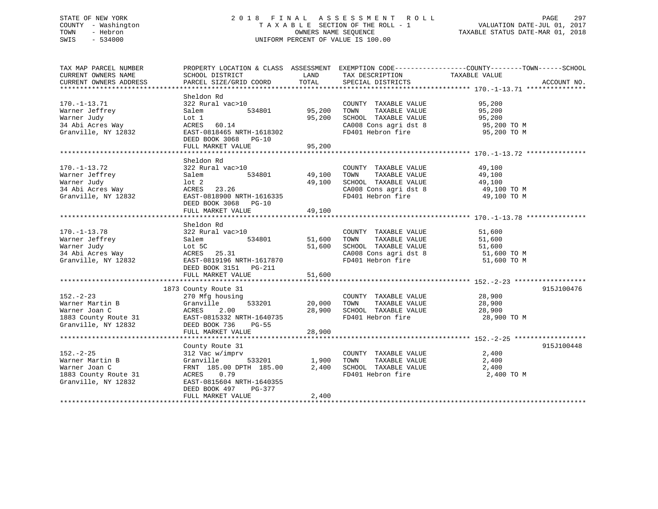## STATE OF NEW YORK 2 0 1 8 F I N A L A S S E S S M E N T R O L L PAGE 297 COUNTY - Washington T A X A B L E SECTION OF THE ROLL - 1 VALUATION DATE-JUL 01, 2017 TOWN - Hebron OWNERS NAME SEQUENCE TAXABLE STATUS DATE-MAR 01, 2018 SWIS - 534000 UNIFORM PERCENT OF VALUE IS 100.00

| TAX MAP PARCEL NUMBER<br>CURRENT OWNERS NAME<br>CURRENT OWNERS ADDRESS                                                                                                                 | SCHOOL DISTRICT<br>PARCEL SIZE/GRID COORD                                                                                                                                                   | LAND<br>TOTAL                     | TAX DESCRIPTION<br>SPECIAL DISTRICTS                                                                                                               | PROPERTY LOCATION & CLASS ASSESSMENT EXEMPTION CODE---------------COUNTY-------TOWN-----SCHOOL<br>TAXABLE VALUE<br>ACCOUNT NO. |  |
|----------------------------------------------------------------------------------------------------------------------------------------------------------------------------------------|---------------------------------------------------------------------------------------------------------------------------------------------------------------------------------------------|-----------------------------------|----------------------------------------------------------------------------------------------------------------------------------------------------|--------------------------------------------------------------------------------------------------------------------------------|--|
| $170. - 1 - 13.71$<br>Warner Jeffrey<br>Warner Judy<br>34 Abi Acres Way<br>Granville, NY 12832                                                                                         | Sheldon Rd<br>322 Rural vac>10<br>Salem<br>Lot 1<br>ACRES 60.14<br>EAST-0818465 NRTH-1618302<br>DEED BOOK 3068 PG-10<br>FULL MARKET VALUE                                                   | 534801 95,200<br>95,200<br>95,200 | COUNTY TAXABLE VALUE 95,200<br>TOWN<br>SCHOOL TAXABLE VALUE 95,200<br>CA008 Cons agri dst 8 95,200 TO M<br>FD401 Hebron fire 95,200 TO M           | TAXABLE VALUE 95,200                                                                                                           |  |
| $170. - 1 - 13.72$<br>Warner Jeffrey<br>Warner Judy<br>34 Abi Acres Way<br>Granville, NY 12832                                                                                         | Sheldon Rd<br>322 Rural vac>10<br>Salem<br>$1$ ot $2$<br>ACRES 23.26<br>EAST-0818900 NRTH-1616335<br>DEED BOOK 3068 PG-10<br>FULL MARKET VALUE                                              | 534801 49,100<br>49,100<br>49,100 | COUNTY TAXABLE VALUE<br>TAXABLE VALUE<br>TOWN<br>SCHOOL TAXABLE VALUE 49,100<br>CA008 Cons agri dst 8 49,100 TO M<br>FD401 Hebron fire 49,100 TO M | 49,100<br>49,100                                                                                                               |  |
| $170. - 1 - 13.78$<br>Warner Jeffrey<br>Warner Judy<br>34 Abi Acres Way<br>34 Abi Acres Way<br>34 Acres Way<br>52 Acres 25.31<br>52 EAST-0819196 NRTH-161787                           | Sheldon Rd<br>322 Rural vac>10<br>534801<br>Salem<br>EAST-0819196 NRTH-1617870<br>DEED BOOK 3151 PG-211                                                                                     | 51,600<br>51,600                  | COUNTY TAXABLE VALUE<br>TAXABLE VALUE<br>TOWN<br>SCHOOL TAXABLE VALUE 51,600<br>CA008 Cons agri dst 8 51,600 TO M<br>FD401 Hebron fire 51,600 TO M | 51,600<br>51,600                                                                                                               |  |
| $152 - 2 - 23$<br>Varner Martin B<br>Warner Joan C<br>Martin B<br>Stanville 533201 20,000<br>1883 County Route 31 EAST-0815332 NRTH-1640735<br>Granville, NY 12832 DEED BOOK 736 PG-55 | 1873 County Route 31<br>270 Mfg housing<br>FULL MARKET VALUE                                                                                                                                | 20,000 TOWN<br>28,900<br>28,900   | COUNTY TAXABLE VALUE<br>TAXABLE VALUE<br>SCHOOL TAXABLE VALUE 28,900<br>FD401 Hebron fire                                                          | 915J100476<br>28,900<br>28,900<br>28,900<br>28,900 TO M                                                                        |  |
| $152. - 2 - 25$<br>Warner Martin B<br>Warner Joan C<br>1883 County Route 31<br>Granville, NY 12832                                                                                     | County Route 31<br>312 Vac w/imprv<br>Granville 533201 1,900<br>FRNT 185.00 DPTH 185.00 2,400<br>ACRES<br>0.79<br>EAST-0815604 NRTH-1640355<br>DEED BOOK 497<br>PG-377<br>FULL MARKET VALUE | 2,400                             | COUNTY TAXABLE VALUE<br>TAXABLE VALUE<br>TOWN<br>SCHOOL TAXABLE VALUE<br>FD401 Hebron fire                                                         | 915J100448<br>2,400<br>2,400<br>2,400<br>2,400 TO M                                                                            |  |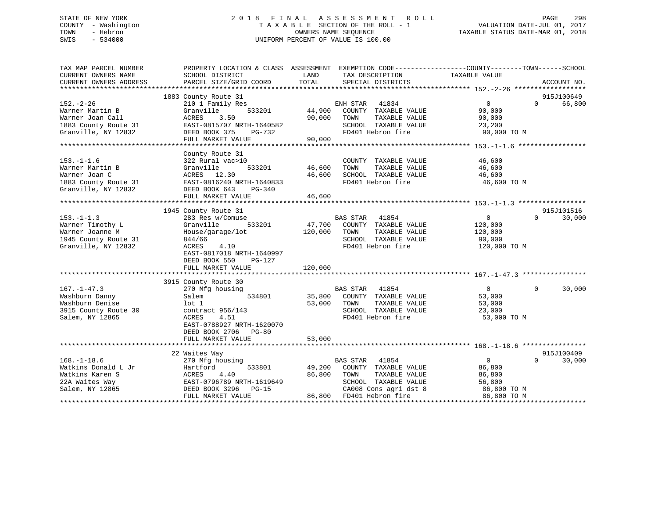## STATE OF NEW YORK 2 0 1 8 F I N A L A S S E S S M E N T R O L L PAGE 298 COUNTY - Washington T A X A B L E SECTION OF THE ROLL - 1 VALUATION DATE-JUL 01, 2017 TOWN - Hebron OWNERS NAME SEQUENCE TAXABLE STATUS DATE-MAR 01, 2018 SWIS - 534000 UNIFORM PERCENT OF VALUE IS 100.00

| TAX MAP PARCEL NUMBER<br>CURRENT OWNERS NAME                                                         | SCHOOL DISTRICT                                                                                                                                                     | LAND<br>TAX DESCRIPTION                                                                                                                                             | PROPERTY LOCATION & CLASS ASSESSMENT EXEMPTION CODE---------------COUNTY-------TOWN-----SCHOOL<br>TAXABLE VALUE     |
|------------------------------------------------------------------------------------------------------|---------------------------------------------------------------------------------------------------------------------------------------------------------------------|---------------------------------------------------------------------------------------------------------------------------------------------------------------------|---------------------------------------------------------------------------------------------------------------------|
| CURRENT OWNERS ADDRESS                                                                               | PARCEL SIZE/GRID COORD                                                                                                                                              | TOTAL<br>SPECIAL DISTRICTS                                                                                                                                          | ACCOUNT NO.                                                                                                         |
|                                                                                                      |                                                                                                                                                                     |                                                                                                                                                                     |                                                                                                                     |
| $152 - 2 - 26$<br>Warner Martin B<br>Warner Joan Call<br>1883 County Route 31<br>Granville, NY 12832 | 1883 County Route 31<br>210 1 Family Res<br>533201<br>Granville<br>ACRES<br>3.50<br>EAST-0815707 NRTH-1640582<br>DEED BOOK 375<br>PG-732<br>FULL MARKET VALUE       | ENH STAR 41834<br>44,900<br>COUNTY TAXABLE VALUE<br>90,000<br>TAXABLE VALUE<br>TOWN<br>SCHOOL TAXABLE VALUE<br>FD401 Hebron fire<br>90,000                          | 915J100649<br>$\overline{0}$<br>66,800<br>$\Omega$<br>90,000<br>90,000<br>23,200<br>90,000 TO M                     |
| $153. - 1 - 1.6$<br>Warner Martin B<br>Warner Joan C<br>1883 County Route 31<br>Granville, NY 12832  | County Route 31<br>322 Rural vac>10<br>Granville<br>533201<br>ACRES 12.30<br>EAST-0816240 NRTH-1640833<br>DEED BOOK 643<br>PG-340<br>FULL MARKET VALUE              | COUNTY TAXABLE VALUE<br>46,600<br>TAXABLE VALUE<br>TOWN<br>SCHOOL TAXABLE VALUE<br>46,600<br>FD401 Hebron fire<br>46,600                                            | 46,600<br>46,600<br>46,600<br>46,600 TO M                                                                           |
|                                                                                                      | 1945 County Route 31                                                                                                                                                |                                                                                                                                                                     | 915J101516                                                                                                          |
| $153.-1-1.3$<br>Warner Timothy L<br>Warner Joanne M<br>1945 County Route 31<br>Granville, NY 12832   | 283 Res w/Comuse<br>Granville<br>533201<br>House/garage/lot<br>844/66<br>4.10<br>ACRES<br>EAST-0817018 NRTH-1640997<br>DEED BOOK 550<br>PG-127<br>FULL MARKET VALUE | BAS STAR 41854<br>47,700<br>COUNTY TAXABLE VALUE<br>120,000<br>TAXABLE VALUE<br>TOWN<br>SCHOOL TAXABLE VALUE<br>FD401 Hebron fire<br>120,000                        | $\overline{0}$<br>$\Omega$<br>30,000<br>120,000<br>120,000<br>90,000<br>120,000 TO M                                |
|                                                                                                      | 3915 County Route 30                                                                                                                                                |                                                                                                                                                                     |                                                                                                                     |
| $167. - 1 - 47.3$<br>Washburn Danny<br>Washburn Denise<br>3915 County Route 30<br>Salem, NY 12865    | 270 Mfg housing<br>534801<br>Salem<br>$1$ ot $1$<br>contract 956/143<br>4.51<br>ACRES<br>EAST-0788927 NRTH-1620070<br>DEED BOOK 2706 PG-80                          | BAS STAR 41854<br>35,800<br>COUNTY TAXABLE VALUE<br>53,000<br>TOWN<br>TAXABLE VALUE<br>SCHOOL TAXABLE VALUE<br>FD401 Hebron fire                                    | $\overline{0}$<br>$\mathbf{0}$<br>30,000<br>53,000<br>53,000<br>23,000<br>53,000 TO M                               |
|                                                                                                      | FULL MARKET VALUE                                                                                                                                                   | 53,000                                                                                                                                                              |                                                                                                                     |
|                                                                                                      | 22 Waites Way                                                                                                                                                       |                                                                                                                                                                     | 915J100409                                                                                                          |
| $168. - 1 - 18.6$<br>Watkins Donald L Jr<br>Watkins Karen S<br>22A Waites Way<br>Salem, NY 12865     | 270 Mfg housing<br>533801<br>Hartford<br>ACRES<br>4.40<br>EAST-0796789 NRTH-1619649<br>DEED BOOK 3296 PG-15<br>FULL MARKET VALUE                                    | 41854<br>BAS STAR<br>COUNTY TAXABLE VALUE<br>49,200<br>86,800<br>TOWN<br>TAXABLE VALUE<br>SCHOOL TAXABLE VALUE<br>CA008 Cons agri dst 8<br>86,800 FD401 Hebron fire | $\overline{0}$<br>$\Omega$<br>30,000<br>86,800<br>86,800<br>56,800<br>$86,800$ TO M<br>$86,800$ TO M<br>86,800 TO M |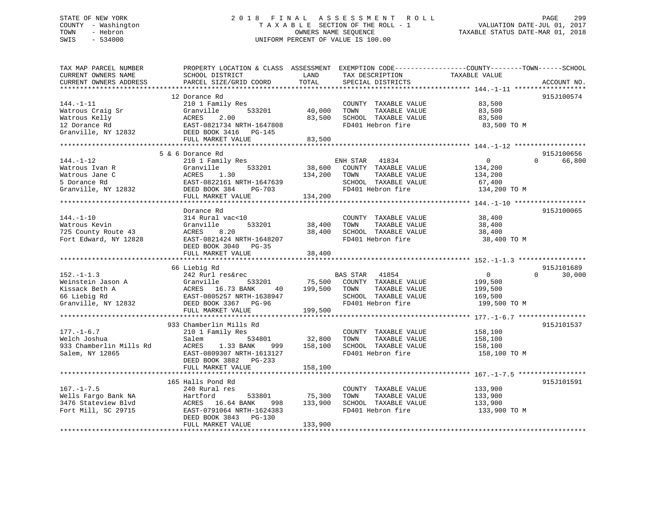## STATE OF NEW YORK 2 0 1 8 F I N A L A S S E S S M E N T R O L L PAGE 299 COUNTY - Washington T A X A B L E SECTION OF THE ROLL - 1 VALUATION DATE-JUL 01, 2017 TOWN - Hebron OWNERS NAME SEQUENCE TAXABLE STATUS DATE-MAR 01, 2018 SWIS - 534000 UNIFORM PERCENT OF VALUE IS 100.00

| 915J100574           |
|----------------------|
|                      |
|                      |
|                      |
| 915J100656<br>66,800 |
|                      |
| 915J100065           |
|                      |
| 915J101689<br>30,000 |
|                      |
| 915J101537           |
|                      |
| 915J101591           |
|                      |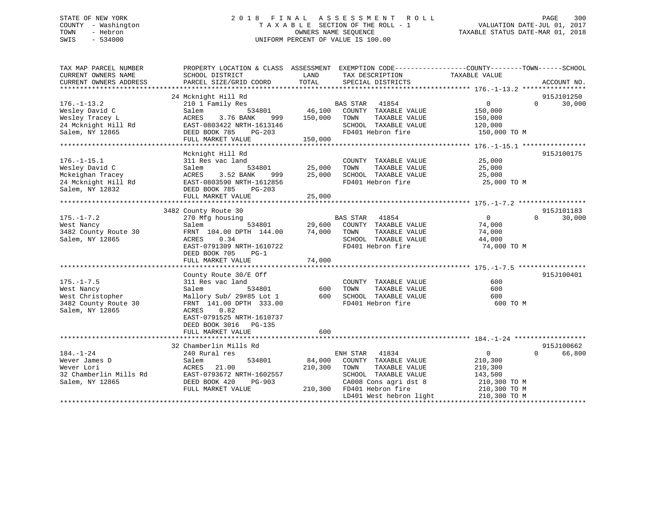## STATE OF NEW YORK 2 0 1 8 F I N A L A S S E S S M E N T R O L L PAGE 300 COUNTY - Washington T A X A B L E SECTION OF THE ROLL - 1 VALUATION DATE-JUL 01, 2017 TOWN - Hebron OWNERS NAME SEQUENCE TAXABLE STATUS DATE-MAR 01, 2018 SWIS - 534000 UNIFORM PERCENT OF VALUE IS 100.00

| TAX MAP PARCEL NUMBER<br>CURRENT OWNERS NAME                                                      | SCHOOL DISTRICT                                                                                                                                                  | PROPERTY LOCATION & CLASS ASSESSMENT EXEMPTION CODE---------------COUNTY-------TOWN------SCHOOL<br>LAND<br>TAX DESCRIPTION                                                    | TAXABLE VALUE                                                                             |
|---------------------------------------------------------------------------------------------------|------------------------------------------------------------------------------------------------------------------------------------------------------------------|-------------------------------------------------------------------------------------------------------------------------------------------------------------------------------|-------------------------------------------------------------------------------------------|
| CURRENT OWNERS ADDRESS                                                                            | PARCEL SIZE/GRID COORD                                                                                                                                           | TOTAL<br>SPECIAL DISTRICTS                                                                                                                                                    | ACCOUNT NO.                                                                               |
|                                                                                                   | 24 Mcknight Hill Rd                                                                                                                                              |                                                                                                                                                                               | 915J101250                                                                                |
| $176. - 1 - 13.2$<br>Wesley David C<br>Wesley Tracey L<br>24 Mcknight Hill Rd<br>Salem, NY 12865  | 210 1 Family Res<br>Salem<br>3.76 BANK<br>ACRES<br>EAST-0803422 NRTH-1613146<br>DEED BOOK 785<br>PG-203<br>FULL MARKET VALUE                                     | <b>BAS STAR 41854</b><br>534801 46,100 COUNTY TAXABLE VALUE<br>999 150,000 TOWN<br>TAXABLE VALUE<br>SCHOOL TAXABLE VALUE<br>SCHOOL TAXABLE VA<br>FD401 Hebron fire<br>150,000 | $\overline{0}$<br>$\Omega$<br>30,000<br>150,000<br>150,000<br>120,000<br>150,000 TO M     |
|                                                                                                   | Mcknight Hill Rd                                                                                                                                                 |                                                                                                                                                                               | 915J100175                                                                                |
| $176. - 1 - 15.1$<br>Wesley David C<br>Mckeighan Tracey<br>24 Mcknight Hill Rd<br>Salem, NY 12832 | 311 Res vac land<br>534801<br>Salem<br>L<br>999<br>3.52 BANK<br>ACRES<br>EAST-0803590 NRTH-1612856<br>DEED BOOK 785 PG-203<br>FULL MARKET VALUE                  | COUNTY TAXABLE VALUE<br>25,000<br>TAXABLE VALUE<br>TOWN<br>25,000<br>SCHOOL TAXABLE VALUE<br>FD401 Hebron fire<br>25,000                                                      | 25,000<br>25,000<br>25,000<br>25,000 TO M                                                 |
|                                                                                                   |                                                                                                                                                                  |                                                                                                                                                                               |                                                                                           |
| $175. - 1 - 7.2$<br>West Nancy<br>3482 County Route 30<br>Salem, NY 12865                         | 3482 County Route 30<br>270 Mfg housing<br>Salem<br>FRNT 104.00 DPTH 144.00 74,000 TOWN<br>0.34<br>ACRES<br>EAST-0791309 NRTH-1610722<br>DEED BOOK 705<br>$PG-1$ | BAS STAR 41854<br>534801 29,600 COUNTY TAXABLE VALUE<br>TAXABLE VALUE<br>SCHOOL TAXABLE VALUE<br>FD401 Hebron fire                                                            | 915J101183<br>$\Omega$<br>$\Omega$<br>30,000<br>74,000<br>74,000<br>44,000<br>74,000 TO M |
|                                                                                                   | County Route 30/E Off                                                                                                                                            |                                                                                                                                                                               | 915J100401                                                                                |
| $175. - 1 - 7.5$<br>West Nancy<br>West Christopher<br>3482 County Route 30<br>Salem, NY 12865     | 311 Res vac land<br>Salem<br>534801<br>FRNT 141.00 DPTH 333.00<br>ACRES<br>0.82<br>EAST-0791525 NRTH-1610737<br>DEED BOOK 3016 PG-135                            | COUNTY TAXABLE VALUE<br>600<br>TAXABLE VALUE<br>TOWN<br>Mallory Sub/ 29#85 Lot 1 600 SCHOOL TAXABLE VALUE<br>FD401 Hebron fire                                                | 600<br>600<br>600<br>600 TO M                                                             |
|                                                                                                   | FULL MARKET VALUE                                                                                                                                                | 600                                                                                                                                                                           |                                                                                           |
| $184. - 1 - 24$<br>Wever James D<br>Wever Lori<br>32 Chamberlin Mills Rd<br>Salem, NY 12865       | 32 Chamberlin Mills Rd<br>240 Rural res<br>534801<br>Salem<br>ACRES<br>21.00<br>EAST-0793672 NRTH-1602557<br>DEED BOOK 420<br>PG-903                             | ENH STAR<br>41834<br>84,000<br>COUNTY TAXABLE VALUE<br>210,300<br>TOWN<br>TAXABLE VALUE<br>SCHOOL TAXABLE VALUE<br>CA008 Cons agri dst 8                                      | 915J100662<br>$\overline{0}$<br>$\Omega$<br>66,800<br>210,300<br>210,300<br>143,500       |
|                                                                                                   | FULL MARKET VALUE                                                                                                                                                | 210,300 FD401 Hebron fire<br>LD401 West hebron light                                                                                                                          | 210,300 TO M<br>210,300 TO M<br>210,300 TO M                                              |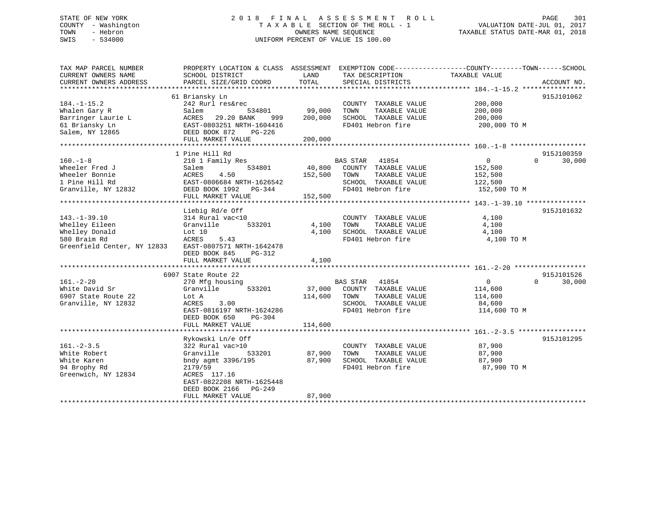## STATE OF NEW YORK 2 0 1 8 F I N A L A S S E S S M E N T R O L L PAGE 301 COUNTY - Washington T A X A B L E SECTION OF THE ROLL - 1 VALUATION DATE-JUL 01, 2017 TOWN - Hebron OWNERS NAME SEQUENCE TAXABLE STATUS DATE-MAR 01, 2018 SWIS - 534000 UNIFORM PERCENT OF VALUE IS 100.00

| TAX MAP PARCEL NUMBER<br>CURRENT OWNERS NAME<br>CURRENT OWNERS ADDRESS                                | PROPERTY LOCATION & CLASS ASSESSMENT<br>SCHOOL DISTRICT<br>PARCEL SIZE/GRID COORD                                                                                    | LAND<br>TOTAL                | TAX DESCRIPTION<br>SPECIAL DISTRICTS                                                                            | EXEMPTION CODE-----------------COUNTY-------TOWN------SCHOOL<br>TAXABLE VALUE | ACCOUNT NO.                      |
|-------------------------------------------------------------------------------------------------------|----------------------------------------------------------------------------------------------------------------------------------------------------------------------|------------------------------|-----------------------------------------------------------------------------------------------------------------|-------------------------------------------------------------------------------|----------------------------------|
|                                                                                                       |                                                                                                                                                                      |                              |                                                                                                                 |                                                                               |                                  |
| $184. - 1 - 15.2$<br>Whalen Gary R<br>Barringer Laurie L<br>61 Briansky Ln<br>Salem, NY 12865         | 61 Briansky Ln<br>242 Rurl res&rec<br>Salem<br>534801<br>ACRES<br>29.20 BANK<br>999<br>EAST-0803251 NRTH-1604416<br>DEED BOOK 872<br>PG-226                          | 99,000<br>200,000            | COUNTY TAXABLE VALUE<br>TOWN<br>TAXABLE VALUE<br>SCHOOL TAXABLE VALUE<br>FD401 Hebron fire                      | 200,000<br>200,000<br>200,000<br>200,000 TO M                                 | 915J101062                       |
|                                                                                                       | FULL MARKET VALUE                                                                                                                                                    | 200,000                      |                                                                                                                 |                                                                               |                                  |
|                                                                                                       | 1 Pine Hill Rd                                                                                                                                                       |                              |                                                                                                                 |                                                                               | 915J100359                       |
| $160. -1 - 8$<br>Wheeler Fred J<br>Wheeler Bonnie<br>1 Pine Hill Rd<br>Granville, NY 12832            | 210 1 Family Res<br>Salem<br>534801<br>ACRES<br>4.50<br>EAST-0806684 NRTH-1626542<br>DEED BOOK 1992 PG-344<br>FULL MARKET VALUE                                      | 40,800<br>152,500<br>152,500 | BAS STAR<br>41854<br>COUNTY TAXABLE VALUE<br>TOWN<br>TAXABLE VALUE<br>SCHOOL TAXABLE VALUE<br>FD401 Hebron fire | $\overline{0}$<br>152,500<br>152,500<br>122,500<br>152,500 TO M               | 30,000<br>$\Omega$               |
|                                                                                                       |                                                                                                                                                                      |                              |                                                                                                                 |                                                                               | 915J101632                       |
| $143. - 1 - 39.10$<br>Whelley Eileen<br>Whelley Donald<br>580 Braim Rd<br>Greenfield Center, NY 12833 | Liebig Rd/e Off<br>314 Rural vac<10<br>533201<br>Granville<br>Lot 10<br>ACRES<br>5.43<br>EAST-0807571 NRTH-1642478<br>DEED BOOK 845<br>PG-312                        | 4,100<br>4,100               | COUNTY TAXABLE VALUE<br>TAXABLE VALUE<br>TOWN<br>SCHOOL TAXABLE VALUE<br>FD401 Hebron fire                      | 4,100<br>4,100<br>4,100<br>4,100 TO M                                         |                                  |
|                                                                                                       | FULL MARKET VALUE                                                                                                                                                    | 4,100                        |                                                                                                                 |                                                                               |                                  |
|                                                                                                       |                                                                                                                                                                      |                              |                                                                                                                 |                                                                               |                                  |
| $161. - 2 - 20$<br>White David Sr<br>6907 State Route 22<br>Granville, NY 12832                       | 6907 State Route 22<br>270 Mfg housing<br>533201<br>Granville<br>Lot A<br>3.00<br>ACRES<br>EAST-0816197 NRTH-1624286<br>DEED BOOK 650<br>PG-304<br>FULL MARKET VALUE | 37,000<br>114,600<br>114,600 | BAS STAR 41854<br>COUNTY TAXABLE VALUE<br>TOWN<br>TAXABLE VALUE<br>SCHOOL TAXABLE VALUE<br>FD401 Hebron fire    | $\mathbf{0}$<br>114,600<br>114,600<br>84,600<br>114,600 TO M                  | 915J101526<br>$\Omega$<br>30,000 |
|                                                                                                       |                                                                                                                                                                      |                              |                                                                                                                 |                                                                               |                                  |
| $161. - 2 - 3.5$<br>White Robert<br>White Karen<br>94 Brophy Rd<br>Greenwich, NY 12834                | Rykowski Ln/e Off<br>322 Rural vac>10<br>533201<br>Granville<br>bndy agmt 3396/195<br>2179/59<br>ACRES 117.16<br>EAST-0822208 NRTH-1625448<br>DEED BOOK 2166 PG-249  | 87,900<br>87,900             | COUNTY TAXABLE VALUE<br>TAXABLE VALUE<br>TOWN<br>SCHOOL TAXABLE VALUE<br>FD401 Hebron fire                      | 87,900<br>87,900<br>87,900<br>87,900 TO M                                     | 915J101295                       |
|                                                                                                       | FULL MARKET VALUE                                                                                                                                                    | 87,900                       |                                                                                                                 |                                                                               |                                  |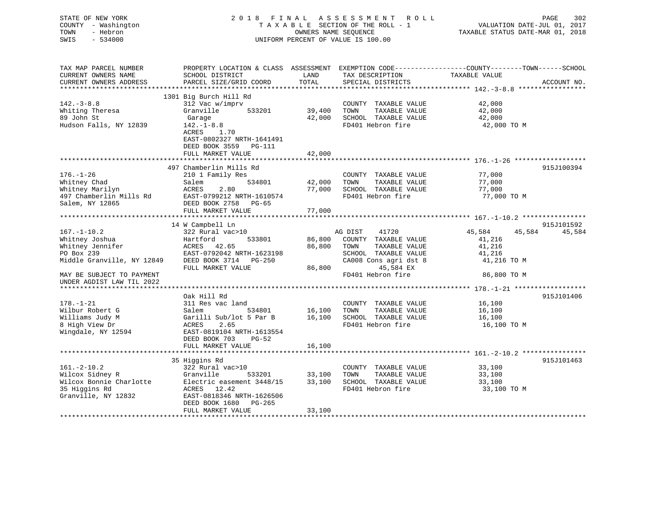| STATE OF NEW YORK<br>COUNTY - Washington<br>TOWN<br>- Hebron<br>SWIS<br>$-534000$ | 2018 FINAL                                |               | ASSESSMENT ROLL<br>TAXABLE SECTION OF THE ROLL - 1<br>OWNERS NAME SEQUENCE<br>UNIFORM PERCENT OF VALUE IS 100.00 | PAGE<br>302<br>VALUATION DATE-JUL 01, 2017<br>TAXABLE STATUS DATE-MAR 01, 2018                                                  |
|-----------------------------------------------------------------------------------|-------------------------------------------|---------------|------------------------------------------------------------------------------------------------------------------|---------------------------------------------------------------------------------------------------------------------------------|
| TAX MAP PARCEL NUMBER<br>CURRENT OWNERS NAME<br>CURRENT OWNERS ADDRESS            | SCHOOL DISTRICT<br>PARCEL SIZE/GRID COORD | LAND<br>TOTAL | TAX DESCRIPTION<br>SPECIAL DISTRICTS                                                                             | PROPERTY LOCATION & CLASS ASSESSMENT EXEMPTION CODE----------------COUNTY-------TOWN-----SCHOOL<br>TAXABLE VALUE<br>ACCOUNT NO. |
|                                                                                   |                                           |               |                                                                                                                  |                                                                                                                                 |
| $142. - 3 - 8.8$                                                                  | 1301 Big Burch Hill Rd<br>312 Vac w/imprv |               | COUNTY TAXABLE VALUE                                                                                             | 42,000                                                                                                                          |
| Whiting Theresa                                                                   | Granville<br>533201                       | 39,400        | TOWN<br>TAXABLE VALUE                                                                                            | 42,000                                                                                                                          |
| 89 John St                                                                        | Garage                                    | 42,000        | SCHOOL TAXABLE VALUE                                                                                             | 42,000                                                                                                                          |
| Hudson Falls, NY 12839                                                            | $142. - 1 - 8.8$                          |               | FD401 Hebron fire                                                                                                | 42,000 TO M                                                                                                                     |
|                                                                                   | ACRES 1.70                                |               |                                                                                                                  |                                                                                                                                 |
|                                                                                   | EAST-0802327 NRTH-1641491                 |               |                                                                                                                  |                                                                                                                                 |
|                                                                                   | DEED BOOK 3559<br><b>PG-111</b>           |               |                                                                                                                  |                                                                                                                                 |
|                                                                                   | FULL MARKET VALUE                         | 42,000        |                                                                                                                  |                                                                                                                                 |
|                                                                                   |                                           |               |                                                                                                                  |                                                                                                                                 |
|                                                                                   | 497 Chamberlin Mills Rd                   |               |                                                                                                                  | 915J100394                                                                                                                      |
| $176. - 1 - 26$                                                                   | 210 1 Family Res                          |               | COUNTY TAXABLE VALUE                                                                                             | 77,000                                                                                                                          |
| Whitney Chad                                                                      | 534801<br>Salem                           | 42,000        | TAXABLE VALUE<br>TOWN                                                                                            | 77,000                                                                                                                          |
| Whitney Marilyn                                                                   | 2.80<br>ACRES                             | 77,000        | SCHOOL TAXABLE VALUE                                                                                             | 77,000                                                                                                                          |
| 497 Chamberlin Mills Rd                                                           | EAST-0799212 NRTH-1610574                 |               | FD401 Hebron fire                                                                                                | 77,000 TO M                                                                                                                     |
| Salem, NY 12865                                                                   | DEED BOOK 2758 PG-65                      |               |                                                                                                                  |                                                                                                                                 |
|                                                                                   | FULL MARKET VALUE                         | 77,000        |                                                                                                                  |                                                                                                                                 |
|                                                                                   |                                           |               |                                                                                                                  |                                                                                                                                 |
| $167. - 1 - 10.2$                                                                 | 14 W Campbell Ln<br>322 Rural vac>10      |               | AG DIST<br>41720                                                                                                 | 915J101592<br>45,584<br>45,584<br>45,584                                                                                        |
| Whitney Joshua                                                                    | Hartford<br>533801                        | 86,800        | COUNTY TAXABLE VALUE                                                                                             | 41,216                                                                                                                          |
| Whitney Jennifer                                                                  | ACRES 42.65                               | 86,800        | TOWN<br>TAXABLE VALUE                                                                                            | 41,216                                                                                                                          |
| PO Box 239                                                                        | EAST-0792042 NRTH-1623198                 |               | SCHOOL TAXABLE VALUE                                                                                             | 41,216                                                                                                                          |
| Middle Granville, NY 12849                                                        | DEED BOOK 3714 PG-250                     |               | CA008 Cons agri dst 8                                                                                            | 41,216 TO M                                                                                                                     |
|                                                                                   | FULL MARKET VALUE                         | 86,800        | 45,584 EX                                                                                                        |                                                                                                                                 |
| MAY BE SUBJECT TO PAYMENT                                                         |                                           |               | FD401 Hebron fire                                                                                                | 86,800 TO M                                                                                                                     |
| UNDER AGDIST LAW TIL 2022                                                         |                                           |               |                                                                                                                  |                                                                                                                                 |
|                                                                                   |                                           |               |                                                                                                                  |                                                                                                                                 |
|                                                                                   | Oak Hill Rd                               |               |                                                                                                                  | 915J101406                                                                                                                      |
| $178. - 1 - 21$                                                                   | 311 Res vac land                          |               | COUNTY TAXABLE VALUE                                                                                             | 16,100                                                                                                                          |
| Wilbur Robert G                                                                   | Salem<br>534801                           | 16,100        | TOWN<br>TAXABLE VALUE                                                                                            | 16,100                                                                                                                          |
| Williams Judy M                                                                   | Garilli Sub/lot 5 Par B                   | 16,100        | SCHOOL TAXABLE VALUE                                                                                             | 16,100                                                                                                                          |
| 8 High View Dr                                                                    | 2.65<br>ACRES                             |               | FD401 Hebron fire                                                                                                | 16,100 TO M                                                                                                                     |
| Wingdale, NY 12594                                                                | EAST-0819104 NRTH-1613554                 |               |                                                                                                                  |                                                                                                                                 |
|                                                                                   | DEED BOOK 703<br>$PG-52$                  |               |                                                                                                                  |                                                                                                                                 |
|                                                                                   | FULL MARKET VALUE                         | 16,100        |                                                                                                                  |                                                                                                                                 |
|                                                                                   |                                           |               |                                                                                                                  |                                                                                                                                 |
|                                                                                   | 35 Higgins Rd                             |               |                                                                                                                  | 915J101463                                                                                                                      |
| $161. - 2 - 10.2$                                                                 | 322 Rural vac>10                          |               | COUNTY TAXABLE VALUE                                                                                             | 33,100                                                                                                                          |
| Wilcox Sidney R                                                                   | Granville<br>533201                       | 33,100        | TAXABLE VALUE<br>TOWN                                                                                            | 33,100                                                                                                                          |
| Wilcox Bonnie Charlotte                                                           | Electric easement 3448/15                 | 33,100        | SCHOOL TAXABLE VALUE                                                                                             | 33,100                                                                                                                          |
| 35 Higgins Rd                                                                     | ACRES 12.42                               |               | FD401 Hebron fire                                                                                                | 33,100 TO M                                                                                                                     |
| Granville, NY 12832                                                               | EAST-0818346 NRTH-1626506                 |               |                                                                                                                  |                                                                                                                                 |
|                                                                                   | DEED BOOK 1680<br>$PG-265$                |               |                                                                                                                  |                                                                                                                                 |
|                                                                                   | FULL MARKET VALUE                         | 33,100        |                                                                                                                  |                                                                                                                                 |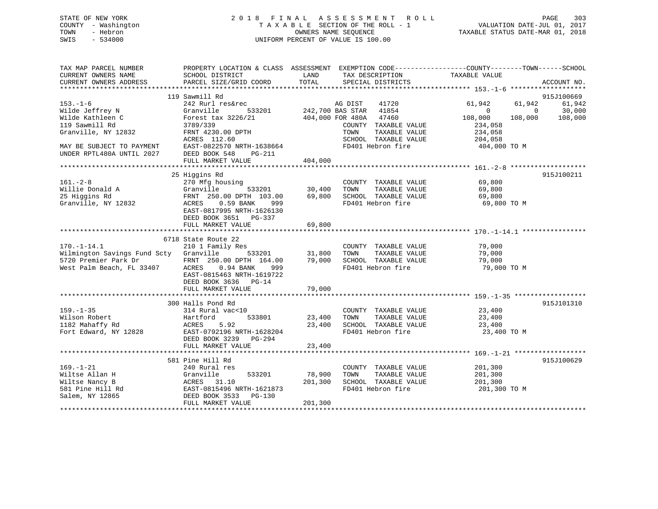## STATE OF NEW YORK 2 0 1 8 F I N A L A S S E S S M E N T R O L L PAGE 303 COUNTY - Washington T A X A B L E SECTION OF THE ROLL - 1 VALUATION DATE-JUL 01, 2017 TOWN - Hebron OWNERS NAME SEQUENCE TAXABLE STATUS DATE-MAR 01, 2018 SWIS - 534000 UNIFORM PERCENT OF VALUE IS 100.00

| TAX MAP PARCEL NUMBER<br>CURRENT OWNERS NAME<br>CURRENT OWNERS ADDRESS | PROPERTY LOCATION & CLASS ASSESSMENT EXEMPTION CODE----------------COUNTY-------TOWN------SCHOOL<br>SCHOOL DISTRICT<br>PARCEL SIZE/GRID COORD | LAND<br>TOTAL    | TAX DESCRIPTION<br>SPECIAL DISTRICTS      | TAXABLE VALUE              | ACCOUNT NO. |
|------------------------------------------------------------------------|-----------------------------------------------------------------------------------------------------------------------------------------------|------------------|-------------------------------------------|----------------------------|-------------|
|                                                                        |                                                                                                                                               |                  |                                           |                            |             |
|                                                                        | 119 Sawmill Rd                                                                                                                                |                  |                                           |                            | 915J100669  |
| $153. - 1 - 6$                                                         | 242 Rurl res&rec                                                                                                                              |                  | AG DIST<br>41720                          | 61,942<br>61,942           | 61,942      |
| Wilde Jeffrey N                                                        | Granville                                                                                                                                     |                  | 533201 242,700 BAS STAR 41854             | $\Omega$<br>$\overline{0}$ | 30,000      |
| Wilde Kathleen C                                                       | Forest tax 3226/21                                                                                                                            | 404,000 FOR 480A | 47460                                     | 108,000<br>108,000         | 108,000     |
| 119 Sawmill Rd                                                         | 3789/339                                                                                                                                      |                  | COUNTY TAXABLE VALUE                      | 234,058                    |             |
| Granville, NY 12832                                                    | FRNT 4230.00 DPTH                                                                                                                             |                  | TAXABLE VALUE<br>TOWN                     | 234,058<br>204,058         |             |
| MAY BE SUBJECT TO PAYMENT                                              | ACRES 112.60<br>EAST-0822570 NRTH-1638664                                                                                                     |                  | SCHOOL TAXABLE VALUE<br>FD401 Hebron fire | 404,000 TO M               |             |
| UNDER RPTL480A UNTIL 2027                                              | DEED BOOK 548<br>PG-211                                                                                                                       |                  |                                           |                            |             |
|                                                                        | FULL MARKET VALUE                                                                                                                             | 404,000          |                                           |                            |             |
|                                                                        |                                                                                                                                               |                  |                                           |                            |             |
|                                                                        | 25 Higgins Rd                                                                                                                                 |                  |                                           |                            | 915J100211  |
| $161. - 2 - 8$                                                         | 270 Mfg housing                                                                                                                               |                  | COUNTY TAXABLE VALUE                      | 69,800                     |             |
| Willie Donald A                                                        | Granville<br>533201                                                                                                                           | 30,400           | TAXABLE VALUE<br>TOWN                     | 69,800                     |             |
| 25 Higgins Rd                                                          | FRNT 250.00 DPTH 103.00                                                                                                                       | 69,800           | SCHOOL TAXABLE VALUE                      | 69,800                     |             |
| Granville, NY 12832                                                    | $0.59$ BANK<br>ACRES<br>999                                                                                                                   |                  | FD401 Hebron fire                         | 69,800 TO M                |             |
|                                                                        | EAST-0817995 NRTH-1626130                                                                                                                     |                  |                                           |                            |             |
|                                                                        | DEED BOOK 3651 PG-337                                                                                                                         |                  |                                           |                            |             |
|                                                                        | FULL MARKET VALUE                                                                                                                             | 69,800           |                                           |                            |             |
|                                                                        |                                                                                                                                               |                  |                                           |                            |             |
|                                                                        | 6718 State Route 22                                                                                                                           |                  |                                           |                            |             |
| $170. - 1 - 14.1$                                                      | 210 1 Family Res                                                                                                                              |                  | COUNTY TAXABLE VALUE                      | 79,000                     |             |
| Wilmington Savings Fund Scty Granville                                 | 533201                                                                                                                                        | 31,800           | TAXABLE VALUE<br>TOWN                     | 79,000                     |             |
| 5720 Premier Park Dr<br>West Palm Beach, FL 33407                      | FRNT 250.00 DPTH 164.00                                                                                                                       | 79,000           | SCHOOL TAXABLE VALUE                      | 79,000                     |             |
|                                                                        | ACRES 0.94 BANK<br>999                                                                                                                        |                  | FD401 Hebron fire                         | 79,000 TO M                |             |
|                                                                        | EAST-0815463 NRTH-1619722                                                                                                                     |                  |                                           |                            |             |
|                                                                        | DEED BOOK 3636 PG-14                                                                                                                          |                  |                                           |                            |             |
|                                                                        | FULL MARKET VALUE                                                                                                                             | 79,000           |                                           |                            |             |
|                                                                        | 300 Halls Pond Rd                                                                                                                             |                  |                                           |                            | 915J101310  |
| $159. - 1 - 35$                                                        | 314 Rural vac<10                                                                                                                              |                  | COUNTY TAXABLE VALUE                      | 23,400                     |             |
| Wilson Robert                                                          | Hartford<br>533801                                                                                                                            | 23,400           | TAXABLE VALUE<br>TOWN                     | 23,400                     |             |
| 1182 Mahaffy Rd                                                        | ACRES<br>5.92                                                                                                                                 | 23,400           | SCHOOL TAXABLE VALUE                      | 23,400                     |             |
| Fort Edward, NY 12828                                                  | EAST-0792196 NRTH-1628204                                                                                                                     |                  | FD401 Hebron fire                         | 23,400 TO M                |             |
|                                                                        | DEED BOOK 3239 PG-294                                                                                                                         |                  |                                           |                            |             |
|                                                                        | FULL MARKET VALUE                                                                                                                             | 23,400           |                                           |                            |             |
|                                                                        |                                                                                                                                               |                  |                                           |                            |             |
|                                                                        | 581 Pine Hill Rd                                                                                                                              |                  |                                           |                            | 915J100629  |
| $169. - 1 - 21$                                                        | 240 Rural res                                                                                                                                 |                  | COUNTY TAXABLE VALUE                      | 201,300                    |             |
| Wiltse Allan H                                                         | Granville<br>533201                                                                                                                           | 78,900           | TOWN<br>TAXABLE VALUE                     | 201,300                    |             |
| Wiltse Nancy B                                                         |                                                                                                                                               | 201,300          | SCHOOL TAXABLE VALUE                      | 201,300                    |             |
| 581 Pine Hill Rd                                                       |                                                                                                                                               |                  | FD401 Hebron fire                         | 201,300 TO M               |             |
| Salem, NY 12865                                                        | ACRES 31.10<br>EAST-0815496 NRTH-1621873<br>DEED BOOK 3533 PG-130                                                                             |                  |                                           |                            |             |
|                                                                        | FULL MARKET VALUE                                                                                                                             | 201,300          |                                           |                            |             |
|                                                                        |                                                                                                                                               |                  |                                           |                            |             |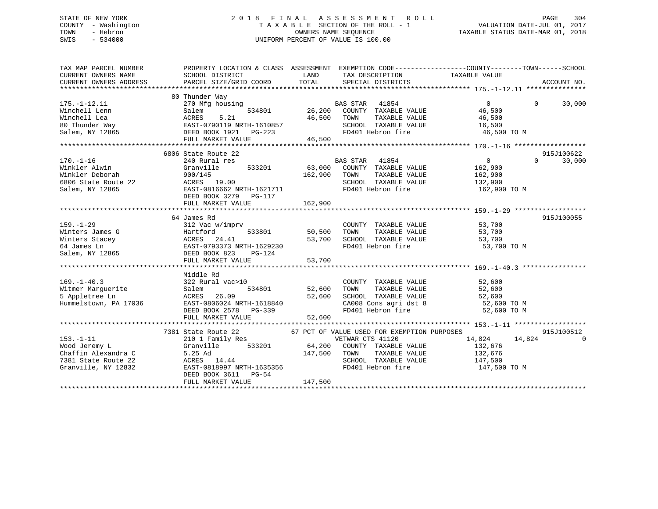## STATE OF NEW YORK 2 0 1 8 F I N A L A S S E S S M E N T R O L L PAGE 304 COUNTY - Washington T A X A B L E SECTION OF THE ROLL - 1 VALUATION DATE-JUL 01, 2017 TOWN - Hebron OWNERS NAME SEQUENCE TAXABLE STATUS DATE-MAR 01, 2018 SWIS - 534000 UNIFORM PERCENT OF VALUE IS 100.00

| TAX MAP PARCEL NUMBER<br>CURRENT OWNERS NAME<br>CURRENT OWNERS ADDRESS                                | PROPERTY LOCATION & CLASS ASSESSMENT EXEMPTION CODE----------------COUNTY-------TOWN------SCHOOL<br>SCHOOL DISTRICT<br>PARCEL SIZE/GRID COORD                                     | LAND                       | TAX DESCRIPTION<br>TOTAL SPECIAL DISTRICTS                                                                                     | TAXABLE VALUE                                                     | ACCOUNT NO.                      |
|-------------------------------------------------------------------------------------------------------|-----------------------------------------------------------------------------------------------------------------------------------------------------------------------------------|----------------------------|--------------------------------------------------------------------------------------------------------------------------------|-------------------------------------------------------------------|----------------------------------|
|                                                                                                       |                                                                                                                                                                                   |                            |                                                                                                                                |                                                                   |                                  |
| $175. - 1 - 12.11$<br>Winchell Lenn<br>Winchell Lea<br>80 Thunder Way                                 | 80 Thunder Way<br>270 Mfg housing<br>534801<br>Salem<br>ACRES<br>5.21                                                                                                             | 46,500                     | BAS STAR 41854<br>26,200 COUNTY TAXABLE VALUE<br>TAXABLE VALUE<br>TOWN<br>SCHOOL TAXABLE VALUE                                 | $\overline{0}$<br>46,500<br>46,500<br>16,500                      | $\Omega$<br>30,000               |
| Salem, NY 12865                                                                                       | EAST-0790119 NRTH-1610857<br>DEED BOOK 1921 PG-223<br>DEED BOOK 1921    PG-223                                                                                                    |                            | FD401 Hebron fire                                                                                                              | 46,500 TO M                                                       |                                  |
|                                                                                                       | FULL MARKET VALUE                                                                                                                                                                 | 46,500                     |                                                                                                                                |                                                                   |                                  |
|                                                                                                       |                                                                                                                                                                                   |                            |                                                                                                                                |                                                                   |                                  |
| $170. - 1 - 16$<br>Winkler Alwin<br>Winkler Deborah<br>6806 State Route 22<br>Salem, NY 12865         | 6806 State Route 22<br>240 Rural res<br>533201<br>Granville<br>900/145<br>ACRES 19.00<br>EAST-0816662 NRTH-1621711<br>DEED BOOK 3279 PG-117                                       | 162,900                    | BAS STAR 41854<br>63,000 COUNTY TAXABLE VALUE<br>TAXABLE VALUE<br>TOWN<br>SCHOOL TAXABLE VALUE<br>FD401 Hebron fire            | $\overline{0}$<br>162,900<br>162,900<br>132,900<br>162,900 TO M   | 915J100622<br>$\Omega$<br>30,000 |
|                                                                                                       | FULL MARKET VALUE                                                                                                                                                                 | 162,900                    |                                                                                                                                |                                                                   |                                  |
| $159. - 1 - 29$<br>Winters James G<br>Winters Stacey<br>64 James Ln<br>Salem, NY 12865                | 64 James Rd<br>312 Vac w/imprv<br>533801<br>Hartford<br>ACRES 24.41<br>EAST-0793373 NRTH-1629230<br>DEED BOOK 823 PG-124<br>FULL MARKET VALUE                                     | 50,500<br>53,700<br>53,700 | COUNTY TAXABLE VALUE 53,700<br>TOWN TAXABLE VALUE 53,700<br>TAXABLE VALUE<br>TOWN<br>SCHOOL TAXABLE VALUE<br>FD401 Hebron fire | 53,700<br>53,700<br>53,700 TO M                                   | 915J100055                       |
| $169. - 1 - 40.3$<br>169.-1-40.3<br>Witmer Marguerite<br>5 Appletree Ln<br>Hummelstown, PA 17036      | Middle Rd<br>322 Rural vac>10<br>Salem<br>534801<br><b>ACRES</b><br>26.09<br>EAST-0806024 NRTH-1618840<br>EAST-0806024 NRTH-1618840<br>DEED BOOK 2578 PG-339<br>FULL MARKET VALUE | 52,600<br>52,600<br>52,600 | COUNTY TAXABLE VALUE<br>TOWN TAXABLE VALUE<br>SCHOOL TAXABLE VALUE<br>CA008 Cons agri dst 8<br>FD401 Hebron fire               | 52,600<br>52,600<br>52,600<br>52,600 TO M<br>52,600 TO M          |                                  |
|                                                                                                       | 7381 State Route 22 67 PCT OF VALUE USED FOR EXEMPTION PURPOSES                                                                                                                   |                            |                                                                                                                                |                                                                   | 915J100512                       |
| $153. - 1 - 11$<br>Wood Jeremy L<br>Chaffin Alexandra C<br>7381 State Route 22<br>Granville, NY 12832 | 210 1 Family Res<br>Granville<br>5.25 Ad 14.44 147,500<br>ACRES 14.44 14.44 1635356<br>DEED BOOK 3611 PG-54<br>FULL MARKET VALUE                                                  | 147,500 TOWN<br>147,500    | VETWAR CTS 41120<br>533201 64,200 COUNTY TAXABLE VALUE<br>TAXABLE VALUE<br>SCHOOL TAXABLE VALUE<br>FD401 Hebron fire           | 14,824<br>14,824<br>132,676<br>132,676<br>147,500<br>147,500 TO M | $\Omega$                         |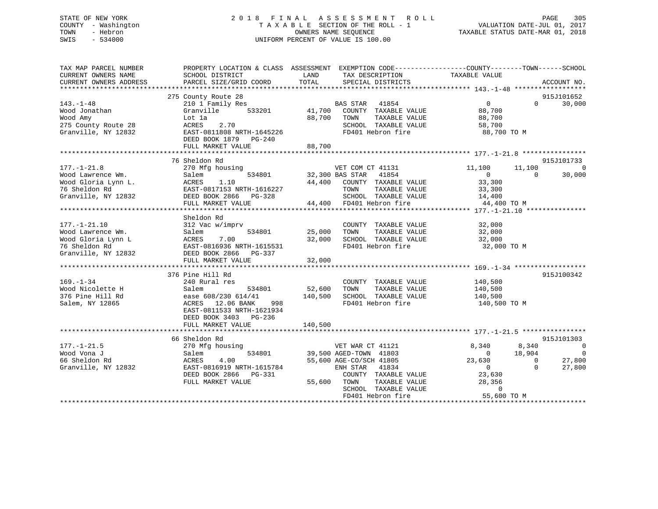## STATE OF NEW YORK 2 0 1 8 F I N A L A S S E S S M E N T R O L L PAGE 305 COUNTY - Washington T A X A B L E SECTION OF THE ROLL - 1 VALUATION DATE-JUL 01, 2017 TOWN - Hebron OWNERS NAME SEQUENCE TAXABLE STATUS DATE-MAR 01, 2018 SWIS - 534000 UNIFORM PERCENT OF VALUE IS 100.00

| TAX MAP PARCEL NUMBER<br>CURRENT OWNERS NAME<br>CURRENT OWNERS ADDRESS                                | SCHOOL DISTRICT<br>PARCEL SIZE/GRID COORD                                                                                                                                            | PROPERTY LOCATION & CLASS ASSESSMENT EXEMPTION CODE---------------COUNTY-------TOWN------SCHOOL<br>LAND<br>TAX DESCRIPTION<br>TOTAL<br>SPECIAL DISTRICTS                                     | TAXABLE VALUE<br>ACCOUNT NO.                                                                                                                                                                                              |
|-------------------------------------------------------------------------------------------------------|--------------------------------------------------------------------------------------------------------------------------------------------------------------------------------------|----------------------------------------------------------------------------------------------------------------------------------------------------------------------------------------------|---------------------------------------------------------------------------------------------------------------------------------------------------------------------------------------------------------------------------|
|                                                                                                       | 275 County Route 28                                                                                                                                                                  |                                                                                                                                                                                              | 915J101652                                                                                                                                                                                                                |
| $143. - 1 - 48$<br>Wood Jonathan<br>Wood Amy<br>275 County Route 28<br>Granville, NY 12832            | 210 1 Family Res<br>Granville<br>533201<br>Lot la<br>2.70<br>ACRES<br>EAST-0811808 NRTH-1645226<br>DEED BOOK 1879<br>$PG-240$<br>FULL MARKET VALUE                                   | <b>BAS STAR</b><br>41854<br>41,700 COUNTY TAXABLE VALUE<br>88,700<br>TOWN<br>TAXABLE VALUE<br>SCHOOL TAXABLE VALUE<br>FD401 Hebron fire<br>88,700                                            | $\overline{0}$<br>$\Omega$<br>30,000<br>88,700<br>88,700<br>58,700<br>88,700 TO M                                                                                                                                         |
| $177. - 1 - 21.8$<br>Wood Lawrence Wm.<br>Wood Gloria Lynn L.                                         | 76 Sheldon Rd<br>270 Mfg housing<br>534801<br>Salem<br>1.10<br>FULL MARKET VALUE                                                                                                     | VET COM CT 41131<br>32,300 BAS STAR 41854<br>44,400 COUNTY TAXABLE VALUE<br>TOWN<br>TAXABLE VALUE<br>SCHOOL TAXABLE VA<br>44,400 FD401 Hebron fire<br>SCHOOL TAXABLE VALUE                   | 915J101733<br>11,100<br>$\overline{0}$<br>11,100<br>$\overline{0}$<br>$\Omega$<br>30,000<br>33,300<br>33,300<br>14,400<br>44,400 TO M                                                                                     |
| $177. - 1 - 21.10$<br>Wood Lawrence Wm.<br>Wood Gloria Lynn L<br>76 Sheldon Rd<br>Granville, NY 12832 | Sheldon Rd<br>312 Vac w/imprv<br>534801<br>Salem<br>7.00<br>ACRES<br>EAST-0816936 NRTH-1615531<br>DEED BOOK 2866 PG-337<br>FULL MARKET VALUE                                         | COUNTY TAXABLE VALUE<br>TAXABLE VALUE<br>25,000<br>TOWN<br>32,000<br>SCHOOL TAXABLE VALUE<br>FD401 Hebron fire<br>32,000                                                                     | 32,000<br>32,000<br>32,000<br>32,000 TO M                                                                                                                                                                                 |
| $169. - 1 - 34$<br>Wood Nicolette H<br>376 Pine Hill Rd<br>Salem, NY 12865                            | 376 Pine Hill Rd<br>240 Rural res<br>534801<br>Salem<br>ease 608/230 614/41<br>12.06 BANK<br>998<br>ACRES<br>EAST-0811533 NRTH-1621934<br>DEED BOOK 3403 PG-236<br>FULL MARKET VALUE | COUNTY TAXABLE VALUE<br>52,600<br>TAXABLE VALUE<br>TOWN<br>140,500<br>SCHOOL TAXABLE VALUE<br>FD401 Hebron fire<br>140,500                                                                   | 915J100342<br>140,500<br>140,500<br>140,500<br>140,500 TO M                                                                                                                                                               |
| $177. - 1 - 21.5$<br>Wood Vona J<br>66 Sheldon Rd<br>Granville, NY 12832                              | 66 Sheldon Rd<br>270 Mfg housing<br>534801<br>Salem<br>4.00<br>ACRES<br>EAST-0816919 NRTH-1615784<br>DEED BOOK 2866 PG-331<br>FULL MARKET VALUE                                      | VET WAR CT 41121<br>39,500 AGED-TOWN 41803<br>55,600 AGE-CO/SCH 41805<br>ENH STAR 41834<br>COUNTY TAXABLE VALUE<br>55,600 TOWN<br>TAXABLE VALUE<br>SCHOOL TAXABLE VALUE<br>FD401 Hebron fire | 915J101303<br>8,340<br>8,340<br>$\overline{0}$<br>18,904<br>$\overline{0}$<br>$\overline{0}$<br>23,630<br>27,800<br>$\overline{0}$<br>$\overline{0}$<br>27,800<br>$\Omega$<br>23,630<br>28,356<br>$\Omega$<br>55,600 TO M |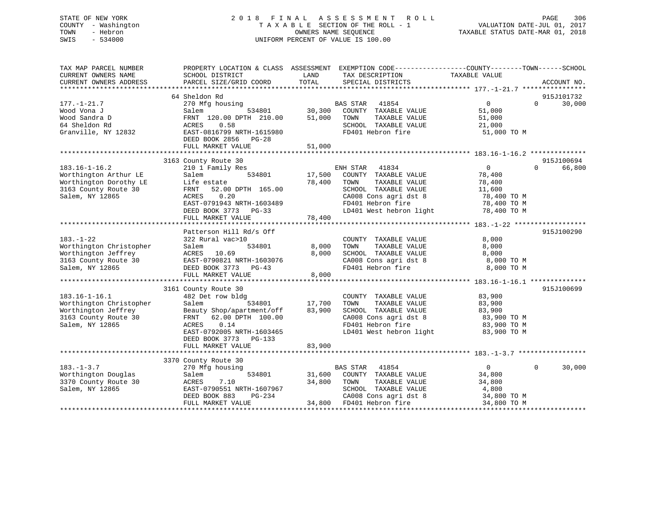## STATE OF NEW YORK 2 0 1 8 F I N A L A S S E S S M E N T R O L L PAGE 306 COUNTY - Washington T A X A B L E SECTION OF THE ROLL - 1 VALUATION DATE-JUL 01, 2017 TOWN - Hebron OWNERS NAME SEQUENCE TAXABLE STATUS DATE-MAR 01, 2018 SWIS - 534000 UNIFORM PERCENT OF VALUE IS 100.00

| TAX MAP PARCEL NUMBER<br>CURRENT OWNERS NAME<br>CURRENT OWNERS ADDRESS | SCHOOL DISTRICT<br>PARCEL SIZE/GRID COORD  | PROPERTY LOCATION & CLASS ASSESSMENT EXEMPTION CODE---------------COUNTY-------TOWN-----SCHOOL<br>LAND<br>TAX DESCRIPTION<br>TOTAL<br>SPECIAL DISTRICTS | TAXABLE VALUE<br>ACCOUNT NO.         |
|------------------------------------------------------------------------|--------------------------------------------|---------------------------------------------------------------------------------------------------------------------------------------------------------|--------------------------------------|
|                                                                        |                                            |                                                                                                                                                         |                                      |
|                                                                        | 64 Sheldon Rd                              |                                                                                                                                                         | 915J101732                           |
| $177. - 1 - 21.7$                                                      | 270 Mfg housing                            | BAS STAR<br>41854                                                                                                                                       | $\mathbf 0$<br>$\Omega$<br>30,000    |
| Wood Vona J                                                            | Salem<br>534801                            | 30,300<br>COUNTY TAXABLE VALUE                                                                                                                          | 51,000                               |
| Wood Sandra D                                                          | FRNT 120.00 DPTH 210.00                    | 51,000<br>TOWN<br>TAXABLE VALUE                                                                                                                         | 51,000                               |
| 64 Sheldon Rd<br>Granville, NY 12832                                   | 0.58<br>ACRES<br>EAST-0816799 NRTH-1615980 | SCHOOL TAXABLE VALUE<br>FD401 Hebron fire                                                                                                               | 21,000                               |
|                                                                        | DEED BOOK 2856<br>$PG-28$                  |                                                                                                                                                         | 51,000 TO M                          |
|                                                                        | FULL MARKET VALUE                          | 51,000                                                                                                                                                  |                                      |
|                                                                        |                                            |                                                                                                                                                         |                                      |
|                                                                        | 3163 County Route 30                       |                                                                                                                                                         | 915J100694                           |
| $183.16 - 1 - 16.2$                                                    | 210 1 Family Res                           | 41834<br>ENH STAR                                                                                                                                       | $\overline{0}$<br>66,800<br>$\Omega$ |
| Worthington Arthur LE                                                  | 534801<br>Salem                            | 17,500<br>COUNTY TAXABLE VALUE                                                                                                                          | 78,400                               |
| Worthington Dorothy LE                                                 | Life estate                                | 78,400<br>TAXABLE VALUE<br>TOWN                                                                                                                         | 78,400                               |
| 3163 County Route 30                                                   | 52.00 DPTH 165.00<br>FRNT                  | SCHOOL TAXABLE VALUE                                                                                                                                    | 11,600                               |
| Salem, NY 12865                                                        | 0.20<br>ACRES                              | CA008 Cons agri dst 8                                                                                                                                   | 78,400 TO M                          |
|                                                                        | EAST-0791943 NRTH-1603489                  | FD401 Hebron fire                                                                                                                                       | 78,400 TO M                          |
|                                                                        | DEED BOOK 3773 PG-33                       | LD401 West hebron light                                                                                                                                 | 78,400 TO M                          |
|                                                                        | FULL MARKET VALUE                          | 78,400                                                                                                                                                  |                                      |
|                                                                        | Patterson Hill Rd/s Off                    |                                                                                                                                                         | 915J100290                           |
| $183. - 1 - 22$                                                        | 322 Rural vac>10                           | COUNTY TAXABLE VALUE                                                                                                                                    | 8,000                                |
| Worthington Christopher                                                | 534801<br>Salem                            | 8,000<br>TOWN<br>TAXABLE VALUE                                                                                                                          | 8,000                                |
| Worthington Jeffrey                                                    | ACRES<br>10.69                             | 8,000<br>SCHOOL TAXABLE VALUE                                                                                                                           | 8,000                                |
| 3163 County Route 30                                                   | EAST-0790821 NRTH-1603076                  | CA008 Cons agri dst 8                                                                                                                                   | 8,000 TO M                           |
| Salem, NY 12865                                                        | DEED BOOK 3773 PG-43                       | FD401 Hebron fire                                                                                                                                       | 8,000 TO M                           |
|                                                                        | FULL MARKET VALUE                          | 8,000                                                                                                                                                   |                                      |
|                                                                        |                                            |                                                                                                                                                         |                                      |
|                                                                        | 3161 County Route 30                       |                                                                                                                                                         | 915J100699                           |
| $183.16 - 1 - 16.1$                                                    | 482 Det row bldg                           | COUNTY TAXABLE VALUE                                                                                                                                    | 83,900                               |
| Worthington Christopher                                                | Salem<br>534801                            | 17,700<br>TOWN<br>TAXABLE VALUE                                                                                                                         | 83,900                               |
| Worthington Jeffrey                                                    | Beauty Shop/apartment/off                  | 83,900<br>SCHOOL TAXABLE VALUE                                                                                                                          | 83,900                               |
| 3163 County Route 30                                                   | 62.00 DPTH 100.00<br>FRNT                  | CA008 Cons agri dst 8                                                                                                                                   | 83,900 TO M                          |
| Salem, NY 12865                                                        | ACRES<br>0.14                              | FD401 Hebron fire                                                                                                                                       | 83,900 TO M                          |
|                                                                        | EAST-0792005 NRTH-1603465                  | LD401 West hebron light                                                                                                                                 | 83,900 TO M                          |
|                                                                        | DEED BOOK 3773 PG-133                      |                                                                                                                                                         |                                      |
|                                                                        | FULL MARKET VALUE                          | 83,900                                                                                                                                                  |                                      |
|                                                                        | 3370 County Route 30                       |                                                                                                                                                         |                                      |
| $183. - 1 - 3.7$                                                       | 270 Mfg housing                            | <b>BAS STAR</b><br>41854                                                                                                                                | 30,000<br>0<br>$\Omega$              |
| Worthington Douglas                                                    | 534801<br>Salem                            | 31,600<br>COUNTY TAXABLE VALUE                                                                                                                          | 34,800                               |
| 3370 County Route 30                                                   | ACRES<br>7.10                              | 34,800<br>TOWN<br>TAXABLE VALUE                                                                                                                         | 34,800                               |
| Salem, NY 12865                                                        | EAST-0790551 NRTH-1607967                  | SCHOOL TAXABLE VALUE                                                                                                                                    | 4,800                                |
|                                                                        | PG-234<br>DEED BOOK 883                    | CA008 Cons agri dst 8                                                                                                                                   | 34,800 TO M                          |
|                                                                        | FULL MARKET VALUE                          | 34,800 FD401 Hebron fire                                                                                                                                | 34,800 TO M                          |
|                                                                        |                                            |                                                                                                                                                         |                                      |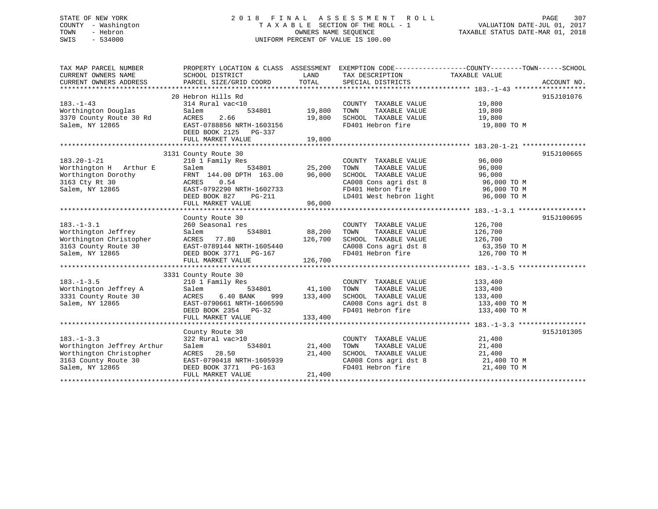## STATE OF NEW YORK 2 0 1 8 F I N A L A S S E S S M E N T R O L L PAGE 307 COUNTY - Washington T A X A B L E SECTION OF THE ROLL - 1 VALUATION DATE-JUL 01, 2017 TOWN - Hebron OWNERS NAME SEQUENCE TAXABLE STATUS DATE-MAR 01, 2018 SWIS - 534000 UNIFORM PERCENT OF VALUE IS 100.00

| TAX MAP PARCEL NUMBER                           | PROPERTY LOCATION & CLASS ASSESSMENT EXEMPTION CODE---------------COUNTY-------TOWN-----SCHOOL |                                            |                                                                                                       |                  |            |
|-------------------------------------------------|------------------------------------------------------------------------------------------------|--------------------------------------------|-------------------------------------------------------------------------------------------------------|------------------|------------|
| CURRENT OWNERS NAME                             | SCHOOL DISTRICT                                                                                | <b>EXAMPLE THE STATE OF STATE OF STATE</b> | TAX DESCRIPTION                                                                                       | TAXABLE VALUE    |            |
|                                                 |                                                                                                |                                            |                                                                                                       |                  |            |
|                                                 |                                                                                                |                                            |                                                                                                       |                  |            |
|                                                 | 20 Hebron Hills Rd                                                                             |                                            |                                                                                                       |                  | 915J101076 |
| $183. - 1 - 43$                                 | 314 Rural vac<10                                                                               |                                            | COUNTY TAXABLE VALUE 19,800                                                                           |                  |            |
| Worthington Douglas                             | Salem<br>534801                                                                                | 19,800                                     | TOWN      TAXABLE  VALUE<br>SCHOOL   TAXABLE  VALUE                                                   | 19,800<br>19,800 |            |
| 3370 County Route 30 Rd                         | ACRES<br>2.66                                                                                  | 19,800                                     |                                                                                                       |                  |            |
| Salem, NY 12865                                 | EAST-0788856 NRTH-1603156                                                                      |                                            | FD401 Hebron fire 19,800 TO M                                                                         |                  |            |
|                                                 | DEED BOOK 2125 PG-337                                                                          |                                            |                                                                                                       |                  |            |
|                                                 |                                                                                                |                                            |                                                                                                       |                  |            |
|                                                 |                                                                                                |                                            |                                                                                                       |                  |            |
|                                                 | 3131 County Route 30                                                                           |                                            |                                                                                                       |                  | 915J100665 |
| $183.20 - 1 - 21$                               | 210 1 Family Res                                                                               |                                            | COUNTY TAXABLE VALUE 96,000                                                                           |                  |            |
| Worthington H Arthur E                          | Salem                                                                                          |                                            | TAXABLE VALUE 96,000<br>TOWN                                                                          |                  |            |
| Worthington Dorothy<br>3163 Cty Rt 30           | FRNT 144.00 DPTH 163.00 96,000                                                                 |                                            | SCHOOL TAXABLE VALUE 96,000<br>CA008 Cons agri dst 8 96,000 TO M<br>FD401 Hebron fire 96,000 TO M     |                  |            |
|                                                 | ACRES 0.54                                                                                     |                                            |                                                                                                       |                  |            |
|                                                 |                                                                                                |                                            |                                                                                                       |                  |            |
|                                                 |                                                                                                |                                            |                                                                                                       |                  |            |
|                                                 |                                                                                                |                                            |                                                                                                       |                  |            |
|                                                 |                                                                                                |                                            |                                                                                                       |                  | 915J100695 |
| $183. - 1 - 3.1$                                | County Route 30<br>260 Seasonal res                                                            |                                            | COUNTY TAXABLE VALUE                                                                                  | 126,700          |            |
| Worthington Jeffrey                             | Salem                                                                                          | 534801 88,200                              | TOWN<br>TAXABLE VALUE 126,700                                                                         |                  |            |
|                                                 | ACRES 77.80                                                                                    | 126,700                                    |                                                                                                       |                  |            |
| Worthington Christopher<br>3163 County Route 30 | EAST-0789144 NRTH-1605440                                                                      |                                            |                                                                                                       |                  |            |
| Salem, NY 12865                                 | DEED BOOK 3771 PG-167                                                                          |                                            | SCHOOL TAXABLE VALUE 126,700<br>CA008 Cons agri dst 8 63,350 TO M<br>FD401 Hebron fire 126,700 TO M   |                  |            |
|                                                 | FULL MARKET VALUE                                                                              | 126,700                                    |                                                                                                       |                  |            |
|                                                 |                                                                                                |                                            |                                                                                                       |                  |            |
|                                                 | 3331 County Route 30                                                                           |                                            |                                                                                                       |                  |            |
| $183. - 1 - 3.5$                                | 210 1 Family Res                                                                               |                                            | COUNTY TAXABLE VALUE                                                                                  | 133,400          |            |
| Worthington Jeffrey A                           | Salem                                                                                          | 534801 41,100                              | TAXABLE VALUE<br>TOWN                                                                                 | 133,400          |            |
| 3331 County Route 30                            | 6.40 BANK<br>ACRES                                                                             | 999 133,400                                | SCHOOL TAXABLE VALUE 133,400                                                                          |                  |            |
| Salem, NY 12865                                 | EAST-0790661 NRTH-1606590                                                                      |                                            |                                                                                                       |                  |            |
|                                                 | DEED BOOK 2354 PG-32                                                                           |                                            | $\texttt{CA008}$ Cons agri dst 8 $\texttt{133,400}$ TO M<br>FD401 Hebron fire $\texttt{133,400}$ TO M |                  |            |
|                                                 | FULL MARKET VALUE                                                                              | 133,400                                    |                                                                                                       |                  |            |
|                                                 |                                                                                                |                                            |                                                                                                       |                  |            |
|                                                 | County Route 30                                                                                |                                            |                                                                                                       |                  | 915J101305 |
| $183. - 1 - 3.3$                                | 322 Rural vac>10                                                                               |                                            | COUNTY TAXABLE VALUE 21,400                                                                           |                  |            |
| Worthington Jeffrey Arthur                      | 534801<br>Salem                                                                                | 21,400                                     |                                                                                                       |                  |            |
| Worthington Christopher                         | 28.50<br>ACRES                                                                                 | 21,400                                     | TOWN TAXABLE VALUE 21,400<br>SCHOOL TAXABLE VALUE 21,400                                              |                  |            |
| 3163 County Route 30                            | EAST-0790418 NRTH-1605939                                                                      |                                            | CA008 Cons agri dst 8 21,400 TO M                                                                     |                  |            |
| Salem, NY 12865                                 | DEED BOOK 3771 PG-163                                                                          |                                            | FD401 Hebron fire                                                                                     | 21,400 TO M      |            |
|                                                 | FULL MARKET VALUE                                                                              | 21,400                                     |                                                                                                       |                  |            |
|                                                 |                                                                                                |                                            |                                                                                                       |                  |            |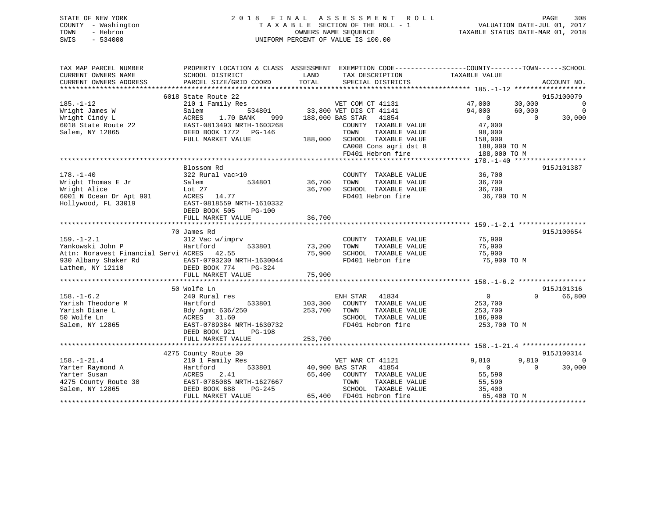## STATE OF NEW YORK 2 0 1 8 F I N A L A S S E S S M E N T R O L L PAGE 308 COUNTY - Washington T A X A B L E SECTION OF THE ROLL - 1 VALUATION DATE-JUL 01, 2017 TOWN - Hebron OWNERS NAME SEQUENCE TAXABLE STATUS DATE-MAR 01, 2018 SWIS - 534000 UNIFORM PERCENT OF VALUE IS 100.00

| TAX MAP PARCEL NUMBER                                                                                    | PROPERTY LOCATION & CLASS ASSESSMENT EXEMPTION CODE----------------COUNTY-------TOWN------SCHOOL |               |                                      |                                  |                         |
|----------------------------------------------------------------------------------------------------------|--------------------------------------------------------------------------------------------------|---------------|--------------------------------------|----------------------------------|-------------------------|
| CURRENT OWNERS NAME<br>CURRENT OWNERS ADDRESS                                                            | SCHOOL DISTRICT<br>PARCEL SIZE/GRID COORD                                                        | LAND<br>TOTAL | TAX DESCRIPTION<br>SPECIAL DISTRICTS | TAXABLE VALUE                    | ACCOUNT NO.             |
|                                                                                                          |                                                                                                  |               |                                      |                                  |                         |
|                                                                                                          | 6018 State Route 22                                                                              |               |                                      |                                  | 915J100079              |
| $185. - 1 - 12$                                                                                          | 210 1 Family Res                                                                                 |               | VET COM CT 41131 47,000              | 30,000                           | $\sim$ 0                |
| Wright James W                                                                                           | Salem                                                                                            |               | 534801 33,800 VET DIS CT 41141       | 94,000<br>60,000                 |                         |
| Wright Cindy L                                                                                           | ACRES<br>1.70 BANK                                                                               |               | 999 188,000 BAS STAR 41854           | $\overline{0}$<br>$\overline{0}$ | $0$<br>30.000<br>30,000 |
| 6018 State Route 22 EAST-0813493 NRTH-1603268                                                            |                                                                                                  |               | COUNTY TAXABLE VALUE                 | 47,000                           |                         |
| Salem, NY 12865                                                                                          | DEED BOOK 1772    PG-146                                                                         |               | TOWN<br>TAXABLE VALUE                | 98,000                           |                         |
|                                                                                                          | FULL MARKET VALUE                                                                                |               | 188,000 SCHOOL TAXABLE VALUE         | 158,000                          |                         |
|                                                                                                          |                                                                                                  |               | CA008 Cons agri dst 8 188,000 TO M   |                                  |                         |
|                                                                                                          |                                                                                                  |               | FD401 Hebron fire                    | 188,000 TO M                     |                         |
|                                                                                                          |                                                                                                  |               |                                      |                                  |                         |
|                                                                                                          | Blossom Rd                                                                                       |               |                                      |                                  | 915J101387              |
| $178. - 1 - 40$                                                                                          | 322 Rural vac>10                                                                                 |               | COUNTY TAXABLE VALUE 36,700          |                                  |                         |
| Wright Thomas E Jr                                                                                       | 534801<br>Salem                                                                                  | 36,700        | TOWN<br>TAXABLE VALUE                | 36,700                           |                         |
| Wright Alice                                                                                             | Lot 27                                                                                           | 36,700        | SCHOOL TAXABLE VALUE                 | 36,700                           |                         |
|                                                                                                          |                                                                                                  |               | FD401 Hebron fire                    | 36,700 TO M                      |                         |
| 6001 N Ocean Dr Apt 901 ACRES 14.77<br>Hollywood, FL 33019 EAST-0818559 NRTH-1610332                     |                                                                                                  |               |                                      |                                  |                         |
|                                                                                                          | DEED BOOK 505<br>PG-100                                                                          |               |                                      |                                  |                         |
|                                                                                                          | FULL MARKET VALUE                                                                                | 36,700        |                                      |                                  |                         |
|                                                                                                          |                                                                                                  |               |                                      |                                  |                         |
|                                                                                                          | 70 James Rd                                                                                      |               |                                      |                                  | 915J100654              |
| $159. - 1 - 2.1$                                                                                         | 312 Vac w/imprv                                                                                  |               | COUNTY TAXABLE VALUE 75,900          |                                  |                         |
| Yankowski John P                                                                                         | 533801<br>Hartford                                                                               | 73,200        | TOWN<br>TAXABLE VALUE                | 75,900                           |                         |
| Attn: Noravest Financial Servi ACRES 42.55                                                               |                                                                                                  | 75,900        | SCHOOL TAXABLE VALUE                 | 75,900                           |                         |
| 930 Albany Shaker Rd EAST-0793230 NRTH-1630044                                                           |                                                                                                  |               | FD401 Hebron fire                    | 75,900 TO M                      |                         |
| Lathem, NY 12110                                                                                         | DEED BOOK 774<br>$PG-324$                                                                        |               |                                      |                                  |                         |
|                                                                                                          | FULL MARKET VALUE                                                                                | 75,900        |                                      |                                  |                         |
|                                                                                                          |                                                                                                  |               |                                      |                                  |                         |
|                                                                                                          | 50 Wolfe Ln                                                                                      |               |                                      |                                  | 915J101316              |
| $158. - 1 - 6.2$                                                                                         | 240 Rural res                                                                                    |               | ENH STAR 41834                       | $\Omega$<br>$\Omega$             | 66,800                  |
| Yarish Theodore M                                                                                        | Hartford<br>533801                                                                               | 103,300       | COUNTY TAXABLE VALUE                 | 253,700                          |                         |
| Yarish Diane L                                                                                           | Bdy Agmt 636/250<br>ACRES 31.60                                                                  | 253,700       | TOWN<br>TAXABLE VALUE                | 253,700                          |                         |
| 50 Wolfe Ln                                                                                              |                                                                                                  |               | SCHOOL TAXABLE VALUE                 | 186,900                          |                         |
| Salem, NY 12865                                                                                          | EAST-0789384 NRTH-1630732                                                                        |               | FD401 Hebron fire                    | 253,700 TO M                     |                         |
|                                                                                                          | DEED BOOK 921<br>PG-198                                                                          |               |                                      |                                  |                         |
|                                                                                                          | FULL MARKET VALUE                                                                                | 253,700       |                                      |                                  |                         |
|                                                                                                          |                                                                                                  |               |                                      |                                  |                         |
|                                                                                                          | 4275 County Route 30                                                                             |               |                                      |                                  | 915J100314              |
| $158. - 1 - 21.4$                                                                                        | 210 1 Family Res                                                                                 |               | VET WAR CT 41121                     | 9,810<br>9,810                   | $\Omega$                |
| Yarter Raymond A                                                                                         | Hartford<br>Hartfo<br>ACRES                                                                      |               | 533801 40,900 BAS STAR 41854         | $\Omega$<br>$\Omega$             | 30,000                  |
| Yarter Susan                                                                                             | 2.41                                                                                             | 65,400        | COUNTY TAXABLE VALUE                 | 55,590                           |                         |
| 4275 County Route 30 EAST-0785085 NRTH-1627667<br>Salem, NY 12865               DEED BOOK 688     PG-245 |                                                                                                  |               | TOWN<br>TAXABLE VALUE                | 55,590                           |                         |
|                                                                                                          |                                                                                                  |               | SCHOOL TAXABLE VALUE                 | 35,400                           |                         |
|                                                                                                          | FULL MARKET VALUE                                                                                |               | 65,400 FD401 Hebron fire             | 65,400 TO M                      |                         |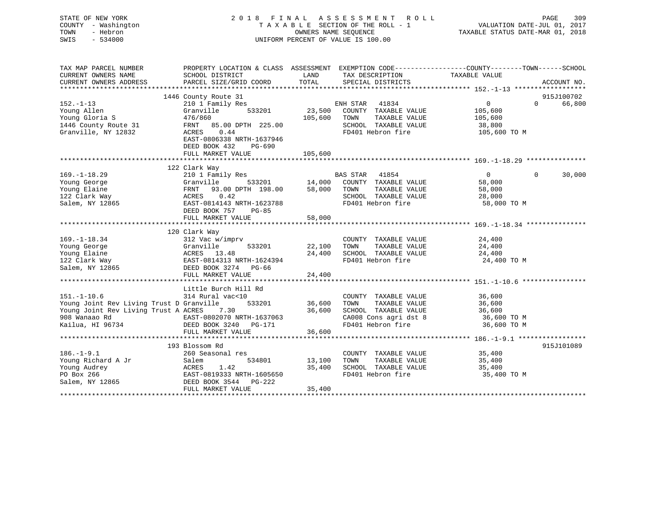| STATE OF NEW YORK<br>COUNTY - Washington<br>TOWN<br>- Hebron<br>$-534000$<br>SWIS | 2018 FINAL                                                                                       | OWNERS NAME SEQUENCE | A S S E S S M E N T<br>R O L L<br>TAXABLE SECTION OF THE ROLL - 1<br>UNIFORM PERCENT OF VALUE IS 100.00 | VALUATION DATE-JUL 01, 2017<br>TAXABLE STATUS DATE-MAR 01, 2018 | PAGE<br>309        |
|-----------------------------------------------------------------------------------|--------------------------------------------------------------------------------------------------|----------------------|---------------------------------------------------------------------------------------------------------|-----------------------------------------------------------------|--------------------|
| TAX MAP PARCEL NUMBER                                                             | PROPERTY LOCATION & CLASS ASSESSMENT EXEMPTION CODE----------------COUNTY-------TOWN------SCHOOL | LAND                 |                                                                                                         | TAXABLE VALUE                                                   |                    |
| CURRENT OWNERS NAME<br>CURRENT OWNERS ADDRESS                                     | SCHOOL DISTRICT<br>PARCEL SIZE/GRID COORD                                                        | TOTAL                | TAX DESCRIPTION<br>SPECIAL DISTRICTS                                                                    |                                                                 | ACCOUNT NO.        |
|                                                                                   |                                                                                                  |                      |                                                                                                         |                                                                 |                    |
|                                                                                   | 1446 County Route 31                                                                             |                      |                                                                                                         |                                                                 | 915J100702         |
| $152. - 1 - 13$                                                                   | 210 1 Family Res                                                                                 |                      | ENH STAR 41834                                                                                          | $\overline{0}$                                                  | $\Omega$<br>66,800 |
| Young Allen                                                                       | 533201<br>Granville                                                                              | 23,500               | COUNTY TAXABLE VALUE                                                                                    | 105,600                                                         |                    |
| Young Gloria S                                                                    | 476/860                                                                                          | 105,600              | TAXABLE VALUE<br>TOWN                                                                                   | 105,600                                                         |                    |
| 1446 County Route 31                                                              | FRNT 85.00 DPTH 225.00                                                                           |                      | SCHOOL TAXABLE VALUE                                                                                    | 38,800                                                          |                    |
| Granville, NY 12832                                                               | ACRES<br>0.44<br>EAST-0806338 NRTH-1637946                                                       |                      | FD401 Hebron fire                                                                                       | 105,600 TO M                                                    |                    |
|                                                                                   | DEED BOOK 432<br>PG-690                                                                          |                      |                                                                                                         |                                                                 |                    |
|                                                                                   | FULL MARKET VALUE                                                                                | 105,600              |                                                                                                         |                                                                 |                    |
|                                                                                   |                                                                                                  |                      |                                                                                                         |                                                                 |                    |
|                                                                                   | 122 Clark Way                                                                                    |                      |                                                                                                         |                                                                 |                    |
| $169. - 1 - 18.29$                                                                | 210 1 Family Res                                                                                 |                      | BAS STAR 41854                                                                                          | $\overline{0}$<br>$\Omega$                                      | 30,000             |
| Young George                                                                      | Granville<br>533201                                                                              | 14,000               | COUNTY TAXABLE VALUE                                                                                    | 58,000                                                          |                    |
| Young Elaine                                                                      | 93.00 DPTH 198.00<br>FRNT                                                                        | 58,000               | TOWN<br>TAXABLE VALUE                                                                                   | 58,000                                                          |                    |
| 122 Clark Way                                                                     | ACRES<br>0.42                                                                                    |                      | SCHOOL TAXABLE VALUE                                                                                    | 28,000                                                          |                    |
| Salem, NY 12865                                                                   | EAST-0814143 NRTH-1623788<br>DEED BOOK 757<br>$PG-85$                                            |                      | FD401 Hebron fire                                                                                       | 58,000 TO M                                                     |                    |
|                                                                                   | FULL MARKET VALUE                                                                                | 58,000               |                                                                                                         |                                                                 |                    |
|                                                                                   |                                                                                                  |                      |                                                                                                         |                                                                 |                    |
|                                                                                   | 120 Clark Way                                                                                    |                      |                                                                                                         |                                                                 |                    |
| $169. - 1 - 18.34$                                                                | 312 Vac w/imprv                                                                                  |                      | COUNTY TAXABLE VALUE                                                                                    | 24,400                                                          |                    |
| Young George                                                                      | Granville 533201<br>ACRES 13.48<br>EAST-0814313_NRTH-1624394                                     | 22,100               | TOWN<br>TAXABLE VALUE                                                                                   | 24,400                                                          |                    |
| Young Elaine                                                                      |                                                                                                  | 24,400               | SCHOOL TAXABLE VALUE                                                                                    | 24,400                                                          |                    |
| 122 Clark Way                                                                     |                                                                                                  |                      | FD401 Hebron fire                                                                                       | 24,400 TO M                                                     |                    |
| Salem, NY 12865                                                                   | DEED BOOK 3274 PG-66                                                                             |                      |                                                                                                         |                                                                 |                    |
|                                                                                   | FULL MARKET VALUE                                                                                | 24,400               |                                                                                                         |                                                                 |                    |
|                                                                                   | Little Burch Hill Rd                                                                             |                      |                                                                                                         |                                                                 |                    |
| $151. - 1 - 10.6$                                                                 | 314 Rural vac<10                                                                                 |                      | COUNTY TAXABLE VALUE                                                                                    | 36,600                                                          |                    |
| Young Joint Rev Living Trust D Granville                                          | 533201                                                                                           | 36,600               | TOWN<br>TAXABLE VALUE                                                                                   | 36,600                                                          |                    |
| Young Joint Rev Living Trust A ACRES 7.30                                         |                                                                                                  | 36,600               | SCHOOL TAXABLE VALUE                                                                                    | 36,600                                                          |                    |
| 908 Wanaao Rd                                                                     | EAST-0802070 NRTH-1637063<br>DEED BOOK 3240 DG-171                                               |                      | CA008 Cons agri dst 8                                                                                   | 36,600 TO M                                                     |                    |
| Kailua, HI 96734                                                                  |                                                                                                  |                      | FD401 Hebron fire                                                                                       | 36,600 TO M                                                     |                    |
|                                                                                   | FULL MARKET VALUE                                                                                | 36,600               |                                                                                                         |                                                                 |                    |
|                                                                                   |                                                                                                  |                      |                                                                                                         |                                                                 |                    |
| $186. - 1 - 9.1$                                                                  | 193 Blossom Rd<br>260 Seasonal res                                                               |                      | COUNTY TAXABLE VALUE                                                                                    | 35,400                                                          | 915J101089         |
| Young Richard A Jr                                                                | 534801<br>Salem                                                                                  | 13,100               | TOWN<br>TAXABLE VALUE                                                                                   | 35,400                                                          |                    |
| Young Audrey                                                                      | ACRES<br>1.42                                                                                    | 35,400               | SCHOOL TAXABLE VALUE                                                                                    | 35,400                                                          |                    |
| PO Box 266                                                                        | EAST-0819333 NRTH-1605650                                                                        |                      | FD401 Hebron fire                                                                                       | 35,400 TO M                                                     |                    |
| Salem, NY 12865                                                                   | DEED BOOK 3544<br>PG-222                                                                         |                      |                                                                                                         |                                                                 |                    |
|                                                                                   | FULL MARKET VALUE                                                                                | 35,400               |                                                                                                         |                                                                 |                    |
|                                                                                   |                                                                                                  |                      |                                                                                                         |                                                                 |                    |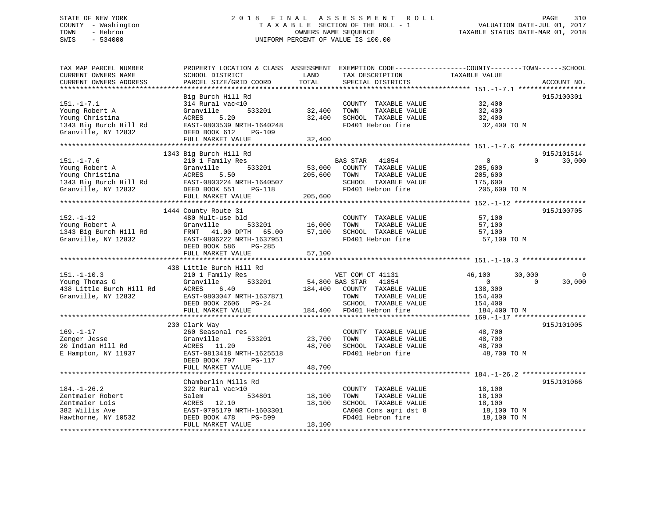## STATE OF NEW YORK 2 0 1 8 F I N A L A S S E S S M E N T R O L L PAGE 310 COUNTY - Washington T A X A B L E SECTION OF THE ROLL - 1 VALUATION DATE-JUL 01, 2017 TOWN - Hebron **CONNERS NAME SEQUENCE** TAXABLE STATUS DATE-MAR 01, 2018 SWIS - 534000 UNIFORM PERCENT OF VALUE IS 100.00

| TAX MAP PARCEL NUMBER                            |                           |         |                          | PROPERTY LOCATION & CLASS ASSESSMENT EXEMPTION CODE----------------COUNTY-------TOWN------SCHOOL |
|--------------------------------------------------|---------------------------|---------|--------------------------|--------------------------------------------------------------------------------------------------|
| CURRENT OWNERS NAME                              | SCHOOL DISTRICT           | LAND    | TAX DESCRIPTION          | TAXABLE VALUE                                                                                    |
| CURRENT OWNERS ADDRESS<br>********************** | PARCEL SIZE/GRID COORD    | TOTAL   | SPECIAL DISTRICTS        | ACCOUNT NO.                                                                                      |
|                                                  |                           |         |                          |                                                                                                  |
|                                                  | Big Burch Hill Rd         |         |                          | 915J100301                                                                                       |
| $151. - 1 - 7.1$                                 | 314 Rural vac<10          |         | COUNTY TAXABLE VALUE     | 32,400                                                                                           |
| Young Robert A                                   | Granville<br>533201       | 32,400  | TAXABLE VALUE<br>TOWN    | 32,400                                                                                           |
| Young Christina                                  | ACRES<br>5.20             | 32,400  | SCHOOL TAXABLE VALUE     | 32,400                                                                                           |
| 1343 Big Burch Hill Rd                           | EAST-0803539 NRTH-1640248 |         | FD401 Hebron fire        | 32,400 TO M                                                                                      |
| Granville, NY 12832                              | DEED BOOK 612<br>PG-109   |         |                          |                                                                                                  |
|                                                  | FULL MARKET VALUE         | 32,400  |                          |                                                                                                  |
|                                                  |                           |         |                          |                                                                                                  |
|                                                  | 1343 Big Burch Hill Rd    |         |                          | 915J101514<br>$\Omega$                                                                           |
| $151. - 1 - 7.6$                                 | 210 1 Family Res          |         | BAS STAR 41854           | $\mathbf{0}$<br>30,000                                                                           |
| Young Robert A                                   | 533201<br>Granville       | 53,000  | COUNTY TAXABLE VALUE     | 205,600                                                                                          |
| Young Christina                                  | 5.50<br>ACRES             | 205,600 | TOWN<br>TAXABLE VALUE    | 205,600                                                                                          |
| 1343 Big Burch Hill Rd                           | EAST-0803224 NRTH-1640507 |         | SCHOOL TAXABLE VALUE     | 175,600                                                                                          |
| Granville, NY 12832                              | DEED BOOK 551<br>PG-118   |         | FD401 Hebron fire        | 205,600 TO M                                                                                     |
|                                                  | FULL MARKET VALUE         | 205,600 |                          |                                                                                                  |
|                                                  |                           |         |                          |                                                                                                  |
|                                                  | 1444 County Route 31      |         |                          | 915J100705                                                                                       |
| $152. - 1 - 12$                                  | 480 Mult-use bld          |         | COUNTY TAXABLE VALUE     | 57,100                                                                                           |
| Young Robert A                                   | Granville<br>533201       | 16,000  | TAXABLE VALUE<br>TOWN    | 57,100                                                                                           |
| 1343 Big Burch Hill Rd                           | FRNT 41.00 DPTH 65.00     | 57,100  | SCHOOL TAXABLE VALUE     | 57,100                                                                                           |
| Granville, NY 12832                              | EAST-0806222 NRTH-1637951 |         | FD401 Hebron fire        | 57,100 TO M                                                                                      |
|                                                  | DEED BOOK 586<br>$PG-285$ |         |                          |                                                                                                  |
|                                                  | FULL MARKET VALUE         | 57,100  |                          |                                                                                                  |
|                                                  |                           |         |                          |                                                                                                  |
|                                                  | 438 Little Burch Hill Rd  |         |                          |                                                                                                  |
| $151. - 1 - 10.3$                                | 210 1 Family Res          |         | VET COM CT 41131         | 46,100<br>30,000<br>0                                                                            |
| Young Thomas G                                   | 533201<br>Granville       |         | 54,800 BAS STAR<br>41854 | $\mathbf{0}$<br>$\Omega$<br>30,000                                                               |
| 438 Little Burch Hill Rd                         | ACRES<br>6.40             | 184,400 | COUNTY TAXABLE VALUE     | 138,300                                                                                          |
| Granville, NY 12832                              | EAST-0803047 NRTH-1637871 |         | TOWN<br>TAXABLE VALUE    | 154,400                                                                                          |
|                                                  | DEED BOOK 2606 PG-24      |         | SCHOOL TAXABLE VALUE     | 154,400                                                                                          |
|                                                  | FULL MARKET VALUE         | 184,400 | FD401 Hebron fire        | 184,400 TO M                                                                                     |
|                                                  |                           |         |                          |                                                                                                  |
|                                                  | 230 Clark Way             |         |                          | 915J101005                                                                                       |
| $169. - 1 - 17$                                  | 260 Seasonal res          |         | COUNTY TAXABLE VALUE     | 48,700                                                                                           |
| Zenger Jesse                                     | Granville<br>533201       | 23,700  | TOWN<br>TAXABLE VALUE    | 48,700                                                                                           |
| 20 Indian Hill Rd                                | ACRES 11.20               | 48,700  | SCHOOL TAXABLE VALUE     | 48,700                                                                                           |
| E Hampton, NY 11937                              | EAST-0813418 NRTH-1625518 |         | FD401 Hebron fire        | 48,700 TO M                                                                                      |
|                                                  | DEED BOOK 797<br>PG-117   |         |                          |                                                                                                  |
|                                                  | FULL MARKET VALUE         | 48,700  |                          |                                                                                                  |
|                                                  |                           |         |                          |                                                                                                  |
|                                                  | Chamberlin Mills Rd       |         |                          | 915J101066                                                                                       |
| $184. - 1 - 26.2$                                | 322 Rural vac>10          |         | COUNTY TAXABLE VALUE     | 18,100                                                                                           |
| Zentmaier Robert                                 | 534801<br>Salem           | 18,100  | TAXABLE VALUE<br>TOWN    | 18,100                                                                                           |
| Zentmaier Lois                                   | ACRES<br>12.10            | 18,100  | SCHOOL TAXABLE VALUE     | 18,100                                                                                           |
| 382 Willis Ave                                   | EAST-0795179 NRTH-1603301 |         | CA008 Cons agri dst 8    | 18,100 TO M                                                                                      |
| Hawthorne, NY 10532                              | DEED BOOK 478<br>PG-599   |         | FD401 Hebron fire        | 18,100 TO M                                                                                      |
|                                                  | FULL MARKET VALUE         | 18,100  |                          |                                                                                                  |
|                                                  |                           |         |                          |                                                                                                  |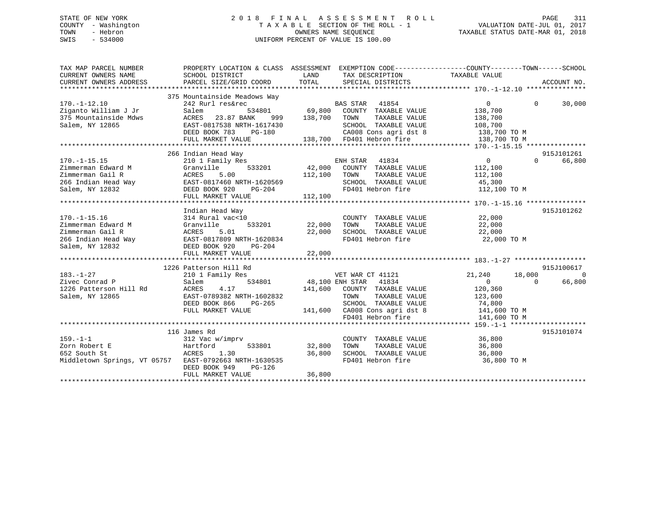## STATE OF NEW YORK 2 0 1 8 F I N A L A S S E S S M E N T R O L L PAGE 311 COUNTY - Washington T A X A B L E SECTION OF THE ROLL - 1 VALUATION DATE-JUL 01, 2017 TOWN - Hebron OWNERS NAME SEQUENCE TAXABLE STATUS DATE-MAR 01, 2018 SWIS - 534000 UNIFORM PERCENT OF VALUE IS 100.00

| TAX MAP PARCEL NUMBER<br>CURRENT OWNERS NAME<br>CURRENT OWNERS ADDRESS                                    | PROPERTY LOCATION & CLASS ASSESSMENT EXEMPTION CODE----------------COUNTY-------TOWN-----SCHOOL<br>SCHOOL DISTRICT<br>PARCEL SIZE/GRID COORD                                                         | LAND<br>TOTAL              | TAX DESCRIPTION TAXABLE VALUE<br>SPECIAL DISTRICTS                                                                                                                                   |                                                                                                                | ACCOUNT NO.                      |
|-----------------------------------------------------------------------------------------------------------|------------------------------------------------------------------------------------------------------------------------------------------------------------------------------------------------------|----------------------------|--------------------------------------------------------------------------------------------------------------------------------------------------------------------------------------|----------------------------------------------------------------------------------------------------------------|----------------------------------|
| $170. - 1 - 12.10$<br>Ziganto William J Jr<br>375 Mountainside Mdws<br>Salem, NY 12865                    | 375 Mountainside Meadows Way<br>242 Rurl res&rec<br>Salem<br>ACRES 23.87 BANK<br>EAST-0817538 NRTH-1617430<br>DEED BOOK 783<br>PG-180<br>FULL MARKET VALUE                                           |                            | BAS STAR 41854<br>534801 69,800 COUNTY TAXABLE VALUE<br>NK 999 138,700 TOWN TAXABLE VALUE<br>SCHOOL TAXABLE VALUE<br>CA008 Cons agri dst 8 138,700 TO M<br>138,700 FD401 Hebron fire | $\Omega$<br>$\Omega$<br>138,700<br>138,700<br>108,700<br>138,700 TO M                                          | 30,000                           |
| $170. - 1 - 15.15$<br>Zimmerman Edward M<br>Zimmerman Gail R<br>266 Indian Head Way<br>Salem, NY 12832    | 266 Indian Head Way<br>210 1 Family Res<br>533201<br>Granville<br>5.00<br>ACRES<br>ACRES 5.00<br>EAST-0817460 NRTH-1620569<br>DEED BOOK 920 PG-204<br>DEED BOOK 920<br>$PG-204$<br>FULL MARKET VALUE | 112,100 TOWN<br>112,100    | ENH STAR 41834<br>2201 42,000 COUNTY TAXABLE VALUE<br>2218 TAXABLE VALUE<br>SCHOOL TAXABLE VALUE<br>FD401 Hebron fire                                                                | $\overline{0}$<br>$\Omega$<br>112,100<br>112,100<br>45,300<br>112,100 TO M                                     | 915J101261<br>66,800             |
| $170. - 1 - 15.16$<br>Zimmerman Edward M<br>Zimmerman Gail R<br>266 Indian Head Way<br>Salem, NY 12832    | Indian Head Way<br>314 Rural vac<10<br>533201<br>Granville<br>5.01<br>ACRES<br>EAST-0817809 NRTH-1620834<br>DEED BOOK 920<br>PG-204                                                                  | 22,000<br>22,000           | COUNTY TAXABLE VALUE<br>TOWN TAXABLE VALUE<br>SCHOOL TAXABLE VALUE<br>FD401 Hebron fire                                                                                              | 22,000<br>22,000<br>22,000<br>22,000<br>22,000 TO M                                                            | 915J101262                       |
| $183. - 1 - 27$<br>Zivec Conrad P<br>1226 Patterson Hill Rd<br>Salem, NY 12865                            | 1226 Patterson Hill Rd<br>210 1 Family Res<br>Salem<br>4.17<br>ACRES<br>EAST-0789382 NRTH-1602832<br>DEED BOOK 866<br>PG-265<br>FULL MARKET VALUE                                                    |                            | VET WAR CT 41121<br>534801 48,100 ENH STAR 41834<br>141,600 COUNTY TAXABLE VALUE<br>TOWN<br>TAXABLE VALUE<br>SCHOOL TAXABLE VALUE<br>$141,600$ CA008 Cons agri dst 8                 | 21,240<br>18,000<br>$\overline{0}$<br>$\Omega$<br>120,360<br>123,600<br>74,800<br>141,600 TO M<br>141,600 TO M | 915J100617<br>$\Omega$<br>66,800 |
| $159. - 1 - 1$<br>Zorn Robert E<br>652 South St<br>Middletown Springs, VT 05757 EAST-0792663 NRTH-1630535 | 116 James Rd<br>312 Vac w/imprv<br>533801<br>Hartford<br>ACRES 1.30<br>DEED BOOK 949<br>PG-126<br>FULL MARKET VALUE                                                                                  | 32,800<br>36,800<br>36,800 | COUNTY TAXABLE VALUE 36,800<br>TOWN<br>TAXABLE VALUE<br>SCHOOL TAXABLE VALUE<br>FD401 Hebron fire<br>FD401 Hebron fire                                                               | 36,800<br>36,800<br>36,800 TO M                                                                                | 915J101074                       |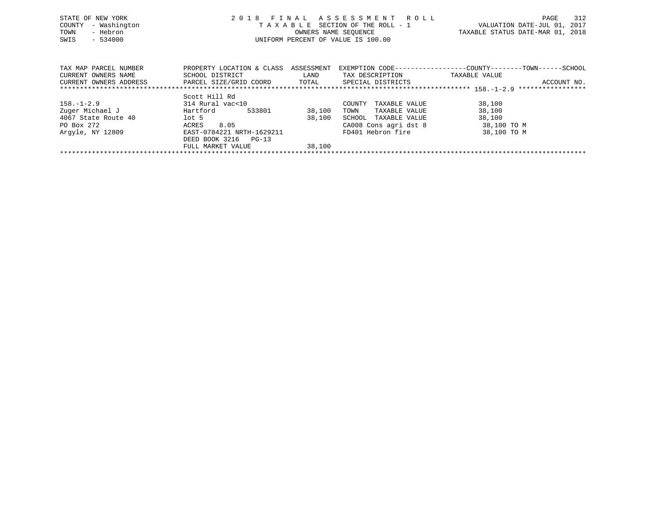| STATE OF NEW YORK<br>- Washington<br>COUNTY<br>- Hebron<br>TOWN<br>$-534000$<br>SWIS | 2018                                                                   | FINAL                       | ASSESSMENT ROLL<br>TAXABLE SECTION OF THE ROLL - 1<br>OWNERS NAME SEOUENCE<br>UNIFORM PERCENT OF VALUE IS 100.00 | 312<br>PAGE<br>VALUATION DATE-JUL 01, 2017<br>TAXABLE STATUS DATE-MAR 01, 2018               |
|--------------------------------------------------------------------------------------|------------------------------------------------------------------------|-----------------------------|------------------------------------------------------------------------------------------------------------------|----------------------------------------------------------------------------------------------|
| TAX MAP PARCEL NUMBER<br>CURRENT OWNERS NAME<br>CURRENT OWNERS ADDRESS               | PROPERTY LOCATION & CLASS<br>SCHOOL DISTRICT<br>PARCEL SIZE/GRID COORD | ASSESSMENT<br>LAND<br>TOTAL | TAX DESCRIPTION<br>SPECIAL DISTRICTS                                                                             | EXEMPTION CODE-----------------COUNTY-------TOWN------SCHOOL<br>TAXABLE VALUE<br>ACCOUNT NO. |
|                                                                                      |                                                                        |                             |                                                                                                                  |                                                                                              |
| $158. - 1 - 2.9$<br>Zuger Michael J<br>4067 State Route 40                           | Scott Hill Rd<br>314 Rural vac<10<br>Hartford<br>533801<br>$1$ ot 5    | 38,100<br>38,100            | COUNTY<br>TAXABLE VALUE<br>TOWN<br>TAXABLE VALUE<br>SCHOOL<br>TAXABLE VALUE                                      | 38,100<br>38,100<br>38,100                                                                   |
| PO Box 272                                                                           | 8.05<br>ACRES                                                          |                             | CA008 Cons agri dst 8                                                                                            | 38,100 TO M                                                                                  |

| Arqyle, NY 12809 | EAST-0784221 NRTH-1629211 | FD401 Hebron fire | 38,100 TO M |
|------------------|---------------------------|-------------------|-------------|
|                  | DEED BOOK 3216<br>$PG-13$ |                   |             |
|                  | FULL MARKET VALUE         | 38,100            |             |
|                  |                           |                   |             |
|                  |                           |                   |             |
|                  |                           |                   |             |
|                  |                           |                   |             |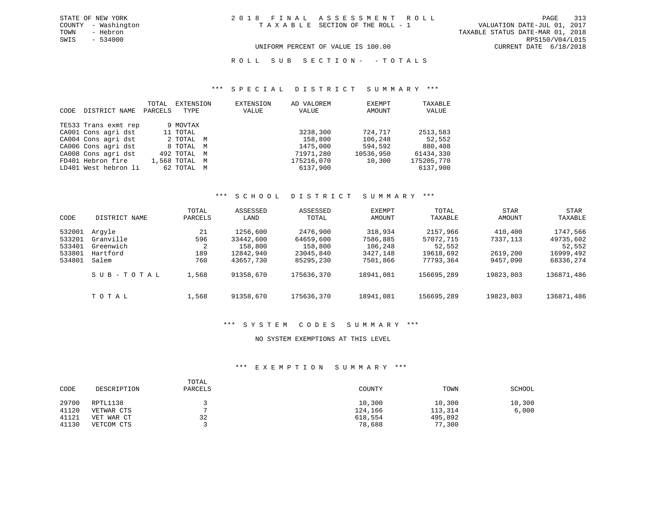UNIFORM PERCENT OF VALUE IS 100.00 CURRENT DATE 6/18/2018

ROLL SUB SECTION - - TOTALS

### \*\*\* S P E C I A L D I S T R I C T S U M M A R Y \*\*\*

| CODE | DISTRICT NAME        | TOTAL<br>PARCELS | EXTENSION<br>TYPE | <b>EXTENSION</b><br>VALUE | AD VALOREM<br>VALUE | EXEMPT<br>AMOUNT | TAXABLE<br>VALUE |
|------|----------------------|------------------|-------------------|---------------------------|---------------------|------------------|------------------|
|      | TE533 Trans exmt rep |                  | 9 MOVTAX          |                           |                     |                  |                  |
|      | CA001 Cons agri dst  |                  | 11 TOTAL          |                           | 3238,300            | 724,717          | 2513,583         |
|      | CA004 Cons agri dst  |                  | 2 ТОТАЬ М         |                           | 158,800             | 106,248          | 52,552           |
|      | CA006 Cons agri dst  |                  | 8 TOTAL M         |                           | 1475,000            | 594,592          | 880,408          |
|      | CA008 Cons agri dst  |                  | 492 TOTAL M       |                           | 71971,280           | 10536,950        | 61434,330        |
|      | FD401 Hebron fire    |                  | 1,568 TOTAL M     |                           | 175216,070          | 10,300           | 175205,770       |
|      | LD401 West hebron li |                  | 62 TOTAL M        |                           | 6137,900            |                  | 6137,900         |

### \*\*\* S C H O O L D I S T R I C T S U M M A R Y \*\*\*

| CODE                                           | DISTRICT NAME                                         | TOTAL<br>PARCELS             | ASSESSED<br>LAND                                           | ASSESSED<br>TOTAL                                          | EXEMPT<br>AMOUNT                                       | <b>TOTAL</b><br>TAXABLE                                   | <b>STAR</b><br>AMOUNT                       | STAR<br>TAXABLE                                           |
|------------------------------------------------|-------------------------------------------------------|------------------------------|------------------------------------------------------------|------------------------------------------------------------|--------------------------------------------------------|-----------------------------------------------------------|---------------------------------------------|-----------------------------------------------------------|
| 532001<br>533201<br>533401<br>533801<br>534801 | Arqvle<br>Granville<br>Greenwich<br>Hartford<br>Salem | 21<br>596<br>2<br>189<br>760 | 1256,600<br>33442,600<br>158,800<br>12842,940<br>43657,730 | 2476,900<br>64659,600<br>158,800<br>23045,840<br>85295,230 | 318,934<br>7586,885<br>106,248<br>3427,148<br>7501,866 | 2157,966<br>57072,715<br>52,552<br>19618,692<br>77793,364 | 410,400<br>7337,113<br>2619,200<br>9457,090 | 1747,566<br>49735,602<br>52,552<br>16999,492<br>68336,274 |
|                                                | SUB-TOTAL                                             | 1,568                        | 91358,670                                                  | 175636,370                                                 | 18941,081                                              | 156695,289                                                | 19823,803                                   | 136871,486                                                |
|                                                | TOTAL                                                 | 1,568                        | 91358,670                                                  | 175636,370                                                 | 18941,081                                              | 156695,289                                                | 19823,803                                   | 136871,486                                                |

### \*\*\* S Y S T E M C O D E S S U M M A R Y \*\*\*

### NO SYSTEM EXEMPTIONS AT THIS LEVEL

### \*\*\* E X E M P T I O N S U M M A R Y \*\*\*

| CODE  | DESCRIPTION | TOTAL<br>PARCELS | COUNTY  | TOWN    | SCHOOL |
|-------|-------------|------------------|---------|---------|--------|
| 29700 | RPTL1138    |                  | 10,300  | 10,300  | 10,300 |
| 41120 | VETWAR CTS  |                  | 124,166 | 113,314 | 6,000  |
| 41121 | VET WAR CT  | 32               | 618,554 | 495,892 |        |
| 41130 | VETCOM CTS  |                  | 78,688  | 77,300  |        |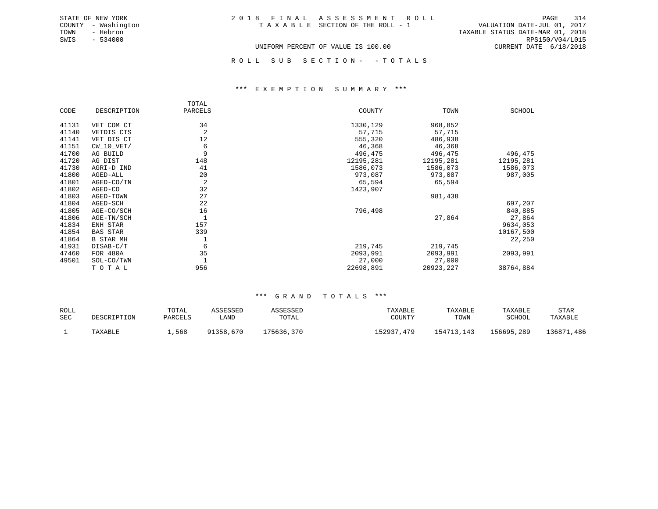| 2018 FINAL ASSESSMENT ROLL         |                                  | 314<br>PAGE     |
|------------------------------------|----------------------------------|-----------------|
| TAXABLE SECTION OF THE ROLL - 1    | VALUATION DATE-JUL 01, 2017      |                 |
|                                    | TAXABLE STATUS DATE-MAR 01, 2018 |                 |
|                                    |                                  | RPS150/V04/L015 |
| UNIFORM PERCENT OF VALUE IS 100.00 | CURRENT DATE 6/18/2018           |                 |

ROLL SUB SECTION - - TOTALS

#### \*\*\* E X E M P T I O N S U M M A R Y \*\*\*

|       |                  | TOTAL   |           |            |           |
|-------|------------------|---------|-----------|------------|-----------|
| CODE  | DESCRIPTION      | PARCELS | COUNTY    | TOWN       | SCHOOL    |
| 41131 | VET COM CT       | 34      | 1330,129  | 968,852    |           |
| 41140 | VETDIS CTS       | 2       | 57,715    | 57,715     |           |
| 41141 | VET DIS CT       | 12      | 555,320   | 486,938    |           |
| 41151 | $CW_10_VET/$     | 6       | 46,368    | 46,368     |           |
| 41700 | AG BUILD         | 9       | 496,475   | 496,475    | 496,475   |
| 41720 | AG DIST          | 148     | 12195,281 | 12195,281  | 12195,281 |
| 41730 | AGRI-D IND       | 41      | 1586,073  | 1586,073   | 1586,073  |
| 41800 | AGED-ALL         | 20      | 973,087   | 973,087    | 987,005   |
| 41801 | AGED-CO/TN       | 2       | 65,594    | 65,594     |           |
| 41802 | AGED-CO          | 32      | 1423,907  |            |           |
| 41803 | AGED-TOWN        | 27      |           | 981,438    |           |
| 41804 | AGED-SCH         | 22      |           |            | 697,207   |
| 41805 | AGE-CO/SCH       | 16      | 796,498   |            | 840,885   |
| 41806 | AGE-TN/SCH       |         |           | 27,864     | 27,864    |
| 41834 | ENH STAR         | 157     |           |            | 9634,053  |
| 41854 | <b>BAS STAR</b>  | 339     |           |            | 10167,500 |
| 41864 | <b>B STAR MH</b> |         |           |            | 22,250    |
| 41931 | DISAB-C/T        | 6       | 219,745   | 219,745    |           |
| 47460 | FOR 480A         | 35      | 2093,991  | 2093,991   | 2093,991  |
| 49501 | SOL-CO/TWN       |         | 27,000    | 27,000     |           |
|       | TOTAL            | 956     | 22698,891 | 20923, 227 | 38764,884 |

STATE OF NEW YORK COUNTY - Washington TOWN - Hebron SWIS - 534000

| ROLL |             | TOTAL   | ASSESSED  | ASSESSED   | TAXABLE    | TAXABLE    | TAXABLE    | STAR            |
|------|-------------|---------|-----------|------------|------------|------------|------------|-----------------|
| SEC  | DESCRIPTION | PARCELS | LAND      | TOTAL      | COUNTY     | TOWN       | SCHOOL     | TAXABLE         |
|      | TAXABLE     | 1,568   | 91358,670 | 175636,370 | 152937,479 | 154713,143 | 156695,289 | 136871<br>1,486 |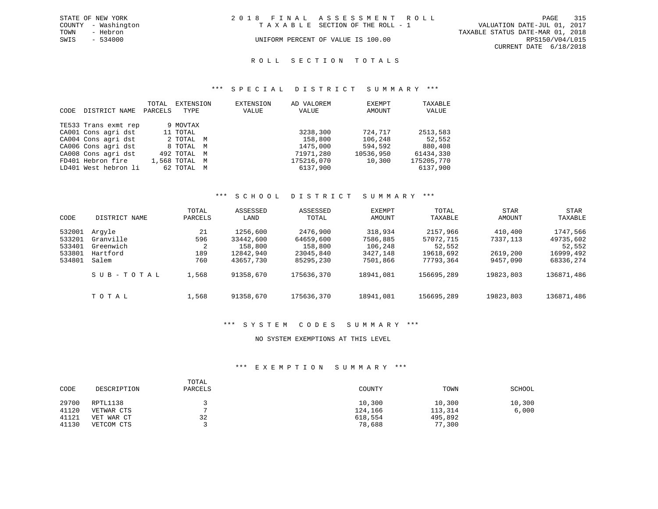|      | STATE OF NEW YORK   | 2018 FINAL ASSESSMENT ROLL         |                                 |                                  | PAGE                        | 315 |
|------|---------------------|------------------------------------|---------------------------------|----------------------------------|-----------------------------|-----|
|      | COUNTY - Washington |                                    | TAXABLE SECTION OF THE ROLL - 1 |                                  | VALUATION DATE-JUL 01, 2017 |     |
| TOWN | - Hebron            |                                    |                                 | TAXABLE STATUS DATE-MAR 01, 2018 |                             |     |
| SWIS | $-534000$           | UNIFORM PERCENT OF VALUE IS 100.00 |                                 |                                  | RPS150/V04/L015             |     |
|      |                     |                                    |                                 |                                  | CURRENT DATE 6/18/2018      |     |

#### R O L L S E C T I O N T O T A L S

### \*\*\* S P E C I A L D I S T R I C T S U M M A R Y \*\*\*

| CODE | DISTRICT NAME        | TOTAL<br>PARCELS | EXTENSION<br>TYPE | EXTENSION<br>VALUE | AD VALOREM<br>VALUE | EXEMPT<br>AMOUNT | TAXABLE<br>VALUE |
|------|----------------------|------------------|-------------------|--------------------|---------------------|------------------|------------------|
|      | TE533 Trans exmt rep |                  | 9 MOVTAX          |                    |                     |                  |                  |
|      | CA001 Cons agri dst  |                  | 11 TOTAL          |                    | 3238,300            | 724,717          | 2513,583         |
|      | CA004 Cons agri dst  |                  | 2 TOTAL M         |                    | 158,800             | 106,248          | 52,552           |
|      | CA006 Cons agri dst  |                  | 8 TOTAL M         |                    | 1475,000            | 594,592          | 880,408          |
|      | CA008 Cons agri dst  |                  | 492 TOTAL M       |                    | 71971,280           | 10536,950        | 61434,330        |
|      | FD401 Hebron fire    |                  | 1,568 TOTAL M     |                    | 175216,070          | 10,300           | 175205,770       |
|      | LD401 West hebron li |                  | 62 TOTAL M        |                    | 6137,900            |                  | 6137,900         |

### \*\*\* S C H O O L D I S T R I C T S U M M A R Y \*\*\*

| CODE                                           | DISTRICT NAME                                         | TOTAL<br>PARCELS             | ASSESSED<br>LAND                                           | ASSESSED<br>TOTAL                                          | EXEMPT<br>AMOUNT                                       | TOTAL<br>TAXABLE                                          | <b>STAR</b><br>AMOUNT                       | <b>STAR</b><br>TAXABLE                                    |
|------------------------------------------------|-------------------------------------------------------|------------------------------|------------------------------------------------------------|------------------------------------------------------------|--------------------------------------------------------|-----------------------------------------------------------|---------------------------------------------|-----------------------------------------------------------|
| 532001<br>533201<br>533401<br>533801<br>534801 | Arqyle<br>Granville<br>Greenwich<br>Hartford<br>Salem | 21<br>596<br>2<br>189<br>760 | 1256,600<br>33442,600<br>158,800<br>12842,940<br>43657,730 | 2476,900<br>64659,600<br>158,800<br>23045,840<br>85295,230 | 318,934<br>7586,885<br>106,248<br>3427,148<br>7501,866 | 2157,966<br>57072,715<br>52,552<br>19618,692<br>77793,364 | 410,400<br>7337,113<br>2619,200<br>9457,090 | 1747,566<br>49735,602<br>52,552<br>16999,492<br>68336,274 |
|                                                | SUB-TOTAL                                             | 1,568                        | 91358,670                                                  | 175636,370                                                 | 18941,081                                              | 156695,289                                                | 19823,803                                   | 136871,486                                                |
|                                                | TOTAL                                                 | 1,568                        | 91358,670                                                  | 175636,370                                                 | 18941,081                                              | 156695,289                                                | 19823,803                                   | 136871,486                                                |

### \*\*\* S Y S T E M C O D E S S U M M A R Y \*\*\*

### NO SYSTEM EXEMPTIONS AT THIS LEVEL

### \*\*\* E X E M P T I O N S U M M A R Y \*\*\*

| CODE  | DESCRIPTION | TOTAL<br>PARCELS | COUNTY  | TOWN    | SCHOOL |
|-------|-------------|------------------|---------|---------|--------|
| 29700 | RPTL1138    |                  | 10,300  | 10,300  | 10,300 |
| 41120 | VETWAR CTS  |                  | 124,166 | 113,314 | 6,000  |
| 41121 | VET WAR CT  | 32               | 618,554 | 495,892 |        |
| 41130 | VETCOM CTS  |                  | 78,688  | 77,300  |        |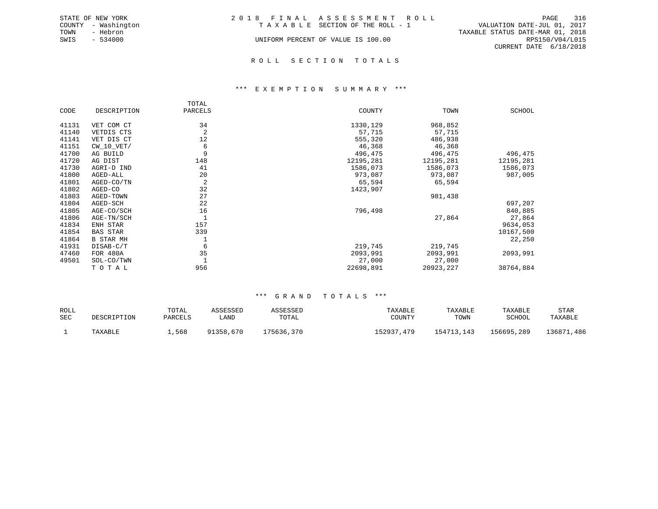| 2018 FINAL ASSESSMENT ROLL<br>TAXABLE SECTION OF THE ROLL - 1<br>UNIFORM PERCENT OF VALUE IS 100.00 | 316<br>PAGE<br>VALUATION DATE-JUL 01, 2017<br>TAXABLE STATUS DATE-MAR 01, 2018<br>RPS150/V04/L015 |
|-----------------------------------------------------------------------------------------------------|---------------------------------------------------------------------------------------------------|
|                                                                                                     | CURRENT DATE 6/18/2018                                                                            |
|                                                                                                     |                                                                                                   |

R O L L S E C T I O N T O T A L S

### \*\*\* E X E M P T I O N S U M M A R Y \*\*\*

|       |                  | TOTAL   |           |            |           |
|-------|------------------|---------|-----------|------------|-----------|
| CODE  | DESCRIPTION      | PARCELS | COUNTY    | TOWN       | SCHOOL    |
| 41131 | VET COM CT       | 34      | 1330,129  | 968,852    |           |
| 41140 | VETDIS CTS       | 2       | 57,715    | 57,715     |           |
| 41141 | VET DIS CT       | 12      | 555,320   | 486,938    |           |
| 41151 | $CW_10_VET/$     | 6       | 46,368    | 46,368     |           |
| 41700 | AG BUILD         | 9       | 496,475   | 496,475    | 496,475   |
| 41720 | AG DIST          | 148     | 12195,281 | 12195,281  | 12195,281 |
| 41730 | AGRI-D IND       | 41      | 1586,073  | 1586,073   | 1586,073  |
| 41800 | AGED-ALL         | 20      | 973,087   | 973,087    | 987,005   |
| 41801 | AGED-CO/TN       | 2       | 65,594    | 65,594     |           |
| 41802 | AGED-CO          | 32      | 1423,907  |            |           |
| 41803 | AGED-TOWN        | 27      |           | 981,438    |           |
| 41804 | AGED-SCH         | 22      |           |            | 697,207   |
| 41805 | AGE-CO/SCH       | 16      | 796,498   |            | 840,885   |
| 41806 | AGE-TN/SCH       |         |           | 27,864     | 27,864    |
| 41834 | ENH STAR         | 157     |           |            | 9634,053  |
| 41854 | <b>BAS STAR</b>  | 339     |           |            | 10167,500 |
| 41864 | <b>B STAR MH</b> |         |           |            | 22,250    |
| 41931 | DISAB-C/T        | 6       | 219,745   | 219,745    |           |
| 47460 | FOR 480A         | 35      | 2093,991  | 2093,991   | 2093,991  |
| 49501 | SOL-CO/TWN       |         | 27,000    | 27,000     |           |
|       | TOTAL            | 956     | 22698,891 | 20923, 227 | 38764,884 |

| ROLL |             | TOTAL   | ASSESSED  | ASSESSED   | TAXABLE        | TAXABLE    | TAXABLE    | STAR       |
|------|-------------|---------|-----------|------------|----------------|------------|------------|------------|
| SEC  | DESCRIPTION | PARCELS | úAND      | TOTAL      | COUNTY         | TOWN       | SCHOOL     | TAXABLE    |
|      | TAXABLE     | 1,568   | 91358,670 | 175636,370 | 152937<br>.479 | 154713.143 | 156695,289 | 136871,486 |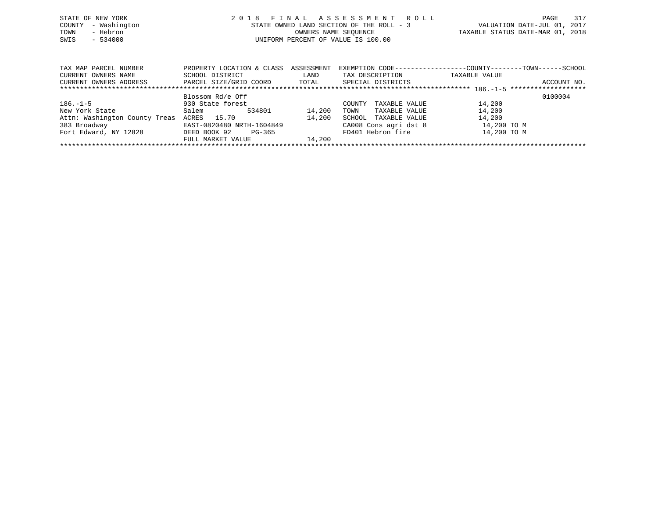| STATE OF NEW YORK                       | 2018 FINAL ASSESSMENT ROLL                                       | 317<br>PAGE                                                     |
|-----------------------------------------|------------------------------------------------------------------|-----------------------------------------------------------------|
| COUNTY - Washington<br>TOWN<br>- Hebron | STATE OWNED LAND SECTION OF THE ROLL - 3<br>OWNERS NAME SEOUENCE | VALUATION DATE-JUL 01, 2017<br>TAXABLE STATUS DATE-MAR 01, 2018 |
| SWIS<br>$-534000$                       | UNIFORM PERCENT OF VALUE IS 100.00                               |                                                                 |
|                                         |                                                                  |                                                                 |

| TAX MAP PARCEL NUMBER         | PROPERTY LOCATION & CLASS | ASSESSMENT | EXEMPTION CODE-----------------COUNTY-------TOWN------SCHOOL |               |             |  |  |  |  |  |  |  |
|-------------------------------|---------------------------|------------|--------------------------------------------------------------|---------------|-------------|--|--|--|--|--|--|--|
| CURRENT OWNERS NAME           | SCHOOL DISTRICT           | LAND       | TAX DESCRIPTION                                              | TAXABLE VALUE |             |  |  |  |  |  |  |  |
| CURRENT OWNERS ADDRESS        | PARCEL SIZE/GRID COORD    | TOTAL      | SPECIAL DISTRICTS                                            |               | ACCOUNT NO. |  |  |  |  |  |  |  |
|                               |                           |            |                                                              |               |             |  |  |  |  |  |  |  |
|                               | Blossom Rd/e Off          |            |                                                              |               | 0100004     |  |  |  |  |  |  |  |
| $186. - 1 - 5$                | 930 State forest          |            | TAXABLE VALUE<br>COUNTY                                      | 14,200        |             |  |  |  |  |  |  |  |
| New York State                | 534801<br>Salem           | 14,200     | TAXABLE VALUE<br>TOWN                                        | 14,200        |             |  |  |  |  |  |  |  |
| Attn: Washington County Treas | 15.70<br>ACRES            | 14,200     | TAXABLE VALUE<br>SCHOOL                                      | 14,200        |             |  |  |  |  |  |  |  |
| 383 Broadway                  | EAST-0820480 NRTH-1604849 |            | CA008 Cons agri dst 8                                        | 14,200 TO M   |             |  |  |  |  |  |  |  |
| Fort Edward, NY 12828         | DEED BOOK 92<br>PG-365    |            | FD401 Hebron fire                                            | 14,200 TO M   |             |  |  |  |  |  |  |  |
|                               | FULL MARKET VALUE         | 14,200     |                                                              |               |             |  |  |  |  |  |  |  |
|                               |                           |            |                                                              |               |             |  |  |  |  |  |  |  |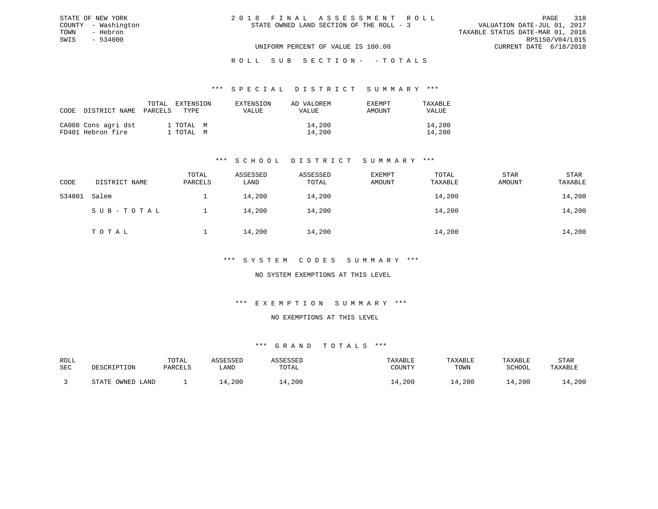| 2018 FINAL ASSESSMENT ROLL |                                          |                                  | PAGE            | 318 |
|----------------------------|------------------------------------------|----------------------------------|-----------------|-----|
|                            | STATE OWNED LAND SECTION OF THE ROLL - 3 | VALUATION DATE-JUL 01, 2017      |                 |     |
|                            |                                          | TAXABLE STATUS DATE-MAR 01, 2018 |                 |     |
|                            |                                          |                                  | RPS150/V04/L015 |     |
|                            | UNIFORM PERCENT OF VALUE IS 100.00       | CURRENT DATE 6/18/2018           |                 |     |

ROLL SUB SECTION - - TOTALS

#### \*\*\* S P E C I A L D I S T R I C T S U M M A R Y \*\*\*

| CODE DISTRICT NAME PARCELS               | TOTAL | EXTENSION<br>TYPE.     | EXTENSION<br>VALUE | AD VALOREM<br><b>VALUE</b> | EXEMPT<br>AMOUNT | TAXARLE<br>VALUE |
|------------------------------------------|-------|------------------------|--------------------|----------------------------|------------------|------------------|
| CA008 Cons agri dst<br>FD401 Hebron fire |       | 1 TOTAL M<br>1 ТОТАL М |                    | 14,200<br>14,200           |                  | 14,200<br>14,200 |

STATE OF NEW YORK COUNTY - Washington TOWN - Hebron SWIS - 534000

### \*\*\* S C H O O L D I S T R I C T S U M M A R Y \*\*\*

| CODE   | DISTRICT NAME | TOTAL<br>PARCELS | ASSESSED<br>LAND | ASSESSED<br>TOTAL | <b>EXEMPT</b><br>AMOUNT | TOTAL<br>TAXABLE | <b>STAR</b><br>AMOUNT | STAR<br>TAXABLE |
|--------|---------------|------------------|------------------|-------------------|-------------------------|------------------|-----------------------|-----------------|
| 534801 | Salem         |                  | 14,200           | 14,200            |                         | 14,200           |                       | 14,200          |
|        | SUB-TOTAL     |                  | 14,200           | 14,200            |                         | 14,200           |                       | 14,200          |
|        | TOTAL         |                  | 14,200           | 14,200            |                         | 14,200           |                       | 14,200          |

### \*\*\* S Y S T E M C O D E S S U M M A R Y \*\*\*

### NO SYSTEM EXEMPTIONS AT THIS LEVEL

### \*\*\* E X E M P T I O N S U M M A R Y \*\*\*

#### NO EXEMPTIONS AT THIS LEVEL

| ROLL |                                              | TOTAL   | 7 CCFCCFF |             | TAXABLE | TAXABLE | TAXABLE       | STAR    |
|------|----------------------------------------------|---------|-----------|-------------|---------|---------|---------------|---------|
| SEC  | DESCRIPTION                                  | PARCELS | LAND      | TOTAL       | COUNTY  | TOWN    | <b>SCHOOL</b> | TAXABLE |
|      |                                              |         |           |             |         |         |               |         |
|      | OWNED<br>$\sim$ $\sim$ $\sim$ $\sim$<br>LAND |         | , 200     | $\pm$ , 200 | ⊥4,200  | .4,200  | .4,200        | 14,200  |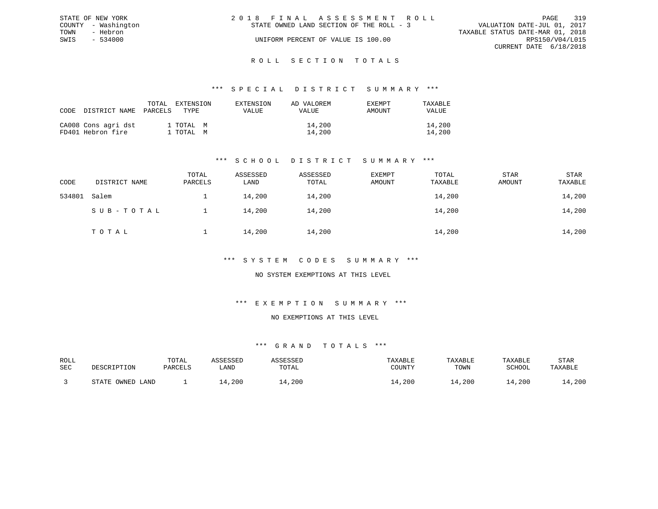|      | STATE OF NEW YORK   | 2018 FINAL ASSESSMENT ROLL                                              | PAGE            | 319 |
|------|---------------------|-------------------------------------------------------------------------|-----------------|-----|
|      | COUNTY - Washington | VALUATION DATE-JUL 01, 2017<br>STATE OWNED LAND SECTION OF THE ROLL - 3 |                 |     |
| TOWN | - Hebron            | TAXABLE STATUS DATE-MAR 01, 2018                                        |                 |     |
| SWIS | - 534000            | UNIFORM PERCENT OF VALUE IS 100.00                                      | RPS150/V04/L015 |     |
|      |                     | CURRENT DATE 6/18/2018                                                  |                 |     |
|      |                     |                                                                         |                 |     |

#### R O L L S E C T I O N T O T A L S

### \*\*\* S P E C I A L D I S T R I C T S U M M A R Y \*\*\*

| CODE | DISTRICT NAME                            | TOTAL<br>EXTENSION<br>PARCELS<br>TYPE. | EXTENSION<br>VALUE | AD VALOREM<br><b>EXEMPT</b><br>AMOUNT<br>VALUE | TAXABLE<br>VALUE |
|------|------------------------------------------|----------------------------------------|--------------------|------------------------------------------------|------------------|
|      | CA008 Cons agri dst<br>FD401 Hebron fire | 1 TOTAL M<br>1 TOTAL M                 |                    | 14,200<br>14,200                               | 14,200<br>14,200 |

### \*\*\* S C H O O L D I S T R I C T S U M M A R Y \*\*\*

| CODE   | DISTRICT NAME | TOTAL<br>PARCELS | ASSESSED<br>LAND | ASSESSED<br>TOTAL | <b>EXEMPT</b><br>AMOUNT | TOTAL<br>TAXABLE | <b>STAR</b><br>AMOUNT | STAR<br>TAXABLE |
|--------|---------------|------------------|------------------|-------------------|-------------------------|------------------|-----------------------|-----------------|
| 534801 | Salem         |                  | 14,200           | 14,200            |                         | 14,200           |                       | 14,200          |
|        | SUB-TOTAL     |                  | 14,200           | 14,200            |                         | 14,200           |                       | 14,200          |
|        | TOTAL         |                  | 14,200           | 14,200            |                         | 14,200           |                       | 14,200          |

### \*\*\* S Y S T E M C O D E S S U M M A R Y \*\*\*

### NO SYSTEM EXEMPTIONS AT THIS LEVEL

### \*\*\* E X E M P T I O N S U M M A R Y \*\*\*

#### NO EXEMPTIONS AT THIS LEVEL

| ROLL |                                              | TOTAL   | 7 CCFCCFF |             | TAXABLE | TAXABLE | TAXABLE       | STAR    |
|------|----------------------------------------------|---------|-----------|-------------|---------|---------|---------------|---------|
| SEC  | DESCRIPTION                                  | PARCELS | LAND      | TOTAL       | COUNTY  | TOWN    | <b>SCHOOL</b> | TAXABLE |
|      |                                              |         |           |             |         |         |               |         |
|      | OWNED<br>$\sim$ $\sim$ $\sim$ $\sim$<br>LAND |         | , 200     | $\pm$ , 200 | ⊥4,200  | .4,200  | .4,200        | 14,200  |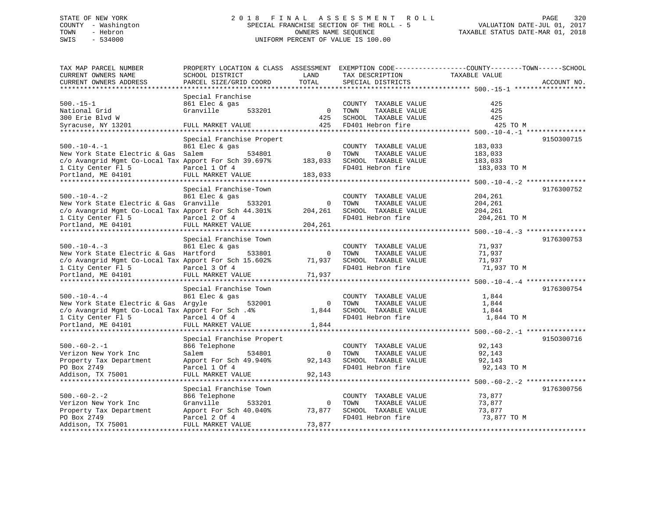## STATE OF NEW YORK 2 0 1 8 F I N A L A S S E S S M E N T R O L L PAGE 320 COUNTY - Washington SPECIAL FRANCHISE SECTION OF THE ROLL - 5 VALUATION DATE-JUL 01, 2017 TOWN - Hebron OWNERS NAME SEQUENCE TAXABLE STATUS DATE-MAR 01, 2018 SWIS - 534000 UNIFORM PERCENT OF VALUE IS 100.00

| TAX MAP PARCEL NUMBER                                 | PROPERTY LOCATION & CLASS ASSESSMENT EXEMPTION CODE----------------COUNTY-------TOWN-----SCHOOL |                |                       |               |             |
|-------------------------------------------------------|-------------------------------------------------------------------------------------------------|----------------|-----------------------|---------------|-------------|
| CURRENT OWNERS NAME                                   | SCHOOL DISTRICT                                                                                 | LAND           | TAX DESCRIPTION       | TAXABLE VALUE |             |
| CURRENT OWNERS ADDRESS                                | PARCEL SIZE/GRID COORD                                                                          | TOTAL          | SPECIAL DISTRICTS     |               | ACCOUNT NO. |
|                                                       |                                                                                                 |                |                       |               |             |
|                                                       | Special Franchise                                                                               |                |                       |               |             |
| $500. -15 - 1$                                        | 861 Elec & gas                                                                                  |                | COUNTY TAXABLE VALUE  | 425           |             |
| National Grid                                         | Granville<br>533201                                                                             | $\overline{0}$ | TAXABLE VALUE<br>TOWN | 425           |             |
| 300 Erie Blvd W                                       |                                                                                                 | 425            | SCHOOL TAXABLE VALUE  | 425           |             |
| Syracuse, NY 13201                                    | FULL MARKET VALUE                                                                               | 425            | FD401 Hebron fire     | 425 TO M      |             |
|                                                       |                                                                                                 |                |                       |               |             |
|                                                       | Special Franchise Propert                                                                       |                |                       |               | 9150300715  |
| $500.-10-4.-1$                                        | 861 Elec & gas                                                                                  |                | COUNTY TAXABLE VALUE  | 183,033       |             |
| New York State Electric & Gas Salem                   | 534801                                                                                          | $\overline{0}$ | TOWN<br>TAXABLE VALUE | 183,033       |             |
| c/o Avangrid Mgmt Co-Local Tax Apport For Sch 39.697% |                                                                                                 | 183,033        | SCHOOL TAXABLE VALUE  | 183,033       |             |
| 1 City Center Fl 5                                    | Parcel 1 Of 4                                                                                   |                | FD401 Hebron fire     | 183,033 TO M  |             |
| Portland, ME 04101                                    | FULL MARKET VALUE                                                                               | 183,033        |                       |               |             |
|                                                       |                                                                                                 |                |                       |               |             |
|                                                       | Special Franchise-Town                                                                          |                |                       |               | 9176300752  |
| $500. -10 - 4. -2$                                    | 861 Elec & gas                                                                                  |                | COUNTY TAXABLE VALUE  | 204,261       |             |
| New York State Electric & Gas Granville               | 533201                                                                                          | $\Omega$       | TOWN<br>TAXABLE VALUE | 204,261       |             |
| c/o Avangrid Mgmt Co-Local Tax Apport For Sch 44.301% |                                                                                                 | 204,261        | SCHOOL TAXABLE VALUE  | 204,261       |             |
| 1 City Center Fl 5                                    | Parcel 2 Of 4                                                                                   |                | FD401 Hebron fire     | 204,261 TO M  |             |
| Portland, ME 04101                                    | FULL MARKET VALUE                                                                               | 204,261        |                       |               |             |
|                                                       |                                                                                                 |                |                       |               |             |
|                                                       | Special Franchise Town                                                                          |                |                       |               | 9176300753  |
| $500. - 10 - 4. - 3$                                  | 861 Elec & gas                                                                                  |                | COUNTY TAXABLE VALUE  | 71,937        |             |
| New York State Electric & Gas Hartford                | 533801                                                                                          | $\mathbf 0$    | TAXABLE VALUE<br>TOWN | 71,937        |             |
| c/o Avangrid Mgmt Co-Local Tax Apport For Sch 15.602% |                                                                                                 | 71,937         | SCHOOL TAXABLE VALUE  | 71,937        |             |
| 1 City Center Fl 5                                    | Parcel 3 Of 4                                                                                   |                | FD401 Hebron fire     | 71,937 TO M   |             |
| Portland, ME 04101                                    | FULL MARKET VALUE                                                                               | 71,937         |                       |               |             |
|                                                       |                                                                                                 |                |                       |               |             |
|                                                       | Special Franchise Town                                                                          |                |                       |               | 9176300754  |
| $500 - 10 - 4 - 4$                                    | 861 Elec & gas                                                                                  |                | COUNTY TAXABLE VALUE  | 1,844         |             |
| New York State Electric & Gas Argyle                  | 532001                                                                                          | $\overline{0}$ | TAXABLE VALUE<br>TOWN | 1,844         |             |
| c/o Avangrid Mgmt Co-Local Tax Apport For Sch .4%     |                                                                                                 | 1,844          | SCHOOL TAXABLE VALUE  | 1,844         |             |
| 1 City Center Fl 5                                    | Parcel 4 Of 4                                                                                   |                | FD401 Hebron fire     | 1,844 TO M    |             |
| Portland, ME 04101                                    | FULL MARKET VALUE                                                                               | 1,844          |                       |               |             |
|                                                       |                                                                                                 |                |                       |               |             |
|                                                       | Special Franchise Propert                                                                       |                |                       |               | 9150300716  |
| $500. -60 - 2. -1$                                    | 866 Telephone                                                                                   |                | COUNTY TAXABLE VALUE  | 92,143        |             |
| Verizon New York Inc                                  | Salem<br>534801                                                                                 | $\mathbf{0}$   | TOWN<br>TAXABLE VALUE | 92,143        |             |
| Property Tax Department                               | Apport For Sch 49.940%                                                                          | 92,143         | SCHOOL TAXABLE VALUE  | 92,143        |             |
| PO Box 2749                                           | Parcel 1 Of 4                                                                                   |                | FD401 Hebron fire     | 92,143 TO M   |             |
| Addison, TX 75001                                     | FULL MARKET VALUE                                                                               | 92,143         |                       |               |             |
|                                                       |                                                                                                 |                |                       |               |             |
|                                                       | Special Franchise Town                                                                          |                |                       |               | 9176300756  |
| $500. -60 - 2. -2$                                    | 866 Telephone                                                                                   |                | COUNTY TAXABLE VALUE  | 73,877        |             |
| Verizon New York Inc                                  | Granville<br>533201                                                                             | $\overline{0}$ | TAXABLE VALUE<br>TOWN | 73,877        |             |
| Property Tax Department                               | Apport For Sch 40.040%                                                                          | 73,877         | SCHOOL TAXABLE VALUE  | 73,877        |             |
| PO Box 2749                                           | Parcel 2 Of 4                                                                                   |                | FD401 Hebron fire     | 73,877 TO M   |             |
| Addison, TX 75001                                     | FULL MARKET VALUE                                                                               | 73,877         |                       |               |             |
|                                                       |                                                                                                 |                |                       |               |             |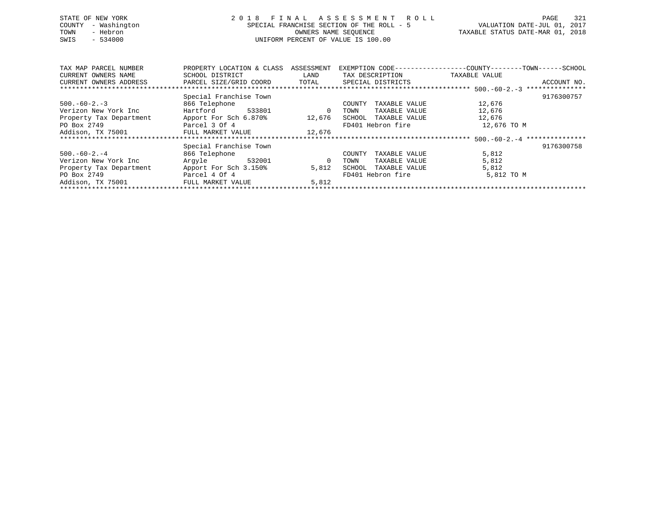| STATE OF NEW YORK<br>- Washington<br>COUNTY<br>- Hebron<br>TOWN<br>$-534000$<br>SWIS | 2018                      |            | FINAL ASSESSMENT ROLL<br>SPECIAL FRANCHISE SECTION OF THE ROLL - 5<br>OWNERS NAME SEOUENCE<br>UNIFORM PERCENT OF VALUE IS 100.00 |               | 321<br>PAGE<br>2017<br>VALUATION DATE-JUL 01,<br>TAXABLE STATUS DATE-MAR 01, 2018 |
|--------------------------------------------------------------------------------------|---------------------------|------------|----------------------------------------------------------------------------------------------------------------------------------|---------------|-----------------------------------------------------------------------------------|
|                                                                                      |                           |            |                                                                                                                                  |               |                                                                                   |
| TAX MAP PARCEL NUMBER                                                                | PROPERTY LOCATION & CLASS | ASSESSMENT | EXEMPTION CODE-----------------COUNTY-------TOWN-----SCHOOL                                                                      |               |                                                                                   |
| CURRENT OWNERS NAME                                                                  | SCHOOL DISTRICT           | LAND       | TAX DESCRIPTION                                                                                                                  | TAXABLE VALUE |                                                                                   |
| CURRENT OWNERS ADDRESS                                                               | PARCEL SIZE/GRID COORD    | TOTAL      | SPECIAL DISTRICTS                                                                                                                |               | ACCOUNT NO.                                                                       |
|                                                                                      |                           |            |                                                                                                                                  |               |                                                                                   |
|                                                                                      | Special Franchise Town    |            |                                                                                                                                  |               | 9176300757                                                                        |
| $500. -60 - 2. -3$                                                                   | 866 Telephone             |            | TAXABLE VALUE<br>COUNTY                                                                                                          | 12,676        |                                                                                   |
| Verizon New York Inc                                                                 | Hartford<br>533801        | $\Omega$   | TAXABLE VALUE<br>TOWN                                                                                                            | 12,676        |                                                                                   |
| Property Tax Department                                                              | Apport For Sch 6.870%     | 12,676     | SCHOOL<br>TAXABLE VALUE                                                                                                          | 12,676        |                                                                                   |
| PO Box 2749                                                                          | Parcel 3 Of 4             |            | FD401 Hebron fire                                                                                                                | 12,676 TO M   |                                                                                   |

| Addison, TX 75001       | FULL MARKET VALUE      | 12,676                           |            |
|-------------------------|------------------------|----------------------------------|------------|
|                         |                        |                                  |            |
|                         | Special Franchise Town |                                  | 9176300758 |
| $500.-60-2.-4$          | 866 Telephone          | TAXABLE VALUE<br>COUNTY          | 5,812      |
| Verizon New York Inc    | 532001<br>Arqvle       | TAXABLE VALUE<br>TOWN<br>0       | 5,812      |
| Property Tax Department | Apport For Sch 3.150%  | 5,812<br>TAXABLE VALUE<br>SCHOOL | 5,812      |
| PO Box 2749             | Parcel 4 Of 4          | FD401 Hebron fire                | 5,812 TO M |
| Addison, TX 75001       | FULL MARKET VALUE      | 5,812                            |            |
|                         |                        |                                  |            |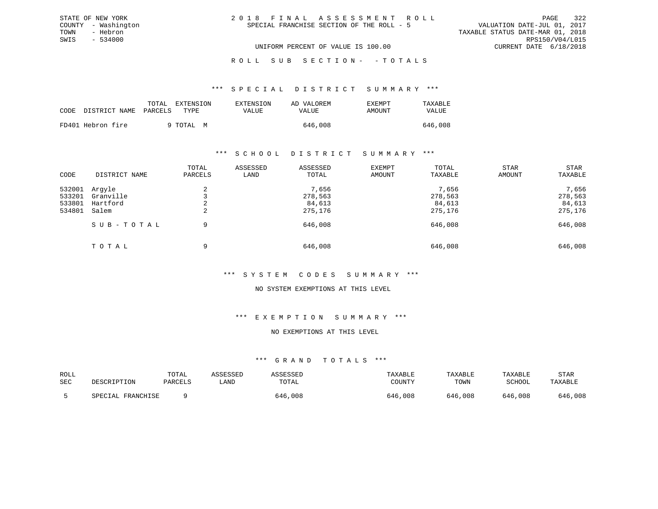| 2018 FINAL ASSESSMENT ROLL                | 322<br>PAGE                      |
|-------------------------------------------|----------------------------------|
| SPECIAL FRANCHISE SECTION OF THE ROLL - 5 | VALUATION DATE-JUL 01, 2017      |
|                                           | TAXABLE STATUS DATE-MAR 01, 2018 |
|                                           | RPS150/V04/L015                  |
| UNIFORM PERCENT OF VALUE IS 100.00        | CURRENT DATE 6/18/2018           |

ROLL SUB SECTION - - TOTALS

#### \*\*\* S P E C I A L D I S T R I C T S U M M A R Y \*\*\*

| CODE | DISTRICT NAME PARCELS | EXTENSION<br>TOTAL<br>TYPE. | EXTENSION<br>VALUE | AD VALOREM<br>VALUE | EXEMPT<br>TAXABLE<br>AMOUNT<br>VALUE |
|------|-----------------------|-----------------------------|--------------------|---------------------|--------------------------------------|
|      | FD401 Hebron fire     | 9 TOTAL<br>M                |                    | 646,008             | 646,008                              |

STATE OF NEW YORK COUNTY - Washington TOWN - Hebron SWIS - 534000

### \*\*\* S C H O O L D I S T R I C T S U M M A R Y \*\*\*

| CODE                                 | DISTRICT NAME                            | TOTAL<br>PARCELS     | ASSESSED<br>LAND | ASSESSED<br>TOTAL                     | <b>EXEMPT</b><br>AMOUNT | TOTAL<br>TAXABLE                      | STAR<br>AMOUNT | STAR<br>TAXABLE                       |
|--------------------------------------|------------------------------------------|----------------------|------------------|---------------------------------------|-------------------------|---------------------------------------|----------------|---------------------------------------|
| 532001<br>533201<br>533801<br>534801 | Arqyle<br>Granville<br>Hartford<br>Salem | 4<br>∠<br>$\epsilon$ |                  | 7,656<br>278,563<br>84,613<br>275,176 |                         | 7,656<br>278,563<br>84,613<br>275,176 |                | 7,656<br>278,563<br>84,613<br>275,176 |
|                                      | SUB-TOTAL                                | 9                    |                  | 646,008                               |                         | 646,008                               |                | 646,008                               |
|                                      | TOTAL                                    | 9                    |                  | 646,008                               |                         | 646,008                               |                | 646,008                               |

### \*\*\* S Y S T E M C O D E S S U M M A R Y \*\*\*

### NO SYSTEM EXEMPTIONS AT THIS LEVEL

### \*\*\* E X E M P T I O N S U M M A R Y \*\*\*

#### NO EXEMPTIONS AT THIS LEVEL

| ROLL |                   | TOTAL   | ASSESSED | ASSESSED | TAXABLE | TAXABLE | TAXABLE | STAR    |
|------|-------------------|---------|----------|----------|---------|---------|---------|---------|
| SEC  | DESCRIPTION       | PARCELS | LAND     | TOTAL    | COUNTY  | TOWN    | SCHOOL  | TAXABLE |
|      | SPECIAL FRANCHISE |         |          | 646,008  | 646,008 | 646,008 | 646,008 | 646,008 |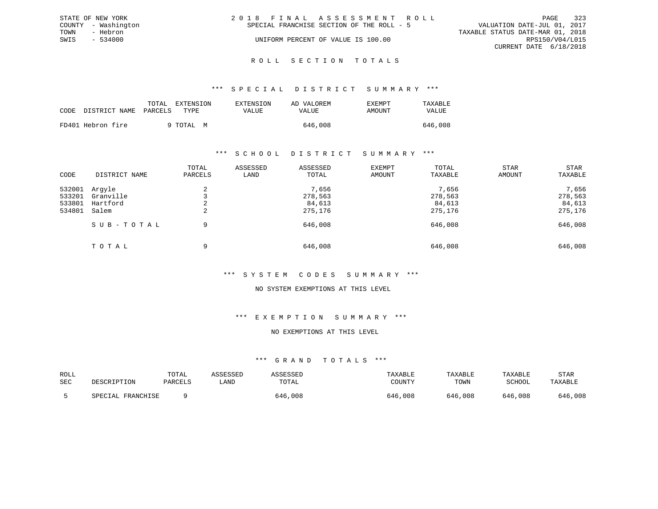|      | STATE OF NEW YORK   | 2018 FINAL ASSESSMENT ROLL                                               | PAGE            | 323 |
|------|---------------------|--------------------------------------------------------------------------|-----------------|-----|
|      | COUNTY - Washington | VALUATION DATE-JUL 01, 2017<br>SPECIAL FRANCHISE SECTION OF THE ROLL - 5 |                 |     |
| TOWN | - Hebron            | TAXABLE STATUS DATE-MAR 01, 2018                                         |                 |     |
| SWIS | $-534000$           | UNIFORM PERCENT OF VALUE IS 100.00                                       | RPS150/V04/L015 |     |
|      |                     | CURRENT DATE 6/18/2018                                                   |                 |     |
|      |                     |                                                                          |                 |     |

#### R O L L S E C T I O N T O T A L S

### \*\*\* S P E C I A L D I S T R I C T S U M M A R Y \*\*\*

|      |                       | TOTAL | EXTENSION | <b>EXTENSION</b> | AD VALOREM | EXEMPT | TAXABLE |
|------|-----------------------|-------|-----------|------------------|------------|--------|---------|
| CODE | DISTRICT NAME PARCELS |       | TYPE.     | VALUE            | VALUE      | AMOUNT | VALUE   |
|      | FD401 Hebron fire     |       | 9 TOTAL M |                  | 646,008    |        | 646,008 |

### \*\*\* S C H O O L D I S T R I C T S U M M A R Y \*\*\*

| CODE                                 | DISTRICT NAME                            | TOTAL<br>PARCELS     | ASSESSED<br>LAND | ASSESSED<br>TOTAL                     | <b>EXEMPT</b><br>AMOUNT | TOTAL<br>TAXABLE                      | STAR<br>AMOUNT | STAR<br>TAXABLE                       |
|--------------------------------------|------------------------------------------|----------------------|------------------|---------------------------------------|-------------------------|---------------------------------------|----------------|---------------------------------------|
| 532001<br>533201<br>533801<br>534801 | Arqyle<br>Granville<br>Hartford<br>Salem | 4<br>∠<br>$\epsilon$ |                  | 7,656<br>278,563<br>84,613<br>275,176 |                         | 7,656<br>278,563<br>84,613<br>275,176 |                | 7,656<br>278,563<br>84,613<br>275,176 |
|                                      | SUB-TOTAL                                | 9                    |                  | 646,008                               |                         | 646,008                               |                | 646,008                               |
|                                      | TOTAL                                    | 9                    |                  | 646,008                               |                         | 646,008                               |                | 646,008                               |

### \*\*\* S Y S T E M C O D E S S U M M A R Y \*\*\*

### NO SYSTEM EXEMPTIONS AT THIS LEVEL

### \*\*\* E X E M P T I O N S U M M A R Y \*\*\*

#### NO EXEMPTIONS AT THIS LEVEL

| ROLL<br>SEC | DESCRIPTION          | TOTAL<br>PARCELS | \SSESSED<br>LAND | ASSESSET<br>TOTAL | TAXABLE<br>COUNTY | TAXABLE<br>TOWN | TAXABLE<br><b>SCHOOL</b> | STAR<br>TAXABLE |
|-------------|----------------------|------------------|------------------|-------------------|-------------------|-----------------|--------------------------|-----------------|
|             | FRANCHISE<br>SPECIAL |                  |                  | 646,008           | 646,008           | 646,008         | 646,008                  | 646,008         |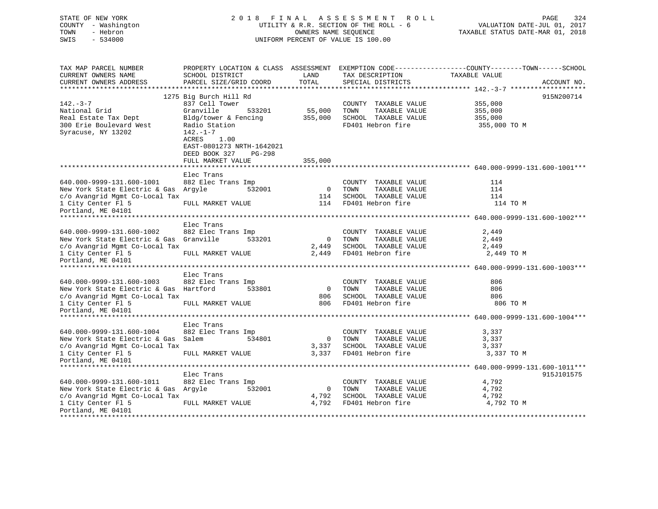| STATE OF NEW YORK<br>COUNTY - Washington<br>- Hebron<br>TOWN<br>$-534000$<br>SWIS | 2018 FINAL ASSESSMENT<br>UTILITY & R.R. SECTION OF THE ROLL - 6<br>UNIFORM PERCENT OF VALUE IS 100.00 | PAGE<br>324<br>VALUATION DATE-JUL 01, 2017<br>TAXABLE STATUS DATE-MAR 01, 2018 |                                               |                                                                                                                                 |
|-----------------------------------------------------------------------------------|-------------------------------------------------------------------------------------------------------|--------------------------------------------------------------------------------|-----------------------------------------------|---------------------------------------------------------------------------------------------------------------------------------|
| TAX MAP PARCEL NUMBER<br>CURRENT OWNERS NAME<br>CURRENT OWNERS ADDRESS            | SCHOOL DISTRICT<br>PARCEL SIZE/GRID COORD                                                             | LAND<br>TOTAL                                                                  | TAX DESCRIPTION<br>SPECIAL DISTRICTS          | PROPERTY LOCATION & CLASS ASSESSMENT EXEMPTION CODE----------------COUNTY-------TOWN-----SCHOOL<br>TAXABLE VALUE<br>ACCOUNT NO. |
|                                                                                   |                                                                                                       |                                                                                |                                               |                                                                                                                                 |
|                                                                                   | 1275 Big Burch Hill Rd                                                                                |                                                                                |                                               | 915N200714                                                                                                                      |
| $142. - 3 - 7$<br>National Grid                                                   | 837 Cell Tower<br>Granville<br>533201                                                                 | 55,000                                                                         | COUNTY TAXABLE VALUE<br>TOWN<br>TAXABLE VALUE | 355,000<br>355,000                                                                                                              |
| Real Estate Tax Dept                                                              | Bldg/tower & Fencing                                                                                  | 355,000                                                                        | SCHOOL TAXABLE VALUE                          | 355,000                                                                                                                         |
| 300 Erie Boulevard West                                                           | Radio Station                                                                                         |                                                                                | FD401 Hebron fire                             | 355,000 TO M                                                                                                                    |
| Syracuse, NY 13202                                                                | $142. - 1 - 7$<br>ACRES<br>1.00<br>EAST-0801273 NRTH-1642021<br>DEED BOOK 327<br>PG-298               |                                                                                |                                               |                                                                                                                                 |
|                                                                                   | FULL MARKET VALUE                                                                                     | 355,000                                                                        |                                               |                                                                                                                                 |
|                                                                                   |                                                                                                       |                                                                                |                                               |                                                                                                                                 |
|                                                                                   | Elec Trans                                                                                            |                                                                                |                                               |                                                                                                                                 |
| 640.000-9999-131.600-1001                                                         | 882 Elec Trans Imp                                                                                    |                                                                                | COUNTY TAXABLE VALUE                          | 114                                                                                                                             |
| New York State Electric & Gas Argyle                                              | 532001                                                                                                | $\overline{0}$                                                                 | TOWN<br>TAXABLE VALUE                         | 114                                                                                                                             |
| c/o Avangrid Mgmt Co-Local Tax                                                    |                                                                                                       | 114<br>114                                                                     | SCHOOL TAXABLE VALUE<br>FD401 Hebron fire     | 114                                                                                                                             |
| 1 City Center Fl 5<br>Portland, ME 04101                                          | FULL MARKET VALUE                                                                                     |                                                                                |                                               | 114 TO M                                                                                                                        |
|                                                                                   |                                                                                                       |                                                                                |                                               |                                                                                                                                 |
|                                                                                   | Elec Trans                                                                                            |                                                                                |                                               |                                                                                                                                 |
| 640.000-9999-131.600-1002                                                         | 882 Elec Trans Imp                                                                                    |                                                                                | COUNTY TAXABLE VALUE                          | 2,449                                                                                                                           |
| New York State Electric & Gas Granville                                           | 533201                                                                                                | $\overline{\phantom{0}}$                                                       | TOWN<br>TAXABLE VALUE                         | 2,449                                                                                                                           |
| c/o Avangrid Mgmt Co-Local Tax                                                    |                                                                                                       | 2,449                                                                          | SCHOOL TAXABLE VALUE                          | 2,449                                                                                                                           |
| 1 City Center Fl 5<br>Portland, ME 04101                                          | FULL MARKET VALUE                                                                                     | 2,449                                                                          | FD401 Hebron fire                             | 2,449 TO M                                                                                                                      |
|                                                                                   |                                                                                                       |                                                                                |                                               |                                                                                                                                 |
|                                                                                   | Elec Trans                                                                                            |                                                                                |                                               |                                                                                                                                 |
| 640.000-9999-131.600-1003                                                         | 882 Elec Trans Imp                                                                                    |                                                                                | COUNTY TAXABLE VALUE                          | 806                                                                                                                             |
| New York State Electric & Gas Hartford                                            | 533801                                                                                                | $\overline{0}$                                                                 | TAXABLE VALUE<br>TOWN                         | 806                                                                                                                             |
| c/o Avangrid Mgmt Co-Local Tax                                                    |                                                                                                       | 806                                                                            | SCHOOL TAXABLE VALUE                          | 806                                                                                                                             |
| 1 City Center Fl 5<br>Portland, ME 04101                                          | FULL MARKET VALUE                                                                                     | 806                                                                            | FD401 Hebron fire                             | 806 TO M                                                                                                                        |
|                                                                                   |                                                                                                       |                                                                                |                                               |                                                                                                                                 |
|                                                                                   | Elec Trans                                                                                            |                                                                                |                                               |                                                                                                                                 |
| 640.000-9999-131.600-1004                                                         | 882 Elec Trans Imp                                                                                    |                                                                                | COUNTY TAXABLE VALUE                          | 3,337                                                                                                                           |
| New York State Electric & Gas Salem                                               | 534801                                                                                                | 0                                                                              | TAXABLE VALUE<br>TOWN                         | 3,337                                                                                                                           |
| c/o Avangrid Mgmt Co-Local Tax                                                    |                                                                                                       | 3,337                                                                          | SCHOOL TAXABLE VALUE                          | 3,337                                                                                                                           |
| 1 City Center Fl 5                                                                | FULL MARKET VALUE                                                                                     | 3,337                                                                          | FD401 Hebron fire                             | 3,337 TO M                                                                                                                      |
| Portland, ME 04101                                                                |                                                                                                       |                                                                                |                                               |                                                                                                                                 |
|                                                                                   |                                                                                                       |                                                                                |                                               |                                                                                                                                 |
|                                                                                   | Elec Trans                                                                                            |                                                                                |                                               | 915J101575                                                                                                                      |
| 640.000-9999-131.600-1011                                                         | 882 Elec Trans Imp                                                                                    |                                                                                | COUNTY TAXABLE VALUE                          | 4,792                                                                                                                           |
| New York State Electric & Gas Argyle                                              | 532001                                                                                                | $\overline{0}$                                                                 | TOWN<br>TAXABLE VALUE                         | 4,792                                                                                                                           |
| c/o Avangrid Mgmt Co-Local Tax                                                    |                                                                                                       | 4,792                                                                          | SCHOOL TAXABLE VALUE                          | 4,792                                                                                                                           |
| 1 City Center Fl 5<br>Portland, ME 04101                                          | FULL MARKET VALUE                                                                                     | 4,792                                                                          | FD401 Hebron fire                             | 4,792 TO M                                                                                                                      |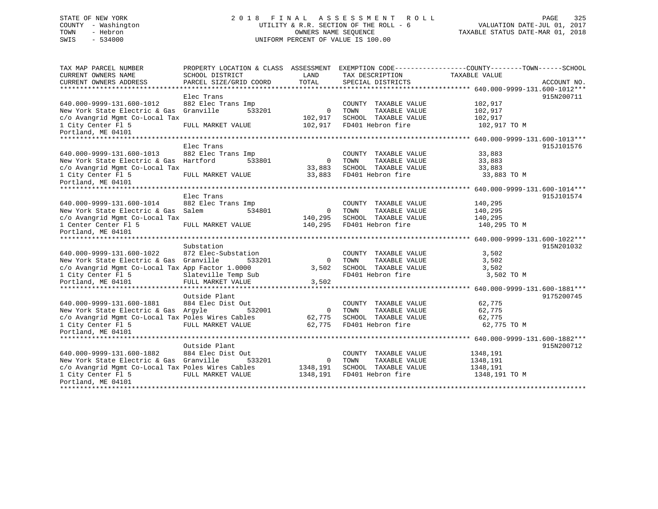# STATE OF NEW YORK 2 0 1 8 F I N A L A S S E S S M E N T R O L L PAGE 325 COUNTY - Washington UTILITY & R.R. SECTION OF THE ROLL - 6 VALUATION DATE-JUL 01, 2017 TOWN - Hebron OWNERS NAME SEQUENCE TAXABLE STATUS DATE-MAR 01, 2018 SWIS - 534000 UNIFORM PERCENT OF VALUE IS 100.00

| TAX MAP PARCEL NUMBER                             | PROPERTY LOCATION & CLASS ASSESSMENT EXEMPTION CODE----------------COUNTY-------TOWN-----SCHOOL |                |                                           |                     |             |
|---------------------------------------------------|-------------------------------------------------------------------------------------------------|----------------|-------------------------------------------|---------------------|-------------|
| CURRENT OWNERS NAME                               | SCHOOL DISTRICT                                                                                 | LAND           | TAX DESCRIPTION                           | TAXABLE VALUE       |             |
| CURRENT OWNERS ADDRESS                            | PARCEL SIZE/GRID COORD                                                                          | TOTAL          | SPECIAL DISTRICTS                         |                     | ACCOUNT NO. |
|                                                   |                                                                                                 |                |                                           |                     |             |
|                                                   | Elec Trans                                                                                      |                |                                           |                     | 915N200711  |
| 640.000-9999-131.600-1012                         | 882 Elec Trans Imp                                                                              |                | COUNTY TAXABLE VALUE                      | 102,917             |             |
| New York State Electric & Gas Granville           | 533201                                                                                          | $\overline{0}$ | TOWN<br>TAXABLE VALUE                     | 102,917             |             |
| c/o Avangrid Mgmt Co-Local Tax                    |                                                                                                 | 102,917        | SCHOOL TAXABLE VALUE                      | 102,917             |             |
| 1 City Center Fl 5                                | FULL MARKET VALUE                                                                               | 102,917        | FD401 Hebron fire                         | 102,917 TO M        |             |
| Portland, ME 04101                                |                                                                                                 |                |                                           |                     |             |
| *****************************                     |                                                                                                 |                |                                           |                     |             |
|                                                   | Elec Trans                                                                                      |                |                                           |                     | 915J101576  |
| 640.000-9999-131.600-1013                         | 882 Elec Trans Imp                                                                              |                | COUNTY TAXABLE VALUE                      | 33,883              |             |
| New York State Electric & Gas Hartford            | 533801                                                                                          | $\overline{0}$ | TOWN<br>TAXABLE VALUE                     | 33,883              |             |
| c/o Avangrid Mgmt Co-Local Tax                    |                                                                                                 | 33,883         | SCHOOL TAXABLE VALUE                      | 33,883              |             |
| 1 City Center Fl 5                                | FULL MARKET VALUE                                                                               | 33,883         | FD401 Hebron fire                         | 33,883 TO M         |             |
| Portland, ME 04101                                |                                                                                                 |                |                                           |                     |             |
|                                                   |                                                                                                 |                |                                           |                     |             |
|                                                   | Elec Trans                                                                                      |                |                                           |                     | 915J101574  |
| 640.000-9999-131.600-1014                         | 882 Elec Trans Imp                                                                              |                | COUNTY TAXABLE VALUE                      | 140,295             |             |
| New York State Electric & Gas Salem               | 534801                                                                                          | $\overline{0}$ | TOWN<br>TAXABLE VALUE                     | 140,295             |             |
| c/o Avangrid Mgmt Co-Local Tax                    |                                                                                                 | 140,295        | SCHOOL TAXABLE VALUE                      | 140,295             |             |
| 1 Center Center Fl 5                              | FULL MARKET VALUE                                                                               | 140,295        | FD401 Hebron fire                         | 140,295 TO M        |             |
| Portland, ME 04101                                |                                                                                                 |                |                                           |                     |             |
|                                                   |                                                                                                 |                |                                           |                     |             |
|                                                   | Substation                                                                                      |                |                                           |                     | 915N201032  |
| 640.000-9999-131.600-1022                         | 872 Elec-Substation                                                                             |                | COUNTY TAXABLE VALUE<br>TAXABLE VALUE     | 3,502               |             |
| New York State Electric & Gas Granville           | 533201                                                                                          | $\overline{0}$ | TOWN                                      | 3,502               |             |
| c/o Avangrid Mgmt Co-Local Tax App Factor 1.0000  |                                                                                                 | 3,502          | SCHOOL TAXABLE VALUE<br>FD401 Hebron fire | 3,502<br>3,502 TO M |             |
| 1 City Center Fl 5                                | Slateville Temp Sub                                                                             |                |                                           |                     |             |
| Portland, ME 04101                                | FULL MARKET VALUE                                                                               | 3,502          |                                           |                     |             |
|                                                   | Outside Plant                                                                                   |                |                                           |                     | 9175200745  |
| 640.000-9999-131.600-1881                         | 884 Elec Dist Out                                                                               |                | COUNTY TAXABLE VALUE                      | 62,775              |             |
| New York State Electric & Gas Argyle              | 532001                                                                                          | $\overline{0}$ | TOWN<br>TAXABLE VALUE                     | 62,775              |             |
| c/o Avangrid Mgmt Co-Local Tax Poles Wires Cables |                                                                                                 | 62,775         | SCHOOL TAXABLE VALUE                      | 62,775              |             |
| 1 City Center F1 5 FULL MARKET VALUE              |                                                                                                 | 62,775         | FD401 Hebron fire                         | 62,775 TO M         |             |
| Portland, ME 04101                                |                                                                                                 |                |                                           |                     |             |
|                                                   |                                                                                                 |                |                                           |                     |             |
|                                                   | Outside Plant                                                                                   |                |                                           |                     | 915N200712  |
| 640.000-9999-131.600-1882                         | 884 Elec Dist Out                                                                               |                | COUNTY TAXABLE VALUE                      | 1348,191            |             |
| New York State Electric & Gas Granville           | 533201                                                                                          | $\bigcirc$     | TOWN<br>TAXABLE VALUE                     | 1348,191            |             |
| c/o Avangrid Mgmt Co-Local Tax Poles Wires Cables |                                                                                                 | 1348,191       | SCHOOL TAXABLE VALUE                      | 1348,191            |             |
| 1 City Center Fl 5                                | FULL MARKET VALUE                                                                               | 1348,191       | FD401 Hebron fire                         | 1348,191 TO M       |             |
| Portland, ME 04101                                |                                                                                                 |                |                                           |                     |             |
|                                                   |                                                                                                 |                |                                           |                     |             |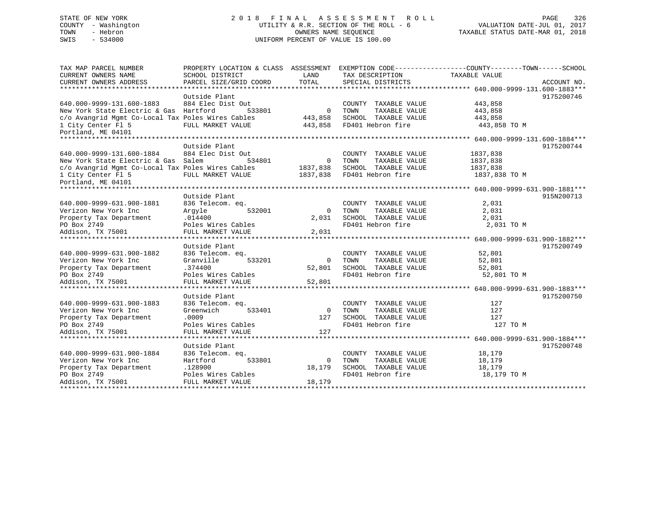# STATE OF NEW YORK 2 0 1 8 F I N A L A S S E S S M E N T R O L L PAGE 326 COUNTY - Washington UTILITY & R.R. SECTION OF THE ROLL - 6 VALUATION DATE-JUL 01, 2017 TOWN - Hebron OWNERS NAME SEQUENCE TAXABLE STATUS DATE-MAR 01, 2018 SWIS - 534000 UNIFORM PERCENT OF VALUE IS 100.00

| TAX MAP PARCEL NUMBER                             | PROPERTY LOCATION & CLASS ASSESSMENT EXEMPTION CODE----------------COUNTY-------TOWN------SCHOOL |                |                            |               |             |
|---------------------------------------------------|--------------------------------------------------------------------------------------------------|----------------|----------------------------|---------------|-------------|
| CURRENT OWNERS NAME                               | SCHOOL DISTRICT                                                                                  | LAND           | TAX DESCRIPTION            | TAXABLE VALUE |             |
| CURRENT OWNERS ADDRESS                            | PARCEL SIZE/GRID COORD                                                                           | TOTAL          | SPECIAL DISTRICTS          |               | ACCOUNT NO. |
|                                                   |                                                                                                  |                |                            |               |             |
|                                                   | Outside Plant                                                                                    |                |                            |               | 9175200746  |
| 640.000-9999-131.600-1883                         | 884 Elec Dist Out                                                                                |                | COUNTY TAXABLE VALUE       | 443,858       |             |
| New York State Electric & Gas Hartford            | 533801                                                                                           | $\overline{0}$ | TAXABLE VALUE<br>TOWN      | 443,858       |             |
| c/o Avangrid Mgmt Co-Local Tax Poles Wires Cables |                                                                                                  | 443,858        | SCHOOL TAXABLE VALUE       | 443,858       |             |
| 1 City Center Fl 5                                | FULL MARKET VALUE                                                                                |                | 443,858 FD401 Hebron fire  | 443,858 TO M  |             |
| Portland, ME 04101                                |                                                                                                  |                |                            |               |             |
|                                                   |                                                                                                  |                |                            |               |             |
|                                                   | Outside Plant                                                                                    |                |                            |               | 9175200744  |
| 640.000-9999-131.600-1884                         | 884 Elec Dist Out                                                                                |                | COUNTY TAXABLE VALUE       | 1837,838      |             |
| New York State Electric & Gas Salem               | 534801                                                                                           | $\overline{0}$ | TOWN<br>TAXABLE VALUE      | 1837,838      |             |
| c/o Avangrid Mgmt Co-Local Tax Poles Wires Cables |                                                                                                  | 1837,838       | SCHOOL TAXABLE VALUE       | 1837,838      |             |
| 1 City Center Fl 5                                | FULL MARKET VALUE                                                                                |                | 1837,838 FD401 Hebron fire | 1837,838 TO M |             |
| Portland, ME 04101                                |                                                                                                  |                |                            |               |             |
|                                                   |                                                                                                  |                |                            |               |             |
|                                                   | Outside Plant                                                                                    |                |                            |               | 915N200713  |
| 640.000-9999-631.900-1881                         | 836 Telecom. eq.                                                                                 |                | COUNTY TAXABLE VALUE       | 2,031         |             |
| Verizon New York Inc                              | Argyle<br>532001                                                                                 | $\Omega$       | TOWN<br>TAXABLE VALUE      | 2,031         |             |
| Property Tax Department                           | .014400                                                                                          | 2,031          | SCHOOL TAXABLE VALUE       | 2,031         |             |
| PO Box 2749                                       | Poles Wires Cables                                                                               |                | FD401 Hebron fire          | 2,031 TO M    |             |
| Addison, TX 75001                                 | FULL MARKET VALUE                                                                                | 2,031          |                            |               |             |
|                                                   |                                                                                                  |                |                            |               |             |
|                                                   | Outside Plant                                                                                    |                |                            |               | 9175200749  |
| 640.000-9999-631.900-1882                         | 836 Telecom. eq.                                                                                 |                | COUNTY TAXABLE VALUE       | 52,801        |             |
| Verizon New York Inc                              | Granville<br>533201                                                                              | $\Omega$       | TOWN<br>TAXABLE VALUE      | 52,801        |             |
| Property Tax Department                           | .374400                                                                                          | 52,801         | SCHOOL TAXABLE VALUE       | 52,801        |             |
| PO Box 2749                                       | Poles Wires Cables                                                                               |                | FD401 Hebron fire          | 52,801 TO M   |             |
| Addison, TX 75001                                 | FULL MARKET VALUE                                                                                | 52,801         |                            |               |             |
|                                                   |                                                                                                  |                |                            |               |             |
|                                                   | Outside Plant                                                                                    |                |                            |               | 9175200750  |
| 640.000-9999-631.900-1883                         | 836 Telecom. eq.                                                                                 |                | COUNTY TAXABLE VALUE       | 127           |             |
| Verizon New York Inc                              | Greenwich<br>533401                                                                              | $\overline{0}$ | TAXABLE VALUE<br>TOWN      | 127           |             |
| Property Tax Department                           | .0009                                                                                            | 127            | SCHOOL TAXABLE VALUE       | 127           |             |
| PO Box 2749                                       | Poles Wires Cables                                                                               |                | FD401 Hebron fire          | 127 TO M      |             |
| Addison, TX 75001                                 | FULL MARKET VALUE                                                                                | 127            |                            |               |             |
|                                                   |                                                                                                  |                |                            |               |             |
|                                                   | Outside Plant                                                                                    |                |                            |               | 9175200748  |
| 640.000-9999-631.900-1884                         | 836 Telecom. eq.                                                                                 |                | COUNTY TAXABLE VALUE       | 18,179        |             |
| Verizon New York Inc                              | Hartford<br>533801                                                                               | $\mathbf{0}$   | TAXABLE VALUE<br>TOWN      | 18,179        |             |
| Property Tax Department                           | .128900                                                                                          | 18,179         | SCHOOL TAXABLE VALUE       | 18,179        |             |
| PO Box 2749                                       | Poles Wires Cables                                                                               |                | FD401 Hebron fire          | 18,179 TO M   |             |
| Addison, TX 75001                                 | FULL MARKET VALUE                                                                                | 18,179         |                            |               |             |
|                                                   |                                                                                                  |                |                            |               |             |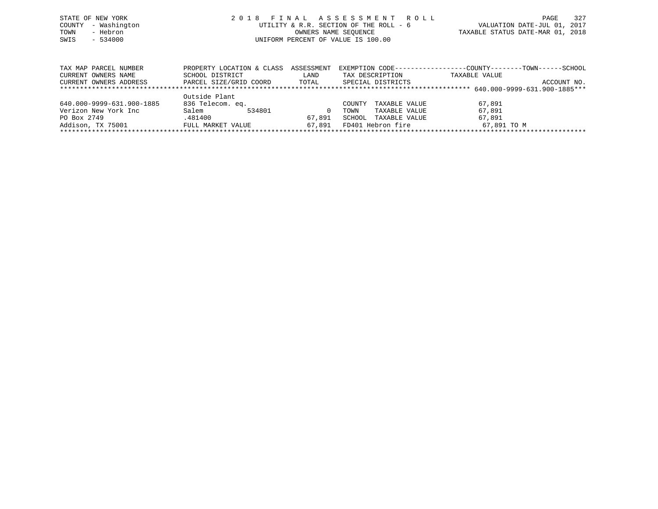|      | STATE OF NEW YORK   | 2018 FINAL ASSESSMENT ROLL             |                                  | PAGE | 327 |
|------|---------------------|----------------------------------------|----------------------------------|------|-----|
|      | COUNTY - Washington | UTILITY & R.R. SECTION OF THE ROLL - 6 | VALUATION DATE-JUL 01, 2017      |      |     |
| TOWN | - Hebron            | OWNERS NAME SEOUENCE                   | TAXABLE STATUS DATE-MAR 01, 2018 |      |     |
| SWIS | $-534000$           | UNIFORM PERCENT OF VALUE IS 100.00     |                                  |      |     |
|      |                     |                                        |                                  |      |     |
|      |                     |                                        |                                  |      |     |

| TAX MAP PARCEL NUMBER     | PROPERTY LOCATION & CLASS | ASSESSMENT | EXEMPTION CODE-----------------COUNTY-------TOWN------SCHOOL |               |             |  |  |  |  |
|---------------------------|---------------------------|------------|--------------------------------------------------------------|---------------|-------------|--|--|--|--|
| CURRENT OWNERS NAME       | SCHOOL DISTRICT           | LAND       | TAX DESCRIPTION                                              | TAXABLE VALUE |             |  |  |  |  |
| CURRENT OWNERS ADDRESS    | PARCEL SIZE/GRID COORD    | TOTAL      | SPECIAL DISTRICTS                                            |               | ACCOUNT NO. |  |  |  |  |
|                           |                           |            |                                                              |               |             |  |  |  |  |
|                           | Outside Plant             |            |                                                              |               |             |  |  |  |  |
| 640.000-9999-631.900-1885 | 836 Telecom. eq.          |            | TAXABLE VALUE<br>COUNTY                                      | 67,891        |             |  |  |  |  |
| Verizon New York Inc      | Salem<br>534801           |            | TAXABLE VALUE<br>TOWN                                        | 67,891        |             |  |  |  |  |
| PO Box 2749               | .481400                   | 67,891     | SCHOOL<br>TAXABLE VALUE                                      | 67,891        |             |  |  |  |  |
| Addison, TX 75001         | FULL MARKET VALUE         | 67.891     | FD401 Hebron fire                                            | 67,891 TO M   |             |  |  |  |  |
|                           |                           |            |                                                              |               |             |  |  |  |  |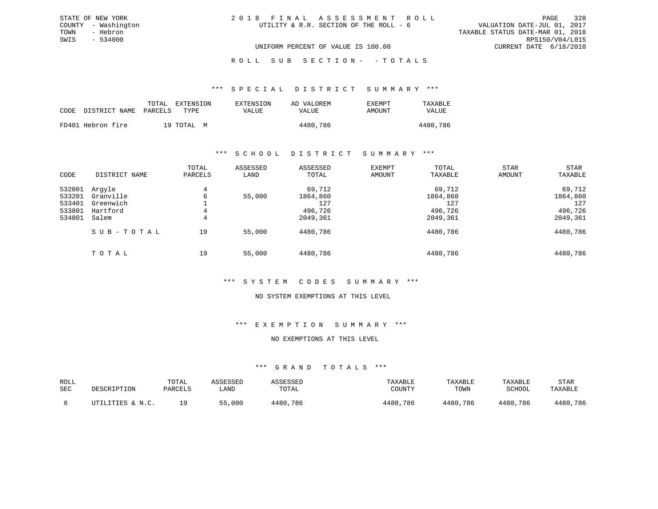# ROLL SUB SECTION - - TOTALS

## \*\*\* S P E C I A L D I S T R I C T S U M M A R Y \*\*\*

| CODE DISTRICT NAME PARCELS | EXTENSION<br>TOTAL<br>TYPE. | EXTENSION<br>VALUE | AD VALOREM<br>VALUE | <b>EXEMPT</b><br>AMOUNT | TAXABLE<br><b>VALUE</b> |
|----------------------------|-----------------------------|--------------------|---------------------|-------------------------|-------------------------|
| FD401 Hebron fire          | 19 TOTAL M                  |                    | 4480,786            |                         | 4480,786                |

# \*\*\* S C H O O L D I S T R I C T S U M M A R Y \*\*\*

| CODE                                           | DISTRICT NAME                                         | TOTAL<br>PARCELS | ASSESSED<br>LAND | ASSESSED<br>TOTAL                                | EXEMPT<br>AMOUNT | TOTAL<br>TAXABLE                                 | STAR<br>AMOUNT | STAR<br>TAXABLE                                  |
|------------------------------------------------|-------------------------------------------------------|------------------|------------------|--------------------------------------------------|------------------|--------------------------------------------------|----------------|--------------------------------------------------|
| 532001<br>533201<br>533401<br>533801<br>534801 | Arqyle<br>Granville<br>Greenwich<br>Hartford<br>Salem | 4<br>6<br>4<br>4 | 55,000           | 69,712<br>1864,860<br>127<br>496,726<br>2049,361 |                  | 69,712<br>1864,860<br>127<br>496,726<br>2049,361 |                | 69,712<br>1864,860<br>127<br>496,726<br>2049,361 |
|                                                | SUB-TOTAL                                             | 19               | 55,000           | 4480,786                                         |                  | 4480,786                                         |                | 4480,786                                         |
|                                                | TOTAL                                                 | 19               | 55,000           | 4480,786                                         |                  | 4480,786                                         |                | 4480,786                                         |

# \*\*\* S Y S T E M C O D E S S U M M A R Y \*\*\*

#### NO SYSTEM EXEMPTIONS AT THIS LEVEL

# \*\*\* E X E M P T I O N S U M M A R Y \*\*\*

# NO EXEMPTIONS AT THIS LEVEL

| ROLL<br>SEC | DESCRIPTION      | TOTAL<br>PARCELS | ASSESSED<br>LAND | ASSESSED<br>TOTAL | TAXABLE<br>COUNTY | TAXABLE<br>TOWN | TAXABLE<br>SCHOOL | STAR<br>TAXABLE |
|-------------|------------------|------------------|------------------|-------------------|-------------------|-----------------|-------------------|-----------------|
|             | UTILITIES & N.C. | 1 Q              | 55,000           | 4480,786          | 4480,786          | 4480,786        | 4480,786          | 4480,786        |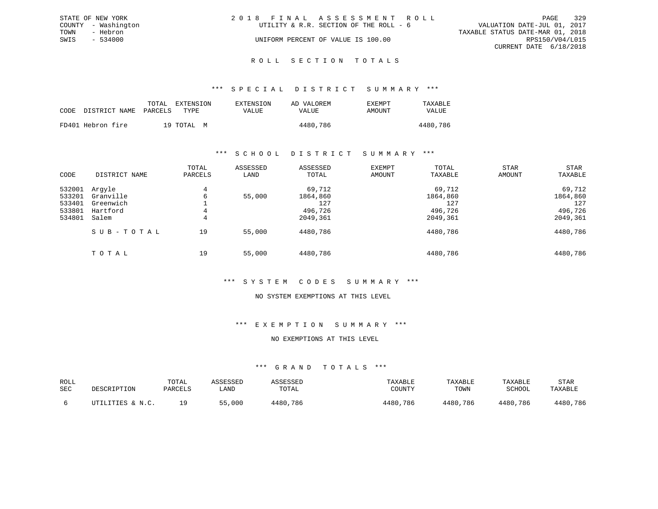|      | STATE OF NEW YORK   | 2018 FINAL ASSESSMENT ROLL             | 329<br>PAGE                      |
|------|---------------------|----------------------------------------|----------------------------------|
|      | COUNTY - Washington | UTILITY & R.R. SECTION OF THE ROLL - 6 | VALUATION DATE-JUL 01, 2017      |
| TOWN | - Hebron            |                                        | TAXABLE STATUS DATE-MAR 01, 2018 |
| SWIS | $-534000$           | UNIFORM PERCENT OF VALUE IS 100.00     | RPS150/V04/L015                  |
|      |                     |                                        | CURRENT DATE 6/18/2018           |
|      |                     |                                        |                                  |

#### R O L L S E C T I O N T O T A L S

## \*\*\* S P E C I A L D I S T R I C T S U M M A R Y \*\*\*

|      |                       | TOTAL | EXTENSION  | EXTENSION | AD VALOREM | EXEMPT | TAXABLE  |
|------|-----------------------|-------|------------|-----------|------------|--------|----------|
| CODE | DISTRICT NAME PARCELS |       | TYPE       | VALUE     | VALUE      | AMOUNT | VALUE    |
|      | FD401 Hebron fire     |       | 19 TOTAL M |           | 4480,786   |        | 4480,786 |

## \*\*\* S C H O O L D I S T R I C T S U M M A R Y \*\*\*

| CODE                                           | DISTRICT NAME                                         | TOTAL<br>PARCELS | ASSESSED<br>LAND | ASSESSED<br>TOTAL                                | <b>EXEMPT</b><br>AMOUNT | TOTAL<br>TAXABLE                                 | <b>STAR</b><br>AMOUNT | STAR<br>TAXABLE                                  |
|------------------------------------------------|-------------------------------------------------------|------------------|------------------|--------------------------------------------------|-------------------------|--------------------------------------------------|-----------------------|--------------------------------------------------|
| 532001<br>533201<br>533401<br>533801<br>534801 | Arqyle<br>Granville<br>Greenwich<br>Hartford<br>Salem | 4<br>6<br>4<br>4 | 55,000           | 69,712<br>1864,860<br>127<br>496,726<br>2049,361 |                         | 69,712<br>1864,860<br>127<br>496,726<br>2049,361 |                       | 69,712<br>1864,860<br>127<br>496,726<br>2049,361 |
|                                                | SUB-TOTAL                                             | 19               | 55,000           | 4480,786                                         |                         | 4480,786                                         |                       | 4480,786                                         |
|                                                | TOTAL                                                 | 19               | 55,000           | 4480,786                                         |                         | 4480,786                                         |                       | 4480,786                                         |

#### \*\*\* S Y S T E M C O D E S S U M M A R Y \*\*\*

#### NO SYSTEM EXEMPTIONS AT THIS LEVEL

# \*\*\* E X E M P T I O N S U M M A R Y \*\*\*

# NO EXEMPTIONS AT THIS LEVEL

| ROLL<br>SEC | DESCRIPTION      | TOTAL<br>PARCELS | ASSESSED<br>LAND | ASSESSED<br>TOTAL | TAXABLE<br>COUNTY | TAXABLE<br>TOWN | TAXABLE<br>SCHOOL | <b>STAR</b><br>TAXABLE |
|-------------|------------------|------------------|------------------|-------------------|-------------------|-----------------|-------------------|------------------------|
|             | UTILITIES & N.C. |                  | 55,000           | 4480,786          | 4480,786          | 4480,786        | 4480,786          | 4480,786               |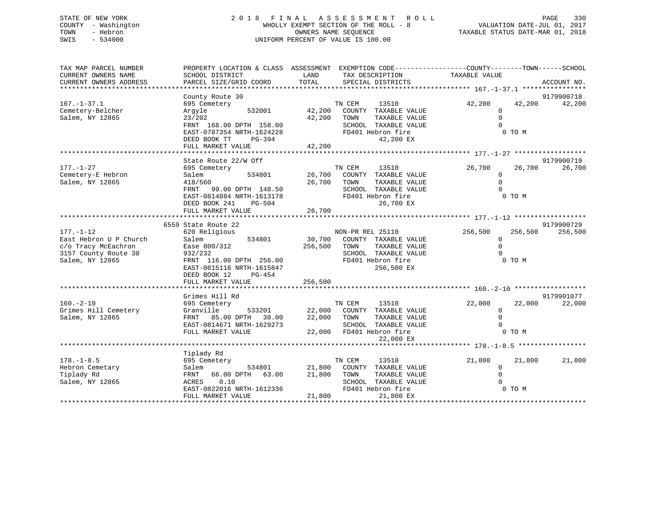# STATE OF NEW YORK 2 0 1 8 F I N A L A S S E S S M E N T R O L L PAGE 330 COUNTY - Washington WHOLLY EXEMPT SECTION OF THE ROLL - 8 VALUATION DATE-JUL 01, 2017 TOWN - Hebron OWNERS NAME SEQUENCE TAXABLE STATUS DATE-MAR 01, 2018 SWIS - 534000 UNIFORM PERCENT OF VALUE IS 100.00

| TAX MAP PARCEL NUMBER                         |                           |               | PROPERTY LOCATION & CLASS ASSESSMENT EXEMPTION CODE----------------COUNTY-------TOWN------SCHOOL |                |         |             |
|-----------------------------------------------|---------------------------|---------------|--------------------------------------------------------------------------------------------------|----------------|---------|-------------|
| CURRENT OWNERS NAME<br>CURRENT OWNERS ADDRESS | SCHOOL DISTRICT           | LAND<br>TOTAL | TAX DESCRIPTION<br>SPECIAL DISTRICTS                                                             | TAXABLE VALUE  |         | ACCOUNT NO. |
|                                               | PARCEL SIZE/GRID COORD    |               |                                                                                                  |                |         |             |
|                                               | County Route 30           |               |                                                                                                  |                |         | 9179900718  |
| $167. - 1 - 37.1$                             | 695 Cemetery              |               | TN CEM<br>13510                                                                                  | 42,200         | 42,200  | 42,200      |
| Cemetery-Belcher                              | 532001<br>Argyle          | 42,200        | COUNTY TAXABLE VALUE                                                                             | $\mathbf 0$    |         |             |
| Salem, NY 12865                               | 23/202                    | 42,200        | TOWN<br>TAXABLE VALUE                                                                            | $\Omega$       |         |             |
|                                               | FRNT 168.00 DPTH 158.00   |               | SCHOOL TAXABLE VALUE                                                                             |                |         |             |
|                                               | EAST-0787354 NRTH-1624228 |               | FD401 Hebron fire                                                                                |                | 0 TO M  |             |
|                                               | DEED BOOK TT<br>$PG-394$  |               | 42,200 EX                                                                                        |                |         |             |
|                                               | FULL MARKET VALUE         | 42,200        |                                                                                                  |                |         |             |
|                                               |                           |               |                                                                                                  |                |         |             |
|                                               | State Route 22/W Off      |               |                                                                                                  |                |         | 9179900719  |
| $177. - 1 - 27$                               | 695 Cemetery              |               | TN CEM<br>13510                                                                                  | 26,700         | 26,700  | 26,700      |
| Cemetery-E Hebron                             | 534801<br>Salem           | 26,700        | COUNTY TAXABLE VALUE                                                                             | $\Omega$       |         |             |
| Salem, NY 12865                               | 418/560                   | 26,700 TOWN   | TAXABLE VALUE                                                                                    | $\circ$        |         |             |
|                                               | 99.00 DPTH 148.50<br>FRNT |               | SCHOOL TAXABLE VALUE                                                                             | $\Omega$       |         |             |
|                                               | EAST-0814884 NRTH-1613178 |               | FD401 Hebron fire                                                                                |                | 0 TO M  |             |
|                                               | DEED BOOK 241<br>PG-504   |               | 26,700 EX                                                                                        |                |         |             |
|                                               | FULL MARKET VALUE         | 26,700        |                                                                                                  |                |         |             |
|                                               | 6559 State Route 22       |               |                                                                                                  |                |         | 9179900729  |
| $177. - 1 - 12$                               | 620 Religious             |               | NON-PR REL 25110                                                                                 | 256,500        | 256,500 | 256,500     |
| East Hebron U P Church                        | 534801<br>Salem           |               | 30,700 COUNTY TAXABLE VALUE                                                                      | $\circ$        |         |             |
| c/o Tracy McEachron                           | Ease 800/312              | 256,500       | TAXABLE VALUE<br>TOWN                                                                            | $\Omega$       |         |             |
| 3157 County Route 30                          | 932/232                   |               | SCHOOL TAXABLE VALUE                                                                             | $\Omega$       |         |             |
| Salem, NY 12865                               | FRNT 116.00 DPTH 256.00   |               | FD401 Hebron fire                                                                                |                | 0 TO M  |             |
|                                               | EAST-0815116 NRTH-1615847 |               | 256,500 EX                                                                                       |                |         |             |
|                                               | DEED BOOK 12<br>$PG-454$  |               |                                                                                                  |                |         |             |
|                                               | FULL MARKET VALUE         | 256,500       |                                                                                                  |                |         |             |
|                                               |                           |               |                                                                                                  |                |         |             |
|                                               | Grimes Hill Rd            |               |                                                                                                  |                |         | 9179901077  |
| $160. -2 - 10$                                | 695 Cemetery              |               | TN CEM<br>13510                                                                                  | 22,000         | 22,000  | 22,000      |
| Grimes Hill Cemetery                          | Granville<br>533201       |               | 22,000 COUNTY TAXABLE VALUE                                                                      | $\overline{0}$ |         |             |
| Salem, NY 12865                               | FRNT 85.00 DPTH 30.00     | 22,000 TOWN   | TAXABLE VALUE                                                                                    | $\Omega$       |         |             |
|                                               | EAST-0814671 NRTH-1629273 |               | SCHOOL TAXABLE VALUE                                                                             | $\Omega$       |         |             |
|                                               | FULL MARKET VALUE         |               | 22,000 FD401 Hebron fire                                                                         |                | 0 TO M  |             |
|                                               |                           |               | 22,000 EX                                                                                        |                |         |             |
|                                               | Tiplady Rd                |               |                                                                                                  |                |         |             |
| $178. - 1 - 8.5$                              | 695 Cemetery              |               | 13510<br>TN CEM                                                                                  | 21,800         | 21,800  | 21,800      |
| Hebron Cemetary                               | 534801<br>Salem           | 21,800        | COUNTY TAXABLE VALUE                                                                             | $\mathbf 0$    |         |             |
| Tiplady Rd                                    | FRNT 66.00 DPTH 63.00     | 21,800        | TAXABLE VALUE<br>TOWN                                                                            | $\Omega$       |         |             |
| Salem, NY 12865                               | ACRES 0.10                |               | SCHOOL TAXABLE VALUE                                                                             |                |         |             |
|                                               | EAST-0822016 NRTH-1612336 |               | FD401 Hebron fire                                                                                |                | 0 TO M  |             |
|                                               | FULL MARKET VALUE         | 21,800        | 21,800 EX                                                                                        |                |         |             |
|                                               |                           |               |                                                                                                  |                |         |             |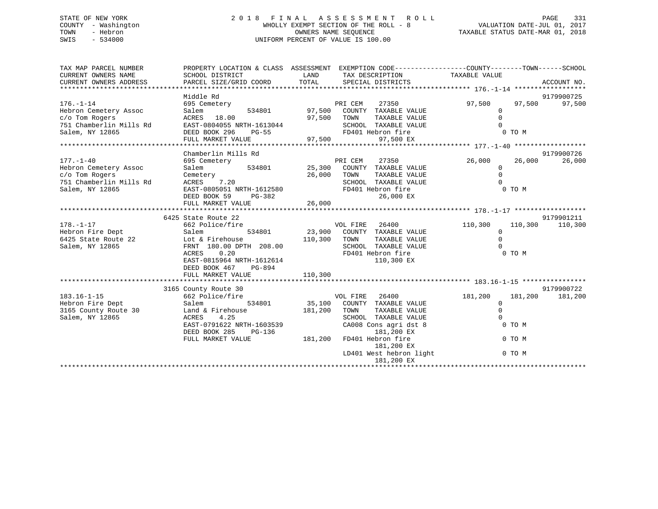# STATE OF NEW YORK 2 0 1 8 F I N A L A S S E S S M E N T R O L L PAGE 331 COUNTY - Washington WHOLLY EXEMPT SECTION OF THE ROLL - 8 VALUATION DATE-JUL 01, 2017 TOWN - Hebron OWNERS NAME SEQUENCE TAXABLE STATUS DATE-MAR 01, 2018 SWIS - 534000 UNIFORM PERCENT OF VALUE IS 100.00

| TAX MAP PARCEL NUMBER                         | PROPERTY LOCATION & CLASS ASSESSMENT EXEMPTION CODE---------------COUNTY-------TOWN------SCHOOL |                                                         |                         |                         |         |            |
|-----------------------------------------------|-------------------------------------------------------------------------------------------------|---------------------------------------------------------|-------------------------|-------------------------|---------|------------|
| CURRENT OWNERS NAME<br>CURRENT OWNERS ADDRESS | SCHOOL DISTRICT                                                                                 | LAND                                                    | TAX DESCRIPTION         | TAXABLE VALUE           |         |            |
|                                               |                                                                                                 |                                                         |                         |                         |         |            |
|                                               | Middle Rd                                                                                       |                                                         |                         |                         |         | 9179900725 |
| $176. - 1 - 14$                               | 695 Cemetery                                                                                    | PRI CEM                                                 | 27350                   | 97,500                  | 97,500  | 97,500     |
| Hebron Cemetery Assoc                         | Salem                                                                                           | 534801 97,500 COUNTY TAXABLE VALUE                      |                         | $\mathbf{0}$            |         |            |
| c/o Tom Rogers                                | ACRES 18.00                                                                                     | 97,500 TOWN                                             | TAXABLE VALUE           | $\mathbf 0$             |         |            |
| 751 Chamberlin Mills Rd                       | EAST-0804055 NRTH-1613044                                                                       |                                                         | SCHOOL TAXABLE VALUE    | $\Omega$                |         |            |
| Salem, NY 12865                               | DEED BOOK 296<br>PG-55                                                                          |                                                         | FD401 Hebron fire       |                         | 0 TO M  |            |
|                                               | FULL MARKET VALUE                                                                               | 97,500                                                  | 97,500 EX               |                         |         |            |
|                                               |                                                                                                 |                                                         |                         |                         |         |            |
|                                               | Chamberlin Mills Rd                                                                             |                                                         |                         |                         |         | 9179900726 |
| $177. - 1 - 40$                               | 695 Cemetery                                                                                    | PRI CEM                                                 | 27350                   | 26,000                  | 26,000  | 26,000     |
| Hebron Cemetery Assoc                         | 534801 25,300<br>Salem                                                                          |                                                         | COUNTY TAXABLE VALUE    | $\Omega$                |         |            |
| c/o Tom Rogers                                | Cemetery<br>ACRES 7.20                                                                          | 26,000<br>TOWN                                          | TAXABLE VALUE           | $\mathbf 0$<br>$\Omega$ |         |            |
| 751 Chamberlin Mills Rd                       |                                                                                                 |                                                         | SCHOOL TAXABLE VALUE    |                         |         |            |
| Salem, NY 12865                               | EAST-0805051 NRTH-1612580<br>PG-382                                                             |                                                         | FD401 Hebron fire       |                         | 0 TO M  |            |
|                                               | DEED BOOK 59<br>FULL MARKET VALUE                                                               | 26,000                                                  | 26,000 EX               |                         |         |            |
|                                               |                                                                                                 |                                                         |                         |                         |         |            |
|                                               | 6425 State Route 22                                                                             |                                                         |                         |                         |         | 9179901211 |
| $178. - 1 - 17$                               | 662 Police/fire                                                                                 | VOL FIRE                                                | 26400                   | 110,300                 | 110,300 | 110,300    |
| Hebron Fire Dept                              | Salem<br>534801                                                                                 | 23,900 COUNTY TAXABLE VALUE                             |                         | $\overline{0}$          |         |            |
|                                               | Hebron Fire Dept Salem 534801<br>6425 State Route 22 Lot & Firehouse                            | 110,300 TOWN                                            | TAXABLE VALUE           | $\mathbf 0$             |         |            |
| Salem, NY 12865                               | FRNT 180.00 DPTH 208.00                                                                         |                                                         | SCHOOL TAXABLE VALUE    | $\Omega$                |         |            |
|                                               | ACRES 0.20                                                                                      |                                                         | FD401 Hebron fire       |                         | 0 TO M  |            |
|                                               | EAST-0815964 NRTH-1612614                                                                       |                                                         | 110,300 EX              |                         |         |            |
|                                               | DEED BOOK 467 PG-894                                                                            |                                                         |                         |                         |         |            |
|                                               | FULL MARKET VALUE                                                                               | 110,300                                                 |                         |                         |         |            |
|                                               |                                                                                                 |                                                         |                         |                         |         |            |
|                                               | 3165 County Route 30                                                                            |                                                         |                         |                         |         | 9179900722 |
| $183.16 - 1 - 15$                             | 662 Police/fire                                                                                 | VOL FIRE                                                | 26400                   | 181,200                 | 181,200 | 181,200    |
| Hebron Fire Dept                              | 534801<br>Salem                                                                                 | 35,100 COUNTY TAXABLE VALUE                             |                         | $\overline{0}$          |         |            |
| 3165 County Route 30                          | Land & Firehouse                                                                                | 181,200 TOWN                                            | TAXABLE VALUE           | $\mathbf 0$             |         |            |
| Salem, NY 12865                               | ACRES 4.25                                                                                      |                                                         | SCHOOL TAXABLE VALUE    | $\Omega$                |         |            |
|                                               | EAST-0791622 NRTH-1603539                                                                       |                                                         | CA008 Cons agri dst 8   | 0 TO M                  |         |            |
|                                               | DEED BOOK 285                                                                                   |                                                         | 181,200 EX              |                         |         |            |
|                                               | FULL MARKET VALUE                                                                               | $PG-136$<br>LUE 181,200 FD401 Hebron fire<br>181.200 EX | 181,200 EX              |                         | 0 TO M  |            |
|                                               |                                                                                                 |                                                         | LD401 West hebron light |                         | 0 TO M  |            |
|                                               |                                                                                                 |                                                         | 181,200 EX              |                         |         |            |
|                                               |                                                                                                 |                                                         |                         |                         |         |            |
|                                               |                                                                                                 |                                                         |                         |                         |         |            |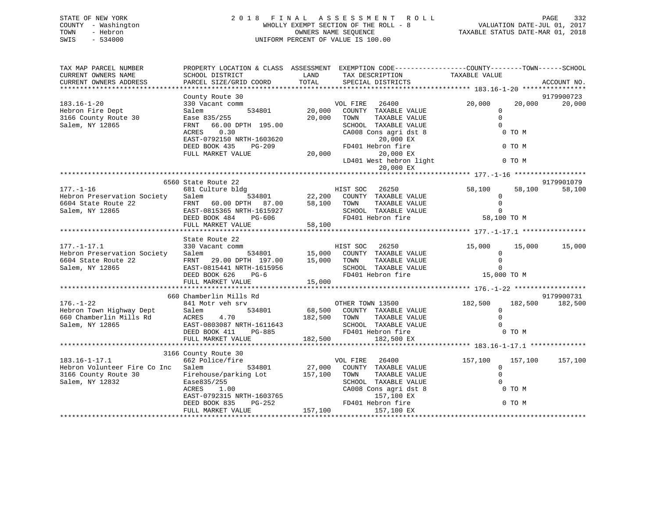| STATE OF NEW YORK   | 2018 FINAL ASSESSMENT ROLL            | 332<br>PAGE                      |
|---------------------|---------------------------------------|----------------------------------|
| COUNTY - Washington | WHOLLY EXEMPT SECTION OF THE ROLL - 8 | VALUATION DATE-JUL 01, 2017      |
| TOWN<br>- Hebron    | OWNERS NAME SEOUENCE                  | TAXABLE STATUS DATE-MAR 01, 2018 |
| SWIS<br>$-534000$   | UNIFORM PERCENT OF VALUE IS 100.00    |                                  |
|                     |                                       |                                  |

| TAX MAP PARCEL NUMBER                               | PROPERTY LOCATION & CLASS ASSESSMENT EXEMPTION CODE---------------COUNTY-------TOWN-----SCHOOL                               |                     |                                               |                |                    |
|-----------------------------------------------------|------------------------------------------------------------------------------------------------------------------------------|---------------------|-----------------------------------------------|----------------|--------------------|
| CURRENT OWNERS NAME                                 | SCHOOL DISTRICT                                                                                                              | LAND                | TAX DESCRIPTION                               | TAXABLE VALUE  |                    |
| CURRENT OWNERS ADDRESS                              | PARCEL SIZE/GRID COORD                                                                                                       | TOTAL               | SPECIAL DISTRICTS                             |                | ACCOUNT NO.        |
|                                                     |                                                                                                                              |                     |                                               |                |                    |
|                                                     | County Route 30                                                                                                              |                     |                                               |                | 9179900723         |
| $183.16 - 1 - 20$                                   | t comm<br>$534801$<br>330 Vacant comm                                                                                        |                     | VOL FIRE 26400<br>20,000 COUNTY TAXABLE VALUE | 20,000         | 20,000<br>20,000   |
| Hebron Fire Dept                                    | Salem                                                                                                                        |                     |                                               | $\Omega$       |                    |
| 3166 County Route 30                                | Ease 835/255                                                                                                                 | 20,000              | TOWN<br>TAXABLE VALUE                         | $\overline{0}$ |                    |
| Salem, NY 12865                                     | FRNT 66.00 DPTH 195.00                                                                                                       |                     | SCHOOL TAXABLE VALUE                          | $\Omega$       |                    |
|                                                     |                                                                                                                              |                     | CA008 Cons agri dst 8                         | 0 TO M         |                    |
|                                                     |                                                                                                                              |                     | 20,000 EX                                     |                |                    |
|                                                     |                                                                                                                              |                     | FD401 Hebron fire                             | 0 TO M         |                    |
|                                                     |                                                                                                                              |                     | 20,000<br>20,000 EX                           |                |                    |
|                                                     |                                                                                                                              |                     | LD401 West hebron light 0 TO M                |                |                    |
|                                                     |                                                                                                                              |                     | 20,000 EX                                     |                |                    |
|                                                     |                                                                                                                              |                     |                                               |                |                    |
|                                                     | 6560 State Route 22                                                                                                          |                     |                                               |                | 9179901079         |
| $177. - 1 - 16$                                     | 681 Culture bldg                                                                                                             |                     |                                               | 58,100         | 58,100<br>58,100   |
| Hebron Preservation Society                         | Salem                                                                                                                        |                     |                                               | $\circ$        |                    |
| 6604 State Route 22                                 | FRNT 60.00 DPTH 87.00                                                                                                        | 58,100 TOWN         | TAXABLE VALUE                                 | $\Omega$       |                    |
| Salem, NY 12865                                     | EAST-0815365 NRTH-1615927                                                                                                    | H-1615927<br>PG-606 | SCHOOL TAXABLE VALUE                          | $\Omega$       |                    |
|                                                     | DEED BOOK 484                                                                                                                |                     | FD401 Hebron fire                             | 58,100 TO M    |                    |
|                                                     | FULL MARKET VALUE                                                                                                            | 58,100              |                                               |                |                    |
|                                                     |                                                                                                                              |                     |                                               |                |                    |
| $177. - 1 - 17.1$                                   | State Route 22<br>330 Vacant comm<br>Salem 534801 15,000 COUNTY TAXABLE VALUE<br>20 20 20 20 20 31 15,000 TOWN TAXABLE VALUE |                     |                                               | 15,000         | 15,000<br>15,000   |
| Hebron Preservation Society                         |                                                                                                                              |                     |                                               | $\overline{0}$ |                    |
| 6604 State Route 22                                 |                                                                                                                              |                     |                                               | $\Omega$       |                    |
| Salem, NY 12865                                     | EAST-0815441 NRTH-1615956                                                                                                    |                     | SCHOOL TAXABLE VALUE                          | $\Omega$       |                    |
|                                                     | DEED BOOK 626<br>PG-6                                                                                                        |                     | FD401 Hebron fire 15,000 TO M                 |                |                    |
|                                                     | FULL MARKET VALUE                                                                                                            | 15,000              |                                               |                |                    |
|                                                     |                                                                                                                              |                     |                                               |                |                    |
|                                                     | 660 Chamberlin Mills Rd                                                                                                      |                     |                                               |                | 9179900731         |
| $176. - 1 - 22$                                     |                                                                                                                              |                     |                                               |                | 182,500<br>182,500 |
|                                                     | 534801<br>Salem                                                                                                              |                     | 68,500 COUNTY TAXABLE VALUE                   | $\Omega$       |                    |
| Hebron Town Highway Dept<br>660 Chamberlin Mills Rd |                                                                                                                              |                     | TAXABLE VALUE                                 | $\Omega$       |                    |
| Salem, NY 12865                                     |                                                                                                                              |                     | SCHOOL TAXABLE VALUE                          | $\Omega$       |                    |
|                                                     | ACRES 4.70 182,500 TOWN<br>EAST-0803087 NRTH-1611643 SCHOOL<br>DEED BOOK 411 PG-885 FD401 H                                  |                     | FD401 Hebron fire                             | 0 TO M         |                    |
|                                                     | FULL MARKET VALUE                                                                                                            | 182,500             | 182,500 EX                                    |                |                    |
|                                                     |                                                                                                                              |                     |                                               |                |                    |
|                                                     | 3166 County Route 30                                                                                                         |                     |                                               |                |                    |
| $183.16 - 1 - 17.1$                                 | 662 Police/fire                                                                                                              |                     | VOL FIRE 26400                                | 157,100        | 157,100<br>157,100 |
| Hebron Volunteer Fire Co Inc Salem 534801           |                                                                                                                              |                     | 27,000 COUNTY TAXABLE VALUE                   | $\Omega$       |                    |
| 3166 County Route 30                                | Firehouse/parking Lot 157,100 TOWN                                                                                           |                     | TAXABLE VALUE                                 | $\Omega$       |                    |
| Salem, NY 12832                                     |                                                                                                                              |                     | SCHOOL TAXABLE VALUE                          | $\mathbf{0}$   |                    |
|                                                     | Ease835/255<br>ACRES 1.00 CA008<br>EAST-0792315 NRTH-1603765<br>DEED BOOK 835 PG-252 FD401                                   |                     | CA008 Cons agri dst 8                         | 0 TO M         |                    |
|                                                     |                                                                                                                              |                     | 157,100 EX                                    |                |                    |
|                                                     |                                                                                                                              |                     | FD401 Hebron fire                             | 0 TO M         |                    |
|                                                     | FULL MARKET VALUE                                                                                                            | 157,100             | 157,100 EX                                    |                |                    |
|                                                     |                                                                                                                              |                     |                                               |                |                    |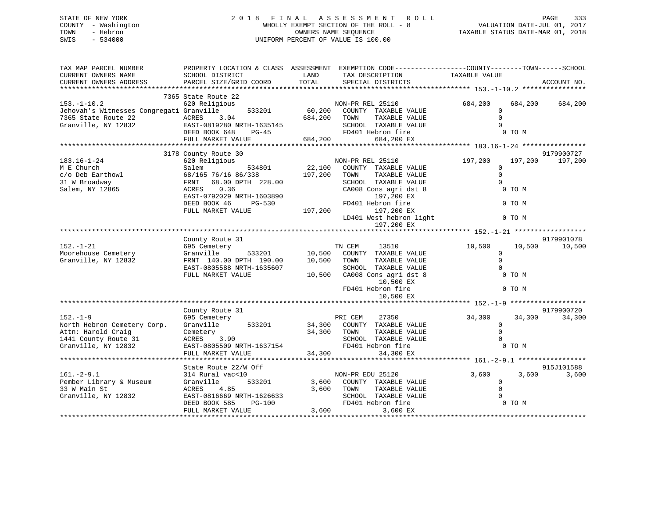# STATE OF NEW YORK 2 0 1 8 F I N A L A S S E S S M E N T R O L L PAGE 333 COUNTY - Washington WHOLLY EXEMPT SECTION OF THE ROLL - 8 VALUATION DATE-JUL 01, 2017 TOWN - Hebron OWNERS NAME SEQUENCE TAXABLE STATUS DATE-MAR 01, 2018 SWIS - 534000 UNIFORM PERCENT OF VALUE IS 100.00

| TAX MAP PARCEL NUMBER<br>CURRENT OWNERS NAME<br>CURRENT OWNERS ADDRESS                                                         | PROPERTY LOCATION & CLASS ASSESSMENT EXEMPTION CODE----------------COUNTY-------TOWN------SCHOOL<br>SCHOOL DISTRICT<br>PARCEL SIZE/GRID COORD                                     | LAND<br>TOTAL                | TAX DESCRIPTION<br>SPECIAL DISTRICTS                                                                                                                                                                         | TAXABLE VALUE                                                      | ACCOUNT NO.                    |
|--------------------------------------------------------------------------------------------------------------------------------|-----------------------------------------------------------------------------------------------------------------------------------------------------------------------------------|------------------------------|--------------------------------------------------------------------------------------------------------------------------------------------------------------------------------------------------------------|--------------------------------------------------------------------|--------------------------------|
|                                                                                                                                |                                                                                                                                                                                   |                              |                                                                                                                                                                                                              |                                                                    |                                |
| $153. - 1 - 10.2$<br>Jehovah's Witnesses Congregati Granville<br>7365 State Route 22<br>ACRES<br>EAST-0<br>Granville, NY 12832 | 7365 State Route 22<br>620 Religious<br>533201<br>3.04<br>EAST-0819280 NRTH-1635145<br>DEED BOOK 648<br>$PG-45$                                                                   | 684,200                      | NON-PR REL 25110<br>60,200 COUNTY TAXABLE VALUE<br>TOWN<br>TAXABLE VALUE<br>SCHOOL TAXABLE VALUE<br>FD401 Hebron fire                                                                                        | 684,200<br>$\mathbf{0}$<br>$\Omega$<br>$\Omega$<br>0 TO M          | 684,200<br>684,200             |
|                                                                                                                                | FULL MARKET VALUE                                                                                                                                                                 | 684,200                      | 684,200 EX                                                                                                                                                                                                   |                                                                    |                                |
|                                                                                                                                |                                                                                                                                                                                   |                              |                                                                                                                                                                                                              |                                                                    |                                |
|                                                                                                                                | 3178 County Route 30                                                                                                                                                              |                              |                                                                                                                                                                                                              |                                                                    | 9179900727                     |
| $183.16 - 1 - 24$<br>M E Church<br>c/o Deb Earthowl<br>31 W Broadway<br>Salem, NY 12865                                        | 620 Religious<br>534801<br>Salem<br>68/165 76/16 86/338<br>68.00 DPTH 228.00<br>FRNT<br>0.36<br>ACRES<br>EAST-0792029 NRTH-1603890<br>DEED BOOK 46<br>PG-530<br>FULL MARKET VALUE | 22,100<br>197,200<br>197,200 | NON-PR REL 25110<br>COUNTY TAXABLE VALUE<br>TAXABLE VALUE<br>TOWN<br>SCHOOL TAXABLE VALUE<br>CA008 Cons agri dst 8<br>197,200 EX<br>FD401 Hebron fire<br>197,200 EX<br>LD401 West hebron light<br>197,200 EX | 197,200<br>0<br>$\Omega$<br>$\Omega$<br>0 TO M<br>0 TO M<br>0 TO M | 197,200<br>197,200             |
|                                                                                                                                |                                                                                                                                                                                   |                              |                                                                                                                                                                                                              |                                                                    |                                |
| $152. - 1 - 21$<br>Moorehouse Cemetery<br>Granville, NY 12832                                                                  | County Route 31<br>695 Cemetery<br>Granville<br>533201<br>FRNT 140.00 DPTH 190.00<br>EAST-0805588 NRTH-1635607<br>FULL MARKET VALUE                                               | 10,500<br>10,500<br>10,500   | TN CEM<br>13510<br>COUNTY TAXABLE VALUE<br>TAXABLE VALUE<br>TOWN<br>SCHOOL TAXABLE VALUE<br>CA008 Cons agri dst 8<br>10,500 EX<br>FD401 Hebron fire<br>10,500 EX                                             | 10,500<br>$\mathbf{0}$<br>$\Omega$<br>$\Omega$<br>0 TO M<br>0 TO M | 9179901078<br>10,500<br>10,500 |
|                                                                                                                                |                                                                                                                                                                                   |                              |                                                                                                                                                                                                              |                                                                    |                                |
| $152. - 1 - 9$<br>North Hebron Cemetery Corp.<br>Attn: Harold Craig<br>1441 County Route 31<br>Granville, NY 12832             | County Route 31<br>695 Cemetery<br>Granville<br>533201<br>Cemetery<br>ACRES<br>3.90<br>EAST-0805509 NRTH-1637154                                                                  | 34,300<br>34,300             | PRI CEM<br>27350<br>COUNTY TAXABLE VALUE<br>TOWN<br>TAXABLE VALUE<br>SCHOOL TAXABLE VALUE<br>FD401 Hebron fire                                                                                               | 34,300<br>$\mathbf 0$<br>$\Omega$<br>$\cap$<br>0 TO M              | 9179900720<br>34,300<br>34,300 |
|                                                                                                                                | FULL MARKET VALUE                                                                                                                                                                 | 34,300                       | 34,300 EX                                                                                                                                                                                                    |                                                                    |                                |
|                                                                                                                                | State Route 22/W Off                                                                                                                                                              |                              |                                                                                                                                                                                                              |                                                                    | 915J101588                     |
| $161. - 2 - 9.1$<br>Pember Library & Museum<br>33 W Main St<br>Granville, NY 12832                                             | 314 Rural vac<10<br>Granville<br>533201<br>4.85<br>ACRES<br>EAST-0816669 NRTH-1626633<br>DEED BOOK 585<br>PG-100<br>FULL MARKET VALUE                                             | 3,600<br>3,600<br>3,600      | NON-PR EDU 25120<br>COUNTY TAXABLE VALUE<br>TAXABLE VALUE<br>TOWN<br>SCHOOL TAXABLE VALUE<br>FD401 Hebron fire<br>3,600 EX                                                                                   | 3,600<br>$\mathbf 0$<br>$\Omega$<br>0 TO M                         | 3,600<br>3,600                 |
|                                                                                                                                |                                                                                                                                                                                   |                              |                                                                                                                                                                                                              |                                                                    |                                |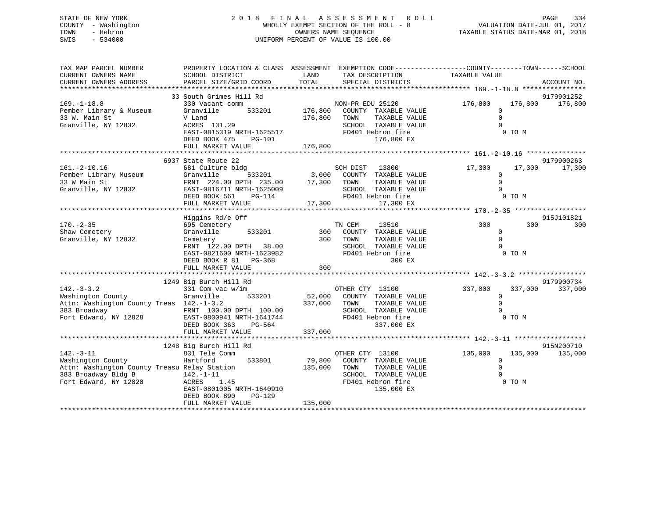# STATE OF NEW YORK 2 0 1 8 F I N A L A S S E S S M E N T R O L L PAGE 334 COUNTY - Washington WHOLLY EXEMPT SECTION OF THE ROLL - 8 VALUATION DATE-JUL 01, 2017 TOWN - Hebron OWNERS NAME SEQUENCE TAXABLE STATUS DATE-MAR 01, 2018 SWIS - 534000 UNIFORM PERCENT OF VALUE IS 100.00

| TOTAL<br>CURRENT OWNERS ADDRESS<br>PARCEL SIZE/GRID COORD<br>SPECIAL DISTRICTS<br>ACCOUNT NO.<br>33 South Grimes Hill Rd<br>9179901252<br>$169. - 1 - 18.8$<br>176,800 176,800<br>330 Vacant comm<br>NON-PR EDU 25120<br>176,800<br>176,800<br>Pember Library & Museum<br>533201<br>Granville<br>COUNTY TAXABLE VALUE<br>$\mathbf 0$<br>33 W. Main St<br>176,800<br>TAXABLE VALUE<br>$\Omega$<br>V Land<br>TOWN<br>ACRES 131.29<br>SCHOOL TAXABLE VALUE<br>$\Omega$<br>EAST-0815319 NRTH-1625517<br>FD401 Hebron fire<br>0 TO M<br>176,800 EX<br>DEED BOOK 475<br>PG-101<br>176,800<br>FULL MARKET VALUE<br>9179900263<br>6937 State Route 22<br>$161.-2-10.16$<br>SCH DIST 13800<br>3,000 COUNTY TAXABLE VALUE<br>17,300<br>681 Culture bldg<br>17,300<br>17,300<br>101.-2-10.16<br>Pember Library Museum<br>33 W Main St<br>533201<br>Granville<br>$\Omega$<br>17,300 TOWN<br>$\Omega$<br>33 W Main St<br>FRNT 224.00 DPTH 235.00<br>TAXABLE VALUE<br>SCHOOL TAXABLE VALUE<br>$\Omega$<br>EAST-0816711 NRTH-1625009<br>0 TO M<br>FD401 Hebron fire<br>DEED BOOK 561<br>PG-114<br>FULL MARKET VALUE<br>17,300<br>17,300 EX<br>Higgins Rd/e Off<br>915J101821<br>300<br>$170. - 2 - 35$<br>TN CEM<br>13510<br>300<br>300<br>695 Cemetery<br>Shaw Cemetery<br>533201<br>300<br>Granville<br>COUNTY TAXABLE VALUE<br>$\overline{0}$<br>$\Omega$<br>Granville, NY 12832<br>300<br>TOWN<br>TAXABLE VALUE<br>Cemetery<br>$\Omega$<br>FRNT 122.00 DPTH 38.00<br>SCHOOL TAXABLE VALUE<br>EAST-0821600 NRTH-1623982<br>FD401 Hebron fire<br>0 TO M<br>DEED BOOK R 81 PG-368<br>300 EX<br>300<br>FULL MARKET VALUE<br>9179900734<br>1249 Big Burch Hill Rd<br>$142. - 3 - 3.2$<br>331 Com vac w/im<br>OTHER CTY 13100<br>337,000<br>337,000<br>337,000<br>52,000 COUNTY TAXABLE VALUE<br>Washington County<br>533201<br>Granville<br>$\Omega$<br>Attn: Washington County Treas 142.-1-3.2<br>$\Omega$<br>337,000 TOWN<br>TAXABLE VALUE<br>383 Broadway<br>SCHOOL TAXABLE VALUE<br>FRNT 100.00 DPTH 100.00<br>$\mathbf 0$<br>Fort Edward, NY 12828 EAST-0800941 NRTH-1641744<br>FD401 Hebron fire<br>0 TO M<br>DEED BOOK 363<br>PG-564<br>337,000 EX<br>337,000<br>FULL MARKET VALUE<br>915N200710<br>1248 Big Burch Hill Rd<br>831 Tele Comm<br>OTHER CTY 13100<br>135,000<br>135,000<br>135,000<br>79,800<br>Hartford 533801<br>COUNTY TAXABLE VALUE<br>$\Omega$<br>Attn: Washington County Treasu Relay Station<br>$\Omega$<br>135,000<br>TOWN<br>TAXABLE VALUE<br>383 Broadway Bldg B<br>SCHOOL TAXABLE VALUE<br>$\Omega$<br>$142. -1 - 11$<br>0 TO M<br>Fort Edward, NY 12828<br>ACRES<br>FD401 Hebron fire<br>1.45<br>EAST-0801005 NRTH-1640910<br>135,000 EX<br>DEED BOOK 890<br>PG-129<br>135,000<br>FULL MARKET VALUE | TAX MAP PARCEL NUMBER<br>CURRENT OWNERS NAME | PROPERTY LOCATION & CLASS ASSESSMENT EXEMPTION CODE----------------COUNTY-------TOWN------SCHOOL<br>SCHOOL DISTRICT | LAND | TAX DESCRIPTION | TAXABLE VALUE |  |
|----------------------------------------------------------------------------------------------------------------------------------------------------------------------------------------------------------------------------------------------------------------------------------------------------------------------------------------------------------------------------------------------------------------------------------------------------------------------------------------------------------------------------------------------------------------------------------------------------------------------------------------------------------------------------------------------------------------------------------------------------------------------------------------------------------------------------------------------------------------------------------------------------------------------------------------------------------------------------------------------------------------------------------------------------------------------------------------------------------------------------------------------------------------------------------------------------------------------------------------------------------------------------------------------------------------------------------------------------------------------------------------------------------------------------------------------------------------------------------------------------------------------------------------------------------------------------------------------------------------------------------------------------------------------------------------------------------------------------------------------------------------------------------------------------------------------------------------------------------------------------------------------------------------------------------------------------------------------------------------------------------------------------------------------------------------------------------------------------------------------------------------------------------------------------------------------------------------------------------------------------------------------------------------------------------------------------------------------------------------------------------------------------------------------------------------------------------------------------------------------------------------------------------------------------------------------------------------------------------------------------------------------------------------------------------------------------------------------|----------------------------------------------|---------------------------------------------------------------------------------------------------------------------|------|-----------------|---------------|--|
|                                                                                                                                                                                                                                                                                                                                                                                                                                                                                                                                                                                                                                                                                                                                                                                                                                                                                                                                                                                                                                                                                                                                                                                                                                                                                                                                                                                                                                                                                                                                                                                                                                                                                                                                                                                                                                                                                                                                                                                                                                                                                                                                                                                                                                                                                                                                                                                                                                                                                                                                                                                                                                                                                                                      |                                              |                                                                                                                     |      |                 |               |  |
|                                                                                                                                                                                                                                                                                                                                                                                                                                                                                                                                                                                                                                                                                                                                                                                                                                                                                                                                                                                                                                                                                                                                                                                                                                                                                                                                                                                                                                                                                                                                                                                                                                                                                                                                                                                                                                                                                                                                                                                                                                                                                                                                                                                                                                                                                                                                                                                                                                                                                                                                                                                                                                                                                                                      |                                              |                                                                                                                     |      |                 |               |  |
|                                                                                                                                                                                                                                                                                                                                                                                                                                                                                                                                                                                                                                                                                                                                                                                                                                                                                                                                                                                                                                                                                                                                                                                                                                                                                                                                                                                                                                                                                                                                                                                                                                                                                                                                                                                                                                                                                                                                                                                                                                                                                                                                                                                                                                                                                                                                                                                                                                                                                                                                                                                                                                                                                                                      |                                              |                                                                                                                     |      |                 |               |  |
|                                                                                                                                                                                                                                                                                                                                                                                                                                                                                                                                                                                                                                                                                                                                                                                                                                                                                                                                                                                                                                                                                                                                                                                                                                                                                                                                                                                                                                                                                                                                                                                                                                                                                                                                                                                                                                                                                                                                                                                                                                                                                                                                                                                                                                                                                                                                                                                                                                                                                                                                                                                                                                                                                                                      |                                              |                                                                                                                     |      |                 |               |  |
|                                                                                                                                                                                                                                                                                                                                                                                                                                                                                                                                                                                                                                                                                                                                                                                                                                                                                                                                                                                                                                                                                                                                                                                                                                                                                                                                                                                                                                                                                                                                                                                                                                                                                                                                                                                                                                                                                                                                                                                                                                                                                                                                                                                                                                                                                                                                                                                                                                                                                                                                                                                                                                                                                                                      | Granville, NY 12832                          |                                                                                                                     |      |                 |               |  |
|                                                                                                                                                                                                                                                                                                                                                                                                                                                                                                                                                                                                                                                                                                                                                                                                                                                                                                                                                                                                                                                                                                                                                                                                                                                                                                                                                                                                                                                                                                                                                                                                                                                                                                                                                                                                                                                                                                                                                                                                                                                                                                                                                                                                                                                                                                                                                                                                                                                                                                                                                                                                                                                                                                                      |                                              |                                                                                                                     |      |                 |               |  |
|                                                                                                                                                                                                                                                                                                                                                                                                                                                                                                                                                                                                                                                                                                                                                                                                                                                                                                                                                                                                                                                                                                                                                                                                                                                                                                                                                                                                                                                                                                                                                                                                                                                                                                                                                                                                                                                                                                                                                                                                                                                                                                                                                                                                                                                                                                                                                                                                                                                                                                                                                                                                                                                                                                                      |                                              |                                                                                                                     |      |                 |               |  |
|                                                                                                                                                                                                                                                                                                                                                                                                                                                                                                                                                                                                                                                                                                                                                                                                                                                                                                                                                                                                                                                                                                                                                                                                                                                                                                                                                                                                                                                                                                                                                                                                                                                                                                                                                                                                                                                                                                                                                                                                                                                                                                                                                                                                                                                                                                                                                                                                                                                                                                                                                                                                                                                                                                                      |                                              |                                                                                                                     |      |                 |               |  |
|                                                                                                                                                                                                                                                                                                                                                                                                                                                                                                                                                                                                                                                                                                                                                                                                                                                                                                                                                                                                                                                                                                                                                                                                                                                                                                                                                                                                                                                                                                                                                                                                                                                                                                                                                                                                                                                                                                                                                                                                                                                                                                                                                                                                                                                                                                                                                                                                                                                                                                                                                                                                                                                                                                                      |                                              |                                                                                                                     |      |                 |               |  |
|                                                                                                                                                                                                                                                                                                                                                                                                                                                                                                                                                                                                                                                                                                                                                                                                                                                                                                                                                                                                                                                                                                                                                                                                                                                                                                                                                                                                                                                                                                                                                                                                                                                                                                                                                                                                                                                                                                                                                                                                                                                                                                                                                                                                                                                                                                                                                                                                                                                                                                                                                                                                                                                                                                                      |                                              |                                                                                                                     |      |                 |               |  |
|                                                                                                                                                                                                                                                                                                                                                                                                                                                                                                                                                                                                                                                                                                                                                                                                                                                                                                                                                                                                                                                                                                                                                                                                                                                                                                                                                                                                                                                                                                                                                                                                                                                                                                                                                                                                                                                                                                                                                                                                                                                                                                                                                                                                                                                                                                                                                                                                                                                                                                                                                                                                                                                                                                                      |                                              |                                                                                                                     |      |                 |               |  |
|                                                                                                                                                                                                                                                                                                                                                                                                                                                                                                                                                                                                                                                                                                                                                                                                                                                                                                                                                                                                                                                                                                                                                                                                                                                                                                                                                                                                                                                                                                                                                                                                                                                                                                                                                                                                                                                                                                                                                                                                                                                                                                                                                                                                                                                                                                                                                                                                                                                                                                                                                                                                                                                                                                                      | Granville, NY 12832                          |                                                                                                                     |      |                 |               |  |
|                                                                                                                                                                                                                                                                                                                                                                                                                                                                                                                                                                                                                                                                                                                                                                                                                                                                                                                                                                                                                                                                                                                                                                                                                                                                                                                                                                                                                                                                                                                                                                                                                                                                                                                                                                                                                                                                                                                                                                                                                                                                                                                                                                                                                                                                                                                                                                                                                                                                                                                                                                                                                                                                                                                      |                                              |                                                                                                                     |      |                 |               |  |
|                                                                                                                                                                                                                                                                                                                                                                                                                                                                                                                                                                                                                                                                                                                                                                                                                                                                                                                                                                                                                                                                                                                                                                                                                                                                                                                                                                                                                                                                                                                                                                                                                                                                                                                                                                                                                                                                                                                                                                                                                                                                                                                                                                                                                                                                                                                                                                                                                                                                                                                                                                                                                                                                                                                      |                                              |                                                                                                                     |      |                 |               |  |
|                                                                                                                                                                                                                                                                                                                                                                                                                                                                                                                                                                                                                                                                                                                                                                                                                                                                                                                                                                                                                                                                                                                                                                                                                                                                                                                                                                                                                                                                                                                                                                                                                                                                                                                                                                                                                                                                                                                                                                                                                                                                                                                                                                                                                                                                                                                                                                                                                                                                                                                                                                                                                                                                                                                      |                                              |                                                                                                                     |      |                 |               |  |
|                                                                                                                                                                                                                                                                                                                                                                                                                                                                                                                                                                                                                                                                                                                                                                                                                                                                                                                                                                                                                                                                                                                                                                                                                                                                                                                                                                                                                                                                                                                                                                                                                                                                                                                                                                                                                                                                                                                                                                                                                                                                                                                                                                                                                                                                                                                                                                                                                                                                                                                                                                                                                                                                                                                      |                                              |                                                                                                                     |      |                 |               |  |
|                                                                                                                                                                                                                                                                                                                                                                                                                                                                                                                                                                                                                                                                                                                                                                                                                                                                                                                                                                                                                                                                                                                                                                                                                                                                                                                                                                                                                                                                                                                                                                                                                                                                                                                                                                                                                                                                                                                                                                                                                                                                                                                                                                                                                                                                                                                                                                                                                                                                                                                                                                                                                                                                                                                      |                                              |                                                                                                                     |      |                 |               |  |
|                                                                                                                                                                                                                                                                                                                                                                                                                                                                                                                                                                                                                                                                                                                                                                                                                                                                                                                                                                                                                                                                                                                                                                                                                                                                                                                                                                                                                                                                                                                                                                                                                                                                                                                                                                                                                                                                                                                                                                                                                                                                                                                                                                                                                                                                                                                                                                                                                                                                                                                                                                                                                                                                                                                      |                                              |                                                                                                                     |      |                 |               |  |
|                                                                                                                                                                                                                                                                                                                                                                                                                                                                                                                                                                                                                                                                                                                                                                                                                                                                                                                                                                                                                                                                                                                                                                                                                                                                                                                                                                                                                                                                                                                                                                                                                                                                                                                                                                                                                                                                                                                                                                                                                                                                                                                                                                                                                                                                                                                                                                                                                                                                                                                                                                                                                                                                                                                      |                                              |                                                                                                                     |      |                 |               |  |
|                                                                                                                                                                                                                                                                                                                                                                                                                                                                                                                                                                                                                                                                                                                                                                                                                                                                                                                                                                                                                                                                                                                                                                                                                                                                                                                                                                                                                                                                                                                                                                                                                                                                                                                                                                                                                                                                                                                                                                                                                                                                                                                                                                                                                                                                                                                                                                                                                                                                                                                                                                                                                                                                                                                      |                                              |                                                                                                                     |      |                 |               |  |
|                                                                                                                                                                                                                                                                                                                                                                                                                                                                                                                                                                                                                                                                                                                                                                                                                                                                                                                                                                                                                                                                                                                                                                                                                                                                                                                                                                                                                                                                                                                                                                                                                                                                                                                                                                                                                                                                                                                                                                                                                                                                                                                                                                                                                                                                                                                                                                                                                                                                                                                                                                                                                                                                                                                      |                                              |                                                                                                                     |      |                 |               |  |
|                                                                                                                                                                                                                                                                                                                                                                                                                                                                                                                                                                                                                                                                                                                                                                                                                                                                                                                                                                                                                                                                                                                                                                                                                                                                                                                                                                                                                                                                                                                                                                                                                                                                                                                                                                                                                                                                                                                                                                                                                                                                                                                                                                                                                                                                                                                                                                                                                                                                                                                                                                                                                                                                                                                      |                                              |                                                                                                                     |      |                 |               |  |
|                                                                                                                                                                                                                                                                                                                                                                                                                                                                                                                                                                                                                                                                                                                                                                                                                                                                                                                                                                                                                                                                                                                                                                                                                                                                                                                                                                                                                                                                                                                                                                                                                                                                                                                                                                                                                                                                                                                                                                                                                                                                                                                                                                                                                                                                                                                                                                                                                                                                                                                                                                                                                                                                                                                      |                                              |                                                                                                                     |      |                 |               |  |
|                                                                                                                                                                                                                                                                                                                                                                                                                                                                                                                                                                                                                                                                                                                                                                                                                                                                                                                                                                                                                                                                                                                                                                                                                                                                                                                                                                                                                                                                                                                                                                                                                                                                                                                                                                                                                                                                                                                                                                                                                                                                                                                                                                                                                                                                                                                                                                                                                                                                                                                                                                                                                                                                                                                      |                                              |                                                                                                                     |      |                 |               |  |
|                                                                                                                                                                                                                                                                                                                                                                                                                                                                                                                                                                                                                                                                                                                                                                                                                                                                                                                                                                                                                                                                                                                                                                                                                                                                                                                                                                                                                                                                                                                                                                                                                                                                                                                                                                                                                                                                                                                                                                                                                                                                                                                                                                                                                                                                                                                                                                                                                                                                                                                                                                                                                                                                                                                      |                                              |                                                                                                                     |      |                 |               |  |
|                                                                                                                                                                                                                                                                                                                                                                                                                                                                                                                                                                                                                                                                                                                                                                                                                                                                                                                                                                                                                                                                                                                                                                                                                                                                                                                                                                                                                                                                                                                                                                                                                                                                                                                                                                                                                                                                                                                                                                                                                                                                                                                                                                                                                                                                                                                                                                                                                                                                                                                                                                                                                                                                                                                      |                                              |                                                                                                                     |      |                 |               |  |
|                                                                                                                                                                                                                                                                                                                                                                                                                                                                                                                                                                                                                                                                                                                                                                                                                                                                                                                                                                                                                                                                                                                                                                                                                                                                                                                                                                                                                                                                                                                                                                                                                                                                                                                                                                                                                                                                                                                                                                                                                                                                                                                                                                                                                                                                                                                                                                                                                                                                                                                                                                                                                                                                                                                      |                                              |                                                                                                                     |      |                 |               |  |
|                                                                                                                                                                                                                                                                                                                                                                                                                                                                                                                                                                                                                                                                                                                                                                                                                                                                                                                                                                                                                                                                                                                                                                                                                                                                                                                                                                                                                                                                                                                                                                                                                                                                                                                                                                                                                                                                                                                                                                                                                                                                                                                                                                                                                                                                                                                                                                                                                                                                                                                                                                                                                                                                                                                      |                                              |                                                                                                                     |      |                 |               |  |
|                                                                                                                                                                                                                                                                                                                                                                                                                                                                                                                                                                                                                                                                                                                                                                                                                                                                                                                                                                                                                                                                                                                                                                                                                                                                                                                                                                                                                                                                                                                                                                                                                                                                                                                                                                                                                                                                                                                                                                                                                                                                                                                                                                                                                                                                                                                                                                                                                                                                                                                                                                                                                                                                                                                      |                                              |                                                                                                                     |      |                 |               |  |
|                                                                                                                                                                                                                                                                                                                                                                                                                                                                                                                                                                                                                                                                                                                                                                                                                                                                                                                                                                                                                                                                                                                                                                                                                                                                                                                                                                                                                                                                                                                                                                                                                                                                                                                                                                                                                                                                                                                                                                                                                                                                                                                                                                                                                                                                                                                                                                                                                                                                                                                                                                                                                                                                                                                      |                                              |                                                                                                                     |      |                 |               |  |
|                                                                                                                                                                                                                                                                                                                                                                                                                                                                                                                                                                                                                                                                                                                                                                                                                                                                                                                                                                                                                                                                                                                                                                                                                                                                                                                                                                                                                                                                                                                                                                                                                                                                                                                                                                                                                                                                                                                                                                                                                                                                                                                                                                                                                                                                                                                                                                                                                                                                                                                                                                                                                                                                                                                      |                                              |                                                                                                                     |      |                 |               |  |
|                                                                                                                                                                                                                                                                                                                                                                                                                                                                                                                                                                                                                                                                                                                                                                                                                                                                                                                                                                                                                                                                                                                                                                                                                                                                                                                                                                                                                                                                                                                                                                                                                                                                                                                                                                                                                                                                                                                                                                                                                                                                                                                                                                                                                                                                                                                                                                                                                                                                                                                                                                                                                                                                                                                      |                                              |                                                                                                                     |      |                 |               |  |
|                                                                                                                                                                                                                                                                                                                                                                                                                                                                                                                                                                                                                                                                                                                                                                                                                                                                                                                                                                                                                                                                                                                                                                                                                                                                                                                                                                                                                                                                                                                                                                                                                                                                                                                                                                                                                                                                                                                                                                                                                                                                                                                                                                                                                                                                                                                                                                                                                                                                                                                                                                                                                                                                                                                      | $142. - 3 - 11$                              |                                                                                                                     |      |                 |               |  |
|                                                                                                                                                                                                                                                                                                                                                                                                                                                                                                                                                                                                                                                                                                                                                                                                                                                                                                                                                                                                                                                                                                                                                                                                                                                                                                                                                                                                                                                                                                                                                                                                                                                                                                                                                                                                                                                                                                                                                                                                                                                                                                                                                                                                                                                                                                                                                                                                                                                                                                                                                                                                                                                                                                                      | Washington County                            |                                                                                                                     |      |                 |               |  |
|                                                                                                                                                                                                                                                                                                                                                                                                                                                                                                                                                                                                                                                                                                                                                                                                                                                                                                                                                                                                                                                                                                                                                                                                                                                                                                                                                                                                                                                                                                                                                                                                                                                                                                                                                                                                                                                                                                                                                                                                                                                                                                                                                                                                                                                                                                                                                                                                                                                                                                                                                                                                                                                                                                                      |                                              |                                                                                                                     |      |                 |               |  |
|                                                                                                                                                                                                                                                                                                                                                                                                                                                                                                                                                                                                                                                                                                                                                                                                                                                                                                                                                                                                                                                                                                                                                                                                                                                                                                                                                                                                                                                                                                                                                                                                                                                                                                                                                                                                                                                                                                                                                                                                                                                                                                                                                                                                                                                                                                                                                                                                                                                                                                                                                                                                                                                                                                                      |                                              |                                                                                                                     |      |                 |               |  |
|                                                                                                                                                                                                                                                                                                                                                                                                                                                                                                                                                                                                                                                                                                                                                                                                                                                                                                                                                                                                                                                                                                                                                                                                                                                                                                                                                                                                                                                                                                                                                                                                                                                                                                                                                                                                                                                                                                                                                                                                                                                                                                                                                                                                                                                                                                                                                                                                                                                                                                                                                                                                                                                                                                                      |                                              |                                                                                                                     |      |                 |               |  |
|                                                                                                                                                                                                                                                                                                                                                                                                                                                                                                                                                                                                                                                                                                                                                                                                                                                                                                                                                                                                                                                                                                                                                                                                                                                                                                                                                                                                                                                                                                                                                                                                                                                                                                                                                                                                                                                                                                                                                                                                                                                                                                                                                                                                                                                                                                                                                                                                                                                                                                                                                                                                                                                                                                                      |                                              |                                                                                                                     |      |                 |               |  |
|                                                                                                                                                                                                                                                                                                                                                                                                                                                                                                                                                                                                                                                                                                                                                                                                                                                                                                                                                                                                                                                                                                                                                                                                                                                                                                                                                                                                                                                                                                                                                                                                                                                                                                                                                                                                                                                                                                                                                                                                                                                                                                                                                                                                                                                                                                                                                                                                                                                                                                                                                                                                                                                                                                                      |                                              |                                                                                                                     |      |                 |               |  |
|                                                                                                                                                                                                                                                                                                                                                                                                                                                                                                                                                                                                                                                                                                                                                                                                                                                                                                                                                                                                                                                                                                                                                                                                                                                                                                                                                                                                                                                                                                                                                                                                                                                                                                                                                                                                                                                                                                                                                                                                                                                                                                                                                                                                                                                                                                                                                                                                                                                                                                                                                                                                                                                                                                                      |                                              |                                                                                                                     |      |                 |               |  |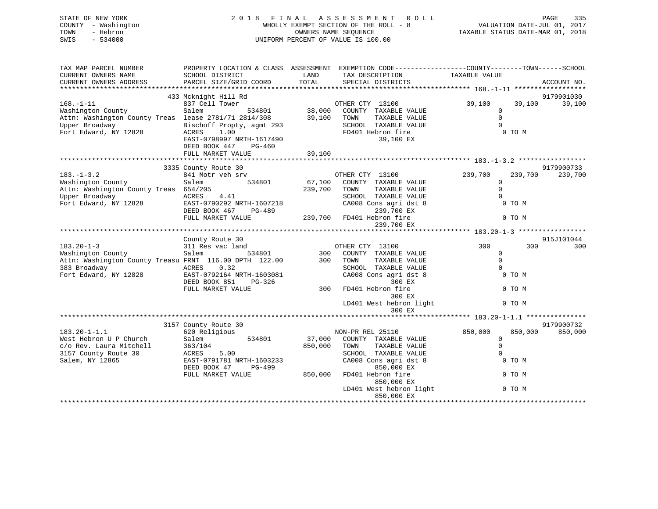| STATE OF NEW YORK<br>COUNTY - Washington<br>TOWN<br>- Hebron<br>$-534000$<br>SWIS                                                       | F I N A L<br>2 0 1 8<br>WHOLLY EXEMPT SECTION OF THE ROLL - 8<br>UNIFORM PERCENT OF VALUE IS 100.00 | TAXABLE STATUS DATE-MAR 01, 2018 | VALUATION DATE-JUL 01, 2017                                                                                                              | PAGE                                           | 335              |             |         |
|-----------------------------------------------------------------------------------------------------------------------------------------|-----------------------------------------------------------------------------------------------------|----------------------------------|------------------------------------------------------------------------------------------------------------------------------------------|------------------------------------------------|------------------|-------------|---------|
| TAX MAP PARCEL NUMBER<br>CURRENT OWNERS NAME<br>CURRENT OWNERS ADDRESS                                                                  | SCHOOL DISTRICT<br>PARCEL SIZE/GRID COORD                                                           | LAND<br>TOTAL                    | PROPERTY LOCATION & CLASS ASSESSMENT EXEMPTION CODE----------------COUNTY-------TOWN------SCHOOL<br>TAX DESCRIPTION<br>SPECIAL DISTRICTS | TAXABLE VALUE                                  |                  | ACCOUNT NO. |         |
|                                                                                                                                         |                                                                                                     |                                  |                                                                                                                                          |                                                |                  |             |         |
|                                                                                                                                         | 433 Mcknight Hill Rd                                                                                |                                  |                                                                                                                                          |                                                |                  | 9179901030  |         |
| $168. - 1 - 11$<br>Washington County<br>Attn: Washington County Treas lease 2781/71 2814/308<br>Upper Broadway<br>Fort Edward, NY 12828 | 837 Cell Tower<br>Salem<br>534801<br>Bischoff Propty, agmt 293<br>ACRES<br>1.00                     | 38,000<br>39,100                 | OTHER CTY 13100<br>COUNTY TAXABLE VALUE<br>TOWN<br>TAXABLE VALUE<br>SCHOOL TAXABLE VALUE<br>FD401 Hebron fire                            | 39,100<br>$\mathbf{0}$<br>$\Omega$<br>$\Omega$ | 39,100<br>0 TO M |             | 39,100  |
|                                                                                                                                         | EAST-0798997 NRTH-1617490<br>DEED BOOK 447<br>PG-460<br>FULL MARKET VALUE                           | 39,100                           | 39,100 EX                                                                                                                                |                                                |                  |             |         |
|                                                                                                                                         |                                                                                                     |                                  |                                                                                                                                          |                                                |                  |             |         |
| $183. - 1 - 3.2$                                                                                                                        | 3335 County Route 30<br>841 Motr veh srv                                                            |                                  | OTHER CTY 13100                                                                                                                          | 239,700                                        | 239,700          | 9179900733  |         |
| Washington County                                                                                                                       | Salem<br>534801                                                                                     | 67,100                           | COUNTY TAXABLE VALUE                                                                                                                     | 0                                              |                  |             | 239,700 |
| Attn: Washington County Treas 654/205                                                                                                   |                                                                                                     | 239,700                          | TAXABLE VALUE<br>TOWN                                                                                                                    | $\mathsf 0$                                    |                  |             |         |
| Upper Broadway                                                                                                                          | ACRES<br>4.41                                                                                       |                                  | SCHOOL TAXABLE VALUE                                                                                                                     | $\Omega$                                       |                  |             |         |
| Fort Edward, NY 12828                                                                                                                   | EAST-0790292 NRTH-1607218<br>DEED BOOK 467<br>PG-489                                                |                                  | CA008 Cons agri dst 8<br>239,700 EX                                                                                                      |                                                | 0 TO M           |             |         |
|                                                                                                                                         | FULL MARKET VALUE                                                                                   |                                  | 239,700 FD401 Hebron fire<br>239,700 EX                                                                                                  |                                                | 0 TO M           |             |         |
|                                                                                                                                         |                                                                                                     |                                  |                                                                                                                                          |                                                |                  |             |         |
|                                                                                                                                         | County Route 30                                                                                     |                                  |                                                                                                                                          |                                                |                  | 915J101044  |         |
| $183.20 - 1 - 3$                                                                                                                        | 311 Res vac land                                                                                    |                                  | OTHER CTY 13100                                                                                                                          | 300                                            | 300              |             | 300     |
| Washington County                                                                                                                       | Salem<br>534801                                                                                     | 300                              | COUNTY TAXABLE VALUE                                                                                                                     | $\mathbf 0$                                    |                  |             |         |
| Attn: Washington County Treasu FRNT 116.00 DPTH 122.00                                                                                  |                                                                                                     | 300                              | TOWN<br>TAXABLE VALUE                                                                                                                    | $\Omega$                                       |                  |             |         |
| 383 Broadway                                                                                                                            | ACRES<br>0.32                                                                                       |                                  | SCHOOL TAXABLE VALUE                                                                                                                     | $\Omega$                                       |                  |             |         |
| Fort Edward, NY 12828                                                                                                                   | EAST-0792164 NRTH-1603081<br>DEED BOOK 851<br>PG-326                                                |                                  | CA008 Cons agri dst 8<br>300 EX                                                                                                          |                                                | 0 TO M           |             |         |
|                                                                                                                                         | FULL MARKET VALUE                                                                                   | 300                              | FD401 Hebron fire<br>300 EX                                                                                                              |                                                | 0 TO M           |             |         |
|                                                                                                                                         |                                                                                                     |                                  | LD401 West hebron light<br>300 EX                                                                                                        |                                                | 0 TO M           |             |         |
|                                                                                                                                         |                                                                                                     |                                  |                                                                                                                                          |                                                |                  |             |         |

9179900732 3157 County Route 30 9179900732 183.20-1-1.1 620 Religious NON-PR REL 25110 850,000 850,000 850,000 West Hebron U P Church Salem 534801 37,000 COUNTY TAXABLE VALUE 0 c/o Rev. Laura Mitchell 363/104 850,000 TOWN TAXABLE VALUE 0 3157 County Route 30 ACRES 5.00 SCHOOL TAXABLE VALUE 0 Salem, NY 12865 EAST-0791781 NRTH-1603233 CA008 Cons agri dst 8 0 TO M DEED BOOK 47 PG-499 850,000 EX FULL MARKET VALUE 850,000 FD401 Hebron fire 0 TO M 850,000 EX LD401 West hebron light 0 TO M 850,000 EX \*\*\*\*\*\*\*\*\*\*\*\*\*\*\*\*\*\*\*\*\*\*\*\*\*\*\*\*\*\*\*\*\*\*\*\*\*\*\*\*\*\*\*\*\*\*\*\*\*\*\*\*\*\*\*\*\*\*\*\*\*\*\*\*\*\*\*\*\*\*\*\*\*\*\*\*\*\*\*\*\*\*\*\*\*\*\*\*\*\*\*\*\*\*\*\*\*\*\*\*\*\*\*\*\*\*\*\*\*\*\*\*\*\*\*\*\*\*\*\*\*\*\*\*\*\*\*\*\*\*\*\*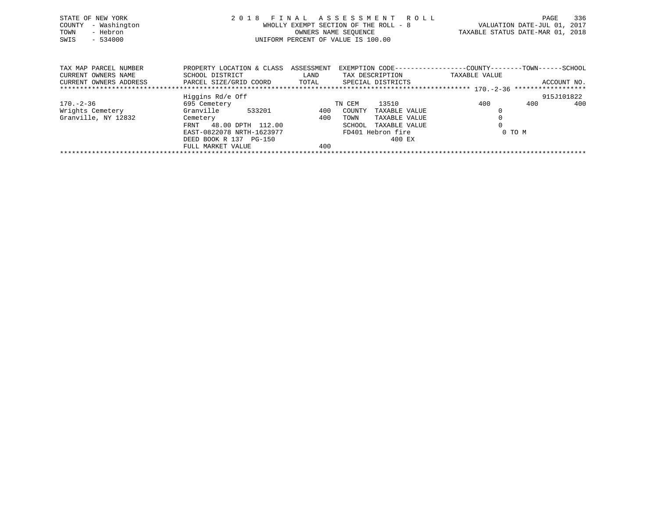| STATE OF NEW YORK<br>- Washington<br>COUNTY<br>- Hebron<br>TOWN<br>SWIS<br>$-534000$ |                                                         |      | 2018 FINAL ASSESSMENT ROLL<br>WHOLLY EXEMPT SECTION OF THE ROLL - 8<br>OWNERS NAME SEQUENCE<br>UNIFORM PERCENT OF VALUE IS 100.00 |               | VALUATION DATE-JUL 01, 2017<br>TAXABLE STATUS DATE-MAR 01, 2018               | PAGE | 336         |
|--------------------------------------------------------------------------------------|---------------------------------------------------------|------|-----------------------------------------------------------------------------------------------------------------------------------|---------------|-------------------------------------------------------------------------------|------|-------------|
| TAX MAP PARCEL NUMBER<br>CURRENT OWNERS NAME                                         | PROPERTY LOCATION & CLASS ASSESSMENT<br>SCHOOL DISTRICT | LAND | TAX DESCRIPTION                                                                                                                   |               | EXEMPTION CODE-----------------COUNTY-------TOWN------SCHOOL<br>TAXABLE VALUE |      |             |
| CURRENT OWNERS ADDRESS                                                               | PARCEL SIZE/GRID COORD TOTAL SPECIAL DISTRICTS          |      |                                                                                                                                   |               |                                                                               |      | ACCOUNT NO. |
|                                                                                      | Higgins Rd/e Off                                        |      |                                                                                                                                   |               |                                                                               |      | 915J101822  |
| 170.-2-36                                                                            | 695 Cemetery                                            |      | 13510<br>TN CEM                                                                                                                   |               | 400                                                                           | 400  | 400         |
| Wrights Cemetery                                                                     | Granville<br>533201                                     | 400  | COUNTY                                                                                                                            | TAXABLE VALUE |                                                                               |      |             |
| Granville, NY 12832                                                                  | Cemetery                                                | 400  | TOWN                                                                                                                              | TAXABLE VALUE |                                                                               |      |             |
|                                                                                      | 48.00 DPTH 112.00<br>FRNT                               |      | SCHOOL                                                                                                                            | TAXABLE VALUE |                                                                               |      |             |

\*\*\*\*\*\*\*\*\*\*\*\*\*\*\*\*\*\*\*\*\*\*\*\*\*\*\*\*\*\*\*\*\*\*\*\*\*\*\*\*\*\*\*\*\*\*\*\*\*\*\*\*\*\*\*\*\*\*\*\*\*\*\*\*\*\*\*\*\*\*\*\*\*\*\*\*\*\*\*\*\*\*\*\*\*\*\*\*\*\*\*\*\*\*\*\*\*\*\*\*\*\*\*\*\*\*\*\*\*\*\*\*\*\*\*\*\*\*\*\*\*\*\*\*\*\*\*\*\*\*\*\*

 $EAST-0822078 \, NRTH-1623977$  FD401 Hebron fire DEED BOOK R 137 PG-150 400 EX 0 TO M

FULL MARKET VALUE 400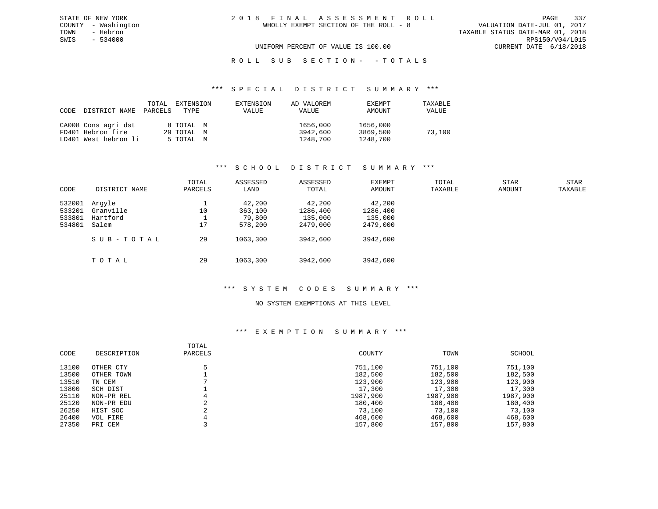VALUATION DATE-JUL 01, 2017 TOWN - Hebron TAXABLE STATUS DATE-MAR 01, 2018 SWIS - 534000 RPS150/V04/L015 UNIFORM PERCENT OF VALUE IS 100.00 CURRENT DATE 6/18/2018

# ROLL SUB SECTION - - TOTALS

#### \*\*\* S P E C I A L D I S T R I C T S U M M A R Y \*\*\*

| CODE DISTRICT NAME   | TOTAL<br>PARCELS | EXTENSION<br>TYPE | EXTENSION<br><b>VALUE</b> | AD VALOREM<br>VALUE | EXEMPT<br>AMOUNT | TAXABLE<br>VALUE |
|----------------------|------------------|-------------------|---------------------------|---------------------|------------------|------------------|
| CA008 Cons agri dst  |                  | 8 TOTAL M         |                           | 1656,000            | 1656,000         |                  |
| FD401 Hebron fire    |                  | 29 TOTAL M        |                           | 3942,600            | 3869,500         | 73,100           |
| LD401 West hebron li |                  | 5 TOTAL M         |                           | 1248,700            | 1248,700         |                  |

## \*\*\* S C H O O L D I S T R I C T S U M M A R Y \*\*\*

| CODE                                 | DISTRICT NAME                            | TOTAL<br>PARCELS | ASSESSED<br>LAND                       | ASSESSED<br>TOTAL                         | EXEMPT<br>AMOUNT                          | TOTAL<br>TAXABLE | <b>STAR</b><br>AMOUNT | <b>STAR</b><br>TAXABLE |
|--------------------------------------|------------------------------------------|------------------|----------------------------------------|-------------------------------------------|-------------------------------------------|------------------|-----------------------|------------------------|
| 532001<br>533201<br>533801<br>534801 | Arqyle<br>Granville<br>Hartford<br>Salem | 10<br>17         | 42,200<br>363,100<br>79,800<br>578,200 | 42,200<br>1286,400<br>135,000<br>2479,000 | 42,200<br>1286,400<br>135,000<br>2479,000 |                  |                       |                        |
|                                      | SUB-TOTAL                                | 29               | 1063,300                               | 3942,600                                  | 3942,600                                  |                  |                       |                        |
|                                      | TOTAL                                    | 29               | 1063,300                               | 3942,600                                  | 3942,600                                  |                  |                       |                        |

# \*\*\* S Y S T E M C O D E S S U M M A R Y \*\*\*

# NO SYSTEM EXEMPTIONS AT THIS LEVEL

| CODE  | DESCRIPTION | TOTAL<br>PARCELS | COUNTY   | TOWN     | SCHOOL   |
|-------|-------------|------------------|----------|----------|----------|
| 13100 | OTHER CTY   | 5                | 751,100  | 751,100  | 751,100  |
| 13500 | OTHER TOWN  |                  | 182,500  | 182,500  | 182,500  |
| 13510 | TN CEM      |                  | 123,900  | 123,900  | 123,900  |
| 13800 | SCH DIST    |                  | 17,300   | 17,300   | 17,300   |
| 25110 | NON-PR REL  | 4                | 1987,900 | 1987,900 | 1987,900 |
| 25120 | NON-PR EDU  | C.<br>∠          | 180,400  | 180,400  | 180,400  |
| 26250 | HIST SOC    | C.               | 73,100   | 73,100   | 73,100   |
| 26400 | VOL FIRE    |                  | 468,600  | 468,600  | 468,600  |
| 27350 | PRI CEM     |                  | 157,800  | 157,800  | 157,800  |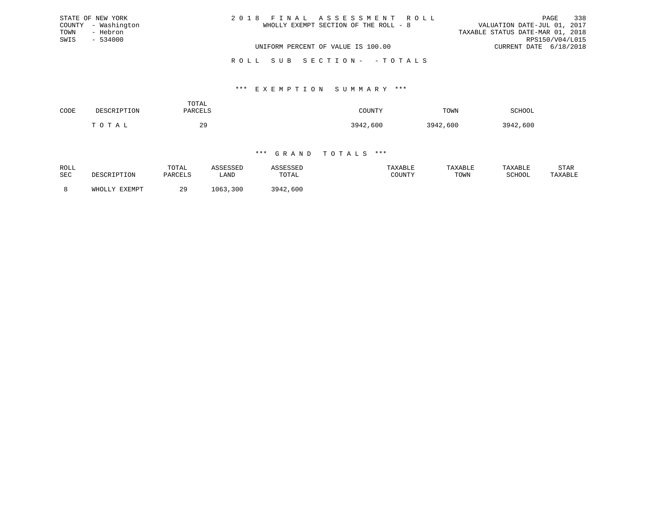|      | STATE OF NEW YORK   | 2018 FINAL ASSESSMENT ROLL            | 338<br>PAGE                      |
|------|---------------------|---------------------------------------|----------------------------------|
|      | COUNTY - Washington | WHOLLY EXEMPT SECTION OF THE ROLL - 8 | VALUATION DATE-JUL 01, 2017      |
| TOWN | - Hebron            |                                       | TAXABLE STATUS DATE-MAR 01, 2018 |
| SWIS | $-534000$           |                                       | RPS150/V04/L015                  |
|      |                     | UNIFORM PERCENT OF VALUE IS 100.00    | CURRENT DATE 6/18/2018           |
|      |                     | ROLL SUB SECTION- - TOTALS            |                                  |

# \*\*\* E X E M P T I O N S U M M A R Y \*\*\*

| CODE | סרים הח   | TOTAL<br>DA DA TIC | COUNTY   | TOWN     | <b>SCHOOL</b> |
|------|-----------|--------------------|----------|----------|---------------|
|      | יד ר<br>Ē | 29                 | 3942,600 | 3942,600 | 3942,600      |

| ROLL<br>SEC | DESCRIPTION   | TOTAL<br>PARCELS | ASSESSEI<br>úAND | <b>\SSESSED</b><br>TOTAL | TAXABLE<br>COUNTY | TAXABLE<br>TOWN | TAXABLE<br>SCHOOL | STAR<br>TAXABLE |
|-------------|---------------|------------------|------------------|--------------------------|-------------------|-----------------|-------------------|-----------------|
|             | WHOLLY EXEMPT | つの               | ,300<br>1063     | 3942,600                 |                   |                 |                   |                 |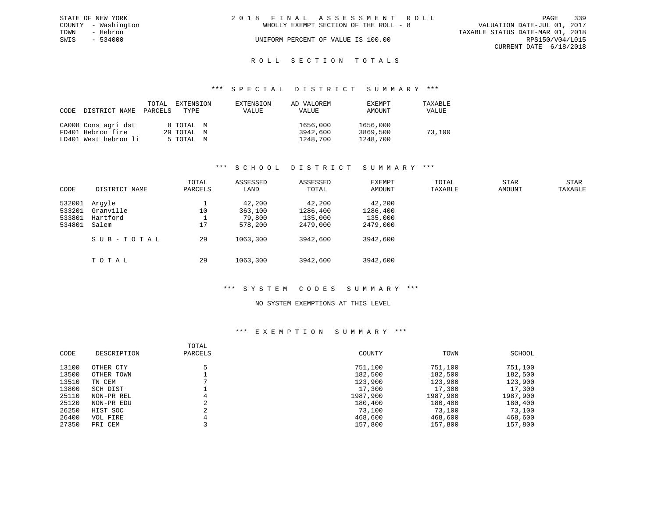|      | STATE OF NEW YORK   | 2018 FINAL ASSESSMENT ROLL |                                       |                                  |                        | PAGE | 339 |
|------|---------------------|----------------------------|---------------------------------------|----------------------------------|------------------------|------|-----|
|      | COUNTY - Washington |                            | WHOLLY EXEMPT SECTION OF THE ROLL - 8 | VALUATION DATE-JUL 01, 2017      |                        |      |     |
| TOWN | - Hebron            |                            |                                       | TAXABLE STATUS DATE-MAR 01, 2018 |                        |      |     |
| SWIS | $-534000$           |                            | UNIFORM PERCENT OF VALUE IS 100.00    |                                  | RPS150/V04/L015        |      |     |
|      |                     |                            |                                       |                                  | CURRENT DATE 6/18/2018 |      |     |
|      |                     |                            |                                       |                                  |                        |      |     |

# ROLL SECTION TOTALS

#### \*\*\* S P E C I A L D I S T R I C T S U M M A R Y \*\*\*

| CODE | DISTRICT NAME        | TOTAL<br>PARCELS | EXTENSION<br>TYPE | EXTENSION<br>VALUE | AD VALOREM<br>VALUE | EXEMPT<br>AMOUNT | TAXABLE<br>VALUE |
|------|----------------------|------------------|-------------------|--------------------|---------------------|------------------|------------------|
|      | CA008 Cons agri dst  |                  | 8 TOTAL M         |                    | 1656,000            | 1656,000         |                  |
|      | FD401 Hebron fire    |                  | 29 TOTAL M        |                    | 3942,600            | 3869,500         | 73,100           |
|      | LD401 West hebron li |                  | 5 TOTAL M         |                    | 1248,700            | 1248,700         |                  |

## \*\*\* S C H O O L D I S T R I C T S U M M A R Y \*\*\*

| CODE   | DISTRICT NAME | TOTAL<br>PARCELS | ASSESSED<br>LAND | ASSESSED<br>TOTAL | EXEMPT<br>AMOUNT | TOTAL<br>TAXABLE | <b>STAR</b><br>AMOUNT | <b>STAR</b><br>TAXABLE |
|--------|---------------|------------------|------------------|-------------------|------------------|------------------|-----------------------|------------------------|
|        |               |                  |                  |                   |                  |                  |                       |                        |
| 532001 | Arqyle        |                  | 42,200           | 42,200            | 42,200           |                  |                       |                        |
| 533201 | Granville     | 10               | 363,100          | 1286,400          | 1286,400         |                  |                       |                        |
| 533801 | Hartford      |                  | 79,800           | 135,000           | 135,000          |                  |                       |                        |
| 534801 | Salem         | 17               | 578,200          | 2479,000          | 2479,000         |                  |                       |                        |
|        | SUB-TOTAL     | 29               | 1063,300         | 3942,600          | 3942,600         |                  |                       |                        |
|        | TOTAL         | 29               | 1063,300         | 3942,600          | 3942,600         |                  |                       |                        |

## \*\*\* S Y S T E M C O D E S S U M M A R Y \*\*\*

# NO SYSTEM EXEMPTIONS AT THIS LEVEL

| CODE  | DESCRIPTION | TOTAL<br>PARCELS | COUNTY   | TOWN     | SCHOOL   |
|-------|-------------|------------------|----------|----------|----------|
| 13100 | OTHER CTY   |                  | 751,100  | 751,100  | 751,100  |
| 13500 | OTHER TOWN  |                  | 182,500  | 182,500  | 182,500  |
| 13510 | TN CEM      |                  | 123,900  | 123,900  | 123,900  |
| 13800 | SCH DIST    |                  | 17,300   | 17,300   | 17,300   |
| 25110 | NON-PR REL  | 4                | 1987,900 | 1987,900 | 1987,900 |
| 25120 | NON-PR EDU  | $\sim$<br>∠      | 180,400  | 180,400  | 180,400  |
| 26250 | HIST SOC    | $\sim$           | 73,100   | 73,100   | 73,100   |
| 26400 | VOL FIRE    |                  | 468,600  | 468,600  | 468,600  |
| 27350 | PRI CEM     |                  | 157,800  | 157,800  | 157,800  |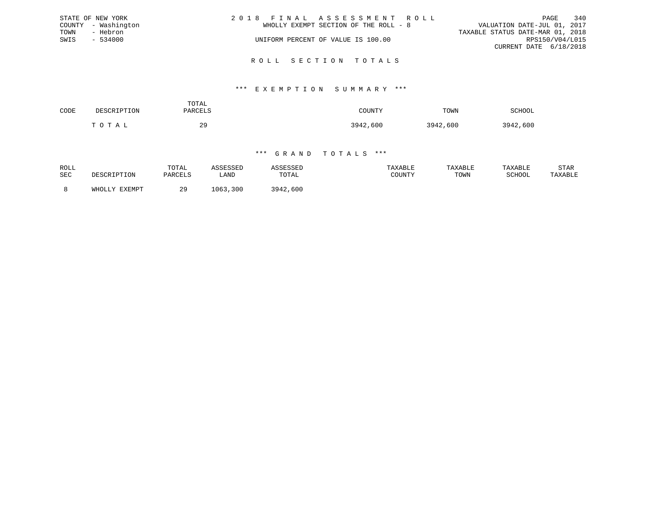|      | STATE OF NEW YORK   | 2018 FINAL ASSESSMENT ROLL         |                                       |                                  | PAGE                   | 340 |
|------|---------------------|------------------------------------|---------------------------------------|----------------------------------|------------------------|-----|
|      | COUNTY - Washington |                                    | WHOLLY EXEMPT SECTION OF THE ROLL - 8 | VALUATION DATE-JUL 01, 2017      |                        |     |
| TOWN | - Hebron            |                                    |                                       | TAXABLE STATUS DATE-MAR 01, 2018 |                        |     |
| SWIS | $-534000$           | UNIFORM PERCENT OF VALUE IS 100.00 |                                       |                                  | RPS150/V04/L015        |     |
|      |                     |                                    |                                       |                                  | CURRENT DATE 6/18/2018 |     |
|      |                     |                                    |                                       |                                  |                        |     |

### R O L L S E C T I O N T O T A L S

#### \*\*\* E X E M P T I O N S U M M A R Y \*\*\*

| CODE | יםי∩ים ת                    | TOTAL<br>PARCELS | TOUNTY   | TOWN     | <b>SCHOOL</b> |
|------|-----------------------------|------------------|----------|----------|---------------|
|      | $\cap$ $\blacksquare$<br>m. | 29               | 3942,600 | 3942,600 | 3942,600      |

| ROLL<br>SEC | DESCRIPTION   | TOTAL<br>PARCELS | ASSESSED<br>LAND | \SSESSED<br>TOTAL | TAXABLE<br>COUNTY | TAXABLE<br>TOWN | TAXABLE<br>SCHOOL | STAR<br>TAXABLE |
|-------------|---------------|------------------|------------------|-------------------|-------------------|-----------------|-------------------|-----------------|
|             | WHOLLY EXEMPT | 29               | 1063,300         | 3942,600          |                   |                 |                   |                 |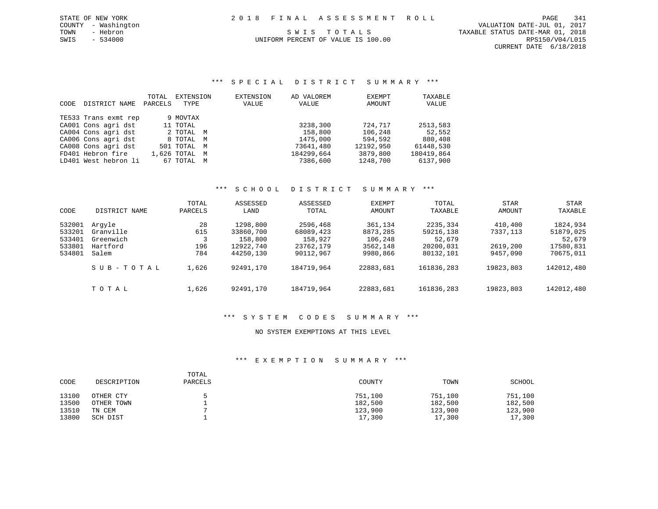# \*\*\* S P E C I A L D I S T R I C T S U M M A R Y \*\*\*

|      |                      | TOTAL   | EXTENSION     | EXTENSION | AD VALOREM | EXEMPT    | TAXABLE    |
|------|----------------------|---------|---------------|-----------|------------|-----------|------------|
| CODE | DISTRICT NAME        | PARCELS | TYPE          | VALUE     | VALUE      | AMOUNT    | VALUE      |
|      | TE533 Trans exmt rep |         | 9 MOVTAX      |           |            |           |            |
|      | CA001 Cons agri dst  |         | 11 TOTAL      |           | 3238,300   | 724,717   | 2513,583   |
|      | CA004 Cons agri dst  |         | 2 TOTAL M     |           | 158,800    | 106,248   | 52,552     |
|      | CA006 Cons agri dst  |         | 8 TOTAL M     |           | 1475,000   | 594,592   | 880,408    |
|      | CA008 Cons agri dst  |         | 501 TOTAL M   |           | 73641,480  | 12192,950 | 61448,530  |
|      | FD401 Hebron fire    |         | 1,626 TOTAL M |           | 184299,664 | 3879,800  | 180419,864 |
|      | LD401 West hebron li |         | 67 TOTAL M    |           | 7386,600   | 1248,700  | 6137,900   |

# \*\*\* S C H O O L D I S T R I C T S U M M A R Y \*\*\*

| CODE             | DISTRICT NAME         | TOTAL<br>PARCELS | ASSESSED<br>LAND      | ASSESSED<br>TOTAL     | EXEMPT<br><b>AMOUNT</b> | TOTAL<br>TAXABLE      | STAR<br><b>AMOUNT</b> | STAR<br>TAXABLE        |
|------------------|-----------------------|------------------|-----------------------|-----------------------|-------------------------|-----------------------|-----------------------|------------------------|
| 532001<br>533201 | Arqyle<br>Granville   | 28<br>615        | 1298,800<br>33860,700 | 2596,468<br>68089,423 | 361,134<br>8873,285     | 2235,334<br>59216,138 | 410,400<br>7337,113   | 1824,934<br>51879,025  |
| 533401<br>533801 | Greenwich<br>Hartford | 196              | 158,800<br>12922,740  | 158,927<br>23762,179  | 106,248<br>3562,148     | 52,679<br>20200,031   | 2619,200              | 52,679                 |
| 534801           | Salem                 | 784              | 44250,130             | 90112,967             | 9980,866                | 80132,101             | 9457,090              | 17580,831<br>70675,011 |
|                  | SUB-TOTAL             | 1,626            | 92491,170             | 184719,964            | 22883,681               | 161836,283            | 19823,803             | 142012,480             |
|                  | TOTAL                 | 1,626            | 92491,170             | 184719,964            | 22883,681               | 161836,283            | 19823,803             | 142012,480             |

# \*\*\* S Y S T E M C O D E S S U M M A R Y \*\*\*

# NO SYSTEM EXEMPTIONS AT THIS LEVEL

| CODE  | DESCRIPTION | TOTAL<br>PARCELS | COUNTY  | TOWN    | SCHOOL  |
|-------|-------------|------------------|---------|---------|---------|
| 13100 | OTHER CTY   |                  | 751,100 | 751,100 | 751,100 |
| 13500 | OTHER TOWN  |                  | 182,500 | 182,500 | 182,500 |
| 13510 | TN CEM      |                  | 123,900 | 123,900 | 123,900 |
| 13800 | SCH DIST    |                  | 17,300  | 17,300  | 17,300  |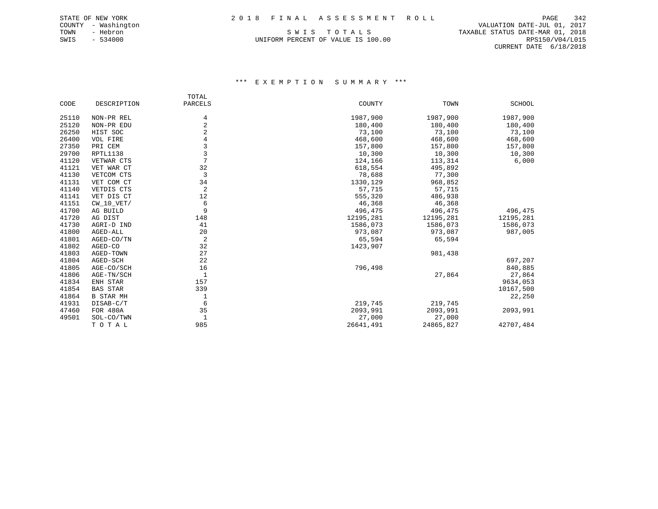COUNTY - Washington VALUATION DATE-JUL 01, 2017 TOWN - Hebron S W I S T O T A L S TAXABLE STATUS DATE-MAR 01, 2018 UNIFORM PERCENT OF VALUE IS 100.00 RPS150/V04/L015 CURRENT DATE 6/18/2018

|       |                  | TOTAL          |           |           |           |
|-------|------------------|----------------|-----------|-----------|-----------|
| CODE  | DESCRIPTION      | PARCELS        | COUNTY    | TOWN      | SCHOOL    |
| 25110 | NON-PR REL       | 4              | 1987,900  | 1987,900  | 1987,900  |
| 25120 | NON-PR EDU       | $\overline{2}$ | 180,400   | 180,400   | 180,400   |
| 26250 | HIST SOC         | 2              | 73,100    | 73,100    | 73,100    |
| 26400 | VOL FIRE         | 4              | 468,600   | 468,600   | 468,600   |
| 27350 | PRI CEM          | 3              | 157,800   | 157,800   | 157,800   |
| 29700 | RPTL1138         | 3              | 10,300    | 10,300    | 10,300    |
| 41120 | VETWAR CTS       | 7              | 124,166   | 113,314   | 6,000     |
| 41121 | VET WAR CT       | 32             | 618,554   | 495,892   |           |
| 41130 | VETCOM CTS       | 3              | 78,688    | 77,300    |           |
| 41131 | VET COM CT       | 34             | 1330,129  | 968,852   |           |
| 41140 | VETDIS CTS       | $\overline{c}$ | 57,715    | 57,715    |           |
| 41141 | VET DIS CT       | 12             | 555,320   | 486,938   |           |
| 41151 | $CW_10_VET/$     | 6              | 46,368    | 46,368    |           |
| 41700 | AG BUILD         | 9              | 496,475   | 496,475   | 496,475   |
| 41720 | AG DIST          | 148            | 12195,281 | 12195,281 | 12195,281 |
| 41730 | AGRI-D IND       | 41             | 1586,073  | 1586,073  | 1586,073  |
| 41800 | AGED-ALL         | 20             | 973,087   | 973,087   | 987,005   |
| 41801 | AGED-CO/TN       | 2              | 65,594    | 65,594    |           |
| 41802 | AGED-CO          | 32             | 1423,907  |           |           |
| 41803 | AGED-TOWN        | 27             |           | 981,438   |           |
| 41804 | AGED-SCH         | 22             |           |           | 697,207   |
| 41805 | AGE-CO/SCH       | 16             | 796,498   |           | 840,885   |
| 41806 | AGE-TN/SCH       | $\mathbf{1}$   |           | 27,864    | 27,864    |
| 41834 | ENH STAR         | 157            |           |           | 9634,053  |
| 41854 | <b>BAS STAR</b>  | 339            |           |           | 10167,500 |
| 41864 | <b>B STAR MH</b> | 1              |           |           | 22,250    |
| 41931 | DISAB-C/T        | 6              | 219,745   | 219,745   |           |
| 47460 | FOR 480A         | 35             | 2093,991  | 2093,991  | 2093,991  |
| 49501 | SOL-CO/TWN       | $\mathbf{1}$   | 27,000    | 27,000    |           |
|       | TOTAL            | 985            | 26641,491 | 24865,827 | 42707,484 |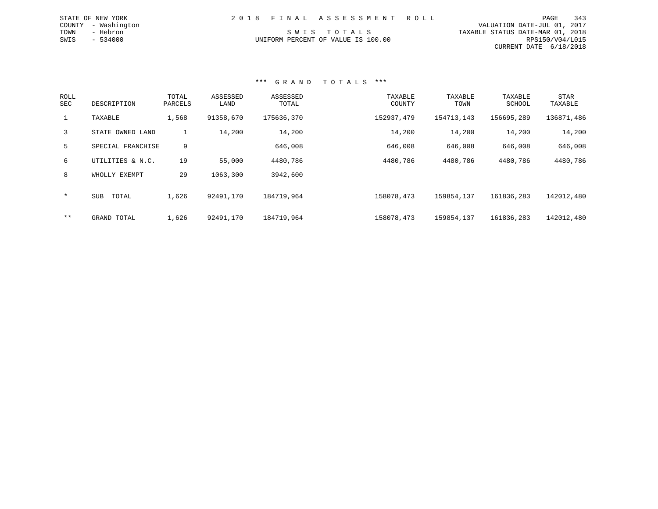|                                    | 2018 FINAL ASSESSMENT ROLL |                                  | PAGE                        | 343 |
|------------------------------------|----------------------------|----------------------------------|-----------------------------|-----|
|                                    |                            |                                  | VALUATION DATE-JUL 01, 2017 |     |
| SWIS TOTALS                        |                            | TAXABLE STATUS DATE-MAR 01, 2018 |                             |     |
| UNIFORM PERCENT OF VALUE IS 100.00 |                            |                                  | RPS150/V04/L015             |     |
|                                    |                            |                                  | CURRENT DATE 6/18/2018      |     |

#### \*\*\* G R A N D T O T A L S \*\*\*

STATE OF NEW YORK COUNTY - Washington TOWN - Hebron  $SWIS$  - 534000

| ROLL<br>SEC | DESCRIPTION         | TOTAL<br>PARCELS | ASSESSED<br>LAND | ASSESSED<br>TOTAL | TAXABLE<br>COUNTY | TAXABLE<br>TOWN | TAXABLE<br>SCHOOL | <b>STAR</b><br>TAXABLE |
|-------------|---------------------|------------------|------------------|-------------------|-------------------|-----------------|-------------------|------------------------|
|             | TAXABLE             | 1,568            | 91358,670        | 175636,370        | 152937,479        | 154713,143      | 156695,289        | 136871,486             |
| 3           | STATE OWNED LAND    | Τ.               | 14,200           | 14,200            | 14,200            | 14,200          | 14,200            | 14,200                 |
| 5           | SPECIAL FRANCHISE   | 9                |                  | 646,008           | 646,008           | 646,008         | 646,008           | 646,008                |
| 6           | UTILITIES & N.C.    | 19               | 55,000           | 4480,786          | 4480,786          | 4480,786        | 4480,786          | 4480,786               |
| 8           | WHOLLY EXEMPT       | 29               | 1063,300         | 3942,600          |                   |                 |                   |                        |
| $\star$     | <b>SUB</b><br>TOTAL | 1,626            | 92491,170        | 184719,964        | 158078,473        | 159854,137      | 161836,283        | 142012,480             |
| $***$       | GRAND TOTAL         | 1,626            | 92491,170        | 184719,964        | 158078,473        | 159854,137      | 161836,283        | 142012,480             |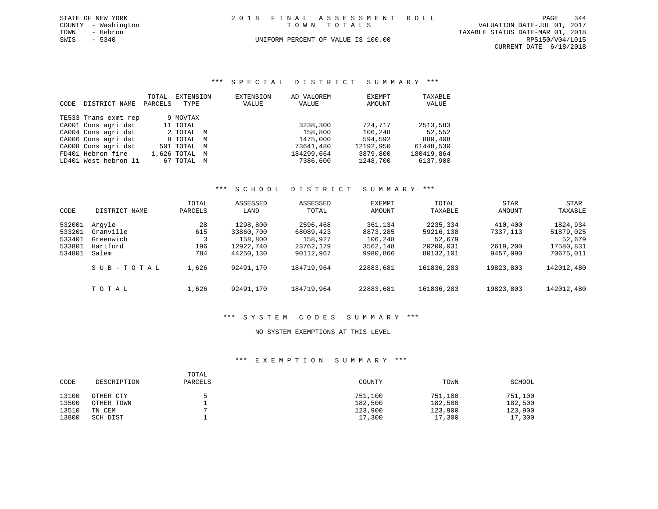|      | STATE OF NEW YORK   |  | 2018 FINAL ASSESSMENT ROLL         |                                  | PAGE            | 344 |
|------|---------------------|--|------------------------------------|----------------------------------|-----------------|-----|
|      | COUNTY - Washington |  | TOWN TOTALS                        | VALUATION DATE-JUL 01, 2017      |                 |     |
| TOWN | - Hebron            |  |                                    | TAXABLE STATUS DATE-MAR 01, 2018 |                 |     |
| SWIS | $-5340$             |  | UNIFORM PERCENT OF VALUE IS 100.00 |                                  | RPS150/V04/L015 |     |
|      |                     |  |                                    | CURRENT DATE 6/18/2018           |                 |     |

# \*\*\* S P E C I A L D I S T R I C T S U M M A R Y \*\*\*

|      |                      | TOTAL   | EXTENSION     | EXTENSION | AD VALOREM | EXEMPT    | TAXABLE    |
|------|----------------------|---------|---------------|-----------|------------|-----------|------------|
| CODE | DISTRICT NAME        | PARCELS | TYPE          | VALUE     | VALUE      | AMOUNT    | VALUE      |
|      | TE533 Trans exmt rep |         | 9 MOVTAX      |           |            |           |            |
|      | CA001 Cons agri dst  |         | 11 TOTAL      |           | 3238,300   | 724,717   | 2513,583   |
|      | CA004 Cons agri dst  |         | 2 TOTAL M     |           | 158,800    | 106,248   | 52,552     |
|      | CA006 Cons agri dst  |         | 8 TOTAL M     |           | 1475,000   | 594,592   | 880,408    |
|      | CA008 Cons agri dst  |         | 501 TOTAL M   |           | 73641,480  | 12192,950 | 61448,530  |
|      | FD401 Hebron fire    |         | 1,626 TOTAL M |           | 184299,664 | 3879,800  | 180419,864 |
|      | LD401 West hebron li |         | 67 TOTAL M    |           | 7386,600   | 1248,700  | 6137,900   |

# \*\*\* S C H O O L D I S T R I C T S U M M A R Y \*\*\*

| CODE   | DISTRICT NAME | TOTAL<br>PARCELS | ASSESSED<br>LAND | ASSESSED<br>TOTAL | <b>EXEMPT</b><br>AMOUNT | TOTAL<br>TAXABLE | STAR<br>AMOUNT | STAR<br>TAXABLE |
|--------|---------------|------------------|------------------|-------------------|-------------------------|------------------|----------------|-----------------|
|        |               |                  |                  |                   |                         |                  |                |                 |
| 532001 | Arqyle        | 28               | 1298,800         | 2596,468          | 361,134                 | 2235,334         | 410,400        | 1824,934        |
| 533201 | Granville     | 615              | 33860,700        | 68089,423         | 8873,285                | 59216,138        | 7337,113       | 51879,025       |
| 533401 | Greenwich     | 3                | 158,800          | 158,927           | 106,248                 | 52,679           |                | 52,679          |
| 533801 | Hartford      | 196              | 12922,740        | 23762,179         | 3562,148                | 20200,031        | 2619,200       | 17580,831       |
| 534801 | Salem         | 784              | 44250,130        | 90112,967         | 9980,866                | 80132,101        | 9457,090       | 70675,011       |
|        | SUB-TOTAL     | 1,626            | 92491,170        | 184719,964        | 22883,681               | 161836,283       | 19823,803      | 142012,480      |
|        | TOTAL         | 1,626            | 92491,170        | 184719,964        | 22883,681               | 161836,283       | 19823,803      | 142012,480      |

## \*\*\* S Y S T E M C O D E S S U M M A R Y \*\*\*

# NO SYSTEM EXEMPTIONS AT THIS LEVEL

| CODE  | DESCRIPTION | TOTAL<br>PARCELS | COUNTY  | TOWN    | SCHOOL  |
|-------|-------------|------------------|---------|---------|---------|
| 13100 | OTHER CTY   |                  | 751,100 | 751,100 | 751,100 |
| 13500 | OTHER TOWN  |                  | 182,500 | 182,500 | 182,500 |
| 13510 | TN CEM      |                  | 123,900 | 123,900 | 123,900 |
| 13800 | SCH DIST    |                  | 17,300  | 17,300  | 17,300  |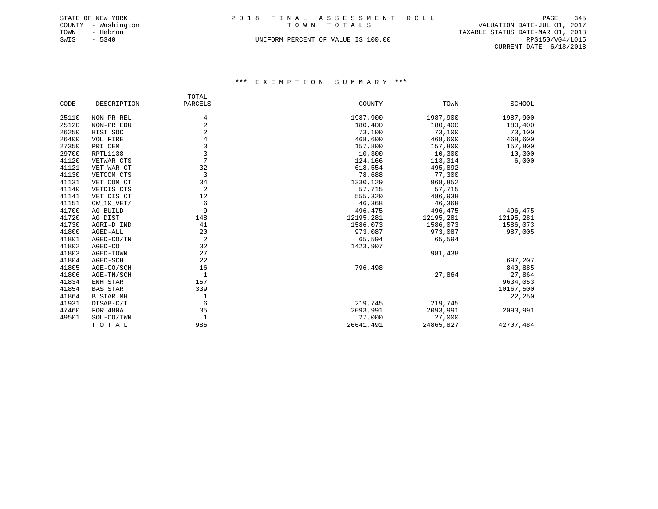|      | STATE OF NEW YORK   |  | 2018 FINAL ASSESSMENT ROLL         |                                  | PAGE            | 345 |
|------|---------------------|--|------------------------------------|----------------------------------|-----------------|-----|
|      | COUNTY - Washington |  | TOWN TOTALS                        | VALUATION DATE-JUL 01, 2017      |                 |     |
| TOWN | - Hebron            |  |                                    | TAXABLE STATUS DATE-MAR 01, 2018 |                 |     |
| SWIS | $-5340$             |  | UNIFORM PERCENT OF VALUE IS 100.00 |                                  | RPS150/V04/L015 |     |
|      |                     |  |                                    | CURRENT DATE 6/18/2018           |                 |     |

|       |                  | TOTAL          |           |           |           |
|-------|------------------|----------------|-----------|-----------|-----------|
| CODE  | DESCRIPTION      | PARCELS        | COUNTY    | TOWN      | SCHOOL    |
| 25110 | NON-PR REL       | 4              | 1987,900  | 1987,900  | 1987,900  |
| 25120 | NON-PR EDU       | $\overline{2}$ | 180,400   | 180,400   | 180,400   |
| 26250 | HIST SOC         | 2              | 73,100    | 73,100    | 73,100    |
| 26400 | VOL FIRE         | 4              | 468,600   | 468,600   | 468,600   |
| 27350 | PRI CEM          | 3              | 157,800   | 157,800   | 157,800   |
| 29700 | RPTL1138         | 3              | 10,300    | 10,300    | 10,300    |
| 41120 | VETWAR CTS       | 7              | 124,166   | 113,314   | 6,000     |
| 41121 | VET WAR CT       | 32             | 618,554   | 495,892   |           |
| 41130 | VETCOM CTS       | 3              | 78,688    | 77,300    |           |
| 41131 | VET COM CT       | 34             | 1330,129  | 968,852   |           |
| 41140 | VETDIS CTS       | 2              | 57,715    | 57,715    |           |
| 41141 | VET DIS CT       | 12             | 555,320   | 486,938   |           |
| 41151 | $CW_10_VET/$     | 6              | 46,368    | 46,368    |           |
| 41700 | AG BUILD         | 9              | 496,475   | 496,475   | 496,475   |
| 41720 | AG DIST          | 148            | 12195,281 | 12195,281 | 12195,281 |
| 41730 | AGRI-D IND       | 41             | 1586,073  | 1586,073  | 1586,073  |
| 41800 | AGED-ALL         | 20             | 973,087   | 973,087   | 987,005   |
| 41801 | AGED-CO/TN       | 2              | 65,594    | 65,594    |           |
| 41802 | AGED-CO          | 32             | 1423,907  |           |           |
| 41803 | AGED-TOWN        | 27             |           | 981,438   |           |
| 41804 | AGED-SCH         | 22             |           |           | 697,207   |
| 41805 | AGE-CO/SCH       | 16             | 796,498   |           | 840,885   |
| 41806 | AGE-TN/SCH       | 1              |           | 27,864    | 27,864    |
| 41834 | ENH STAR         | 157            |           |           | 9634,053  |
| 41854 | <b>BAS STAR</b>  | 339            |           |           | 10167,500 |
| 41864 | <b>B STAR MH</b> | 1              |           |           | 22,250    |
| 41931 | DISAB-C/T        | 6              | 219,745   | 219,745   |           |
| 47460 | FOR 480A         | 35             | 2093,991  | 2093,991  | 2093,991  |
| 49501 | SOL-CO/TWN       | 1              | 27,000    | 27,000    |           |
|       | TOTAL            | 985            | 26641,491 | 24865,827 | 42707,484 |